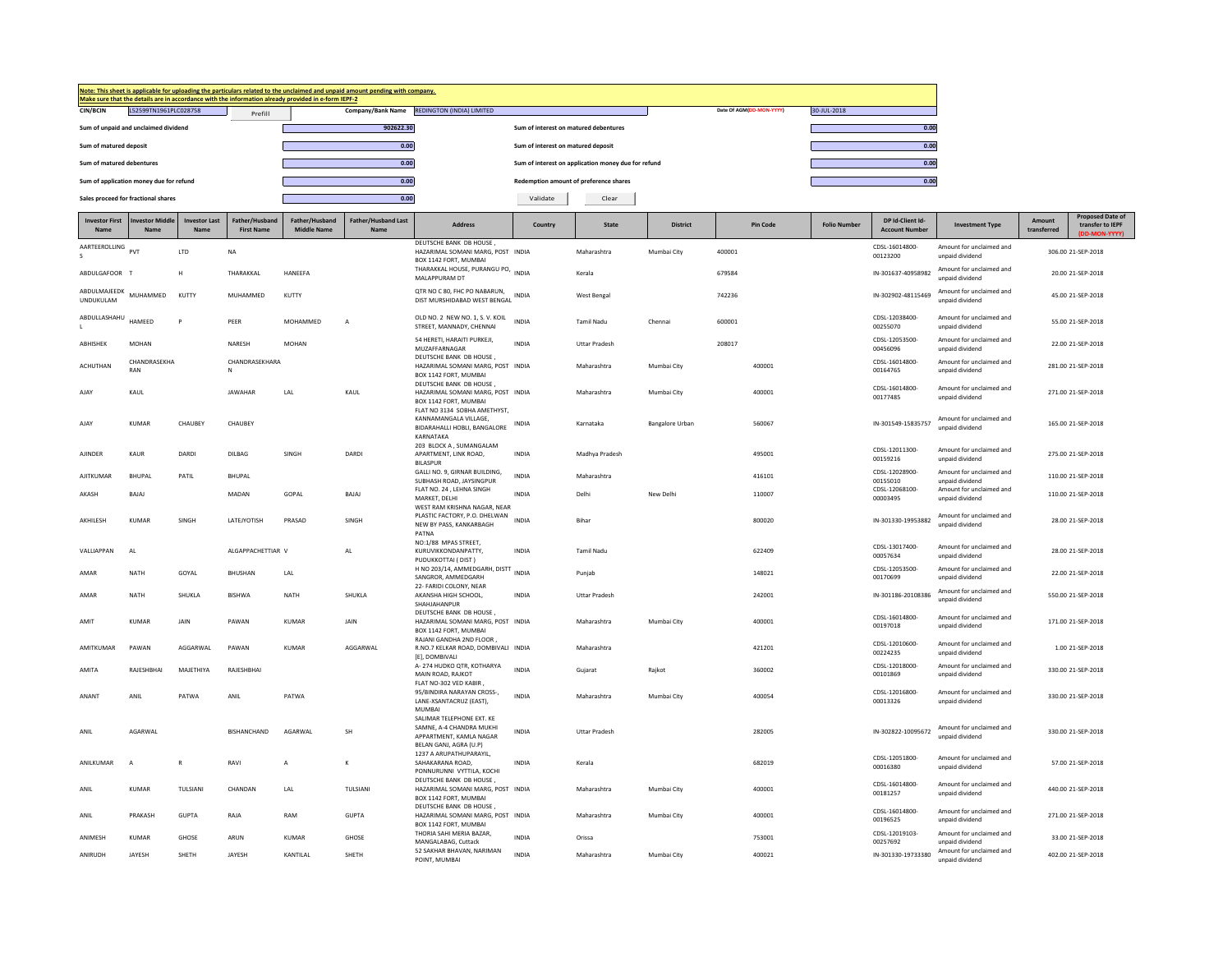|                                  |                                         |                                    |                                     | Make sure that the details are in accordance with the information already provided in e-form IEPF-2 | Note: This sheet is applicable for uploading the particulars related to the unclaimed and unpaid amount pending with company. |                                                                                                                       |                                        |                                                     |                        |                          |                    |                                           |                                             |                              |                                                              |
|----------------------------------|-----------------------------------------|------------------------------------|-------------------------------------|-----------------------------------------------------------------------------------------------------|-------------------------------------------------------------------------------------------------------------------------------|-----------------------------------------------------------------------------------------------------------------------|----------------------------------------|-----------------------------------------------------|------------------------|--------------------------|--------------------|-------------------------------------------|---------------------------------------------|------------------------------|--------------------------------------------------------------|
| <b>CIN/BCIN</b>                  | L52599TN1961PLC028758                   |                                    | Prefill                             |                                                                                                     |                                                                                                                               | Company/Bank Name REDINGTON (INDIA) LIMITED                                                                           |                                        |                                                     |                        | Date Of AGM(DD-MON-YYYY) | 30-JUL-2018        |                                           |                                             |                              |                                                              |
|                                  | Sum of unpaid and unclaimed dividend    |                                    |                                     |                                                                                                     | 902622.30                                                                                                                     |                                                                                                                       | Sum of interest on matured debentures  |                                                     |                        |                          |                    | 0.00                                      |                                             |                              |                                                              |
| Sum of matured deposit           |                                         |                                    |                                     |                                                                                                     | 0.00                                                                                                                          |                                                                                                                       | Sum of interest on matured deposit     |                                                     |                        |                          |                    | 0.00                                      |                                             |                              |                                                              |
| Sum of matured debentures        |                                         |                                    |                                     |                                                                                                     | 0.00                                                                                                                          |                                                                                                                       |                                        | Sum of interest on application money due for refund |                        |                          |                    | 0.00                                      |                                             |                              |                                                              |
|                                  | Sum of application money due for refund |                                    |                                     |                                                                                                     | 0.00                                                                                                                          |                                                                                                                       | Redemption amount of preference shares |                                                     |                        |                          |                    | 0.00                                      |                                             |                              |                                                              |
|                                  | Sales proceed for fractional shares     |                                    |                                     |                                                                                                     | 0.00                                                                                                                          |                                                                                                                       | Validate                               | Clear                                               |                        |                          |                    |                                           |                                             |                              |                                                              |
| <b>Investor First</b><br>Name    | <b>Investor Middle</b><br><b>Nam</b>    | <b>Investor Last</b><br><b>Nam</b> | Father/Husband<br><b>First Name</b> | Father/Husband<br><b>Middle Name</b>                                                                | <b>Father/Husband Last</b><br>Name                                                                                            | <b>Address</b>                                                                                                        | Country                                | <b>State</b>                                        | <b>District</b>        | <b>Pin Code</b>          | <b>Folio Numbe</b> | DP Id-Client Id-<br><b>Account Number</b> | <b>Investment Type</b>                      | <b>Amount</b><br>transferred | <b>Proposed Date of</b><br>transfer to IEPF<br>(DD-MON-YYYY) |
| AARTEEROLLING PVT                |                                         | LTD                                | <b>NA</b>                           |                                                                                                     |                                                                                                                               | DEUTSCHE BANK DB HOUSE,<br>HAZARIMAL SOMANI MARG, POST INDIA                                                          |                                        | Maharashtra                                         | Mumbai City            | 400001                   |                    | CDSI-16014800-<br>00123200                | Amount for unclaimed and<br>unpaid dividend |                              | 306.00 21-SEP-2018                                           |
| ABDULGAFOOR T                    |                                         | н                                  | THARAKKAI                           | HANEEFA                                                                                             |                                                                                                                               | BOX 1142 FORT, MUMBAI<br>THARAKKAL HOUSE, PURANGU PO, INDIA<br>MALAPPURAM DT                                          |                                        | Kerala                                              |                        | 679584                   |                    | IN-301637-40958982                        | Amount for unclaimed and<br>unpaid dividend |                              | 20.00 21-SEP-2018                                            |
| ABDULMAJEEDK<br><b>UNDUKULAM</b> | MUHAMMED                                | KUTTY                              | MUHAMMED                            | KUTTY                                                                                               |                                                                                                                               | OTR NO C 80, FHC PO NABARUN.<br>DIST MURSHIDABAD WEST BENGAL INDIA                                                    |                                        | <b>West Bengal</b>                                  |                        | 742236                   |                    | IN-302902-48115469                        | Amount for unclaimed and<br>unpaid dividend |                              | 45.00 21-SEP-2018                                            |
| ABDULLASHAHU                     | HAMEED                                  | P                                  | PEER                                | MOHAMMED                                                                                            | $\overline{A}$                                                                                                                | OLD NO. 2 NEW NO. 1. S. V. KOIL<br>STREET, MANNADY, CHENNAI                                                           | <b>INDIA</b>                           | <b>Tamil Nadu</b>                                   | Chenna                 | 600001                   |                    | CDSL-12038400-<br>00255070                | Amount for unclaimed and<br>unpaid dividend |                              | 55.00 21-SEP-2018                                            |
| <b>ARHISHEK</b>                  | <b>MOHAN</b>                            |                                    | NARFSH                              | MOHAN                                                                                               |                                                                                                                               | 54 HERETI, HARAITI PURKEJI.<br>MUZAFFARNAGAF                                                                          | <b>INDIA</b>                           | <b>Uttar Pradesh</b>                                |                        | 208017                   |                    | CDSL-12053500-<br>00456096                | Amount for unclaimed and<br>unpaid dividend |                              | 22.00.21-SEP-2018                                            |
| ACHUTHAN                         | CHANDRASEKHA<br>RAN                     |                                    | CHANDRASEKHARA<br>N                 |                                                                                                     |                                                                                                                               | DEUTSCHE BANK DB HOUSE,<br>HAZARIMAL SOMANI MARG, POST INDIA<br>BOX 1142 FORT, MUMBAI                                 |                                        | Maharashtra                                         | Mumbai City            | 400001                   |                    | CDSL-16014800-<br>00164765                | Amount for unclaimed and<br>unpaid dividend |                              | 281.00 21-SEP-2018                                           |
| AJA)                             | KAUL                                    |                                    | <b>JAWAHAR</b>                      | LAL                                                                                                 | KAUL                                                                                                                          | DEUTSCHE BANK DB HOUSE,<br>HAZARIMAL SOMANI MARG, POST INDIA<br>BOX 1142 FORT, MUMBAI<br>FLAT NO 3134 SOBHA AMETHYST, |                                        | Maharashtra                                         | Mumbai City            | 400001                   |                    | CDSL-16014800-<br>00177485                | Amount for unclaimed and<br>unpaid dividend |                              | 271.00 21-SEP-2018                                           |
| AJAY                             | <b>KUMAR</b>                            | CHAUBEY                            | CHAUBEY                             |                                                                                                     |                                                                                                                               | KANNAMANGALA VILLAGE,<br>BIDARAHALLI HOBLI, BANGALORE<br>KARNATAKA                                                    | <b>INDIA</b>                           | Karnataka                                           | <b>Bangalore Urban</b> | 560067                   |                    | IN-301549-15835757                        | Amount for unclaimed and<br>unpaid dividend |                              | 165.00 21-SEP-2018                                           |
| <b>AJINDER</b>                   | KAUR                                    | DARDI                              | DILBAG                              | SINGH                                                                                               | DARDI                                                                                                                         | 203 BLOCK A . SUMANGALAM<br>APARTMENT, LINK ROAD,<br><b>BILASPUR</b>                                                  | <b>INDIA</b>                           | Madhya Pradesh                                      |                        | 495001                   |                    | CDSL-12011300-<br>00159216                | Amount for unclaimed and<br>unpaid dividend |                              | 275.00 21-SEP-2018                                           |
| AJITKUMAR                        | <b>BHUPAL</b>                           | PATIL                              | BHUPAL                              |                                                                                                     |                                                                                                                               | GALLI NO. 9, GIRNAR BUILDING,<br>SUBHASH ROAD, JAYSINGPUR                                                             | <b>INDIA</b>                           | Maharashtra                                         |                        | 416101                   |                    | CDSL-12028900-<br>00155010                | Amount for unclaimed and<br>unnaid dividend |                              | 110.00 21-SEP-2018                                           |
| AKASH                            | BAJAJ                                   |                                    | MADAN                               | GOPAL                                                                                               | BAJAJ                                                                                                                         | FLAT NO. 24 . LEHNA SINGH<br>MARKET, DELHI<br>WEST RAM KRISHNA NAGAR, NEAR                                            | <b>INDIA</b>                           | Delhi                                               | New Delhi              | 110007                   |                    | CDSL-12068100-<br>00003495                | Amount for unclaimed and<br>unpaid dividend |                              | 110.00 21-SEP-2018                                           |
| AKHILESH                         | <b>KUMAR</b>                            | SINGH                              | LATEJYOTISH                         | PRASAD                                                                                              | SINGH                                                                                                                         | PLASTIC FACTORY, P.O. DHELWAN<br>NEW BY PASS, KANKARBAGH<br>PATNA                                                     | <b>INDIA</b>                           | Biha                                                |                        | 800020                   |                    | IN-301330-19953882                        | Amount for unclaimed and<br>unpaid dividend |                              | 28.00 21-SEP-2018                                            |
| <b>VALLIAPPAN</b>                | AI                                      |                                    | ALGAPPACHETTIAR V                   |                                                                                                     | AL                                                                                                                            | NO:1/88 MPAS STREET,<br>KURUVIKKONDANPATTY.<br>PUDUKKOTTAI (DIST)                                                     | <b>INDIA</b>                           | <b>Tamil Nadu</b>                                   |                        | 622409                   |                    | CDSL-13017400-<br>00057634                | Amount for unclaimed and<br>unpaid dividend |                              | 28.00 21-SEP-2018                                            |
| AMAR                             | NATH                                    | GOYAL                              | BHUSHAN                             | LAL                                                                                                 |                                                                                                                               | H NO 203/14, AMMEDGARH, DISTT<br>SANGROR, AMMEDGARH<br>22- FARIDI COLONY, NEAR                                        |                                        | Punjab                                              |                        | 148021                   |                    | CDSL-12053500-<br>00170699                | Amount for unclaimed and<br>unpaid dividend |                              | 22.00 21-SEP-2018                                            |
| AMAR                             | NATH                                    | SHUKLA                             | <b>BISHWA</b>                       | <b>NATH</b>                                                                                         | SHUKLA                                                                                                                        | AKANSHA HIGH SCHOOL.<br>SHAHIAHANPUR                                                                                  | <b>INDIA</b>                           | <b>Uttar Pradesh</b>                                |                        | 242001                   |                    | IN-301186-20108386                        | Amount for unclaimed and<br>unpaid dividend |                              | 550.00 21-SEP-2018                                           |
| AMIT                             | KUMAR                                   | <b>JAIN</b>                        | PAWAN                               | KUMAR                                                                                               | <b>JAIN</b>                                                                                                                   | DEUTSCHE BANK DB HOUSE,<br>HAZARIMAL SOMANI MARG, POST INDIA<br>BOX 1142 FORT, MUMBAI<br>RAJANI GANDHA 2ND FLOOR,     |                                        | Maharashtra                                         | Mumbai City            | 400001                   |                    | CDSL-16014800-<br>00197018                | Amount for unclaimed and<br>unpaid dividend |                              | 171.00 21-SEP-2018                                           |
| AMITKUMAR                        | PAWAN                                   | AGGARWAI                           | PAWAN                               | KUMAR                                                                                               | AGGARWAI                                                                                                                      | R.NO.7 KELKAR ROAD, DOMBIVALI INDIA<br>[E], DOMBIVALI                                                                 |                                        | Maharashtra                                         |                        | 421201                   |                    | CDSL-12010600-<br>00224235                | Amount for unclaimed and<br>unpaid dividend |                              | 1.00 21-SEP-2018                                             |
| AMITA                            | RAJESHBHAI                              | MAJETHIYA                          | RAJESHBHAI                          |                                                                                                     |                                                                                                                               | A-274 HUDKO QTR, KOTHARYA<br>MAIN ROAD, RAJKOT<br>FLAT NO-302 VED KABIR                                               | <b>INDIA</b>                           | Gujarat                                             | Rajkot                 | 360002                   |                    | CDSL-12018000-<br>00101869                | Amount for unclaimed and<br>unpaid dividend |                              | 330.00 21-SEP-2018                                           |
| <b>ANANT</b>                     | ANIL                                    | PATWA                              | ANIL                                | PATWA                                                                                               |                                                                                                                               | 95/BINDIRA NARAYAN CROSS-,<br>LANE-XSANTACRUZ (EAST),<br>MUMBAI                                                       | <b>INDIA</b>                           | Maharashtra                                         | Mumbai City            | 400054                   |                    | CDSL-12016800-<br>00013326                | Amount for unclaimed and<br>unpaid dividend |                              | 330.00 21-SEP-2018                                           |
| ANIL                             | AGARWAL                                 |                                    | <b>BISHANCHAND</b>                  | AGARWAL                                                                                             | <b>SH</b>                                                                                                                     | SALIMAR TELEPHONE EXT. KE<br>SAMNE, A-4 CHANDRA MUKHI<br>APPARTMENT, KAMLA NAGAR<br>BELAN GANJ, AGRA (U,P)            | <b>INDIA</b>                           | <b>Uttar Pradesh</b>                                |                        | 282005                   |                    | IN-302822-10095672                        | Amount for unclaimed and<br>unpaid dividend |                              | 330.00 21-SEP-2018                                           |
| ANILKUMAR                        | A                                       | $\mathbb{R}$                       | RAVI                                | $\overline{A}$                                                                                      | к                                                                                                                             | 1237 A ARUPATHUPARAYIL,<br>SAHAKARANA ROAD,<br>PONNURUNNI VYTTILA, KOCHI                                              | <b>INDIA</b>                           | Kerala                                              |                        | 682019                   |                    | CDSL-12051800-<br>00016380                | Amount for unclaimed and<br>unpaid dividend |                              | 57.00 21-SEP-2018                                            |
| ANIL                             | <b>KUMAR</b>                            | TULSIANI                           | CHANDAN                             | LAL                                                                                                 | TULSIANI                                                                                                                      | DEUTSCHE BANK DB HOUSE,<br>HAZARIMAL SOMANI MARG, POST INDIA<br>BOX 1142 FORT, MUMBAI                                 |                                        | Maharashtra                                         | Mumbai City            | 400001                   |                    | CDSL-16014800-<br>00181257                | Amount for unclaimed and<br>unpaid dividend |                              | 440.00 21-SEP-2018                                           |
| ANII                             | PRAKASH                                 | GUPTA                              | RAIA                                | RAM                                                                                                 | GUPTA                                                                                                                         | DEUTSCHE BANK DB HOUSE,<br>HAZARIMAI SOMANI MARG. POST INDIA<br>BOX 1142 FORT, MUMBAI                                 |                                        | Maharashtra                                         | Mumbai City            | 400001                   |                    | CDSL-16014800-<br>00196525                | Amount for unclaimed and<br>unpaid dividend |                              | 271.00.21-SFP-2018                                           |
| <b>ANIMESH</b>                   | KUMAR                                   | GHOSE                              | ARUN                                | KUMAR                                                                                               | <b>GHOSE</b>                                                                                                                  | THORIA SAHI MERIA BAZAR,<br>MANGALABAG, Cuttack                                                                       | <b>INDIA</b>                           | Orissa                                              |                        | 753001                   |                    | CDSL-12019103-<br>00257692                | Amount for unclaimed and<br>unnaid dividend |                              | 33.00 21-SEP-2018                                            |
| ANIRUDH                          | JAYESH                                  | SHETH                              | JAYESH                              | KANTILAL                                                                                            | SHETH                                                                                                                         | 52 SAKHAR BHAVAN, NARIMAN<br>POINT, MUMBAI                                                                            | <b>INDIA</b>                           | Maharashtra                                         | Mumbai City            | 400021                   |                    | IN-301330-19733380                        | Amount for unclaimed and<br>unpaid dividend |                              | 402.00 21-SEP-2018                                           |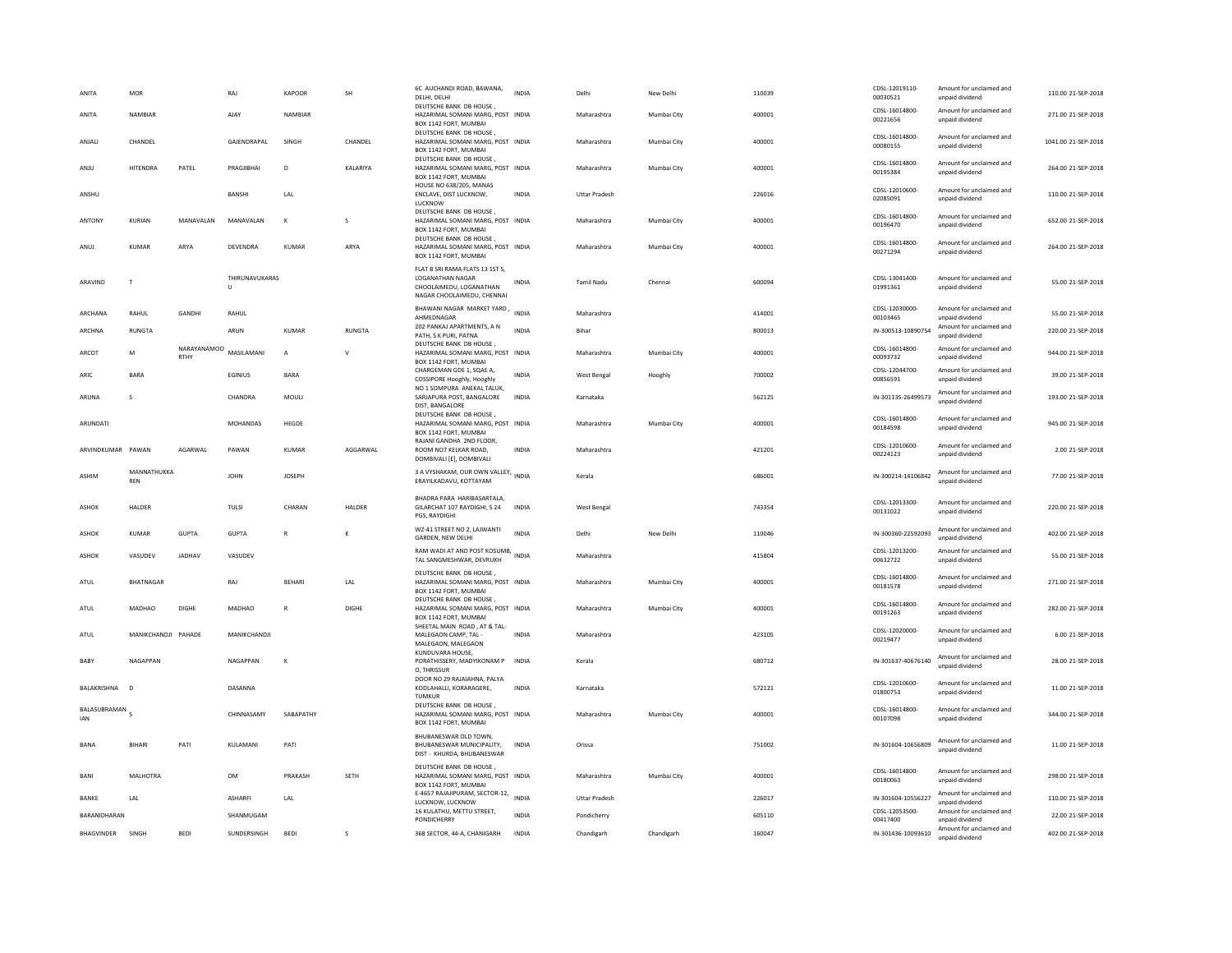| ANITA                                   | <b>MOR</b>                |                     | RAI                 | KAPOOR                  | <b>SH</b>                   | 6C AUCHANDI ROAD, BAWANA,<br>DELHI, DELHI                                                                           | <b>INDIA</b> | Delhi                | New Delhi   | 110039 | CDSL-12019110-<br>00030521 | Amount for unclaimed and<br>unpaid dividend | 110.00 21-SEP-2018  |
|-----------------------------------------|---------------------------|---------------------|---------------------|-------------------------|-----------------------------|---------------------------------------------------------------------------------------------------------------------|--------------|----------------------|-------------|--------|----------------------------|---------------------------------------------|---------------------|
| ANITA                                   | NAMBIAR                   |                     | AJAY                | NAMBIAR                 |                             | DEUTSCHE BANK DB HOUSE,<br>HAZARIMAL SOMANI MARG, POST INDIA<br>BOX 1142 FORT, MUMBAI                               |              | Maharashtra          | Mumbai City | 400001 | CDSL-16014800<br>00221656  | Amount for unclaimed and<br>unpaid dividend | 271.00 21-SEP-2018  |
| ANJALI                                  | CHANDEL                   |                     | GAJENDRAPAL         | SINGH                   | CHANDEL                     | DEUTSCHE BANK DB HOUSE,<br>HAZARIMAL SOMANI MARG, POST INDIA<br>BOX 1142 FORT, MUMBAI                               |              | Maharashtra          | Mumbai City | 400001 | CDSL-16014800-<br>00080155 | Amount for unclaimed and<br>unpaid dividend | 1041.00 21-SEP-2018 |
| ANJU                                    | HITENDRA                  | PATEL               | PRAGJIBHAI          | D                       | KALARIYA                    | DEUTSCHE BANK DB HOUSE<br>HAZARIMAL SOMANI MARG, POST INDIA<br>BOX 1142 FORT, MUMBAI                                |              | Maharashtra          | Mumbai City | 400001 | CDSL-16014800-<br>00195384 | Amount for unclaimed and<br>unpaid dividend | 264.00 21-SEP-2018  |
| ANSHU                                   |                           |                     | BANSHI              | LAL                     |                             | HOUSE NO 638/205, MANAS<br>ENCLAVE, DIST LUCKNOW.<br>LUCKNOW                                                        | <b>INDIA</b> | <b>Uttar Pradesh</b> |             | 226016 | CDSL-12010600-<br>02085091 | Amount for unclaimed and<br>unpaid dividend | 110.00 21-SEP-2018  |
| ANTONY                                  | KURIAN                    | MANAVALAN           | MANAVALAN           | K                       | S                           | DEUTSCHE BANK DB HOUSE.<br>HAZARIMAL SOMANI MARG, POST INDIA<br>BOX 1142 FORT, MUMBAI                               |              | Maharashtra          | Mumbai City | 400001 | CDSL-16014800-<br>00196470 | Amount for unclaimed and<br>unpaid dividend | 652.00 21-SEP-2018  |
| ANUJ                                    | <b>KUMAR</b>              | ARYA                | DEVENDRA            | KUMAR                   | ARYA                        | DEUTSCHE BANK DB HOUSE<br>HAZARIMAL SOMANI MARG, POST INDIA<br>BOX 1142 FORT, MUMBAI                                |              | Maharashtra          | Mumbai City | 400001 | CDSL-16014800<br>00271294  | Amount for unclaimed and<br>unpaid dividend | 264.00 21-SEP-2018  |
| ARAVIND                                 | $\mathbf{r}$              |                     | THIRUNAVUKARAS<br>U |                         |                             | FLAT B SRI RAMA FLATS 13 1ST S,<br><b>LOGANATHAN NAGAR</b><br>CHOOLAIMEDU, LOGANATHAN<br>NAGAR CHOOLAIMEDU, CHENNAI | <b>INDIA</b> | Tamil Nadu           | Chennai     | 600094 | CDSL-13041400-<br>01991361 | Amount for unclaimed and<br>unpaid dividend | 55.00 21-SEP-2018   |
| ARCHANA                                 | RAHUL                     | GANDHI              | RAHUL               |                         |                             | BHAWANI NAGAR MARKET YARD, INDIA<br>AHMEDNAGAR                                                                      |              | Maharashtra          |             | 414001 | CDSL-12030000-<br>00103465 | Amount for unclaimed and<br>unpaid dividend | 55.00 21-SEP-2018   |
| ARCHNA                                  | <b>RUNGTA</b>             |                     | ARUN                | <b>KUMAR</b>            | RUNGTA                      | 202 PANKAJ APARTMENTS, A N<br>PATH, S K PURI, PATNA                                                                 | <b>INDIA</b> | Bihar                |             | 800013 | IN-300513-10890754         | Amount for unclaimed and<br>unpaid dividend | 220.00 21-SEP-2018  |
| ARCOT                                   | M                         | NARAYANAMOO<br>RTHY | MASILAMANI          | $\overline{A}$          | v                           | DEUTSCHE BANK DB HOUSE,<br>HAZARIMAL SOMANI MARG, POST INDIA<br>BOX 1142 FORT, MUMBAI                               |              | Maharashtra          | Mumbai City | 400001 | CDSL-16014800-<br>00093732 | Amount for unclaimed and<br>unpaid dividend | 944.00 21-SEP-2018  |
| ARIC                                    | <b>BARA</b>               |                     | EGINIUS             | <b>BARA</b>             |                             | CHARGEMAN GDE 1, SQAE A,<br>COSSIPORE Hooghly, Hooghly                                                              | INDIA        | West Bengal          | Hooghly     | 700002 | CDSL-12044700-<br>00856591 | Amount for unclaimed and<br>unpaid dividend | 39.00 21-SEP-2018   |
| ARUNA                                   | s                         |                     | CHANDRA             | MOULI                   |                             | NO 1 SOMPURA ANEKAL TALUK,<br>SARJAPURA POST, BANGALORE<br>DIST, BANGALORE                                          | <b>INDIA</b> | Karnataka            |             | 562125 | IN-301135-26499573         | Amount for unclaimed and<br>unpaid dividend | 193.00 21-SEP-2018  |
| ARUNDATI                                |                           |                     | <b>MOHANDAS</b>     | HEGDE                   |                             | DEUTSCHE BANK DB HOUSE,<br>HAZARIMAL SOMANI MARG, POST INDIA<br>BOX 1142 FORT, MUMBAI                               |              | Maharashtra          | Mumbai City | 400001 | CDSL-16014800-<br>00184598 | Amount for unclaimed and<br>unpaid dividend | 945.00 21-SEP-2018  |
| ARVINDKUMAR PAWAN                       |                           | AGARWAL             | PAWAN               | KUMAR                   | AGGARWAL                    | RAJANI GANDHA 2ND FLOOR,<br>ROOM NO7 KELKAR ROAD.                                                                   | <b>INDIA</b> | Maharashtra          |             | 421201 | CDSL-12010600-<br>00224123 | Amount for unclaimed and<br>unpaid dividend | 2.00 21-SEP-2018    |
|                                         |                           |                     |                     |                         |                             | DOMBIVALI [E], DOMBIVALI                                                                                            |              |                      |             |        |                            |                                             |                     |
| <b>ASHIM</b>                            | MANNATHUKKA<br><b>REN</b> |                     | <b>JOHN</b>         | <b>JOSEPH</b>           |                             | 3 A VYSHAKAM, OUR OWN VALLEY, INDIA<br>ERAYILKADAVU, KOTTAYAM                                                       |              | Kerala               |             | 686001 | IN-300214-14106842         | Amount for unclaimed and<br>unpaid dividend | 77.00 21-SEP-2018   |
| <b>ASHOK</b>                            | HALDER                    |                     | TULSI               | CHARAN                  | HALDER                      | BHADRA PARA HARIBASARTALA.<br>GILARCHAT 107 RAYDIGHI, S 24<br>PGS, RAYDIGHI                                         | <b>INDIA</b> | West Bengal          |             | 743354 | CDSL-12013300-<br>00131022 | Amount for unclaimed and<br>unpaid dividend | 220.00 21-SEP-2018  |
| <b>ASHOK</b>                            | <b>KUMAR</b>              | <b>GUPTA</b>        | GUPTA               | $\mathsf{R}$            | к                           | WZ-41 STREET NO 2, LAJWANTI<br>GARDEN, NEW DELHI                                                                    | <b>INDIA</b> | Delhi                | New Delhi   | 110046 | IN-300360-22592093         | Amount for unclaimed and<br>unpaid dividend | 402.00 21-SEP-2018  |
| ASHOK                                   | VASUDEV                   | JADHAV              | VASUDEV             |                         |                             | RAM WADI AT AND POST KOSUMB, INDIA<br>TAL SANGMESHWAR, DEVRUKH                                                      |              | Maharashtra          |             | 415804 | CDSL-12013200-<br>00632722 | Amount for unclaimed and<br>unpaid dividend | 55.00 21-SEP-2018   |
| ATUL                                    | <b>BHATNAGAR</b>          |                     | RAJ                 | <b>BEHARI</b>           | $\ensuremath{\mathsf{LAL}}$ | DEUTSCHE BANK DB HOUSE.<br>HAZARIMAL SOMANI MARG, POST INDIA<br>BOX 1142 FORT, MUMBAI                               |              | Maharashtra          | Mumbai City | 400001 | CDSL-16014800-<br>00181578 | Amount for unclaimed and<br>unpaid dividend | 271.00 21-SEP-2018  |
| ATUL                                    | MADHAO                    | <b>DIGHE</b>        | MADHAO              | $\overline{\mathsf{R}}$ | <b>DIGHE</b>                | DEUTSCHE BANK DB HOUSE,<br>HAZARIMAL SOMANI MARG, POST INDIA<br>BOX 1142 FORT, MUMBAI                               |              | Maharashtra          | Mumbai City | 400001 | CDSL-16014800-<br>00191263 | Amount for unclaimed and<br>unpaid dividend | 282.00 21-SEP-2018  |
| ATUL                                    | MANIKCHANDII PAHADE       |                     | MANIKCHANDII        |                         |                             | SHEETAL MAIN ROAD, AT & TAL-<br>MALEGAON CAMP. TAL -<br>MALEGAON, MALEGAON                                          | <b>INDIA</b> | Maharashtra          |             | 423105 | CDSL-12020000-<br>00219477 | Amount for unclaimed and<br>unpaid dividend | 6.00 21-SEP-2018    |
| BABY                                    | NAGAPPAN                  |                     | NAGAPPAN            |                         |                             | KUNDUVARA HOUSE.<br>PORATHISSERY, MADYIKONAM P INDIA<br>O. THRISSUE                                                 |              | Kerala               |             | 680712 | IN-301637-40676140         | Amount for unclaimed and<br>unpaid dividend | 28.00 21-SEP-2018   |
| <b>BALAKRISHNA</b>                      | - D                       |                     | DASANNA             |                         |                             | DOOR NO 29 RAJAIAHNA, PALYA<br>KODLAHALLI, KORARAGERE.                                                              | <b>INDIA</b> | Karnataka            |             | 572121 | CDSL-12010600<br>01800753  | Amount for unclaimed and<br>unpaid dividend | 11.00.21-SEP-2018   |
| BALASUBRAMAN <sub>S</sub><br><b>IAN</b> |                           |                     | CHINNASAMY          | SABAPATHY               |                             | <b>TUMKUR</b><br>DEUTSCHE BANK DB HOUSE.<br>HAZARIMAL SOMANI MARG, POST INDIA<br>BOX 1142 FORT, MUMBAI              |              | Maharashtra          | Mumbai City | 400001 | CDSL-16014800-<br>00107098 | Amount for unclaimed and<br>unpaid dividend | 344.00 21-SEP-2018  |
| BANA                                    | <b>BIHARI</b>             | PATI                | KULAMANI            | PATI                    |                             | BHUBANESWAR OLD TOWN,<br>BHUBANESWAR MUNICIPALITY,<br>DIST - KHURDA, BHUBANESWAR                                    | <b>INDIA</b> | Orissa               |             | 751002 | IN-301604-10656809         | Amount for unclaimed and<br>unpaid dividend | 11.00 21-SEP-2018   |
| BANI                                    | <b>MALHOTRA</b>           |                     | <b>OM</b>           | PRAKASH                 | SETH                        | DEUTSCHE BANK DB HOUSE,<br>HAZARIMAL SOMANI MARG, POST INDIA                                                        |              | Maharashtra          | Mumbai City | 400001 | CDSI-16014800-<br>00180063 | Amount for unclaimed and<br>unpaid dividend | 298.00 21-SEP-2018  |
| BANKE                                   | LAL                       |                     | <b>ASHARFI</b>      | LAL                     |                             | BOX 1142 FORT, MUMBAI<br>E-4657 RAJAJIPURAM, SECTOR-12, INDIA                                                       |              | <b>Uttar Pradesh</b> |             | 226017 | IN-301604-10556227         | Amount for unclaimed and<br>unpaid dividend | 110.00 21-SEP-2018  |
| BARANIDHARAN                            |                           |                     | SHANMUGAM           |                         |                             | LUCKNOW, LUCKNOW<br>16 KULATHU, METTU STREET,<br>PONDICHERRY                                                        | INDIA        | Pondicherry          |             | 605110 | CDSL-12053500<br>00417400  | Amount for unclaimed and<br>unpaid dividend | 22.00 21-SEP-2018   |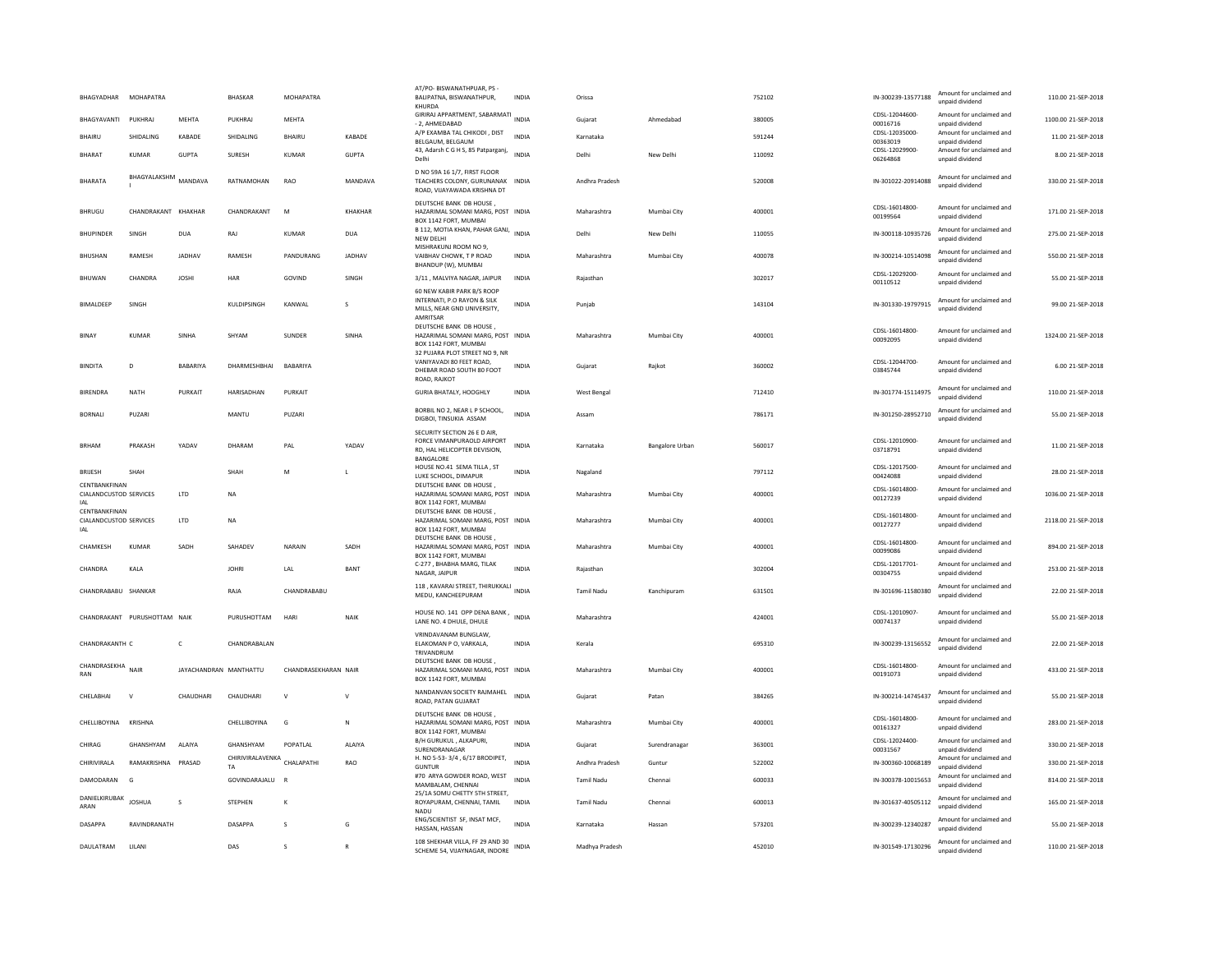| BHAGYADHAR MOHAPATRA                           |                              |                        | BHASKAR                                  | MOHAPATRA            |                | AT/PO- BISWANATHPUAR, PS-<br>BALIPATNA, BISWANATHPUR,<br>KHURDA                                                         | <b>INDIA</b> | Orissa             |                        | 752102 | IN-300239-13577188         | Amount for unclaimed and<br>unpaid dividend | 110.00 21-SEP-2018  |
|------------------------------------------------|------------------------------|------------------------|------------------------------------------|----------------------|----------------|-------------------------------------------------------------------------------------------------------------------------|--------------|--------------------|------------------------|--------|----------------------------|---------------------------------------------|---------------------|
| BHAGYAVANTI                                    | PUKHRAJ                      | MEHTA                  | PUKHRAJ                                  | MEHTA                |                | GIRIRAJ APPARTMENT, SABARMATI<br>- 2. AHMEDABAD                                                                         | INDIA        | Gujarat            | Ahmedabad              | 380005 | CDSL-12044600-<br>00016716 | Amount for unclaimed and<br>unpaid dividend | 1100.00 21-SEP-2018 |
| <b>BHAIRU</b>                                  | <b>SHIDALING</b>             | KABADE                 | <b>SHIDALING</b>                         | <b>BHAIRLI</b>       | KABADE         | A/P EXAMBA TAL CHIKODI, DIST<br>BELGAUM, BELGAUM                                                                        | <b>INDIA</b> | Karnataka          |                        | 591244 | CDSL-12035000<br>00363019  | Amount for unclaimed and<br>unpaid dividend | 11.00 21-SEP-2018   |
| <b>BHARAT</b>                                  | <b>KUMAR</b>                 | <b>GUPTA</b>           | SURESH                                   | <b>KUMAR</b>         | <b>GUPTA</b>   | 43, Adarsh C G H S, 85 Patparganj,<br>Delhi                                                                             | <b>INDIA</b> | Delhi              | New Delhi              | 110092 | CDSL-12029900-<br>06264868 | Amount for unclaimed and<br>unpaid dividend | 8.00 21-SEP-2018    |
| <b>BHARATA</b>                                 | BHAGYALAKSHM MANDAVA         |                        | RATNAMOHAN                               | RAO                  | MANDAVA        | D NO 59A 16 1/7, FIRST FLOOR<br>TEACHERS COLONY, GURUNANAK INDIA<br>ROAD, VIJAYAWADA KRISHNA DT                         |              | Andhra Pradesh     |                        | 520008 | IN-301022-20914088         | Amount for unclaimed and<br>unpaid dividend | 330.00 21-SEP-2018  |
| BHRUGU                                         | CHANDRAKANT KHAKHAR          |                        | CHANDRAKANT                              | M                    | KHAKHAR        | DEUTSCHE BANK DB HOUSE<br>HAZARIMAL SOMANI MARG, POST INDIA<br>BOX 1142 FORT, MUMBAI                                    |              | Maharashtra        | Mumbai City            | 400001 | CDSL-16014800-<br>00199564 | Amount for unclaimed and<br>unnaid dividend | 171.00 21-SEP-2018  |
| <b>BHUPINDER</b>                               | SINGH                        | <b>DUA</b>             | RAJ                                      | <b>KUMAR</b>         | <b>DUA</b>     | B 112, MOTIA KHAN, PAHAR GANJ, INDIA<br><b>NEW DELHI</b>                                                                |              | Delhi              | New Delhi              | 110055 | IN-300118-10935726         | Amount for unclaimed and<br>unpaid dividend | 275.00 21-SEP-2018  |
| <b>BHUSHAN</b>                                 | RAMESH                       | <b>JADHAV</b>          | RAMESH                                   | PANDURANG            | JADHAV         | MISHRAKUNJ ROOM NO 9.<br>VAIBHAV CHOWK, T P ROAD<br>BHANDUP (W), MUMBAI                                                 | <b>INDIA</b> | Maharashtra        | Mumbai City            | 400078 | IN-300214-10514098         | Amount for unclaimed and<br>unnaid dividend | 550.00 21-SEP-2018  |
| <b>BHUWAN</b>                                  | CHANDRA                      | <b>IOSHI</b>           | HAR                                      | GOVIND               | SINGH          | 3/11, MALVIYA NAGAR, JAIPUR                                                                                             | <b>INDIA</b> | Raiasthan          |                        | 302017 | CDSL-12029200-<br>00110512 | Amount for unclaimed and<br>unpaid dividend | 55.00 21-SEP-2018   |
| BIMALDEEP                                      | SINGH                        |                        | KULDIPSINGH                              | KANWAL               | s              | 60 NEW KABIR PARK B/S ROOP<br>INTERNATI, P.O RAYON & SILK<br>MILLS, NEAR GND UNIVERSITY,<br>AMRITSAR                    | <b>INDIA</b> | Punjab             |                        | 143104 | IN-301330-19797915         | Amount for unclaimed and<br>unpaid dividend | 99.00 21-SEP-2018   |
| BINAY                                          | KUMAR                        | SINHA                  | SHYAM                                    | <b>SUNDER</b>        | SINHA          | DEUTSCHE BANK DB HOUSE,<br>HAZARIMAL SOMANI MARG, POST INDIA<br>BOX 1142 FORT, MUMBAI<br>32 PUJARA PLOT STREET NO 9, NR |              | Maharashtra        | Mumbai City            | 400001 | CDSL-16014800-<br>00092095 | Amount for unclaimed and<br>unpaid dividend | 1324.00 21-SEP-2018 |
| <b>BINDITA</b>                                 | D                            | BABARIYA               | DHARMESHBHAI                             | BABARIYA             |                | VANIYAVADI 80 FEET ROAD,<br>DHEBAR ROAD SOUTH 80 FOOT<br>ROAD, RAJKOT                                                   | INDIA        | Gujarat            | Rajkot                 | 360002 | CDSL-12044700-<br>03845744 | Amount for unclaimed and<br>unnaid dividend | 6.00 21-SEP-2018    |
| <b>BIRENDRA</b>                                | <b>NATH</b>                  | PURKAIT                | <b>HARISADHAN</b>                        | PURKAIT              |                | GURIA BHATALY, HOOGHLY                                                                                                  | <b>INDIA</b> | <b>West Bengal</b> |                        | 712410 | IN-301774-15114975         | Amount for unclaimed and<br>unpaid dividenc | 110.00 21-SEP-2018  |
| <b>BORNALI</b>                                 | PUZARI                       |                        | MANTU                                    | PUZARI               |                | BORBIL NO 2, NEAR L P SCHOOL,<br>DIGBOI, TINSUKIA ASSAM                                                                 | <b>INDIA</b> | Assam              |                        | 786171 | IN-301250-28952710         | Amount for unclaimed and<br>unpaid dividend | 55.00 21-SEP-2018   |
| <b>BRHAM</b>                                   | PRAKASH                      | YADAV                  | DHARAM                                   | PAL                  | YADAV          | SECURITY SECTION 26 E D AIR,<br>FORCE VIMANPURAOLD AIRPORT<br>RD. HAL HELICOPTER DEVISION.<br>BANGALORE                 | <b>INDIA</b> | Karnataka          | <b>Bangalore Urban</b> | 560017 | CDSL-12010900-<br>03718791 | Amount for unclaimed and<br>unpaid dividend | 11.00 21-SEP-2018   |
| <b>BRUESH</b>                                  | SHAH                         |                        | SHAH                                     | M                    |                | HOUSE NO.41 SEMA TILLA, ST<br>LUKE SCHOOL, DIMAPUR                                                                      | <b>INDIA</b> | Nagaland           |                        | 797112 | CDSL-12017500-<br>00424088 | Amount for unclaimed and<br>unpaid dividend | 28.00 21-SEP-2018   |
| CENTBANKFINAN<br>CIALANDCUSTOD SERVICES        |                              | LTD                    | <b>NA</b>                                |                      |                | DEUTSCHE BANK DB HOUSE.<br>HAZARIMAL SOMANI MARG, POST INDIA<br>BOX 1142 FORT, MUMBAI                                   |              | Maharashtra        | Mumbai City            | 400001 | CDSL-16014800-<br>00127239 | Amount for unclaimed and<br>unpaid dividend | 1036.00 21-SEP-2018 |
| CENTRANKEINAN<br>CIALANDCUSTOD SERVICES<br>IAL |                              | LTD                    | <b>NA</b>                                |                      |                | DEUTSCHE BANK DB HOUSE<br>HAZARIMAL SOMANI MARG, POST INDIA<br>BOX 1142 FORT, MUMBAI                                    |              | Maharashtra        | Mumbai City            | 400001 | CDSL-16014800-<br>00127277 | Amount for unclaimed and<br>unnaid dividend | 2118.00 21-SEP-2018 |
| CHAMKESH                                       | <b>KUMAR</b>                 | SADH                   | SAHADEV                                  | NARAIN               | SADH           | DEUTSCHE BANK DB HOUSE<br>HAZARIMAL SOMANI MARG, POST INDIA<br>BOX 1142 FORT, MUMBAI                                    |              | Maharashtra        | Mumbai City            | 400001 | CDSI-16014800-<br>00099086 | Amount for unclaimed and<br>unpaid dividend | 894.00 21-SEP-2018  |
| CHANDRA                                        | KALA                         |                        | <b>IOHRI</b>                             | LAL                  | BANT           | C-277, BHABHA MARG, TILAK<br>NAGAR, JAIPUR                                                                              | <b>INDIA</b> | Rajasthan          |                        | 302004 | CDSL-12017701<br>00304755  | Amount for unclaimed and<br>unpaid dividend | 253.00 21-SEP-2018  |
| CHANDRABABU SHANKAR                            |                              |                        | RAJA                                     | CHANDRABABU          |                | 118, KAVARAI STREET, THIRUKKALI<br>MEDU, KANCHEEPURAM                                                                   | <b>INDIA</b> | <b>Tamil Nadu</b>  | Kanchipuram            | 631501 | IN-301696-11580380         | Amount for unclaimed and<br>unpaid dividend | 22.00 21-SEP-2018   |
|                                                | CHANDRAKANT PURUSHOTTAM NAIK |                        | PURUSHOTTAM                              | HARI                 | NAIK           | HOUSE NO. 141 OPP DENA BANK, INDIA<br>LANE NO. 4 DHULE, DHULE                                                           |              | Maharashtra        |                        | 424001 | CDSL-12010907-<br>00074137 | Amount for unclaimed and<br>unpaid dividend | 55.00 21-SEP-2018   |
| CHANDRAKANTH C                                 |                              | $\mathsf{C}$           | CHANDRABALAN                             |                      |                | VRINDAVANAM BUNGLAW.<br>ELAKOMAN P O, VARKALA,<br>TRIVANDRUM                                                            | <b>INDIA</b> | Kerala             |                        | 695310 | IN-300239-13156552         | Amount for unclaimed and<br>unpaid dividend | 22.00 21-SEP-2018   |
| CHANDRASEKHA<br>RAN                            | NAIR                         | JAYACHANDRAN MANTHATTU |                                          | CHANDRASEKHARAN NAIR |                | DEUTSCHE BANK DB HOUSE,<br>HAZARIMAL SOMANI MARG, POST INDIA<br>BOX 1142 FORT, MUMBAI                                   |              | Maharashtra        | Mumbai City            | 400001 | CDSI-16014800-<br>00191073 | Amount for unclaimed and<br>unpaid dividend | 433.00 21-SEP-2018  |
| CHELABHAI                                      | $\mathbf{v}$                 | CHAUDHARI              | CHAUDHARI                                | $\mathsf{v}$         | $\mathsf{v}$   | NANDANVAN SOCIETY RAJMAHEL<br>ROAD, PATAN GUJARAT                                                                       | <b>INDIA</b> | Gujarat            | Patan                  | 384265 | IN-300214-14745437         | Amount for unclaimed and<br>unpaid dividend | 55.00.21-SEP-2018   |
| CHELLIBOYINA KRISHNA                           |                              |                        | CHELLIBOYINA                             | G                    | N              | DEUTSCHE BANK DB HOUSE<br>HAZARIMAL SOMANI MARG, POST INDIA<br>BOX 1142 FORT, MUMBAI                                    |              | Maharashtra        | Mumbai City            | 400001 | CDSL-16014800-<br>00161327 | Amount for unclaimed and<br>unpaid dividend | 283.00 21-SEP-2018  |
| CHIRAG                                         | GHANSHYAM                    | ALAIYA                 | GHANSHYAM                                | POPATLAL             | ALAIYA         | B/H GURUKUL, ALKAPURI,<br>SURENDRANAGAR                                                                                 | <b>INDIA</b> | Gujarat            | Surendranagar          | 363001 | CDSL-12024400-<br>00031567 | Amount for unclaimed and<br>unpaid dividend | 330.00 21-SEP-2018  |
| CHIRIVIRALA                                    | RAMAKRISHNA PRASAD           |                        | CHIRIVIRALAVENKA CHALAPATHI<br><b>TA</b> |                      | RAO            | H. NO 5-53-3/4, 6/17 BRODIPET,<br><b>GUNTUR</b>                                                                         | <b>INDIA</b> | Andhra Pradesh     | Guntur                 | 522002 | IN-300360-10068189         | Amount for unclaimed and<br>unpaid dividend | 330.00 21-SEP-2018  |
| DAMODARAN                                      | G                            |                        | GOVINDARAJALU                            |                      |                | #70 ARYA GOWDER ROAD, WEST<br>MAMBALAM, CHENNAI                                                                         | <b>INDIA</b> | <b>Tamil Nadu</b>  | Chennai                | 600033 | IN-300378-10015653         | Amount for unclaimed and<br>unpaid dividend | 814.00 21-SEP-2018  |
| DANIELKIRUBAK<br>ARAN                          | <b>IOSHUA</b>                | s                      | <b>STEPHEN</b>                           | К                    |                | 25/1A SOMU CHETTY 5TH STREET.<br>ROYAPURAM, CHENNAI, TAMIL<br>NADU                                                      | <b>INDIA</b> | <b>Tamil Nadu</b>  | Chennai                | 600013 | IN-301637-40505112         | Amount for unclaimed and<br>unnaid dividend | 165.00 21-SEP-2018  |
| <b>DASAPPA</b>                                 | RAVINDRANATH                 |                        | DASAPPA                                  | s                    | G              | ENG/SCIENTIST SF, INSAT MCF,<br>HASSAN, HASSAN                                                                          | INDIA        | Karnataka          | Hassan                 | 573201 | IN-300239-12340287         | Amount for unclaimed and<br>unpaid dividend | 55.00 21-SEP-2018   |
| DAULATRAM                                      | LILANI                       |                        | DAS                                      | s                    | $\overline{R}$ | 108 SHEKHAR VILLA, FF 29 AND 30<br>SCHEME 54. VIIAYNAGAR. INDORE                                                        | <b>INDIA</b> | Madhya Pradesh     |                        | 452010 | IN-301549-17130296         | Amount for unclaimed and<br>unnaid dividend | 110.00 21-SEP-2018  |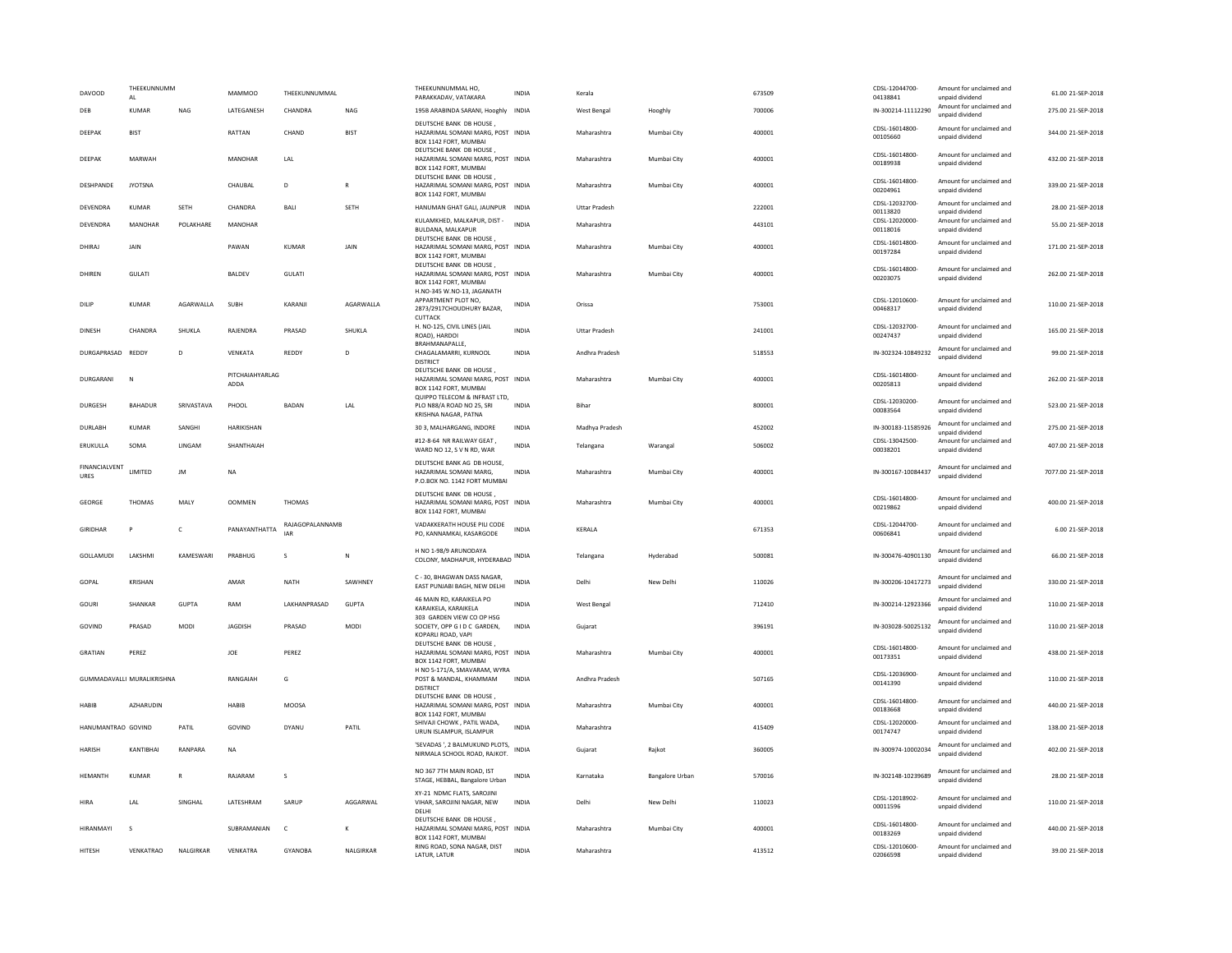| <b>DAVOOD</b>         | THEEKUNNUMM<br>AI          |                | <b>MAMMOO</b>           | THEEKUNNUMMAL                 |               | THEEKUNNUMMAL HO.<br>PARAKKADAV, VATAKARA                                                                          | <b>INDIA</b> | Kerala               |                        | 673509 | CDSL-12044700-<br>04138841 | Amount for unclaimed and<br>unpaid dividend | 61.00 21-SEP-2018   |
|-----------------------|----------------------------|----------------|-------------------------|-------------------------------|---------------|--------------------------------------------------------------------------------------------------------------------|--------------|----------------------|------------------------|--------|----------------------------|---------------------------------------------|---------------------|
| DEB                   | <b>KUMAR</b>               | <b>NAG</b>     | LATEGANESH              | CHANDRA                       | <b>NAG</b>    | 195B ARABINDA SARANI, Hooghly INDIA                                                                                |              | West Bengal          | Hooghly                | 700006 | IN-300214-11112290         | Amount for unclaimed and<br>unpaid dividend | 275.00 21-SEP-2018  |
| DEEPAK                | <b>BIST</b>                |                | RATTAN                  | CHAND                         | <b>BIST</b>   | DEUTSCHE BANK DB HOUSE<br>HAZARIMAL SOMANI MARG, POST INDIA<br>BOX 1142 FORT, MUMBAI                               |              | Maharashtra          | Mumbai City            | 400001 | CDSL-16014800-<br>00105660 | Amount for unclaimed and<br>unpaid dividend | 344.00 21-SEP-2018  |
| DEEPAK                | MARWAH                     |                | <b>MANOHAR</b>          | LAL                           |               | DEUTSCHE BANK DB HOUSE<br>HAZARIMAL SOMANI MARG, POST INDIA<br>BOX 1142 FORT, MUMBAI                               |              | Maharashtra          | Mumbai City            | 400001 | CDSL-16014800-<br>00189938 | Amount for unclaimed and<br>unpaid dividend | 432.00 21-SEP-2018  |
| <b>DESHPANDE</b>      | <b>IYOTSNA</b>             |                | CHAURAL                 | D.                            | R             | DEUTSCHE BANK DB HOUSE,<br>HAZARIMAL SOMANI MARG, POST INDIA<br>BOX 1142 FORT, MUMBAI                              |              | Maharashtra          | Mumbai City            | 400001 | CDSL-16014800-<br>00204961 | Amount for unclaimed and<br>unpaid dividend | 339.00.21-SEP-2018  |
| DEVENDRA              | <b>KUMAR</b>               | <b>SETH</b>    | CHANDRA                 | BALI                          | <b>SETH</b>   | HANUMAN GHAT GALI, JAUNPUR INDIA                                                                                   |              | <b>Uttar Pradesh</b> |                        | 222001 | CDSL-12032700-<br>00113820 | Amount for unclaimed and<br>unpaid dividend | 28.00 21-SEP-2018   |
| DEVENDRA              | MANOHAR                    | POLAKHARE      | <b>MANOHAR</b>          |                               |               | KULAMKHED, MALKAPUR, DIST -<br>BULDANA, MALKAPUR<br>DEUTSCHE BANK DB HOUSE,                                        | <b>INDIA</b> | Maharashtra          |                        | 443101 | CDSL-12020000-<br>00118016 | Amount for unclaimed and<br>unpaid dividend | 55.00 21-SEP-2018   |
| DHIRAJ                | JAIN                       |                | PAWAN                   | KUMAR                         | JAIN          | HAZARIMAL SOMANI MARG, POST INDIA<br>BOX 1142 FORT, MUMBAI                                                         |              | Maharashtra          | Mumbai City            | 400001 | CDSL-16014800-<br>00197284 | Amount for unclaimed and<br>unpaid dividend | 171.00 21-SEP-2018  |
| DHIREN                | GULATI                     |                | BALDEV                  | <b>GULATI</b>                 |               | DEUTSCHE BANK DB HOUSE<br>HAZARIMAL SOMANI MARG, POST INDIA<br>BOX 1142 FORT, MUMBAI<br>H.NO-345 W.NO-13, JAGANATH |              | Maharashtra          | Mumbai City            | 400001 | CDSL-16014800-<br>00203075 | Amount for unclaimed and<br>unpaid dividend | 262.00 21-SEP-2018  |
| DILIP                 | <b>KUMAR</b>               | AGARWALLA      | SUBH                    | KARANJI                       | AGARWALLA     | APPARTMENT PLOT NO.<br>2873/2917CHOUDHURY BAZAR,<br><b>CUTTACK</b>                                                 | <b>INDIA</b> | Orissa               |                        | 753001 | CDSL-12010600<br>00468317  | Amount for unclaimed and<br>unpaid dividend | 110.00 21-SEP-2018  |
| <b>DINESH</b>         | CHANDRA                    | <b>SHUKLA</b>  | RAIFNDRA                | PRASAD                        | <b>SHUKLA</b> | H. NO-125, CIVIL LINES (JAIL<br>ROAD), HARDOI<br>BRAHMANAPALLE,                                                    | <b>INDIA</b> | <b>Uttar Pradesh</b> |                        | 241001 | CDSL-12032700-<br>00247437 | Amount for unclaimed and<br>unpaid dividend | 165.00.21-SEP-2018  |
| DURGAPRASAD           | <b>REDDY</b>               | D              | VENKATA                 | REDDY                         | D             | CHAGALAMARRI, KURNOOL<br><b>DISTRICT</b>                                                                           | <b>INDIA</b> | Andhra Pradesh       |                        | 518553 | IN-302324-10849232         | Amount for unclaimed and<br>unpaid dividend | 99.00 21-SEP-2018   |
| DURGARANI             | N                          |                | PITCHAIAHYARLAG<br>ADDA |                               |               | DEUTSCHE BANK DB HOUSE,<br>HAZARIMAL SOMANI MARG, POST INDIA<br>BOX 1142 FORT, MUMBAI                              |              | Maharashtra          | Mumbai City            | 400001 | CDSL-16014800-<br>00205813 | Amount for unclaimed and<br>unpaid dividend | 262.00 21-SEP-2018  |
| <b>DURGESH</b>        | <b>BAHADUR</b>             | SRIVASTAVA     | PHOOL                   | <b>BADAN</b>                  | <b>IAI</b>    | QUIPPO TELECOM & INFRAST LTD,<br>PLO N88/A ROAD NO 25, SRI<br>KRISHNA NAGAR, PATNA                                 | <b>INDIA</b> | <b>Bihar</b>         |                        | 800001 | CDSL-12030200-<br>00083564 | Amount for unclaimed and<br>unpaid dividend | 523.00.21-SEP-2018  |
| DURLABH               | <b>KUMAR</b>               | SANGHI         | <b>HARIKISHAN</b>       |                               |               | 30 3, MALHARGANG, INDORE                                                                                           | INDIA        | Madhya Pradesh       |                        | 452002 | IN-300183-11585926         | Amount for unclaimed and<br>unpaid dividend | 275.00 21-SEP-2018  |
| ERUKULLA              | SOMA                       | LINGAM         | SHANTHAIAH              |                               |               | #12-8-64 NR RAILWAY GEAT,<br>WARD NO 12, S V N RD, WAR                                                             | <b>INDIA</b> | Telangana            | Warangal               | 506002 | CDSL-13042500-<br>00038201 | Amount for unclaimed and<br>unpaid dividend | 407.00 21-SEP-2018  |
| FINANCIALVENT<br>URES | LIMITED                    | JM             | NA                      |                               |               | DEUTSCHE BANK AG DB HOUSE.<br>HAZARIMAL SOMANI MARG,<br>P.O.BOX NO. 1142 FORT MUMBAI                               | INDIA        | Maharashtra          | Mumbai City            | 400001 | IN-300167-10084437         | Amount for unclaimed and<br>unpaid dividend | 7077.00 21-SEP-2018 |
| GEORGE                | THOMAS                     | MALY           | <b>OOMMEN</b>           | <b>THOMAS</b>                 |               | DEUTSCHE BANK DB HOUSE.<br>HAZARIMAL SOMANI MARG, POST INDIA<br>BOX 1142 FORT, MUMBAI                              |              | Maharashtra          | Mumbai City            | 400001 | CDSL-16014800-<br>00219862 | Amount for unclaimed and<br>unpaid dividend | 400.00 21-SEP-2018  |
| GIRIDHAR              | P                          | c              | PANAYANTHATTA           | RAJAGOPALANNAMB<br><b>JAR</b> |               | VADAKKERATH HOUSE PILI CODE<br>PO, KANNAMKAI, KASARGODE                                                            | INDIA        | KERALA               |                        | 671353 | CDSL-12044700-<br>00606841 | Amount for unclaimed and<br>unpaid dividend | 6.00 21-SEP-2018    |
| GOLLAMUDI             | LAKSHMI                    | KAMESWARI      | PRABHUG                 | s                             | $\mathbb{N}$  | H NO 1-98/9 ARUNODAYA<br>COLONY, MADHAPUR, HYDERABAD INDIA                                                         |              | Telangana            | Hyderabad              | 500081 | IN-300476-40901130         | Amount for unclaimed and<br>unpaid dividend | 66.00 21-SEP-2018   |
| GOPAL                 | <b>KRISHAN</b>             |                | AMAR                    | <b>NATH</b>                   | SAWHNEY       | C - 30. BHAGWAN DASS NAGAR.<br>EAST PUNJABI BAGH, NEW DELHI                                                        | <b>INDIA</b> | Delhi                | New Delhi              | 110026 | IN-300206-10417273         | Amount for unclaimed and<br>unpaid dividend | 330.00 21-SEP-2018  |
| GOURI                 | SHANKAR                    | <b>GUPTA</b>   | RAM                     | LAKHANPRASAD                  | <b>GUPTA</b>  | 46 MAIN RD, KARAIKELA PO<br>KARAIKELA, KARAIKELA                                                                   | <b>INDIA</b> | West Bengal          |                        | 712410 | IN-300214-12923366         | Amount for unclaimed and<br>unpaid dividend | 110.00 21-SEP-2018  |
| GOVIND                | PRASAD                     | MODI           | JAGDISH                 | PRASAD                        | MODI          | 303 GARDEN VIEW CO OP HSG<br>SOCIETY, OPP G I D C GARDEN.<br>KOPARLI ROAD, VAPI                                    | <b>INDIA</b> | Guiarat              |                        | 396191 | IN-303028-50025132         | Amount for unclaimed and<br>unpaid dividend | 110.00 21-SEP-2018  |
| <b>GRATIAN</b>        | PEREZ                      |                | JOE                     | PEREZ                         |               | DEUTSCHE BANK DB HOUSE,<br>HAZARIMAL SOMANI MARG, POST INDIA<br>BOX 1142 FORT, MUMBAI                              |              | Maharashtra          | Mumbai City            | 400001 | CDSL-16014800-<br>00173351 | Amount for unclaimed and<br>unpaid dividend | 438.00 21-SEP-2018  |
|                       | GUMMADAVALLI MURALIKRISHNA |                | RANGAIAH                | G                             |               | H NO 5-171/A. SMAVARAM. WYRA<br>POST & MANDAL, KHAMMAM<br><b>DISTRICT</b>                                          | INDIA        | Andhra Pradesh       |                        | 507165 | CDSL-12036900-<br>00141390 | Amount for unclaimed and<br>unpaid dividend | 110.00 21-SEP-2018  |
| HABIB                 | <b>AZHARUDIN</b>           |                | HABIB                   | MOOSA                         |               | DEUTSCHE BANK DB HOUSE,<br>HAZARIMAL SOMANI MARG, POST INDIA<br>BOX 1142 FORT, MUMBAI                              |              | Maharashtra          | Mumbai City            | 400001 | CDSL-16014800-<br>00183668 | Amount for unclaimed and<br>unpaid dividend | 440.00 21-SEP-2018  |
| HANUMANTRAO GOVIND    |                            | PATIL          | GOVIND                  | DYANU                         | PATIL         | SHIVAJI CHOWK, PATIL WADA.<br>URUN ISLAMPUR, ISLAMPUR                                                              | <b>INDIA</b> | Maharashtra          |                        | 415409 | CDSL-12020000-<br>00174747 | Amount for unclaimed and<br>unpaid dividend | 138.00 21-SEP-2018  |
| HARISH                | KANTIBHAI                  | RANPARA        | NA                      |                               |               | 'SEVADAS ', 2 BALMUKUND PLOTS,<br>NIRMALA SCHOOL ROAD, RAJKOT.                                                     | INDIA        | Gujarat              | Rajkot                 | 360005 | IN-300974-10002034         | Amount for unclaimed and<br>unpaid dividend | 402.00 21-SEP-2018  |
| <b>HEMANTH</b>        | <b>KUMAR</b>               | $\overline{R}$ | RAJARAM                 | s                             |               | NO 367 7TH MAIN ROAD, IST<br>STAGE, HEBBAL, Bangalore Urban                                                        | <b>INDIA</b> | Karnataka            | <b>Bangalore Urban</b> | 570016 | IN-302148-10239689         | Amount for unclaimed and<br>unpaid dividend | 28.00 21-SEP-2018   |
| HIRA                  | LAL                        | SINGHAL        | LATESHRAM               | SARUP                         | AGGARWAL      | XY-21 NDMC FLATS, SAROJINI<br>VIHAR, SAROJINI NAGAR, NEW<br>DELHI                                                  | <b>INDIA</b> | Delhi                | New Delhi              | 110023 | CDSL-12018902<br>00011596  | Amount for unclaimed and<br>unpaid dividend | 110.00 21-SEP-2018  |
| HIRANMAYI             | $\mathbf{s}$               |                | SUBRAMANIAN             | $\mathsf{C}$                  | к             | DEUTSCHE BANK DB HOUSE,<br>HAZARIMAL SOMANI MARG, POST INDIA<br>BOX 1142 FORT, MUMBAI                              |              | Maharashtra          | Mumbai City            | 400001 | CDSL-16014800<br>00183269  | Amount for unclaimed and<br>unpaid dividend | 440.00 21-SEP-2018  |
| HITESH                | VENKATRAO                  | NALGIRKAR      | VENKATRA                | <b>GYANOBA</b>                | NALGIRKAR     | RING ROAD, SONA NAGAR, DIST<br>LATUR, LATUR                                                                        | <b>INDIA</b> | Maharashtra          |                        | 413512 | CDSL-12010600-<br>02066598 | Amount for unclaimed and<br>unpaid dividend | 39.00 21-SEP-2018   |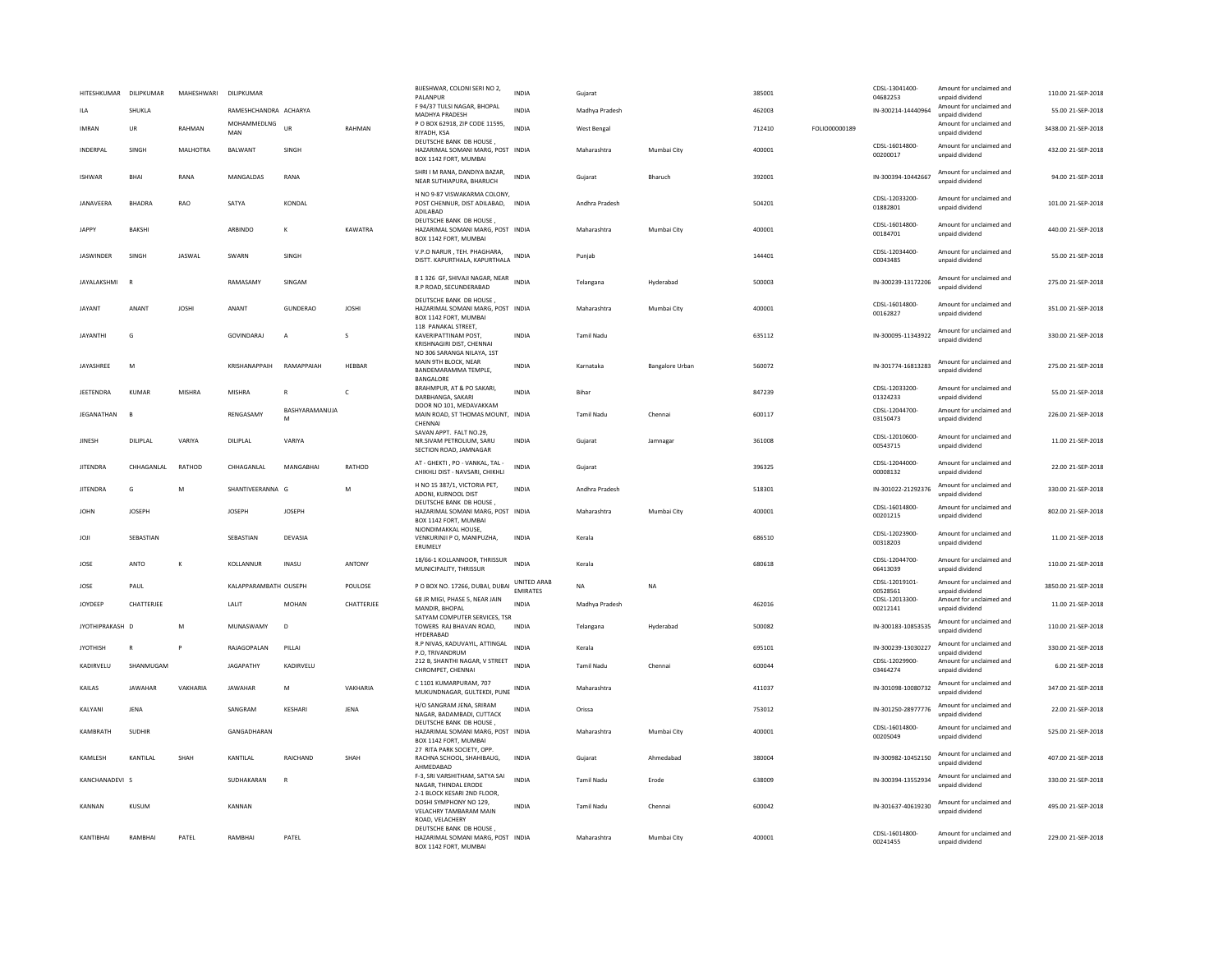| HITESHKUMAR      | DILIPKUMAR        | MAHESHWARI    | DILIPKUMAR            |                     |               | BIJESHWAR, COLONI SERI NO 2,<br>PALANPUR                                                               | <b>INDIA</b>                   | Gujarat           |                 | 385001 |               | CDSL-13041400-<br>04682253 | Amount for unclaimed and<br>unpaid dividend | 110.00 21-SEP-2018  |
|------------------|-------------------|---------------|-----------------------|---------------------|---------------|--------------------------------------------------------------------------------------------------------|--------------------------------|-------------------|-----------------|--------|---------------|----------------------------|---------------------------------------------|---------------------|
| ILA              | SHUKLA            |               | RAMESHCHANDRA ACHARYA |                     |               | F 94/37 TULSI NAGAR, BHOPAL<br><b>MADHYA PRADESH</b>                                                   | <b>INDIA</b>                   | Madhya Pradesh    |                 | 462003 |               | IN-300214-14440964         | Amount for unclaimed and<br>unpaid dividend | 55.00 21-SEP-2018   |
| <b>IMRAN</b>     | UR                | RAHMAN        | MOHAMMEDLNG<br>MAN    | <b>UR</b>           | <b>RAHMAN</b> | P O BOX 62918, ZIP CODE 11595,<br>RIYADH, KSA                                                          | <b>INDIA</b>                   | West Bengal       |                 | 712410 | FOLIO00000189 |                            | Amount for unclaimed and<br>unpaid dividend | 3438.00 21-SEP-2018 |
| INDERPAL         | SINGH             | MALHOTRA      | BALWANT               | SINGH               |               | DEUTSCHE BANK DB HOUSE,<br>HAZARIMAL SOMANI MARG, POST INDIA<br>BOX 1142 FORT, MUMBAI                  |                                | Maharashtra       | Mumbai City     | 400001 |               | CDSI-16014800-<br>00200017 | Amount for unclaimed and<br>unpaid dividend | 432.00 21-SEP-2018  |
| <b>ISHWAR</b>    | <b>BHAI</b>       | RANA          | MANGALDAS             | RANA                |               | SHRI I M RANA, DANDIYA BAZAR,<br>NEAR SUTHIAPURA, BHARUCH                                              | <b>INDIA</b>                   | Gujarat           | Bharuch         | 392001 |               | IN-300394-10442667         | Amount for unclaimed and<br>unpaid dividend | 94.00 21-SEP-2018   |
| JANAVEERA        | <b>BHADRA</b>     | RAO           | SATYA                 | KONDAL              |               | H NO 9-87 VISWAKARMA COLONY,<br>POST CHENNUR, DIST ADILABAD, INDIA<br>ADILABAD                         |                                | Andhra Pradesh    |                 | 504201 |               | CDSL-12033200-<br>01882801 | Amount for unclaimed and<br>unpaid dividend | 101.00 21-SEP-2018  |
| <b>JAPPY</b>     | <b>BAKSHI</b>     |               | ARBINDO               | к                   | KAWATRA       | DEUTSCHE BANK DB HOUSE<br>HAZARIMAL SOMANI MARG, POST INDIA<br>BOX 1142 FORT, MUMBAI                   |                                | Maharashtra       | Mumbai City     | 400001 |               | CDSL-16014800<br>00184701  | Amount for unclaimed and<br>unpaid dividend | 440.00 21-SEP-2018  |
| <b>IASWINDER</b> | <b>SINGH</b>      | <b>IASWAI</b> | SWARN                 | SINGH               |               | V.P.O NARUR, TEH. PHAGHARA,<br>DISTT. KAPURTHALA, KAPURTHALA                                           | INDIA                          | Punjab            |                 | 144401 |               | CDSL-12034400-<br>00043485 | Amount for unclaimed and<br>unpaid dividend | 55.00 21-SEP-2018   |
| JAYALAKSHMI      | o                 |               | RAMASAMY              | SINGAM              |               | 8 1 326 GF, SHIVAJI NAGAR, NEAR INDIA<br>R.P ROAD, SECUNDERABAD                                        |                                | Telangana         | Hyderabad       | 500003 |               | IN-300239-13172206         | Amount for unclaimed and<br>unpaid dividend | 275.00 21-SEP-2018  |
| <b>JAYANT</b>    | ANANT             | <b>JOSHI</b>  | ANANT                 | <b>GUNDERAO</b>     | <b>JOSHI</b>  | DEUTSCHE BANK DB HOUSE,<br>HAZARIMAL SOMANI MARG, POST INDIA<br>BOX 1142 FORT, MUMBAI                  |                                | Maharashtra       | Mumbai City     | 400001 |               | CDSL-16014800-<br>00162827 | Amount for unclaimed and<br>unpaid dividend | 351.00 21-SEP-2018  |
| <b>JAYANTHI</b>  | G                 |               | <b>GOVINDARAJ</b>     | $\overline{A}$      | S             | 118 PANAKAL STREET.<br>KAVERIPATTINAM POST,<br>KRISHNAGIRI DIST, CHENNAI<br>NO 306 SARANGA NILAYA, 1ST | <b>INDIA</b>                   | Tamil Nadu        |                 | 635112 |               | IN-300095-11343922         | Amount for unclaimed and<br>unpaid dividend | 330.00 21-SEP-2018  |
| JAYASHREE        | M                 |               | KRISHANAPPAIH         | RAMAPPAIAH          | HEBBAR        | MAIN 9TH BLOCK, NEAR<br>BANDEMARAMMA TEMPLE.<br>BANGALORE                                              | <b>INDIA</b>                   | Karnataka         | Bangalore Urban | 560072 |               | IN-301774-16813283         | Amount for unclaimed and<br>unpaid dividend | 275.00 21-SEP-2018  |
| JEETENDRA        | <b>KUMAR</b>      | MISHRA        | <b>MISHRA</b>         |                     | $\mathsf{C}$  | BRAHMPUR, AT & PO SAKARI,<br>DARBHANGA, SAKARI                                                         | INDIA                          | Bihar             |                 | 847239 |               | CDSL-12033200-<br>01324233 | Amount for unclaimed and<br>unpaid dividend | 55.00 21-SEP-2018   |
| JEGANATHAN       | <b>B</b>          |               | RENGASAMY             | BASHYARAMANUJA<br>M |               | DOOR NO 101. MEDAVAKKAM<br>MAIN ROAD, ST THOMAS MOUNT, INDIA<br>CHENNAI                                |                                | <b>Tamil Nadu</b> | Chennai         | 600117 |               | CDSL-12044700-<br>03150473 | Amount for unclaimed and<br>unpaid dividend | 226.00 21-SEP-2018  |
| JINESH           | DILIPLAL          | VARIYA        | DILIPLAL              | VARIYA              |               | SAVAN APPT. FALT NO.29.<br>NR.SIVAM PETROLIUM, SARU<br>SECTION ROAD, JAMNAGAR                          | INDIA                          | Gujarat           | Jamnaga         | 361008 |               | CDSL-12010600-<br>00543715 | Amount for unclaimed and<br>unpaid dividend | 11.00 21-SEP-2018   |
| <b>JITENDRA</b>  | CHHAGANLAL        | RATHOD        | CHHAGANLAL            | MANGABHAI           | RATHOD        | AT - GHEKTI, PO - VANKAL, TAL -<br>CHIKHLI DIST - NAVSARI, CHIKHLI                                     | INDIA                          | Guiarat           |                 | 396325 |               | CDSL-12044000-<br>00008132 | Amount for unclaimed and<br>unpaid dividend | 22.00 21-SEP-2018   |
| <b>JITENDRA</b>  | G                 | M             | SHANTIVEERANNA G      |                     | M             | H NO 15 387/1, VICTORIA PET,<br>ADONI, KURNOOL DIST                                                    | <b>INDIA</b>                   | Andhra Pradesh    |                 | 518301 |               | IN-301022-21292376         | Amount for unclaimed and<br>unpaid dividend | 330.00 21-SEP-2018  |
| <b>JOHN</b>      | <b>IOSEPH</b>     |               | <b>IOSEPH</b>         | <b>JOSEPH</b>       |               | DEUTSCHE BANK DB HOUSE,<br>HAZARIMAL SOMANI MARG, POST INDIA<br>BOX 1142 FORT, MUMBAI                  |                                | Maharashtra       | Mumbai City     | 400001 |               | CDSL-16014800-<br>00201215 | Amount for unclaimed and<br>unpaid dividend | 802.00 21-SEP-2018  |
| ILOL             | SEBASTIAN         |               | SEBASTIAN             | DEVASIA             |               | NJONDIMAKKAL HOUSE.<br>VENKURINJI P O, MANIPUZHA,<br>ERUMELY                                           | <b>INDIA</b>                   | Kerala            |                 | 686510 |               | CDSL-12023900-<br>00318203 | Amount for unclaimed and<br>unpaid dividend | 11.00 21-SEP-2018   |
| JOSE             | <b>ANTO</b>       | $\mathsf{k}$  | KOLLANNUR             | <b>INASU</b>        | ANTONY        | 18/66-1 KOLLANNOOR, THRISSUR<br>MUNICIPALITY, THRISSUR                                                 | INDIA                          | Kerala            |                 | 680618 |               | CDSI-12044700<br>06413039  | Amount for unclaimed and<br>unpaid dividend | 110.00 21-SEP-2018  |
| JOSE             | PAUL              |               | KALAPPARAMBATH OUSEPH |                     | POULOSE       | P O BOX NO. 17266, DUBAI, DUBAI                                                                        | UNITED ARAB<br><b>EMIRATES</b> | NA                | <b>NA</b>       |        |               | CDSL-12019101-<br>00528561 | Amount for unclaimed and<br>unpaid dividend | 3850.00 21-SEP-2018 |
| JOYDEEP          | <b>CHATTERIEF</b> |               | LALIT                 | MOHAN               | CHATTERJEE    | 68 JR MIGI, PHASE 5, NEAR JAIN<br>MANDIR, BHOPAL                                                       | <b>INDIA</b>                   | Madhya Pradesh    |                 | 462016 |               | CDSL-12013300<br>00212141  | Amount for unclaimed and<br>unpaid dividend | 11.00 21-SEP-2018   |
| JYOTHIPRAKASH D  |                   | M             | MUNASWAMY             | D                   |               | SATYAM COMPUTER SERVICES, TSR<br>TOWERS RAJ BHAVAN ROAD.<br>HYDERABAD                                  | <b>INDIA</b>                   | Telangana         | Hyderabad       | 500082 |               | IN-300183-10853535         | Amount for unclaimed and<br>unpaid dividend | 110.00 21-SEP-2018  |
| <b>JYOTHISH</b>  | R                 | P             | RAJAGOPALAN           | PILLAI              |               | R.P NIVAS, KADUVAYIL, ATTINGAL<br>P.O, TRIVANDRUM                                                      | <b>INDIA</b>                   | Kerala            |                 | 695101 |               | IN-300239-13030227         | Amount for unclaimed and<br>unpaid dividend | 330.00 21-SEP-2018  |
| KADIRVELU        | SHANMUGAM         |               | <b>JAGAPATHY</b>      | KADIRVELU           |               | 212 B, SHANTHI NAGAR, V STREET<br>CHROMPET, CHENNAI                                                    | <b>INDIA</b>                   | Tamil Nadu        | Chennai         | 600044 |               | CDSL-12029900-<br>03464274 | Amount for unclaimed and<br>unpaid dividend | 6.00 21-SEP-2018    |
| <b>KAILAS</b>    | <b>IAWAHAR</b>    | VAKHARIA      | <b>IAWAHAR</b>        | M                   | VAKHARIA      | C 1101 KUMARPURAM, 707<br>MUKUNDNAGAR, GULTEKDI, PUNE                                                  | INDIA                          | Maharashtra       |                 | 411037 |               | IN-301098-10080732         | Amount for unclaimed and<br>unpaid dividend | 347.00.21-SEP-2018  |
| KALYANI          | <b>JENA</b>       |               | SANGRAM               | KESHARI             | JENA          | H/O SANGRAM JENA, SRIRAM<br>NAGAR, BADAMBADI, CUTTACK                                                  | INDIA                          | Orissa            |                 | 753012 |               | IN-301250-28977776         | Amount for unclaimed and<br>unpaid dividend | 22.00 21-SEP-2018   |
| KAMBRATH         | <b>SUDHIR</b>     |               | GANGADHARAN           |                     |               | DEUTSCHE BANK DB HOUSE<br>HAZARIMAL SOMANI MARG, POST INDIA<br>BOX 1142 FORT, MUMBAI                   |                                | Maharashtra       | Mumbai City     | 400001 |               | CDSL-16014800-<br>00205049 | Amount for unclaimed and<br>unpaid dividend | 525.00 21-SEP-2018  |
| KAMLESH          | KANTILAL          | SHAH          | KANTILAL              | RAICHAND            | SHAH          | 27 RITA PARK SOCIETY, OPP<br>RACHNA SCHOOL, SHAHIBAUG,<br>AHMFDARAD                                    | <b>INDIA</b>                   | Gujarat           | Ahmedabad       | 380004 |               | IN-300982-10452150         | Amount for unclaimed and<br>unpaid dividend | 407.00 21-SEP-2018  |
| KANCHANADEVI S   |                   |               | SUDHAKARAN            | R                   |               | F-3, SRI VARSHITHAM, SATYA SA<br>NAGAR, THINDAL ERODE                                                  | <b>INDIA</b>                   | Tamil Nadu        | Erode           | 638009 |               | IN-300394-13552934         | Amount for unclaimed and<br>unpaid dividend | 330.00 21-SEP-2018  |
| KANNAN           | <b>KUSUM</b>      |               | KANNAN                |                     |               | 2-1 BLOCK KESARI 2ND FLOOR,<br>DOSHI SYMPHONY NO 129,<br>VELACHRY TAMBARAM MAIN<br>ROAD, VELACHERY     | <b>INDIA</b>                   | <b>Tamil Nadu</b> | Chennai         | 600042 |               | IN-301637-40619230         | Amount for unclaimed and<br>unpaid dividend | 495.00 21-SEP-2018  |
| KANTIBHAI        | RAMBHA            | PATEL         | RAMBHA                | PATEL               |               | DEUTSCHE BANK DB HOUSE.<br>HAZARIMAL SOMANI MARG, POST INDIA<br>BOX 1142 FORT, MUMBAI                  |                                | Maharashtra       | Mumbai City     | 400001 |               | CDSL-16014800-<br>00241455 | Amount for unclaimed and<br>unpaid dividend | 229.00 21-SEP-2018  |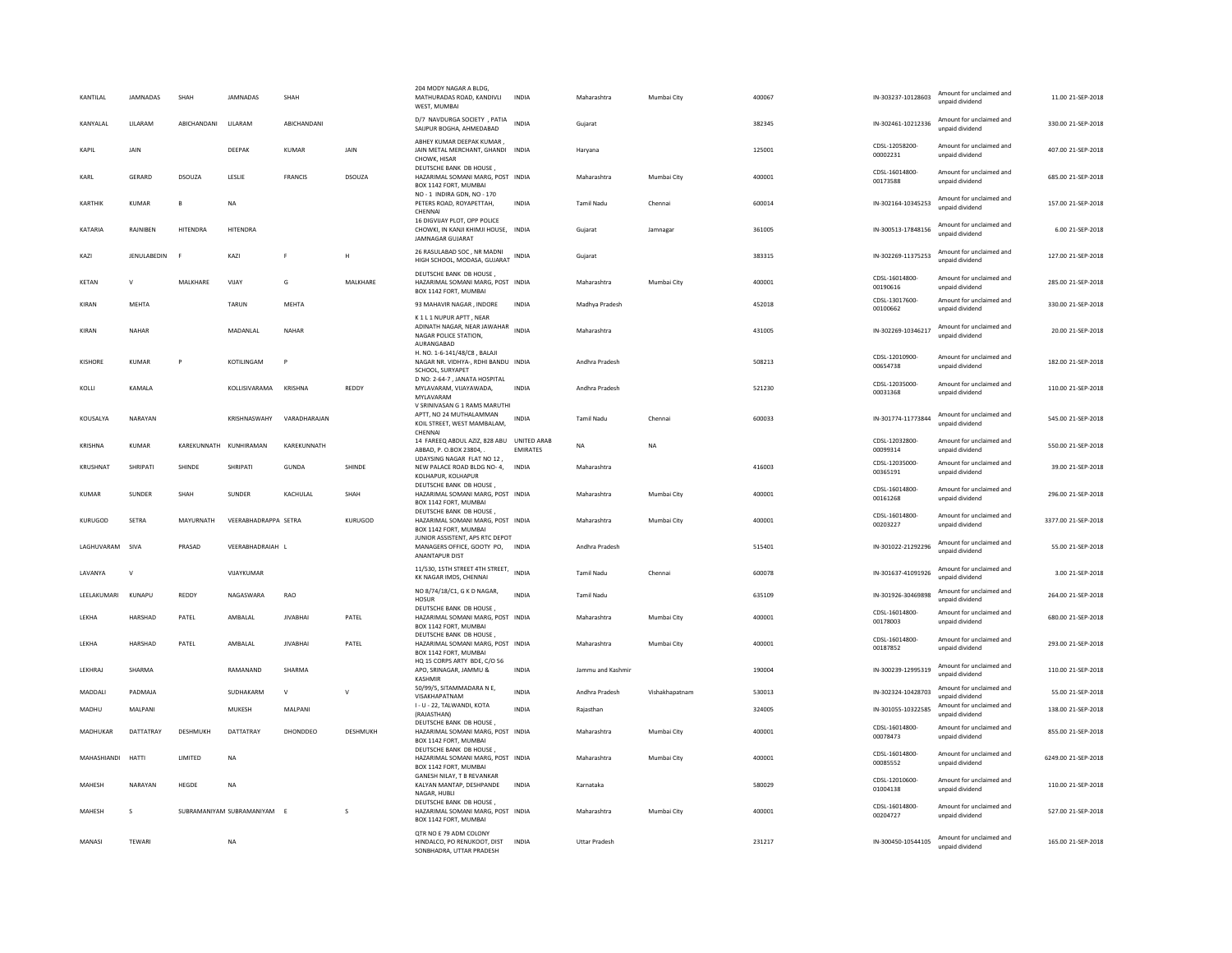| KANTILAL       | JAMNADAS      | SHAH         | JAMNADAS                  | SHAH            |              | 204 MODY NAGAR A BLDG<br>MATHURADAS ROAD, KANDIVLI<br>WEST, MUMBAI                              | <b>INDIA</b>    | Maharashtra          | Mumbai City    | 400067 | IN-303237-10128603         | Amount for unclaimed and<br>unpaid dividend | 11.00 21-SEP-2018   |
|----------------|---------------|--------------|---------------------------|-----------------|--------------|-------------------------------------------------------------------------------------------------|-----------------|----------------------|----------------|--------|----------------------------|---------------------------------------------|---------------------|
| KANYALAL       | LILARAM       | ABICHANDANI  | LILARAM                   | ABICHANDANI     |              | D/7 NAVDURGA SOCIETY , PATIA<br>SAIJPUR BOGHA, AHMEDABAD                                        | <b>INDIA</b>    | Guiarat              |                | 382345 | IN-302461-10212336         | Amount for unclaimed and<br>unpaid dividend | 330.00 21-SEP-2018  |
| KAPIL          | JAIN          |              | DEEPAK                    | <b>KUMAR</b>    | JAIN         | ABHEY KUMAR DEEPAK KUMAR.<br>JAIN METAL MERCHANT, GHANDI INDIA<br>CHOWK, HISAR                  |                 | Haryana              |                | 125001 | CDSL-12058200<br>00002231  | Amount for unclaimed and<br>unpaid dividend | 407.00 21-SEP-2018  |
| KARL           | GERARD        | DSOUZA       | LESLIE                    | FRANCIS         | DSOUZA       | DEUTSCHE BANK DB HOUSE,<br>HAZARIMAL SOMANI MARG, POST INDIA<br>BOX 1142 FORT, MUMBAI           |                 | Maharashtra          | Mumbai City    | 400001 | CDSL-16014800-<br>00173588 | Amount for unclaimed and<br>unpaid dividend | 685.00 21-SEP-2018  |
| KARTHIK        | KUMAR         | $\mathbf{B}$ | NA                        |                 |              | NO - 1 INDIRA GDN, NO - 170<br>PETERS ROAD, ROYAPETTAH,<br>CHENNA                               | INDIA           | Tamil Nadu           | Chennai        | 600014 | IN-302164-10345253         | Amount for unclaimed and<br>unpaid dividend | 157.00 21-SEP-2018  |
| KATARIA        | RAJNIBEN      | HITENDRA     | HITENDRA                  |                 |              | 16 DIGVIJAY PLOT, OPP POLICE<br>CHOWKI, IN KANJI KHIMJI HOUSE, INDIA<br><b>JAMNAGAR GUJARAT</b> |                 | Gujarat              | Jamnagar       | 361005 | IN-300513-17848156         | Amount for unclaimed and<br>unpaid dividend | 6.00 21-SEP-2018    |
| KAZI           | JENULABEDIN   | E            | KAZI                      | F.              | Н            | 26 RASULABAD SOC, NR MADNI<br>HIGH SCHOOL, MODASA, GUJARAT INDIA                                |                 | Gujarat              |                | 383315 | IN-302269-11375253         | Amount for unclaimed and<br>unnaid dividend | 127.00 21-SEP-2018  |
| KETAN          | $\mathbf{v}$  | MALKHARE     | VIJAY                     | G               | MALKHARE     | DEUTSCHE BANK DB HOUSE,<br>HAZARIMAL SOMANI MARG, POST INDIA<br>BOX 1142 FORT, MUMBAI           |                 | Maharashtra          | Mumbai City    | 400001 | CDSL-16014800-<br>00190616 | Amount for unclaimed and<br>unpaid dividend | 285.00 21-SEP-2018  |
| KIRAN          | MEHTA         |              | <b>TARUN</b>              | MEHTA           |              | 93 MAHAVIR NAGAR, INDORE                                                                        | <b>INDIA</b>    | Madhya Pradesh       |                | 452018 | CDSL-13017600-<br>00100662 | Amount for unclaimed and<br>unpaid dividend | 330.00 21-SEP-2018  |
| KIRAN          | NAHAR         |              | MADANLAL                  | NAHAR           |              | K1L1NUPURAPTT, NEAR<br>ADINATH NAGAR, NEAR JAWAHAR<br>NAGAR POLICE STATION,<br>AURANGABAD       | <b>INDIA</b>    | Maharashtra          |                | 431005 | IN-302269-10346217         | Amount for unclaimed and<br>unpaid dividend | 20.00 21-SEP-2018   |
| KISHORE        | <b>KUMAR</b>  | P            | KOTILINGAM                | P               |              | H. NO. 1-6-141/48/C8, BALAJI<br>NAGAR NR. VIDHYA-, RDHI BANDU INDIA<br>SCHOOL, SURYAPET         |                 | Andhra Pradesh       |                | 508213 | CDSL-12010900-<br>00654738 | Amount for unclaimed and<br>unpaid dividend | 182.00 21-SEP-2018  |
| KOLLI          | KAMALA        |              | KOLLISIVARAMA             | KRISHNA         | REDDY        | D NO: 2-64-7, JANATA HOSPITAL<br>MYLAVARAM, VIJAYAWADA,<br>MYLAVARAM                            | <b>INDIA</b>    | Andhra Pradesh       |                | 521230 | CDSL-12035000-<br>00031368 | Amount for unclaimed and<br>unpaid dividend | 110.00 21-SEP-2018  |
| KOUSALYA       | NARAYAN       |              | KRISHNASWAHY              | VARADHARAJAN    |              | V SRINIVASAN G 1 RAMS MARUTHI<br>APTT, NO 24 MUTHALAMMAN<br>KOIL STREET, WEST MAMBALAM,         | <b>INDIA</b>    | <b>Tamil Nadu</b>    | Chennai        | 600033 | IN-301774-11773844         | Amount for unclaimed and<br>unpaid dividend | 545.00 21-SEP-2018  |
| KRISHNA        | <b>KUMAR</b>  |              | KAREKUNNATH KUNHIRAMAN    | KAREKUNNATH     |              | CHENNAL<br>14 FAREEQ ABDUL AZIZ, 828 ABU UNITED ARAB<br>ABBAD, P. O.BOX 23804.                  | <b>EMIRATES</b> | <b>NA</b>            | <b>NA</b>      |        | CDSL-12032800-<br>00099314 | Amount for unclaimed and<br>unpaid dividend | 550.00 21-SEP-2018  |
| KRUSHNAT       | SHRIPATI      | SHINDE       | SHRIPATI                  | GUNDA           | SHINDE       | UDAYSING NAGAR FLAT NO 12<br>NEW PALACE ROAD BLDG NO-4, INDIA<br>KOLHAPUR, KOLHAPUR             |                 | Maharashtra          |                | 416003 | CDSL-12035000-<br>00365191 | Amount for unclaimed and<br>unpaid dividend | 39.00 21-SEP-2018   |
| KUMAR          | <b>SUNDER</b> | SHAH         | <b>SUNDER</b>             | KACHULAL        | SHAH         | DEUTSCHE BANK DB HOUSE,<br>HAZARIMAL SOMANI MARG, POST INDIA<br>BOX 1142 FORT, MUMBAI           |                 | Maharashtra          | Mumbai City    | 400001 | CDSL-16014800-<br>00161268 | Amount for unclaimed and<br>unpaid dividend | 296.00.21-SEP-2018  |
| KURUGOD        | SETRA         | MAYURNATH    | VEERABHADRAPPA SETRA      |                 | KURUGOD      | DEUTSCHE BANK DB HOUSE.<br>HAZARIMAL SOMANI MARG, POST INDIA<br>BOX 1142 FORT, MUMBAI           |                 | Maharashtra          | Mumbai City    | 400001 | CDSL-16014800<br>00203227  | Amount for unclaimed and<br>unpaid dividend | 3377.00 21-SEP-2018 |
| LAGHUVARAM     | SIVA          | PRASAD       | VEERABHADRAIAH L          |                 |              | JUNIOR ASSISTENT, APS RTC DEPOT<br>MANAGERS OFFICE, GOOTY PO, INDIA<br><b>ANANTAPUR DIST</b>    |                 | Andhra Pradesh       |                | 515401 | IN-301022-21292296         | Amount for unclaimed and<br>unpaid dividend | 55.00 21-SEP-2018   |
| LAVANYA        | $\mathbf{v}$  |              | VIJAYKUMAR                |                 |              | 11/530, 15TH STREET 4TH STREET, INDIA<br>KK NAGAR IMDS, CHENNAL                                 |                 | <b>Tamil Nadu</b>    | Chennai        | 600078 | IN-301637-41091926         | Amount for unclaimed and<br>unpaid dividend | 3.00 21-SEP-2018    |
| LEELAKUMARI    | KUNAPU        | REDDY        | NAGASWARA                 | RAO             |              | NO 8/74/18/C1, G K D NAGAR,<br><b>HOSUR</b><br>DEUTSCHE BANK DB HOUSE.                          | <b>INDIA</b>    | Tamil Nadu           |                | 635109 | IN-301926-30469898         | Amount for unclaimed and<br>unpaid dividend | 264.00 21-SEP-2018  |
| <b>I FKHA</b>  | HARSHAD       | PATFI        | AMBAI AI                  | <b>IIVARHAI</b> | PATFI        | HAZARIMAL SOMANI MARG, POST INDIA<br>BOX 1142 FORT, MUMBAI                                      |                 | Maharashtra          | Mumhai City    | 400001 | CDSL-16014800-<br>00178003 | Amount for unclaimed and<br>unpaid dividend | 680.00 21-SEP-2018  |
| LEKHA          | HARSHAD       | PATEL        | AMBALAL                   | <b>JIVABHAI</b> | PATEL        | DEUTSCHE BANK DB HOUSE<br>HAZARIMAL SOMANI MARG, POST INDIA<br>BOX 1142 FORT, MUMBAI            |                 | Maharashtra          | Mumbai City    | 400001 | CDSL-16014800-<br>00187852 | Amount for unclaimed and<br>unnaid dividend | 293.00 21-SEP-2018  |
| LEKHRAJ        | SHARMA        |              | RAMANAND                  | SHARMA          |              | HQ 15 CORPS ARTY BDE, C/O 56<br>APO, SRINAGAR, JAMMU &<br>KASHMIR                               | <b>INDIA</b>    | Jammu and Kashmir    |                | 190004 | IN-300239-12995319         | Amount for unclaimed and<br>unnaid dividend | 110.00 21-SEP-2018  |
| <b>MADDALL</b> | PADMAIA       |              | SUDHAKARM                 | $\mathsf{v}$    | $\mathsf{v}$ | 50/99/5, SITAMMADARA N E,<br>VISAKHAPATNAM                                                      | <b>INDIA</b>    | Andhra Pradesh       | Vishakhanatnam | 530013 | IN-302324-10428703         | Amount for unclaimed and<br>unpaid dividend | 55.00.21-SEP-2018   |
| MADHU          | MAI PANI      |              | MUKESH                    | MAI PANI        |              | I - U - 22, TALWANDI, KOTA<br>(RAJASTHAN)                                                       | <b>INDIA</b>    | Raiasthan            |                | 324005 | IN-301055-10322585         | Amount for unclaimed and<br>unpaid dividend | 138.00.21-SEP-2018  |
| MADHUKAR       | DATTATRAY     | DESHMUKH     | DATTATRAY                 | DHONDDEO        | DESHMUKH     | DEUTSCHE BANK DB HOUSE.<br>HAZARIMAL SOMANI MARG, POST INDIA<br>BOX 1142 FORT, MUMBAI           |                 | Maharashtra          | Mumbai City    | 400001 | CDSL-16014800-<br>00078473 | Amount for unclaimed and<br>unpaid dividend | 855.00 21-SEP-2018  |
| MAHASHIANDI    | <b>HATTI</b>  | LIMITED      | <b>NA</b>                 |                 |              | DEUTSCHE BANK DB HOUSE<br>HAZARIMAL SOMANI MARG, POST INDIA<br>BOX 1142 FORT, MUMBAI            |                 | Maharashtra          | Mumbai City    | 400001 | CDSL-16014800-<br>00085552 | Amount for unclaimed and<br>unpaid dividend | 6249.00 21-SEP-2018 |
| <b>MAHFSH</b>  | NARAYAN       | HEGDE        | <b>NA</b>                 |                 |              | GANESH NILAY, T B REVANKAR<br>KALYAN MANTAP, DESHPANDE<br>NAGAR, HUBLI                          | <b>INDIA</b>    | Karnataka            |                | 580029 | CDSL-12010600-<br>01004138 | Amount for unclaimed and<br>unpaid dividend | 110.00 21-SEP-2018  |
| MAHESH         | $\mathsf S$   |              | SUBRAMANIYAM SUBRAMANIYAM |                 | s            | DEUTSCHE BANK DB HOUSE,<br>HAZARIMAL SOMANI MARG, POST INDIA<br>BOX 1142 FORT, MUMBAI           |                 | Maharashtra          | Mumbai City    | 400001 | CDSL-16014800-<br>00204727 | Amount for unclaimed and<br>unpaid dividend | 527.00 21-SEP-2018  |
| MANASI         | TEWARI        |              | NA                        |                 |              | OTR NO E 79 ADM COLONY<br>HINDALCO, PO RENUKOOT, DIST<br>SONBHADRA, UTTAR PRADESH               | <b>INDIA</b>    | <b>Uttar Pradesh</b> |                | 231217 | IN-300450-10544105         | Amount for unclaimed and<br>unpaid dividend | 165.00 21-SEP-2018  |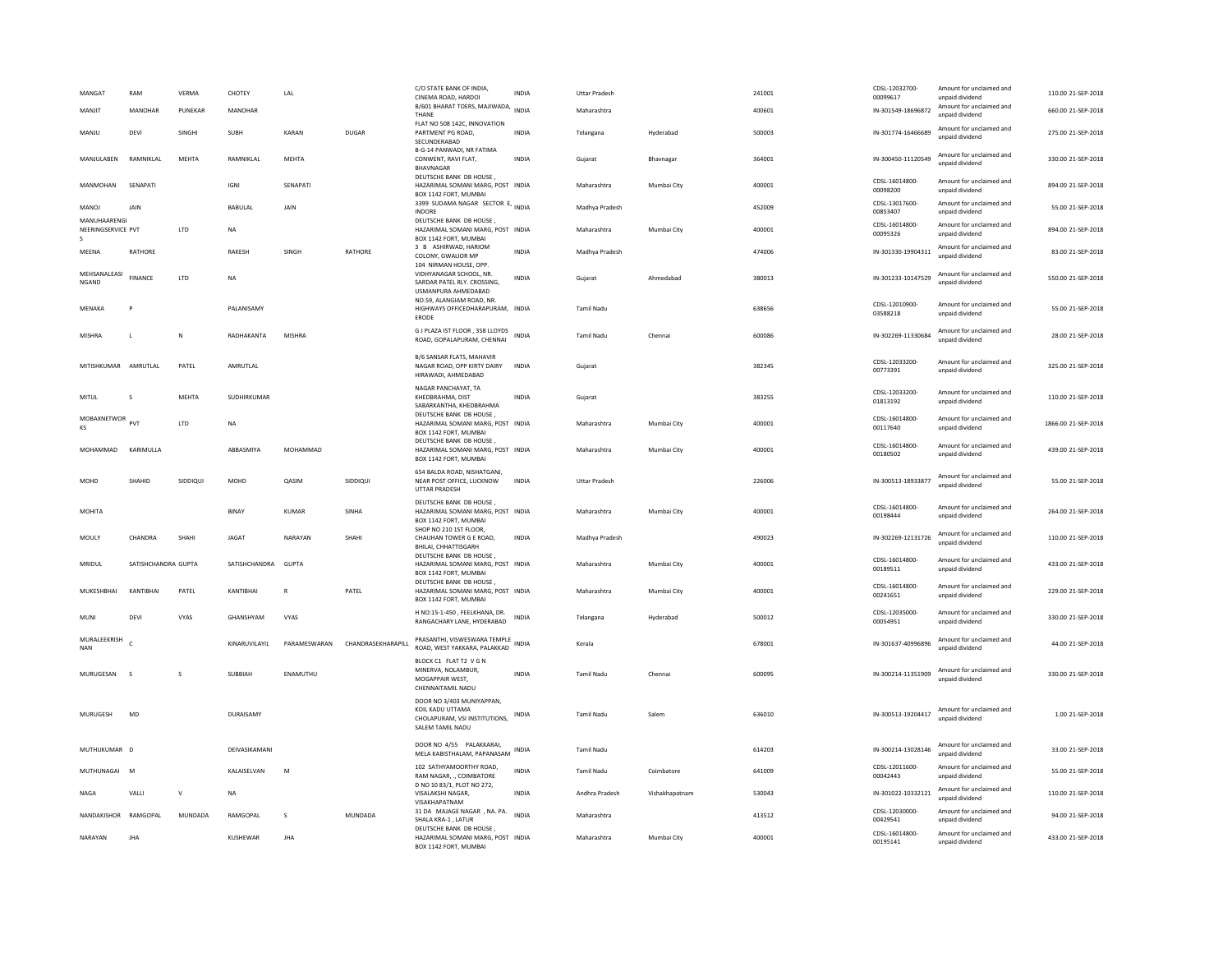| MANGAT<br>MANJIT                        | RAM<br>MANOHAR      | VERMA<br>PUNEKAR | CHOTEY<br>MANOHAR  | LAL          |                    | C/O STATE BANK OF INDIA.<br>CINEMA ROAD, HARDOI<br>B/601 BHARAT TOERS, MAJIWADA,                   | INDIA<br><b>INDIA</b> | <b>Uttar Pradesh</b><br>Maharashtra |                | 241001<br>400601 | CDSL-12032700<br>00099617<br>IN-301549-18696872 | Amount for unclaimed and<br>unpaid dividend<br>Amount for unclaimed and | 110.00 21-SEP-2018<br>660.00 21-SEP-2018 |
|-----------------------------------------|---------------------|------------------|--------------------|--------------|--------------------|----------------------------------------------------------------------------------------------------|-----------------------|-------------------------------------|----------------|------------------|-------------------------------------------------|-------------------------------------------------------------------------|------------------------------------------|
| MANJU                                   | DEVI                | SINGHI           | <b>SUBH</b>        | KARAN        | DUGAR              | THANE<br>FLAT NO 508 142C. INNOVATION<br>PARTMENT PG ROAD,                                         | INDIA                 | Telangana                           | Hyderabad      | 500003           | IN-301774-16466689                              | unpaid dividend<br>Amount for unclaimed and<br>unnaid dividend          | 275.00 21-SEP-2018                       |
| MANJULABEN                              | RAMNIKLAL           | MEHTA            | RAMNIKLAL          | MEHTA        |                    | SECUNDERABAD<br>B-G-14 PANWADI, NR FATIMA<br>CONWENT, RAVI FLAT,<br>BHAVNAGAR                      | <b>INDIA</b>          | Gujarat                             | Bhavnagar      | 364001           | IN-300450-11120549                              | Amount for unclaimed and<br>unpaid dividend                             | 330.00 21-SEP-2018                       |
| MANMOHAN                                | SENAPATI            |                  | <b>IGNI</b>        | SENAPATI     |                    | DEUTSCHE BANK DB HOUSE,<br>HAZARIMAL SOMANI MARG, POST INDIA<br>BOX 1142 FORT, MUMBAI              |                       | Maharashtra                         | Mumbai City    | 400001           | CDSL-16014800<br>00098200                       | Amount for unclaimed and<br>unpaid dividend                             | 894.00 21-SEP-2018                       |
| MANOJ                                   | JAIN                |                  | BABULAI            | JAIN         |                    | 3399 SUDAMA NAGAR SECTOR E,<br>INDORE                                                              | <b>INDIA</b>          | Madhya Pradesh                      |                | 452009           | CDSL-13017600-<br>00853407                      | Amount for unclaimed and<br>unpaid dividend                             | 55.00 21-SEP-2018                        |
| MANUHAARENGI<br>NEERINGSERVICE PVT<br>s |                     | LTD              | <b>NA</b>          |              |                    | DEUTSCHE BANK DB HOUSE.<br>HAZARIMAL SOMANI MARG, POST INDIA<br>BOX 1142 FORT, MUMBAI              |                       | Maharashtra                         | Mumbai City    | 400001           | CDSL-16014800-<br>00095326                      | Amount for unclaimed and<br>unpaid dividend                             | 894.00 21-SEP-2018                       |
| MEENA                                   | RATHORE             |                  | RAKESH             | SINGH        | RATHORE            | 3 B ASHIRWAD, HARIOM<br>COLONY, GWALIOR MP<br>104 NIRMAN HOUSE, OPP                                | <b>INDIA</b>          | Madhya Pradesh                      |                | 474006           | IN-301330-19904311                              | Amount for unclaimed and<br>unpaid dividend                             | 83.00 21-SEP-2018                        |
| MEHSANALEASI<br>NGAND                   | <b>FINANCE</b>      | LTD              | <b>NA</b>          |              |                    | VIDHYANAGAR SCHOOL, NR.<br>SARDAR PATEL RLY. CROSSING,<br>USMANPURA AHMEDABAD                      | <b>INDIA</b>          | Gujarat                             | Ahmedabad      | 380013           | IN-301233-10147529                              | Amount for unclaimed and<br>unpaid dividend                             | 550.00 21-SEP-2018                       |
| MFNAKA                                  |                     |                  | <b>PAI ANISAMY</b> |              |                    | NO.59, ALANGIAM ROAD, NR.<br>HIGHWAYS OFFICEDHARAPURAM, INDIA<br>ERODE                             |                       | Tamil Nadu                          |                | 638656           | CDSL-12010900-<br>03588218                      | Amount for unclaimed and<br>unpaid dividend                             | 55.00.21-SEP-2018                        |
| MISHRA                                  | $\mathsf{L}$        | N                | RADHAKANTA         | MISHRA       |                    | G J PLAZA IST FLOOR, 358 LLOYDS<br>ROAD, GOPALAPURAM, CHENNAI                                      | INDIA                 | <b>Tamil Nadu</b>                   | Chennai        | 600086           | IN-302269-11330684                              | Amount for unclaimed and<br>unnaid dividend                             | 28.00 21-SEP-2018                        |
| MITISHKUMAR                             | AMRUTLAL            | PATEL            | AMRUTLAL           |              |                    | B/6 SANSAR FLATS, MAHAVIR<br>NAGAR ROAD, OPP KIRTY DAIRY<br>HIRAWADI, AHMEDABAD                    | <b>INDIA</b>          | Gujarat                             |                | 382345           | CDSL-12033200-<br>00773391                      | Amount for unclaimed and<br>unpaid dividend                             | 325.00 21-SEP-2018                       |
| <b>MITUL</b>                            | s                   | <b>MEHTA</b>     | SUDHIRKUMAR        |              |                    | NAGAR PANCHAYAT. TA<br>KHEDBRAHMA, DIST<br>SABARKANTHA, KHEDBRAHMA                                 | <b>INDIA</b>          | Gujarat                             |                | 383255           | CDSL-12033200-<br>01813192                      | Amount for unclaimed and<br>unpaid dividend                             | 110.00 21-SEP-2018                       |
| <b>MOBAXNETWOR</b><br>KS                | PVT                 | LTD              | <b>NA</b>          |              |                    | DEUTSCHE BANK DB HOUSE<br>HAZARIMAL SOMANI MARG, POST INDIA<br>BOX 1142 FORT, MUMBAI               |                       | Maharashtra                         | Mumbai City    | 400001           | CDSL-16014800<br>00117640                       | Amount for unclaimed and<br>unpaid dividend                             | 1866.00 21-SEP-2018                      |
| MOHAMMAD                                | KARIMULLA           |                  | ABBASMIYA          | MOHAMMAD     |                    | DEUTSCHE BANK DB HOUSE,<br>HAZARIMAL SOMANI MARG, POST INDIA<br>BOX 1142 FORT, MUMBAI              |                       | Maharashtra                         | Mumbai City    | 400001           | CDSL-16014800-<br>00180502                      | Amount for unclaimed and<br>unpaid dividend                             | 439.00 21-SEP-2018                       |
| MOHD                                    | SHAHID              | SIDDIQUI         | MOHD               | QASIM        | SIDDIQUI           | 654 BALDA ROAD, NISHATGANJ,<br>NEAR POST OFFICE, LUCKNOW<br>UTTAR PRADESH                          | <b>INDIA</b>          | <b>Uttar Pradesh</b>                |                | 226006           | IN-300513-18933877                              | Amount for unclaimed and<br>unnaid dividend                             | 55.00 21-SEP-2018                        |
| <b>MOHITA</b>                           |                     |                  | <b>BINAY</b>       | <b>KUMAR</b> | SINHA              | DEUTSCHE BANK DB HOUSE.<br>HAZARIMAL SOMANI MARG, POST INDIA<br>BOX 1142 FORT, MUMBAI              |                       | Maharashtra                         | Mumbai City    | 400001           | CDSL-16014800-<br>00198444                      | Amount for unclaimed and<br>unpaid dividend                             | 264.00 21-SEP-2018                       |
| MOULY                                   | CHANDRA             | SHAHI            | <b>JAGAT</b>       | NARAYAN      | SHAHI              | SHOP NO 210 1ST FLOOR.<br>CHAUHAN TOWER G E ROAD,                                                  | <b>INDIA</b>          | Madhya Pradesh                      |                | 490023           | IN-302269-12131726                              | Amount for unclaimed and<br>unpaid dividend                             | 110.00 21-SEP-2018                       |
| MRIDUL                                  |                     |                  |                    |              |                    | BHILAI, CHHATTISGARH                                                                               |                       |                                     |                |                  |                                                 |                                                                         |                                          |
|                                         | SATISHCHANDRA GUPTA |                  | SATISHCHANDRA      | GUPTA        |                    | DEUTSCHE BANK DB HOUSE,<br>HAZARIMAL SOMANI MARG, POST INDIA<br>BOX 1142 FORT, MUMBAI              |                       | Maharashtra                         | Mumbai City    | 400001           | CDSL-16014800<br>00189511                       | Amount for unclaimed and<br>unpaid dividend                             | 433.00 21-SEP-2018                       |
| MUKESHBHAI                              | KANTIBHAI           | PATEL            | KANTIBHAI          | $\mathbb{R}$ | PATEL              | DEUTSCHE BANK DB HOUSE.<br>HAZARIMAL SOMANI MARG, POST INDIA<br>BOX 1142 FORT, MUMBAI              |                       | Maharashtra                         | Mumbai City    | 400001           | CDSL-16014800<br>00241651                       | Amount for unclaimed and<br>unpaid dividend                             | 229.00 21-SEP-2018                       |
| MUN                                     | DEVI                | VYAS             | GHANSHYAM          | VYAS         |                    | H NO:15-1-450, FEELKHANA, DR.<br>RANGACHARY LANE, HYDERABAD                                        | <b>INDIA</b>          | Telangana                           | Hyderabad      | 500012           | CDSL-12035000-<br>00054951                      | Amount for unclaimed and<br>unpaid dividend                             | 330.00 21-SEP-2018                       |
| MURALEEKRISH<br><b>NAN</b>              |                     |                  | KINARUVILAYIL      | PARAMESWARAN | CHANDRASEKHARAPILL | PRASANTHI, VISWESWARA TEMPLE INDIA<br>ROAD, WEST YAKKARA, PALAKKAD                                 |                       | Kerala                              |                | 678001           | IN-301637-40996896                              | Amount for unclaimed and<br>unpaid dividend                             | 44.00 21-SEP-2018                        |
| MURUGESAN                               | $\mathbf{S}$        | s                | SUBBIAH            | ENAMUTHU     |                    | BLOCK C1 FLAT T2 V G N<br>MINERVA, NOLAMBUR,<br>MOGAPPAIR WEST,<br>CHENNAITAMIL NADU               | <b>INDIA</b>          | <b>Tamil Nadu</b>                   | Chennai        | 600095           | IN-300214-11351909                              | Amount for unclaimed and<br>unpaid dividend                             | 330.00 21-SEP-2018                       |
| <b>MURUGESH</b>                         | MD                  |                  | DURAISAMY          |              |                    | DOOR NO 3/403 MUNIYAPPAN.<br>KOIL KADU UTTAMA<br>CHOLAPURAM, VSI INSTITUTIONS,<br>SALEM TAMIL NADU | INDIA                 | Tamil Nadu                          | Salem          | 636010           | IN-300513-19204417                              | Amount for unclaimed and<br>unpaid dividend                             | 1.00 21-SEP-2018                         |
| MUTHUKUMAR D                            |                     |                  | DEIVASIKAMANI      |              |                    | DOOR NO 4/55 PALAKKARAI,<br>MELA KABISTHALAM, PAPANASAM                                            | INDIA                 | Tamil Nadu                          |                | 614203           | IN-300214-13028146                              | Amount for unclaimed and<br>unpaid dividend                             | 33.00.21-SEP-2018                        |
| MUTHUNAGAI                              | $\sim$              |                  | KALAISELVAN        | M            |                    | 102 SATHYAMOORTHY ROAD<br>RAM NAGAR, ., COIMBATORE                                                 | <b>INDIA</b>          | Tamil Nadu                          | Coimbatore     | 641009           | CDSL-12011600<br>00042443                       | Amount for unclaimed and<br>unpaid dividend                             | 55.00 21-SEP-2018                        |
| <b>NAGA</b>                             | VALLI               | $\mathsf{v}$     | NA                 |              |                    | D NO 10 83/1, PLOT NO 272,<br>VISALAKSHI NAGAR,<br>VISAKHAPATNAM                                   | <b>INDIA</b>          | Andhra Pradesh                      | Vishakhapatnam | 530043           | IN-301022-10332121                              | Amount for unclaimed and<br>unpaid dividend                             | 110.00 21-SEP-2018                       |
| NANDAKISHOR RAMGOPAL                    |                     | MUNDADA          | RAMGOPAL           | s.           | MUNDADA            | 31 DA MAJAGE NAGAR , NA. PA.<br>SHALA KRA-1, LATUR<br>DEUTSCHE BANK DB HOUSE                       | <b>INDIA</b>          | Maharashtra                         |                | 413512           | CDSL-12030000<br>00429541<br>CDSL-16014800-     | Amount for unclaimed and<br>unpaid dividend<br>Amount for unclaimed and | 94.00 21-SEP-2018                        |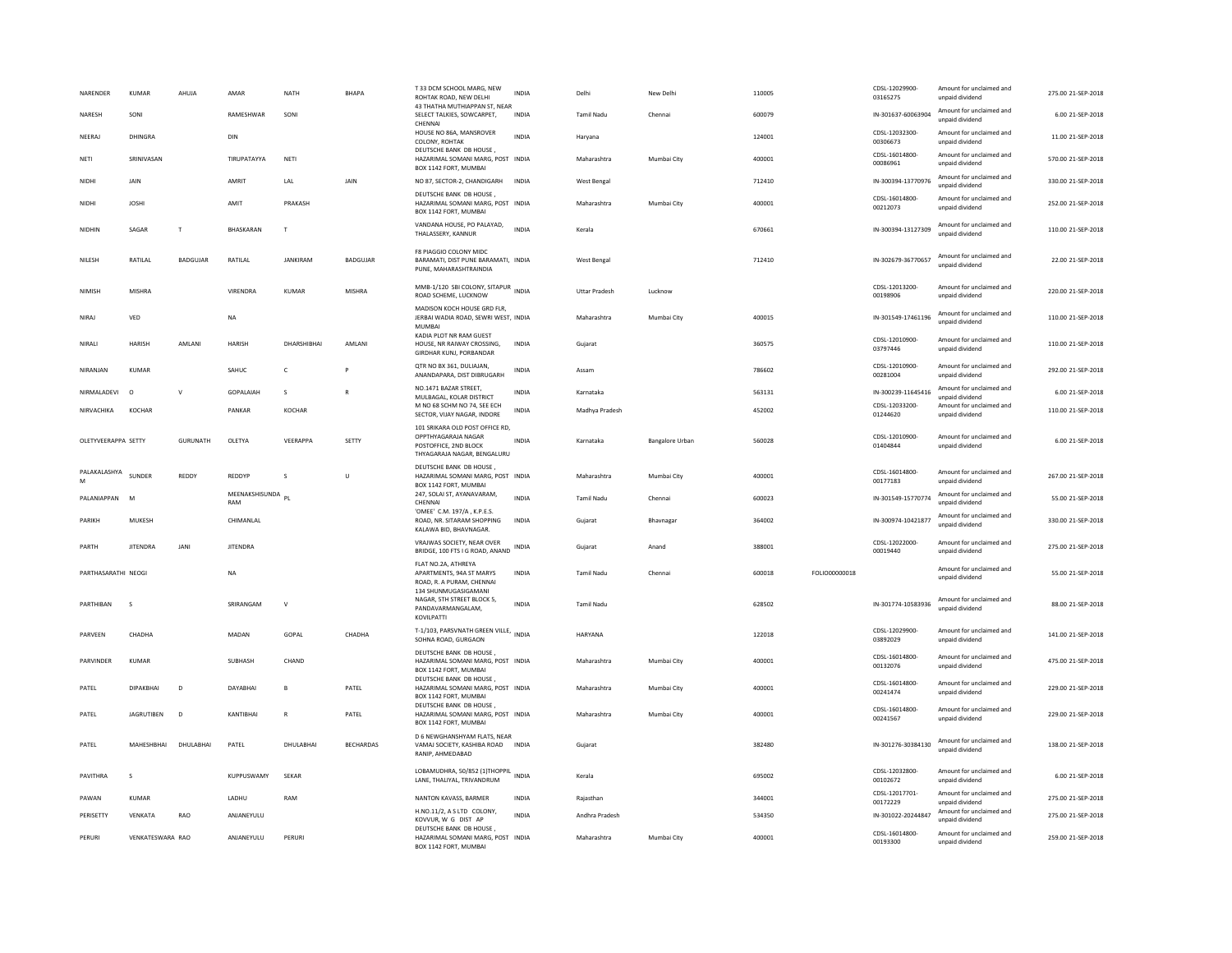| NARENDER            | <b>KUMAR</b>      | AHUJA           | AMAR                     | <b>NATH</b>     | <b>BHAPA</b>     | T 33 DCM SCHOOL MARG, NEW<br>ROHTAK ROAD, NEW DELHI                                                            | INDIA        | Delhi                | New Delhi              | 110005 |               | CDSL-12029900-<br>03165275 | Amount for unclaimed and<br>unpaid dividend | 275.00 21-SEP-2018 |
|---------------------|-------------------|-----------------|--------------------------|-----------------|------------------|----------------------------------------------------------------------------------------------------------------|--------------|----------------------|------------------------|--------|---------------|----------------------------|---------------------------------------------|--------------------|
| NARESH              | SONI              |                 | RAMESHWAR                | SONI            |                  | 43 THATHA MUTHIAPPAN ST, NEAR<br>SELECT TALKIES, SOWCARPET,<br>CHENNA                                          | <b>INDIA</b> | <b>Tamil Nadu</b>    | Chennai                | 600079 |               | IN-301637-60063904         | Amount for unclaimed and<br>unpaid dividend | 6.00 21-SEP-2018   |
| NEERAJ              | DHINGRA           |                 | DIN                      |                 |                  | HOUSE NO 86A, MANSROVER<br>COLONY, ROHTAK                                                                      | <b>INDIA</b> | Harvana              |                        | 124001 |               | CDSL-12032300-<br>00306673 | Amount for unclaimed and<br>unpaid dividend | 11.00 21-SEP-2018  |
| NETI                | SRINIVASAN        |                 | TIRUPATAYYA              | NETI            |                  | DEUTSCHE BANK DB HOUSE<br>HAZARIMAL SOMANI MARG, POST INDIA<br>BOX 1142 FORT, MUMBAI                           |              | Maharashtra          | Mumbai City            | 400001 |               | CDSL-16014800-<br>00086961 | Amount for unclaimed and<br>unpaid dividend | 570.00 21-SEP-2018 |
| NIDHI               | JAIN              |                 | <b>AMRIT</b>             | LAL             | JAIN             | NO 87, SECTOR-2, CHANDIGARH                                                                                    | <b>INDIA</b> | West Bengal          |                        | 712410 |               | IN-300394-13770976         | Amount for unclaimed and<br>unpaid dividend | 330.00 21-SEP-2018 |
| NIDHI               | <b>JOSHI</b>      |                 | AMIT                     | PRAKASH         |                  | DEUTSCHE BANK DB HOUSE<br>HAZARIMAL SOMANI MARG, POST INDIA<br>BOX 1142 FORT, MUMBAI                           |              | Maharashtra          | Mumbai City            | 400001 |               | CDSL-16014800-<br>00212073 | Amount for unclaimed and<br>unpaid dividend | 252.00 21-SEP-2018 |
| NIDHIN              | SAGAR             | $\mathbf{T}$    | <b>BHASKARAN</b>         | T               |                  | VANDANA HOUSE, PO PALAYAD,<br>THALASSERY, KANNUR                                                               | <b>INDIA</b> | Kerala               |                        | 670661 |               | IN-300394-13127309         | Amount for unclaimed and<br>unpaid dividend | 110.00 21-SEP-2018 |
| NILESH              | RATILAL           | <b>BADGUJAR</b> | RATILAL                  | <b>JANKIRAM</b> | <b>BADGUJAR</b>  | F8 PIAGGIO COLONY MIDC<br>BARAMATI, DIST PUNE BARAMATI, INDIA<br>PUNE, MAHARASHTRAINDIA                        |              | West Bengal          |                        | 712410 |               | IN-302679-36770657         | Amount for unclaimed and<br>unpaid dividend | 22.00 21-SEP-2018  |
| <b>NIMISH</b>       | MISHRA            |                 | VIRENDRA                 | KUMAR           | <b>MISHRA</b>    | MMB-1/120 SBI COLONY, SITAPUR INDIA<br>ROAD SCHEME, LUCKNOW                                                    |              | <b>Uttar Pradesh</b> | Lucknow                |        |               | CDSL-12013200-<br>00198906 | Amount for unclaimed and<br>unpaid dividend | 220.00 21-SEP-2018 |
| NIRAJ               | VED               |                 | <b>NA</b>                |                 |                  | MADISON KOCH HOUSE GRD FLR,<br>JERBAI WADIA ROAD, SEWRI WEST, INDIA<br><b>MUMBAI</b>                           |              | Maharashtra          | Mumbai City            | 400015 |               | IN-301549-17461196         | Amount for unclaimed and<br>unpaid dividend | 110.00 21-SEP-2018 |
| NIRALI              | HARISH            | AMLANI          | HARISH                   | DHARSHIBHAI     | AMLANI           | KADIA PLOT NR RAM GUEST<br>HOUSE. NR RAIWAY CROSSING.<br>GIRDHAR KUNJ, PORBANDAR                               | <b>INDIA</b> | Guiarat              |                        | 360575 |               | CDSL-12010900-<br>03797446 | Amount for unclaimed and<br>unpaid dividend | 110.00 21-SEP-2018 |
| NIRANIAN            | KUMAR             |                 | SAHUC                    | $\epsilon$      | P                | QTR NO BX 361, DULIAJAN,<br>ANANDAPARA, DIST DIBRUGARH                                                         | <b>INDIA</b> | Assam                |                        | 786602 |               | CDSL-12010900-<br>00281004 | Amount for unclaimed and<br>unpaid dividend | 292.00.21-SEP-2018 |
| NIRMALADEVI         | $\circ$           | $\mathbf{v}$    | GOPALAIAH                | s               |                  | NO.1471 BAZAR STREET.<br>MULBAGAL, KOLAR DISTRICT                                                              | <b>INDIA</b> | Karnataka            |                        | 563131 |               | IN-300239-11645416         | Amount for unclaimed and<br>unpaid dividend | 6.00 21-SEP-2018   |
| NIRVACHIKA          | <b>KOCHAR</b>     |                 | PANKAR                   | KOCHAR          |                  | M NO 68 SCHM NO 74. SEE ECH<br>SECTOR, VIJAY NAGAR, INDORE                                                     | <b>INDIA</b> | Madhya Pradesh       |                        | 452002 |               | CDSL-12033200-<br>01244620 | Amount for unclaimed and<br>unpaid dividend | 110.00 21-SEP-2018 |
| OLETYVEERAPPA SETTY |                   | <b>GURUNATH</b> | OLETYA                   | VEERAPPA        | SETTY            | 101 SRIKARA OLD POST OFFICE RD,<br>OPPTHYAGARAJA NAGAR<br>POSTOFFICE, 2ND BLOCK<br>THYAGARAJA NAGAR, BENGALURU | <b>INDIA</b> | Karnataka            | <b>Bangalore Urban</b> | 560028 |               | CDSL-12010900-<br>01404844 | Amount for unclaimed and<br>unpaid dividend | 6.00 21-SEP-2018   |
|                     |                   |                 |                          |                 |                  |                                                                                                                |              |                      |                        |        |               |                            |                                             |                    |
| PALAKALASHYA<br>M   | SUNDER            | REDDY           | REDDYP                   | $\zeta$         | $\mathbf{U}$     | DEUTSCHE BANK DB HOUSE.<br>HAZARIMAL SOMANI MARG, POST INDIA                                                   |              | Maharashtra          | Mumbai City            | 400001 |               | CDSL-16014800-<br>00177183 | Amount for unclaimed and<br>unpaid dividend | 267.00 21-SEP-2018 |
| PALANIAPPAN         | <b>M</b>          |                 | MEENAKSHISUNDA PL<br>RAM |                 |                  | BOX 1142 FORT, MUMBAI<br>247, SOLAI ST, AYANAVARAM,<br>CHENNA                                                  | <b>INDIA</b> | <b>Tamil Nadu</b>    | Chennai                | 600023 |               | IN-301549-15770774         | Amount for unclaimed and<br>unpaid dividend | 55.00 21-SEP-2018  |
| PARIKH              | MUKESH            |                 | CHIMANLAL                |                 |                  | 'OMEE' C.M. 197/A, K.P.E.S.<br>ROAD, NR. SITARAM SHOPPING<br>KALAWA BID, BHAVNAGAR.                            | <b>INDIA</b> | Gujarat              | Bhavnagar              | 364002 |               | IN-300974-10421877         | Amount for unclaimed and<br>unpaid dividend | 330.00 21-SEP-2018 |
| PARTH               | <b>JITENDRA</b>   | JANI            | <b>JITENDRA</b>          |                 |                  | VRAJWAS SOCIETY, NEAR OVER<br>BRIDGE, 100 FTS I G ROAD, ANAND                                                  | <b>INDIA</b> | Gujarat              | Anand                  | 388001 |               | CDSL-12022000-<br>00019440 | Amount for unclaimed and<br>unpaid dividend | 275.00 21-SEP-2018 |
| PARTHASARATHI NEOGI |                   |                 | NA                       |                 |                  | FLAT NO.2A, ATHREYA<br>APARTMENTS, 94A ST MARYS<br>ROAD, R. A PURAM, CHENNAI                                   | <b>INDIA</b> | Tamil Nadu           | Chennai                | 600018 | FOLIO00000018 |                            | Amount for unclaimed and<br>unpaid dividend | 55.00 21-SEP-2018  |
| PARTHIBAN           | $\sim$            |                 | SRIRANGAM                | $\mathsf{V}$    |                  | 134 SHUNMUGASIGAMANI<br>NAGAR, 5TH STREET BLOCK 5,<br>PANDAVARMANGALAM,<br>KOVILPATTI                          | <b>INDIA</b> | <b>Tamil Nadu</b>    |                        | 628502 |               | IN-301774-10583936         | Amount for unclaimed and<br>unpaid dividend | 88.00 21-SEP-2018  |
| PARVEEN             | CHADHA            |                 | MADAN                    | GOPAL           | CHADHA           | T-1/103, PARSVNATH GREEN VILLE, INDIA<br>SOHNA ROAD, GURGAON                                                   |              | HARYANA              |                        | 122018 |               | CDSL-12029900-<br>03892029 | Amount for unclaimed and<br>unpaid dividend | 141.00 21-SEP-2018 |
| PARVINDER           | <b>KUMAR</b>      |                 | SUBHASH                  | CHAND           |                  | DEUTSCHE BANK DB HOUSE<br>HAZARIMAL SOMANI MARG, POST INDIA<br>BOX 1142 FORT, MUMBAI                           |              | Maharashtra          | Mumbai City            | 400001 |               | CDSL-16014800-<br>00132076 | Amount for unclaimed and<br>unpaid dividend | 475.00 21-SEP-2018 |
| PATEL               | DIPAKRHAI         | $\overline{D}$  | DAYARHAI                 | $\overline{B}$  | PATEL            | DEUTSCHE BANK DB HOUSE<br>HAZARIMAL SOMANI MARG, POST INDIA<br>BOX 1142 FORT, MUMBAI                           |              | Maharashtra          | Mumbai City            | 400001 |               | CDSL-16014800<br>00241474  | Amount for unclaimed and<br>unpaid dividend | 229.00.21-SEP-2018 |
| PATEL               | <b>JAGRUTIBEN</b> | D               | KANTIBHAI                | $\mathsf{R}$    | PATEL            | DEUTSCHE BANK DB HOUSE<br>HAZARIMAL SOMANI MARG, POST INDIA<br>BOX 1142 FORT, MUMBAI                           |              | Maharashtra          | Mumbai City            | 400001 |               | CDSL-16014800-<br>00241567 | Amount for unclaimed and<br>unpaid dividend | 229.00 21-SEP-2018 |
| PATEL               | MAHESHBHAI        | DHULABHAI       | PATEL                    | DHULABHAI       | <b>BECHARDAS</b> | D 6 NEWGHANSHYAM FLATS, NEAR<br>VAMAJ SOCIETY, KASHIBA ROAD INDIA<br>RANIP, AHMEDABAD                          |              | Gujarat              |                        | 382480 |               | IN-301276-30384130         | Amount for unclaimed and<br>unpaid dividend | 138.00 21-SEP-2018 |
| PAVITHRA            | s                 |                 | KUPPUSWAMY               | SEKAR           |                  | LOBAMUDHRA, 50/852 (1)THOPPIL<br>LANE, THALIYAL, TRIVANDRUM                                                    | <b>INDIA</b> | Kerala               |                        | 695002 |               | CDSL-12032800-<br>00102672 | Amount for unclaimed and<br>unpaid dividend | 6.00 21-SEP-2018   |
| PAWAN               | KUMAR             |                 | LADHU                    | RAM             |                  | NANTON KAVASS, BARMER                                                                                          | <b>INDIA</b> | Rajasthan            |                        | 344001 |               | CDSL-12017701-<br>00172229 | Amount for unclaimed and<br>unpaid dividend | 275.00 21-SEP-2018 |
| PERISETTY           | VENKATA           | RAO             | ANJANEYULU               |                 |                  | H.NO.11/2, A S LTD COLONY,<br>KOVVUR. W G DIST AP<br>DEUTSCHE BANK DB HOUSE                                    | <b>INDIA</b> | Andhra Pradesh       |                        | 534350 |               | IN-301022-20244847         | Amount for unclaimed and<br>unpaid dividend | 275.00 21-SEP-2018 |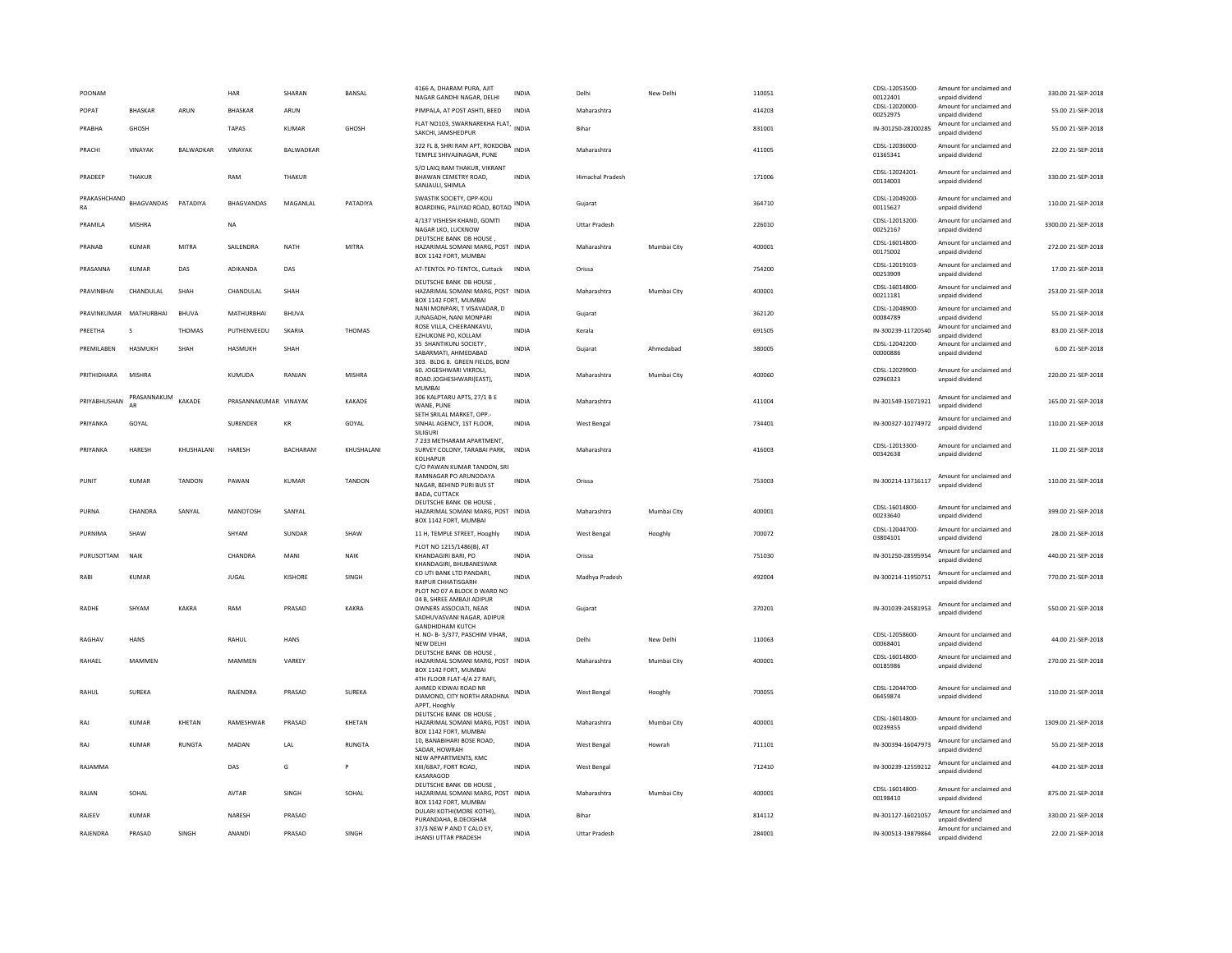| POONAM         |                         |               | HAR                   | SHARAN          | <b>BANSAL</b> | 4166 A, DHARAM PURA, AJIT<br>NAGAR GANDHI NAGAR, DELHI                                                            | <b>INDIA</b> | Delhi                   | New Delh    | 110051 | CDSL-12053500-<br>00122401 | Amount for unclaimed and<br>unpaid dividend | 330.00 21-SEP-2018  |
|----------------|-------------------------|---------------|-----------------------|-----------------|---------------|-------------------------------------------------------------------------------------------------------------------|--------------|-------------------------|-------------|--------|----------------------------|---------------------------------------------|---------------------|
| POPAT          | <b>BHASKAR</b>          | ARIJN         | <b>BHASKAR</b>        | ARUN            |               | PIMPALA, AT POST ASHTI, BEED                                                                                      | <b>INDIA</b> | Maharashtra             |             | 414203 | CDSL-12020000-<br>00252975 | Amount for unclaimed and<br>unpaid dividend | 55.00 21-SEP-2018   |
| PRABHA         | GHOSH                   |               | <b>TAPAS</b>          | <b>KUMAR</b>    | <b>GHOSH</b>  | FLAT NO103, SWARNAREKHA FLAT,<br>SAKCHI, JAMSHEDPUR                                                               | <b>INDIA</b> | Bihar                   |             | 831001 | IN-301250-28200285         | Amount for unclaimed and<br>unpaid dividend | 55.00 21-SEP-2018   |
| PRACHI         | VINAYAK                 | BALWADKAR     | VINAYAK               | BALWADKAR       |               | 322 FL 8, SHRI RAM APT, ROKDOBA<br>TEMPLE SHIVAJINAGAR, PUNE                                                      |              | Maharashtra             |             | 411005 | CDSL-12036000-<br>01365341 | Amount for unclaimed and<br>unpaid dividend | 22.00 21-SEP-2018   |
| <b>PRADEEP</b> | THAKUR                  |               | RAM                   | THAKUR          |               | S/O LAIQ RAM THAKUR, VIKRANT<br>BHAWAN CEMETRY ROAD,<br>SANJAULI, SHIMLA                                          | <b>INDIA</b> | <b>Himachal Pradesh</b> |             | 171006 | CDSL-12024201-<br>00134003 | Amount for unclaimed and<br>unpaid dividend | 330.00 21-SEP-2018  |
| RA             | PRAKASHCHAND BHAGVANDAS | PATADIYA      | <b>BHAGVANDAS</b>     | MAGANLAL        | PATADIYA      | SWASTIK SOCIETY, OPP-KOLI<br>BOARDING, PALIYAD ROAD, BOTAD                                                        | <b>INDIA</b> | Gujarat                 |             | 364710 | CDSL-12049200-<br>00115627 | Amount for unclaimed and<br>unpaid dividend | 110.00 21-SEP-2018  |
| PRAMILA        | MISHRA                  |               | NA                    |                 |               | 4/137 VISHESH KHAND, GOMTI<br>NAGAR LKO, LUCKNOW                                                                  | <b>INDIA</b> | <b>Uttar Pradesh</b>    |             | 226010 | CDSL-12013200-<br>00252167 | Amount for unclaimed and<br>unpaid dividend | 3300.00 21-SEP-2018 |
| PRANAR         | KUMAR                   | MITRA         | SAIL FNDRA            | <b>NATH</b>     | MITRA         | DEUTSCHE BANK DB HOUSE<br>HAZARIMAL SOMANI MARG, POST INDIA<br>BOX 1142 FORT, MUMBAI                              |              | Maharashtra             | Mumbai City | 400001 | CDSL-16014800-<br>00175002 | Amount for unclaimed and<br>unpaid dividend | 272.00 21-SEP-2018  |
| PRASANNA       | <b>KUMAR</b>            | DAS           | ADIKANDA              | DAS             |               | AT-TENTOL PO-TENTOL, Cuttack                                                                                      | <b>INDIA</b> | Orissa                  |             | 754200 | CDSL-12019103-<br>00253909 | Amount for unclaimed and<br>unpaid dividend | 17.00 21-SEP-2018   |
| PRAVINBHAI     | CHANDULAL               | SHAH          | CHANDULAL             | SHAH            |               | DEUTSCHE BANK DB HOUSE<br>HAZARIMAL SOMANI MARG, POST INDIA<br>BOX 1142 FORT, MUMBAI                              |              | Maharashtra             | Mumbai City | 400001 | CDSL-16014800-<br>00211181 | Amount for unclaimed and<br>unpaid dividend | 253.00 21-SEP-2018  |
|                | PRAVINKUMAR MATHURBHAI  | <b>BHUVA</b>  | MATHURBHAI            | <b>BHUVA</b>    |               | NANI MONPARI, T VISAVADAR, D<br>JUNAGADH, NANI MONPARI                                                            | INDIA        | Gujarat                 |             | 362120 | CDSL-12048900-<br>00084789 | Amount for unclaimed and<br>unpaid dividend | 55.00 21-SEP-2018   |
| PREETHA        | $\mathcal{S}$           | <b>THOMAS</b> | PUTHENVEEDU           | SKARIA          | THOMAS        | ROSE VILLA, CHEERANKAVU,<br>EZHUKONE PO. KOLLAM                                                                   | <b>INDIA</b> | Kerala                  |             | 691505 | IN-300239-11720540         | Amount for unclaimed and<br>unpaid dividend | 83.00 21-SEP-2018   |
| PREMII AREN    | HASMUKH                 | <b>SHAH</b>   | <b>HASMUKH</b>        | SHAH            |               | 35 SHANTIKUNJ SOCIETY<br>SABARMATI, AHMEDABAD<br>303. BLDG 8. GREEN FIELDS, BOM                                   | <b>INDIA</b> | Guiarat                 | Ahmedahad   | 380005 | CDSL-12042200-<br>00000886 | Amount for unclaimed and<br>unpaid dividend | 6.00 21-SEP-2018    |
| PRITHIDHARA    | MISHRA                  |               | <b>KUMUDA</b>         | RANJAN          | <b>MISHRA</b> | 60. JOGESHWARI VIKROLI.<br>ROAD.JOGHESHWARI(EAST),<br>MUMBAI                                                      | <b>INDIA</b> | Maharashtra             | Mumbai City | 400060 | CDSL-12029900-<br>02960323 | Amount for unclaimed and<br>unpaid dividend | 220.00 21-SEP-2018  |
| PRIYABHUSHAN   | PRASANNAKUM<br>AR       | KAKADE        | PRASANNAKUMAR VINAYAK |                 | KAKADE        | 306 KALPTARU APTS, 27/1 B E<br>WANE, PUNE                                                                         | <b>INDIA</b> | Maharashtra             |             | 411004 | IN-301549-15071921         | Amount for unclaimed and<br>unpaid dividend | 165.00 21-SEP-2018  |
| PRIYANKA       | GOYAL                   |               | SURENDER              | KR              | GOYAL         | SETH SRILAL MARKET, OPP.-<br>SINHAL AGENCY, 1ST FLOOR,<br>SILIGURI                                                | <b>INDIA</b> | West Bengal             |             | 734401 | IN-300327-10274972         | Amount for unclaimed and<br>unpaid dividend | 110.00 21-SEP-2018  |
| PRIYANKA       | HARESH                  | KHUSHALANI    | HARESH                | <b>BACHARAM</b> | KHUSHALANI    | 7 233 METHARAM APARTMENT,<br>SURVEY COLONY, TARABAI PARK,<br>KOLHAPUR                                             | INDIA        | Maharashtra             |             | 416003 | CDSL-12013300-<br>00342638 | Amount for unclaimed and<br>unnaid dividend | 11.00 21-SEP-2018   |
| PUNIT          | <b>KUMAR</b>            | TANDON        | PAWAN                 | <b>KUMAR</b>    | TANDON        | C/O PAWAN KUMAR TANDON, SRI<br>RAMNAGAR PO ARUNODAYA<br>NAGAR, BEHIND PURI BUS ST<br><b>BADA, CUTTACK</b>         | INDIA        | Orissa                  |             | 753003 | IN-300214-13716117         | Amount for unclaimed and<br>unpaid dividend | 110.00 21-SEP-2018  |
| PURNA          | CHANDRA                 | SANYAL        | MANOTOSH              | SANYAL          |               | DEUTSCHE BANK DB HOUSE<br>HAZARIMAL SOMANI MARG, POST INDIA<br>BOX 1142 FORT, MUMBAI                              |              | Maharashtra             | Mumbai City | 400001 | CDSL-16014800-<br>00233640 | Amount for unclaimed and<br>unpaid dividend | 399.00 21-SEP-2018  |
| PURNIMA        | SHAW                    |               | SHYAM                 | SUNDAR          | SHAW          | 11 H, TEMPLE STREET, Hooghly                                                                                      | INDIA        | West Benga              | Hooghly     | 700072 | CDSL-12044700-<br>03804101 | Amount for unclaimed and<br>unpaid dividend | 28.00 21-SEP-2018   |
| PURUSOTTAM     | <b>NAIK</b>             |               | CHANDRA               | MANI            | NAIK          | PLOT NO 1215/1486(B), AT<br>KHANDAGIRI BARI, PO<br>KHANDAGIRI, BHUBANESWAR                                        | <b>INDIA</b> | Orissa                  |             | 751030 | IN-301250-28595954         | Amount for unclaimed and<br>unpaid dividend | 440.00 21-SEP-2018  |
| RABI           | KUMAR                   |               | JUGAL                 | KISHORE         | SINGH         | CO UTI BANK LTD PANDARI,<br>RAIPUR CHHATISGARH                                                                    | <b>INDIA</b> | Madhya Pradesh          |             | 492004 | IN-300214-11950751         | Amount for unclaimed and<br>unpaid dividend | 770.00 21-SEP-2018  |
| RADHE          | SHYAM                   | KAKRA         | RAM                   | PRASAD          | KAKRA         | PLOT NO 07 A BLOCK D WARD NO<br>04 B. SHREE AMBAJI ADIPUR<br>OWNERS ASSOCIATI. NEAR<br>SADHUVASVANI NAGAR, ADIPUR | <b>INDIA</b> | Gujarat                 |             | 370201 | IN-301039-24581953         | Amount for unclaimed and<br>unpaid dividend | 550.00 21-SEP-2018  |
| RAGHAV         | HANS                    |               | RAHUL                 | <b>HANS</b>     |               | <b>GANDHIDHAM KUTCH</b><br>H. NO- B-3/377, PASCHIM VIHAR,<br><b>NEW DELHI</b>                                     | INDIA        | Delhi                   | New Delhi   | 110063 | CDSL-12058600-<br>00068401 | Amount for unclaimed and<br>unpaid dividend | 44.00 21-SEP-2018   |
| RAHAFI         | <b>MAMMEN</b>           |               | MAMMFN                | VARKEY          |               | DEUTSCHE BANK DB HOUSE,<br>HAZARIMAL SOMANI MARG, POST INDIA                                                      |              | Maharashtra             | Mumbai City | 400001 | CDSL-16014800-<br>00185986 | Amount for unclaimed and<br>unpaid dividend | 270.00 21-SEP-2018  |
|                |                         |               |                       |                 |               | BOX 1142 FORT, MUMBAI<br>4TH FLOOR FLAT-4/A 27 RAFI                                                               |              |                         |             |        |                            |                                             |                     |
| RAHUI          | SURFKA                  |               | RAIFNDRA              | PRASAD          | <b>SURFKA</b> | AHMED KIDWAI ROAD NR<br>DIAMOND, CITY NORTH ARADHNA<br>APPT, Hooghh                                               | INDIA        | <b>West Beneal</b>      | Hooghly     | 700055 | CDSL-12044700-<br>06459874 | Amount for unclaimed and<br>unpaid dividend | 110.00 21-SEP-2018  |
| RAI            | <b>KUMAR</b>            | KHETAN        | RAMESHWAR             | PRASAD          | KHETAN        | DEUTSCHE BANK DB HOUSE<br>HAZARIMAL SOMANI MARG, POST INDIA<br>BOX 1142 FORT, MUMBAI                              |              | Maharashtra             | Mumbai City | 400001 | CDSL-16014800-<br>00239355 | Amount for unclaimed and<br>unpaid dividend | 1309.00 21-SEP-2018 |
| RAJ            | KUMAR                   | <b>RUNGTA</b> | MADAN                 | LAL             | <b>RUNGTA</b> | 10, BANABIHARI BOSE ROAD,<br>SADAR, HOWRAH                                                                        | <b>INDIA</b> | West Bengal             | Howrah      | 711101 | IN-300394-16047973         | Amount for unclaimed and<br>unpaid dividend | 55.00 21-SEP-2018   |
| RAJAMMA        |                         |               | DAS                   | G               |               | NEW APPARTMENTS, KMC<br>XIII/68A7, FORT ROAD.<br>KASARAGOD                                                        | <b>INDIA</b> | West Bengal             |             | 712410 | IN-300239-12559212         | Amount for unclaimed and<br>unpaid dividend | 44.00 21-SEP-2018   |
| RAIAN          | SOHAL                   |               | AVTAR                 | SINGH           | SOHAL         | DEUTSCHE BANK DB HOUSE.<br>HAZARIMAL SOMANI MARG, POST INDIA<br>BOX 1142 FORT, MUMBAI                             |              | Maharashtra             | Mumbai City | 400001 | CDSL-16014800-<br>00198410 | Amount for unclaimed and<br>unpaid dividend | 875.00 21-SEP-2018  |
| RAJEEV         | KUMAR                   |               | NARFSH                | PRASAD          |               | DULARI KOTHI(MORE KOTHI)<br>PURANDAHA, B.DEOGHAR                                                                  | <b>INDIA</b> | <b>Bihar</b>            |             | 814112 | IN-301127-16021057         | Amount for unclaimed and<br>unpaid dividend | 330.00 21-SEP-2018  |
| RAJENDRA       | PRASAD                  | SINGH         | ANANDI                | PRASAD          | SINGH         | 37/3 NEW P AND T CALO EY,<br><b>JHANSI UTTAR PRADESH</b>                                                          | <b>INDIA</b> | <b>Uttar Pradesh</b>    |             | 284001 | IN-300513-19879864         | Amount for unclaimed and<br>unpaid dividend | 22.00 21-SEP-2018   |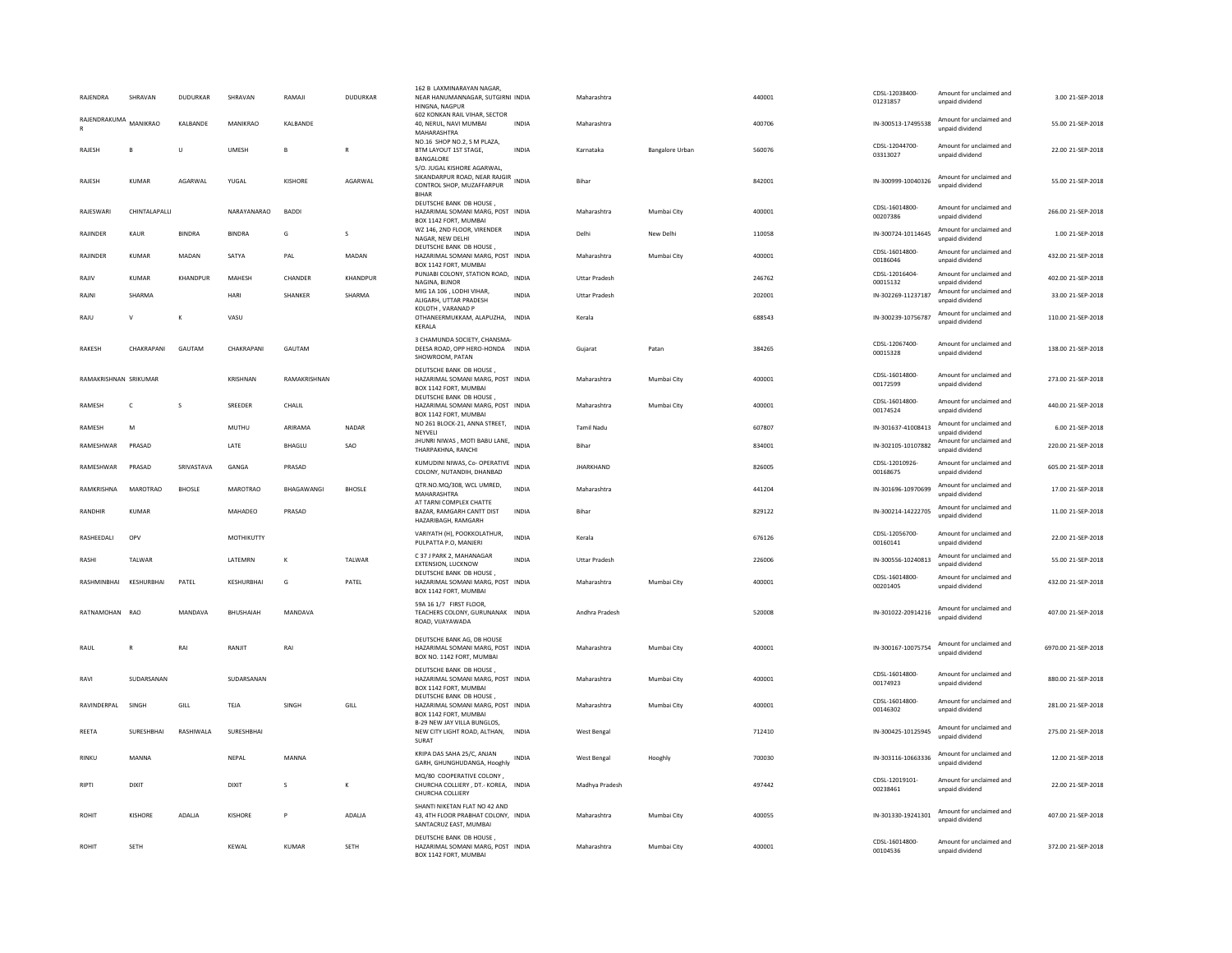| RAJENDRA              | SHRAVAN         | <b>DUDURKAR</b> | SHRAVAN          | RAMAJI        | <b>DUDURKAR</b> | 162 B LAXMINARAYAN NAGAR<br>NEAR HANUMANNAGAR, SUTGIRNI INDIA<br>HINGNA, NAGPUR                                 |              | Maharashtra          |                        | 440001 | CDSL-12038400-<br>01231857 | Amount for unclaimed and<br>unpaid dividend | 3.00 21-SEP-2018    |
|-----------------------|-----------------|-----------------|------------------|---------------|-----------------|-----------------------------------------------------------------------------------------------------------------|--------------|----------------------|------------------------|--------|----------------------------|---------------------------------------------|---------------------|
| RAJENDRAKUMA          | MANIKRAO        | KALBANDE        | MANIKRAO         | KALBANDE      |                 | 602 KONKAN RAIL VIHAR, SECTOR<br>40, NERUL, NAVI MUMBAI<br>MAHARASHTRA                                          | <b>INDIA</b> | Maharashtra          |                        | 400706 | IN-300513-17495538         | Amount for unclaimed and<br>unpaid dividend | 55.00 21-SEP-2018   |
| RAJESH                | B               | Ù               | <b>UMESH</b>     | <b>B</b>      | R               | NO.16 SHOP NO.2, S M PLAZA,<br>BTM LAYOUT 1ST STAGE.<br>BANGALORE                                               | <b>INDIA</b> | Karnataka            | <b>Bangalore Urban</b> | 560076 | CDSL-12044700-<br>03313027 | Amount for unclaimed and<br>unpaid dividend | 22.00 21-SEP-2018   |
| RAJESH                | KUMAR           | AGARWAL         | YUGAL            | KISHORE       | AGARWAL         | S/O. JUGAL KISHORE AGARWAL,<br>SIKANDARPUR ROAD, NEAR RAJGIR INDIA<br>CONTROL SHOP, MUZAFFARPUR<br><b>BIHAR</b> |              | Bihar                |                        | 842001 | IN-300999-10040326         | Amount for unclaimed and<br>unpaid dividend | 55.00 21-SEP-2018   |
| RAJESWAR              | CHINTALAPALLI   |                 | NARAYANARAO      | <b>BADDI</b>  |                 | DEUTSCHE BANK DB HOUSE<br>HAZARIMAL SOMANI MARG, POST INDIA<br>BOX 1142 FORT, MUMBAI                            |              | Maharashtra          | Mumbai City            | 400001 | CDSL-16014800-<br>00207386 | Amount for unclaimed and<br>unpaid dividend | 266.00 21-SEP-2018  |
| <b>RAIINDER</b>       | KAUR            | <b>BINDRA</b>   | <b>BINDRA</b>    | G             | s               | WZ 146, 2ND FLOOR, VIRENDER<br>NAGAR, NEW DELHI                                                                 | <b>INDIA</b> | Delhi                | New Delhi              | 110058 | IN-300724-10114645         | Amount for unclaimed and<br>unpaid dividend | 1.00 21-SEP-2018    |
| RAJINDER              | <b>KUMAR</b>    | MADAN           | SATYA            | PAL           | MADAN           | DEUTSCHE BANK DB HOUSE<br>HAZARIMAL SOMANI MARG, POST INDIA<br>BOX 1142 FORT, MUMBAI                            |              | Maharashtra          | Mumbai City            | 400001 | CDSL-16014800-<br>00186046 | Amount for unclaimed and<br>unpaid dividend | 432.00 21-SEP-2018  |
| RAJIV                 | KUMAR           | KHANDPUR        | MAHESH           | CHANDER       | KHANDPUR        | PUNJABI COLONY, STATION ROAD,<br>NAGINA, BUNOR                                                                  | <b>INDIA</b> | <b>Uttar Pradesh</b> |                        | 246762 | CDSL-12016404-<br>00015132 | Amount for unclaimed and<br>unpaid dividend | 402.00 21-SEP-2018  |
| RAJNI                 | SHARMA          |                 | HARI             | SHANKER       | SHARMA          | MIG 1A 106, LODHI VIHAR,<br>ALIGARH, UTTAR PRADESH                                                              | <b>INDIA</b> | <b>Uttar Pradesh</b> |                        | 202001 | IN-302269-11237187         | Amount for unclaimed and<br>unpaid dividend | 33.00 21-SEP-2018   |
| RAJU                  | $\mathsf{v}$    | K               | VASU             |               |                 | KOLOTH . VARANAD P<br>OTHANEERMUKKAM, ALAPUZHA, INDIA<br>KERALA                                                 |              | Kerala               |                        | 688543 | IN-300239-10756787         | Amount for unclaimed and<br>unpaid dividend | 110.00 21-SEP-2018  |
| <b>RAKESH</b>         | CHAKRAPANI      | GAUTAM          | CHAKRAPANI       | GAUTAM        |                 | 3 CHAMUNDA SOCIETY, CHANSMA-<br>DEESA ROAD, OPP HERO-HONDA INDIA<br>SHOWROOM, PATAN                             |              | Gujarat              | Patan                  | 384265 | CDSL-12067400-<br>00015328 | Amount for unclaimed and<br>unpaid dividend | 138.00 21-SEP-2018  |
| RAMAKRISHNAN SRIKUMAR |                 |                 | KRISHNAN         | RAMAKRISHNAN  |                 | DEUTSCHE BANK DB HOUSE<br>HAZARIMAL SOMANI MARG, POST INDIA<br>BOX 1142 FORT, MUMBA                             |              | Maharashtra          | Mumbai City            | 400001 | CDSL-16014800<br>00172599  | Amount for unclaimed and<br>unpaid dividend | 273.00 21-SEP-2018  |
| RAMESH                | $\mathsf{C}$    | s               | SREEDER          | CHALIL        |                 | DEUTSCHE BANK DB HOUSE<br>HAZARIMAL SOMANI MARG, POST INDIA<br>BOX 1142 FORT, MUMBAI                            |              | Maharashtra          | Mumbai City            | 400001 | CDSL-16014800-<br>00174524 | Amount for unclaimed and<br>unpaid dividend | 440.00 21-SEP-2018  |
| RAMESH                | M               |                 | <b>MUTHU</b>     | ARIRAMA       | NADAR           | NO 261 BLOCK-21, ANNA STREET,<br>NEYVELI                                                                        | <b>INDIA</b> | <b>Tamil Nadu</b>    |                        | 607807 | IN-301637-41008413         | Amount for unclaimed and<br>unpaid dividend | 6.00 21-SEP-2018    |
| RAMESHWAR             | PRASAD          |                 | LATE             | <b>BHAGLU</b> | <b>SAO</b>      | JHUNRI NIWAS, MOTI BABU LANE, INDIA<br>THARPAKHNA, RANCHI                                                       |              | Bihar                |                        | 834001 | IN-302105-10107882         | Amount for unclaimed and<br>unpaid dividend | 220.00 21-SEP-2018  |
| RAMESHWAR             | PRASAD          | SRIVASTAVA      | GANGA            | PRASAD        |                 | KUMUDINI NIWAS, Co- OPERATIVE<br>COLONY, NUTANDIH, DHANBAD                                                      | <b>INDIA</b> | <b>JHARKHAND</b>     |                        | 826005 | CDSL-12010926-<br>00168675 | Amount for unclaimed and<br>unpaid dividend | 605.00 21-SEP-2018  |
| RAMKRISHNA            | <b>MAROTRAO</b> | <b>BHOSLE</b>   | MAROTRAO         | BHAGAWANGI    | <b>BHOSLE</b>   | QTR.NO.MQ/308, WCL UMRED,<br>MAHARASHTRA                                                                        | <b>INDIA</b> | Maharashtra          |                        | 441204 | IN-301696-10970699         | Amount for unclaimed and<br>unpaid dividend | 17.00 21-SEP-2018   |
| RANDHIR               | <b>KUMAR</b>    |                 | MAHADEO          | PRASAD        |                 | AT TARNI COMPLEX CHATTE<br>BAZAR, RAMGARH CANTT DIST<br>HAZARIBAGH, RAMGARH                                     | INDIA        | Bihar                |                        | 829122 | IN-300214-14222705         | Amount for unclaimed and<br>unpaid dividend | 11.00 21-SEP-2018   |
| RASHEEDALI            | OPV             |                 | MOTHIKUTTY       |               |                 | VARIYATH (H), POOKKOLATHUR,<br>PULPATTA P.O, MANJERI                                                            | <b>INDIA</b> | Kerala               |                        | 676126 | CDSL-12056700-<br>00160141 | Amount for unclaimed and<br>unpaid dividend | 22.00 21-SEP-2018   |
| RASHI                 | <b>TAI WAR</b>  |                 | <b>I ATFMRN</b>  | к             | <b>TAI WAR</b>  | C 37 J PARK 2, MAHANAGAR<br>EXTENSION, LUCKNOW                                                                  | <b>INDIA</b> | <b>Uttar Pradesh</b> |                        | 226006 | IN-300556-10240813         | Amount for unclaimed and<br>unpaid dividend | 55.00 21-SEP-2018   |
| RASHMINBHAI           | KESHURBHAI      | PATEL           | KESHURBHAI       | G             | PATEL           | DEUTSCHE BANK DB HOUSE<br>HAZARIMAL SOMANI MARG, POST INDIA<br>BOX 1142 FORT, MUMBAI                            |              | Maharashtra          | Mumbai City            | 400001 | CDSL-16014800-<br>00201405 | Amount for unclaimed and<br>unpaid dividend | 432.00 21-SEP-2018  |
| RATNAMOHAN RAC        |                 | MANDAVA         | <b>BHUSHAIAH</b> | MANDAVA       |                 | 59A 16 1/7 FIRST FLOOR.<br>TEACHERS COLONY, GURUNANAK INDIA<br>ROAD, VIJAYAWADA                                 |              | Andhra Pradesh       |                        | 520008 | IN-301022-20914216         | Amount for unclaimed and<br>unpaid dividend | 407.00 21-SEP-2018  |
| RAUL                  | $\mathbb{R}$    | RAI             | RANIIT           | RAI           |                 | DEUTSCHE BANK AG, DB HOUSE<br>HAZARIMAI SOMANI MARG. POST INDIA<br>BOX NO. 1142 FORT, MUMBAI                    |              | Maharashtra          | Mumbai City            | 400001 | IN-300167-10075754         | Amount for unclaimed and<br>unpaid dividend | 6970.00 21-SEP-2018 |
| RAVI                  | SUDARSANAN      |                 | SUDARSANAN       |               |                 | DEUTSCHE BANK DB HOUSE,<br>HAZARIMAL SOMANI MARG, POST INDIA<br>BOX 1142 FORT, MUMBAI                           |              | Maharashtra          | Mumhai City            | 400001 | CDSL-16014800-<br>00174923 | Amount for unclaimed and<br>unpaid dividend | 880.00.21-SEP-2018  |
| RAVINDERPAL           | SINGH           | GILL            | TFIA             | SINGH         | GILL            | DEUTSCHE BANK DB HOUSE<br>HAZARIMAL SOMANI MARG, POST INDIA<br>BOX 1142 FORT, MUMBAI                            |              | Maharashtra          | Mumbai City            | 400001 | CDSL-16014800-<br>00146302 | Amount for unclaimed and<br>unpaid dividend | 281.00 21-SEP-2018  |
| REETA                 | SURESHBHAI      | RASHIWALA       | SURESHBHAI       |               |                 | B-29 NEW JAY VILLA BUNGLOS.<br>NEW CITY LIGHT ROAD, ALTHAN,<br>SURAT                                            | <b>INDIA</b> | West Bengal          |                        | 712410 | IN-300425-10125945         | Amount for unclaimed and<br>unpaid dividend | 275.00 21-SEP-2018  |
| <b>RINKU</b>          | MANNA           |                 | NEPAL            | MANNA         |                 | KRIPA DAS SAHA 25/C. ANJAN<br>GARH, GHUNGHUDANGA, Hooghly                                                       | INDIA        | <b>West Bengal</b>   | Hooghly                | 700030 | IN-303116-10663336         | Amount for unclaimed and<br>unpaid dividend | 12.00 21-SEP-2018   |
| RIPTI                 | <b>DIXIT</b>    |                 | <b>DIXIT</b>     | $\mathbf{s}$  | К               | MQ/80 COOPERATIVE COLONY,<br>CHURCHA COLLIERY, DT.- KOREA, INDIA<br>CHURCHA COLLIERY                            |              | Madhya Pradesh       |                        | 497442 | CDSL-12019101-<br>00238461 | Amount for unclaimed and<br>unpaid dividend | 22.00 21-SEP-2018   |
| <b>ROHIT</b>          | KISHORE         | ADALJA          | KISHORE          | P             | ADALJA          | SHANTI NIKETAN FLAT NO 42 AND<br>43, 4TH FLOOR PRABHAT COLONY, INDIA<br>SANTACRUZ EAST, MUMBAI                  |              | Maharashtra          | Mumbai City            | 400055 | IN-301330-19241301         | Amount for unclaimed and<br>unpaid dividend | 407.00 21-SEP-2018  |
| ROHIT                 | <b>SETH</b>     |                 | KEWAL            | <b>KUMAR</b>  | <b>SETH</b>     | DEUTSCHE BANK DB HOUSE,<br>HAZARIMAL SOMANI MARG, POST INDIA<br>BOX 1142 FORT, MUMBAL                           |              | Maharashtra          | Mumbai City            | 400001 | CDSL-16014800-<br>00104536 | Amount for unclaimed and<br>unpaid dividend | 372.00 21-SEP-2018  |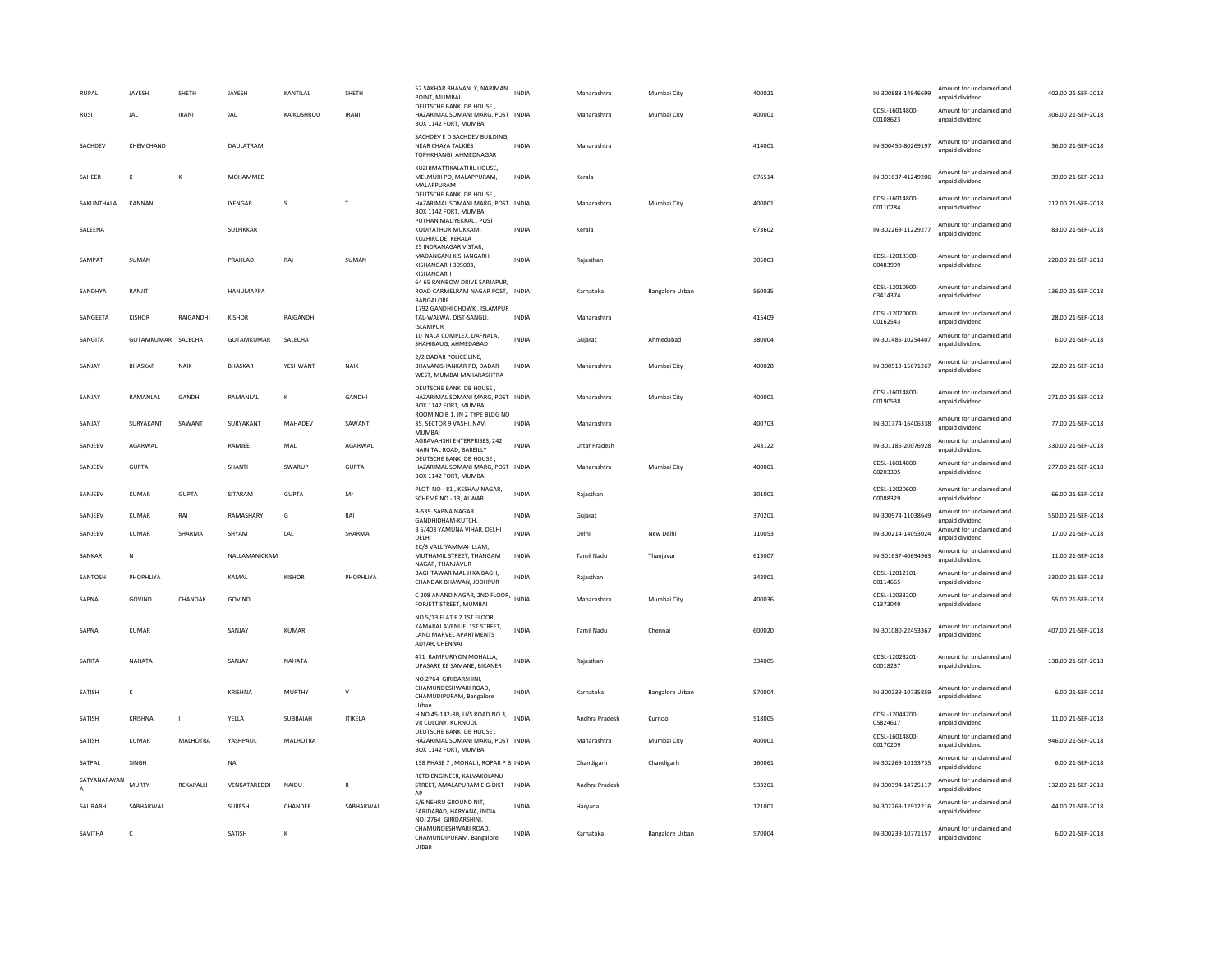| <b>RUPAL</b> | JAYESH         | SHETH            | JAYESH         | KANTILAL     | SHETH          | 52 SAKHAR BHAVAN, X, NARIMAN<br>POINT, MUMBAI                                                               | <b>INDIA</b> | Maharashtra          | Mumbai City            | 400021 | IN-300888-14946699         | Amount for unclaimed and<br>unnaid dividend | 402.00 21-SEP-2018 |
|--------------|----------------|------------------|----------------|--------------|----------------|-------------------------------------------------------------------------------------------------------------|--------------|----------------------|------------------------|--------|----------------------------|---------------------------------------------|--------------------|
| <b>RUSI</b>  | <b>JAL</b>     | <b>IRANI</b>     | <b>JAL</b>     | KAIKUSHROO   | <b>IRANI</b>   | DEUTSCHE BANK DB HOUSE.<br>HAZARIMAL SOMANI MARG, POST INDIA<br>BOX 1142 FORT, MUMBAI                       |              | Maharashtra          | Mumbai City            | 400001 | CDSL-16014800-<br>00108623 | Amount for unclaimed and<br>unpaid dividend | 306.00 21-SEP-2018 |
| SACHDEV      | KHEMCHAND      |                  | DAULATRAM      |              |                | SACHDEV E D SACHDEV BUILDING,<br>NEAR CHAYA TALKIES<br>TOPHKHANGI, AHMEDNAGAR                               | <b>INDIA</b> | Maharashtra          |                        | 414001 | IN-300450-80269197         | Amount for unclaimed and<br>unpaid dividend | 36.00 21-SEP-2018  |
| SAHFFR       | К              | к                | MOHAMMED       |              |                | KUZHIMATTIKALATHIL HOUSE,<br>MELMURI PO. MALAPPURAM.<br>MALAPPURAM                                          | <b>INDIA</b> | Kerala               |                        | 676514 | IN-301637-41249206         | Amount for unclaimed and<br>unpaid dividend | 39.00 21-SEP-2018  |
| SAKUNTHALA   | KANNAN         |                  | <b>IYENGAR</b> | <sub>S</sub> | T              | DEUTSCHE BANK DB HOUSE.<br>HAZARIMAL SOMANI MARG, POST INDIA<br>BOX 1142 FORT, MUMBAI                       |              | Maharashtra          | Mumbai City            | 400001 | CDSL-16014800-<br>00110284 | Amount for unclaimed and<br>unpaid dividend | 212.00 21-SEP-2018 |
| SALEENA      |                |                  | SULFIKKAR      |              |                | PUTHAN MALIYEKKAL, POST<br>KODIYATHUR MUKKAM,<br>KOZHIKODE, KERALA<br>25 INDRANAGAR VISTAR.                 | INDIA        | Kerala               |                        | 673602 | IN-302269-11229277         | Amount for unclaimed and<br>unpaid dividend | 83.00 21-SEP-2018  |
| SAMPAT       | SUMAN          |                  | PRAHLAD        | RAI          | SUMAN          | MADANGANJ KISHANGARH.<br>KISHANGARH 305003,<br>KISHANGARH                                                   | <b>INDIA</b> | Rajasthan            |                        | 305003 | CDSL-12013300-<br>00483999 | Amount for unclaimed and<br>unpaid dividend | 220.00 21-SEP-2018 |
| SANDHYA      | RANJIT         |                  | HANUMAPPA      |              |                | 64 65 RAINBOW DRIVE SARJAPUR<br>ROAD CARMELRAM NAGAR POST, INDIA<br><b>BANGALORE</b>                        |              | Karnataka            | <b>Bangalore Urban</b> | 560035 | CDSI-12010900-<br>03414374 | Amount for unclaimed and<br>unpaid dividend | 136.00 21-SEP-2018 |
| SANGEETA     | KISHOR         | RAIGANDHI        | KISHOR         | RAIGANDHI    |                | 1792 GANDHI CHOWK, ISLAMPUR<br>TAL-WALWA, DIST-SANGLI,<br>ISLAMPUR                                          | <b>INDIA</b> | Maharashtra          |                        | 415409 | CDSL-12020000-<br>00162543 | Amount for unclaimed and<br>unpaid dividend | 28.00 21-SEP-2018  |
| SANGITA      | GOTAMKUMAR     | SALECHA          | GOTAMKUMAR     | SALECHA      |                | 10 NALA COMPLEX, DAFNALA,<br>SHAHIBAUG, AHMEDABAD                                                           | INDIA        | Gujarat              | Ahmedabad              | 380004 | IN-301485-10254407         | Amount for unclaimed and<br>unpaid dividend | 6.00 21-SEP-2018   |
| SANJAY       | <b>BHASKAR</b> | NAIK             | <b>BHASKAR</b> | YESHWANT     | <b>NAIK</b>    | 2/2 DADAR POLICE LINE,<br>BHAVANISHANKAR RD, DADAR<br>WEST, MUMBAI MAHARASHTRA                              | <b>INDIA</b> | Maharashtra          | Mumbai City            | 400028 | IN-300513-15671267         | Amount for unclaimed and<br>unpaid dividend | 22.00 21-SEP-2018  |
| SANIAY       | RAMANI AI      | <b>GANDHI</b>    | RAMANI AI      | K            | GANDHI         | DEUTSCHE BANK DB HOUSE,<br>HAZARIMAL SOMANI MARG, POST INDIA<br>BOX 1142 FORT, MUMBAI                       |              | Maharashtra          | Mumhai City            | 400001 | CDSL-16014800-<br>00190538 | Amount for unclaimed and<br>unpaid dividend | 271.00.21-SEP-2018 |
| SANIAY       | SURYAKANT      | SAWANT           | SURYAKANT      | MAHADFV      | SAWANT         | ROOM NO B 1. JN 2 TYPE BLDG NO<br>35, SECTOR 9 VASHI, NAVI<br><b>MUMBAI</b>                                 | <b>INDIA</b> | Maharashtra          |                        | 400703 | IN-301774-16406338         | Amount for unclaimed and<br>unpaid dividend | 77.00 21-SEP-2018  |
| SANJEEV      | AGARWAL        |                  | RAMJEE         | MAL          | AGARWAL        | AGRAVAHSHI ENTERPRISES, 242<br>NAINITAL ROAD, BAREILLY                                                      | <b>INDIA</b> | <b>Uttar Pradesh</b> |                        | 243122 | IN-301186-20076928         | Amount for unclaimed and<br>unpaid dividend | 330.00 21-SEP-2018 |
| SANJEEV      | <b>GUPTA</b>   |                  | SHANTI         | SWARUP       | <b>GUPTA</b>   | DEUTSCHE BANK DB HOUSE<br>HAZARIMAL SOMANI MARG, POST INDIA<br>BOX 1142 FORT, MUMBAI                        |              | Maharashtra          | Mumbai City            | 400001 | CDSL-16014800-<br>00203305 | Amount for unclaimed and<br>unpaid dividend | 277.00 21-SEP-2018 |
| SANJEEV      | <b>KUMAR</b>   | GUPTA            | SITARAM        | GUPTA        | Mr             | PLOT NO - 81, KESHAV NAGAR,<br>SCHEME NO - 13, ALWAR                                                        | <b>INDIA</b> | Raiasthan            |                        | 301001 | CDSL-12020600-<br>00088329 | Amount for unclaimed and<br>unpaid dividend | 66.00 21-SEP-2018  |
| SANJEEV      | <b>KUMAR</b>   | RAI              | RAMASHARY      | G            | RAI            | B-539 SAPNA NAGAR<br>GANDHIDHAM-KUTCH.                                                                      | <b>INDIA</b> | Gujarat              |                        | 370201 | IN-300974-11038649         | Amount for unclaimed and<br>unnaid dividend | 550.00 21-SEP-2018 |
| SANJEEV      | <b>KUMAR</b>   | SHARMA           | SHYAM          | LAL          | SHARMA         | B 5/403 YAMUNA VIHAR, DELHI<br>DELHI                                                                        | <b>INDIA</b> | Delhi                | New Delhi              | 110053 | IN-300214-14053024         | Amount for unclaimed and<br>unpaid dividend | 17.00 21-SEP-2018  |
| SANKAR       | N              |                  | NALLAMANICKAM  |              |                | 2C/3 VALLIYAMMAI ILLAM,<br>MUTHAMIL STREET, THANGAM<br>NAGAR, THANJAVUR                                     | <b>INDIA</b> | <b>Tamil Nadu</b>    | Thanjavur              | 613007 | IN-301637-40694963         | Amount for unclaimed and<br>unpaid dividend | 11.00 21-SEP-2018  |
| SANTOSH      | PHOPHLIYA      |                  | KAMAI          | KISHOR       | PHOPHLIYA      | BAGHTAWAR MAL JI KA BAGH,<br>CHANDAK BHAWAN, JODHPUR                                                        | <b>INDIA</b> | Rajasthan            |                        | 342001 | CDSL-12012101-<br>00114665 | Amount for unclaimed and<br>unpaid dividend | 330.00 21-SEP-2018 |
| SAPNA        | GOVIND         | CHANDAK          | GOVIND         |              |                | C 208 ANAND NAGAR, 2ND FLOOR,<br>FORJETT STREET, MUMBAI                                                     | <b>INDIA</b> | Maharashtra          | Mumbai City            | 400036 | CDSL-12033200-<br>01373049 | Amount for unclaimed and<br>unpaid dividend | 55.00 21-SEP-2018  |
| SAPNA        | KUMAR          |                  | SANIAY         | KUMAR        |                | NO 5/13 FLAT F 2 1ST FLOOR,<br>KAMARAJ AVENUE 1ST STREET,<br>LAND MARVEL APARTMENTS<br><b>ADYAR CHENNAL</b> | <b>INDIA</b> | <b>Tamil Nadu</b>    | Chennai                | 600020 | IN-301080-22453367         | Amount for unclaimed and<br>unpaid dividend | 407.00.21-SEP-2018 |
| SARITA       | NAHATA         |                  | SANJAY         | NAHATA       |                | 471 RAMPURIYON MOHALLA,<br>UPASARE KE SAMANE, BIKANER                                                       | <b>INDIA</b> | Raiasthan            |                        | 334005 | CDSL-12023201-<br>00018237 | Amount for unclaimed and<br>unpaid dividend | 138.00.21-SEP-2018 |
| SATISH       | К              |                  | KRISHNA        | MURTHY       | $\mathsf{v}$   | NO.2764 GIRIDARSHINI.<br>CHAMUNDESHWARI ROAD<br>CHAMUDIPURAM, Bangalore<br>Urban                            | <b>INDIA</b> | Karnataka            | Bangalore Urban        | 570004 | IN-300239-10735859         | Amount for unclaimed and<br>unpaid dividend | 6.00 21-SEP-2018   |
| SATISH       | KRISHNA        | $\overline{1}$   | YELLA          | SUBBAIAH     | <b>ITIKELA</b> | H NO 45-142-8B, U/S ROAD NO 3,<br>VR COLONY, KURNOOL                                                        | <b>INDIA</b> | Andhra Pradesh       | Kurnool                | 518005 | CDSL-12044700-<br>05824617 | Amount for unclaimed and<br>unpaid dividend | 11.00 21-SEP-2018  |
| SATISH       | <b>KUMAR</b>   | MALHOTRA         | YASHPAUL       | MALHOTRA     |                | DEUTSCHE BANK DB HOUSE,<br>HAZARIMAL SOMANI MARG, POST INDIA<br>BOX 1142 FORT, MUMBAI                       |              | Maharashtra          | Mumbai City            | 400001 | CDSL-16014800-<br>00170209 | Amount for unclaimed and<br>unpaid dividend | 946.00 21-SEP-2018 |
| SATPAL       | SINGH          |                  | <b>NA</b>      |              |                | 158 PHASE 7, MOHAL I, ROPAR P B INDIA                                                                       |              | Chandigarh           | Chandigarh             | 160061 | IN-302269-10153735         | Amount for unclaimed and<br>unpaid dividend | 6.00 21-SEP-2018   |
| SATYANARAYAN | MURTY          | <b>REKAPALLI</b> | VENKATAREDDI   | NAIDU        | R              | RETD ENGINEER, KALVAKOLANU<br>STREET, AMALAPURAM E G-DIST INDIA<br>AP                                       |              | Andhra Pradesh       |                        | 533201 | IN-300394-14725117         | Amount for unclaimed and<br>unpaid dividend | 132.00.21-SEP-2018 |
| SAURABH      | SABHARWAL      |                  | SURESH         | CHANDER      | SABHARWAL      | E/6 NEHRU GROUND NIT.<br>FARIDABAD, HARYANA, INDIA                                                          | INDIA        | Haryana              |                        | 121001 | IN-302269-12912216         | Amount for unclaimed and<br>unpaid dividend | 44.00 21-SEP-2018  |
| SAVITHA      | c              |                  | SATISH         | К            |                | NO. 2764 GIRIDARSHINI,<br>CHAMUNDESHWARI ROAD<br>CHAMUNDIPURAM, Bangalore<br>Urban                          | <b>INDIA</b> | Karnataka            | Bangalore Urban        | 570004 | IN-300239-10771157         | Amount for unclaimed and<br>unpaid dividend | 6.00 21-SEP-2018   |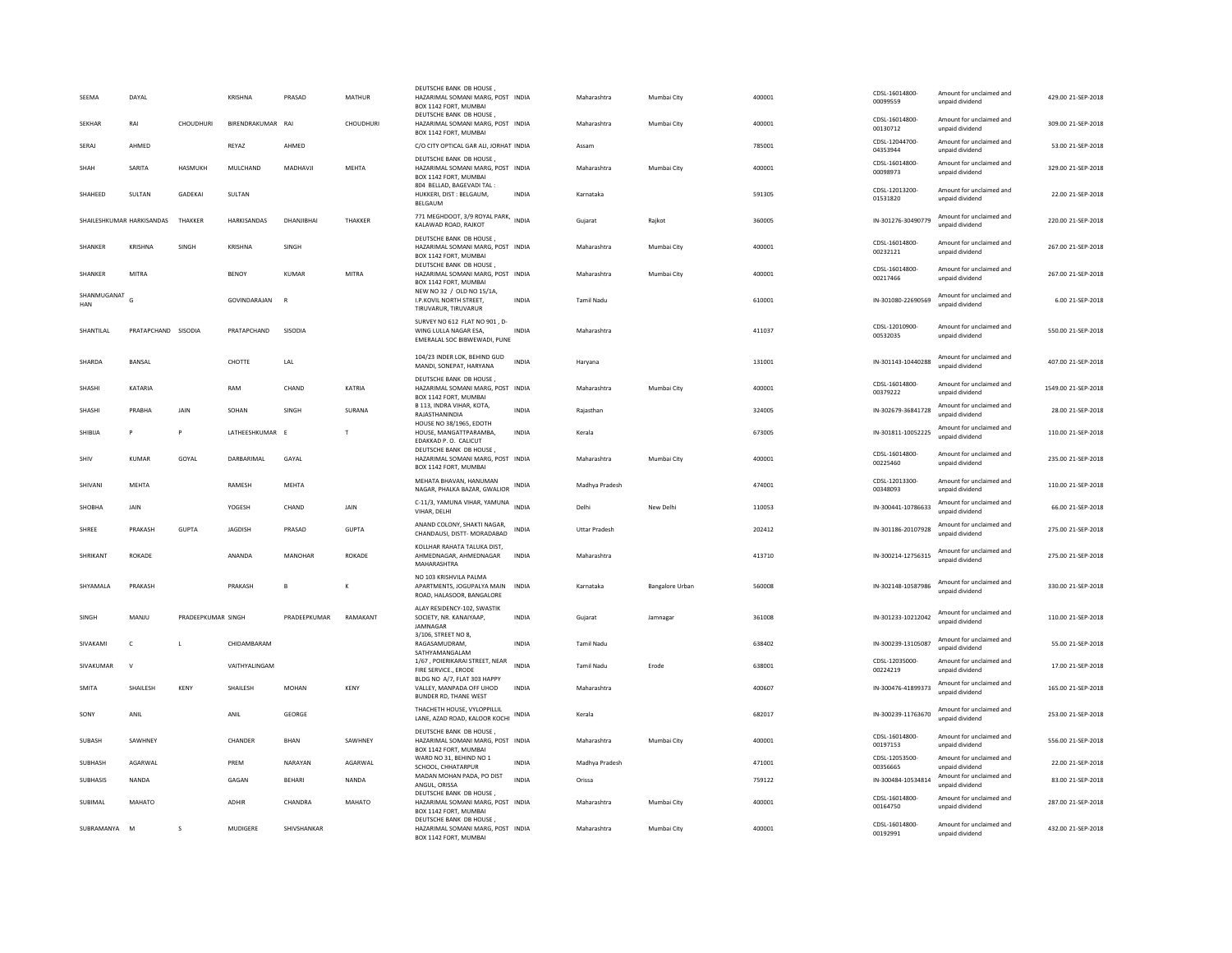| SEEMA                | DAYAL                     |                    | KRISHNA                  | PRASAD        | MATHUR        | DEUTSCHE BANK DB HOUSE<br>HAZARIMAL SOMANI MARG, POST INDIA<br>BOX 1142 FORT, MUMBAI    |              | Maharashtra          | Mumbai City     | 400001 | CDSL-16014800<br>00099559  | Amount for unclaimed and<br>unpaid dividend | 429.00 21-SEP-2018  |
|----------------------|---------------------------|--------------------|--------------------------|---------------|---------------|-----------------------------------------------------------------------------------------|--------------|----------------------|-----------------|--------|----------------------------|---------------------------------------------|---------------------|
| <b>SFKHAR</b>        | RAI                       | CHOUDHURI          | <b>BIRENDRAKUMAR RAI</b> |               | CHOUDHURI     | DEUTSCHE BANK DB HOUSE,<br>HAZARIMAL SOMANI MARG, POST INDIA<br>BOX 1142 FORT, MUMBAI   |              | Maharashtra          | Mumbai City     | 400001 | CDSL-16014800<br>00130712  | Amount for unclaimed and<br>unpaid dividend | 309.00 21-SEP-2018  |
| SERAJ                | AHMED                     |                    | REYAZ                    | AHMED         |               | C/O CITY OPTICAL GAR ALI, JORHAT INDIA                                                  |              | Assam                |                 | 785001 | CDSL-12044700<br>04353944  | Amount for unclaimed and<br>unpaid dividend | 53.00 21-SEP-2018   |
| SHAH                 | SARITA                    | HASMUKH            | MULCHAND                 | MADHAVJI      | <b>MEHTA</b>  | DEUTSCHE BANK DB HOUSE<br>HAZARIMAL SOMANI MARG, POST INDIA<br>BOX 1142 FORT, MUMBAI    |              | Maharashtra          | Mumbai City     | 400001 | CDSL-16014800<br>00098973  | Amount for unclaimed and<br>unpaid dividend | 329.00 21-SEP-2018  |
| <b>SHAHFFD</b>       | <b>SULTAN</b>             | GADEKAL            | <b>SULTAN</b>            |               |               | 804 BELLAD, BAGEVADI TAL:<br>HUKKERI, DIST: BELGAUM,<br><b>BELGAUM</b>                  | <b>INDIA</b> | Karnataka            |                 | 591305 | CDSL-12013200-<br>01531820 | Amount for unclaimed and<br>unpaid dividend | 22.00 21-SEP-2018   |
|                      | SHAILESHKUMAR HARKISANDAS | THAKKER            | HARKISANDAS              | DHANJIBHAI    | THAKKER       | 771 MEGHDOOT, 3/9 ROYAL PARK, INDIA<br>KALAWAD ROAD, RAJKOT                             |              | Gujarat              | Rajkot          | 360005 | IN-301276-30490779         | Amount for unclaimed and<br>unpaid dividend | 220.00 21-SEP-2018  |
| <b>SHANKER</b>       | KRISHNA                   | <b>SINGH</b>       | KRISHNA                  | SINGH         |               | DEUTSCHE BANK DB HOUSE,<br>HAZARIMAL SOMANI MARG, POST INDIA<br>BOX 1142 FORT, MUMBAI   |              | Maharashtra          | Mumbai City     | 400001 | CDSL-16014800<br>00232121  | Amount for unclaimed and<br>unpaid dividend | 267.00 21-SEP-2018  |
| SHANKER              | MITRA                     |                    | <b>BENOY</b>             | KUMAR         | MITRA         | DEUTSCHE BANK DB HOUSE.<br>HAZARIMAL SOMANI MARG, POST INDIA<br>BOX 1142 FORT, MUMBAI   |              | Maharashtra          | Mumbai City     | 400001 | CDSL-16014800-<br>00217466 | Amount for unclaimed and<br>unpaid dividend | 267.00 21-SEP-2018  |
| SHANMUGANAT G<br>HAN |                           |                    | GOVINDARAJAN             | $\mathbf R$   |               | NEW NO 32 / OLD NO 15/1A,<br>I.P.KOVIL NORTH STREET.<br>TIRUVARUR, TIRUVARUR            | <b>INDIA</b> | <b>Tamil Nadu</b>    |                 | 610001 | IN-301080-22690569         | Amount for unclaimed and<br>unpaid dividend | 6.00 21-SEP-2018    |
| SHANTILAL            | PRATAPCHAND SISODIA       |                    | PRATAPCHAND              | SISODIA       |               | SURVEY NO 612 FLAT NO 901, D-<br>WING LULLA NAGAR ESA.<br>EMERALAL SOC BIBWEWADI, PUNE  | <b>INDIA</b> | Maharashtra          |                 | 411037 | CDSL-12010900-<br>00532035 | Amount for unclaimed and<br>unpaid dividend | 550.00 21-SEP-2018  |
| SHARDA               | BANSAL                    |                    | CHOTTE                   | LAL           |               | 104/23 INDER LOK, BEHIND GUD<br>MANDI, SONEPAT, HARYANA                                 | INDIA        | Haryana              |                 | 131001 | IN-301143-10440288         | Amount for unclaimed and<br>unpaid dividend | 407.00 21-SEP-2018  |
| SHASHI               | KATARIA                   |                    | RAM                      | CHAND         | KATRIA        | DEUTSCHE BANK DB HOUSE,<br>HAZARIMAL SOMANI MARG, POST INDIA<br>BOX 1142 FORT, MUMBAI   |              | Maharashtra          | Mumbai City     | 400001 | CDSL-16014800<br>00379222  | Amount for unclaimed and<br>unpaid dividend | 1549.00 21-SEP-2018 |
| SHASH                | PRABHA                    | JAIN               | SOHAN                    | SINGH         | SURANA        | B 113. INDRA VIHAR, KOTA.<br>RAJASTHANINDIA                                             | <b>INDIA</b> | Raiasthan            |                 | 324005 | IN-302679-36841728         | Amount for unclaimed and<br>unpaid dividend | 28.00 21-SEP-2018   |
| SHIBUA               | P                         | P                  | LATHEESHKUMAR E          |               | T             | <b>HOUSE NO 38/1965, EDOTH</b><br>HOUSE, MANGATTPARAMBA,<br>EDAKKAD P. O. CALICUT       | <b>INDIA</b> | Kerala               |                 | 673005 | IN-301811-10052225         | Amount for unclaimed and<br>unpaid dividend | 110.00 21-SEP-2018  |
| SHIV                 | <b>KUMAR</b>              | GOYAL              | DARBARIMAL               | GAYAL         |               | DEUTSCHE BANK DB HOUSE,<br>HAZARIMAL SOMANI MARG, POST INDIA<br>BOX 1142 FORT, MUMBAI   |              | Maharashtra          | Mumbai City     | 400001 | CDSL-16014800<br>00225460  | Amount for unclaimed and<br>unpaid dividend | 235.00 21-SEP-2018  |
| SHIVANI              | <b>MEHTA</b>              |                    | RAMESH                   | MEHTA         |               | MEHATA BHAVAN, HANUMAN<br>NAGAR, PHALKA BAZAR, GWALIOR                                  | <b>INDIA</b> | Madhya Pradesh       |                 | 474001 | CDSL-12013300-<br>00348093 | Amount for unclaimed and<br>unpaid dividend | 110.00 21-SEP-2018  |
| SHOBHA               | JAIN                      |                    | YOGESH                   | CHAND         | JAIN          | C-11/3, YAMUNA VIHAR, YAMUNA INDIA<br>VIHAR, DELHI                                      |              | Delhi                | New Delhi       | 110053 | IN-300441-10786633         | Amount for unclaimed and<br>unpaid dividend | 66.00 21-SEP-2018   |
| SHREE                | PRAKASH                   | <b>GUPTA</b>       | JAGDISH                  | PRASAD        | <b>GUPTA</b>  | ANAND COLONY, SHAKTI NAGAR.<br>CHANDAUSI, DISTT- MORADABAD                              | <b>INDIA</b> | <b>Uttar Pradesh</b> |                 | 202412 | IN-301186-20107928         | Amount for unclaimed and<br>unpaid dividend | 275.00 21-SEP-2018  |
| SHRIKANT             | <b>ROKADE</b>             |                    | ANANDA                   | MANOHAR       | <b>ROKADE</b> | KOLLHAR RAHATA TALUKA DIST,<br>AHMEDNAGAR, AHMEDNAGAR<br>MAHARASHTRA                    | <b>INDIA</b> | Maharashtra          |                 | 413710 | IN-300214-12756315         | Amount for unclaimed and<br>unpaid dividend | 275.00.21-SEP-2018  |
| SHYAMALA             | PRAKASH                   |                    | PRAKASH                  | B             | к             | NO 103 KRISHVILA PALMA<br>APARTMENTS, JOGUPALYA MAIN<br>ROAD, HALASOOR, BANGALORE       | <b>INDIA</b> | Karnataka            | Bangalore Urban | 560008 | IN-302148-10587986         | Amount for unclaimed and<br>unpaid dividend | 330.00 21-SEP-2018  |
| SINGH                | MANJU                     | PRADEEPKUMAR SINGH |                          | PRADEEPKUMAR  | RAMAKANT      | ALAY RESIDENCY-102, SWASTIK<br>SOCIETY, NR. KANAIYAAP,<br>JAMNAGAR                      | INDIA        | Gujarat              | Jamnagar        | 361008 | IN-301233-10212042         | Amount for unclaimed and<br>unpaid dividend | 110.00 21-SEP-2018  |
| SIVAKAMI             | $\mathsf{C}$              | I.                 | CHIDAMBARAM              |               |               | 3/106, STREET NO 8,<br>RAGASAMUDRAM.                                                    | <b>INDIA</b> | <b>Tamil Nadu</b>    |                 | 638402 | IN-300239-13105087         | Amount for unclaimed and<br>unpaid dividend | 55.00 21-SEP-2018   |
| SIVAKUMAR            | $\mathsf{v}$              |                    | VAITHYALINGAM            |               |               | SATHYAMANGALAM<br>1/67, POIERIKARAI STREET, NEAR<br>FIRE SERVICE., ERODE                | <b>INDIA</b> | Tamil Nadu           | Erode           | 638001 | CDSI-12035000-<br>00224219 | Amount for unclaimed and<br>unpaid dividend | 17.00 21-SEP-2018   |
| SMITA                | SHAILESH                  | KENY               | SHAILESH                 | MOHAN         | KENY          | BLDG NO A/7, FLAT 303 HAPPY<br>VALLEY, MANPADA OFF UHOD<br><b>BUNDER RD, THANE WEST</b> | INDIA        | Maharashtra          |                 | 400607 | IN-300476-41899373         | Amount for unclaimed and<br>unpaid dividend | 165.00 21-SEP-2018  |
| SONY                 | ANIL                      |                    | ANIL                     | GEORGE        |               | THACHETH HOUSE, VYLOPPILLIL<br>LANE, AZAD ROAD, KALOOR KOCHI                            | <b>INDIA</b> | Kerala               |                 | 682017 | IN-300239-11763670         | Amount for unclaimed and<br>unpaid dividend | 253.00 21-SEP-2018  |
| SUBASH               | SAWHNEY                   |                    | CHANDER                  | <b>BHAN</b>   | SAWHNFY       | DEUTSCHE BANK DB HOUSE.<br>HAZARIMAL SOMANI MARG, POST INDIA<br>BOX 1142 FORT, MUMBAI   |              | Maharashtra          | Mumbai City     | 400001 | CDSL-16014800<br>00197153  | Amount for unclaimed and<br>unpaid dividend | 556.00 21-SEP-2018  |
| SUBHASH              | AGARWAI                   |                    | PRFM                     | NARAYAN       | AGARWAI       | WARD NO 31, BEHIND NO 1<br>SCHOOL, CHHATARPUR                                           | <b>INDIA</b> | Madhya Pradesh       |                 | 471001 | CDSL-12053500-<br>00356665 | Amount for unclaimed and<br>unpaid dividend | 22.00.21-SEP-2018   |
| <b>SUBHASIS</b>      | NANDA                     |                    | GAGAN                    | <b>BEHARI</b> | NANDA         | MADAN MOHAN PADA, PO DIST<br>ANGUL, ORISSA                                              | <b>INDIA</b> | Orissa               |                 | 759122 | IN-300484-10534814         | Amount for unclaimed and<br>unpaid dividend | 83.00 21-SEP-2018   |
| SUBIMAL              | MAHATO                    |                    | <b>ADHIR</b>             | CHANDRA       | MAHATO        | DEUTSCHE BANK DB HOUSE,<br>HAZARIMAL SOMANI MARG, POST INDIA<br>BOX 1142 FORT, MUMBAI   |              | Maharashtra          | Mumbai City     | 400001 | CDSL-16014800<br>00164750  | Amount for unclaimed and<br>unpaid dividend | 287.00 21-SEP-2018  |
| SUBRAMANYA M         |                           | s                  | MUDIGERE                 | SHIVSHANKAR   |               | DEUTSCHE BANK DB HOUSE<br>HAZARIMAL SOMANI MARG, POST INDIA<br>BOX 1142 FORT, MUMBAI    |              | Maharashtra          | Mumbai City     | 400001 | CDSL-16014800-<br>00192991 | Amount for unclaimed and<br>unpaid dividend | 432.00 21-SEP-2018  |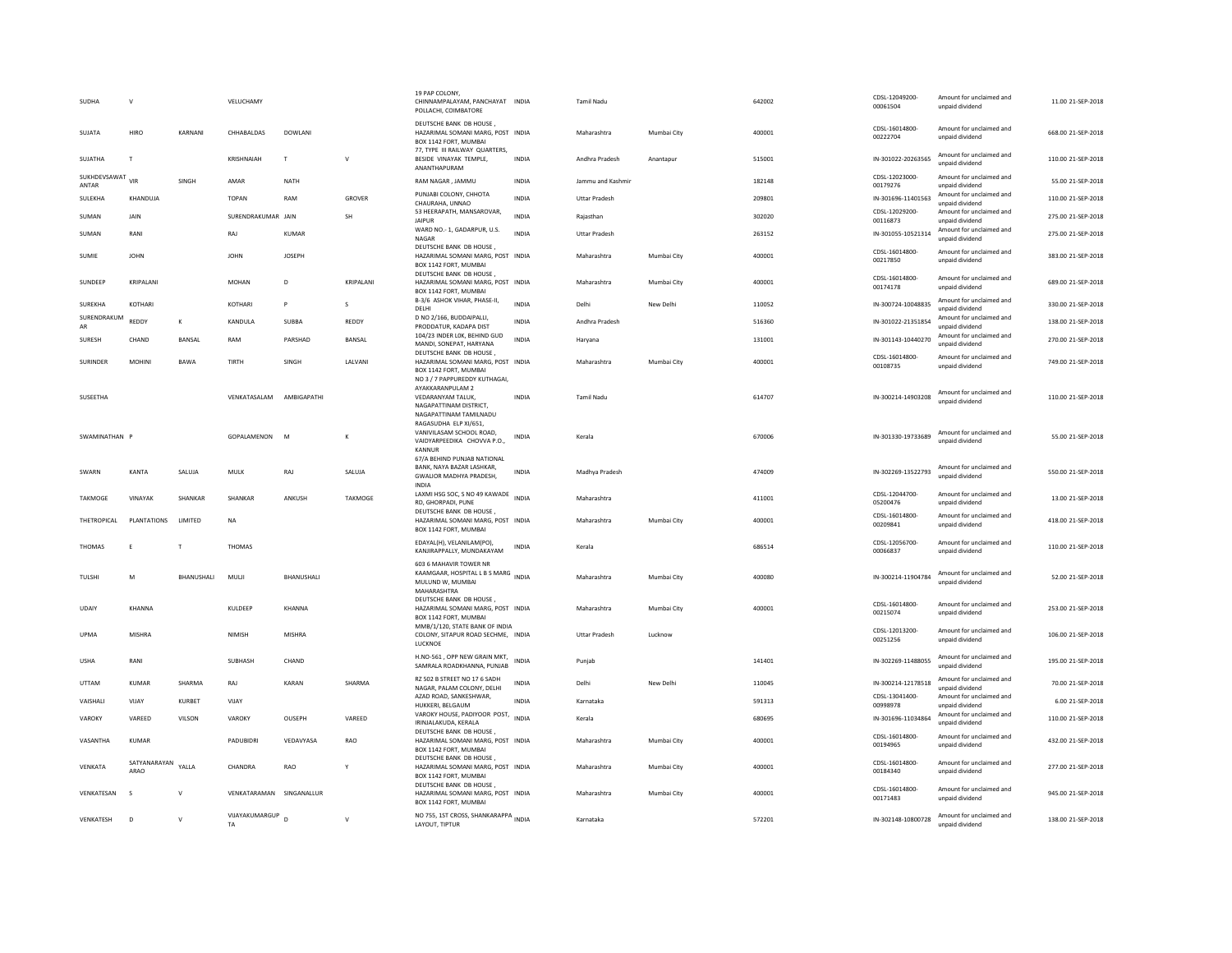| SUDHA                     | $\mathsf{v}$         |                   | VELUCHAMY                |                |               | 19 PAP COLONY,<br>CHINNAMPALAYAM, PANCHAYAT INDIA<br>POLLACHI, COIMBATORE                           |              | <b>Tamil Nadu</b>    |             | 642002 | CDSL-12049200<br>00061504  | Amount for unclaimed and<br>unpaid dividend | 11.00 21-SEP-2018  |
|---------------------------|----------------------|-------------------|--------------------------|----------------|---------------|-----------------------------------------------------------------------------------------------------|--------------|----------------------|-------------|--------|----------------------------|---------------------------------------------|--------------------|
| SUIATA                    | <b>HIRO</b>          | KARNANI           | CHHABAI DAS              | DOWLANI        |               | DEUTSCHE BANK DB HOUSE,<br>HAZARIMAL SOMANI MARG, POST INDIA<br>BOX 1142 FORT, MUMBAI               |              | Maharashtra          | Mumbai City | 400001 | CDSL-16014800-<br>00222704 | Amount for unclaimed and<br>unpaid dividend | 668.00 21-SEP-2018 |
| SUJATHA                   | $\mathsf{T}$         |                   | KRISHNAIAH               | $\mathsf{T}$   | v             | 77, TYPE III RAILWAY QUARTERS,<br>BESIDE VINAYAK TEMPLE,<br>ANANTHAPURAM                            | <b>INDIA</b> | Andhra Pradesh       | Anantapur   | 515001 | IN-301022-20263565         | Amount for unclaimed and<br>unpaid dividend | 110.00 21-SEP-2018 |
| SUKHDEVSAWAT VIR<br>ANTAR |                      | SINGH             | AMAR                     | NATH           |               | RAM NAGAR, JAMMU                                                                                    | <b>INDIA</b> | Jammu and Kashmir    |             | 182148 | CDSL-12023000-<br>00179276 | Amount for unclaimed and<br>unpaid dividend | 55.00 21-SEP-2018  |
| SULEKHA                   | KHANDUJA             |                   | TOPAN                    | RAM            | GROVER        | PUNJABI COLONY, CHHOTA<br>CHAURAHA, UNNAO                                                           | <b>INDIA</b> | <b>Uttar Pradesh</b> |             | 209801 | IN-301696-11401563         | Amount for unclaimed and<br>unpaid dividend | 110.00 21-SEP-2018 |
| SUMAN                     | JAIN                 |                   | SURENDRAKUMAR JAIN       |                | <b>SH</b>     | 53 HEERAPATH, MANSAROVAR,<br>JAIPUR                                                                 | <b>INDIA</b> | Rajasthan            |             | 302020 | CDSL-12029200-<br>00116873 | Amount for unclaimed and<br>unpaid dividend | 275.00 21-SEP-2018 |
| SUMAN                     | RANI                 |                   | RAI                      | KUMAR          |               | WARD NO.- 1, GADARPUR, U.S.<br>NAGAR                                                                | <b>INDIA</b> | <b>Uttar Pradesh</b> |             | 263152 | IN-301055-10521314         | Amount for unclaimed and<br>unpaid dividend | 275.00 21-SEP-2018 |
| SUMIE                     | <b>IOHN</b>          |                   | <b>IOHN</b>              | <b>IOSEPH</b>  |               | DEUTSCHE BANK DB HOUSE,<br>HAZARIMAL SOMANI MARG, POST INDIA<br>BOX 1142 FORT, MUMBAI               |              | Maharashtra          | Mumbai City | 400001 | CDSL-16014800-<br>00217850 | Amount for unclaimed and<br>unpaid dividend | 383.00.21-SEP-2018 |
| SUNDEEP                   | KRIPALANI            |                   | <b>MOHAN</b>             | D              | KRIPALANI     | DEUTSCHE BANK DB HOUSE<br>HAZARIMAL SOMANI MARG, POST INDIA<br>BOX 1142 FORT, MUMBAI                |              | Maharashtra          | Mumbai City | 400001 | CDSL-16014800-<br>00174178 | Amount for unclaimed and<br>unpaid dividend | 689.00 21-SEP-2018 |
| SUREKHA                   | KOTHARI              |                   | <b>KOTHAR</b>            | P              | S             | B-3/6 ASHOK VIHAR, PHASE-II,<br>DELHI                                                               | <b>INDIA</b> | Delhi                | New Delhi   | 110052 | IN-300724-10048835         | Amount for unclaimed and<br>unpaid dividend | 330.00 21-SEP-2018 |
| SURENDRAKUM<br>AR         | REDDY                | $\kappa$          | KANDULA                  | SUBBA          | REDDY         | D NO 2/166, BUDDAIPALLI,<br>PRODDATUR, KADAPA DIST                                                  | <b>INDIA</b> | Andhra Pradesh       |             | 516360 | IN-301022-21351854         | Amount for unclaimed and<br>unpaid dividend | 138.00 21-SEP-2018 |
| <b>SURESH</b>             | CHAND                | <b>BANSAL</b>     | RAM                      | PARSHAD        | <b>BANSAL</b> | 104/23 INDER LOK, BEHIND GUD<br>MANDI, SONEPAT, HARYANA                                             | <b>INDIA</b> | Harvana              |             | 131001 | IN-301143-10440270         | Amount for unclaimed and<br>unpaid dividend | 270.00 21-SEP-2018 |
| SURINDER                  | MOHINI               | <b>BAWA</b>       | TIRTH                    | SINGH          | LALVANI       | DEUTSCHE BANK DB HOUSE,<br>HAZARIMAL SOMANI MARG, POST INDIA                                        |              | Maharashtra          | Mumbai City | 400001 | CDSL-16014800-             | Amount for unclaimed and                    | 749.00 21-SEP-2018 |
|                           |                      |                   |                          |                |               | BOX 1142 FORT, MUMBAI<br>NO 3 / 7 PAPPUREDDY KUTHAGAI.<br>AYAKKARANPULAM 2                          |              |                      |             |        | 00108735                   | unpaid dividend                             |                    |
| SUSEETHA                  |                      |                   | VENKATASALAM             | AMBIGAPATHI    |               | VEDARANYAM TALUK,<br>NAGAPATTINAM DISTRICT.<br>NAGAPATTINAM TAMILNADU                               | <b>INDIA</b> | <b>Tamil Nadu</b>    |             | 614707 | IN-300214-14903208         | Amount for unclaimed and<br>unnaid dividend | 110.00 21-SEP-2018 |
| SWAMINATHAN P             |                      |                   | GOPALAMENON              | M              | к             | RAGASUDHA ELP XI/651,<br>VANIVILASAM SCHOOL ROAD,<br>VAIDYARPEEDIKA CHOVVA P.O.,<br>KANNUF          | INDIA        | Kerala               |             | 670006 | IN-301330-19733689         | Amount for unclaimed and<br>unpaid dividend | 55.00 21-SEP-2018  |
| SWARN                     | KANTA                | SALUJA            | MULK                     | RAJ            | SALUJA        | 67/A BEHIND PUNJAB NATIONAL<br>BANK, NAYA BAZAR LASHKAR.<br>GWALIOR MADHYA PRADESH,<br><b>INDIA</b> | <b>INDIA</b> | Madhya Pradesh       |             | 474009 | IN-302269-13522793         | Amount for unclaimed and<br>unpaid dividend | 550.00 21-SEP-2018 |
| TAKMOGE                   | VINAYAK              | SHANKAR           | SHANKAR                  | ANKUSH         | TAKMOGE       | LAXMI HSG SOC, S NO 49 KAWADE INDIA<br>RD, GHORPADI, PUNE                                           |              | Maharashtra          |             | 411001 | CDSL-12044700-<br>05200476 | Amount for unclaimed and<br>unpaid dividend | 13.00 21-SEP-2018  |
| THETROPICAL               | PLANTATIONS          | LIMITED           | NA                       |                |               | DEUTSCHE BANK DB HOUSE<br>HAZARIMAL SOMANI MARG, POST INDIA<br>BOX 1142 FORT, MUMBAI                |              | Maharashtra          | Mumbai City | 400001 | CDSL-16014800-<br>00209841 | Amount for unclaimed and<br>unpaid dividend | 418.00 21-SEP-2018 |
| THOMAS                    | E                    | $\mathbf{T}$      | THOMAS                   |                |               | EDAYAL(H), VELANILAM(PO),<br>KANJIRAPPALLY, MUNDAKAYAM                                              | INDIA        | Kerala               |             | 686514 | CDSL-12056700-<br>00066837 | Amount for unclaimed and<br>unpaid dividend | 110.00 21-SEP-2018 |
| TULSHI                    | M                    | <b>BHANUSHALI</b> | MULJI                    | BHANUSHALI     |               | 603 6 MAHAVIR TOWER NR<br>KAAMGAAR, HOSPITAL L B S MARG INDIA<br>MULUND W, MUMBAI<br>MAHARASHTRA    |              | Maharashtra          | Mumbai City | 400080 | IN-300214-11904784         | Amount for unclaimed and<br>unpaid dividend | 52.00 21-SEP-2018  |
| UDAIY                     | KHANNA               |                   | KULDEEF                  | KHANNA         |               | DEUTSCHE BANK DB HOUSE,<br>HAZARIMAL SOMANI MARG, POST INDIA<br>BOX 1142 FORT, MUMBAI               |              | Maharashtra          | Mumbai City | 400001 | CDSL-16014800-<br>00215074 | Amount for unclaimed and<br>unpaid dividend | 253.00 21-SEP-2018 |
| UPMA                      | MISHRA               |                   | NIMISH                   | MISHRA         |               | MMB/1/120, STATE BANK OF INDIA<br>COLONY, SITAPUR ROAD SECHME, INDIA<br>LUCKNOE                     |              | <b>Uttar Pradesh</b> | Lucknow     |        | CDSL-12013200-<br>00251256 | Amount for unclaimed and<br>unpaid dividend | 106.00 21-SEP-2018 |
| <b>USHA</b>               | RANI                 |                   | SUBHASH                  | CHAND          |               | H.NO-561, OPP NEW GRAIN MKT,<br>SAMRALA ROADKHANNA, PUNJAB                                          | <b>INDIA</b> | Puniab               |             | 141401 | IN-302269-11488055         | Amount for unclaimed and<br>unpaid dividend | 195.00 21-SEP-2018 |
| <b>UTTAM</b>              | <b>KUMAR</b>         | SHARMA            | RAJ                      | KARAN          | SHARMA        | RZ 502 B STREET NO 17 6 SADH<br>NAGAR, PALAM COLONY, DELHI                                          | <b>INDIA</b> | Delhi                | New Delh    | 110045 | IN-300214-12178518         | Amount for unclaimed and<br>unpaid dividend | 70.00 21-SEP-2018  |
| VAISHALI                  | VIJAY                | KURBET            | VIJAY                    |                |               | AZAD ROAD, SANKESHWAR,<br>HUKKERI, BELGAUM                                                          | <b>INDIA</b> | Karnataka            |             | 591313 | CDSL-13041400-<br>00998978 | Amount for unclaimed and<br>unpaid dividend | 6.00 21-SEP-2018   |
| VAROKY                    | VARFFD               | VILSON            | VAROKY                   | OUSEPH         | VARFFD        | VAROKY HOUSE, PADIYOOR POST, INDIA<br>IRINJALAKUDA, KERALA                                          |              | Kerala               |             | 680695 | IN-301696-11034864         | Amount for unclaimed and<br>unpaid dividend | 110.00 21-SEP-2018 |
| VASANTHA                  | KUMAR                |                   | PADUBIDRI                | VEDAVYASA      | RAO           | DEUTSCHE BANK DB HOUSE,<br>HAZARIMAL SOMANI MARG, POST INDIA<br>BOX 1142 FORT, MUMBAI               |              | Maharashtra          | Mumbai City | 400001 | CDSL-16014800-<br>00194965 | Amount for unclaimed and<br>unpaid dividend | 432.00 21-SEP-2018 |
| VENKATA                   | SATYANARAYAN<br>ARAO | YALLA             | CHANDRA                  | RAO            | Y             | DEUTSCHE BANK DB HOUSE,<br>HAZARIMAL SOMANI MARG, POST INDIA<br>BOX 1142 FORT, MUMBAI               |              | Maharashtra          | Mumbai City | 400001 | CDSL-16014800-<br>00184340 | Amount for unclaimed and<br>unpaid dividend | 277.00 21-SEP-2018 |
| VENKATESAN                | s                    | $\mathbf{v}$      | VENKATARAMAN SINGANALLUR |                |               | DEUTSCHE BANK DB HOUSE<br>HAZARIMAL SOMANI MARG, POST INDIA<br>BOX 1142 FORT, MUMBAI                |              | Maharashtra          | Mumbai City | 400001 | CDSL-16014800-<br>00171483 | Amount for unclaimed and<br>unpaid dividend | 945.00 21-SEP-2018 |
| VENKATESH                 | $\overline{D}$       | $\mathbf{v}$      | VIJAYAKUMARGUP<br>TA     | $\overline{D}$ | $\mathsf{v}$  | NO 755, 1ST CROSS, SHANKARAPPA INDIA<br>LAYOUT, TIPTUR                                              |              | Karnataka            |             | 572201 | IN-302148-10800728         | Amount for unclaimed and<br>unnaid dividend | 138.00 21-SEP-2018 |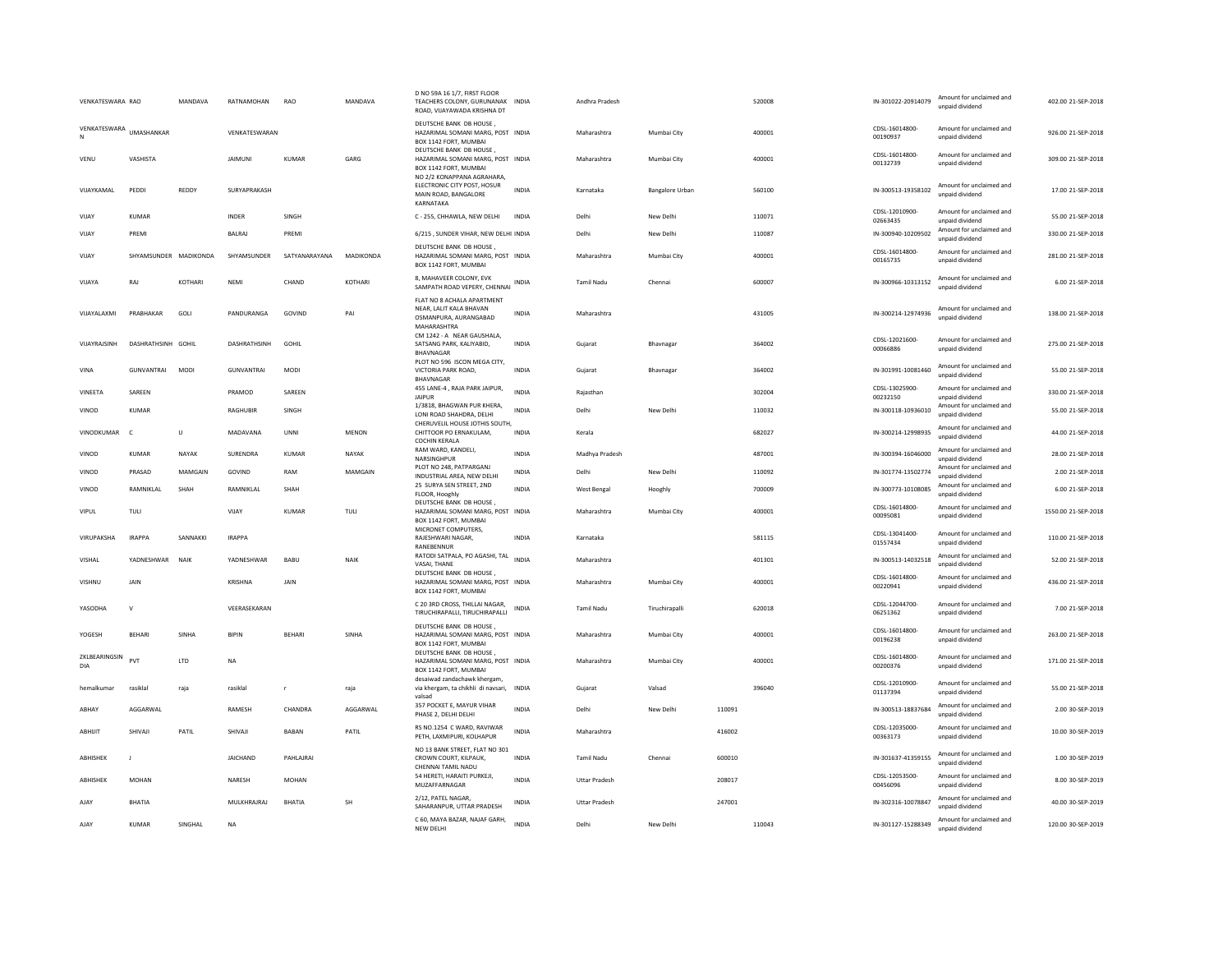| VENKATESWARA RAO     |                       | MANDAVA     | RATNAMOHAN          | RAO           | MANDAVA       | D NO 59A 16 1/7, FIRST FLOOR<br>TEACHERS COLONY, GURUNANAK INDIA<br>ROAD, VIJAYAWADA KRISHNA DT                    |              | Andhra Pradesh       |                        |        | 520008 | IN-301022-20914079         | Amount for unclaimed and<br>unnaid dividend | 402.00 21-SEP-2018  |
|----------------------|-----------------------|-------------|---------------------|---------------|---------------|--------------------------------------------------------------------------------------------------------------------|--------------|----------------------|------------------------|--------|--------|----------------------------|---------------------------------------------|---------------------|
| VENKATESWARA         | <b>UMASHANKAR</b>     |             | VENKATESWARAN       |               |               | DEUTSCHE BANK DB HOUSE<br>HAZARIMAL SOMANI MARG, POST INDIA<br>BOX 1142 FORT, MUMBAI                               |              | Maharashtra          | Mumbai City            |        | 400001 | CDSL-16014800-<br>00190937 | Amount for unclaimed and<br>unpaid dividend | 926.00 21-SEP-2018  |
| VENU                 | VASHISTA              |             | <b>JAIMUNI</b>      | KUMAR         | GARG          | DEUTSCHE BANK DB HOUSE.<br>HAZARIMAL SOMANI MARG, POST INDIA<br>BOX 1142 FORT, MUMBAI<br>NO 2/2 KONAPPANA AGRAHARA |              | Maharashtra          | Mumbai City            |        | 400001 | CDSL-16014800-<br>00132739 | Amount for unclaimed and<br>unpaid dividend | 309.00 21-SEP-2018  |
| VIIAYKAMAI           | PEDDI                 | REDDY       | SURYAPRAKASH        |               |               | ELECTRONIC CITY POST, HOSUR<br>MAIN ROAD, BANGALORE<br>KARNATAKA                                                   | <b>INDIA</b> | Karnataka            | <b>Bangalore Urban</b> |        | 560100 | IN-300513-19358102         | Amount for unclaimed and<br>unpaid dividend | 17.00.21-SEP-2018   |
| VIJAY                | <b>KUMAR</b>          |             | INDER               | SINGH         |               | C - 255, CHHAWLA, NEW DELHI                                                                                        | <b>INDIA</b> | Delhi                | New Delhi              |        | 110071 | CDSL-12010900-<br>02663435 | Amount for unclaimed and<br>unpaid dividend | 55.00 21-SEP-2018   |
| VIJAY                | PREMI                 |             | <b>BALRAJ</b>       | PREMI         |               | 6/215, SUNDER VIHAR, NEW DELHI INDIA                                                                               |              | Delhi                | New Delhi              |        | 110087 | IN-300940-10209502         | Amount for unclaimed and<br>unpaid dividend | 330.00 21-SEP-2018  |
| VIJAY                | SHYAMSUNDER MADIKONDA |             | SHYAMSUNDER         | SATYANARAYANA | MADIKONDA     | DEUTSCHE BANK DB HOUSE.<br>HAZARIMAL SOMANI MARG, POST INDIA<br>BOX 1142 FORT, MUMBAI                              |              | Maharashtra          | Mumbai City            |        | 400001 | CDSL-16014800-<br>00165735 | Amount for unclaimed and<br>unpaid dividend | 281.00 21-SEP-2018  |
| VIJAYA               | RAJ                   | KOTHARI     | <b>NEMI</b>         | CHAND         | <b>KOTHAR</b> | 8, MAHAVEER COLONY, EVK<br>SAMPATH ROAD VEPERY, CHENNAI                                                            | INDIA        | <b>Tamil Nadu</b>    | Chennai                |        | 600007 | IN-300966-10313152         | Amount for unclaimed and<br>unpaid dividend | 6.00 21-SEP-2018    |
| VIJAYALAXMI          | PRABHAKAR             | GOLI        | PANDURANGA          | GOVIND        | PAI           | FLAT NO 8 ACHALA APARTMENT<br>NEAR, LALIT KALA BHAVAN<br>OSMANPURA, AURANGABAD<br>MAHARASHTRA                      | <b>INDIA</b> | Maharashtra          |                        |        | 431005 | IN-300214-12974936         | Amount for unclaimed and<br>unpaid dividend | 138.00 21-SEP-2018  |
| VUAYRAJSINH          | DASHRATHSINH GOHII    |             | <b>DASHRATHSINH</b> | GOHII         |               | CM 1242 - A NEAR GAUSHALA,<br>SATSANG PARK, KALIYABID,<br>BHAVNAGAR                                                | <b>INDIA</b> | Gujarat              | Bhavnagar              |        | 364002 | CDSL-12021600-<br>00066886 | Amount for unclaimed and<br>unpaid dividend | 275.00 21-SEP-2018  |
| VINA                 | GUNVANTRAI            | <b>MODI</b> | <b>GUNVANTRAI</b>   | <b>MODI</b>   |               | PLOT NO 596 ISCON MEGA CITY,<br>VICTORIA PARK ROAD.<br>BHAVNAGAR                                                   | <b>INDIA</b> | Gujarat              | Bhavnagar              |        | 364002 | IN-301991-10081460         | Amount for unclaimed and<br>unpaid dividend | 55.00 21-SEP-2018   |
| VINEETA              | SAREEN                |             | PRAMOD              | SAREEN        |               | 455 LANE-4, RAJA PARK JAIPUR,<br><b>JAIPUR</b>                                                                     | <b>INDIA</b> | Raiasthan            |                        |        | 302004 | CDSL-13025900-<br>00232150 | Amount for unclaimed and<br>unpaid dividend | 330.00 21-SEP-2018  |
| VINOD                | <b>KUMAR</b>          |             | RAGHUBIR            | SINGH         |               | 1/3818, BHAGWAN PUR KHERA,<br>LONI ROAD SHAHDRA, DELHI<br>CHERUVELIL HOUSE JOTHIS SOUTH,                           | <b>INDIA</b> | Delhi                | New Delhi              |        | 110032 | IN-300118-10936010         | Amount for unclaimed and<br>unpaid dividend | 55.00 21-SEP-2018   |
| VINODKUMAR           | $\epsilon$            | $\cup$      | MADAVANA            | UNNI          | MENON         | CHITTOOR PO ERNAKULAM.<br>COCHIN KERALA                                                                            | <b>INDIA</b> | Kerala               |                        |        | 682027 | IN-300214-12998935         | Amount for unclaimed and<br>unpaid dividend | 44.00 21-SEP-2018   |
| VINOD                | KUMAR                 | NAYAK       | SURENDRA            | KUMAR         | NAYAK         | RAM WARD, KANDELI,<br>NARSINGHPUR                                                                                  | <b>INDIA</b> | Madhya Pradesh       |                        |        | 487001 | IN-300394-16046000         | Amount for unclaimed and<br>unpaid dividend | 28.00 21-SEP-2018   |
| VINOD                | PRASAD                | MAMGAIN     | GOVIND              | RAM           | MAMGAIN       | PLOT NO 248, PATPARGANI<br>INDUSTRIAL AREA, NEW DELHI                                                              | <b>INDIA</b> | Delhi                | New Delhi              |        | 110092 | IN-301774-13502774         | Amount for unclaimed and<br>unpaid dividend | 2.00 21-SEP-2018    |
| VINOD                | <b>RAMNIKI AI</b>     | <b>SHAH</b> | <b>RAMNIKI AI</b>   | SHAH          |               | 25 SURYA SEN STREET, 2ND<br>FLOOR, Hooghly                                                                         | <b>INDIA</b> | <b>West Bengal</b>   | Hooghly                |        | 700009 | IN-300773-10108085         | Amount for unclaimed and<br>unpaid dividend | 6.00 21-SEP-2018    |
| VIPUL                | TULI                  |             | VIJAY               | <b>KUMAR</b>  | TULI          | DEUTSCHE BANK DB HOUSE,<br>HAZARIMAL SOMANI MARG, POST INDIA<br>BOX 1142 FORT, MUMBAI                              |              | Maharashtra          | Mumbai City            |        | 400001 | CDSL-16014800-<br>00095081 | Amount for unclaimed and<br>unpaid dividend | 1550.00 21-SEP-2018 |
| VIRUPAKSHA           | <b>IRAPPA</b>         | SANNAKKI    | <b>IRAPPA</b>       |               |               | MICRONET COMPUTERS,<br>RAJESHWARI NAGAR.<br>RANEBENNUR                                                             | <b>INDIA</b> | Karnataka            |                        |        | 581115 | CDSL-13041400-<br>01557434 | Amount for unclaimed and<br>unpaid dividend | 110.00 21-SEP-2018  |
| VISHAL               | YADNESHWAR            | <b>NAIK</b> | YADNESHWAR          | BABU          | NAIK          | RATODI SATPALA, PO AGASHI, TAL<br>VASAI, THANE                                                                     | <b>INDIA</b> | Maharashtra          |                        |        | 401301 | IN-300513-14032518         | Amount for unclaimed and<br>unpaid dividend | 52.00 21-SEP-2018   |
| VISHNU               | JAIN                  |             | KRISHNA             | JAIN          |               | DEUTSCHE BANK DB HOUSE.<br>HAZARIMAL SOMANI MARG, POST INDIA<br>BOX 1142 FORT, MUMBAI                              |              | Maharashtra          | Mumbai City            |        | 400001 | CDSL-16014800-<br>00220941 | Amount for unclaimed and<br>unpaid dividend | 436.00 21-SEP-2018  |
| YASODHA              | $\mathsf{v}$          |             | VEERASEKARAN        |               |               | C 20 3RD CROSS, THILLAI NAGAR,<br>TIRUCHIRAPALLI, TIRUCHIRAPALLI                                                   | <b>INDIA</b> | <b>Tamil Nadu</b>    | Tiruchirapalli         |        | 620018 | CDSL-12044700<br>06251362  | Amount for unclaimed and<br>unpaid dividend | 7.00 21-SEP-2018    |
| YOGESH               | <b>BEHARI</b>         | SINHA       | <b>BIPIN</b>        | <b>BEHARI</b> | SINHA         | DEUTSCHE BANK DB HOUSE,<br>HAZARIMAL SOMANI MARG, POST INDIA<br>BOX 1142 FORT, MUMBAI                              |              | Maharashtra          | Mumbai City            |        | 400001 | CDSI-16014800<br>00196238  | Amount for unclaimed and<br>unpaid dividend | 263.00 21-SEP-2018  |
| ZKLBEARINGSIN<br>DIA | PVT                   | LTD         | <b>NA</b>           |               |               | DEUTSCHE BANK DB HOUSE.<br>HAZARIMAL SOMANI MARG, POST INDIA<br>BOX 1142 FORT, MUMBAI                              |              | Maharashtra          | Mumbai City            |        | 400001 | CDSL-16014800-<br>00200376 | Amount for unclaimed and<br>unpaid dividend | 171.00 21-SEP-2018  |
| hemalkumar           | rasiklal              | raja        | rasiklal            |               | raja          | desaiwad zandachawk khergam<br>via khergam, ta chikhli di navsari, INDIA<br>valsad                                 |              | Gujarat              | Valsad                 |        | 396040 | CDSL-12010900-<br>01137394 | Amount for unclaimed and<br>unpaid dividend | 55.00 21-SEP-2018   |
| ARHAY                | AGGARWAI              |             | <b>RAMESH</b>       | CHANDRA       | AGGARWAI      | 357 POCKET E, MAYUR VIHAR<br>PHASE 2. DELHI DELHI                                                                  | <b>INDIA</b> | Delhi                | New Delhi              | 110091 |        | IN-300513-18837684         | Amount for unclaimed and<br>unpaid dividend | 2.00 30-SEP-2019    |
| ABHIJIT              | SHIVAJI               | PATIL       | SHIVAJI             | <b>BABAN</b>  | PATIL         | RS NO.1254 C WARD, RAVIWAR<br>PETH, LAXMIPURI, KOLHAPUR                                                            | <b>INDIA</b> | Maharashtra          |                        | 416002 |        | CDSL-12035000-<br>00363173 | Amount for unclaimed and<br>unpaid dividend | 10.00 30-SEP-2019   |
| ABHISHEK             | $\mathbf{J}$          |             | <b>JAICHAND</b>     | PAHLAJRAI     |               | NO 13 BANK STREET, FLAT NO 301<br>CROWN COURT, KILPAUK,<br>CHENNAI TAMIL NADU                                      | INDIA        | Tamil Nadu           | Chennai                | 600010 |        | IN-301637-41359155         | Amount for unclaimed and<br>unpaid dividend | 1.00 30-SEP-2019    |
| ABHISHEK             | MOHAN                 |             | NARESH              | MOHAN         |               | 54 HERETI, HARAITI PURKEJI,<br>MUZAFFARNAGAR                                                                       | INDIA        | <b>Uttar Pradesh</b> |                        | 208017 |        | CDSL-12053500-<br>00456096 | Amount for unclaimed and<br>unpaid dividend | 8.00 30-SEP-2019    |
| AJAY                 | BHATIA                |             | MULKHRAJRAJ         | <b>BHATIA</b> | SH            | 2/12. PATEL NAGAR.<br>SAHARANPUR, UTTAR PRADESH                                                                    | INDIA        | <b>Uttar Pradesh</b> |                        | 247001 |        | IN-302316-10078847         | Amount for unclaimed and<br>unpaid dividend | 40.00 30-SEP-2019   |
| AJAY                 | <b>KUMAR</b>          | SINGHAL     | <b>NA</b>           |               |               | C 60, MAYA BAZAR, NAJAF GARH,<br>NFW DFI HI                                                                        | <b>INDIA</b> | Delhi                | New Delhi              |        | 110043 | IN-301127-15288349         | Amount for unclaimed and<br>unnaid dividend | 120.00 30-SEP-2019  |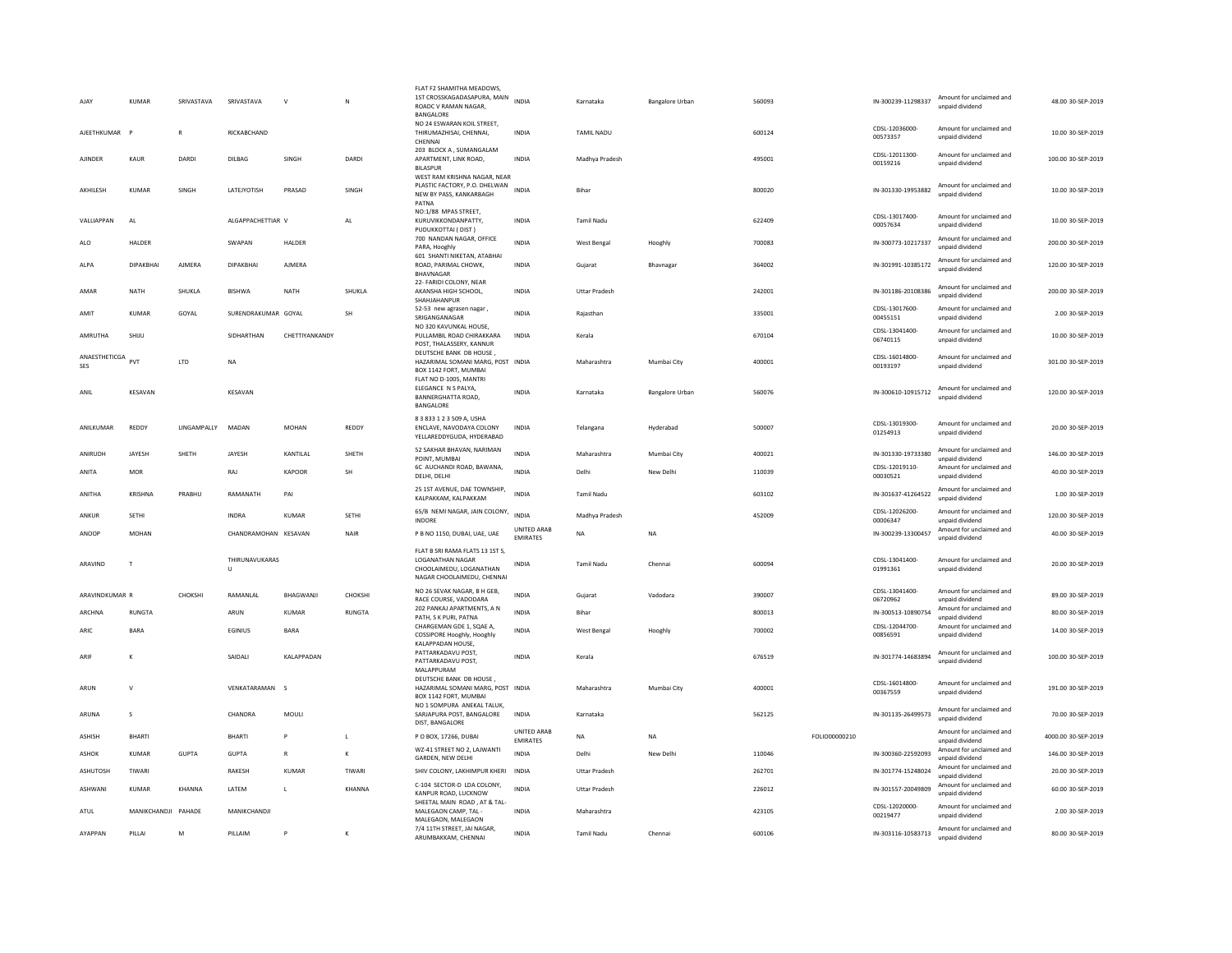| AJAY                     | KUMAR               | SRIVASTAVA   | SRIVASTAVA           | $\mathsf{V}$   | N             | FLAT F2 SHAMITHA MEADOWS.<br>1ST CROSSKAGADASAPURA, MAIN<br>ROADC V RAMAN NAGAR,<br>BANGALORE                   | <b>INDIA</b>                          | Karnataka            | <b>Bangalore Urban</b> | 560093 |               | IN-300239-11298337         | Amount for unclaimed and<br>unpaid dividend | 48.00 30-SEP-2019   |
|--------------------------|---------------------|--------------|----------------------|----------------|---------------|-----------------------------------------------------------------------------------------------------------------|---------------------------------------|----------------------|------------------------|--------|---------------|----------------------------|---------------------------------------------|---------------------|
| AJEETHKUMAR              |                     | R            | RICKABCHAND          |                |               | NO 24 ESWARAN KOIL STREET,<br>THIRUMAZHISAI, CHENNAI,<br>CHENNAI                                                | <b>INDIA</b>                          | <b>TAMIL NADU</b>    |                        | 600124 |               | CDSL-12036000<br>00573357  | Amount for unclaimed and<br>unpaid dividend | 10.00 30-SEP-2019   |
| AJINDER                  | KAUR                | DARDI        | DILBAG               | SINGH          | DARDI         | 203 BLOCK A, SUMANGALAM<br>APARTMENT, LINK ROAD,<br><b>BILASPUR</b><br>WEST RAM KRISHNA NAGAR, NEAR             | <b>INDIA</b>                          | Madhya Pradesh       |                        | 495001 |               | CDSL-12011300-<br>00159216 | Amount for unclaimed and<br>unpaid dividend | 100.00 30-SEP-2019  |
| AKHILESH                 | KUMAR               | SINGH        | LATEJYOTISH          | PRASAD         | SINGH         | PLASTIC FACTORY, P.O. DHELWAN<br>NEW BY PASS, KANKARBAGH<br>PATNA                                               | <b>INDIA</b>                          | Bihar                |                        | 800020 |               | IN-301330-19953882         | Amount for unclaimed and<br>unpaid dividend | 10.00 30-SEP-2019   |
| <b>VAILIAPPAN</b>        | AI                  |              | ALGAPPACHETTIAR V    |                | AI            | NO:1/88 MPAS STREET,<br>KURUVIKKONDANPATTY,<br>PUDUKKOTTAI (DIST)                                               | <b>INDIA</b>                          | Tamil Nadu           |                        | 622409 |               | CDSL-13017400-<br>00057634 | Amount for unclaimed and<br>unpaid dividend | 10.00 30-SEP-2019   |
| <b>ALO</b>               | HALDER              |              | SWAPAN               | HALDER         |               | 700 NANDAN NAGAR, OFFICE<br>PARA, Hooghly                                                                       | INDIA                                 | West Bengal          | Hooghly                | 700083 |               | IN-300773-10217337         | Amount for unclaimed and<br>unpaid dividend | 200.00 30-SEP-2019  |
| ALPA                     | DIPAKBHAI           | AIMFRA       | DIPAKRHAI            | AIMFRA         |               | 601 SHANTI NIKETAN, ATABHAI<br>ROAD, PARIMAL CHOWK,<br><b>BHAVNAGAR</b>                                         | INDIA                                 | Gujarat              | Bhavnagar              | 364002 |               | IN-301991-10385172         | Amount for unclaimed and<br>unpaid dividend | 120.00 30-SEP-2019  |
| AMAR                     | NATH                | SHUKLA       | <b>BISHWA</b>        | NATH           | SHUKLA        | 22- FARIDI COLONY, NEAR<br>AKANSHA HIGH SCHOOL,<br>SHAHJAHANPUR                                                 | <b>INDIA</b>                          | <b>Uttar Pradesh</b> |                        | 242001 |               | IN-301186-20108386         | Amount for unclaimed and<br>unpaid dividend | 200.00 30-SEP-2019  |
| AMIT                     | <b>KUMAR</b>        | GOYAL        | SURENDRAKUMAR GOYAL  |                | <b>SH</b>     | 52-53 new agrasen nagar<br>SRIGANGANAGAR                                                                        | <b>INDIA</b>                          | Rajasthan            |                        | 335001 |               | CDSL-13017600-<br>00455151 | Amount for unclaimed and<br>unpaid dividend | 2.00 30-SEP-2019    |
| AMRUTHA                  | SHIIU               |              | SIDHARTHAN           | CHETTIYANKANDY |               | NO 320 KAVUNKAL HOUSE,<br>PULLAMBIL ROAD CHIRAKKARA<br>POST, THALASSERY, KANNUR                                 | <b>INDIA</b>                          | Kerala               |                        | 670104 |               | CDSL-13041400-<br>06740115 | Amount for unclaimed and<br>unpaid dividend | 10.00 30-SEP-2019   |
| ANAESTHETICGA PVT<br>SES |                     | LTD          | NA                   |                |               | DEUTSCHE BANK DB HOUSE.<br>HAZARIMAL SOMANI MARG, POST INDIA<br>BOX 1142 FORT, MUMBAI<br>FLAT NO D-1005, MANTRI |                                       | Maharashtra          | Mumbai City            | 400001 |               | CDSL-16014800-<br>00193197 | Amount for unclaimed and<br>unpaid dividend | 301.00 30-SEP-2019  |
| ANIL                     | KESAVAN             |              | KESAVAN              |                |               | ELEGANCE N S PALYA,<br>BANNERGHATTA ROAD,<br>BANGALORE                                                          | <b>INDIA</b>                          | Karnataka            | Bangalore Urban        | 560076 |               | IN-300610-10915712         | Amount for unclaimed and<br>unpaid dividend | 120.00 30-SEP-2019  |
| ANILKUMAR                | REDDY               | LINGAMPALLY  | MADAN                | <b>MOHAN</b>   | REDDY         | 8 3 833 1 2 3 509 A. USHA<br>ENCLAVE, NAVODAYA COLONY<br>YELLAREDDYGUDA, HYDERABAD                              | INDIA                                 | Telangana            | Hyderabad              | 500007 |               | CDSL-13019300-<br>01254913 | Amount for unclaimed and<br>unpaid dividend | 20.00 30-SEP-2019   |
| ANIRUDH                  | JAYESH              | SHETH        | JAYESH               | KANTILAL       | SHETH         | 52 SAKHAR BHAVAN, NARIMAN<br>POINT, MUMBAI                                                                      | <b>INDIA</b>                          | Maharashtra          | Mumbai City            | 400021 |               | IN-301330-19733380         | Amount for unclaimed and<br>unpaid dividend | 146.00 30-SEP-2019  |
| ANITA                    | MOR                 |              | RAJ                  | KAPOOR         | SH            | 6C AUCHANDI ROAD, BAWANA,<br>DELHI, DELHI                                                                       | <b>INDIA</b>                          | Delhi                | New Delhi              | 110039 |               | CDSL-12019110-<br>00030521 | Amount for unclaimed and<br>unpaid dividend | 40.00 30-SEP-2019   |
| ANITHA                   | KRISHNA             | PRABHU       | RAMANATH             | PAI            |               | 25 1ST AVENUE, DAE TOWNSHIP,<br>KALPAKKAM, KALPAKKAM                                                            | INDIA                                 | <b>Tamil Nadu</b>    |                        | 603102 |               | IN-301637-41264522         | Amount for unclaimed and<br>unpaid dividend | 1.00 30-SEP-2019    |
| ANKUR                    | SETHI               |              | <b>INDRA</b>         | KUMAR          | <b>SFTHI</b>  | 65/B NEMI NAGAR, JAIN COLONY, INDIA<br><b>INDORE</b>                                                            |                                       | Madhya Pradesh       |                        | 452009 |               | CDSL-12026200-<br>00006347 | Amount for unclaimed and<br>unpaid dividend | 120.00.30-SEP-2019  |
| ANOOP                    | MOHAN               |              | CHANDRAMOHAN KFSAVAN |                | NAIR          | P B NO 1150, DUBAI, UAE, UAE                                                                                    | UNITED ARAB<br>EMIRATES               | <b>NA</b>            | <b>NA</b>              |        |               | IN-300239-13300457         | Amount for unclaimed and<br>unpaid dividend | 40.00 30-SEP-2019   |
| ARAVIND                  | T                   |              | THIRUNAVUKARAS<br>U  |                |               | FLAT B SRI RAMA FLATS 13 1ST S<br>LOGANATHAN NAGAR<br>CHOOLAIMEDU, LOGANATHAN<br>NAGAR CHOOLAIMEDU, CHENNAI     | <b>INDIA</b>                          | Tamil Nadu           | Chennai                | 600094 |               | CDSL-13041400-<br>01991361 | Amount for unclaimed and<br>unpaid dividend | 20.00 30-SEP-2019   |
| ARAVINDKUMAR R           |                     | CHOKSHI      | RAMANLAL             | BHAGWANJI      | CHOKSHI       | NO 26 SEVAK NAGAR, B H GEB,<br>RACE COURSE, VADODARA                                                            | <b>INDIA</b>                          | Gujarat              | Vadodara               | 390007 |               | CDSL-13041400-<br>06720962 | Amount for unclaimed and<br>unnaid dividend | 89.00 30-SEP-2019   |
| ARCHNA                   | RUNGTA              |              | ARUN                 | <b>KUMAR</b>   | <b>RUNGTA</b> | 202 PANKAJ APARTMENTS, A N<br>PATH, S K PURL PATNA                                                              | <b>INDIA</b>                          | <b>Bihar</b>         |                        | 800013 |               | IN-300513-10890754         | Amount for unclaimed and<br>unnaid dividend | 80.00 30-SEP-2019   |
| <b>ARIC</b>              | <b>BARA</b>         |              | <b>FGINIUS</b>       | <b>BARA</b>    |               | CHARGEMAN GDE 1, SQAE A,<br>COSSIPORE Hooghly, Hooghly<br>KALAPPADAN HOUSE,                                     | <b>INDIA</b>                          | West Bengal          | Hooghly                | 700002 |               | CDSL-12044700-<br>00856591 | Amount for unclaimed and<br>unpaid dividend | 14.00 30-SEP-2019   |
| ARIF                     | $\kappa$            |              | SAIDALI              | KALAPPADAN     |               | PATTARKADAVU POST,<br>PATTARKADAVU POST,                                                                        | <b>INDIA</b>                          | Kerala               |                        | 676519 |               | IN-301774-14683894         | Amount for unclaimed and<br>unpaid dividend | 100.00 30-SEP-2019  |
| ARUN                     | $\mathsf{v}$        |              | VENKATARAMAN         | $\sim$         |               | MALAPPURAM<br>DEUTSCHE BANK DB HOUSE,<br>HAZARIMAL SOMANI MARG, POST INDIA<br>BOX 1142 FORT, MUMBAI             |                                       | Maharashtra          | Mumbai City            | 400001 |               | CDSL-16014800-<br>00367559 | Amount for unclaimed and<br>unpaid dividend | 191.00 30-SEP-2019  |
| ARUNA                    | $\mathcal{S}$       |              | CHANDRA              | MOULI          |               | NO 1 SOMPURA ANEKAL TALUK,<br>SARJAPURA POST, BANGALORE<br>DIST, BANGALORE                                      | <b>INDIA</b>                          | Karnataka            |                        | 562125 |               | IN-301135-26499573         | Amount for unclaimed and<br>unpaid dividend | 70.00 30-SEP-2019   |
| <b>ASHISH</b>            | BHARTI              |              | <b>BHARTI</b>        | P              | L             | P O BOX, 17266, DUBAI                                                                                           | <b>UNITED ARAB</b><br><b>EMIRATES</b> | <b>NA</b>            | <b>NA</b>              |        | FOLIO00000210 |                            | Amount for unclaimed and<br>unpaid dividend | 4000.00 30-SEP-2019 |
| ASHOK                    | KUMAR               | <b>GUPTA</b> | <b>GUPTA</b>         |                | K             | WZ-41 STREET NO 2, LAJWANTI<br>GARDEN, NEW DELHI                                                                | INDIA                                 | Delhi                | New Delhi              | 110046 |               | IN-300360-22592093         | Amount for unclaimed and<br>unpaid dividend | 146.00 30-SEP-2019  |
| ASHUTOSH                 | TIWARI              |              | RAKESH               | <b>KUMAR</b>   | TIWARI        | SHIV COLONY, LAKHIMPUR KHERI                                                                                    | <b>INDIA</b>                          | <b>Uttar Pradesh</b> |                        | 262701 |               | IN-301774-15248024         | Amount for unclaimed and<br>unpaid dividend | 20.00 30-SEP-2019   |
| ASHWANI                  | <b>KUMAR</b>        | KHANNA       | LATEM                | $\mathsf{L}$   | KHANNA        | C-104 SECTOR-D LDA COLONY,<br>KANPUR ROAD, LUCKNOW                                                              | INDIA                                 | <b>Uttar Pradesh</b> |                        | 226012 |               | IN-301557-20049809         | Amount for unclaimed and<br>unpaid dividend | 60.00 30-SEP-2019   |
| ATUL                     | MANIKCHANDII PAHADE |              | MANIKCHANDJI         |                |               | SHEETAL MAIN ROAD . AT & TAL-<br>MALEGAON CAMP, TAL<br>MALEGAON, MALEGAON                                       | <b>INDIA</b>                          | Maharashtra          |                        | 423105 |               | CDSL-12020000-<br>00219477 | Amount for unclaimed and<br>unnaid dividend | 2.00 30-SEP-2019    |
| AYAPPAN                  | PILLAI              | M            | PILLAIM              | P              | К             | 7/4 11TH STREET, JAI NAGAR<br>ARUMBAKKAM, CHENNAI                                                               | <b>INDIA</b>                          | <b>Tamil Nadu</b>    | Chennai                | 600106 |               | IN-303116-10583713         | Amount for unclaimed and<br>unpaid dividend | 80.00 30-SEP-2019   |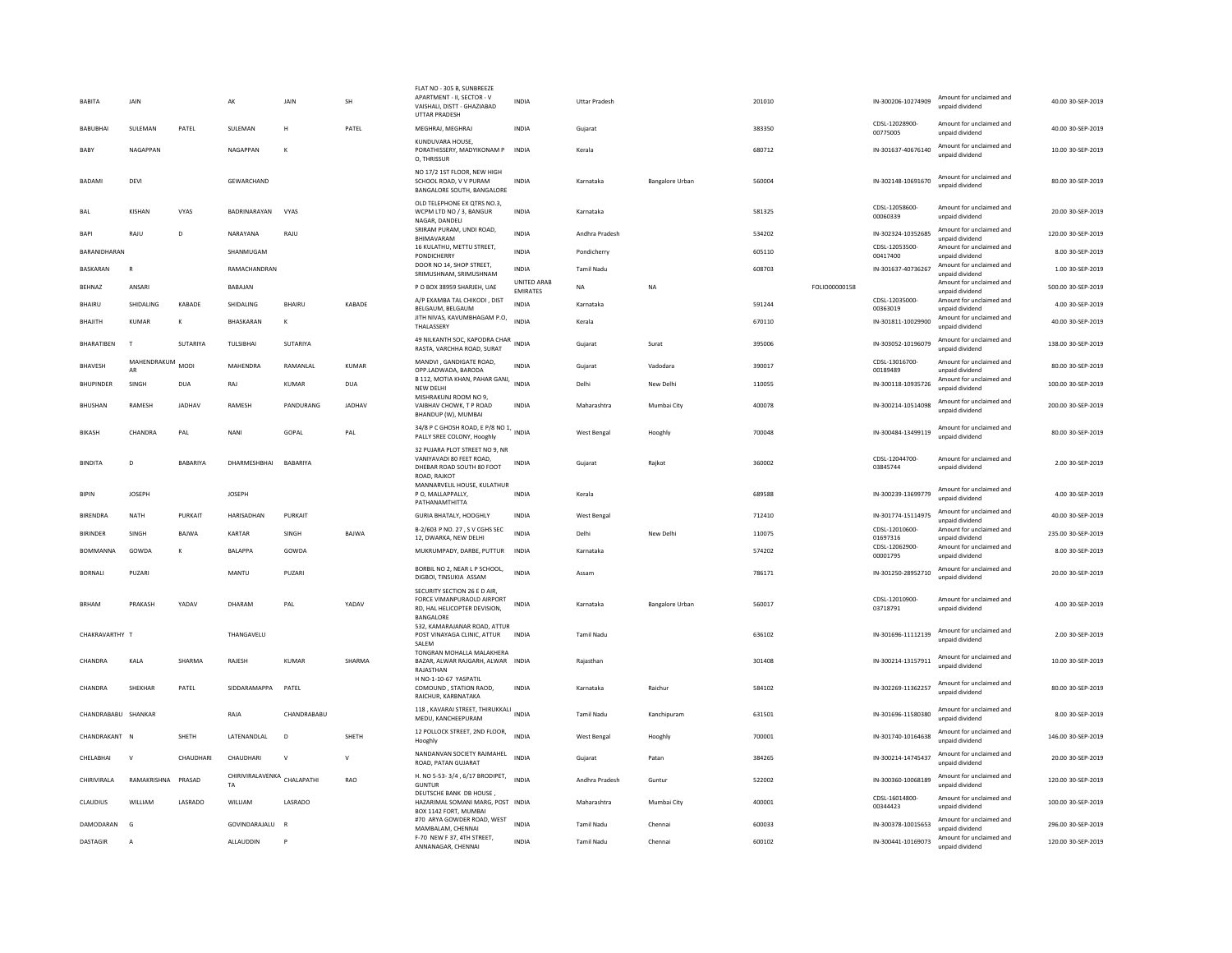| BABITA              | JAIN           |                 | AK                                       | JAIN            | SH            | FLAT NO - 305 B, SUNBREEZE<br>APARTMENT - II, SECTOR - V<br>VAISHALI, DISTT - GHAZIABAD<br><b>UTTAR PRADESH</b> | INDIA                                 | <b>Uttar Pradesh</b> |                        | 201010 |               | IN-300206-10274909             | Amount for unclaimed and<br>unpaid dividend | 40.00 30-SEP-2019  |
|---------------------|----------------|-----------------|------------------------------------------|-----------------|---------------|-----------------------------------------------------------------------------------------------------------------|---------------------------------------|----------------------|------------------------|--------|---------------|--------------------------------|---------------------------------------------|--------------------|
| BABUBHAI            | SULEMAN        | PATEL           | SULEMAN                                  | H               | PATEL         | MEGHRAJ, MEGHRAJ                                                                                                | <b>INDIA</b>                          | Guiarat              |                        | 383350 |               | CDSL-12028900-<br>00775005     | Amount for unclaimed and<br>unpaid dividend | 40.00 30-SEP-2019  |
| BABY                | NAGAPPAN       |                 | NAGAPPAN                                 | к               |               | KUNDUVARA HOUSE.<br>PORATHISSERY, MADYIKONAM P<br>O. THRISSUR                                                   | INDIA                                 | Kerala               |                        | 680712 |               | IN-301637-40676140             | Amount for unclaimed and<br>unpaid dividend | 10.00 30-SEP-2019  |
| <b>BADAMI</b>       | DEVI           |                 | <b>GEWARCHAND</b>                        |                 |               | NO 17/2 1ST FLOOR, NEW HIGH<br>SCHOOL ROAD, V V PURAM<br>BANGALORE SOUTH, BANGALORE                             | <b>INDIA</b>                          | Karnataka            | <b>Bangalore Urban</b> | 560004 |               | IN-302148-10691670             | Amount for unclaimed and<br>unpaid dividend | 80.00 30-SEP-2019  |
| BAI                 | KISHAN         | VYAS            | BADRINARAYAN                             | VYAS            |               | OLD TELEPHONE EX OTRS NO.3.<br>WCPM LTD NO / 3, BANGUR<br>NAGAR, DANDELI                                        | <b>INDIA</b>                          | Karnataka            |                        | 581325 |               | CDSL-12058600-<br>00060339     | Amount for unclaimed and<br>unpaid dividend | 20.00 30-SEP-2019  |
| <b>BAP</b>          | RAJU           | D               | NARAYANA                                 | RAJU            |               | SRIRAM PURAM, UNDI ROAD,<br>BHIMAVARAM                                                                          | <b>INDIA</b>                          | Andhra Pradesh       |                        | 534202 |               | IN-302324-10352685             | Amount for unclaimed and<br>unpaid dividend | 120.00 30-SEP-2019 |
| RARANIDHARAN        |                |                 | SHANMUGAM                                |                 |               | 16 KULATHU, METTU STREET,<br><b>PONDICHERRY</b>                                                                 | <b>INDIA</b>                          | Pondicherry          |                        | 605110 |               | CDSL-12053500-<br>00417400     | Amount for unclaimed and<br>unpaid dividend | 8.00 30-SEP-2019   |
| <b>BASKARAN</b>     | $\mathbb{R}$   |                 | RAMACHANDRAN                             |                 |               | DOOR NO 14, SHOP STREET,<br>SRIMUSHNAM, SRIMUSHNAM                                                              | <b>INDIA</b>                          | <b>Tamil Nadu</b>    |                        | 608703 |               | IN-301637-40736267             | Amount for unclaimed and<br>unpaid dividend | 1.00 30-SEP-2019   |
| BEHNAZ              | ANSARI         |                 | BABAJAN                                  |                 |               | P O BOX 38959 SHARJEH, UAE                                                                                      | <b>UNITED ARAB</b><br><b>EMIRATES</b> | <b>NA</b>            | <b>NA</b>              |        | FOLIO00000158 |                                | Amount for unclaimed and<br>unpaid dividend | 500.00 30-SEP-2019 |
| BHAIRU              | SHIDALING      | KABADE          | SHIDALING                                | <b>BHAIRU</b>   | KABADE        | A/P EXAMBA TAL CHIKODI, DIST<br>BELGAUM, BELGAUM                                                                | <b>INDIA</b>                          | Karnataka            |                        | 591244 |               | CDSL-12035000-<br>00363019     | Amount for unclaimed and<br>unpaid dividend | 4.00 30-SEP-2019   |
| <b>BHAJITH</b>      | <b>KUMAR</b>   |                 | BHASKARAN                                | K               |               | JITH NIVAS, KAVUMBHAGAM P.O,<br>THALASSERY                                                                      | <b>INDIA</b>                          | Kerala               |                        | 670110 |               | IN-301811-10029900             | Amount for unclaimed and<br>unpaid dividend | 40.00 30-SEP-2019  |
| BHARATIBEN          | $\top$         | SUTARIYA        | TULSIBHAI                                | SUTARIYA        |               | 49 NILKANTH SOC, KAPODRA CHAR<br>RASTA, VARCHHA ROAD, SURAT                                                     | INDIA                                 | Gujarat              | Surat                  | 395006 |               | IN-303052-10196079             | Amount for unclaimed and<br>unpaid dividend | 138.00 30-SEP-2019 |
| <b>RHAVESH</b>      | MAHENDRAKUM    | MODI            | MAHFNDRA                                 | RAMANI AI       | KUMAR         | MANDVI, GANDIGATE ROAD,                                                                                         | <b>INDIA</b>                          | Gujarat              | Vadodara               | 390017 |               | CDSL-13016700-                 | Amount for unclaimed and                    | 80.00 30-SEP-2019  |
| <b>BHUPINDER</b>    | AR<br>SINGH    | <b>DUA</b>      | RAJ                                      | <b>KUMAR</b>    | <b>DUA</b>    | OPP.LADWADA, BARODA<br>B 112, MOTIA KHAN, PAHAR GANJ,                                                           | <b>INDIA</b>                          | Delhi                | New Delhi              | 110055 |               | 00189489<br>IN-300118-10935726 | unpaid dividend<br>Amount for unclaimed and | 100.00 30-SEP-2019 |
|                     |                |                 |                                          |                 |               | NEW DELHI<br>MISHRAKUNJ ROOM NO 9.                                                                              |                                       |                      |                        |        |               |                                | unpaid dividend<br>Amount for unclaimed and |                    |
| <b>BHUSHAN</b>      | RAMESH         | JADHAV          | RAMESH                                   | PANDURANG       | <b>JADHAV</b> | VAIBHAV CHOWK. T P ROAD<br>BHANDUP (W), MUMBAI                                                                  | <b>INDIA</b>                          | Maharashtra          | Mumbai City            | 400078 |               | IN-300214-10514098             | unpaid dividend                             | 200.00 30-SEP-2019 |
| <b>BIKASH</b>       | CHANDRA        | PAL             | NANI                                     | GOPAL           | PAL           | 34/8 P C GHOSH ROAD, E P/8 NO 1, INDIA<br>PALLY SREE COLONY, Hooghly                                            |                                       | West Bengal          | Hooghly                | 700048 |               | IN-300484-13499119             | Amount for unclaimed and<br>unpaid dividend | 80.00 30-SEP-2019  |
| <b>BINDITA</b>      | D              | <b>BABARIYA</b> | DHARMESHBHAI                             | <b>BABARIYA</b> |               | 32 PUJARA PLOT STREET NO 9, NR<br>VANIYAVADI 80 FEET ROAD.<br>DHEBAR ROAD SOUTH 80 FOOT<br>ROAD, RAJKOT         | INDIA                                 | Guiarat              | Raikot                 | 360002 |               | CDSL-12044700-<br>03845744     | Amount for unclaimed and<br>unpaid dividend | 2.00 30-SEP-2019   |
| <b>BIPIN</b>        | <b>IOSEPH</b>  |                 | <b>IOSEPH</b>                            |                 |               | MANNARVELIL HOUSE, KULATHUR<br>P.O. MAILAPPALLY.<br>PATHANAMTHITTA                                              | <b>INDIA</b>                          | Kerala               |                        | 689588 |               | IN-300239-13699779             | Amount for unclaimed and<br>unpaid dividend | 4.00 30-SEP-2019   |
| <b>BIRENDRA</b>     | NATH           | PURKAIT         | HARISADHAN                               | PURKAIT         |               | <b>GURIA BHATALY, HOOGHLY</b>                                                                                   | INDIA                                 | West Bengal          |                        | 712410 |               | IN-301774-15114975             | Amount for unclaimed and<br>unpaid dividend | 40.00 30-SEP-2019  |
| <b>BIRINDER</b>     | SINGH          | <b>BAJWA</b>    | KARTAR                                   | SINGH           | BAJWA         | B-2/603 P NO. 27, S V CGHS SEC<br>12, DWARKA, NEW DELHI                                                         | <b>INDIA</b>                          | Delhi                | New Delh               | 110075 |               | CDSL-12010600-<br>01697316     | Amount for unclaimed and<br>unpaid dividend | 235.00 30-SEP-2019 |
| BOMMANNA            | GOWDA          | K               | BALAPPA                                  | GOWDA           |               | MUKRUMPADY, DARBE, PUTTUR                                                                                       | INDIA                                 | Karnataka            |                        | 574202 |               | CDSL-12062900-<br>00001795     | Amount for unclaimed and<br>unnaid dividend | 8.00 30-SEP-2019   |
| <b>BORNALI</b>      | PUZARI         |                 | MANTU                                    | <b>PUZAR</b>    |               | BORBIL NO 2, NEAR L P SCHOOL,<br>DIGBOI, TINSUKIA ASSAM                                                         | <b>INDIA</b>                          | Assam                |                        | 786171 |               | IN-301250-28952710             | Amount for unclaimed and<br>unpaid dividend | 20.00 30-SEP-2019  |
| <b>BRHAM</b>        | PRAKASH        | YADAV           | DHARAM                                   | PAI             | YADAV         | SECURITY SECTION 26 E D AIR,<br>FORCE VIMANPURAOLD AIRPORT<br>RD. HAL HELICOPTER DEVISION.<br>BANGALORE         | <b>INDIA</b>                          | Karnataka            | Bangalore Urban        | 560017 |               | CDSL-12010900-<br>03718791     | Amount for unclaimed and<br>unpaid dividend | 4.00 30-SEP-2019   |
| CHAKRAVARTHY T      |                |                 | THANGAVELU                               |                 |               | 532, KAMARAJANAR ROAD, ATTUR<br>POST VINAYAGA CLINIC, ATTUR<br>SALEM                                            | <b>INDIA</b>                          | <b>Tamil Nadu</b>    |                        | 636102 |               | IN-301696-11112139             | Amount for unclaimed and<br>unpaid dividend | 2.00 30-SEP-2019   |
| CHANDRA             | KALA           | SHARMA          | RAJESH                                   | <b>KUMAR</b>    | SHARMA        | TONGRAN MOHALLA MALAKHERA<br>BAZAR, ALWAR RAJGARH, ALWAR INDIA<br>RAIASTHAN                                     |                                       | Rajasthan            |                        | 301408 |               | IN-300214-13157911             | Amount for unclaimed and<br>unpaid dividend | 10.00 30-SEP-2019  |
| CHANDRA             | SHEKHAR        | PATEL           | SIDDARAMAPPA                             | PATEL           |               | H NO-1-10-67 YASPATIL<br>COMOUND, STATION RAOD,<br>RAICHUR, KARBNATAKA                                          | INDIA                                 | Karnataka            | Raichur                | 584102 |               | IN-302269-11362257             | Amount for unclaimed and<br>unpaid dividend | 80.00 30-SEP-2019  |
| CHANDRABABU SHANKAR |                |                 | RAJA                                     | CHANDRABABU     |               | 118, KAVARAI STREET, THIRUKKALI INDIA<br>MEDU, KANCHEEPURAM                                                     |                                       | Tamil Nadu           | Kanchipuram            | 631501 |               | IN-301696-11580380             | Amount for unclaimed and<br>unnaid dividend | 8.00 30-SEP-2019   |
| CHANDRAKANT         | <b>N</b>       | SHETH           | LATENANDLAL                              | D               | SHETH         | 12 POLLOCK STREET, 2ND FLOOR,<br>Hooghly                                                                        | <b>INDIA</b>                          | West Bengal          | Hooghly                | 700001 |               | IN-301740-10164638             | Amount for unclaimed and<br>unpaid dividend | 146.00 30-SEP-2019 |
| CHELABHAI           | $\mathsf{v}$   | CHAUDHARI       | CHAUDHARI                                | $\mathsf{v}$    | V             | NANDANVAN SOCIETY RAJMAHEL<br>ROAD, PATAN GUJARAT                                                               | <b>INDIA</b>                          | Gujarat              | Patan                  | 384265 |               | IN-300214-14745437             | Amount for unclaimed and<br>unpaid dividend | 20.00 30-SEP-2019  |
| <b>CHIRIVIRALA</b>  | RAMAKRISHNA    | PRASAD          | CHIRIVIRALAVENKA CHALAPATHI<br><b>TA</b> |                 | RAO           | H. NO 5-53-3/4, 6/17 BRODIPET,<br><b>GUNTUR</b>                                                                 | <b>INDIA</b>                          | Andhra Pradesh       | Guntur                 | 522002 |               | IN-300360-10068189             | Amount for unclaimed and<br>unpaid dividend | 120.00.30-SEP-2019 |
| CLAUDIUS            | WILLIAM        | LASRADO         | WILLIAM                                  | LASRADO         |               | DEUTSCHE BANK DB HOUSE<br>HAZARIMAL SOMANI MARG, POST INDIA<br>BOX 1142 FORT, MUMBAI                            |                                       | Maharashtra          | Mumbai City            | 400001 |               | CDSL-16014800-<br>00344423     | Amount for unclaimed and<br>unpaid dividend | 100.00 30-SEP-2019 |
| DAMODARAN           | G              |                 | GOVINDARAJALU                            | $\overline{R}$  |               | #70 ARYA GOWDER ROAD, WEST<br>MAMBALAM, CHENNAI                                                                 | <b>INDIA</b>                          | Tamil Nadu           | Chennai                | 600033 |               | IN-300378-10015653             | Amount for unclaimed and<br>unpaid dividend | 296.00 30-SEP-2019 |
| <b>DASTAGIR</b>     | $\overline{A}$ |                 | ALLAUDDIN                                | P               |               | F-70 NEW F 37, 4TH STREET,<br>ANNANAGAR, CHENNAL                                                                | <b>INDIA</b>                          | <b>Tamil Nadu</b>    | Chennai                | 600102 |               | IN-300441-10169073             | Amount for unclaimed and<br>unnaid dividend | 120.00 30-SEP-2019 |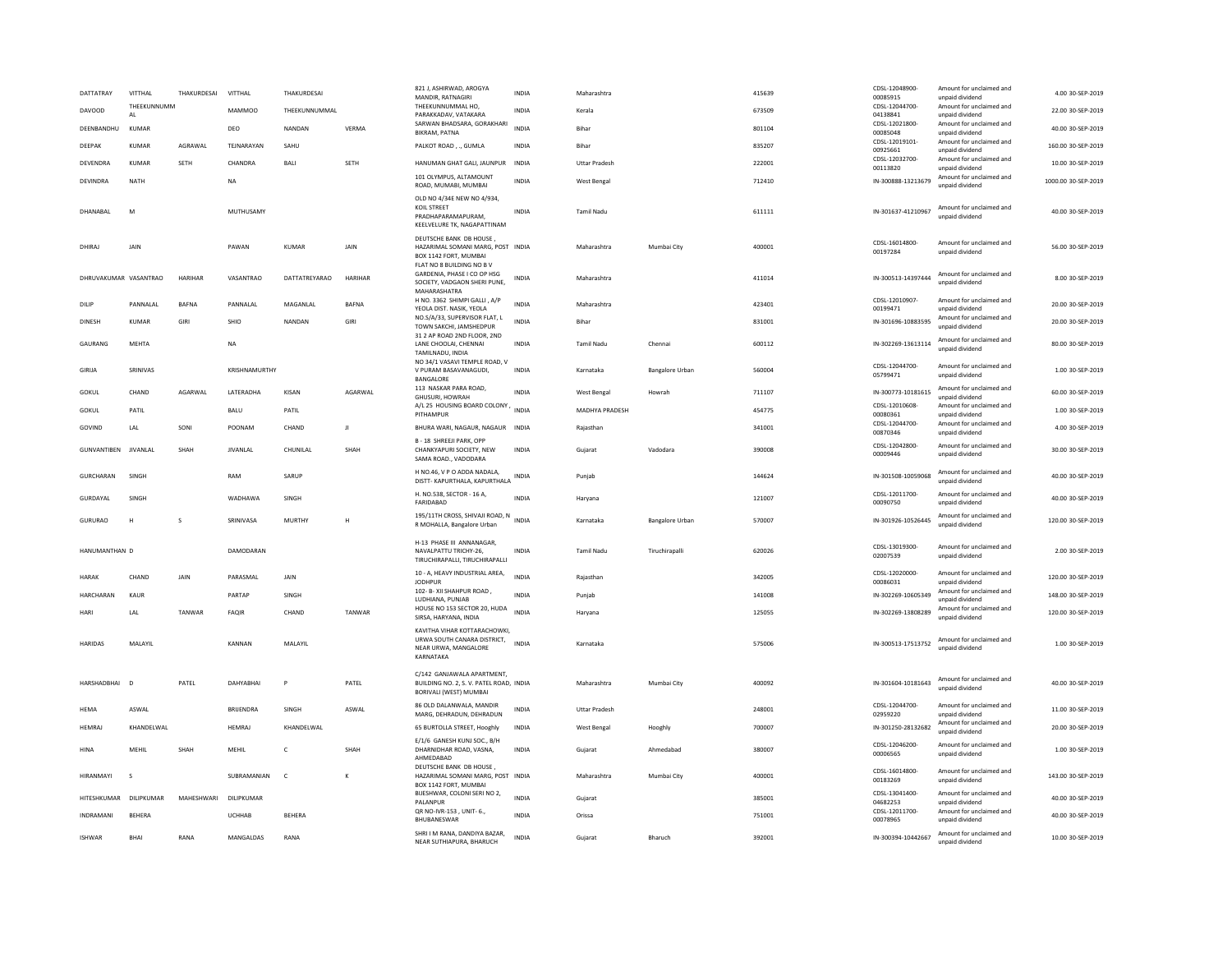| DATTATRAY<br><b>DAVOOD</b> | VITTHAL<br>THEFKUNNUMM | THAKURDESAI  | VITTHAL<br><b>MAMMOO</b> | THAKURDESAI<br>THEEKUNNUMMAL |             | 821 J, ASHIRWAD, AROGYA<br>MANDIR, RATNAGIRI<br>THEFKUNNUMMAL HO.                                                  | INDIA<br><b>INDIA</b> | Maharashtra<br>Kerala |                 | 415639<br>673509 | CDSL-12048900<br>00085915<br>CDSL-12044700- | Amount for unclaimed and<br>unpaid dividend<br>Amount for unclaimed and | 4.00 30-SEP-2019<br>22.00 30-SEP-2019 |
|----------------------------|------------------------|--------------|--------------------------|------------------------------|-------------|--------------------------------------------------------------------------------------------------------------------|-----------------------|-----------------------|-----------------|------------------|---------------------------------------------|-------------------------------------------------------------------------|---------------------------------------|
|                            | AL                     |              |                          | NANDAN                       | VERMA       | PARAKKADAV, VATAKARA<br>SARWAN BHADSARA, GORAKHARI                                                                 | <b>INDIA</b>          | Bihar                 |                 |                  | 04138841<br>CDSL-12021800-                  | unpaid dividend<br>Amount for unclaimed and                             |                                       |
| DEENBANDHU                 | KUMAR                  |              | DEO                      |                              |             | <b>BIKRAM, PATNA</b>                                                                                               |                       |                       |                 | 801104           | 00085048<br>CDSL-12019101-                  | unpaid dividend<br>Amount for unclaimed and                             | 40.00 30-SEP-2019                     |
| DEEPAK                     | <b>KUMAR</b>           | AGRAWAL      | TEJNARAYAN               | SAHU                         |             | PALKOT ROAD, ., GUMLA                                                                                              | <b>INDIA</b>          | Bihar                 |                 | 835207           | 00925661<br>CDSL-12032700-                  | unpaid dividend<br>Amount for unclaimed and                             | 160.00 30-SEP-2019                    |
| DEVENDRA                   | <b>KUMAR</b>           | SETH         | CHANDRA                  | <b>BALI</b>                  | SETH        | HANUMAN GHAT GALI, JAUNPUR                                                                                         | INDIA                 | <b>Uttar Pradesh</b>  |                 | 222001           | 00113820                                    | unpaid dividend                                                         | 10.00 30-SEP-2019                     |
| <b>DEVINDRA</b>            | <b>NATH</b>            |              | <b>NA</b>                |                              |             | 101 OLYMPUS, ALTAMOUNT<br>ROAD, MUMABI, MUMBAI                                                                     | <b>INDIA</b>          | West Bengal           |                 | 712410           | IN-300888-13213679                          | Amount for unclaimed and<br>unnaid dividend                             | 1000.00 30-SEP-2019                   |
| DHANABAL                   | M                      |              | MUTHUSAMY                |                              |             | OLD NO 4/34E NEW NO 4/934,<br>KOIL STREET<br>PRADHAPARAMAPURAM.<br>KEELVELURE TK, NAGAPATTINAM                     | INDIA                 | Tamil Nadu            |                 | 611111           | IN-301637-41210967                          | Amount for unclaimed and<br>unpaid dividend                             | 40.00 30-SEP-2019                     |
| DHIRAL                     | <b>JAIN</b>            |              | PAWAN                    | <b>KUMAR</b>                 | <b>JAIN</b> | DEUTSCHE BANK DB HOUSE.<br>HAZARIMAL SOMANI MARG, POST INDIA<br>BOX 1142 FORT, MUMBAI<br>FLAT NO 8 BUILDING NO B V |                       | Maharashtra           | Mumbai City     | 400001           | CDSL-16014800-<br>00197284                  | Amount for unclaimed and<br>unpaid dividend                             | 56.00 30-SEP-2019                     |
| DHRUVAKUMAR VASANTRAO      |                        | HARIHAR      | VASANTRAO                | DATTATREYARAO                | HARIHAR     | GARDENIA, PHASE I CO OP HSG<br>SOCIETY, VADGAON SHERI PUNE,<br>MAHARASHATRA                                        | INDIA                 | Maharashtra           |                 | 411014           | IN-300513-14397444                          | Amount for unclaimed and<br>unnaid dividend                             | 8.00 30-SEP-2019                      |
| DILIP                      | PANNALAL               | <b>BAFNA</b> | PANNALAL                 | MAGANLAL                     | BAFNA       | H NO. 3362 SHIMPI GALLI, A/P<br>YEOLA DIST. NASIK, YEOLA                                                           | <b>INDIA</b>          | Maharashtra           |                 | 423401           | CDSL-12010907-<br>00199471                  | Amount for unclaimed and<br>unpaid dividend                             | 20.00 30-SEP-2019                     |
| <b>DINESH</b>              | <b>KUMAR</b>           | GIRI         | SHIO                     | <b>NANDAN</b>                | GIRI        | NO.S/A/33. SUPERVISOR FLAT. L<br>TOWN SAKCHI, JAMSHEDPUR                                                           | <b>INDIA</b>          | Bihar                 |                 | 831001           | IN-301696-10883595                          | Amount for unclaimed and<br>unpaid dividend                             | 20.00 30-SEP-2019                     |
| GAURANG                    | <b>MFHTA</b>           |              | NA                       |                              |             | 31 2 AP ROAD 2ND FLOOR, 2ND<br>LANE CHOOLAI, CHENNAI<br>TAMILNADU, INDIA                                           | <b>INDIA</b>          | Tamil Nadu            | Chennai         | 600112           | IN-302269-13613114                          | Amount for unclaimed and<br>unpaid dividend                             | 80.00 30-SEP-2019                     |
| GIRIJA                     | SRINIVAS               |              | KRISHNAMURTHY            |                              |             | NO 34/1 VASAVI TEMPLE ROAD. V<br>V PURAM BASAVANAGUDI,<br>BANGALORE                                                | <b>INDIA</b>          | Karnataka             | Bangalore Urban | 560004           | CDSL-12044700-<br>05799471                  | Amount for unclaimed and<br>unpaid dividend                             | 1.00 30-SEP-2019                      |
| GOKUL                      | CHAND                  | AGARWAL      | LATERADHA                | KISAN                        | AGARWAL     | 113 NASKAR PARA ROAD,<br>GHUSURI, HOWRAH                                                                           | <b>INDIA</b>          | West Bengal           | Howrah          | 711107           | IN-300773-10181615                          | Amount for unclaimed and<br>unnaid dividend                             | 60.00 30-SEP-2019                     |
| GOKUL                      | PATIL                  |              | BALU                     | PATIL                        |             | A/L 25 HOUSING BOARD COLONY<br>PITHAMPUR                                                                           | <b>INDIA</b>          | <b>MADHYA PRADESH</b> |                 | 454775           | CDSL-12010608-<br>00080361                  | Amount for unclaimed and<br>unpaid dividend                             | 1.00.30-SEP-2019                      |
| GOVIND                     | LAL                    | SONI         | POONAM                   | CHAND                        | л           | BHURA WARI, NAGAUR, NAGAUR INDIA                                                                                   |                       | Raiasthan             |                 | 341001           | CDSL-12044700-<br>00870346                  | Amount for unclaimed and<br>unpaid dividend                             | 4.00 30-SEP-2019                      |
| <b>GUNVANTIBEN</b>         | JIVANLAL               | SHAH         | <b>JIVANLAL</b>          | CHUNILAL                     | SHAH        | <b>B-18 SHREEJI PARK, OPP</b><br>CHANKYAPURI SOCIETY, NEW<br>SAMA ROAD. VADODARA                                   | <b>INDIA</b>          | Gujarat               | Vadodara        | 390008           | CDSI-12042800-<br>00009446                  | Amount for unclaimed and<br>unpaid dividend                             | 30.00 30-SEP-2019                     |
| <b>GURCHARAN</b>           | SINGH                  |              | RAM                      | SARUP                        |             | H NO.46, V P O ADDA NADALA,<br>DISTT- KAPURTHALA, KAPURTHALA                                                       | <b>INDIA</b>          | Puniab                |                 | 144624           | IN-301508-10059068                          | Amount for unclaimed and<br>unpaid dividend                             | 40.00 30-SEP-2019                     |
| GURDAYAL                   | SINGH                  |              | WADHAWA                  | SINGH                        |             | H. NO.538, SECTOR - 16 A,<br>FARIDABAD                                                                             | INDIA                 | Haryana               |                 | 121007           | CDSL-12011700-<br>00090750                  | Amount for unclaimed and<br>unpaid dividend                             | 40.00 30-SEP-2019                     |
| GURURAO                    | $\mathbf{H}$           | s            | SRINIVASA                | MURTHY                       | Н           | 195/11TH CROSS, SHIVAJI ROAD, N<br>R MOHALLA, Bangalore Urban                                                      | <b>INDIA</b>          | Karnataka             | Bangalore Urban | 570007           | IN-301926-10526445                          | Amount for unclaimed and<br>unpaid dividend                             | 120.00 30-SEP-2019                    |
| HANUMANTHAN D              |                        |              | DAMODARAN                |                              |             | H-13 PHASE III ANNANAGAR.<br>NAVALPATTU TRICHY-26,<br>TIRUCHIRAPALLI, TIRUCHIRAPALLI                               | <b>INDIA</b>          | Tamil Nadu            | Tiruchirapalli  | 620026           | CDSL-13019300-<br>02007539                  | Amount for unclaimed and<br>unpaid dividend                             | 2.00 30-SEP-2019                      |
| <b>HARAK</b>               | CHAND                  | JAIN         | PARASMAL                 | JAIN                         |             | 10 - A, HEAVY INDUSTRIAL AREA,<br>JODHPUR                                                                          | <b>INDIA</b>          | Rajasthan             |                 | 342005           | CDSI-12020000-<br>00086031                  | Amount for unclaimed and<br>unpaid dividend                             | 120.00 30-SEP-2019                    |
| HARCHARAN                  | KAUR                   |              | PARTAP                   | SINGH                        |             | 102- B- XII SHAHPUR ROAD,<br>LUDHIANA, PUNJAB                                                                      | INDIA                 | Punjab                |                 | 141008           | IN-302269-10605349                          | Amount for unclaimed and<br>unpaid dividend                             | 148.00 30-SEP-2019                    |
| HARI                       | LAL                    | TANWAR       | <b>FAQIR</b>             | CHAND                        | TANWAR      | HOUSE NO 153 SECTOR 20, HUDA<br>SIRSA, HARYANA, INDIA                                                              | <b>INDIA</b>          | Haryana               |                 | 125055           | IN-302269-13808289                          | Amount for unclaimed and<br>unnaid dividend                             | 120.00 30-SEP-2019                    |
| HARIDAS                    | MALAYIL                |              | KANNAN                   | MALAYIL                      |             | KAVITHA VIHAR KOTTARACHOWKI,<br>URWA SOUTH CANARA DISTRICT,<br>NEAR URWA, MANGALORE<br>KARNATAKA                   | INDIA                 | Karnataka             |                 | 575006           | IN-300513-17513752                          | Amount for unclaimed and<br>unnaid dividend                             | 1.00 30-SEP-2019                      |
| HARSHADBHAI                | $\Box$                 | PATFI        | DAHYARHAI                | P                            | PATFI       | C/142 GANJAWALA APARTMENT.<br>BUILDING NO. 2. S. V. PATEL ROAD. INDIA<br>BORIVALI (WEST) MUMBAI                    |                       | Maharashtra           | Mumhai City     | 400092           | IN-301604-10181643                          | Amount for unclaimed and<br>unpaid dividend                             | 40.00 30-SEP-2019                     |
| HEMA                       | ASWAL                  |              | BRIJENDRA                | SINGH                        | ASWAL       | 86 OLD DALANWALA, MANDIR<br>MARG, DEHRADUN, DEHRADUN                                                               | INDIA                 | <b>Uttar Pradesh</b>  |                 | 248001           | CDSL-12044700-<br>02959220                  | Amount for unclaimed and<br>unpaid dividend                             | 11.00 30-SEP-2019                     |
| HEMRAJ                     | KHANDELWAL             |              | <b>HEMRAJ</b>            | KHANDELWAL                   |             | 65 BURTOLLA STREET, Hooghly                                                                                        | INDIA                 | West Bengal           | Hooghly         | 700007           | IN-301250-28132682                          | Amount for unclaimed and<br>unpaid dividend                             | 20.00 30-SEP-2019                     |
| HINA                       | MFHII                  | SHAH         | MFHII                    | $\epsilon$                   | SHAH        | E/1/6 GANESH KUNJ SOC., B/H<br>DHARNIDHAR ROAD, VASNA,<br>AHMEDABAD                                                | <b>INDIA</b>          | Gujarat               | Ahmedabad       | 380007           | CDSL-12046200<br>00006565                   | Amount for unclaimed and<br>unpaid dividend                             | 1.00 30-SEP-2019                      |
| HIRANMAYI                  | $\mathbf{S}$           |              | SUBRAMANIAN              | $\mathbb{C}$                 | K           | DEUTSCHE BANK DB HOUSE.<br>HAZARIMAL SOMANI MARG, POST INDIA<br>BOX 1142 FORT, MUMBAI                              |                       | Maharashtra           | Mumbai City     | 400001           | CDSL-16014800-<br>00183269                  | Amount for unclaimed and<br>unpaid dividend                             | 143.00 30-SEP-2019                    |
| HITESHKUMAR                | <b>DILIPKUMAR</b>      | MAHFSHWARI   | DILIPKUMAR               |                              |             | BIJESHWAR, COLONI SERI NO 2,<br>PALANPUR                                                                           | <b>INDIA</b>          | Gujarat               |                 | 385001           | CDSL-13041400-<br>04682253                  | Amount for unclaimed and<br>unpaid dividend                             | 40.00 30-SEP-2019                     |
| INDRAMANI                  | <b>BEHERA</b>          |              | UCHHAB                   | <b>BEHERA</b>                |             | QR NO-IVR-153, UNIT-6.,<br>BHUBANESWAR                                                                             | <b>INDIA</b>          | Orissa                |                 | 751001           | CDSL-12011700-<br>00078965                  | Amount for unclaimed and<br>unpaid dividend                             | 40.00 30-SEP-2019                     |
| <b>ISHWAR</b>              | BHAI                   | RANA         | MANGALDAS                | RANA                         |             | SHRI I M RANA, DANDIYA BAZAR,<br>NEAR SUTHIAPURA, BHARUCH                                                          | <b>INDIA</b>          | Gujarat               | Bharuch         | 392001           | IN-300394-10442667                          | Amount for unclaimed and<br>unnaid dividend                             | 10.00 30-SEP-2019                     |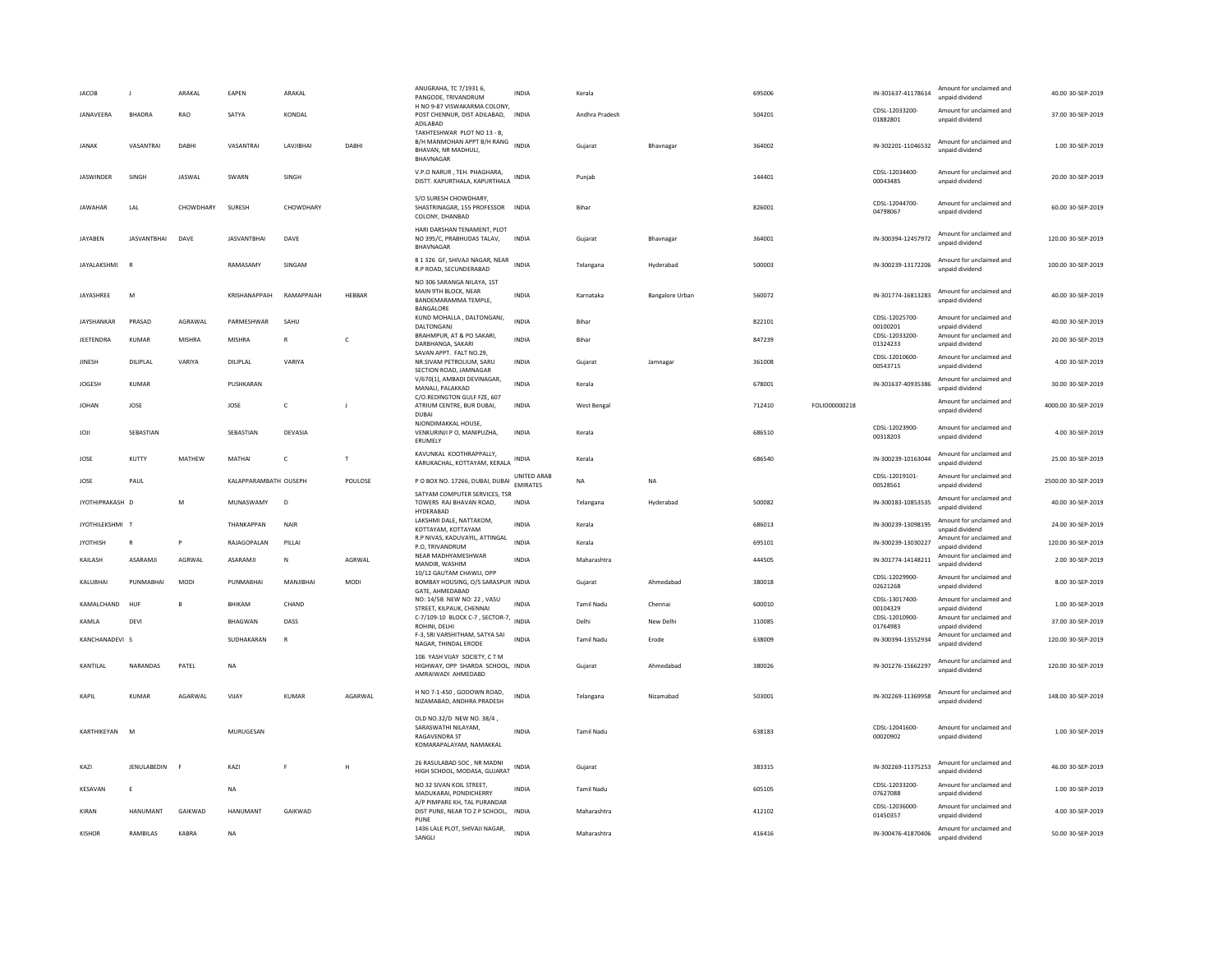| <b>JACOB</b>         | $\blacksquare$     | ARAKAL     | EAPEN                 | ARAKAL       |              | ANUGRAHA, TC 7/1931 6,<br>PANGODE, TRIVANDRUM                                                                    | <b>INDIA</b>                   | Kerala            |                        | 695006 |               | IN-301637-41178614             | Amount for unclaimed and<br>unpaid dividend                    | 40.00 30-SEP-2019   |
|----------------------|--------------------|------------|-----------------------|--------------|--------------|------------------------------------------------------------------------------------------------------------------|--------------------------------|-------------------|------------------------|--------|---------------|--------------------------------|----------------------------------------------------------------|---------------------|
| JANAVEERA            | <b>BHADRA</b>      | <b>RAO</b> | SATYA                 | KONDAL       |              | H NO 9-87 VISWAKARMA COLONY.<br>POST CHENNUR, DIST ADILABAD, INDIA<br>ADILABAD                                   |                                | Andhra Pradesh    |                        | 504201 |               | CDSL-12033200-<br>01882801     | Amount for unclaimed and<br>unpaid dividend                    | 37.00 30-SEP-2019   |
| <b>JANAK</b>         | VASANTRAI          | DABH       | VASANTRAI             | LAVJIBHAI    | DABHI        | TAKHTESHWAR PLOT NO 13 - B,<br>B/H MANMOHAN APPT B/H RANG<br>BHAVAN, NR MADHULI.<br>BHAVNAGAR                    | <b>INDIA</b>                   | Gujarat           | Bhavnagar              | 364002 |               | IN-302201-11046532             | Amount for unclaimed and<br>unpaid dividend                    | 1.00 30-SEP-2019    |
| <b>JASWINDER</b>     | SINGH              | JASWAL     | SWARN                 | SINGH        |              | V.P.O NARUR, TEH. PHAGHARA,<br>DISTT. KAPURTHALA, KAPURTHALA INDIA                                               |                                | Puniab            |                        | 144401 |               | CDSL-12034400-<br>00043485     | Amount for unclaimed and<br>unpaid dividend                    | 20.00 30-SEP-2019   |
| <b>IAWAHAR</b>       | LAL                | CHOWDHARY  | <b>SURFSH</b>         | CHOWDHARY    |              | S/O SURESH CHOWDHARY,<br>SHASTRINAGAR, 155 PROFESSOR INDIA<br>COLONY, DHANBAD                                    |                                | <b>Bihar</b>      |                        | 826001 |               | CDSL-12044700-<br>04798067     | Amount for unclaimed and<br>unpaid dividend                    | 60.00 30-SEP-2019   |
| <b>JAYABEN</b>       | <b>JASVANTBHAI</b> | DAVE       | <b>JASVANTBHAI</b>    | DAVE         |              | HARI DARSHAN TENAMENT, PLOT<br>NO 395/C, PRABHUDAS TALAV,<br>BHAVNAGAR                                           | <b>INDIA</b>                   | Gujarat           | Bhavnagar              | 364001 |               | IN-300394-12457972             | Amount for unclaimed and<br>unpaid dividend                    | 120.00 30-SEP-2019  |
| JAYALAKSHMI          |                    |            | RAMASAMY              | SINGAM       |              | 8 1 326 GF, SHIVAJI NAGAR, NEAR<br>R.P ROAD, SECUNDERABAD                                                        | <b>INDIA</b>                   | Telangana         | Hyderabad              | 500003 |               | IN-300239-13172206             | Amount for unclaimed and<br>unpaid dividend                    | 100.00 30-SEP-2019  |
| JAYASHREE            | M                  |            | KRISHANAPPAIH         | RAMAPPAIAH   | HEBBAR       | NO 306 SARANGA NILAYA, 1ST<br>MAIN 9TH BLOCK, NEAR<br>BANDEMARAMMA TEMPLE,<br><b>BANGALORE</b>                   | INDIA                          | Karnataka         | <b>Bangalore Urban</b> | 560072 |               | IN-301774-16813283             | Amount for unclaimed and<br>unpaid dividend                    | 40.00 30-SEP-2019   |
| <b>IAYSHANKAR</b>    | PRASAD             | AGRAWAI    | PARMESHWAR            | <b>SAHU</b>  |              | KUND MOHALLA, DALTONGANJ,<br>DALTONGANJ                                                                          | <b>INDIA</b>                   | <b>Bihar</b>      |                        | 822101 |               | CDSL-12025700-<br>00100201     | Amount for unclaimed and<br>unpaid dividend                    | 40.00 30-SEP-2019   |
| JEETENDRA            | <b>KUMAR</b>       | MISHRA     | <b>MISHRA</b>         | R            | $\mathsf{C}$ | BRAHMPUR, AT & PO SAKARI,<br>DARBHANGA, SAKARI                                                                   | <b>INDIA</b>                   | Bihar             |                        | 847239 |               | CDSL-12033200-<br>01324233     | Amount for unclaimed and<br>unpaid dividend                    | 20.00 30-SEP-2019   |
| <b>JINESH</b>        | DILIPLAL           | VARIYA     | DILIPLAL              | VARIYA       |              | SAVAN APPT. FALT NO.29,<br>NR.SIVAM PETROLIUM, SARU<br>SECTION ROAD, JAMNAGAR                                    | <b>INDIA</b>                   | Gujarat           | Jamnagar               | 361008 |               | CDSL-12010600-<br>00543715     | Amount for unclaimed and<br>unpaid dividend                    | 4.00 30-SEP-2019    |
| <b>JOGESH</b>        | KUMAR              |            | PUSHKARAN             |              |              | V/670(1), AMBADI DEVINAGAR,<br>MANALI, PALAKKAD                                                                  | <b>INDIA</b>                   | Kerala            |                        | 678001 |               | IN-301637-40935386             | Amount for unclaimed and<br>unpaid dividend                    | 30.00 30-SEP-2019   |
| <b>JOHAN</b>         | JOSE               |            | JOSE                  | $\mathsf{C}$ | J            | C/O.REDINGTON GULF FZE, 607<br>ATRIUM CENTRE, BUR DUBAI,<br><b>DUBAI</b>                                         | <b>INDIA</b>                   | West Bengal       |                        | 712410 | FOLIO00000218 |                                | Amount for unclaimed and<br>unpaid dividend                    | 4000.00 30-SEP-2019 |
| JOJI                 | SEBASTIAN          |            | SEBASTIAN             | DEVASIA      |              | NJONDIMAKKAL HOUSE.<br>VENKURINJI P O, MANIPUZHA,<br>ERUMELY                                                     | <b>INDIA</b>                   | Kerala            |                        | 686510 |               | CDSL-12023900-<br>00318203     | Amount for unclaimed and<br>unpaid dividend                    | 4.00 30-SEP-2019    |
| JOSE                 | KUTTY              | MATHEW     | MATHAI                | $\mathsf{C}$ | T            | KAVUNKAL KOOTHRAPPALLY,<br>KARUKACHAL, KOTTAYAM, KERALA                                                          | <b>INDIA</b>                   | Kerala            |                        | 686540 |               | IN-300239-10163044             | Amount for unclaimed and<br>unpaid dividend                    | 25.00 30-SEP-2019   |
|                      |                    |            |                       |              |              |                                                                                                                  |                                |                   |                        |        |               |                                |                                                                |                     |
| JOSE                 | PAUL               |            | KALAPPARAMBATH OUSEPH |              | POULOSE      | P O BOX NO. 17266, DUBAI, DUBAI                                                                                  | UNITED ARAB<br><b>EMIRATES</b> | <b>NA</b>         | <b>NA</b>              |        |               | CDSL-12019101-<br>00528561     | Amount for unclaimed and<br>unpaid dividend                    | 2500.00 30-SEP-2019 |
| JYOTHIPRAKASH D      |                    | M          | MUNASWAMY             | D            |              | SATYAM COMPUTER SERVICES. TSR<br>TOWERS RAJ BHAVAN ROAD,                                                         | <b>INDIA</b>                   | Telangana         | Hyderabad              | 500082 |               | IN-300183-10853535             | Amount for unclaimed and<br>unpaid dividend                    | 40.00 30-SEP-2019   |
| <b>JYOTHILEKSHMI</b> | т                  |            | THANKAPPAN            | NAIR         |              | HYDERABAD<br>LAKSHMI DALE, NATTAKOM,<br>КОТТАҮАМ, КОТТАҮАМ                                                       | INDIA                          | Kerala            |                        | 686013 |               | IN-300239-13098195             | Amount for unclaimed and<br>unpaid dividend                    | 24.00 30-SEP-2019   |
| <b>JYOTHISH</b>      | $\mathbb{R}$       |            | RAJAGOPALAN           | PILLAI       |              | R.P NIVAS, KADUVAYIL, ATTINGAL<br>P.O, TRIVANDRUM                                                                | <b>INDIA</b>                   | Kerala            |                        | 695101 |               | IN-300239-13030227             | Amount for unclaimed and<br>unpaid dividend                    | 120.00 30-SEP-2019  |
| KAILASH              | ASARAMJI           | AGRWAL     | ASARAMJI              | N            | AGRWAL       | NEAR MADHYAMESHWAR<br>MANDIR, WASHIM                                                                             | <b>INDIA</b>                   | Maharashtra       |                        | 444505 |               | IN-301774-14148211             | Amount for unclaimed and<br>unpaid dividend                    | 2.00 30-SEP-2019    |
| KALUBHAI             | PUNMABHAI          | MODI       | PUNMABHAI             | MANJIBHAI    | MODI         | 10/12 GAUTAM CHAWLI, OPP<br>BOMBAY HOUSING, O/S SARASPUR INDIA                                                   |                                | Gujarat           | Ahmedabad              | 380018 |               | CDSL-12029900-<br>02621268     | Amount for unclaimed and<br>unpaid dividend                    | 8.00 30-SEP-2019    |
| KAMALCHAND           | HUE                |            | RHIKAM                | CHAND        |              | GATE, AHMEDABAD<br>NO: 14/5B NEW NO: 22, VASU                                                                    | <b>INDIA</b>                   | <b>Tamil Nadu</b> | Chennai                | 600010 |               | CDSL-13017400-                 | Amount for unclaimed and                                       | 1.00 30-SEP-2019    |
| KAMLA                | DEVI               |            | BHAGWAN               | DASS         |              | STREET, KILPAUK, CHENNAI<br>C-7/109-10 BLOCK C-7, SECTOR-7, INDIA                                                |                                | Delhi             | New Delhi              | 110085 |               | 00104329<br>CDSL-12010900-     | unpaid dividend<br>Amount for unclaimed and                    | 37.00 30-SEP-2019   |
| KANCHANADEVI S       |                    |            | SUDHAKARAN            | $\mathbf R$  |              | ROHINI, DELHI<br>F-3, SRI VARSHITHAM, SATYA SAI                                                                  | <b>INDIA</b>                   | <b>Tamil Nadu</b> | Erode                  | 638009 |               | 01764983<br>IN-300394-13552934 | unpaid dividend<br>Amount for unclaimed and                    | 120.00 30-SEP-2019  |
| KANTILAL             | NARANDAS           | PATEL      | NA                    |              |              | NAGAR, THINDAL ERODE<br>106 YASH VIJAY SOCIETY, C T M<br>HIGHWAY, OPP SHARDA SCHOOL, INDIA<br>AMRAIWADI AHMEDABD |                                | Gujarat           | Ahmedabad              | 380026 |               | IN-301276-15662297             | unpaid dividend<br>Amount for unclaimed and<br>unpaid dividend | 120.00 30-SEP-2019  |
| KAPIL                | KUMAR              | AGARWAL    | VIJAY                 | KUMAR        | AGARWAL      | H NO 7-1-450, GODOWN ROAD,<br>NIZAMABAD, ANDHRA PRADESH                                                          | <b>INDIA</b>                   | Telangana         | Nizamabad              | 503001 |               | IN-302269-11369958             | Amount for unclaimed and<br>unpaid dividend                    | 148.00 30-SEP-2019  |
| KARTHIKEYAN          | M                  |            | MURUGESAN             |              |              | OLD NO.32/D NEW NO. 38/4,<br>SARASWATHI NILAYAM,<br>RAGAVENDRA ST<br>KOMARAPALAYAM, NAMAKKAL                     | <b>INDIA</b>                   | <b>Tamil Nadu</b> |                        | 638183 |               | CDSL-12041600-<br>00020902     | Amount for unclaimed and<br>unpaid dividend                    | 1.00 30-SEP-2019    |
| KAZI                 | JENULABEDIN        | F          | KAZI                  | F            | H            | 26 RASULABAD SOC, NR MADNI<br>HIGH SCHOOL, MODASA, GUJARAT                                                       | <b>INDIA</b>                   | Gujarat           |                        | 383315 |               | IN-302269-11375253             | Amount for unclaimed and<br>unpaid dividend                    | 46.00 30-SEP-2019   |
| KESAVAN              | E                  |            | <b>NA</b>             |              |              | NO 32 SIVAN KOIL STREET,<br>MADUKARAI, PONDICHERRY                                                               | <b>INDIA</b>                   | <b>Tamil Nadu</b> |                        | 605105 |               | CDSL-12033200-<br>07627088     | Amount for unclaimed and<br>unpaid dividend                    | 1.00 30-SEP-2019    |
| KIRAN                | <b>HANUMANT</b>    | GAIKWAD    | <b>HANUMANT</b>       | GAIKWAD      |              | A/P PIMPARE KH. TAL PURANDAR<br>DIST PUNE, NEAR TO Z P SCHOOL, INDIA<br>PUNF                                     |                                | Maharashtra       |                        | 412102 |               | CDSL-12036000-<br>01450357     | Amount for unclaimed and<br>unpaid dividend                    | 4.00 30-SEP-2019    |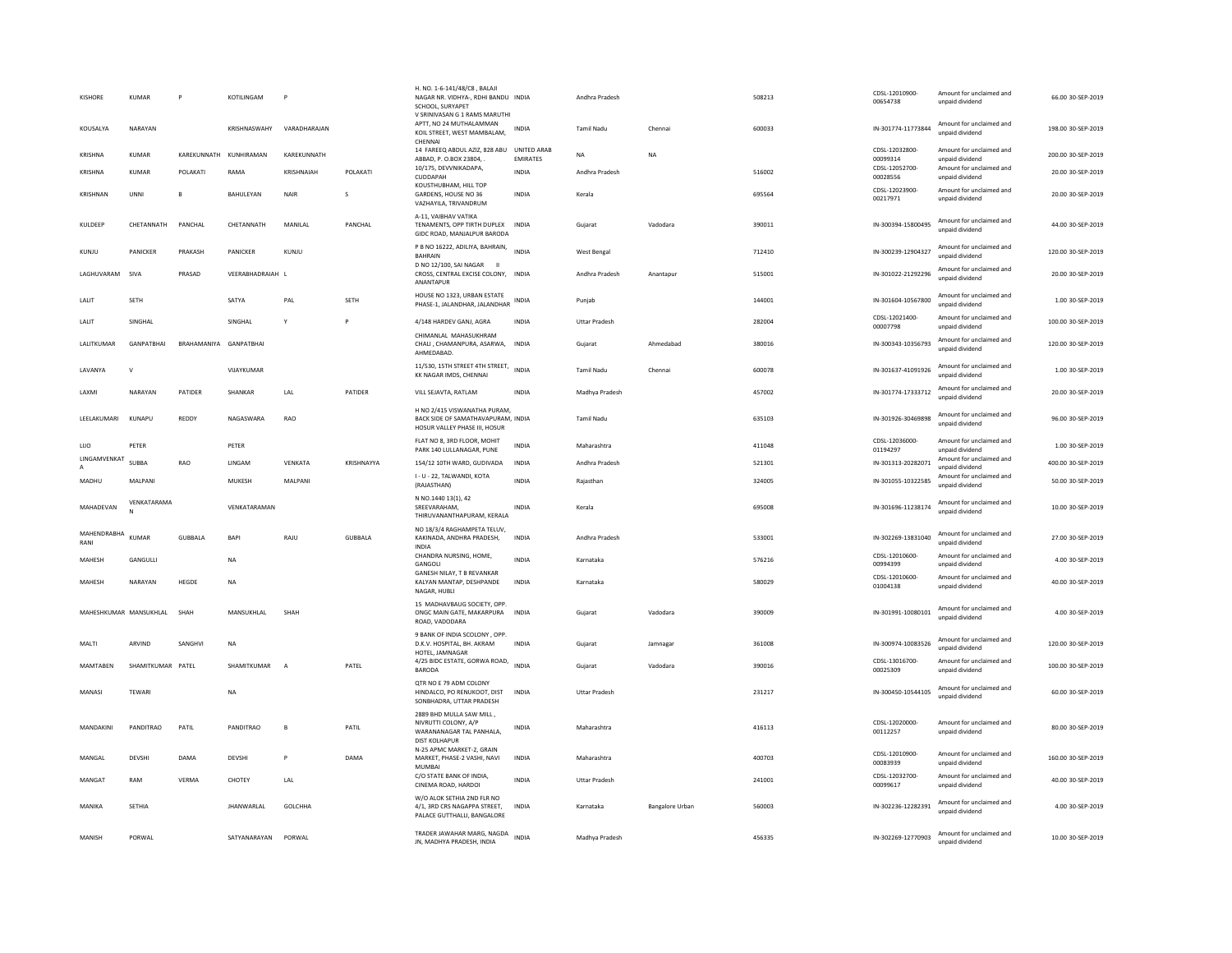| KISHORE                      | KUMAR             | P           | KOTILINGAM        |                |              | H. NO. 1-6-141/48/C8, BALAJI<br>NAGAR NR. VIDHYA-, RDHI BANDU INDIA<br>SCHOOL, SURYAPET<br>V SRINIVASAN G 1 RAMS MARUTHI |                 | Andhra Pradesh       |                        | 508213 | CDSL-12010900-<br>00654738 | Amount for unclaimed and<br>unpaid dividend | 66.00 30-SEP-2019  |
|------------------------------|-------------------|-------------|-------------------|----------------|--------------|--------------------------------------------------------------------------------------------------------------------------|-----------------|----------------------|------------------------|--------|----------------------------|---------------------------------------------|--------------------|
| KOUSALYA                     | NARAYAN           |             | KRISHNASWAHY      | VARADHARAJAN   |              | APTT, NO 24 MUTHALAMMAN<br>KOIL STREET, WEST MAMBALAM,<br>CHENNAL                                                        | INDIA           | Tamil Nadu           | Chenna                 | 600033 | IN-301774-11773844         | Amount for unclaimed and<br>unpaid dividend | 198.00 30-SEP-2019 |
| KRISHNA                      | KUMAR             | KAREKUNNATH | KUNHIRAMAN        | KAREKUNNATH    |              | 14 FAREEQ ABDUL AZIZ, 828 ABU UNITED ARAB<br>ABBAD, P. O.BOX 23804,                                                      | <b>EMIRATES</b> | <b>NA</b>            | <b>NA</b>              |        | CDSL-12032800-<br>00099314 | Amount for unclaimed and<br>unpaid dividend | 200.00 30-SEP-2019 |
| KRISHNA                      | KUMAR             | POLAKATI    | RAMA              | KRISHNAIAH     | POLAKATI     | 10/175. DEVVNIKADAPA.<br><b>CUDDAPAH</b>                                                                                 | INDIA           | Andhra Pradesh       |                        | 516002 | CDSL-12052700-<br>00028556 | Amount for unclaimed and<br>unpaid dividend | 20.00 30-SEP-2019  |
| KRISHNAN                     | UNNI              | B           | BAHULEYAN         | <b>NAIR</b>    | s            | KOUSTHUBHAM, HILL TOP<br>GARDENS, HOUSE NO 36<br>VAZHAYILA, TRIVANDRUM                                                   | <b>INDIA</b>    | Kerala               |                        | 695564 | CDSL-12023900-<br>00217971 | Amount for unclaimed and<br>unpaid dividend | 20.00 30-SEP-2019  |
| KULDEEP                      | CHETANNATH        | PANCHAL     | CHETANNATH        | MANILAL        | PANCHAL      | A-11, VAIBHAV VATIKA<br>TENAMENTS, OPP TIRTH DUPLEX INDIA<br>GIDC ROAD, MANJALPUR BARODA                                 |                 | Gujarat              | Vadodara               | 390011 | IN-300394-15800495         | Amount for unclaimed and<br>unpaid dividend | 44.00 30-SEP-2019  |
| KUNJU                        | PANICKER          | PRAKASH     | PANICKER          | KUNJU          |              | P B NO 16222, ADILIYA, BAHRAIN,<br><b>BAHRAIN</b>                                                                        | <b>INDIA</b>    | West Bengal          |                        | 712410 | IN-300239-12904327         | Amount for unclaimed and<br>unpaid dividend | 120.00 30-SEP-2019 |
| LAGHUVARAM                   | SIVA              | PRASAD      | VEERABHADRAIAH L  |                |              | D NO 12/100, SAI NAGAR<br>- 11<br>CROSS, CENTRAL EXCISE COLONY, INDIA<br>ANANTAPUR                                       |                 | Andhra Pradesh       | Anantapur              | 515001 | IN-301022-21292296         | Amount for unclaimed and<br>unpaid dividend | 20.00 30-SEP-2019  |
| LALIT                        | SETH              |             | SATYA             | PAL            | <b>SETH</b>  | HOUSE NO 1323, URBAN ESTATE<br>PHASE-1, JALANDHAR, JALANDHAR                                                             | <b>INDIA</b>    | Puniab               |                        | 144001 | IN-301604-10567800         | Amount for unclaimed and<br>unpaid dividend | 1.00 30-SEP-2019   |
| LALIT                        | SINGHAL           |             | SINGHAL           |                | $\mathsf{P}$ | 4/148 HARDEV GANJ, AGRA                                                                                                  | INDIA           | <b>Uttar Pradesh</b> |                        | 282004 | CDSL-12021400-<br>00007798 | Amount for unclaimed and<br>unpaid dividend | 100.00 30-SEP-2019 |
| LALITKUMAR                   | GANPATBHAI        | BRAHAMANIYA | GANPATBHAI        |                |              | CHIMANLAL MAHASUKHRAM<br>CHALI, CHAMANPURA, ASARWA, INDIA<br>AHMEDABAD                                                   |                 | Gujarat              | Ahmedabad              | 380016 | IN-300343-10356793         | Amount for unclaimed and<br>unpaid dividend | 120.00 30-SEP-2019 |
| LAVANYA                      | $\mathsf{v}$      |             | VIJAYKUMAR        |                |              | 11/530, 15TH STREET 4TH STREET,<br>KK NAGAR IMDS, CHENNAI                                                                | <b>INDIA</b>    | Tamil Nadu           | Chennai                | 600078 | IN-301637-41091926         | Amount for unclaimed and<br>unpaid dividend | 1.00 30-SEP-2019   |
| LAXMI                        | NARAYAN           | PATIDER     | SHANKAR           | LAL            | PATIDER      | VILL SEJAVTA, RATLAM                                                                                                     | INDIA           | Madhya Pradesh       |                        | 457002 | IN-301774-17333712         | Amount for unclaimed and<br>unpaid dividend | 20.00 30-SEP-2019  |
| LEELAKUMARI                  | KUNAPU            | REDDY       | NAGASWARA         | RAO            |              | H NO 2/415 VISWANATHA PURAM,<br>BACK SIDE OF SAMATHAVAPURAM, INDIA<br>HOSUR VALLEY PHASE III, HOSUR                      |                 | <b>Tamil Nadu</b>    |                        | 635103 | IN-301926-30469898         | Amount for unclaimed and<br>unpaid dividend | 96.00 30-SEP-2019  |
| LUO                          | PETER             |             | PETER             |                |              | FLAT NO 8, 3RD FLOOR, MOHIT<br>PARK 140 LULLANAGAR, PUNE                                                                 | INDIA           | Maharashtra          |                        | 411048 | CDSL-12036000-<br>01194297 | Amount for unclaimed and<br>unnaid dividend | 1.00 30-SEP-2019   |
| LINGAMVENKAT<br>$\mathbf{A}$ | SUBBA             | RAO         | LINGAM            | VENKATA        | KRISHNAYYA   | 154/12 10TH WARD, GUDIVADA                                                                                               | <b>INDIA</b>    | Andhra Pradesh       |                        | 521301 | IN-301313-20282071         | Amount for unclaimed and<br>unpaid dividend | 400.00 30-SEP-2019 |
| MADHU                        | MALPANI           |             | MUKESH            | MALPANI        |              | I - U - 22, TALWANDI, KOTA<br>(RAJASTHAN)                                                                                | <b>INDIA</b>    | Rajasthan            |                        | 324005 | IN-301055-10322585         | Amount for unclaimed and<br>hnebivib bisonu | 50.00 30-SEP-2019  |
| MAHADEVAN                    | VENKATARAMA       |             | VENKATARAMAN      |                |              | N NO.1440 13(1), 42<br>SREEVARAHAM,<br>THIRUVANANTHAPURAM, KERALA                                                        | <b>INDIA</b>    | Kerala               |                        | 695008 | IN-301696-11238174         | Amount for unclaimed and<br>unpaid dividend | 10.00 30-SEP-2019  |
| MAHENDRABHA<br>RANI          | <b>KUMAR</b>      | GUBBALA     | BAPI              | RAJU           | GUBBALA      | NO 18/3/4 RAGHAMPETA TELUV,<br>KAKINADA, ANDHRA PRADESH,<br><b>INDIA</b>                                                 | INDIA           | Andhra Pradesh       |                        | 533001 | IN-302269-13831040         | Amount for unclaimed and<br>unpaid dividend | 27.00 30-SEP-2019  |
| MAHESH                       | GANGULLI          |             | $_{\sf NA}$       |                |              | CHANDRA NURSING, HOME,<br>GANGOLI                                                                                        | <b>INDIA</b>    | Karnataka            |                        | 576216 | CDSL-12010600-<br>00994399 | Amount for unclaimed and<br>unnaid dividend | 4.00 30-SEP-2019   |
| <b>MAHFSH</b>                | NARAYAN           | HEGDE       | <b>NA</b>         |                |              | GANESH NILAY, T B REVANKAR<br>KALYAN MANTAP, DESHPANDE<br>NAGAR, HUBLI                                                   | <b>INDIA</b>    | Karnataka            |                        | 580029 | CDSL-12010600-<br>01004138 | Amount for unclaimed and<br>unpaid dividend | 40.00 30-SEP-2019  |
| MAHESHKUMAR MANSUKHLAL       |                   | SHAH        | MANSUKHI AI       | SHAH           |              | 15 MADHAVBAUG SOCIETY, OPP.<br>ONGC MAIN GATE, MAKARPURA<br>ROAD, VADODARA                                               | <b>INDIA</b>    | Gujarat              | Vadodara               | 390009 | IN-301991-10080101         | Amount for unclaimed and<br>unpaid dividend | 4.00 30-SEP-2019   |
| MALTI                        | ARVIND            | SANGHV      | <b>NA</b>         |                |              | 9 BANK OF INDIA SCOLONY , OPP.<br>D.K.V. HOSPITAL, BH. AKRAM<br>HOTEL, JAMNAGAR                                          | <b>INDIA</b>    | Gujarat              | Jamnagar               | 361008 | IN-300974-10083526         | Amount for unclaimed and<br>hnebivib bisnnu | 120.00 30-SEP-2019 |
| MAMTABEN                     | SHAMITKUMAR PATEL |             | SHAMITKUMAR       | $\Delta$       | PATEL        | 4/25 BIDC ESTATE, GORWA ROAD,<br><b>BARODA</b>                                                                           | <b>INDIA</b>    | Gujarat              | Vadodara               | 390016 | CDSL-13016700-<br>00025309 | Amount for unclaimed and<br>unpaid dividend | 100.00 30-SEP-2019 |
| MANASI                       | TEWARI            |             | <b>NA</b>         |                |              | OTR NO E 79 ADM COLONY<br>HINDALCO, PO RENUKOOT, DIST<br>SONBHADRA, UTTAR PRADESH                                        | INDIA           | <b>Uttar Pradesh</b> |                        | 231217 | IN-300450-10544105         | Amount for unclaimed and<br>unpaid dividend | 60.00 30-SEP-2019  |
| MANDAKINI                    | PANDITRAO         | PATIL       | PANDITRAO         | $\mathbf{B}$   | PATIL        | 2889 BHD MULLA SAW MILL<br>NIVRUTTI COLONY, A/P<br>WARANANAGAR TAL PANHALA<br><b>DIST KOLHAPUR</b>                       | INDIA           | Maharashtra          |                        | 416113 | CDSL-12020000-<br>00112257 | Amount for unclaimed and<br>unpaid dividend | 80.00 30-SEP-2019  |
| MANGAL                       | <b>DEVSH</b>      | DAMA        | DEVSHI            | P              | DAMA         | N-25 APMC MARKET-2, GRAIN<br>MARKET, PHASE-2 VASHI, NAVI                                                                 | INDIA           | Maharashtra          |                        | 400703 | CDSL-12010900-<br>00083939 | Amount for unclaimed and<br>unpaid dividend | 160.00 30-SEP-2019 |
| MANGAT                       | RAM               | VFRMA       | CHOTEY            | 1AI            |              | <b>MUMBAI</b><br>C/O STATE BANK OF INDIA,<br>CINEMA ROAD, HARDOI                                                         | <b>INDIA</b>    | <b>Uttar Pradesh</b> |                        | 241001 | CDSL-12032700-<br>00099617 | Amount for unclaimed and<br>unpaid dividend | 40.00 30-SEP-2019  |
| MANIKA                       | SETHIA            |             | <b>JHANWARLAL</b> | <b>GOLCHHA</b> |              | W/O ALOK SETHIA 2ND FLR NO<br>4/1. 3RD CRS NAGAPPA STREET.<br>PALACE GUTTHALLI, BANGALORE                                | <b>INDIA</b>    | Karnataka            | <b>Bangalore Urban</b> | 560003 | IN-302236-12282391         | Amount for unclaimed and<br>unpaid dividend | 4.00 30-SEP-2019   |
| MANISH                       | PORWAL            |             | SATYANARAYAN      | PORWAL         |              | TRADER JAWAHAR MARG, NAGDA<br>JN, MADHYA PRADESH, INDIA                                                                  | <b>INDIA</b>    | Madhya Pradesh       |                        | 456335 | IN-302269-12770903         | Amount for unclaimed and<br>unpaid dividend | 10.00 30-SEP-2019  |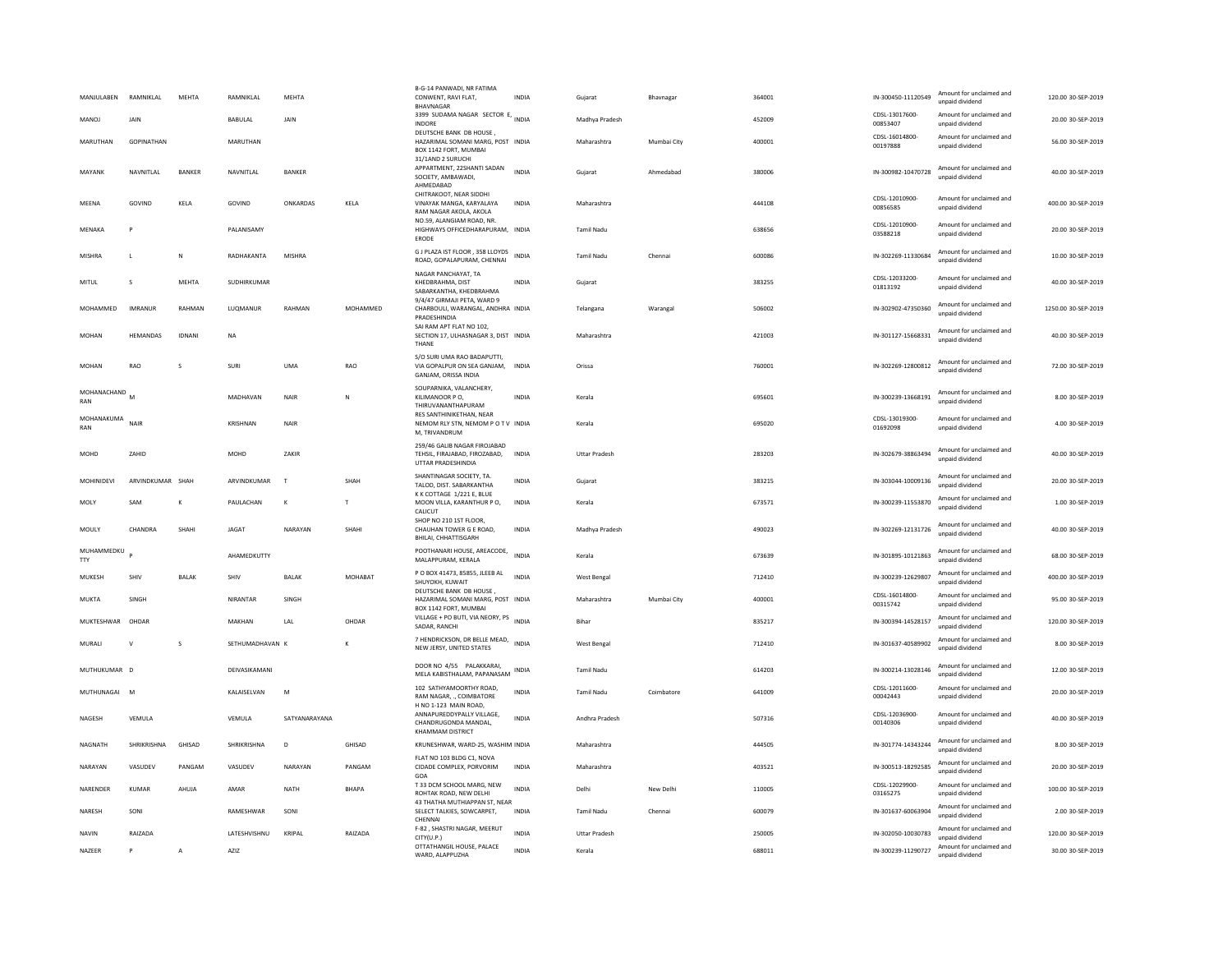| MANJULABEN         | RAMNIKLAL        | MEHTA          | RAMNIKLAI       | <b>MEHTA</b>  |          | B-G-14 PANWADI, NR FATIMA<br>CONWENT, RAVI FLAT,<br>BHAVNAGAR                                                | <b>INDIA</b> | Gujarat              | Bhavnagar   | 364001 | IN-300450-11120549         | Amount for unclaimed and<br>unpaid dividend | 120.00 30-SEP-2019  |
|--------------------|------------------|----------------|-----------------|---------------|----------|--------------------------------------------------------------------------------------------------------------|--------------|----------------------|-------------|--------|----------------------------|---------------------------------------------|---------------------|
| <b>MANOJ</b>       | <b>JAIN</b>      |                | BABULAL         | <b>JAIN</b>   |          | 3399 SUDAMA NAGAR SECTOR E,<br>INDORE                                                                        | <b>INDIA</b> | Madhya Pradesh       |             | 452009 | CDSL-13017600-<br>00853407 | Amount for unclaimed and<br>unpaid dividend | 20.00 30-SEP-2019   |
| MARUTHAN           | GOPINATHAN       |                | MARUTHAN        |               |          | DEUTSCHE BANK DB HOUSE<br>HAZARIMAL SOMANI MARG, POST INDIA<br>BOX 1142 FORT, MUMBAI<br>31/1AND 2 SURUCHI    |              | Maharashtra          | Mumbai City | 400001 | CDSL-16014800-<br>00197888 | Amount for unclaimed and<br>unpaid dividend | 56.00 30-SEP-2019   |
| MAYANK             | NAVNITLAL        | BANKER         | NAVNITLAL       | BANKER        |          | APPARTMENT, 22SHANTI SADAN<br>SOCIETY, AMBAWADI,<br>AHMEDABAD                                                | <b>INDIA</b> | Gujarat              | Ahmedabad   | 380006 | IN-300982-10470728         | Amount for unclaimed and<br>unnaid dividend | 40.00 30-SEP-2019   |
| MEENA              | GOVIND           | KELA           | GOVIND          | ONKARDAS      | KELA     | CHITRAKOOT, NEAR SIDDHI<br>VINAYAK MANGA, KARYALAYA<br>RAM NAGAR AKOLA, AKOLA                                | <b>INDIA</b> | Maharashtra          |             | 444108 | CDSL-12010900-<br>00856585 | Amount for unclaimed and<br>unpaid dividend | 400.00 30-SEP-2019  |
| MENAKA             |                  |                | PALANISAMY      |               |          | NO.59, ALANGIAM ROAD, NR<br>HIGHWAYS OFFICEDHARAPURAM, INDIA<br>ERODE                                        |              | Tamil Nadu           |             | 638656 | CDSL-12010900-<br>03588218 | Amount for unclaimed and<br>unpaid dividend | 20.00 30-SEP-2019   |
| <b>MISHRA</b>      | L.               | N              | RADHAKANTA      | MISHRA        |          | G J PLAZA IST FLOOR, 358 LLOYDS<br>ROAD, GOPALAPURAM, CHENNAI                                                | <b>INDIA</b> | <b>Tamil Nadu</b>    | Chennai     | 600086 | IN-302269-11330684         | Amount for unclaimed and<br>unpaid dividend | 10.00 30-SEP-2019   |
| MITUL              | $\mathbf{S}$     | <b>MFHTA</b>   | SUDHIRKUMAR     |               |          | NAGAR PANCHAYAT, TA<br>KHFDBRAHMA, DIST<br>SABARKANTHA, KHEDBRAHMA                                           | <b>INDIA</b> | Guiarat              |             | 383255 | CDSL-12033200-<br>01813192 | Amount for unclaimed and<br>unpaid dividend | 40.00 30-SEP-2019   |
| MOHAMMED           | <b>IMRANUR</b>   | RAHMAN         | LUQMANUR        | RAHMAN        | MOHAMMED | 9/4/47 GIRMAJI PETA, WARD 9<br>CHARBOULI, WARANGAL, ANDHRA INDIA<br>PRADESHINDIA<br>SAI RAM APT FLAT NO 102, |              | Telangana            | Warangal    | 506002 | IN-302902-47350360         | Amount for unclaimed and<br>unnaid dividend | 1250.00 30-SEP-2019 |
| <b>MOHAN</b>       | HEMANDAS         | <b>IDNANI</b>  | <b>NA</b>       |               |          | SECTION 17, ULHASNAGAR 3, DIST INDIA<br>THANE                                                                |              | Maharashtra          |             | 421003 | IN-301127-15668331         | Amount for unclaimed and<br>unpaid dividend | 40.00 30-SEP-2019   |
| <b>MOHAN</b>       | RAO              | s              | SURI            | <b>UMA</b>    | RAO      | S/O SURI UMA RAO BADAPUTTI.<br>VIA GOPALPUR ON SEA GANJAM, INDIA<br>GANJAM, ORISSA INDIA                     |              | Orissa               |             | 760001 | IN-302269-12800812         | Amount for unclaimed and<br>unnaid dividend | 72.00 30-SEP-2019   |
| MOHANACHAND<br>RAN | M                |                | MADHAVAN        | <b>NAIR</b>   | N        | SOUPARNIKA, VALANCHERY,<br>KILIMANOOR PO,<br>THIRUVANANTHAPURAM                                              | INDIA        | Kerala               |             | 695601 | IN-300239-13668191         | Amount for unclaimed and<br>unnaid dividend | 8.00 30-SEP-2019    |
| MOHANAKUMA<br>RAN  | NAIR             |                | KRISHNAN        | <b>NAIR</b>   |          | <b>RES SANTHINIKETHAN, NEAR</b><br>NEMOM RLY STN, NEMOM P O T V INDIA<br>M. TRIVANDRUM                       |              | Kerala               |             | 695020 | CDSL-13019300-<br>01692098 | Amount for unclaimed and<br>unpaid dividend | 4.00 30-SEP-2019    |
| <b>MOHD</b>        | ZAHID            |                | MOHD            | ZAKIR         |          | 259/46 GALIB NAGAR FIROJABAD<br>TEHSIL, FIRAJABAD, FIROZABAD.<br>UTTAR PRADESHINDIA                          | INDIA        | <b>Uttar Pradesh</b> |             | 283203 | IN-302679-38863494         | Amount for unclaimed and<br>unnaid dividend | 40.00 30-SEP-2019   |
| MOHINIDEVI         | ARVINDKUMAR SHAH |                | ARVINDKUMAR     | $\mathbf{I}$  | SHAH     | SHANTINAGAR SOCIETY, TA<br>TALOD, DIST. SABARKANTHA                                                          | INDIA        | Gujarat              |             | 383215 | IN-303044-10009136         | Amount for unclaimed and<br>unpaid dividend | 20.00 30-SEP-2019   |
| MOLY               | SAM              | К              | PAULACHAN       | к             | т        | K K COTTAGE 1/221 E. BLUE<br>MOON VILLA, KARANTHUR PO,<br>CALICUT                                            | INDIA        | Kerala               |             | 673571 | IN-300239-11553870         | Amount for unclaimed and<br>unpaid dividend | 1.00 30-SEP-2019    |
| MOULY              | CHANDRA          | SHAHI          | JAGAT           | NARAYAN       | SHAHI    | SHOP NO 210 1ST FLOOR.<br>CHAUHAN TOWER G E ROAD,<br>BHILAI, CHHATTISGARH                                    | <b>INDIA</b> | Madhya Pradesh       |             | 490023 | IN-302269-12131726         | Amount for unclaimed and<br>unpaid dividend | 40.00 30-SEP-2019   |
| MUHAMMEDKU<br>TTY  |                  |                | AHAMEDKUTTY     |               |          | POOTHANARI HOUSE, AREACODE,<br>MALAPPURAM, KERALA                                                            | <b>INDIA</b> | Kerala               |             | 673639 | IN-301895-10121863         | Amount for unclaimed and<br>unpaid dividend | 68.00 30-SEP-2019   |
| MUKESH             | SHIV             | <b>BALAK</b>   | SHIV            | <b>BAI AK</b> | MOHARAT  | P O BOX 41473, 85855, JLEEB AL<br>SHUYOKH, KUWAIT                                                            | <b>INDIA</b> | <b>West Bengal</b>   |             | 712410 | IN-300239-12629807         | Amount for unclaimed and<br>unpaid dividend | 400.00 30-SEP-2019  |
| MUKTA              | SINGH            |                | NIRANTAR        | SINGH         |          | DEUTSCHE BANK DB HOUSE,<br>HAZARIMAL SOMANI MARG, POST INDIA<br>BOX 1142 FORT, MUMBAI                        |              | Maharashtra          | Mumbai City | 400001 | CDSL-16014800-<br>00315742 | Amount for unclaimed and<br>unpaid dividend | 95.00 30-SEP-2019   |
| MUKTESHWAR         | OHDAR            |                | MAKHAN          | LAL           | OHDAR    | VILLAGE + PO BUTI, VIA NEORY, PS<br>SADAR, RANCHI                                                            | INDIA        | Bihar                |             | 835217 | IN-300394-14528157         | Amount for unclaimed and<br>unpaid dividend | 120.00 30-SEP-2019  |
| MURALI             | $\mathsf{v}$     | s              | SETHUMADHAVAN K |               | K        | 7 HENDRICKSON, DR BELLE MEAD, INDIA<br>NEW JERSY, UNITED STATES                                              |              | <b>West Bengal</b>   |             | 712410 | IN-301637-40589902         | Amount for unclaimed and<br>unpaid dividend | 8.00 30-SEP-2019    |
| MUTHUKUMAR D       |                  |                | DEIVASIKAMANI   |               |          | DOOR NO 4/55 PALAKKARAI.<br>MELA KABISTHALAM, PAPANASAM INDIA                                                |              | <b>Tamil Nadu</b>    |             | 614203 | IN-300214-13028146         | Amount for unclaimed and<br>unpaid dividend | 12.00 30-SEP-2019   |
| MUTHUNAGAI M       |                  |                | KALAISELVAN     | M             |          | 102 SATHYAMOORTHY ROAD,<br>RAM NAGAR COIMBATORE<br>H NO 1-123 MAIN ROAD,                                     | <b>INDIA</b> | <b>Tamil Nadu</b>    | Coimbatore  | 641009 | CDSL-12011600-<br>00042443 | Amount for unclaimed and<br>unpaid dividend | 20.00 30-SEP-2019   |
| NAGESH             | VEMULA           |                | VEMULA          | SATYANARAYANA |          | ANNAPUREDDYPALLY VILLAGE,<br>CHANDRUGONDA MANDAL,<br><b>KHAMMAM DISTRICT</b>                                 | <b>INDIA</b> | Andhra Pradesh       |             | 507316 | CDSL-12036900-<br>00140306 | Amount for unclaimed and<br>unpaid dividend | 40.00 30-SEP-2019   |
| NAGNATH            | SHRIKRISHNA      | GHISAD         | SHRIKRISHNA     | $\mathsf D$   | GHISAD   | KRUNESHWAR, WARD-25, WASHIM INDIA                                                                            |              | Maharashtra          |             | 444505 | IN-301774-14343244         | Amount for unclaimed and<br>unpaid dividend | 8.00 30-SEP-2019    |
| NARAYAN            | VASUDEV          | PANGAM         | VASUDEV         | NARAYAN       | PANGAM   | FLAT NO 103 BLDG C1, NOVA<br>CIDADE COMPLEX, PORVORIM<br>GOA                                                 | <b>INDIA</b> | Maharashtra          |             | 403521 | IN-300513-18292585         | Amount for unclaimed and<br>unpaid dividend | 20.00 30-SEP-2019   |
| NARENDER           | KUMAR            | AHUJA          | AMAR            | <b>NATH</b>   | BHAPA    | T 33 DCM SCHOOL MARG. NEW<br>ROHTAK ROAD, NEW DELH<br>43 THATHA MUTHIAPPAN ST. NEAR                          | <b>INDIA</b> | Delhi                | New Delhi   | 110005 | CDSL-12029900-<br>03165275 | Amount for unclaimed and<br>unpaid dividend | 100.00 30-SEP-2019  |
| NARESH             | SONI             |                | RAMESHWAR       | SONI          |          | SELECT TALKIES, SOWCARPET,<br>CHENNA                                                                         | INDIA        | <b>Tamil Nadu</b>    | Chennai     | 600079 | IN-301637-60063904         | Amount for unclaimed and<br>unnaid dividend | 2.00 30-SEP-2019    |
| <b>NAVIN</b>       | RAIZADA          |                | LATESHVISHNU    | KRIPAL        | RAIZADA  | F-82 . SHASTRI NAGAR, MEERUT<br>CITY(U.P.)                                                                   | <b>INDIA</b> | <b>Uttar Pradesh</b> |             | 250005 | IN-302050-10030783         | Amount for unclaimed and<br>unpaid dividend | 120.00 30-SEP-2019  |
| NAZEER             | P                | $\overline{A}$ | AZIZ            |               |          | OTTATHANGIL HOUSE, PALACE<br>WARD, ALAPPUZHA                                                                 | INDIA        | Kerala               |             | 688011 | IN-300239-11290727         | Amount for unclaimed and<br>unpaid dividend | 30.00 30-SEP-2019   |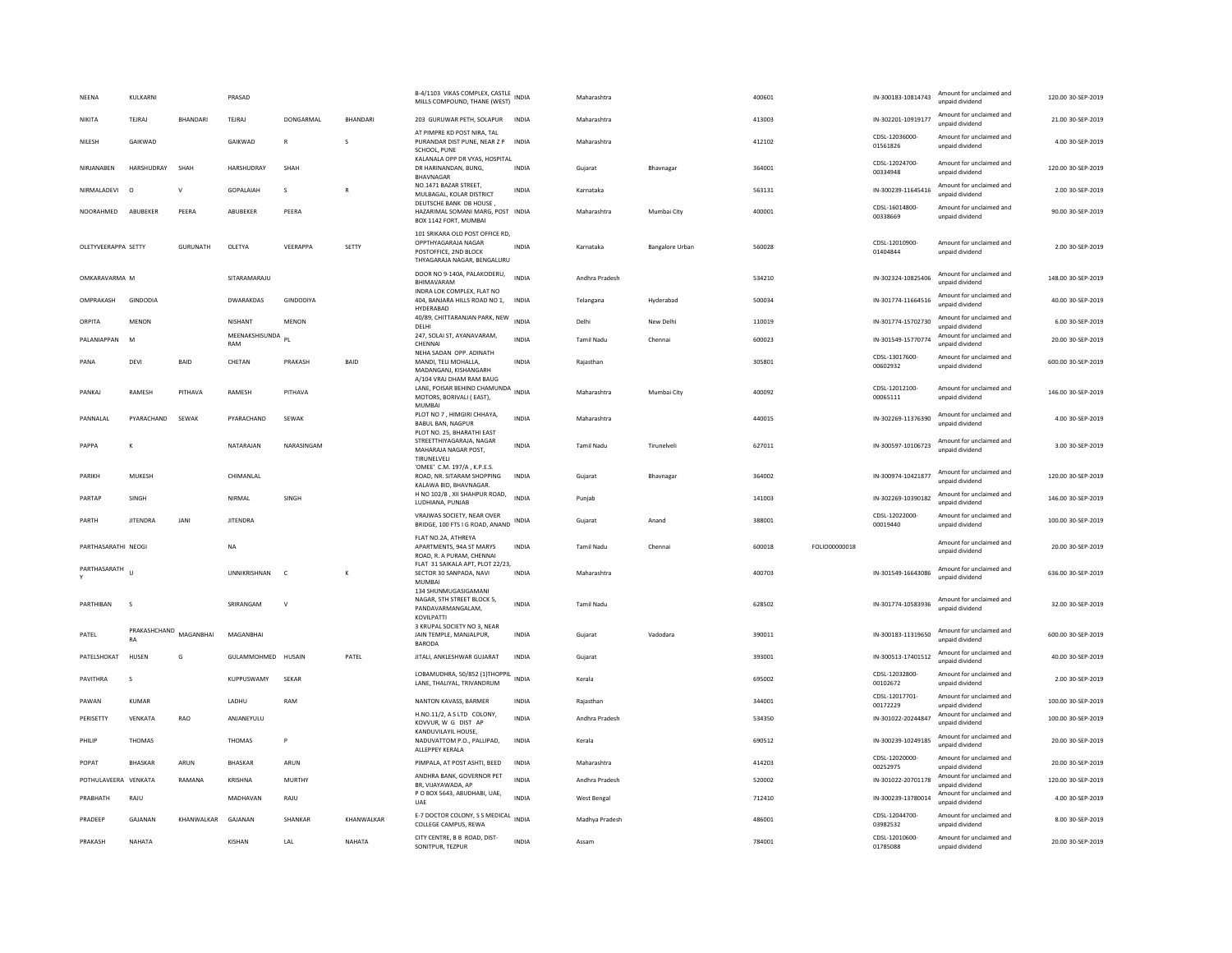| NEENA                | KULKARNI                     |                 | PRASAD                   |              |                 | B-4/1103 VIKAS COMPLEX, CASTLE<br>MILLS COMPOUND, THANE (WEST)                                                 | <b>INDIA</b> | Maharashtra       |                        | 400601 |               | IN-300183-10814743         | Amount for unclaimed and<br>unpaid dividend | 120.00 30-SEP-2019 |
|----------------------|------------------------------|-----------------|--------------------------|--------------|-----------------|----------------------------------------------------------------------------------------------------------------|--------------|-------------------|------------------------|--------|---------------|----------------------------|---------------------------------------------|--------------------|
| NIKITA               | TFIRAI                       | <b>BHANDARI</b> | TFIRAL                   | DONGARMAL    | <b>BHANDARI</b> | 203 GURUWAR PETH, SOLAPUR                                                                                      | INDIA        | Maharashtra       |                        | 413003 |               | IN-302201-10919177         | Amount for unclaimed and<br>unpaid dividend | 21.00.30-SEP-2019  |
| NILESH               | GAIKWAD                      |                 | GAIKWAD                  |              | s               | AT PIMPRE KD POST NIRA. TAL<br>PURANDAR DIST PUNE, NEAR Z P INDIA<br>SCHOOL, PUNE                              |              | Maharashtra       |                        | 412102 |               | CDSL-12036000<br>01561826  | Amount for unclaimed and<br>unpaid dividend | 4.00 30-SEP-2019   |
| NIRIANAREN           | HARSHUDRAY                   | SHAH            | <b>HARSHUDRAY</b>        | SHAH         |                 | KALANALA OPP DR VYAS, HOSPITAL<br>DR HARINANDAN, BUNG.<br>BHAVNAGAR                                            | <b>INDIA</b> | Gujarat           | Bhavnagar              | 364001 |               | CDSL-12024700-<br>00334948 | Amount for unclaimed and<br>unpaid dividend | 120.00 30-SEP-2019 |
| NIRMALADEVI          | $\circ$                      | $\vee$          | GOPALAIAH                | s            | $\overline{R}$  | NO.1471 BAZAR STREET.<br>MULBAGAL, KOLAR DISTRICT                                                              | INDIA        | Karnataka         |                        | 563131 |               | IN-300239-11645416         | Amount for unclaimed and<br>unpaid dividend | 2.00 30-SEP-2019   |
| NOORAHMED            | ABUBEKER                     | PEERA           | ABUBEKER                 | PEERA        |                 | DEUTSCHE BANK DB HOUSE,<br>HAZARIMAL SOMANI MARG, POST INDIA<br>BOX 1142 FORT, MUMBAI                          |              | Maharashtra       | Mumbai City            | 400001 |               | CDSL-16014800<br>00338669  | Amount for unclaimed and<br>unnaid dividend | 90.00 30-SEP-2019  |
| OLETYVEERAPPA SETTY  |                              | <b>GURUNATH</b> | OLETYA                   | VEERAPPA     | SETTY           | 101 SRIKARA OLD POST OFFICE RD,<br>OPPTHYAGARAJA NAGAR<br>POSTOFFICE, 2ND BLOCK<br>THYAGARAJA NAGAR, BENGALURU | <b>INDIA</b> | Karnataka         | <b>Bangalore Urban</b> | 560028 |               | CDSL-12010900-<br>01404844 | Amount for unclaimed and<br>unpaid dividend | 2.00 30-SEP-2019   |
| OMKARAVARMA M        |                              |                 | SITARAMARAJU             |              |                 | DOOR NO 9-140A, PALAKODERU,<br>BHIMAVARAM<br>INDRA LOK COMPLEX, FLAT NO                                        | <b>INDIA</b> | Andhra Pradesh    |                        | 534210 |               | IN-302324-10825406         | Amount for unclaimed and<br>unpaid dividend | 148.00 30-SEP-2019 |
| OMPRAKASH            | GINDODIA                     |                 | <b>DWARAKDAS</b>         | GINDODIYA    |                 | 404. BANJARA HILLS ROAD NO 1.<br>HYDERABAD                                                                     | INDIA        | Telangana         | Hyderabad              | 500034 |               | IN-301774-11664516         | Amount for unclaimed and<br>unpaid dividend | 40.00 30-SEP-2019  |
| ORPITA               | MENON                        |                 | NISHANT                  | MENON        |                 | 40/89, CHITTARANJAN PARK, NEW<br>DELHI                                                                         | <b>INDIA</b> | Delhi             | New Delhi              | 110019 |               | IN-301774-15702730         | Amount for unclaimed and<br>unpaid dividend | 6.00 30-SEP-2019   |
| PALANIAPPAN          | M                            |                 | MEENAKSHISUNDA PL<br>RAM |              |                 | 247, SOLAI ST, AYANAVARAM,<br>CHENNAI                                                                          | <b>INDIA</b> | Tamil Nadu        | Chennai                | 600023 |               | IN-301549-15770774         | Amount for unclaimed and<br>unpaid dividend | 20.00 30-SEP-2019  |
| PANA                 | DEVI                         | <b>BAID</b>     | CHETAN                   | PRAKASH      | <b>BAID</b>     | NEHA SADAN OPP. ADINATH<br>MANDI, TELI MOHALLA.<br>MADANGANJ, KISHANGARH<br>A/104 VRAJ DHAM RAM BAUG           | <b>INDIA</b> | Raiasthan         |                        | 305801 |               | CDSL-13017600-<br>00602932 | Amount for unclaimed and<br>unpaid dividend | 600.00 30-SEP-2019 |
| PANKAJ               | RAMESH                       | PITHAVA         | RAMESH                   | PITHAVA      |                 | LANE, POISAR BEHIND CHAMUNDA INDIA<br>MOTORS, BORIVALI (EAST),<br>MUMBAI                                       |              | Maharashtra       | Mumbai City            | 400092 |               | CDSL-12012100-<br>00065111 | Amount for unclaimed and<br>unnaid dividend | 146.00 30-SEP-2019 |
| PANNALAL             | PYARACHAND                   | SEWAK           | PYARACHAND               | SEWAK        |                 | PLOT NO 7, HIMGIRI CHHAYA,<br><b>BABUL BAN, NAGPUR</b><br>PLOT NO. 25, BHARATHI EAST                           | INDIA        | Maharashtra       |                        | 440015 |               | IN-302269-11376390         | Amount for unclaimed and<br>unpaid dividend | 4.00 30-SEP-2019   |
| PAPPA                | К                            |                 | NATARAIAN                | NARASINGAM   |                 | STREETTHIYAGARAJA, NAGAR<br>MAHARAJA NAGAR POST,<br>TIRUNELVELI                                                | <b>INDIA</b> | Tamil Nadu        | Tirunelveli            | 627011 |               | IN-300597-10106723         | Amount for unclaimed and<br>unpaid dividend | 3.00 30-SEP-2019   |
| PARIKH               | MUKESH                       |                 | CHIMANLAL                |              |                 | 'OMEE' C.M. 197/A, K.P.E.S.<br>ROAD, NR. SITARAM SHOPPING<br>KALAWA BID, BHAVNAGAR                             | <b>INDIA</b> | Gujarat           | Bhavnagar              | 364002 |               | IN-300974-10421877         | Amount for unclaimed and<br>unpaid dividend | 120.00 30-SEP-2019 |
| PARTAP               | SINGH                        |                 | NIRMAL                   | SINGH        |                 | H NO 102/B, XII SHAHPUR ROAD,<br>LUDHIANA, PUNJAB                                                              | <b>INDIA</b> | Punjab            |                        | 141003 |               | IN-302269-10390182         | Amount for unclaimed and<br>unpaid dividend | 146.00 30-SEP-2019 |
| PARTH                | <b>JITENDRA</b>              | <b>JANI</b>     | <b>JITENDRA</b>          |              |                 | VRAJWAS SOCIETY, NEAR OVER<br>BRIDGE, 100 FTS I G ROAD, ANAND                                                  | INDIA        | Gujarat           | Anand                  | 388001 |               | CDSL-12022000<br>00019440  | Amount for unclaimed and<br>unpaid dividend | 100.00 30-SEP-2019 |
| PARTHASARATHI NEOGI  |                              |                 | <b>NA</b>                |              |                 | FLAT NO.2A, ATHREYA<br>APARTMENTS, 94A ST MARYS<br>ROAD, R. A PURAM, CHENNAI                                   | INDIA        | Tamil Nadu        | Chennai                | 600018 | FOLIO00000018 |                            | Amount for unclaimed and<br>unpaid dividend | 20.00 30-SEP-2019  |
| PARTHASARATH         | $\mathbf{u}$                 |                 | <b>UNNIKRISHNAN</b>      | $\mathbb{C}$ | K               | FLAT 31 SAIKALA APT, PLOT 22/23,<br>SECTOR 30 SANPADA, NAVI<br><b>MUMBA</b>                                    | <b>INDIA</b> | Maharashtra       |                        | 400703 |               | IN-301549-16643086         | Amount for unclaimed and<br>unpaid dividend | 636.00 30-SEP-2019 |
| PARTHIBAN            | $\mathbf{S}$                 |                 | SRIRANGAM                | $\mathsf{v}$ |                 | 134 SHUNMUGASIGAMANI<br>NAGAR, 5TH STREET BLOCK 5,<br>PANDAVARMANGALAM.<br>KOVILPATTI                          | <b>INDIA</b> | <b>Tamil Nadu</b> |                        | 628502 |               | IN-301774-10583936         | Amount for unclaimed and<br>unpaid dividend | 32.00 30-SEP-2019  |
| PATEL                | PRAKASHCHAND MAGANBHAI<br>RA |                 | MAGANBHAI                |              |                 | 3 KRUPAL SOCIETY NO 3, NEAR<br>JAIN TEMPLE, MANJALPUR,<br><b>BARODA</b>                                        | <b>INDIA</b> | Gujarat           | Vadodara               | 390011 |               | IN-300183-11319650         | Amount for unclaimed and<br>unnaid dividend | 600.00 30-SEP-2019 |
| PATELSHOKAT          | HUSEN                        | G               | GULAMMOHMED HUSAIN       |              | PATEL           | JITALI, ANKLESHWAR GUJARAT                                                                                     | <b>INDIA</b> | Gujarat           |                        | 393001 |               | IN-300513-17401512         | Amount for unclaimed and<br>unpaid dividend | 40.00 30-SEP-2019  |
| PAVITHRA             | s                            |                 | KUPPUSWAMY               | SEKAR        |                 | LOBAMUDHRA, 50/852 (1)THOPPIL<br>LANE, THALIYAL, TRIVANDRUM                                                    | <b>INDIA</b> | Kerala            |                        | 695002 |               | CDSL-12032800-<br>00102672 | Amount for unclaimed and<br>unpaid dividend | 2.00 30-SEP-2019   |
| PAWAN                | KUMAR                        |                 | LADHU                    | RAM          |                 | NANTON KAVASS, BARMER                                                                                          | <b>INDIA</b> | Rajasthan         |                        | 344001 |               | CDSL-12017701<br>00172229  | Amount for unclaimed and<br>unpaid dividend | 100.00 30-SEP-2019 |
| PERISETTY            | VENKATA                      | RAO             | ANJANEYULU               |              |                 | H.NO.11/2, A S LTD COLONY,<br>KOVVUR. W G DIST AP                                                              | <b>INDIA</b> | Andhra Pradesh    |                        | 534350 |               | IN-301022-20244847         | Amount for unclaimed and<br>unpaid dividend | 100.00 30-SEP-2019 |
| PHILIP               | THOMAS                       |                 | THOMAS                   | P            |                 | KANDUVILAYIL HOUSE,<br>NADUVATTOM P.O., PALLIPAD,<br>ALLEPPEY KERALA                                           | INDIA        | Kerala            |                        | 690512 |               | IN-300239-10249185         | Amount for unclaimed and<br>unpaid dividend | 20.00 30-SEP-2019  |
| POPAT                | <b>BHASKAR</b>               | ARUN            | BHASKAR                  | ARUN         |                 | PIMPALA, AT POST ASHTI, BEED                                                                                   | <b>INDIA</b> | Maharashtra       |                        | 414203 |               | CDSL-12020000-<br>00252975 | Amount for unclaimed and<br>unpaid dividend | 20.00 30-SEP-2019  |
| POTHULAVEERA VENKATA |                              | RAMANA          | KRISHNA                  | MURTHY       |                 | ANDHRA BANK, GOVERNOR PET<br>BR, VIJAYAWADA, AP                                                                | <b>INDIA</b> | Andhra Pradesh    |                        | 520002 |               | IN-301022-20701178         | Amount for unclaimed and<br>unpaid dividend | 120.00 30-SEP-2019 |
| PRABHATH             | RAJU                         |                 | MADHAVAN                 | RAJU         |                 | P O BOX 5643, ABUDHABI, UAE,<br>UAE                                                                            | <b>INDIA</b> | West Bengal       |                        | 712410 |               | IN-300239-13780014         | Amount for unclaimed and<br>unpaid dividend | 4.00 30-SEP-2019   |
| PRADEEP              | GAJANAN                      | KHANWALKAR      | GAJANAN                  | SHANKAR      | KHANWALKAR      | E-7 DOCTOR COLONY, S S MEDICAL<br>COLLEGE CAMPUS, REWA                                                         | <b>INDIA</b> | Madhya Pradesh    |                        | 486001 |               | CDSL-12044700-<br>03982532 | Amount for unclaimed and<br>unpaid dividend | 8.00 30-SEP-2019   |
| PRAKASH              | NAHATA                       |                 | KISHAN                   | LAL          | NAHATA          | CITY CENTRE, B B ROAD, DIST-<br>SONITPUR, TEZPUR                                                               | <b>INDIA</b> | Assam             |                        | 784001 |               | CDSL-12010600-<br>01785088 | Amount for unclaimed and<br>unpaid dividend | 20.00 30-SEP-2019  |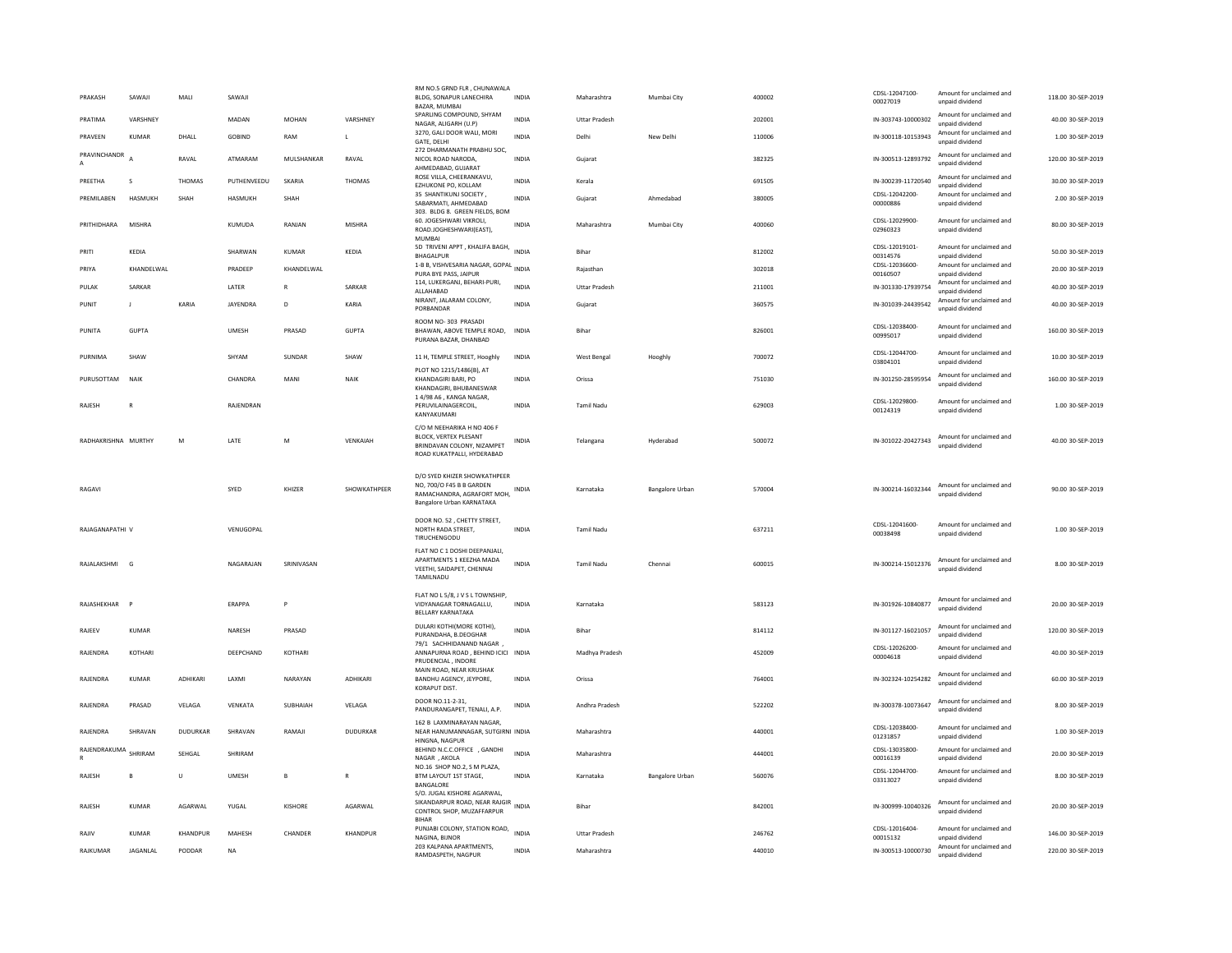| PRAKASH              | SAWAJI        | MALI           | SAWAJI        |              |                 | RM NO.5 GRND FLR, CHUNAWALA<br>BLDG, SONAPUR LANECHIRA<br>BAZAR, MUMBAI                                             | INDIA        | Maharashtra          | Mumbai City     | 400002 | CDSL-12047100-<br>00027019 | Amount for unclaimed and<br>unpaid dividend | 118.00 30-SEP-2019 |
|----------------------|---------------|----------------|---------------|--------------|-----------------|---------------------------------------------------------------------------------------------------------------------|--------------|----------------------|-----------------|--------|----------------------------|---------------------------------------------|--------------------|
| PRATIMA              | VARSHNFY      |                | <b>MADAN</b>  | <b>MOHAN</b> | VARSHNFY        | SPARLING COMPOUND, SHYAM<br>NAGAR, ALIGARH (U.P)                                                                    | <b>INDIA</b> | <b>Uttar Pradesh</b> |                 | 202001 | IN-303743-10000302         | Amount for unclaimed and<br>unpaid dividend | 40.00 30-SEP-2019  |
| PRAVEEN              | <b>KUMAR</b>  | DHALL          | <b>GOBIND</b> | RAM          | $\mathbf{L}$    | 3270, GALI DOOR WALI, MORI<br>GATE, DELHI                                                                           | <b>INDIA</b> | Delhi                | New Delhi       | 110006 | IN-300118-10153943         | Amount for unclaimed and<br>unpaid dividend | 1.00 30-SEP-2019   |
| PRAVINCHANDR<br>A    |               | RAVAL          | ATMARAM       | MULSHANKAR   | RAVAL           | 272 DHARMANATH PRABHU SOC,<br>NICOL ROAD NARODA,                                                                    | <b>INDIA</b> | Gujarat              |                 | 382325 | IN-300513-12893792         | Amount for unclaimed and<br>unnaid dividend | 120.00 30-SEP-2019 |
| PREETHA              | $\mathbf{S}$  | <b>THOMAS</b>  | PUTHENVEEDU   | SKARIA       | THOMAS          | AHMEDABAD, GUJARAT<br>ROSE VILLA, CHEERANKAVU,<br>EZHUKONE PO, KOLLAM                                               | <b>INDIA</b> | Kerala               |                 | 691505 | IN-300239-11720540         | Amount for unclaimed and<br>unpaid dividend | 30.00 30-SEP-2019  |
| PREMILABEN           | HASMUKH       | SHAH           | HASMUKH       | SHAH         |                 | 35 SHANTIKUNJ SOCIETY.<br>SABARMATI, AHMEDABAD                                                                      | INDIA        | Guiarat              | Ahmedabad       | 380005 | CDSL-12042200-<br>00000886 | Amount for unclaimed and<br>unpaid dividend | 2.00 30-SEP-2019   |
| PRITHIDHARA          | <b>MISHRA</b> |                | KUMUDA        | RANJAN       | <b>MISHRA</b>   | 303. BLDG 8. GREEN FIELDS, BOM<br>60. JOGESHWARI VIKROLI,<br>ROAD.JOGHESHWARI(EAST),<br><b>MUMBAI</b>               | <b>INDIA</b> | Maharashtra          | Mumbai City     | 400060 | CDSL-12029900-<br>02960323 | Amount for unclaimed and<br>unpaid dividend | 80.00 30-SEP-2019  |
| PRITI                | KFDIA         |                | SHARWAN       | KUMAR        | KFDIA           | 5D TRIVENI APPT, KHALIFA BAGH,<br>BHAGALPUR                                                                         | <b>INDIA</b> | <b>Bihar</b>         |                 | 812002 | CDSL-12019101-<br>00314576 | Amount for unclaimed and<br>unpaid dividend | 50.00 30-SEP-2019  |
| PRIYA                | KHANDFI WAI   |                | PRADEEP       | KHANDFI WAI  |                 | 1-B B, VISHVESARIA NAGAR, GOPAL<br>PURA BYE PASS, JAIPUR                                                            | <b>INDIA</b> | Raiasthan            |                 | 302018 | CDSL-12036600-<br>00160507 | Amount for unclaimed and<br>unpaid dividend | 20.00 30-SEP-2019  |
| PULAK                | SARKAR        |                | LATER         | $\mathsf{R}$ | SARKAR          | 114, LUKERGANJ, BEHARI-PURI,<br>ALLAHABAD                                                                           | <b>INDIA</b> | <b>Uttar Pradesh</b> |                 | 211001 | IN-301330-17939754         | Amount for unclaimed and<br>unpaid dividend | 40.00 30-SEP-2019  |
| PUNIT                | J             | KARIA          | JAYENDRA      | D            | KARIA           | NIRANT, JALARAM COLONY,<br>PORBANDAR                                                                                | <b>INDIA</b> | Gujarat              |                 | 360575 | IN-301039-24439542         | Amount for unclaimed and<br>unpaid dividend | 40.00 30-SEP-2019  |
| PUNITA               | GUPTA         |                | <b>UMESH</b>  | PRASAD       | <b>GUPTA</b>    | ROOM NO-303 PRASADI<br>BHAWAN, ABOVE TEMPLE ROAD, INDIA<br>PURANA BAZAR, DHANBAD                                    |              | Bihar                |                 | 826001 | CDSL-12038400-<br>00995017 | Amount for unclaimed and<br>unpaid dividend | 160.00 30-SEP-2019 |
| PURNIMA              | SHAW          |                | SHYAM         | SUNDAR       | <b>SHAW</b>     | 11 H, TEMPLE STREET, Hooghly                                                                                        | <b>INDIA</b> | <b>West Bengal</b>   | Hooghly         | 700072 | CDSL-12044700-<br>03804101 | Amount for unclaimed and<br>unpaid dividend | 10.00 30-SEP-2019  |
| PURUSOTTAM           | NAIK          |                | CHANDRA       | MANI         | NAIK            | PLOT NO 1215/1486(B). AT<br>KHANDAGIRI BARI, PO<br>KHANDAGIRI, BHUBANESWAR                                          | <b>INDIA</b> | Orissa               |                 | 751030 | IN-301250-28595954         | Amount for unclaimed and<br>unpaid dividend | 160.00 30-SEP-2019 |
| RAJESH               |               |                | RAJENDRAN     |              |                 | 1 4/98 A6, KANGA NAGAR,<br>PERUVILAINAGERCOIL,<br>KANYAKUMARI                                                       | <b>INDIA</b> | Tamil Nadu           |                 | 629003 | CDSL-12029800-<br>00124319 | Amount for unclaimed and<br>unpaid dividend | 1.00 30-SEP-2019   |
| RADHAKRISHNA MURTHY  |               | M              | <b>IATF</b>   | M            | VFNKAIAH        | C/O M NEEHARIKA H NO 406 F<br>BLOCK, VERTEX PLESANT<br>BRINDAVAN COLONY, NIZAMPET<br>ROAD KUKATPALLI, HYDERABAD     | INDIA        | Telangana            | Hyderabad       | 500072 | IN-301022-20427343         | Amount for unclaimed and<br>unnaid dividend | 40.00 30-SEP-2019  |
| RAGAVI               |               |                | SYED          | KHIZER       | SHOWKATHPEER    | D/O SYED KHIZER SHOWKATHPEER<br>NO, 700/O F45 B B GARDEN<br>RAMACHANDRA, AGRAFORT MOH,<br>Bangalore Urban KARNATAKA | <b>INDIA</b> | Karnataka            | Bangalore Urban | 570004 | IN-300214-16032344         | Amount for unclaimed and<br>unpaid dividend | 90.00 30-SEP-2019  |
| RAIAGANAPATHI V      |               |                | VENUGOPAL     |              |                 | DOOR NO. 52. CHETTY STREET.<br>NORTH RADA STREET,<br>TIRUCHENGODU                                                   | <b>INDIA</b> | <b>Tamil Nadu</b>    |                 | 637211 | CDSL-12041600-<br>00038498 | Amount for unclaimed and<br>unnaid dividend | 1.00 30-SEP-2019   |
| RAJALAKSHMI G        |               |                | NAGARAJAN     | SRINIVASAN   |                 | FLAT NO C 1 DOSHI DEEPANJALI.<br>APARTMENTS 1 KEEZHA MADA<br>VEETHI, SAIDAPET, CHENNAI<br>TAMILNADU                 | INDIA        | Tamil Nadu           | Chennai         | 600015 | IN-300214-15012376         | Amount for unclaimed and<br>unpaid dividend | 8.00 30-SEP-2019   |
| RAJASHEKHAR          | <b>P</b>      |                | FRAPPA        | P            |                 | FLAT NO L 5/8, J V S L TOWNSHIP,<br>VIDYANAGAR TORNAGALLU,<br><b>BELLARY KARNATAKA</b>                              | <b>INDIA</b> | Karnataka            |                 | 583123 | IN-301926-10840877         | Amount for unclaimed and<br>unpaid dividend | 20.00 30-SEP-2019  |
| RAJEEV               | KUMAR         |                | NARESH        | PRASAD       |                 | DULARI KOTHI(MORE KOTHI),<br>PURANDAHA, B.DEOGHAR                                                                   | <b>INDIA</b> | Bihar                |                 | 814112 | IN-301127-16021057         | Amount for unclaimed and<br>unnaid dividend | 120.00 30-SEP-2019 |
| RAJENDRA             | KOTHARI       |                | DEEPCHAND     | KOTHARI      |                 | 79/1 SACHHIDANAND NAGAR<br>ANNAPURNA ROAD, BEHIND ICICI INDIA<br>PRUDENCIAL, INDORE                                 |              | Madhya Pradesh       |                 | 452009 | CDSL-12026200-<br>00004618 | Amount for unclaimed and<br>unpaid dividend | 40.00 30-SEP-2019  |
| RAJENDRA             | KUMAR         | <b>ADHIKAR</b> | LAXMI         | NARAYAN      | <b>ADHIKARI</b> | MAIN ROAD, NEAR KRUSHAK<br>BANDHU AGENCY, JEYPORE,<br><b>KORAPUT DIST</b>                                           | <b>INDIA</b> | Orissa               |                 | 764001 | IN-302324-10254282         | Amount for unclaimed and<br>unpaid dividend | 60.00 30-SEP-2019  |
| RAJENDRA             | PRASAD        | VELAGA         | VENKATA       | SUBHAIAH     | VELAGA          | DOOR NO.11-2-31,<br>PANDURANGAPET, TENALI, A.P.                                                                     | INDIA        | Andhra Pradesh       |                 | 522202 | IN-300378-10073647         | Amount for unclaimed and<br>unnaid dividend | 8.00 30-SEP-2019   |
| RAJENDRA             | SHRAVAN       | DUDURKAR       | SHRAVAN       | RAMAJI       | <b>DUDURKAR</b> | 162 B LAXMINARAYAN NAGAR<br>NEAR HANUMANNAGAR, SUTGIRNI INDIA<br>HINGNA, NAGPUR                                     |              | Maharashtra          |                 | 440001 | CDSL-12038400-<br>01231857 | Amount for unclaimed and<br>unpaid dividend | 1.00 30-SEP-2019   |
| RAJENDRAKUMA SHRIRAM |               | SEHGAL         | SHRIRAM       |              |                 | BEHIND N.C.C.OFFICE , GANDHI<br>NAGAR, AKOLA                                                                        | <b>INDIA</b> | Maharashtra          |                 | 444001 | CDSL-13035800-<br>00016139 | Amount for unclaimed and<br>unpaid dividend | 20.00 30-SEP-2019  |
| RAJESH               | $\mathbf{B}$  | U              | <b>UMESH</b>  | B            | $\overline{R}$  | NO.16 SHOP NO.2, S M PLAZA,<br>BTM LAYOUT 1ST STAGE,<br>BANGALORE                                                   | <b>INDIA</b> | Karnataka            | Bangalore Urban | 560076 | CDSL-12044700-<br>03313027 | Amount for unclaimed and<br>unpaid dividend | 8.00 30-SEP-2019   |
| RAJESH               | KUMAR         | AGARWAL        | YUGAL         | KISHORE      | AGARWAL         | S/O. JUGAL KISHORE AGARWAL,<br>SIKANDARPUR ROAD, NEAR RAJGIR<br>CONTROL SHOP, MUZAFFARPUR                           |              | Bihar                |                 | 842001 | IN-300999-10040326         | Amount for unclaimed and<br>unnaid dividend | 20.00 30-SEP-2019  |
|                      |               |                |               |              |                 | BIHAR                                                                                                               |              |                      |                 |        |                            |                                             |                    |
| RAJIV                | <b>KUMAR</b>  | KHANDPUR       | MAHESH        | CHANDER      | KHANDPUR        | PUNJABI COLONY, STATION ROAD.<br>NAGINA, BUNOR                                                                      | <b>INDIA</b> | <b>Uttar Pradesh</b> |                 | 246762 | CDSL-12016404<br>00015132  | Amount for unclaimed and<br>unpaid dividend | 146.00 30-SEP-2019 |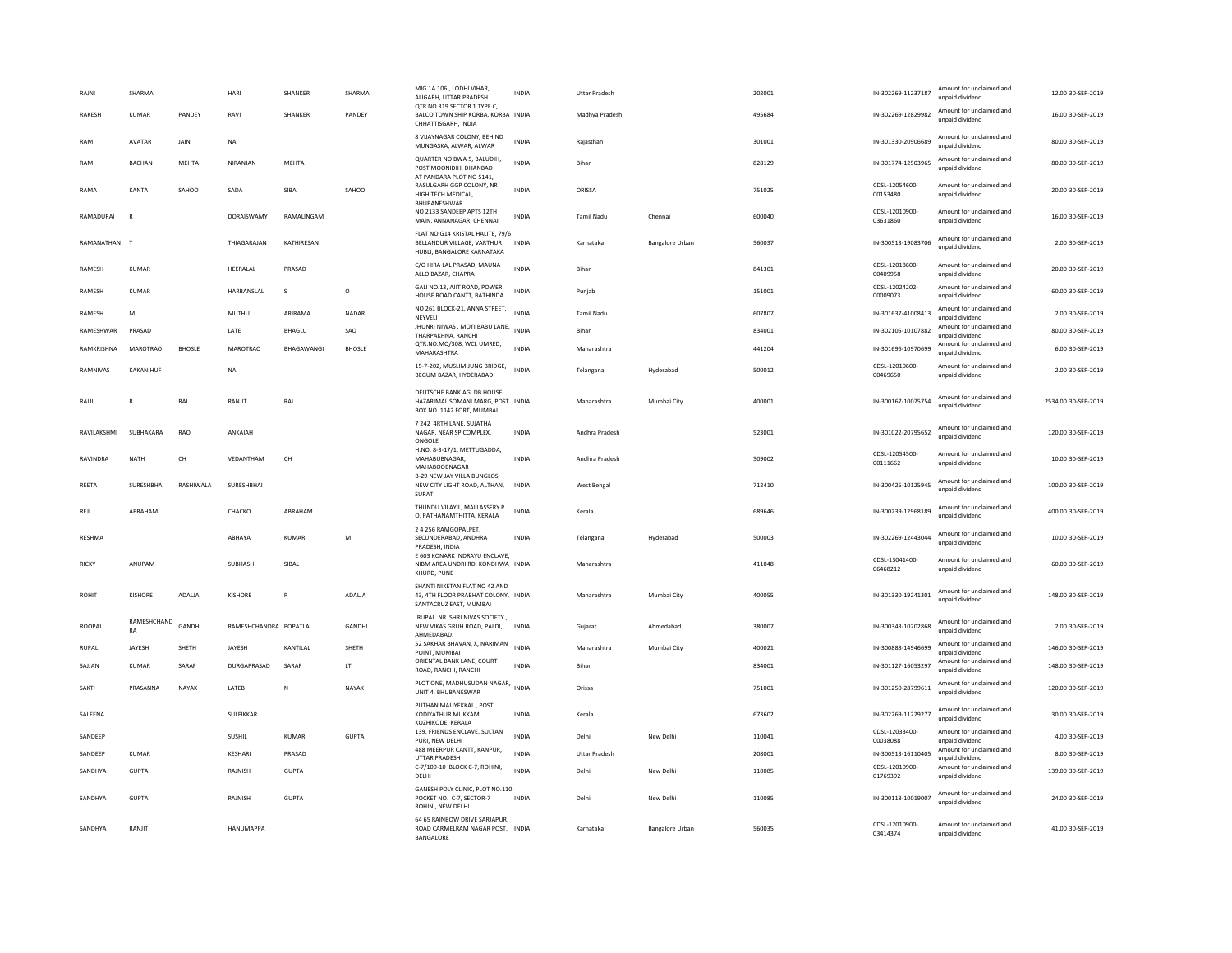| RAJNI         | SHARMA            |               | <b>HAR</b>             | SHANKER        | SHARMA        | MIG 1A 106, LODHI VIHAR,<br>ALIGARH, UTTAR PRADESH                                                | <b>INDIA</b> | <b>Uttar Pradesh</b> |                        | 202001 | IN-302269-11237187         | Amount for unclaimed and<br>unpaid dividend | 12.00 30-SEP-2019   |
|---------------|-------------------|---------------|------------------------|----------------|---------------|---------------------------------------------------------------------------------------------------|--------------|----------------------|------------------------|--------|----------------------------|---------------------------------------------|---------------------|
| RAKESH        | KUMAR             | PANDEY        | RAVI                   | <b>SHANKER</b> | <b>PANDEY</b> | QTR NO 319 SECTOR 1 TYPE C,<br>BALCO TOWN SHIP KORBA, KORBA INDIA<br>CHHATTISGARH, INDIA          |              | Madhya Pradesh       |                        | 495684 | IN-302269-12829982         | Amount for unclaimed and<br>unpaid dividend | 16.00 30-SEP-2019   |
| RAM           | AVATAR            | JAIN          | $_{\sf NA}$            |                |               | 8 VIJAYNAGAR COLONY, BEHIND<br>MUNGASKA, ALWAR, ALWAR                                             | <b>INDIA</b> | Rajasthan            |                        | 301001 | IN-301330-20906689         | Amount for unclaimed and<br>unpaid dividend | 80.00 30-SEP-2019   |
| RAM           | <b>BACHAN</b>     | MEHTA         | NIRANJAN               | MEHTA          |               | QUARTER NO BWA 5, BALUDIH,<br>POST MOONIDIH, DHANBAD                                              | <b>INDIA</b> | Bihar                |                        | 828129 | IN-301774-12503965         | Amount for unclaimed and<br>unpaid dividend | 80.00 30-SEP-2019   |
| RAMA          | KANTA             | SAHOO         | SADA                   | SIBA           | SAHOO         | AT PANDARA PLOT NO 5141,<br>RASULGARH GGP COLONY, NR<br>HIGH TECH MEDICAL.<br><b>BHURANESHWAR</b> | <b>INDIA</b> | ORISSA               |                        | 751025 | CDSL-12054600-<br>00153480 | Amount for unclaimed and<br>unpaid dividend | 20.00 30-SEP-2019   |
| RAMADURAI     | R                 |               | DORAISWAMY             | RAMALINGAM     |               | NO 2133 SANDEEP APTS 12TH<br>MAIN, ANNANAGAR, CHENNAI                                             | <b>INDIA</b> | <b>Tamil Nadu</b>    | Chennai                | 600040 | CDSL-12010900-<br>03631860 | Amount for unclaimed and<br>unpaid dividend | 16.00 30-SEP-2019   |
| RAMANATHAN    |                   |               | THIAGARAJAN            | KATHIRESAN     |               | FLAT NO G14 KRISTAL HALITE, 79/6<br>BELLANDUR VILLAGE, VARTHUR<br>HUBLI, BANGALORE KARNATAKA      | <b>INDIA</b> | Karnataka            | Bangalore Urban        | 560037 | IN-300513-19083706         | Amount for unclaimed and<br>unpaid dividend | 2.00 30-SEP-2019    |
| RAMESH        | <b>KUMAR</b>      |               | HEERALAL               | PRASAD         |               | C/O HIRA LAL PRASAD, MAUNA<br>ALLO BAZAR, CHAPRA                                                  | <b>INDIA</b> | Bihar                |                        | 841301 | CDSL-12018600-<br>00409958 | Amount for unclaimed and<br>unpaid dividend | 20.00 30-SEP-2019   |
| RAMESH        | <b>KUMAR</b>      |               | HARBANSLAL             | s.             | $\circ$       | GALI NO.13, AJIT ROAD, POWER<br>HOUSE ROAD CANTT, BATHINDA                                        | <b>INDIA</b> | Puniab               |                        | 151001 | CDSL-12024202-<br>00009073 | Amount for unclaimed and<br>unpaid dividend | 60.00 30-SEP-2019   |
| RAMESH        | M                 |               | MUTHU                  | ARIRAMA        | NADAR         | NO 261 BLOCK-21, ANNA STREET, INDIA<br>NEYVELI                                                    |              | <b>Tamil Nadu</b>    |                        | 607807 | IN-301637-41008413         | Amount for unclaimed and<br>unpaid dividend | 2.00 30-SEP-2019    |
| RAMESHWAR     | PRASAD            |               | LATE                   | <b>BHAGLU</b>  | SAO           | JHUNRI NIWAS, MOTI BABU LANE, INDIA<br>THARPAKHNA, RANCH                                          |              | Bihar                |                        | 834001 | IN-302105-10107882         | Amount for unclaimed and<br>unpaid dividend | 80.00 30-SEP-2019   |
| RAMKRISHNA    | <b>MAROTRAO</b>   | <b>BHOSLE</b> | <b>MAROTRAO</b>        | BHAGAWANGI     | <b>BHOSLE</b> | QTR.NO.MQ/308, WCL UMRED,<br>MAHARASHTRA                                                          | <b>INDIA</b> | Maharashtra          |                        | 441204 | IN-301696-10970699         | Amount for unclaimed and<br>unpaid dividend | 6.00 30-SEP-2019    |
| RAMNIVAS      | KAKANIHUF         |               | <b>NA</b>              |                |               | 15-7-202, MUSLIM JUNG BRIDGE,<br>BEGUM BAZAR, HYDERABAD                                           | <b>INDIA</b> | Telangana            | Hyderabad              | 500012 | CDSL-12010600-<br>00469650 | Amount for unclaimed and<br>unpaid dividend | 2.00 30-SEP-2019    |
| RAUL          | R                 | RAI           | RANJIT                 | RAI            |               | DEUTSCHE BANK AG. DB HOUSE<br>HAZARIMAL SOMANI MARG, POST INDIA<br>BOX NO. 1142 FORT, MUMBAI      |              | Maharashtra          | Mumbai City            | 400001 | IN-300167-10075754         | Amount for unclaimed and<br>unpaid dividend | 2534.00 30-SEP-2019 |
| RAVILAKSHMI   | SUBHAKARA         | RAO           | ANKAIAH                |                |               | 7 242 4RTH LANE, SUJATHA<br>NAGAR, NEAR SP COMPLEX.<br>ONGOLE                                     | INDIA        | Andhra Pradesh       |                        | 523001 | IN-301022-20795652         | Amount for unclaimed and<br>unpaid dividend | 120.00 30-SEP-2019  |
| RAVINDRA      | <b>NATH</b>       | CH            | VEDANTHAM              | CH             |               | H.NO. 8-3-17/1, METTUGADDA,<br>MAHABUBNAGAR,<br>MAHABOOBNAGAR                                     | <b>INDIA</b> | Andhra Pradesh       |                        | 509002 | CDSL-12054500-<br>00111662 | Amount for unclaimed and<br>unpaid dividend | 10.00 30-SEP-2019   |
| REETA         | SURESHBHAI        | RASHIWALA     | SURESHBHAI             |                |               | B-29 NEW JAY VILLA BUNGLOS,<br>NEW CITY LIGHT ROAD, ALTHAN,<br>SURAT                              | INDIA        | <b>West Bengal</b>   |                        | 712410 | IN-300425-10125945         | Amount for unclaimed and<br>unpaid dividend | 100.00 30-SEP-2019  |
| REJI          | ABRAHAM           |               | CHACKO                 | ABRAHAM        |               | THUNDU VILAYIL, MALLASSERY P<br>O, PATHANAMTHITTA, KERALA                                         | <b>INDIA</b> | Kerala               |                        | 689646 | IN-300239-12968189         | Amount for unclaimed and<br>unpaid dividend | 400.00 30-SEP-2019  |
| <b>RESHMA</b> |                   |               | ABHAYA                 | KUMAR          | M             | 2 4 256 RAMGOPALPET,<br>SECUNDERABAD, ANDHRA<br>PRADESH, INDIA                                    | <b>INDIA</b> | Telangana            | Hyderabad              | 500003 | IN-302269-12443044         | Amount for unclaimed and<br>unpaid dividend | 10.00 30-SEP-2019   |
| RICKY         | ANUPAM            |               | SUBHASH                | SIBAL          |               | E 603 KONARK INDRAYU ENCLAVE,<br>NIBM AREA UNDRI RD, KONDHWA INDIA<br>KHURD, PUNE                 |              | Maharashtra          |                        | 411048 | CDSL-13041400-<br>06468212 | Amount for unclaimed and<br>unpaid dividend | 60.00 30-SEP-2019   |
| <b>ROHIT</b>  | KISHORE           | ADALIA        | KISHORE                |                | ADALIA        | SHANTI NIKETAN FLAT NO 42 AND<br>43, 4TH FLOOR PRABHAT COLONY, INDIA<br>SANTACRUZ EAST, MUMBAI    |              | Maharashtra          | Mumbai City            | 400055 | IN-301330-19241301         | Amount for unclaimed and<br>unpaid dividend | 148.00 30-SEP-2019  |
| <b>ROOPAL</b> | RAMESHCHAND<br>RA | GANDHI        | RAMESHCHANDRA POPATLAL |                | GANDHI        | `RUPAL NR. SHRI NIVAS SOCIETY,<br>NEW VIKAS GRUH ROAD, PALDI,<br>AHMEDABAD                        | INDIA        | Gujarat              | Ahmedabad              | 380007 | IN-300343-10202868         | Amount for unclaimed and<br>unpaid dividend | 2.00 30-SEP-2019    |
| <b>RUPAL</b>  | <b>JAYESH</b>     | SHETH         | JAYESH                 | KANTILAL       | SHETH         | 52 SAKHAR BHAVAN, X, NARIMAN<br>POINT, MUMBAI                                                     | <b>INDIA</b> | Maharashtra          | Mumbai City            | 400021 | IN-300888-14946699         | Amount for unclaimed and<br>unpaid dividend | 146.00 30-SEP-2019  |
| SAJJAN        | <b>KUMAR</b>      | SARAF         | DURGAPRASAD            | SARAF          | LT.           | ORIENTAL BANK LANE, COURT<br>ROAD, RANCHI, RANCHI                                                 | <b>INDIA</b> | <b>Bihar</b>         |                        | 834001 | IN-301127-16053297         | Amount for unclaimed and<br>unnaid dividend | 148.00 30-SEP-2019  |
| <b>SAKTI</b>  | PRASANNA          | NAYAK         | LATEB                  | N              | NAYAK         | PLOT ONE, MADHUSUDAN NAGAR,<br>UNIT 4, BHUBANESWAR                                                | <b>INDIA</b> | Orissa               |                        | 751001 | IN-301250-28799611         | Amount for unclaimed and<br>unpaid dividend | 120.00 30-SEP-2019  |
| SALEENA       |                   |               | SULFIKKAR              |                |               | PUTHAN MALIYEKKAL . POST<br>KODIYATHUR MUKKAM.<br>KOZHIKODE, KERALA                               | <b>INDIA</b> | Kerala               |                        | 673602 | IN-302269-11229277         | Amount for unclaimed and<br>unpaid dividend | 30.00 30-SEP-2019   |
| SANDEEP       |                   |               | SUSHIL                 | KUMAR          | <b>GUPTA</b>  | 139, FRIENDS ENCLAVE, SULTAN<br>PURI, NEW DELHI                                                   | <b>INDIA</b> | Delhi                | New Delhi              | 110041 | CDSL-12033400-<br>00038088 | Amount for unclaimed and<br>unpaid dividend | 4.00 30-SEP-2019    |
| SANDEEP       | KUMAR             |               | KFSHARI                | PRASAD         |               | 488 MEERPUR CANTT, KANPUR,<br><b>UTTAR PRADESH</b>                                                | <b>INDIA</b> | <b>Uttar Pradesh</b> |                        | 208001 | IN-300513-16110405         | Amount for unclaimed and<br>unpaid dividend | 8.00 30-SEP-2019    |
| SANDHYA       | <b>GUPTA</b>      |               | RAJNISH                | <b>GUPTA</b>   |               | C-7/109-10 BLOCK C-7, ROHINI,<br>DELHI                                                            | <b>INDIA</b> | Delhi                | New Delhi              | 110085 | CDSL-12010900-<br>01769392 | Amount for unclaimed and<br>unpaid dividend | 139.00 30-SEP-2019  |
| SANDHYA       | <b>GUPTA</b>      |               | RAJNISH                | <b>GUPTA</b>   |               | GANESH POLY CLINIC, PLOT NO.110<br>POCKET NO. C-7, SECTOR-7<br>ROHINI, NEW DELHI                  | <b>INDIA</b> | Delhi                | New Delhi              | 110085 | IN-300118-10019007         | Amount for unclaimed and<br>unpaid dividend | 24.00 30-SEP-2019   |
| SANDHYA       | RANJIT            |               | HANUMAPPA              |                |               | 64 65 RAINBOW DRIVE SARJAPUR,<br>ROAD CARMELRAM NAGAR POST, INDIA<br>BANGALORE                    |              | Karnataka            | <b>Bangalore Urban</b> | 560035 | CDSL-12010900-<br>03414374 | Amount for unclaimed and<br>unpaid dividend | 41.00 30-SEP-2019   |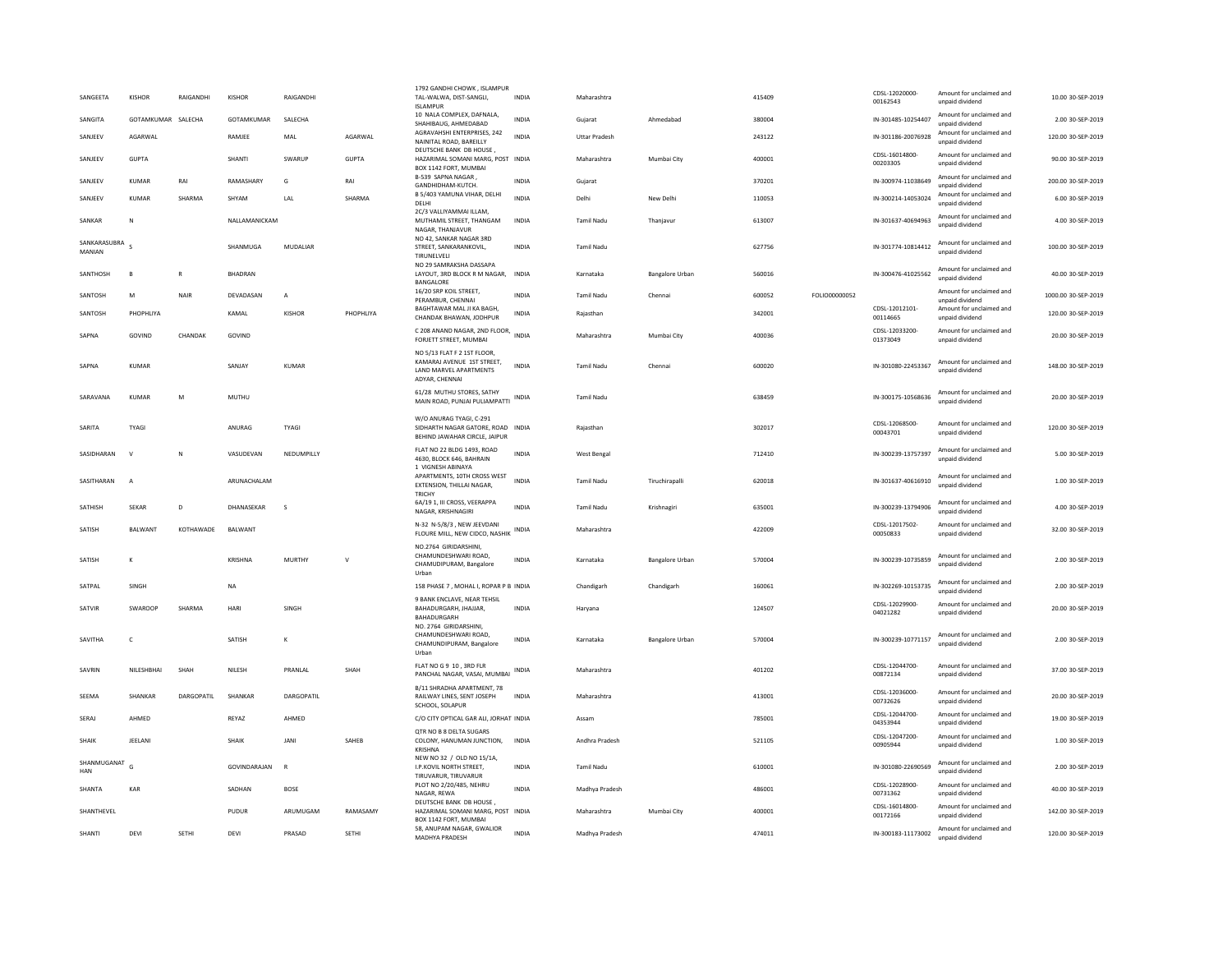| SANGEETA               | KISHOR             | RAIGANDHI    | KISHOR         | RAIGANDHI      |              | 1792 GANDHI CHOWK, ISLAMPUR<br>TAL-WALWA, DIST-SANGLI.<br><b>ISLAMPUR</b>                            | <b>INDIA</b> | Maharashtra          |                        | 415409 |                      | CDSL-12020000-<br>00162543 | Amount for unclaimed and<br>unpaid dividend | 10.00 30-SEP-2019   |
|------------------------|--------------------|--------------|----------------|----------------|--------------|------------------------------------------------------------------------------------------------------|--------------|----------------------|------------------------|--------|----------------------|----------------------------|---------------------------------------------|---------------------|
| SANGITA                | GOTAMKUMAR SALECHA |              | GOTAMKUMAR     | SALECHA        |              | 10 NALA COMPLEX, DAFNALA,<br>SHAHIBAUG, AHMEDABAD                                                    | <b>INDIA</b> | Gujarat              | Ahmedabad              | 380004 |                      | IN-301485-10254407         | Amount for unclaimed and<br>unpaid dividend | 2.00 30-SEP-2019    |
| SANJEEV                | AGARWAL            |              | RAMJEE         | MAL            | AGARWAI      | AGRAVAHSHI ENTERPRISES, 242<br>NAINITAL ROAD, BAREILLY                                               | <b>INDIA</b> | <b>Uttar Pradesh</b> |                        | 243122 |                      | IN-301186-20076928         | Amount for unclaimed and<br>unnaid dividend | 120.00 30-SEP-2019  |
| SANIFFV                | GUPTA              |              | SHANTI         | SWARLIP        | GUPTA        | DEUTSCHE BANK DB HOUSE<br>HAZARIMAL SOMANI MARG, POST INDIA<br>BOX 1142 FORT, MUMBAI                 |              | Maharashtra          | Mumbai City            | 400001 |                      | CDSL-16014800-<br>00203305 | Amount for unclaimed and<br>unpaid dividend | 90.00 30-SEP-2019   |
| SANJEEV                | KUMAR              | RAI          | RAMASHARY      | G              | RAI          | B-539 SAPNA NAGAR<br>GANDHIDHAM-KUTCH.                                                               | <b>INDIA</b> | Gujarat              |                        | 370201 |                      | IN-300974-11038649         | Amount for unclaimed and<br>unpaid dividend | 200.00 30-SEP-2019  |
| SANJEEV                | <b>KUMAR</b>       | SHARMA       | SHYAM          | LAL            | SHARMA       | B 5/403 YAMUNA VIHAR, DELHI<br>DELHI                                                                 | <b>INDIA</b> | Delhi                | New Delhi              | 110053 |                      | IN-300214-14053024         | Amount for unclaimed and<br>unpaid dividend | 6.00 30-SEP-2019    |
| SANKAR                 | N                  |              | NALLAMANICKAM  |                |              | 2C/3 VALLIYAMMAI ILLAM,<br>MUTHAMIL STREET, THANGAM<br>NAGAR, THANJAVUR                              | INDIA        | Tamil Nadu           | Thanjavur              | 613007 |                      | IN-301637-40694963         | Amount for unclaimed and<br>unnaid dividend | 4.00 30-SEP-2019    |
| SANKARASURRA<br>MANIAN |                    |              | SHANMUGA       | MUDALIAR       |              | NO 42, SANKAR NAGAR 3RD<br>STREET, SANKARANKOVIL.<br>TIRUNELVELI                                     | <b>INDIA</b> | <b>Tamil Nadu</b>    |                        | 627756 |                      | IN-301774-10814412         | Amount for unclaimed and<br>unpaid dividend | 100.00 30-SEP-2019  |
| SANTHOSH               | <b>R</b>           | $\mathbf R$  | <b>BHADRAN</b> |                |              | NO 29 SAMRAKSHA DASSAPA<br>LAYOUT, 3RD BLOCK R M NAGAR,<br>BANGALORE                                 | <b>INDIA</b> | Karnataka            | Bangalore Urban        | 560016 |                      | IN-300476-41025562         | Amount for unclaimed and<br>unnaid dividend | 40.00 30-SEP-2019   |
| SANTOSH                | M                  | <b>NAIR</b>  | DEVADASAN      | $\overline{A}$ |              | 16/20 SRP KOIL STREET,<br>PERAMBUR, CHENNAI                                                          | <b>INDIA</b> | <b>Tamil Nadu</b>    | Chennai                | 600052 | <b>EQLIO00000052</b> |                            | Amount for unclaimed and<br>unpaid dividend | 1000.00 30-SEP-2019 |
| SANTOSH                | PHOPHLIYA          |              | KAMAL          | <b>KISHOR</b>  | PHOPHLIYA    | BAGHTAWAR MAL JI KA BAGH,<br>CHANDAK BHAWAN, JODHPUR                                                 | <b>INDIA</b> | Raiasthan            |                        | 342001 |                      | CDSL-12012101-<br>00114665 | Amount for unclaimed and<br>unpaid dividend | 120.00 30-SEP-2019  |
| SAPNA                  | GOVIND             | CHANDAK      | GOVIND         |                |              | C 208 ANAND NAGAR, 2ND FLOOR,<br>FORJETT STREET, MUMBAI                                              | <b>INDIA</b> | Maharashtra          | Mumbai City            | 400036 |                      | CDSL-12033200-<br>01373049 | Amount for unclaimed and<br>unpaid dividend | 20.00 30-SEP-2019   |
| SAPNA                  | <b>KUMAR</b>       |              | SANJAY         | <b>KUMAR</b>   |              | NO 5/13 FLAT F 2 1ST FLOOR<br>KAMARAJ AVENUE 1ST STREET,<br>LAND MARVEL APARTMENTS<br>ADYAR, CHENNAI | <b>INDIA</b> | <b>Tamil Nadu</b>    | Chennai                | 600020 |                      | IN-301080-22453367         | Amount for unclaimed and<br>unpaid dividend | 148.00 30-SEP-2019  |
| SARAVANA               | <b>KUMAR</b>       | M            | MUTHU          |                |              | 61/28 MUTHU STORES, SATHY<br>MAIN ROAD, PUNJAI PULIAMPATTI INDIA                                     |              | <b>Tamil Nadu</b>    |                        | 638459 |                      | IN-300175-10568636         | Amount for unclaimed and<br>unpaid dividend | 20.00 30-SEP-2019   |
| SARITA                 | TYAGI              |              | ANURAG         | <b>TYAGI</b>   |              | W/O ANURAG TYAGI, C-291<br>SIDHARTH NAGAR GATORE, ROAD INDIA<br>BEHIND JAWAHAR CIRCLE, JAIPUR        |              | Rajasthan            |                        | 302017 |                      | CDSL-12068500-<br>00043701 | Amount for unclaimed and<br>unnaid dividend | 120.00 30-SEP-2019  |
| SASIDHARAN             | $\mathbf{v}$       | N            | VASUDEVAN      | NEDUMPILLY     |              | FLAT NO 22 BLDG 1493, ROAD<br>4630, BLOCK 646, BAHRAIN<br>1 VIGNESH ABINAYA                          | <b>INDIA</b> | West Bengal          |                        | 712410 |                      | IN-300239-13757397         | Amount for unclaimed and<br>unpaid dividend | 5.00 30-SEP-2019    |
| SASITHARAN             | $\overline{A}$     |              | ARUNACHALAM    |                |              | APARTMENTS, 10TH CROSS WEST<br>EXTENSION. THILLAI NAGAR<br><b>TRICHY</b>                             | <b>INDIA</b> | Tamil Nadu           | Tiruchirapalli         | 620018 |                      | IN-301637-40616910         | Amount for unclaimed and<br>unpaid dividend | 1.00 30-SEP-2019    |
| SATHISH                | <b>SEKAR</b>       | D            | DHANASEKAR     | s              |              | 6A/19 1. III CROSS, VEERAPPA<br>NAGAR, KRISHNAGIR                                                    | INDIA        | <b>Tamil Nadu</b>    | Krishnagiri            | 635001 |                      | IN-300239-13794906         | Amount for unclaimed and<br>unpaid dividend | 4.00 30-SEP-2019    |
| SATISH                 | BALWANT            | KOTHAWADE    | BALWANT        |                |              | N-32 N-5/8/3, NEW JEEVDANI<br>FLOURE MILL, NEW CIDCO, NASHIK                                         | INDIA        | Maharashtra          |                        | 422009 |                      | CDSL-12017502-<br>00050833 | Amount for unclaimed and<br>unpaid dividend | 32.00 30-SEP-2019   |
| SATISH                 | к                  |              | KRISHNA        | <b>MURTHY</b>  | $\vee$       | NO.2764 GIRIDARSHINI,<br>CHAMUNDESHWARI ROAD.<br>CHAMUDIPURAM, Bangalore<br>Urban                    | INDIA        | Karnataka            | <b>Bangalore Urban</b> | 570004 |                      | IN-300239-10735859         | Amount for unclaimed and<br>unpaid dividend | 2.00 30-SEP-2019    |
| SATPAI                 | SINGH              |              | <b>NA</b>      |                |              | 158 PHASE 7 . MOHAL I. ROPAR P B INDIA                                                               |              | Chandigarh           | Chandigarh             | 160061 |                      | IN-302269-10153735         | Amount for unclaimed and<br>unpaid dividend | 2.00.30-SEP-2019    |
| SATVIR                 | SWAROOP            | SHARMA       | HARI           | SINGH          |              | 9 BANK ENCLAVE, NEAR TEHSIL<br>BAHADURGARH, JHAJJAR,<br>BAHADURGARH                                  | <b>INDIA</b> | Harvana              |                        | 124507 |                      | CDSL-12029900-<br>04021282 | Amount for unclaimed and<br>unpaid dividend | 20.00 30-SEP-2019   |
| SAVITHA                | $\epsilon$         |              | SATISH         | к              |              | NO. 2764 GIRIDARSHINI,<br>CHAMUNDESHWARI ROAD.<br>CHAMUNDIPURAM, Bangalore<br>Urban                  | <b>INDIA</b> | Karnataka            | <b>Bangalore Urban</b> | 570004 |                      | IN-300239-10771157         | Amount for unclaimed and<br>unpaid dividend | 2.00 30-SEP-2019    |
| SAVRIN                 | <b>NILESHBHAL</b>  | SHAH         | NILESH         | PRANLAL        | SHAH         | FLAT NO G 9 10, 3RD FLR<br>PANCHAL NAGAR, VASAI, MUMBAI INDIA                                        |              | Maharashtra          |                        | 401202 |                      | CDSL-12044700-<br>00872134 | Amount for unclaimed and<br>unpaid dividend | 37.00 30-SEP-2019   |
| SEEMA                  | SHANKAR            | DARGOPATIL   | SHANKAR        | DARGOPATIL     |              | B/11 SHRADHA APARTMENT, 78<br>RAILWAY LINES, SENT JOSEPH<br>SCHOOL, SOLAPUR                          | INDIA        | Maharashtra          |                        | 413001 |                      | CDSL-12036000-<br>00732626 | Amount for unclaimed and<br>unpaid dividend | 20.00 30-SEP-2019   |
| SERAJ                  | AHMED              |              | REYAZ          | AHMED          |              | C/O CITY OPTICAL GAR ALI, JORHAT INDIA                                                               |              | Assam                |                        | 785001 |                      | CDSL-12044700-<br>04353944 | Amount for unclaimed and<br>unpaid dividend | 19.00 30-SEP-2019   |
| <b>SHAIK</b>           | <b>IFFLANI</b>     |              | <b>SHAIK</b>   | <b>JANI</b>    | SAHFR        | OTR NO B 8 DELTA SUGARS<br>COLONY, HANUMAN JUNCTION.<br>KRISHNA                                      | <b>INDIA</b> | Andhra Pradesh       |                        | 521105 |                      | CDSL-12047200-<br>00905944 | Amount for unclaimed and<br>unpaid dividend | 1.00 30-SEP-2019    |
| SHANMUGANAT<br>HAN     | G                  |              | GOVINDARAJAN   | $\overline{R}$ |              | NEW NO 32 / OLD NO 15/1A,<br>I.P.KOVIL NORTH STREET,<br>TIRUVARUR, TIRUVARUR                         | <b>INDIA</b> | <b>Tamil Nadu</b>    |                        | 610001 |                      | IN-301080-22690569         | Amount for unclaimed and<br>unpaid dividend | 2.00 30-SEP-2019    |
| <b>SHANTA</b>          | KAR                |              | SADHAN         | <b>BOSE</b>    |              | PLOT NO 2/20/485, NEHRU<br>NAGAR REWA                                                                | <b>INDIA</b> | Madhya Pradesh       |                        | 486001 |                      | CDSL-12028900-<br>00731362 | Amount for unclaimed and<br>unpaid dividend | 40.00 30-SEP-2019   |
| SHANTHEVEL             |                    |              | PUDUR          | ARUMUGAM       | RAMASAMY     | DEUTSCHE BANK DB HOUSE,<br>HAZARIMAL SOMANI MARG, POST INDIA<br>BOX 1142 FORT, MUMBAI                |              | Maharashtra          | Mumbai City            | 400001 |                      | CDSL-16014800-<br>00172166 | Amount for unclaimed and<br>unpaid dividend | 142.00 30-SEP-2019  |
| SHANTI                 | DEVI               | <b>SETHI</b> | DEVI           | PRASAD         | <b>SETHI</b> | 58. ANUPAM NAGAR, GWALIOR<br>MADHYA PRADESH                                                          | <b>INDIA</b> | Madhya Pradesh       |                        | 474011 |                      | IN-300183-11173002         | Amount for unclaimed and<br>unpaid dividend | 120.00 30-SEP-2019  |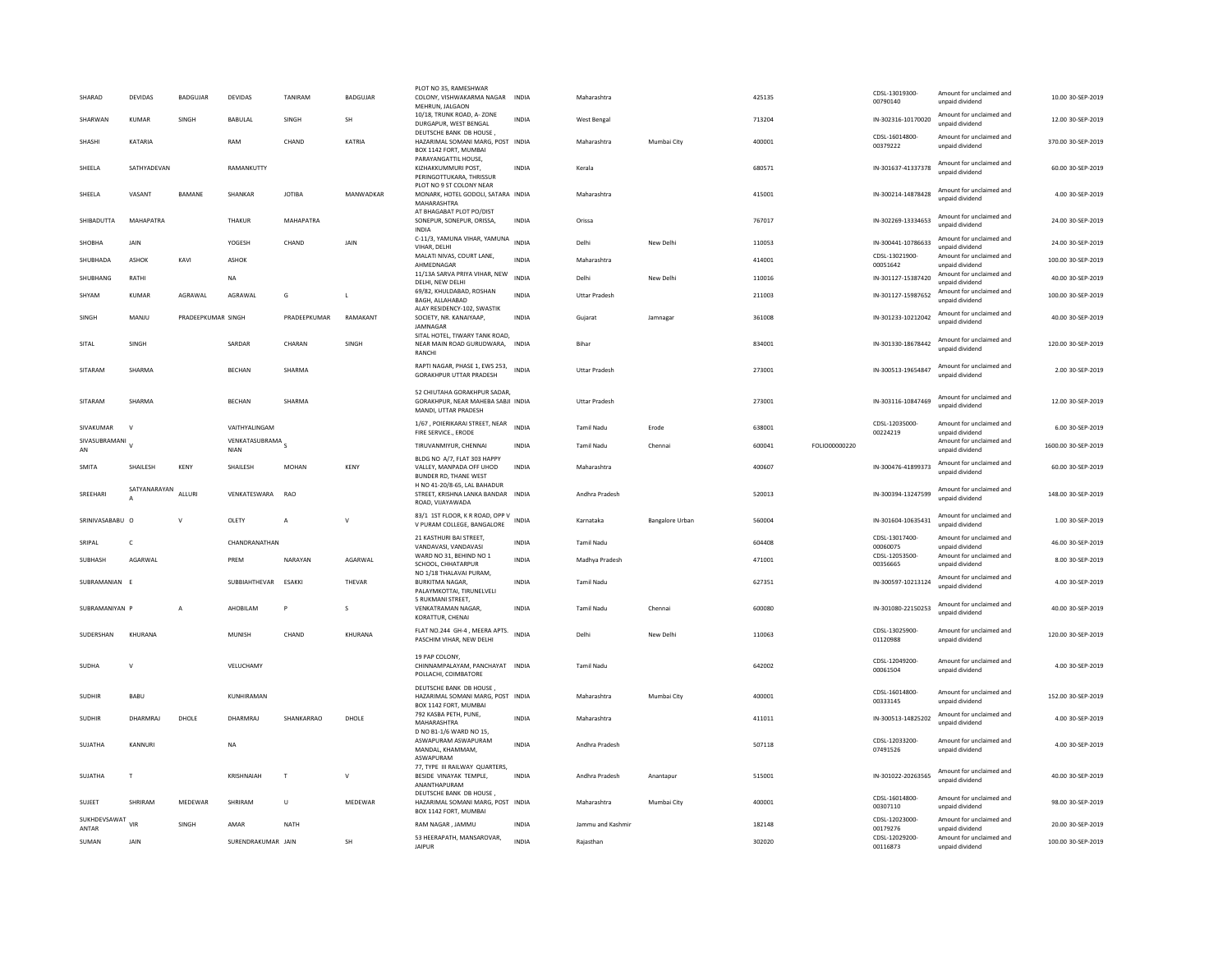| SHARAD                | DEVIDAS                        | <b>BADGUJAR</b>    | DEVIDAS                  | TANIRAM        | BADGUJAR     | PLOT NO 35, RAMESHWAR<br>COLONY, VISHWAKARMA NAGAR INDIA<br>MEHRUN, JALGAON                |              | Maharashtra          |                        | 425135 |               | CDSL-13019300-<br>00790140 | Amount for unclaimed and<br>unpaid dividend | 10.00 30-SEP-2019   |
|-----------------------|--------------------------------|--------------------|--------------------------|----------------|--------------|--------------------------------------------------------------------------------------------|--------------|----------------------|------------------------|--------|---------------|----------------------------|---------------------------------------------|---------------------|
| SHARWAN               | <b>KUMAR</b>                   | SINGH              | BABULAL                  | SINGH          | <b>SH</b>    | 10/18, TRUNK ROAD, A-ZONE<br>DURGAPUR, WEST BENGAL                                         | <b>INDIA</b> | West Bengal          |                        | 713204 |               | IN-302316-10170020         | Amount for unclaimed and<br>unpaid dividend | 12.00 30-SEP-2019   |
| <b>SHASHI</b>         | KATARIA                        |                    | RAM                      | CHAND          | KATRIA       | DEUTSCHE BANK DB HOUSE,<br>HAZARIMAL SOMANI MARG, POST INDIA<br>BOX 1142 FORT, MUMBAI      |              | Maharashtra          | Mumhai City            | 400001 |               | CDSL-16014800-<br>00379222 | Amount for unclaimed and<br>unpaid dividend | 370.00 30-SEP-2019  |
| SHEELA                | SATHYADEVAN                    |                    | RAMANKUTTY               |                |              | PARAYANGATTIL HOUSE.<br>KIZHAKKUMMURI POST,<br>PERINGOTTUKARA, THRISSUR                    | <b>INDIA</b> | Kerala               |                        | 680571 |               | IN-301637-41337378         | Amount for unclaimed and<br>unpaid dividend | 60.00 30-SEP-2019   |
| SHEELA                | VASANT                         | BAMANE             | SHANKAR                  | <b>JOTIBA</b>  | MANWADKAR    | PLOT NO 9 ST COLONY NEAR<br>MONARK, HOTEL GODOLI, SATARA INDIA<br>MAHARASHTRA              |              | Maharashtra          |                        | 415001 |               | IN-300214-14878428         | Amount for unclaimed and<br>unpaid dividend | 4.00 30-SEP-2019    |
| SHIBADUTTA            | MAHAPATRA                      |                    | THAKUR                   | MAHAPATRA      |              | AT BHAGABAT PLOT PO/DIST<br>SONEPUR, SONEPUR, ORISSA,<br><b>INDIA</b>                      | <b>INDIA</b> | Orissa               |                        | 767017 |               | IN-302269-13334653         | Amount for unclaimed and<br>unpaid dividend | 24.00 30-SEP-2019   |
| SHOBHA                | JAIN                           |                    | YOGESH                   | CHAND          | JAIN         | C-11/3, YAMUNA VIHAR, YAMUNA<br>VIHAR, DELHI                                               | <b>INDIA</b> | Delhi                | New Delhi              | 110053 |               | IN-300441-10786633         | Amount for unclaimed and<br>unpaid dividend | 24.00 30-SEP-2019   |
| SHUBHADA              | <b>ASHOK</b>                   | KAVI               | ASHOK                    |                |              | MALATI NIVAS, COURT LANE,<br>AHMEDNAGAR                                                    | INDIA        | Maharashtra          |                        | 414001 |               | CDSL-13021900-<br>00051642 | Amount for unclaimed and<br>unpaid dividend | 100.00 30-SEP-2019  |
| SHUBHANG              | RATHI                          |                    | <b>NA</b>                |                |              | 11/13A SARVA PRIYA VIHAR, NEW<br>DELHI, NEW DELHI                                          | INDIA        | Delhi                | New Delhi              | 110016 |               | IN-301127-15387420         | Amount for unclaimed and<br>unpaid dividend | 40.00 30-SEP-2019   |
| SHYAM                 | <b>KUMAR</b>                   | AGRAWAL            | AGRAWAL                  | G              | L            | 69/82, KHULDABAD, ROSHAN<br>BAGH, ALLAHABAD                                                | <b>INDIA</b> | <b>Uttar Pradesh</b> |                        | 211003 |               | IN-301127-15987652         | Amount for unclaimed and<br>unpaid dividend | 100.00 30-SEP-2019  |
| <b>SINGH</b>          | MANIU                          | PRADEFPKUMAR SINGH |                          | PRADFFPKUMAR   | RAMAKANT     | ALAY RESIDENCY-102, SWASTIK<br>SOCIETY, NR. KANAIYAAP.<br>JAMNAGAR                         | <b>INDIA</b> | Gujarat              | Jamnagar               | 361008 |               | IN-301233-10212042         | Amount for unclaimed and<br>unpaid dividend | 40.00 30-SEP-2019   |
| SITAL                 | SINGH                          |                    | SARDAR                   | CHARAN         | SINGH        | SITAL HOTEL. TIWARY TANK ROAD.<br>NEAR MAIN ROAD GURUDWARA, INDIA<br>RANCHI                |              | Bihar                |                        | 834001 |               | IN-301330-18678442         | Amount for unclaimed and<br>unpaid dividend | 120.00 30-SEP-2019  |
| SITARAM               | SHARMA                         |                    | <b>BECHAN</b>            | SHARMA         |              | RAPTI NAGAR, PHASE 1, EWS 253,<br><b>GORAKHPUR UTTAR PRADESH</b>                           | <b>INDIA</b> | <b>Uttar Pradesh</b> |                        | 273001 |               | IN-300513-19654847         | Amount for unclaimed and<br>unpaid dividend | 2.00 30-SEP-2019    |
| SITARAM               | SHARMA                         |                    | <b>BECHAN</b>            | SHARMA         |              | 52 CHIUTAHA GORAKHPUR SADAR,<br>GORAKHPUR, NEAR MAHEBA SABJI INDIA<br>MANDI, UTTAR PRADESH |              | <b>Uttar Pradesh</b> |                        | 273001 |               | IN-303116-10847469         | Amount for unclaimed and<br>unpaid dividend | 12.00 30-SEP-2019   |
| SIVAKUMAR             | $\mathbf{v}$                   |                    | VAITHYALINGAM            |                |              | 1/67, POIERIKARAI STREET, NEAR<br>FIRE SERVICE., ERODE                                     | <b>INDIA</b> | Tamil Nadu           | Erode                  | 638001 |               | CDSL-12035000-<br>00224219 | Amount for unclaimed and<br>unpaid dividend | 6.00 30-SEP-2019    |
| SIVASUBRAMANI<br>AN   |                                |                    | VENKATASUBRAMA S<br>NIAN |                |              | TIRUVANMIYUR, CHENNAI                                                                      | <b>INDIA</b> | <b>Tamil Nadu</b>    | Chennai                | 600041 | FOLIO00000220 |                            | Amount for unclaimed and<br>unpaid dividend | 1600.00 30-SEP-2019 |
| SMITA                 | SHAILESH                       | KENY               | SHAILESH                 | MOHAN          | KENY         | BLDG NO A/7, FLAT 303 HAPPY<br>VALLEY, MANPADA OFF UHOD<br>BUNDER RD. THANE WEST           | <b>INDIA</b> | Maharashtra          |                        | 400607 |               | IN-300476-41899373         | Amount for unclaimed and<br>unpaid dividend | 60.00 30-SEP-2019   |
| SREEHARI              | SATYANARAYAN<br>$\overline{A}$ | ALLURI             | VENKATESWARA             | <b>RAO</b>     |              | H NO 41-20/8-65, LAL BAHADUR<br>STREET, KRISHNA LANKA BANDAR INDIA<br>ROAD, VIJAYAWADA     |              | Andhra Pradesh       |                        | 520013 |               | IN-300394-13247599         | Amount for unclaimed and<br>unpaid dividend | 148.00.30-SEP-2019  |
| SRINIVASABABU O       |                                | $\mathsf{v}$       | OLETY                    | $\overline{A}$ | $\mathsf{v}$ | 83/1 1ST FLOOR, K R ROAD, OPP V<br>V PURAM COLLEGE, BANGALORE                              | <b>INDIA</b> | Karnataka            | <b>Bangalore Urban</b> | 560004 |               | IN-301604-10635431         | Amount for unclaimed and<br>unpaid dividend | 1.00 30-SEP-2019    |
| SRIPAL                | $\epsilon$                     |                    | CHANDRANATHAN            |                |              | 21 KASTHURI BAI STREET,<br>VANDAVASI, VANDAVASI                                            | <b>INDIA</b> | Tamil Nadu           |                        | 604408 |               | CDSL-13017400-<br>00060075 | Amount for unclaimed and<br>unpaid dividend | 46.00 30-SEP-2019   |
| SUBHASH               | AGARWAL                        |                    | PREM                     | NARAYAN        | AGARWAL      | WARD NO 31, BEHIND NO 1<br>SCHOOL, CHHATARPUF                                              | <b>INDIA</b> | Madhya Pradesh       |                        | 471001 |               | CDSL-12053500-<br>00356665 | Amount for unclaimed and<br>unpaid dividend | 8.00 30-SEP-2019    |
| SUBRAMANIAN           |                                |                    | SUBBIAHTHEVAR ESAKKI     |                | THEVAR       | NO 1/18 THALAVAI PURAM<br><b>BURKITMA NAGAR,</b><br>PALAYMKOTTAI, TIRUNELVELI              | <b>INDIA</b> | <b>Tamil Nadu</b>    |                        | 627351 |               | IN-300597-10213124         | Amount for unclaimed and<br>unpaid dividend | 4.00 30-SEP-2019    |
| SUBRAMANIYAN P        |                                | $\overline{A}$     | AHOBILAM                 | P              | s            | 5 RUKMANI STREET,<br><b>VENKATRAMAN NAGAR.</b><br>KORATTUR, CHENAI                         | <b>INDIA</b> | <b>Tamil Nadu</b>    | Chennai                | 600080 |               | IN-301080-22150253         | Amount for unclaimed and<br>unpaid dividend | 40.00 30-SEP-2019   |
| <b>SUDERSHAN</b>      | KHURANA                        |                    | MUNISH                   | CHAND          | KHURANA      | FLAT NO.244 GH-4, MEERA APTS. INDIA<br>PASCHIM VIHAR, NEW DELHI                            |              | Delhi                | New Delhi              | 110063 |               | CDSL-13025900-<br>01120988 | Amount for unclaimed and<br>unpaid dividend | 120.00 30-SEP-2019  |
| SUDHA                 | $\mathbf{v}$                   |                    | VELUCHAMY                |                |              | 19 PAP COLONY.<br>CHINNAMPALAYAM, PANCHAYAT INDIA<br>POLLACHI, COIMBATORE                  |              | Tamil Nadu           |                        | 642002 |               | CDSL-12049200-<br>00061504 | Amount for unclaimed and<br>unnaid dividend | 4.00 30-SEP-2019    |
| <b>SUDHIR</b>         | <b>BABU</b>                    |                    | KUNHIRAMAN               |                |              | DEUTSCHE BANK DB HOUSE.<br>HAZARIMAL SOMANI MARG, POST INDIA<br>BOX 1142 FORT, MUMBAI      |              | Maharashtra          | Mumbai City            | 400001 |               | CDSL-16014800-<br>00333145 | Amount for unclaimed and<br>unpaid dividend | 152.00 30-SEP-2019  |
| <b>SUDHIR</b>         | DHARMRAI                       | DHOLE              | DHARMRAI                 | SHANKARRAO     | DHOLF        | 792 KASBA PETH, PUNE,<br>MAHARASHTRA<br>D NO B1-1/6 WARD NO 15.                            | <b>INDIA</b> | Maharashtra          |                        | 411011 |               | IN-300513-14825202         | Amount for unclaimed and<br>unpaid dividend | 4.00.30-SEP-2019    |
| SUJATHA               | KANNURI                        |                    | NA                       |                |              | ASWAPURAM ASWAPURAM<br>MANDAL, KHAMMAM.<br>ASWAPURAM                                       | <b>INDIA</b> | Andhra Pradesh       |                        | 507118 |               | CDSL-12033200-<br>07491526 | Amount for unclaimed and<br>unpaid dividend | 4.00 30-SEP-2019    |
| SUJATHA               | T.                             |                    | KRISHNAIAH               | $\mathbb T$    | $\vee$       | 77. TYPE III RAILWAY QUARTERS.<br>BESIDE VINAYAK TEMPLE,<br>ANANTHAPURAM                   | <b>INDIA</b> | Andhra Pradesh       | Anantapur              | 515001 |               | IN-301022-20263565         | Amount for unclaimed and<br>unnaid dividend | 40.00 30-SEP-2019   |
| SUJEET                | SHRIRAM                        | MEDEWAR            | SHRIRAM                  | $\cup$         | MEDEWAR      | DEUTSCHE BANK DB HOUSE,<br>HAZARIMAL SOMANI MARG, POST INDIA<br>BOX 1142 FORT, MUMBAI      |              | Maharashtra          | Mumbai City            | 400001 |               | CDSL-16014800-<br>00307110 | Amount for unclaimed and<br>unpaid dividend | 98.00 30-SEP-2019   |
| SUKHDEVSAWAT<br>ANTAR | VIR                            | SINGH              | AMAR                     | <b>NATH</b>    |              | RAM NAGAR, JAMMU                                                                           | INDIA        | Jammu and Kashmir    |                        | 182148 |               | CDSL-12023000<br>00179276  | Amount for unclaimed and<br>unpaid dividend | 20.00 30-SEP-2019   |
| SUMAN                 | JAIN                           |                    | SURENDRAKUMAR JAIN       |                | <b>SH</b>    | 53 HEERAPATH, MANSAROVAR,<br><b>IAIPUR</b>                                                 | <b>INDIA</b> | Rajasthan            |                        | 302020 |               | CDSL-12029200-<br>00116873 | Amount for unclaimed and<br>unnaid dividend | 100.00 30-SEP-2019  |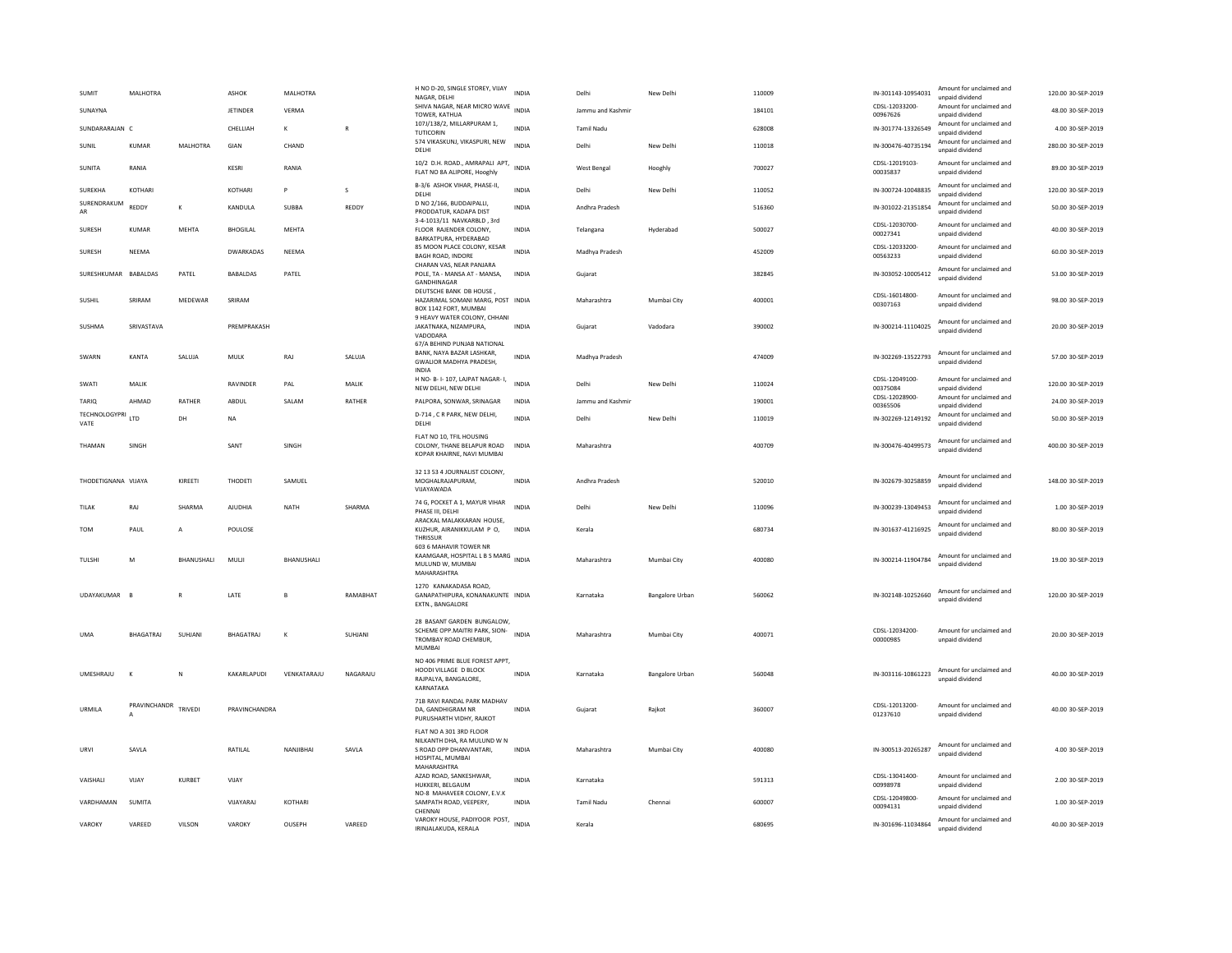| SUMIT                 | MALHOTRA                     |            | <b>ASHOK</b>     | MALHOTRA     |              | H NO D-20, SINGLE STOREY, VIJAY<br>NAGAR, DELHI                                                       | <b>INDIA</b> | Delhi             | New Delhi       | 110009 | IN-301143-10954031         | Amount for unclaimed and<br>unnaid dividend                    | 120.00 30-SEP-2019 |
|-----------------------|------------------------------|------------|------------------|--------------|--------------|-------------------------------------------------------------------------------------------------------|--------------|-------------------|-----------------|--------|----------------------------|----------------------------------------------------------------|--------------------|
| SUNAYNA               |                              |            | JETINDER         | VERMA        |              | SHIVA NAGAR, NEAR MICRO WAVE<br>TOWER, KATHUA                                                         | <b>INDIA</b> | Jammu and Kashmir |                 | 184101 | CDSL-12033200-<br>00967626 | Amount for unclaimed and<br>unnaid dividend                    | 48.00 30-SEP-2019  |
| SUNDARARAJAN C        |                              |            | CHELLIAH         | к            | $\mathbb{R}$ | 107J/138/2, MILLARPURAM 1,                                                                            | <b>INDIA</b> | Tamil Nadu        |                 | 628008 | IN-301774-13326549         | Amount for unclaimed and                                       | 4.00 30-SEP-2019   |
| SUNIL                 | KUMAR                        | MALHOTRA   | GIAN             | CHAND        |              | <b>TUTICORIN</b><br>574 VIKASKUNJ, VIKASPURI, NEW<br>DELHI                                            | <b>INDIA</b> | Delhi             | New Delhi       | 110018 | IN-300476-40735194         | unpaid dividend<br>Amount for unclaimed and<br>unpaid dividend | 280.00 30-SEP-2019 |
| <b>SUNITA</b>         | RANIA                        |            | KESRI            | RANIA        |              | 10/2 D.H. ROAD., AMRAPALI APT,<br>FLAT NO 8A ALIPORE, Hooghly                                         | <b>INDIA</b> | West Bengal       | Hooghly         | 700027 | CDSL-12019103-<br>00035837 | Amount for unclaimed and<br>unpaid dividend                    | 89.00 30-SEP-2019  |
| <b>SUREKHA</b>        | KOTHARI                      |            | <b>KOTHAR</b>    | <b>P</b>     | s            | B-3/6 ASHOK VIHAR, PHASE-II,<br>DELHI                                                                 | <b>INDIA</b> | Delhi             | New Delhi       | 110052 | IN-300724-10048835         | Amount for unclaimed and<br>unpaid dividend                    | 120.00 30-SEP-2019 |
| SURENDRAKUM<br>AR     | REDDY                        | К          | KANDULA          | SUBBA        | REDDY        | D NO 2/166, BUDDAIPALLI,<br>PRODDATUR, KADAPA DIST                                                    | <b>INDIA</b> | Andhra Pradesh    |                 | 516360 | IN-301022-21351854         | Amount for unclaimed and<br>unpaid dividend                    | 50.00 30-SEP-2019  |
| SURESH                | KUMAR                        | MEHTA      | <b>BHOGILAL</b>  | MEHTA        |              | 3-4-1013/11 NAVKARBLD, 3rd<br>FLOOR RAJENDER COLONY.<br>BARKATPURA, HYDERABAD                         | <b>INDIA</b> | Telangana         | Hyderabad       | 500027 | CDSL-12030700-<br>00027341 | Amount for unclaimed and<br>unpaid dividend                    | 40.00 30-SEP-2019  |
| SURESH                | NEEMA                        |            | <b>DWARKADAS</b> | NEEMA        |              | 85 MOON PLACE COLONY, KESAR<br>BAGH ROAD, INDORE<br>CHARAN VAS, NEAR PANJARA                          | <b>INDIA</b> | Madhya Pradesh    |                 | 452009 | CDSL-12033200-<br>00563233 | Amount for unclaimed and<br>unpaid dividend                    | 60.00 30-SEP-2019  |
| SURESHKUMAR           | <b>BABALDAS</b>              | PATEL      | <b>BABALDAS</b>  | PATEL        |              | POLE, TA - MANSA AT - MANSA,<br>GANDHINAGAR                                                           | <b>INDIA</b> | Gujarat           |                 | 382845 | IN-303052-10005412         | Amount for unclaimed and<br>unpaid dividend                    | 53.00 30-SEP-2019  |
| SUSHIL                | SRIRAM                       | MEDEWAR    | SRIRAM           |              |              | DEUTSCHE BANK DB HOUSE,<br>HAZARIMAL SOMANI MARG, POST INDIA<br>BOX 1142 FORT, MUMBAI                 |              | Maharashtra       | Mumbai City     | 400001 | CDSL-16014800-<br>00307163 | Amount for unclaimed and<br>unnaid dividend                    | 98.00 30-SEP-2019  |
| SUSHMA                | SRIVASTAVA                   |            | PREMPRAKASH      |              |              | 9 HEAVY WATER COLONY, CHHANI<br>JAKATNAKA, NIZAMPURA,<br>VADODARA                                     | <b>INDIA</b> | Gujarat           | Vadodara        | 390002 | IN-300214-11104025         | Amount for unclaimed and<br>unpaid dividend                    | 20.00 30-SEP-2019  |
| SWARN                 | KANTA                        | SALUJA     | MULK             | RAJ          | SALUJA       | 67/A BEHIND PUNJAB NATIONAL<br>BANK, NAYA BAZAR LASHKAR,<br><b>GWALIOR MADHYA PRADESH.</b>            | INDIA        | Madhya Pradesh    |                 | 474009 | IN-302269-13522793         | Amount for unclaimed and<br>unpaid dividend                    | 57.00 30-SEP-2019  |
| SWATI                 | MALIK                        |            | RAVINDER         | PAL          | MALIK        | INDIA<br>H NO- B- I- 107, LAJPAT NAGAR- I,<br>NEW DELHI, NEW DELHI                                    | <b>INDIA</b> | Delhi             | New Delhi       | 110024 | CDSI-12049100-<br>00375084 | Amount for unclaimed and<br>unpaid dividend                    | 120.00 30-SEP-2019 |
| TARIO                 | AHMAD                        | RATHER     | ABDUL            | SALAM        | RATHER       | PALPORA, SONWAR, SRINAGAR                                                                             | <b>INDIA</b> | Jammu and Kashmir |                 | 190001 | CDSL-12028900-<br>00365506 | Amount for unclaimed and<br>unpaid dividend                    | 24.00 30-SEP-2019  |
| TECHNOLOGYPRI<br>VATE | LTD                          | DH         | <b>NA</b>        |              |              | D-714, CR PARK, NEW DELHI,<br>DELHI                                                                   | INDIA        | Delhi             | New Delhi       | 110019 | IN-302269-12149192         | Amount for unclaimed and<br>unpaid dividend                    | 50.00 30-SEP-2019  |
| THAMAN                | SINGH                        |            | SANT             | SINGH        |              | FLAT NO 10. TFIL HOUSING<br>COLONY, THANE BELAPUR ROAD<br>KOPAR KHAIRNE, NAVI MUMBAI                  | <b>INDIA</b> | Maharashtra       |                 | 400709 | IN-300476-40499573         | Amount for unclaimed and<br>unpaid dividend                    | 400.00 30-SEP-2019 |
|                       |                              |            |                  |              |              |                                                                                                       |              |                   |                 |        |                            |                                                                |                    |
| THODETIGNANA VIJAYA   |                              | KIREETI    | THODETI          | SAMUEL       |              | 32 13 53 4 JOURNALIST COLONY,<br>MOGHALRAJAPURAM,<br>VIJAYAWADA                                       | <b>INDIA</b> | Andhra Pradesh    |                 | 520010 | IN-302679-30258859         | Amount for unclaimed and<br>unpaid dividend                    | 148.00 30-SEP-2019 |
| TILAK                 | RAJ                          | SHARMA     | <b>AJUDHIA</b>   | <b>NATH</b>  | SHARMA       | 74 G, POCKET A 1, MAYUR VIHAR<br>PHASE III, DELHI                                                     | <b>INDIA</b> | Delhi             | New Delhi       | 110096 | IN-300239-13049453         | Amount for unclaimed and<br>unnaid dividend                    | 1.00 30-SEP-2019   |
| <b>TOM</b>            | PAUL                         | A          | POULOSE          |              |              | ARACKAL MALAKKARAN HOUSE.<br>KUZHUR, AIRANIKKULAM P O,<br>THRISSUF                                    | INDIA        | Kerala            |                 | 680734 | IN-301637-41216925         | Amount for unclaimed and<br>unpaid dividend                    | 80.00 30-SEP-2019  |
| TULSHI                | M                            | BHANUSHALI | MULJI            | BHANUSHALI   |              | 603 6 MAHAVIR TOWER NR<br>KAAMGAAR, HOSPITAL L B S MARG INDIA<br>MULUND W, MUMBAI<br>MAHARASHTRA      |              | Maharashtra       | Mumbai City     | 400080 | IN-300214-11904784         | Amount for unclaimed and<br>unnaid dividend                    | 19.00 30-SEP-2019  |
| UDAYAKUMAR            |                              |            | LATE             |              | RAMABHAT     | 1270 KANAKADASA ROAD.<br>GANAPATHIPURA, KONANAKUNTE INDIA<br>EXTN., BANGALORE                         |              | Karnataka         | Bangalore Urban | 560062 | IN-302148-10252660         | Amount for unclaimed and<br>unpaid dividend                    | 120.00 30-SEP-2019 |
| <b>UMA</b>            | BHAGATRAJ                    | SUHJANI    | BHAGATRAJ        | $\mathsf{K}$ | SUHJANI      | 28 BASANT GARDEN BUNGALOW,<br>SCHEME OPP.MAITRI PARK, SION-<br>TROMBAY ROAD CHEMBUR<br>MUMBAI         | <b>INDIA</b> | Maharashtra       | Mumbai City     | 400071 | CDSL-12034200-<br>00000985 | Amount for unclaimed and<br>unpaid dividend                    | 20.00 30-SEP-2019  |
| UMESHRAJU             | $\mathbf{K}$                 | N          | KAKARLAPUDI      | VENKATARAJU  | NAGARAJU     | NO 406 PRIME BLUE FOREST APPT,<br>HOODI VILLAGE D BLOCK<br>RAJPALYA, BANGALORE.<br>KARNATAKA          | <b>INDIA</b> | Karnataka         | Bangalore Urban | 560048 | IN-303116-10861223         | Amount for unclaimed and<br>unpaid dividend                    | 40.00 30-SEP-2019  |
| URMILA                | PRAVINCHANDR<br>$\mathsf{A}$ | TRIVEDI    | PRAVINCHANDRA    |              |              | 71B RAVI RANDAL PARK MADHAV<br>DA, GANDHIGRAM NR<br>PURUSHARTH VIDHY, RAJKOT                          | <b>INDIA</b> | Gujarat           | Rajkot          | 360007 | CDSL-12013200-<br>01237610 | Amount for unclaimed and<br>unpaid dividend                    | 40.00 30-SEP-2019  |
| URVI                  | SAVLA                        |            | RATILAL          | NANJIBHAI    | SAVLA        | FLAT NO A 301 3RD FLOOR<br>NILKANTH DHA, RA MULUND W N<br>S ROAD OPP DHANVANTARI,<br>HOSPITAL, MUMBAI | <b>INDIA</b> | Maharashtra       | Mumbai City     | 400080 | IN-300513-20265287         | Amount for unclaimed and<br>unpaid dividend                    | 4.00 30-SEP-2019   |
| VAISHALI              | VIJAY                        | KURBET     | VIJAY            |              |              | MAHARASHTRA<br>AZAD ROAD, SANKESHWAR<br>HUKKERI, BELGAUM                                              | <b>INDIA</b> | Karnataka         |                 | 591313 | CDSI-13041400-<br>00998978 | Amount for unclaimed and<br>unpaid dividend                    | 2.00 30-SEP-2019   |
| VARDHAMAN             | SUMITA                       |            | VIJAYARAJ        | KOTHARI      |              | NO-8 MAHAVEER COLONY. E.V.K.<br>SAMPATH ROAD, VEEPERY.<br>CHENNAL                                     | <b>INDIA</b> | <b>Tamil Nadu</b> | Chennai         | 600007 | CDSL-12049800-<br>00094131 | Amount for unclaimed and<br>unpaid dividend                    | 1.00 30-SEP-2019   |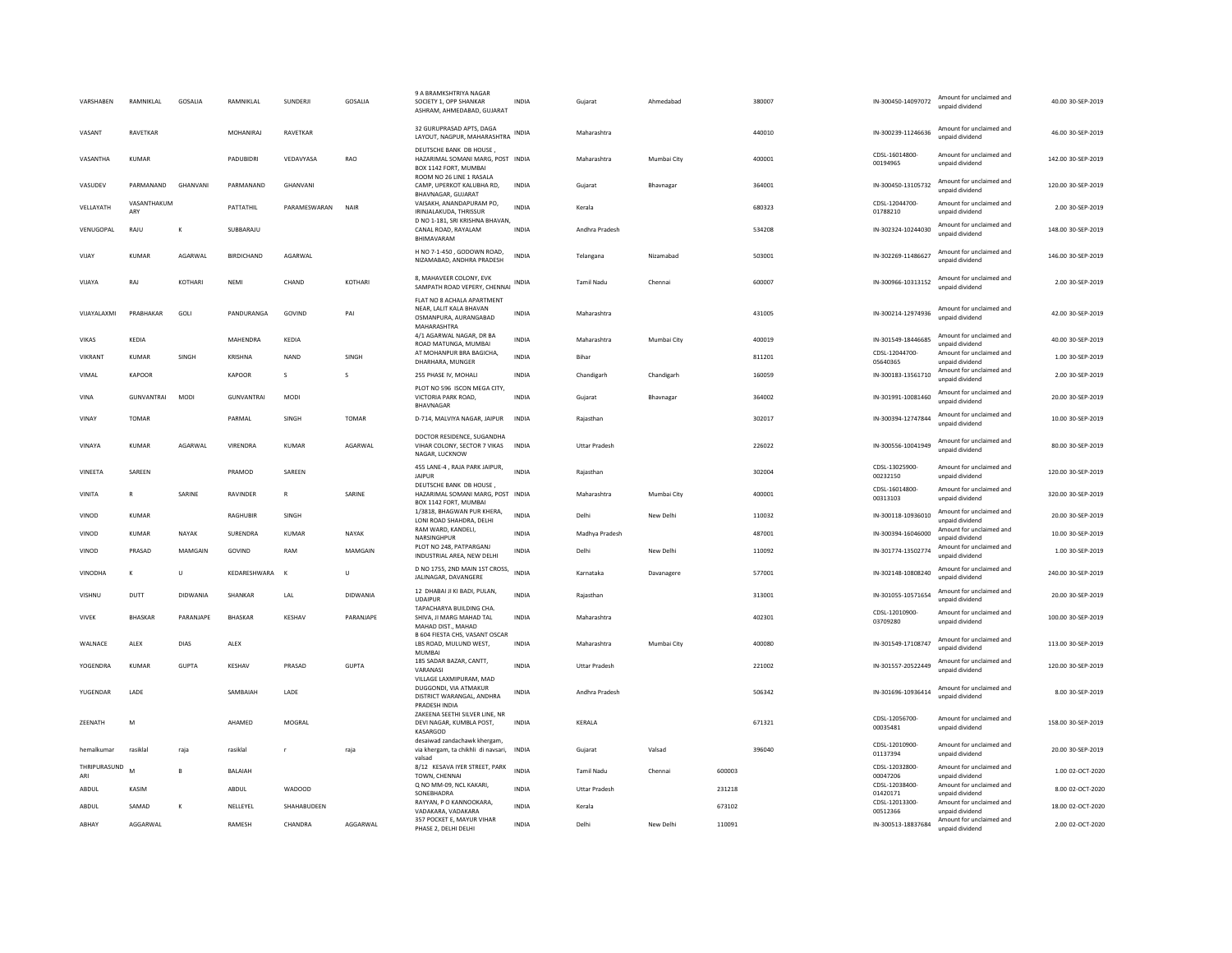| VARSHABEN           | RAMNIKLAL          | GOSALIA         | RAMNIKLAL         | SUNDERJI     | GOSALIA         | 9 A BRAMKSHTRIYA NAGAF<br>SOCIETY 1, OPP SHANKAR<br>ASHRAM, AHMEDABAD, GUJARAT                 | INDIA        | Gujarat              | Ahmedabad   |        | 380007 | IN-300450-14097072         | Amount for unclaimed and<br>unnaid dividend | 40.00 30-SEP-2019  |
|---------------------|--------------------|-----------------|-------------------|--------------|-----------------|------------------------------------------------------------------------------------------------|--------------|----------------------|-------------|--------|--------|----------------------------|---------------------------------------------|--------------------|
| VASANT              | RAVETKAR           |                 | MOHANIRAJ         | RAVETKAR     |                 | 32 GURUPRASAD APTS, DAGA<br>LAYOUT, NAGPUR, MAHARASHTRA                                        | <b>INDIA</b> | Maharashtra          |             |        | 440010 | IN-300239-11246636         | Amount for unclaimed and<br>unpaid dividend | 46.00 30-SEP-2019  |
| VASANTHA            | KUMAR              |                 | PADUBIDRI         | VEDAVYASA    | RAO             | DEUTSCHE BANK DB HOUSE.<br>HAZARIMAL SOMANI MARG, POST INDIA<br>BOX 1142 FORT. MUMBAL          |              | Maharashtra          | Mumbai City |        | 400001 | CDSL-16014800-<br>00194965 | Amount for unclaimed and<br>unpaid dividend | 142.00 30-SEP-2019 |
| VASUDEV             | PARMANAND          | GHANVANI        | PARMANAND         | GHANVANI     |                 | ROOM NO 26 LINE 1 RASALA<br>CAMP, UPERKOT KALUBHA RD,<br>BHAVNAGAR, GUJARAT                    | INDIA        | Gujarat              | Bhavnagar   |        | 364001 | IN-300450-13105732         | Amount for unclaimed and<br>unnaid dividend | 120.00 30-SEP-2019 |
| <b>VELLAYATH</b>    | VASANTHAKUM<br>ARY |                 | PATTATHIL         | PARAMESWARAN | NAIR            | VAISAKH, ANANDAPURAM PO,<br>IRINJALAKUDA, THRISSUR                                             | <b>INDIA</b> | Kerala               |             |        | 680323 | CDSL-12044700-<br>01788210 | Amount for unclaimed and<br>unpaid dividend | 2.00 30-SEP-2019   |
| VENUGOPAL           | RAIU               | к               | SUBBARAIU         |              |                 | D NO 1-181. SRI KRISHNA BHAVAN.<br>CANAL ROAD, RAYALAM<br>BHIMAVARAN                           | <b>INDIA</b> | Andhra Pradesh       |             |        | 534208 | IN-302324-10244030         | Amount for unclaimed and<br>unpaid dividend | 148.00.30-SEP-2019 |
| VIJAY               | <b>KUMAR</b>       | AGARWAL         | <b>BIRDICHAND</b> | AGARWAL      |                 | H NO 7-1-450, GODOWN ROAD,<br>NIZAMABAD, ANDHRA PRADESH                                        | <b>INDIA</b> | Telangana            | Nizamabad   |        | 503001 | IN-302269-11486627         | Amount for unclaimed and<br>unpaid dividend | 146.00 30-SEP-2019 |
| VIJAYA              | RAJ                | KOTHARI         | NFMI              | CHAND        | KOTHARI         | 8, MAHAVEER COLONY, EVK<br>SAMPATH ROAD VEPERY, CHENNAI                                        | <b>INDIA</b> | <b>Tamil Nadu</b>    | Chennai     |        | 600007 | IN-300966-10313152         | Amount for unclaimed and<br>unpaid dividend | 2.00 30-SEP-2019   |
| VIJAYALAXMI         | PRABHAKAR          | GOLI            | PANDURANGA        | GOVIND       | PAI             | FLAT NO 8 ACHALA APARTMENT<br>NEAR. LALIT KALA BHAVAN<br>OSMANPURA, AURANGABAD<br>MAHARASHTRA  | <b>INDIA</b> | Maharashtra          |             |        | 431005 | IN-300214-12974936         | Amount for unclaimed and<br>unpaid dividend | 42.00 30-SEP-2019  |
| VIKAS               | KEDIA              |                 | MAHENDRA          | KEDIA        |                 | 4/1 AGARWAL NAGAR, DR BA<br>ROAD MATUNGA, MUMBAI                                               | <b>INDIA</b> | Maharashtra          | Mumbai City |        | 400019 | IN-301549-18446685         | Amount for unclaimed and<br>unpaid dividend | 40.00 30-SEP-2019  |
| VIKRANT             | <b>KUMAR</b>       | SINGH           | KRISHNA           | <b>NAND</b>  | SINGH           | AT MOHANPUR BRA BAGICHA,<br>DHARHARA, MUNGER                                                   | <b>INDIA</b> | Bihar                |             |        | 811201 | CDSL-12044700-<br>05640365 | Amount for unclaimed and<br>unpaid dividend | 1.00 30-SEP-2019   |
| VIMAL               | KAPOOR             |                 | KAPOOR            | s            | $\mathbf{S}$    | 255 PHASE IV, MOHALI<br>PLOT NO 596 ISCON MEGA CITY.                                           | <b>INDIA</b> | Chandigarh           | Chandigarh  |        | 160059 | IN-300183-13561710         | Amount for unclaimed and<br>unpaid dividend | 2.00 30-SEP-2019   |
| VINA                | <b>GUNVANTRAI</b>  | <b>MODI</b>     | <b>GUNVANTRAI</b> | MODI         |                 | VICTORIA PARK ROAD,<br>BHAVNAGAR                                                               | <b>INDIA</b> | Gujarat              | Bhavnagar   |        | 364002 | IN-301991-10081460         | Amount for unclaimed and<br>unpaid dividend | 20.00 30-SEP-2019  |
| VINAY               | <b>TOMAR</b>       |                 | PARMAL            | SINGH        | TOMAR           | D-714, MALVIYA NAGAR, JAIPUR                                                                   | INDIA        | Rajasthan            |             |        | 302017 | IN-300394-12747844         | Amount for unclaimed and<br>unpaid dividend | 10.00 30-SEP-2019  |
| VINAYA              | KUMAR              | AGARWAI         | VIRENDRA          | <b>KUMAR</b> | AGARWAL         | DOCTOR RESIDENCE, SUGANDHA<br>VIHAR COLONY, SECTOR 7 VIKAS<br>NAGAR, LUCKNOW                   | <b>INDIA</b> | <b>Uttar Pradesh</b> |             |        | 226022 | IN-300556-10041949         | Amount for unclaimed and<br>unpaid dividend | 80.00 30-SEP-2019  |
| VINEETA             | SAREEN             |                 | PRAMOD            | SAREEN       |                 | 455 LANE-4, RAJA PARK JAIPUR,<br><b>JAIPUR</b>                                                 | <b>INDIA</b> | Raiasthan            |             |        | 302004 | CDSL-13025900-<br>00232150 | Amount for unclaimed and<br>unpaid dividend | 120.00 30-SEP-2019 |
| VINITA              | $\mathbb{R}$       | SARINE          | RAVINDER          | $\mathsf{R}$ | SARINE          | DEUTSCHE BANK DB HOUSE,<br>HAZARIMAL SOMANI MARG, POST INDIA<br>BOX 1142 FORT, MUMBAI          |              | Maharashtra          | Mumbai City |        | 400001 | CDSI-16014800-<br>00313103 | Amount for unclaimed and<br>unpaid dividend | 320.00 30-SEP-2019 |
| VINOD               | <b>KUMAR</b>       |                 | RAGHUBIR          | SINGH        |                 | 1/3818, BHAGWAN PUR KHERA,<br>LONI ROAD SHAHDRA, DELHI                                         | <b>INDIA</b> | Delhi                | New Delhi   |        | 110032 | IN-300118-10936010         | Amount for unclaimed and<br>unpaid dividend | 20.00 30-SEP-2019  |
| VINOD               | <b>KUMAR</b>       | NAYAK           | SURENDRA          | <b>KUMAR</b> | NAYAK           | RAM WARD, KANDELI,<br>NARSINGHPUR                                                              | <b>INDIA</b> | Madhya Pradesh       |             |        | 487001 | IN-300394-16046000         | Amount for unclaimed and<br>unpaid dividend | 10.00 30-SEP-2019  |
| VINOD               | PRASAD             | MAMGAIN         | GOVIND            | RAM          | MAMGAIN         | PLOT NO 248, PATPARGANJ<br>INDUSTRIAL AREA, NEW DELHI                                          | <b>INDIA</b> | Delhi                | New Delhi   |        | 110092 | IN-301774-13502774         | Amount for unclaimed and<br>unpaid dividend | 1.00 30-SEP-2019   |
| VINODHA             | $\kappa$           | U               | KEDARESHWARA      | $\mathsf{K}$ | Ù               | D NO 1755, 2ND MAIN 1ST CROSS,<br>JALINAGAR, DAVANGERE                                         | <b>INDIA</b> | Karnataka            | Davanagere  |        | 577001 | IN-302148-10808240         | Amount for unclaimed and<br>unpaid dividend | 240.00 30-SEP-2019 |
| VISHNU              | DUTT               | <b>DIDWANIA</b> | SHANKAR           | LAL          | <b>DIDWANIA</b> | 12 DHABAI JI KI BADI, PULAN.<br><b>UDAIPUR</b>                                                 | <b>INDIA</b> | Rajasthan            |             |        | 313001 | IN-301055-10571654         | Amount for unclaimed and<br>unpaid dividend | 20.00 30-SEP-2019  |
| <b>VIVEK</b>        | <b>BHASKAR</b>     | PARANJAPE       | <b>BHASKAR</b>    | KESHAV       | PARANJAPE       | TAPACHARYA RUII DING CHA.<br>SHIVA, JI MARG MAHAD TAL<br>MAHAD DIST., MAHAD                    | <b>INDIA</b> | Maharashtra          |             |        | 402301 | CDSL-12010900-<br>03709280 | Amount for unclaimed and<br>unpaid dividend | 100.00 30-SEP-2019 |
| WALNACE             | ALEX               | DIAS            | ALEX              |              |                 | B 604 FIESTA CHS, VASANT OSCAR<br>LBS ROAD, MULUND WEST,<br>MUMBAI                             | INDIA        | Maharashtra          | Mumbai City |        | 400080 | IN-301549-17108747         | Amount for unclaimed and<br>unnaid dividend | 113.00 30-SEP-2019 |
| YOGENDRA            | KUMAR              | <b>GUPTA</b>    | KESHAV            | PRASAD       | <b>GUPTA</b>    | 185 SADAR BAZAR, CANTT,<br>VARANASI                                                            | <b>INDIA</b> | <b>Uttar Pradesh</b> |             |        | 221002 | IN-301557-20522449         | Amount for unclaimed and<br>unpaid dividend | 120.00 30-SEP-2019 |
| YUGENDAR            | LADE               |                 | SAMBAIAH          | LADE         |                 | VILLAGE LAXMIPURAM, MAD<br>DUGGONDI, VIA ATMAKUR<br>DISTRICT WARANGAL, ANDHRA<br>PRADESH INDIA | <b>INDIA</b> | Andhra Pradesh       |             |        | 506342 | IN-301696-10936414         | Amount for unclaimed and<br>unpaid dividend | 8.00 30-SEP-2019   |
| ZEENATH             | M                  |                 | AHAMED            | MOGRAL       |                 | ZAKEENA SEETHI SILVER LINE, NR<br>DEVI NAGAR, KUMBLA POST,<br>KASARGOD                         | INDIA        | KERALA               |             |        | 671321 | CDSL-12056700-<br>00035481 | Amount for unclaimed and<br>unpaid dividend | 158.00 30-SEP-2019 |
| hemalkumar          | rasiklal           | raja            | rasiklal          | r.           | raja            | desaiwad zandachawk khergam<br>via khergam, ta chikhli di navsari,<br>valsad                   | <b>INDIA</b> | Gujarat              | Valsad      |        | 396040 | CDSL-12010900-<br>01137394 | Amount for unclaimed and<br>unpaid dividend | 20.00 30-SEP-2019  |
| THRIPURASUND<br>ARI | $\sim$             | $\overline{B}$  | <b>BALAIAH</b>    |              |                 | 8/12 KESAVA IYER STREET, PARK<br>TOWN, CHENNAI                                                 | <b>INDIA</b> | <b>Tamil Nadu</b>    | Chennai     | 600003 |        | CDSL-12032800-<br>00047206 | Amount for unclaimed and<br>unpaid dividend | 1.00 02-OCT-2020   |
| ABDUL               | KASIM              |                 | ABDUI             | WADOOD       |                 | Q NO MM-09, NCL KAKARI<br>SONEBHADRA                                                           | <b>INDIA</b> | <b>Uttar Pradesh</b> |             | 231218 |        | CDSL-12038400-<br>01420171 | Amount for unclaimed and<br>unpaid dividend | 8.00.02-OCT-2020   |
| ABDUL               | SAMAD              | K               | NELLEYEL          | SHAHABUDEEN  |                 | RAYYAN, P O KANNOOKARA,<br>VADAKARA, VADAKARA                                                  | <b>INDIA</b> | Kerala               |             | 673102 |        | CDSL-12013300-<br>00512366 | Amount for unclaimed and<br>unpaid dividend | 18.00 02-OCT-2020  |
|                     |                    |                 |                   |              |                 | 357 POCKET E, MAYUR VIHAR                                                                      |              |                      |             |        |        |                            |                                             |                    |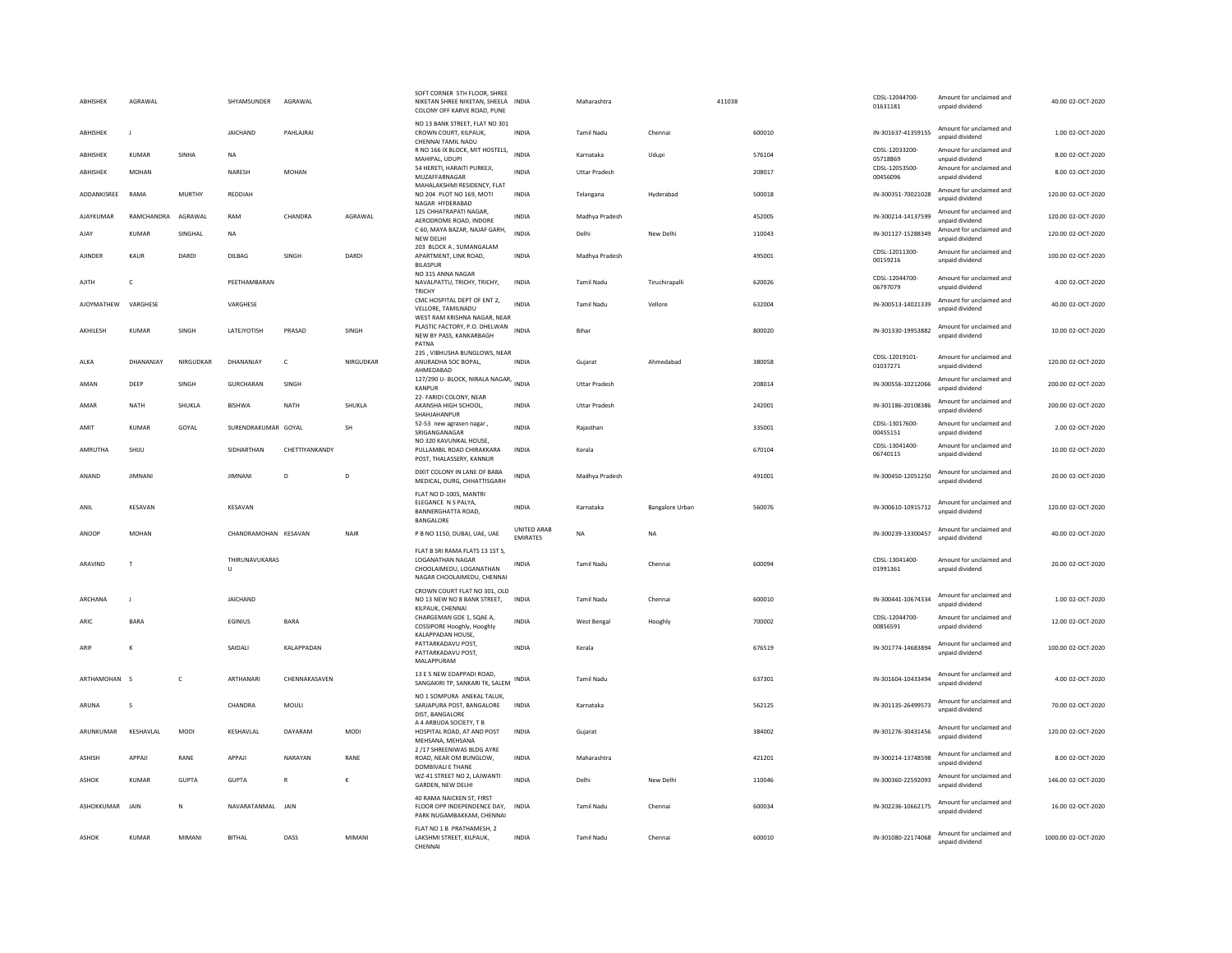| <b>ARHISHEK</b> | AGRAWAI        |               | SHYAMSUNDER          | AGRAWAI        |           | SOFT CORNER 5TH FLOOR. SHREE<br>NIKETAN SHREE NIKETAN, SHEELA INDIA<br>COLONY OFF KARVE ROAD, PUNE                  |                                | Maharashtra          |                 | 411038 |        | CDSL-12044700-<br>01631181 | Amount for unclaimed and<br>unpaid dividend | 40.00 02-OCT-2020  |
|-----------------|----------------|---------------|----------------------|----------------|-----------|---------------------------------------------------------------------------------------------------------------------|--------------------------------|----------------------|-----------------|--------|--------|----------------------------|---------------------------------------------|--------------------|
| ABHISHEK        |                |               | JAICHAND             | PAHLAJRAI      |           | NO 13 BANK STREET, FLAT NO 301<br>CROWN COURT, KILPAUK,<br>CHENNAI TAMIL NADU                                       | INDIA                          | <b>Tamil Nadu</b>    | Chenna          |        | 600010 | IN-301637-41359155         | Amount for unclaimed and<br>unpaid dividend | 1.00 02-OCT-2020   |
| ABHISHEK        | <b>KUMAR</b>   | SINHA         | NA                   |                |           | R NO 166 IX BLOCK, MIT HOSTELS,<br>MAHIPAL, UDUPI                                                                   | <b>INDIA</b>                   | Karnataka            | Udupi           |        | 576104 | CDSL-12033200-<br>05718869 | Amount for unclaimed and<br>unpaid dividend | 8.00 02-OCT-2020   |
| ABHISHEK        | <b>MOHAN</b>   |               | NARESH               | <b>MOHAN</b>   |           | 54 HERETI, HARAITI PURKEJI,<br>MUZAFFARNAGAR<br>MAHALAKSHMI RESIDENCY, FLAT                                         | <b>INDIA</b>                   | <b>Uttar Pradesh</b> |                 |        | 208017 | CDSL-12053500-<br>00456096 | Amount for unclaimed and<br>unpaid dividend | 8.00 02-OCT-2020   |
| ADDANKISREE     | RAMA           | <b>MURTHY</b> | REDDIAH              |                |           | NO 204 PLOT NO 169, MOTI<br>NAGAR HYDERABAD                                                                         | <b>INDIA</b>                   | Telangana            | Hyderabad       |        | 500018 | IN-300351-70021028         | Amount for unclaimed and<br>unpaid dividend | 120.00 02-OCT-2020 |
| AJAYKUMAR       | RAMCHANDRA     | AGRAWAL       | RAM                  | CHANDRA        | AGRAWAL   | 125 CHHATRAPATI NAGAR.<br>AERODROME ROAD, INDORE                                                                    | INDIA                          | Madhya Pradesh       |                 |        | 452005 | IN-300214-14137599         | Amount for unclaimed and<br>unpaid dividend | 120.00 02-OCT-2020 |
| AJAY            | <b>KUMAR</b>   | SINGHAL       | <b>NA</b>            |                |           | C 60, MAYA BAZAR, NAJAF GARH,<br><b>NEW DELHI</b>                                                                   | <b>INDIA</b>                   | Delhi                | New Delhi       |        | 110043 | IN-301127-15288349         | Amount for unclaimed and<br>unpaid dividend | 120.00 02-OCT-2020 |
| AIINDER         | KAUR           | DARDI         | <b>DILBAG</b>        | SINGH          | DARDI     | 203 BLOCK A . SUMANGALAM<br>APARTMENT, LINK ROAD<br><b>BILASPUR</b>                                                 | <b>INDIA</b>                   | Madhya Pradesh       |                 |        | 495001 | CDSL-12011300-<br>00159216 | Amount for unclaimed and<br>unpaid dividend | 100.00.02-OCT-2020 |
| AJITH           | $\mathsf{C}$   |               | PEETHAMBARAN         |                |           | NO 315 ANNA NAGAR<br>NAVALPATTU, TRICHY, TRICHY,<br>TRICHY                                                          | <b>INDIA</b>                   | Tamil Nadu           | Tiruchirapalli  |        | 620026 | CDSL-12044700-<br>06797079 | Amount for unclaimed and<br>unpaid dividend | 4.00 02-OCT-2020   |
| AJOYMATHEW      | VARGHESE       |               | VARGHESE             |                |           | CMC HOSPITAL DEPT OF ENT 2,<br>VELLORE, TAMILNADU                                                                   | <b>INDIA</b>                   | <b>Tamil Nadu</b>    | Vellore         |        | 632004 | IN-300513-14021339         | Amount for unclaimed and<br>unnaid dividend | 40.00 02-OCT-2020  |
| AKHILESH        | KUMAR          | SINGH         | LATEJYOTISH          | PRASAD         | SINGH     | WEST RAM KRISHNA NAGAR, NEAR<br>PLASTIC FACTORY, P.O. DHELWAN INDIA<br>NEW BY PASS, KANKARBAGH<br>PATNA             |                                | Bihar                |                 |        | 800020 | IN-301330-19953882         | Amount for unclaimed and<br>unpaid dividend | 10.00 02-OCT-2020  |
| ALKA            | DHANANJAY      | NIRGUDKAR     | DHANANJAY            | $\mathsf{C}$   | NIRGUDKAR | 235, VIBHUSHA BUNGLOWS, NEAR<br>ANURADHA SOC BOPAL,<br>AHMEDABAD                                                    | INDIA                          | Gujarat              | Ahmedabad       |        | 380058 | CDSL-12019101-<br>01037271 | Amount for unclaimed and<br>unpaid dividend | 120.00 02-OCT-2020 |
| AMAN            | DEEP           | SINGH         | GURCHARAN            | SINGH          |           | 127/290 U- BLOCK, NIRALA NAGAR, INDIA<br><b>KANPUR</b>                                                              |                                | <b>Uttar Pradesh</b> |                 |        | 208014 | IN-300556-10212066         | Amount for unclaimed and<br>unnaid dividend | 200.00 02-OCT-2020 |
| AMAR            | <b>NATH</b>    | SHUKLA        | <b>BISHWA</b>        | <b>NATH</b>    | SHUKLA    | 22- FARIDI COLONY, NEAR<br>AKANSHA HIGH SCHOOL,<br>SHAHJAHANPUR                                                     | INDIA                          | <b>Uttar Pradesh</b> |                 |        | 242001 | IN-301186-20108386         | Amount for unclaimed and<br>unpaid dividend | 200.00 02-OCT-2020 |
| AMIT            | KUMAR          | GOYAL         | SURENDRAKUMAR GOYAL  |                | <b>SH</b> | 52-53 new agrasen nagar<br>SRIGANGANAGAR                                                                            | INDIA                          | Rajasthan            |                 |        | 335001 | CDSL-13017600<br>00455151  | Amount for unclaimed and<br>unpaid dividend | 2.00 02-OCT-2020   |
| AMRUTHA         | SHIJU          |               | SIDHARTHAN           | CHETTIYANKANDY |           | NO 320 KAVUNKAL HOUSE.<br>PULLAMBIL ROAD CHIRAKKARA<br>POST, THALASSERY, KANNUR                                     | INDIA                          | Kerala               |                 |        | 670104 | CDSL-13041400-<br>06740115 | Amount for unclaimed and<br>unpaid dividend | 10.00 02-OCT-2020  |
| ANAND           | <b>JIMNANI</b> |               | <b>JIMNANI</b>       | $\overline{D}$ | D         | DIXIT COLONY IN LANE OF BABA<br>MEDICAL, DURG, CHHATTISGARH                                                         | <b>INDIA</b>                   | Madhya Pradesh       |                 |        | 491001 | IN-300450-12051250         | Amount for unclaimed and<br>unpaid dividend | 20.00 02-OCT-2020  |
| ANII            | KFSAVAN        |               | KFSAVAN              |                |           | FLAT NO D-1005, MANTRI<br>ELEGANCE N S PALYA,<br>BANNERGHATTA ROAD.<br>BANGALORE                                    | <b>INDIA</b>                   | Karnataka            | Bangalore Urban |        | 560076 | IN-300610-10915712         | Amount for unclaimed and<br>unpaid dividend | 120.00.02-OCT-2020 |
| ANOOP           | <b>MOHAN</b>   |               | CHANDRAMOHAN KESAVAN |                | NAIR      | P B NO 1150, DUBAI, UAE, UAE                                                                                        | UNITED ARAB<br><b>EMIRATES</b> | NA                   | <b>NA</b>       |        |        | IN-300239-13300457         | Amount for unclaimed and<br>unpaid dividend | 40.00 02-OCT-2020  |
| ARAVIND         | $\mathsf{T}$   |               | THIRUNAVUKARAS<br>U  |                |           | FLAT B SRI RAMA FLATS 13 1ST S.<br><b>LOGANATHAN NAGAR</b><br>CHOOLAIMEDU, LOGANATHAN<br>NAGAR CHOOLAIMEDU, CHENNAI | <b>INDIA</b>                   | <b>Tamil Nadu</b>    | Chennai         |        | 600094 | CDSI-13041400-<br>01991361 | Amount for unclaimed and<br>unpaid dividend | 20.00 02-OCT-2020  |
| ARCHANA         | J.             |               | JAICHAND             |                |           | CROWN COURT FLAT NO 301, OLD<br>NO 13 NEW NO 8 BANK STREET,<br>KILPAUK, CHENNAI                                     | INDIA                          | <b>Tamil Nadu</b>    | Chennai         |        | 600010 | IN-300441-10674334         | Amount for unclaimed and<br>unpaid dividend | 1.00 02-OCT-2020   |
| ARIO            | <b>BARA</b>    |               | EGINIUS              | <b>BARA</b>    |           | CHARGEMAN GDE 1, SQAE A,<br>COSSIPORE Hooghly, Hooghly                                                              | <b>INDIA</b>                   | West Bengal          | Hooghly         |        | 700002 | CDSL-12044700<br>00856591  | Amount for unclaimed and<br>unnaid dividend | 12.00 02-OCT-2020  |
| ARIF            |                |               | SAIDALI              | KALAPPADAN     |           | KALAPPADAN HOUSE,<br>PATTARKADAVU POST.<br>PATTARKADAVU POST,<br>MALAPPURAM                                         | INDIA                          | Kerala               |                 |        | 676519 | IN-301774-14683894         | Amount for unclaimed and<br>unpaid dividend | 100.00 02-OCT-2020 |
| ARTHAMOHAN      | $\sim$         | C             | ARTHANARI            | CHENNAKASAVEN  |           | 13 E 5 NEW EDAPPADI ROAD,<br>SANGAKIRI TP, SANKARI TK, SALEM                                                        | INDIA                          | <b>Tamil Nadu</b>    |                 |        | 637301 | IN-301604-10433494         | Amount for unclaimed and<br>unpaid dividend | 4.00 02-OCT-2020   |
| ARUNA           | -S             |               | CHANDRA              | MOULI          |           | NO 1 SOMPURA ANEKAL TALUK.<br>SARJAPURA POST, BANGALORE<br>DIST. BANGALORE                                          | INDIA                          | Karnataka            |                 |        | 562125 | IN-301135-26499573         | Amount for unclaimed and<br>unpaid dividend | 70.00 02-OCT-2020  |
| ARUNKUMAR       | KESHAVLAL      | MODI          | KESHAVLAL            | DAYARAM        | MODI      | A 4 ARBUDA SOCIETY, T B<br>HOSPITAL ROAD, AT AND POST<br>MEHSANA, MEHSANA                                           | INDIA                          | Gujarat              |                 |        | 384002 | IN-301276-30431456         | Amount for unclaimed and<br>unpaid dividend | 120.00 02-OCT-2020 |
| <b>ASHISH</b>   | APPAJI         | RANE          | APPAJI               | NARAYAN        | RANE      | 2 /17 SHREENIWAS BLDG AYRE<br>ROAD, NEAR OM BUNGLOW,<br>DOMBIVALI E THANE                                           | <b>INDIA</b>                   | Maharashtra          |                 |        | 421201 | IN-300214-13748598         | Amount for unclaimed and<br>unpaid dividend | 8.00 02-OCT-2020   |
| ASHOK           | <b>KUMAR</b>   | <b>GUPTA</b>  | <b>GUPTA</b>         |                | к         | WZ-41 STREET NO 2, LAJWANTI<br>GARDEN, NEW DELHI                                                                    | <b>INDIA</b>                   | Delhi                | New Delhi       |        | 110046 | IN-300360-22592093         | Amount for unclaimed and<br>unpaid dividend | 146.00 02-OCT-2020 |
| ASHOKKUMAR      | JAIN           | N             | NAVARATANMAL JAIN    |                |           | 40 RAMA NAICKEN ST. FIRST<br>FLOOR OPP INDEPENDENCE DAY,<br>PARK NUGAMBAKKAM, CHENNAI                               | INDIA                          | Tamil Nadu           | Chennai         |        | 600034 | IN-302236-10662175         | Amount for unclaimed and<br>unnaid dividend | 16.00 02-OCT-2020  |
| ASHOK           |                |               |                      |                |           | FLAT NO 1 B PRATHAMESH, 2                                                                                           |                                |                      |                 |        |        |                            |                                             |                    |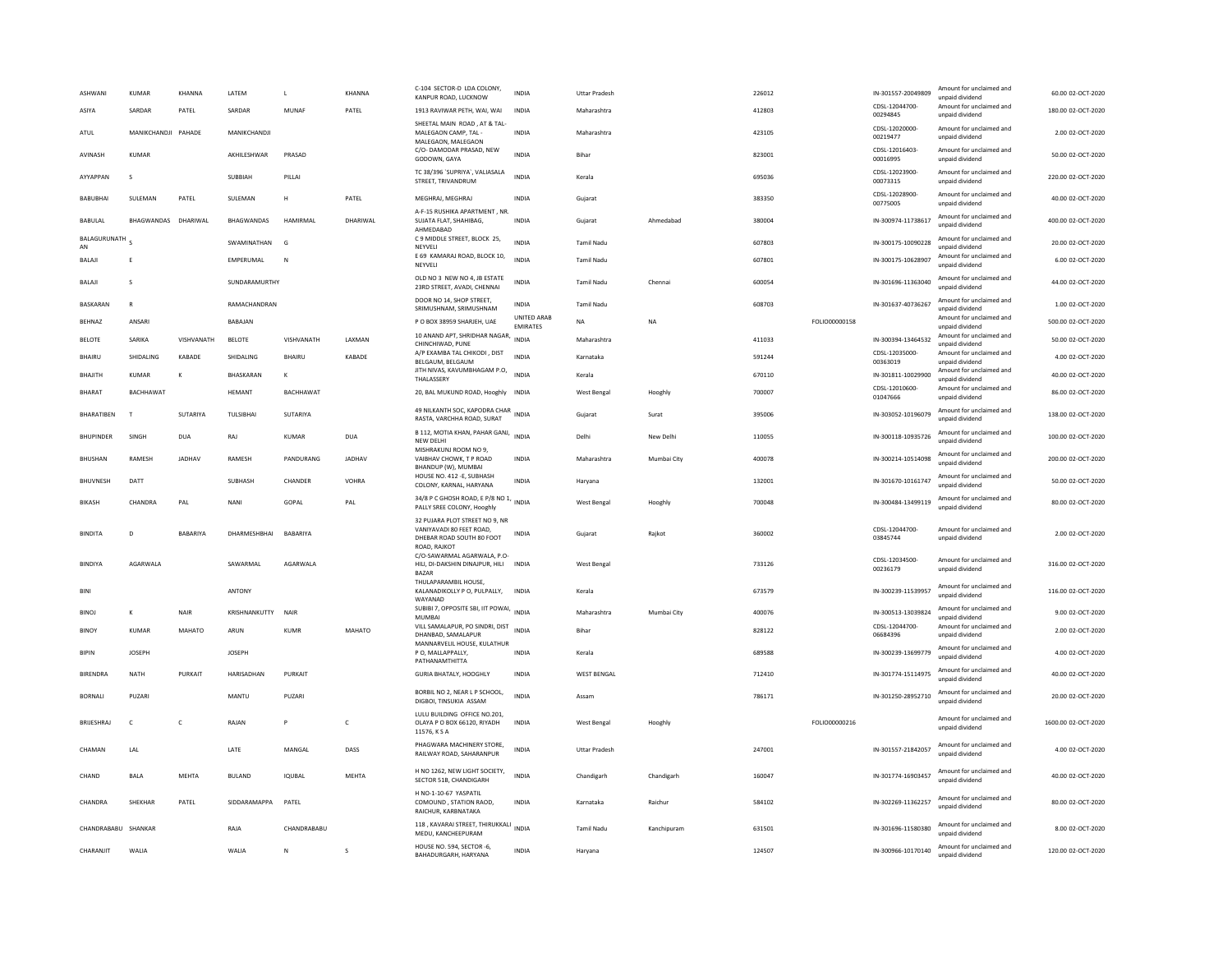| ASHWANI             | <b>KUMAR</b>        | KHANNA       | LATEM         | $\mathbf{I}$    | KHANNA       | C-104 SECTOR-D LDA COLONY,<br>KANPUR ROAD, LUCKNOW                                                      | <b>INDIA</b>                   | <b>Uttar Pradesh</b> |             | 226012 |               | IN-301557-20049809<br>CDSL-12044700- | Amount for unclaimed and<br>unnaid dividend<br>Amount for unclaimed and | 60.00 02-OCT-2020   |
|---------------------|---------------------|--------------|---------------|-----------------|--------------|---------------------------------------------------------------------------------------------------------|--------------------------------|----------------------|-------------|--------|---------------|--------------------------------------|-------------------------------------------------------------------------|---------------------|
| ASIYA               | SARDAR              | PATEL        | SARDAR        | MUNAF           | PATEL        | 1913 RAVIWAR PETH, WAI, WAI<br>SHEETAL MAIN ROAD, AT & TAL                                              | <b>INDIA</b>                   | Maharashtra          |             | 412803 |               | 00294845                             | unpaid dividend                                                         | 180.00 02-OCT-2020  |
| ATUL                | MANIKCHANDJI PAHADE |              | MANIKCHANDJI  |                 |              | MALEGAON CAMP. TAL -<br>MALEGAON, MALEGAON                                                              | <b>INDIA</b>                   | Maharashtra          |             | 423105 |               | CDSI-12020000-<br>00219477           | Amount for unclaimed and<br>unpaid dividend                             | 2.00 02-OCT-2020    |
| <b>AVINASH</b>      | KUMAR               |              | AKHILESHWAR   | PRASAD          |              | C/O- DAMODAR PRASAD, NEW<br>GODOWN, GAYA                                                                | <b>INDIA</b>                   | <b>Bihar</b>         |             | 823001 |               | CDSL-12016403<br>00016995            | Amount for unclaimed and<br>unpaid dividend                             | 50.00 02-OCT-2020   |
| AYYAPPAN            | s                   |              | SUBBIAH       | PILLAI          |              | TC 38/396 'SUPRIYA', VALIASALA<br>STREET, TRIVANDRUM                                                    | <b>INDIA</b>                   | Kerala               |             | 695036 |               | CDSL-12023900<br>00073315            | Amount for unclaimed and<br>unpaid dividend                             | 220.00 02-OCT-2020  |
| <b>BABUBHAI</b>     | SULEMAN             | PATEL        | SULEMAN       | H               | PATEL        | MEGHRAJ, MEGHRAJ                                                                                        | <b>INDIA</b>                   | Gujarat              |             | 383350 |               | CDSL-12028900<br>00775005            | Amount for unclaimed and<br>unpaid dividend                             | 40.00 02-OCT-2020   |
| <b>BABULAL</b>      | BHAGWANDAS DHARIWAL |              | BHAGWANDAS    | HAMIRMAL        | DHARIWAL     | A-F-15 RUSHIKA APARTMENT . NR<br>SUJATA FLAT, SHAHIBAG.<br>AHMEDABAD                                    | <b>INDIA</b>                   | Gujarat              | Ahmedabad   | 380004 |               | IN-300974-11738617                   | Amount for unclaimed and<br>unpaid dividend                             | 400.00 02-OCT-2020  |
| BALAGURUNATH<br>AN  |                     |              | SWAMINATHAN   | G               |              | C 9 MIDDLE STREET, BLOCK 25,<br>NEYVELL                                                                 | <b>INDIA</b>                   | Tamil Nadu           |             | 607803 |               | IN-300175-10090228                   | Amount for unclaimed and<br>unnaid dividend                             | 20.00 02-OCT-2020   |
| <b>BALAJI</b>       | Ε                   |              | EMPERUMAL     | N               |              | E 69 KAMARAJ ROAD, BLOCK 10,<br>NEYVELI                                                                 | <b>INDIA</b>                   | <b>Tamil Nadu</b>    |             | 607801 |               | IN-300175-10628907                   | Amount for unclaimed and<br>unpaid dividend                             | 6.00 02-OCT-2020    |
| <b>BALAJI</b>       | s                   |              | SUNDARAMURTHY |                 |              | OLD NO 3 NEW NO 4, JB ESTATE<br>23RD STREET, AVADI, CHENNAI                                             | INDIA                          | <b>Tamil Nadu</b>    | Chennai     | 600054 |               | IN-301696-11363040                   | Amount for unclaimed and<br>unpaid dividend                             | 44.00 02-OCT-2020   |
| <b>BASKARAN</b>     | $\mathbb{R}$        |              | RAMACHANDRAN  |                 |              | DOOR NO 14, SHOP STREET,<br>SRIMUSHNAM, SRIMUSHNAM                                                      | <b>INDIA</b>                   | <b>Tamil Nadu</b>    |             | 608703 |               | IN-301637-40736267                   | Amount for unclaimed and<br>unpaid dividend                             | 1.00 02-OCT-2020    |
| <b>BEHNAZ</b>       | ANSARI              |              | BABAJAN       |                 |              | P O BOX 38959 SHARJEH, UAE                                                                              | UNITED ARAB<br><b>EMIRATES</b> | <b>NA</b>            | <b>NA</b>   |        | FOLIO00000158 |                                      | Amount for unclaimed and<br>unpaid dividend                             | 500.00 02-OCT-2020  |
| BELOTE              | SARIKA              | VISHVANATH   | <b>BELOTE</b> | VISHVANATH      | LAXMAN       | 10 ANAND APT, SHRIDHAR NAGAR,<br>CHINCHIWAD, PUNE                                                       | <b>INDIA</b>                   | Maharashtra          |             | 411033 |               | IN-300394-13464532                   | Amount for unclaimed and<br>unpaid dividend                             | 50.00 02-OCT-2020   |
| <b>BHAIRU</b>       | SHIDALING           | KABADE       | SHIDALING     | <b>BHAIRU</b>   | KABADE       | A/P EXAMBA TAL CHIKODI, DIST<br>BELGAUM, BELGAUM                                                        | <b>INDIA</b>                   | Karnataka            |             | 591244 |               | CDSL-12035000-<br>00363019           | Amount for unclaimed and<br>unpaid dividend                             | 4.00 02-OCT-2020    |
| BHAJITH             | KUMAR               | K            | BHASKARAN     | K               |              | JITH NIVAS, KAVUMBHAGAM P.O,<br><b>THAI ASSERY</b>                                                      | <b>INDIA</b>                   | Kerala               |             | 670110 |               | IN-301811-10029900                   | Amount for unclaimed and<br>unnaid dividend                             | 40.00 02-OCT-2020   |
| <b>BHARAT</b>       | BACHHAWAT           |              | <b>HEMANT</b> | BACHHAWAT       |              | 20, BAL MUKUND ROAD, Hooghly INDIA                                                                      |                                | <b>West Bengal</b>   | Hooghly     | 700007 |               | CDSL-12010600-<br>01047666           | Amount for unclaimed and<br>unnaid dividend                             | 86.00 02-OCT-2020   |
| BHARATIBEN          | $\mathbf{I}$        | SUTARIYA     | TULSIBHAI     | SUTARIYA        |              | 49 NILKANTH SOC, KAPODRA CHAR<br>RASTA, VARCHHA ROAD, SURAT                                             | <b>INDIA</b>                   | Gujarat              | Surat       | 395006 |               | IN-303052-10196079                   | Amount for unclaimed and<br>unpaid dividend                             | 138.00 02-OCT-2020  |
| <b>BHUPINDER</b>    | <b>SINGH</b>        | DUA          | RAI           | KUMAR           | DUA          | B 112, MOTIA KHAN, PAHAR GANJ, INDIA<br>NEW DELHI                                                       |                                | Delhi                | New Delhi   | 110055 |               | IN-300118-10935726                   | Amount for unclaimed and<br>unpaid dividend                             | 100.00.02-OCT-2020  |
| <b>BHUSHAN</b>      | RAMESH              | JADHAV       | RAMESH        | PANDURANG       | JADHAV       | MISHRAKUNJ ROOM NO 9.<br>VAIBHAV CHOWK, T P ROAD<br>BHANDUP (W), MUMBAI                                 | INDIA                          | Maharashtra          | Mumbai City | 400078 |               | IN-300214-10514098                   | Amount for unclaimed and<br>unpaid dividend                             | 200.00 02-OCT-2020  |
| <b>BHUVNESH</b>     | DATT                |              | SUBHASH       | CHANDER         | VOHRA        | HOUSE NO. 412 -E, SUBHASH<br>COLONY, KARNAL, HARYANA                                                    | INDIA                          | Haryana              |             | 132001 |               | IN-301670-10161747                   | Amount for unclaimed and<br>unpaid dividend                             | 50.00 02-OCT-2020   |
| <b>BIKASH</b>       | CHANDRA             | PAL          | NANI          | GOPAL           | PAL          | 34/8 P C GHOSH ROAD, E P/8 NO 1, INDIA<br>PALLY SREE COLONY, Hooghly                                    |                                | West Bengal          | Hooghly     | 700048 |               | IN-300484-13499119                   | Amount for unclaimed and<br>unpaid dividend                             | 80.00 02-OCT-2020   |
| <b>BINDITA</b>      | $\overline{D}$      | BABARIYA     | DHARMESHBHAI  | <b>BABARIYA</b> |              | 32 PUJARA PLOT STREET NO 9, NR<br>VANIYAVADI 80 FEET ROAD.<br>DHEBAR ROAD SOUTH 80 FOOT<br>ROAD, RAJKOT | <b>INDIA</b>                   | Guiarat              | Raikot      | 360002 |               | CDSL-12044700<br>03845744            | Amount for unclaimed and<br>unpaid dividend                             | 2.00 02-OCT-2020    |
| BINDIYA             | AGARWALA            |              | SAWARMAL      | AGARWALA        |              | C/O-SAWARMAL AGARWALA, P.O-<br>HILI, DI-DAKSHIN DINAJPUR, HILI INDIA<br><b>BAZAR</b>                    |                                | West Bengal          |             | 733126 |               | CDSL-12034500<br>00236179            | Amount for unclaimed and<br>unpaid dividend                             | 316.00 02-OCT-2020  |
| BINI                |                     |              | ANTONY        |                 |              | THULAPARAMBIL HOUSE,<br>KALANADIKOLLY P O, PULPALLY,<br>WAYANAD                                         | <b>INDIA</b>                   | Kerala               |             | 673579 |               | IN-300239-11539957                   | Amount for unclaimed and<br>unpaid dividend                             | 116.00 02-OCT-2020  |
| <b>BINOJ</b>        | к                   | <b>NAIR</b>  | KRISHNANKUTTY | <b>NAIR</b>     |              | SUBIBI 7, OPPOSITE SBI, IIT POWAI,<br>MUMBAI                                                            | <b>INDIA</b>                   | Maharashtra          | Mumbai City | 400076 |               | IN-300513-13039824                   | Amount for unclaimed and<br>unnaid dividend                             | 9.00 02-OCT-2020    |
| <b>BINOY</b>        | <b>KUMAR</b>        | MAHATO       | ARUN          | <b>KUMR</b>     | MAHATO       | VILL SAMALAPUR, PO SINDRI, DIST<br>DHANBAD, SAMALAPUR                                                   | <b>INDIA</b>                   | Bihar                |             | 828122 |               | CDSL-12044700-<br>06684396           | Amount for unclaimed and<br>unpaid dividend                             | 2.00 02-OCT-2020    |
| <b>BIPIN</b>        | <b>JOSEPH</b>       |              | <b>JOSEPH</b> |                 |              | MANNARVELIL HOUSE, KULATHUR<br>P O. MALLAPPALLY.<br>PATHANAMTHITTA                                      | <b>INDIA</b>                   | Kerala               |             | 689588 |               | IN-300239-13699779                   | Amount for unclaimed and<br>unpaid dividend                             | 4.00 02-OCT-2020    |
| <b>BIRENDRA</b>     | NATH                | PURKAIT      | HARISADHAN    | PURKAIT         |              | <b>GURIA BHATALY, HOOGHLY</b>                                                                           | <b>INDIA</b>                   | <b>WEST BENGAL</b>   |             | 712410 |               | IN-301774-15114975                   | Amount for unclaimed and<br>unpaid dividend                             | 40.00 02-OCT-2020   |
| <b>BORNALI</b>      | PUZARI              |              | MANTU         | PUZARI          |              | BORBIL NO 2. NEAR L P SCHOOL.<br>DIGBOI, TINSUKIA ASSAM                                                 | <b>INDIA</b>                   | Assam                |             | 786171 |               | IN-301250-28952710                   | Amount for unclaimed and<br>unpaid dividend                             | 20.00 02-OCT-2020   |
| <b>BRUESHRAJ</b>    | $\mathsf{C}$        | $\mathsf{C}$ | RAJAN         |                 | $\mathsf{C}$ | LULU BUILDING OFFICE NO.201,<br>OLAYA P O BOX 66120, RIYADH<br>11576, K S A                             | <b>INDIA</b>                   | West Bengal          | Hooghly     |        | FOLIO00000216 |                                      | Amount for unclaimed and<br>unpaid dividend                             | 1600.00 02-OCT-2020 |
| CHAMAN              | LAL                 |              | LATE          | MANGAL          | DASS         | PHAGWARA MACHINERY STORE,<br>RAILWAY ROAD, SAHARANPUR                                                   | <b>INDIA</b>                   | <b>Uttar Pradesh</b> |             | 247001 |               | IN-301557-21842057                   | Amount for unclaimed and<br>unpaid dividend                             | 4.00 02-OCT-2020    |
| CHAND               | <b>BALA</b>         | MEHTA        | <b>BULAND</b> | IQUBAL          | MEHTA        | H NO 1262, NEW LIGHT SOCIETY,<br>SECTOR 51B, CHANDIGARH                                                 | <b>INDIA</b>                   | Chandigarh           | Chandigarh  | 160047 |               | IN-301774-16903457                   | Amount for unclaimed and<br>unpaid dividend                             | 40.00 02-OCT-2020   |
| CHANDRA             | SHEKHAR             | PATEL        | SIDDARAMAPPA  | PATEL           |              | H NO-1-10-67 YASPATIL<br>COMOUND, STATION RAOD.<br>RAICHUR, KARBNATAKA                                  | <b>INDIA</b>                   | Karnataka            | Raichur     | 584102 |               | IN-302269-11362257                   | Amount for unclaimed and<br>unpaid dividend                             | 80.00 02-OCT-2020   |
| CHANDRABABU SHANKAR |                     |              | RAJA          | CHANDRABABU     |              | 118, KAVARAI STREET, THIRUKKALI<br>MEDU, KANCHEEPURAM                                                   | <b>INDIA</b>                   | <b>Tamil Nadu</b>    | Kanchipuram | 631501 |               | IN-301696-11580380                   | Amount for unclaimed and<br>unpaid dividend                             | 8.00 02-OCT-2020    |
| CHARANJIT           | <b>WALIA</b>        |              | <b>WALIA</b>  | N               | s            | HOUSE NO. 594, SECTOR -6,<br><b>BAHADURGARH, HARYANA</b>                                                | <b>INDIA</b>                   | Haryana              |             | 124507 |               | IN-300966-10170140                   | Amount for unclaimed and<br>unnaid dividend                             | 120.00 02-OCT-2020  |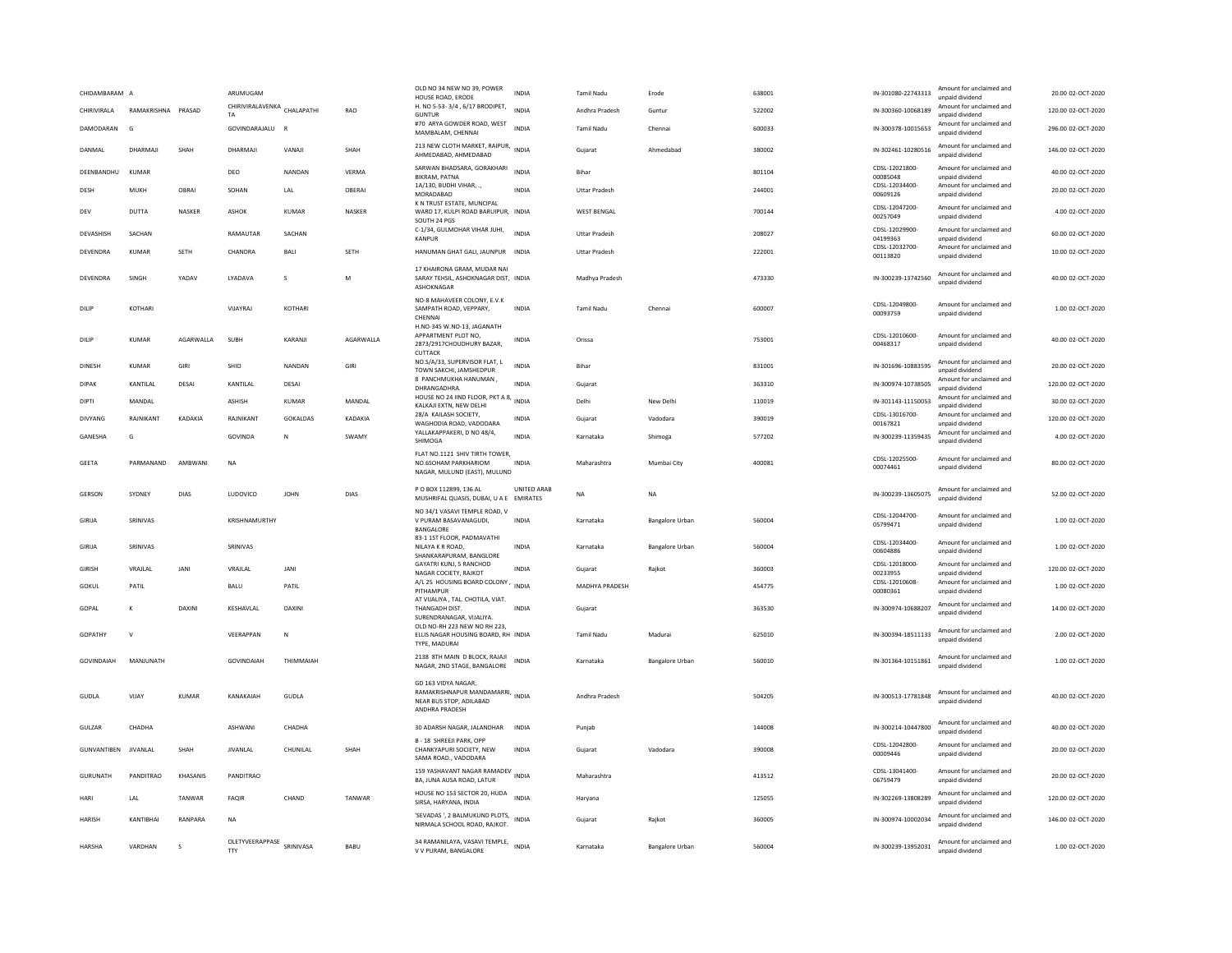| CHIDAMBARAM A  |                    |                 | ARUMUGAM                               |                |             | OLD NO 34 NEW NO 39, POWER<br>HOUSE ROAD, ERODE                                                      | <b>INDIA</b>                   | <b>Tamil Nadu</b>     | Erode                  | 638001 | IN-301080-22743313         | Amount for unclaimed and<br>unnaid dividend | 20.00 02-OCT-2020  |
|----------------|--------------------|-----------------|----------------------------------------|----------------|-------------|------------------------------------------------------------------------------------------------------|--------------------------------|-----------------------|------------------------|--------|----------------------------|---------------------------------------------|--------------------|
| CHIRIVIRALA    | RAMAKRISHNA PRASAD |                 | CHIRIVIRALAVENKA CHALAPATHI<br>TA      |                | RAO         | H. NO 5-53-3/4, 6/17 BRODIPET,<br><b>GUNTUR</b>                                                      | <b>INDIA</b>                   | Andhra Pradesh        | Guntur                 | 522002 | IN-300360-10068189         | Amount for unclaimed and<br>unpaid dividend | 120.00 02-OCT-2020 |
| DAMODARAN      | G                  |                 | GOVINDARAJALU                          | $\overline{R}$ |             | #70 ARYA GOWDER ROAD, WEST<br>MAMBALAM, CHENNAI                                                      | <b>INDIA</b>                   | <b>Tamil Nadu</b>     | Chennai                | 600033 | IN-300378-10015653         | Amount for unclaimed and<br>unpaid dividend | 296.00 02-OCT-2020 |
| DANMAL         | DHARMAIL           | SHAH            | DHARMAJI                               | VANAJI         | SHAH        | 213 NEW CLOTH MARKET, RAIPUR, INDIA<br>AHMEDABAD, AHMEDABAD                                          |                                | Gujarat               | Ahmedabad              | 380002 | IN-302461-10280516         | Amount for unclaimed and<br>unpaid dividend | 146.00 02-OCT-2020 |
| DEENBANDHU     | KUMAR              |                 | DEO                                    | NANDAN         | VFRMA       | SARWAN BHADSARA, GORAKHARI<br><b>BIKRAM, PATNA</b>                                                   | <b>INDIA</b>                   | <b>Bihar</b>          |                        | 801104 | CDSL-12021800-<br>00085048 | Amount for unclaimed and<br>unpaid dividend | 40.00 02-OCT-2020  |
| DESH           | MUKH               | OBRAI           | SOHAN                                  | LAL            | OBERAI      | 1A/130, BUDHI VIHAR, .,<br>MORADABAD                                                                 | <b>INDIA</b>                   | <b>Uttar Pradesh</b>  |                        | 244001 | CDSL-12034400<br>00609126  | Amount for unclaimed and<br>unpaid dividend | 20.00 02-OCT-2020  |
| DEV            | <b>DUTTA</b>       | <b>NASKER</b>   | <b>ASHOK</b>                           | <b>KUMAR</b>   | NASKER      | K N TRUST ESTATE, MUNCIPAL<br>WARD 17, KULPI ROAD BARUIPUR, INDIA<br>SOUTH 24 PGS                    |                                | <b>WEST BENGAL</b>    |                        | 700144 | CDSL-12047200<br>00257049  | Amount for unclaimed and<br>unpaid dividend | 4.00 02-OCT-2020   |
| DEVASHISH      | SACHAN             |                 | RAMAUTAR                               | SACHAN         |             | C-1/34, GULMOHAR VIHAR JUHI,<br><b>KANPUR</b>                                                        | <b>INDIA</b>                   | <b>Uttar Pradesh</b>  |                        | 208027 | CDSL-12029900-<br>04199363 | Amount for unclaimed and<br>unnaid dividend | 60.00 02-OCT-2020  |
| DEVENDRA       | KUMAR              | <b>SFTH</b>     | CHANDRA                                | <b>BALL</b>    | <b>SFTH</b> | HANUMAN GHAT GALI, JAUNPUR INDIA                                                                     |                                | <b>Uttar Pradesh</b>  |                        | 222001 | CDSL-12032700-<br>00113820 | Amount for unclaimed and<br>unpaid dividend | 10.00 02-OCT-2020  |
| DEVENDRA       | SINGH              | YADAV           | LYADAVA                                | s              | M           | 17 KHAIRONA GRAM, MUDAR NAI<br>SARAY TEHSIL, ASHOKNAGAR DIST, INDIA<br>ASHOKNAGAR                    |                                | Madhya Pradesh        |                        | 473330 | IN-300239-13742560         | Amount for unclaimed and<br>unnaid dividend | 40.00 02-OCT-2020  |
| DILIP          | KOTHARI            |                 | VIJAYRAJ                               | KOTHARI        |             | NO-8 MAHAVEER COLONY, E.V.K<br>SAMPATH ROAD, VEPPARY,<br>CHENNAL                                     | INDIA                          | <b>Tamil Nadu</b>     | Chennai                | 600007 | CDSL-12049800<br>00093759  | Amount for unclaimed and<br>unnaid dividend | 1.00 02-OCT-2020   |
| DILIP          | KUMAR              | AGARWALLA       | SUBH                                   | KARANI         | AGARWALLA   | H.NO-345 W.NO-13, JAGANATH<br>APPARTMENT PLOT NO,<br>2873/2917CHOUDHURY BAZAR,<br>CUTTACK            | <b>INDIA</b>                   | Orissa                |                        | 753001 | CDSL-12010600-<br>00468317 | Amount for unclaimed and<br>unpaid dividend | 40.00 02-OCT-2020  |
| DINESH         | KUMAR              | GIRI            | SHIO                                   | NANDAN         | GIRI        | NO.S/A/33. SUPERVISOR FLAT. L<br>TOWN SAKCHI, JAMSHEDPUR                                             | <b>INDIA</b>                   | Bihar                 |                        | 831001 | IN-301696-10883595         | Amount for unclaimed and<br>unpaid dividend | 20.00 02-OCT-2020  |
| <b>DIPAK</b>   | KANTILAL           | DESAI           | KANTILAL                               | DESAI          |             | 8 PANCHMUKHA HANUMAN,<br>DHRANGADHRA                                                                 | INDIA                          | Gujarat               |                        | 363310 | IN-300974-10738505         | Amount for unclaimed and<br>unpaid dividend | 120.00 02-OCT-2020 |
| DIPTI          | MANDAL             |                 | <b>ASHISH</b>                          | <b>KUMAR</b>   | MANDAL      | HOUSE NO 24 IIND FLOOR, PKT A 8,<br>KALKAJI EXTN. NEW DELHI                                          | <b>INDIA</b>                   | Delhi                 | New Delhi              | 110019 | IN-301143-11150053         | Amount for unclaimed and<br>unpaid dividend | 30.00 02-OCT-2020  |
| <b>DIVYANG</b> | RAINIKANT          | KADAKIA         | RAINIKANT                              | GOKALDAS       | KADAKIA     | 28/A KAILASH SOCIETY.<br>WAGHODIA ROAD, VADODARA                                                     | <b>INDIA</b>                   | Gujarat               | Vadodara               | 390019 | CDSL-13016700<br>00167821  | Amount for unclaimed and<br>unpaid dividend | 120.00 02-OCT-2020 |
| GANESHA        | G                  |                 | GOVINDA                                | N              | SWAMY       | YALLAKAPPAKERI, D NO 48/4,<br>SHIMOGA                                                                | <b>INDIA</b>                   | Karnataka             | Shimoga                | 577202 | IN-300239-11359435         | Amount for unclaimed and<br>unpaid dividend | 4.00 02-OCT-2020   |
| GEETA          | PARMANAND          | AMBWANI         | NA                                     |                |             | FLAT NO.1121 SHIV TIRTH TOWER.<br>NO.6SOHAM PARKHARIOM<br>NAGAR, MULUND (EAST), MULUND               | INDIA                          | Maharashtra           | Mumbai City            | 400081 | CDSL-12025500<br>00074461  | Amount for unclaimed and<br>unpaid dividend | 80.00 02-OCT-2020  |
| GERSON         | SYDNEY             | DIAS            | LUDOVICO                               | <b>JOHN</b>    | DIAS        | P O BOX 112899, 136 AL                                                                               | UNITED ARAB<br><b>EMIRATES</b> | <b>NA</b>             | <b>NA</b>              |        | IN-300239-13605075         | Amount for unclaimed and                    | 52.00 02-OCT-2020  |
|                |                    |                 |                                        |                |             | MUSHRIFAL QUASIS, DUBAI, U A E                                                                       |                                |                       |                        |        |                            | unnaid dividend                             |                    |
| GIRIJA         | SRINIVAS           |                 | KRISHNAMURTHY                          |                |             | NO 34/1 VASAVI TEMPLE ROAD, V<br>V PURAM BASAVANAGUDI,<br><b>BANGALORE</b>                           | <b>INDIA</b>                   | Karnataka             | <b>Bangalore Urban</b> | 560004 | CDSL-12044700<br>05799471  | Amount for unclaimed and<br>unpaid dividend | 1.00 02-OCT-2020   |
| GIRIJA         | SRINIVAS           |                 | SRINIVAS                               |                |             | 83-1 1ST FLOOR, PADMAVATHI<br>NILAYA K R ROAD.<br>SHANKARAPURAM, BANGLORE                            | <b>INDIA</b>                   | Karnataka             | Bangalore Urban        | 560004 | CDSL-12034400<br>00604886  | Amount for unclaimed and<br>unpaid dividend | 1.00 02-OCT-2020   |
| <b>GIRISH</b>  | VRAJLAL            | JANI            | VRAJLAL                                | JANI           |             | GAYATRI KUNJ, 5 RANCHOD<br>NAGAR COCIETY, RAJKOT                                                     | INDIA                          | Gujarat               | Rajkot                 | 360003 | CDSL-12018000<br>00233955  | Amount for unclaimed and<br>unpaid dividend | 120.00 02-OCT-2020 |
| GOKUL          | PATIL              |                 | BALU                                   | PATIL          |             | A/L 25 HOUSING BOARD COLONY<br>PITHAMPUR                                                             | <b>INDIA</b>                   | <b>MADHYA PRADESH</b> |                        | 454775 | CDSL-12010608-<br>00080361 | Amount for unclaimed and<br>unpaid dividend | 1.00 02-OCT-2020   |
| GOPAL          | К                  | <b>DAXIN</b>    | KESHAVLAL                              | DAXIN          |             | AT VIJALIYA, TAL. CHOTILA, VIAT<br>THANGADH DIST.<br>SURENDRANAGAR, VIJALIYA.                        | <b>INDIA</b>                   | Guiarat               |                        | 363530 | IN-300974-10688207         | Amount for unclaimed and<br>unpaid dividend | 14.00 02-OCT-2020  |
| <b>GOPATHY</b> | $\mathbf{v}$       |                 | VFFRAPPAN                              | N              |             | OLD NO-RH 223 NEW NO RH 223,<br>ELLIS NAGAR HOUSING BOARD, RH INDIA<br>TYPE, MADURA                  |                                | Tamil Nadu            | Madurai                | 625010 | IN-300394-18511133         | Amount for unclaimed and<br>unpaid dividend | 2.00.02-OCT-2020   |
| GOVINDAIAH     | MANJUNATH          |                 | <b>GOVINDAIAH</b>                      | THIMMAIAH      |             | 2138 8TH MAIN D BLOCK, RAJAJI<br>NAGAR, 2ND STAGE, BANGALORE                                         | <b>INDIA</b>                   | Karnataka             | Bangalore Urban        | 560010 | IN-301364-10151861         | Amount for unclaimed and<br>unpaid dividend | 1.00 02-OCT-2020   |
| GUDLA          | VIIAY              | KUMAR           | KANAKAIAH                              | GUDLA          |             | GD 163 VIDYA NAGAR.<br>RAMAKRISHNAPUR MANDAMARRI, INDIA<br>NEAR BUS STOP, ADILABAD<br>ANDHRA PRADESH |                                | Andhra Pradesh        |                        | 504205 | IN-300513-17781848         | Amount for unclaimed and<br>unpaid dividend | 40.00 02-OCT-2020  |
| GULZAR         | CHADHA             |                 | ASHWANI                                | CHADHA         |             | 30 ADARSH NAGAR, JALANDHAR                                                                           | INDIA                          | Punjab                |                        | 144008 | IN-300214-10447800         | Amount for unclaimed and<br>unpaid dividend | 40.00 02-OCT-2020  |
| GUNVANTIBEN    | <b>JIVANLAL</b>    | SHAH            | <b>JIVANLAL</b>                        | CHUNILAL       | SHAH        | B - 18 SHREEJI PARK, OPP<br>CHANKYAPURI SOCIETY, NEW<br>SAMA ROAD., VADODARA                         | <b>INDIA</b>                   | Guiarat               | Vadodara               | 390008 | CDSL-12042800<br>00009446  | Amount for unclaimed and<br>unpaid dividend | 20.00 02-OCT-2020  |
| GURUNATH       | PANDITRAO          | <b>KHASANIS</b> | <b>PANDITRAO</b>                       |                |             | 159 YASHAVANT NAGAR RAMADEV<br>BA, JUNA AUSA ROAD, LATUR                                             | <b>INDIA</b>                   | Maharashtra           |                        | 413512 | CDSL-13041400<br>06759479  | Amount for unclaimed and<br>unpaid dividend | 20.00.02-OCT-2020  |
| HARI           | LAL                | TANWAR          | FAQIR                                  | CHAND          | TANWAR      | HOUSE NO 153 SECTOR 20, HUDA<br>SIRSA, HARYANA, INDIA                                                | <b>INDIA</b>                   | Haryana               |                        | 125055 | IN-302269-13808289         | Amount for unclaimed and<br>unpaid dividend | 120.00 02-OCT-2020 |
| <b>HARISH</b>  | KANTIRHAI          | RANPARA         | <b>NA</b><br>OLETYVEERAPPASE SRINIVASA |                |             | 'SEVADAS', 2 BALMUKUND PLOTS, INDIA<br>NIRMALA SCHOOL ROAD, RAJKOT.                                  |                                | Guiarat               | Raikot                 | 360005 | IN-300974-10002034         | Amount for unclaimed and<br>unpaid dividend | 146.00.02-OCT-2020 |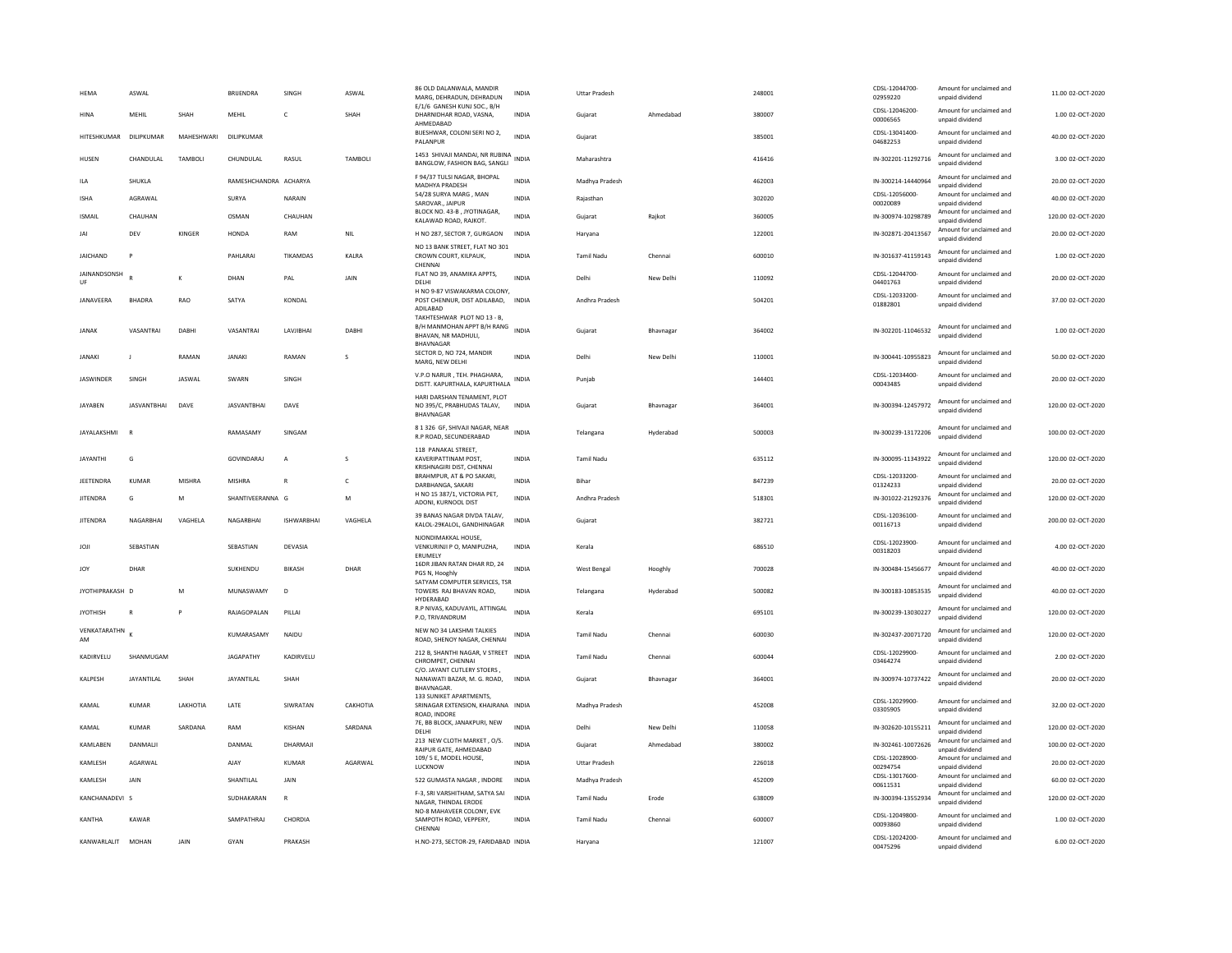| HEMA               | ASWAL              |            | <b>BRIJENDRA</b>      | SINGH             | ASWAL          | 86 OLD DALANWALA, MANDIR<br>MARG, DEHRADUN, DEHRADUN                          | INDIA        | <b>Uttar Pradesh</b> |           | 248001 | CDSL-12044700<br>02959220                   | Amount for unclaimed and<br>unpaid dividend                             | 11.00 02-OCT-2020  |
|--------------------|--------------------|------------|-----------------------|-------------------|----------------|-------------------------------------------------------------------------------|--------------|----------------------|-----------|--------|---------------------------------------------|-------------------------------------------------------------------------|--------------------|
| <b>HINA</b>        | MEHIL              | SHAH       | MEHIL                 | $\mathsf{C}$      | SHAH           | E/1/6 GANESH KUNJ SOC., B/H<br>DHARNIDHAR ROAD, VASNA,<br>AHMEDABAD           | INDIA        | Gujarat              | Ahmedabad | 380007 | CDSL-12046200-<br>00006565                  | Amount for unclaimed and<br>unpaid dividend                             | 1.00 02-OCT-2020   |
| HITESHKUMAR        | DILIPKUMAR         | MAHESHWARI | DILIPKUMAR            |                   |                | BIJESHWAR, COLONI SERI NO 2,<br>PALANPUR                                      | INDIA        | Gujarat              |           | 385001 | CDSL-13041400<br>04682253                   | Amount for unclaimed and<br>unpaid dividend                             | 40.00 02-OCT-2020  |
| HUSEN              | CHANDULAL          | TAMBOL     | CHUNDULAL             | RASUL             | <b>TAMBOLI</b> | 1453 SHIVAJI MANDAI, NR RUBINA<br>BANGLOW, FASHION BAG, SANGLI                | <b>INDIA</b> | Maharashtra          |           | 416416 | IN-302201-11292716                          | Amount for unclaimed and<br>unpaid dividend                             | 3.00 02-OCT-2020   |
| ILA                | SHUKLA             |            | RAMESHCHANDRA ACHARYA |                   |                | F 94/37 TULSI NAGAR, BHOPAL<br>MADHYA PRADESH                                 | <b>INDIA</b> | Madhya Pradesh       |           | 462003 | IN-300214-14440964                          | Amount for unclaimed and<br>unpaid dividend                             | 20.00 02-OCT-2020  |
| <b>ISHA</b>        | AGRAWAL            |            | SURYA                 | NARAIN            |                | 54/28 SURYA MARG, MAN<br>SAROVAR., JAIPUR                                     | <b>INDIA</b> | Raiasthan            |           | 302020 | CDSI-12056000<br>00020089                   | Amount for unclaimed and<br>unpaid dividend                             | 40.00 02-OCT-2020  |
| <b>ISMAIL</b>      | CHAUHAN            |            | OSMAN                 | CHAUHAN           |                | BLOCK NO. 43-B, JYOTINAGAR,<br>KALAWAD ROAD, RAJKOT.                          | <b>INDIA</b> | Gujarat              | Rajkot    | 360005 | IN-300974-10298789                          | Amount for unclaimed and<br>unpaid dividend                             | 120.00 02-OCT-2020 |
| JAI                | DEV                | KINGER     | HONDA                 | RAM               | <b>NIL</b>     | H NO 287, SECTOR 7, GURGAON                                                   | INDIA        | Haryana              |           | 122001 | IN-302871-20413567                          | Amount for unclaimed and<br>unpaid dividend                             | 20.00 02-OCT-2020  |
| <b>JAICHAND</b>    | P                  |            | PAHLARAI              | TIKAMDAS          | KALRA          | NO 13 BANK STREET, FLAT NO 301<br>CROWN COURT, KILPAUK,<br>CHENNA             | <b>INDIA</b> | <b>Tamil Nadu</b>    | Chennai   | 600010 | IN-301637-41159143                          | Amount for unclaimed and<br>unpaid dividend                             | 1.00 02-OCT-2020   |
| JAINANDSONSH<br>UF |                    | К          | DHAN                  | PAL               | JAIN           | FLAT NO 39, ANAMIKA APPTS,<br>DELHI                                           | <b>INDIA</b> | Delhi                | New Delhi | 110092 | CDSL-12044700<br>04401763                   | Amount for unclaimed and<br>unpaid dividend                             | 20.00 02-OCT-2020  |
| JANAVEERA          | <b>BHADRA</b>      | RAO        | SATYA                 | KONDAI            |                | H NO 9-87 VISWAKARMA COLONY<br>POST CHENNUR, DIST ADILABAD,<br>ADILABAD       | <b>INDIA</b> | Andhra Pradesh       |           | 504201 | CDSL-12033200-<br>01882801                  | Amount for unclaimed and<br>unpaid dividend                             | 37.00 02-OCT-2020  |
| <b>JANAK</b>       | VASANTRAI          | DABHI      | VASANTRAI             | LAVJIBHAI         | <b>DABH</b>    | TAKHTESHWAR PLOT NO 13 - B,<br>B/H MANMOHAN APPT B/H RANG                     | <b>INDIA</b> | Gujarat              | Bhavnaga  | 364002 | IN-302201-11046532                          | Amount for unclaimed and                                                | 1.00 02-OCT-2020   |
|                    |                    |            |                       |                   |                | BHAVAN, NR MADHULI,<br>BHAVNAGAE                                              |              |                      |           |        |                                             | unpaid dividend                                                         |                    |
| <b>JANAKI</b>      | $\mathbf{I}$       | RAMAN      | <b>JANAKI</b>         | RAMAN             | s              | SECTOR D, NO 724, MANDIR<br>MARG, NEW DELHI                                   | <b>INDIA</b> | Delhi                | New Delhi | 110001 | IN-300441-10955823                          | Amount for unclaimed and<br>unpaid dividend                             | 50.00 02-OCT-2020  |
| <b>JASWINDER</b>   | SINGH              | JASWAL     | SWARN                 | SINGH             |                | V.P.O NARUR, TEH. PHAGHARA,<br>DISTT. KAPURTHALA, KAPURTHALA                  | <b>INDIA</b> | Punjab               |           | 144401 | CDSL-12034400-<br>00043485                  | Amount for unclaimed and<br>unpaid dividend                             | 20.00 02-OCT-2020  |
| JAYABEN            | <b>JASVANTBHAI</b> | DAVE       | <b>JASVANTBHAI</b>    | DAVE              |                | HARI DARSHAN TENAMENT, PLOT<br>NO 395/C. PRABHUDAS TALAV.<br>BHAVNAGAR        | <b>INDIA</b> | Guiarat              | Bhaynagar | 364001 | IN-300394-12457972                          | Amount for unclaimed and<br>unpaid dividend                             | 120.00 02-OCT-2020 |
| <b>JAYALAKSHMI</b> |                    |            | RAMASAMY              | SINGAM            |                | 8 1 326 GF, SHIVAJI NAGAR, NEAR<br>R.P ROAD, SECUNDERABAD                     | <b>INDIA</b> | Telangana            | Hyderabad | 500003 | IN-300239-13172206                          | Amount for unclaimed and<br>unpaid dividend                             | 100.00 02-OCT-2020 |
| <b>JAYANTHI</b>    | G                  |            | <b>GOVINDARAJ</b>     | $\overline{A}$    | s              | 118 PANAKAL STREET.<br>KAVERIPATTINAM POST,<br>KRISHNAGIRI DIST. CHENNAI      | <b>INDIA</b> | <b>Tamil Nadu</b>    |           | 635112 | IN-300095-11343922                          | Amount for unclaimed and<br>unpaid dividend                             | 120.00 02-OCT-2020 |
| <b>IFFTENDRA</b>   | KUMAR              | MISHRA     | <b>MISHRA</b>         | $\mathbb{R}$      | $\epsilon$     | BRAHMPUR, AT & PO SAKARI,<br>DARBHANGA, SAKARI                                | <b>INDIA</b> | <b>Bihar</b>         |           | 847239 | CDSL-12033200<br>01324233                   | Amount for unclaimed and<br>unpaid dividend                             | 20.00.02-OCT-2020  |
| <b>JITENDRA</b>    | G                  | M          | SHANTIVEERANNA G      |                   | M              | H NO 15 387/1, VICTORIA PET,<br>ADONI, KURNOOL DIST                           | <b>INDIA</b> | Andhra Pradesh       |           | 518301 | IN-301022-21292376                          | Amount for unclaimed and<br>unpaid dividend                             | 120.00 02-OCT-2020 |
| <b>JITENDRA</b>    | NAGARBHAI          | VAGHELA    | NAGARBHAI             | <b>ISHWARBHAI</b> | VAGHELA        | 39 BANAS NAGAR DIVDA TALAV,<br>KALOL-29KALOL, GANDHINAGAR                     | <b>INDIA</b> | Gujarat              |           | 382721 | CDSL-12036100-<br>00116713                  | Amount for unclaimed and<br>unpaid dividend                             | 200.00 02-OCT-2020 |
| <b>JOJI</b>        | SEBASTIAN          |            | SEBASTIAN             | DEVASIA           |                | NJONDIMAKKAL HOUSE<br>VENKURINJI P O, MANIPUZHA,<br>ERUMELY                   | INDIA        | Kerala               |           | 686510 | CDSL-12023900<br>00318203                   | Amount for unclaimed and<br>unpaid dividend                             | 4.00 02-OCT-2020   |
| JOY                | DHAR               |            | SUKHENDU              | <b>BIKASH</b>     | DHAR           | 16DR JIBAN RATAN DHAR RD, 24<br>PGS N, Hooghly                                | <b>INDIA</b> | West Bengal          | Hooghly   | 700028 | IN-300484-15456677                          | Amount for unclaimed and<br>unpaid dividend                             | 40.00 02-OCT-2020  |
| IYOTHIPRAKASH D    |                    | M          | MUNASWAMY             | D <sub>1</sub>    |                | SATYAM COMPUTER SERVICES, TSR<br>TOWERS RAJ BHAVAN ROAD,<br>HYDERABAD         | <b>INDIA</b> | Telangana            | Hyderabad | 500082 | IN-300183-10853535                          | Amount for unclaimed and                                                | 40.00 02-OCT-2020  |
| <b>JYOTHISH</b>    | $\overline{R}$     |            |                       |                   |                |                                                                               |              |                      |           |        |                                             | unpaid dividend                                                         |                    |
| VENKATARATHN<br>AM |                    |            | RAJAGOPALAN           | PILLA             |                | R.P NIVAS, KADUVAYIL, ATTINGAL<br>P.O, TRIVANDRUM                             | <b>INDIA</b> | Kerala               |           | 695101 | IN-300239-13030227                          | Amount for unclaimed and<br>unpaid dividend                             | 120.00 02-OCT-2020 |
|                    |                    |            | KUMARASAMY            | NAIDU             |                | NEW NO 34 LAKSHMI TALKIES<br>ROAD, SHENOY NAGAR, CHENNAI                      | INDIA        | <b>Tamil Nadu</b>    | Chennai   | 600030 | IN-302437-20071720                          | Amount for unclaimed and<br>unnaid dividend                             | 120.00 02-OCT-2020 |
| KADIRVELU          | SHANMUGAM          |            | <b>JAGAPATHY</b>      | KADIRVELU         |                | 212 B, SHANTHI NAGAR, V STREET<br>CHROMPET, CHENNA                            | <b>INDIA</b> | <b>Tamil Nadu</b>    | Chennai   | 600044 | CDSL-12029900-<br>03464274                  | Amount for unclaimed and<br>unpaid dividend                             | 2.00 02-OCT-2020   |
| KALPESH            | JAYANTILAL         | SHAH       | <b>JAYANTILAL</b>     | SHAH              |                | C/O. JAYANT CUTLERY STOERS<br>NANAWATI BAZAR, M. G. ROAD,<br><b>BHAVNAGAR</b> | <b>INDIA</b> | Gujarat              | Bhavnagar | 364001 | IN-300974-10737422                          | Amount for unclaimed and<br>unpaid dividend                             | 20.00 02-OCT-2020  |
| KAMAL              | <b>KUMAR</b>       | LAKHOTIA   | LATE                  | SIWRATAN          | CAKHOTIA       | 133 SUNIKET APARTMENTS,<br>SRINAGAR EXTENSION, KHAJRANA INDIA<br>ROAD, INDORE |              | Madhya Pradesh       |           | 452008 | CDSL-12029900-<br>03305905                  | Amount for unclaimed and<br>unpaid dividend                             | 32.00 02-OCT-2020  |
| KAMAL              | <b>KUMAR</b>       | SARDANA    | RAM                   | KISHAN            | SARDANA        | 7E, BB BLOCK, JANAKPURI, NEW<br>DELHI                                         | INDIA        | Delhi                | New Delhi | 110058 | IN-302620-10155211                          | Amount for unclaimed and<br>unpaid dividend                             | 120.00 02-OCT-2020 |
| KAMLABEN           | DANMALI            |            | DANMA                 | DHARMAJI          |                | 213 NEW CLOTH MARKET, O/S.<br>RAIPUR GATE, AHMEDABAD                          | <b>INDIA</b> | Gujarat              | Ahmedabad | 380002 | IN-302461-10072626                          | Amount for unclaimed and<br>unpaid dividend                             | 100.00 02-OCT-2020 |
| KAMLESH            | AGARWAL            |            | AJAY                  | <b>KUMAR</b>      | AGARWAL        | 109/5 E, MODEL HOUSE,<br>LUCKNOW                                              | <b>INDIA</b> | <b>Uttar Pradesh</b> |           | 226018 | CDSL-12028900-<br>00294754                  | Amount for unclaimed and<br>unpaid dividend                             | 20.00 02-OCT-2020  |
| KAMLESH            | <b>JAIN</b>        |            | SHANTILAI             | <b>JAIN</b>       |                | 522 GUMASTA NAGAR . INDORE                                                    | INDIA        | Madhya Pradesh       |           | 452009 | CDSL-13017600<br>00611531                   | Amount for unclaimed and<br>unpaid dividend                             | 60.00 02-OCT-2020  |
| KANCHANADEVI S     |                    |            | SUDHAKARAN            | $\mathbb{R}$      |                | F-3, SRI VARSHITHAM, SATYA SAI<br>NAGAR, THINDAL ERODE                        | <b>INDIA</b> | <b>Tamil Nadu</b>    | Erode     | 638009 | IN-300394-13552934                          | Amount for unclaimed and<br>unpaid dividend                             | 120.00 02-OCT-2020 |
| KANTHA             | KAWAR              |            | SAMPATHRAJ            | CHORDIA           |                | NO-8 MAHAVEER COLONY, EVK<br>SAMPOTH ROAD, VEPPERY,<br>CHENNAI                | <b>INDIA</b> | Tamil Nadu           | Chennai   | 600007 | CDSL-12049800<br>00093860<br>CDSL-12024200- | Amount for unclaimed and<br>unpaid dividend<br>Amount for unclaimed and | 1.00 02-OCT-2020   |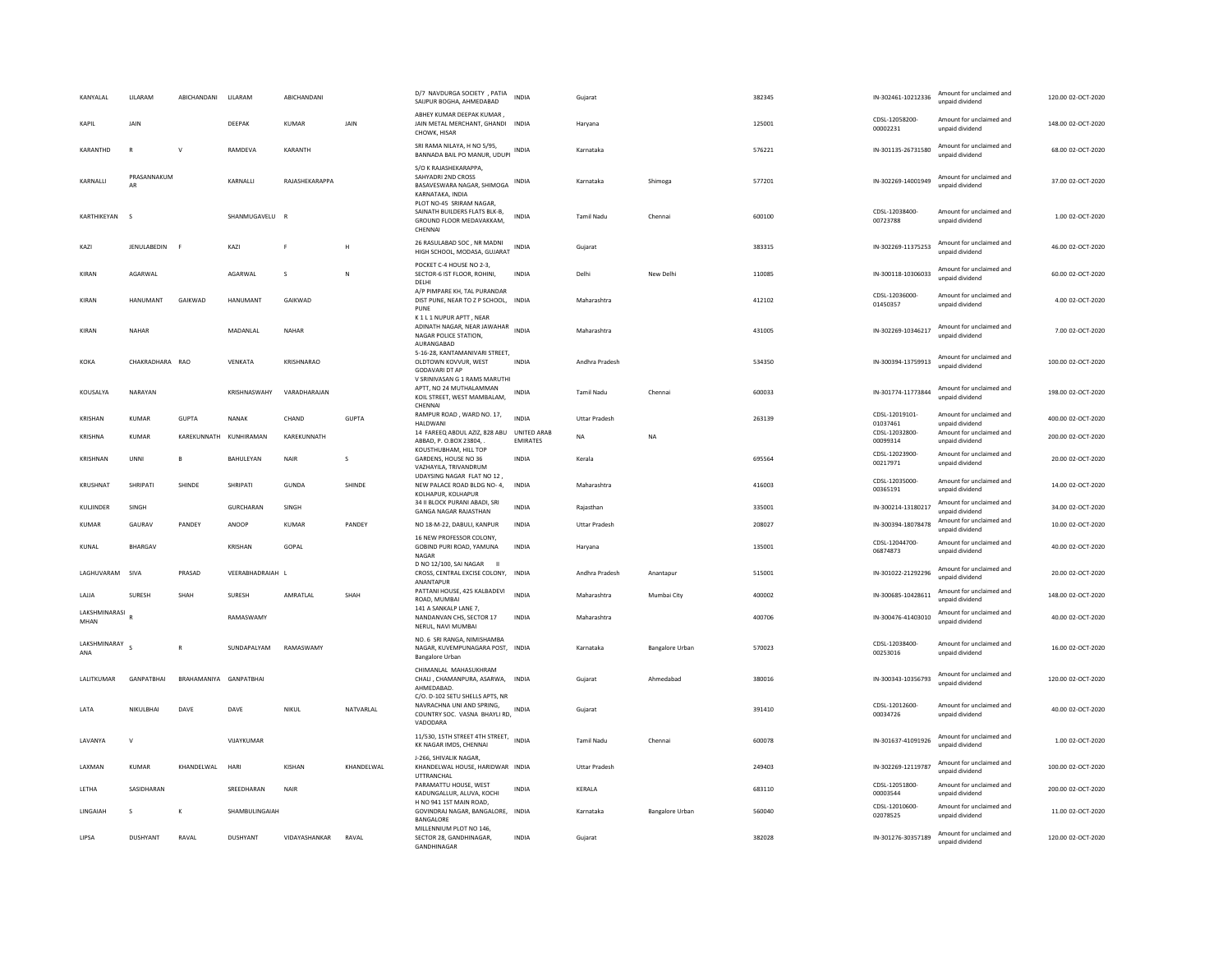| KANYALAL              | <b>I II ARAM</b>  | ARICHANDANI            | <b>III ARAM</b>        | ARICHANDANI    |            | D/7 NAVDURGA SOCIETY , PATIA<br>SAIJPUR BOGHA, AHMEDABAD                                                         | <b>INDIA</b>            | Gujarat              |                 | 382345 | IN-302461-10212336         | Amount for unclaimed and<br>unpaid dividend | 120.00 02-OCT-2020 |
|-----------------------|-------------------|------------------------|------------------------|----------------|------------|------------------------------------------------------------------------------------------------------------------|-------------------------|----------------------|-----------------|--------|----------------------------|---------------------------------------------|--------------------|
| KAPIL                 | JAIN              |                        | DEEPAK                 | KUMAR          | JAIN       | ABHEY KUMAR DEEPAK KUMAR<br>JAIN METAL MERCHANT, GHANDI INDIA<br>CHOWK, HISAR                                    |                         | Haryana              |                 | 125001 | CDSL-12058200-<br>00002231 | Amount for unclaimed and<br>unpaid dividend | 148.00 02-OCT-2020 |
| KARANTHD              | $\mathbb{R}$      | $\mathsf{v}$           | RAMDEVA                | KARANTH        |            | SRI RAMA NILAYA, H NO 5/95,<br>BANNADA BAIL PO MANUR, UDUPI                                                      | INDIA                   | Karnataka            |                 | 576221 | IN-301135-26731580         | Amount for unclaimed and<br>unpaid dividend | 68.00.02-OCT-2020  |
| KARNALLI              | PRASANNAKUM<br>AR |                        | KARNALLI               | RAJASHEKARAPPA |            | S/O K RAJASHEKARAPPA.<br>SAHYADRI 2ND CROSS<br>BASAVESWARA NAGAR, SHIMOGA<br>KARNATAKA, INDIA                    | INDIA                   | Karnataka            | Shimoga         | 577201 | IN-302269-14001949         | Amount for unclaimed and<br>unpaid dividend | 37.00 02-OCT-2020  |
| KARTHIKEYAN           | $\sim$            |                        | SHANMUGAVELU           | - B            |            | PLOT NO-45 SRIRAM NAGAR,<br>SAINATH BUILDERS FLATS BLK-B,<br>GROUND FLOOR MEDAVAKKAM,<br>CHENNAL                 | <b>INDIA</b>            | <b>Tamil Nadu</b>    | Chennai         | 600100 | CDSL-12038400<br>00723788  | Amount for unclaimed and<br>unpaid dividend | 1.00 02-OCT-2020   |
| KAZI                  | JENULABEDIN F     |                        | KAZI                   | F              | H          | 26 RASULABAD SOC, NR MADNI<br>HIGH SCHOOL, MODASA, GUJARAT INDIA                                                 |                         | Gujarat              |                 | 383315 | IN-302269-11375253         | Amount for unclaimed and<br>unpaid dividend | 46.00 02-OCT-2020  |
| KIRAN                 | AGARWAL           |                        | AGARWAL                | s              | N          | POCKET C-4 HOUSE NO 2-3.<br>SECTOR-6 IST FLOOR, ROHINI,<br>DELHI                                                 | INDIA                   | Delhi                | New Delh        | 110085 | IN-300118-10306033         | Amount for unclaimed and<br>unpaid dividend | 60.00 02-OCT-2020  |
| KIRAN                 | HANUMANT          | GAIKWAD                | HANUMANT               | GAIKWAD        |            | A/P PIMPARE KH, TAL PURANDAR<br>DIST PUNE, NEAR TO Z P SCHOOL, INDIA<br>PUNE                                     |                         | Maharashtra          |                 | 412102 | CDSL-12036000<br>01450357  | Amount for unclaimed and<br>unpaid dividend | 4.00 02-OCT-2020   |
| KIRAN                 | NAHAR             |                        | MADANLAL               | <b>NAHAR</b>   |            | K1L1NUPUR APTT, NEAR<br>ADINATH NAGAR, NEAR JAWAHAR INDIA<br>NAGAR POLICE STATION.<br>AURANGABAD                 |                         | Maharashtra          |                 | 431005 | IN-302269-10346217         | Amount for unclaimed and<br>unpaid dividend | 7.00 02-OCT-2020   |
| KOKA                  | CHAKRADHARA RAO   |                        | VFNKATA                | KRISHNARAO     |            | 5-16-28, KANTAMANIVARI STREET,<br>OLDTOWN KOVVUR, WEST<br><b>GODAVARI DT AP</b><br>V SRINIVASAN G 1 RAMS MARUTHI | <b>INDIA</b>            | Andhra Pradesh       |                 | 534350 | IN-300394-13759913         | Amount for unclaimed and<br>unnaid dividend | 100.00 02-OCT-2020 |
| KOUSALYA              | NARAYAN           |                        | KRISHNASWAHY           | VARADHARAJAN   |            | APTT, NO 24 MUTHALAMMAN<br>KOIL STREET, WEST MAMBALAM,<br>CHENNA                                                 | <b>INDIA</b>            | Tamil Nadu           | Chennai         | 600033 | IN-301774-11773844         | Amount for unclaimed and<br>unnaid dividend | 198.00 02-OCT-2020 |
| KRISHAN               | KUMAR             | <b>GUPTA</b>           | NANAK                  | CHAND          | GUPTA      | RAMPUR ROAD, WARD NO. 17,<br><b>HALDWAN</b>                                                                      | <b>INDIA</b>            | <b>Uttar Pradesh</b> |                 | 263139 | CDSL-12019101-<br>01037461 | Amount for unclaimed and<br>unpaid dividend | 400.00 02-OCT-2020 |
| KRISHNA               | <b>KUMAR</b>      |                        | KAREKUNNATH KUNHIRAMAN | KAREKUNNATH    |            | 14 FAREEQ ABDUL AZIZ, 828 ABU<br>ABBAD, P. O.BOX 23804, .<br>KOUSTHUBHAM, HILL TOP                               | UNITED ARAB<br>EMIRATES | <b>NA</b>            | <b>NA</b>       |        | CDSL-12032800<br>00099314  | Amount for unclaimed and<br>unpaid dividend | 200.00 02-OCT-2020 |
| KRISHNAN              | UNNI              | B                      | BAHULEYAN              | <b>NAIR</b>    | s          | GARDENS, HOUSE NO 36<br>VAZHAYILA, TRIVANDRUM                                                                    | <b>INDIA</b>            | Kerala               |                 | 695564 | CDSL-12023900-<br>00217971 | Amount for unclaimed and<br>unpaid dividend | 20.00 02-OCT-2020  |
| KRUSHNAT              | SHRIPATI          | SHINDE                 | SHRIPATI               | <b>GUNDA</b>   | SHINDE     | UDAYSING NAGAR FLAT NO 12,<br>NEW PALACE ROAD BLDG NO-4.<br>KOLHAPUR, KOLHAPUR                                   | <b>INDIA</b>            | Maharashtra          |                 | 416003 | CDSI-12035000-<br>00365191 | Amount for unclaimed and<br>unpaid dividend | 14.00 02-OCT-2020  |
| KULJINDER             | SINGH             |                        | GURCHARAN              | SINGH          |            | 34 II BLOCK PURANI ABADI, SRI<br><b>GANGA NAGAR RAJASTHAN</b>                                                    | <b>INDIA</b>            | Rajasthan            |                 | 335001 | IN-300214-13180217         | Amount for unclaimed and<br>unpaid dividend | 34.00 02-OCT-2020  |
| KUMAR                 | GAURAV            | PANDEY                 | ANOOP                  | <b>KUMAR</b>   | PANDEY     | NO 18-M-22, DABULI, KANPUR<br>16 NEW PROFESSOR COLONY,                                                           | INDIA                   | <b>Uttar Pradesh</b> |                 | 208027 | IN-300394-18078478         | Amount for unclaimed and<br>unnaid dividend | 10.00 02-OCT-2020  |
| KUNAL                 | <b>BHARGAV</b>    |                        | <b>KRISHAN</b>         | GOPAL          |            | GOBIND PURI ROAD, YAMUNA<br>NAGAR<br>D NO 12/100, SAI NAGAR                                                      | <b>INDIA</b>            | Harvana              |                 | 135001 | CDSL-12044700-<br>06874873 | Amount for unclaimed and<br>unpaid dividend | 40.00 02-OCT-2020  |
| LAGHUVARAM            | SIVA              | PRASAD                 | VEERABHADRAIAH L       |                |            | CROSS, CENTRAL EXCISE COLONY, INDIA<br>ANANTAPUR                                                                 |                         | Andhra Pradesh       | Anantapur       | 515001 | IN-301022-21292296         | Amount for unclaimed and<br>unnaid dividend | 20.00 02-OCT-2020  |
| <b>JAIIA</b>          | <b>SURFSH</b>     | SHAH                   | <b>SURFSH</b>          | AMRATI AI      | SHAH       | PATTANI HOUSE, 425 KALBADEVI<br>ROAD, MUMBAI<br>141 A SANKALP LANE 7,                                            | <b>INDIA</b>            | Maharashtra          | Mumbai City     | 400002 | IN-300685-10428611         | Amount for unclaimed and<br>unpaid dividend | 148.00 02-OCT-2020 |
| LAKSHMINARASI<br>MHAN |                   |                        | RAMASWAMY              |                |            | NANDANVAN CHS. SECTOR 17<br>NERUL, NAVI MUMBAI                                                                   | <b>INDIA</b>            | Maharashtra          |                 | 400706 | IN-300476-41403010         | Amount for unclaimed and<br>unpaid dividend | 40.00 02-OCT-2020  |
| LAKSHMINARAY<br>ANA   |                   | $\overline{R}$         | SUNDAPALYAM            | RAMASWAMY      |            | NO. 6 SRI RANGA, NIMISHAMBA<br>NAGAR, KUVEMPUNAGARA POST, INDIA<br><b>Bangalore Urbar</b>                        |                         | Karnataka            | Bangalore Urban | 570023 | CDSI-12038400-<br>00253016 | Amount for unclaimed and<br>unpaid dividend | 16.00 02-OCT-2020  |
| <b>I ALITKUMAR</b>    | <b>GANPATRHAI</b> | BRAHAMANIYA GANPATRHAI |                        |                |            | CHIMANLAL MAHASUKHRAM<br>CHALI, CHAMANPURA, ASARWA, INDIA<br>AHMEDABAD<br>C/O. D-102 SETU SHELLS APTS. NR        |                         | Guiarat              | Ahmedahad       | 380016 | IN-300343-10356793         | Amount for unclaimed and<br>unpaid dividend | 120.00.02-OCT-2020 |
| LATA                  | NIKULBHAI         | DAVE                   | DAVE                   | NIKUL          | NATVARLAL  | NAVRACHNA UNI AND SPRING,<br>COUNTRY SOC. VASNA BHAYLI RD,<br>VADODARA                                           | INDIA                   | Gujarat              |                 | 391410 | CDSL-12012600-<br>00034726 | Amount for unclaimed and<br>unpaid dividend | 40.00 02-OCT-2020  |
| LAVANYA               | $\mathsf{V}$      |                        | VIJAYKUMAR             |                |            | 11/530, 15TH STREET 4TH STREET, INDIA<br>KK NAGAR IMDS, CHENNAI                                                  |                         | Tamil Nadu           | Chennai         | 600078 | IN-301637-41091926         | Amount for unclaimed and<br>unpaid dividend | 1.00 02-OCT-2020   |
| LAXMAN                | KUMAR             | KHANDELWAL             | HARI                   | KISHAN         | KHANDELWAL | J-266, SHIVALIK NAGAR,<br>KHANDELWAL HOUSE, HARIDWAR INDIA<br>UTTRANCHAL                                         |                         | <b>Uttar Pradesh</b> |                 | 249403 | IN-302269-12119787         | Amount for unclaimed and<br>unpaid dividend | 100.00 02-OCT-2020 |
| LETHA                 | SASIDHARAN        |                        | SREEDHARAN             | <b>NAIR</b>    |            | PARAMATTU HOUSE, WEST<br>KADUNGALLUR, ALUVA, KOCHI                                                               | <b>INDIA</b>            | KERALA               |                 | 683110 | CDSL-12051800-<br>00003544 | Amount for unclaimed and<br>unpaid dividend | 200.00 02-OCT-2020 |
| <b>IINGAIAH</b>       | $\mathbf{S}$      | K                      | <b>SHAMBULINGAIAH</b>  |                |            | H NO 941 1ST MAIN ROAD,<br>GOVINDRAJ NAGAR, BANGALORE, INDIA<br>BANGALORE                                        |                         | Karnataka            | Bangalore Urban | 560040 | CDSL-12010600-<br>02078525 | Amount for unclaimed and<br>unpaid dividend | 11.00.02-OCT-2020  |
| LIPSA                 | <b>DUSHYANT</b>   | RAVAL                  | <b>DUSHYANT</b>        | VIDAYASHANKAR  | RAVAL      | MILLENNIUM PLOT NO 146<br>SECTOR 28, GANDHINAGAR,<br><b>GANDHINAGAR</b>                                          | <b>INDIA</b>            | Gujarat              |                 | 382028 | IN-301276-30357189         | Amount for unclaimed and<br>unpaid dividend | 120.00 02-OCT-2020 |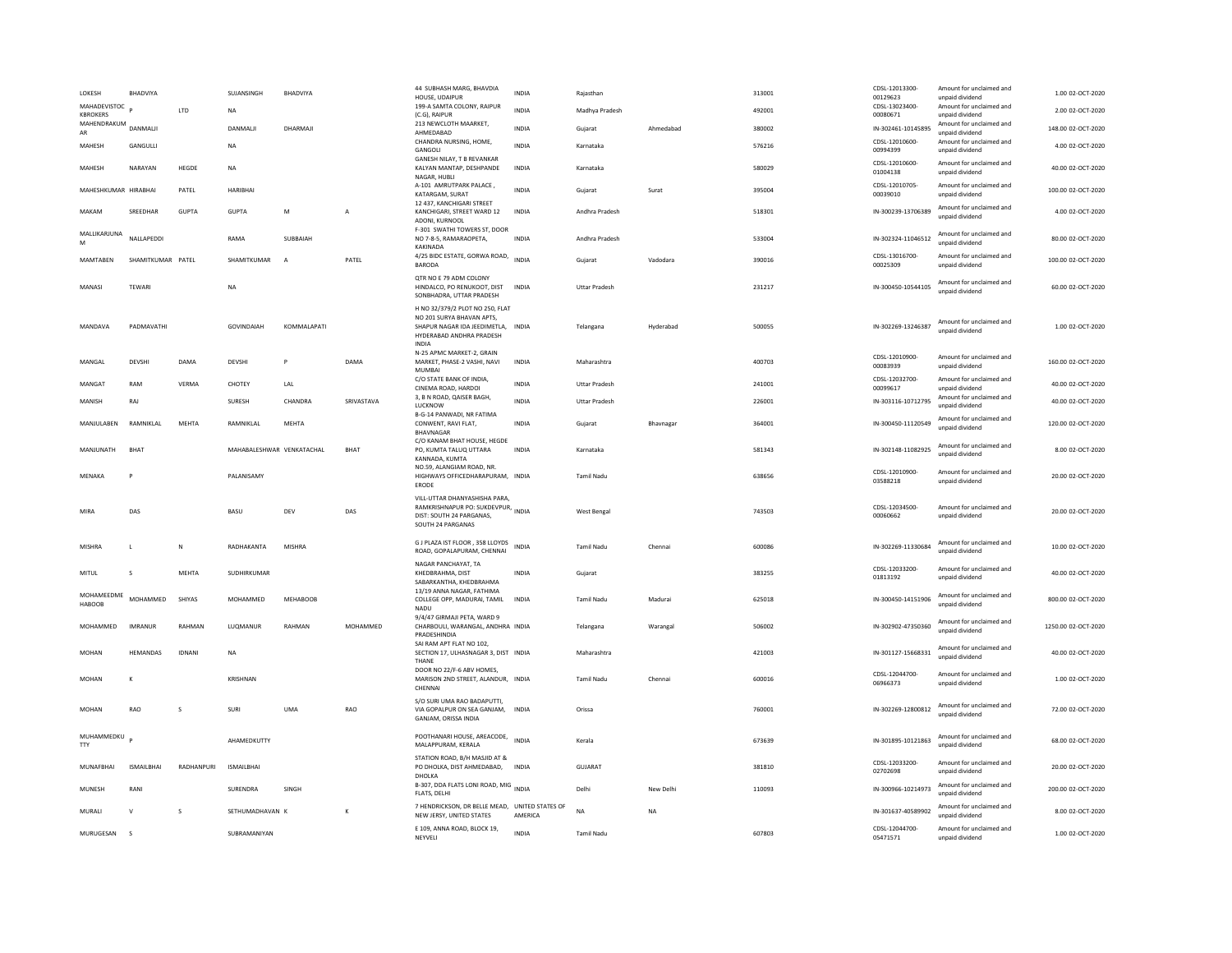| LOKESH                          | <b>BHADVIYA</b>   |               | SUJANSINGH                | <b>BHADVIYA</b> |                | 44 SUBHASH MARG, BHAVDIA<br>HOUSE, UDAIPUR                                                                               | <b>INDIA</b> | Rajasthan            |           | 313001 | CDSL-12013300-<br>00129623 | Amount for unclaimed and<br>unpaid dividend | 1.00 02-OCT-2020    |
|---------------------------------|-------------------|---------------|---------------------------|-----------------|----------------|--------------------------------------------------------------------------------------------------------------------------|--------------|----------------------|-----------|--------|----------------------------|---------------------------------------------|---------------------|
| MAHADEVISTOC<br><b>KBROKERS</b> |                   | LTD           | <b>NA</b>                 |                 |                | 199-A SAMTA COLONY, RAIPUR<br>(C.G), RAIPUR                                                                              | <b>INDIA</b> | Madhya Pradesh       |           | 492001 | CDSL-13023400-<br>00080671 | Amount for unclaimed and<br>unpaid dividend | 2.00 02-OCT-2020    |
| MAHENDRAKUM<br>AR               | DANMALI           |               | DANMALJI                  | DHARMAJI        |                | 213 NEWCLOTH MAARKET.<br>AHMEDABAD                                                                                       | <b>INDIA</b> | Gujarat              | Ahmedabad | 380002 | IN-302461-10145895         | Amount for unclaimed and<br>unpaid dividend | 148.00 02-OCT-2020  |
| MAHESH                          | GANGULLI          |               | <b>NA</b>                 |                 |                | CHANDRA NURSING, HOME,<br>GANGOLI                                                                                        | INDIA        | Karnataka            |           | 576216 | CDSL-12010600-<br>00994399 | Amount for unclaimed and<br>unpaid dividend | 4.00 02-OCT-2020    |
| MAHESH                          | NARAYAN           | HEGDE         | <b>NA</b>                 |                 |                | <b>GANESH NILAY, T B REVANKAR</b><br>KALYAN MANTAP, DESHPANDE<br>NAGAR, HUBLI                                            | INDIA        | Karnataka            |           | 580029 | CDSL-12010600-<br>01004138 | Amount for unclaimed and<br>unpaid dividend | 40.00 02-OCT-2020   |
| MAHFSHKUMAR HIRARHAI            |                   | PATEL         | <b>HARIBHAI</b>           |                 |                | A-101 AMRUTPARK PALACE,<br>KATARGAM, SURAT                                                                               | <b>INDIA</b> | Guiarat              | Surat     | 395004 | CDSL-12010705-<br>00039010 | Amount for unclaimed and<br>unpaid dividend | 100.00.02-OCT-2020  |
| MAKAM                           | SREEDHAR          | <b>GUPTA</b>  | <b>GUPTA</b>              | M               | $\overline{A}$ | 12 437, KANCHIGARI STREET<br>KANCHIGARI, STREET WARD 12<br>ADONI, KURNOOL                                                | INDIA        | Andhra Pradesh       |           | 518301 | IN-300239-13706389         | Amount for unclaimed and<br>unpaid dividend | 4.00 02-OCT-2020    |
| MALLIKARJUNA<br>M               | NALLAPEDDI        |               | RAMA                      | SUBBAIAH        |                | F-301 SWATHI TOWERS ST, DOOR<br>NO 7-8-5, RAMARAOPETA,<br><b>KAKINADA</b>                                                | INDIA        | Andhra Pradesh       |           | 533004 | IN-302324-11046512         | Amount for unclaimed and<br>unpaid dividend | 80.00 02-OCT-2020   |
| MAMTABEN                        | SHAMITKUMAR PATEL |               | SHAMITKUMAR               | $\overline{A}$  | PATEL          | 4/25 BIDC ESTATE, GORWA ROAD, INDIA<br><b>BARODA</b>                                                                     |              | Gujarat              | Vadodara  | 390016 | CDSL-13016700-<br>00025309 | Amount for unclaimed and<br>unpaid dividend | 100.00 02-OCT-2020  |
| MANASI                          | TEWARI            |               | <b>NA</b>                 |                 |                | QTR NO E 79 ADM COLONY<br>HINDALCO, PO RENUKOOT, DIST<br>SONBHADRA, UTTAR PRADESH                                        | <b>INDIA</b> | <b>Uttar Pradesh</b> |           | 231217 | IN-300450-10544105         | Amount for unclaimed and<br>unpaid dividend | 60.00 02-OCT-2020   |
| MANDAVA                         | PADMAVATHI        |               | <b>GOVINDAIAH</b>         | KOMMALAPATI     |                | H NO 32/379/2 PLOT NO 250, FLAT<br>NO 201 SURYA BHAVAN APTS,<br>SHAPUR NAGAR IDA JEEDIMETLA.<br>HYDERABAD ANDHRA PRADESH | <b>INDIA</b> | Telangana            | Hyderabad | 500055 | IN-302269-13246387         | Amount for unclaimed and<br>unpaid dividend | 1.00 02-OCT-2020    |
| MANGAL                          | DEVSHI            | DAMA          | DEVSHI                    | $\overline{P}$  | DAMA           | <b>INDIA</b><br>N-25 APMC MARKET-2, GRAIN<br>MARKET, PHASE-2 VASHI, NAVI<br>MUMBAI                                       | <b>INDIA</b> | Maharashtra          |           | 400703 | CDSL-12010900-<br>00083939 | Amount for unclaimed and<br>unpaid dividend | 160.00 02-OCT-2020  |
| MANGA1                          | RAM               | VERMA         | CHOTEY                    | LAL             |                | C/O STATE BANK OF INDIA,<br>CINEMA ROAD, HARDOI                                                                          | <b>INDIA</b> | <b>Uttar Pradesh</b> |           | 241001 | CDSL-12032700-<br>00099617 | Amount for unclaimed and<br>unpaid dividend | 40.00 02-OCT-2020   |
| MANISH                          | RAJ               |               | SURESH                    | CHANDRA         | SRIVASTAVA     | 3. B N ROAD, OAISER BAGH.<br>LUCKNOW                                                                                     | <b>INDIA</b> | <b>Uttar Pradesh</b> |           | 226001 | IN-303116-10712795         | Amount for unclaimed and<br>unpaid dividend | 40.00 02-OCT-2020   |
| MANJULABEN                      | RAMNIKLAL         | MEHTA         | RAMNIKLAL                 | MEHTA           |                | B-G-14 PANWADI, NR FATIMA<br>CONWENT, RAVI FLAT,<br><b>BHAVNAGAI</b>                                                     | INDIA        | Gujarat              | Bhavnagar | 364001 | IN-300450-11120549         | Amount for unclaimed and<br>unpaid dividend | 120.00 02-OCT-2020  |
| MANJUNATH                       | <b>BHAT</b>       |               | MAHABALESHWAR VENKATACHAL |                 | <b>BHAT</b>    | C/O KANAM BHAT HOUSE, HEGDE<br>PO. KUMTA TALUQ UTTARA                                                                    | <b>INDIA</b> | Karnataka            |           | 581343 | IN-302148-11082925         | Amount for unclaimed and<br>unpaid dividend | 8.00 02-OCT-2020    |
|                                 |                   |               |                           |                 |                | KANNADA, KUMTA                                                                                                           |              |                      |           |        |                            |                                             |                     |
| MENAKA                          | P                 |               | PALANISAMY                |                 |                | NO.59, ALANGIAM ROAD, NR<br>HIGHWAYS OFFICEDHARAPURAM, INDIA<br>ERODE                                                    |              | <b>Tamil Nadu</b>    |           | 638656 | CDSL-12010900-<br>03588218 | Amount for unclaimed and<br>unpaid dividend | 20.00 02-OCT-2020   |
| MIRA                            | DAS               |               | <b>BASU</b>               | DFV             | DAS            | VILL-UTTAR DHANYASHISHA PARA,<br>RAMKRISHNAPUR PO: SUKDEVPUR, INDIA<br>DIST: SOUTH 24 PARGANAS,<br>SOUTH 24 PARGANAS     |              | West Bengal          |           | 743503 | CDSL-12034500<br>00060662  | Amount for unclaimed and<br>unpaid dividend | 20.00.02-OCT-2020   |
| <b>MISHRA</b>                   | L                 | N             | RADHAKANTA                | MISHRA          |                | G J PLAZA IST FLOOR, 358 LLOYDS<br>ROAD, GOPALAPURAM, CHENNAI                                                            | <b>INDIA</b> | <b>Tamil Nadu</b>    | Chennai   | 600086 | IN-302269-11330684         | Amount for unclaimed and<br>unpaid dividend | 10.00 02-OCT-2020   |
| MITUL                           | s                 | MEHTA         | SUDHIRKUMAR               |                 |                | NAGAR PANCHAYAT, TA<br>KHEDBRAHMA, DIST<br>SABARKANTHA, KHEDBRAHMA                                                       | <b>INDIA</b> | Gujarat              |           | 383255 | CDSL-12033200-<br>01813192 | Amount for unclaimed and<br>unnaid dividend | 40.00 02-OCT-2020   |
| MOHAMEEDME<br>HABOOB            | <b>MOHAMMED</b>   | SHIYAS        | MOHAMMED                  | <b>MEHABOOB</b> |                | 13/19 ANNA NAGAR, FATHIMA<br>COLLEGE OPP, MADURAI, TAMIL<br>NADU                                                         | <b>INDIA</b> | <b>Tamil Nadu</b>    | Madurai   | 625018 | IN-300450-14151906         | Amount for unclaimed and<br>unpaid dividend | 800.00 02-OCT-2020  |
| MOHAMMED                        | <b>IMRANUR</b>    | RAHMAN        | LUOMANUR                  | RAHMAN          | MOHAMMED       | 9/4/47 GIRMAJI PETA, WARD 9<br>CHARBOULI, WARANGAL, ANDHRA INDIA<br>PRADESHINDIA                                         |              | Telangana            | Warangal  | 506002 | IN-302902-47350360         | Amount for unclaimed and<br>unnaid dividend | 1250.00 02-OCT-2020 |
| <b>MOHAN</b>                    | HEMANDAS          | <b>IDNANI</b> | <b>NA</b>                 |                 |                | SAI RAM APT FLAT NO 102.<br>SECTION 17, ULHASNAGAR 3, DIST INDIA<br>THANE                                                |              | Maharashtra          |           | 421003 | IN-301127-15668331         | Amount for unclaimed and<br>unpaid dividend | 40.00 02-OCT-2020   |
| <b>MOHAN</b>                    | K                 |               | KRISHNAN                  |                 |                | DOOR NO 22/F-6 ABV HOMES,<br>MARISON 2ND STREET, ALANDUR, INDIA<br>CHENNA                                                |              | Tamil Nadu           | Chennai   | 600016 | CDSL-12044700-<br>06966373 | Amount for unclaimed and<br>unpaid dividend | 1.00 02-OCT-2020    |
| MOHAN                           | RAO               | s             | <b>SURI</b>               | <b>UMA</b>      | RAO            | S/O SURI UMA RAO BADAPUTTI,<br>VIA GOPALPUR ON SEA GANJAM,<br>GANJAM, ORISSA INDIA                                       | <b>INDIA</b> | Orissa               |           | 760001 | IN-302269-12800812         | Amount for unclaimed and<br>unpaid dividend | 72.00 02-OCT-2020   |
| MUHAMMEDKU p<br><b>TTY</b>      |                   |               | AHAMEDKUTTY               |                 |                | POOTHANARI HOUSE, AREACODE,<br>MALAPPURAM, KERALA                                                                        | <b>INDIA</b> | Kerala               |           | 673639 | IN-301895-10121863         | Amount for unclaimed and<br>unpaid dividend | 68.00 02-OCT-2020   |
| <b>MUNAFBHAI</b>                | <b>ISMAILBHAI</b> | RADHANPURI    | <b>ISMAILBHAI</b>         |                 |                | STATION ROAD, B/H MASJID AT &<br>PO DHOLKA, DIST AHMEDABAD,                                                              | <b>INDIA</b> | <b>GUJARAT</b>       |           | 381810 | CDSL-12033200-<br>02702698 | Amount for unclaimed and<br>unpaid dividend | 20.00 02-OCT-2020   |
| MUNESH                          | RANI              |               | SURENDRA                  | SINGH           |                | DHOLKA<br>B-307, DDA FLATS LONI ROAD, MIG INDIA<br>FLATS, DELHI                                                          |              | Delhi                | New Delhi | 110093 | IN-300966-10214973         | Amount for unclaimed and<br>unpaid dividend | 200.00 02-OCT-2020  |
| MURALI                          | V                 | s             | SETHUMADHAVAN K           |                 | K              | 7 HENDRICKSON, DR BELLE MEAD, UNITED STATES OF<br>NEW JERSY, UNITED STATES                                               | AMFRICA      | <b>NA</b>            | <b>NA</b> |        | IN-301637-40589902         | Amount for unclaimed and<br>unnaid dividend | 8.00 02-OCT-2020    |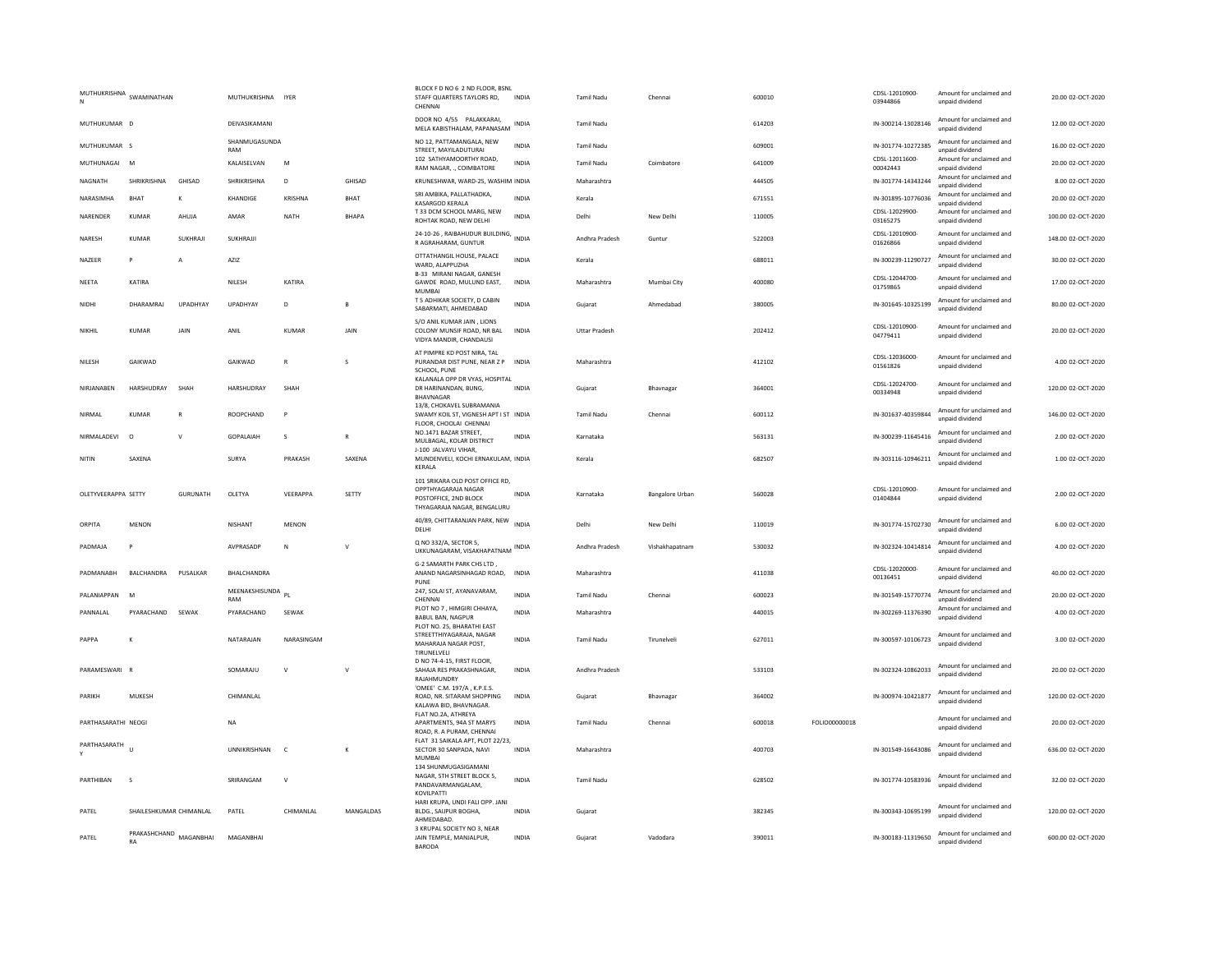|                     | MUTHUKRISHNA SWAMINATHAN |              | MUTHUKRISHNA IYER        |              |                  | BLOCK F D NO 6 2 ND FLOOR, BSNL<br>STAFF QUARTERS TAYLORS RD,<br>CHENNAI                                       | INDIA        | <b>Tamil Nadu</b>    | Chennai         | 600010 |               | CDSL-12010900-<br>03944866 | Amount for unclaimed and<br>unpaid dividend | 20.00 02-OCT-2020  |
|---------------------|--------------------------|--------------|--------------------------|--------------|------------------|----------------------------------------------------------------------------------------------------------------|--------------|----------------------|-----------------|--------|---------------|----------------------------|---------------------------------------------|--------------------|
| MUTHUKUMAR D        |                          |              | DEIVASIKAMANI            |              |                  | DOOR NO 4/55 PALAKKARAI,<br>MELA KABISTHALAM, PAPANASAM                                                        | INDIA        | <b>Tamil Nadu</b>    |                 | 614203 |               | IN-300214-13028146         | Amount for unclaimed and<br>unpaid dividend | 12.00 02-OCT-2020  |
| MUTHUKUMAR S        |                          |              | SHANMUGASUNDA<br>RAM     |              |                  | NO 12, PATTAMANGALA, NEW<br>STREET, MAYILADUTURA                                                               | <b>INDIA</b> | Tamil Nadu           |                 | 609001 |               | IN-301774-10272385         | Amount for unclaimed and<br>unpaid dividend | 16.00 02-OCT-2020  |
| MUTHUNAGAI M        |                          |              | KALAISELVAN              | M            |                  | 102 SATHYAMOORTHY ROAD.<br>RAM NAGAR, ., COIMBATORE                                                            | INDIA        | Tamil Nadu           | Coimbatore      | 641009 |               | CDSL-12011600-<br>00042443 | Amount for unclaimed and<br>unpaid dividend | 20.00 02-OCT-2020  |
| NAGNATH             | SHRIKRISHNA              | GHISAD       | SHRIKRISHNA              | D            | GHISAD           | KRUNESHWAR, WARD-25, WASHIM INDIA                                                                              |              | Maharashtra          |                 | 444505 |               | IN-301774-14343244         | Amount for unclaimed and<br>unpaid dividend | 8.00 02-OCT-2020   |
| NARASIMHA           | <b>BHAT</b>              | К            | KHANDIGE                 | KRISHNA      | BHAT             | SRI AMBIKA, PALLATHADKA,<br>KASARGOD KERALA                                                                    | INDIA        | Kerala               |                 | 671551 |               | IN-301895-10776036         | Amount for unclaimed and<br>unpaid dividend | 20.00 02-OCT-2020  |
| NARENDER            | <b>KUMAR</b>             | AHUJA        | AMAR                     | <b>NATH</b>  | <b>BHAPA</b>     | T 33 DCM SCHOOL MARG, NEW<br>ROHTAK ROAD, NEW DELHI                                                            | <b>INDIA</b> | Delhi                | New Delhi       | 110005 |               | CDSL-12029900-<br>03165275 | Amount for unclaimed and<br>unpaid dividend | 100.00 02-OCT-2020 |
| NARESH              | KUMAR                    | SUKHRAJI     | SUKHRAJJI                |              |                  | 24-10-26, RAIBAHUDUR BUILDING, INDIA<br>R AGRAHARAM, GUNTUR                                                    |              | Andhra Pradesh       | Guntur          | 522003 |               | CDSL-12010900-<br>01626866 | Amount for unclaimed and<br>unpaid dividend | 148.00 02-OCT-2020 |
| NAZEER              | $\mathsf{P}$             | A            | AZIZ                     |              |                  | OTTATHANGIL HOUSE, PALACE<br>WARD, ALAPPUZHA<br>B-33 MIRANI NAGAR, GANESH                                      | <b>INDIA</b> | Kerala               |                 | 688011 |               | IN-300239-11290727         | Amount for unclaimed and<br>unpaid dividend | 30.00 02-OCT-2020  |
| <b>NEETA</b>        | KATIRA                   |              | NII FSH                  | KATIRA       |                  | GAWDE ROAD, MULUND EAST,<br><b>MUMBAI</b>                                                                      | <b>INDIA</b> | Maharashtra          | Mumbai City     | 400080 |               | CDSL-12044700-<br>01759865 | Amount for unclaimed and<br>unpaid dividend | 17.00 02-OCT-2020  |
| NIDHI               | DHARAMRAJ                | UPADHYAY     | UPADHYAY                 | D            | B                | T 5 ADHIKAR SOCIETY, D CABIN<br>SABARMATI, AHMEDABAD                                                           | <b>INDIA</b> | Guiarat              | Ahmedabad       | 380005 |               | IN-301645-10325199         | Amount for unclaimed and<br>unpaid dividend | 80.00 02-OCT-2020  |
| <b>NIKHII</b>       | KUMAR                    | <b>JAIN</b>  | ANII                     | KUMAR        | <b>JAIN</b>      | S/O ANIL KUMAR JAIN, LIONS<br>COLONY MUNSIF ROAD. NR BAL<br>VIDYA MANDIR, CHANDAUSI                            | <b>INDIA</b> | <b>Uttar Pradesh</b> |                 | 202412 |               | CDSL-12010900-<br>04779411 | Amount for unclaimed and<br>unpaid dividend | 20.00.02-OCT-2020  |
| NILESH              | GAIKWAD                  |              | GAIKWAD                  | $\mathbf R$  | s                | AT PIMPRE KD POST NIRA, TAL<br>PURANDAR DIST PUNE, NEAR Z P<br>SCHOOL, PUNE                                    | INDIA        | Maharashtra          |                 | 412102 |               | CDSL-12036000<br>01561826  | Amount for unclaimed and<br>unnaid dividend | 4.00 02-OCT-2020   |
| NIRJANABEN          | HARSHUDRAY               | SHAH         | HARSHUDRAY               | SHAH         |                  | KALANALA OPP DR VYAS, HOSPITAL<br>DR HARINANDAN, BUNG,<br><b>BHAVNAGAR</b>                                     | INDIA        | Gujarat              | Bhavnagar       | 364001 |               | CDSL-12024700-<br>00334948 | Amount for unclaimed and<br>unpaid dividend | 120.00 02-OCT-2020 |
| NIRMAL              | <b>KUMAR</b>             | $\mathsf{R}$ | ROOPCHAND                | P            |                  | 13/8. CHOKAVEL SUBRAMANIA<br>SWAMY KOIL ST, VIGNESH APT I ST INDIA<br>FLOOR, CHOOLAI CHENNAI                   |              | <b>Tamil Nadu</b>    | Chennai         | 600112 |               | IN-301637-40359844         | Amount for unclaimed and<br>unpaid dividend | 146.00 02-OCT-2020 |
| NIRMALADEVI         | $\circ$                  | $\mathsf{v}$ | GOPALAIAH                | s            | R                | NO.1471 BAZAR STREET.<br>MULBAGAL, KOLAR DISTRICT                                                              | <b>INDIA</b> | Karnataka            |                 | 563131 |               | IN-300239-11645416         | Amount for unclaimed and<br>unpaid dividend | 2.00 02-OCT-2020   |
| NITIN               | SAXENA                   |              | SURYA                    | PRAKASH      | SAXENA           | J-100 JALVAYU VIHAR,<br>MUNDENVELI, KOCHI ERNAKULAM, INDIA                                                     |              | Kerala               |                 | 682507 |               | IN-303116-10946211         | Amount for unclaimed and<br>unpaid dividend | 1.00 02-OCT-2020   |
|                     |                          |              |                          |              |                  | KERALA                                                                                                         |              |                      |                 |        |               |                            |                                             |                    |
| OLETYVEERAPPA SETTY |                          | GURUNATH     | OLETYA                   | VFFRAPPA     | SETTY            | 101 SRIKARA OLD POST OFFICE RD,<br>OPPTHYAGARAJA NAGAR<br>POSTOFFICE, 2ND BLOCK<br>THYAGARAJA NAGAR, BENGALURU | <b>INDIA</b> | Karnataka            | Bangalore Urban | 560028 |               | CDSL-12010900-<br>01404844 | Amount for unclaimed and<br>unpaid dividend | 2.00.02-OCT-2020   |
| ORPITA              | <b>MENON</b>             |              | <b>NISHANT</b>           | <b>MENON</b> |                  | 40/89, CHITTARANJAN PARK, NEW INDIA<br>DELHI                                                                   |              | Delhi                | New Delhi       | 110019 |               | IN-301774-15702730         | Amount for unclaimed and<br>unpaid dividend | 6.00 02-OCT-2020   |
| PADMAJA             |                          |              | AVPRASADE                | N            | v                | Q NO 332/A, SECTOR 5.<br>UKKUNAGARAM, VISAKHAPATNAM INDIA                                                      |              | Andhra Pradesh       | Vishakhapatnam  | 530032 |               | IN-302324-10414814         | Amount for unclaimed and<br>unpaid dividend | 4.00 02-OCT-2020   |
| PADMANARH           | <b>BAICHANDRA</b>        | PUSALKAR     | <b>BHAICHANDRA</b>       |              |                  | G-2 SAMARTH PARK CHS LTD<br>ANAND NAGARSINHAGAD ROAD,<br>PUNE                                                  | <b>INDIA</b> | Maharashtra          |                 | 411038 |               | CDSL-12020000-<br>00136451 | Amount for unclaimed and<br>unpaid dividend | 40.00 02-OCT-2020  |
| PALANIAPPAN         | $\mathsf{N}$             |              | MEENAKSHISUNDA PL<br>RAM |              |                  | 247, SOLAI ST, AYANAVARAM,<br>CHENNAI                                                                          | <b>INDIA</b> | <b>Tamil Nadu</b>    | Chennai         | 600023 |               | IN-301549-15770774         | Amount for unclaimed and<br>unpaid dividend | 20.00 02-OCT-2020  |
| PANNALAL            | PYARACHAND               | SEWAK        | PYARACHAND               | SEWAK        |                  | PLOT NO 7, HIMGIRI CHHAYA,<br>BABUL BAN, NAGPUR                                                                | INDIA        | Maharashtra          |                 | 440015 |               | IN-302269-11376390         | Amount for unclaimed and<br>unpaid dividend | 4.00 02-OCT-2020   |
| PAPPA               | $\kappa$                 |              | NATARAJAN                | NARASINGAM   |                  | PLOT NO. 25, BHARATHI EAST<br>STREETTHIYAGARAJA, NAGAR<br>MAHARAJA NAGAR POST,<br>TIRUNELVELI                  | <b>INDIA</b> | <b>Tamil Nadu</b>    | Tirunelvel      | 627011 |               | IN-300597-10106723         | Amount for unclaimed and<br>unpaid dividend | 3.00 02-OCT-2020   |
| PARAMESWARI R       |                          |              | SOMARAILI                | $\mathsf{v}$ | $\mathsf{v}$     | D NO 74-4-15, FIRST FLOOR,<br>SAHAJA RES PRAKASHNAGAR.<br><b>RAJAHMUNDRY</b>                                   | <b>INDIA</b> | Andhra Pradesh       |                 | 533103 |               | IN-302324-10862033         | Amount for unclaimed and<br>unpaid dividend | 20.00.02-OCT-2020  |
| PARIKH              | MUKESH                   |              | CHIMANLAL                |              |                  | 'OMEE' C.M. 197/A. K.P.E.S.<br>ROAD, NR. SITARAM SHOPPING<br>KALAWA BID, BHAVNAGAR.                            | INDIA        | Gujarat              | Bhavnagar       | 364002 |               | IN-300974-10421877         | Amount for unclaimed and<br>unpaid dividend | 120.00 02-OCT-2020 |
| PARTHASARATHI NEOGI |                          |              | <b>NA</b>                |              |                  | FLAT NO.2A, ATHREYA<br>APARTMENTS, 94A ST MARYS<br>ROAD, R. A PURAM, CHENNAI                                   | INDIA        | <b>Tamil Nadu</b>    | Chennai         | 600018 | FOLIO00000018 |                            | Amount for unclaimed and<br>unpaid dividend | 20.00 02-OCT-2020  |
| PARTHASARATH        | $\mathbf{u}$             |              | <b>UNNIKRISHNAN</b>      | $\mathsf{C}$ | K                | FLAT 31 SAIKALA APT, PLOT 22/23,<br>SECTOR 30 SANPADA, NAVI<br><b>MUMBA</b>                                    | <b>INDIA</b> | Maharashtra          |                 | 400703 |               | IN-301549-16643086         | Amount for unclaimed and<br>unpaid dividend | 636.00 02-OCT-2020 |
| PARTHIRAN           | $\mathbf{S}$             |              | SRIRANGAM                | $\mathsf{v}$ |                  | 134 SHUNMUGASIGAMANI<br>NAGAR, 5TH STREET BLOCK 5,<br>PANDAVARMANGALAM.                                        | <b>INDIA</b> | <b>Tamil Nadu</b>    |                 | 628502 |               | IN-301774-10583936         | Amount for unclaimed and<br>unpaid dividend | 32.00.02-OCT-2020  |
| PATFI               | SHAILESHKUMAR CHIMANLAL  |              | PATFI                    | CHIMANI AI   | <b>MANGALDAS</b> | KOVILPATTI<br>HARI KRUPA, UNDI FALI OPP. JANI<br>BLDG., SAIJPUR BOGHA,<br>AHMEDABAD                            | <b>INDIA</b> | Guiarat              |                 | 382345 |               | IN-300343-10695199         | Amount for unclaimed and<br>unpaid dividend | 120.00.02-OCT-2020 |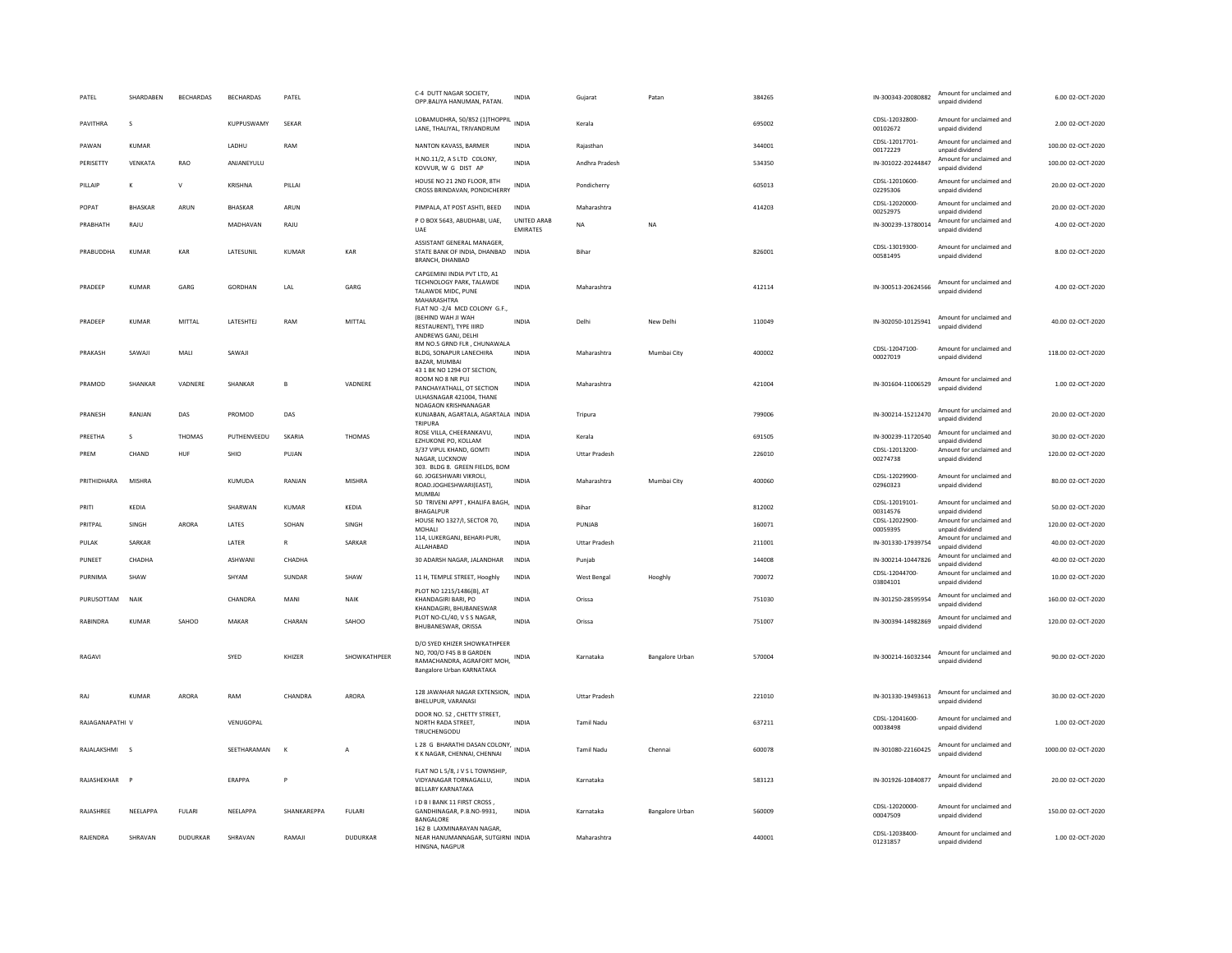| PATEL           | SHARDABEN       | <b>BECHARDAS</b> | <b>BECHARDAS</b> | PATEL         |                 | C-4 DUTT NAGAR SOCIETY<br>OPP.BALIYA HANUMAN, PATAN.                                                                          | INDIA                          | Gujarat              | Patan                  | 384265 | IN-300343-20080882         | Amount for unclaimed and<br>unpaid dividend | 6.00 02-OCT-2020    |
|-----------------|-----------------|------------------|------------------|---------------|-----------------|-------------------------------------------------------------------------------------------------------------------------------|--------------------------------|----------------------|------------------------|--------|----------------------------|---------------------------------------------|---------------------|
| PAVITHRA        | s               |                  | KUPPUSWAMY       | SEKAR         |                 | LOBAMUDHRA, 50/852 (1)THOPPIL INDIA<br>LANE, THALIYAL, TRIVANDRUM                                                             |                                | Kerala               |                        | 695002 | CDSL-12032800-<br>00102672 | Amount for unclaimed and<br>unpaid dividend | 2.00 02-OCT-2020    |
| PAWAN           | <b>KUMAR</b>    |                  | LADHU            | RAM           |                 | NANTON KAVASS, BARMER                                                                                                         | <b>INDIA</b>                   | Raiasthan            |                        | 344001 | CDSL-12017701-<br>00172229 | Amount for unclaimed and<br>unpaid dividend | 100.00 02-OCT-2020  |
| PERISETTY       | VENKATA         | RAO              | ANJANEYULU       |               |                 | H.NO.11/2, A S LTD COLONY,<br>KOVVUR, W G DIST AP                                                                             | <b>INDIA</b>                   | Andhra Pradesh       |                        | 534350 | IN-301022-20244847         | Amount for unclaimed and<br>unpaid dividend | 100.00 02-OCT-2020  |
| PILLAIP         | K               | $\vee$           | KRISHNA          | PILLAI        |                 | HOUSE NO 21 2ND FLOOR, 8TH<br>CROSS BRINDAVAN, PONDICHERRY                                                                    | INDIA                          | Pondicherry          |                        | 605013 | CDSL-12010600-<br>02295306 | Amount for unclaimed and<br>unpaid dividend | 20.00 02-OCT-2020   |
| POPAT           | <b>BHASKAR</b>  | ARUN             | <b>BHASKAR</b>   | ARUN          |                 | PIMPALA, AT POST ASHTI, BEED                                                                                                  | <b>INDIA</b>                   | Maharashtra          |                        | 414203 | CDSL-12020000-<br>00252975 | Amount for unclaimed and<br>unpaid dividend | 20.00 02-OCT-2020   |
| PRABHATH        | RAJU            |                  | MADHAVAN         | RAJU          |                 | P O BOX 5643, ABUDHABI, UAE,<br>LIAF                                                                                          | UNITED ARAB<br><b>FMIRATES</b> | <b>NA</b>            | NA                     |        | IN-300239-13780014         | Amount for unclaimed and<br>unpaid dividend | 4.00 02-OCT-2020    |
| PRABUDDHA       | <b>KUMAR</b>    | KAR              | LATESUNIL        | KUMAR         | KAR             | ASSISTANT GENERAL MANAGER,<br>STATE BANK OF INDIA, DHANBAD<br><b>BRANCH, DHANBAD</b>                                          | <b>INDIA</b>                   | Bihar                |                        | 826001 | CDSL-13019300-<br>00581495 | Amount for unclaimed and<br>unpaid dividend | 8.00 02-OCT-2020    |
| PRADEEP         | KUMAR           | GARG             | GORDHAN          | LAL           | GARG            | CAPGEMINI INDIA PVT LTD, A1<br>TECHNOLOGY PARK, TALAWDE<br>TALAWDE MIDC, PUNE<br>MAHARASHTRA<br>FLAT NO -2/4 MCD COLONY G.F., | <b>INDIA</b>                   | Maharashtra          |                        | 412114 | IN-300513-20624566         | Amount for unclaimed and<br>unpaid dividend | 4.00 02-OCT-2020    |
| PRADEEP         | KUMAR           | MITTAL           | LATESHTEJ        | RAM           | MITTAL          | (BEHIND WAH JI WAH<br>RESTAURENT), TYPE IIIRD<br>ANDREWS GANJ, DELHI                                                          | INDIA                          | Delhi                | New Delhi              | 110049 | IN-302050-10125941         | Amount for unclaimed and<br>unpaid dividend | 40.00 02-OCT-2020   |
| PRAKASH         | SAWAJI          | MALI             | SAWAJI           |               |                 | RM NO.5 GRND FLR, CHUNAWALA<br>BLDG, SONAPUR LANECHIRA<br><b>BAZAR, MUMBAL</b><br>43 1 BK NO 1294 OT SECTION,                 | <b>INDIA</b>                   | Maharashtra          | Mumbai City            | 400002 | CDSL-12047100-<br>00027019 | Amount for unclaimed and<br>unpaid dividend | 118.00 02-OCT-2020  |
| PRAMOD          | SHANKAR         | VADNERE          | SHANKAR          | $\mathbf{B}$  | VADNERE         | ROOM NO 8 NR PUJ<br>PANCHAYATHALL, OT SECTION<br>ULHASNAGAR 421004. THANF                                                     | INDIA                          | Maharashtra          |                        | 421004 | IN-301604-11006529         | Amount for unclaimed and<br>unpaid dividend | 1.00 02-OCT-2020    |
| PRANESH         | RANJAN          | DAS              | PROMOD           | DAS           |                 | NOAGAON KRISHNANAGAR<br>KUNJABAN, AGARTALA, AGARTALA INDIA<br>TRIPURA                                                         |                                | Tripura              |                        | 799006 | IN-300214-15212470         | Amount for unclaimed and<br>unpaid dividend | 20.00 02-OCT-2020   |
| PREETHA         | s               | THOMAS           | PUTHENVEEDU      | SKARIA        | THOMAS          | ROSE VILLA, CHEERANKAVU.<br>EZHUKONE PO, KOLLAM                                                                               | INDIA                          | Kerala               |                        | 691505 | IN-300239-11720540         | Amount for unclaimed and<br>unpaid dividend | 30.00 02-OCT-2020   |
| PREM            | CHAND           | HUF              | SHIO             | PUJAN         |                 | 3/37 VIPUL KHAND, GOMTI<br>NAGAR, LUCKNOW<br>303. BLDG 8. GREEN FIELDS, BOM                                                   | INDIA                          | <b>Uttar Pradesh</b> |                        | 226010 | CDSL-12013200-<br>00274738 | Amount for unclaimed and<br>unpaid dividend | 120.00 02-OCT-2020  |
| PRITHIDHARA     | MISHRA          |                  | KUMUDA           | RANJAN        | <b>MISHRA</b>   | 60. JOGESHWARI VIKROLI.<br>ROAD.JOGHESHWARI(EAST),<br><b>MUMBAI</b>                                                           | <b>INDIA</b>                   | Maharashtra          | Mumbai City            | 400060 | CDSL-12029900-<br>02960323 | Amount for unclaimed and<br>unpaid dividend | 80.00 02-OCT-2020   |
| PRITI           | KEDIA           |                  | SHARWAN          | <b>KUMAR</b>  | KEDIA           | 5D TRIVENI APPT, KHALIFA BAGH,<br>BHAGALPUR                                                                                   | INDIA                          | Bihar                |                        | 812002 | CDSL-12019101-<br>00314576 | Amount for unclaimed and<br>unpaid dividend | 50.00 02-OCT-2020   |
| PRITPAL         | SINGH           | ARORA            | LATES            | SOHAN         | SINGH           | HOUSE NO 1327/I, SECTOR 70,<br><b>MOHALL</b>                                                                                  | <b>INDIA</b>                   | PUNJAB               |                        | 160071 | CDSL-12022900<br>00059395  | Amount for unclaimed and<br>unnaid dividend | 120.00 02-OCT-2020  |
| PULAK           | SARKAR          |                  | LATER            | $\mathbb{R}$  | SARKAR          | 114, LUKERGANJ, BEHARI-PURI,<br>ALLAHABAD                                                                                     | <b>INDIA</b>                   | <b>Uttar Pradesh</b> |                        | 211001 | IN-301330-17939754         | Amount for unclaimed and<br>unpaid dividend | 40.00 02-OCT-2020   |
| PUNEET          | CHADHA          |                  | <b>ASHWANI</b>   | CHADHA        |                 | 30 ADARSH NAGAR, JALANDHAR                                                                                                    | <b>INDIA</b>                   | Punjab               |                        | 144008 | IN-300214-10447826         | Amount for unclaimed and<br>unpaid dividend | 40.00 02-OCT-2020   |
| PURNIMA         | SHAW            |                  | SHYAM            | <b>SUNDAR</b> | <b>SHAW</b>     | 11 H, TEMPLE STREET, Hooghly                                                                                                  | INDIA                          | West Bengal          | Hooghly                | 700072 | CDSL-12044700-<br>03804101 | Amount for unclaimed and<br>unpaid dividend | 10.00.02-OCT-2020   |
| PURUSOTTAM      | NAIK            |                  | CHANDRA          | MANI          | NAIK            | PLOT NO 1215/1486(B), AT<br>KHANDAGIRI BARI, PO                                                                               | <b>INDIA</b>                   | Orissa               |                        | 751030 | IN-301250-28595954         | Amount for unclaimed and<br>unpaid dividend | 160.00 02-OCT-2020  |
| RABINDRA        | KUMAR           | SAHOO            | MAKAR            | CHARAN        | SAHOO           | KHANDAGIRI, BHUBANESWAR<br>PLOT NO-CL/40, V S S NAGAR,<br>BHUBANESWAR, ORISSA                                                 | INDIA                          | Orissa               |                        | 751007 | IN-300394-14982869         | Amount for unclaimed and<br>unpaid dividend | 120.00 02-OCT-2020  |
| RAGAVI          |                 |                  | SYED             | KHIZER        | SHOWKATHPEER    | D/O SYED KHIZER SHOWKATHPEER<br>NO, 700/O F45 B B GARDEN<br>RAMACHANDRA, AGRAFORT MOH, INDIA<br>Bangalore Urban KARNATAKA     |                                | Karnataka            | <b>Bangalore Urban</b> | 570004 | IN-300214-16032344         | Amount for unclaimed and<br>unnaid dividend | 90.00 02-OCT-2020   |
| RAJ             | <b>KUMAR</b>    | ARORA            | RAM              | CHANDRA       | ARORA           | 128 JAWAHAR NAGAR EXTENSION, INDIA<br>BHELUPUR, VARANASI                                                                      |                                | <b>Uttar Pradesh</b> |                        | 221010 | IN-301330-19493613         | Amount for unclaimed and<br>unpaid dividend | 30.00 02-OCT-2020   |
| RAJAGANAPATHI V |                 |                  | VENUGOPAL        |               |                 | DOOR NO. 52. CHETTY STREET.<br>NORTH RADA STREET,<br>TIRUCHENGODU                                                             | <b>INDIA</b>                   | Tamil Nadu           |                        | 637211 | CDSL-12041600-<br>00038498 | Amount for unclaimed and<br>unpaid dividend | 1.00 02-OCT-2020    |
| RAJALAKSHMI     | $\sim$          |                  | SEETHARAMAN      | $\kappa$      | $\overline{A}$  | L 28 G BHARATHI DASAN COLONY, INDIA<br>K K NAGAR, CHENNAI, CHENNAI                                                            |                                | <b>Tamil Nadu</b>    | Chennai                | 600078 | IN-301080-22160425         | Amount for unclaimed and<br>unpaid dividend | 1000.00 02-OCT-2020 |
| RAJASHEKHAR     |                 |                  | ERAPPA           | P             |                 | FLAT NO L 5/8, J V S L TOWNSHIP,<br>VIDYANAGAR TORNAGALLU.<br><b>BELLARY KARNATAKA</b>                                        | <b>INDIA</b>                   | Karnataka            |                        | 583123 | IN-301926-10840877         | Amount for unclaimed and<br>unpaid dividend | 20.00 02-OCT-2020   |
| RAIASHRFF       | <b>NFFIAPPA</b> | <b>FULARI</b>    | <b>NFFIAPPA</b>  | SHANKARFPPA   | <b>FULARI</b>   | I D B I BANK 11 FIRST CROSS,<br>GANDHINAGAR, P.B.NO-9931.<br>BANGALORE                                                        | INDIA                          | Karnataka            | Bangalore Urban        | 560009 | CDSL-12020000-<br>00047509 | Amount for unclaimed and<br>unpaid dividend | 150.00.02-OCT-2020  |
| RAJENDRA        | SHRAVAN         | <b>DUDURKAR</b>  | SHRAVAN          | RAMAJI        | <b>DUDURKAR</b> | 162 B LAXMINARAYAN NAGAR.<br>NEAR HANUMANNAGAR, SUTGIRNI INDIA<br>HINGNA, NAGPUR                                              |                                | Maharashtra          |                        | 440001 | CDSL-12038400-<br>01231857 | Amount for unclaimed and<br>unpaid dividend | 1.00 02-OCT-2020    |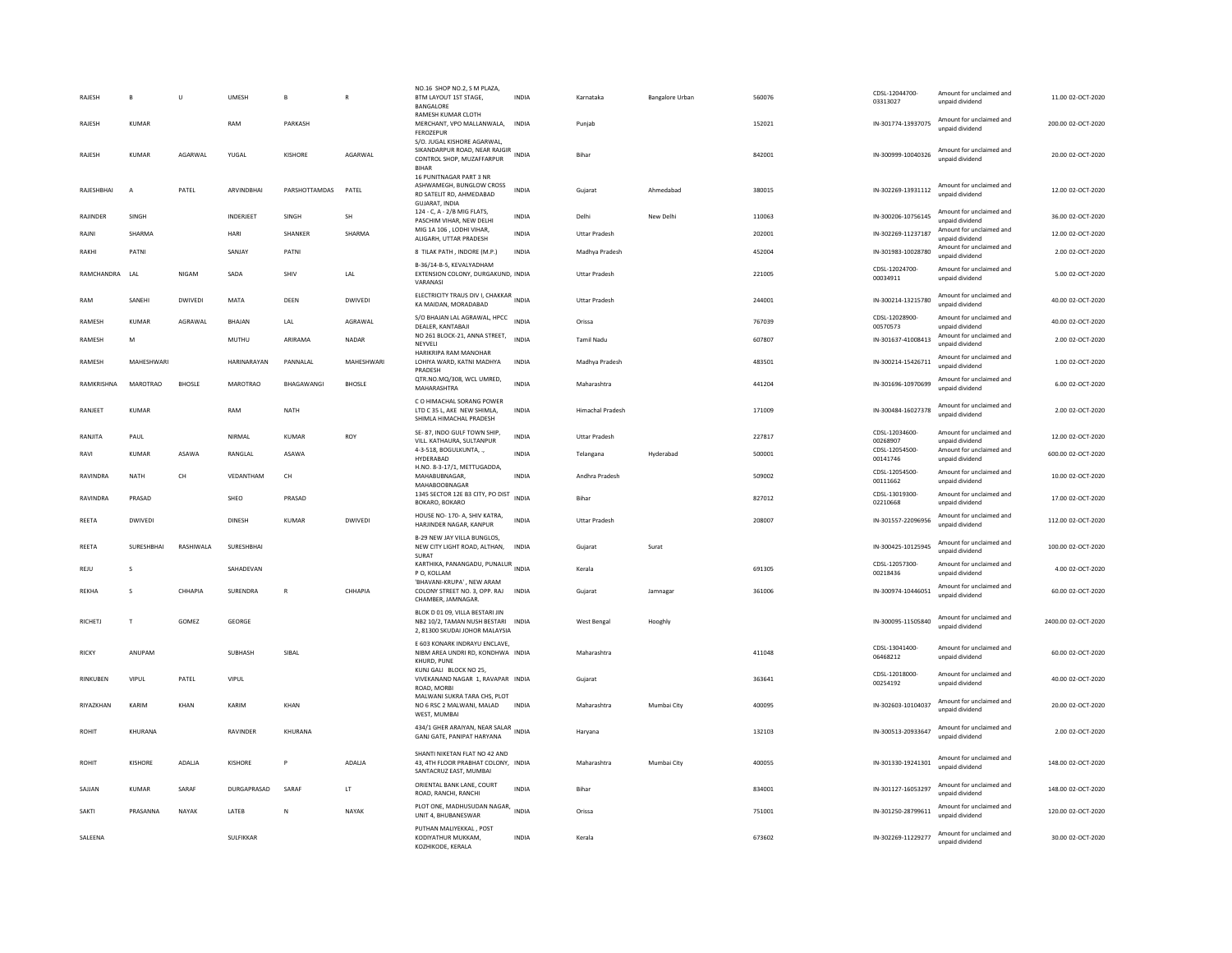| RAJESH         | B              | $\cup$         | UMESH            | B                 | $\mathbb{R}$   | NO.16 SHOP NO.2, S M PLAZA,<br>BTM LAYOUT 1ST STAGE,<br>BANGALORE                                       | <b>INDIA</b> | Karnataka            | <b>Bangalore Urban</b> | 560076 | CDSL-12044700-<br>03313027 | Amount for unclaimed and<br>unpaid dividend | 11.00 02-OCT-2020   |
|----------------|----------------|----------------|------------------|-------------------|----------------|---------------------------------------------------------------------------------------------------------|--------------|----------------------|------------------------|--------|----------------------------|---------------------------------------------|---------------------|
| RAJESH         | KUMAR          |                | RAM              | PARKASH           |                | RAMESH KUMAR CLOTH<br>MERCHANT, VPO MALLANWALA,<br>FEROZEPUR                                            | <b>INDIA</b> | Punjab               |                        | 152021 | IN-301774-13937075         | Amount for unclaimed and<br>unnaid dividend | 200.00 02-OCT-2020  |
| RAJESH         | KUMAR          | AGARWAI        | YUGAL            | KISHORE           | AGARWAI        | S/O. JUGAL KISHORE AGARWAL,<br>CONTROL SHOP, MUZAFFARPUR<br><b>BIHAR</b>                                |              | <b>Bihar</b>         |                        | 842001 | IN-300999-10040326         | Amount for unclaimed and<br>unnaid dividend | 20.00 02-OCT-2020   |
| RAJESHBHAI     | $\overline{A}$ | PATEL          | ARVINDBHAI       | PARSHOTTAMDAS     | PATEL          | 16 PUNITNAGAR PART 3 NR<br>ASHWAMEGH, BUNGLOW CROSS<br>RD SATELIT RD, AHMEDABAD<br>GUJARAT, INDIA       | <b>INDIA</b> | Gujarat              | Ahmedabad              | 380015 | IN-302269-13931112         | Amount for unclaimed and<br>unpaid dividend | 12.00 02-OCT-2020   |
| RAJINDER       | SINGH          |                | <b>INDERJEET</b> | SINGH             | SH             | 124 - C, A - 2/B MIG FLATS,<br>PASCHIM VIHAR, NEW DELHI                                                 | <b>INDIA</b> | Delhi                | New Delhi              | 110063 | IN-300206-10756145         | Amount for unclaimed and<br>unpaid dividend | 36.00 02-OCT-2020   |
| RAJNI          | SHARMA         |                | HARI             | SHANKER           | SHARMA         | MIG 1A 106, LODHI VIHAR,<br>ALIGARH, UTTAR PRADESH                                                      | <b>INDIA</b> | Uttar Pradesh        |                        | 202001 | IN-302269-11237187         | Amount for unclaimed and<br>unpaid dividend | 12.00 02-OCT-2020   |
| RAKHI          | PATNI          |                | SANJAY           | PATNI             |                | 8 TILAK PATH, INDORE (M.P.)                                                                             | <b>INDIA</b> | Madhya Pradesh       |                        | 452004 | IN-301983-10028780         | Amount for unclaimed and<br>unnaid dividend | 2.00 02-OCT-2020    |
| RAMCHANDRA LAL |                | NIGAM          | SADA             | <b>SHIV</b>       | LAL            | B-36/14-B-5, KEVALYADHAM<br>EXTENSION COLONY, DURGAKUND, INDIA<br>VARANASI                              |              | <b>Uttar Pradesh</b> |                        | 221005 | CDSL-12024700-<br>00034911 | Amount for unclaimed and<br>unpaid dividend | 5.00 02-OCT-2020    |
| RAM            | SANEHI         | <b>DWIVEDI</b> | MATA             | DEEN              | <b>DWIVEDI</b> | ELECTRICITY TRAUS DIV I, CHAKKAR INDIA<br>KA MAIDAN, MORADABAD                                          |              | <b>Uttar Pradesh</b> |                        | 244001 | IN-300214-13215780         | Amount for unclaimed and<br>unpaid dividend | 40.00 02-OCT-2020   |
| RAMESH         | KUMAR          | AGRAWAL        | <b>BHAJAN</b>    | LAL               | AGRAWAL        | S/O BHAJAN LAL AGRAWAL, HPCC<br>DEALER, KANTABAJI                                                       | <b>INDIA</b> | Orissa               |                        | 767039 | CDSL-12028900-<br>00570573 | Amount for unclaimed and<br>unpaid dividend | 40.00 02-OCT-2020   |
| RAMESH         | M              |                | MUTHU            | ARIRAMA           | NADAR          | NO 261 BLOCK-21, ANNA STREET,<br>NEYVELI                                                                | <b>INDIA</b> | Tamil Nadu           |                        | 607807 | IN-301637-41008413         | Amount for unclaimed and<br>unpaid dividend | 2.00 02-OCT-2020    |
| RAMESH         | MAHESHWAR      |                | HARINARAYAN      | PANNALAL          | MAHESHWARI     | HARIKRIPA RAM MANOHAR<br>LOHIYA WARD, KATNI MADHYA<br>PRADESH                                           | INDIA        | Madhya Pradesh       |                        | 483501 | IN-300214-15426711         | Amount for unclaimed and<br>unpaid dividend | 1.00 02-OCT-2020    |
| RAMKRISHNA     | MAROTRAO       | <b>BHOSLE</b>  | <b>MAROTRAO</b>  | <b>BHAGAWANGI</b> | <b>BHOSLE</b>  | QTR.NO.MQ/308, WCL UMRED,<br>MAHARASHTRA                                                                | <b>INDIA</b> | Maharashtra          |                        | 441204 | IN-301696-10970699         | Amount for unclaimed and<br>unpaid dividend | 6.00.02-OCT-2020    |
| RANJEET        | KUMAR          |                | RAM              | <b>NATH</b>       |                | C O HIMACHAL SORANG POWER<br>LTD C 35 L, AKE NEW SHIMLA,<br>SHIMLA HIMACHAL PRADESH                     | <b>INDIA</b> | Himachal Pradesh     |                        | 171009 | IN-300484-16027378         | Amount for unclaimed and<br>unpaid dividend | 2.00 02-OCT-2020    |
| RANJITA        | PAUL           |                | NIRMAL           | <b>KUMAR</b>      | <b>ROY</b>     | SE-87, INDO GULF TOWN SHIP.<br>VILL. KATHAURA, SULTANPUR                                                | <b>INDIA</b> | <b>Uttar Pradesh</b> |                        | 227817 | CDSL-12034600<br>00268907  | Amount for unclaimed and<br>unpaid dividend | 12.00 02-OCT-2020   |
| RAVI           | <b>KUMAR</b>   | ASAWA          | RANGLAL          | ASAWA             |                | 4-3-518, BOGULKUNTA,<br>HYDERABAD                                                                       | <b>INDIA</b> | Telangana            | Hyderabad              | 500001 | CDSL-12054500-<br>00141746 | Amount for unclaimed and<br>unpaid dividend | 600.00 02-OCT-2020  |
| RAVINDRA       | <b>NATH</b>    | CH             | VFDANTHAM        | CH                |                | H.NO. 8-3-17/1, METTUGADDA,<br>MAHABUBNAGAR.                                                            | <b>INDIA</b> | Andhra Pradesh       |                        | 509002 | CDSL-12054500-<br>00111662 | Amount for unclaimed and<br>unpaid dividend | 10.00.02-OCT-2020   |
| RAVINDRA       | PRASAD         |                | SHEO             | PRASAD            |                | MAHABOOBNAGAR<br>1345 SECTOR 12E B3 CITY, PO DIST<br>BOKARO, BOKARO                                     | <b>INDIA</b> | Bihar                |                        | 827012 | CDSL-13019300-<br>02210668 | Amount for unclaimed and<br>unpaid dividend | 17.00 02-OCT-2020   |
| REETA          | <b>DWIVEDI</b> |                | <b>DINESH</b>    | <b>KUMAR</b>      | DWIVEDI        | HOUSE NO- 170- A, SHIV KATRA,<br>HARJINDER NAGAR, KANPUR                                                | <b>INDIA</b> | <b>Uttar Pradesh</b> |                        | 208007 | IN-301557-22096956         | Amount for unclaimed and<br>unnaid dividend | 112.00 02-OCT-2020  |
| REETA          | SURESHBHAI     | RASHIWALA      | SURESHBHAI       |                   |                | B-29 NEW JAY VILLA BUNGLOS<br>NEW CITY LIGHT ROAD, ALTHAN, INDIA<br>SURAT                               |              | Gujarat              | Surat                  |        | IN-300425-10125945         | Amount for unclaimed and<br>unpaid dividend | 100.00 02-OCT-2020  |
| REJU           | s              |                | SAHADEVAN        |                   |                | KARTHIKA, PANANGADU, PUNALUR<br>INDIA<br>P O, KOLLAM                                                    |              | Kerala               |                        | 691305 | CDSL-12057300-<br>00218436 | Amount for unclaimed and<br>unpaid dividend | 4.00 02-OCT-2020    |
| RFKHA          | $\mathbf{S}$   | CHHAPIA        | SURENDRA         | $\mathbb{R}$      | CHHAPIA        | 'BHAVANI-KRUPA', NEW ARAM<br>COLONY STREET NO. 3, OPP. RAJ INDIA<br>CHAMBER, JAMNAGAR                   |              | Guiarat              | Jamnagar               | 361006 | IN-300974-10446051         | Amount for unclaimed and<br>unpaid dividend | 60.00.02-OCT-2020   |
| <b>RICHETJ</b> | $\mathbf{T}$   | GOMEZ          | GEORGE           |                   |                | BLOK D 01 09, VILLA BESTARI JIN<br>NB2 10/2, TAMAN NUSH BESTARI INDIA<br>2, 81300 SKUDAI JOHOR MALAYSIA |              | West Bengal          | Hooghly                |        | IN-300095-11505840         | Amount for unclaimed and<br>unpaid dividend | 2400.00 02-OCT-2020 |
| <b>RICKY</b>   | ANUPAM         |                | SUBHASH          | SIBAI             |                | E 603 KONARK INDRAYU ENCLAVE,<br>NIBM AREA UNDRI RD, KONDHWA INDIA<br>KHURD, PUNE                       |              | Maharashtra          |                        | 411048 | CDSL-13041400-<br>06468212 | Amount for unclaimed and<br>unpaid dividend | 60.00 02-OCT-2020   |
| RINKUBEN       | <b>VIPUL</b>   | PATEL          | VIPUL            |                   |                | KUNJ GALI BLOCK NO 25,<br>VIVEKANAND NAGAR 1, RAVAPAR INDIA<br>ROAD, MORB                               |              | Gujarat              |                        | 363641 | CDSL-12018000-<br>00254192 | Amount for unclaimed and<br>unpaid dividend | 40.00 02-OCT-2020   |
| RIYAZKHAN      | KARIM          | KHAN           | KARIM            | KHAN              |                | MALWANI SUKRA TARA CHS, PLOT<br>NO 6 RSC 2 MALWANI, MALAD<br>WEST, MUMBAI                               | <b>INDIA</b> | Maharashtra          | Mumbai City            | 400095 | IN-302603-10104037         | Amount for unclaimed and<br>unpaid dividend | 20.00 02-OCT-2020   |
| ROHIT          | KHURANA        |                | <b>RAVINDER</b>  | KHURANA           |                | 434/1 GHER ARAIYAN, NEAR SALAR INDIA<br>GANJ GATE, PANIPAT HARYANA                                      |              | Haryana              |                        | 132103 | IN-300513-20933647         | Amount for unclaimed and<br>unpaid dividend | 2.00 02-OCT-2020    |
| <b>ROHIT</b>   | <b>KISHORE</b> | ADALJA         | <b>KISHORE</b>   | P                 | ADALJA         | SHANTI NIKETAN FLAT NO 42 AND<br>43, 4TH FLOOR PRABHAT COLONY, INDIA<br>SANTACRUZ EAST, MUMBAI          |              | Maharashtra          | Mumbai City            | 400055 | IN-301330-19241301         | Amount for unclaimed and<br>unnaid dividend | 148.00 02-OCT-2020  |
| SAJJAN         | <b>KUMAR</b>   | SARAF          | DURGAPRASAD      | SARAF             | LT             | ORIENTAL BANK LANE, COURT<br>ROAD, RANCHI, RANCHI                                                       | <b>INDIA</b> | Bihar                |                        | 834001 | IN-301127-16053297         | Amount for unclaimed and<br>unpaid dividend | 148.00 02-OCT-2020  |
| SAKTI          | PRASANNA       | NAYAK          | LATEB            | N                 | NAYAK          | PLOT ONE, MADHUSUDAN NAGAR,<br>UNIT 4, BHUBANESWAR                                                      | <b>INDIA</b> | Orissa               |                        | 751001 | IN-301250-28799611         | Amount for unclaimed and<br>unpaid dividend | 120.00.02-OCT-2020  |
| SALEENA        |                |                | SULFIKKAR        |                   |                | PUTHAN MALIYEKKAL, POST<br>KODIYATHUR MUKKAM,<br>KOZHIKODE, KERALA                                      | <b>INDIA</b> | Kerala               |                        | 673602 | IN-302269-11229277         | Amount for unclaimed and<br>unpaid dividend | 30.00 02-OCT-2020   |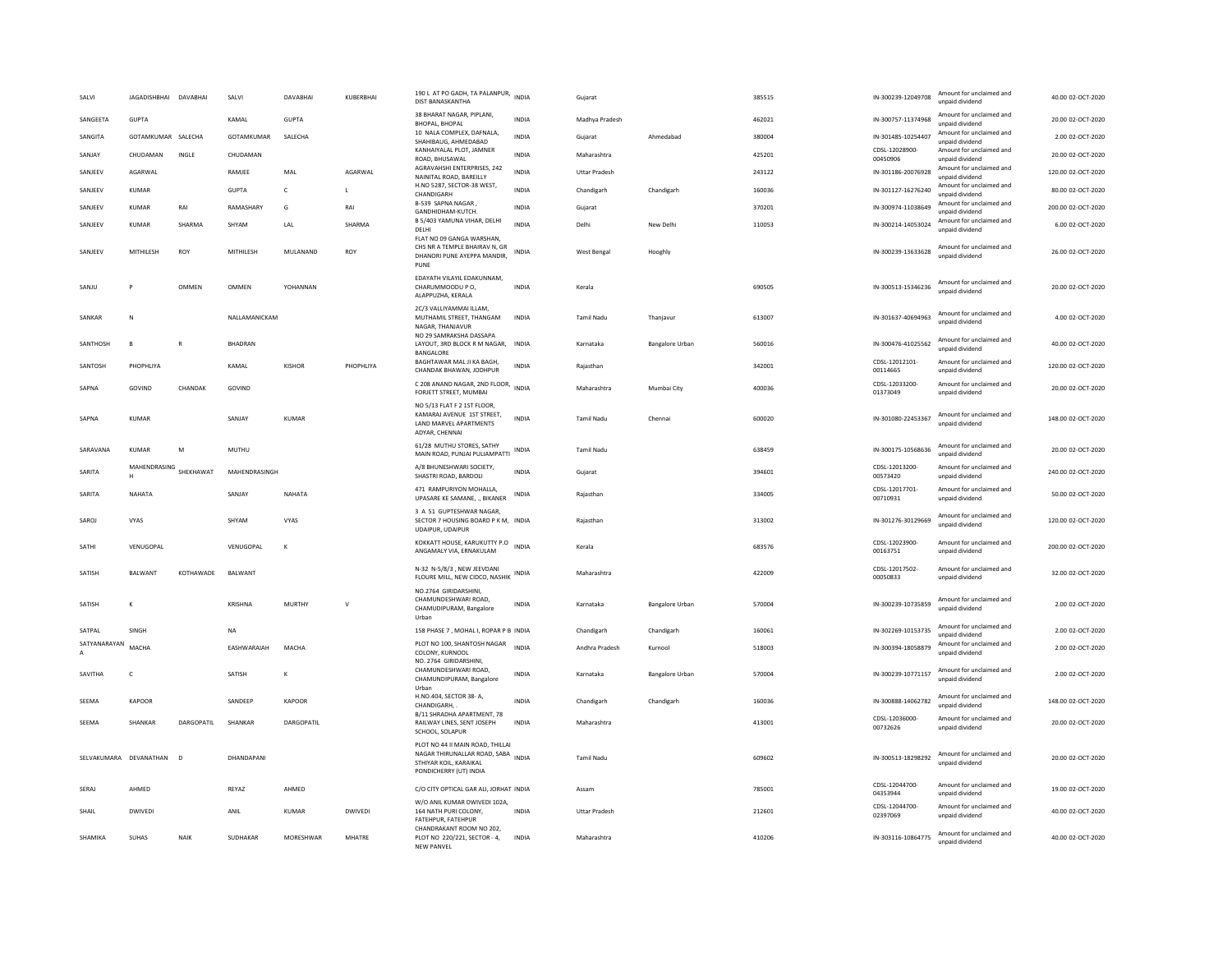| SALVI             | <b>JAGADISHBHAI</b> | DAVABHAI     | SALVI           | DAVABHAI      | KUBERBHAI      | 190 L AT PO GADH, TA PALANPUR, INDIA<br>DIST BANASKANTHA                                                                   |              | Gujarat              |                        | 385515 | IN-300239-12049708         | Amount for unclaimed and<br>unpaid dividend | 40.00 02-OCT-2020  |
|-------------------|---------------------|--------------|-----------------|---------------|----------------|----------------------------------------------------------------------------------------------------------------------------|--------------|----------------------|------------------------|--------|----------------------------|---------------------------------------------|--------------------|
| SANGFFTA          | GUPTA               |              | KAMAI           | GUPTA         |                | 38 BHARAT NAGAR, PIPLANI,<br><b>BHOPAL, BHOPAL</b>                                                                         | <b>INDIA</b> | Madhya Pradesh       |                        | 462021 | IN-300757-11374968         | Amount for unclaimed and<br>unpaid dividend | 20.00.02-OCT-2020  |
| SANGITA           | GOTAMKUMAR SALECHA  |              | GOTAMKUMAR      | SALECHA       |                | 10 NALA COMPLEX, DAFNALA,<br>SHAHIBAUG, AHMEDABAD                                                                          | <b>INDIA</b> | Gujarat              | Ahmedabad              | 380004 | IN-301485-10254407         | Amount for unclaimed and<br>unpaid dividend | 2.00 02-OCT-2020   |
| SANJAY            | CHUDAMAN            | INGLE        | CHUDAMAN        |               |                | KANHAIYALAL PLOT, JAMNER<br>ROAD, BHUSAWAL                                                                                 | <b>INDIA</b> | Maharashtra          |                        | 425201 | CDSL-12028900-<br>00450906 | Amount for unclaimed and<br>unpaid dividend | 20.00 02-OCT-2020  |
| SANJEEV           | AGARWAL             |              | RAMJEE          | MAL           | AGARWAL        | AGRAVAHSHI ENTERPRISES, 242<br>NAINITAL ROAD, BAREILLY                                                                     | <b>INDIA</b> | <b>Uttar Pradesh</b> |                        | 243122 | IN-301186-20076928         | Amount for unclaimed and<br>unpaid dividend | 120.00 02-OCT-2020 |
| SANJEEV           | KUMAR               |              | <b>GUPTA</b>    | $\mathsf{C}$  | $\mathbf{I}$   | H.NO 5287, SECTOR-38 WEST,<br>CHANDIGARH                                                                                   | <b>INDIA</b> | Chandigarh           | Chandigarh             | 160036 | IN-301127-16276240         | Amount for unclaimed and<br>unpaid dividend | 80.00 02-OCT-2020  |
| SANJEEV           | KUMAR               | RAI          | RAMASHARY       | G             | RAI            | B-539 SAPNA NAGAR<br>GANDHIDHAM-KUTCH.                                                                                     | <b>INDIA</b> | Gujarat              |                        | 370201 | IN-300974-11038649         | Amount for unclaimed and<br>unpaid dividend | 200.00 02-OCT-2020 |
| SANJEEV           | <b>KUMAR</b>        | SHARMA       | SHYAM           | LAL           | SHARMA         | B 5/403 YAMUNA VIHAR, DELHI<br>DELHI                                                                                       | <b>INDIA</b> | Delhi                | New Delhi              | 110053 | IN-300214-14053024         | Amount for unclaimed and<br>unpaid dividend | 6.00 02-OCT-2020   |
| SANJEEV           | MITHILESH           | ROY          | MITHILESH       | MULANAND      | ROY            | FLAT NO 09 GANGA WARSHAN.<br>CHS NR A TEMPLE BHAIRAV N, GR<br>DHANORI PUNE AYEPPA MANDIR,<br>PUNE                          | <b>INDIA</b> | West Bengal          | Hooghly                |        | IN-300239-13633628         | Amount for unclaimed and<br>unpaid dividend | 26.00 02-OCT-2020  |
| SANJU             | P                   | OMMEN        | OMMEN           | YOHANNAN      |                | EDAYATH VILAYIL EDAKUNNAM,<br>CHARUMMOODU P O.<br>ALAPPUZHA, KERALA                                                        | <b>INDIA</b> | Kerala               |                        | 690505 | IN-300513-15346236         | Amount for unclaimed and<br>unpaid dividend | 20.00 02-OCT-2020  |
| SANKAR            | N                   |              | NALLAMANICKAM   |               |                | 2C/3 VALLIYAMMAI ILLAM,<br>MUTHAMIL STREET, THANGAM<br>NAGAR, THANJAVUF                                                    | <b>INDIA</b> | <b>Tamil Nadu</b>    | Thanjavur              | 613007 | IN-301637-40694963         | Amount for unclaimed and<br>unpaid dividend | 4.00 02-OCT-2020   |
| SANTHOSH          | B                   | $\mathsf{R}$ | BHADRAN         |               |                | NO 29 SAMRAKSHA DASSAPA<br>LAYOUT, 3RD BLOCK R M NAGAR, INDIA<br>BANGALORE                                                 |              | Karnataka            | <b>Bangalore Urban</b> | 560016 | IN-300476-41025562         | Amount for unclaimed and<br>unpaid dividend | 40.00 02-OCT-2020  |
| SANTOSH           | PHOPHLIYA           |              | KAMAL           | <b>KISHOR</b> | PHOPHLIYA      | BAGHTAWAR MAL JI KA BAGH,<br>CHANDAK BHAWAN, JODHPUR                                                                       | INDIA        | Rajasthan            |                        | 342001 | CDSL-12012101-<br>00114665 | Amount for unclaimed and<br>unpaid dividend | 120.00 02-OCT-2020 |
| SAPNA             | GOVIND              | CHANDAK      | GOVIND          |               |                | C 208 ANAND NAGAR, 2ND FLOOR, INDIA<br>FORJETT STREET, MUMBAI                                                              |              | Maharashtra          | Mumbai City            | 400036 | CDSL-12033200-<br>01373049 | Amount for unclaimed and<br>unpaid dividend | 20.00 02-OCT-2020  |
| SAPNA             | <b>KUMAR</b>        |              | SANJAY          | <b>KUMAR</b>  |                | NO 5/13 FLAT F 2 1ST FLOOR,<br>KAMARAJ AVENUE 1ST STREET,<br>LAND MARVEL APARTMENTS<br>ADYAR, CHENNAI                      | <b>INDIA</b> | Tamil Nadu           | Chennai                | 600020 | IN-301080-22453367         | Amount for unclaimed and<br>unpaid dividend | 148.00 02-OCT-2020 |
| SARAVANA          | <b>KUMAR</b>        | M            | <b>MUTHU</b>    |               |                | 61/28 MUTHU STORES, SATHY<br>MAIN ROAD, PUNJAI PULIAMPATTI                                                                 | INDIA        | <b>Tamil Nadu</b>    |                        | 638459 | IN-300175-10568636         | Amount for unclaimed and<br>unpaid dividend | 20.00 02-OCT-2020  |
| SARITA            | MAHENDRASING<br>н   | SHEKHAWAT    | MAHENDRASINGH   |               |                | A/8 BHUNESHWARI SOCIETY.<br>SHASTRI ROAD, BARDOLI                                                                          | <b>INDIA</b> | Gujarat              |                        | 394601 | CDSL-12013200-<br>00573420 | Amount for unclaimed and<br>unpaid dividend | 240.00 02-OCT-2020 |
| SARITA            | NAHATA              |              | SANJAY          | NAHATA        |                | 471 RAMPURIYON MOHALLA,<br>UPASARE KE SAMANE, ., BIKANER                                                                   | <b>INDIA</b> | Rajasthan            |                        | 334005 | CDSL-12017701-<br>00710931 | Amount for unclaimed and<br>unpaid dividend | 50.00 02-OCT-2020  |
| SAROJ             | VYAS                |              | SHYAM           | VYAS          |                | 3 A 51 GUPTESHWAR NAGAR,<br>SECTOR 7 HOUSING BOARD P K M, INDIA<br>UDAIPUR, UDAIPUR                                        |              | Rajasthan            |                        | 313002 | IN-301276-30129669         | Amount for unclaimed and<br>unpaid dividend | 120.00 02-OCT-2020 |
| SATHI             | VENUGOPAL           |              | VENUGOPAL       | K             |                | KOKKATT HOUSE, KARUKUTTY P.O INDIA<br>ANGAMALY VIA, ERNAKULAM                                                              |              | Kerala               |                        | 683576 | CDSL-12023900-<br>00163751 | Amount for unclaimed and<br>unpaid dividend | 200.00.02-OCT-2020 |
| SATISH            | <b>BALWANT</b>      | KOTHAWADE    | BALWANT         |               |                | N-32 N-5/8/3, NEW JEEVDANI<br>FLOURE MILL, NEW CIDCO, NASHIK INDIA                                                         |              | Maharashtra          |                        | 422009 | CDSL-12017502-<br>00050833 | Amount for unclaimed and<br>unpaid dividend | 32.00 02-OCT-2020  |
| SATISH            | K                   |              | KRISHNA         | MURTHY        | $\vee$         | NO.2764 GIRIDARSHINI.<br>CHAMUNDESHWARI ROAD.<br>CHAMUDIPURAM, Bangalore<br>Urban                                          | <b>INDIA</b> | Karnataka            | <b>Bangalore Urban</b> | 570004 | IN-300239-10735859         | Amount for unclaimed and<br>unpaid dividend | 2.00 02-OCT-2020   |
| SATPAL            | SINGH               |              | <b>NA</b>       |               |                | 158 PHASE 7, MOHAL I, ROPAR P B INDIA                                                                                      |              | Chandigarh           | Chandigarh             | 160061 | IN-302269-10153735         | Amount for unclaimed and<br>unpaid dividend | 2.00 02-OCT-2020   |
| SATYANARAYAN<br>A | MACHA               |              | FASHWARAIAH     | MACHA         |                | PLOT NO 100, SHANTOSH NAGAR<br>COLONY, KURNOOL                                                                             | <b>INDIA</b> | Andhra Pradesh       | Kurnool                | 518003 | IN-300394-18058879         | Amount for unclaimed and<br>unpaid dividend | 2.00.02-OCT-2020   |
| SAVITHA           | $\mathsf{C}$        |              | SATISH          | К             |                | NO. 2764 GIRIDARSHINI,<br>CHAMUNDESHWARI ROAD,<br>CHAMUNDIPURAM, Bangalore<br>Urban                                        | <b>INDIA</b> | Karnataka            | <b>Bangalore Urban</b> | 570004 | IN-300239-10771157         | Amount for unclaimed and<br>unpaid dividend | 2.00 02-OCT-2020   |
| SEEMA             | <b>KAPOOR</b>       |              | SANDEEP         | <b>KAPOOR</b> |                | H.NO.404, SECTOR 38- A<br>CHANDIGARH,                                                                                      | <b>INDIA</b> | Chandigarh           | Chandigarh             | 160036 | IN-300888-14062782         | Amount for unclaimed and<br>unpaid dividend | 148.00 02-OCT-2020 |
| SEEMA             | SHANKAR             | DARGOPATIL   | SHANKAR         | DARGOPATIL    |                | B/11 SHRADHA APARTMENT, 78<br>RAILWAY LINES, SENT JOSEPH<br>SCHOOL, SOLAPUR                                                | INDIA        | Maharashtra          |                        | 413001 | CDSL-12036000-<br>00732626 | Amount for unclaimed and<br>unpaid dividend | 20.00 02-OCT-2020  |
| SELVAKUMARA       | DEVANATHAN          | D            | DHANDAPANI      |               |                | PLOT NO 44 II MAIN ROAD, THILLAI<br>NAGAR THIRUNALLAR ROAD, SABA INDIA<br>STHIYAR KOIL, KARAIKAI<br>PONDICHERRY (UT) INDIA |              | Tamil Nadu           |                        | 609602 | IN-300513-18298292         | Amount for unclaimed and<br>unnaid dividend | 20.00 02-OCT-2020  |
| SERAJ             | AHMED               |              | REYAZ           | AHMED         |                | C/O CITY OPTICAL GAR ALI, JORHAT INDIA                                                                                     |              | Assam                |                        | 785001 | CDSL-12044700-<br>04353944 | Amount for unclaimed and<br>unpaid dividend | 19.00 02-OCT-2020  |
| SHAII             | <b>DWIVEDI</b>      |              | ANII            | KUMAR         | <b>DWIVEDI</b> | W/O ANIL KUMAR DWIVEDI 102A,<br>164 NATH PURI COLONY.<br>FATEHPUR, FATEHPUR                                                | <b>INDIA</b> | <b>Uttar Pradesh</b> |                        | 212601 | CDSL-12044700-<br>02397069 | Amount for unclaimed and<br>unpaid dividend | 40.00.02-OCT-2020  |
| SHAMIKA           | <b>SUHAS</b>        | NAIK         | <b>SUDHAKAR</b> | MORESHWAR     | MHATRE         | CHANDRAKANT ROOM NO 202.<br>PLOT NO 220/221, SECTOR - 4,<br>NFW PANVFI                                                     | INDIA        | Maharashtra          |                        | 410206 | IN-303116-10864775         | Amount for unclaimed and<br>unpaid dividend | 40.00 02-OCT-2020  |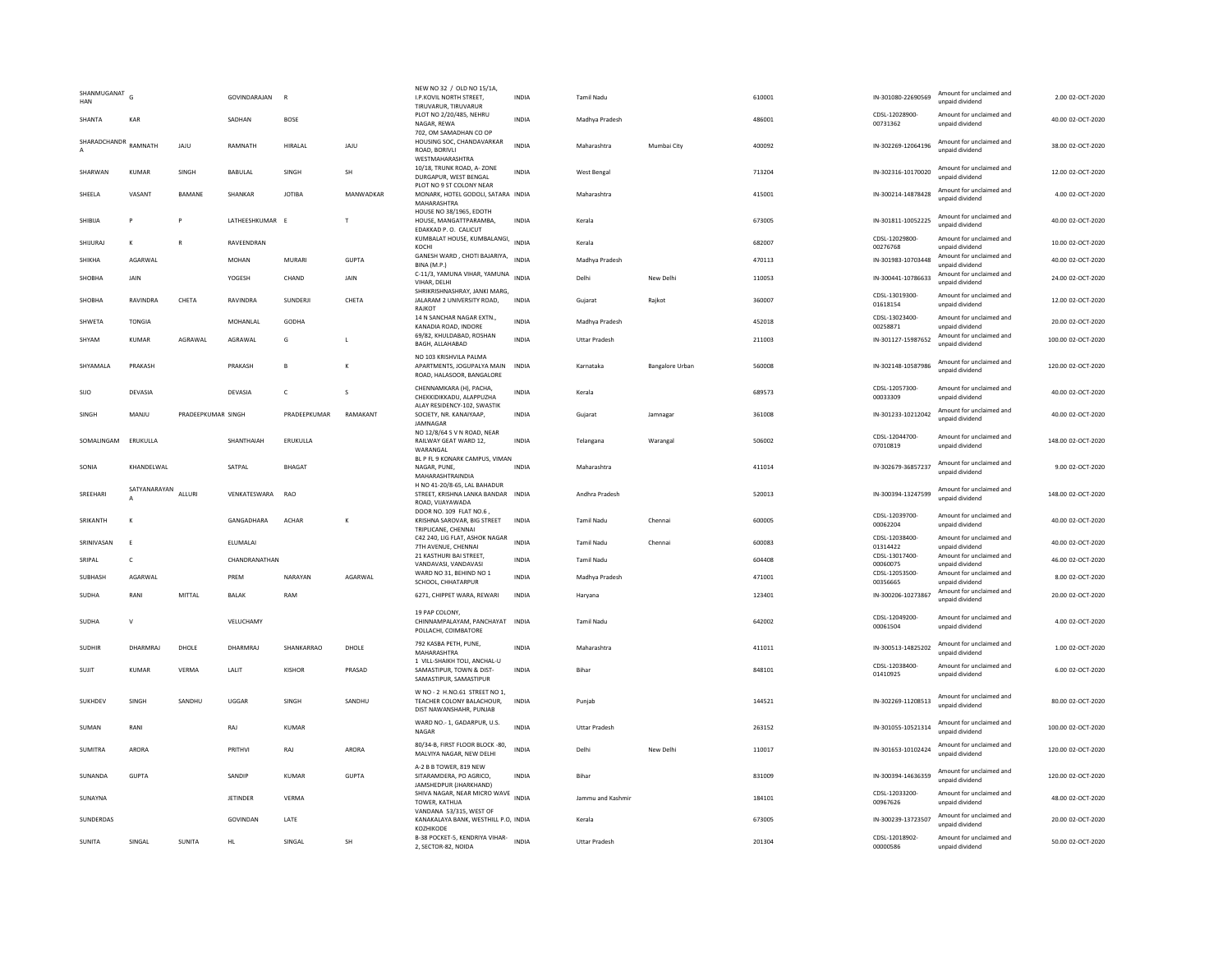| SHANMUGANAT<br>HAN   | G                 |                    | GOVINDARAJAN    | $\mathbb{R}$   |              | NEW NO 32 / OLD NO 15/1A,<br>I.P.KOVIL NORTH STREET,<br>TIRUVARUR, TIRUVARUR            | <b>INDIA</b> | <b>Tamil Nadu</b>    |                 | 610001 | IN-301080-22690569         | Amount for unclaimed and<br>unpaid dividend | 2.00 02-OCT-2020   |
|----------------------|-------------------|--------------------|-----------------|----------------|--------------|-----------------------------------------------------------------------------------------|--------------|----------------------|-----------------|--------|----------------------------|---------------------------------------------|--------------------|
| SHANTA               | KAR               |                    | SADHAN          | <b>BOSE</b>    |              | PLOT NO 2/20/485, NEHRU<br>NAGAR, REWA                                                  | <b>INDIA</b> | Madhya Pradesh       |                 | 486001 | CDSL-12028900<br>00731362  | Amount for unclaimed and<br>unpaid dividend | 40.00 02-OCT-2020  |
| SHARADCHANDR RAMNATH |                   | JAJU               | RAMNATH         | HIRALAL        | JAJU         | 702, OM SAMADHAN CO OP<br>HOUSING SOC, CHANDAVARKAR<br>ROAD, BORIVLI<br>WESTMAHARASHTRA | <b>INDIA</b> | Maharashtra          | Mumbai City     | 400092 | IN-302269-12064196         | Amount for unclaimed and<br>unnaid dividend | 38.00 02-OCT-2020  |
| SHARWAN              | KUMAR             | SINGH              | BABULAL         | SINGH          | SH           | 10/18. TRUNK ROAD, A-ZONE<br>DURGAPUR, WEST BENGAL                                      | <b>INDIA</b> | West Bengal          |                 | 713204 | IN-302316-10170020         | Amount for unclaimed and<br>unpaid dividend | 12.00 02-OCT-2020  |
| SHEELA               | VASANT            | <b>BAMANE</b>      | SHANKAR         | <b>IOTIBA</b>  | MANWADKAR    | PLOT NO 9 ST COLONY NEAR<br>MONARK, HOTEL GODOLI, SATARA INDIA<br><b>MAHARASHTRA</b>    |              | Maharashtra          |                 | 415001 | IN-300214-14878428         | Amount for unclaimed and<br>unpaid dividend | 4.00 02-OCT-2020   |
| SHIBIJA              | P                 |                    | LATHEESHKUMAR E |                | $\mathsf{T}$ | HOUSE NO 38/1965, EDOTH<br>HOUSE, MANGATTPARAMBA,<br>EDAKKAD P. O. CALICUT              | <b>INDIA</b> | Kerala               |                 | 673005 | IN-301811-10052225         | Amount for unclaimed and<br>unpaid dividend | 40.00 02-OCT-2020  |
| SHIJURAJ             | к                 | $\mathbf{R}$       | RAVEENDRAN      |                |              | --.<br>KUMBALAT HOUSE, KUMBALANGI, INDIA<br>KOCHI                                       |              | Kerala               |                 | 682007 | CDSL-12029800-<br>00276768 | Amount for unclaimed and<br>unpaid dividend | 10.00 02-OCT-2020  |
| SHIKHA               | AGARWAL           |                    | <b>MOHAN</b>    | MURARI         | <b>GUPTA</b> | GANESH WARD, CHOTI BAJARIYA,<br>BINA (M.P.)                                             | <b>INDIA</b> | Madhya Pradesh       |                 | 470113 | IN-301983-10703448         | Amount for unclaimed and<br>unpaid dividend | 40.00 02-OCT-2020  |
| SHOBHA               | <b>JAIN</b>       |                    | YOGESH          | CHAND          | <b>JAIN</b>  | C-11/3, YAMUNA VIHAR, YAMUNA<br>VIHAR, DELHI                                            | <b>INDIA</b> | Delhi                | New Delhi       | 110053 | IN-300441-10786633         | Amount for unclaimed and<br>unpaid dividend | 24.00 02-OCT-2020  |
| SHOBHA               | RAVINDRA          | CHETA              | RAVINDRA        | SUNDERJI       | CHETA        | SHRIKRISHNASHRAY, JANKI MARG,<br>JALARAM 2 UNIVERSITY ROAD,<br>RAJKOT                   | INDIA        | Gujarat              | Rajkot          | 360007 | CDSL-13019300-<br>01618154 | Amount for unclaimed and<br>unpaid dividend | 12.00 02-OCT-2020  |
| SHWETA               | <b>TONGIA</b>     |                    | MOHANI AI       | GODHA          |              | 14 N SANCHAR NAGAR EXTN.<br>KANADIA ROAD, INDORE                                        | <b>INDIA</b> | Madhya Pradesh       |                 | 452018 | CDSL-13023400-<br>00258871 | Amount for unclaimed and<br>unpaid dividend | 20.00 02-OCT-2020  |
| SHYAM                | KUMAR             | AGRAWAI            | AGRAWAI         | G              | л.           | 69/82, KHULDABAD, ROSHAN<br>BAGH, ALLAHABAD                                             | <b>INDIA</b> | <b>Uttar Pradesh</b> |                 | 211003 | IN-301127-15987652         | Amount for unclaimed and<br>unpaid dividend | 100.00.02-OCT-2020 |
| SHYAMALA             | PRAKASH           |                    | PRAKASH         | $\overline{B}$ |              | NO 103 KRISHVILA PALMA<br>APARTMENTS, JOGUPALYA MAIN<br>ROAD, HALASOOR, BANGALORE       | <b>INDIA</b> | Karnataka            | Bangalore Urban | 560008 | IN-302148-10587986         | Amount for unclaimed and<br>unpaid dividend | 120.00 02-OCT-2020 |
| SIJO                 | DEVASIA           |                    | DEVASIA         | $\mathsf{C}$   | s            | CHENNAMKARA (H), PACHA,<br>CHEKKIDIKKADU, ALAPPUZHA                                     | <b>INDIA</b> | Kerala               |                 | 689573 | CDSI-12057300-<br>00033309 | Amount for unclaimed and<br>unpaid dividend | 40.00 02-OCT-2020  |
| SINGH                | MANJU             | PRADEEPKUMAR SINGH |                 | PRADEEPKUMAR   | RAMAKANT     | ALAY RESIDENCY-102, SWASTIK<br>SOCIETY, NR. KANAIYAAP,<br>JAMNAGAR                      | <b>INDIA</b> | Gujarat              | Jamnagar        | 361008 | IN-301233-10212042         | Amount for unclaimed and<br>unpaid dividend | 40.00 02-OCT-2020  |
| SOMALINGAM           | ERUKULLA          |                    | SHANTHAIAH      | ERUKULLA       |              | NO 12/8/64 S V N ROAD, NEAR<br>RAILWAY GEAT WARD 12.<br>WARANGAL                        | <b>INDIA</b> | Telangana            | Warangal        | 506002 | CDSL-12044700-<br>07010819 | Amount for unclaimed and<br>unpaid dividend | 148.00 02-OCT-2020 |
| SONIA                | KHANDFI WAI       |                    | SATPAI          | <b>BHAGAT</b>  |              | BL P FL 9 KONARK CAMPUS, VIMAN<br>NAGAR, PUNE<br>MAHARASHTRAINDIA                       | <b>INDIA</b> | Maharashtra          |                 | 411014 | IN-302679-36857237         | Amount for unclaimed and<br>unpaid dividend | 9.00 02-OCT-2020   |
| SREEHARI             | SATYANARAYAN<br>А | ALLURI             | VENKATESWARA    | <b>RAO</b>     |              | H NO 41-20/8-65, LAL BAHADUR<br>STREET, KRISHNA LANKA BANDAR<br>ROAD, VIIAYAWADA        | <b>INDIA</b> | Andhra Pradesh       |                 | 520013 | IN-300394-13247599         | Amount for unclaimed and<br>unpaid dividend | 148.00 02-OCT-2020 |
| SRIKANTH             | К                 |                    | GANGADHARA      | <b>ACHAR</b>   | $\mathbf{K}$ | DOOR NO. 109 FLAT NO.6<br>KRISHNA SAROVAR, BIG STREET<br>TRIPLICANE, CHENNAI            | <b>INDIA</b> | <b>Tamil Nadu</b>    | Chennai         | 600005 | CDSL-12039700-<br>00062204 | Amount for unclaimed and<br>unpaid dividend | 40.00 02-OCT-2020  |
| SRINIVASAN           | E                 |                    | ELUMALAI        |                |              | C42 240, LIG FLAT, ASHOK NAGAR<br>7TH AVENUE, CHENNAI                                   | <b>INDIA</b> | <b>Tamil Nadu</b>    | Chenna          | 600083 | CDSL-12038400-<br>01314422 | Amount for unclaimed and<br>unpaid dividend | 40.00 02-OCT-2020  |
| SRIPAL               | c                 |                    | CHANDRANATHAN   |                |              | 21 KASTHURI BAI STREET.<br>VANDAVASI, VANDAVASI                                         | <b>INDIA</b> | Tamil Nadu           |                 | 604408 | CDSL-13017400-<br>00060075 | Amount for unclaimed and<br>unpaid dividend | 46.00 02-OCT-2020  |
| SUBHASH              | AGARWAL           |                    | PRFM            | NARAYAN        | AGARWAL      | WARD NO 31, BEHIND NO 1<br>SCHOOL, CHHATARPUR                                           | <b>INDIA</b> | Madhya Pradesh       |                 | 471001 | CDSL-12053500-<br>00356665 | Amount for unclaimed and<br>unpaid dividend | 8.00 02-OCT-2020   |
| <b>SUDHA</b>         | RANI              | MITTAI             | <b>BAI AK</b>   | RAM            |              | 6271, CHIPPET WARA, REWARI                                                              | <b>INDIA</b> | Haryana              |                 | 123401 | IN-300206-10273867         | Amount for unclaimed and<br>unpaid dividend | 20.00 02-OCT-2020  |
| <b>SUDHA</b>         | $\mathsf{v}$      |                    | VELUCHAMY       |                |              | 19 PAP COLONY,<br>CHINNAMPALAYAM, PANCHAYAT INDIA<br>POLLACHI, COIMBATORE               |              | <b>Tamil Nadu</b>    |                 | 642002 | CDSL-12049200-<br>00061504 | Amount for unclaimed and<br>unpaid dividend | 4.00 02-OCT-2020   |
| <b>SUDHIR</b>        | DHARMRAJ          | DHOLE              | DHARMRAJ        | SHANKARRAO     | DHOLE        | 792 KASBA PETH, PUNE,<br>MAHARASHTR,                                                    | <b>INDIA</b> | Maharashtra          |                 | 411011 | IN-300513-14825202         | Amount for unclaimed and<br>unpaid dividend | 1.00 02-OCT-2020   |
| SUJIT                | <b>KUMAR</b>      | <b>VERMA</b>       | LALIT           | <b>KISHOR</b>  | PRASAD       | 1 VILL-SHAIKH TOLI, ANCHAL-U<br>SAMASTIPUR, TOWN & DIST-<br>SAMASTIPUR, SAMASTIPUR      | <b>INDIA</b> | Bihar                |                 | 848101 | CDSL-12038400-<br>01410925 | Amount for unclaimed and<br>unpaid dividend | 6.00 02-OCT-2020   |
| SUKHDEV              | SINGH             | SANDHU             | UGGAR           | SINGH          | SANDHU       | W NO - 2 H.NO.61 STREET NO 1,<br>TEACHER COLONY BALACHOUR,<br>DIST NAWANSHAHR, PUNJAB   | INDIA        | Punjab               |                 | 144521 | IN-302269-11208513         | Amount for unclaimed and<br>unpaid dividend | 80.00 02-OCT-2020  |
| SUMAN                | RANI              |                    | RAJ             | <b>KUMAR</b>   |              | WARD NO.- 1, GADARPUR, U.S.<br>NAGAR                                                    | <b>INDIA</b> | <b>Uttar Pradesh</b> |                 | 263152 | IN-301055-10521314         | Amount for unclaimed and<br>unpaid dividend | 100.00 02-OCT-2020 |
| SUMITRA              | <b>ARORA</b>      |                    | PRITHVI         | RAJ            | ARORA        | 80/34-B, FIRST FLOOR BLOCK -80,<br>MALVIYA NAGAR, NEW DELHI                             | <b>INDIA</b> | Delhi                | New Delhi       | 110017 | IN-301653-10102424         | Amount for unclaimed and<br>unpaid dividend | 120.00 02-OCT-2020 |
| SUNANDA              | <b>GUPTA</b>      |                    | SANDIP          | <b>KUMAR</b>   | <b>GUPTA</b> | A-2 B B TOWER, 819 NEW<br>SITARAMDERA, PO AGRICO.<br>JAMSHEDPUR (JHARKHAND)             | <b>INDIA</b> | Bihar                |                 | 831009 | IN-300394-14636359         | Amount for unclaimed and<br>unpaid dividend | 120.00 02-OCT-2020 |
| SUNAYNA              |                   |                    | <b>JETINDER</b> | <b>VERMA</b>   |              | SHIVA NAGAR, NEAR MICRO WAVE INDIA<br>TOWER, KATHUA                                     |              | Jammu and Kashmir    |                 | 184101 | CDSL-12033200-<br>00967626 | Amount for unclaimed and<br>unpaid dividend | 48.00 02-OCT-2020  |
| <b>SUNDERDAS</b>     |                   |                    | GOVINDAN        | LATE           |              | VANDANA 53/315, WEST OF<br>KANAKALAYA BANK, WESTHILL P.O, INDIA<br>KOZHIKODE            |              | Kerala               |                 | 673005 | IN-300239-13723507         | Amount for unclaimed and<br>unpaid dividend | 20.00 02-OCT-2020  |
| SUNITA               | SINGAL            | SUNITA             | HL              | SINGAL         | SH           | B-38 POCKET-5, KENDRIYA VIHAR-<br>2, SECTOR-82, NOIDA                                   | <b>INDIA</b> | Uttar Pradesh        |                 | 201304 | CDSL-12018902-<br>00000586 | Amount for unclaimed and<br>unpaid dividend | 50.00 02-OCT-2020  |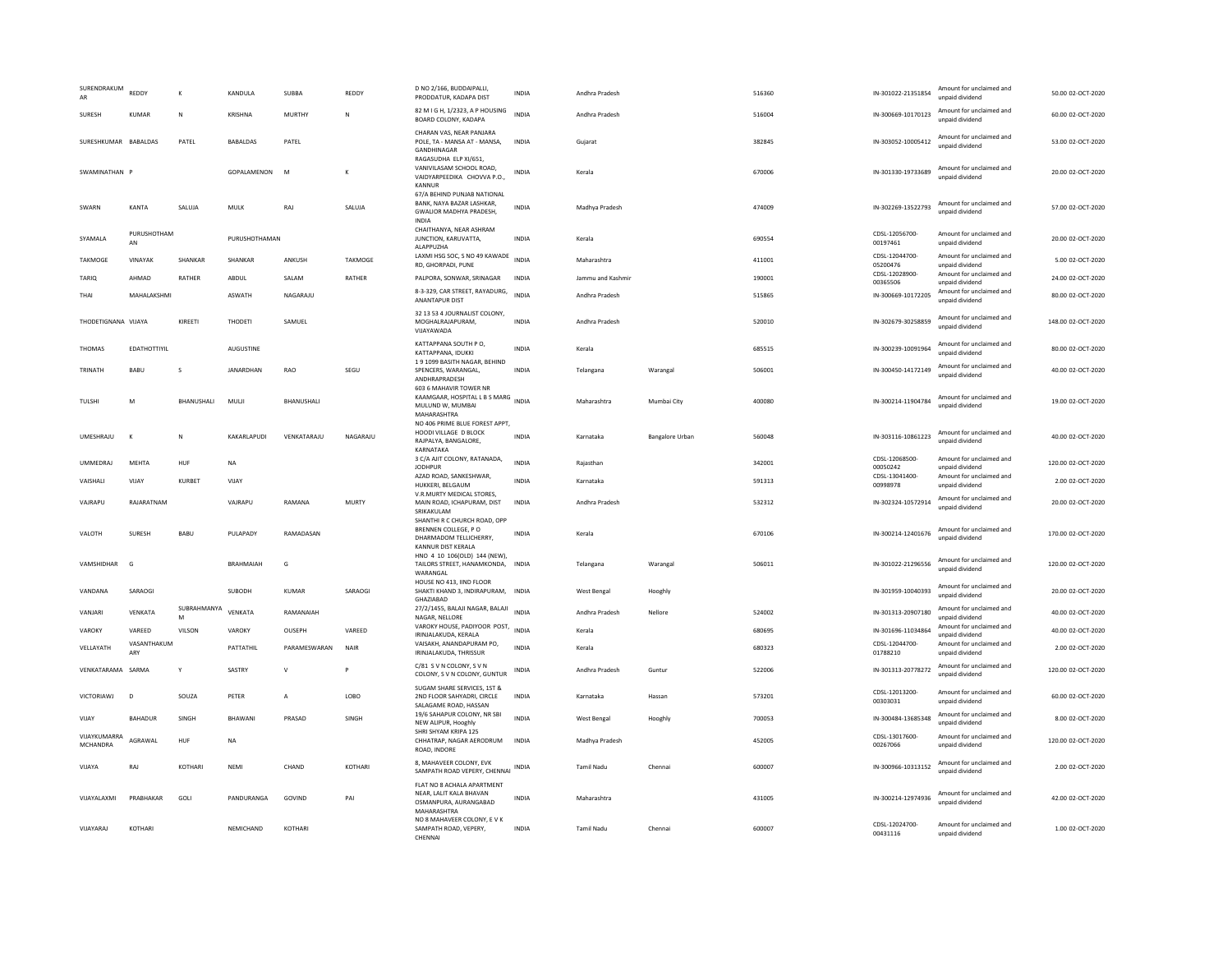| SURENDRAKUM<br>AR        | REDDY               | K                 | KANDULA          | SUBBA          | REDDY        | D NO 2/166, BUDDAIPALLI,<br>PRODDATUR, KADAPA DIST                                                                                 | <b>INDIA</b> | Andhra Pradesh    |                 | 516360 | IN-301022-21351854         | Amount for unclaimed and<br>unpaid dividend | 50.00 02-OCT-2020  |
|--------------------------|---------------------|-------------------|------------------|----------------|--------------|------------------------------------------------------------------------------------------------------------------------------------|--------------|-------------------|-----------------|--------|----------------------------|---------------------------------------------|--------------------|
| <b>SURFSH</b>            | KUMAR               | N                 | KRISHNA          | MURTHY         | N            | 82 M I G H, 1/2323, A P HOUSING<br>BOARD COLONY, KADAPA                                                                            | <b>INDIA</b> | Andhra Pradesh    |                 | 516004 | IN-300669-10170123         | Amount for unclaimed and<br>unpaid dividend | 60.00.02-OCT-2020  |
| SURESHKUMAR              | <b>BABALDAS</b>     | PATEL             | <b>BABALDAS</b>  | PATEL          |              | CHARAN VAS, NEAR PANJARA<br>POLE, TA - MANSA AT - MANSA,<br>GANDHINAGAR<br>RAGASUDHA ELP XI/651                                    | INDIA        | Gujarat           |                 | 382845 | IN-303052-10005412         | Amount for unclaimed and<br>unpaid dividend | 53.00 02-OCT-2020  |
| SWAMINATHAN P            |                     |                   | GOPALAMENON      | M              | K            | VANIVILASAM SCHOOL ROAD.<br>VAIDYARPEEDIKA CHOVVA P.O.,<br>KANNUR                                                                  | INDIA        | Kerala            |                 | 670006 | IN-301330-19733689         | Amount for unclaimed and<br>unpaid dividend | 20.00 02-OCT-2020  |
| SWARN                    | KANTA               | SALUJA            | <b>MULK</b>      | RAJ            | SALUJA       | 67/A BEHIND PUNJAB NATIONAL<br>BANK, NAYA BAZAR LASHKAR.<br>GWALIOR MADHYA PRADESH,<br><b>INDIA</b>                                | <b>INDIA</b> | Madhya Pradesh    |                 | 474009 | IN-302269-13522793         | Amount for unclaimed and<br>unpaid dividend | 57.00 02-OCT-2020  |
| SYAMALA                  | PURUSHOTHAM<br>AN   |                   | PURUSHOTHAMAN    |                |              | CHAITHANYA, NEAR ASHRAM<br>JUNCTION, KARUVATTA.<br>ALAPPUZHA                                                                       | <b>INDIA</b> | Kerala            |                 | 690554 | CDSL-12056700-<br>00197461 | Amount for unclaimed and<br>unpaid dividend | 20.00 02-OCT-2020  |
| TAKMOGE                  | VINAYAK             | SHANKAR           | SHANKAR          | ANKUSH         | TAKMOGE      | LAXMI HSG SOC, S NO 49 KAWADE<br>RD, GHORPADI, PUNE                                                                                | <b>INDIA</b> | Maharashtra       |                 | 411001 | CDSL-12044700-<br>05200476 | Amount for unclaimed and<br>unpaid dividend | 5.00 02-OCT-2020   |
| TARIQ                    | AHMAD               | RATHER            | ABDUL            | SALAM          | RATHER       | PALPORA, SONWAR, SRINAGAR                                                                                                          | INDIA        | Jammu and Kashmi  |                 | 190001 | CDSL-12028900-<br>00365506 | Amount for unclaimed and<br>unpaid dividend | 24.00 02-OCT-2020  |
| THAI                     | MAHALAKSHMI         |                   | ASWATH           | NAGARAJU       |              | 8-3-329, CAR STREET, RAYADURG,<br><b>ANANTAPUR DIST</b>                                                                            | <b>INDIA</b> | Andhra Pradesh    |                 | 515865 | IN-300669-10172205         | Amount for unclaimed and<br>unnaid dividend | 80.00 02-OCT-2020  |
| THODETIGNANA VIJAYA      |                     | KIREETI           | THODETI          | SAMUEL         |              | 32 13 53 4 JOURNALIST COLONY,<br>MOGHALRAJAPURAM,<br>VIJAYAWADA                                                                    | INDIA        | Andhra Pradesh    |                 | 520010 | IN-302679-30258859         | Amount for unclaimed and<br>unpaid dividend | 148.00 02-OCT-2020 |
| <b>THOMAS</b>            | <b>FDATHOTTIYII</b> |                   | <b>AUGUSTINE</b> |                |              | KATTAPPANA SOUTH PO,<br>KATTAPPANA, IDUKKI                                                                                         | <b>INDIA</b> | Kerala            |                 | 685515 | IN-300239-10091964         | Amount for unclaimed and<br>unpaid dividend | 80.00.02-OCT-2020  |
| TRINATH                  | BABU                | s                 | JANARDHAN        | RAO            | SEGU         | 191099 BASITH NAGAR, BEHIND<br>SPENCERS, WARANGAL.<br>ANDHRAPRADESH                                                                | <b>INDIA</b> | Telangana         | Warangal        | 506001 | IN-300450-14172149         | Amount for unclaimed and<br>unpaid dividend | 40.00 02-OCT-2020  |
| TULSHI                   | M                   | <b>BHANUSHALL</b> | MULII            | BHANUSHALI     |              | 603 6 MAHAVIR TOWER NR<br>KAAMGAAR, HOSPITAL L B S MARG INDIA<br>MULUND W, MUMBAI<br>MAHARASHTRA<br>NO 406 PRIME BLUE FOREST APPT, |              | Maharashtra       | Mumbai City     | 400080 | IN-300214-11904784         | Amount for unclaimed and<br>unpaid dividend | 19.00.02-OCT-2020  |
| <b>UMESHRAJU</b>         | $\kappa$            | N                 | KAKARLAPUDI      | VENKATARAJU    | NAGARAJU     | HOODI VILLAGE D BLOCK<br>RAJPALYA, BANGALORE,<br>KARNATAKA                                                                         | <b>INDIA</b> | Karnataka         | Bangalore Urban | 560048 | IN-303116-10861223         | Amount for unclaimed and<br>unpaid dividend | 40.00 02-OCT-2020  |
| <b>UMMEDRAJ</b>          | MEHTA               | HUF               | <b>NA</b>        |                |              | 3 C/A AJIT COLONY, RATANADA,<br><b>IODHPUR</b>                                                                                     | <b>INDIA</b> | Rajasthan         |                 | 342001 | CDSL-12068500-<br>00050242 | Amount for unclaimed and<br>unpaid dividend | 120.00 02-OCT-2020 |
| VAISHALI                 | VIJAY               | KURBET            | VIJAY            |                |              | AZAD ROAD, SANKESHWAR,<br>HUKKERI, BELGAUM                                                                                         | INDIA        | Karnataka         |                 | 591313 | CDSL-13041400-<br>00998978 | Amount for unclaimed and<br>unpaid dividend | 2.00 02-OCT-2020   |
| VAJRAPU                  | RAJARATNAM          |                   | VAIRAPLI         | RAMANA         | <b>MURTY</b> | V.R.MURTY MEDICAL STORES,<br>MAIN ROAD, ICHAPURAM, DIST<br>SRIKAKULAN                                                              | <b>INDIA</b> | Andhra Pradesh    |                 | 532312 | IN-302324-10572914         | Amount for unclaimed and<br>unpaid dividend | 20.00 02-OCT-2020  |
| VALOTH                   | SURESH              | <b>BABU</b>       | PULAPADY         | RAMADASAN      |              | SHANTHI R C CHURCH ROAD, OPP<br>BRENNEN COLLEGE, PO<br>DHARMADOM TELLICHERRY.<br>KANNUR DIST KERALA                                | <b>INDIA</b> | Kerala            |                 | 670106 | IN-300214-12401676         | Amount for unclaimed and<br>unpaid dividend | 170.00 02-OCT-2020 |
| VAMSHIDHAR               | G                   |                   | <b>BRAHMAIAH</b> | G              |              | HNO 4 10 106(OLD) 144 (NEW).<br>TAILORS STREET, HANAMKONDA, INDIA<br>WARANGAL                                                      |              | Telangana         | Warangal        | 506011 | IN-301022-21296556         | Amount for unclaimed and<br>unpaid dividend | 120.00 02-OCT-2020 |
| VANDANA                  | SARAOGI             |                   | SUBODH           | <b>KUMAR</b>   | SARAOGI      | HOUSE NO 413, IIND FLOOR<br>SHAKTI KHAND 3, INDIRAPURAM, INDIA<br>GHAZIABAD                                                        |              | West Bengal       | Hooghly         |        | IN-301959-10040393         | Amount for unclaimed and<br>unpaid dividend | 20.00 02-OCT-2020  |
| VANJARI                  | VENKATA             | SUBRAHMANYA<br>M  | VENKATA          | RAMANAIAH      |              | 27/2/1455, BALAJI NAGAR, BALAJI<br>NAGAR, NELLORE                                                                                  | INDIA        | Andhra Pradesh    | Nellore         | 524002 | IN-301313-20907180         | Amount for unclaimed and<br>unpaid dividend | 40.00 02-OCT-2020  |
| VAROKY                   | VAREED              | VILSON            | VAROKY           | OUSEPH         | VAREED       | VAROKY HOUSE, PADIYOOR POST,<br>IRINJALAKUDA, KERALA                                                                               | <b>INDIA</b> | Kerala            |                 | 680695 | IN-301696-11034864         | Amount for unclaimed and<br>unpaid dividend | 40.00 02-OCT-2020  |
| VELLAYATH                | VASANTHAKUM<br>ARY  |                   | PATTATHIL        | PARAMESWARAN   | NAIR         | VAISAKH, ANANDAPURAM PO,<br>IRINJALAKUDA, THRISSUR                                                                                 | <b>INDIA</b> | Kerala            |                 | 680323 | CDSL-12044700-<br>01788210 | Amount for unclaimed and<br>unpaid dividend | 2.00 02-OCT-2020   |
| VENKATARAMA SARMA        |                     | Y                 | SASTRY           | $\mathsf{V}$   | P            | C/81 S V N COLONY, S V N<br>COLONY, S V N COLONY, GUNTUR                                                                           | INDIA        | Andhra Pradesh    | Guntur          | 522006 | IN-301313-20778272         | Amount for unclaimed and<br>unpaid dividend | 120.00 02-OCT-2020 |
| VICTORIAWJ               | D                   | SOUZA             | PETER            | $\overline{A}$ | LOBO         | SUGAM SHARE SERVICES, 1ST &<br>2ND FLOOR SAHYADRI, CIRCLE<br>SALAGAME ROAD, HASSAN                                                 | <b>INDIA</b> | Karnataka         | Hassan          | 573201 | CDSL-12013200-<br>00303031 | Amount for unclaimed and<br>unpaid dividend | 60.00 02-OCT-2020  |
| VIJAY                    | BAHADUR             | SINGH             | BHAWANI          | PRASAD         | SINGH        | 19/6 SAHAPUR COLONY, NR SBI<br>NEW ALIPUR, Hooghly                                                                                 | <b>INDIA</b> | West Bengal       | Hooghly         | 700053 | IN-300484-13685348         | Amount for unclaimed and<br>unpaid dividend | 8.00 02-OCT-2020   |
| VIJAYKUMARRA<br>MCHANDRA | AGRAWAL             | HUF               | <b>NA</b>        |                |              | SHRI SHYAM KRIPA 125<br>CHHATRAP, NAGAR AERODRUM<br>ROAD, INDORE                                                                   | <b>INDIA</b> | Madhva Pradesh    |                 | 452005 | CDSL-13017600-<br>00267066 | Amount for unclaimed and<br>unpaid dividend | 120.00 02-OCT-2020 |
| VIJAYA                   | RAJ                 | KOTHARI           | <b>NEMI</b>      | CHAND          | KOTHARI      | 8, MAHAVEER COLONY, EVK<br>SAMPATH ROAD VEPERY, CHENNAI                                                                            | INDIA        | Tamil Nadu        | Chenna          | 600007 | IN-300966-10313152         | Amount for unclaimed and<br>unnaid dividend | 2.00 02-OCT-2020   |
| VIJAYALAXMI              | PRABHAKAR           | GOLI              | PANDURANGA       | GOVIND         | PAI          | FLAT NO 8 ACHALA APARTMENT<br>NEAR, LALIT KALA BHAVAN<br>OSMANPURA, AURANGABAD<br>MAHARASHTRA                                      | <b>INDIA</b> | Maharashtra       |                 | 431005 | IN-300214-12974936         | Amount for unclaimed and<br>unpaid dividend | 42.00 02-OCT-2020  |
| VIJAYARAJ                | KOTHARI             |                   | NEMICHAND        | KOTHAR         |              | NO 8 MAHAVEER COLONY. E V K<br>SAMPATH ROAD, VEPERY,<br>CHENNAI                                                                    | <b>INDIA</b> | <b>Tamil Nadu</b> | Chennai         | 600007 | CDSL-12024700-<br>00431116 | Amount for unclaimed and<br>unpaid dividend | 1.00 02-OCT-2020   |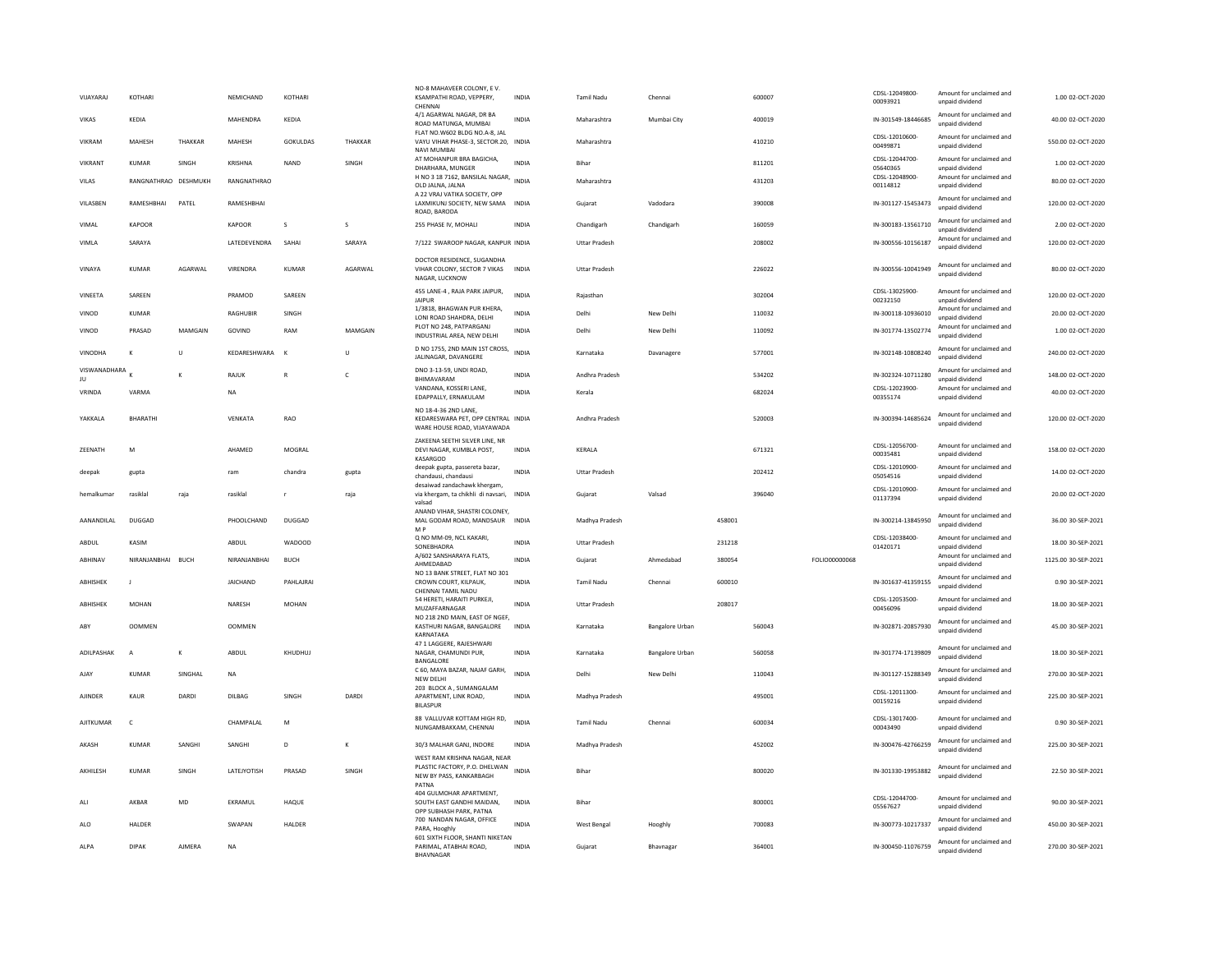| VIJAYARAJ          | KOTHARI              |          | NEMICHAND       | KOTHARI         |              | NO-8 MAHAVEER COLONY, E V.<br>KSAMPATHI ROAD, VEPPERY,<br>CHENNA                                  | <b>INDIA</b> | Tamil Nadu           | Chennai                |        | 600007 |               | CDSL-12049800-<br>00093921 | Amount for unclaimed and<br>unpaid dividend | 1.00 02-OCT-2020    |
|--------------------|----------------------|----------|-----------------|-----------------|--------------|---------------------------------------------------------------------------------------------------|--------------|----------------------|------------------------|--------|--------|---------------|----------------------------|---------------------------------------------|---------------------|
| VIKAS              | KEDIA                |          | MAHENDRA        | KEDIA           |              | 4/1 AGARWAL NAGAR, DR BA<br>ROAD MATUNGA, MUMBAI                                                  | INDIA        | Maharashtra          | Mumbai City            |        | 400019 |               | IN-301549-18446685         | Amount for unclaimed and<br>unpaid dividend | 40.00 02-OCT-2020   |
| VIKRAM             | MAHESH               | THAKKAR  | MAHESH          | <b>GOKULDAS</b> | THAKKAR      | FLAT NO.W602 BLDG NO.A-8. JAL<br>VAYU VIHAR PHASE-3, SECTOR.20, INDIA<br>NAVI MUMBAI              |              | Maharashtra          |                        |        | 410210 |               | CDSL-12010600-<br>00499871 | Amount for unclaimed and<br>unpaid dividend | 550.00 02-OCT-2020  |
| VIKRANT            | KUMAR                | SINGH    | KRISHNA         | NAND            | SINGH        | AT MOHANPUR BRA BAGICHA,<br>DHARHARA, MUNGER                                                      | <b>INDIA</b> | Bihar                |                        |        | 811201 |               | CDSL-12044700-<br>05640365 | Amount for unclaimed and<br>unpaid dividend | 1.00 02-OCT-2020    |
| VILAS              | RANGNATHRAO DESHMUKH |          | RANGNATHRAO     |                 |              | H NO 3 18 7162, BANSILAL NAGAR,<br>OLD JALNA, JALNA                                               | <b>INDIA</b> | Maharashtra          |                        |        | 431203 |               | CDSL-12048900-<br>00114812 | Amount for unclaimed and<br>unpaid dividend | 80.00 02-OCT-2020   |
| <b>VII ASBEN</b>   | RAMESHBHAI           | PATFI    | RAMESHBHAI      |                 |              | A 22 VRAJ VATIKA SOCIETY, OPP<br>LAXMIKUNJ SOCIETY, NEW SAMA INDIA<br>ROAD, BARODA                |              | Gujarat              | Vadodara               |        | 390008 |               | IN-301127-15453473         | Amount for unclaimed and<br>unpaid dividend | 120.00 02-OCT-2020  |
| VIMAL              | KAPOOR               |          | KAPOOR          | s               | s            | 255 PHASE IV, MOHALI                                                                              | <b>INDIA</b> | Chandigarh           | Chandigarh             |        | 160059 |               | IN-300183-13561710         | Amount for unclaimed and<br>unpaid dividend | 2.00 02-OCT-2020    |
| VIMLA              | SARAYA               |          | LATEDEVENDRA    | SAHAI           | SARAYA       | 7/122 SWAROOP NAGAR, KANPUR INDIA                                                                 |              | <b>Uttar Pradesh</b> |                        |        | 208002 |               | IN-300556-10156187         | Amount for unclaimed and<br>unpaid dividend | 120.00 02-OCT-2020  |
| VINAYA             | <b>KUMAR</b>         | AGARWAL  | VIRENDRA        | <b>KUMAR</b>    | AGARWAL      | DOCTOR RESIDENCE, SUGANDHA<br>VIHAR COLONY, SECTOR 7 VIKAS<br>NAGAR, LUCKNOW                      | <b>INDIA</b> | <b>Uttar Pradesh</b> |                        |        | 226022 |               | IN-300556-10041949         | Amount for unclaimed and<br>unpaid dividend | 80.00 02-OCT-2020   |
| VINEETA            | SAREEN               |          | PRAMOD          | SAREEN          |              | 455 LANE-4, RAJA PARK JAIPUR,<br>JAIPUR                                                           | <b>INDIA</b> | Rajasthan            |                        |        | 302004 |               | CDSL-13025900-<br>00232150 | Amount for unclaimed and<br>unpaid dividend | 120.00 02-OCT-2020  |
| VINOD              | <b>KUMAR</b>         |          | RAGHUBIR        | SINGH           |              | 1/3818, BHAGWAN PUR KHERA,<br>LONI ROAD SHAHDRA, DELHI                                            | INDIA        | Delhi                | New Delhi              |        | 110032 |               | IN-300118-10936010         | Amount for unclaimed and<br>unpaid dividend | 20.00 02-OCT-2020   |
| VINOD              | PRASAD               | MAMGAIN  | GOVIND          | RAM             | MAMGAIN      | PLOT NO 248. PATPARGANJ<br>INDUSTRIAL AREA, NEW DELHI                                             | INDIA        | Delhi                | New Delhi              |        | 110092 |               | IN-301774-13502774         | Amount for unclaimed and<br>unpaid dividend | 1.00 02-OCT-2020    |
| VINODHA            | К                    | U        | KEDARESHWARA    | $\mathbf{K}$    | U            | D NO 1755, 2ND MAIN 1ST CROSS,<br><b>IALINAGAR, DAVANGERE</b>                                     | <b>INDIA</b> | Karnataka            | Davanagere             |        | 577001 |               | IN-302148-10808240         | Amount for unclaimed and<br>unnaid dividend | 240.00 02-OCT-2020  |
| VISWANADHARA<br>JU |                      | $\kappa$ | RAJUK           | $\mathbb{R}$    | $\mathsf{C}$ | DNO 3-13-59, UNDI ROAD.<br>BHIMAVARAM                                                             | <b>INDIA</b> | Andhra Pradesh       |                        |        | 534202 |               | IN-302324-10711280         | Amount for unclaimed and<br>unpaid dividend | 148.00 02-OCT-2020  |
| VRINDA             | VARMA                |          | <b>NA</b>       |                 |              | VANDANA, KOSSERI LANE.<br>EDAPPALLY, ERNAKULAM                                                    | <b>INDIA</b> | Kerala               |                        |        | 682024 |               | CDSL-12023900-<br>00355174 | Amount for unclaimed and<br>unpaid dividend | 40.00 02-OCT-2020   |
| YAKKALA            | BHARATHI             |          | VENKATA         | RAO             |              | NO 18-4-36 2ND LANE,<br>KEDARESWARA PET, OPP CENTRAL INDIA<br>WARE HOUSE ROAD, VIJAYAWADA         |              | Andhra Pradesh       |                        |        | 520003 |               | IN-300394-14685624         | Amount for unclaimed and<br>unpaid dividend | 120.00 02-OCT-2020  |
| ZEENATH            | M                    |          | AHAMED          | MOGRAL          |              | ZAKEENA SEETHI SILVER LINE, NR<br>DEVI NAGAR, KUMBLA POST.<br>KASARGOD                            | INDIA        | KERALA               |                        |        | 671321 |               | CDSL-12056700<br>00035481  | Amount for unclaimed and<br>unpaid dividend | 158.00 02-OCT-2020  |
| deepak             | gupta                |          | ram             | chandra         | gupta        | deepak gupta, passereta bazar,<br>chandausi, chandausi                                            | INDIA        | <b>Uttar Pradesh</b> |                        |        | 202412 |               | CDSL-12010900-<br>05054516 | Amount for unclaimed and<br>unpaid dividend | 14.00 02-OCT-2020   |
| hemalkumar         | rasiklal             | raia     | rasiklal        | $\mathbf{r}$    | raia         | desaiwad zandachawk khergam,<br>via khergam, ta chikhli di navsari,<br>valsad                     | INDIA        | Guiarat              | Valsad                 |        | 396040 |               | CDSL-12010900-<br>01137394 | Amount for unclaimed and<br>unpaid dividend | 20.00.02-OCT-2020   |
| AANANDII AI        | DUGGAD               |          | PHOOLCHAND      | DUGGAD          |              | ANAND VIHAR, SHASTRI COLONEY,<br>MAL GODAM ROAD, MANDSAUR<br>M <sub>P</sub>                       | <b>INDIA</b> | Madhya Pradesh       |                        | 458001 |        |               | IN-300214-13845950         | Amount for unclaimed and<br>unpaid dividend | 36.00 30-SEP-2021   |
| ABDUL              | KASIM                |          | ABDUL           | <b>WADOOD</b>   |              | Q NO MM-09, NCL KAKARI,<br>SONEBHADRA                                                             | <b>INDIA</b> | <b>Uttar Pradesh</b> |                        | 231218 |        |               | CDSL-12038400-<br>01420171 | Amount for unclaimed and<br>unpaid dividend | 18.00 30-SEP-2021   |
| ABHINAV            | NIRANJANBHAI BUCH    |          | NIRANJANBHAI    | <b>BUCH</b>     |              | A/602 SANSHARAYA FLATS.<br>AHMEDABAD                                                              | <b>INDIA</b> | Gujarat              | Ahmedabad              | 380054 |        | FOLIO00000068 |                            | Amount for unclaimed and<br>unpaid dividend | 1125.00 30-SEP-2021 |
| ABHISHEK           | J                    |          | <b>JAICHAND</b> | PAHLAJRAI       |              | NO 13 BANK STREET, FLAT NO 301<br>CROWN COURT, KILPAUK,<br>CHENNAI TAMIL NADU                     | <b>INDIA</b> | <b>Tamil Nadu</b>    | Chennai                | 600010 |        |               | IN-301637-41359155         | Amount for unclaimed and<br>unpaid dividend | 0.90 30-SEP-2021    |
| ABHISHEK           | <b>MOHAN</b>         |          | NARESH          | <b>MOHAN</b>    |              | 54 HERETI, HARAITI PURKEJI,<br>MUZAFFARNAGAR                                                      | <b>INDIA</b> | <b>Uttar Pradesh</b> |                        | 208017 |        |               | CDSL-12053500-<br>00456096 | Amount for unclaimed and<br>unpaid dividend | 18.00 30-SEP-2021   |
| ABY                | <b>OOMMEN</b>        |          | <b>OOMMEN</b>   |                 |              | NO 218 2ND MAIN, EAST OF NGEF,<br>KASTHURI NAGAR, BANGALORE<br>KARNATAKA                          | INDIA        | Karnataka            | <b>Bangalore Urban</b> |        | 560043 |               | IN-302871-20857930         | Amount for unclaimed and<br>unpaid dividend | 45.00 30-SEP-2021   |
| ADILPASHAK         | A                    | K        | ABDUL           | KHUDHUJ         |              | 47 1 LAGGERE, RAJESHWARI<br>NAGAR, CHAMUNDI PUR,                                                  | <b>INDIA</b> | Karnataka            | <b>Bangalore Urban</b> |        | 560058 |               | IN-301774-17139809         | Amount for unclaimed and<br>unpaid dividend | 18.00 30-SEP-2021   |
| AJAY               | <b>KUMAR</b>         | SINGHAL  | <b>NA</b>       |                 |              | BANGALORE<br>C 60, MAYA BAZAR, NAJAF GARH,<br>NEW DELHI                                           | <b>INDIA</b> | Delhi                | New Delhi              |        | 110043 |               | IN-301127-15288349         | Amount for unclaimed and<br>unpaid dividend | 270.00 30-SEP-2021  |
| <b>AJINDER</b>     | <b>KAUR</b>          | DARDI    | DILBAG          | SINGH           | DARDI        | 203 BLOCK A, SUMANGALAM<br>APARTMENT, LINK ROAD.<br><b>BILASPUR</b>                               | <b>INDIA</b> | Madhya Pradesh       |                        |        | 495001 |               | CDSL-12011300-<br>00159216 | Amount for unclaimed and<br>unpaid dividend | 225.00 30-SEP-2021  |
| AJITKUMAR          | $\mathsf{C}$         |          | CHAMPALAL       | M               |              | 88 VALLUVAR KOTTAM HIGH RD,<br>NUNGAMBAKKAM, CHENNAI                                              | INDIA        | <b>Tamil Nadu</b>    | Chennai                |        | 600034 |               | CDSL-13017400-<br>00043490 | Amount for unclaimed and<br>unpaid dividend | 0.90 30-SEP-2021    |
| AKASH              | <b>KUMAR</b>         | SANGHI   | SANGHI          | D               | K            | 30/3 MALHAR GANJ, INDORE                                                                          | <b>INDIA</b> | Madhya Pradesh       |                        |        | 452002 |               | IN-300476-42766259         | Amount for unclaimed and<br>unnaid dividend | 225.00 30-SEP-2021  |
| AKHILESH           | KUMAR                | SINGH    | LATEJYOTISH     | PRASAD          | SINGH        | WEST RAM KRISHNA NAGAR, NEAR<br>PLASTIC FACTORY, P.O. DHELWAN<br>NEW BY PASS, KANKARBAGH<br>PATNA | INDIA        | Bihar                |                        |        | 800020 |               | IN-301330-19953882         | Amount for unclaimed and<br>unpaid dividend | 22.50 30-SEP-2021   |
| ALI                | AKBAR                | MD       | EKRAMUL         | HAQUE           |              | 404 GULMOHAR APARTMENT.<br>SOUTH EAST GANDHI MAIDAN,                                              | INDIA        | Bihar                |                        |        | 800001 |               | CDSL-12044700-<br>05567627 | Amount for unclaimed and<br>unpaid dividend | 90.00 30-SEP-2021   |
| ALO                | HAI DER              |          | <b>SWAPAN</b>   | <b>HAI DFR</b>  |              | OPP SUBHASH PARK, PATNA<br>700 NANDAN NAGAR, OFFICE<br>PARA, Hooghly                              | <b>INDIA</b> | West Bengal          | Hooghly                |        | 700083 |               | IN-300773-10217337         | Amount for unclaimed and<br>unpaid dividend | 450.00 30-SEP-2021  |
| ALPA               | <b>DIPAK</b>         | AJMERA   | <b>NA</b>       |                 |              | 601 SIXTH FLOOR, SHANTI NIKETAN<br>PARIMAL, ATABHAI ROAD,<br><b>BHAVNAGAR</b>                     | <b>INDIA</b> | Gujarat              | Bhavnagar              |        | 364001 |               | IN-300450-11076759         | Amount for unclaimed and<br>unpaid dividend | 270.00 30-SEP-2021  |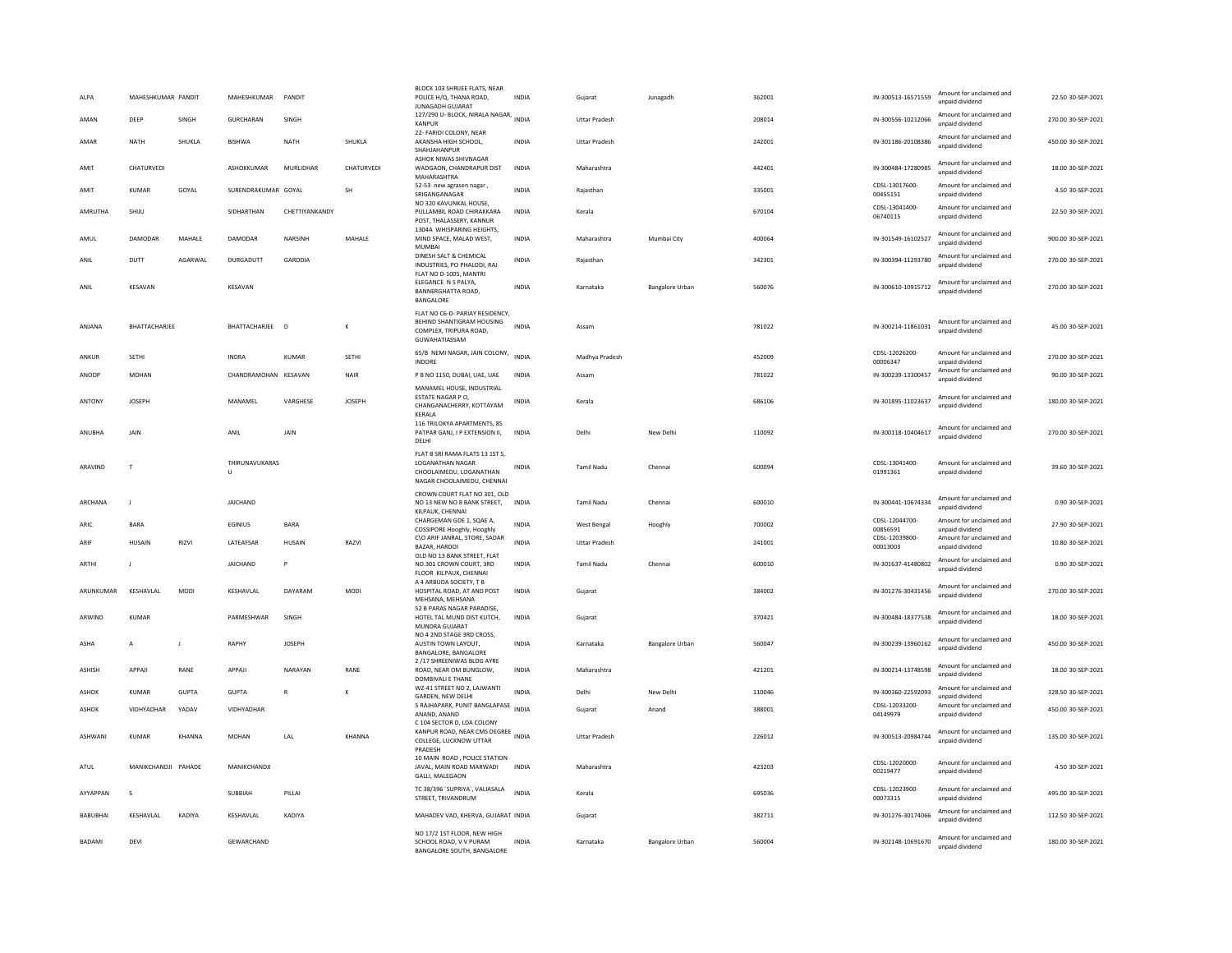| ALPA          | MAHESHKUMAR PANDIT  |              | MAHESHKUMAR          | PANDIT         |               | BLOCK 103 SHRIJEE FLATS, NEAR<br>POLICE H/Q, THANA ROAD,<br><b>JUNAGADH GUJARAT</b>                                 | <b>INDIA</b> | Gujarat              | Junagadh               | 362001 | IN-300513-16571559         | Amount for unclaimed and<br>unpaid dividend | 22.50 30-SEP-2021  |
|---------------|---------------------|--------------|----------------------|----------------|---------------|---------------------------------------------------------------------------------------------------------------------|--------------|----------------------|------------------------|--------|----------------------------|---------------------------------------------|--------------------|
| AMAN          | DEEP                | SINGH        | <b>GURCHARAN</b>     | SINGH          |               | 127/290 U- BLOCK, NIRALA NAGAR, INDIA<br><b>KANPUR</b>                                                              |              | <b>Uttar Pradesh</b> |                        | 208014 | IN-300556-10212066         | Amount for unclaimed and<br>unpaid dividend | 270.00 30-SEP-2021 |
| AMAR          | <b>NATH</b>         | SHUKLA       | BISHWA               | <b>NATH</b>    | SHUKLA        | 22- FARIDI COLONY, NEAR<br>AKANSHA HIGH SCHOOL.<br>SHAHJAHANPUR                                                     | <b>INDIA</b> | <b>Uttar Pradesh</b> |                        | 242001 | IN-301186-20108386         | Amount for unclaimed and<br>unpaid dividend | 450.00 30-SEP-2021 |
| AMIT          | CHATURVEDI          |              | ASHOKKUMAR           | MURLIDHAR      | CHATURVEDI    | ASHOK NIWAS SHIVNAGAR<br>WADGAON, CHANDRAPUR DIST<br>MAHARASHTRA                                                    | <b>INDIA</b> | Maharashtra          |                        | 442401 | IN-300484-17280985         | Amount for unclaimed and<br>unpaid dividend | 18.00 30-SEP-2021  |
| AMIT          | <b>KUMAR</b>        | GOYAL        | SURENDRAKUMAR GOYAL  |                | <b>SH</b>     | 52-53 new agrasen nagar<br>SRIGANGANAGAR                                                                            | <b>INDIA</b> | Raiasthan            |                        | 335001 | CDSL-13017600-<br>00455151 | Amount for unclaimed and<br>unpaid dividend | 4.50 30-SEP-2021   |
| AMRUTHA       | SHIJU               |              | SIDHARTHAN           | CHETTIYANKANDY |               | NO 320 KAVUNKAL HOUSE.<br>PULLAMBIL ROAD CHIRAKKARA<br>POST, THALASSERY, KANNUR<br>1304A WHISPARING HEIGHTS,        | INDIA        | Kerala               |                        | 670104 | CDSL-13041400-<br>06740115 | Amount for unclaimed and<br>unnaid dividend | 22.50 30-SEP-2021  |
| AMUL          | DAMODAR             | MAHALE       | DAMODAR              | NARSINH        | MAHALE        | MIND SPACE, MALAD WEST,<br>MUMBAI                                                                                   | <b>INDIA</b> | Maharashtra          | Mumbai City            | 400064 | IN-301549-16102527         | Amount for unclaimed and<br>unpaid dividend | 900.00 30-SEP-2021 |
| ANII          | DUTT                | AGARWAI      | DURGADUTT            | GARODIA        |               | DINESH SALT & CHEMICAL<br>INDUSTRIES, PO PHALODI, RAJ                                                               | <b>INDIA</b> | Raiasthan            |                        | 342301 | IN-300394-11293780         | Amount for unclaimed and<br>unpaid dividend | 270.00.30-SEP-2021 |
| ANIL          | KESAVAN             |              | KESAVAN              |                |               | FLAT NO D-1005, MANTRI<br>ELEGANCE N S PALYA,<br>BANNERGHATTA ROAD,<br>BANGALORE                                    | <b>INDIA</b> | Karnataka            | Bangalore Urban        | 560076 | IN-300610-10915712         | Amount for unclaimed and<br>unpaid dividend | 270.00 30-SEP-2021 |
| ANJANA        | BHATTACHARJEE       |              | BHATTACHARJEE D      |                | K             | FLAT NO C6-D- PARIAY RESIDENCY,<br>BEHIND SHANTIGRAM HOUSING<br>COMPLEX, TRIPURA ROAD.<br>GUWAHATIASSAM             | <b>INDIA</b> | Assam                |                        | 781022 | IN-300214-11861031         | Amount for unclaimed and<br>unpaid dividend | 45.00 30-SEP-2021  |
| ANKUR         | SETHI               |              | <b>INDRA</b>         | KUMAR          | SFTHI         | 65/B NEMI NAGAR, JAIN COLONY,<br><b>INDORE</b>                                                                      | INDIA        | Madhya Pradesh       |                        | 452009 | CDSL-12026200-<br>00006347 | Amount for unclaimed and<br>unpaid dividend | 270.00 30-SEP-2021 |
| ANOOP         | <b>MOHAN</b>        |              | CHANDRAMOHAN KESAVAN |                | <b>NAIR</b>   | P B NO 1150, DUBAI, UAE, UAE<br>MANAMEL HOUSE, INDUSTRIAL                                                           | <b>INDIA</b> | Assam                |                        | 781022 | IN-300239-13300457         | Amount for unclaimed and<br>unpaid dividend | 90.00 30-SEP-2021  |
| ANTONY        | <b>IOSEPH</b>       |              | MANAMEL              | VARGHESE       | <b>IOSEPH</b> | <b>ESTATE NAGAR P O</b><br>CHANGANACHERRY, KOTTAYAM<br>KERALA                                                       | INDIA        | Kerala               |                        | 686106 | IN-301895-11023637         | Amount for unclaimed and<br>unpaid dividend | 180.00 30-SEP-2021 |
| ANURHA        | <b>JAIN</b>         |              | ANIL                 | <b>JAIN</b>    |               | 116 TRILOKYA APARTMENTS, 85<br>PATPAR GANJ, I P EXTENSION II,<br>DELHI                                              | <b>INDIA</b> | Delhi                | New Delhi              | 110092 | IN-300118-10404617         | Amount for unclaimed and<br>unpaid dividend | 270.00 30-SEP-2021 |
| ARAVIND       | $\mathsf{T}$        |              | THIRUNAVUKARAS<br>U  |                |               | FLAT B SRI RAMA FLATS 13 1ST S,<br><b>LOGANATHAN NAGAR</b><br>CHOOLAIMEDU, LOGANATHAN<br>NAGAR CHOOLAIMEDU, CHENNAI | <b>INDIA</b> | <b>Tamil Nadu</b>    | Chennai                | 600094 | CDSL-13041400-<br>01991361 | Amount for unclaimed and<br>unpaid dividend | 39.60 30-SEP-2021  |
| ARCHANA       | J                   |              | <b>JAICHAND</b>      |                |               | CROWN COURT FLAT NO 301, OLD<br>NO 13 NEW NO 8 BANK STREET,<br>KILPAUK, CHENNAI                                     | <b>INDIA</b> | <b>Tamil Nadu</b>    | Chennai                | 600010 | IN-300441-10674334         | Amount for unclaimed and<br>unpaid dividend | 0.90 30-SEP-2021   |
| <b>ARIC</b>   | <b>BARA</b>         |              | <b>FGINIUS</b>       | <b>BARA</b>    |               | CHARGEMAN GDE 1, SQAE A,<br>COSSIPORE Hooghly, Hooghly                                                              | <b>INDIA</b> | West Bengal          | Hooghly                | 700002 | CDSL-12044700-<br>00856591 | Amount for unclaimed and<br>unpaid dividend | 27.90.30-SEP-2021  |
| ARIF          | HUSAIN              | RIZVI        | <b>I ATFAFSAR</b>    | <b>HUSAIN</b>  | RAZVI         | C\O ARIF JANRAL, STORE, SADAR<br>BAZAR, HARDOI<br>OLD NO 13 BANK STREET. FLAT                                       | <b>INDIA</b> | <b>Uttar Pradesh</b> |                        | 241001 | CDSL-12039800-<br>00013003 | Amount for unclaimed and<br>unpaid dividend | 10.80 30-SEP-2021  |
| ARTHI         | J                   |              | JAICHAND             | P              |               | NO.301 CROWN COURT, 3RD<br>FLOOR KILPAUK, CHENNAI                                                                   | <b>INDIA</b> | <b>Tamil Nadu</b>    | Chennai                | 600010 | IN-301637-41480802         | Amount for unclaimed and<br>unpaid dividend | 0.90 30-SEP-2021   |
| ARUNKUMAR     | KESHAVLAL           | <b>MODI</b>  | KESHAVLAL            | DAYARAM        | MODI          | A 4 ARBUDA SOCIETY, T B<br>HOSPITAL ROAD, AT AND POST<br>MEHSANA, MEHSANA                                           | <b>INDIA</b> | Gujarat              |                        | 384002 | IN-301276-30431456         | Amount for unclaimed and<br>unpaid dividend | 270.00 30-SEP-2021 |
| ARWIND        | KUMAR               |              | PARMESHWAR           | SINGH          |               | 52 B PARAS NAGAR PARADISE,<br>HOTEL TAL MUND DIST KUTCH,<br>MUNDRA GUJARAT                                          | <b>INDIA</b> | Gujarat              |                        | 370421 | IN-300484-18377538         | Amount for unclaimed and<br>unpaid dividend | 18.00 30-SEP-2021  |
| ASHA          | A                   | J            | RAPHY                | <b>JOSEPH</b>  |               | NO 4 2ND STAGE 3RD CROSS.<br>AUSTIN TOWN LAYOUT,<br>BANGALORE, BANGALORE                                            | INDIA        | Karnataka            | <b>Bangalore Urban</b> | 560047 | IN-300239-13960162         | Amount for unclaimed and<br>unpaid dividend | 450.00 30-SEP-2021 |
| <b>ASHISH</b> | APPAJI              | RANE         | APPAJI               | NARAYAN        | RANE          | 2 /17 SHREENIWAS BLDG AYRE<br>ROAD. NEAR OM BUNGLOW.<br>DOMBIVALI E THANE                                           | <b>INDIA</b> | Maharashtra          |                        | 421201 | IN-300214-13748598         | Amount for unclaimed and<br>unpaid dividend | 18.00 30-SEP-2021  |
| ASHOK         | <b>KUMAR</b>        | <b>GUPTA</b> | <b>GUPTA</b>         | $\overline{R}$ | $\mathbf{K}$  | WZ-41 STREET NO 2, LAJWANTI<br><b>GARDEN, NEW DELHI</b>                                                             | <b>INDIA</b> | Delhi                | New Delhi              | 110046 | IN-300360-22592093         | Amount for unclaimed and<br>unnaid dividend | 328.50 30-SEP-2021 |
| ASHOK         | VIDHYADHAR          | YADAV        | VIDHYADHAR           |                |               | 5 RAJHAPARK, PUNIT BANGLAPASE<br>ANAND, ANAND                                                                       | <b>INDIA</b> | Gujarat              | Anand                  | 388001 | CDSL-12033200-<br>04149979 | Amount for unclaimed and<br>unpaid dividend | 450.00 30-SEP-2021 |
| ASHWANI       | <b>KUMAR</b>        | KHANNA       | MOHAN                | LAL            | KHANNA        | C 104 SECTOR D, LDA COLONY<br>KANPUR ROAD, NEAR CMS DEGREE<br>COLLEGE, LUCKNOW UTTAR<br>PRADESH                     |              | <b>Uttar Pradesh</b> |                        | 226012 | IN-300513-20984744         | Amount for unclaimed and<br>unpaid dividend | 135.00 30-SEP-2021 |
| ATUL          | MANIKCHANDJI PAHADE |              | MANIKCHANDJI         |                |               | 10 MAIN ROAD, POLICE STATION<br>JAVAL, MAIN ROAD MARWADI<br>GALLI, MALEGAON                                         | <b>INDIA</b> | Maharashtra          |                        | 423203 | CDSL-12020000-<br>00219477 | Amount for unclaimed and<br>unpaid dividend | 4.50 30-SEP-2021   |
| AYYAPPAN      | $\mathbf{S}$        |              | SUBBIAH              | PILLAI         |               | TC 38/396 'SUPRIYA', VALIASALA<br>STREET, TRIVANDRUM                                                                | <b>INDIA</b> | Kerala               |                        | 695036 | CDSL-12023900-<br>00073315 | Amount for unclaimed and<br>unpaid dividend | 495.00 30-SEP-2021 |
| BABUBHAI      | KESHAVLAL           | KADIYA       | KESHAVLAL            | KADIYA         |               | MAHADEV VAD, KHERVA, GUJARAT INDIA                                                                                  |              | Gujarat              |                        | 382711 | IN-301276-30174066         | Amount for unclaimed and<br>unpaid dividend | 112.50 30-SEP-2021 |
| <b>BADAMI</b> | DEVI                |              | GEWARCHAND           |                |               | NO 17/2 1ST FLOOR, NEW HIGH<br>SCHOOL ROAD, V V PURAM<br>BANGALORE SOUTH, BANGALORE                                 | <b>INDIA</b> | Karnataka            | <b>Bangalore Urban</b> | 560004 | IN-302148-10691670         | Amount for unclaimed and<br>unpaid dividend | 180.00 30-SEP-2021 |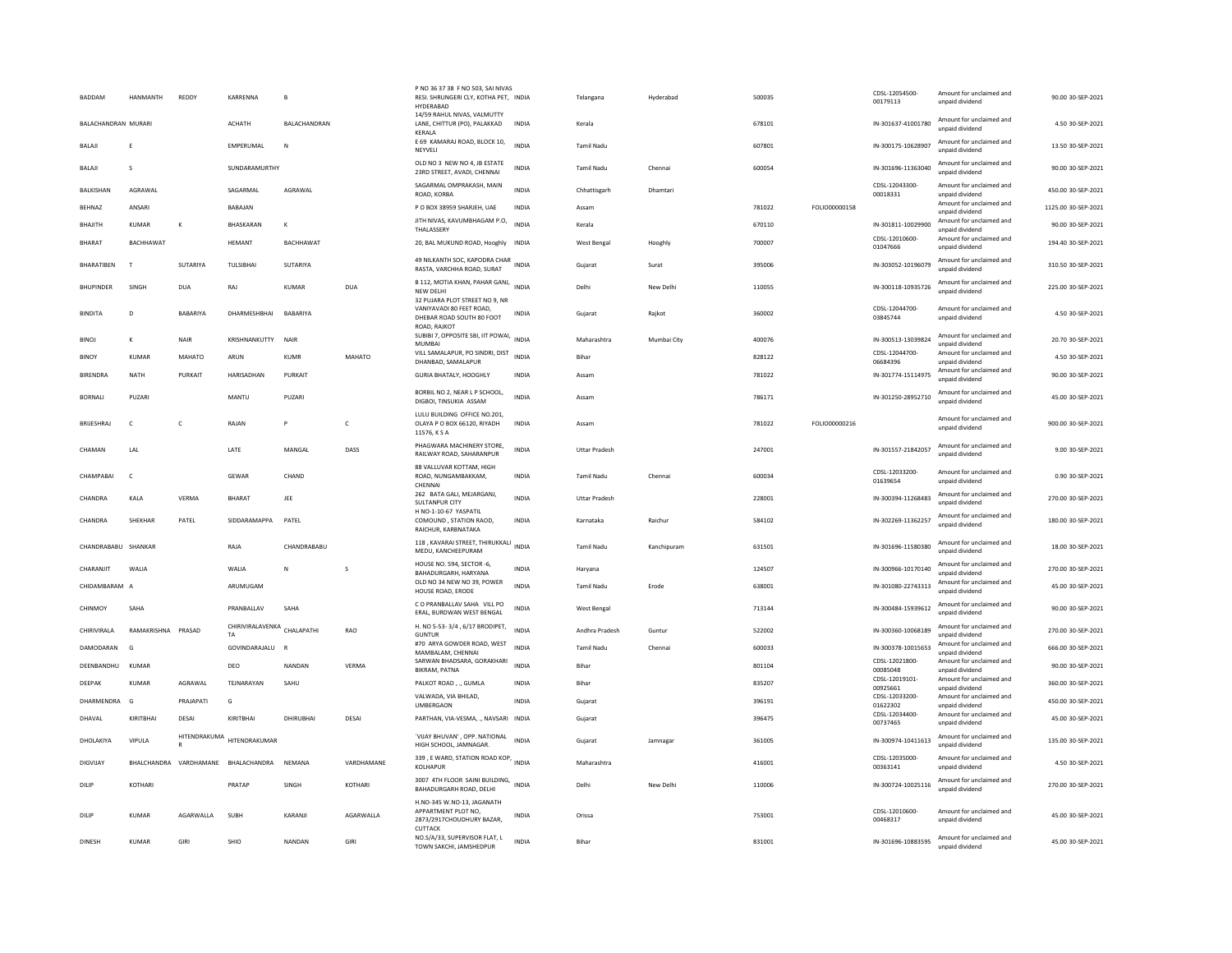| BADDAM                     | HANMANTH           | REDDY           | KARRENNA                    |                  |            | P NO 36 37 38 F NO 503, SAI NIVAS<br>RESI. SHRUNGERI CLY, KOTHA PET, INDIA<br><b>HYDERABAD</b> |              | Telangana            | Hyderabad   | 500035 |               | CDSL-12054500<br>00179113  | Amount for unclaimed and<br>unpaid dividend | 90.00 30-SEP-2021   |
|----------------------------|--------------------|-----------------|-----------------------------|------------------|------------|------------------------------------------------------------------------------------------------|--------------|----------------------|-------------|--------|---------------|----------------------------|---------------------------------------------|---------------------|
| <b>BALACHANDRAN MURARI</b> |                    |                 | <b>ACHATH</b>               | BALACHANDRAN     |            | 14/59 RAHUL NIVAS, VALMUTTY<br>LANE, CHITTUR (PO), PALAKKAD<br>KERALA                          | <b>INDIA</b> | Kerala               |             | 678101 |               | IN-301637-41001780         | Amount for unclaimed and<br>unpaid dividend | 4.50 30-SEP-2021    |
| BALAJI                     |                    |                 | EMPERUMAL                   | N                |            | E 69 KAMARAJ ROAD, BLOCK 10,<br>NEYVELI                                                        | INDIA        | Tamil Nadu           |             | 607801 |               | IN-300175-10628907         | Amount for unclaimed and<br>unpaid dividend | 13.50 30-SEP-2021   |
| <b>BALAJI</b>              | $\mathcal{S}$      |                 | SUNDARAMURTHY               |                  |            | OLD NO 3 NEW NO 4, JB ESTATE<br>23RD STREET, AVADI, CHENNAI                                    | <b>INDIA</b> | Tamil Nadu           | Chennai     | 600054 |               | IN-301696-11363040         | Amount for unclaimed and<br>unpaid dividend | 90.00 30-SEP-2021   |
| <b>BAIKISHAN</b>           | AGRAWAI            |                 | SAGARMAI                    | AGRAWAI          |            | SAGARMAL OMPRAKASH, MAIN<br>ROAD, KORBA                                                        | <b>INDIA</b> | Chhattisgarh         | Dhamtari    |        |               | CDSL-12043300-<br>00018331 | Amount for unclaimed and<br>unpaid dividend | 450.00 30-SEP-2021  |
| BEHNAZ                     | ANSARI             |                 | <b>BABAJAN</b>              |                  |            | P O BOX 38959 SHARJEH, UAE                                                                     | <b>INDIA</b> | Assam                |             | 781022 | FOLIO00000158 |                            | Amount for unclaimed and<br>unpaid dividend | 1125.00 30-SEP-2021 |
| BHAJITH                    | KUMAR              | K               | BHASKARAN                   | К                |            | JITH NIVAS, KAVUMBHAGAM P.O,<br>THALASSERY                                                     | <b>INDIA</b> | Kerala               |             | 670110 |               | IN-301811-10029900         | Amount for unclaimed and<br>unpaid dividend | 90.00 30-SEP-2021   |
| <b>BHARAT</b>              | <b>BACHHAWAT</b>   |                 | HEMANT                      | <b>BACHHAWAT</b> |            | 20, BAL MUKUND ROAD, Hooghly INDIA                                                             |              | <b>West Bengal</b>   | Hooghly     | 700007 |               | CDSL-12010600-<br>01047666 | Amount for unclaimed and<br>unpaid dividend | 194.40 30-SEP-2021  |
| <b>BHARATIBEN</b>          | T                  | <b>SUTARIYA</b> | <b>TULSIBHA</b>             | SUTARIYA         |            | 49 NILKANTH SOC, KAPODRA CHAR<br>RASTA, VARCHHA ROAD, SURAT                                    | <b>INDIA</b> | Gujarat              | Surat       | 395006 |               | IN-303052-10196079         | Amount for unclaimed and<br>unnaid dividend | 310.50 30-SEP-2021  |
| <b>BHUPINDER</b>           | SINGH              | <b>DUA</b>      | RAJ                         | <b>KUMAR</b>     | <b>DUA</b> | B 112, MOTIA KHAN, PAHAR GANJ, INDIA<br><b>NEW DELHI</b><br>32 PUJARA PLOT STREET NO 9. NR     |              | Delhi                | New Delhi   | 110055 |               | IN-300118-10935726         | Amount for unclaimed and<br>unpaid dividend | 225.00 30-SEP-2021  |
| <b>BINDITA</b>             | D                  | RARARIVA        | DHARMESHBHAI                | BABARIYA         |            | VANIYAVADI 80 FEET ROAD<br>DHEBAR ROAD SOUTH 80 FOOT                                           | INDIA        | Gujarat              | Rajkot      | 360002 |               | CDSL-12044700-<br>03845744 | Amount for unclaimed and<br>unnaid dividend | 4.50 30-SEP-2021    |
| <b>BINOJ</b>               | К                  | NAIR            | KRISHNANKUTTY               | NAIR             |            | ROAD, RAJKOT<br>SUBIBI 7, OPPOSITE SBI, IIT POWAI,<br><b>MUMBAI</b>                            | <b>INDIA</b> | Maharashtra          | Mumbai City | 400076 |               | IN-300513-13039824         | Amount for unclaimed and<br>unpaid dividend | 20.70 30-SEP-2021   |
| <b>BINOY</b>               | <b>KUMAR</b>       | MAHATO          | ARUN                        | <b>KUMR</b>      | MAHATO     | VILL SAMALAPUR, PO SINDRI, DIST<br>DHANBAD, SAMALAPUR                                          | <b>INDIA</b> | Bihar                |             | 828122 |               | CDSL-12044700-<br>06684396 | Amount for unclaimed and<br>unpaid dividend | 4.50 30-SEP-2021    |
| <b>BIRENDRA</b>            | NATH               | PURKAIT         | HARISADHAN                  | PURKAIT          |            | GURIA BHATALY, HOOGHLY                                                                         | INDIA        | Assam                |             | 781022 |               | IN-301774-15114975         | Amount for unclaimed and<br>unnaid dividend | 90.00 30-SEP-2021   |
| <b>BORNALI</b>             | PUZARI             |                 | MANTU                       | <b>PUZAR</b>     |            | BORBIL NO 2, NEAR L P SCHOOL,<br>DIGBOI, TINSUKIA ASSAM                                        | <b>INDIA</b> | Assam                |             | 786171 |               | IN-301250-28952710         | Amount for unclaimed and<br>unpaid dividend | 45.00 30-SEP-2021   |
| BRIJESHRAJ                 | $\mathsf{C}$       | $\mathsf{C}$    | RAJAN                       |                  | c          | LULU BUILDING OFFICE NO.201.<br>OLAYA P O BOX 66120, RIYADH<br>11576, KSA                      | INDIA        | Assam                |             | 781022 | FOLIO00000216 |                            | Amount for unclaimed and<br>unnaid dividend | 900.00 30-SEP-2021  |
| CHAMAN                     | LAL                |                 | LATE                        | MANGAL           | DASS       | PHAGWARA MACHINERY STORE,<br>RAILWAY ROAD, SAHARANPUR                                          | <b>INDIA</b> | <b>Uttar Pradesh</b> |             | 247001 |               | IN-301557-21842057         | Amount for unclaimed and<br>unpaid dividend | 9.00 30-SEP-2021    |
|                            |                    |                 |                             |                  |            | 88 VALLUVAR KOTTAM, HIGH                                                                       |              |                      |             |        |               | CDSL-12033200              | Amount for unclaimed and                    |                     |
| CHAMPABAI                  | c                  |                 | <b>GEWAR</b>                | CHAND            |            | ROAD, NUNGAMBAKKAM.<br>CHENNA                                                                  | <b>INDIA</b> | <b>Tamil Nadu</b>    | Chennai     | 600034 |               | 01639654                   | unpaid dividend                             | 0.90 30-SEP-2021    |
| CHANDRA                    | KALA               | <b>VERMA</b>    | <b>BHARAT</b>               | JEE              |            | 262 BATA GALI, MEJARGANJ,<br><b>SULTANPUR CITY</b><br>H NO-1-10-67 YASPATIL                    | <b>INDIA</b> | <b>Uttar Pradesh</b> |             | 228001 |               | IN-300394-11268483         | Amount for unclaimed and<br>unpaid dividend | 270.00 30-SEP-2021  |
| CHANDRA                    | SHEKHAR            | PATEL           | SIDDARAMAPPA                | PATEL            |            | COMOUND, STATION RAOD,<br>RAICHUR, KARBNATAKA                                                  | <b>INDIA</b> | Karnataka            | Raichur     | 584102 |               | IN-302269-11362257         | Amount for unclaimed and<br>unpaid dividend | 180.00 30-SEP-2021  |
| CHANDRABABU                | SHANKAR            |                 | RAJA                        | CHANDRABABU      |            | 118, KAVARAI STREET, THIRUKKALI<br>MEDU, KANCHEEPURAM                                          | INDIA        | <b>Tamil Nadu</b>    | Kanchipuram | 631501 |               | IN-301696-11580380         | Amount for unclaimed and<br>unpaid dividend | 18.00 30-SEP-2021   |
| CHARANJIT                  | WALIA              |                 | WALIA                       | N                | s          | HOUSE NO. 594, SECTOR -6,<br>BAHADURGARH, HARYANA                                              | <b>INDIA</b> | Haryana              |             | 124507 |               | IN-300966-10170140         | Amount for unclaimed and<br>unpaid dividend | 270.00 30-SEP-2021  |
| CHIDAMBARAM A              |                    |                 | ARUMUGAM                    |                  |            | OLD NO 34 NEW NO 39, POWER<br>HOUSE ROAD, ERODE                                                | <b>INDIA</b> | Tamil Nadu           | Erode       | 638001 |               | IN-301080-22743313         | Amount for unclaimed and<br>unpaid dividend | 45.00 30-SEP-2021   |
| CHINMOY                    | SAHA               |                 | PRANBALLAV                  | SAHA             |            | C O PRANBALLAV SAHA VILL PO<br>ERAL, BURDWAN WEST BENGAL                                       | <b>INDIA</b> | <b>West Bengal</b>   |             | 713144 |               | IN-300484-15939612         | Amount for unclaimed and<br>unpaid dividend | 90.00 30-SEP-2021   |
| CHIRIVIRALA                | RAMAKRISHNA PRASAD |                 | CHIRIVIRALAVENKA CHALAPATHI |                  | RAO        | H. NO 5-53-3/4, 6/17 BRODIPET,                                                                 | <b>INDIA</b> | Andhra Pradesh       | Guntur      | 522002 |               | IN-300360-10068189         | Amount for unclaimed and                    | 270.00 30-SEP-2021  |
| DAMODARAN                  | G                  |                 | TA<br>GOVINDARAJALU         |                  |            | <b>GUNTUR</b><br>#70 ARYA GOWDER ROAD, WEST                                                    | <b>INDIA</b> | Tamil Nadu           | Chennai     | 600033 |               | IN-300378-10015653         | unnaid dividend<br>Amount for unclaimed and | 666.00 30-SEP-2021  |
|                            |                    |                 |                             |                  |            | MAMBALAM, CHENNAI<br>SARWAN BHADSARA, GORAKHARI                                                |              |                      |             |        |               | CDSL-12021800-             | unpaid dividend<br>Amount for unclaimed and |                     |
| DEENBANDHU                 | KIIMAR             |                 | DEO                         | NANDAN           | VERMA      | BIKRAM, PATNA                                                                                  | <b>INDIA</b> | Bihar                |             | 801104 |               | 00085048<br>CDSL-12019101- | unnaid dividend<br>Amount for unclaimed and | 90.00 30-SEP-2021   |
| DEEPAK                     | KUMAR              | AGRAWAI         | TFINARAYAN                  | SAHU             |            | PALKOT ROAD, ., GUMLA<br>VALWADA, VIA BHILAD,                                                  | <b>INDIA</b> | <b>Bihar</b>         |             | 835207 |               | 00925661<br>CDSL-12033200  | unpaid dividend<br>Amount for unclaimed and | 360.00 30-SEP-2021  |
| DHARMENDRA                 | G                  | PRAJAPATI       | G                           |                  |            | UMBERGAON                                                                                      | <b>INDIA</b> | Gujarat              |             | 396191 |               | 01622302                   | unpaid dividend                             | 450.00 30-SEP-2021  |
| DHAVAL                     | KIRITRHAI          | DESAI           | KIRITRHAI                   | DHIRURHAL        | DESAL      | PARTHAN, VIA-VESMA,  NAVSARI INDIA                                                             |              | Gujarat              |             | 396475 |               | CDSL-12034400-<br>00737465 | Amount for unclaimed and<br>unpaid dividend | 45.00 30-SEP-2021   |
| DHOLAKIYA                  | VIPULA             | HITENDRAKUMA    | HITENDRAKUMAR               |                  |            | 'VIJAY BHUVAN', OPP. NATIONAL<br>HIGH SCHOOL, JAMNAGAR.                                        | <b>INDIA</b> | Gujarat              | Jamnagar    | 361005 |               | IN-300974-10411613         | Amount for unclaimed and<br>unpaid dividend | 135.00 30-SEP-2021  |
| <b>DIGVIJAY</b>            | BHALCHANDRA        |                 | VARDHAMANE BHALACHANDRA     | NFMANA           | VARDHAMANF | 339, E WARD, STATION ROAD KOP, INDIA<br>KOLHAPUR                                               |              | Maharashtra          |             | 416001 |               | CDSL-12035000<br>00363141  | Amount for unclaimed and<br>unpaid dividend | 4.50 30-SEP-2021    |
| DILIP                      | KOTHARI            |                 | PRATAP                      | SINGH            | KOTHARI    | 3007 4TH FLOOR SAINI BUILDING, INDIA<br>BAHADURGARH ROAD, DELHI                                |              | Delhi                | New Delhi   | 110006 |               | IN-300724-10025116         | Amount for unclaimed and<br>unpaid dividend | 270.00 30-SEP-2021  |
| DILIP                      | <b>KUMAR</b>       | AGARWALLA       | <b>SUBH</b>                 | KARANJI          | AGARWALLA  | H.NO-345 W.NO-13, JAGANATH<br>APPARTMENT PLOT NO.<br>2873/2917CHOUDHURY BAZAR<br>CUTTACK       | <b>INDIA</b> | Orissa               |             | 753001 |               | CDSL-12010600-<br>00468317 | Amount for unclaimed and<br>unpaid dividend | 45.00 30-SEP-2021   |
| <b>DINESH</b>              | <b>KUMAR</b>       | GIRI            | SHIO                        | NANDAN           | GIRI       | NO.S/A/33, SUPERVISOR FLAT, L<br>TOWN SAKCHI, IAMSHEDPUR                                       | <b>INDIA</b> | Bihar                |             | 831001 |               | IN-301696-10883595         | Amount for unclaimed and<br>unnaid dividend | 45.00 30-SEP-2021   |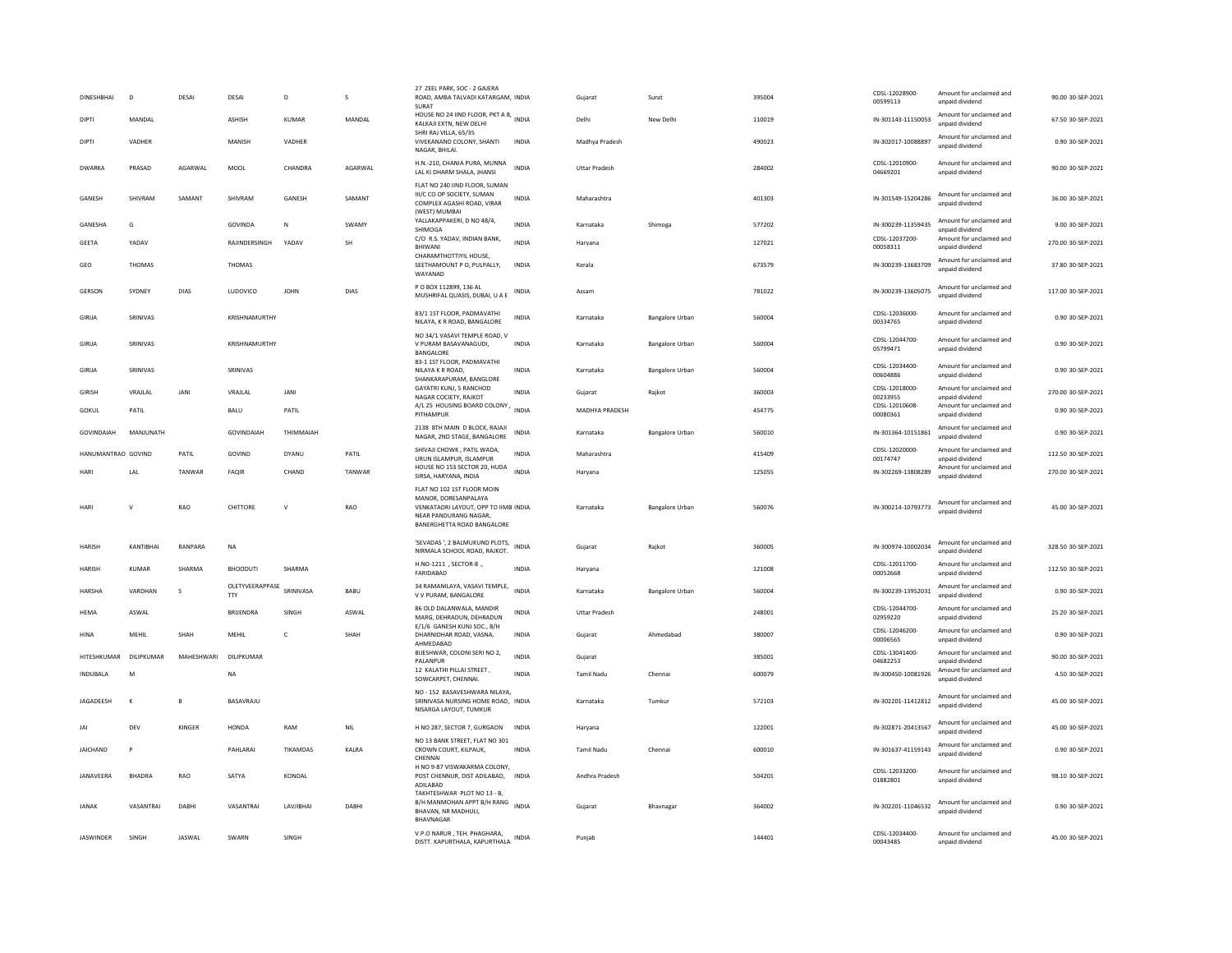| DINESHBHAI         | D             | DESAI          | DESAI                                   | D               | s          | 27 ZEEL PARK, SOC - 2 GAJERA<br>ROAD, AMBA TALVADI KATARGAM, INDIA<br>SURAT                                                                      |              | Gujarat              | Surat                  | 395004 | CDSL-12028900-<br>00599113     | Amount for unclaimed and<br>unpaid dividend                    | 90.00 30-SEP-2021  |
|--------------------|---------------|----------------|-----------------------------------------|-----------------|------------|--------------------------------------------------------------------------------------------------------------------------------------------------|--------------|----------------------|------------------------|--------|--------------------------------|----------------------------------------------------------------|--------------------|
| <b>DIPTI</b>       | MANDAL        |                | ASHISH                                  | <b>KUMAR</b>    | MANDAL     | HOUSE NO 24 IIND FLOOR, PKT A 8, INDIA<br>KALKAJI EXTN. NEW DELHI                                                                                |              | Delhi                | New Delhi              | 110019 | IN-301143-11150053             | Amount for unclaimed and<br>unnaid dividend                    | 67.50 30-SEP-2021  |
| DIPTI              | VADHER        |                | MANISH                                  | VADHER          |            | SHRI RAJ VILLA, 65/35<br>VIVEKANAND COLONY, SHANTI<br>NAGAR, BHILAI.                                                                             | <b>INDIA</b> | Madhya Pradesh       |                        | 490023 | IN-302017-10088897             | Amount for unclaimed and<br>unpaid dividend                    | 0.90 30-SEP-2021   |
| DWARKA             | PRASAD        | AGARWAL        | MOOL                                    | CHANDRA         | AGARWAL    | H.N.-210, CHANIA PURA, MUNNA<br>LAL KI DHARM SHALA, JHANSI                                                                                       | <b>INDIA</b> | <b>Uttar Pradesh</b> |                        | 284002 | CDSL-12010900-<br>04669201     | Amount for unclaimed and<br>unnaid dividend                    | 90.00 30-SEP-2021  |
| GANESH             | SHIVRAM       | SAMANT         | SHIVRAM                                 | GANESH          | SAMANT     | FLAT NO 240 IIND FLOOR, SUMAN<br>III/C CO OP SOCIETY, SUMAN<br>COMPLEX AGASHI ROAD, VIRAR<br>(WEST) MUMBAI                                       | <b>INDIA</b> | Maharashtra          |                        | 401303 | IN-301549-15204286             | Amount for unclaimed and<br>unpaid dividend                    | 36.00 30-SEP-2021  |
| GANESHA            | G             |                | GOVINDA                                 | $\mathbb{N}$    | SWAMY      | YALLAKAPPAKERI, D NO 48/4,<br>SHIMOGA                                                                                                            | <b>INDIA</b> | Karnataka            | Shimoga                | 577202 | IN-300239-11359435             | Amount for unclaimed and<br>unpaid dividend                    | 9.00 30-SEP-2021   |
| GEETA              | YADAV         |                | RAJINDERSINGH                           | YADAV           | <b>SH</b>  | C/O R.S. YADAV, INDIAN BANK,<br><b>BHIWANI</b>                                                                                                   | INDIA        | Harvana              |                        | 127021 | CDSL-12037200-<br>00058311     | Amount for unclaimed and<br>unpaid dividend                    | 270.00 30-SEP-2021 |
| GEO                | THOMAS        |                | THOMAS                                  |                 |            | CHARAMTHOTTIYII HOUSE<br>SEETHAMOUNT P O, PULPALLY,<br>WAYANAD                                                                                   | INDIA        | Kerala               |                        | 673579 | IN-300239-13683709             | Amount for unclaimed and<br>unpaid dividend                    | 37.80 30-SEP-2021  |
| GERSON             | SYDNEY        | <b>DIAS</b>    | LUDOVICO                                | <b>JOHN</b>     | DIAS       | P O BOX 112899, 136 AL<br>MUSHRIFAL QUASIS, DUBAI, U A E                                                                                         | <b>INDIA</b> | Assam                |                        | 781022 | IN-300239-13605075             | Amount for unclaimed and<br>unpaid dividend                    | 117.00 30-SEP-2021 |
| GIRIJA             | SRINIVAS      |                | KRISHNAMURTHY                           |                 |            | 83/1 1ST FLOOR, PADMAVATHI<br>NILAYA, K R ROAD, BANGALORE                                                                                        | <b>INDIA</b> | Karnataka            | <b>Bangalore Urban</b> | 560004 | CDSL-12036000-<br>00334765     | Amount for unclaimed and<br>unpaid dividend                    | 0.90 30-SEP-2021   |
| GIRIJA             | SRINIVAS      |                | KRISHNAMURTHY                           |                 |            | NO 34/1 VASAVI TEMPLE ROAD, V<br>V PURAM BASAVANAGUDI,<br><b>BANGALORE</b>                                                                       | <b>INDIA</b> | Karnataka            | <b>Bangalore Urban</b> | 560004 | CDSL-12044700-<br>05799471     | Amount for unclaimed and<br>unpaid dividend                    | 0.90 30-SEP-2021   |
| GIRIJA             | SRINIVAS      |                | SRINIVAS                                |                 |            | 83-1 1ST FLOOR, PADMAVATHI<br>NILAYA K R ROAD.<br>SHANKARAPURAM, BANGLORE                                                                        | <b>INDIA</b> | Karnataka            | Bangalore Urban        | 560004 | CDSL-12034400-<br>00604886     | Amount for unclaimed and<br>unpaid dividend                    | 0.90 30-SEP-2021   |
| <b>GIRISH</b>      | VRAJLAL       | JANI           | VRAJLAL                                 | <b>JANI</b>     |            | GAYATRI KUNJ, 5 RANCHOD<br>NAGAR COCIETY, RAJKOT                                                                                                 | <b>INDIA</b> | Gujarat              | Rajkot                 | 360003 | CDSL-12018000-<br>00233955     | Amount for unclaimed and<br>unpaid dividend                    | 270.00 30-SEP-2021 |
| GOKUL              | PATIL         |                | BALU                                    | PATIL           |            | A/L 25 HOUSING BOARD COLONY,<br>PITHAMPUR                                                                                                        | <b>INDIA</b> | MADHYA PRADESH       |                        | 454775 | CDSL-12010608-<br>00080361     | Amount for unclaimed and<br>unpaid dividend                    | 0.90 30-SEP-2021   |
| GOVINDAIAH         | MANJUNATH     |                | <b>GOVINDAIAH</b>                       | THIMMAIAH       |            | 2138 8TH MAIN D BLOCK, RAJAJI<br>NAGAR, 2ND STAGE, BANGALORE                                                                                     | INDIA        | Karnataka            | Bangalore Urban        | 560010 | IN-301364-10151861             | Amount for unclaimed and<br>unpaid dividend                    | 0.90 30-SEP-2021   |
| HANUMANTRAO GOVIND |               | PATIL          | GOVIND                                  | DYANU           | PATIL      | SHIVAJI CHOWK, PATIL WADA,<br>URUN ISLAMPUR, ISLAMPUR                                                                                            | <b>INDIA</b> | Maharashtra          |                        | 415409 | CDSL-12020000-<br>00174747     | Amount for unclaimed and<br>unpaid dividend                    | 112.50 30-SEP-2021 |
|                    |               |                |                                         |                 |            |                                                                                                                                                  |              |                      |                        |        |                                |                                                                |                    |
| HARI               | LAL           | TANWAR         | <b>FAQIR</b>                            | CHAND           | TANWAR     | HOUSE NO 153 SECTOR 20, HUDA<br>SIRSA, HARYANA, INDIA                                                                                            | <b>INDIA</b> | Harvana              |                        | 125055 | IN-302269-13808289             | Amount for unclaimed and<br>unpaid dividend                    | 270.00 30-SEP-2021 |
| HARI               | $\mathbf{v}$  | RAO            | CHITTORE                                | $\mathsf{v}$    | RAO        | FLAT NO 102 1ST FLOOR MOIN<br>MANOR, DORESANPALAYA<br>VENKATADRI LAYOUT, OPP TO IIMB INDIA<br>NEAR PANDURANG NAGAR<br>BANERGHETTA ROAD BANGALORE |              | Karnataka            | <b>Bangalore Urban</b> | 560076 | IN-300214-10793773             | Amount for unclaimed and<br>unpaid dividend                    | 45.00 30-SEP-2021  |
| <b>HARISH</b>      | KANTIRHAI     | RANPARA        | <b>NA</b>                               |                 |            | 'SEVADAS ', 2 BALMUKUND PLOTS,<br>NIRMALA SCHOOL ROAD, RAJKOT.                                                                                   | <b>INDIA</b> | Gujarat              | Rajkot                 | 360005 | IN-300974-10002034             | Amount for unclaimed and<br>unnaid dividend                    | 328.50 30-SEP-2021 |
| <b>HARISH</b>      | <b>KUMAR</b>  | SHARMA         | <b>BHOODUTI</b>                         | SHARMA          |            | H.NO-1211 . SECTOR-8<br>FARIDABAD                                                                                                                | <b>INDIA</b> | Harvana              |                        | 121008 | CDSL-12011700-<br>00052668     | Amount for unclaimed and<br>unpaid dividend                    | 112.50 30-SEP-2021 |
| HARSHA             | VARDHAN       | s              | OLETYVEERAPPASE SRINIVASA<br><b>TTY</b> |                 | BABU       | 34 RAMANILAYA, VASAVI TEMPLE,<br>V V PURAM, BANGALORE                                                                                            | <b>INDIA</b> | Karnataka            | <b>Bangalore Urban</b> | 560004 | IN-300239-13952031             | Amount for unclaimed and<br>unpaid dividend                    | 0.90 30-SEP-2021   |
| <b>HEMA</b>        | ASWAI         |                | <b>BRIJENDRA</b>                        | SINGH           | ASWAI      | 86 OLD DALANWALA, MANDIR<br>MARG, DEHRADUN, DEHRADUN                                                                                             | <b>INDIA</b> | <b>Uttar Pradesh</b> |                        | 248001 | CDSL-12044700-<br>02959220     | Amount for unclaimed and<br>unpaid dividend                    | 25.20 30-SEP-2021  |
| HINA               | MEHIL         | SHAH           | MEHIL                                   | $\mathbb{C}$    | SHAH       | E/1/6 GANESH KUNJ SOC., B/H<br>DHARNIDHAR ROAD, VASNA.<br>AHMEDABAD                                                                              | INDIA        | Guiarat              | Ahmedabad              | 380007 | CDSL-12046200-<br>00006565     | Amount for unclaimed and<br>unpaid dividend                    | 0.90 30-SEP-2021   |
| HITESHKUMAR        | DILIPKUMAR    | MAHESHWARI     | DILIPKUMAR                              |                 |            | BIJESHWAR, COLONI SERI NO 2,<br>PALANPUR                                                                                                         | <b>INDIA</b> | Gujarat              |                        | 385001 | CDSL-13041400-                 | Amount for unclaimed and                                       | 90.00 30-SEP-2021  |
| <b>INDUBALA</b>    | M             |                | NA                                      |                 |            | 12 KALATHI PILLAI STREET,<br>SOWCARPET, CHENNAI.                                                                                                 | <b>INDIA</b> | Tamil Nadu           | Chenna                 | 600079 | 04682253<br>IN-300450-10081926 | unpaid dividend<br>Amount for unclaimed and<br>unpaid dividend | 4.50 30-SEP-2021   |
| JAGADEESH          | $\mathbf{K}$  | $\overline{B}$ | BASAVRAJU                               |                 |            | NO - 152 BASAVESHWARA NILAYA,<br>SRINIVASA NURSING HOME ROAD, INDIA<br>NISARGA LAYOUT, TUMKUR                                                    |              | Karnataka            | Tumkur                 | 572103 | IN-302201-11412812             | Amount for unclaimed and<br>unpaid dividend                    | 45.00 30-SEP-2021  |
| IAI                | DEV           | KINGER         | HONDA                                   | RAM             | <b>NIL</b> | H NO 287, SECTOR 7, GURGAON                                                                                                                      | <b>INDIA</b> | Haryana              |                        | 122001 | IN-302871-20413567             | Amount for unclaimed and<br>unpaid dividend                    | 45.00 30-SEP-2021  |
| <b>JAICHAND</b>    | $\mathsf{P}$  |                | PAHLARAI                                | <b>TIKAMDAS</b> | KALRA      | NO 13 BANK STREET, FLAT NO 301<br>CROWN COURT, KILPAUK,<br>CHENNAL                                                                               | <b>INDIA</b> | <b>Tamil Nadu</b>    | Chennai                | 600010 | IN-301637-41159143             | Amount for unclaimed and<br>unpaid dividend                    | 0.90 30-SEP-2021   |
| JANAVEERA          | <b>BHADRA</b> | RAO            | SATYA                                   | KONDAL          |            | H NO 9-87 VISWAKARMA COLONY.<br>POST CHENNUR, DIST ADILABAD,<br>ADILABAD                                                                         | INDIA        | Andhra Pradesh       |                        | 504201 | CDSL-12033200-<br>01882801     | Amount for unclaimed and<br>unpaid dividend                    | 98.10 30-SEP-2021  |
| <b>JANAK</b>       | VASANTRAI     | DABHI          | VASANTRAI                               | LAVJIBHAI       | DABHI      | TAKHTESHWAR PLOT NO 13 - B,<br>B/H MANMOHAN APPT B/H RANG<br>BHAVAN, NR MADHULI,<br>BHAVNAGAR                                                    | <b>INDIA</b> | Gujarat              | Bhavnagar              | 364002 | IN-302201-11046532             | Amount for unclaimed and<br>unpaid dividend                    | 0.90 30-SEP-2021   |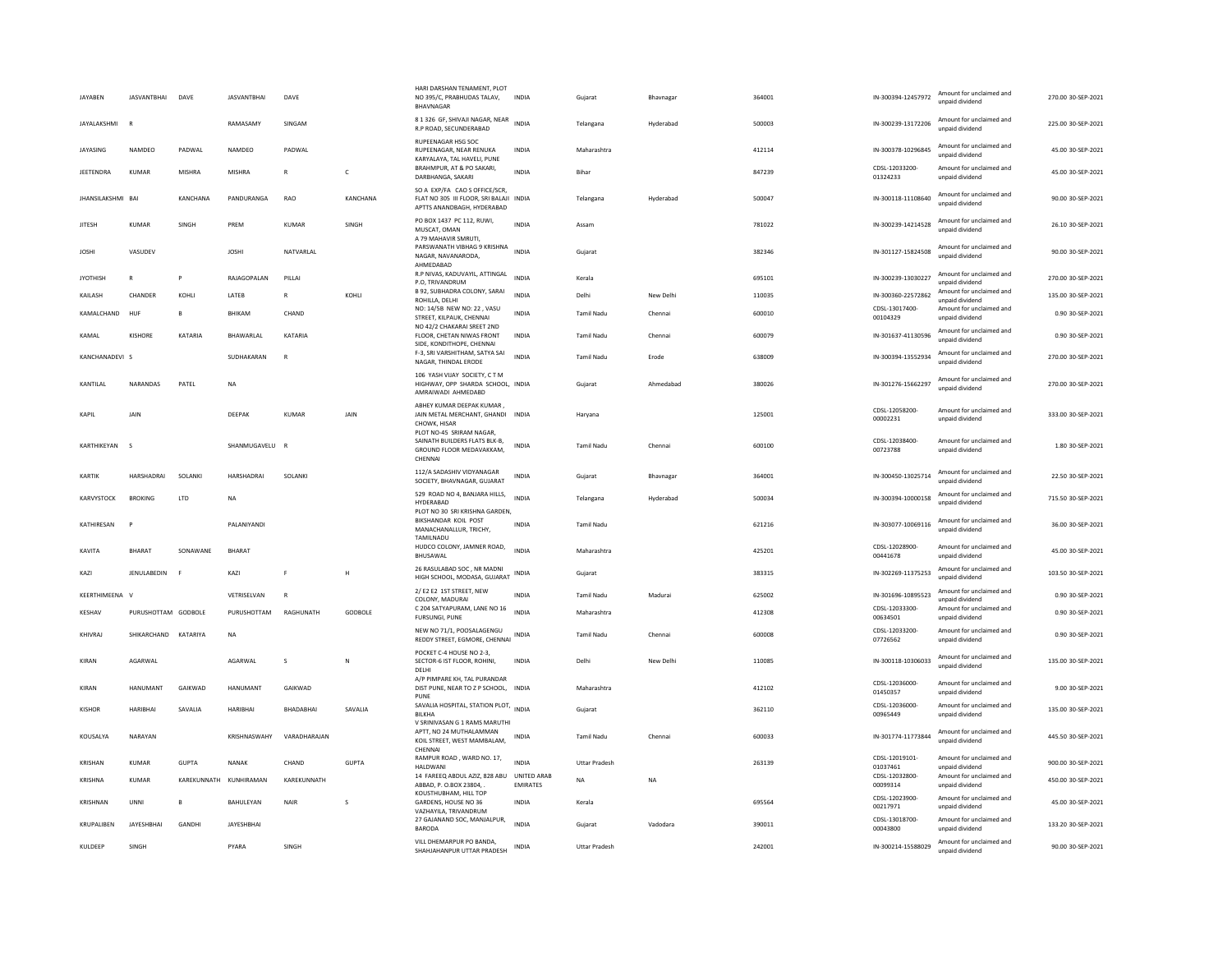| JAYABEN           | JASVANTBHAI DAVE     |                 | <b>JASVANTBHAI</b>     | DAVE             |              | HARI DARSHAN TENAMENT, PLOT<br>NO 395/C, PRABHUDAS TALAV,<br><b>BHAVNAGAR</b>                          | <b>INDIA</b>    | Gujarat              | Bhavnagar | 364001 | IN-300394-12457972         | Amount for unclaimed and<br>unpaid dividend                             | 270.00 30-SEP-2021 |
|-------------------|----------------------|-----------------|------------------------|------------------|--------------|--------------------------------------------------------------------------------------------------------|-----------------|----------------------|-----------|--------|----------------------------|-------------------------------------------------------------------------|--------------------|
| JAYALAKSHMI       | $\mathbf R$          |                 | RAMASAMY               | SINGAM           |              | 8 1 326 GF, SHIVAJI NAGAR, NEAR<br>R.P ROAD, SECUNDERABAD                                              | <b>INDIA</b>    | Telangana            | Hyderabad | 500003 | IN-300239-13172206         | Amount for unclaimed and<br>unpaid dividend                             | 225.00 30-SEP-2021 |
| JAYASING          | NAMDEO               | PADWAL          | <b>NAMDEO</b>          | PADWAL           |              | RUPEENAGAR HSG SOC<br>RUPEENAGAR, NEAR RENUKA<br>KARYALAYA, TAL HAVELI, PUNE                           | <b>INDIA</b>    | Maharashtra          |           | 412114 | IN-300378-10296845         | Amount for unclaimed and<br>unpaid dividend                             | 45.00 30-SEP-2021  |
| JEETENDRA         | <b>KUMAR</b>         | MISHRA          | MISHRA                 | $\mathsf{R}$     | $\mathsf{C}$ | BRAHMPUR, AT & PO SAKARI,<br>DARBHANGA, SAKARI                                                         | <b>INDIA</b>    | Bihar                |           | 847239 | CDSL-12033200-<br>01324233 | Amount for unclaimed and<br>unpaid dividend                             | 45.00 30-SEP-2021  |
| JHANSILAKSHMI BAI |                      | <b>KANCHANA</b> | PANDURANGA             | RAO              | KANCHANA     | SO A EXP/FA CAO S OFFICE/SCR,<br>FLAT NO 305 III FLOOR, SRI BALAJI INDIA<br>APTTS ANANDBAGH, HYDERABAD |                 | Telangana            | Hyderabad | 500047 | IN-300118-11108640         | Amount for unclaimed and<br>unpaid dividend                             | 90.00 30-SEP-2021  |
| <b>JITESH</b>     | <b>KUMAR</b>         | SINGH           | PREM                   | <b>KUMAR</b>     | SINGH        | PO BOX 1437 PC 112, RUWI,<br>MUSCAT, OMAN<br>A 79 MAHAVIR SMRUTI,                                      | <b>INDIA</b>    | Assam                |           | 781022 | IN-300239-14214528         | Amount for unclaimed and<br>unpaid dividend                             | 26.10 30-SEP-2021  |
| <b>JOSHI</b>      | VASUDEV              |                 | <b>JOSHI</b>           | NATVARLAL        |              | PARSWANATH VIBHAG 9 KRISHNA<br>NAGAR, NAVANARODA,<br>AHMEDABAD                                         | <b>INDIA</b>    | Gujarat              |           | 382346 | IN-301127-15824508         | Amount for unclaimed and<br>unpaid dividend                             | 90.00 30-SEP-2021  |
| <b>IYOTHISH</b>   | $\mathbf R$          | P               | <b>RAIAGOPALAN</b>     | PILLAI           |              | R.P NIVAS, KADUVAYIL, ATTINGAL<br>P.O, TRIVANDRUM                                                      | <b>INDIA</b>    | Kerala               |           | 695101 | IN-300239-13030227         | Amount for unclaimed and<br>unpaid dividend<br>Amount for unclaimed and | 270.00 30-SEP-2021 |
| KAILASH           | CHANDER              | KOHLI           | LATEB                  | $\mathsf{R}$     | KOHLI        | B 92, SUBHADRA COLONY, SARAI<br>ROHILLA, DELHI                                                         | <b>INDIA</b>    | Delhi                | New Delhi | 110035 | IN-300360-22572862         | unpaid dividend                                                         | 135.00 30-SEP-2021 |
| KAMALCHAND        | HUF                  | B               | BHIKAM                 | CHAND            |              | NO: 14/5B NEW NO: 22, VASU<br>STREET, KILPAUK, CHENNAI<br>NO 42/2 CHAKARAI SREET 2ND                   | INDIA           | <b>Tamil Nadu</b>    | Chennai   | 600010 | CDSL-13017400-<br>00104329 | Amount for unclaimed and<br>unpaid dividend                             | 0.90 30-SEP-2021   |
| KAMAL             | <b>KISHORE</b>       | KATARIA         | BHAWARLAL              | KATARIA          |              | FLOOR, CHETAN NIWAS FRONT<br>SIDE, KONDITHOPE, CHENNAI                                                 | INDIA           | Tamil Nadu           | Chennai   | 600079 | IN-301637-41130596         | Amount for unclaimed and<br>unpaid dividend                             | 0.90 30-SEP-2021   |
| KANCHANADEVI S    |                      |                 | SUDHAKARAN             | $\mathbf{R}$     |              | F-3, SRI VARSHITHAM, SATYA SAI<br>NAGAR, THINDAL ERODE                                                 | <b>INDIA</b>    | <b>Tamil Nadu</b>    | Erode     | 638009 | IN-300394-13552934         | Amount for unclaimed and<br>unpaid dividend                             | 270.00 30-SEP-2021 |
| KANTILAL          | NARANDAS             | PATEL           | <b>NA</b>              |                  |              | 106 YASH VIJAY SOCIETY, C T M<br>HIGHWAY, OPP SHARDA SCHOOL, INDIA<br>AMRAIWADI AHMEDABD               |                 | Gujarat              | Ahmedabad | 380026 | IN-301276-15662297         | Amount for unclaimed and<br>unpaid dividend                             | 270.00 30-SEP-2021 |
| KAPII             | <b>JAIN</b>          |                 | DEEPAK                 | KUMAR            | JAIN         | ABHEY KUMAR DEEPAK KUMAR.<br>JAIN METAL MERCHANT, GHANDI INDIA<br>CHOWK, HISAR                         |                 | Haryana              |           | 125001 | CDSL-12058200-<br>00002231 | Amount for unclaimed and<br>unpaid dividend                             | 333.00 30-SEP-2021 |
| KARTHIKEYAN       | $\mathbf{S}$         |                 | SHANMUGAVELU           |                  |              | PLOT NO-45 SRIRAM NAGAR.<br>SAINATH BUILDERS FLATS BLK-B.<br>GROUND FLOOR MEDAVAKKAM.<br>CHENNAL       | <b>INDIA</b>    | <b>Tamil Nadu</b>    | Chennai   | 600100 | CDSL-12038400-<br>00723788 | Amount for unclaimed and<br>unpaid dividend                             | 1.80 30-SEP-2021   |
| KARTIK            | HARSHADRAI           | SOLANKI         | HARSHADRAI             | SOLANKI          |              | 112/A SADASHIV VIDYANAGAR<br>SOCIETY, BHAVNAGAR, GUJARAT                                               | <b>INDIA</b>    | Gujarat              | Bhavnagar | 364001 | IN-300450-13025714         | Amount for unclaimed and<br>unpaid dividend                             | 22.50 30-SEP-2021  |
| KARVYSTOCK        | <b>BROKING</b>       | LTD             | <b>NA</b>              |                  |              | 529 ROAD NO 4, BANJARA HILLS,<br>HYDERABAD                                                             | <b>INDIA</b>    | Telangana            | Hyderabad | 500034 | IN-300394-10000158         | Amount for unclaimed and<br>unpaid dividend                             | 715.50 30-SEP-2021 |
| KATHIRFSAN        |                      |                 | <b>PAI ANIYAND</b>     |                  |              | PLOT NO 30 SRI KRISHNA GARDEN,<br>BIKSHANDAR KOIL POST<br>MANACHANALLUR, TRICHY.                       | <b>INDIA</b>    | <b>Tamil Nadu</b>    |           | 621216 | IN-303077-10069116         | Amount for unclaimed and<br>unpaid dividend                             | 36.00.30-SEP-2021  |
| <b>KAVITA</b>     | BHARAT               | SONAWANE        | BHARAT                 |                  |              | TAMILNADU<br>HUDCO COLONY, JAMNER ROAD,<br>BHUSAWAL                                                    | <b>INDIA</b>    | Maharashtra          |           | 425201 | CDSL-12028900-<br>00441678 | Amount for unclaimed and<br>unpaid dividend                             | 45.00 30-SEP-2021  |
| KA71              | <b>JENULABEDIN</b>   | F               | KA71                   | F.               | H            | 26 RASULABAD SOC, NR MADNI<br>HIGH SCHOOL, MODASA, GUJARAT                                             | <b>INDIA</b>    | Gujarat              |           | 383315 | IN-302269-11375253         | Amount for unclaimed and<br>unpaid dividend                             | 103.50 30-SEP-2021 |
| KEERTHIMEENA V    |                      |                 | VETRISELVAN            |                  |              | 2/E2 E2 1ST STREET, NEW<br>COLONY, MADURAI                                                             | INDIA           | <b>Tamil Nadu</b>    | Madurai   | 625002 | IN-301696-10895523         | Amount for unclaimed and<br>unpaid dividend                             | 0.90 30-SEP-2021   |
| KESHAV            | PURUSHOTTAM GODBOLE  |                 | PURUSHOTTAM            | RAGHUNATH        | GODBOLE      | C 204 SATYAPURAM, LANE NO 16<br>FURSUNGI, PUNE                                                         | <b>INDIA</b>    | Maharashtra          |           | 412308 | CDSL-12033300-<br>00634501 | Amount for unclaimed and<br>unpaid dividend                             | 0.90 30-SEP-2021   |
| KHIVRAJ           | SHIKARCHAND KATARIYA |                 | <b>NA</b>              |                  |              | NEW NO 71/1, POOSALAGENGU<br>REDDY STREET, EGMORE, CHENNAI                                             | <b>INDIA</b>    | <b>Tamil Nadu</b>    | Chennai   | 600008 | CDSL-12033200-<br>07726562 | Amount for unclaimed and<br>unpaid dividend                             | 0.90 30-SEP-2021   |
| KIRAN             | AGARWAL              |                 | AGARWAL                | s                | N            | POCKET C-4 HOUSE NO 2-3,<br>SECTOR-6 IST FLOOR, ROHINI,<br>DELHI                                       | INDIA           | Delhi                | New Delhi | 110085 | IN-300118-10306033         | Amount for unclaimed and<br>unnaid dividend                             | 135.00 30-SEP-2021 |
| KIRAN             | HANUMANT             | GAIKWAD         | HANUMANT               | GAIKWAD          |              | A/P PIMPARE KH, TAL PURANDAR<br>DIST PUNE, NEAR TO Z P SCHOOL, INDIA<br>PUNE                           |                 | Maharashtra          |           | 412102 | CDSL-12036000-<br>01450357 | Amount for unclaimed and<br>unpaid dividend                             | 9.00 30-SEP-2021   |
| KISHOR            | <b>HARIBHAI</b>      | SAVALIA         | HARIBHAI               | <b>BHADABHAI</b> | SAVALIA      | SAVALIA HOSPITAL, STATION PLOT, INDIA<br><b>BILKHA</b><br>V SRINIVASAN G 1 RAMS MARUTHI                |                 | Gujarat              |           | 362110 | CDSL-12036000-<br>00965449 | Amount for unclaimed and<br>unpaid dividend                             | 135.00 30-SEP-2021 |
| KOUSALYA          | NARAYAN              |                 | KRISHNASWAHY           | VARADHARAJAN     |              | APTT, NO 24 MUTHALAMMAN<br>KOIL STREET, WEST MAMBALAM,<br>CHENNAI                                      | INDIA           | <b>Tamil Nadu</b>    | Chennai   | 600033 | IN-301774-11773844         | Amount for unclaimed and<br>unpaid dividend                             | 445.50 30-SEP-2021 |
| KRISHAN           | <b>KUMAR</b>         | <b>GUPTA</b>    | NANAK                  | CHAND            | <b>GUPTA</b> | RAMPUR ROAD, WARD NO. 17,<br><b>HALDWAN</b>                                                            | <b>INDIA</b>    | <b>Uttar Pradesh</b> |           | 263139 | CDSL-12019101-<br>01037461 | Amount for unclaimed and<br>unpaid dividend                             | 900.00 30-SEP-2021 |
| <b>KRISHNA</b>    | <b>KUMAR</b>         |                 | KAREKUNNATH KUNHIRAMAN | KAREKUNNATH      |              | 14 FAREEQ ABDUL AZIZ, 828 ABU UNITED ARAB<br>ABBAD, P. O.BOX 23804,                                    | <b>EMIRATES</b> | <b>NA</b>            | <b>NA</b> |        | CDSL-12032800-<br>00099314 | Amount for unclaimed and<br>unpaid dividend                             | 450.00 30-SEP-2021 |
| KRISHNAN          | <b>UNNI</b>          | $\overline{B}$  | BAHULEYAN              | <b>NAIR</b>      | s            | KOUSTHUBHAM, HILL TOP<br>GARDENS, HOUSE NO 36<br>VAZHAYILA, TRIVANDRUM                                 | <b>INDIA</b>    | Kerala               |           | 695564 | CDSL-12023900-<br>00217971 | Amount for unclaimed and<br>unnaid dividend                             | 45.00 30-SEP-2021  |
| KRUPALIBEN        | JAYESHBHAI           | GANDHI          | <b>JAYESHBHAI</b>      |                  |              | 27 GAJANAND SOC, MANJALPUR,<br><b>BARODA</b>                                                           | <b>INDIA</b>    | Guiarat              | Vadodara  | 390011 | CDSI-13018700-<br>00043800 | Amount for unclaimed and<br>unpaid dividend                             | 133.20 30-SEP-2021 |
| KULDEEP           | SINGH                |                 | PYARA                  | SINGH            |              | VILL DHEMARPUR PO BANDA.<br>SHAHIAHANPUR UTTAR PRADESH                                                 | INDIA           | <b>Uttar Pradesh</b> |           | 242001 | IN-300214-15588029         | Amount for unclaimed and<br>unnaid dividend                             | 90.00 30-SEP-2021  |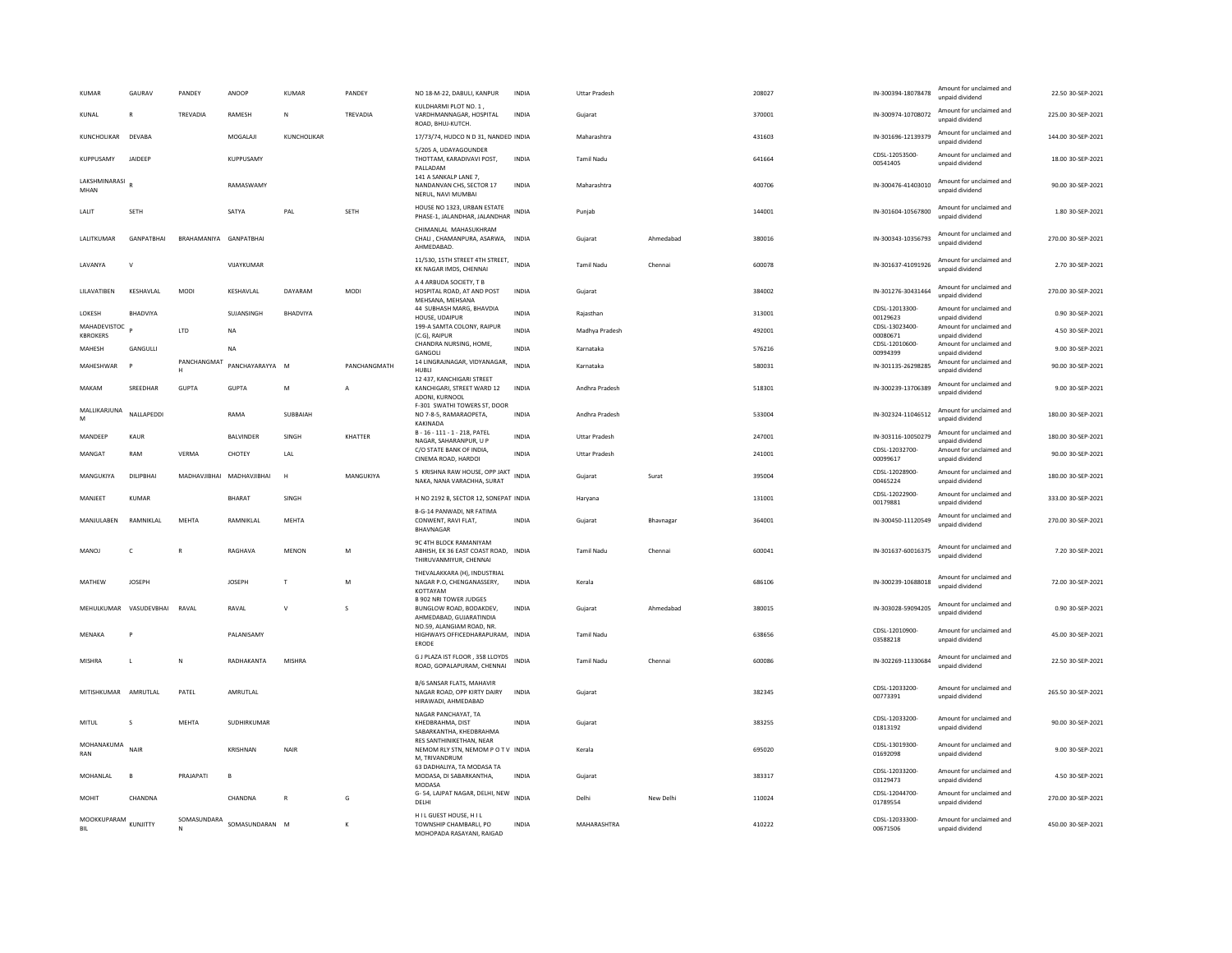| KUMAR                                        | GAURAV            | PANDEY                        | ANOOP                     | <b>KUMAR</b>    | PANDEY       | NO 18-M-22, DABULI, KANPUR                                                               | INDIA        | <b>Uttar Pradesh</b> |           | 208027 | IN-300394-18078478         | Amount for unclaimed and<br>unnaid dividend | 22.50 30-SEP-2021  |
|----------------------------------------------|-------------------|-------------------------------|---------------------------|-----------------|--------------|------------------------------------------------------------------------------------------|--------------|----------------------|-----------|--------|----------------------------|---------------------------------------------|--------------------|
| KUNAL                                        | $\mathbb{R}$      | TREVADIA                      | RAMESH                    | N               | TREVADIA     | KULDHARMI PLOT NO. 1,<br>VARDHMANNAGAR, HOSPITAL<br>ROAD, BHUJ-KUTCH.                    | INDIA        | Gujarat              |           | 370001 | IN-300974-10708072         | Amount for unclaimed and<br>unpaid dividend | 225.00 30-SEP-2021 |
| KUNCHOLIKAR                                  | DEVABA            |                               | MOGALAJI                  | KUNCHOLIKAR     |              | 17/73/74, HUDCO N D 31, NANDED INDIA                                                     |              | Maharashtra          |           | 431603 | IN-301696-12139379         | Amount for unclaimed and<br>unpaid dividend | 144.00 30-SEP-2021 |
| KUPPUSAMY                                    | JAIDEEP           |                               | KUPPUSAMY                 |                 |              | 5/205 A, UDAYAGOUNDER<br>THOTTAM, KARADIVAVI POST,<br>PALLADAM                           | <b>INDIA</b> | Tamil Nadu           |           | 641664 | CDSL-12053500-<br>00541405 | Amount for unclaimed and<br>unpaid dividend | 18.00 30-SEP-2021  |
| LAKSHMINARASI<br>MHAN                        |                   |                               | <b>RAMASWAMY</b>          |                 |              | 141 A SANKALP LANE 7,<br>NANDANVAN CHS, SECTOR 17<br>NERUL, NAVI MUMBA                   | <b>INDIA</b> | Maharashtra          |           | 400706 | IN-300476-41403010         | Amount for unclaimed and<br>unpaid dividend | 90.00 30-SEP-2021  |
| LALIT                                        | <b>SETH</b>       |                               | SATYA                     | PAL             | <b>SETH</b>  | HOUSE NO 1323, URBAN ESTATE<br>PHASE-1, JALANDHAR, JALANDHAR                             | <b>INDIA</b> | Punjab               |           | 144001 | IN-301604-10567800         | Amount for unclaimed and<br>unpaid dividend | 1.80 30-SEP-2021   |
| LALITKUMAR                                   | <b>GANPATRHAI</b> | <b>BRAHAMANIYA GANPATRHAI</b> |                           |                 |              | CHIMANLAL MAHASUKHRAM<br>CHALI, CHAMANPURA, ASARWA, INDIA<br>AHMEDABAD                   |              | Gujarat              | Ahmedabad | 380016 | IN-300343-10356793         | Amount for unclaimed and<br>unpaid dividend | 270.00 30-SEP-2021 |
| LAVANYA                                      | $\mathsf{V}$      |                               | VIJAYKUMAR                |                 |              | 11/530, 15TH STREET 4TH STREET,<br>KK NAGAR IMDS, CHENNAI                                | INDIA        | <b>Tamil Nadu</b>    | Chennai   | 600078 | IN-301637-41091926         | Amount for unclaimed and<br>unpaid dividend | 2.70 30-SEP-2021   |
| LILAVATIBEN                                  | <b>KFSHAVI AI</b> | <b>MODI</b>                   | KESHAVLAL                 | DAYARAM         | <b>MODI</b>  | A 4 ARBUDA SOCIETY, T B<br>HOSPITAL ROAD, AT AND POST<br>MEHSANA, MEHSANA                | INDIA        | Gujarat              |           | 384002 | IN-301276-30431464         | Amount for unclaimed and<br>unnaid dividend | 270.00 30-SEP-2021 |
| <b>I OKESH</b>                               | <b>BHADVIYA</b>   |                               | SUJANSINGH                | <b>BHADVIYA</b> |              | 44 SUBHASH MARG, BHAVDIA<br>HOUSE, UDAIPUR                                               | <b>INDIA</b> | Rajasthan            |           | 313001 | CDSL-12013300-<br>00129623 | Amount for unclaimed and<br>unpaid dividend | 0.90 30-SEP-2021   |
| MAHADEVISTOC <sub>p</sub><br><b>KBROKERS</b> |                   | LTD                           | <b>NA</b>                 |                 |              | 199-A SAMTA COLONY, RAIPUR<br>(C.G), RAIPUR                                              | <b>INDIA</b> | Madhya Pradesh       |           | 492001 | CDSL-13023400-<br>00080671 | Amount for unclaimed and<br>unpaid dividend | 4.50 30-SEP-2021   |
| MAHESH                                       | GANGULLI          |                               | <b>NA</b>                 |                 |              | CHANDRA NURSING, HOME,<br>GANGOLI                                                        | <b>INDIA</b> | Karnataka            |           | 576216 | CDSL-12010600-<br>00994399 | Amount for unclaimed and<br>unpaid dividend | 9.00 30-SEP-2021   |
| MAHESHWAR                                    | P                 | PANCHANGMAT<br>н              | PANCHAYARAYYA M           |                 | PANCHANGMATH | 14 LINGRAJNAGAR, VIDYANAGAR,<br>HUBLI                                                    | <b>INDIA</b> | Karnataka            |           | 580031 | IN-301135-26298285         | Amount for unclaimed and<br>unpaid dividend | 90.00 30-SEP-2021  |
| MAKAM                                        | SREEDHAR          | GUPTA                         | <b>GUPTA</b>              | M               | A            | 12 437, KANCHIGARI STREET<br>KANCHIGARI, STREET WARD 12<br>ADONI, KURNOOL                | INDIA        | Andhra Pradesh       |           | 518301 | IN-300239-13706389         | Amount for unclaimed and<br>unpaid dividend | 9.00 30-SEP-2021   |
| MALLIKARJUNA<br>M                            | NALLAPEDDI        |                               | RAMA                      | SUBBAIAH        |              | F-301 SWATHI TOWERS ST. DOOR<br>NO 7-8-5, RAMARAOPETA,<br><b>KAKINADA</b>                | <b>INDIA</b> | Andhra Pradesh       |           | 533004 | IN-302324-11046512         | Amount for unclaimed and<br>unnaid dividend | 180.00 30-SEP-2021 |
| MANDEEP                                      | KAUR              |                               | <b>BAI VINDER</b>         | <b>SINGH</b>    | KHATTER      | B-16-111-1-218, PATEL<br>NAGAR, SAHARANPUR, U P                                          | <b>INDIA</b> | Uttar Pradesh        |           | 247001 | IN-303116-10050279         | Amount for unclaimed and<br>unpaid dividend | 180.00 30-SEP-2021 |
| MANGAT                                       | RAM               | <b>VERMA</b>                  | CHOTEY                    | LAL             |              | C/O STATE BANK OF INDIA,<br>CINEMA ROAD, HARDOI                                          | <b>INDIA</b> | <b>Uttar Pradesh</b> |           | 241001 | CDSL-12032700-<br>00099617 | Amount for unclaimed and<br>unpaid dividend | 90.00 30-SEP-2021  |
| MANGUKIYA                                    | DILIPBHAI         |                               | MADHAVJIBHAI MADHAVJIBHAI | H               | MANGUKIYA    | 5 KRISHNA RAW HOUSE, OPP JAKT<br>NAKA, NANA VARACHHA, SURAT                              | <b>INDIA</b> | Guiarat              | Surat     | 395004 | CDSL-12028900-<br>00465224 | Amount for unclaimed and<br>unpaid dividend | 180.00 30-SEP-2021 |
| MANJEET                                      | <b>KUMAR</b>      |                               | <b>BHARAT</b>             | SINGH           |              | H NO 2192 B, SECTOR 12, SONEPAT INDIA                                                    |              | Haryana              |           | 131001 | CDSL-12022900-<br>00179881 | Amount for unclaimed and<br>unpaid dividend | 333.00 30-SEP-2021 |
| MANJULABEN                                   | RAMNIKLAL         | MEHTA                         | RAMNIKLAL                 | MEHTA           |              | <b>B-G-14 PANWADI, NR FATIMA</b><br>CONWENT, RAVI FLAT,<br>BHAVNAGAR                     | <b>INDIA</b> | Gujarat              | Bhavnagar | 364001 | IN-300450-11120549         | Amount for unclaimed and<br>unnaid dividend | 270.00 30-SEP-2021 |
| <b>MANOJ</b>                                 | $\epsilon$        | $\mathbf R$                   | RAGHAVA                   | MENON           | M            | 9C 4TH BLOCK RAMANIYAM<br>ABHISH, EK 36 EAST COAST ROAD, INDIA<br>THIRUVANMIYUR, CHENNAI |              | <b>Tamil Nadu</b>    | Chennai   | 600041 | IN-301637-60016375         | Amount for unclaimed and<br>unpaid dividend | 7.20 30-SEP-2021   |
| MATHEW                                       | <b>IOSEPH</b>     |                               | <b>IOSEPH</b>             | $\mathsf{T}$    | M            | THEVALAKKARA (H), INDUSTRIAL<br>NAGAR P.O, CHENGANASSERY,<br>KOTTAYAM                    | INDIA        | Kerala               |           | 686106 | IN-300239-10688018         | Amount for unclaimed and<br>unpaid dividend | 72.00 30-SEP-2021  |
| MEHULKUMAR                                   | VASUDEVBHAI       | RAVAL                         | RAVAL                     | $\mathsf{V}$    | S            | <b>B 902 NRI TOWER JUDGES</b><br>BUNGLOW ROAD, BODAKDEV,<br>AHMEDABAD, GUJARATINDIA      | <b>INDIA</b> | Gujarat              | Ahmedabad | 380015 | IN-303028-59094205         | Amount for unclaimed and<br>unpaid dividend | 0.90 30-SEP-2021   |
| MFNAKA                                       | P                 |                               | <b>PAI ANISAMY</b>        |                 |              | NO.59. ALANGIAM ROAD. NR<br>HIGHWAYS OFFICEDHARAPURAM, INDIA<br>ERODE                    |              | Tamil Nadu           |           | 638656 | CDSL-12010900-<br>03588218 | Amount for unclaimed and<br>unpaid dividend | 45.00 30-SEP-2021  |
| MISHRA                                       | L                 | N                             | RADHAKANTA                | MISHRA          |              | G J PLAZA IST FLOOR . 358 LLOYDS<br>ROAD, GOPALAPURAM, CHENNAI                           | <b>INDIA</b> | Tamil Nadu           | Chennai   | 600086 | IN-302269-11330684         | Amount for unclaimed and<br>unpaid dividend | 22.50 30-SEP-2021  |
| MITISHKUMAR AMRUTLAL                         |                   | PATEL                         | AMRUTLAL                  |                 |              | B/6 SANSAR FLATS, MAHAVIR<br>NAGAR ROAD, OPP KIRTY DAIRY<br>HIRAWADI, AHMEDABAD          | INDIA        | Guiarat              |           | 382345 | CDSL-12033200-<br>00773391 | Amount for unclaimed and<br>unpaid dividend | 265.50 30-SEP-2021 |
| MITUL                                        | $\mathbf{S}$      | MFHTA                         | SUDHIRKUMAR               |                 |              | NAGAR PANCHAYAT, TA<br>KHEDBRAHMA, DIST<br>SABARKANTHA, KHEDBRAHMA                       | <b>INDIA</b> | Gujarat              |           | 383255 | CDSL-12033200-<br>01813192 | Amount for unclaimed and<br>unpaid dividend | 90.00 30-SEP-2021  |
| MOHANAKUMA<br>RAN                            | NAIR              |                               | KRISHNAN                  | NAIR            |              | RES SANTHINIKETHAN, NEAR<br>NEMOM RLY STN, NEMOM P O T V INDIA<br>M, TRIVANDRUM          |              | Kerala               |           | 695020 | CDSL-13019300<br>01692098  | Amount for unclaimed and<br>unpaid dividend | 9.00 30-SEP-2021   |
| MOHANLAL                                     | B.                | PRAJAPATI                     | $\overline{B}$            |                 |              | 63 DADHALIYA, TA MODASA TA<br>MODASA, DI SABARKANTHA,<br>MODASA                          | <b>INDIA</b> | Gujarat              |           | 383317 | CDSL-12033200-<br>03129473 | Amount for unclaimed and<br>unpaid dividend | 4.50 30-SEP-2021   |
| <b>MOHIT</b>                                 | CHANDNA           |                               | CHANDNA                   | $\mathbf R$     | G            | G-54, LAJPAT NAGAR, DELHI, NEW<br>DELHI                                                  | <b>INDIA</b> | Delhi                | New Delhi | 110024 | CDSL-12044700-<br>01789554 | Amount for unclaimed and<br>unpaid dividend | 270.00 30-SEP-2021 |
| MOOKKUPARAM KUNJITTY<br><b>BIL</b>           |                   | SOMASUNDARA<br>N              | SOMASUNDARAN M            |                 | K            | HILGUEST HOUSE, HIL<br>TOWNSHIP CHAMBARLI, PO<br>MOHOPADA RASAYANI, RAIGAD               | <b>INDIA</b> | MAHARASHTRA          |           | 410222 | CDSL-12033300-<br>00671506 | Amount for unclaimed and<br>unpaid dividend | 450.00 30-SEP-2021 |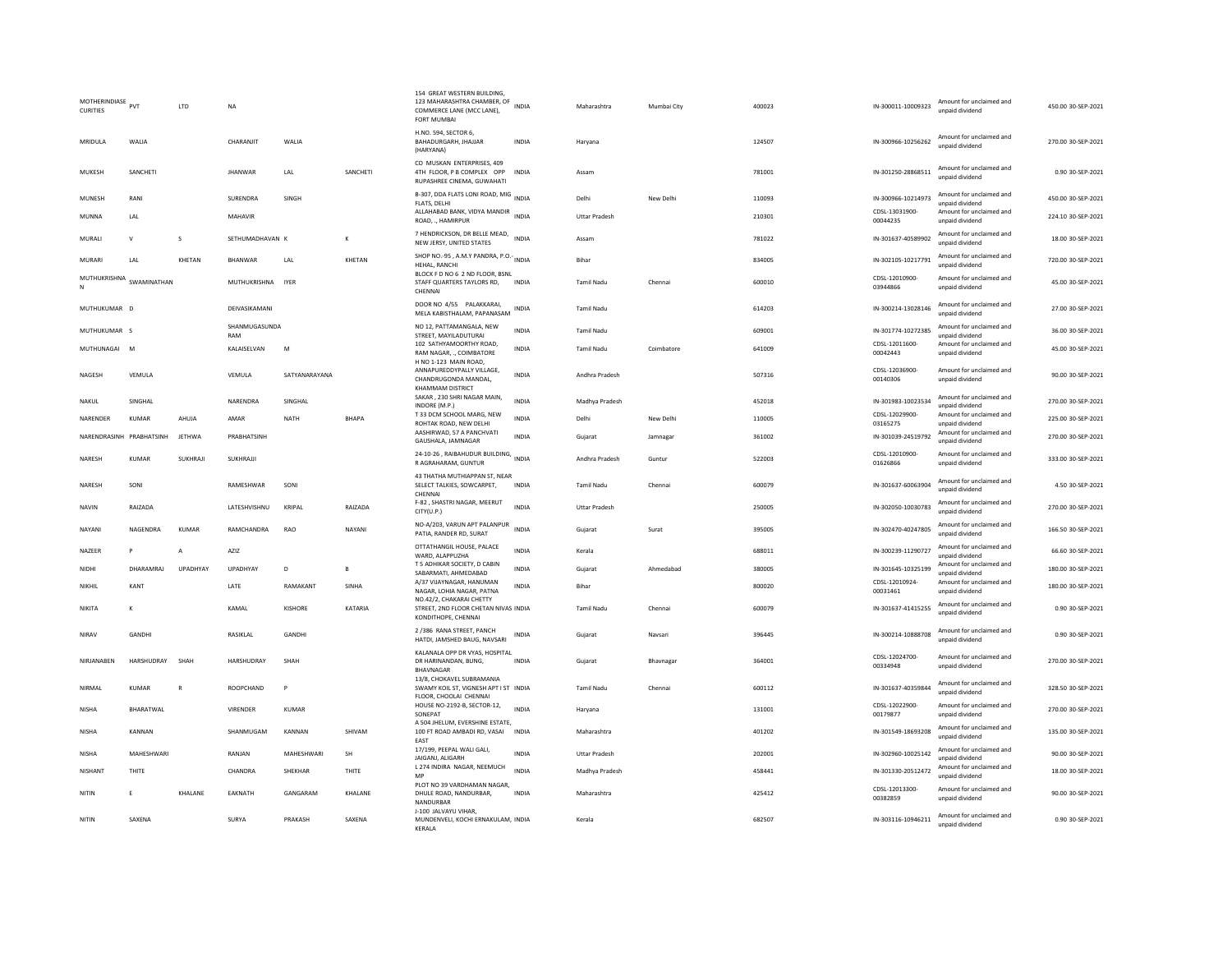| MOTHERINDIASE PVT<br><b>CURITIES</b> |                | <b>ITD</b>     | <b>NA</b>            |               |           | 154 GREAT WESTERN BUILDING,<br>123 MAHARASHTRA CHAMBER, OF<br>COMMERCE LANE (MCC LANE),<br><b>FORT MUMBAI</b> | <b>INDIA</b> | Maharashtra          | Mumhai City | 400023 | IN-300011-10009323         | Amount for unclaimed and<br>unpaid dividend | 450.00 30-SEP-2021 |
|--------------------------------------|----------------|----------------|----------------------|---------------|-----------|---------------------------------------------------------------------------------------------------------------|--------------|----------------------|-------------|--------|----------------------------|---------------------------------------------|--------------------|
| MRIDULA                              | WALIA          |                | CHARANJIT            | WALIA         |           | H.NO. 594, SECTOR 6.<br>BAHADURGARH, JHAJJAR<br>(HARYANA)                                                     | <b>INDIA</b> | Haryana              |             | 124507 | IN-300966-10256262         | Amount for unclaimed and<br>unpaid dividend | 270.00 30-SEP-2021 |
| MUKESH                               | SANCHETI       |                | <b>JHANWAR</b>       | LAL           | SANCHETI  | CO MUSKAN ENTERPRISES, 409<br>4TH FLOOR, P B COMPLEX OPP<br>RUPASHREE CINEMA, GUWAHATI                        | INDIA        | Assam                |             | 781001 | IN-301250-28868511         | Amount for unclaimed and<br>unpaid dividend | 0.90 30-SEP-2021   |
| <b>MUNESH</b>                        | RANI           |                | SURENDRA             | SINGH         |           | B-307, DDA FLATS LONI ROAD, MIG<br>FLATS, DELHI                                                               | <b>INDIA</b> | Delhi                | New Delhi   | 110093 | IN-300966-10214973         | Amount for unclaimed and<br>unpaid dividend | 450.00 30-SEP-2021 |
| MUNNA                                | LAL            |                | MAHAVIR              |               |           | ALLAHABAD BANK, VIDYA MANDIR<br>ROAD, ., HAMIRPUR                                                             | <b>INDIA</b> | Uttar Pradesh        |             | 210301 | CDSL-13031900-<br>00044235 | Amount for unclaimed and<br>unpaid dividend | 224.10 30-SEP-2021 |
| MURALL                               | $\mathsf{v}$   | s              | SETHUMADHAVAN K      |               | к         | 7 HENDRICKSON, DR BELLE MEAD,<br>NEW JERSY, UNITED STATES                                                     | <b>INDIA</b> | Assam                |             | 781022 | IN-301637-40589902         | Amount for unclaimed and<br>unpaid dividend | 18.00 30-SEP-2021  |
| MURARI                               | LAL            | KHETAN         | BHANWAR              | LAL           | KHETAN    | SHOP NO.-95, A.M.Y PANDRA, P.O.- INDIA<br>HEHAL, RANCHI                                                       |              | Bihar                |             | 834005 | IN-302105-10217791         | Amount for unclaimed and<br>unpaid dividend | 720.00 30-SEP-2021 |
| MUTHUKRISHNA SWAMINATHAN             |                |                | MUTHUKRISHNA IYER    |               |           | BLOCK F D NO 6 2 ND FLOOR, BSNL<br>STAFF QUARTERS TAYLORS RD,<br>CHENNAI                                      | <b>INDIA</b> | <b>Tamil Nadu</b>    | Chennai     | 600010 | CDSL-12010900<br>03944866  | Amount for unclaimed and<br>unpaid dividend | 45.00 30-SEP-2021  |
| MUTHUKUMAR                           | $\overline{D}$ |                | DEIVASIKAMANI        |               |           | DOOR NO 4/55 PALAKKARAI,<br>MELA KABISTHALAM, PAPANASAM                                                       | INDIA        | Tamil Nadu           |             | 614203 | IN-300214-13028146         | Amount for unclaimed and<br>unpaid dividend | 27.00 30-SEP-2021  |
| MUTHUKUMAR S                         |                |                | SHANMUGASUNDA<br>RAM |               |           | NO 12, PATTAMANGALA, NEW<br>STREET, MAYILADUTURAI                                                             | <b>INDIA</b> | Tamil Nadu           |             | 609001 | IN-301774-10272385         | Amount for unclaimed and<br>unpaid dividend | 36.00 30-SEP-2021  |
| MUTHUNAGAI                           | M              |                | KALAISELVAN          | M             |           | 102 SATHYAMOORTHY ROAD,<br>RAM NAGAR, ., COIMBATORE<br>H NO 1-123 MAIN ROAD,                                  | <b>INDIA</b> | Tamil Nadu           | Coimbatore  | 641009 | CDSL-12011600-<br>00042443 | Amount for unclaimed and<br>unpaid dividend | 45.00 30-SEP-2021  |
| <b>NAGESH</b>                        | VEMULA         |                | VEMULA               | SATYANARAYANA |           | ANNAPUREDDYPALLY VILLAGE,<br>CHANDRUGONDA MANDAL.<br>KHAMMAM DISTRICT                                         | <b>INDIA</b> | Andhra Pradesh       |             | 507316 | CDSL-12036900-<br>00140306 | Amount for unclaimed and<br>unpaid dividend | 90.00 30-SEP-2021  |
| NAKUL                                | SINGHAL        |                | NARENDRA             | SINGHAL       |           | SAKAR, 230 SHRI NAGAR MAIN<br>INDORE (M.P.)                                                                   | <b>INDIA</b> | Madhya Pradesh       |             | 452018 | IN-301983-10023534         | Amount for unclaimed and<br>unpaid dividend | 270.00 30-SEP-2021 |
| NARENDER                             | KUMAR          | AHUJA          | AMAR                 | NATH          | BHAPA     | T 33 DCM SCHOOL MARG, NEW<br>ROHTAK ROAD, NEW DELHI                                                           | <b>INDIA</b> | Delhi                | New Delhi   | 110005 | CDSL-12029900<br>03165275  | Amount for unclaimed and<br>unpaid dividend | 225.00 30-SEP-2021 |
| NARENDRASINH PRABHATSINH             |                | <b>JETHWA</b>  | PRABHATSINH          |               |           | AASHIRWAD, 57 A PANCHVATI<br>GAUSHALA, JAMNAGAR                                                               | <b>INDIA</b> | Guiarat              | Jamnagar    | 361002 | IN-301039-24519792         | Amount for unclaimed and<br>unpaid dividend | 270.00 30-SEP-2021 |
| NARESH                               | KUMAR          | <b>SUKHRAJ</b> | SUKHRAJJI            |               |           | 24-10-26, RAIBAHUDUR BUILDING, INDIA<br>R AGRAHARAM, GUNTUR                                                   |              | Andhra Pradesh       | Guntur      | 522003 | CDSL-12010900-<br>01626866 | Amount for unclaimed and<br>unpaid dividend | 333.00 30-SEP-2021 |
| NARESH                               | SONI           |                | RAMESHWAR            | SONI          |           | 43 THATHA MUTHIAPPAN ST, NEAR<br>SELECT TALKIES, SOWCARPET,<br>CHENNAL                                        | INDIA        | Tamil Nadu           | Chennai     | 600079 | IN-301637-60063904         | Amount for unclaimed and<br>hnebivib bisonu | 4.50 30-SEP-2021   |
| <b>NAVIN</b>                         | RAIZADA        |                | LATESHVISHNU         | KRIPAI        | RAIZADA   | F-82, SHASTRI NAGAR, MEERUT<br>CITY(U.P.)                                                                     | <b>INDIA</b> | <b>Uttar Pradesh</b> |             | 250005 | IN-302050-10030783         | Amount for unclaimed and<br>unnaid dividend | 270.00 30-SEP-2021 |
| NAYANI                               | NAGENDRA       | KUMAR          | RAMCHANDRA           | <b>RAO</b>    | NAYANI    | NO-A/203, VARUN APT PALANPUR<br>PATIA, RANDER RD, SURAT                                                       | <b>INDIA</b> | Gujarat              | Surat       | 395005 | IN-302470-40247805         | Amount for unclaimed and<br>unpaid dividend | 166.50 30-SEP-2021 |
| NAZEER                               | P              | A              | AZIZ                 |               |           | OTTATHANGIL HOUSE, PALACE<br>WARD, ALAPPUZHA                                                                  | <b>INDIA</b> | Kerala               |             | 688011 | IN-300239-11290727         | Amount for unclaimed and<br>unpaid dividend | 66.60 30-SEP-2021  |
| <b>NIDHI</b>                         | DHARAMRAI      | LIPADHYAY      | <b>UPADHYAY</b>      | D.            | B         | T 5 ADHIKAR SOCIETY, D CABIN<br>SABARMATI, AHMEDABAD                                                          | <b>INDIA</b> | Gujarat              | Ahmedahad   | 380005 | IN-301645-10325199         | Amount for unclaimed and<br>unpaid dividend | 180.00 30-SEP-2021 |
| NIKHII                               | KANT           |                | <b>I ATF</b>         | RAMAKANT      | SINHA     | A/37 VIJAYNAGAR, HANUMAN<br>NAGAR, LOHIA NAGAR, PATNA                                                         | <b>INDIA</b> | <b>Bihar</b>         |             | 800020 | CDSL-12010924-<br>00031461 | Amount for unclaimed and<br>unpaid dividend | 180.00 30-SEP-2021 |
| NIKITA                               | $\mathsf{K}$   |                | KAMAL                | KISHORE       | KATARIA   | NO.42/2, CHAKARAI CHETTY<br>STREET, 2ND FLOOR CHETAN NIVAS INDIA<br>KONDITHOPE, CHENNAI                       |              | <b>Tamil Nadu</b>    | Chennai     | 600079 | IN-301637-41415255         | Amount for unclaimed and<br>unpaid dividend | 0.90 30-SEP-2021   |
| NIRAV                                | GANDHI         |                | RASIKLAL             | GANDHI        |           | 2 /386 RANA STREET, PANCH<br>HATDI, JAMSHED BAUG, NAVSARI                                                     | <b>INDIA</b> | Gujarat              | Navsari     | 396445 | IN-300214-10888708         | Amount for unclaimed and<br>unpaid dividend | 0.90 30-SEP-2021   |
| NIRJANABEN                           | HARSHUDRAY     | SHAH           | HARSHUDRAY           | SHAH          |           | KALANALA OPP DR VYAS, HOSPITAL<br>DR HARINANDAN, BUNG,<br>BHAVNAGAR                                           | <b>INDIA</b> | Gujarat              | Bhavnagar   | 364001 | CDSL-12024700-<br>00334948 | Amount for unclaimed and<br>unpaid dividend | 270.00 30-SEP-2021 |
| NIRMAL                               | <b>KUMAR</b>   | R              | ROOPCHAND            | P             |           | 13/8, CHOKAVEL SUBRAMANIA<br>SWAMY KOIL ST. VIGNESH APT I ST INDIA<br>FLOOR, CHOOLAI CHENNAI                  |              | <b>Tamil Nadu</b>    | Chennai     | 600112 | IN-301637-40359844         | Amount for unclaimed and<br>unpaid dividend | 328.50 30-SEP-2021 |
| <b>NISHA</b>                         | BHARATWAL      |                | VIRENDER             | KUMAR         |           | HOUSE NO-2192-B, SECTOR-12,<br>SONEPAT                                                                        | <b>INDIA</b> | Harvana              |             | 131001 | CDSL-12022900<br>00179877  | Amount for unclaimed and<br>unpaid dividend | 270.00 30-SEP-2021 |
| <b>NISHA</b>                         | KANNAN         |                | SHANMUGAM            | KANNAN        | SHIVAM    | A 504 JHELUM. EVERSHINE ESTATE.<br>100 FT ROAD AMBADI RD, VASAI<br>EAST                                       | INDIA        | Maharashtra          |             | 401202 | IN-301549-18693208         | Amount for unclaimed and<br>unpaid dividend | 135.00 30-SEP-2021 |
| <b>NISHA</b>                         | MAHESHWARI     |                | RANJAN               | MAHESHWARI    | <b>SH</b> | 17/199, PEEPAL WALI GALI,<br>JAIGANJ, ALIGARH                                                                 | <b>INDIA</b> | <b>Uttar Pradesh</b> |             | 202001 | IN-302960-10025142         | Amount for unclaimed and<br>unpaid dividend | 90.00 30-SEP-2021  |
| NISHANT                              | THITE          |                | CHANDRA              | SHEKHAR       | THITE     | L 274 INDIRA NAGAR, NEEMUCH<br>MP                                                                             | <b>INDIA</b> | Madhya Pradesh       |             | 458441 | IN-301330-20512472         | Amount for unclaimed and<br>unpaid dividend | 18.00 30-SEP-2021  |
| NITIN                                | E              | KHALANE        | EAKNATH              | GANGARAM      | KHALANE   | PLOT NO 39 VARDHAMAN NAGAR<br>DHULE ROAD, NANDURBAR,<br>NANDURBAR                                             | <b>INDIA</b> | Maharashtra          |             | 425412 | CDSL-12013300<br>00382859  | Amount for unclaimed and<br>unpaid dividend | 90.00 30-SEP-2021  |
| NITIN                                | SAXENA         |                | SURYA                | PRAKASH       | SAXENA    | J-100 JALVAYU VIHAR,<br>MUNDENVELI, KOCHI ERNAKULAM, INDIA<br>KERALA                                          |              | Kerala               |             | 682507 | IN-303116-10946211         | Amount for unclaimed and<br>unpaid dividend | 0.90 30-SEP-2021   |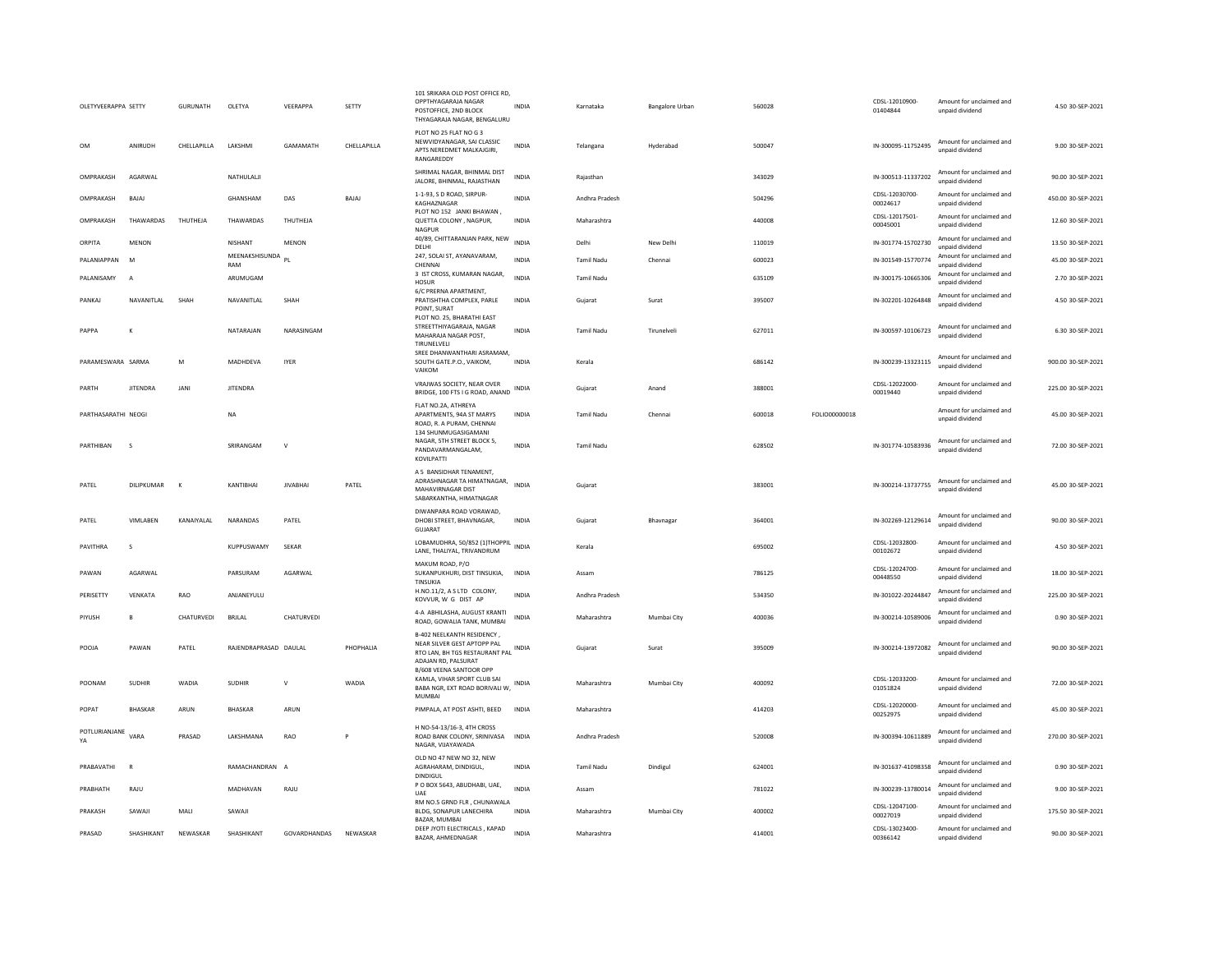| OLETYVEERAPPA SETTY |                 | <b>GURUNATH</b> | OLETYA                   | VEERAPPA        | SETTY        | 101 SRIKARA OLD POST OFFICE RD,<br>OPPTHYAGARAJA NAGAR<br>POSTOFFICE, 2ND BLOCK<br>THYAGARAJA NAGAR, BENGALURU           | <b>INDIA</b> | Karnataka         | <b>Bangalore Urban</b> | 560028 |               | CDSL-12010900-<br>01404844 | Amount for unclaimed and<br>unpaid dividend | 4.50 30-SEP-2021   |
|---------------------|-----------------|-----------------|--------------------------|-----------------|--------------|--------------------------------------------------------------------------------------------------------------------------|--------------|-------------------|------------------------|--------|---------------|----------------------------|---------------------------------------------|--------------------|
| OM                  | ANIRUDH         | CHELLAPILLA     | LAKSHMI                  | GAMAMATH        | CHELLAPILLA  | PLOT NO 25 FLAT NO G 3<br>NEWVIDYANAGAR, SAI CLASSIC<br>APTS NEREDMET MALKAJGIRI.<br>RANGAREDDY                          | INDIA        | Telangana         | Hyderabad              | 500047 |               | IN-300095-11752495         | Amount for unclaimed and<br>unpaid dividend | 9.00 30-SEP-2021   |
| OMPRAKASH           | AGARWAI         |                 | NATHULALI                |                 |              | SHRIMAL NAGAR, BHINMAL DIST<br>JALORE, BHINMAL, RAJASTHAN                                                                | <b>INDIA</b> | Raiasthan         |                        | 343029 |               | IN-300513-11337202         | Amount for unclaimed and<br>unpaid dividend | 90.00 30-SEP-2021  |
| OMPRAKASH           | <b>BAJAJ</b>    |                 | GHANSHAM                 | DAS             | <b>BAJAJ</b> | 1-1-93, S D ROAD, SIRPUR-<br>KAGHAZNAGAR                                                                                 | <b>INDIA</b> | Andhra Pradesh    |                        | 504296 |               | CDSL-12030700-<br>00024617 | Amount for unclaimed and<br>unpaid dividend | 450.00 30-SEP-2021 |
| OMPRAKASH           | THAWARDAS       | THUTHEJA        | THAWARDAS                | THUTHEJA        |              | PLOT NO 152 JANKI BHAWAN,<br>QUETTA COLONY, NAGPUR,<br>NAGPUR                                                            | INDIA        | Maharashtra       |                        | 440008 |               | CDSL-12017501-<br>00045001 | Amount for unclaimed and<br>unpaid dividend | 12.60 30-SEP-2021  |
| ORPITA              | <b>MENON</b>    |                 | NISHANT                  | <b>MENON</b>    |              | 40/89, CHITTARANJAN PARK, NEW<br>DELHI                                                                                   | <b>INDIA</b> | Delhi             | New Delhi              | 110019 |               | IN-301774-15702730         | Amount for unclaimed and<br>unpaid dividend | 13.50 30-SEP-2021  |
| PALANIAPPAN         | M               |                 | MEENAKSHISUNDA PL<br>RAM |                 |              | 247, SOLAI ST, AYANAVARAM,<br>CHENNAI                                                                                    | <b>INDIA</b> | <b>Tamil Nadu</b> | Chennai                | 600023 |               | IN-301549-15770774         | Amount for unclaimed and<br>unpaid dividend | 45.00 30-SEP-2021  |
| PALANISAMY          | $\overline{A}$  |                 | ARUMUGAM                 |                 |              | 3 IST CROSS, KUMARAN NAGAR,<br>HOSUR                                                                                     | <b>INDIA</b> | <b>Tamil Nadu</b> |                        | 635109 |               | IN-300175-10665306         | Amount for unclaimed and<br>unpaid dividend | 2.70 30-SEP-2021   |
| PANKAI              | NAVANITI AI     | SHAH            | NAVANITI AI              | SHAH            |              | 6/C PRERNA APARTMENT,<br>PRATISHTHA COMPLEX. PARLE<br>POINT, SURAT                                                       | <b>INDIA</b> | Gujarat           | Surat                  | 395007 |               | IN-302201-10264848         | Amount for unclaimed and<br>unpaid dividend | 4.50 30-SEP-2021   |
| PAPPA               | K               |                 | NATARAJAN                | NARASINGAM      |              | PLOT NO. 25, BHARATHI EAST<br>STREETTHIYAGARAJA, NAGAR<br>MAHARAJA NAGAR POST,<br>TIRUNELVELI                            | INDIA        | Tamil Nadu        | Tirunelveli            | 627011 |               | IN-300597-10106723         | Amount for unclaimed and<br>hnebivib bisnnu | 6.30 30-SEP-2021   |
| PARAMESWARA SARMA   |                 | M               | MADHDEVA                 | <b>IYER</b>     |              | SREE DHANWANTHARI ASRAMAM,<br>SOUTH GATE.P.O., VAIKOM,<br>VAIKOM                                                         | <b>INDIA</b> | Kerala            |                        | 686142 |               | IN-300239-13323115         | Amount for unclaimed and<br>unpaid dividend | 900.00 30-SEP-2021 |
| PARTH               | <b>JITENDRA</b> | <b>JANI</b>     | <b>JITENDRA</b>          |                 |              | VRAJWAS SOCIETY, NEAR OVER<br>BRIDGE, 100 FTS I G ROAD, ANAND                                                            | <b>INDIA</b> | Gujarat           | Anand                  | 388001 |               | CDSL-12022000-<br>00019440 | Amount for unclaimed and<br>unnaid dividend | 225.00 30-SEP-2021 |
| PARTHASARATHI NEOGI |                 |                 | <b>NA</b>                |                 |              | FLAT NO.2A, ATHREYA<br>APARTMENTS, 94A ST MARYS<br>ROAD, R. A PURAM, CHENNAI<br>134 SHUNMUGASIGAMANI                     | <b>INDIA</b> | <b>Tamil Nadu</b> | Chennai                | 600018 | FOLIO00000018 |                            | Amount for unclaimed and<br>unpaid dividend | 45.00 30-SEP-2021  |
| PARTHIBAN           | s               |                 | SRIRANGAM                | $\mathsf{V}$    |              | NAGAR, 5TH STREET BLOCK 5,<br>PANDAVARMANGALAM,<br>KOVILPATTI                                                            | <b>INDIA</b> | <b>Tamil Nadu</b> |                        | 628502 |               | IN-301774-10583936         | Amount for unclaimed and<br>unpaid dividend | 72.00 30-SEP-2021  |
| PATEL               | DILIPKUMAR      | $\mathsf{K}$    | KANTIBHAI                | <b>JIVABHAI</b> | PATEL        | A 5 BANSIDHAR TENAMENT,<br>ADRASHNAGAR TA HIMATNAGAR,<br>MAHAVIRNAGAR DIST<br>SABARKANTHA, HIMATNAGAR                    | <b>INDIA</b> | Gujarat           |                        | 383001 |               | IN-300214-13737755         | Amount for unclaimed and<br>unpaid dividend | 45.00 30-SEP-2021  |
| PATEL               | VIMLABEN        | KANAIYALAL      | NARANDAS                 | PATEL           |              | DIWANPARA ROAD VORAWAD,<br>DHOBI STREET, BHAVNAGAR,<br>GUJARAT                                                           | <b>INDIA</b> | Gujarat           | Bhavnagar              | 364001 |               | IN-302269-12129614         | Amount for unclaimed and<br>unpaid dividend | 90.00 30-SEP-2021  |
| PAVITHRA            | s               |                 | KUPPUSWAMY               | SEKAR           |              | LOBAMUDHRA, 50/852 (1)THOPPIL INDIA<br>LANE, THALIYAL, TRIVANDRUM                                                        |              | Kerala            |                        | 695002 |               | CDSL-12032800-<br>00102672 | Amount for unclaimed and<br>unpaid dividend | 4.50 30-SEP-2021   |
| PAWAN               | AGARWAI         |                 | PARSURAM                 | AGARWAI         |              | MAKUM ROAD, P/O<br>SUKANPUKHURI, DIST TINSUKIA,<br>TINSUKIA                                                              | <b>INDIA</b> | Assam             |                        | 786125 |               | CDSL-12024700-<br>00448550 | Amount for unclaimed and<br>unpaid dividend | 18.00 30-SEP-2021  |
| PERISETTY           | VENKATA         | RAO             | ANJANEYULU               |                 |              | H.NO.11/2, A S LTD COLONY,<br>KOVVUR, W G DIST AP                                                                        | <b>INDIA</b> | Andhra Pradesh    |                        | 534350 |               | IN-301022-20244847         | Amount for unclaimed and<br>unpaid dividend | 225.00 30-SEP-2021 |
| PIYUSH              | B               | CHATURVEDI      | <b>BRJLAL</b>            | CHATURVEDI      |              | 4-A ABHILASHA, AUGUST KRANTI<br>ROAD, GOWALIA TANK, MUMBAI                                                               | INDIA        | Maharashtra       | Mumbai City            | 400036 |               | IN-300214-10589006         | Amount for unclaimed and<br>unpaid dividend | 0.90 30-SEP-2021   |
| POOJA               | PAWAN           | PATEL           | RAJENDRAPRASAD DAULAL    |                 | PHOPHALIA    | B-402 NEELKANTH RESIDENCY,<br>NEAR SILVER GEST APTOPP PAL<br>RTO LAN, BH TGS RESTAURANT PAL INDIA<br>ADAJAN RD, PALSURAT |              | Guiarat           | Surat                  | 395009 |               | IN-300214-13972082         | Amount for unclaimed and<br>unpaid dividend | 90.00 30-SEP-2021  |
| POONAM              | SUDHIR          | WADIA           | SUDHIR                   | $\mathsf{v}$    | WADIA        | B/608 VEENA SANTOOR OPP<br>KAMLA, VIHAR SPORT CLUB SAI<br>BABA NGR, EXT ROAD BORIVALI W,<br><b>MUMBAI</b>                | INDIA        | Maharashtra       | Mumbai City            | 400092 |               | CDSL-12033200-<br>01051824 | Amount for unclaimed and<br>unpaid dividend | 72.00 30-SEP-2021  |
| POPAT               | <b>BHASKAR</b>  | ARUN            | BHASKAR                  | ARUN            |              | PIMPALA, AT POST ASHTI, BEED                                                                                             | INDIA        | Maharashtra       |                        | 414203 |               | CDSL-12020000-<br>00252975 | Amount for unclaimed and<br>unnaid dividend | 45.00 30-SEP-2021  |
| POTLURIANJANE<br>YA | VARA            | PRASAD          | LAKSHMANA                | <b>RAO</b>      | P            | H NO-54-13/16-3, 4TH CROSS<br>ROAD BANK COLONY, SRINIVASA<br>NAGAR, VUAYAWADA                                            | <b>INDIA</b> | Andhra Pradesh    |                        | 520008 |               | IN-300394-10611889         | Amount for unclaimed and<br>unpaid dividend | 270.00 30-SEP-2021 |
| PRABAVATHI          | <b>R</b>        |                 | RAMACHANDRAN A           |                 |              | OLD NO 47 NEW NO 32, NEW<br>AGRAHARAM, DINDIGUL,<br>DINDIGUL                                                             | <b>INDIA</b> | <b>Tamil Nadu</b> | Dindigul               | 624001 |               | IN-301637-41098358         | Amount for unclaimed and<br>unpaid dividend | 0.90 30-SEP-2021   |
| PRABHATH            | RAJU            |                 | MADHAVAN                 | RAJU            |              | P O BOX 5643, ABUDHABI, UAE,<br>UAE                                                                                      | <b>INDIA</b> | Assam             |                        | 781022 |               | IN-300239-13780014         | Amount for unclaimed and<br>unpaid dividend | 9.00 30-SEP-2021   |
| PRAKASH             | SAWAJI          | MALI            | SAWAJI                   |                 |              | RM NO.5 GRND FLR, CHUNAWALA<br>BLDG, SONAPUR LANECHIRA<br>BAZAR, MUMBAI                                                  | <b>INDIA</b> | Maharashtra       | Mumbai City            | 400002 |               | CDSL-12047100-<br>00027019 | Amount for unclaimed and<br>unpaid dividend | 175.50 30-SEP-2021 |
| PRASAD              | SHASHIKANT      | NEWASKAR        | SHASHIKANT               | GOVARDHANDAS    | NEWASKAR     | DEEP JYOTI ELECTRICALS, KAPAD<br>BAZAR, AHMEDNAGAR                                                                       | INDIA        | Maharashtra       |                        | 414001 |               | CDSL-13023400-<br>00366142 | Amount for unclaimed and<br>unpaid dividend | 90.00 30-SEP-2021  |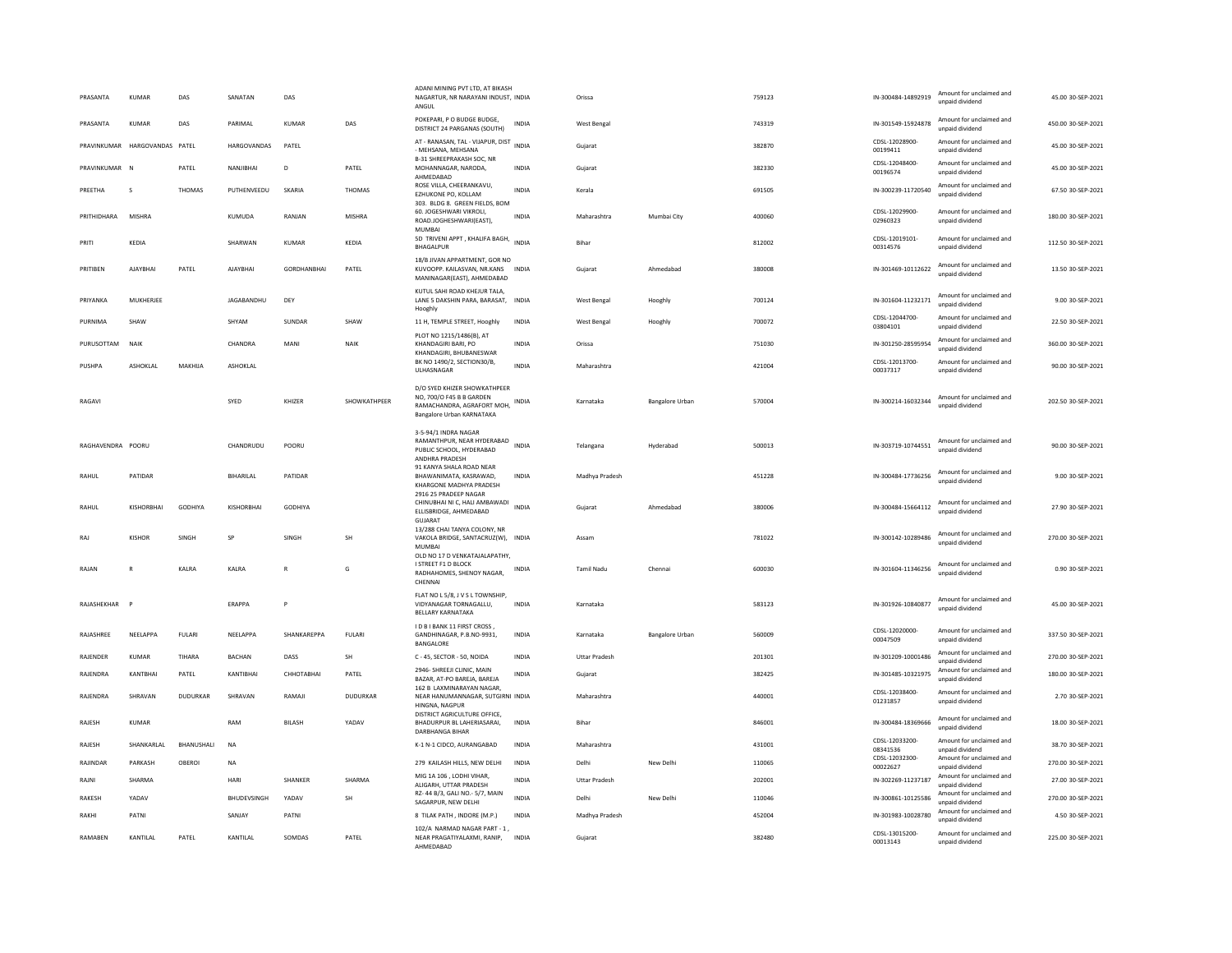| PRASANTA          | KUMAR             | DAS             | SANATAN            | DAS                |                 | ADANI MINING PVT LTD. AT BIKASH<br>NAGARTUR, NR NARAYANI INDUST, INDIA<br>ANGUL                                      |              | Orissa               |                        | 759123 | IN-300484-14892919         | Amount for unclaimed and<br>unpaid dividend | 45.00 30-SEP-2021  |
|-------------------|-------------------|-----------------|--------------------|--------------------|-----------------|----------------------------------------------------------------------------------------------------------------------|--------------|----------------------|------------------------|--------|----------------------------|---------------------------------------------|--------------------|
| PRASANTA          | KUMAR             | DAS             | PARIMAL            | KUMAR              | DAS             | POKEPARI, P O BUDGE BUDGE,<br>DISTRICT 24 PARGANAS (SOUTH)                                                           | INDIA        | West Bengal          |                        | 743319 | IN-301549-15924878         | Amount for unclaimed and<br>unpaid dividend | 450.00 30-SEP-2021 |
| PRAVINKUMAR       | HARGOVANDAS PATEL |                 | HARGOVANDAS        | PATEL              |                 | AT - RANASAN, TAL - VIJAPUR, DIST INDIA<br>- MEHSANA, MEHSANA                                                        |              | Gujarat              |                        | 382870 | CDSL-12028900-<br>00199411 | Amount for unclaimed and<br>unpaid dividend | 45.00 30-SEP-2021  |
| PRAVINKUMAR N     |                   | PATEL           | NANIIRHAI          | D.                 | PATEL           | B-31 SHREEPRAKASH SOC, NR<br>MOHANNAGAR, NARODA,<br>AHMEDABAD                                                        | <b>INDIA</b> | Gujarat              |                        | 382330 | CDSL-12048400-<br>00196574 | Amount for unclaimed and<br>unpaid dividend | 45.00 30-SEP-2021  |
| PREETHA           | $\mathbf{S}$      | THOMAS          | PUTHENVEEDU        | SKARIA             | THOMAS          | ROSE VILLA, CHEERANKAVU,<br>EZHUKONE PO, KOLLAM                                                                      | <b>INDIA</b> | Kerala               |                        | 691505 | IN-300239-11720540         | Amount for unclaimed and<br>unpaid dividend | 67.50 30-SEP-2021  |
| PRITHIDHARA       | MISHRA            |                 | KUMUDA             | RANIAN             | <b>MISHRA</b>   | 303. BLDG 8. GREEN FIELDS, BOM<br>60. JOGESHWARI VIKROLI.<br>ROAD.JOGHESHWARI(EAST),<br>MUMBAI                       | <b>INDIA</b> | Maharashtra          | Mumbai City            | 400060 | CDSL-12029900<br>02960323  | Amount for unclaimed and<br>unpaid dividend | 180.00 30-SEP-2021 |
| PRITI             | KEDIA             |                 | SHARWAN            | KUMAR              | KEDIA           | 5D TRIVENI APPT, KHALIFA BAGH, INDIA<br>BHAGALPUR                                                                    |              | Bihar                |                        | 812002 | CDSL-12019101-<br>00314576 | Amount for unclaimed and<br>unpaid dividend | 112.50 30-SEP-2021 |
| PRITIBEN          | AJAYBHAI          | PATEL           | <b>AJAYBHAI</b>    | <b>GORDHANBHAI</b> | PATEL           | 18/B JIVAN APPARTMENT, GOR NO<br>KUVOOPP. KAILASVAN. NR.KANS<br>MANINAGAR(EAST), AHMEDABAD                           | <b>INDIA</b> | Guiarat              | Ahmedabad              | 380008 | IN-301469-10112622         | Amount for unclaimed and<br>unpaid dividend | 13.50 30-SEP-2021  |
| PRIYANKA          | MUKHERJEE         |                 | JAGABANDHU         | DEY                |                 | KUTUL SAHI ROAD KHEJUR TALA,<br>LANE 5 DAKSHIN PARA, BARASAT, INDIA<br>Hooghly                                       |              | West Bengal          | Hooghly                | 700124 | IN-301604-11232171         | Amount for unclaimed and<br>unpaid dividend | 9.00 30-SEP-2021   |
| PURNIMA           | SHAW              |                 | SHYAM              | SUNDAR             | SHAW            | 11 H, TEMPLE STREET, Hooghly                                                                                         | INDIA        | <b>West Bengal</b>   | Hooghly                | 700072 | CDSL-12044700<br>03804101  | Amount for unclaimed and<br>unpaid dividend | 22.50 30-SEP-2021  |
| PURUSOTTAM        | NAIK              |                 | CHANDRA            | MANI               | NAIK            | PLOT NO 1215/1486(B), AT<br>KHANDAGIRI BARI, PO<br>KHANDAGIRI, BHUBANESWAR                                           | <b>INDIA</b> | Orissa               |                        | 751030 | IN-301250-28595954         | Amount for unclaimed and<br>unpaid dividend | 360.00 30-SEP-2021 |
| PUSHPA            | <b>ASHOKLAL</b>   | MAKHUA          | <b>ASHOKLAL</b>    |                    |                 | BK NO 1490/2, SECTION30/B<br>ULHASNAGAR                                                                              | <b>INDIA</b> | Maharashtra          |                        | 421004 | CDSL-12013700-<br>00037317 | Amount for unclaimed and<br>unpaid dividend | 90.00 30-SEP-2021  |
| RAGAVI            |                   |                 | SYED               | KHIZER             | SHOWKATHPEER    | D/O SYED KHIZER SHOWKATHPEER<br>NO. 700/O F45 B B GARDEN<br>RAMACHANDRA, AGRAFORT MOH,<br>Bangalore Urban KARNATAKA  | INDIA        | Karnataka            | <b>Bangalore Urban</b> | 570004 | IN-300214-16032344         | Amount for unclaimed and<br>unpaid dividend | 202.50 30-SEP-2021 |
| RAGHAVENDRA POORU |                   |                 | CHANDRUDU          | POORU              |                 | 3-5-94/1 INDRA NAGAR<br>RAMANTHPUR, NEAR HYDERABAD<br>PUBLIC SCHOOL, HYDERABAD<br><b>ANDHRA PRADESH</b>              | <b>INDIA</b> | Telangana            | Hyderabad              | 500013 | IN-303719-10744551         | Amount for unclaimed and<br>unpaid dividend | 90.00 30-SEP-2021  |
| RAHUL             | PATIDAR           |                 | BIHARILAL          | PATIDAR            |                 | 91 KANYA SHALA ROAD NEAR<br>BHAWANIMATA, KASRAWAD,<br>KHARGONE MADHYA PRADESH<br>2916 25 PRADEEP NAGAR               | <b>INDIA</b> | Madhya Pradesh       |                        | 451228 | IN-300484-17736256         | Amount for unclaimed and<br>unpaid dividend | 9.00 30-SEP-2021   |
| RAHUL             | KISHORBHAI        | GODHIYA         | <b>KISHORBHAI</b>  | <b>GODHIYA</b>     |                 | CHINUBHAI NI C, HALI AMBAWADI<br>ELLISBRIDGE, AHMEDABAD<br><b>GUJARAT</b>                                            | <b>INDIA</b> | Gujarat              | Ahmedabad              | 380006 | IN-300484-15664112         | Amount for unclaimed and<br>unpaid dividend | 27.90 30-SEP-2021  |
| RAJ               | KISHOR            | <b>SINGH</b>    | SP                 | SINGH              | <b>SH</b>       | 13/288 CHAI TANYA COLONY, NR<br>VAKOLA BRIDGE, SANTACRUZ(W), INDIA<br><b>MUMBAI</b><br>OLD NO 17 D VENKATAJALAPATHY. |              | Assam                |                        | 781022 | IN-300142-10289486         | Amount for unclaimed and<br>unpaid dividend | 270.00 30-SEP-2021 |
| RAJAN             | $\mathbb{R}$      | KALRA           | KALRA              | $\mathbb{R}$       | G               | I STREET F1 D BLOCK<br>RADHAHOMES, SHENOY NAGAR,<br>CHENNAI                                                          | INDIA        | <b>Tamil Nadu</b>    | Chennai                | 600030 | IN-301604-11346256         | Amount for unclaimed and<br>unnaid dividend | 0.90 30-SEP-2021   |
| RAJASHEKHAR       |                   |                 | <b>ERAPPA</b>      | P                  |                 | FLAT NO L 5/8, J V S L TOWNSHIP,<br>VIDYANAGAR TORNAGALLU,<br><b>BELLARY KARNATAKA</b>                               | <b>INDIA</b> | Karnataka            |                        | 583123 | IN-301926-10840877         | Amount for unclaimed and<br>unpaid dividend | 45.00 30-SEP-2021  |
| RAIASHRFF         | <b>NFFLAPPA</b>   | <b>FULARI</b>   | <b>NFFI APPA</b>   | SHANKARFPPA        | <b>FULARI</b>   | I D B I BANK 11 FIRST CROSS,<br>GANDHINAGAR, P.B.NO-9931,<br>BANGALORE                                               | <b>INDIA</b> | Karnataka            | Bangalore Urban        | 560009 | CDSL-12020000-<br>00047509 | Amount for unclaimed and<br>unpaid dividend | 337.50 30-SEP-2021 |
| RAJENDER          | KUMAR             | TIHARA          | BACHAN             | DASS               | SH              | C - 45, SECTOR - 50, NOIDA                                                                                           | <b>INDIA</b> | <b>Uttar Pradesh</b> |                        | 201301 | IN-301209-10001486         | Amount for unclaimed and<br>unpaid dividend | 270.00 30-SEP-2021 |
| RAJENDRA          | KANTBHAI          | PATEL           | KANTIBHAI          | СННОТАВНАІ         | PATEL           | 2946- SHREEJI CLINIC, MAIN<br>BAZAR, AT-PO BAREJA, BAREJA<br>162 B LAXMINARAYAN NAGAR.                               | <b>INDIA</b> | Gujarat              |                        | 382425 | IN-301485-10321975         | Amount for unclaimed and<br>unpaid dividend | 180.00 30-SEP-2021 |
| RAJENDRA          | SHRAVAN           | <b>DUDURKAR</b> | SHRAVAN            | RAMAJI             | <b>DUDURKAR</b> | NEAR HANUMANNAGAR, SUTGIRNI INDIA<br>HINGNA, NAGPUR                                                                  |              | Maharashtra          |                        | 440001 | CDSL-12038400-<br>01231857 | Amount for unclaimed and<br>unpaid dividend | 2.70 30-SEP-2021   |
| RAJESH            | KUMAR             |                 | RAM                | <b>BILASH</b>      | YADAV           | DISTRICT AGRICULTURE OFFICE,<br>BHADURPUR BL LAHERIASARAI,<br>DARBHANGA BIHAR                                        | <b>INDIA</b> | Bihar                |                        | 846001 | IN-300484-18369666         | Amount for unclaimed and<br>unpaid dividend | 18.00 30-SEP-2021  |
| RAJESH            | SHANKARLAL        | BHANUSHALI      | <b>NA</b>          |                    |                 | K-1 N-1 CIDCO, AURANGABAD                                                                                            | <b>INDIA</b> | Maharashtra          |                        | 431001 | CDSL-12033200-<br>08341536 | Amount for unclaimed and<br>unnaid dividend | 38.70 30-SEP-2021  |
| RAJINDAR          | PARKASH           | OBEROL          | <b>NA</b>          |                    |                 | 279 KAILASH HILLS, NEW DELHI                                                                                         | <b>INDIA</b> | Delhi                | New Delhi              | 110065 | CDSL-12032300-<br>00022627 | Amount for unclaimed and<br>unpaid dividend | 270.00 30-SEP-2021 |
| RAJNI             | SHARMA            |                 | HARI               | SHANKER            | SHARMA          | MIG 1A 106, LODHI VIHAR,<br>ALIGARH, UTTAR PRADESH                                                                   | <b>INDIA</b> | <b>Uttar Pradesh</b> |                        | 202001 | IN-302269-11237187         | Amount for unclaimed and<br>unpaid dividend | 27.00 30-SEP-2021  |
| <b>RAKESH</b>     | YADAV             |                 | <b>BHUDEVSINGH</b> | YADAV              | <b>SH</b>       | RZ-44 B/3, GALI NO.-5/7, MAIN<br>SAGARPUR, NEW DELHI                                                                 | <b>INDIA</b> | Delhi                | New Delhi              | 110046 | IN-300861-10125586         | Amount for unclaimed and<br>unpaid dividend | 270.00 30-SEP-2021 |
| RAKHI             | PATNI             |                 | SANJAY             | PATNI              |                 | 8 TILAK PATH, INDORE (M.P.)                                                                                          | <b>INDIA</b> | Madhya Pradesh       |                        | 452004 | IN-301983-10028780         | Amount for unclaimed and<br>unpaid dividend | 4.50 30-SEP-2021   |
| RAMABEN           | KANTILAL          | PATEL           | KANTILAL           | SOMDAS             | PATEL           | 102/A NARMAD NAGAR PART - 1<br>NEAR PRAGATIYALAXMI, RANIP,<br>AHMFDARAD                                              | <b>INDIA</b> | Gujarat              |                        | 382480 | CDSL-13015200-<br>00013143 | Amount for unclaimed and<br>unpaid dividend | 225.00 30-SEP-2021 |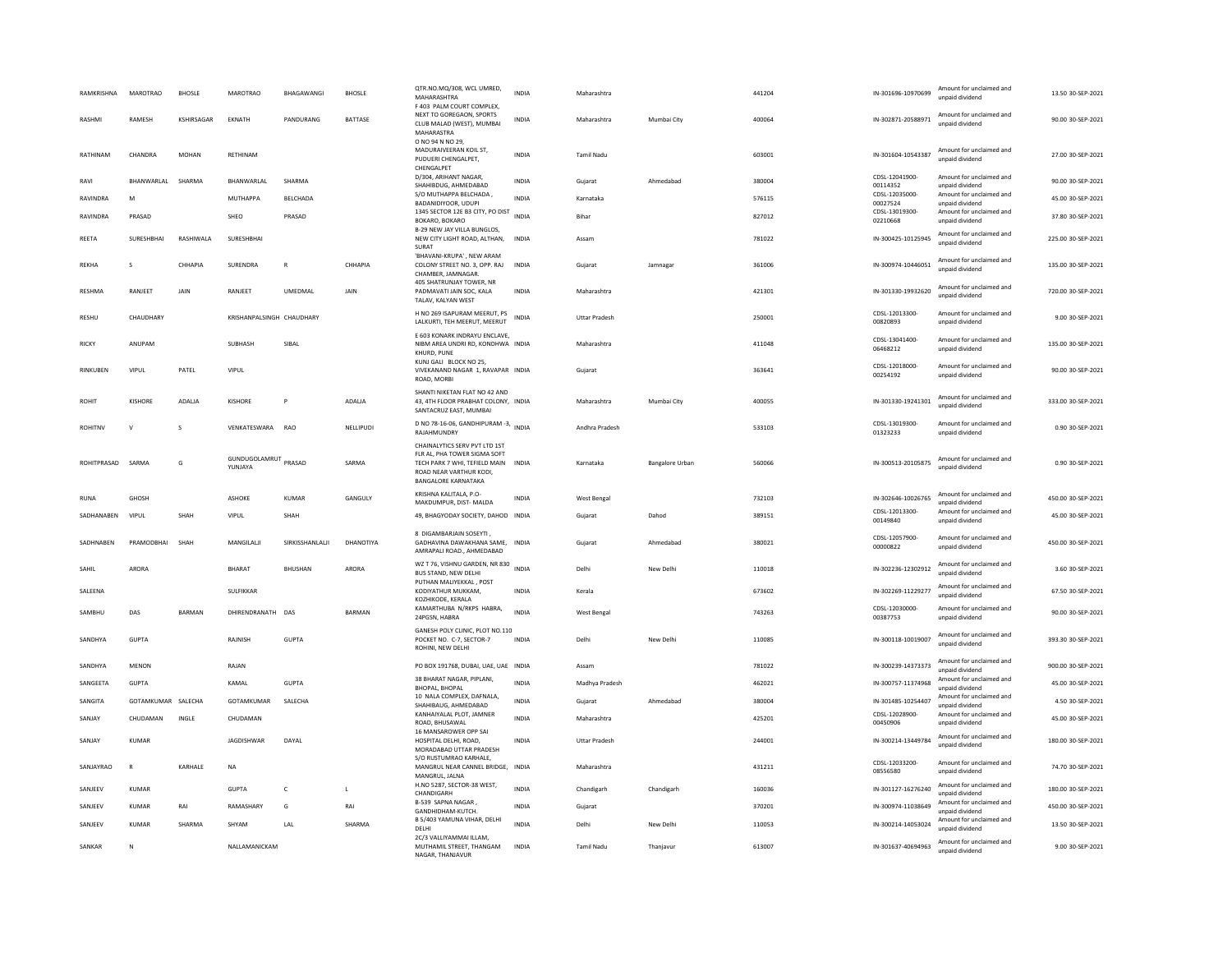| RAMKRISHNA     | <b>MAROTRAO</b>    | <b>BHOSLE</b>     | <b>MAROTRAO</b>                 | BHAGAWANGI      | <b>BHOSLE</b>  | QTR.NO.MQ/308, WCL UMRED<br>MAHARASHTRA<br>F 403 PALM COURT COMPLEX,                                                                                    | <b>INDIA</b> | Maharashtra          |                 | 441204 | IN-301696-10970699         | Amount for unclaimed and<br>unpaid dividend | 13.50 30-SEP-2021  |
|----------------|--------------------|-------------------|---------------------------------|-----------------|----------------|---------------------------------------------------------------------------------------------------------------------------------------------------------|--------------|----------------------|-----------------|--------|----------------------------|---------------------------------------------|--------------------|
| RASHMI         | <b>RAMFSH</b>      | KSHIRSAGAR        | <b>FKNATH</b>                   | PANDURANG       | <b>BATTASE</b> | NEXT TO GOREGAON, SPORTS<br>CLUB MALAD (WEST), MUMBAI<br>MAHARASTRA                                                                                     | <b>INDIA</b> | Maharashtra          | Mumbai City     | 400064 | IN-302871-20588971         | Amount for unclaimed and<br>unpaid dividend | 90.00 30-SEP-2021  |
| RATHINAM       | CHANDRA            | <b>MOHAN</b>      | RETHINAM                        |                 |                | O NO 94 N NO 29,<br>MADURAIVEERAN KOIL ST.<br>PUDUERI CHENGALPET,<br>CHENGALPET                                                                         | <b>INDIA</b> | <b>Tamil Nadu</b>    |                 | 603001 | IN-301604-10543387         | Amount for unclaimed and<br>unpaid dividend | 27.00 30-SEP-2021  |
| RAVI           | BHANWARLAL         | SHARMA            | BHANWARLAL                      | SHARMA          |                | D/304, ARIHANT NAGAR.<br>SHAHIBDUG, AHMEDABAD                                                                                                           | INDIA        | Gujarat              | Ahmedabad       | 380004 | CDSL-12041900-<br>00114352 | Amount for unclaimed and<br>unpaid dividend | 90.00 30-SEP-2021  |
| RAVINDRA       | M                  |                   | MUTHAPPA                        | <b>BELCHADA</b> |                | S/O MUTHAPPA BELCHADA.<br>BADANIDIYOOR, UDUPI                                                                                                           | <b>INDIA</b> | Karnataka            |                 | 576115 | CDSL-12035000-<br>00027524 | Amount for unclaimed and<br>unpaid dividend | 45.00 30-SEP-2021  |
| RAVINDRA       | PRASAD             |                   | SHEO                            | PRASAD          |                | 1345 SECTOR 12E B3 CITY, PO DIST<br>BOKARO, BOKARO                                                                                                      | <b>INDIA</b> | Bihar                |                 | 827012 | CDSL-13019300-<br>02210668 | Amount for unclaimed and<br>unpaid dividend | 37.80 30-SEP-2021  |
| RFFTA          | SURFSHRHAI         | <b>RASHIWAI A</b> | SURFSHRHAI                      |                 |                | B-29 NEW JAY VILLA BUNGLOS,<br>NEW CITY LIGHT ROAD, ALTHAN,<br>SURAT                                                                                    | <b>INDIA</b> | Assam                |                 | 781022 | IN-300425-10125945         | Amount for unclaimed and<br>unpaid dividend | 225.00.30-SEP-2021 |
| REKHA          | s                  | CHHAPIA           | SURENDRA                        | $\mathsf{R}$    | СННАРІА        | 'BHAVANI-KRUPA', NEW ARAM<br>COLONY STREET NO. 3, OPP. RAJ<br>CHAMBER, JAMNAGAR                                                                         | <b>INDIA</b> | Gujarat              | Jamnagar        | 361006 | IN-300974-10446051         | Amount for unclaimed and<br>unpaid dividend | 135.00 30-SEP-2021 |
| <b>RESHMA</b>  | RANJEET            | <b>JAIN</b>       | RANJEET                         | UMEDMAL         | <b>JAIN</b>    | 405 SHATRUNJAY TOWER, NR<br>PADMAVATI JAIN SOC, KALA<br>TALAV, KALYAN WEST                                                                              | <b>INDIA</b> | Maharashtra          |                 | 421301 | IN-301330-19932620         | Amount for unclaimed and<br>unpaid dividend | 720.00 30-SEP-2021 |
| <b>RESHU</b>   | CHAUDHARY          |                   | KRISHANPALSINGH CHAUDHARY       |                 |                | H NO 269 ISAPURAM MEERUT. PS<br>LALKURTI, TEH MEERUT, MEERUT                                                                                            | <b>INDIA</b> | <b>Uttar Pradesh</b> |                 | 250001 | CDSL-12013300-<br>00820893 | Amount for unclaimed and<br>unpaid dividend | 9.00 30-SEP-2021   |
| <b>RICKY</b>   | ANUPAM             |                   | SUBHASH                         | SIBAL           |                | E 603 KONARK INDRAYU ENCLAVE,<br>NIBM AREA UNDRI RD, KONDHWA INDIA<br>KHURD, PUNE                                                                       |              | Maharashtra          |                 | 411048 | CDSL-13041400-<br>06468212 | Amount for unclaimed and<br>unpaid dividend | 135.00 30-SEP-2021 |
| RINKUBEN       | <b>VIPUL</b>       | PATEL             | VIPUL                           |                 |                | KUNJ GALI BLOCK NO 25,<br>VIVEKANAND NAGAR 1, RAVAPAR INDIA<br>ROAD, MORBI                                                                              |              | Gujarat              |                 | 363641 | CDSL-12018000-<br>00254192 | Amount for unclaimed and<br>unpaid dividend | 90.00 30-SEP-2021  |
| <b>ROHIT</b>   | KISHORE            | ADALJA            | KISHORE                         | P               | ADALIA         | SHANTI NIKETAN FLAT NO 42 AND<br>43, 4TH FLOOR PRABHAT COLONY, INDIA<br>SANTACRUZ EAST, MUMBAI                                                          |              | Maharashtra          | Mumbai City     | 400055 | IN-301330-19241301         | Amount for unclaimed and<br>unpaid dividend | 333.00 30-SEP-2021 |
| <b>ROHITNV</b> | $\mathsf{V}$       | S                 | VENKATESWARA RAO                |                 | NELLIPUDI      | D NO 78-16-06, GANDHIPURAM -3, INDIA<br>RAJAHMUNDRY                                                                                                     |              | Andhra Pradesh       |                 | 533103 | CDSL-13019300-<br>01323233 | Amount for unclaimed and<br>unpaid dividend | 0.90 30-SEP-2021   |
| ROHITPRASAD    | SARMA              | G                 | GUNDUGOLAMRUT PRASAD<br>YUNJAYA |                 | SARMA          | CHAINALYTICS SERV PVT LTD 1ST<br>FLR AL. PHA TOWER SIGMA SOFT<br>TECH PARK 7 WHI, TEFIELD MAIN<br>ROAD NEAR VARTHUR KODI.<br><b>BANGALORE KARNATAKA</b> | <b>INDIA</b> | Karnataka            | Bangalore Urban | 560066 | IN-300513-20105875         | Amount for unclaimed and<br>unpaid dividend | 0.90 30-SEP-2021   |
| <b>RUNA</b>    | GHOSH              |                   | <b>ASHOKE</b>                   | <b>KUMAR</b>    | GANGULY        | KRISHNA KALITALA, P.O-<br>MAKDUMPUR, DIST- MALDA                                                                                                        | <b>INDIA</b> | West Bengal          |                 | 732103 | IN-302646-10026765         | Amount for unclaimed and<br>unnaid dividend | 450.00 30-SEP-2021 |
| SADHANABEN     | VIPUL              | SHAH              | VIPUL                           | SHAH            |                | 49, BHAGYODAY SOCIETY, DAHOD INDIA                                                                                                                      |              | Gujarat              | Dahod           | 389151 | CDSL-12013300-<br>00149840 | Amount for unclaimed and<br>unpaid dividend | 45.00 30-SEP-2021  |
| SADHNABEN      | PRAMODBHAI         | SHAH              | MANGILALJI                      | SIRKISSHANLALJI | DHANOTIYA      | 8 DIGAMBARJAIN SOSEYTI.<br>GADHAVINA DAWAKHANA SAME, INDIA<br>AMRAPALI ROAD., AHMEDABAD                                                                 |              | Gujarat              | Ahmedabad       | 380021 | CDSL-12057900-<br>00000822 | Amount for unclaimed and<br>unpaid dividend | 450.00 30-SEP-2021 |
| SAHIL          | ARORA              |                   | BHARAT                          | <b>BHUSHAN</b>  | ARORA          | WZ T 76, VISHNU GARDEN, NR 830<br><b>BUS STAND, NEW DELHI</b><br>PUTHAN MALIYEKKAL, POST                                                                | <b>INDIA</b> | Delhi                | New Delhi       | 110018 | IN-302236-12302912         | Amount for unclaimed and<br>unpaid dividend | 3.60 30-SEP-2021   |
| SAIFFNA        |                    |                   | <b>SULFIKKAR</b>                |                 |                | KODIYATHUR MUKKAM.<br>KOZHIKODE, KERALA                                                                                                                 | <b>INDIA</b> | Kerala               |                 | 673602 | IN-302269-11229277         | Amount for unclaimed and<br>unpaid dividend | 67.50 30-SEP-2021  |
| SAMBHU         | DAS                | <b>BARMAN</b>     | DHIRENDRANATH DAS               |                 | <b>BARMAN</b>  | KAMARTHUBA N/RKPS HABRA.<br>24PGSN, HABRA                                                                                                               | <b>INDIA</b> | West Bengal          |                 | 743263 | CDSL-12030000-<br>00387753 | Amount for unclaimed and<br>unpaid dividend | 90.00 30-SEP-2021  |
| SANDHYA        | <b>GUPTA</b>       |                   | RAJNISH                         | GUPTA           |                | GANESH POLY CLINIC, PLOT NO.110<br>POCKET NO. C-7, SECTOR-7<br>ROHINI, NEW DELHI                                                                        | INDIA        | Delhi                | New Delhi       | 110085 | IN-300118-10019007         | Amount for unclaimed and<br>unpaid dividend | 393.30 30-SEP-2021 |
| SANDHYA        | <b>MENON</b>       |                   | RAJAN                           |                 |                | PO BOX 191768, DUBAI, UAE, UAE INDIA                                                                                                                    |              | Assam                |                 | 781022 | IN-300239-14373373         | Amount for unclaimed and<br>unpaid dividend | 900.00 30-SEP-2021 |
| SANGEETA       | <b>GUPTA</b>       |                   | KAMAL                           | <b>GUPTA</b>    |                | 38 BHARAT NAGAR, PIPLANI,<br><b>BHOPAL, BHOPAI</b>                                                                                                      | <b>INDIA</b> | Madhya Pradesh       |                 | 462021 | IN-300757-11374968         | Amount for unclaimed and<br>unpaid dividend | 45.00 30-SEP-2021  |
| SANGITA        | GOTAMKUMAR SALECHA |                   | GOTAMKUMAR                      | SALECHA         |                | 10 NALA COMPLEX, DAFNALA,<br>SHAHIBAUG, AHMEDABAD                                                                                                       | <b>INDIA</b> | Gujarat              | Ahmedabad       | 380004 | IN-301485-10254407         | Amount for unclaimed and<br>unpaid dividend | 4.50 30-SEP-2021   |
| SANJAY         | CHUDAMAN           | INGLE             | CHUDAMAN                        |                 |                | KANHAIYALAL PLOT, JAMNER<br>ROAD, BHUSAWAL                                                                                                              | <b>INDIA</b> | Maharashtra          |                 | 425201 | CDSL-12028900-<br>00450906 | Amount for unclaimed and<br>unpaid dividend | 45.00 30-SEP-2021  |
| SANJAY         | KUMAR              |                   | <b>JAGDISHWAR</b>               | DAYAL           |                | 16 MANSAROWER OPP SAI<br>HOSPITAL DELHI, ROAD,<br>MORADABAD UTTAR PRADESH                                                                               | INDIA        | <b>Uttar Pradesh</b> |                 | 244001 | IN-300214-13449784         | Amount for unclaimed and<br>unpaid dividend | 180.00 30-SEP-2021 |
| SANIAYRAO      | $\mathbb{R}$       | <b>KARHAIF</b>    | <b>NA</b>                       |                 |                | S/O RUSTUMRAO KARHALE,<br>MANGRUL NEAR CANNEL BRIDGE. INDIA<br>MANGRUL, JALNA                                                                           |              | Maharashtra          |                 | 431211 | CDSL-12033200-<br>08556580 | Amount for unclaimed and<br>unpaid dividend | 74.70 30-SEP-2021  |
| SANJEEV        | KUMAR              |                   | GUPTA                           | $\mathsf{C}$    | $\mathbf{I}$   | H.NO 5287, SECTOR-38 WEST.<br>CHANDIGARH                                                                                                                | <b>INDIA</b> | Chandigarh           | Chandigarh      | 160036 | IN-301127-16276240         | Amount for unclaimed and<br>unpaid dividend | 180.00 30-SEP-2021 |
| SANJEEV        | KUMAR              | RAI               | RAMASHARY                       | G               | RAI            | B-539 SAPNA NAGAR.<br>GANDHIDHAM-KUTCH.                                                                                                                 | INDIA        | Gujarat              |                 | 370201 | IN-300974-11038649         | Amount for unclaimed and<br>unpaid dividend | 450.00 30-SEP-2021 |
| SANJEEV        | KUMAR              | SHARMA            | SHYAM                           | LAL             | SHARMA         | B 5/403 YAMUNA VIHAR, DELHI<br>DELHI                                                                                                                    | <b>INDIA</b> | Delhi                | New Delhi       | 110053 | IN-300214-14053024         | Amount for unclaimed and<br>unpaid dividend | 13.50 30-SEP-2021  |
| SANKAR         | N                  |                   | NALLAMANICKAM                   |                 |                | 2C/3 VALLIYAMMAI ILLAM,<br>MUTHAMIL STREET, THANGAM<br>NAGAR, THANIAVUR                                                                                 | <b>INDIA</b> | <b>Tamil Nadu</b>    | Thanjavur       | 613007 | IN-301637-40694963         | Amount for unclaimed and<br>unpaid dividend | 9.00 30-SEP-2021   |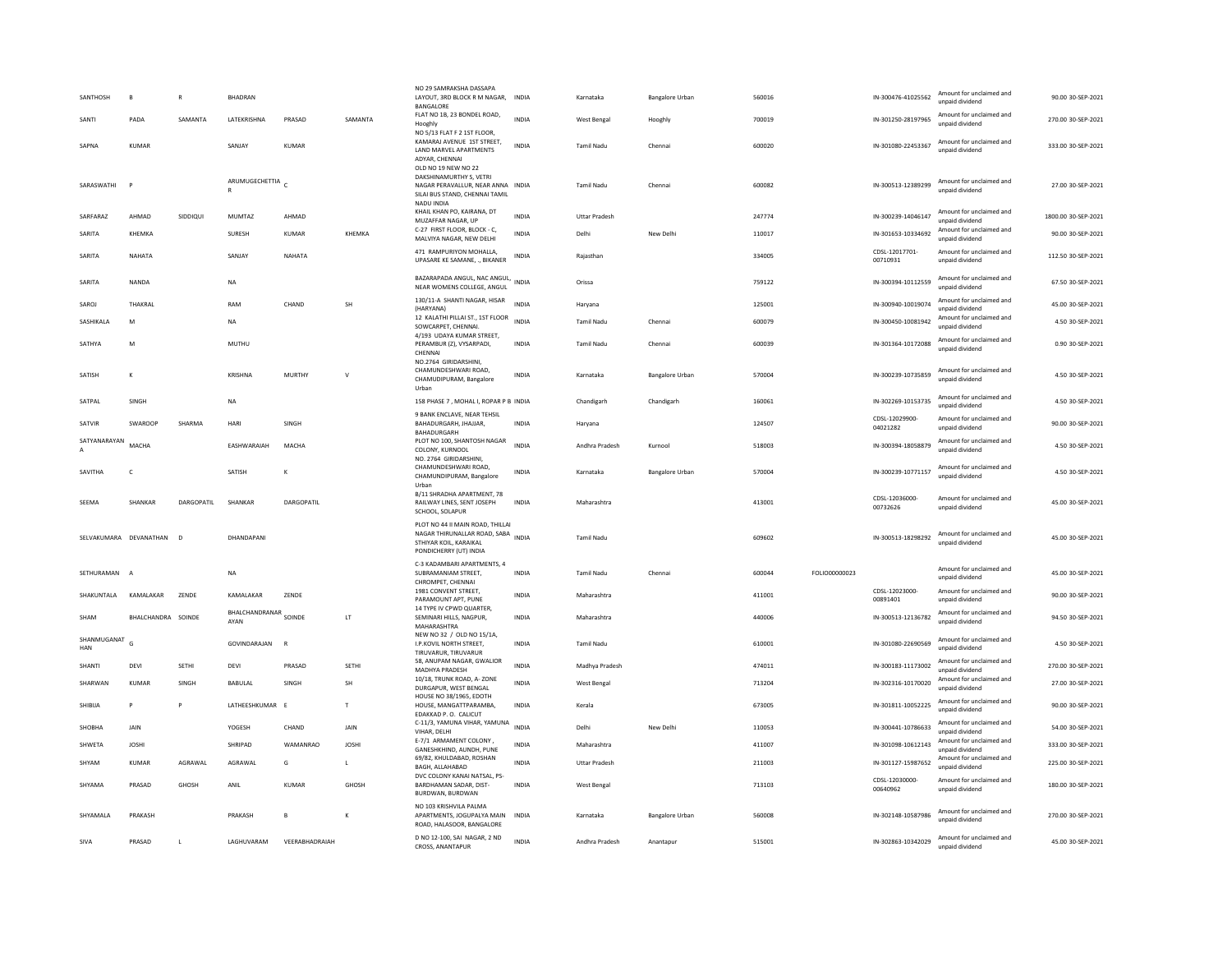| SANTHOSH             | B                        | $\mathbf R$ | <b>BHADRAN</b>                 |                |                      | NO 29 SAMRAKSHA DASSAPA<br>LAYOUT, 3RD BLOCK R M NAGAR, INDIA<br>BANGALORE                                                          |              | Karnataka            | <b>Bangalore Urban</b> | 560016 |               | IN-300476-41025562         | Amount for unclaimed and<br>unpaid dividend | 90.00 30-SEP-2021   |
|----------------------|--------------------------|-------------|--------------------------------|----------------|----------------------|-------------------------------------------------------------------------------------------------------------------------------------|--------------|----------------------|------------------------|--------|---------------|----------------------------|---------------------------------------------|---------------------|
| SANTI                | PADA                     | SAMANTA     | LATEKRISHNA                    | PRASAD         | SAMANTA              | FLAT NO 1B, 23 BONDEL ROAD,<br>Hooghly                                                                                              | <b>INDIA</b> | West Bengal          | Hooghly                | 700019 |               | IN-301250-28197965         | Amount for unclaimed and<br>unpaid dividend | 270.00 30-SEP-2021  |
| SAPNA                | <b>KUMAR</b>             |             | SANJAY                         | KUMAR          |                      | NO 5/13 FLAT F 2 1ST FLOOR.<br>KAMARAJ AVENUE 1ST STREET,<br>LAND MARVEL APARTMENTS<br>ADYAR, CHENNAI                               | <b>INDIA</b> | <b>Tamil Nadu</b>    | Chennai                | 600020 |               | IN-301080-22453367         | Amount for unclaimed and<br>unpaid dividend | 333.00 30-SEP-2021  |
| SARASWATHI           | P                        |             | ARUMUGECHETTIA<br>$\mathbb{R}$ |                |                      | OLD NO 19 NEW NO 22<br>DAKSHINAMURTHY S. VETRI<br>NAGAR PERAVALLUR, NEAR ANNA INDIA<br>SILAI BUS STAND, CHENNAI TAMIL<br>NADU INDIA |              | Tamil Nadu           | Chennai                | 600082 |               | IN-300513-12389299         | Amount for unclaimed and<br>unpaid dividend | 27.00 30-SEP-2021   |
| SARFARAZ             | AHMAD                    | SIDDIQUI    | MUMTAZ                         | AHMAD          |                      | KHAIL KHAN PO, KAIRANA, DT<br>MUZAFFAR NAGAR, UP                                                                                    | INDIA        | <b>Uttar Pradesh</b> |                        | 247774 |               | IN-300239-14046147         | Amount for unclaimed and<br>unpaid dividend | 1800.00 30-SEP-2021 |
| SARITA               | KHEMKA                   |             | SURESH                         | <b>KUMAR</b>   | KHFMKA               | C-27 FIRST FLOOR, BLOCK - C,<br>MALVIYA NAGAR, NEW DELHI                                                                            | <b>INDIA</b> | Delhi                | New Delhi              | 110017 |               | IN-301653-10334692         | Amount for unclaimed and<br>unpaid dividend | 90.00 30-SEP-2021   |
| SARITA               | NAHATA                   |             | SANIAY                         | NAHATA         |                      | 471 RAMPURIYON MOHALLA,<br>UPASARE KE SAMANE, ., BIKANER                                                                            | INDIA        | Rajasthan            |                        | 334005 |               | CDSL-12017701-<br>00710931 | Amount for unclaimed and<br>unpaid dividend | 112.50 30-SEP-2021  |
| SARITA               | NANDA                    |             | <b>NA</b>                      |                |                      | BAZARAPADA ANGUL, NAC ANGUL, INDIA<br>NEAR WOMENS COLLEGE, ANGUL                                                                    |              | Orissa               |                        | 759122 |               | IN-300394-10112559         | Amount for unclaimed and<br>unpaid dividend | 67.50 30-SEP-2021   |
| SAROJ                | THAKRAL                  |             | RAM                            | CHAND          | <b>SH</b>            | 130/11-A SHANTI NAGAR, HISAR<br>(HARYANA)                                                                                           | <b>INDIA</b> | Haryana              |                        | 125001 |               | IN-300940-10019074         | Amount for unclaimed and<br>unpaid dividend | 45.00 30-SEP-2021   |
| SASHIKALA            | M                        |             | <b>NA</b>                      |                |                      | 12 KALATHI PILLAI ST., 1ST FLOOR<br>SOWCARPET, CHENNAI.<br>4/193 UDAYA KUMAR STREET.                                                | <b>INDIA</b> | <b>Tamil Nadu</b>    | Chennai                | 600079 |               | IN-300450-10081942         | Amount for unclaimed and<br>unpaid dividend | 4.50 30-SEP-2021    |
| SATHYA               | ${\sf M}$                |             | MUTHU                          |                |                      | PERAMBUR (Z), VYSARPADI,<br>CHENNAI                                                                                                 | INDIA        | Tamil Nadu           | Chennai                | 600039 |               | IN-301364-10172088         | Amount for unclaimed and<br>unpaid dividend | 0.90 30-SEP-2021    |
| SATISH               | K                        |             | KRISHNA                        | MURTHY         | v                    | NO.2764 GIRIDARSHINI,<br>CHAMUNDESHWARI ROAD,<br>CHAMUDIPURAM, Bangalore<br>Urban                                                   | <b>INDIA</b> | Karnataka            | <b>Bangalore Urban</b> | 570004 |               | IN-300239-10735859         | Amount for unclaimed and<br>unpaid dividend | 4.50 30-SEP-2021    |
| SATPAL               | SINGH                    |             | <b>NA</b>                      |                |                      | 158 PHASE 7 . MOHAL I. ROPAR P B INDIA                                                                                              |              | Chandigarh           | Chandigarh             | 160061 |               | IN-302269-10153735         | Amount for unclaimed and<br>unpaid dividend | 4.50 30-SEP-2021    |
| SATVIR               | SWAROOP                  | SHARMA      | HARI                           | SINGH          |                      | 9 BANK ENCLAVE, NEAR TEHSIL<br>BAHADURGARH, JHAJJAR,<br>BAHADURGARH                                                                 | <b>INDIA</b> | Haryana              |                        | 124507 |               | CDSL-12029900-<br>04021282 | Amount for unclaimed and<br>unpaid dividend | 90.00 30-SEP-2021   |
| SATYANARAYAN         | <b>MACHA</b>             |             | EASHWARAIAH                    | MACHA          |                      | PLOT NO 100, SHANTOSH NAGAR<br>COLONY, KURNOOL<br>NO. 2764 GIRIDARSHINI                                                             | <b>INDIA</b> | Andhra Pradesh       | Kurnool                | 518003 |               | IN-300394-18058879         | Amount for unclaimed and<br>unpaid dividend | 4.50 30-SEP-2021    |
| SAVITHA              | C                        |             | SATISH                         | к              |                      | CHAMUNDESHWARI ROAD,<br>CHAMUNDIPURAM, Bangalore                                                                                    | INDIA        | Karnataka            | Bangalore Urban        | 570004 |               | IN-300239-10771157         | Amount for unclaimed and<br>unnaid dividend | 4.50 30-SEP-2021    |
| SEEMA                | SHANKAR                  | DARGOPATIL  | SHANKAR                        | DARGOPATIL     |                      | Urban<br>B/11 SHRADHA APARTMENT, 78<br>RAILWAY LINES, SENT JOSEPH<br>SCHOOL, SOLAPUR                                                | <b>INDIA</b> | Maharashtra          |                        | 413001 |               | CDSL-12036000-<br>00732626 | Amount for unclaimed and<br>unpaid dividend | 45.00 30-SEP-2021   |
|                      | SELVAKUMARA DEVANATHAN D |             | DHANDAPANI                     |                |                      | PLOT NO 44 II MAIN ROAD. THILLAI<br>NAGAR THIRUNALLAR ROAD, SABA<br>STHIYAR KOIL, KARAIKAL<br>PONDICHERRY (UT) INDIA                | <b>INDIA</b> | <b>Tamil Nadu</b>    |                        | 609602 |               | IN-300513-18298292         | Amount for unclaimed and<br>unpaid dividend | 45.00 30-SEP-2021   |
| SETHURAMAN           | $\overline{A}$           |             | <b>NA</b>                      |                |                      | C-3 KADAMBARI APARTMENTS, 4<br>SUBRAMANIAM STREET,<br>CHROMPET, CHENNAI                                                             | <b>INDIA</b> | <b>Tamil Nadu</b>    | Chennai                | 600044 | FOLIO00000023 |                            | Amount for unclaimed and<br>unpaid dividend | 45.00 30-SEP-2021   |
| SHAKUNTALA           | KAMALAKAR                | ZENDE       | KAMALAKAR                      | ZENDE          |                      | 1981 CONVENT STREET.<br>PARAMOUNT APT, PUNE                                                                                         | <b>INDIA</b> | Maharashtra          |                        | 411001 |               | CDSL-12023000-<br>00891401 | Amount for unclaimed and<br>unpaid dividend | 90.00 30-SEP-2021   |
| <b>SHAM</b>          | BHALCHANDRA SOINDE       |             | BHALCHANDRANAR SOINDE<br>AYAN  |                | $\mathsf{LT}\xspace$ | 14 TYPE IV CPWD QUARTER.<br>SEMINARI HILLS, NAGPUR,<br>MAHARASHTRA                                                                  | <b>INDIA</b> | Maharashtra          |                        | 440006 |               | IN-300513-12136782         | Amount for unclaimed and<br>unpaid dividend | 94.50 30-SEP-2021   |
| SHANMUGANAT G<br>HAN |                          |             | GOVINDARAJAN                   |                |                      | NEW NO 32 / OLD NO 15/1A,<br>I.P.KOVIL NORTH STREET,<br>TIRUVARUR, TIRUVARUR                                                        | <b>INDIA</b> | <b>Tamil Nadu</b>    |                        | 610001 |               | IN-301080-22690569         | Amount for unclaimed and<br>unpaid dividend | 4.50 30-SEP-2021    |
| SHANTI               | DEVI                     | SETHI       | DEVI                           | PRASAD         | <b>SETHI</b>         | 58, ANUPAM NAGAR, GWALIOR<br>MADHYA PRADESH                                                                                         | <b>INDIA</b> | Madhya Pradesh       |                        | 474011 |               | IN-300183-11173002         | Amount for unclaimed and<br>unpaid dividend | 270.00 30-SEP-2021  |
| SHARWAN              | KUMAR                    | SINGH       | <b>BABULAL</b>                 | <b>SINGH</b>   | <b>SH</b>            | 10/18. TRUNK ROAD, A-ZONE<br>DURGAPUR, WEST BENGAL                                                                                  | <b>INDIA</b> | West Bengal          |                        | 713204 |               | IN-302316-10170020         | Amount for unclaimed and<br>unpaid dividend | 27.00 30-SEP-2021   |
| SHIBIJA              | P                        | P           | LATHEESHKUMAR E                |                | $\mathsf{T}$         | HOUSE NO 38/1965, EDOTH<br>HOUSE, MANGATTPARAMBA.<br>EDAKKAD P. O. CALICUT                                                          | <b>INDIA</b> | Kerala               |                        | 673005 |               | IN-301811-10052225         | Amount for unclaimed and<br>unpaid dividend | 90.00 30-SEP-2021   |
| SHOBHA               | JAIN                     |             | YOGESH                         | CHAND          | JAIN                 | C-11/3, YAMUNA VIHAR, YAMUNA<br>VIHAR, DELHI                                                                                        | <b>INDIA</b> | Delhi                | New Delhi              | 110053 |               | IN-300441-10786633         | Amount for unclaimed and<br>unnaid dividend | 54.00 30-SEP-2021   |
| SHWETA               | <b>JOSHI</b>             |             | SHRIPAD                        | WAMANRAO       | JOSHI                | E-7/1 ARMAMENT COLONY,<br>GANESHKHIND, AUNDH, PUNE                                                                                  | INDIA        | Maharashtra          |                        | 411007 |               | IN-301098-10612143         | Amount for unclaimed and<br>unpaid dividend | 333.00 30-SEP-2021  |
| SHYAM                | <b>KUMAR</b>             | AGRAWAL     | AGRAWAL                        | G              | $\mathsf{L}$         | 69/82, KHULDABAD, ROSHAN<br><b>BAGH, ALLAHABAD</b>                                                                                  | <b>INDIA</b> | <b>Uttar Pradesh</b> |                        | 211003 |               | IN-301127-15987652         | Amount for unclaimed and<br>unpaid dividend | 225.00 30-SEP-2021  |
| SHYAMA               | PRASAD                   | GHOSH       | ANIL                           | <b>KUMAR</b>   | GHOSH                | DVC COLONY KANAI NATSAL, PS-<br>BARDHAMAN SADAR, DIST-<br>BURDWAN, BURDWAN                                                          | <b>INDIA</b> | West Bengal          |                        | 713103 |               | CDSI-12030000-<br>00640962 | Amount for unclaimed and<br>unpaid dividend | 180.00 30-SEP-2021  |
| SHYAMALA             | PRAKASH                  |             | PRAKASH                        | B              | К                    | NO 103 KRISHVILA PALMA<br>APARTMENTS, JOGUPALYA MAIN INDIA<br>ROAD, HALASOOR, BANGALORE                                             |              | Karnataka            | <b>Bangalore Urban</b> | 560008 |               | IN-302148-10587986         | Amount for unclaimed and<br>unpaid dividend | 270.00 30-SEP-2021  |
| SIVA                 | PRASAD                   | $\mathsf L$ | LAGHUVARAM                     | VEERABHADRAIAH |                      | D NO 12-100, SAI NAGAR, 2 ND<br><b>CROSS ANANTAPUR</b>                                                                              | <b>INDIA</b> | Andhra Pradesh       | Anantapur              | 515001 |               | IN-302863-10342029         | Amount for unclaimed and<br>unnaid dividend | 45.00 30-SEP-2021   |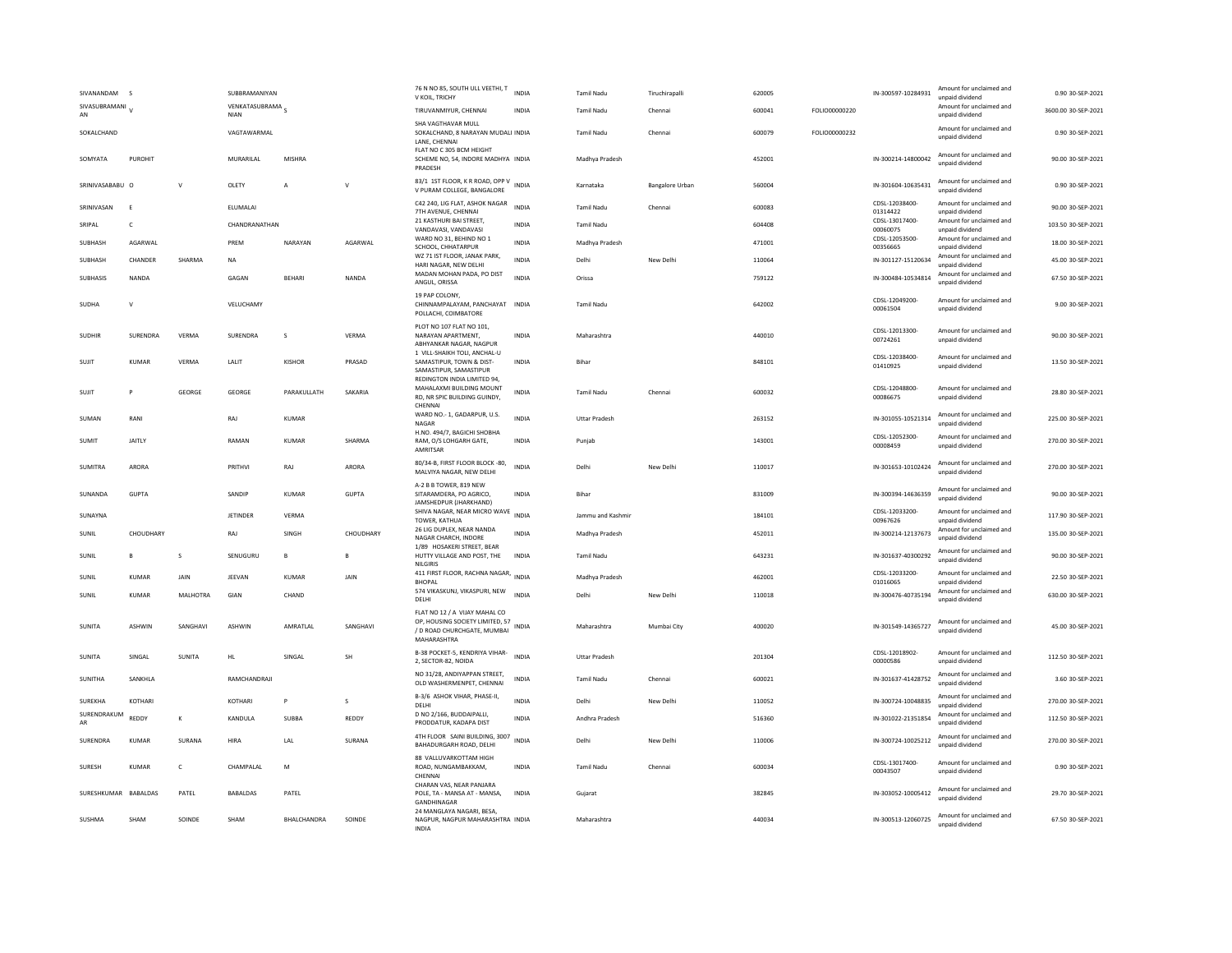| SIVANANDAM<br>$\sim$           |               | SUBBRAMANIYAN                   |                |              | 76 N NO 85, SOUTH ULL VEETHI, T<br>V KOIL, TRICHY                                                                 | <b>INDIA</b> | <b>Tamil Nadu</b>    | Tiruchirapalli         | 620005 |               | IN-300597-10284931         | Amount for unclaimed and<br>unpaid dividend | 0.90 30-SEP-2021    |
|--------------------------------|---------------|---------------------------------|----------------|--------------|-------------------------------------------------------------------------------------------------------------------|--------------|----------------------|------------------------|--------|---------------|----------------------------|---------------------------------------------|---------------------|
| SIVASUBRAMANI<br>AN            |               | VENKATASUBRAMA S<br><b>NIAN</b> |                |              | TIRUVANMIYUR, CHENNAI                                                                                             | <b>INDIA</b> | <b>Tamil Nadu</b>    | Chennai                | 600041 | FOLIO00000220 |                            | Amount for unclaimed and<br>unpaid dividend | 3600.00 30-SEP-2021 |
| SOKALCHAND                     |               | VAGTAWARMAL                     |                |              | SHA VAGTHAVAR MULL<br>SOKALCHAND, 8 NARAYAN MUDALI INDIA                                                          |              | <b>Tamil Nadu</b>    | Chennai                | 600079 | FOLIO00000232 |                            | Amount for unclaimed and<br>unpaid dividend | 0.90 30-SEP-2021    |
| SOMYATA<br>PUROHIT             |               | MURARILAL                       | MISHRA         |              | LANE, CHENNAI<br>FLAT NO C 305 BCM HEIGHT<br>SCHEME NO, 54, INDORE MADHYA INDIA<br>PRADESH                        |              | Madhya Pradesh       |                        | 452001 |               | IN-300214-14800042         | Amount for unclaimed and<br>unnaid dividend | 90.00 30-SEP-2021   |
| SRINIVASABABU O                | $\vee$        | OLETY                           | $\overline{A}$ | $\vee$       | 83/1 1ST FLOOR, K R ROAD, OPP V<br>V PURAM COLLEGE, BANGALORE                                                     | <b>INDIA</b> | Karnataka            | <b>Bangalore Urban</b> | 560004 |               | IN-301604-10635431         | Amount for unclaimed and<br>unpaid dividend | 0.90 30-SEP-2021    |
| SRINIVASAN<br>-F               |               | ELUMALAI                        |                |              | C42 240, LIG FLAT, ASHOK NAGAR<br>7TH AVENUE, CHENNAI                                                             | <b>INDIA</b> | <b>Tamil Nadu</b>    | Chennai                | 600083 |               | CDSL-12038400-<br>01314422 | Amount for unclaimed and<br>unpaid dividend | 90.00 30-SEP-2021   |
| SRIPAL<br>$\mathsf{C}$         |               | CHANDRANATHAN                   |                |              | 21 KASTHURI BAI STREET.<br>VANDAVASI, VANDAVASI                                                                   | INDIA        | Tamil Nadu           |                        | 604408 |               | CDSL-13017400-<br>00060075 | Amount for unclaimed and<br>unpaid dividend | 103.50 30-SEP-2021  |
| SUBHASH<br>AGARWAL             |               | PRFM                            | NARAYAN        | AGARWAL      | WARD NO 31, BEHIND NO 1<br>SCHOOL, CHHATARPUR                                                                     | <b>INDIA</b> | Madhya Pradesh       |                        | 471001 |               | CDSL-12053500-<br>00356665 | Amount for unclaimed and<br>unpaid dividend | 18.00 30-SEP-2021   |
| SUBHASH<br>CHANDER             | SHARMA        | NA                              |                |              | WZ 71 IST FLOOR, JANAK PARK,<br>HARI NAGAR, NEW DELHI                                                             | INDIA        | Delhi                | New Delhi              | 110064 |               | IN-301127-15120634         | Amount for unclaimed and<br>unpaid dividend | 45.00 30-SEP-2021   |
| NANDA<br><b>SUBHASIS</b>       |               | GAGAN                           | <b>BEHARI</b>  | <b>NANDA</b> | MADAN MOHAN PADA, PO DIST<br>ANGUL, ORISSA                                                                        | <b>INDIA</b> | Orissa               |                        | 759122 |               | IN-300484-10534814         | Amount for unclaimed and<br>unpaid dividend | 67.50 30-SEP-2021   |
|                                |               |                                 |                |              | 19 PAP COLONY.                                                                                                    |              |                      |                        |        |               |                            |                                             |                     |
| SUDHA<br>$\mathbf{v}$          |               | VELUCHAMY                       |                |              | CHINNAMPALAYAM, PANCHAYAT INDIA<br>POLLACHI, COIMBATORE                                                           |              | <b>Tamil Nadu</b>    |                        | 642002 |               | CDSL-12049200-<br>00061504 | Amount for unclaimed and<br>unpaid dividend | 9.00 30-SEP-2021    |
| <b>SUDHIR</b><br>SURENDRA      | VERMA         | SURENDRA                        | $\mathcal{S}$  | VERMA        | PLOT NO 107 FLAT NO 101.<br>NARAYAN APARTMENT,<br>ABHYANKAR NAGAR, NAGPUR                                         | INDIA        | Maharashtra          |                        | 440010 |               | CDSL-12013300-<br>00724261 | Amount for unclaimed and<br>unpaid dividend | 90.00 30-SEP-2021   |
| SUJIT<br><b>KUMAR</b>          | <b>VERMA</b>  | LALIT                           | <b>KISHOR</b>  | PRASAD       | 1 VILL-SHAIKH TOLI, ANCHAL-U<br>SAMASTIPUR, TOWN & DIST-<br>SAMASTIPUR, SAMASTIPUR<br>REDINGTON INDIA LIMITED 94, | <b>INDIA</b> | Bihar                |                        | 848101 |               | CDSL-12038400-<br>01410925 | Amount for unclaimed and<br>unpaid dividend | 13.50 30-SEP-2021   |
| SUJIT<br>P                     | GEORGE        | GEORGE                          | PARAKULLATH    | SAKARIA      | MAHALAXMI BUILDING MOUNT<br>RD, NR SPIC BUILDING GUINDY,<br>CHENNAI                                               | <b>INDIA</b> | <b>Tamil Nadu</b>    | Chennai                | 600032 |               | CDSL-12048800-<br>00086675 | Amount for unclaimed and<br>unpaid dividend | 28.80 30-SEP-2021   |
| RANI<br>SUMAN                  |               | RAI                             | KUMAR          |              | WARD NO.- 1, GADARPUR, U.S.<br>NAGAR                                                                              | <b>INDIA</b> | <b>Uttar Pradesh</b> |                        | 263152 |               | IN-301055-10521314         | Amount for unclaimed and<br>unpaid dividend | 225.00.30-SEP-2021  |
| JAITLY<br><b>SUMIT</b>         |               | RAMAN                           | <b>KUMAR</b>   | SHARMA       | H.NO. 494/7, BAGICHI SHOBHA<br>RAM, O/S LOHGARH GATE,<br>AMRITSAR                                                 | <b>INDIA</b> | Puniab               |                        | 143001 |               | CDSI-12052300-<br>00008459 | Amount for unclaimed and<br>unpaid dividend | 270.00 30-SEP-2021  |
| <b>SUMITRA</b><br>ARORA        |               | PRITHVI                         | RAJ            | ARORA        | 80/34-B, FIRST FLOOR BLOCK -80,<br>MALVIYA NAGAR, NEW DELHI                                                       | <b>INDIA</b> | Delhi                | New Delhi              | 110017 |               | IN-301653-10102424         | Amount for unclaimed and<br>unpaid dividend | 270.00 30-SEP-2021  |
| SUNANDA<br>GUPTA               |               | SANDIP                          | KUMAR          | GUPTA        | A-2 B B TOWER, 819 NEW<br>SITARAMDERA, PO AGRICO.<br>JAMSHEDPUR (JHARKHAND)                                       | <b>INDIA</b> | <b>Bihar</b>         |                        | 831009 |               | IN-300394-14636359         | Amount for unclaimed and<br>unpaid dividend | 90.00 30-SEP-2021   |
| SUNAYNA                        |               | <b>JETINDER</b>                 | <b>VERMA</b>   |              | SHIVA NAGAR, NEAR MICRO WAVE<br>TOWER, KATHUA                                                                     | <b>INDIA</b> | Jammu and Kashmir    |                        | 184101 |               | CDSL-12033200-<br>00967626 | Amount for unclaimed and<br>unpaid dividend | 117.90 30-SEP-2021  |
| CHOUDHARY<br>SUNIL             |               | RAJ                             | SINGH          | CHOUDHARY    | 26 LIG DUPLEX, NEAR NANDA<br>NAGAR CHARCH, INDORE                                                                 | <b>INDIA</b> | Madhya Pradesh       |                        | 452011 |               | IN-300214-12137673         | Amount for unclaimed and<br>unpaid dividend | 135.00 30-SEP-2021  |
| SUNIL<br>B                     | s             | SENUGURU                        | в              | B            | 1/89 HOSAKERI STREET, BEAR<br>HUTTY VILLAGE AND POST, THE<br>NILGIRIS                                             | <b>INDIA</b> | <b>Tamil Nadu</b>    |                        | 643231 |               | IN-301637-40300292         | Amount for unclaimed and<br>unpaid dividend | 90.00 30-SEP-2021   |
| SUNIL<br><b>KUMAR</b>          | JAIN          | JEEVAN                          | <b>KUMAR</b>   | <b>JAIN</b>  | 411 FIRST FLOOR, RACHNA NAGAR,<br><b>BHOPAL</b>                                                                   | <b>INDIA</b> | Madhya Pradesh       |                        | 462001 |               | CDSL-12033200-<br>01016065 | Amount for unclaimed and<br>unpaid dividend | 22.50 30-SEP-2021   |
| SUNIL<br><b>KUMAR</b>          | MALHOTRA      | GIAN                            | CHAND          |              | 574 VIKASKUNJ, VIKASPURI, NEW<br>DELHI                                                                            | <b>INDIA</b> | Delhi                | New Delhi              | 110018 |               | IN-300476-40735194         | Amount for unclaimed and<br>unpaid dividend | 630.00 30-SEP-2021  |
| <b>SUNITA</b><br><b>ASHWIN</b> | SANGHAVI      | <b>ASHWIN</b>                   | AMRATLAL       | SANGHAVI     | FLAT NO 12 / A VIJAY MAHAL CO<br>OP. HOUSING SOCIETY LIMITED, 57<br>/ D ROAD CHURCHGATE, MUMBAI<br>MAHARASHTRA    | <b>INDIA</b> | Maharashtra          | Mumbai City            | 400020 |               | IN-301549-14365727         | Amount for unclaimed and<br>unpaid dividend | 45.00 30-SEP-2021   |
| SUNITA<br>SINGAL               | <b>SUNITA</b> | <b>HL</b>                       | SINGAL         | <b>SH</b>    | B-38 POCKET-5, KENDRIYA VIHAR-<br>2. SECTOR-82, NOIDA                                                             | <b>INDIA</b> | <b>Uttar Pradesh</b> |                        | 201304 |               | CDSL-12018902-<br>00000586 | Amount for unclaimed and<br>unpaid dividend | 112.50 30-SEP-2021  |
| SANKHLA<br><b>SUNITHA</b>      |               | RAMCHANDRAJI                    |                |              | NO 31/28, ANDIYAPPAN STREET,<br>OLD WASHERMENPET, CHENNAI                                                         | <b>INDIA</b> | <b>Tamil Nadu</b>    | Chennai                | 600021 |               | IN-301637-41428752         | Amount for unclaimed and<br>unpaid dividend | 3.60 30-SEP-2021    |
| SUREKHA<br>KOTHARI             |               | KOTHARI                         | P              | s            | B-3/6 ASHOK VIHAR, PHASE-II,<br>DELHI                                                                             | <b>INDIA</b> | Delhi                | New Delhi              | 110052 |               | IN-300724-10048835         | Amount for unclaimed and<br>unpaid dividend | 270.00 30-SEP-2021  |
| SURENDRAKUM<br>REDDY<br>AR     | $\mathsf{K}$  | KANDULA                         | <b>SUBBA</b>   | REDDY        | D NO 2/166, BUDDAIPALLI,<br>PRODDATUR, KADAPA DIST                                                                | <b>INDIA</b> | Andhra Pradesh       |                        | 516360 |               | IN-301022-21351854         | Amount for unclaimed and<br>unpaid dividend | 112.50 30-SEP-2021  |
| SURENDRA<br><b>KUMAR</b>       | SURANA        | HIRA                            | LAL            | SURANA       | 4TH FLOOR SAINI BUILDING, 3007<br>BAHADURGARH ROAD, DELHI                                                         | <b>INDIA</b> | Delhi                | New Delhi              | 110006 |               | IN-300724-10025212         | Amount for unclaimed and<br>unpaid dividend | 270.00 30-SEP-2021  |
| SURESH<br><b>KUMAR</b>         | $\mathsf{C}$  | CHAMPALAL                       | M              |              | 88 VALLUVARKOTTAM HIGH<br>ROAD, NUNGAMBAKKAM.<br>CHENNA                                                           | <b>INDIA</b> | <b>Tamil Nadu</b>    | Chennai                | 600034 |               | CDSI-13017400-<br>00043507 | Amount for unclaimed and<br>unpaid dividend | 0.90 30-SEP-2021    |
| SURESHKUMAR BABALDAS           | PATEL         | <b>BABALDAS</b>                 | PATEL          |              | CHARAN VAS, NEAR PANJARA<br>POLE, TA - MANSA AT - MANSA,<br>GANDHINAGAR                                           | <b>INDIA</b> | Gujarat              |                        | 382845 |               | IN-303052-10005412         | Amount for unclaimed and<br>unpaid dividend | 29.70 30-SEP-2021   |
| SUSHMA<br>SHAM                 | SOINDE        | SHAM                            | BHALCHANDRA    | SOINDE       | 24 MANGLAYA NAGARI, BESA,<br>NAGPUR, NAGPUR MAHARASHTRA INDIA<br><b>INDIA</b>                                     |              | Maharashtra          |                        | 440034 |               | IN-300513-12060725         | Amount for unclaimed and<br>unpaid dividend | 67.50 30-SEP-2021   |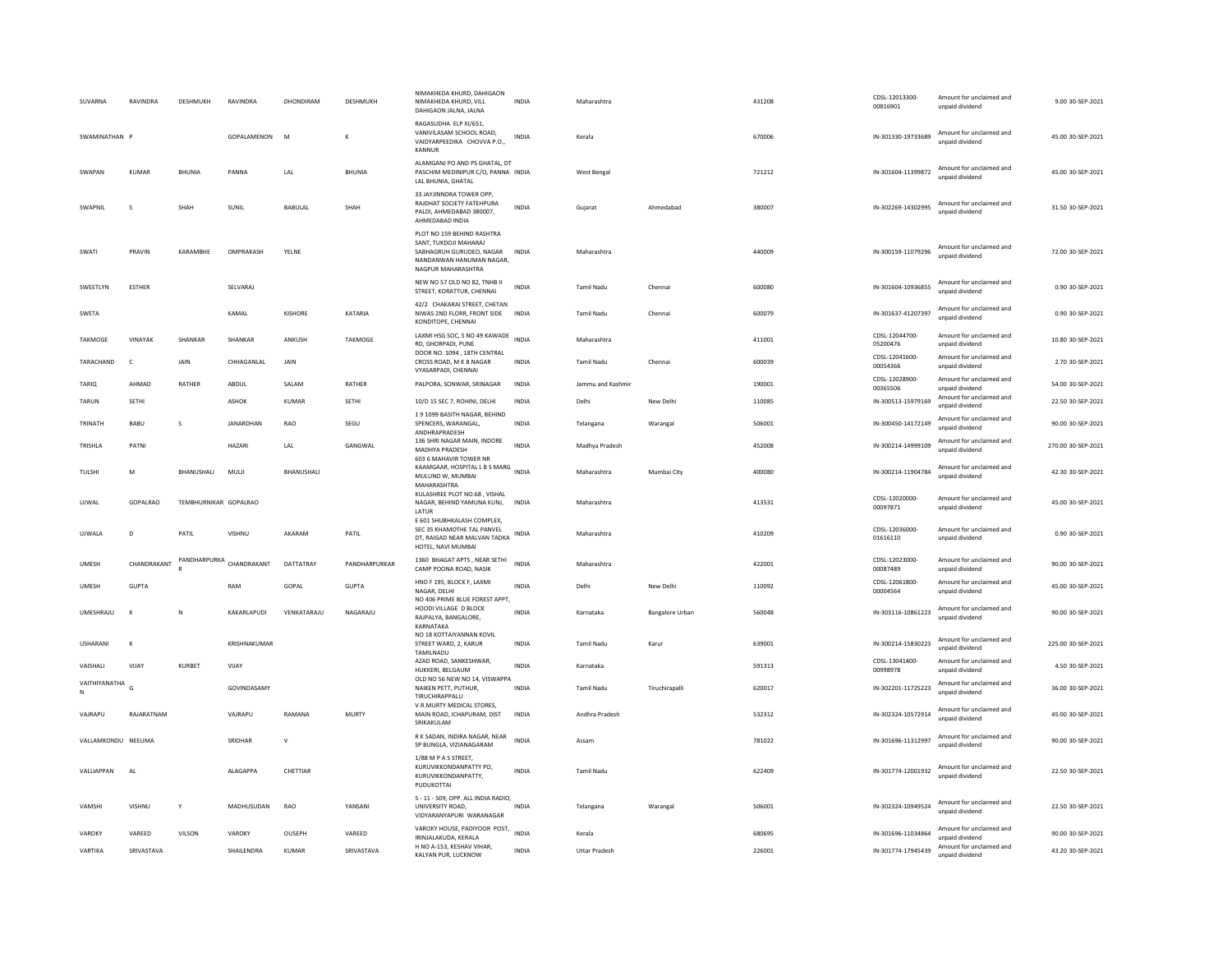| SUVARNA             | RAVINDRA      | DESHMUKH              | RAVINDRA                 | DHONDIRAM      | DESHMUKH       | NIMAKHEDA KHURD, DAHIGAON<br>NIMAKHEDA KHURD, VILL<br>DAHIGAON JALNA, JALNA                                                       | <b>INDIA</b> | Maharashtra          |                 | 431208 | CDSL-12013300-<br>00816901 | Amount for unclaimed and<br>unpaid dividend | 9.00 30-SEP-2021   |
|---------------------|---------------|-----------------------|--------------------------|----------------|----------------|-----------------------------------------------------------------------------------------------------------------------------------|--------------|----------------------|-----------------|--------|----------------------------|---------------------------------------------|--------------------|
| SWAMINATHAN P       |               |                       | GOPALAMENON              | M              |                | RAGASUDHA FLP XI/651<br>VANIVILASAM SCHOOL ROAD,<br>VAIDYARPEEDIKA CHOVVA P.O.,<br>KANNUR                                         | INDIA        | Kerala               |                 | 670006 | IN-301330-19733689         | Amount for unclaimed and<br>unnaid dividend | 45.00 30-SEP-2021  |
| SWAPAN              | <b>KUMAR</b>  | <b>BHUNIA</b>         | PANNA                    | LAL            | <b>BHUNIA</b>  | ALAMGANJ PO AND PS GHATAL, DT<br>PASCHIM MEDINIPUR C/O. PANNA INDIA<br>LAL BHUNIA, GHATAL                                         |              | West Bengal          |                 | 721212 | IN-301604-11399872         | Amount for unclaimed and<br>unpaid dividend | 45.00 30-SEP-2021  |
| SWAPNIL             | s             | SHAH                  | SUNIL                    | <b>BABULAL</b> | SHAH           | 33 JAYJINNDRA TOWER OPP,<br>RAIDHAT SOCIETY FATEHPURA<br>PALDI, AHMEDABAD 380007.<br>AHMEDABAD INDIA                              | <b>INDIA</b> | Gujarat              | Ahmedabad       | 380007 | IN-302269-14302995         | Amount for unclaimed and<br>unpaid dividend | 31.50 30-SEP-2021  |
| SWATI               | PRAVIN        | KARAMBHE              | OMPRAKASH                | YELNE          |                | PLOT NO 159 BEHIND RASHTRA<br>SANT, TUKDOJI MAHARAJ<br>SABHAGRUH GURUDEO, NAGAR<br>NANDANWAN HANUMAN NAGAR.<br>NAGPUR MAHARASHTRA | <b>INDIA</b> | Maharashtra          |                 | 440009 | IN-300159-11079296         | Amount for unclaimed and<br>unpaid dividend | 72.00 30-SEP-2021  |
| SWEETLYN            | <b>ESTHER</b> |                       | SELVARAJ                 |                |                | NEW NO 57 OLD NO 82, TNHB II<br>STREET, KORATTUR, CHENNAI                                                                         | <b>INDIA</b> | <b>Tamil Nadu</b>    | Chenna          | 600080 | IN-301604-10936855         | Amount for unclaimed and<br>unnaid dividend | 0.90 30-SEP-2021   |
| SWETA               |               |                       | KAMAL                    | KISHORE        | KATARIA        | 42/2 CHAKARAI STREET, CHETAN<br>NIWAS 2ND FLORR, FRONT SIDE<br>KONDITOPE, CHENNAI                                                 | <b>INDIA</b> | Tamil Nadu           | Chennai         | 600079 | IN-301637-41207397         | Amount for unclaimed and<br>unpaid dividend | 0.90 30-SEP-2021   |
| <b>TAKMOGE</b>      | VINAYAK       | SHANKAR               | SHANKAR                  | ANKUSH         | <b>TAKMOGE</b> | LAXMI HSG SOC, S NO 49 KAWADE<br>RD, GHORPADI, PUNE                                                                               | <b>INDIA</b> | Maharashtra          |                 | 411001 | CDSL-12044700-<br>05200476 | Amount for unclaimed and<br>unpaid dividend | 10.80 30-SEP-2021  |
| TARACHAND           | $\mathsf{C}$  | JAIN                  | CHHAGANLAL               | JAIN           |                | DOOR NO. 1094, 18TH CENTRAL<br>CROSS ROAD. M K B NAGAR<br>VYASARPADI, CHENNAI                                                     | <b>INDIA</b> | <b>Tamil Nadu</b>    | Chennai         | 600039 | CDSL-12041600-<br>00054366 | Amount for unclaimed and<br>unpaid dividend | 2.70 30-SEP-2021   |
| <b>TARIQ</b>        | AHMAD         | RATHER                | ABDUL                    | SALAM          | RATHER         | PALPORA, SONWAR, SRINAGAR                                                                                                         | <b>INDIA</b> | Jammu and Kashmir    |                 | 190001 | CDSL-12028900-<br>00365506 | Amount for unclaimed and<br>unpaid dividend | 54.00 30-SEP-2021  |
| <b>TARUN</b>        | SETHI         |                       | <b>ASHOK</b>             | KUMAR          | <b>SETHI</b>   | 10/D 15 SEC 7, ROHINI, DELHI                                                                                                      | <b>INDIA</b> | Delhi                | New Delhi       | 110085 | IN-300513-15979169         | Amount for unclaimed and<br>unpaid dividend | 22.50 30-SEP-2021  |
| TRINATH             | BABU          | s                     | JANARDHAN                | <b>RAO</b>     | SEGU           | 1 9 1099 BASITH NAGAR, BEHIND<br>SPENCERS, WARANGAL,<br>ANDHRAPRADESH                                                             | <b>INDIA</b> | Telangana            | Warangal        | 506001 | IN-300450-14172149         | Amount for unclaimed and<br>unpaid dividend | 90.00 30-SEP-2021  |
| TRISHLA             | PATNI         |                       | HAZARI                   | LAL            | GANGWAL        | 136 SHRI NAGAR MAIN, INDORE<br>MADHYA PRADESH                                                                                     | <b>INDIA</b> | Madhya Pradesh       |                 | 452008 | IN-300214-14999109         | Amount for unclaimed and<br>unpaid dividend | 270.00 30-SEP-2021 |
| TULSHI              | M             | BHANUSHALI            | MULJI                    | BHANUSHALI     |                | 603 6 MAHAVIR TOWER NR<br>KAAMGAAR, HOSPITAL L B S MARG INDIA<br>MULUND W, MUMBAI<br>MAHARASHTRA                                  |              | Maharashtra          | Mumbai City     | 400080 | IN-300214-11904784         | Amount for unclaimed and<br>unpaid dividend | 42.30 30-SEP-2021  |
| UJWAL               | GOPALRAO      | TEMBHURNIKAR GOPALRAO |                          |                |                | KULASHREE PLOT NO.68 VISHAL<br>NAGAR, BEHIND YAMUNA KUNJ,<br>LATUR                                                                | INDIA        | Maharashtra          |                 | 413531 | CDSL-12020000-<br>00097871 | Amount for unclaimed and<br>unnaid dividend | 45.00 30-SEP-2021  |
| UJWALA              | D             | PATIL                 | VISHNU                   | AKARAM         | PATIL          | E 601 SHUBHKALASH COMPLEX,<br>SEC 35 KHAMOTHE TAL PANVEL<br>DT, RAIGAD NEAR MALVAN TADKA<br>HOTEL, NAVI MUMBAI                    | INDIA        | Maharashtra          |                 | 410209 | CDSL-12036000-<br>01616110 | Amount for unclaimed and<br>unnaid dividend | 0.90 30-SEP-2021   |
| <b>UMESH</b>        | CHANDRAKANT   |                       | PANDHARPURKA CHANDRAKANT | DATTATRAY      | PANDHARPURKAR  | 1360 BHAGAT APTS, NEAR SETHI<br>CAMP POONA ROAD, NASIK                                                                            | <b>INDIA</b> | Maharashtra          |                 | 422001 | CDSL-12023000-<br>00087489 | Amount for unclaimed and<br>unnaid dividend | 90.00 30-SEP-2021  |
| <b>UMESH</b>        | <b>GUPTA</b>  |                       | RAM                      | GOPAL          | <b>GUPTA</b>   | HNO F 195, BLOCK F, LAXMI<br>NAGAR, DELHI<br>NO 406 PRIME BLUE FOREST APPT.                                                       | <b>INDIA</b> | Delhi                | New Delhi       | 110092 | CDSL-12061800-<br>00004564 | Amount for unclaimed and<br>unpaid dividend | 45.00 30-SEP-2021  |
| UMFSHRAIU           | К             | N                     | KAKARI APUDI             | VENKATARAILI   | NAGARAIU       | HOODI VILLAGE D BLOCK<br>RAJPALYA, BANGALORE.<br>KARNATAKA                                                                        | <b>INDIA</b> | Karnataka            | Bangalore Urban | 560048 | IN-303116-10861223         | Amount for unclaimed and<br>unpaid dividend | 90.00 30-SEP-2021  |
| <b>USHARANI</b>     | К             |                       | KRISHNAKLIMAR            |                |                | NO 18 KOTTAIYANNAN KOVIL<br>STREET WARD, 2, KARUR<br>TAMILNADU                                                                    | <b>INDIA</b> | <b>Tamil Nadu</b>    | Karur           | 639001 | IN-300214-15830223         | Amount for unclaimed and<br>unpaid dividend | 225.00 30-SEP-2021 |
| VAISHALI            | VIJAY         | KURBET                | VIJAY                    |                |                | AZAD ROAD, SANKESHWAR,<br>HUKKERI, BELGAUM                                                                                        | <b>INDIA</b> | Karnataka            |                 | 591313 | CDSL-13041400-<br>00998978 | Amount for unclaimed and<br>unpaid dividend | 4.50 30-SEP-2021   |
| VAITHIYANATHA<br>N  | G             |                       | GOVINDASAMY              |                |                | OLD NO 56 NEW NO 14, VISWAPPA<br>NAIKEN PETT, PUTHUR,<br>TIRUCHIRAPPALLI                                                          | <b>INDIA</b> | <b>Tamil Nadu</b>    | Tiruchirapalli  | 620017 | IN-302201-11725223         | Amount for unclaimed and<br>unpaid dividend | 36.00 30-SEP-2021  |
| VAJRAPU             | RAJARATNAM    |                       | VAJRAPU                  | RAMANA         | MURTY          | V.R.MURTY MEDICAL STORES.<br>MAIN ROAD, ICHAPURAM, DIST<br>SRIKAKULAM                                                             | INDIA        | Andhra Pradesh       |                 | 532312 | IN-302324-10572914         | Amount for unclaimed and<br>unpaid dividend | 45.00 30-SEP-2021  |
| VALLAMKONDU NEELIMA |               |                       | SRIDHAF                  | $\vee$         |                | R K SADAN, INDIRA NAGAR, NEAR<br>SP BUNGLA, VIZIANAGARAM                                                                          | <b>INDIA</b> | Assam                |                 | 781022 | IN-301696-11312997         | Amount for unclaimed and<br>unpaid dividend | 90.00 30-SEP-2021  |
| VALLIAPPAN          | AL            |                       | ALAGAPPA                 | CHETTIAR       |                | 1/88 M P A S STREET,<br>KURUVIKKONDANPATTY PO,<br>KURUVIKKONDANPATTY,<br>PUDUKOTTAI                                               | INDIA        | Tamil Nadu           |                 | 622409 | IN-301774-12001932         | Amount for unclaimed and<br>unpaid dividend | 22.50 30-SEP-2021  |
| VAMSHI              | VISHNU        | Y                     | MADHUSUDAN               | RAO            | YANSANI        | 5 - 11 - 509, OPP. ALL INDIA RADIO,<br>UNIVERSITY ROAD.<br>VIDYARANYAPURI WARANAGAR                                               | <b>INDIA</b> | Telangana            | Warangal        | 506001 | IN-302324-10949524         | Amount for unclaimed and<br>unpaid dividend | 22.50 30-SEP-2021  |
| VAROKY              | VAREED        | VILSON                | VAROKY                   | OUSEPH         | VAREED         | VAROKY HOUSE, PADIYOOR POST,<br>IRINJALAKUDA, KERALA                                                                              | <b>INDIA</b> | Kerala               |                 | 680695 | IN-301696-11034864         | Amount for unclaimed and<br>unpaid dividend | 90.00 30-SEP-2021  |
| VARTIKA             | SRIVASTAVA    |                       | SHAILENDRA               | KUMAR          | SRIVASTAVA     | H NO A-153, KESHAV VIHAR.<br>KALYAN PUR, LUCKNOW                                                                                  | <b>INDIA</b> | <b>Uttar Pradesh</b> |                 | 226001 | IN-301774-17945439         | Amount for unclaimed and<br>unpaid dividend | 43.20 30-SEP-2021  |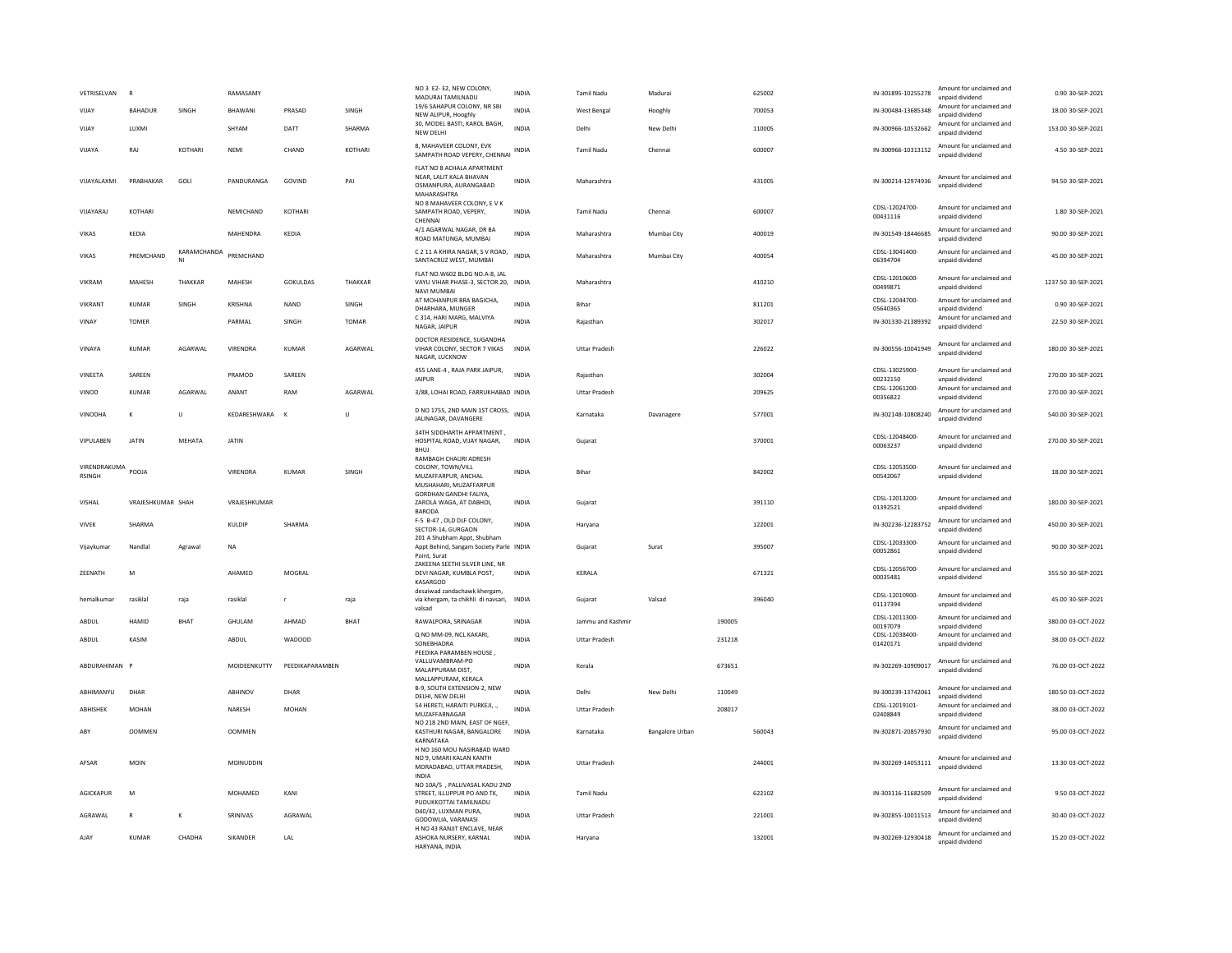| VETRISELVAN                   | B                 |                   | RAMASAMY         |                 |              | NO 3 E2-E2, NEW COLONY,<br>MADURAI TAMILNADU                                                  | <b>INDIA</b> | <b>Tamil Nadu</b>    | Madurai         |        | 625002 | IN-301895-10255278         | Amount for unclaimed and<br>unpaid dividend | 0.90 30-SEP-2021    |
|-------------------------------|-------------------|-------------------|------------------|-----------------|--------------|-----------------------------------------------------------------------------------------------|--------------|----------------------|-----------------|--------|--------|----------------------------|---------------------------------------------|---------------------|
| VIJAY                         | <b>BAHADUR</b>    | SINGH             | BHAWANI          | PRASAD          | SINGH        | 19/6 SAHAPUR COLONY, NR SBI<br>NEW ALIPUR, Hooghly                                            | <b>INDIA</b> | <b>West Bengal</b>   | Hooghly         |        | 700053 | IN-300484-13685348         | Amount for unclaimed and<br>unpaid dividend | 18.00 30-SEP-2021   |
| VIJAY                         | LUXMI             |                   | SHYAM            | DATT            | SHARMA       | 30, MODEL BASTI, KAROL BAGH,<br>NEW DELHI                                                     | <b>INDIA</b> | Delhi                | New Delhi       |        | 110005 | IN-300966-10532662         | Amount for unclaimed and<br>unpaid dividend | 153.00 30-SEP-2021  |
| VIJAYA                        | RAJ               | KOTHARI           | NEMI             | CHAND           | KOTHARI      | 8, MAHAVEER COLONY, EVK<br>SAMPATH ROAD VEPERY, CHENNAI INDIA                                 |              | Tamil Nadu           | Chennai         |        | 600007 | IN-300966-10313152         | Amount for unclaimed and<br>unpaid dividend | 4.50 30-SEP-2021    |
| VIJAYALAXMI                   | PRABHAKAR         | GOLI              | PANDURANGA       | GOVIND          | PAI          | FLAT NO 8 ACHALA APARTMENT<br>NEAR, LALIT KALA BHAVAN<br>OSMANPURA, AURANGABAD<br>MAHARASHTRA | INDIA        | Maharashtra          |                 |        | 431005 | IN-300214-12974936         | Amount for unclaimed and<br>unpaid dividend | 94.50 30-SEP-2021   |
| VIJAYARAJ                     | KOTHARI           |                   | NEMICHAND        | KOTHARI         |              | NO 8 MAHAVEER COLONY, E V K<br>SAMPATH ROAD, VEPERY,<br>CHENNAL                               | INDIA        | Tamil Nadu           | Chennai         |        | 600007 | CDSL-12024700-<br>00431116 | Amount for unclaimed and<br>unpaid dividend | 1.80 30-SEP-2021    |
| <b>VIKAS</b>                  | KEDIA             |                   | MAHENDRA         | KFDIA           |              | 4/1 AGARWAL NAGAR, DR BA<br>ROAD MATUNGA, MUMBAI                                              | <b>INDIA</b> | Maharashtra          | Mumbai City     |        | 400019 | IN-301549-18446685         | Amount for unclaimed and<br>unpaid dividend | 90.00 30-SEP-2021   |
| <b>VIKAS</b>                  | PREMCHAND         | KARAMCHANDA<br>NI | PREMCHAND        |                 |              | C 2 11 A KHIRA NAGAR, S V ROAD,<br>SANTACRUZ WEST, MUMBAI                                     | <b>INDIA</b> | Maharashtra          | Mumbai City     |        | 400054 | CDSL-13041400-<br>06394704 | Amount for unclaimed and<br>unpaid dividend | 45.00 30-SEP-2021   |
| VIKRAM                        | MAHESH            | THAKKAR           | MAHESH           | <b>GOKULDAS</b> | THAKKAR      | FLAT NO.W602 BLDG NO.A-8, JAL<br>VAYU VIHAR PHASE-3, SECTOR.20, INDIA<br><b>NAVI MUMBAI</b>   |              | Maharashtra          |                 |        | 410210 | CDSL-12010600-<br>00499871 | Amount for unclaimed and<br>unpaid dividend | 1237.50 30-SEP-2021 |
| VIKRANT                       | <b>KUMAR</b>      | SINGH             | KRISHNA          | <b>NAND</b>     | SINGH        | AT MOHANPUR BRA BAGICHA,<br>DHARHARA, MUNGER                                                  | INDIA        | Bihar                |                 |        | 811201 | CDSL-12044700-<br>05640365 | Amount for unclaimed and<br>unpaid dividend | 0.90 30-SEP-2021    |
| VINAY                         | <b>TOMER</b>      |                   | PARMAL           | SINGH           | <b>TOMAR</b> | C 314, HARI MARG, MALVIYA<br>NAGAR, JAIPUR                                                    | <b>INDIA</b> | Rajasthan            |                 |        | 302017 | IN-301330-21389392         | Amount for unclaimed and<br>unpaid dividend | 22.50 30-SEP-2021   |
| VINAYA                        | <b>KUMAR</b>      | AGARWAL           | VIRENDRA         | <b>KUMAR</b>    | AGARWAL      | DOCTOR RESIDENCE, SUGANDHA<br>VIHAR COLONY, SECTOR 7 VIKAS<br>NAGAR, LUCKNOW                  | <b>INDIA</b> | <b>Uttar Pradesh</b> |                 |        | 226022 | IN-300556-10041949         | Amount for unclaimed and<br>unpaid dividend | 180.00 30-SEP-2021  |
| VINEETA                       | SAREEN            |                   | PRAMOD           | SAREEN          |              | 455 LANE-4, RAJA PARK JAIPUR,<br><b>JAIPUR</b>                                                | <b>INDIA</b> | Rajasthan            |                 |        | 302004 | CDSL-13025900-<br>00232150 | Amount for unclaimed and<br>unpaid dividend | 270.00 30-SEP-2021  |
| VINOD                         | <b>KUMAR</b>      | AGARWAL           | ANANT            | RAM             | AGARWAL      | 3/88, LOHAI ROAD, FARRUKHABAD INDIA                                                           |              | Uttar Pradesh        |                 |        | 209625 | CDSL-12061200-<br>00356822 | Amount for unclaimed and<br>unpaid dividend | 270.00 30-SEP-2021  |
| VINODHA                       | К                 | U                 | KEDARESHWARA     | $\mathsf{K}$    | $\cup$       | D NO 1755, 2ND MAIN 1ST CROSS,<br>JALINAGAR, DAVANGERE                                        | <b>INDIA</b> | Karnataka            | Davanagere      |        | 577001 | IN-302148-10808240         | Amount for unclaimed and<br>unpaid dividend | 540.00 30-SEP-2021  |
| <b>VIPULAREN</b>              | <b>JATIN</b>      | MFHATA            | <b>JATIN</b>     |                 |              | 34TH SIDDHARTH APPARTMENT.<br>HOSPITAL ROAD, VIJAY NAGAR,<br><b>BHUJ</b>                      | INDIA        | Gujarat              |                 |        | 370001 | CDSL-12048400-<br>00063237 | Amount for unclaimed and<br>unpaid dividend | 270.00 30-SEP-2021  |
| VIRENDRAKUMA<br><b>RSINGH</b> | POOJA             |                   | VIRENDRA         | <b>KUMAR</b>    | SINGH        | RAMBAGH CHAURI ADRESH<br>COLONY, TOWN/VILL<br>MUZAFFARPUR, ANCHAL<br>MUSHAHARI, MUZAFFARPUR   | INDIA        | Bihar                |                 |        | 842002 | CDSL-12053500-<br>00542067 | Amount for unclaimed and<br>unpaid dividend | 18.00 30-SEP-2021   |
| VISHAL                        | VRAJESHKUMAR SHAH |                   | VRAJESHKUMAR     |                 |              | GORDHAN GANDHI FALIYA.<br>ZAROLA WAGA, AT DABHOI,<br>BARODA                                   | INDIA        | Gujarat              |                 |        | 391110 | CDSL-12013200-<br>01392521 | Amount for unclaimed and<br>unpaid dividend | 180.00 30-SEP-2021  |
| <b>VIVEK</b>                  | SHARMA            |                   | KULDIP           | SHARMA          |              | F-5 B-47, OLD DLF COLONY,<br>SECTOR-14, GURGAON                                               | <b>INDIA</b> | Haryana              |                 |        | 122001 | IN-302236-12283752         | Amount for unclaimed and<br>unpaid dividend | 450.00 30-SEP-2021  |
| Vijaykumar                    | Nandlal           | Agrawal           | <b>NA</b>        |                 |              | 201 A Shubham Appt, Shubham<br>Appt Behind, Sangam Society Parle INDIA<br>Point, Surat        |              | Gujarat              | Surat           |        | 395007 | CDSL-12033300-<br>00052861 | Amount for unclaimed and<br>unpaid dividend | 90.00 30-SEP-2021   |
| <b>7FFNATH</b>                | M                 |                   | AHAMED           | MOGRAI          |              | ZAKEENA SEETHI SILVER LINE, NR<br>DEVI NAGAR, KUMBLA POST,<br>KASARGOD                        | <b>INDIA</b> | <b>KFRAIA</b>        |                 |        | 671321 | CDSL-12056700-<br>00035481 | Amount for unclaimed and<br>unpaid dividend | 355.50 30-SEP-2021  |
| hemalkuma                     | rasiklal          | raja              | rasiklal         |                 | raja         | desaiwad zandachawk khergam,<br>via khergam, ta chikhli di navsari,                           | INDIA        | Gujarat              | Valsad          |        | 396040 | CDSL-12010900-<br>01137394 | Amount for unclaimed and<br>unpaid dividend | 45.00 30-SEP-2021   |
| ABDUL                         | <b>HAMID</b>      | <b>BHAT</b>       | GHULAM           | AHMAD           | <b>BHAT</b>  | valsad<br>RAWALPORA, SRINAGAR                                                                 | <b>INDIA</b> | Jammu and Kashmir    |                 | 190005 |        | CDSL-12011300-<br>00197079 | Amount for unclaimed and<br>unpaid dividend | 380.00 03-OCT-2022  |
| ABDUL                         | KASIM             |                   | ABDUL            | <b>WADOOD</b>   |              | Q NO MM-09, NCL KAKARI,<br>SONEBHADRA<br>PEEDIKA PARAMBEN HOUSE,                              | <b>INDIA</b> | <b>Uttar Pradesh</b> |                 | 231218 |        | CDSL-12038400-<br>01420171 | Amount for unclaimed and<br>unpaid dividend | 38.00 03-OCT-2022   |
| ABDURAHIMAN P                 |                   |                   | MOIDEENKUTTY     | PEEDIKAPARAMBEN |              | VALLUVAMBRAM-PO<br>MALAPPURAM-DIST.                                                           | <b>INDIA</b> | Kerala               |                 | 673651 |        | IN-302269-10909017         | Amount for unclaimed and<br>unnaid dividend | 76.00 03-OCT-2022   |
| ABHIMANYU                     | DHAR              |                   | ABHINOV          | DHAR            |              | MALLAPPURAM, KERALA<br>B-9, SOUTH EXTENSION-2, NEW<br>DELHI, NEW DELHI                        | INDIA        | Delhi                | New Delhi       | 110049 |        | IN-300239-13742061         | Amount for unclaimed and<br>unpaid dividend | 180.50 03-OCT-2022  |
| ABHISHEK                      | <b>MOHAN</b>      |                   | NARESH           | <b>MOHAN</b>    |              | 54 HERETI, HARAITI PURKEJI, .,<br>MUZAFFARNAGAR                                               | <b>INDIA</b> | <b>Uttar Pradesh</b> |                 | 208017 |        | CDSL-12019101-<br>02408849 | Amount for unclaimed and<br>unpaid dividend | 38.00 03-OCT-2022   |
| ARY                           | <b>OOMMEN</b>     |                   | <b>OOMMEN</b>    |                 |              | NO 218 2ND MAIN, EAST OF NGEF,<br>KASTHURI NAGAR, BANGALORE<br>KARNATAKA                      | <b>INDIA</b> | Karnataka            | Bangalore Urban |        | 560043 | IN-302871-20857930         | Amount for unclaimed and<br>unpaid dividend | 95.00 03-OCT-2022   |
| AFSAR                         | <b>MOIN</b>       |                   | <b>MOINUDDIN</b> |                 |              | H NO 160 MOU NASIRABAD WARD<br>NO 9. UMARI KALAN KANTH<br>MORADABAD, UTTAR PRADESH,<br>INDIA  | <b>INDIA</b> | <b>Uttar Pradesh</b> |                 |        | 244001 | IN-302269-14053111         | Amount for unclaimed and<br>unpaid dividend | 13.30 03-OCT-2022   |
| <b>AGICKAPUR</b>              | M                 |                   | MOHAMED          | KANI            |              | NO 10A/5 . PALLIVASAL KADU 2ND<br>STREET, ILLUPPUR PO AND TK,<br>PUDUKKOTTAI TAMILNADU        | <b>INDIA</b> | <b>Tamil Nadu</b>    |                 |        | 622102 | IN-303116-11682509         | Amount for unclaimed and<br>unpaid dividend | 9.50 03-OCT-2022    |
| AGRAWAL                       | $\mathsf{R}$      | к                 | SRINIVAS         | AGRAWAL         |              | D40/42, LUXMAN PURA,<br>GODOWLIA, VARANASI                                                    | <b>INDIA</b> | <b>Uttar Pradesh</b> |                 |        | 221001 | IN-302855-10011513         | Amount for unclaimed and<br>unpaid dividend | 30.40 03-OCT-2022   |
| AJAY                          | <b>KUMAR</b>      | CHADHA            | <b>SIKANDER</b>  | LAL             |              | H NO 43 RANJIT ENCLAVE, NEAR<br>ASHOKA NURSERY, KARNAL<br>HARYANA, INDIA                      | <b>INDIA</b> | Haryana              |                 |        | 132001 | IN-302269-12930418         | Amount for unclaimed and<br>unpaid dividend | 15.20 03-OCT-2022   |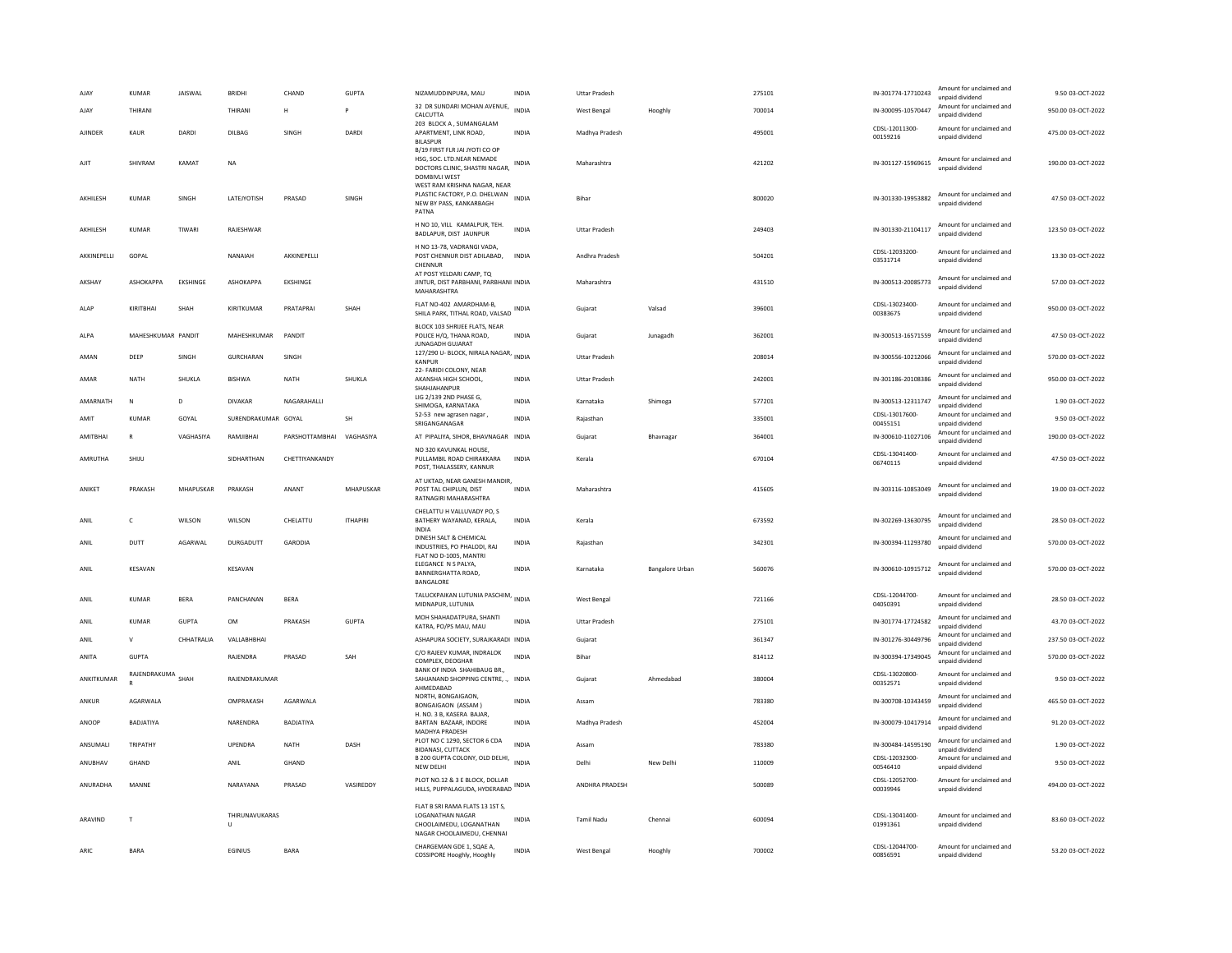| <b>AJAY</b>        | <b>KUMAR</b>       | JAISWAL      | <b>BRIDHI</b>            | CHAND              | <b>GUPTA</b>    | NIZAMUDDINPURA, MAU                                                                                                 | <b>INDIA</b> | <b>Uttar Pradesh</b> |                 | 275101 | IN-301774-17710243         | Amount for unclaimed and<br>unpaid dividend | 9.50 03-OCT-2022   |
|--------------------|--------------------|--------------|--------------------------|--------------------|-----------------|---------------------------------------------------------------------------------------------------------------------|--------------|----------------------|-----------------|--------|----------------------------|---------------------------------------------|--------------------|
| AJAY               | THIRANI            |              | THIRANI                  | н                  |                 | 32 DR SUNDARI MOHAN AVENUE,<br>CALCUTTA                                                                             | <b>INDIA</b> | West Bengal          | Hooghly         | 700014 | IN-300095-10570447         | Amount for unclaimed and<br>unpaid dividend | 950.00 03-OCT-2022 |
| AJINDER            | KAUR               | DARDI        | DILBAG                   | SINGH              | DARDI           | 203 BLOCK A . SUMANGALAM<br>APARTMENT, LINK ROAD,<br><b>BILASPUR</b>                                                | INDIA        | Madhya Pradesh       |                 | 495001 | CDSL-12011300-<br>00159216 | Amount for unclaimed and<br>unpaid dividend | 475.00 03-OCT-2022 |
| AIIT               | SHIVRAM            | <b>KAMAT</b> | <b>NA</b>                |                    |                 | B/19 FIRST FLR JAI JYOTI CO OP<br>HSG. SOC. LTD.NEAR NEMADE<br>DOCTORS CLINIC, SHASTRI NAGAR,<br>DOMBIVLI WEST      | <b>INDIA</b> | Maharashtra          |                 | 421202 | IN-301127-15969615         | Amount for unclaimed and<br>unpaid dividend | 190.00 03-OCT-2022 |
| AKHILESH           | <b>KUMAR</b>       | SINGH        | LATEJYOTISH              | PRASAD             | SINGH           | WEST RAM KRISHNA NAGAR, NEAR<br>PLASTIC FACTORY, P.O. DHELWAN<br>NEW BY PASS, KANKARBAGH<br>PATNA                   | <b>INDIA</b> | Bihar                |                 | 800020 | IN-301330-19953882         | Amount for unclaimed and<br>unpaid dividend | 47.50 03-OCT-2022  |
| AKHILESH           | <b>KUMAR</b>       | <b>TIWAR</b> | RAJESHWAR                |                    |                 | H NO 10, VILL KAMALPUR, TEH.<br>BADLAPUR, DIST JAUNPUR                                                              | <b>INDIA</b> | <b>Uttar Pradesh</b> |                 | 249403 | IN-301330-21104117         | Amount for unclaimed and<br>unpaid dividend | 123.50 03-OCT-2022 |
| <b>AKKINFPFIII</b> | GOPAL              |              | NANAIAH                  | <b>AKKINFPFIII</b> |                 | H NO 13-78, VADRANGI VADA,<br>POST CHENNUR DIST ADILABAD,<br>CHENNUR<br>AT POST YELDARI CAMP, TQ                    | <b>INDIA</b> | Andhra Pradesh       |                 | 504201 | CDSL-12033200-<br>03531714 | Amount for unclaimed and<br>unpaid dividend | 13.30.03-0CT-2022  |
| <b>AKSHAY</b>      | <b>АЅНОКАРРА</b>   | EKSHINGE     | <b>АЅНОКАРРА</b>         | <b>FKSHINGF</b>    |                 | JINTUR, DIST PARBHANI, PARBHANI INDIA<br>MAHARASHTRA                                                                |              | Maharashtra          |                 | 431510 | IN-300513-20085773         | Amount for unclaimed and<br>unpaid dividend | 57.00 03-OCT-2022  |
| ALAP               | KIRITBHAI          | SHAH         | KIRITKUMAR               | PRATAPRAI          | SHAH            | FLAT NO-402 AMARDHAM-B,<br>SHILA PARK, TITHAL ROAD, VALSAD INDIA                                                    |              | Gujarat              | Valsad          | 396001 | CDSL-13023400-<br>00383675 | Amount for unclaimed and<br>unpaid dividend | 950.00 03-OCT-2022 |
| ALPA               | MAHESHKUMAR PANDIT |              | MAHESHKUMAR              | PANDIT             |                 | BLOCK 103 SHRIJEE FLATS, NEAR<br>POLICE H/Q, THANA ROAD,<br><b>JUNAGADH GUJARAT</b>                                 | <b>INDIA</b> | Gujarat              | Junagadh        | 362001 | IN-300513-16571559         | Amount for unclaimed and<br>unpaid dividend | 47.50 03-OCT-2022  |
| AMAN               | DEEP               | SINGH        | GURCHARAN                | SINGH              |                 | 127/290 U- BLOCK, NIRALA NAGAR, INDIA<br><b>KANPUR</b>                                                              |              | Uttar Pradesh        |                 | 208014 | IN-300556-10212066         | Amount for unclaimed and<br>unpaid dividend | 570.00 03-OCT-2022 |
| AMAR               | NATH               | SHUKLA       | <b>BISHWA</b>            | <b>NATH</b>        | SHUKLA          | 22- FARIDI COLONY, NEAR<br>AKANSHA HIGH SCHOOL,<br>SHAHIAHANPUR                                                     | INDIA        | <b>Uttar Pradesh</b> |                 | 242001 | IN-301186-20108386         | Amount for unclaimed and<br>unpaid dividend | 950.00 03-OCT-2022 |
| AMARNATH           | N                  | D            | <b>DIVAKAR</b>           | NAGARAHALLI        |                 | LIG 2/139 2ND PHASE G,<br>SHIMOGA, KARNATAKA                                                                        | <b>INDIA</b> | Karnataka            | Shimoga         | 577201 | IN-300513-12311747         | Amount for unclaimed and<br>unnaid dividend | 1.90 03-OCT-2022   |
| AMIT               | <b>KUMAR</b>       | GOYAL        | SURENDRAKUMAR GOYAL      |                    | SH              | 52-53 new agrasen nagar,<br>SRIGANGANAGAR                                                                           | <b>INDIA</b> | Rajasthan            |                 | 335001 | CDSL-13017600-<br>00455151 | Amount for unclaimed and<br>unpaid dividend | 9.50 03-OCT-2022   |
| AMITBHAI           | $\mathbb{R}$       | VAGHASIYA    | RAMJIBHAI                | PARSHOTTAMBHAI     | VAGHASIYA       | AT PIPALIYA, SIHOR, BHAVNAGAR INDIA                                                                                 |              | Gujarat              | Bhavnagar       | 364001 | IN-300610-11027106         | Amount for unclaimed and<br>unpaid dividend | 190.00 03-OCT-2022 |
| AMRUTHA            | SHIJU              |              | SIDHARTHAN               | CHETTIYANKANDY     |                 | NO 320 KAVUNKAL HOUSE.<br>PULLAMBIL ROAD CHIRAKKARA<br>POST, THALASSERY, KANNUR                                     | <b>INDIA</b> | Kerala               |                 | 670104 | CDSL-13041400-<br>06740115 | Amount for unclaimed and<br>unpaid dividend | 47.50 03-OCT-2022  |
| ANIKFT             | PRAKASH            | MHAPUSKAR    | PRAKASH                  | ANANT              | MHAPUSKAR       | AT UKTAD. NEAR GANESH MANDIR.<br>POST TAL CHIPLUN, DIST<br>RATNAGIRI MAHARASHTRA                                    | <b>INDIA</b> | Maharashtra          |                 | 415605 | IN-303116-10853049         | Amount for unclaimed and<br>unpaid dividend | 19.00 03-OCT-2022  |
| ANIL               | c                  | WILSON       | WILSON                   | CHELATTU           | <b>ITHAPIRI</b> | CHELATTU H VALLUVADY PO. S<br>BATHERY WAYANAD, KERALA,<br><b>INDIA</b>                                              | <b>INDIA</b> | Kerala               |                 | 673592 | IN-302269-13630795         | Amount for unclaimed and<br>unpaid dividend | 28.50 03-OCT-2022  |
| ANIL               | DUTT               | AGARWAL      | DURGADUTT                | GARODIA            |                 | DINESH SALT & CHEMICAL<br>INDUSTRIES, PO PHALODI, RAJ<br>FLAT NO D-1005, MANTRI                                     | <b>INDIA</b> | Raiasthan            |                 | 342301 | IN-300394-11293780         | Amount for unclaimed and<br>unpaid dividend | 570.00 03-OCT-2022 |
| ANII               | KFSAVAN            |              | KFSAVAN                  |                    |                 | ELEGANCE N S PALYA,<br><b>BANNERGHATTA ROAD,</b><br>BANGALORE                                                       | <b>INDIA</b> | Karnataka            | Bangalore Urban | 560076 | IN-300610-10915712         | Amount for unclaimed and<br>unpaid dividend | 570.00.03-OCT-2022 |
| ANIL               | <b>KUMAR</b>       | <b>BERA</b>  | PANCHANAN                | <b>BERA</b>        |                 | TALUCKPAIKAN LUTUNIA PASCHIM, INDIA<br>MIDNAPUR, LUTUNIA                                                            |              | West Bengal          |                 | 721166 | CDSL-12044700-<br>04050391 | Amount for unclaimed and<br>unpaid dividend | 28.50 03-OCT-2022  |
| ANIL               | <b>KUMAR</b>       | <b>GUPTA</b> | <b>OM</b>                | PRAKASH            | <b>GUPTA</b>    | MOH SHAHADATPURA, SHANTI<br>KATRA, PO/PS MAU, MAU                                                                   | <b>INDIA</b> | <b>Uttar Pradesh</b> |                 | 275101 | IN-301774-17724582         | Amount for unclaimed and<br>unnaid dividend | 43.70 03-OCT-2022  |
| ANIL               | $\mathsf{V}$       | CHHATRALIA   | VALLABHBHAI              |                    |                 | ASHAPURA SOCIETY, SURAJKARADI INDIA                                                                                 |              | Gujarat              |                 | 361347 | IN-301276-30449796         | Amount for unclaimed and<br>unpaid dividend | 237.50 03-OCT-2022 |
| ANITA              | <b>GUPTA</b>       |              | RAIFNDRA                 | PRASAD             | SAH             | C/O RAJEEV KUMAR, INDRALOK<br>COMPLEX, DEOGHAR                                                                      | <b>INDIA</b> | <b>Bihar</b>         |                 | 814112 | IN-300394-17349045         | Amount for unclaimed and<br>unpaid dividend | 570.00 03-OCT-2022 |
| ANKITKUMAR         | RAJENDRAKUMA SHAH  |              | RAJENDRAKUMAR            |                    |                 | BANK OF INDIA SHAHIBAUG BR.,<br>SAHJANAND SHOPPING CENTRE, ., INDIA<br>AHMFDARAD                                    |              | Gujarat              | Ahmedabad       | 380004 | CDSL-13020800-<br>00352571 | Amount for unclaimed and<br>unpaid dividend | 9.50 03-OCT-2022   |
| ANKUR              | <b>AGARWAIA</b>    |              | OMPRAKASH                | <b>AGARWALA</b>    |                 | NORTH, BONGAIGAON,<br><b>BONGAIGAON (ASSAM)</b>                                                                     | <b>INDIA</b> | Assam                |                 | 783380 | IN-300708-10343459         | Amount for unclaimed and<br>unpaid dividend | 465.50.03-OCT-2022 |
| ANOOP              | BADJATIYA          |              | NARENDRA                 | BADJATIYA          |                 | H. NO. 3 B, KASERA BAJAR,<br>BARTAN BAZAAR, INDORE<br><b>MADHYA PRADESH</b>                                         | <b>INDIA</b> | Madhya Pradesh       |                 | 452004 | IN-300079-10417914         | Amount for unclaimed and<br>unpaid dividend | 91.20 03-OCT-2022  |
| ANSUMALI           | TRIPATHY           |              | <b>UPENDRA</b>           | NATH               | DASH            | PLOT NO C 1290, SECTOR 6 CDA<br><b>BIDANASI, CUTTACK</b>                                                            | <b>INDIA</b> | Assam                |                 | 783380 | IN-300484-14595190         | Amount for unclaimed and<br>unpaid dividend | 1.90 03-OCT-2022   |
| ANUBHAV            | GHAND              |              | ANIL                     | GHAND              |                 | B 200 GUPTA COLONY, OLD DELHI, INDIA<br><b>NEW DELHI</b>                                                            |              | Delhi                | New Delhi       | 110009 | CDSL-12032300-<br>00546410 | Amount for unclaimed and<br>unpaid dividend | 9.50 03-OCT-2022   |
| ANURADHA           | MANNE              |              | NARAYANA                 | PRASAD             | VASIREDDY       | PLOT NO.12 & 3 E BLOCK, DOLLAR<br>HILLS, PUPPALAGUDA, HYDERABAD INDIA                                               |              | ANDHRA PRADESH       |                 | 500089 | CDSL-12052700-<br>00039946 | Amount for unclaimed and<br>unpaid dividend | 494.00 03-OCT-2022 |
| ARAVIND            | $\mathbf{T}$       |              | THIRUNAVUKARAS<br>$\cup$ |                    |                 | FLAT B SRI RAMA FLATS 13 1ST S,<br><b>LOGANATHAN NAGAR</b><br>CHOOLAIMEDU, LOGANATHAN<br>NAGAR CHOOLAIMEDU, CHENNAI | <b>INDIA</b> | <b>Tamil Nadu</b>    | Chennai         | 600094 | CDSL-13041400-<br>01991361 | Amount for unclaimed and<br>unpaid dividend | 83.60 03-OCT-2022  |
| ARIC.              | <b>BARA</b>        |              | <b>EGINIUS</b>           | <b>BARA</b>        |                 | CHARGEMAN GDE 1, SQAE A,<br>COSSIPORE Hooghly, Hooghly                                                              | <b>INDIA</b> | West Bengal          | Hooghly         | 700002 | CDSL-12044700-<br>00856591 | Amount for unclaimed and<br>unpaid dividend | 53.20 03-OCT-2022  |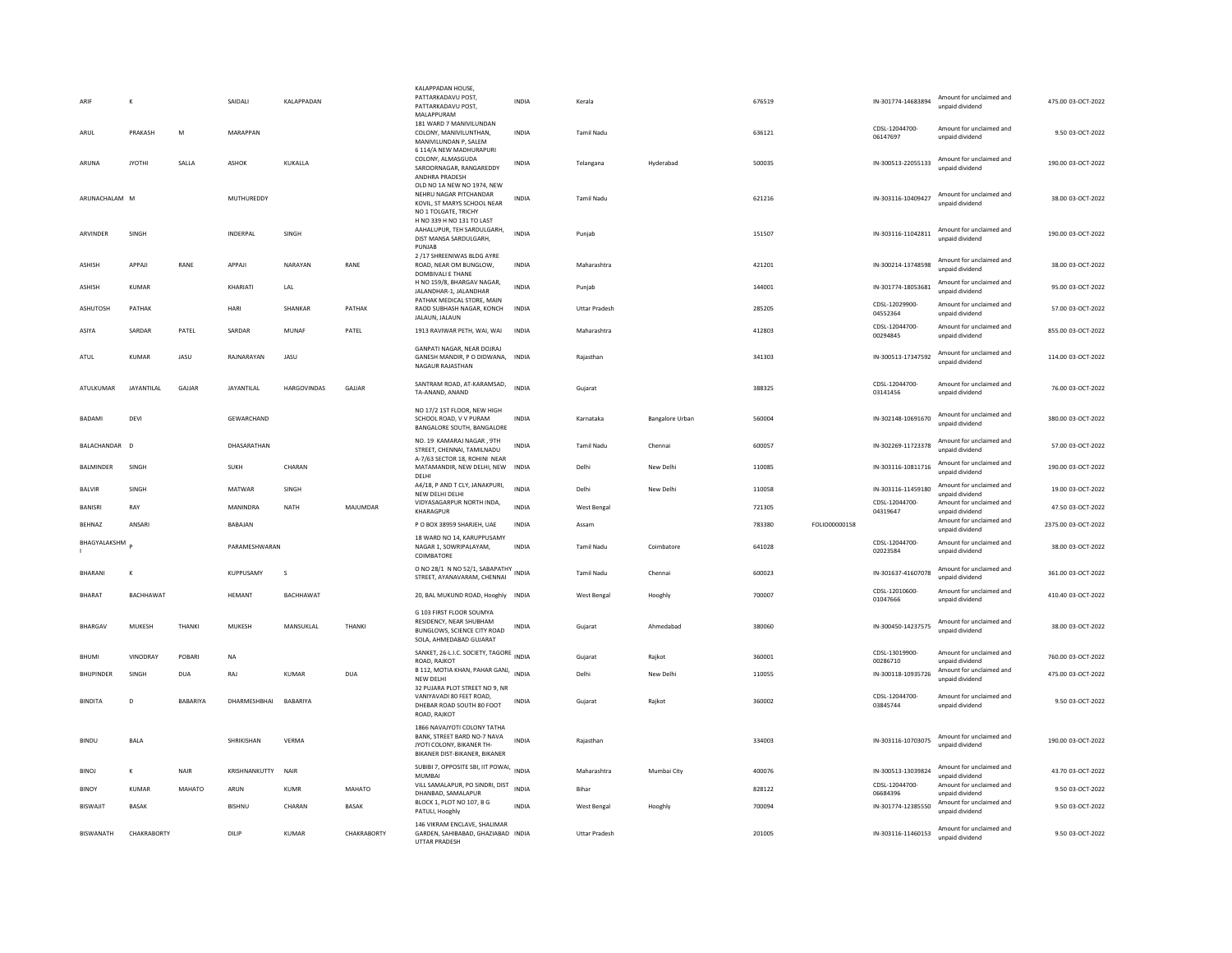| ARIE              | K                 |            | SAIDALI           | <b>KAI APPADAN</b> |              | KALAPPADAN HOUSE,<br>PATTARKADAVU POST<br>PATTARKADAVU POST,<br>MALAPPURAM                                               | <b>INDIA</b> | Kerala               |                 | 676519 |               | IN-301774-14683894         | Amount for unclaimed and<br>unpaid dividend | 475.00 03-OCT-2022  |
|-------------------|-------------------|------------|-------------------|--------------------|--------------|--------------------------------------------------------------------------------------------------------------------------|--------------|----------------------|-----------------|--------|---------------|----------------------------|---------------------------------------------|---------------------|
| ARUL              | PRAKASH           | M          | <b>MARAPPAN</b>   |                    |              | 181 WARD 7 MANIVILUNDAN<br>COLONY, MANIVILUNTHAN,<br>MANIVILUNDAN P, SALEM                                               | <b>INDIA</b> | <b>Tamil Nadu</b>    |                 | 636121 |               | CDSL-12044700-<br>06147697 | Amount for unclaimed and<br>unpaid dividend | 9.50 03-OCT-2022    |
| ARUNA             | <b>IYOTHI</b>     | SALLA      | ASHOK             | KUKALLA            |              | 6 114/A NEW MADHURAPURI<br>COLONY, ALMASGUDA<br>SAROORNAGAR, RANGAREDDY<br>ANDHRA PRADESH                                | <b>INDIA</b> | Telangana            | Hyderabad       | 500035 |               | IN-300513-22055133         | Amount for unclaimed and<br>unpaid dividend | 190.00 03-OCT-2022  |
| ARUNACHALAM M     |                   |            | MUTHUREDDY        |                    |              | OLD NO 1A NEW NO 1974. NEW<br>NEHRU NAGAR PITCHANDAR<br>KOVIL, ST MARYS SCHOOL NEAR<br>NO 1 TOLGATE, TRICHY              | <b>INDIA</b> | <b>Tamil Nadu</b>    |                 | 621216 |               | IN-303116-10409427         | Amount for unclaimed and<br>unpaid dividend | 38.00 03-OCT-2022   |
| ARVINDER          | SINGH             |            | INDERPAL          | SINGH              |              | H NO 339 H NO 131 TO LAST<br>AAHALUPUR, TEH SARDULGARH,<br>DIST MANSA SARDULGARH,<br>PUNJAB                              | <b>INDIA</b> | Puniab               |                 | 151507 |               | IN-303116-11042811         | Amount for unclaimed and<br>unpaid dividend | 190.00 03-OCT-2022  |
| <b>ASHISH</b>     | APPAJI            | RANE       | APPAJI            | NARAYAN            | RANE         | 2 /17 SHREENIWAS BLDG AYRE<br>ROAD. NEAR OM BUNGLOW.<br>DOMBIVALI E THANE                                                | <b>INDIA</b> | Maharashtra          |                 | 421201 |               | IN-300214-13748598         | Amount for unclaimed and<br>unpaid dividend | 38.00 03-OCT-2022   |
| <b>ASHISH</b>     | <b>KUMAR</b>      |            | KHARIATI          | LAL                |              | H NO 159/8, BHARGAV NAGAR.<br>JALANDHAR-1, JALANDHAR                                                                     | <b>INDIA</b> | Punjab               |                 | 144001 |               | IN-301774-18053681         | Amount for unclaimed and<br>unpaid dividend | 95.00 03-OCT-2022   |
| ASHUTOSH          | PATHAK            |            | HARI              | SHANKAR            | PATHAK       | PATHAK MEDICAL STORE, MAIN<br>RAOD SUBHASH NAGAR, KONCH<br>JALAUN, JALAUN                                                | <b>INDIA</b> | Uttar Pradesh        |                 | 285205 |               | CDSL-12029900-<br>04552364 | Amount for unclaimed and<br>unpaid dividend | 57.00 03-OCT-2022   |
| ASIYA             | SARDAR            | PATEL      | SARDAR            | MUNAF              | PATEL        | 1913 RAVIWAR PETH, WAI, WAI                                                                                              | <b>INDIA</b> | Maharashtra          |                 | 412803 |               | CDSL-12044700-<br>00294845 | Amount for unclaimed and<br>unpaid dividend | 855.00 03-OCT-2022  |
| ATUL              | KUMAR             | JASU       | RAINARAYAN        | JASU               |              | GANPATI NAGAR, NEAR DOJRAJ<br>GANESH MANDIR, P O DIDWANA, INDIA<br>NAGAUR RAJASTHAN                                      |              | Rajasthan            |                 | 341303 |               | IN-300513-17347592         | Amount for unclaimed and<br>unpaid dividend | 114.00 03-OCT-2022  |
| <b>ATULKUMAR</b>  | <b>JAYANTILAI</b> | GAILAR     | <b>JAYANTILAI</b> | <b>HARGOVINDAS</b> | GAILAR       | SANTRAM ROAD, AT-KARAMSAD,<br>TA-ANAND, ANAND                                                                            | <b>INDIA</b> | Gujarat              |                 | 388325 |               | CDSL-12044700-<br>03141456 | Amount for unclaimed and<br>unpaid dividend | 76.00 03-OCT-2022   |
| <b>BADAMI</b>     | DEVI              |            | GEWARCHAND        |                    |              | NO 17/2 1ST FLOOR, NEW HIGH<br>SCHOOL ROAD, V V PURAM<br>BANGALORE SOUTH, BANGALORE                                      | <b>INDIA</b> | Karnataka            | Bangalore Urban | 560004 |               | IN-302148-10691670         | Amount for unclaimed and<br>unpaid dividend | 380.00 03-OCT-2022  |
| BALACHANDAR D     |                   |            | DHASARATHAN       |                    |              | NO. 19 KAMARAJ NAGAR, 9TH<br>STREET, CHENNAI, TAMILNADU                                                                  | <b>INDIA</b> | <b>Tamil Nadu</b>    | Chennai         | 600057 |               | IN-302269-11723378         | Amount for unclaimed and<br>unpaid dividend | 57.00 03-OCT-2022   |
| <b>BAI MINDER</b> | SINGH             |            | <b>SUKH</b>       | CHARAN             |              | A-7/63 SECTOR 18, ROHINI NEAR<br>MATAMANDIR, NEW DELHI, NEW<br>DELHI                                                     | <b>INDIA</b> | Delhi                | New Delhi       | 110085 |               | IN-303116-10811716         | Amount for unclaimed and<br>unpaid dividend | 190.00 03-OCT-2022  |
| <b>BALVIR</b>     | SINGH             |            | MATWAR            | SINGH              |              | A4/18, P AND T CLY, JANAKPURI,<br>NEW DELHI DELHI                                                                        | <b>INDIA</b> | Delhi                | New Delhi       | 110058 |               | IN-303116-11459180         | Amount for unclaimed and<br>unpaid dividend | 19.00 03-OCT-2022   |
| BANISRI           | RAY               |            | MANINDRA          | NATH               | MAJUMDAR     | VIDYASAGARPUR NORTH INDA,<br>KHARAGPUR                                                                                   | INDIA        | West Bengal          |                 | 721305 |               | CDSL-12044700-<br>04319647 | Amount for unclaimed and<br>unpaid dividend | 47.50 03-OCT-2022   |
| BEHNAZ            | ANSARI            |            | BABAJAN           |                    |              | P O BOX 38959 SHARJEH, UAE                                                                                               | INDIA        | Assam                |                 | 783380 | FOLIO00000158 |                            | Amount for unclaimed and<br>unpaid dividend | 2375.00 03-OCT-2022 |
| BHAGYALAKSHM      |                   |            | PARAMESHWARAN     |                    |              | 18 WARD NO 14, KARUPPUSAMY<br>NAGAR 1, SOWRIPALAYAM,<br>COIMBATORE                                                       | <b>INDIA</b> | Tamil Nadu           | Coimbatore      | 641028 |               | CDSL-12044700-<br>02023584 | Amount for unclaimed and<br>unpaid dividend | 38.00 03-OCT-2022   |
| <b>BHARANI</b>    | К                 |            | KUPPUSAMY         | s                  |              | O NO 28/1 N NO 52/1, SABAPATHY<br>STREET, AYANAVARAM, CHENNAI                                                            | <b>INDIA</b> | <b>Tamil Nadu</b>    | Chennai         | 600023 |               | IN-301637-41607078         | Amount for unclaimed and<br>unpaid dividend | 361.00 03-OCT-2022  |
| BHARAT            | <b>BACHHAWAT</b>  |            | HEMANT            | <b>BACHHAWAT</b>   |              | 20, BAL MUKUND ROAD, Hooghly INDIA                                                                                       |              | West Bengal          | Hooghly         | 700007 |               | CDSL-12010600-<br>01047666 | Amount for unclaimed and<br>unpaid dividend | 410.40 03-OCT-2022  |
| BHARGAV           | MUKESH            | THANKI     | MUKESH            | MANSUKLAL          | THANKI       | G 103 FIRST FLOOR SOUMYA<br>RESIDENCY, NEAR SHUBHAM<br>BUNGLOWS, SCIENCE CITY ROAD<br>SOLA, AHMEDABAD GUJARAT            | INDIA        | Gujarat              | Ahmedabad       | 380060 |               | IN-300450-14237575         | Amount for unclaimed and<br>unpaid dividend | 38.00 03-OCT-2022   |
| <b>BHUMI</b>      | <b>VINODRAY</b>   | POBARI     | <b>NA</b>         |                    |              | SANKET, 26-L.I.C. SOCIETY, TAGORE<br>ROAD, RAJKOT                                                                        | <b>INDIA</b> | Gujarat              | Rajkot          | 360001 |               | CDSL-13019900-<br>00286710 | Amount for unclaimed and<br>unpaid dividend | 760.00 03-OCT-2022  |
| <b>BHUPINDER</b>  | SINGH             | <b>DUA</b> | RAJ               | KUMAR              | <b>DUA</b>   | B 112, MOTIA KHAN, PAHAR GANJ,<br>NEW DELHI                                                                              | <b>INDIA</b> | Delhi                | New Delhi       | 110055 |               | IN-300118-10935726         | Amount for unclaimed and<br>unpaid dividend | 475.00 03-OCT-2022  |
| <b>BINDITA</b>    | D                 | BABARIYA   | DHARMESHBHAI      | BABARIYA           |              | 32 PUJARA PLOT STREET NO 9, NR<br>VANIYAVADI 80 FEET ROAD.<br>DHEBAR ROAD SOUTH 80 FOOT<br>ROAD, RAJKOT                  | INDIA        | Gujarat              | Rajkot          | 360002 |               | CDSL-12044700-<br>03845744 | Amount for unclaimed and<br>unpaid dividend | 9.50 03-OCT-2022    |
| <b>BINDU</b>      | <b>BALA</b>       |            | SHRIKISHAN        | VERMA              |              | 1866 NAVAJYOTI COLONY TATHA<br>BANK, STREET BARD NO-7 NAVA<br>JYOTI COLONY, BIKANER TH-<br>BIKANER DIST-BIKANER, BIKANER | <b>INDIA</b> | Rajasthan            |                 | 334003 |               | IN-303116-10703075         | Amount for unclaimed and<br>unpaid dividend | 190.00 03-OCT-2022  |
| <b>BINOJ</b>      | K                 | NAIR       | KRISHNANKUTTY     | <b>NAIR</b>        |              | SUBIBI 7, OPPOSITE SBI, IIT POWAI, INDIA<br>MUMBAI                                                                       |              | Maharashtra          | Mumbai City     | 400076 |               | IN-300513-13039824         | Amount for unclaimed and<br>unpaid dividend | 43.70 03-OCT-2022   |
| <b>BINOY</b>      | <b>KUMAR</b>      | MAHATO     | ARUN              | <b>KUMR</b>        | MAHATO       | VILL SAMALAPUR, PO SINDRI, DIST<br>DHANBAD, SAMALAPUR                                                                    | <b>INDIA</b> | Bihar                |                 | 828122 |               | CDSL-12044700-<br>06684396 | Amount for unclaimed and<br>unpaid dividend | 9.50 03-OCT-2022    |
| <b>BISWAJIT</b>   | <b>BASAK</b>      |            | <b>BISHNU</b>     | CHARAN             | <b>BASAK</b> | BLOCK 1, PLOT NO 107, B G<br>PATULI, Hooghly                                                                             | <b>INDIA</b> | West Bengal          | Hooghly         | 700094 |               | IN-301774-12385550         | Amount for unclaimed and<br>unpaid dividend | 9.50 03-OCT-2022    |
| <b>BISWANATH</b>  | CHAKRABORTY       |            | DILIP             | <b>KUMAR</b>       | CHAKRABORTY  | 146 VIKRAM ENCLAVE, SHALIMAR<br>GARDEN, SAHIBABAD, GHAZIABAD INDIA<br><b>UTTAR PRADESH</b>                               |              | <b>Uttar Pradesh</b> |                 | 201005 |               | IN-303116-11460153         | Amount for unclaimed and<br>unpaid dividend | 9.50 03-OCT-2022    |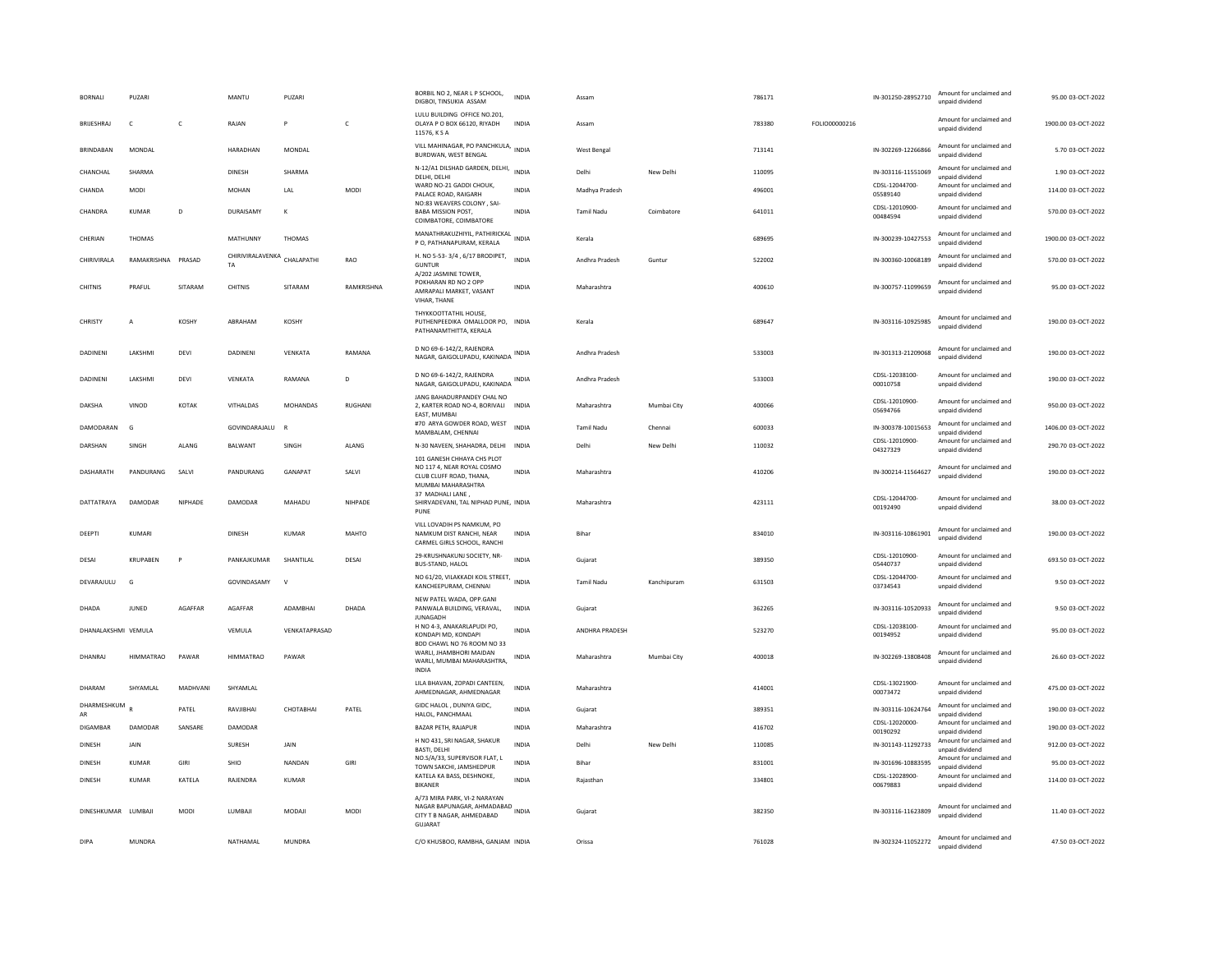| <b>BORNALI</b>      | PUZARI           |              | MANTU                             | PUZARI        |              | BORBIL NO 2, NEAR L P SCHOOL,<br>DIGBOI, TINSUKIA ASSAM                                                   | <b>INDIA</b> | Assam             |             | 786171 |               | IN-301250-28952710         | Amount for unclaimed and<br>unpaid dividend | 95.00 03-OCT-2022   |
|---------------------|------------------|--------------|-----------------------------------|---------------|--------------|-----------------------------------------------------------------------------------------------------------|--------------|-------------------|-------------|--------|---------------|----------------------------|---------------------------------------------|---------------------|
| BRIJESHRAJ          | c                | $\mathsf{C}$ | RAJAN                             | P             | $\mathsf{C}$ | LULU BUILDING OFFICE NO.201,<br>OLAYA P O BOX 66120, RIYADH<br>11576, K S A                               | <b>INDIA</b> | Assam             |             | 783380 | FOLIO00000216 |                            | Amount for unclaimed and<br>unpaid dividend | 1900.00 03-OCT-2022 |
| <b>BRINDABAN</b>    | MONDAL           |              | HARADHAN                          | MONDAL        |              | VILL MAHINAGAR, PO PANCHKULA, INDIA<br>BURDWAN, WEST BENGAL                                               |              | West Bengal       |             | 713141 |               | IN-302269-12266866         | Amount for unclaimed and<br>unpaid dividend | 5.70 03-OCT-2022    |
| CHANCHAL            | SHARMA           |              | DINESH                            | SHARMA        |              | N-12/A1 DILSHAD GARDEN, DELHI,<br>DELHI, DELHI                                                            | <b>INDIA</b> | Delhi             | New Delhi   | 110095 |               | IN-303116-11551069         | Amount for unclaimed and<br>unpaid dividend | 1.90 03-OCT-2022    |
| CHANDA              | <b>MODI</b>      |              | <b>MOHAN</b>                      | LAL           | MODI         | WARD NO-21 GADDI CHOUK,<br>PALACE ROAD, RAIGARH                                                           | <b>INDIA</b> | Madhya Pradesh    |             | 496001 |               | CDSL-12044700-<br>05589140 | Amount for unclaimed and<br>unpaid dividend | 114.00 03-OCT-2022  |
| CHANDRA             | <b>KUMAR</b>     | D            | DURAISAMY                         | $\kappa$      |              | NO:83 WEAVERS COLONY, SAI-<br><b>BABA MISSION POST,</b><br>COIMBATORE, COIMBATORE                         | <b>INDIA</b> | Tamil Nadu        | Coimbatore  | 641011 |               | CDSL-12010900-<br>00484594 | Amount for unclaimed and<br>unpaid dividend | 570.00 03-OCT-2022  |
| CHERIAN             | THOMAS           |              | MATHUNNY                          | THOMAS        |              | MANATHRAKUZHIYIL, PATHIRICKAL<br>INDIA<br>P O, PATHANAPURAM, KERALA                                       |              | Kerala            |             | 689695 |               | IN-300239-10427553         | Amount for unclaimed and<br>unpaid dividend | 1900.00 03-OCT-2022 |
| CHIRIVIRALA         | RAMAKRISHNA      | PRASAD       | CHIRIVIRALAVENKA CHALAPATHI<br>TA |               | RAO          | H. NO 5-53-3/4, 6/17 BRODIPET,<br><b>GUNTUR</b>                                                           | <b>INDIA</b> | Andhra Pradesh    | Guntur      | 522002 |               | IN-300360-10068189         | Amount for unclaimed and<br>unpaid dividend | 570.00 03-OCT-2022  |
| <b>CHITNIS</b>      | PRAFUL           | SITARAM      | CHITNIS                           | SITARAM       | RAMKRISHNA   | A/202 JASMINE TOWER,<br>POKHARAN RD NO 2 OPP<br>AMRAPALI MARKET, VASANT<br>VIHAR, THANE                   | <b>INDIA</b> | Maharashtra       |             | 400610 |               | IN-300757-11099659         | Amount for unclaimed and<br>unpaid dividend | 95.00 03-OCT-2022   |
| CHRISTY             | $\overline{A}$   | KOSHY        | ABRAHAM                           | KOSHY         |              | THYKKOOTTATHIL HOUSE,<br>PUTHENPEEDIKA OMALLOOR PO,<br>PATHANAMTHITTA, KERALA                             | INDIA        | Kerala            |             | 689647 |               | IN-303116-10925985         | Amount for unclaimed and<br>unpaid dividend | 190.00 03-OCT-2022  |
| <b>DADINENI</b>     | LAKSHMI          | DEVI         | <b>DADINENI</b>                   | VENKATA       | RAMANA       | D NO 69-6-142/2, RAJENDRA<br>NAGAR, GAIGOLUPADU, KAKINADA                                                 | INDIA        | Andhra Pradesh    |             | 533003 |               | IN-301313-21209068         | Amount for unclaimed and<br>unpaid dividend | 190.00 03-OCT-2022  |
| <b>DADINENI</b>     | LAKSHMI          | DEVI         | VENKATA                           | RAMANA        | D            | D NO 69-6-142/2, RAJENDRA<br>NAGAR, GAIGOLUPADU, KAKINADA                                                 | INDIA        | Andhra Pradesh    |             | 533003 |               | CDSL-12038100-<br>00010758 | Amount for unclaimed and<br>unnaid dividend | 190.00 03-OCT-2022  |
| DAKSHA              | VINOD            | KOTAK        | VITHALDAS                         | MOHANDAS      | RUGHANI      | JANG BAHADURPANDEY CHAL NO<br>2, KARTER ROAD NO-4, BORIVALI INDIA<br>EAST, MUMBAI                         |              | Maharashtra       | Mumbai City | 400066 |               | CDSL-12010900-<br>05694766 | Amount for unclaimed and<br>unpaid dividend | 950.00 03-OCT-2022  |
| DAMODARAN           | G                |              | GOVINDARAJALU                     | R             |              | #70 ARYA GOWDER ROAD, WEST<br>MAMBALAM, CHENNAI                                                           | <b>INDIA</b> | <b>Tamil Nadu</b> | Chennai     | 600033 |               | IN-300378-10015653         | Amount for unclaimed and<br>unpaid dividend | 1406.00 03-OCT-2022 |
| DARSHAN             | SINGH            | ALANG        | BALWANT                           | SINGH         | ALANG        | N-30 NAVEEN, SHAHADRA, DELHI                                                                              | INDIA        | Delhi             | New Delhi   | 110032 |               | CDSL-12010900-<br>04327329 | Amount for unclaimed and<br>unpaid dividend | 290.70 03-OCT-2022  |
| DASHARATH           | PANDURANG        | SALVI        | PANDURANG                         | GANAPAT       | SALVI        | 101 GANESH CHHAYA CHS PLOT<br>NO 117 4. NEAR ROYAL COSMO<br>CLUB CLUFF ROAD, THANA,<br>MUMBAI MAHARASHTRA | <b>INDIA</b> | Maharashtra       |             | 410206 |               | IN-300214-11564627         | Amount for unclaimed and<br>unpaid dividend | 190.00 03-OCT-2022  |
| DATTATRAYA          | DAMODAR          | NIPHADE      | DAMODAR                           | MAHADU        | NIHPADE      | 37 MADHALI LANE,<br>SHIRVADEVANI, TAL NIPHAD PUNE, INDIA<br>PUNE                                          |              | Maharashtra       |             | 423111 |               | CDSL-12044700-<br>00192490 | Amount for unclaimed and<br>unpaid dividend | 38.00 03-OCT-2022   |
| DEEPTI              | KUMARI           |              | <b>DINESH</b>                     | KUMAR         | MAHTO        | VILL LOVADIH PS NAMKUM, PO<br>NAMKUM DIST RANCHI, NEAR<br>CARMEL GIRLS SCHOOL, RANCHI                     | <b>INDIA</b> | <b>Bihar</b>      |             | 834010 |               | IN-303116-10861901         | Amount for unclaimed and<br>unpaid dividend | 190.00.03-OCT-2022  |
| DESAI               | KRUPABEN         | P            | PANKAJKUMAR                       | SHANTILAL     | DESAI        | 29-KRUSHNAKUNJ SOCIETY, NR-<br>BUS-STAND, HALOL                                                           | <b>INDIA</b> | Gujarat           |             | 389350 |               | CDSL-12010900-<br>05440737 | Amount for unclaimed and<br>unpaid dividend | 693.50 03-OCT-2022  |
| <b>DEVARAIULU</b>   | G                |              | GOVINDASAMY                       | $\mathbf{v}$  |              | NO 61/20, VILAKKADI KOIL STREET, INDIA<br>KANCHEEPURAM, CHENNAI                                           |              | Tamil Nadu        | Kanchipuram | 631503 |               | CDSL-12044700-<br>03734543 | Amount for unclaimed and<br>unpaid dividend | 9.50.03-OCT-2022    |
| DHADA               | <b>JUNED</b>     | AGAFFAR      | AGAFFAR                           | ADAMBHAI      | DHADA        | NEW PATEL WADA, OPP.GANI<br>PANWALA BUILDING, VERAVAL,<br><b>JUNAGADH</b>                                 | INDIA        | Gujarat           |             | 362265 |               | IN-303116-10520933         | Amount for unclaimed and<br>unpaid dividend | 9.50 03-OCT-2022    |
| DHANALAKSHMI VEMULA |                  |              | VEMULA                            | VENKATAPRASAD |              | H NO 4-3, ANAKARLAPUDI PO,<br>KONDAPI MD, KONDAPI                                                         | <b>INDIA</b> | ANDHRA PRADESH    |             | 523270 |               | CDSL-12038100-<br>00194952 | Amount for unclaimed and<br>unpaid dividend | 95.00 03-OCT-2022   |
| DHANRAJ             | <b>HIMMATRAO</b> | PAWAR        | <b>HIMMATRAO</b>                  | PAWAR         |              | BDD CHAWL NO 76 ROOM NO 33<br>WARLI, JHAMBHORI MAIDAN<br>WARLI, MUMBAI MAHARASHTRA,<br><b>INDIA</b>       | INDIA        | Maharashtra       | Mumbai City | 400018 |               | IN-302269-13808408         | Amount for unclaimed and<br>unpaid dividend | 26.60 03-OCT-2022   |
| DHARAM              | SHYAMLAL         | MADHVANI     | SHYAMLAL                          |               |              | LILA BHAVAN, ZOPADI CANTEEN.<br>AHMEDNAGAR, AHMEDNAGAR                                                    | <b>INDIA</b> | Maharashtra       |             | 414001 |               | CDSL-13021900-<br>00073472 | Amount for unclaimed and<br>unpaid dividend | 475.00 03-OCT-2022  |
| DHARMESHKUM<br>AR   |                  | PATEL        | RAVJIBHAI                         | СНОТАВНАІ     | PATEL        | GIDC HALOL, DUNIYA GIDC,<br>HALOL, PANCHMAAL                                                              | INDIA        | Gujarat           |             | 389351 |               | IN-303116-10624764         | Amount for unclaimed and<br>unpaid dividend | 190.00 03-OCT-2022  |
| DIGAMBAR            | DAMODAR          | SANSARE      | DAMODAR                           |               |              | BAZAR PETH, RAJAPUR                                                                                       | INDIA        | Maharashtra       |             | 416702 |               | CDSL-12020000-<br>00190292 | Amount for unclaimed and<br>unpaid dividend | 190.00 03-OCT-2022  |
| <b>DINESH</b>       | <b>JAIN</b>      |              | SURESH                            | <b>JAIN</b>   |              | H NO 431, SRI NAGAR, SHAKUR<br><b>BASTI, DELHI</b>                                                        | <b>INDIA</b> | Delhi             | New Delhi   | 110085 |               | IN-301143-11292733         | Amount for unclaimed and<br>unpaid dividend | 912.00 03-OCT-2022  |
| DINESH              | KUMAR            | GIRI         | <b>SHIO</b>                       | NANDAN        | GIRI         | NO.S/A/33, SUPERVISOR FLAT, L<br>TOWN SAKCHI, JAMSHEDPUR                                                  | <b>INDIA</b> | <b>Bihar</b>      |             | 831001 |               | IN-301696-10883595         | Amount for unclaimed and<br>unpaid dividend | 95.00 03-OCT-2022   |
| <b>DINESH</b>       | <b>KUMAR</b>     | KATELA       | RAJENDRA                          | <b>KUMAR</b>  |              | KATELA KA BASS, DESHNOKE,<br>BIKANER                                                                      | <b>INDIA</b> | Raiasthan         |             | 334801 |               | CDSL-12028900-<br>00679883 | Amount for unclaimed and<br>unpaid dividend | 114.00 03-OCT-2022  |
| DINESHKUMAR LUMBAIL |                  | <b>MODI</b>  | <b>IUMBAIL</b>                    | MODAIL        | <b>MODI</b>  | A/73 MIRA PARK, VI-2 NARAYAN<br>NAGAR BAPUNAGAR, AHMADABAD INDIA<br>CITY T B NAGAR, AHMEDABAD<br>GUJARAT  |              | Guiarat           |             | 382350 |               | IN-303116-11623809         | Amount for unclaimed and<br>unpaid dividend | 11.40.03-OCT-2022   |
| <b>DIPA</b>         | <b>MUNDRA</b>    |              | NATHAMAL                          | MUNDRA        |              | C/O KHUSBOO, RAMBHA, GANJAM INDIA                                                                         |              | Orissa            |             | 761028 |               | IN-302324-11052272         | Amount for unclaimed and<br>unnaid dividend | 47.50 03-OCT-2022   |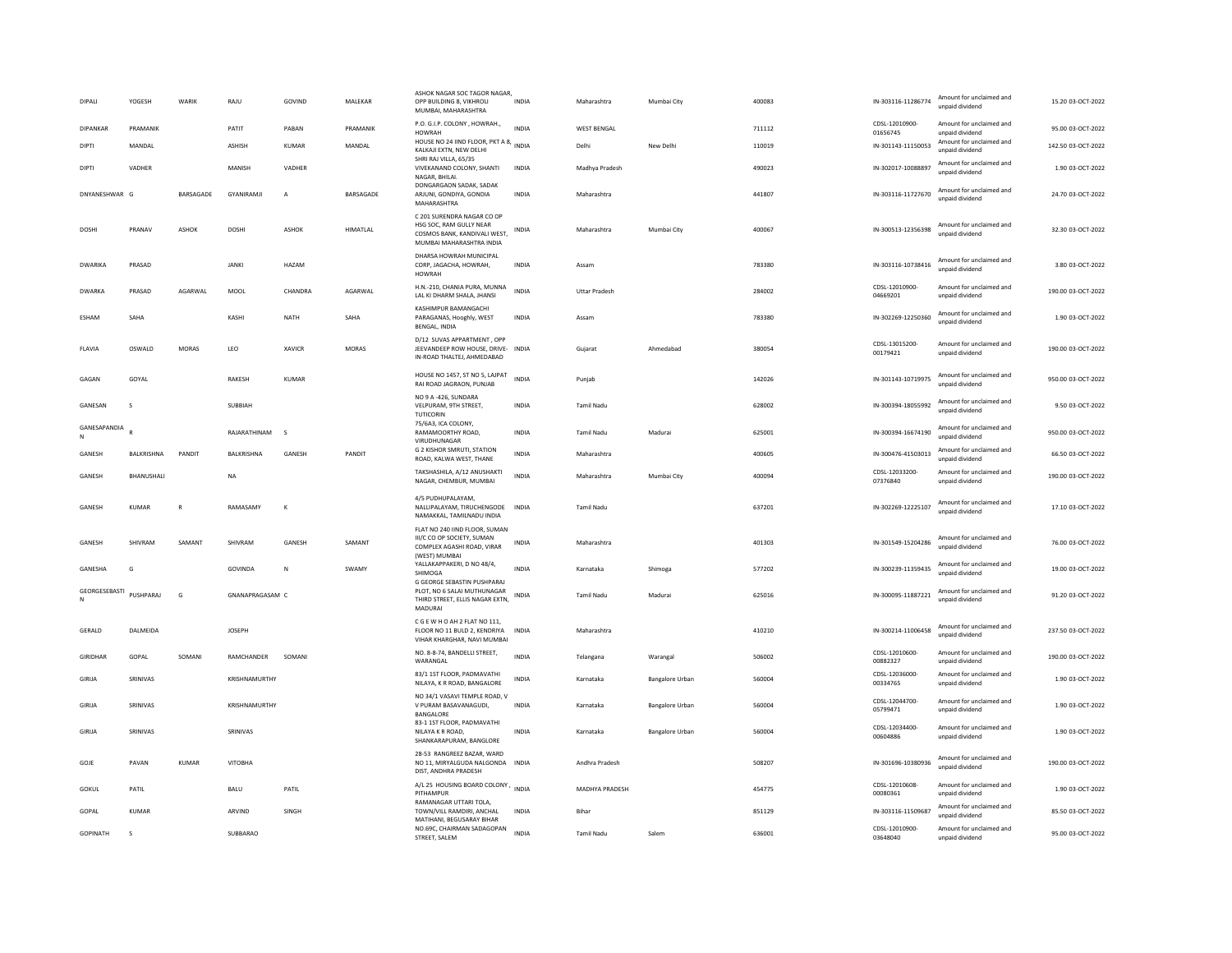| <b>DIPALI</b>          | YOGESH       | WARIK            | RAJU              | GOVIND       | MALEKAR          | ASHOK NAGAR SOC TAGOR NAGAR<br>OPP BUILDING 8, VIKHROLI<br>MUMBAI, MAHARASHTRA                                    | <b>INDIA</b> | Maharashtra          | Mumbai City     | 400083 | IN-303116-11286774         | Amount for unclaimed and<br>unpaid dividend | 15.20 03-OCT-2022  |
|------------------------|--------------|------------------|-------------------|--------------|------------------|-------------------------------------------------------------------------------------------------------------------|--------------|----------------------|-----------------|--------|----------------------------|---------------------------------------------|--------------------|
| DIPANKAR               | PRAMANIK     |                  | PATIT             | PABAN        | PRAMANIK         | P.O. G.I.P. COLONY, HOWRAH.,<br><b>HOWRAH</b>                                                                     | <b>INDIA</b> | <b>WEST BENGAL</b>   |                 | 711112 | CDSL-12010900-<br>01656745 | Amount for unclaimed and<br>unpaid dividend | 95.00 03-OCT-2022  |
| DIPTI                  | MANDAL       |                  | ASHISH            | KUMAR        | MANDAL           | HOUSE NO 24 IIND FLOOR, PKT A 8, INDIA<br>KALKAJI EXTN, NEW DELHI                                                 |              | Delhi                | New Delhi       | 110019 | IN-301143-11150053         | Amount for unclaimed and<br>unpaid dividend | 142.50 03-OCT-2022 |
| <b>DIPTI</b>           | VADHER       |                  | MANISH            | VADHER       |                  | SHRI RAJ VILLA, 65/35<br>VIVEKANAND COLONY, SHANTI<br>NAGAR, RHILAI                                               | <b>INDIA</b> | Madhya Pradesh       |                 | 490023 | IN-302017-10088897         | Amount for unclaimed and<br>unpaid dividend | 1.90 03-OCT-2022   |
| DNYANESHWAR G          |              | <b>BARSAGADE</b> | <b>GYANIRAMII</b> | $\mathsf{A}$ | <b>BARSAGADE</b> | DONGARGAON SADAK, SADAK<br>ARJUNI, GONDIYA, GONDIA<br>MAHARASHTRA                                                 | <b>INDIA</b> | Maharashtra          |                 | 441807 | IN-303116-11727670         | Amount for unclaimed and<br>unpaid dividend | 24.70.03-OCT-2022  |
| DOSHI                  | PRANAV       | ASHOK            | <b>DOSHI</b>      | ASHOK        | HIMATLAL         | C 201 SURENDRA NAGAR CO OP<br>HSG SOC, RAM GULLY NEAR<br>COSMOS BANK, KANDIVALI WEST,<br>MUMBAI MAHARASHTRA INDIA | INDIA        | Maharashtra          | Mumbai City     | 400067 | IN-300513-12356398         | Amount for unclaimed and<br>unpaid dividend | 32.30 03-OCT-2022  |
| DWARIKA                | PRASAD       |                  | <b>JANKI</b>      | HAZAM        |                  | DHARSA HOWRAH MUNICIPAL<br>CORP, JAGACHA, HOWRAH,<br><b>HOWRAH</b>                                                | <b>INDIA</b> | Assam                |                 | 783380 | IN-303116-10738416         | Amount for unclaimed and<br>unnaid dividend | 3.80 03-OCT-2022   |
| <b>DWARKA</b>          | PRASAD       | AGARWAL          | MOOL              | CHANDRA      | AGARWAL          | H.N.-210, CHANIA PURA, MUNNA<br>LAL KI DHARM SHALA, JHANSI                                                        | <b>INDIA</b> | <b>Uttar Pradesh</b> |                 | 284002 | CDSL-12010900-<br>04669201 | Amount for unclaimed and<br>unpaid dividend | 190.00 03-OCT-2022 |
| ESHAM                  | SAHA         |                  | KASHI             | <b>NATH</b>  | SAHA             | KASHIMPUR BAMANGACHI<br>PARAGANAS, Hooghly, WEST<br><b>BENGAL, INDIA</b>                                          | <b>INDIA</b> | Assam                |                 | 783380 | IN-302269-12250360         | Amount for unclaimed and<br>unpaid dividend | 1.90 03-OCT-2022   |
| FLAVIA                 | OSWALD       | MORAS            | LEO               | XAVICR       | MORAS            | D/12 SUVAS APPARTMENT . OPP<br>JEEVANDEEP ROW HOUSE, DRIVE- INDIA<br>IN-ROAD THALTEJ, AHMEDABAD                   |              | Gujarat              | Ahmedabad       | 380054 | CDSL-13015200-<br>00179421 | Amount for unclaimed and<br>unpaid dividend | 190.00 03-OCT-2022 |
| GAGAN                  | GOYAL        |                  | RAKESH            | <b>KUMAR</b> |                  | HOUSE NO 1457, ST NO 5, LAJPAT<br>RAI ROAD JAGRAON, PUNJAB                                                        | INDIA        | Punjab               |                 | 142026 | IN-301143-10719975         | Amount for unclaimed and<br>unpaid dividend | 950.00 03-OCT-2022 |
| GANESAN                | s            |                  | SUBBIAH           |              |                  | NO 9 A -426, SUNDARA<br>VELPURAM, 9TH STREET,<br><b>TUTICORIN</b>                                                 | <b>INDIA</b> | Tamil Nadu           |                 | 628002 | IN-300394-18055992         | Amount for unclaimed and<br>unnaid dividend | 9.50 03-OCT-2022   |
| GANESAPANDIA<br>$\,$ N |              |                  | RAJARATHINAM      | $\mathbf{s}$ |                  | 75/6A3, ICA COLONY,<br>RAMAMOORTHY ROAD.<br>VIRUDHUNAGAR                                                          | <b>INDIA</b> | <b>Tamil Nadu</b>    | Madurai         | 625001 | IN-300394-16674190         | Amount for unclaimed and<br>unpaid dividend | 950.00 03-OCT-2022 |
| GANESH                 | BALKRISHNA   | PANDIT           | BALKRISHNA        | GANESH       | PANDIT           | <b>G 2 KISHOR SMRUTI, STATION</b><br>ROAD, KALWA WEST, THANE                                                      | <b>INDIA</b> | Maharashtra          |                 | 400605 | IN-300476-41503013         | Amount for unclaimed and<br>unpaid dividend | 66.50 03-OCT-2022  |
| GANESH                 | BHANUSHALI   |                  | <b>NA</b>         |              |                  | TAKSHASHILA, A/12 ANUSHAKTI<br>NAGAR, CHEMBUR, MUMBAI                                                             | <b>INDIA</b> | Maharashtra          | Mumbai City     | 400094 | CDSL-12033200-<br>07376840 | Amount for unclaimed and<br>unpaid dividend | 190.00 03-OCT-2022 |
| GANESH                 | <b>KUMAR</b> | $\overline{R}$   | RAMASAMY          | $\kappa$     |                  | 4/5 PUDHUPALAYAM.<br>NALLIPALAYAM, TIRUCHENGODE INDIA<br>NAMAKKAL, TAMILNADU INDIA                                |              | <b>Tamil Nadu</b>    |                 | 637201 | IN-302269-12225107         | Amount for unclaimed and<br>unpaid dividend | 17.10 03-OCT-2022  |
| GANESH                 | SHIVRAM      | SAMANT           | SHIVRAM           | GANESH       | SAMANT           | FLAT NO 240 IIND FLOOR, SUMAN<br>III/C CO OP SOCIETY, SUMAN<br>COMPLEX AGASHI ROAD, VIRAR<br>(WEST) MUMBAI        | INDIA        | Maharashtra          |                 | 401303 | IN-301549-15204286         | Amount for unclaimed and<br>unpaid dividend | 76.00 03-OCT-2022  |
| GANESHA                | G            |                  | GOVINDA           | ${\sf N}$    | SWAMY            | YALLAKAPPAKERI, D NO 48/4,<br>SHIMOGA                                                                             | <b>INDIA</b> | Karnataka            | Shimoga         | 577202 | IN-300239-11359435         | Amount for unclaimed and<br>unnaid dividend | 19.00 03-OCT-2022  |
| GEORGESEBASTI<br>N     | PUSHPARAJ    | ${\mathbb G}$    | GNANAPRAGASAM C   |              |                  | G GEORGE SEBASTIN PUSHPARAJ<br>PLOT, NO 6 SALAI MUTHUNAGAR<br>THIRD STREET, ELLIS NAGAR EXTN,<br>MADURAL          | <b>INDIA</b> | Tamil Nadu           | Madurai         | 625016 | IN-300095-11887221         | Amount for unclaimed and<br>unpaid dividend | 91.20 03-OCT-2022  |
| GERALD                 | DALMEIDA     |                  | <b>JOSEPH</b>     |              |                  | C G E W H O AH 2 FLAT NO 111,<br>FLOOR NO 11 BULD 2. KENDRIYA<br>VIHAR KHARGHAR, NAVI MUMBAI                      | <b>INDIA</b> | Maharashtra          |                 | 410210 | IN-300214-11006458         | Amount for unclaimed and<br>unpaid dividend | 237.50 03-OCT-2022 |
| GIRIDHAR               | GOPAL        | SOMANI           | RAMCHANDER        | SOMAN        |                  | NO. 8-8-74, BANDELLI STREET,<br>WARANGAL                                                                          | <b>INDIA</b> | Telangana            | Warangal        | 506002 | CDSL-12010600-<br>00882327 | Amount for unclaimed and<br>unpaid dividend | 190.00 03-OCT-2022 |
| GIRIJA                 | SRINIVAS     |                  | KRISHNAMURTHY     |              |                  | 83/1 1ST FLOOR, PADMAVATHI<br>NILAYA, K R ROAD, BANGALORE                                                         | <b>INDIA</b> | Karnataka            | Bangalore Urban | 560004 | CDSL-12036000-<br>00334765 | Amount for unclaimed and<br>unpaid dividend | 1.90 03-OCT-2022   |
| GIRIJA                 | SRINIVAS     |                  | KRISHNAMURTHY     |              |                  | NO 34/1 VASAVI TEMPLE ROAD, V<br>V PURAM BASAVANAGUDI.<br>BANGALORE                                               | <b>INDIA</b> | Karnataka            | Bangalore Urban | 560004 | CDSL-12044700-<br>05799471 | Amount for unclaimed and<br>unpaid dividend | 1.90 03-OCT-2022   |
| GIRIJA                 | SRINIVAS     |                  | SRINIVAS          |              |                  | 83-1 1ST FLOOR, PADMAVATHI<br>NILAYA K R ROAD.<br>SHANKARAPURAM, BANGLORE                                         | <b>INDIA</b> | Karnataka            | Bangalore Urban | 560004 | CDSL-12034400-<br>00604886 | Amount for unclaimed and<br>unpaid dividend | 1.90 03-OCT-2022   |
| GOJE                   | PAVAN        | <b>KUMAR</b>     | VITOBHA           |              |                  | 28-53 RANGREEZ BAZAR, WARD<br>NO 11, MIRYALGUDA NALGONDA INDIA<br>DIST, ANDHRA PRADESH                            |              | Andhra Pradesh       |                 | 508207 | IN-301696-10380936         | Amount for unclaimed and<br>unpaid dividend | 190.00 03-OCT-2022 |
| GOKUL                  | PATIL        |                  | BALU              | PATIL        |                  | A/L 25 HOUSING BOARD COLONY, INDIA<br>PITHAMPUR                                                                   |              | MADHYA PRADESH       |                 | 454775 | CDSL-12010608-<br>00080361 | Amount for unclaimed and<br>unpaid dividend | 1.90 03-OCT-2022   |
| GOPAL                  | <b>KUMAR</b> |                  | ARVIND            | SINGH        |                  | RAMANAGAR UTTARI TOLA<br>TOWN/VILL RAMDIRI, ANCHAL<br>MATIHANI, BEGUSARAY BIHAR                                   | <b>INDIA</b> | Bihar                |                 | 851129 | IN-303116-11509687         | Amount for unclaimed and<br>unpaid dividend | 85.50 03-OCT-2022  |
| GOPINATH               | s            |                  | SUBBARAO          |              |                  | NO.69C, CHAIRMAN SADAGOPAN<br>STREET, SALEM                                                                       | <b>INDIA</b> | Tamil Nadu           | Salem           | 636001 | CDSL-12010900-<br>03648040 | Amount for unclaimed and<br>unpaid dividend | 95.00 03-OCT-2022  |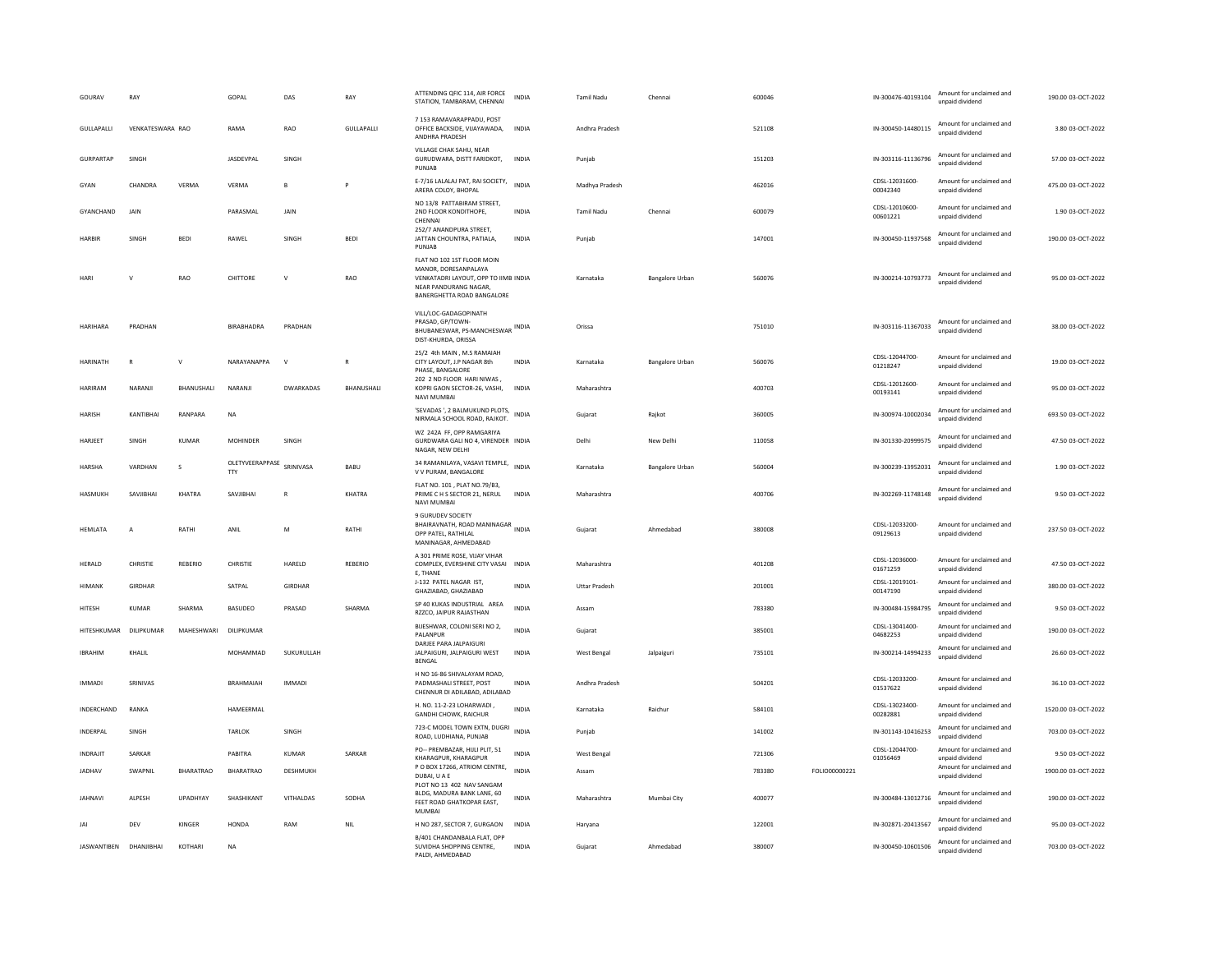| GOURAV                 | RAY              |                  | GOPAL                                   | DAS                     | RAY         | ATTENDING QFIC 114, AIR FORCE<br>STATION, TAMBARAM, CHENNAI                                                                                       | <b>INDIA</b> | Tamil Nadu           | Chenna                 | 600046 |               | IN-300476-40193104         | Amount for unclaimed and<br>unpaid dividend | 190.00 03-OCT-2022  |
|------------------------|------------------|------------------|-----------------------------------------|-------------------------|-------------|---------------------------------------------------------------------------------------------------------------------------------------------------|--------------|----------------------|------------------------|--------|---------------|----------------------------|---------------------------------------------|---------------------|
| GULLAPALLI             | VENKATESWARA RAO |                  | RAMA                                    | <b>RAO</b>              | GULLAPALLI  | 7 153 RAMAVARAPPADU, POST<br>OFFICE BACKSIDE, VIJAYAWADA,<br>ANDHRA PRADESH                                                                       | <b>INDIA</b> | Andhra Pradesh       |                        | 521108 |               | IN-300450-14480115         | Amount for unclaimed and<br>unnaid dividend | 3.80 03-OCT-2022    |
| <b>GURPARTAP</b>       | SINGH            |                  | JASDEVPAL                               | SINGH                   |             | VILLAGE CHAK SAHU. NEAR<br>GURUDWARA, DISTT FARIDKOT,<br>PUNJAB                                                                                   | INDIA        | Punjab               |                        | 151203 |               | IN-303116-11136796         | Amount for unclaimed and<br>unpaid dividend | 57.00 03-OCT-2022   |
| GYAN                   | CHANDRA          | VERMA            | VERMA                                   | $\mathbf{B}$            | P           | E-7/16 LALALAJ PAT, RAI SOCIETY,<br>ARERA COLOY, BHOPAL                                                                                           | <b>INDIA</b> | Madhya Pradesh       |                        | 462016 |               | CDSL-12031600-<br>00042340 | Amount for unclaimed and<br>unpaid dividend | 475.00 03-OCT-2022  |
| GYANCHAND              | JAIN             |                  | PARASMAL                                | JAIN                    |             | NO 13/8 PATTABIRAM STREET,<br>2ND FLOOR KONDITHOPE,<br>CHENNA                                                                                     | INDIA        | Tamil Nadu           | Chennai                | 600079 |               | CDSL-12010600<br>00601221  | Amount for unclaimed and<br>unpaid dividend | 1.90 03-OCT-2022    |
| <b>HARBIR</b>          | SINGH            | <b>BEDI</b>      | RAWEL                                   | SINGH                   | <b>BEDI</b> | 252/7 ANANDPURA STREET,<br>JATTAN CHOUNTRA, PATIALA,<br>PUNJAB                                                                                    | <b>INDIA</b> | Punjab               |                        | 147001 |               | IN-300450-11937568         | Amount for unclaimed and<br>unpaid dividend | 190.00 03-OCT-2022  |
| HARI                   | V                | <b>RAO</b>       | CHITTORE                                | $\mathsf{v}$            | RAO         | FLAT NO 102 1ST FLOOR MOIN<br>MANOR, DORESANPALAYA<br>VENKATADRI LAYOUT, OPP TO IIMB INDIA<br>NEAR PANDURANG NAGAR.<br>BANERGHETTA ROAD BANGALORE |              | Karnataka            | Bangalore Urban        | 560076 |               | IN-300214-10793773         | Amount for unclaimed and<br>unpaid dividend | 95.00 03-OCT-2022   |
| HARIHARA               | PRADHAN          |                  | BIRABHADRA                              | PRADHAN                 |             | VILL/LOC-GADAGOPINATH<br>PRASAD, GP/TOWN-<br>BHUBANESWAR, PS-MANCHESWAR INDIA<br>DIST-KHURDA, ORISSA                                              |              | Orissa               |                        | 751010 |               | IN-303116-11367033         | Amount for unclaimed and<br>unpaid dividend | 38.00 03-OCT-2022   |
| HARINATH               | R                | $\mathbf v$      | NARAYANAPPA                             | $\mathsf{v}$            | R           | 25/2 4th MAIN, M.S RAMAIAH<br>CITY LAYOUT, J.P NAGAR 8th<br>PHASE, BANGALORE                                                                      | <b>INDIA</b> | Karnataka            | <b>Bangalore Urban</b> | 560076 |               | CDSL-12044700-<br>01218247 | Amount for unclaimed and<br>unpaid dividend | 19.00 03-OCT-2022   |
| HARIRAM                | NARANJI          | BHANUSHALI       | NARANJI                                 | <b>DWARKADAS</b>        | BHANUSHALI  | 202 2 ND FLOOR HARI NIWAS<br>KOPRI GAON SECTOR-26, VASHI,<br><b>NAVI MUMBAI</b>                                                                   | <b>INDIA</b> | Maharashtra          |                        | 400703 |               | CDSL-12012600-<br>00193141 | Amount for unclaimed and<br>unpaid dividend | 95.00 03-OCT-2022   |
| HARISH                 | KANTIBHAI        | RANPARA          | NA                                      |                         |             | 'SEVADAS', 2 BALMUKUND PLOTS,<br>NIRMALA SCHOOL ROAD, RAJKOT.                                                                                     | <b>INDIA</b> | Gujarat              | Rajkot                 | 360005 |               | IN-300974-10002034         | Amount for unclaimed and<br>unpaid dividend | 693.50 03-OCT-2022  |
| HARJEET                | SINGH            | <b>KUMAR</b>     | MOHINDER                                | SINGH                   |             | WZ 242A FF, OPP RAMGARIYA<br>GURDWARA GALI NO 4, VIRENDER INDIA<br>NAGAR, NEW DELHI                                                               |              | Delhi                | New Delhi              | 110058 |               | IN-301330-20999575         | Amount for unclaimed and<br>unpaid dividend | 47.50 03-OCT-2022   |
| <b>HARSHA</b>          | VARDHAN          | s                | OLETYVEERAPPASE SRINIVASA<br><b>TTY</b> |                         | BABU        | 34 RAMANILAYA, VASAVI TEMPLE, INDIA<br>V V PURAM, BANGALORE                                                                                       |              | Karnataka            | Bangalore Urban        | 560004 |               | IN-300239-13952031         | Amount for unclaimed and<br>unpaid dividend | 1.90 03-OCT-2022    |
| <b>HASMUKH</b>         | SAVJIBHAI        | KHATRA           | SAVJIBHAI                               | $\overline{\mathsf{R}}$ | KHATRA      | FLAT NO. 101, PLAT NO.79/B3,<br>PRIME C H S SECTOR 21, NERUL<br>NAVI MUMBAI                                                                       | <b>INDIA</b> | Maharashtra          |                        | 400706 |               | IN-302269-11748148         | Amount for unclaimed and<br>unpaid dividend | 9.50 03-OCT-2022    |
| HEMLATA                | A                | RATHI            | ANIL                                    | M                       | RATHI       | 9 GURUDEV SOCIETY<br>BHAIRAVNATH, ROAD MANINAGAR<br>OPP PATEL, RATHILAL<br>MANINAGAR, AHMEDABAD                                                   | <b>INDIA</b> | Gujarat              | Ahmedabad              | 380008 |               | CDSL-12033200-<br>09129613 | Amount for unclaimed and<br>unpaid dividend | 237.50 03-OCT-2022  |
| HERALD                 | CHRISTIE         | REBERIO          | CHRISTIE                                | HARELD                  | REBERIO     | A 301 PRIME ROSE, VIJAY VIHAR<br>COMPLEX, EVERSHINE CITY VASAI INDIA<br>E, THANE                                                                  |              | Maharashtra          |                        | 401208 |               | CDSL-12036000<br>01671259  | Amount for unclaimed and<br>unpaid dividend | 47.50 03-OCT-2022   |
| HIMANK                 | GIRDHAR          |                  | SATPAL                                  | GIRDHAR                 |             | J-132 PATEL NAGAR IST.<br>GHAZIABAD, GHAZIABAD                                                                                                    | INDIA        | <b>Uttar Pradesh</b> |                        | 201001 |               | CDSL-12019101-<br>00147190 | Amount for unclaimed and<br>unpaid dividend | 380.00 03-OCT-2022  |
| HITESH                 | KUMAR            | SHARMA           | BASUDEO                                 | PRASAD                  | SHARMA      | SP 40 KUKAS INDUSTRIAL AREA<br>RZZCO, JAIPUR RAJASTHAN                                                                                            | <b>INDIA</b> | Assam                |                        | 783380 |               | IN-300484-15984795         | Amount for unclaimed and<br>unpaid dividend | 9.50 03-OCT-2022    |
| HITESHKUMAR            | DILIPKUMAR       | MAHESHWARI       | DILIPKUMAR                              |                         |             | BIJESHWAR, COLONI SERI NO 2,<br>PALANPUR<br>DARJEE PARA JALPAIGURI                                                                                | <b>INDIA</b> | Gujarat              |                        | 385001 |               | CDSL-13041400-<br>04682253 | Amount for unclaimed and<br>unpaid dividend | 190.00 03-OCT-2022  |
| <b>IBRAHIM</b>         | KHAI II          |                  | MOHAMMAD                                | <b>SUKURULLAH</b>       |             | JALPAIGURI, JALPAIGURI WEST<br>BENGAL                                                                                                             | <b>INDIA</b> | West Bengal          | Jalpaiguri             | 735101 |               | IN-300214-14994233         | Amount for unclaimed and<br>unpaid dividend | 26.60 03-OCT-2022   |
| <b>IMMADI</b>          | SRINIVAS         |                  | RRAHMAIAH                               | <b>IMMADI</b>           |             | H NO 16-86 SHIVALAYAM ROAD,<br>PADMASHALI STREET, POST<br>CHENNUR DI ADILABAD, ADILABAD                                                           | <b>INDIA</b> | Andhra Pradesh       |                        | 504201 |               | CDSL-12033200-<br>01537622 | Amount for unclaimed and<br>unpaid dividend | 36.10 03-OCT-2022   |
| INDERCHAND             | RANKA            |                  | HAMEERMAL                               |                         |             | H. NO. 11-2-23 LOHARWADI,<br>GANDHI CHOWK, RAICHUR                                                                                                | <b>INDIA</b> | Karnataka            | Raichur                | 584101 |               | CDSL-13023400-<br>00282881 | Amount for unclaimed and<br>unpaid dividend | 1520.00 03-OCT-2022 |
| INDERPAL               | SINGH            |                  | <b>TARLOK</b>                           | SINGH                   |             | 723-C MODEL TOWN EXTN, DUGRI<br>ROAD, LUDHIANA, PUNJAB                                                                                            | <b>INDIA</b> | Punjab               |                        | 141002 |               | IN-301143-10416253         | Amount for unclaimed and<br>unpaid dividend | 703.00 03-OCT-2022  |
| <b>INDRAJIT</b>        | SARKAR           |                  | PABITRA                                 | <b>KUMAR</b>            | SARKAR      | PO-- PREMBAZAR, HIJLI PLIT, 51<br>KHARAGPUR, KHARAGPUR                                                                                            | <b>INDIA</b> | <b>West Bengal</b>   |                        | 721306 |               | CDSL-12044700-<br>01056469 | Amount for unclaimed and<br>unpaid dividend | 9.50 03-OCT-2022    |
| <b>JADHAV</b>          | SWAPNIL          | <b>BHARATRAO</b> | <b>BHARATRAO</b>                        | DESHMUKH                |             | P O BOX 17266, ATRIOM CENTRE,<br>DUBAI, U A E<br>PLOT NO 13 402 NAV SANGAM                                                                        | <b>INDIA</b> | Assam                |                        | 783380 | FOLIO00000221 |                            | Amount for unclaimed and<br>unpaid dividend | 1900.00 03-OCT-2022 |
| <b>JAHNAVI</b>         | ALPESH           | UPADHYAY         | SHASHIKANT                              | VITHALDAS               | SODHA       | BLDG, MADURA BANK LANE, 60<br>FEET ROAD GHATKOPAR EAST,<br><b>MUMBAI</b>                                                                          | <b>INDIA</b> | Maharashtra          | Mumbai City            | 400077 |               | IN-300484-13012716         | Amount for unclaimed and<br>unpaid dividend | 190.00 03-OCT-2022  |
| IAI                    | DFV              | KINGER           | HONDA                                   | RAM                     | NII         | H NO 287, SECTOR 7, GURGAON                                                                                                                       | <b>INDIA</b> | Harvana              |                        | 122001 |               | IN-302871-20413567         | Amount for unclaimed and<br>unpaid dividend | 95.00.03-OCT-2022   |
| JASWANTIBEN DHANJIBHAI |                  | KOTHAR           | <b>NA</b>                               |                         |             | B/401 CHANDANBALA FLAT, OPP<br>SUVIDHA SHOPPING CENTRE,<br>PALDL AHMEDARAD                                                                        | <b>INDIA</b> | Gujarat              | Ahmedabad              | 380007 |               | IN-300450-10601506         | Amount for unclaimed and<br>unpaid dividend | 703.00 03-OCT-2022  |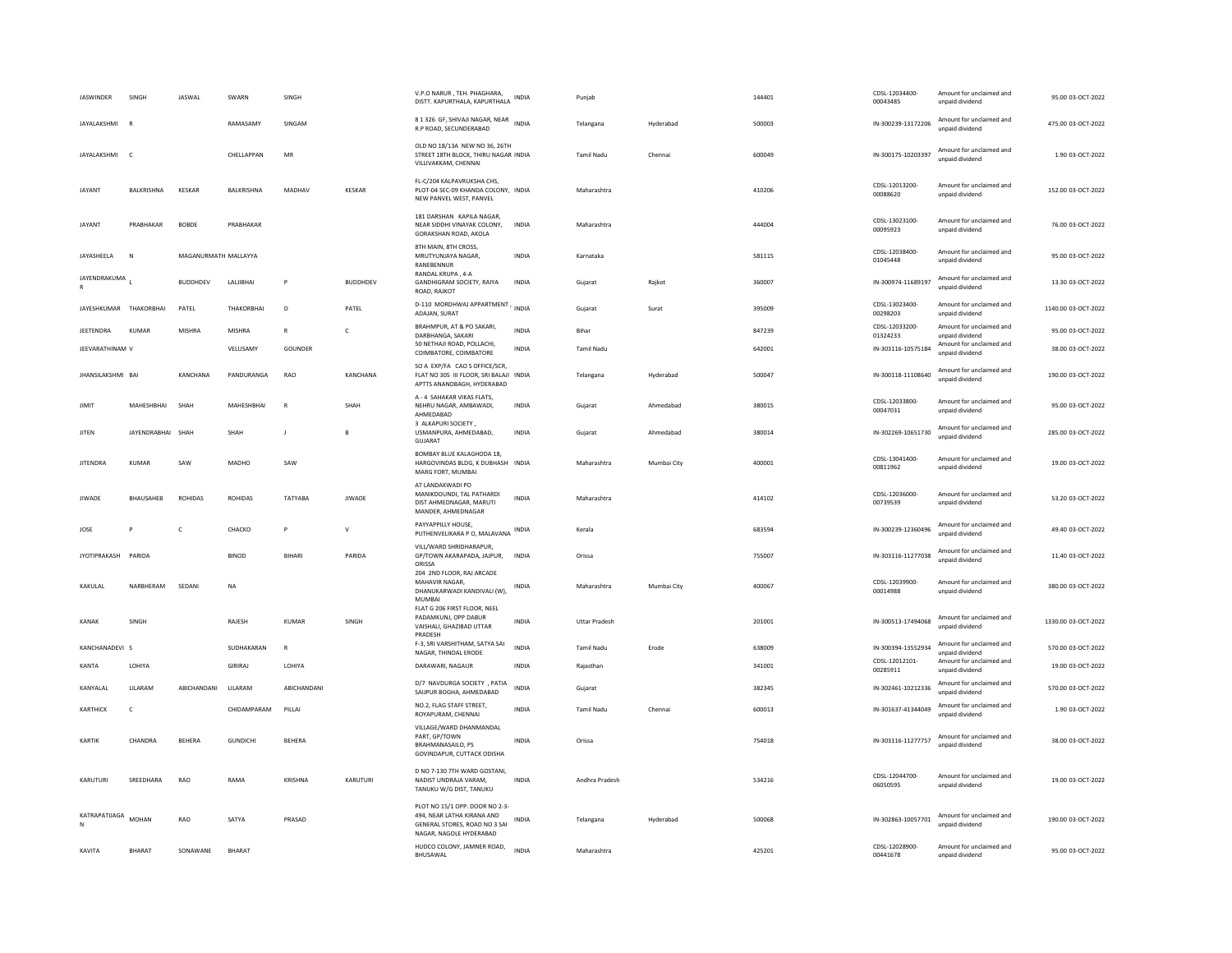| JASWINDER                           | SINGH             | <b>JASWAL</b>        | SWARN                     | SINGH                   |                 | V.P.O NARUR, TEH. PHAGHARA,<br>DISTT. KAPURTHALA, KAPURTHALA                                                             | <b>INDIA</b>                 | Punjab                            |             | 144401           | CDSL-12034400-<br>00043485                       | Amount for unclaimed and<br>unpaid dividend                             | 95.00 03-OCT-2022                      |
|-------------------------------------|-------------------|----------------------|---------------------------|-------------------------|-----------------|--------------------------------------------------------------------------------------------------------------------------|------------------------------|-----------------------------------|-------------|------------------|--------------------------------------------------|-------------------------------------------------------------------------|----------------------------------------|
| JAYALAKSHMI                         | $\mathbb{R}$      |                      | RAMASAMY                  | SINGAM                  |                 | 8 1 326 GF, SHIVAJI NAGAR, NEAR INDIA<br>R.P ROAD, SECUNDERABAD                                                          |                              | Telangana                         | Hyderabad   | 500003           | IN-300239-13172206                               | Amount for unclaimed and<br>unpaid dividend                             | 475.00 03-OCT-2022                     |
| JAYALAKSHMI C                       |                   |                      | CHELLAPPAN                | MR                      |                 | OLD NO 18/13A NEW NO 36, 26TH<br>STREET 18TH BLOCK, THIRU NAGAR INDIA<br>VILLIVAKKAM, CHENNAI                            |                              | Tamil Nadu                        | Chennai     | 600049           | IN-300175-10203397                               | Amount for unclaimed and<br>unpaid dividend                             | 1.90 03-OCT-2022                       |
| JAYANT                              | <b>BALKRISHNA</b> | <b>KESKAR</b>        | BALKRISHNA                | MADHAV                  | <b>KESKAR</b>   | FL-C/204 KALPAVRUKSHA CHS,<br>PLOT-04 SEC-09 KHANDA COLONY, INDIA<br>NEW PANVEL WEST. PANVEL                             |                              | Maharashtra                       |             | 410206           | CDSL-12013200-<br>00088620                       | Amount for unclaimed and<br>unpaid dividend                             | 152.00 03-OCT-2022                     |
| JAYANT                              | PRABHAKAR         | <b>BOBDE</b>         | PRABHAKAR                 |                         |                 | 181 DARSHAN KAPILA NAGAR,<br>NEAR SIDDHI VINAYAK COLONY,<br>GORAKSHAN ROAD, AKOLA                                        | <b>INDIA</b>                 | Maharashtra                       |             | 444004           | CDSL-13023100-<br>00095923                       | Amount for unclaimed and<br>unpaid dividend                             | 76.00 03-OCT-2022                      |
| JAYASHEELA                          | $\mathbb{N}$      | MAGANURMATH MALLAYYA |                           |                         |                 | 8TH MAIN, 8TH CROSS.<br>MRUTYUNJAYA NAGAR,<br>RANEBENNUR                                                                 | <b>INDIA</b>                 | Karnataka                         |             | 581115           | CDSL-12038400-<br>01045448                       | Amount for unclaimed and<br>unpaid dividend                             | 95.00 03-OCT-2022                      |
| JAYENDRAKUMA                        |                   | <b>BUDDHDEV</b>      | LALIBHAI                  | P                       | <b>BUDDHDEV</b> | RANDAL KRUPA, 4-A<br>GANDHIGRAM SOCIETY, RAIYA<br>ROAD, RAJKOT                                                           | <b>INDIA</b>                 | Gujarat                           | Rajkot      | 360007           | IN-300974-11689197                               | Amount for unclaimed and<br>unpaid dividend                             | 13.30 03-OCT-2022                      |
| JAYESHKUMAR THAKORBHAI              |                   | PATEL                | THAKORBHAI                | D                       | PATEL           | D-110 MORDHWAJ APPARTMENT, INDIA<br>ADAJAN, SURAT                                                                        |                              | Gujarat                           | Surat       | 395009           | CDSL-13023400-<br>00298203                       | Amount for unclaimed and<br>unpaid dividend                             | 1140.00 03-OCT-2022                    |
| <b>IFFTENDRA</b><br>JEEVARATHINAM V | KUMAR             | MISHRA               | <b>MISHRA</b><br>VELUSAMY | $\mathbb{R}$<br>GOUNDER | $\mathfrak{c}$  | BRAHMPUR, AT & PO SAKARI,<br>DARBHANGA, SAKARI<br>50 NETHAJI ROAD, POLLACHI,                                             | <b>INDIA</b><br><b>INDIA</b> | <b>Bihar</b><br><b>Tamil Nadu</b> |             | 847239<br>642001 | CDSL-12033200-<br>01324233<br>IN-303116-10575184 | Amount for unclaimed and<br>unpaid dividend<br>Amount for unclaimed and | 95.00 03-OCT-2022<br>38.00 03-OCT-2022 |
|                                     |                   |                      |                           |                         |                 | COIMBATORE, COIMBATORE<br>SO A EXP/FA CAO S OFFICE/SCR.                                                                  |                              |                                   |             |                  |                                                  | unpaid dividend<br>Amount for unclaimed and                             |                                        |
| JHANSILAKSHMI BAI                   |                   | KANCHANA             | PANDURANGA                | RAO                     | KANCHANA        | FLAT NO 305 III FLOOR, SRI BALAJI INDIA<br>APTTS ANANDBAGH, HYDERABAD                                                    |                              | Telangana                         | Hyderabad   | 500047           | IN-300118-11108640                               | unpaid dividend                                                         | 190.00 03-OCT-2022                     |
| <b>JIMIT</b>                        | MAHESHBHAI        | SHAH                 | <b>MAHFSHRHAI</b>         | $\mathbb{R}$            | SHAH            | A - 4 SAHAKAR VIKAS FLATS.<br>NEHRU NAGAR, AMBAWADI,<br>AHMEDABAD<br>3 ALKAPURI SOCIETY                                  | <b>INDIA</b>                 | Gujarat                           | Ahmedabad   | 380015           | CDSL-12033800-<br>00047031                       | Amount for unclaimed and<br>unpaid dividend                             | 95.00 03-OCT-2022                      |
| JITEN                               | JAYENDRABHAI SHAH |                      | SHAH                      | J                       | B               | USMANPURA, AHMEDABAD,<br>GUJARAT                                                                                         | <b>INDIA</b>                 | Gujarat                           | Ahmedabad   | 380014           | IN-302269-10651730                               | Amount for unclaimed and<br>unpaid dividend                             | 285.00 03-OCT-2022                     |
| <b>JITENDRA</b>                     | <b>KUMAR</b>      | SAW                  | MADHO                     | SAW                     |                 | BOMBAY BLUE KALAGHODA 18,<br>HARGOVINDAS BLDG, K DUBHASH INDIA<br>MARG FORT, MUMBAI                                      |                              | Maharashtra                       | Mumbai City | 400001           | CDSL-13041400-<br>00811962                       | Amount for unclaimed and<br>unpaid dividend                             | 19.00 03-OCT-2022                      |
| <b>JIWADE</b>                       | <b>BHAUSAHEB</b>  | <b>ROHIDAS</b>       | <b>ROHIDAS</b>            | TATYABA                 | <b>JIWADE</b>   | AT LANDAKWADI PO<br>MANIKDOUNDI, TAL PATHARDI<br>DIST AHMEDNAGAR, MARUTI<br>MANDER, AHMEDNAGAR                           | <b>INDIA</b>                 | Maharashtra                       |             | 414102           | CDSL-12036000-<br>00739539                       | Amount for unclaimed and<br>unpaid dividend                             | 53.20 03-OCT-2022                      |
| JOSE                                | P                 | $\mathsf{C}$         | СНАСКО                    | P                       | $\mathsf{v}$    | PAYYAPPILLY HOUSE,<br>PUTHENVELIKARA P O, MALAVANA                                                                       | INDIA                        | Kerala                            |             | 683594           | IN-300239-12360496                               | Amount for unclaimed and<br>unpaid dividend                             | 49.40 03-OCT-2022                      |
| <b>IYOTIPRAKASH</b>                 | PARIDA            |                      | <b>BINOD</b>              | <b>BIHARI</b>           | PARIDA          | VILL/WARD SHRIDHARAPUR,<br>GP/TOWN AKARAPADA, JAJPUR,<br>ORISSA                                                          | INDIA                        | Orissa                            |             | 755007           | IN-303116-11277038                               | Amount for unclaimed and<br>unpaid dividend                             | 11.40 03-OCT-2022                      |
| KAKULAI                             | NARRHFRAM         | SEDANI               | <b>NA</b>                 |                         |                 | 204 2ND FLOOR, RAJ ARCADE<br>MAHAVIR NAGAR<br>DHANUKARWADI KANDIVALI (W),<br>MUMBAI                                      | INDIA                        | Maharashtra                       | Mumbai City | 400067           | CDSL-12039900-<br>00014988                       | Amount for unclaimed and<br>unpaid dividend                             | 380.00.03-OCT-2022                     |
| KANAK                               | SINGH             |                      | RAJESH                    | KUMAR                   | SINGH           | FLAT G 206 FIRST FLOOR, NEEL<br>PADAMKUNJ, OPP DABUR<br>VAISHALI, GHAZIBAD UTTAR<br>PRADESH                              | <b>INDIA</b>                 | <b>Uttar Pradesh</b>              |             | 201001           | IN-300513-17494068                               | Amount for unclaimed and<br>unpaid dividend                             | 1330.00 03-OCT-2022                    |
| KANCHANADEVI S                      |                   |                      | SUDHAKARAN                | R                       |                 | F-3, SRI VARSHITHAM, SATYA SAI<br>NAGAR, THINDAL ERODE                                                                   | <b>INDIA</b>                 | <b>Tamil Nadu</b>                 | Erode       | 638009           | IN-300394-13552934                               | Amount for unclaimed and<br>unpaid dividend                             | 570.00 03-OCT-2022                     |
| KANTA                               | LOHIYA            |                      | GIRIRAJ                   | LOHIYA                  |                 | DARAWARI, NAGAUR                                                                                                         | <b>INDIA</b>                 | Rajasthan                         |             | 341001           | CDSL-12012101-<br>00285911                       | Amount for unclaimed and<br>unpaid dividend                             | 19.00 03-OCT-2022                      |
| KANYALAL                            | LILARAM           | ABICHANDANI          | LILARAM                   | ABICHANDANI             |                 | D/7 NAVDURGA SOCIETY , PATIA<br>SAIJPUR BOGHA, AHMEDABAD                                                                 | <b>INDIA</b>                 | Gujarat                           |             | 382345           | IN-302461-10212336                               | Amount for unclaimed and<br>unpaid dividend                             | 570.00 03-OCT-2022                     |
| KARTHICK                            | $\mathsf{C}$      |                      | CHIDAMPARAM               | PILLAI                  |                 | NO.2, FLAG STAFF STREET,<br>ROYAPURAM, CHENNAI                                                                           | <b>INDIA</b>                 | <b>Tamil Nadu</b>                 | Chennai     | 600013           | IN-301637-41344049                               | Amount for unclaimed and<br>unpaid dividend                             | 1.90 03-OCT-2022                       |
| KARTIK                              | CHANDRA           | BEHERA               | <b>GUNDICHI</b>           | BEHERA                  |                 | VILLAGE/WARD DHANMANDAL<br>PART, GP/TOWN<br>BRAHMANASAILO, PS<br>GOVINDAPUR, CUTTACK ODISHA                              | <b>INDIA</b>                 | Orissa                            |             | 754018           | IN-303116-11277757                               | Amount for unclaimed and<br>unpaid dividend                             | 38.00 03-OCT-2022                      |
| KARUTURI                            | SREEDHARA         | RAO                  | RAMA                      | KRISHNA                 | KARUTURI        | D NO 7-130 7TH WARD GOSTANI,<br>NADIST UNDRAIA VARAM.<br>TANUKU W/G DIST, TANUKU                                         | <b>INDIA</b>                 | Andhra Pradesh                    |             | 534216           | CDSL-12044700-<br>06050595                       | Amount for unclaimed and<br>unpaid dividend                             | 19.00 03-OCT-2022                      |
| KATRAPATIJAGA                       | <b>MOHAN</b>      | RAO                  | SATYA                     | PRASAD                  |                 | PLOT NO 15/1 OPP. DOOR NO 2-3-<br>494. NEAR LATHA KIRANA AND<br>GENERAL STORES, ROAD NO 3 SAI<br>NAGAR, NAGOLE HYDERABAD | INDIA                        | Telangana                         | Hyderabad   | 500068           | IN-302863-10057701                               | Amount for unclaimed and<br>unpaid dividend                             | 190.00 03-OCT-2022                     |
| KAVITA                              | <b>BHARAT</b>     | SONAWANE             | BHARAT                    |                         |                 | HUDCO COLONY, JAMNER ROAD,<br>BHUSAWAL                                                                                   | <b>INDIA</b>                 | Maharashtra                       |             | 425201           | CDSL-12028900-<br>00441678                       | Amount for unclaimed and<br>unpaid dividend                             | 95.00 03-OCT-2022                      |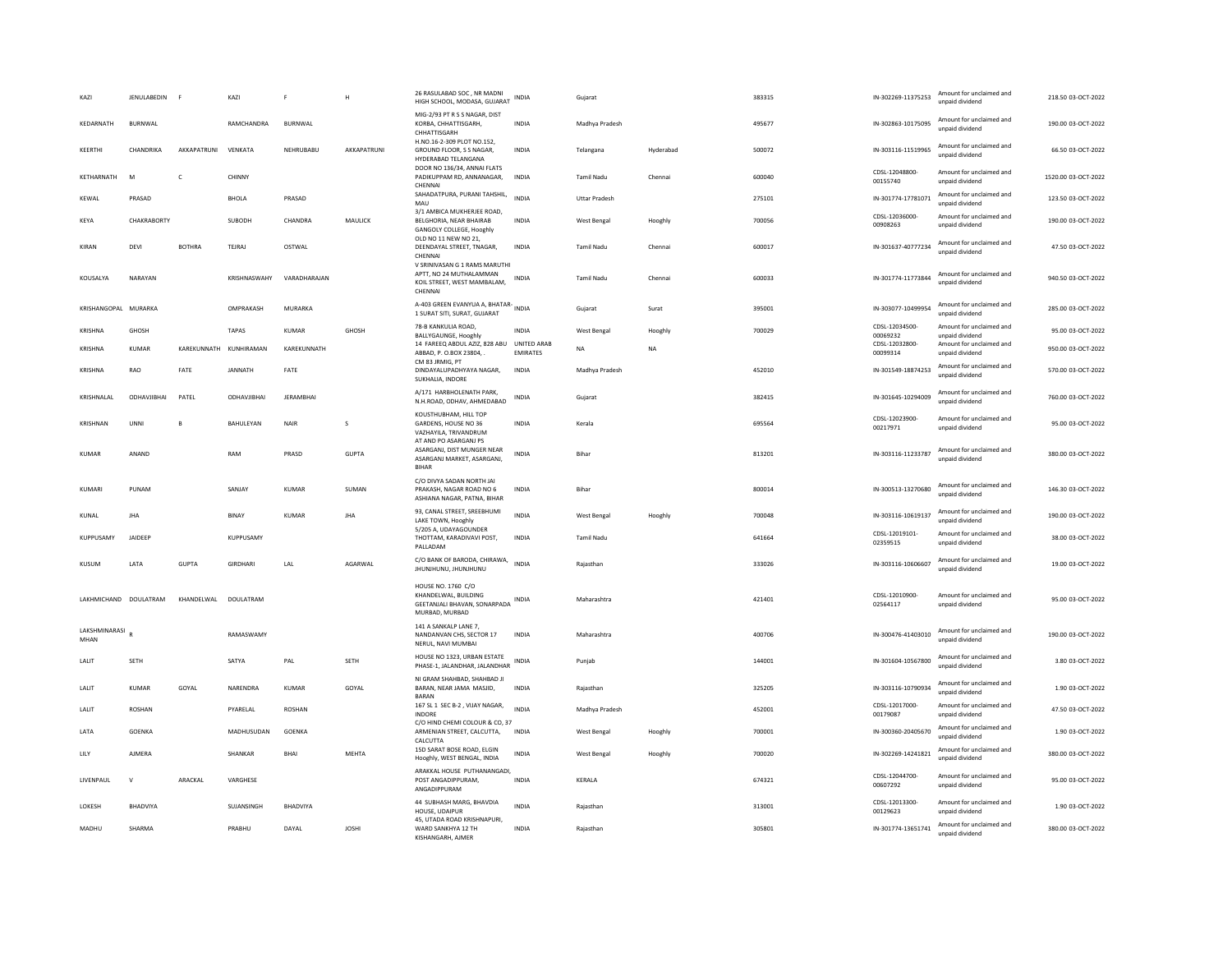| KAZI                  | <b>JENULABEDIN</b> | <b>F</b>      | KAZI                   | F                | H            | 26 RASULABAD SOC, NR MADNI<br>HIGH SCHOOL, MODASA, GUJARAT                                         | INDIA                          | Gujarat              |           | 383315 | IN-302269-11375253         | Amount for unclaimed and<br>unpaid dividend | 218.50 03-OCT-2022  |
|-----------------------|--------------------|---------------|------------------------|------------------|--------------|----------------------------------------------------------------------------------------------------|--------------------------------|----------------------|-----------|--------|----------------------------|---------------------------------------------|---------------------|
| KEDARNATH             | BURNWAL            |               | RAMCHANDRA             | BURNWAL          |              | MIG-2/93 PT R S S NAGAR, DIST<br>KORBA, CHHATTISGARH,<br>CHHATTISGARH                              | INDIA                          | Madhya Pradesh       |           | 495677 | IN-302863-10175095         | Amount for unclaimed and<br>unpaid dividend | 190.00 03-OCT-2022  |
| KEERTHI               | CHANDRIKA          | AKKAPATRUNI   | VFNKATA                | NEHRURABU        | AKKAPATRUNI  | H.NO.16-2-309 PLOT NO.152,<br>GROUND FLOOR, S S NAGAR,<br>HYDERABAD TELANGANA                      | <b>INDIA</b>                   | Telangana            | Hyderabad | 500072 | IN-303116-11519965         | Amount for unclaimed and<br>unpaid dividend | 66.50 03-OCT-2022   |
| KETHARNATH            | M                  | C             | CHINNY                 |                  |              | DOOR NO 136/34, ANNAI FLATS<br>PADIKUPPAM RD, ANNANAGAR,<br>CHENNA                                 | <b>INDIA</b>                   | <b>Tamil Nadu</b>    | Chennai   | 600040 | CDSL-12048800-<br>00155740 | Amount for unclaimed and<br>unpaid dividend | 1520.00 03-OCT-2022 |
| KEWAL                 | PRASAD             |               | BHOLA                  | PRASAD           |              | SAHADATPURA, PURANI TAHSHIL,<br>MAU                                                                | <b>INDIA</b>                   | <b>Uttar Pradesh</b> |           | 275101 | IN-301774-17781071         | Amount for unclaimed and<br>unnaid dividend | 123.50 03-OCT-2022  |
| KEYA                  | CHAKRABORTY        |               | SUBODH                 | CHANDRA          | MAULICK      | 3/1 AMBICA MUKHERJEE ROAD,<br>BELGHORIA, NEAR BHAIRAB<br>GANGOLY COLLEGE, Hooghly                  | <b>INDIA</b>                   | West Bengal          | Hooghly   | 700056 | CDSL-12036000-<br>00908263 | Amount for unclaimed and<br>unpaid dividend | 190.00 03-OCT-2022  |
| KIRAN                 | DEVI               | <b>BOTHRA</b> | TEJRAJ                 | OSTWAL           |              | OLD NO 11 NEW NO 21,<br>DEENDAYAL STREET, TNAGAR,<br>CHENNA                                        | INDIA                          | Tamil Nadu           | Chennai   | 600017 | IN-301637-40777234         | Amount for unclaimed and<br>unpaid dividend | 47.50 03-OCT-2022   |
| KOUSALYA              | NARAYAN            |               | KRISHNASWAHY           | VARADHARAIAN     |              | V SRINIVASAN G 1 RAMS MARUTHI<br>APTT, NO 24 MUTHALAMMAN<br>KOIL STREET, WEST MAMBALAM,<br>CHENNA  | INDIA                          | Tamil Nadu           | Chennai   | 600033 | IN-301774-11773844         | Amount for unclaimed and<br>unpaid dividend | 940.50 03-OCT-2022  |
| KRISHANGOPAL MURARKA  |                    |               | OMPRAKASH              | MURARKA          |              | A-403 GREEN EVANYUA A, BHATAR-<br>1 SURAT SITI, SURAT, GUJARAT                                     |                                | Gujarat              | Surat     | 395001 | IN-303077-10499954         | Amount for unclaimed and<br>unnaid dividend | 285.00 03-OCT-2022  |
| KRISHNA               | <b>GHOSH</b>       |               | <b>TAPAS</b>           | KUMAR            | GHOSH        | 78-B KANKULIA ROAD,<br>BALLYGAUNGE, Hooghly                                                        | <b>INDIA</b>                   | West Bengal          | Hooghly   | 700029 | CDSL-12034500-<br>00069232 | Amount for unclaimed and<br>unpaid dividend | 95.00 03-OCT-2022   |
| KRISHNA               | KUMAR              |               | KARFKUNNATH KUNHIRAMAN | KARFKUNNATH      |              | 14 FAREEQ ABDUL AZIZ, 828 ABU<br>ABBAD, P. O.BOX 23804.<br>CM 83 JRMIG, PT                         | UNITED ARAB<br><b>EMIRATES</b> | NA                   | <b>NA</b> |        | CDSL-12032800-<br>00099314 | Amount for unclaimed and<br>unpaid dividend | 950.00 03-OCT-2022  |
| KRISHNA               | RAO                | FATE          | JANNATH                | FATE             |              | DINDAYALUPADHYAYA NAGAR.<br>SUKHALIA, INDORE                                                       | <b>INDIA</b>                   | Madhya Pradesh       |           | 452010 | IN-301549-18874253         | Amount for unclaimed and<br>unpaid dividend | 570.00 03-OCT-2022  |
| KRISHNALAL            | ODHAVJIBHAI        | PATEL         | ODHAVJIBHAI            | <b>JERAMBHAI</b> |              | A/171 HARBHOLENATH PARK,<br>N.H.ROAD, ODHAV, AHMEDABAD                                             | <b>INDIA</b>                   | Gujarat              |           | 382415 | IN-301645-10294009         | Amount for unclaimed and<br>unpaid dividend | 760.00 03-OCT-2022  |
| KRISHNAN              | <b>UNNI</b>        | B             | <b>BAHULFYAN</b>       | NAIR             | $\mathbf{s}$ | KOUSTHUBHAM, HILL TOP<br>GARDENS, HOUSE NO 36<br>VAZHAYILA, TRIVANDRUM<br>AT AND PO ASARGANJ PS    | <b>INDIA</b>                   | Kerala               |           | 695564 | CDSL-12023900<br>00217971  | Amount for unclaimed and<br>unpaid dividend | 95.00.03-OCT-2022   |
| KUMAR                 | ANAND              |               | RAM                    | PRASD            | <b>GUPTA</b> | ASARGANJ, DIST MUNGER NEAR<br>ASARGANJ MARKET, ASARGANJ,<br><b>BIHAR</b>                           | <b>INDIA</b>                   | Bihar                |           | 813201 | IN-303116-11233787         | Amount for unclaimed and<br>unnaid dividend | 380.00 03-OCT-2022  |
| KUMARI                | PUNAM              |               | SANJAY                 | <b>KUMAR</b>     | SUMAN        | C/O DIVYA SADAN NORTH JAI<br>PRAKASH, NAGAR ROAD NO 6<br>ASHIANA NAGAR, PATNA, BIHAR               | INDIA                          | Bihar                |           | 800014 | IN-300513-13270680         | Amount for unclaimed and<br>unpaid dividend | 146.30 03-OCT-2022  |
| KUNAL                 | JHA                |               | BINAY                  | KUMAR            | <b>JHA</b>   | 93, CANAL STREET, SREEBHUMI<br>LAKE TOWN, Hooghly                                                  | <b>INDIA</b>                   | West Bengal          | Hooghly   | 700048 | IN-303116-10619137         | Amount for unclaimed and<br>unpaid dividend | 190.00 03-OCT-2022  |
| KUPPUSAMY             | JAIDEEP            |               | KUPPUSAMY              |                  |              | 5/205 A, UDAYAGOUNDER<br>THOTTAM, KARADIVAVI POST,<br>PALLADAM                                     | <b>INDIA</b>                   | <b>Tamil Nadu</b>    |           | 641664 | CDSL-12019101-<br>02359515 | Amount for unclaimed and<br>unpaid dividend | 38.00 03-OCT-2022   |
| <b>KUSUM</b>          | <b>I ATA</b>       | <b>GUPTA</b>  | <b>GIRDHARI</b>        | LAL              | AGARWAL      | C/O BANK OF BARODA, CHIRAWA,<br>JHUNJHUNU, JHUNJHUNU                                               | <b>INDIA</b>                   | Raiasthan            |           | 333026 | IN-303116-10606607         | Amount for unclaimed and<br>unpaid dividend | 19.00 03-OCT-2022   |
| LAKHMICHAND DOULATRAM |                    | KHANDELWAL    | DOULATRAM              |                  |              | HOUSE NO. 1760 C/O<br>KHANDELWAL, BUILDING<br>GEETANJALI BHAVAN, SONARPADA INDIA<br>MURBAD, MURBAD |                                | Maharashtra          |           | 421401 | CDSL-12010900-<br>02564117 | Amount for unclaimed and<br>unpaid dividend | 95.00 03-OCT-2022   |
| LAKSHMINARASI<br>MHAN |                    |               | RAMASWAMY              |                  |              | 141 A SANKALP LANE 7.<br>NANDANVAN CHS, SECTOR 17<br>NERUL, NAVI MUMBAI                            | <b>INDIA</b>                   | Maharashtra          |           | 400706 | IN-300476-41403010         | Amount for unclaimed and<br>unpaid dividend | 190.00 03-OCT-2022  |
| LALIT                 | SETH               |               | SATYA                  | PAL              | <b>SETH</b>  | HOUSE NO 1323, URBAN ESTATE<br>PHASE-1, JALANDHAR, JALANDHAR                                       | <b>INDIA</b>                   | Puniab               |           | 144001 | IN-301604-10567800         | Amount for unclaimed and<br>unpaid dividend | 3.80 03-OCT-2022    |
| LALIT                 | KUMAR              | GOYAL         | NARENDRA               | KUMAR            | GOYAL        | NI GRAM SHAHBAD, SHAHBAD JI<br>BARAN, NEAR JAMA MASJID,<br><b>BARAN</b>                            | INDIA                          | Rajasthan            |           | 325205 | IN-303116-10790934         | Amount for unclaimed and<br>unnaid dividend | 1.90 03-OCT-2022    |
| LALIT                 | ROSHAN             |               | PYARELAL               | <b>ROSHAN</b>    |              | 167 SL 1 SEC B-2, VIJAY NAGAR,<br><b>INDORE</b>                                                    | <b>INDIA</b>                   | Madhya Pradesh       |           | 452001 | CDSL-12017000-<br>00179087 | Amount for unclaimed and<br>unpaid dividend | 47.50 03-OCT-2022   |
| LATA                  | <b>GOENKA</b>      |               | MADHUSUDAN             | GOENKA           |              | C/O HIND CHEMI COLOUR & CO, 37<br>ARMENIAN STREET, CALCUTTA,<br><b>CALCUTTA</b>                    | <b>INDIA</b>                   | West Bengal          | Hooghly   | 700001 | IN-300360-20405670         | Amount for unclaimed and<br>unpaid dividend | 1.90 03-OCT-2022    |
| LILY                  | AJMERA             |               | SHANKAR                | BHAI             | MEHTA        | 15D SARAT BOSE ROAD, ELGIN<br>Hooghly, WEST BENGAL, INDIA                                          | <b>INDIA</b>                   | West Bengal          | Hooghly   | 700020 | IN-302269-14241821         | Amount for unclaimed and<br>unpaid dividend | 380.00 03-OCT-2022  |
| LIVENPAUL             | $\mathsf{v}$       | ARACKAL       | VARGHESE               |                  |              | ARAKKAL HOUSE PUTHANANGADI,<br>POST ANGADIPPURAM,<br>ANGADIPPURAM                                  | <b>INDIA</b>                   | KERALA               |           | 674321 | CDSL-12044700-<br>00607292 | Amount for unclaimed and<br>unpaid dividend | 95.00 03-OCT-2022   |
| LOKESH                | <b>BHADVIYA</b>    |               | SUJANSINGH             | <b>BHADVIYA</b>  |              | 44 SUBHASH MARG, BHAVDIA<br>HOUSE, UDAIPUR                                                         | <b>INDIA</b>                   | Raiasthan            |           | 313001 | CDSL-12013300-<br>00129623 | Amount for unclaimed and<br>unpaid dividend | 1.90 03-OCT-2022    |
| MADHU                 | SHARMA             |               | PRABHU                 | DAYAL            | <b>JOSHI</b> | 45, UTADA ROAD KRISHNAPURI.<br>WARD SANKHYA 12 TH<br>KISHANGARH, AJMER                             | <b>INDIA</b>                   | Rajasthan            |           | 305801 | IN-301774-13651741         | Amount for unclaimed and<br>unpaid dividend | 380.00 03-OCT-2022  |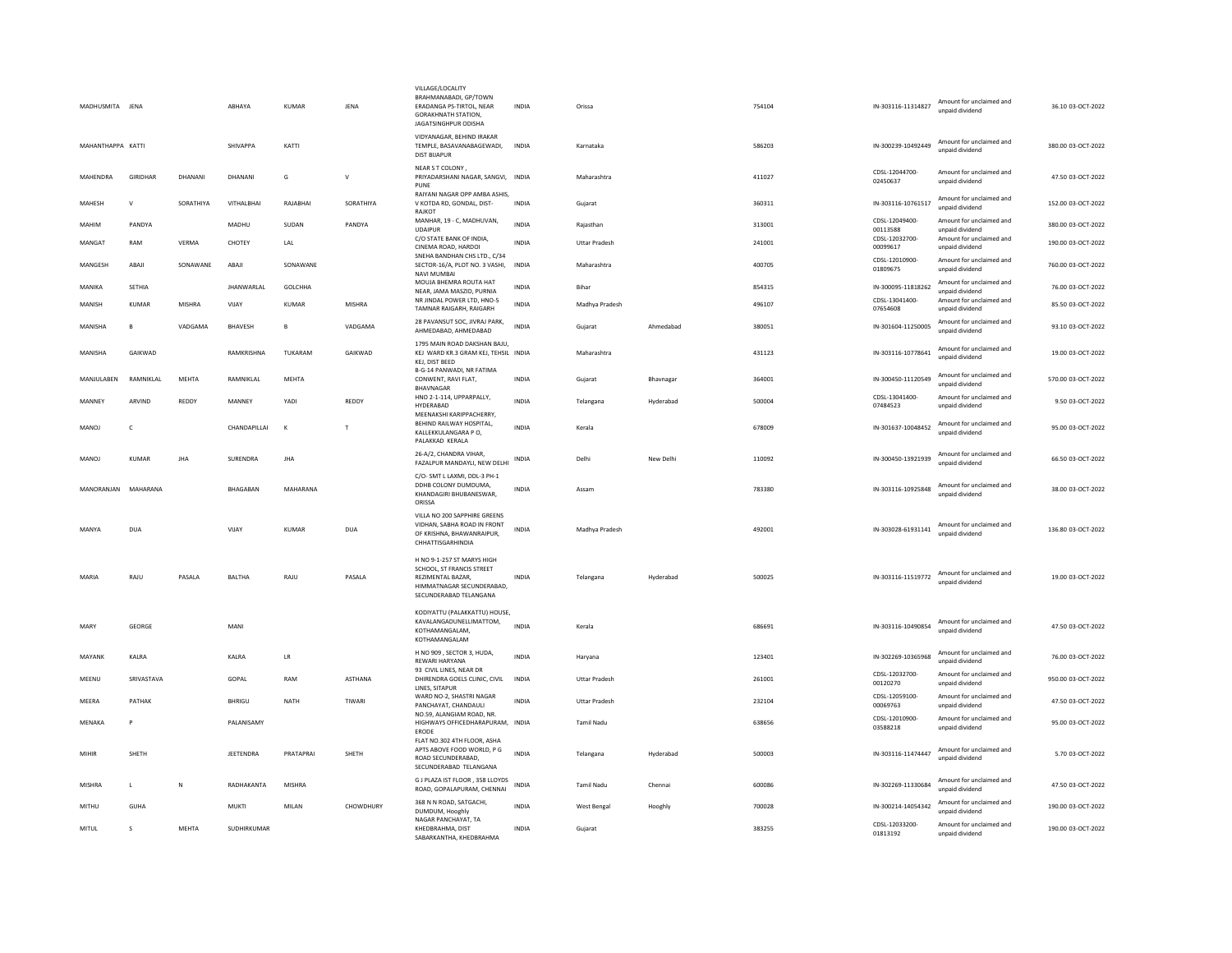| MADHUSMITA JENA     |                 |               | ABHAYA            | <b>KUMAR</b> | JENA          | VILLAGE/LOCALITY<br>BRAHMANABADI, GP/TOWN<br>ERADANGA PS-TIRTOL, NEAR<br><b>GORAKHNATH STATION,</b><br>JAGATSINGHPUR ODISHA         | <b>INDIA</b> | Orissa               |           | 754104 | IN-303116-11314827         | Amount for unclaimed and<br>unnaid dividend | 36.10 03-OCT-2022  |
|---------------------|-----------------|---------------|-------------------|--------------|---------------|-------------------------------------------------------------------------------------------------------------------------------------|--------------|----------------------|-----------|--------|----------------------------|---------------------------------------------|--------------------|
| MAHANTHAPPA KATTI   |                 |               | SHIVAPPA          | KATTI        |               | VIDYANAGAR, BEHIND IRAKAR<br>TEMPLE, BASAVANABAGEWADI.<br><b>DIST BIJAPUR</b>                                                       | <b>INDIA</b> | Karnataka            |           | 586203 | IN-300239-10492449         | Amount for unclaimed and<br>unpaid dividend | 380.00 03-OCT-2022 |
| <b>MAHFNDRA</b>     | <b>GIRIDHAR</b> | DHANANI       | DHANANI           | G            | $\vee$        | NEAR S T COLONY,<br>PRIYADARSHANI NAGAR, SANGVI, INDIA<br>PUNE                                                                      |              | Maharashtra          |           | 411027 | CDSL-12044700-<br>02450637 | Amount for unclaimed and<br>unpaid dividend | 47.50.03-OCT-2022  |
| MAHESH              | $\mathsf{V}$    | SORATHIYA     | VITHALBHAI        | RAJABHAI     | SORATHIYA     | RAIYANI NAGAR OPP AMBA ASHIS.<br>V KOTDA RD, GONDAL, DIST-<br>RAJKOT                                                                | INDIA        | Gujarat              |           | 360311 | IN-303116-10761517         | Amount for unclaimed and<br>unpaid dividend | 152.00 03-OCT-2022 |
| MAHIM               | PANDYA          |               | MADHU             | SUDAN        | PANDYA        | MANHAR, 19 - C, MADHUVAN,<br><b>UDAIPUR</b>                                                                                         | <b>INDIA</b> | Rajasthan            |           | 313001 | CDSL-12049400-<br>00113588 | Amount for unclaimed and<br>unpaid dividend | 380.00 03-OCT-2022 |
| MANGAT              | RAM             | VERMA         | CHOTEY            | LAL          |               | C/O STATE BANK OF INDIA,<br>CINEMA ROAD, HARDOI                                                                                     | <b>INDIA</b> | <b>Uttar Pradesh</b> |           | 241001 | CDSL-12032700-<br>00099617 | Amount for unclaimed and<br>unpaid dividend | 190.00 03-OCT-2022 |
| MANGESH             | ABAJI           | SONAWANE      | ABAJI             | SONAWANE     |               | SNEHA BANDHAN CHS LTD., C/34<br>SECTOR-16/A, PLOT NO. 3 VASHI,<br>NAVI MUMBAI                                                       | <b>INDIA</b> | Maharashtra          |           | 400705 | CDSL-12010900-<br>01809675 | Amount for unclaimed and<br>unpaid dividend | 760.00 03-OCT-2022 |
| MANIKA              | SETHIA          |               | <b>JHANWARLAL</b> | GOLCHHA      |               | MOUJA BHEMRA ROUTA HAT<br>NEAR. JAMA MASZID. PURNIA                                                                                 | <b>INDIA</b> | Bihar                |           | 854315 | IN-300095-11818262         | Amount for unclaimed and<br>unpaid dividend | 76.00 03-OCT-2022  |
| MANISH              | <b>KUMAR</b>    | <b>MISHRA</b> | VIJAY             | <b>KUMAR</b> | <b>MISHRA</b> | NR JINDAL POWER LTD, HNO-5<br>TAMNAR RAIGARH, RAIGARH                                                                               | <b>INDIA</b> | Madhya Pradesh       |           | 496107 | CDSL-13041400-<br>07654608 | Amount for unclaimed and<br>unpaid dividend | 85.50 03-OCT-2022  |
| MANISHA             | $\overline{B}$  | VADGAMA       | BHAVESH           | $\mathbf{B}$ | VADGAMA       | 28 PAVANSUT SOC, JIVRAJ PARK,<br>AHMEDABAD, AHMEDABAD                                                                               | <b>INDIA</b> | Guiarat              | Ahmedahad | 380051 | IN-301604-11250005         | Amount for unclaimed and<br>unpaid dividend | 93.10 03-OCT-2022  |
| MANISHA             | GAIKWAD         |               | RAMKRISHNA        | TUKARAM      | GAIKWAD       | 1795 MAIN ROAD DAKSHAN BAJU,<br>KEJ WARD KR.3 GRAM KEJ, TEHSIL INDIA<br>KEJ, DIST BEED                                              |              | Maharashtra          |           | 431123 | IN-303116-10778641         | Amount for unclaimed and<br>unpaid dividend | 19.00 03-OCT-2022  |
| MANJULABEN          | RAMNIKLAL       | MEHTA         | RAMNIKLAL         | MEHTA        |               | B-G-14 PANWADI, NR FATIMA<br>CONWENT, RAVI FLAT,<br>BHAVNAGAR                                                                       | <b>INDIA</b> | Gujarat              | Bhavnagar | 364001 | IN-300450-11120549         | Amount for unclaimed and<br>unpaid dividend | 570.00 03-OCT-2022 |
| MANNEY              | ARVIND          | REDDY         | MANNEY            | YADI         | REDDY         | HNO 2-1-114. UPPARPALLY.<br>HYDERABAD<br>MEENAKSHI KARIPPACHERRY,                                                                   | <b>INDIA</b> | Telangana            | Hyderabad | 500004 | CDSL-13041400-<br>07484523 | Amount for unclaimed and<br>unpaid dividend | 9.50 03-OCT-2022   |
| MANOJ               | $\epsilon$      |               | CHANDAPILLAI      | $\mathbf k$  | T             | BEHIND RAILWAY HOSPITAL<br>KALLEKKULANGARA P O,<br>PALAKKAD KERALA                                                                  | <b>INDIA</b> | Kerala               |           | 678009 | IN-301637-10048452         | Amount for unclaimed and<br>unpaid dividend | 95.00 03-OCT-2022  |
| MANOJ               | KUMAR           | <b>JHA</b>    | SURENDRA          | <b>JHA</b>   |               | 26-A/2, CHANDRA VIHAR,<br>FAZALPUR MANDAYLI, NEW DELHI                                                                              | INDIA        | Delhi                | New Delh  | 110092 | IN-300450-13921939         | Amount for unclaimed and<br>unpaid dividend | 66.50 03-OCT-2022  |
| MANORANJAN MAHARANA |                 |               | <b>BHAGABAN</b>   | MAHARANA     |               | C/O- SMT L LAXMI, DDL-3 PH-1<br>DDHB COLONY DUMDUMA.<br>KHANDAGIRI BHUBANESWAR.<br>ORISSA                                           | <b>INDIA</b> | Assam                |           | 783380 | IN-303116-10925848         | Amount for unclaimed and<br>unpaid dividend | 38.00 03-OCT-2022  |
| MANYA               | <b>DUA</b>      |               | VIJAY             | KUMAR        | <b>DUA</b>    | VILLA NO 200 SAPPHIRE GREENS<br>VIDHAN, SABHA ROAD IN FRONT<br>OF KRISHNA, BHAWANRAIPUR,<br>CHHATTISGARHINDIA                       | <b>INDIA</b> | Madhya Pradesh       |           | 492001 | IN-303028-61931141         | Amount for unclaimed and<br>unpaid dividend | 136.80 03-OCT-2022 |
| MARIA               | RAJU            | PASALA        | BALTHA            | RAJU         | PASALA        | H NO 9-1-257 ST MARYS HIGH<br>SCHOOL, ST FRANCIS STREET<br>REZIMENTAL BAZAR.<br>HIMMATNAGAR SECUNDERABAD,<br>SECUNDERABAD TELANGANA | <b>INDIA</b> | Telangana            | Hyderabad | 500025 | IN-303116-11519772         | Amount for unclaimed and<br>unpaid dividend | 19.00 03-OCT-2022  |
| MARY                | GEORGE          |               | MANI              |              |               | KODIYATTU (PALAKKATTU) HOUSE,<br>KAVALANGADUNELLIMATTOM,<br>KOTHAMANGALAM,<br>KOTHAMANGALAM                                         | <b>INDIA</b> | Kerala               |           | 686691 | IN-303116-10490854         | Amount for unclaimed and<br>unpaid dividend | 47.50 03-OCT-2022  |
| MAYANK              | KAIRA           |               | <b>KAIRA</b>      | IR           |               | H NO 909, SECTOR 3, HUDA,<br>REWARI HARYANA                                                                                         | <b>INDIA</b> | Haryana              |           | 123401 | IN-302269-10365968         | Amount for unclaimed and<br>unpaid dividend | 76.00.03-OCT-2022  |
| MEENU               | SRIVASTAVA      |               | GOPAL             | RAM          | ASTHANA       | 93 CIVIL LINES, NEAR DR<br>DHIRENDRA GOELS CLINIC. CIVIL<br>LINES, SITAPUR                                                          | <b>INDIA</b> | <b>Uttar Pradesh</b> |           | 261001 | CDSL-12032700-<br>00120270 | Amount for unclaimed and<br>unpaid dividend | 950.00 03-OCT-2022 |
| MEERA               | PATHAK          |               | <b>BHRIGU</b>     | <b>NATH</b>  | TIWARI        | WARD NO-2, SHASTRI NAGAR<br>PANCHAYAT, CHANDAULI                                                                                    | <b>INDIA</b> | Uttar Pradesh        |           | 232104 | CDSL-12059100-<br>00069763 | Amount for unclaimed and<br>unpaid dividend | 47.50 03-OCT-2022  |
| MFNAKA              | P               |               | <b>PALANISAMY</b> |              |               | NO.59, ALANGIAM ROAD, NR<br>HIGHWAYS OFFICEDHARAPURAM, INDIA<br>ERODE                                                               |              | Tamil Nadu           |           | 638656 | CDSL-12010900-<br>03588218 | Amount for unclaimed and<br>unpaid dividend | 95.00.03-OCT-2022  |
| MIHIR               | SHETH           |               | JEETENDRA         | PRATAPRAI    | SHETH         | FLAT NO.302 4TH FLOOR, ASHA<br>APTS ABOVE FOOD WORLD, P G<br>ROAD SECUNDERABAD.<br>SECUNDERABAD TELANGANA                           | <b>INDIA</b> | Telangana            | Hyderabad | 500003 | IN-303116-11474447         | Amount for unclaimed and<br>unnaid dividend | 5.70 03-OCT-2022   |
| MISHRA              | $\mathsf{L}$    | N             | RADHAKANTA        | MISHRA       |               | G J PLAZA IST FLOOR, 358 LLOYDS<br>ROAD, GOPALAPURAM, CHENNAI                                                                       | INDIA        | Tamil Nadu           | Chennai   | 600086 | IN-302269-11330684         | Amount for unclaimed and<br>unpaid dividend | 47.50 03-OCT-2022  |
| MITHU               | GUHA            |               | MUKTI             | MII AN       | CHOWDHURY     | 368 N N ROAD, SATGACHI,<br>DUMDUM, Hooghly                                                                                          | <b>INDIA</b> | West Bengal          | Hooghly   | 700028 | IN-300214-14054342         | Amount for unclaimed and<br>unpaid dividend | 190.00.03-OCT-2022 |
| <b>MITUL</b>        | s               | <b>MEHTA</b>  | SUDHIRKUMAR       |              |               | NAGAR PANCHAYAT, TA<br>KHEDBRAHMA, DIST<br>SABARKANTHA, KHEDBRAHMA                                                                  | <b>INDIA</b> | Gujarat              |           | 383255 | CDSL-12033200-<br>01813192 | Amount for unclaimed and<br>unpaid dividend | 190.00 03-OCT-2022 |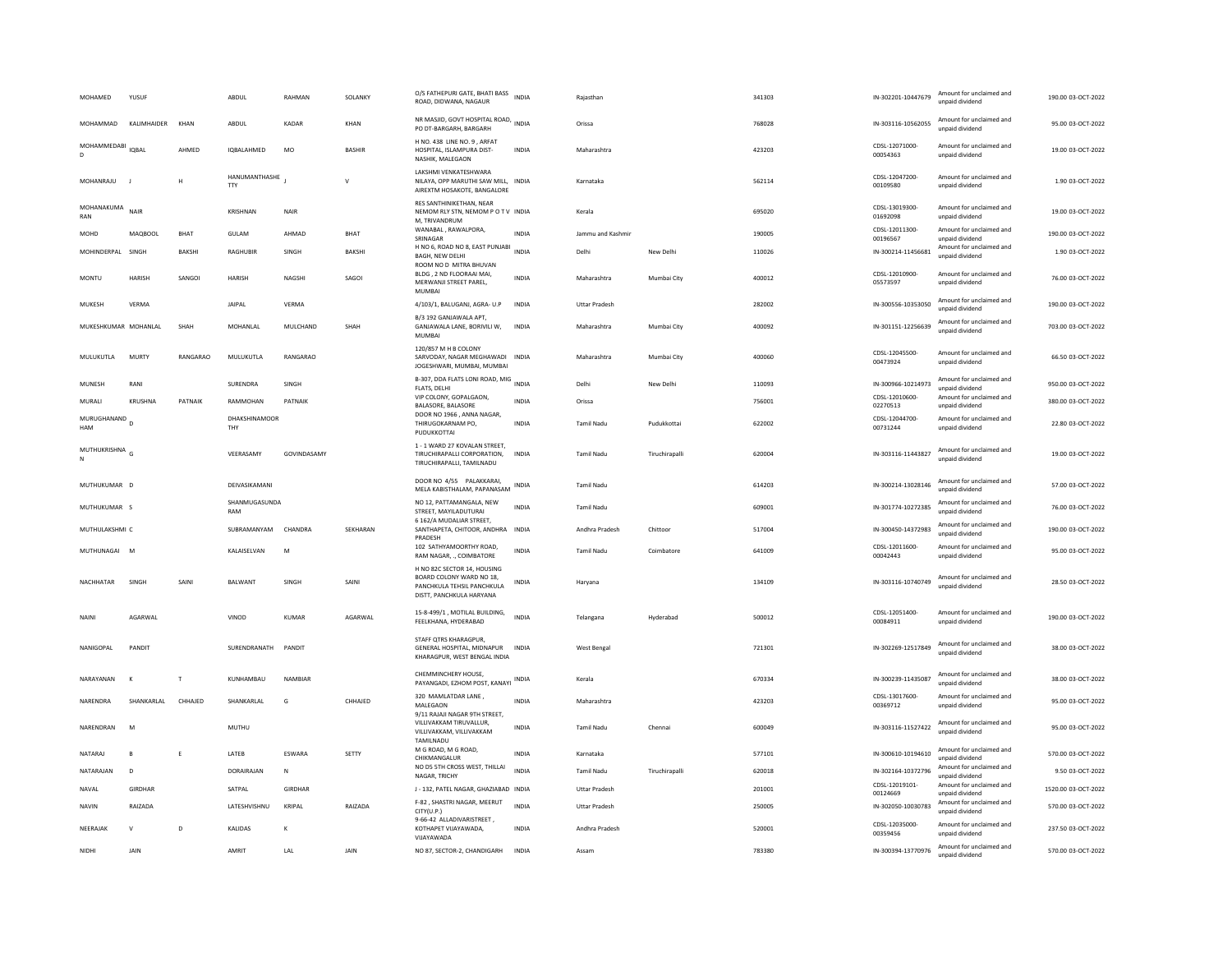| MOHAMED              | YUSUF          |          | ABDUL                       | RAHMAN         | SOLANKY       | O/S FATHEPURI GATE, BHATI BASS<br>ROAD, DIDWANA, NAGAUR                                                           | <b>INDIA</b> | Raiasthan            |                | 341303 | IN-302201-10447679         | Amount for unclaimed and<br>unpaid dividend                             | 190.00 03-OCT-2022  |
|----------------------|----------------|----------|-----------------------------|----------------|---------------|-------------------------------------------------------------------------------------------------------------------|--------------|----------------------|----------------|--------|----------------------------|-------------------------------------------------------------------------|---------------------|
| MOHAMMAD             | KALIMHAIDER    | KHAN     | <b>ABDUI</b>                | KADAR          | KHAN          | NR MASJID, GOVT HOSPITAL ROAD, INDIA<br>PO DT-BARGARH, BARGARH                                                    |              | Orissa               |                | 768028 | IN-303116-10562055         | Amount for unclaimed and<br>unpaid dividend                             | 95.00.03-OCT-2022   |
| MOHAMMEDABI<br>D.    | <b>IQBAL</b>   | AHMED    | IQBALAHMED                  | MO             | <b>BASHIR</b> | H NO. 438 LINE NO. 9, ARFAT<br>HOSPITAL, ISLAMPURA DIST-<br>NASHIK, MALEGAON                                      | <b>INDIA</b> | Maharashtra          |                | 423203 | CDSL-12071000-<br>00054363 | Amount for unclaimed and<br>unpaid dividend                             | 19.00 03-OCT-2022   |
| MOHANRAJU            |                | H        | HANUMANTHASHE<br><b>TTY</b> |                | $\mathsf{v}$  | LAKSHMI VENKATESHWARA<br>NILAYA, OPP MARUTHI SAW MILL, INDIA<br>AIREXTM HOSAKOTE, BANGALORE                       |              | Karnataka            |                | 562114 | CDSL-12047200-<br>00109580 | Amount for unclaimed and<br>unpaid dividend                             | 1.90 03-OCT-2022    |
| MOHANAKUMA<br>RAN    | NAIR           |          | <b>KRISHNAN</b>             | <b>NAIR</b>    |               | RES SANTHINIKETHAN, NEAR<br>NEMOM RLY STN, NEMOM P O T V INDIA<br>M. TRIVANDRUM                                   |              | Kerala               |                | 695020 | CDSL-13019300-<br>01692098 | Amount for unclaimed and<br>unpaid dividend                             | 19.00 03-OCT-2022   |
| <b>MOHD</b>          | MAQBOOL        | BHAT     | <b>GULAM</b>                | AHMAD          | <b>BHAT</b>   | WANABAL, RAWALPORA,<br>SRINAGAR                                                                                   | <b>INDIA</b> | Jammu and Kashmir    |                | 190005 | CDSL-12011300-<br>00196567 | Amount for unclaimed and<br>unpaid dividend                             | 190.00 03-OCT-2022  |
| MOHINDERPAL SINGH    |                | BAKSHI   | RAGHUBIR                    | SINGH          | BAKSHI        | H NO 6, ROAD NO 8, EAST PUNJABI INDIA<br>BAGH, NEW DELHI                                                          |              | Delhi                | New Delhi      | 110026 | IN-300214-11456681         | Amount for unclaimed and<br>unpaid dividend                             | 1.90 03-OCT-2022    |
| <b>MONTU</b>         | HARISH         | SANGOI   | <b>HARISH</b>               | NAGSHI         | SAGOI         | ROOM NO D MITRA BHUVAN<br>BLDG, 2 ND FLOORAAI MAI,<br>MERWANJI STREET PAREL.<br>MUMBAI                            | INDIA        | Maharashtra          | Mumbai City    | 400012 | CDSL-12010900-<br>05573597 | Amount for unclaimed and<br>unpaid dividend                             | 76.00 03-OCT-2022   |
| MUKESH               | VERMA          |          | JAIPAL                      | VERMA          |               | 4/103/1, BALUGANJ, AGRA- U.P                                                                                      | INDIA        | <b>Uttar Pradesh</b> |                | 282002 | IN-300556-10353050         | Amount for unclaimed and<br>unpaid dividend                             | 190.00 03-OCT-2022  |
| MUKESHKUMAR MOHANLAL |                | SHAH     | MOHANI AI                   | MULCHAND       | SHAH          | B/3 192 GANJAWALA APT,<br>GANJAWALA LANE, BORIVILI W,<br>MUMBAI                                                   | <b>INDIA</b> | Maharashtra          | Mumbai City    | 400092 | IN-301151-12256639         | Amount for unclaimed and<br>unpaid dividend                             | 703.00.03-OCT-2022  |
| MULUKUTLA            | MURTY          | RANGARAO | MULUKUTLA                   | RANGARAO       |               | 120/857 M H B COLONY<br>SARVODAY, NAGAR MEGHAWADI INDIA<br>JOGESHWARI, MUMBAI, MUMBAI                             |              | Maharashtra          | Mumbai City    | 400060 | CDSL-12045500-<br>00473924 | Amount for unclaimed and<br>unpaid dividend                             | 66.50 03-OCT-2022   |
| MUNESH               | RANI           |          | SURENDRA                    | SINGH          |               | B-307, DDA FLATS LONI ROAD, MIG INDIA<br>FLATS, DELHI                                                             |              | Delhi                | New Delhi      | 110093 | IN-300966-10214973         | Amount for unclaimed and<br>unpaid dividend                             | 950.00 03-OCT-2022  |
| MURALI               | KRUSHNA        | PATNAIK  | RAMMOHAN                    | PATNAIK        |               | VIP COLONY, GOPALGAON,<br>BALASORE, BALASORE                                                                      | <b>INDIA</b> | Orissa               |                | 756001 | CDSL-12010600-<br>02270513 | Amount for unclaimed and<br>unpaid dividend                             | 380.00 03-OCT-2022  |
| MURUGHANAND<br>HAM   | $\overline{D}$ |          | DHAKSHINAMOOR<br>THY        |                |               | DOOR NO 1966, ANNA NAGAR,<br>THIRUGOKARNAM PO.<br>PUDUKKOTTAI                                                     | INDIA        | Tamil Nadu           | Pudukkottai    | 622002 | CDSL-12044700-<br>00731244 | Amount for unclaimed and<br>unpaid dividend                             | 22.80 03-OCT-2022   |
| MUTHUKRISHNA<br>N    |                |          | VEERASAMY                   | GOVINDASAMY    |               | 1 - 1 WARD 27 KOVALAN STREET,<br>TIRUCHIRAPALLI CORPORATION.<br>TIRUCHIRAPALLI, TAMILNADU                         | <b>INDIA</b> | <b>Tamil Nadu</b>    | Tiruchirapalli | 620004 | IN-303116-11443827         | Amount for unclaimed and<br>unpaid dividend                             | 19.00 03-OCT-2022   |
|                      |                |          |                             |                |               |                                                                                                                   |              |                      |                |        |                            |                                                                         |                     |
| MUTHUKUMAR D         |                |          | DEIVASIKAMANI               |                |               | DOOR NO 4/55 PALAKKARAI,                                                                                          |              | <b>Tamil Nadu</b>    |                | 614203 | IN-300214-13028146         | Amount for unclaimed and<br>unpaid dividend                             | 57.00 03-OCT-2022   |
| MUTHUKUMAR S         |                |          | SHANMUGASUNDA<br>RAM        |                |               | MELA KABISTHALAM, PAPANASAM INDIA<br>NO 12, PATTAMANGALA, NEW<br>STREET, MAYILADUTURAI                            | <b>INDIA</b> | <b>Tamil Nadu</b>    |                | 609001 | IN-301774-10272385         | Amount for unclaimed and<br>unpaid dividend                             | 76.00 03-OCT-2022   |
| MUTHULAKSHMI C       |                |          | SUBRAMANYAM                 | CHANDRA        | SEKHARAN      | 6 162/A MUDALIAR STREET,<br>SANTHAPETA, CHITOOR, ANDHRA INDIA                                                     |              | Andhra Pradesh       | Chittoor       | 517004 | IN-300450-14372983         | Amount for unclaimed and<br>unpaid dividend                             | 190.00 03-OCT-2022  |
| MUTHUNAGAI           | M              |          | KALAISELVAN                 | M              |               | PRADESH<br>102 SATHYAMOORTHY ROAD,<br>RAM NAGAR, ., COIMBATORE                                                    | INDIA        | <b>Tamil Nadu</b>    | Coimbatore     | 641009 | CDSL-12011600-<br>00042443 | Amount for unclaimed and<br>unpaid dividend                             | 95.00 03-OCT-2022   |
| NACHHATAR            | SINGH          | SAINI    | BALWANT                     | SINGH          | SAINI         | H NO 82C SECTOR 14, HOUSING<br>BOARD COLONY WARD NO 18,<br>PANCHKULA TEHSIL PANCHKULA<br>DISTT, PANCHKULA HARYANA | <b>INDIA</b> | Haryana              |                | 134109 | IN-303116-10740749         | Amount for unclaimed and<br>unnaid dividend                             | 28.50 03-OCT-2022   |
| NAINI                | AGARWAI        |          | VINOD                       | <b>KUMAR</b>   | AGARWAL       | 15-8-499/1, MOTILAL BUILDING,<br>FEELKHANA, HYDERABAD                                                             | <b>INDIA</b> | Telangana            | Hyderabad      | 500012 | CDSL-12051400-<br>00084911 | Amount for unclaimed and<br>unnaid dividend                             | 190.00 03-OCT-2022  |
| NANIGOPAL            | PANDIT         |          | SURENDRANATH                | PANDIT         |               | STAFF OTRS KHARAGPUR.<br>GENERAL HOSPITAL, MIDNAPUR<br>KHARAGPUR, WEST BENGAL INDIA                               | <b>INDIA</b> | West Bengal          |                | 721301 | IN-302269-12517849         | Amount for unclaimed and<br>unpaid dividend                             | 38.00 03-OCT-2022   |
| NARAYANAN            | к              | T        | KUNHAMBAU                   | NAMBIAR        |               | CHEMMINCHERY HOUSE,                                                                                               |              | Kerala               |                | 670334 | IN-300239-11435087         | Amount for unclaimed and<br>unpaid dividend                             | 38.00 03-OCT-2022   |
| NARENDRA             | SHANKARLAL     | CHHAJED  | SHANKARLAL                  | G              | CHHAJED       | PAYANGADI, EZHOM POST, KANAYI INDIA<br>320 MAMLATDAR LANE,<br>MALEGAON                                            | <b>INDIA</b> | Maharashtra          |                | 423203 | CDSI-13017600-<br>00369712 | Amount for unclaimed and<br>unpaid dividend                             | 95.00 03-OCT-2022   |
| NARFNDRAN            | M              |          | MUTHU                       |                |               | 9/11 RAJAJI NAGAR 9TH STREET.<br>VILLIVAKKAM TIRUVALLUR,<br>VILLIVAKKAM, VILLIVAKKAM<br>TAMILNADU                 | <b>INDIA</b> | <b>Tamil Nadu</b>    | Chennai        | 600049 | IN-303116-11527422         | Amount for unclaimed and<br>unpaid dividend                             | 95.00 03-OCT-2022   |
| NATARAJ              | $\mathbf{B}$   | E        | LATEB                       | ESWARA         | SETTY         | M G ROAD, M G ROAD,<br>CHIKMANGALUR                                                                               | <b>INDIA</b> | Karnataka            |                | 577101 | IN-300610-10194610         | Amount for unclaimed and<br>unpaid dividend                             | 570.00 03-OCT-2022  |
| NATARAJAN            | D              |          | DORAIRAJAN                  | N              |               | NO D5 5TH CROSS WEST, THILLAI<br>NAGAR, TRICHY                                                                    | <b>INDIA</b> | Tamil Nadu           | Tiruchirapalli | 620018 | IN-302164-10372796         | Amount for unclaimed and<br>unpaid dividend                             | 9.50 03-OCT-2022    |
| NAVAL                | GIRDHAR        |          | SATPAL                      | <b>GIRDHAR</b> |               | J - 132, PATEL NAGAR, GHAZIABAD INDIA                                                                             |              | <b>Uttar Pradesh</b> |                | 201001 | CDSL-12019101-<br>00124669 | Amount for unclaimed and<br>unpaid dividend                             | 1520.00 03-OCT-2022 |
| NAVIN                | RAIZADA        |          | LATESHVISHNU                | KRIPAL         | RAIZADA       | F-82, SHASTRI NAGAR, MEERUT<br>CITY(U.P.)                                                                         | <b>INDIA</b> | <b>Uttar Pradesh</b> |                | 250005 | IN-302050-10030783         | Amount for unclaimed and<br>unpaid dividend                             | 570.00 03-OCT-2022  |
| NEERAJAK             | $\mathsf{V}$   | D        | KALIDAS                     | к              |               | 9-66-42 ALLADIVARISTREET,<br>KOTHAPET VIJAYAWADA,<br>VIIAYAWADA                                                   | <b>INDIA</b> | Andhra Pradesh       |                | 520001 | CDSL-12035000-<br>00359456 | Amount for unclaimed and<br>unpaid dividend<br>Amount for unclaimed and | 237.50 03-OCT-2022  |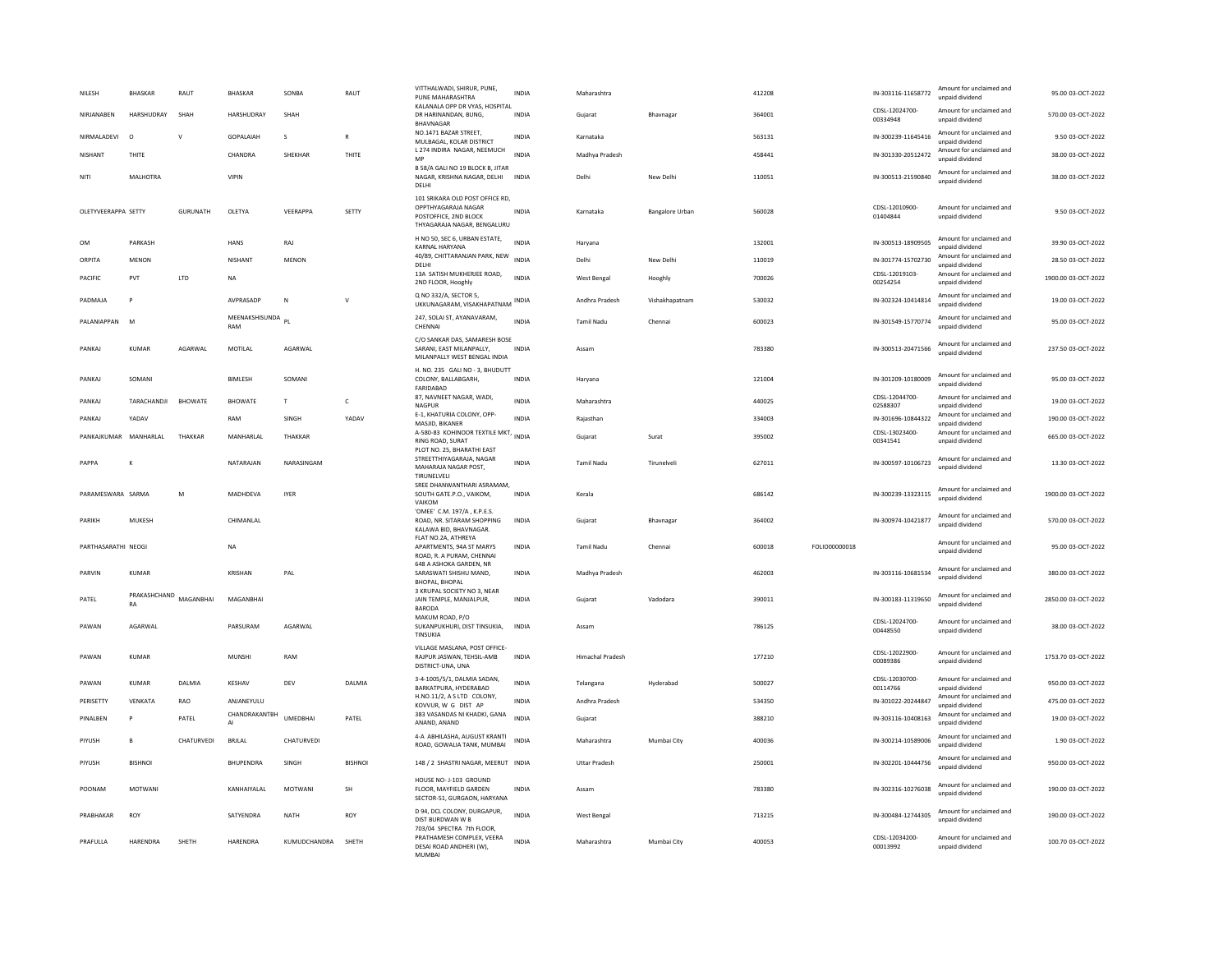| NILESH                | <b>BHASKAR</b>     | RAUT            | <b>BHASKAR</b>           | SONBA           | RAUT           | VITTHALWADI, SHIRUR, PUNE,<br>PUNE MAHARASHTRA                                                                 | <b>INDIA</b> | Maharashtra             |                 | 412208 |               | IN-303116-11658772         | Amount for unclaimed and<br>unnaid dividend | 95.00 03-OCT-2022   |
|-----------------------|--------------------|-----------------|--------------------------|-----------------|----------------|----------------------------------------------------------------------------------------------------------------|--------------|-------------------------|-----------------|--------|---------------|----------------------------|---------------------------------------------|---------------------|
| NIRJANABEN            | HARSHUDRAY         | SHAH            | HARSHUDRAY               | SHAH            |                | KALANALA OPP DR VYAS, HOSPITAL<br>DR HARINANDAN, BUNG.<br><b>BHAVNAGAR</b>                                     | <b>INDIA</b> | Guiarat                 | Bhavnagar       | 364001 |               | CDSL-12024700-<br>00334948 | Amount for unclaimed and<br>unpaid dividend | 570.00 03-OCT-2022  |
| NIRMALADEVI           | $\circ$            | $\vee$          | GOPALAIAH                | s               | $\overline{R}$ | NO.1471 BAZAR STREET.<br>MULBAGAL, KOLAR DISTRICT                                                              | INDIA        | Karnataka               |                 | 563131 |               | IN-300239-11645416         | Amount for unclaimed and<br>unpaid dividend | 9.50 03-OCT-2022    |
| <b>NISHANT</b>        | THITE              |                 | CHANDRA                  | <b>SHEKHAR</b>  | <b>THITE</b>   | L 274 INDIRA NAGAR, NEEMUCH<br>MP                                                                              | <b>INDIA</b> | Madhya Pradesh          |                 | 458441 |               | IN-301330-20512472         | Amount for unclaimed and<br>unpaid dividend | 38.00 03-OCT-2022   |
| NITI                  | MALHOTRA           |                 | <b>VIPIN</b>             |                 |                | B 58/A GALI NO 19 BLOCK B, JITAR<br>NAGAR, KRISHNA NAGAR, DELHI<br>DELHI                                       | <b>INDIA</b> | Delhi                   | New Delhi       | 110051 |               | IN-300513-21590840         | Amount for unclaimed and<br>unpaid dividend | 38.00 03-OCT-2022   |
| OLETYVEERAPPA SETTY   |                    | <b>GURUNATH</b> | OLETYA                   | VEERAPPA        | SETTY          | 101 SRIKARA OLD POST OFFICE RD,<br>OPPTHYAGARAJA NAGAR<br>POSTOFFICE, 2ND BLOCK<br>THYAGARAJA NAGAR, BENGALURU | <b>INDIA</b> | Karnataka               | Bangalore Urban | 560028 |               | CDSL-12010900-<br>01404844 | Amount for unclaimed and<br>unnaid dividend | 9.50 03-OCT-2022    |
| OM                    | PARKASH            |                 | HANS                     | RAJ             |                | H NO 50, SEC 6, URBAN ESTATE,<br>KARNAL HARYANA                                                                | <b>INDIA</b> | Haryana                 |                 | 132001 |               | IN-300513-18909505         | Amount for unclaimed and<br>unnaid dividend | 39.90 03-OCT-2022   |
| ORPITA                | <b>MENON</b>       |                 | <b>NISHANT</b>           | <b>MENON</b>    |                | 40/89, CHITTARANJAN PARK, NEW<br>DELHI                                                                         | <b>INDIA</b> | Delhi                   | New Delhi       | 110019 |               | IN-301774-15702730         | Amount for unclaimed and<br>unpaid dividend | 28.50 03-OCT-2022   |
| PACIFIC               | PVT                | LTD             | <b>NA</b>                |                 |                | 13A SATISH MUKHERJEE ROAD,<br>2ND FLOOR, Hooghly                                                               | <b>INDIA</b> | West Bengal             | Hooghly         | 700026 |               | CDSL-12019103<br>00254254  | Amount for unclaimed and<br>unpaid dividend | 1900.00 03-OCT-2022 |
| PADMAJA               | P                  |                 | AVPRASADP                | N               | v              | Q NO 332/A, SECTOR 5,<br>UKKUNAGARAM, VISAKHAPATNAM                                                            | <b>INDIA</b> | Andhra Pradesh          | Vishakhapatnam  | 530032 |               | IN-302324-10414814         | Amount for unclaimed and<br>unpaid dividend | 19.00 03-OCT-2022   |
| PALANIAPPAN           | M                  |                 | MEENAKSHISUNDA PL<br>RAM |                 |                | 247, SOLAI ST, AYANAVARAM,<br>CHENNAI                                                                          | <b>INDIA</b> | <b>Tamil Nadu</b>       | Chennai         | 600023 |               | IN-301549-15770774         | Amount for unclaimed and<br>unpaid dividend | 95.00 03-OCT-2022   |
| PANKAI                | KUMAR              | AGARWAI         | <b>MOTILAL</b>           | AGARWAI         |                | C/O SANKAR DAS, SAMARESH BOSE<br>SARANI, EAST MILANPALLY.<br>MILANPALLY WEST BENGAL INDIA                      | <b>INDIA</b> | Assam                   |                 | 783380 |               | IN-300513-20471566         | Amount for unclaimed and<br>unpaid dividend | 237.50.03-OCT-2022  |
| PANKAI                | SOMANI             |                 | <b>BIMLESH</b>           | SOMANI          |                | H. NO. 235 GALI NO - 3, BHUDUTT<br>COLONY, BALLABGARH,<br>FARIDABAD                                            | <b>INDIA</b> | Haryana                 |                 | 121004 |               | IN-301209-10180009         | Amount for unclaimed and<br>unpaid dividend | 95.00.03-OCT-2022   |
| PANKAJ                | TARACHANDJI        | <b>BHOWATE</b>  | <b>BHOWATE</b>           | $\mathsf{T}$    | $\mathsf{C}$   | 87, NAVNEET NAGAR, WADI,<br>NAGPUR                                                                             | INDIA        | Maharashtra             |                 | 440025 |               | CDSL-12044700-<br>02588307 | Amount for unclaimed and<br>unpaid dividend | 19.00 03-OCT-2022   |
| PANKAJ                | YADAV              |                 | RAM                      | SINGH           | YADAV          | E-1, KHATURIA COLONY, OPP-<br>MASJID, BIKANER                                                                  | <b>INDIA</b> | Rajasthan               |                 | 334003 |               | IN-301696-10844322         | Amount for unclaimed and<br>unpaid dividend | 190.00 03-OCT-2022  |
| PANKAIKUMAR MANHARIAI |                    | THAKKAR         | MANHARI AI               | THAKKAR         |                | A-580-83 KOHINOOR TEXTILE MKT, INDIA<br><b>RING ROAD, SURAT</b>                                                |              | Gujarat                 | Surat           | 395002 |               | CDSL-13023400<br>00341541  | Amount for unclaimed and<br>unpaid dividend | 665.00.03-OCT-2022  |
| PAPPA                 | K                  |                 | NATARAJAN                | NARASINGAM      |                | PLOT NO. 25, BHARATHI EAST<br>STREETTHIYAGARAJA, NAGAR<br>MAHARAJA NAGAR POST.<br>TIRUNELVELI                  | INDIA        | <b>Tamil Nadu</b>       | Tirunelveli     | 627011 |               | IN-300597-10106723         | Amount for unclaimed and<br>unpaid dividend | 13.30 03-OCT-2022   |
| PARAMESWARA SARMA     |                    | M               | MADHDEVA                 | <b>IYER</b>     |                | SREE DHANWANTHARI ASRAMAM.<br>SOUTH GATE.P.O., VAIKOM,<br>VAIKOM                                               | <b>INDIA</b> | Kerala                  |                 | 686142 |               | IN-300239-13323115         | Amount for unclaimed and<br>unnaid dividend | 1900.00 03-OCT-2022 |
| PARIKH                | <b>MUKESH</b>      |                 | CHIMANLAL                |                 |                | 'OMEE' C.M. 197/A, K.P.E.S.<br>ROAD, NR. SITARAM SHOPPING<br>KALAWA BID, BHAVNAGAR.                            | <b>INDIA</b> | Gujarat                 | Bhavnagar       | 364002 |               | IN-300974-10421877         | Amount for unclaimed and<br>unpaid dividend | 570.00 03-OCT-2022  |
| PARTHASARATHI NEOGI   |                    |                 | NA                       |                 |                | FLAT NO.2A, ATHREYA<br>APARTMENTS, 94A ST MARYS<br>ROAD, R. A PURAM, CHENNAI                                   | <b>INDIA</b> | Tamil Nadu              | Chennai         | 600018 | FOLIO00000018 |                            | Amount for unclaimed and<br>unpaid dividend | 95.00 03-OCT-2022   |
| PARVIN                | KUMAR              |                 | KRISHAN                  | PAI             |                | 648 A ASHOKA GARDEN, NR<br>SARASWATI SHISHU MAND,<br><b>BHOPAL, BHOPAL</b>                                     | <b>INDIA</b> | Madhya Pradesh          |                 | 462003 |               | IN-303116-10681534         | Amount for unclaimed and<br>unpaid dividend | 380.00 03-OCT-2022  |
| PATEL                 | PRAKASHCHAND<br>RA | MAGANRHAI       | MAGANRHAI                |                 |                | 3 KRUPAL SOCIETY NO 3. NEAR<br>JAIN TEMPLE, MANJALPUR,<br>BARODA                                               | <b>INDIA</b> | Gujarat                 | Vadodara        | 390011 |               | IN-300183-11319650         | Amount for unclaimed and<br>unpaid dividend | 2850.00 03-OCT-2022 |
| PAWAN                 | AGARWAL            |                 | PARSURAM                 | AGARWAL         |                | MAKUM ROAD, P/O<br>SUKANPUKHURI, DIST TINSUKIA,<br>TINSUKIA                                                    | INDIA        | Assam                   |                 | 786125 |               | CDSL-12024700<br>00448550  | Amount for unclaimed and<br>unpaid dividend | 38.00 03-OCT-2022   |
| PAWAN                 | KUMAR              |                 | <b>MUNSHI</b>            | RAM             |                | VILLAGE MASLANA, POST OFFICE-<br>RAJPUR JASWAN, TEHSIL-AMB<br>DISTRICT-UNA, UNA                                | INDIA        | <b>Himachal Pradesh</b> |                 | 177210 |               | CDSL-12022900<br>00089386  | Amount for unclaimed and<br>unpaid dividend | 1753.70 03-OCT-2022 |
| PAWAN                 | <b>KUMAR</b>       | DALMIA          | KESHAV                   | DEV             | DALMIA         | 3-4-1005/5/1, DALMIA SADAN,<br>BARKATPURA, HYDERABAD                                                           | <b>INDIA</b> | Telangana               | Hyderabad       | 500027 |               | CDSL-12030700<br>00114766  | Amount for unclaimed and<br>unpaid dividend | 950.00 03-OCT-2022  |
| PERISETTY             | <b>VENKATA</b>     | RAO             | ANJANEYULU               |                 |                | H.NO.11/2, A S LTD COLONY,<br>KOVVUR. W G DIST AP                                                              | <b>INDIA</b> | Andhra Pradesh          |                 | 534350 |               | IN-301022-20244847         | Amount for unclaimed and<br>unpaid dividend | 475.00 03-OCT-2022  |
| PINALBEN              | P                  | PATEL           | CHANDRAKANTBH<br>AI      | <b>UMEDBHAL</b> | PATEL          | 383 VASANDAS NI KHADKI, GANA<br>ANAND, ANAND                                                                   | <b>INDIA</b> | Gujarat                 |                 | 388210 |               | IN-303116-10408163         | Amount for unclaimed and<br>unpaid dividend | 19.00 03-OCT-2022   |
| PIYUSH                | B                  | CHATURVEDI      | BRJLAL                   | CHATURVEDI      |                | 4-A ABHILASHA, AUGUST KRANTI<br>ROAD, GOWALIA TANK, MUMBAI                                                     | <b>INDIA</b> | Maharashtra             | Mumbai City     | 400036 |               | IN-300214-10589006         | Amount for unclaimed and<br>unpaid dividend | 1.90 03-OCT-2022    |
| PIYUSH                | <b>BISHNOL</b>     |                 | BHUPENDRA                | SINGH           | <b>BISHNOL</b> | 148 / 2 SHASTRI NAGAR, MEERUT INDIA                                                                            |              | <b>Uttar Pradesh</b>    |                 | 250001 |               | IN-302201-10444756         | Amount for unclaimed and<br>unnaid dividend | 950.00 03-OCT-2022  |
| POONAM                | <b>MOTWANI</b>     |                 | KANHAIYALAL              | <b>MOTWANI</b>  | <b>SH</b>      | HOUSE NO- J-103 GROUND<br>FLOOR, MAYFIELD GARDEN<br>SECTOR-51, GURGAON, HARYANA                                | <b>INDIA</b> | Assam                   |                 | 783380 |               | IN-302316-10276038         | Amount for unclaimed and<br>unpaid dividend | 190.00 03-OCT-2022  |
| PRABHAKAR             | <b>ROY</b>         |                 | SATYENDRA                | NATH            | ROY            | D 94, DCL COLONY, DURGAPUR,<br>DIST BURDWAN W B<br>703/04 SPECTRA 7th FLOOR,                                   | <b>INDIA</b> | West Bengal             |                 | 713215 |               | IN-300484-12744305         | Amount for unclaimed and<br>unpaid dividend | 190.00 03-OCT-2022  |
| PRAFULLA              | HARENDRA           | SHETH           | HARENDRA                 | KUMUDCHANDRA    | SHETH          | PRATHAMESH COMPLEX, VEERA<br>DESAI ROAD ANDHERI (W),<br>MUMBAI                                                 | <b>INDIA</b> | Maharashtra             | Mumbai City     | 400053 |               | CDSL-12034200-<br>00013992 | Amount for unclaimed and<br>unpaid dividend | 100.70 03-OCT-2022  |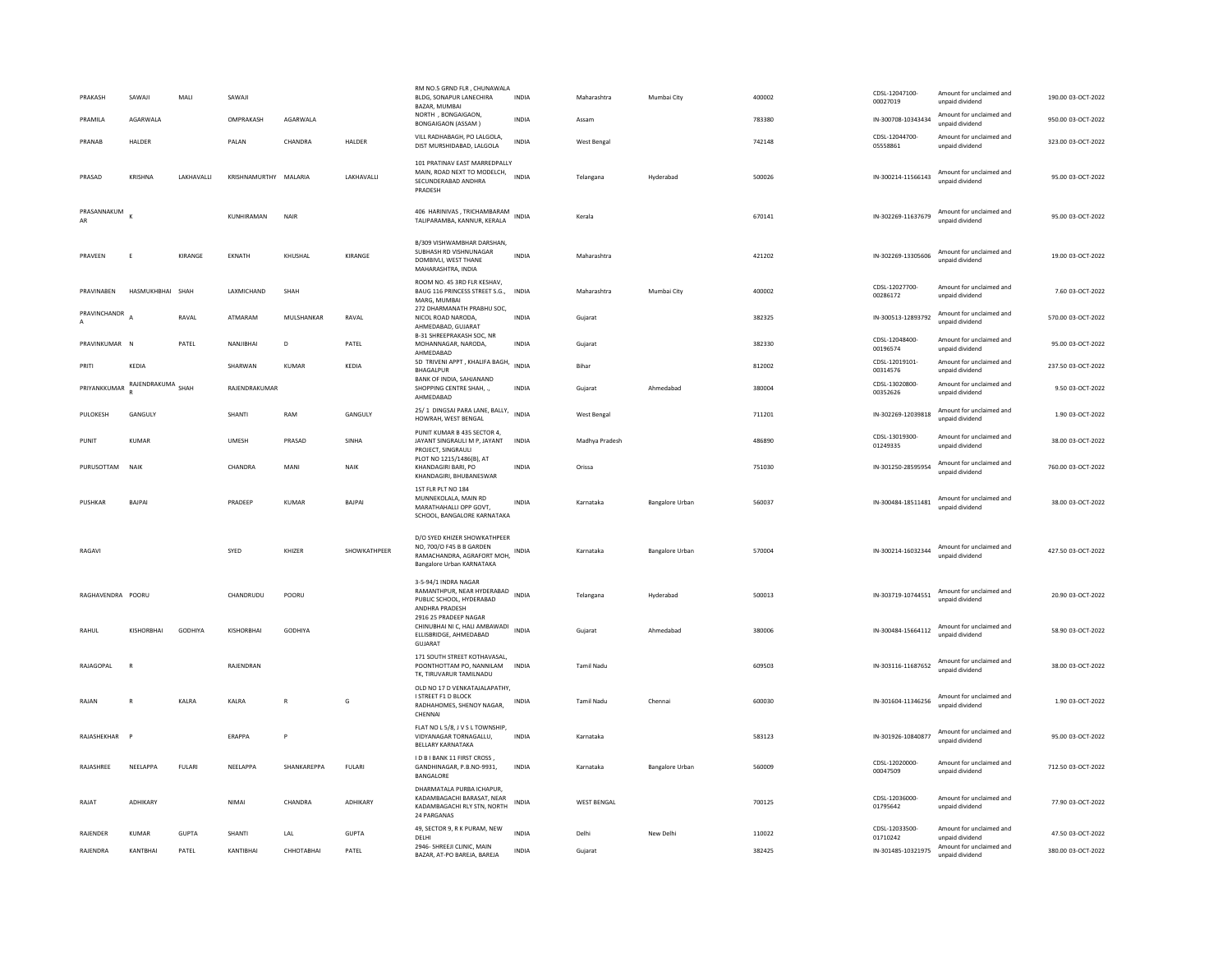| PRAKASH           | SAWAII            | MAI           | SAWAII        |                |                 | RM NO.5 GRND FLR, CHUNAWALA<br>BLDG, SONAPUR LANECHIRA<br>BAZAR, MUMBAI                                                   | INDIA        | Maharashtra        | Mumbai City     | 400002 | CDSL-12047100-<br>00027019 | Amount for unclaimed and<br>unpaid dividend | 190.00.03-OCT-2022 |
|-------------------|-------------------|---------------|---------------|----------------|-----------------|---------------------------------------------------------------------------------------------------------------------------|--------------|--------------------|-----------------|--------|----------------------------|---------------------------------------------|--------------------|
| PRAMILA           | AGARWALA          |               | OMPRAKASH     | AGARWALA       |                 | NORTH, BONGAIGAON,<br><b>BONGAIGAON (ASSAM)</b>                                                                           | <b>INDIA</b> | Assam              |                 | 783380 | IN-300708-10343434         | Amount for unclaimed and<br>unpaid dividend | 950.00 03-OCT-2022 |
| PRANAR            | HAI DER           |               | PAIAN         | CHANDRA        | <b>HALDER</b>   | VILL RADHABAGH, PO LALGOLA,<br>DIST MURSHIDABAD, LALGOLA                                                                  | <b>INDIA</b> | <b>West Bengal</b> |                 | 742148 | CDSL-12044700<br>05558861  | Amount for unclaimed and<br>unpaid dividend | 323.00.03-OCT-2022 |
| PRASAD            | KRISHNA           | LAKHAVALLI    | KRISHNAMURTHY | MALARIA        | LAKHAVALLI      | 101 PRATINAV EAST MARREDPALLY<br>MAIN, ROAD NEXT TO MODELCH,<br>SECUNDERABAD ANDHRA<br>PRADESH                            | <b>INDIA</b> | Telangana          | Hyderabad       | 500026 | IN-300214-11566143         | Amount for unclaimed and<br>unnaid dividend | 95.00 03-OCT-2022  |
| PRASANNAKUM       |                   |               | KUNHIRAMAN    | <b>NAIR</b>    |                 | 406 HARINIVAS, TRICHAMBARAM<br>TALIPARAMBA, KANNUR, KERALA                                                                | <b>INDIA</b> | Kerala             |                 | 670141 | IN-302269-11637679         | Amount for unclaimed and<br>unpaid dividend | 95.00 03-OCT-2022  |
| PRAVFFN           | -F                | KIRANGE       | <b>FKNATH</b> | KHUSHAI        | KIRANGE         | B/309 VISHWAMBHAR DARSHAN.<br>SUBHASH RD VISHNUNAGAR<br>DOMBIVLI, WEST THANE<br>MAHARASHTRA, INDIA                        | <b>INDIA</b> | Maharashtra        |                 | 421202 | IN-302269-13305606         | Amount for unclaimed and<br>unpaid dividend | 19.00.03-OCT-2022  |
| PRAVINABEN        | HASMUKHBHAI       | SHAH          | LAXMICHAND    | SHAH           |                 | ROOM NO. 45 3RD FLR KESHAV,<br>BAUG 116 PRINCESS STREET S.G.,<br>MARG. MUMBAI                                             | <b>INDIA</b> | Maharashtra        | Mumbai City     | 400002 | CDSI-12027700-<br>00286172 | Amount for unclaimed and<br>unpaid dividend | 7.60 03-OCT-2022   |
| PRAVINCHANDR      |                   | RAVAL         | ATMARAM       | MULSHANKAR     | RAVAL           | 272 DHARMANATH PRABHU SOC,<br>NICOL ROAD NARODA.<br>AHMEDABAD, GUJARAT                                                    | <b>INDIA</b> | Gujarat            |                 | 382325 | IN-300513-12893792         | Amount for unclaimed and<br>unpaid dividend | 570.00 03-OCT-2022 |
| PRAVINKUMAR N     |                   | PATFI         | NANJIRHAI     | D.             | PATFI           | B-31 SHREEPRAKASH SOC, NR<br>MOHANNAGAR, NARODA,<br>AHMEDABAD                                                             | <b>INDIA</b> | Gujarat            |                 | 382330 | CDSL-12048400<br>00196574  | Amount for unclaimed and<br>unpaid dividend | 95.00.03-OCT-2022  |
| PRITI             | KEDIA             |               | SHARWAN       | KUMAR          | KEDIA           | 5D TRIVENI APPT, KHALIFA BAGH,<br>BHAGALPUR                                                                               | <b>INDIA</b> | Bihar              |                 | 812002 | CDSL-12019101-<br>00314576 | Amount for unclaimed and<br>unpaid dividend | 237.50 03-OCT-2022 |
| PRIYANKKUMAR      | RAJENDRAKUMA SHAH |               | RAJENDRAKUMAR |                |                 | BANK OF INDIA, SAHJANAND<br>SHOPPING CENTRE SHAH<br>AHMEDABAD                                                             | <b>INDIA</b> | Guiarat            | Ahmedabad       | 380004 | CDSL-13020800-<br>00352626 | Amount for unclaimed and<br>unpaid dividend | 9.50 03-OCT-2022   |
| PULOKESH          | GANGULY           |               | SHANT         | RAM            | GANGULY         | 25/1 DINGSAI PARA LANE, BALLY, INDIA<br>HOWRAH, WEST BENGAL                                                               |              | West Bengal        |                 | 711201 | IN-302269-12039818         | Amount for unclaimed and<br>unpaid dividend | 1.90 03-OCT-2022   |
| PUNIT             | <b>KUMAR</b>      |               | UMESH         | PRASAD         | SINHA           | PUNIT KUMAR B 435 SECTOR 4.<br>JAYANT SINGRAULI M P, JAYANT<br>PROJECT, SINGRAULI                                         | INDIA        | Madhya Pradesh     |                 | 486890 | CDSL-13019300-<br>01249335 | Amount for unclaimed and<br>unpaid dividend | 38.00 03-OCT-2022  |
| PURUSOTTAM        | NAIK              |               | CHANDRA       | MANI           | NAIK            | PLOT NO 1215/1486(B), AT<br>KHANDAGIRI BARI, PO<br>KHANDAGIRI, BHUBANESWAR                                                | <b>INDIA</b> | Orissa             |                 | 751030 | IN-301250-28595954         | Amount for unclaimed and<br>unpaid dividend | 760.00 03-OCT-2022 |
| PUSHKAR           | <b>BAIPA</b>      |               | PRADEEP       | KUMAR          | <b>BAIPAI</b>   | 1ST FLR PLT NO 184<br>MUNNEKOLALA, MAIN RD<br>MARATHAHALLI OPP GOVT,<br>SCHOOL, BANGALORE KARNATAKA                       | <b>INDIA</b> | Karnataka          | Bangalore Urban | 560037 | IN-300484-18511481         | Amount for unclaimed and<br>unpaid dividend | 38.00 03-OCT-2022  |
| RAGAVI            |                   |               | SYED          | KHIZER         | SHOWKATHPEER    | D/O SYED KHIZER SHOWKATHPEER<br>NO. 700/O F45 B B GARDEN<br>RAMACHANDRA, AGRAFORT MOH, INDIA<br>Bangalore Urban KARNATAKA |              | Karnataka          | Bangalore Urban | 570004 | IN-300214-16032344         | Amount for unclaimed and<br>unpaid dividend | 427.50 03-OCT-2022 |
| RAGHAVENDRA POORU |                   |               | CHANDRUDU     | POORU          |                 | 3-5-94/1 INDRA NAGAR<br>RAMANTHPUR, NEAR HYDERABAD<br>PUBLIC SCHOOL, HYDERABAD<br>ANDHRA PRADESH                          | <b>INDIA</b> | Telangana          | Hyderabad       | 500013 | IN-303719-10744551         | Amount for unclaimed and<br>unpaid dividend | 20.90 03-OCT-2022  |
| RAHUL             | KISHORRHAI        | GODHIYA       | KISHORBHAI    | <b>GODHIYA</b> |                 | 2916 25 PRADEEP NAGAR<br>CHINUBHAI NI C, HALI AMBAWADI<br>ELLISBRIDGE, AHMEDABAD<br>GUJARAT                               | INDIA        | Gujarat            | Ahmedabad       | 380006 | IN-300484-15664112         | Amount for unclaimed and<br>unpaid dividend | 58.90 03-OCT-2022  |
| RAJAGOPAL         |                   |               | RAJENDRAN     |                |                 | 171 SOUTH STREET KOTHAVASAL,<br>POONTHOTTAM PO, NANNILAM<br>TK. TIRUVARUR TAMILNADU                                       | INDIA        | Tamil Nadu         |                 | 609503 | IN-303116-11687652         | Amount for unclaimed and<br>unpaid dividend | 38.00 03-OCT-2022  |
| RAJAN             | $\mathbb{R}$      | KALRA         | KALRA         | $\mathbb{R}$   | G               | OLD NO 17 D VENKATAJALAPATHY,<br>I STREET F1 D BLOCK<br>RADHAHOMES, SHENOY NAGAR,<br>CHENNAI                              | INDIA        | <b>Tamil Nadu</b>  | Chennai         | 600030 | IN-301604-11346256         | Amount for unclaimed and<br>unnaid dividend | 1.90 03-OCT-2022   |
| RAJASHEKHAR       |                   |               | <b>ERAPPA</b> | P              |                 | FLAT NO L 5/8, J V S L TOWNSHIP,<br>VIDYANAGAR TORNAGALLU,<br>BELLARY KARNATAKA                                           | <b>INDIA</b> | Karnataka          |                 | 583123 | IN-301926-10840877         | Amount for unclaimed and<br>unpaid dividend | 95.00 03-OCT-2022  |
| RAJASHREE         | NEELAPPA          | <b>FULARI</b> | NEELAPPA      | SHANKAREPPA    | <b>FULARI</b>   | I D B I BANK 11 FIRST CROSS,<br>GANDHINAGAR, P.B.NO-9931,<br>BANGALORE                                                    | <b>INDIA</b> | Karnataka          | Bangalore Urban | 560009 | CDSL-12020000<br>00047509  | Amount for unclaimed and<br>unpaid dividend | 712.50 03-OCT-2022 |
| RAJAT             | ADHIKARY          |               | <b>NIMAI</b>  | CHANDRA        | <b>ADHIKARY</b> | DHARMATALA PURBA ICHAPUR.<br>KADAMBAGACHI BARASAT, NEAR<br>KADAMBAGACHI RLY STN, NORTH<br>24 PARGANAS                     | <b>INDIA</b> | <b>WEST BENGAL</b> |                 | 700125 | CDSL-12036000-<br>01795642 | Amount for unclaimed and<br>unpaid dividend | 77.90 03-OCT-2022  |
| RAJENDER          | <b>KUMAR</b>      | <b>GUPTA</b>  | SHANTI        | LAL            | <b>GUPTA</b>    | 49, SECTOR 9, R K PURAM, NEW<br>DELHI                                                                                     | <b>INDIA</b> | Delhi              | New Delhi       | 110022 | CDSL-12033500-<br>01710242 | Amount for unclaimed and<br>unpaid dividend | 47.50 03-OCT-2022  |
| RAJENDRA          | KANTBHAI          | PATEL         | KANTIBHAI     | СННОТАВНАІ     | PATEL           | 2946- SHREEJI CLINIC, MAIN<br>BAZAR, AT-PO BAREJA, BAREJA                                                                 | <b>INDIA</b> | Gujarat            |                 | 382425 | IN-301485-10321975         | Amount for unclaimed and<br>unpaid dividend | 380.00 03-OCT-2022 |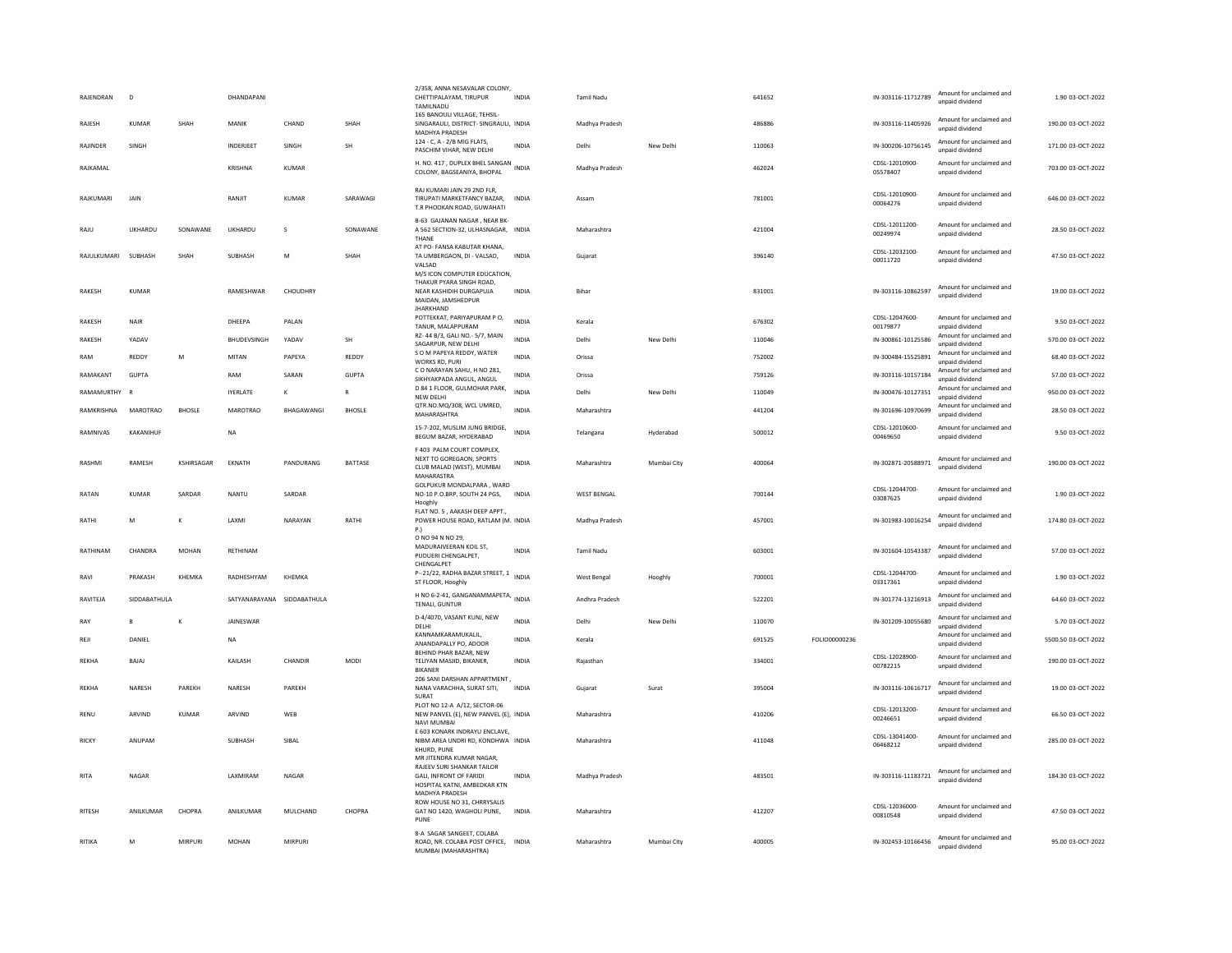| RAJENDRAN     | $\overline{D}$  |               | DHANDAPANI                 |              |               | 2/358, ANNA NESAVALAR COLONY<br>CHETTIPALAYAM, TIRUPUR<br>TAMILNADU                                                           | <b>INDIA</b> | <b>Tamil Nadu</b>  |             | 641652 |               | IN-303116-11712789         | Amount for unclaimed and<br>unpaid dividend | 1.90 03-OCT-2022    |
|---------------|-----------------|---------------|----------------------------|--------------|---------------|-------------------------------------------------------------------------------------------------------------------------------|--------------|--------------------|-------------|--------|---------------|----------------------------|---------------------------------------------|---------------------|
| RAJESH        | <b>KUMAR</b>    | SHAH          | MANIK                      | CHAND        | SHAH          | 165 BANOULI VILLAGE, TEHSIL-<br>SINGARAULI, DISTRICT- SINGRAULI, INDIA<br><b>MADHYA PRADESH</b>                               |              | Madhya Pradesh     |             | 486886 |               | IN-303116-11405926         | Amount for unclaimed and<br>unnaid dividend | 190.00 03-OCT-2022  |
| RAJINDER      | SINGH           |               | INDERJEET                  | SINGH        | <b>SH</b>     | 124 - C, A - 2/B MIG FLATS,<br>PASCHIM VIHAR, NEW DELHI                                                                       | <b>INDIA</b> | Delhi              | New Delhi   | 110063 |               | IN-300206-10756145         | Amount for unclaimed and<br>unpaid dividend | 171.00 03-OCT-2022  |
| RAJKAMAL      |                 |               | <b>KRISHNA</b>             | <b>KUMAR</b> |               | H. NO. 417, DUPLEX BHEL SANGAN<br>COLONY, BAGSEANIYA, BHOPAL                                                                  |              | Madhya Pradesh     |             | 462024 |               | CDSL-12010900-<br>05578407 | Amount for unclaimed and<br>unpaid dividend | 703.00 03-OCT-2022  |
| RAJKUMARI     | JAIN            |               | RANJIT                     | <b>KUMAR</b> | SARAWAGI      | RAJ KUMARI JAIN 29 2ND FLR,<br>TIRUPATI MARKETFANCY BAZAR,<br>T.R PHOOKAN ROAD, GUWAHATI                                      | <b>INDIA</b> | Assam              |             | 781001 |               | CDSL-12010900-<br>00064276 | Amount for unclaimed and<br>unpaid dividend | 646.00 03-OCT-2022  |
| RAJU          | UKHARDU         | SONAWANE      | UKHARDU                    | s            | SONAWANE      | B-63 GAJANAN NAGAR, NEAR BK<br>A 562 SECTION-32, ULHASNAGAR, INDIA<br>THANF                                                   |              | Maharashtra        |             | 421004 |               | CDSL-12011200-<br>00249974 | Amount for unclaimed and<br>unpaid dividend | 28.50 03-OCT-2022   |
| RAJULKUMARI   | SUBHASH         | SHAH          | SUBHASH                    | M            | SHAH          | AT PO- FANSA KABUTAR KHANA,<br>TA UMBERGAON, DI - VALSAD,<br>VALSAD                                                           | <b>INDIA</b> | Guiarat            |             | 396140 |               | CDSL-12032100-<br>00011720 | Amount for unclaimed and<br>unpaid dividend | 47.50 03-OCT-2022   |
| RAKESH        | KUMAR           |               | RAMESHWAR                  | CHOUDHRY     |               | M/S ICON COMPUTER EDUCATION,<br>THAKUR PYARA SINGH ROAD.<br>NEAR KASHIDIH DURGAPUJA<br>MAIDAN, JAMSHEDPUR<br><b>JHARKHAND</b> | INDIA        | Bihar              |             | 831001 |               | IN-303116-10862597         | Amount for unclaimed and<br>unpaid dividend | 19.00 03-OCT-2022   |
| RAKESH        | NAIR            |               | DHEEPA                     | PALAN        |               | POTTEKKAT, PARIYAPURAM PO,<br>TANUR, MALAPPURAM                                                                               | <b>INDIA</b> | Kerala             |             | 676302 |               | CDSL-12047600-<br>00179877 | Amount for unclaimed and<br>unpaid dividend | 9.50 03-OCT-2022    |
| RAKESH        | YADAV           |               | BHUDEVSINGH                | YADAV        | <b>SH</b>     | RZ-44 B/3, GALI NO.-5/7, MAIN<br>SAGARPUR. NEW DELHI                                                                          | <b>INDIA</b> | Delhi              | New Delhi   | 110046 |               | IN-300861-10125586         | Amount for unclaimed and<br>unpaid dividend | 570.00 03-OCT-2022  |
| RAM           | REDDY           | M             | MITAN                      | PAPEYA       | REDDY         | S O M PAPEYA REDDY, WATER<br>WORKS RD, PURI                                                                                   | <b>INDIA</b> | Orissa             |             | 752002 |               | IN-300484-15525891         | Amount for unclaimed and<br>unpaid dividend | 68.40 03-OCT-2022   |
| RAMAKANT      | <b>GUPTA</b>    |               | RAM                        | SARAN        | <b>GUPTA</b>  | C O NARAYAN SAHU, H NO 281,<br>SIKHYAKPADA ANGUL, ANGUL                                                                       | <b>INDIA</b> | Orissa             |             | 759126 |               | IN-303116-10157184         | Amount for unclaimed and<br>unpaid dividend | 57.00 03-OCT-2022   |
| RAMAMURTHY R  |                 |               | <b>IYERLATE</b>            | к            | R             | D 84 1 FLOOR, GULMOHAR PARK,<br>NEW DELHI                                                                                     | <b>INDIA</b> | Delhi              | New Delhi   | 110049 |               | IN-300476-10127351         | Amount for unclaimed and<br>unpaid dividend | 950.00 03-OCT-2022  |
| RAMKRISHNA    | <b>MAROTRAO</b> | <b>BHOSLE</b> | <b>MAROTRAO</b>            | BHAGAWANGI   | <b>BHOSLE</b> | QTR.NO.MQ/308, WCL UMRED,<br>MAHARASHTRA                                                                                      | INDIA        | Maharashtra        |             | 441204 |               | IN-301696-10970699         | Amount for unclaimed and<br>unpaid dividend | 28.50 03-OCT-2022   |
| RAMNIVAS      | KAKANIHUF       |               | NA                         |              |               | 15-7-202, MUSLIM JUNG BRIDGE,<br>BEGUM BAZAR, HYDERABAD                                                                       | <b>INDIA</b> | Telangana          | Hyderabad   | 500012 |               | CDSL-12010600-<br>00469650 | Amount for unclaimed and<br>unpaid dividend | 9.50 03-OCT-2022    |
| RASHMI        | RAMESH          | KSHIRSAGAR    | EKNATH                     | PANDURANG    | BATTASE       | F 403 PALM COURT COMPLEX,<br>NEXT TO GOREGAON, SPORTS<br>CLUB MALAD (WEST), MUMBAI<br>MAHARASTRA                              | INDIA        | Maharashtra        | Mumbai City | 400064 |               | IN-302871-20588971         | Amount for unclaimed and<br>unpaid dividend | 190.00 03-OCT-2022  |
| RATAN         | KUMAR           | SARDAR        | NANTU                      | SARDAR       |               | GOLPUKUR MONDALPARA, WARD<br>NO-10 P.O.BRP, SOUTH 24 PGS,<br>Hooghly                                                          | INDIA        | <b>WEST BENGAL</b> |             | 700144 |               | CDSL-12044700<br>03087625  | Amount for unclaimed and<br>unnaid dividend | 1.90 03-OCT-2022    |
| RATHI         | M               | K             | LAXMI                      | NARAYAN      | RATHI         | FLAT NO. 5, AAKASH DEEP APPT.,<br>POWER HOUSE ROAD, RATLAM (M. INDIA<br>P.                                                    |              | Madhya Pradesh     |             | 457001 |               | IN-301983-10016254         | Amount for unclaimed and<br>unpaid dividend | 174.80 03-OCT-2022  |
| RATHINAM      | CHANDRA         | MOHAN         | RETHINAM                   |              |               | O NO 94 N NO 29,<br>MADURAIVEERAN KOIL ST.<br>PUDUERI CHENGALPET,<br>CHENGALPET                                               | <b>INDIA</b> | Tamil Nadu         |             | 603001 |               | IN-301604-10543387         | Amount for unclaimed and<br>unpaid dividend | 57.00 03-OCT-2022   |
| RAVI          | PRAKASH         | KHEMKA        | RADHESHYAM                 | KHEMKA       |               | P-21/22, RADHA BAZAR STREET, 1<br>ST FLOOR, Hooghly                                                                           | <b>INDIA</b> | West Bengal        | Hooghly     | 700001 |               | CDSL-12044700-<br>03317361 | Amount for unclaimed and<br>unpaid dividend | 1.90 03-OCT-2022    |
| RAVITEJA      | SIDDABATHULA    |               | SATYANARAYANA SIDDABATHULA |              |               | H NO 6-2-41, GANGANAMMAPETA,<br>TENALI, GUNTUR                                                                                | <b>INDIA</b> | Andhra Pradesh     |             | 522201 |               | IN-301774-13216913         | Amount for unclaimed and<br>unpaid dividend | 64.60 03-OCT-2022   |
| RAY           | R.              | K             | <b>IAINFSWAR</b>           |              |               | D-4/4070, VASANT KUNJ, NEW<br>DELHI                                                                                           | <b>INDIA</b> | Delhi              | New Delhi   | 110070 |               | IN-301209-10055680         | Amount for unclaimed and<br>unpaid dividend | 5.70 03-OCT-2022    |
| REJI          | DANIEL          |               | <b>NA</b>                  |              |               | KANNAMKARAMUKAHI.<br>ANANDAPALLY PO, ADOOR                                                                                    | <b>INDIA</b> | Kerala             |             | 691525 | FOLIO00000236 |                            | Amount for unclaimed and<br>unpaid dividend | 5500.50 03-OCT-2022 |
| <b>REKHA</b>  | BAJAJ           |               | KAILASH                    | CHANDIR      | <b>MODI</b>   | BEHIND PHAR BAZAR, NEW<br>TELIYAN MASJID, BIKANER.<br><b>BIKANER</b>                                                          | INDIA        | Rajasthan          |             | 334001 |               | CDSL-12028900-<br>00782215 | Amount for unclaimed and<br>unpaid dividend | 190.00 03-OCT-2022  |
| REKHA         | NARESH          | PAREKH        | NARESH                     | PAREKH       |               | 206 SANI DARSHAN APPARTMENT,<br>NANA VARACHHA, SURAT SITI,<br>SURAT                                                           | <b>INDIA</b> | Gujarat            | Surat       | 395004 |               | IN-303116-10616717         | Amount for unclaimed and<br>unpaid dividend | 19.00 03-OCT-2022   |
| <b>RENU</b>   | ARVIND          | <b>KUMAR</b>  | ARVIND                     | WEB          |               | PLOT NO 12-A A/12, SECTOR-06<br>NEW PANVEL (E), NEW PANVEL (E), INDIA<br>NAVI MUMBAI                                          |              | Maharashtra        |             | 410206 |               | CDSL-12013200-<br>00246651 | Amount for unclaimed and<br>unpaid dividend | 66.50 03-OCT-2022   |
| <b>RICKY</b>  | ANUPAN          |               | SUBHASH                    | SIBAL        |               | E 603 KONARK INDRAYU ENCLAVE.<br>NIBM AREA UNDRI RD, KONDHWA INDIA<br>KHURD, PUNE<br>MR JITENDRA KUMAR NAGAR,                 |              | Maharashtra        |             | 411048 |               | CDSL-13041400-<br>06468212 | Amount for unclaimed and<br>unpaid dividend | 285.00 03-OCT-2022  |
| RITA          | <b>NAGAR</b>    |               | <b>I AXMIRAM</b>           | <b>NAGAR</b> |               | RAJEEV SURI SHANKAR TAILOR<br>GALL INFRONT OF FARIDI<br>HOSPITAL KATNI, AMBEDKAR KTN<br>MADHYA PRADESH                        | <b>INDIA</b> | Madhya Pradesh     |             | 483501 |               | IN-303116-11183721         | Amount for unclaimed and<br>unpaid dividend | 184.30.03-OCT-2022  |
| <b>RITESH</b> | ANILKUMAR       | CHOPRA        | ANILKUMAR                  | MULCHAND     | CHOPRA        | ROW HOUSE NO 31, CHRRYSALIS<br>GAT NO 1420, WAGHOLI PUNE,<br>PUNF                                                             | <b>INDIA</b> | Maharashtra        |             | 412207 |               | CDSL-12036000<br>00810548  | Amount for unclaimed and<br>unpaid dividend | 47.50 03-OCT-2022   |
| RITIKA        | M               | <b>MIRPUR</b> | <b>MOHAN</b>               | MIRPURI      |               | 8-A SAGAR SANGEET, COLABA<br>ROAD, NR. COLABA POST OFFICE, INDIA<br>MUMBAI (MAHARASHTRA)                                      |              | Maharashtra        | Mumbai City | 400005 |               | IN-302453-10166456         | Amount for unclaimed and<br>unpaid dividend | 95.00 03-OCT-2022   |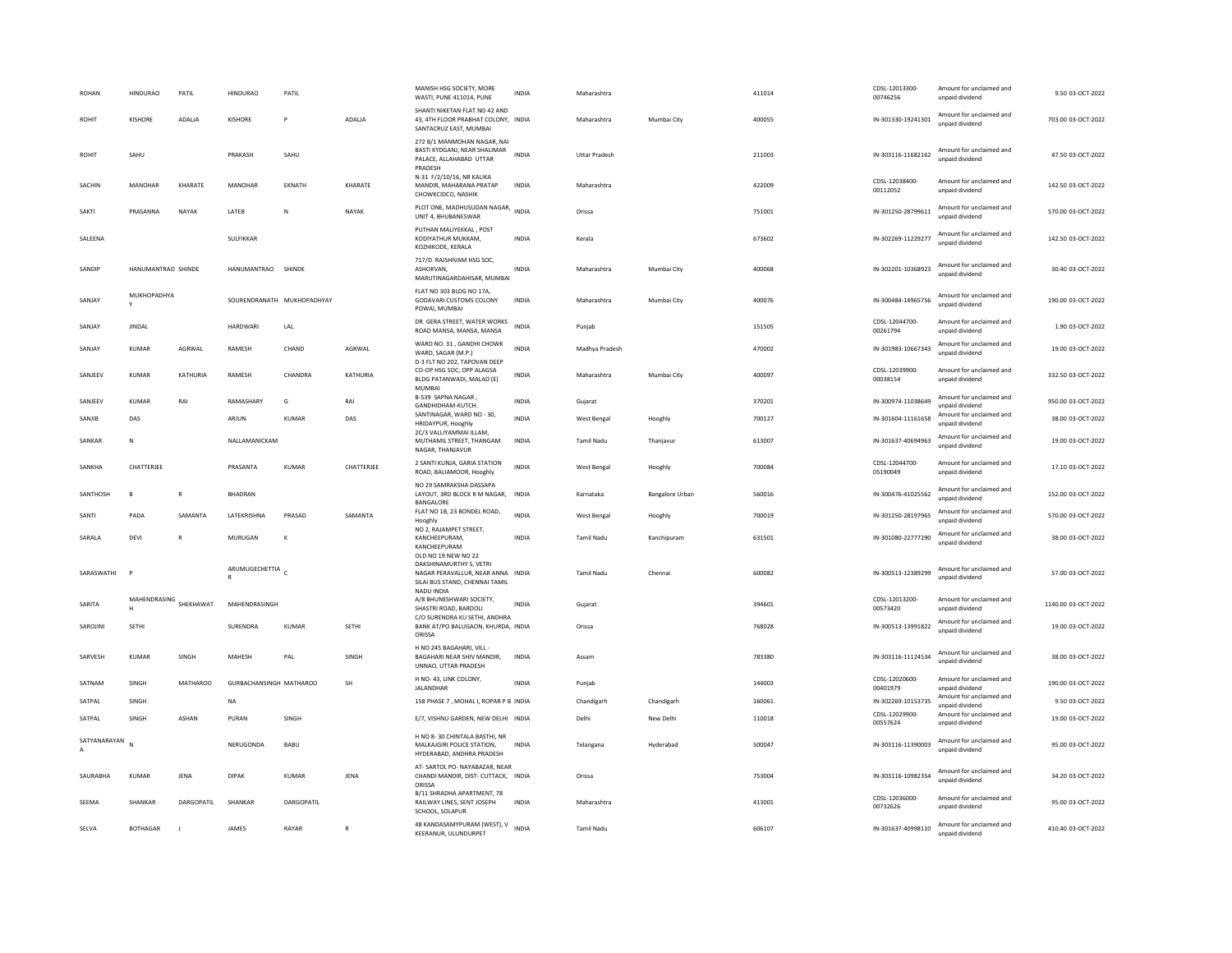| <b>ROHAN</b>                   | <b>HINDURAO</b>             | PATIL           | <b>HINDURAO</b>         | PATIL                      |              | MANISH HSG SOCIETY, MORE<br>WASTI, PUNE 411014, PUNE                                                                  | <b>INDIA</b> | Maharashtra          |                 | 411014 | CDSL-12013300-<br>00746256 | Amount for unclaimed and<br>unpaid dividend | 9.50 03-OCT-2022    |
|--------------------------------|-----------------------------|-----------------|-------------------------|----------------------------|--------------|-----------------------------------------------------------------------------------------------------------------------|--------------|----------------------|-----------------|--------|----------------------------|---------------------------------------------|---------------------|
| <b>ROHIT</b>                   | <b>KISHORE</b>              | ADALIA          | KISHORE                 | P                          | ADALIA       | SHANTI NIKETAN FLAT NO 42 AND<br>43. 4TH FLOOR PRABHAT COLONY. INDIA<br>SANTACRUZ EAST, MUMBAI                        |              | Maharashtra          | Mumbai City     | 400055 | IN-301330-19241301         | Amount for unclaimed and<br>unpaid dividend | 703.00 03-OCT-2022  |
| <b>ROHIT</b>                   | SAHU                        |                 | PRAKASH                 | SAHU                       |              | 272 B/1 MANMOHAN NAGAR, NAI<br>BASTI KYDGANJ, NEAR SHALIMAR<br>PALACE, ALLAHABAD UTTAR<br>PRADESH                     | <b>INDIA</b> | <b>Uttar Pradesh</b> |                 | 211003 | IN-303116-11682162         | Amount for unclaimed and<br>unpaid dividend | 47.50 03-OCT-2022   |
| <b>SACHIN</b>                  | MANOHAR                     | KHARATE         | MANOHAR                 | <b>FKNATH</b>              | KHARATF      | N-31 F/2/10/16, NR KALIKA<br>MANDIR, MAHARANA PRATAP<br>CHOWKCIDCO, NASHIK                                            | <b>INDIA</b> | Maharashtra          |                 | 422009 | CDSL-12038400<br>00112052  | Amount for unclaimed and<br>unpaid dividend | 142.50 03-OCT-2022  |
| SAKTI                          | PRASANNA                    | NAYAK           | LATEB                   | N                          | NAYAK        | PLOT ONE, MADHUSUDAN NAGAR, INDIA<br>UNIT 4, BHUBANESWAR                                                              |              | Orissa               |                 | 751001 | IN-301250-28799611         | Amount for unclaimed and<br>unpaid dividend | 570.00 03-OCT-2022  |
| SALEENA                        |                             |                 | SULFIKKAR               |                            |              | PUTHAN MALIYEKKAL, POST<br>KODIYATHUR MUKKAM,<br>KOZHIKODE, KERALA                                                    | <b>INDIA</b> | Kerala               |                 | 673602 | IN-302269-11229277         | Amount for unclaimed and<br>unpaid dividend | 142.50 03-OCT-2022  |
| SANDIP                         | HANUMANTRAO SHINDE          |                 | HANUMANTRAO SHINDE      |                            |              | 717/D RAJSHIVAM HSG SOC,<br>ASHOKVAN,<br>MARUTINAGARDAHISAR, MUMBAI                                                   | <b>INDIA</b> | Maharashtra          | Mumbai City     | 400068 | IN-302201-10368923         | Amount for unclaimed and<br>unnaid dividend | 30.40 03-OCT-2022   |
| SANJAY                         | MUKHOPADHYA<br>Y            |                 |                         | SOURENDRANATH MUKHOPADHYAY |              | FLAT NO 303 BLDG NO 17A<br>GODAVARI CUSTOMS COLONY<br>POWAI, MUMBAI                                                   | INDIA        | Maharashtra          | Mumbai City     | 400076 | IN-300484-14965756         | Amount for unclaimed and<br>unpaid dividend | 190.00 03-OCT-2022  |
| SANJAY                         | <b>JINDAI</b>               |                 | HARDWARI                | LAL                        |              | DR. GERA STREET, WATER WORKS<br>ROAD MANSA, MANSA, MANSA                                                              | <b>INDIA</b> | Punjab               |                 | 151505 | CDSL-12044700-<br>00261794 | Amount for unclaimed and<br>unpaid dividend | 1.90 03-OCT-2022    |
| SANJAY                         | <b>KUMAR</b>                | AGRWAL          | RAMESH                  | CHAND                      | AGRWAL       | WARD NO. 31, GANDHI CHOWK<br>WARD, SAGAR (M,P.)<br>D-3 FLT NO 202, TAPOVAN DEEP                                       | <b>INDIA</b> | Madhya Pradesh       |                 | 470002 | IN-301983-10667343         | Amount for unclaimed and<br>unpaid dividend | 19.00 03-OCT-2022   |
| SANJEEV                        | <b>KUMAR</b>                | KATHURIA        | RAMESH                  | CHANDRA                    | KATHURIA     | CO-OP HSG SOC, OPP ALAGSA<br>BLDG PATANWADI, MALAD (E)<br><b>MUMBAI</b>                                               | <b>INDIA</b> | Maharashtra          | Mumbai City     | 400097 | CDSL-12039900<br>00038154  | Amount for unclaimed and<br>unpaid dividend | 332.50 03-OCT-2022  |
| SANJEEV                        | <b>KUMAR</b>                | RAI             | RAMASHARY               | G                          | RAI          | B-539 SAPNA NAGAR.<br>GANDHIDHAM-KUTCH.                                                                               | <b>INDIA</b> | Gujarat              |                 | 370201 | IN-300974-11038649         | Amount for unclaimed and<br>unpaid dividend | 950.00 03-OCT-2022  |
| SANJIB                         | DAS                         |                 | ARJUN                   | <b>KUMAR</b>               | DAS          | SANTINAGAR, WARD NO - 30,<br>HRIDAYPUR, Hooghly                                                                       | <b>INDIA</b> | West Bengal          | Hooghly         | 700127 | IN-301604-11161658         | Amount for unclaimed and<br>unpaid dividend | 38.00 03-OCT-2022   |
| SANKAR                         | N                           |                 | NALLAMANICKAM           |                            |              | 2C/3 VALLIYAMMAI ILLAM<br>MUTHAMIL STREET, THANGAM<br>NAGAR, THANJAVUR                                                | INDIA        | Tamil Nadu           | Thanjavur       | 613007 | IN-301637-40694963         | Amount for unclaimed and<br>unpaid dividend | 19.00 03-OCT-2022   |
| SANKHA                         | CHATTERJEE                  |                 | PRASANTA                | <b>KUMAR</b>               | CHATTERJEE   | 2 SANTI KUNJA, GARIA STATION<br>ROAD, BALIAMOOR, Hooghly                                                              | <b>INDIA</b> | West Bengal          | Hooghly         | 700084 | CDSL-12044700-<br>05190049 | Amount for unclaimed and<br>unpaid dividend | 17.10 03-OCT-2022   |
| SANTHOSH                       | B                           | $\mathsf{R}$    | BHADRAN                 |                            |              | NO 29 SAMRAKSHA DASSAPA<br>LAYOUT, 3RD BLOCK R M NAGAR,<br><b>BANGALORE</b>                                           | <b>INDIA</b> | Karnataka            | Bangalore Urban | 560016 | IN-300476-41025562         | Amount for unclaimed and<br>unpaid dividend | 152.00 03-OCT-2022  |
| SANTI                          | PADA                        | SAMANTA         | <b>I ATFKRISHNA</b>     | PRASAD                     | SAMANTA      | FLAT NO 1B, 23 BONDEL ROAD,<br>Hooghly                                                                                | <b>INDIA</b> | West Bengal          | Hooghly         | 700019 | IN-301250-28197965         | Amount for unclaimed and<br>unpaid dividend | 570.00 03-OCT-2022  |
| SARALA                         | DEVI                        | $\mathbf R$     | MURUGAN                 | K                          |              | NO 2, RAJAMPET STREET,<br>KANCHEEPURAM.<br>KANCHEEPURAM                                                               | <b>INDIA</b> | <b>Tamil Nadu</b>    | Kanchipuram     | 631501 | IN-301080-22777290         | Amount for unclaimed and<br>unpaid dividend | 38.00 03-OCT-2022   |
| SARASWATHI                     | <b>P</b>                    |                 | ARUMUGECHETTIA          |                            |              | OLD NO 19 NEW NO 22<br>DAKSHINAMURTHY S, VETRI<br>NAGAR PERAVALLUR, NEAR ANNA INDIA<br>SILAI BUS STAND, CHENNAI TAMIL |              | <b>Tamil Nadu</b>    | Chennai         | 600082 | IN-300513-12389299         | Amount for unclaimed and<br>unpaid dividend | 57.00.03-OCT-2022   |
| SARITA                         | MAHENDRASING SHEKHAWAT<br>н |                 | MAHENDRASINGH           |                            |              | NADU INDIA<br>A/8 BHUNESHWARI SOCIETY,<br>SHASTRI ROAD, BARDOLI                                                       | <b>INDIA</b> | Gujarat              |                 | 394601 | CDSL-12013200-<br>00573420 | Amount for unclaimed and<br>unpaid dividend | 1140.00 03-OCT-2022 |
| SAROJINI                       | SETHI                       |                 | SURENDRA                | <b>KUMAR</b>               | SETHI        | C/O SURENDRA KU SETHI, ANDHRA<br>BANK AT/PO BALUGAON, KHURDA, INDIA<br>ORISSA                                         |              | Orissa               |                 | 768028 | IN-300513-13991822         | Amount for unclaimed and<br>unpaid dividend | 19.00 03-OCT-2022   |
| SARVESH                        | <b>KUMAR</b>                | <b>SINGH</b>    | <b>MAHFSH</b>           | PAI                        | <b>SINGH</b> | H NO 245 BAGAHARI, VILL -<br>BAGAHARI NEAR SHIV MANDIR.<br>UNNAO, UTTAR PRADESH                                       | <b>INDIA</b> | Assam                |                 | 783380 | IN-303116-11124534         | Amount for unclaimed and<br>unpaid dividend | 38.00 03-OCT-2022   |
| SATNAM                         | SINGH                       | <b>MATHAROO</b> | GURBACHANSINGH MATHAROO |                            | <b>SH</b>    | H NO- 43, LINK COLONY,<br>JALANDHAR                                                                                   | <b>INDIA</b> | Punjab               |                 | 144003 | CDSL-12020600-<br>00401979 | Amount for unclaimed and<br>unpaid dividend | 190.00 03-OCT-2022  |
| SATPAL                         | SINGH                       |                 | NA                      |                            |              | 158 PHASE 7, MOHAL I, ROPAR P B INDIA                                                                                 |              | Chandigarh           | Chandigarh      | 160061 | IN-302269-10153735         | Amount for unclaimed and<br>unpaid dividend | 9.50 03-OCT-2022    |
| SATPAL                         | SINGH                       | <b>ASHAN</b>    | PURAN                   | SINGH                      |              | E/7, VISHNU GARDEN, NEW DELHI INDIA                                                                                   |              | Delhi                | New Delhi       | 110018 | CDSL-12029900-<br>00557624 | Amount for unclaimed and<br>unpaid dividend | 19.00 03-OCT-2022   |
| SATYANARAYAN<br>$\overline{A}$ | N                           |                 | NERUGONDA               | <b>BABU</b>                |              | H NO 8-30 CHINTALA BASTHI, NR<br>MALKAJGIRI POLICE STATION,<br>HYDERABAD, ANDHRA PRADESH                              | <b>INDIA</b> | Telangana            | Hyderabad       | 500047 | IN-303116-11390003         | Amount for unclaimed and<br>unpaid dividend | 95.00 03-OCT-2022   |
| SAURABHA                       | KUMAR                       | JENA            | <b>DIPAK</b>            | <b>KUMAR</b>               | JENA         | AT-SARTOL PO-NAYABAZAR, NEAR<br>CHANDI MANDIR, DIST- CUTTACK, INDIA<br>ORISSA                                         |              | Orissa               |                 | 753004 | IN-303116-10982354         | Amount for unclaimed and<br>unpaid dividend | 34.20 03-OCT-2022   |
| SEEMA                          | SHANKAR                     | DARGOPATIL      | SHANKAR                 | DARGOPATIL                 |              | B/11 SHRADHA APARTMENT, 78<br>RAILWAY LINES, SENT JOSEPH<br>SCHOOL, SOLAPUR                                           | <b>INDIA</b> | Maharashtra          |                 | 413001 | CDSL-12036000<br>00732626  | Amount for unclaimed and<br>unpaid dividend | 95.00 03-OCT-2022   |
| SELVA                          | <b>BOTHAGAR</b>             | J.              | JAMES                   | RAYAR                      | $\mathbb{R}$ | 48 KANDASAMYPURAM (WEST), V<br>KEERANUR, ULUNDURPET                                                                   | <b>INDIA</b> | <b>Tamil Nadu</b>    |                 | 606107 | IN-301637-40998110         | Amount for unclaimed and<br>unnaid dividend | 410.40 03-OCT-2022  |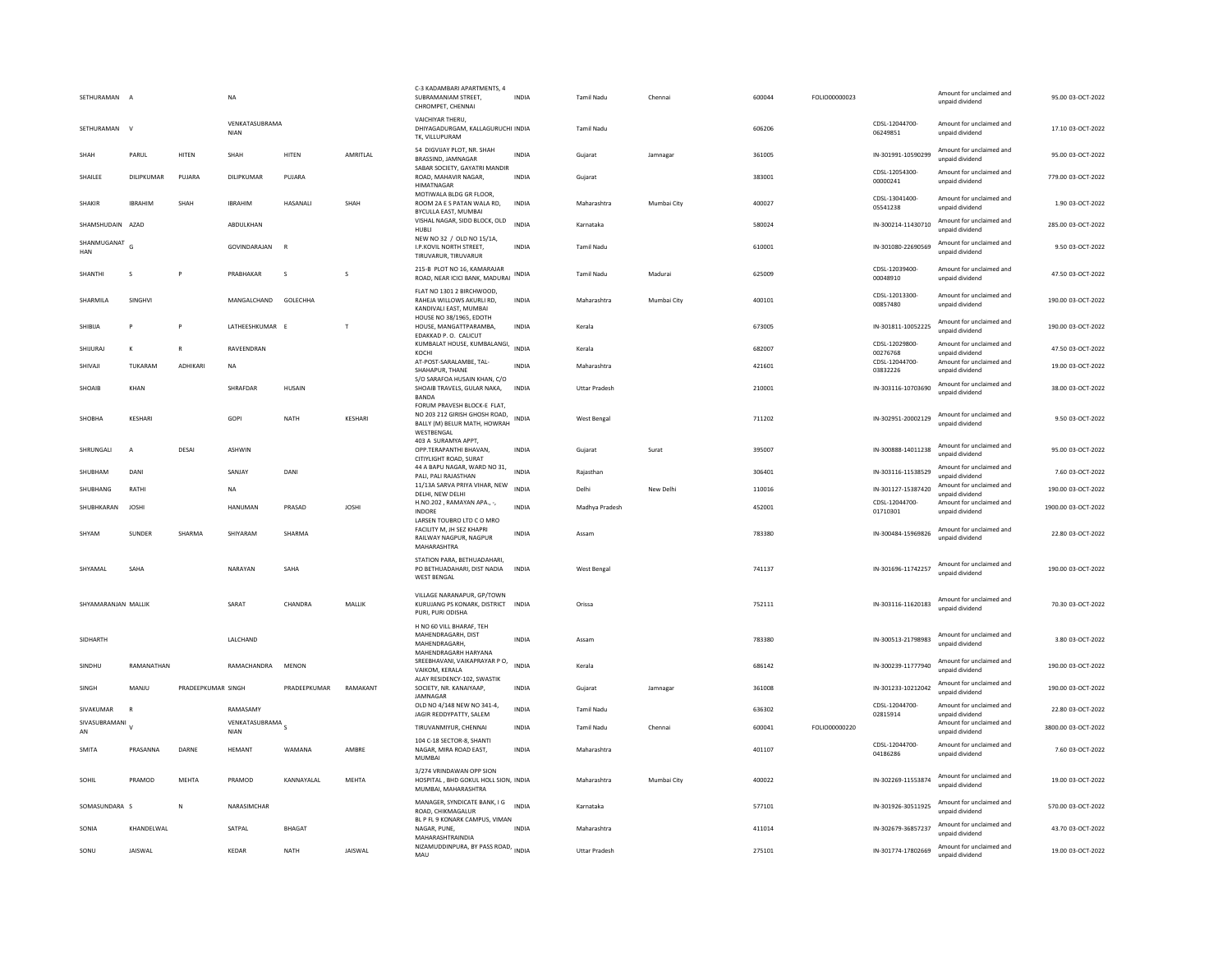| SETHURAMAN          | $\overline{A}$    |                    | <b>NA</b>                     |               |                | C-3 KADAMBARI APARTMENTS, 4<br>SUBRAMANIAM STREET,<br>CHROMPET, CHENNAI                                    | <b>INDIA</b> | Tamil Nadu           | Chennai     | 600044 | FOLIO00000023 |                            | Amount for unclaimed and<br>unpaid dividend | 95.00 03-OCT-2022   |
|---------------------|-------------------|--------------------|-------------------------------|---------------|----------------|------------------------------------------------------------------------------------------------------------|--------------|----------------------|-------------|--------|---------------|----------------------------|---------------------------------------------|---------------------|
| SETHURAMAN          | $\mathbf{v}$      |                    | VENKATASUBRAMA<br><b>NIAN</b> |               |                | VAICHIYAR THERU.<br>DHIYAGADURGAM, KALLAGURUCHI INDIA<br>TK. VILLUPURAM                                    |              | Tamil Nadu           |             | 606206 |               | CDSL-12044700<br>06249851  | Amount for unclaimed and<br>unpaid dividend | 17.10 03-OCT-2022   |
| SHAH                | PARUL             | HITEN              | SHAH                          | HITEN         | AMRITLAL       | 54 DIGVIJAY PLOT, NR. SHAH<br>BRASSIND, JAMNAGAR                                                           | <b>INDIA</b> | Gujarat              | Jamnagar    | 361005 |               | IN-301991-10590299         | Amount for unclaimed and<br>unpaid dividend | 95.00 03-OCT-2022   |
| SHAILEE             | <b>DILIPKUMAR</b> | PUJARA             | DILIPKUMAR                    | PUJARA        |                | SABAR SOCIETY, GAYATRI MANDIR<br>ROAD, MAHAVIR NAGAR<br><b>HIMATNAGAR</b>                                  | <b>INDIA</b> | Gujarat              |             | 383001 |               | CDSL-12054300-<br>00000241 | Amount for unclaimed and<br>unpaid dividend | 779.00 03-OCT-2022  |
| <b>SHAKIR</b>       | <b>IBRAHIM</b>    | SHAH               | <b>IBRAHIM</b>                | HASANALI      | SHAH           | MOTIWALA BLDG GR FLOOR.<br>ROOM 2A E S PATAN WALA RD,<br>BYCULLA EAST, MUMBAI                              | INDIA        | Maharashtra          | Mumbai City | 400027 |               | CDSL-13041400-<br>05541238 | Amount for unclaimed and<br>unpaid dividend | 1.90 03-OCT-2022    |
| SHAMSHUDAIN AZAD    |                   |                    | ABDULKHAN                     |               |                | VISHAL NAGAR, SIDD BLOCK, OLD<br>HUBLI                                                                     | <b>INDIA</b> | Karnataka            |             | 580024 |               | IN-300214-11430710         | Amount for unclaimed and<br>unpaid dividend | 285.00 03-OCT-2022  |
| SHANMUGANAT<br>HAN  | G                 |                    | GOVINDARAJAN                  | $\mathbf R$   |                | NEW NO 32 / OLD NO 15/1A,<br>I.P.KOVIL NORTH STREET,<br>TIRUVARUR, TIRUVARUR                               | <b>INDIA</b> | Tamil Nadu           |             | 610001 |               | IN-301080-22690569         | Amount for unclaimed and<br>unnaid dividend | 9.50 03-OCT-2022    |
| SHANTHI             | s                 |                    | PRABHAKAR                     | <sub>S</sub>  | s              | 215-B PLOT NO 16, KAMARAJAR<br>ROAD, NEAR ICICI BANK, MADURAI                                              | <b>INDIA</b> | Tamil Nadu           | Madurai     | 625009 |               | CDSL-12039400<br>00048910  | Amount for unclaimed and<br>unpaid dividend | 47.50 03-OCT-2022   |
| SHARMILA            | SINGHVI           |                    | MANGALCHAND                   | GOLECHHA      |                | FLAT NO 1301 2 BIRCHWOOD,<br>RAHEJA WILLOWS AKURLI RD.<br>KANDIVALI EAST, MUMBAI                           | <b>INDIA</b> | Maharashtra          | Mumbai City | 400101 |               | CDSL-12013300<br>00857480  | Amount for unclaimed and<br>unpaid dividend | 190.00 03-OCT-2022  |
| SHIBUA              | P                 | P                  | LATHEESHKUMAR E               |               | T              | <b>HOUSE NO 38/1965, EDOTH</b><br>HOUSE, MANGATTPARAMBA,<br>EDAKKAD P. O. CALICUT                          | INDIA        | Kerala               |             | 673005 |               | IN-301811-10052225         | Amount for unclaimed and<br>unpaid dividend | 190.00 03-OCT-2022  |
| SHIJURAJ            | K                 | $\overline{R}$     | RAVEENDRAN                    |               |                | KUMBALAT HOUSE, KUMBALANGI, INDIA<br>KOCHI                                                                 |              | Kerala               |             | 682007 |               | CDSL-12029800-<br>00276768 | Amount for unclaimed and<br>unpaid dividend | 47.50 03-OCT-2022   |
| SHIVAJI             | TUKARAM           | <b>ADHIKAR</b>     | <b>NA</b>                     |               |                | AT-POST-SARALAMBE, TAL-<br>SHAHAPUR, THANE<br>S/O SARAFOA HUSAIN KHAN, C/O                                 | <b>INDIA</b> | Maharashtra          |             | 421601 |               | CDSL-12044700-<br>03832226 | Amount for unclaimed and<br>unpaid dividend | 19.00 03-OCT-2022   |
| SHOAIB              | KHAN              |                    | SHRAFDAR                      | HUSAIN        |                | SHOAIB TRAVELS, GULAR NAKA,<br><b>BANDA</b>                                                                | <b>INDIA</b> | <b>Uttar Pradesh</b> |             | 210001 |               | IN-303116-10703690         | Amount for unclaimed and<br>unpaid dividend | 38.00 03-OCT-2022   |
| SHOBHA              | <b>KESHARI</b>    |                    | GOPI                          | <b>NATH</b>   | KESHARI        | FORUM PRAVESH BLOCK-E FLAT.<br>NO 203 212 GIRISH GHOSH ROAD,<br>BALLY (M) BELUR MATH, HOWRAH<br>WESTBENGAL | <b>INDIA</b> | West Bengal          |             | 711202 |               | IN-302951-20002129         | Amount for unclaimed and<br>unpaid dividend | 9.50 03-OCT-2022    |
| SHRUNGALI           | $\overline{A}$    | DESAI              | <b>ASHWIN</b>                 |               |                | 403 A SURAMYA APPT.<br>OPP.TERAPANTHI BHAVAN.<br>CITIYLIGHT ROAD, SURAT                                    | <b>INDIA</b> | Gujarat              | Surat       | 395007 |               | IN-300888-14011238         | Amount for unclaimed and<br>unpaid dividend | 95.00 03-OCT-2022   |
| SHUBHAM             | DANI              |                    | SANJAY                        | DANI          |                | 44 A BAPU NAGAR, WARD NO 31,<br>PALI, PALI RAJASTHAN                                                       | <b>INDIA</b> | Raiasthar            |             | 306401 |               | IN-303116-11538529         | Amount for unclaimed and<br>unpaid dividend | 7.60 03-OCT-2022    |
| SHUBHANG            | RATHI             |                    | <b>NA</b>                     |               |                | 11/13A SARVA PRIYA VIHAR, NEW<br>DELHI, NEW DELHI                                                          | <b>INDIA</b> | Delhi                | New Delhi   | 110016 |               | IN-301127-15387420         | Amount for unclaimed and<br>unnaid dividend | 190.00 03-OCT-2022  |
| SHUBHKARAN          | <b>IOSHI</b>      |                    | HANUMAN                       | PRASAD        | <b>IOSHI</b>   | H.NO.202, RAMAYAN APA., -,<br><b>INDORE</b>                                                                | <b>INDIA</b> | Madhya Pradesh       |             | 452001 |               | CDSL-12044700-<br>01710301 | Amount for unclaimed and<br>unpaid dividend | 1900.00 03-OCT-2022 |
| SHYAM               | SUNDER            | SHARMA             | SHIYARAM                      | SHARMA        |                | LARSEN TOUBRO LTD C O MRO<br>FACILITY M, JH SEZ KHAPRI<br>RAILWAY NAGPUR, NAGPUR<br>MAHARASHTRA            | INDIA        | Assam                |             | 783380 |               | IN-300484-15969826         | Amount for unclaimed and<br>unnaid dividend | 22.80 03-OCT-2022   |
| SHYAMAI             | SAHA              |                    | NARAYAN                       | SAHA          |                | STATION PARA, BETHUADAHARI,<br>PO BETHUADAHARI, DIST NADIA<br><b>WEST BENGAL</b>                           | <b>INDIA</b> | <b>West Bengal</b>   |             | 741137 |               | IN-301696-11742257         | Amount for unclaimed and<br>unpaid dividend | 190.00 03-OCT-2022  |
| SHYAMARANJAN MALLIK |                   |                    | SARAT                         | CHANDRA       | MALLIK         | VILLAGE NARANAPUR, GP/TOWN<br>KURUJANG PS KONARK, DISTRICT INDIA<br>PURI, PURI ODISHA                      |              | Orissa               |             | 752111 |               | IN-303116-11620183         | Amount for unclaimed and<br>unpaid dividend | 70.30 03-OCT-2022   |
| SIDHARTH            |                   |                    | LALCHAND                      |               |                | H NO 60 VILL BHARAF, TEH<br>MAHENDRAGARH, DIST<br>MAHFNDRAGARH.<br>MAHENDRAGARH HARYANA                    | INDIA        | Assam                |             | 783380 |               | IN-300513-21798983         | Amount for unclaimed and<br>unnaid dividend | 3.80 03-OCT-2022    |
| SINDHU              | RAMANATHAN        |                    | RAMACHANDRA                   | <b>MENON</b>  |                | SREEBHAVANI, VAIKAPRAYAR P O,<br>VAIKOM, KERALA<br>ALAY RESIDENCY-102, SWASTIK                             | <b>INDIA</b> | Kerala               |             | 686142 |               | IN-300239-11777940         | Amount for unclaimed and<br>unpaid dividend | 190.00 03-OCT-2022  |
| SINGH               | MANJU             | PRADEEPKUMAR SINGH |                               | PRADEEPKUMAR  | RAMAKANT       | SOCIETY, NR. KANAIYAAP<br>JAMNAGAR                                                                         | <b>INDIA</b> | Gujarat              | Jamnagar    | 361008 |               | IN-301233-10212042         | Amount for unclaimed and<br>unpaid dividend | 190.00 03-OCT-2022  |
| SIVAKUMAR           |                   |                    | RAMASAMY                      |               |                | OLD NO 4/148 NEW NO 341-4,<br>JAGIR REDDYPATTY, SALEM                                                      | INDIA        | Tamil Nadu           |             | 636302 |               | CDSL-12044700-<br>02815914 | Amount for unclaimed and<br>unpaid dividend | 22.80 03-OCT-2022   |
| SIVASUBRAMANI<br>AN |                   |                    | VENKATASUBRAMA<br><b>NIAN</b> |               |                | TIRUVANMIYUR, CHENNAI                                                                                      | <b>INDIA</b> | <b>Tamil Nadu</b>    | Chennai     | 600041 | FOLIO00000220 |                            | Amount for unclaimed and<br>unpaid dividend | 3800.00 03-OCT-2022 |
| <b>SMITA</b>        | PRASANNA          | DARNE              | <b>HFMANT</b>                 | WAMANA        | AMBRF          | 104 C-18 SECTOR-8, SHANT<br>NAGAR, MIRA ROAD EAST,<br><b>MUMBAI</b>                                        | <b>INDIA</b> | Maharashtra          |             | 401107 |               | CDSL-12044700<br>04186286  | Amount for unclaimed and<br>unpaid dividend | 7.60 03-OCT-2022    |
| SOHIL               | PRAMOD            | MEHTA              | PRAMOD                        | KANNAYALAL    | MEHTA          | 3/274 VRINDAWAN OPP SION<br>HOSPITAL . BHD GOKUL HOLL SION. INDIA<br>MUMBAI, MAHARASHTRA                   |              | Maharashtra          | Mumbai City | 400022 |               | IN-302269-11553874         | Amount for unclaimed and<br>unpaid dividend | 19.00 03-OCT-2022   |
| SOMASUNDARA S       |                   | ${\sf N}$          | NARASIMCHAR                   |               |                | MANAGER, SYNDICATE BANK, I G<br>ROAD, CHIKMAGALUR                                                          | <b>INDIA</b> | Karnataka            |             | 577101 |               | IN-301926-30511925         | Amount for unclaimed and<br>unpaid dividend | 570.00 03-OCT-2022  |
| SONIA               | KHANDELWAL        |                    | SATPAL                        | <b>BHAGAT</b> |                | BL P FL 9 KONARK CAMPUS, VIMAN<br>NAGAR, PUNE<br>MAHARASHTRAINDIA                                          | <b>INDIA</b> | Maharashtra          |             | 411014 |               | IN-302679-36857237         | Amount for unclaimed and<br>unpaid dividend | 43.70 03-OCT-2022   |
| SONU                | <b>IAISWAI</b>    |                    | KFDAF                         | NATH          | <b>IAISWAI</b> | NIZAMUDDINPURA, BY PASS ROAD, INDIA<br>MAU                                                                 |              | <b>Uttar Pradesh</b> |             | 275101 |               | IN-301774-17802669         | Amount for unclaimed and<br>unnaid dividend | 19.00 03-OCT-2022   |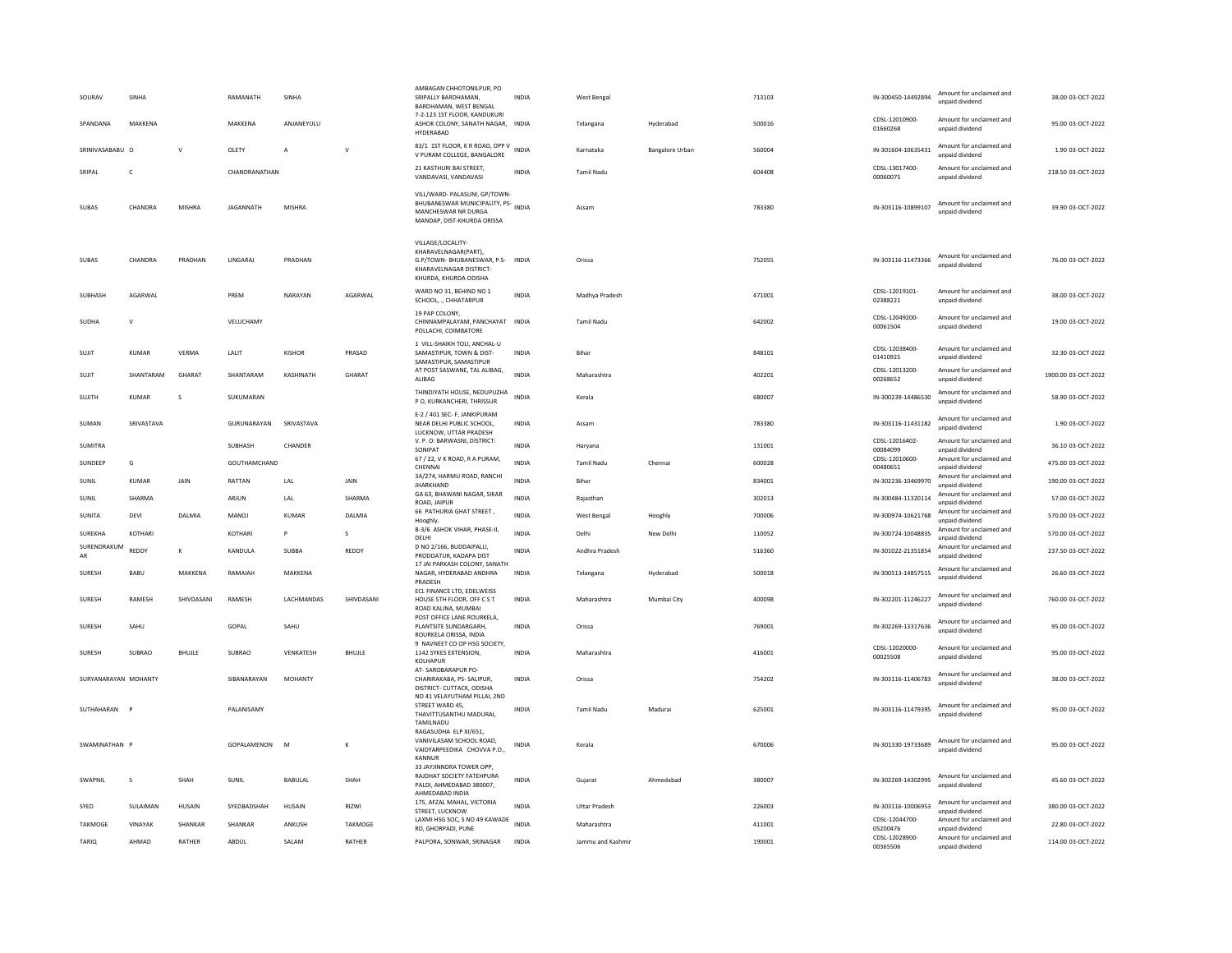| SOURAV               | <b>SINHA</b>  |               | RAMANATH         | SINHA          |               | AMBAGAN CHHOTONILPUR, PO<br>SRIPALLY BARDHAMAN,<br>BARDHAMAN, WEST BENGAL                                                         | INDIA        | <b>West Bengal</b>   |                 | 713103 | IN-300450-14492894         | Amount for unclaimed and<br>unpaid dividend | 38.00 03-OCT-2022   |
|----------------------|---------------|---------------|------------------|----------------|---------------|-----------------------------------------------------------------------------------------------------------------------------------|--------------|----------------------|-----------------|--------|----------------------------|---------------------------------------------|---------------------|
| SPANDANA             | MAKKENA       |               | MAKKENA          | ANJANEYULU     |               | 7-2-123 1ST FLOOR, KANDUKURI<br>ASHOK COLONY, SANATH NAGAR, INDIA<br><b>HYDERARAD</b>                                             |              | Telangana            | Hyderabad       | 500016 | CDSI-12010900-<br>01660268 | Amount for unclaimed and<br>unpaid dividend | 95.00 03-OCT-2022   |
| SRINIVASARARU O      |               | $\mathsf{v}$  | OLETY            | $\overline{A}$ | $\mathsf{v}$  | 83/1 1ST FLOOR, K R ROAD, OPP V<br>V PURAM COLLEGE, BANGALORE                                                                     | <b>INDIA</b> | Karnataka            | Bangalore Urban | 560004 | IN-301604-10635431         | Amount for unclaimed and<br>unpaid dividend | 1.90 03-OCT-2022    |
| SRIPAL               | C             |               | CHANDRANATHAN    |                |               | 21 KASTHURI BAI STREET.<br>VANDAVASI, VANDAVASI                                                                                   | INDIA        | <b>Tamil Nadu</b>    |                 | 604408 | CDSL-13017400-<br>00060075 | Amount for unclaimed and<br>unpaid dividend | 218.50 03-OCT-2022  |
| SUBAS                | CHANDRA       | MISHRA        | <b>JAGANNATH</b> | MISHRA         |               | VILL/WARD- PALASUNI, GP/TOWN-<br>BHUBANESWAR MUNICIPALITY, PS-<br>MANCHESWAR NR DURGA<br>MANDAP, DIST-KHURDA ORISSA               | <b>INDIA</b> | Assam                |                 | 783380 | IN-303116-10899107         | Amount for unclaimed and<br>unnaid dividend | 39.90 03-OCT-2022   |
| <b>SUBAS</b>         | CHANDRA       | PRADHAN       | LINGARAJ         | PRADHAN        |               | VILLAGE/LOCALITY-<br>KHARAVELNAGAR(PART)<br>G.P/TOWN- BHUBANESWAR, P.S- INDIA<br>KHARAVELNAGAR DISTRICT-<br>KHURDA, KHURDA ODISHA |              | Orissa               |                 | 752055 | IN-303116-11473366         | Amount for unclaimed and<br>unpaid dividend | 76.00 03-OCT-2022   |
| SUBHASH              | AGARWAL       |               | PREM             | NARAYAN        | AGARWAL       | WARD NO 31, BEHIND NO 1<br>SCHOOL, ., CHHATARPUR                                                                                  | <b>INDIA</b> | Madhya Pradesh       |                 | 471001 | CDSI-12019101-<br>02388221 | Amount for unclaimed and<br>unpaid dividend | 38.00 03-OCT-2022   |
| SUDHA                | $\mathsf{v}$  |               | VELUCHAMY        |                |               | 19 PAP COLONY,<br>CHINNAMPALAYAM, PANCHAYAT INDIA<br>POLLACHI, COIMBATORE                                                         |              | <b>Tamil Nadu</b>    |                 | 642002 | CDSL-12049200-<br>00061504 | Amount for unclaimed and<br>unpaid dividend | 19.00 03-OCT-2022   |
| SUJIT                | KUMAR         | VERMA         | LALIT            | KISHOR         | PRASAD        | 1 VILL-SHAIKH TOLI, ANCHAL-U<br>SAMASTIPUR, TOWN & DIST-<br>SAMASTIPUR, SAMASTIPUR                                                | <b>INDIA</b> | Bihar                |                 | 848101 | CDSL-12038400-<br>01410925 | Amount for unclaimed and<br>unpaid dividend | 32.30 03-OCT-2022   |
| SUJIT                | SHANTARAM     | GHARAT        | SHANTARAM        | KASHINATH      | GHARAT        | AT POST SASWANE, TAL ALIBAG,<br>ALIBAG                                                                                            | <b>INDIA</b> | Maharashtra          |                 | 402201 | CDSL-12013200<br>00268652  | Amount for unclaimed and<br>unpaid dividend | 1900.00 03-OCT-2022 |
| <b>SUJITH</b>        | <b>KUMAR</b>  | s             | SUKUMARAN        |                |               | THINDIYATH HOUSE, NEDUPUZHA<br>P O, KURKANCHERI, THRISSUR                                                                         | INDIA        | Kerala               |                 | 680007 | IN-300239-14486530         | Amount for unclaimed and<br>unpaid dividend | 58.90 03-OCT-2022   |
| SUMAN                | SRIVASTAVA    |               | GURUNARAYAN      | SRIVASTAVA     |               | E-2 / 401 SEC- F, JANKIPURAM<br>NEAR DELHI PUBLIC SCHOOL,<br>LUCKNOW, UTTAR PRADESH                                               | INDIA        | Assam                |                 | 783380 | IN-303116-11431182         | Amount for unclaimed and<br>unpaid dividend | 1.90 03-OCT-2022    |
| <b>SUMITRA</b>       |               |               | SUBHASH          | CHANDER        |               | V. P. O: BARWASNI, DISTRICT:<br>SONIPAT                                                                                           | <b>INDIA</b> | Haryana              |                 | 131001 | CDSL-12016402-<br>00084099 | Amount for unclaimed and<br>unnaid dividend | 36.10 03-OCT-2022   |
| SUNDEEP              | G             |               | GOUTHAMCHAND     |                |               | 67 / 22, V K ROAD, R A PURAM,<br>CHENNAI                                                                                          | <b>INDIA</b> | <b>Tamil Nadu</b>    | Chennai         | 600028 | CDSL-12010600-<br>00480651 | Amount for unclaimed and<br>unpaid dividend | 475.00 03-OCT-2022  |
| SUNIL                | KUMAR         | <b>JAIN</b>   | RATTAN           | LAL            | JAIN          | 3A/274, HARMU ROAD, RANCHI<br><b>JHARKHAND</b>                                                                                    | <b>INDIA</b> | Bihar                |                 | 834001 | IN-302236-10469970         | Amount for unclaimed and<br>unpaid dividend | 190.00 03-OCT-2022  |
| SUNIL                | SHARMA        |               | ARJUN            | LAL            | SHARMA        | GA 63, BHAWANI NAGAR, SIKAR<br>ROAD, JAIPUR                                                                                       | <b>INDIA</b> | Rajasthan            |                 | 302013 | IN-300484-11320114         | Amount for unclaimed and<br>unpaid dividend | 57.00 03-OCT-2022   |
| SUNITA               | DEVI          | DALMIA        | MANOJ            | <b>KUMAR</b>   | DALMIA        | 66 PATHURIA GHAT STREET,<br>Hooghly.                                                                                              | <b>INDIA</b> | West Bengal          | Hooghly         | 700006 | IN-300974-10621768         | Amount for unclaimed and<br>unpaid dividend | 570.00 03-OCT-2022  |
| SUREKHA              | KOTHARI       |               | KOTHARI          | P              | s             | B-3/6 ASHOK VIHAR, PHASE-II,<br>DELHI                                                                                             | <b>INDIA</b> | Delhi                | New Delhi       | 110052 | IN-300724-10048835         | Amount for unclaimed and<br>unpaid dividend | 570.00 03-OCT-2022  |
| SURENDRAKUM<br>AR    | REDDY         | K             | KANDULA          | SUBBA          | REDDY         | D NO 2/166, BUDDAIPALLI,<br>PRODDATUR, KADAPA DIST                                                                                | <b>INDIA</b> | Andhra Pradesh       |                 | 516360 | IN-301022-21351854         | Amount for unclaimed and<br>unpaid dividend | 237.50 03-OCT-2022  |
| <b>SURESH</b>        | BABU          | MAKKENA       | RAMAIAH          | MAKKENA        |               | 17 JAI PARKASH COLONY, SANATH<br>NAGAR, HYDERABAD ANDHRA<br>PRADESH                                                               | INDIA        | Telangana            | Hyderabad       | 500018 | IN-300513-14857515         | Amount for unclaimed and<br>unpaid dividend | 26.60 03-OCT-2022   |
| SURESH               | RAMESH        | SHIVDASANI    | RAMESH           | LACHMANDAS     | SHIVDASANI    | ECL FINANCE LTD, EDELWEISS<br>HOUSE 5TH FLOOR, OFF C S T<br>ROAD KALINA, MUMBAI                                                   | <b>INDIA</b> | Maharashtra          | Mumbai City     | 400098 | IN-302201-11246227         | Amount for unclaimed and<br>unpaid dividend | 760.00 03-OCT-2022  |
| SURESH               | SAHU          |               | GOPAL            | SAHU           |               | POST OFFICE LANE ROURKELA,<br>PLANTSITE SUNDARGARH.<br>ROURKELA ORISSA, INDIA                                                     | <b>INDIA</b> | Orissa               |                 | 769001 | IN-302269-13317636         | Amount for unclaimed and<br>unpaid dividend | 95.00 03-OCT-2022   |
| <b>SURFSH</b>        | <b>SUBRAO</b> | <b>BHUJLE</b> | <b>SUBRAO</b>    | VENKATESH      | <b>BHUJLE</b> | 9 NAVNEET CO OP HSG SOCIETY,<br>1142 SYKES EXTENSION,<br>KOLHAPUR                                                                 | <b>INDIA</b> | Maharashtra          |                 | 416001 | CDSL-12020000-<br>00025508 | Amount for unclaimed and<br>unpaid dividend | 95.00 03-OCT-2022   |
| SURYANARAYAN MOHANTY |               |               | SIBANARAYAN      | MOHANTY        |               | AT-SAROBARAPUR PO-<br>CHARIRAKABA, PS- SALIPUR,<br>DISTRICT- CUTTACK, ODISHA                                                      | <b>INDIA</b> | Orissa               |                 | 754202 | IN-303116-11406783         | Amount for unclaimed and<br>unpaid dividend | 38.00 03-OCT-2022   |
| SUTHAHARAN P         |               |               | PALANISAMY       |                |               | NO 41 VELAYUTHAM PILLAI, 2ND<br>STREET WARD 45.<br>THAVITTUSANTHU MADURAI,<br>TAMILNADU                                           | <b>INDIA</b> | <b>Tamil Nadu</b>    | Madurai         | 625001 | IN-303116-11479395         | Amount for unclaimed and<br>unpaid dividend | 95.00 03-OCT-2022   |
| SWAMINATHAN P        |               |               | GOPALAMENON      | M              | K             | RAGASUDHA ELP XI/651,<br>VANIVILASAM SCHOOL ROAD,<br>VAIDYARPEEDIKA CHOVVA P.O.,<br>KANNUF                                        | <b>INDIA</b> | Kerala               |                 | 670006 | IN-301330-19733689         | Amount for unclaimed and<br>unpaid dividend | 95.00 03-OCT-2022   |
| <b>SWAPNII</b>       | $\mathbf{s}$  | SHAH          | SUNIL            | <b>BABULAL</b> | SHAH          | 33 JAYJINNDRA TOWER OPP.<br>RAJDHAT SOCIETY FATEHPURA<br>PALDI, AHMEDABAD 380007.<br>AHMEDABAD INDIA                              | <b>INDIA</b> | Gujarat              | Ahmedahad       | 380007 | IN-302269-14302995         | Amount for unclaimed and<br>unpaid dividend | 45.60 03-OCT-2022   |
| SYED                 | SULAIMAN      | HUSAIN        | SYEDBADSHAH      | HUSAIN         | RIZWI         | 175, AFZAL MAHAL, VICTORIA<br>STREET, LUCKNOW                                                                                     | <b>INDIA</b> | <b>Uttar Pradesh</b> |                 | 226003 | IN-303116-10006953         | Amount for unclaimed and<br>unpaid dividend | 380.00 03-OCT-2022  |
| TAKMOGE              | VINAYAK       | SHANKAR       | SHANKAR          | ANKUSH         | TAKMOGE       | LAXMI HSG SOC, S NO 49 KAWADE<br>RD, GHORPADI, PUNE                                                                               | <b>INDIA</b> | Maharashtra          |                 | 411001 | CDSL-12044700<br>05200476  | Amount for unclaimed and<br>unpaid dividend | 22.80 03-OCT-2022   |
| TARIO                | AHMAD         | RATHER        | ABDUL            | SALAM          | RATHER        | PALPORA, SONWAR, SRINAGAR                                                                                                         | <b>INDIA</b> | Jammu and Kashmir    |                 | 190001 | CDSL-12028900-<br>00365506 | Amount for unclaimed and<br>unnaid dividend | 114.00 03-OCT-2022  |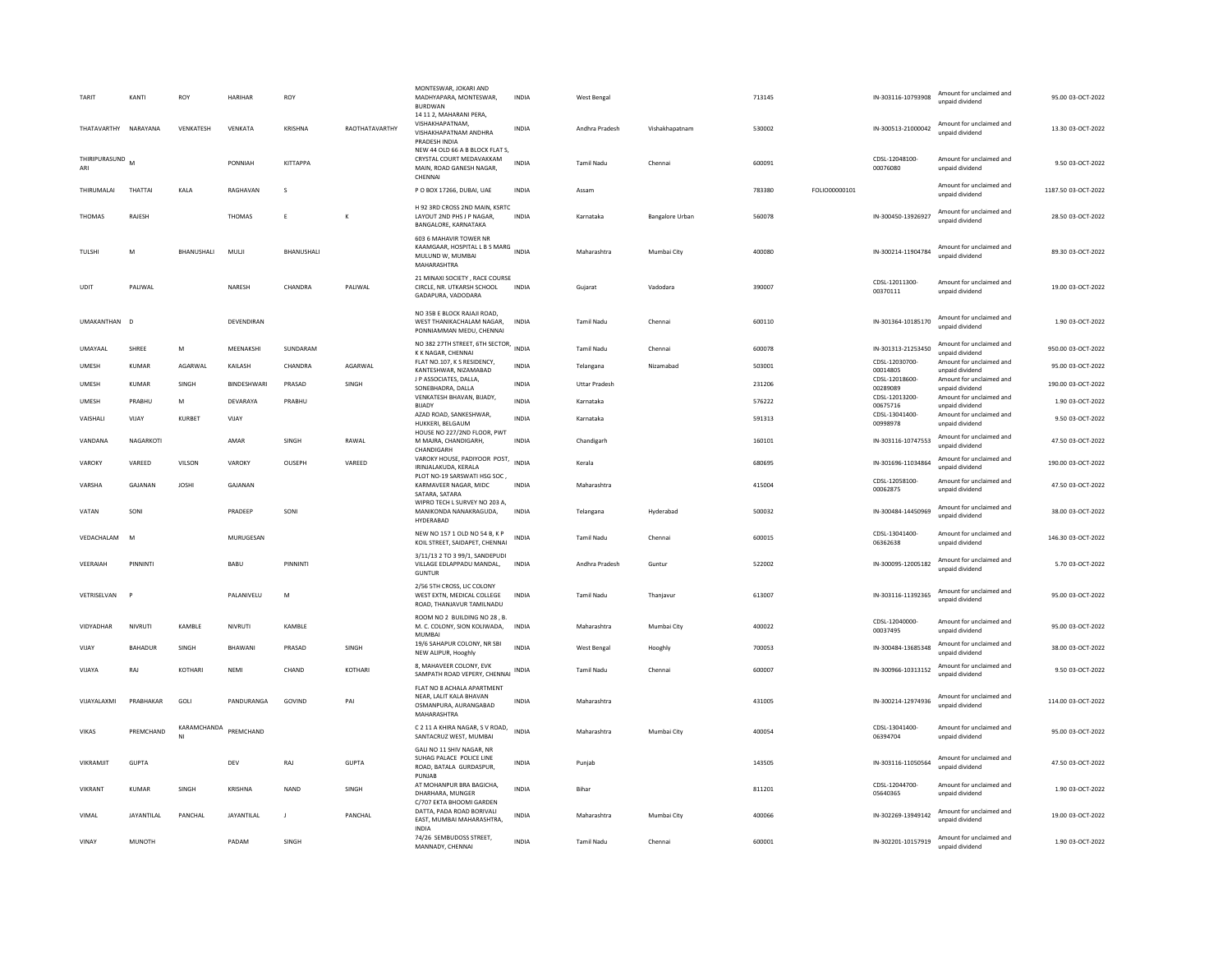| TARIT                  | KANTI         | <b>ROY</b>        | <b>HARIHAR</b> | ROY          |                | MONTESWAR, JOKARI AND<br>MADHYAPARA, MONTESWAR,<br><b>BURDWAN</b><br>14 11 2. MAHARANI PERA.       | <b>INDIA</b> | West Bengal          |                        | 713145 |               | IN-303116-10793908         | Amount for unclaimed and<br>unpaid dividend | 95.00 03-OCT-2022   |
|------------------------|---------------|-------------------|----------------|--------------|----------------|----------------------------------------------------------------------------------------------------|--------------|----------------------|------------------------|--------|---------------|----------------------------|---------------------------------------------|---------------------|
| THATAVARTHY NARAYANA   |               | VENKATESH         | VENKATA        | KRISHNA      | RAOTHATAVARTHY | VISHAKHAPATNAM,<br>VISHAKHAPATNAM ANDHRA<br>PRADESH INDIA                                          | INDIA        | Andhra Pradesh       | Vishakhapatnam         | 530002 |               | IN-300513-21000042         | Amount for unclaimed and<br>unnaid dividend | 13.30 03-OCT-2022   |
| THIRIPURASUND M<br>ARI |               |                   | PONNIAH        | KITTAPPA     |                | NEW 44 OLD 66 A B BLOCK FLAT S.<br>CRYSTAL COURT MEDAVAKKAM<br>MAIN, ROAD GANESH NAGAR,<br>CHENNAI | <b>INDIA</b> | <b>Tamil Nadu</b>    | Chennai                | 600091 |               | CDSL-12048100-<br>00076080 | Amount for unclaimed and<br>unpaid dividend | 9.50 03-OCT-2022    |
| THIRUMALAI             | THATTAI       | KALA              | RAGHAVAN       | s            |                | P O BOX 17266, DUBAI, UAE                                                                          | <b>INDIA</b> | Assam                |                        | 783380 | FOLIO00000101 |                            | Amount for unclaimed and<br>unnaid dividend | 1187.50 03-OCT-2022 |
| THOMAS                 | RAJESH        |                   | THOMAS         | E            | K              | H 92 3RD CROSS 2ND MAIN, KSRTC<br>LAYOUT 2ND PHS J P NAGAR,<br>BANGALORE, KARNATAKA                | INDIA        | Karnataka            | <b>Bangalore Urban</b> | 560078 |               | IN-300450-13926927         | Amount for unclaimed and<br>unpaid dividend | 28.50 03-OCT-2022   |
| TULSHI                 | M             | <b>BHANUSHALI</b> | MULJI          | BHANUSHALI   |                | 603 6 MAHAVIR TOWER NR<br>KAAMGAAR, HOSPITAL L B S MARG<br>MULUND W, MUMBAI<br>MAHARASHTRA         | <b>INDIA</b> | Maharashtra          | Mumbai City            | 400080 |               | IN-300214-11904784         | Amount for unclaimed and<br>unpaid dividend | 89.30 03-OCT-2022   |
| UDIT                   | PALIWAL       |                   | NARESH         | CHANDRA      | PALIWAL        | 21 MINAXI SOCIETY . RACE COURSE<br>CIRCLE, NR. UTKARSH SCHOOL<br>GADAPURA, VADODARA                | INDIA        | Gujarat              | Vadodara               | 390007 |               | CDSL-12011300-<br>00370111 | Amount for unclaimed and<br>unpaid dividend | 19.00 03-OCT-2022   |
| UMAKANTHAN D           |               |                   | DEVENDIRAN     |              |                | NO 35B E BLOCK RAJAJI ROAD.<br>WEST THANIKACHALAM NAGAR.<br>PONNIAMMAN MEDU, CHENNAI               | <b>INDIA</b> | <b>Tamil Nadu</b>    | Chennai                | 600110 |               | IN-301364-10185170         | Amount for unclaimed and<br>unpaid dividend | 1.90 03-OCT-2022    |
| UMAYAAL                | SHREE         | М                 | MEENAKSHI      | SUNDARAM     |                | NO 382 27TH STREET, 6TH SECTOR, INDIA<br>K K NAGAR, CHENNAI                                        |              | <b>Tamil Nadu</b>    | Chennai                | 600078 |               | IN-301313-21253450         | Amount for unclaimed and<br>unnaid dividend | 950.00 03-OCT-2022  |
| <b>UMESH</b>           | <b>KUMAR</b>  | AGARWAL           | KAILASH        | CHANDRA      | AGARWAL        | FLAT NO.107, K S RESIDENCY,<br>KANTESHWAR, NIZAMABAD                                               | <b>INDIA</b> | Telangana            | Nizamabad              | 503001 |               | CDSL-12030700-<br>00014805 | Amount for unclaimed and<br>unpaid dividend | 95.00 03-OCT-2022   |
| UMESH                  | <b>KUMAR</b>  | SINGH             | BINDESHWARI    | PRASAD       | SINGH          | J P ASSOCIATES, DALLA,<br>SONEBHADRA, DALLA                                                        | <b>INDIA</b> | <b>Uttar Pradesh</b> |                        | 231206 |               | CDSL-12018600-<br>00289089 | Amount for unclaimed and<br>unpaid dividend | 190.00 03-OCT-2022  |
| UMESH                  | PRABHU        | M                 | DEVARAYA       | PRABHU       |                | VENKATESH BHAVAN, BIJADY,<br><b>BIJADY</b>                                                         | <b>INDIA</b> | Karnataka            |                        | 576222 |               | CDSL-12013200-<br>00675716 | Amount for unclaimed and<br>unpaid dividend | 1.90 03-OCT-2022    |
| VAISHALI               | VIJAY         | KURBET            | VIJAY          |              |                | AZAD ROAD, SANKESHWAR,<br>HUKKERI, BELGAUM                                                         | <b>INDIA</b> | Karnataka            |                        | 591313 |               | CDSL-13041400-<br>00998978 | Amount for unclaimed and<br>unpaid dividend | 9.50 03-OCT-2022    |
| VANDANA                | NAGARKOTI     |                   | AMAR           | SINGH        | RAWAL          | HOUSE NO 227/2ND FLOOR, PWT<br>M MAJRA, CHANDIGARH,                                                | INDIA        | Chandigarh           |                        | 160101 |               | IN-303116-10747553         | Amount for unclaimed and<br>unpaid dividend | 47.50 03-OCT-2022   |
| VAROKY                 | VAREED        | VILSON            | VAROKY         | OUSEPH       | VAREED         | CHANDIGARH<br>VAROKY HOUSE, PADIYOOR POST,<br>IRINJALAKUDA, KERALA<br>PLOT NO-19 SARSWATI HSG SOC  | <b>INDIA</b> | Kerala               |                        | 680695 |               | IN-301696-11034864         | Amount for unclaimed and<br>unpaid dividend | 190.00 03-OCT-2022  |
| VARSHA                 | GAJANAN       | <b>JOSHI</b>      | GAJANAN        |              |                | KARMAVEER NAGAR, MIDC<br>SATARA, SATARA                                                            | <b>INDIA</b> | Maharashtra          |                        | 415004 |               | CDSL-12058100<br>00062875  | Amount for unclaimed and<br>unpaid dividend | 47.50 03-OCT-2022   |
| VATAN                  | SONI          |                   | PRADEEP        | SONI         |                | WIPRO TECH L SURVEY NO 203 A,<br>MANIKONDA NANAKRAGUDA,<br>HYDERABAD                               | <b>INDIA</b> | Telangana            | Hyderabad              | 500032 |               | IN-300484-14450969         | Amount for unclaimed and<br>unpaid dividend | 38.00 03-OCT-2022   |
| VEDACHALAM             | M             |                   | MURUGESAN      |              |                | NEW NO 157 1 OLD NO 54 B. K P<br>KOIL STREET, SAIDAPET, CHENNAI                                    | <b>INDIA</b> | Tamil Nadu           | Chennai                | 600015 |               | CDSL-13041400-<br>06362638 | Amount for unclaimed and<br>unpaid dividend | 146.30 03-OCT-2022  |
| VEERAIAH               | PINNINTI      |                   | BABU           | PINNINT      |                | 3/11/13 2 TO 3 99/1, SANDEPUDI<br>VILLAGE EDLAPPADU MANDAL,<br><b>GUNTUR</b>                       | <b>INDIA</b> | Andhra Pradesh       | Guntur                 | 522002 |               | IN-300095-12005182         | Amount for unclaimed and<br>unpaid dividend | 5.70 03-OCT-2022    |
| VETRISELVAN            |               |                   | PALANIVELU     | M            |                | 2/56 5TH CROSS, LIC COLONY<br>WEST EXTN, MEDICAL COLLEGE<br>ROAD, THANJAVUR TAMILNADU              | INDIA        | Tamil Nadu           | Thanjavur              | 613007 |               | IN-303116-11392365         | Amount for unclaimed and<br>unpaid dividend | 95.00 03-OCT-2022   |
| VIDYADHAR              | NIVRUTI       | KAMBLE            | NIVRUTI        | KAMBLE       |                | ROOM NO 2 BUILDING NO 28, B.<br>M. C. COLONY. SION KOLIWADA.<br>MUMBAI                             | <b>INDIA</b> | Maharashtra          | Mumbai City            | 400022 |               | CDSL-12040000-<br>00037495 | Amount for unclaimed and<br>unpaid dividend | 95.00 03-OCT-2022   |
| VIJAY                  | BAHADUR       | SINGH             | BHAWANI        | PRASAD       | SINGH          | 19/6 SAHAPUR COLONY, NR SBI<br>NEW ALIPUR, Hooghly                                                 | <b>INDIA</b> | <b>West Bengal</b>   | Hooghly                | 700053 |               | IN-300484-13685348         | Amount for unclaimed and<br>unpaid dividend | 38.00 03-OCT-2022   |
| VIJAYA                 | RAJ           | KOTHARI           | <b>NEMI</b>    | CHAND        | <b>KOTHAR</b>  | 8, MAHAVEER COLONY, EVK<br>SAMPATH ROAD VEPERY, CHENNAI                                            | INDIA        | <b>Tamil Nadu</b>    | Chennai                | 600007 |               | IN-300966-10313152         | Amount for unclaimed and<br>unpaid dividend | 9.50 03-OCT-2022    |
| VIIAYAI AXMI           | PRABHAKAR     | GOLL              | PANDURANGA     | GOVIND       | PAI            | FLAT NO 8 ACHALA APARTMENT<br>NEAR, LALIT KALA BHAVAN<br>OSMANPURA, AURANGABAD<br>MAHARASHTRA      | <b>INDIA</b> | Maharashtra          |                        | 431005 |               | IN-300214-12974936         | Amount for unclaimed and<br>unpaid dividend | 114.00.03-OCT-2022  |
| VIKAS                  | PREMCHAND     | KARAMCHANDA<br>NI | PREMCHAND      |              |                | C 2 11 A KHIRA NAGAR, S V ROAD,<br>SANTACRUZ WEST, MUMBAI                                          | <b>INDIA</b> | Maharashtra          | Mumbai City            | 400054 |               | CDSL-13041400-<br>06394704 | Amount for unclaimed and<br>unpaid dividend | 95.00 03-OCT-2022   |
| VIKRAMJIT              | <b>GUPTA</b>  |                   | DEV            | RAJ          | <b>GUPTA</b>   | GALI NO 11 SHIV NAGAR, NR<br>SUHAG PALACE POLICE LINE<br>ROAD, BATALA GURDASPUR.<br>PUNJAB         | <b>INDIA</b> | Punjab               |                        | 143505 |               | IN-303116-11050564         | Amount for unclaimed and<br>unpaid dividend | 47.50 03-OCT-2022   |
| VIKRANT                | KUMAR         | SINGH             | KRISHNA        | <b>NAND</b>  | SINGH          | AT MOHANPUR BRA BAGICHA,<br>DHARHARA, MUNGER<br>C/707 EKTA BHOOMI GARDEN                           | INDIA        | Bihar                |                        | 811201 |               | CDSL-12044700-<br>05640365 | Amount for unclaimed and<br>unpaid dividend | 1.90 03-OCT-2022    |
| VIMAL                  | JAYANTILAL    | PANCHAL           | JAYANTILAL     | $\mathbf{J}$ | PANCHAL        | DATTA, PADA ROAD BORIVALI<br>EAST, MUMBAI MAHARASHTRA.<br><b>INDIA</b>                             | <b>INDIA</b> | Maharashtra          | Mumbai City            | 400066 |               | IN-302269-13949142         | Amount for unclaimed and<br>unpaid dividend | 19.00 03-OCT-2022   |
| VINAY                  | <b>MUNOTH</b> |                   | PADAM          | SINGH        |                | 74/26 SEMBUDOSS STREET,<br>MANNADY, CHENNAL                                                        | <b>INDIA</b> | <b>Tamil Nadu</b>    | Chennai                | 600001 |               | IN-302201-10157919         | Amount for unclaimed and<br>unnaid dividend | 1.90 03-OCT-2022    |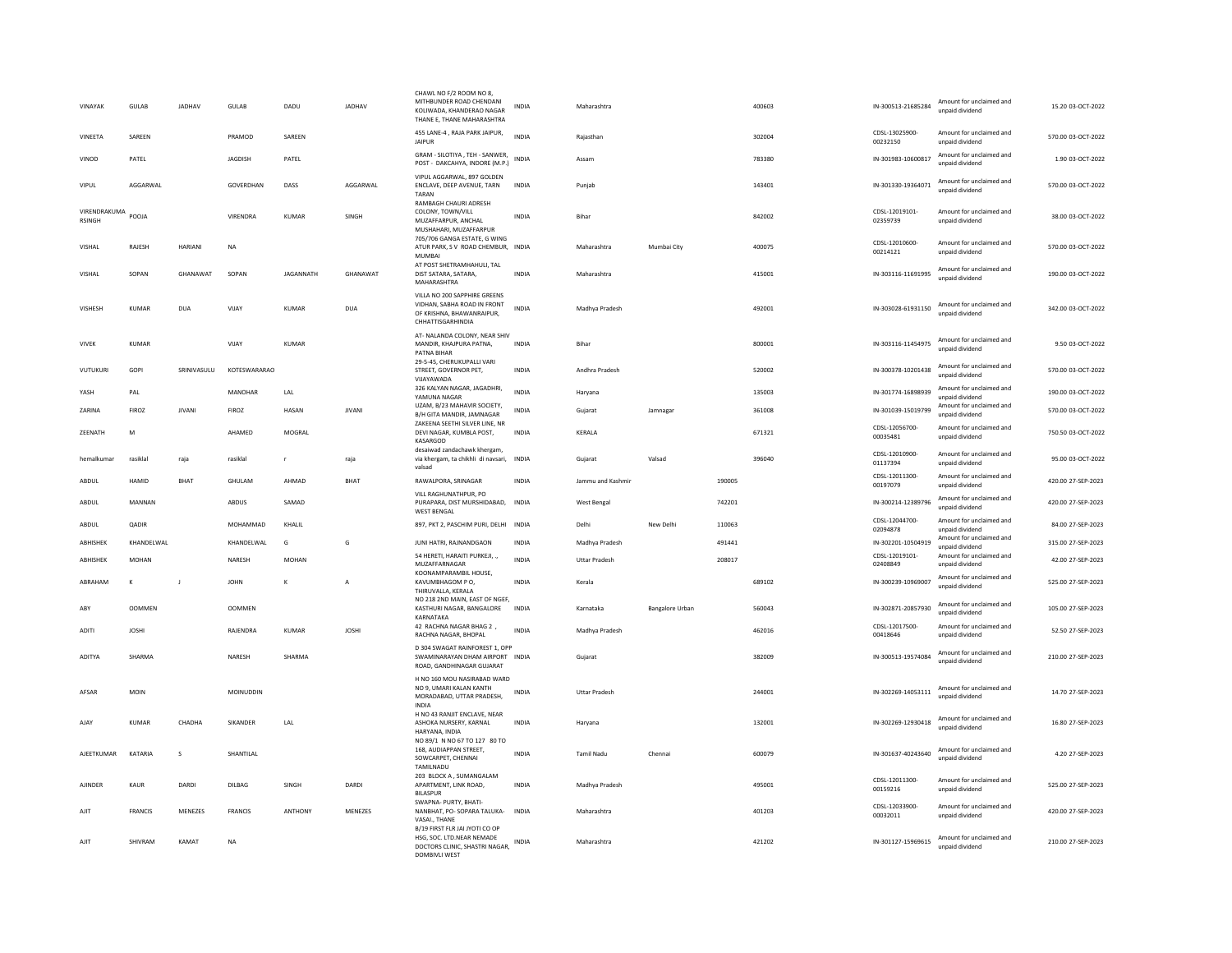| VINAYAK                       | GULAB          | JADHAV         | <b>GULAB</b>   | DADU             | JADHAV        | CHAWL NO F/2 ROOM NO 8,<br>MITHBUNDER ROAD CHENDANI<br>KOLIWADA, KHANDERAO NAGAR<br>THANE E, THANE MAHARASHTRA | INDIA        | Maharashtra          |                 |        | 400603 | IN-300513-21685284             | Amount for unclaimed and<br>unpaid dividend                    | 15.20 03-OCT-2022  |
|-------------------------------|----------------|----------------|----------------|------------------|---------------|----------------------------------------------------------------------------------------------------------------|--------------|----------------------|-----------------|--------|--------|--------------------------------|----------------------------------------------------------------|--------------------|
| VINEETA                       | SAREEN         |                | PRAMOD         | SAREEN           |               | 455 LANE-4, RAJA PARK JAIPUR,<br><b>JAIPUR</b>                                                                 | <b>INDIA</b> | Rajasthan            |                 |        | 302004 | CDSL-13025900-<br>00232150     | Amount for unclaimed and<br>unpaid dividend                    | 570.00 03-OCT-2022 |
| VINOD                         | PATFI          |                | <b>IAGDISH</b> | PATFI            |               | GRAM - SILOTIYA, TEH - SANWER,<br>POST - DAKCAHYA, INDORE (M.P.)                                               | <b>INDIA</b> | Assam                |                 |        | 783380 | IN-301983-10600817             | Amount for unclaimed and<br>unpaid dividend                    | 1.90.03-OCT-2022   |
| VIPUL                         | AGGARWAI       |                | GOVERDHAN      | DASS             | AGGARWAL      | VIPUL AGGARWAL, 897 GOLDEN<br>ENCLAVE, DEEP AVENUE, TARN<br>TARAN                                              | INDIA        | Punjab               |                 |        | 143401 | IN-301330-19364071             | Amount for unclaimed and<br>unnaid dividend                    | 570.00 03-OCT-2022 |
| VIRENDRAKUMA<br><b>RSINGH</b> | POOLA          |                | VIRENDRA       | KUMAR            | SINGH         | <b>RAMBAGH CHAURI ADRESH</b><br>COLONY, TOWN/VILL<br>MUZAFFARPUR, ANCHAL<br>MUSHAHARI, MUZAFFARPUR             | <b>INDIA</b> | <b>Bihar</b>         |                 |        | 842002 | CDSL-12019101-<br>02359739     | Amount for unclaimed and<br>unpaid dividend                    | 38.00 03-OCT-2022  |
| VISHAL                        | RAJESH         | <b>HARIANI</b> | <b>NA</b>      |                  |               | 705/706 GANGA ESTATE, G WING<br>ATUR PARK, S V ROAD CHEMBUR, INDIA<br><b>MUMBAI</b>                            |              | Maharashtra          | Mumbai City     |        | 400075 | CDSL-12010600-<br>00214121     | Amount for unclaimed and<br>unpaid dividend                    | 570.00 03-OCT-2022 |
| VISHAL                        | SOPAN          | GHANAWAT       | SOPAN          | <b>JAGANNATH</b> | GHANAWAT      | AT POST SHETRAMHAHULI, TAL<br>DIST SATARA, SATARA,<br>MAHARASHTRA                                              | INDIA        | Maharashtra          |                 |        | 415001 | IN-303116-11691995             | Amount for unclaimed and<br>unpaid dividend                    | 190.00 03-OCT-2022 |
| VISHESH                       | <b>KUMAR</b>   | <b>DUA</b>     | VIIAY          | KUMAR            | <b>DUA</b>    | VILLA NO 200 SAPPHIRE GREENS<br>VIDHAN, SABHA ROAD IN FRONT<br>OF KRISHNA, BHAWANRAIPUR,<br>CHHATTISGARHINDIA  | <b>INDIA</b> | Madhya Pradesh       |                 |        | 492001 | IN-303028-61931150             | Amount for unclaimed and<br>unpaid dividend                    | 342.00 03-OCT-2022 |
| <b>VIVEK</b>                  | <b>KUMAR</b>   |                | VIJAY          | <b>KUMAR</b>     |               | AT- NALANDA COLONY, NEAR SHIV<br>MANDIR, KHAJPURA PATNA.<br>PATNA BIHAR                                        | <b>INDIA</b> | Bihar                |                 |        | 800001 | IN-303116-11454975             | Amount for unclaimed and<br>unpaid dividend                    | 9.50 03-OCT-2022   |
| VUTUKURI                      | GOPI           | SRINIVASULU    | KOTFSWARARAO   |                  |               | 29-5-45, CHERUKUPALLI VARI<br>STREET, GOVERNOR PET,<br>VIJAYAWADA                                              | <b>INDIA</b> | Andhra Pradesh       |                 |        | 520002 | IN-300378-10201438             | Amount for unclaimed and<br>unpaid dividend                    | 570.00 03-OCT-2022 |
| YASH                          | PAL            |                | MANOHAR        | LAL              |               | 326 KALYAN NAGAR, JAGADHRI<br>YAMUNA NAGAR                                                                     | <b>INDIA</b> | Haryana              |                 |        | 135003 | IN-301774-16898939             | Amount for unclaimed and<br>unpaid dividend                    | 190.00 03-OCT-2022 |
| ZARINA                        | FIROZ          | <b>JIVANI</b>  | FIROZ          | HASAN            | <b>JIVANI</b> | UZAM. B/23 MAHAVIR SOCIETY.<br>B/H GITA MANDIR, JAMNAGAR                                                       | INDIA        | Gujarat              | Jamnagar        |        | 361008 | IN-301039-15019799             | Amount for unclaimed and<br>unpaid dividend                    | 570.00 03-OCT-2022 |
| <b>7FFNATH</b>                | M              |                | AHAMED         | MOGRAI           |               | ZAKEENA SEETHI SILVER LINE, NR<br>DEVI NAGAR, KUMBLA POST,<br>KASARGOD                                         | <b>INDIA</b> | <b>KFRAIA</b>        |                 |        | 671321 | CDSL-12056700-<br>00035481     | Amount for unclaimed and<br>unpaid dividend                    | 750.50 03-OCT-2022 |
| hemalkuma                     | rasiklal       | raja           | rasiklal       |                  | raja          | desaiwad zandachawk kheream.<br>via khergam, ta chikhli di navsari,<br>valsad                                  | INDIA        | Gujarat              | Valsad          |        | 396040 | CDSL-12010900-<br>01137394     | Amount for unclaimed and<br>unpaid dividend                    | 95.00 03-OCT-2022  |
|                               |                |                |                |                  |               |                                                                                                                |              |                      |                 |        |        |                                |                                                                |                    |
| ABDUL                         | HAMID          | <b>BHAT</b>    | GHULAM         | AHMAD            | <b>BHAT</b>   | RAWALPORA, SRINAGAR                                                                                            | <b>INDIA</b> | Jammu and Kashmir    |                 | 190005 |        | CDSL-12011300-                 | Amount for unclaimed and                                       | 420.00 27-SEP-2023 |
| ABDUL                         | MANNAN         |                | ABDUS          | SAMAD            |               | VILL RAGHUNATHPUR, PO<br>PURAPARA, DIST MURSHIDABAD, INDIA<br><b>WEST BENGAL</b>                               |              | West Bengal          |                 | 742201 |        | 00197079<br>IN-300214-12389796 | unpaid dividend<br>Amount for unclaimed and<br>unpaid dividend | 420.00 27-SEP-2023 |
| ABDUL                         | <b>QADIR</b>   |                | MOHAMMAD       | KHALIL           |               | 897, PKT 2, PASCHIM PURI, DELHI INDIA                                                                          |              | Delhi                | New Delhi       | 110063 |        | CDSL-12044700-<br>02094878     | Amount for unclaimed and<br>unpaid dividend                    | 84.00 27-SEP-2023  |
| ABHISHEK                      | KHANDELWAL     |                | KHANDELWAL     | G                | G             | JUNI HATRI, RAJNANDGAON                                                                                        | <b>INDIA</b> | Madhya Pradesh       |                 | 491441 |        | IN-302201-10504919             | Amount for unclaimed and<br>unpaid dividend                    | 315.00 27-SEP-2023 |
| ABHISHEK                      | MOHAN          |                | NARESH         | MOHAN            |               | 54 HERETI, HARAITI PURKEJI, .,<br>MUZAFFARNAGAR                                                                | INDIA        | <b>Uttar Pradesh</b> |                 | 208017 |        | CDSL-12019101-<br>02408849     | Amount for unclaimed and<br>unpaid dividend                    | 42.00 27-SEP-2023  |
| ABRAHAM                       | K              | $\mathsf J$    | <b>JOHN</b>    | К                | A             | KOONAMPARAMBIL HOUSE.<br>KAVUMBHAGOM PO,<br>THIRUVALLA, KERALA                                                 | <b>INDIA</b> | Kerala               |                 |        | 689102 | IN-300239-10969007             | Amount for unclaimed and<br>unpaid dividend                    | 525.00 27-SEP-2023 |
| ABY                           | <b>OOMMEN</b>  |                | <b>OOMMEN</b>  |                  |               | NO 218 2ND MAIN, EAST OF NGEF.<br>KASTHURI NAGAR, BANGALORE                                                    | <b>INDIA</b> | Karnataka            | Bangalore Urban |        | 560043 | IN-302871-20857930             | Amount for unclaimed and<br>unnaid dividend                    | 105.00 27-SEP-2023 |
| <b>ADITI</b>                  | <b>IOSHI</b>   |                | RAJENDRA       | KUMAR            | <b>IOSHI</b>  | KARNATAKA<br>42 RACHNA NAGAR BHAG 2,<br>RACHNA NAGAR, BHOPAL                                                   | <b>INDIA</b> | Madhya Pradesh       |                 |        | 462016 | CDSL-12017500-<br>00418646     | Amount for unclaimed and<br>unpaid dividend                    | 52.50 27-SEP-2023  |
| <b>ADITYA</b>                 | SHARMA         |                | NARESH         | SHARMA           |               | D 304 SWAGAT RAINFOREST 1, OPP<br>SWAMINARAYAN DHAM AIRPORT INDIA<br>ROAD, GANDHINAGAR GUJARAT                 |              | Gujarat              |                 |        | 382009 | IN-300513-19574084             | Amount for unclaimed and<br>unpaid dividend                    | 210.00 27-SEP-2023 |
| AFSAR                         | <b>MOIN</b>    |                | MOINUDDIN      |                  |               | H NO 160 MOU NASIRABAD WARD<br>NO 9, UMARI KALAN KANTH<br>MORADABAD, UTTAR PRADESH,<br><b>INDIA</b>            | <b>INDIA</b> | <b>Uttar Pradesh</b> |                 |        | 244001 | IN-302269-14053111             | Amount for unclaimed and<br>unpaid dividend                    | 14.70 27-SEP-2023  |
| AJAY                          | <b>KUMAR</b>   | CHADHA         | SIKANDER       | LAL              |               | H NO 43 RANJIT ENCLAVE, NEAR<br>ASHOKA NURSERY, KARNAL<br>HARYANA, INDIA                                       | <b>INDIA</b> | Harvana              |                 |        | 132001 | IN-302269-12930418             | Amount for unclaimed and<br>unpaid dividend                    | 16.80 27-SEP-2023  |
| AJEETKUMAR                    | KATARIA        | s              | SHANTILAL      |                  |               | NO 89/1 N NO 67 TO 127 80 TO<br>168, AUDIAPPAN STREET,<br>SOWCARPET, CHENNAI                                   | <b>INDIA</b> | <b>Tamil Nadu</b>    | Chennai         |        | 600079 | IN-301637-40243640             | Amount for unclaimed and<br>unpaid dividend                    | 4.20 27-SEP-2023   |
| <b>AJINDER</b>                | KAUR           | DARDI          | DILBAG         | SINGH            | DARDI         | TAMILNADU<br>203 BLOCK A, SUMANGALAM<br>APARTMENT, LINK ROAD,<br><b>BILASPUR</b>                               | <b>INDIA</b> | Madhya Pradesh       |                 |        | 495001 | CDSL-12011300<br>00159216      | Amount for unclaimed and<br>unpaid dividend                    | 525.00 27-SEP-2023 |
| AJIT                          | <b>FRANCIS</b> | MENEZES        | <b>FRANCIS</b> | <b>ANTHONY</b>   | MFNF7FS       | SWAPNA- PURTY, BHATI-<br>NANBHAT, PO- SOPARA TALUKA-<br>VASAI THANE<br>B/19 FIRST FLR JAI JYOTI CO OP          | <b>INDIA</b> | Maharashtra          |                 |        | 401203 | CDSL-12033900<br>00032011      | Amount for unclaimed and<br>unpaid dividend                    | 420.00 27-SEP-2023 |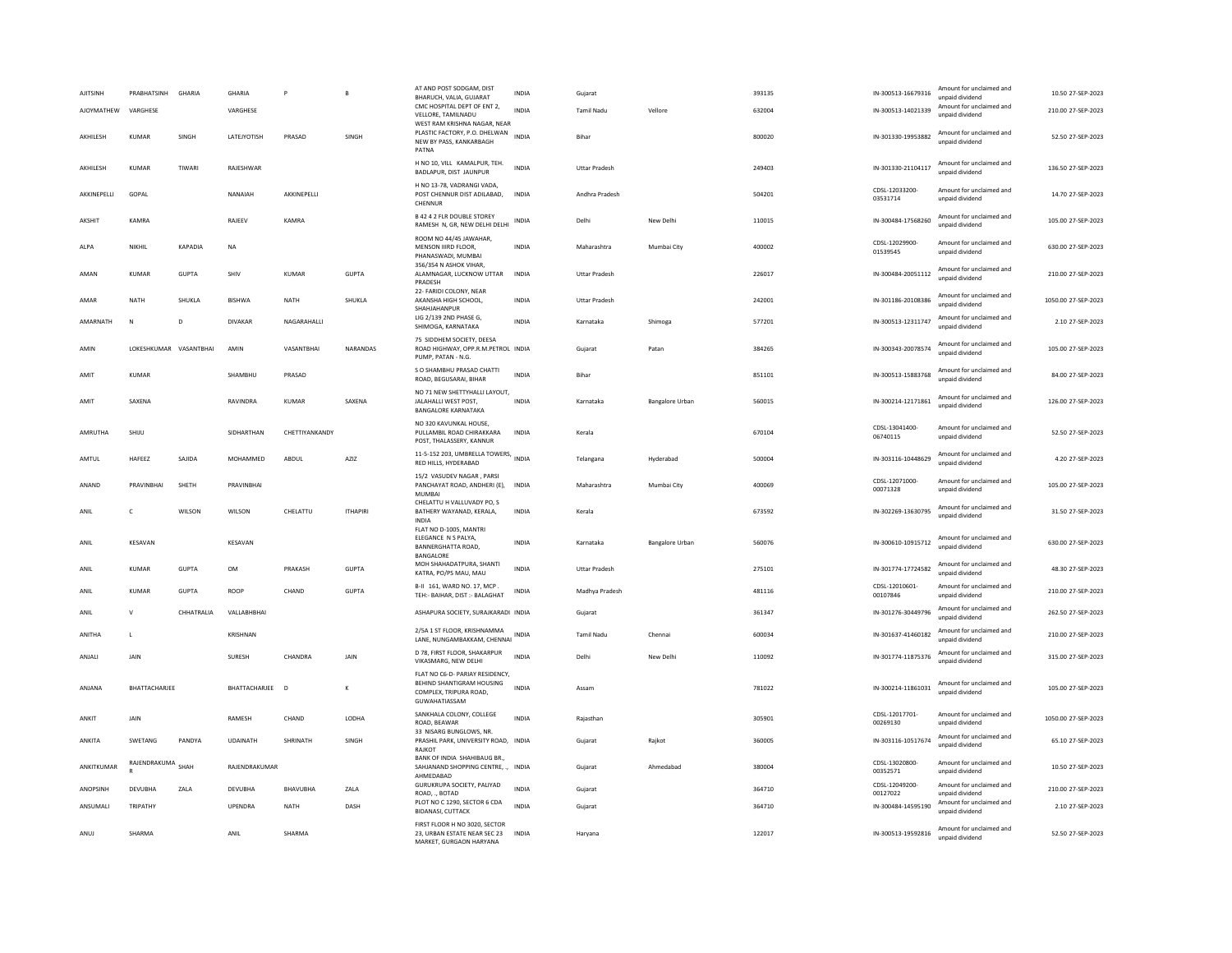| <b>AJITSINH</b> | PRABHATSINH   | GHARIA       | <b>GHARIA</b>   |                | $\mathbf{B}$    | AT AND POST SODGAM, DIST<br>BHARUCH, VALIA, GUJARAT                                                     | <b>INDIA</b> | Gujarat              |                        | 393135 | IN-300513-16679316         | Amount for unclaimed and<br>unpaid dividend | 10.50 27-SEP-2023   |
|-----------------|---------------|--------------|-----------------|----------------|-----------------|---------------------------------------------------------------------------------------------------------|--------------|----------------------|------------------------|--------|----------------------------|---------------------------------------------|---------------------|
| AIOYMATHEW      | VARGHESE      |              | VARGHESE        |                |                 | CMC HOSPITAL DEPT OF ENT 2,<br>VELLORE, TAMILNADU<br>WEST RAM KRISHNA NAGAR, NEAR                       | <b>INDIA</b> | <b>Tamil Nadu</b>    | Vellore                | 632004 | IN-300513-14021339         | Amount for unclaimed and<br>unpaid dividend | 210.00.27-SEP-2023  |
| AKHILESH        | <b>KUMAR</b>  | SINGH        | LATEJYOTISH     | PRASAD         | SINGH           | PLASTIC FACTORY, P.O. DHELWAN<br>NEW BY PASS, KANKARBAGH<br>PATNA                                       | <b>INDIA</b> | <b>Bihar</b>         |                        | 800020 | IN-301330-19953882         | Amount for unclaimed and<br>unpaid dividend | 52.50 27-SEP-2023   |
| AKHILESH        | <b>KUMAR</b>  | TIWARI       | RAJESHWAR       |                |                 | H NO 10, VILL KAMALPUR, TEH.<br>BADLAPUR, DIST JAUNPUR                                                  | <b>INDIA</b> | <b>Uttar Pradesh</b> |                        | 249403 | IN-301330-21104117         | Amount for unclaimed and<br>unpaid dividend | 136.50 27-SEP-2023  |
| AKKINEPELLI     | GOPAL         |              | NANAIAH         | AKKINEPELLI    |                 | H NO 13-78, VADRANGI VADA,<br>POST CHENNUR DIST ADILABAD.<br>CHENNUR                                    | <b>INDIA</b> | Andhra Pradesh       |                        | 504201 | CDSL-12033200-<br>03531714 | Amount for unclaimed and<br>unpaid dividend | 14.70 27-SEP-2023   |
| AKSHIT          | KAMRA         |              | RAJEEV          | KAMRA          |                 | <b>B 42 4 2 FLR DOUBLE STOREY</b><br>RAMESH N, GR, NEW DELHI DELHI                                      | INDIA        | Delhi                | New Delhi              | 110015 | IN-300484-17568260         | Amount for unclaimed and<br>unpaid dividend | 105.00 27-SEP-2023  |
| ALPA            | NIKHIL        | KAPADIA      | <b>NA</b>       |                |                 | ROOM NO 44/45 JAWAHAR,<br>MENSON IIIRD FLOOR,<br>PHANASWADI, MUMBAI                                     | <b>INDIA</b> | Maharashtra          | Mumbai City            | 400002 | CDSL-12029900-<br>01539545 | Amount for unclaimed and<br>unpaid dividend | 630.00 27-SEP-2023  |
| AMAN            | <b>KUMAR</b>  | <b>GUPTA</b> | SHIV            | <b>KUMAR</b>   | <b>GUPTA</b>    | 356/354 N ASHOK VIHAR,<br>ALAMNAGAR, LUCKNOW UTTAR<br>PRADESH                                           | <b>INDIA</b> | <b>Uttar Pradesh</b> |                        | 226017 | IN-300484-20051112         | Amount for unclaimed and<br>unpaid dividend | 210.00 27-SEP-2023  |
| AMAR            | NATH          | SHUKLA       | <b>BISHWA</b>   | NATH           | SHUKLA          | 22- FARIDI COLONY, NEAR<br>AKANSHA HIGH SCHOOL,<br>SHAHJAHANPUR                                         | INDIA        | <b>Uttar Pradesh</b> |                        | 242001 | IN-301186-20108386         | Amount for unclaimed and<br>unpaid dividend | 1050.00 27-SEP-2023 |
| AMARNATH        | $\mathbb N$   | D            | DIVAKAR         | NAGARAHALLI    |                 | LIG 2/139 2ND PHASE G,<br>SHIMOGA, KARNATAKA                                                            | <b>INDIA</b> | Karnataka            | Shimoga                | 577201 | IN-300513-12311747         | Amount for unclaimed and<br>hnebivib bisonu | 2.10 27-SEP-2023    |
| AMIN            | LOKESHKUMAR   | VASANTBHAI   | AMIN            | VASANTBHAI     | NARANDAS        | 75 SIDDHEM SOCIETY, DEESA<br>ROAD HIGHWAY, OPP.R.M.PETROL INDIA<br>PUMP, PATAN - N.G.                   |              | Gujarat              | Patan                  | 384265 | IN-300343-20078574         | Amount for unclaimed and<br>unpaid dividend | 105.00 27-SEP-2023  |
| AMIT            | KUMAR         |              | SHAMBHU         | PRASAD         |                 | S O SHAMBHU PRASAD CHATTI<br>ROAD, BEGUSARAI, BIHAR                                                     | <b>INDIA</b> | <b>Bihar</b>         |                        | 851101 | IN-300513-15883768         | Amount for unclaimed and<br>unpaid dividend | 84.00 27-SEP-2023   |
| AMIT            | SAXENA        |              | RAVINDRA        | KUMAR          | SAXENA          | NO 71 NEW SHETTYHALLI LAYOUT,<br>JALAHALLI WEST POST,<br><b>BANGALORE KARNATAKA</b>                     | INDIA        | Karnataka            | Bangalore Urban        | 560015 | IN-300214-12171861         | Amount for unclaimed and<br>unpaid dividend | 126.00 27-SEP-2023  |
| AMRUTHA         | SHIJU         |              | SIDHARTHAN      | CHETTIYANKANDY |                 | NO 320 KAVUNKAL HOUSE,<br>PULLAMBIL ROAD CHIRAKKARA<br>POST, THALASSERY, KANNUR                         | <b>INDIA</b> | Kerala               |                        | 670104 | CDSL-13041400-<br>06740115 | Amount for unclaimed and<br>unpaid dividend | 52.50 27-SEP-2023   |
| AMTUL           | <b>HAFFF7</b> | SAIIDA       | <b>MOHAMMED</b> | <b>ABDUL</b>   | A717            | 11-5-152 203, UMBRELLA TOWERS, INDIA<br>RED HILLS, HYDERABAD                                            |              | Telangana            | Hyderabad              | 500004 | IN-303116-10448629         | Amount for unclaimed and<br>unpaid dividend | 4.20 27-SEP-2023    |
| ANAND           | PRAVINBHAI    | SHETH        | PRAVINBHA       |                |                 | 15/2 VASUDEV NAGAR , PARSI<br>PANCHAYAT ROAD, ANDHERI (E),<br>MUMBAI                                    | <b>INDIA</b> | Maharashtra          | Mumbai City            | 400069 | CDSL-12071000-<br>00071328 | Amount for unclaimed and<br>unpaid dividend | 105.00 27-SEP-2023  |
| ANIL            | $\mathsf{C}$  | WILSON       | WILSON          | CHELATTU       | <b>ITHAPIRI</b> | CHELATTU H VALLUVADY PO, S<br>BATHERY WAYANAD, KERALA.<br><b>INDIA</b>                                  | <b>INDIA</b> | Kerala               |                        | 673592 | IN-302269-13630795         | Amount for unclaimed and<br>unpaid dividend | 31.50 27-SEP-2023   |
| ANII            | KFSAVAN       |              | KFSAVAN         |                |                 | FLAT NO D-1005, MANTRI<br>ELEGANCE N S PALYA,<br>BANNERGHATTA ROAD,<br>BANGALORE                        | <b>INDIA</b> | Karnataka            | <b>Bangalore Urban</b> | 560076 | IN-300610-10915712         | Amount for unclaimed and<br>unpaid dividend | 630.00 27-SEP-2023  |
| ANIL            | <b>KUMAR</b>  | <b>GUPTA</b> | OM              | PRAKASH        | <b>GUPTA</b>    | MOH SHAHADATPURA, SHANTI<br>KATRA, PO/PS MAU, MAU                                                       | INDIA        | <b>Uttar Pradesh</b> |                        | 275101 | IN-301774-17724582         | Amount for unclaimed and<br>unpaid dividend | 48.30 27-SEP-2023   |
| ANIL            | <b>KUMAR</b>  | <b>GUPTA</b> | <b>ROOP</b>     | CHAND          | <b>GUPTA</b>    | B-II 161, WARD NO. 17, MCP<br>TEH: - BAIHAR, DIST : - BALAGHAT                                          | <b>INDIA</b> | Madhya Pradesh       |                        | 481116 | CDSL-12010601-<br>00107846 | Amount for unclaimed and<br>unpaid dividend | 210.00 27-SEP-2023  |
| ANIL            | $\mathsf{v}$  | CHHATRALIA   | VALLABHBHAI     |                |                 | ASHAPURA SOCIETY, SURAJKARADI INDIA                                                                     |              | Gujarat              |                        | 361347 | IN-301276-30449796         | Amount for unclaimed and<br>unpaid dividend | 262.50 27-SEP-2023  |
| ANITHA          | $\mathsf L$   |              | KRISHNAN        |                |                 | 2/5A 1 ST FLOOR. KRISHNAMMA<br>LANE, NUNGAMBAKKAM, CHENNAI                                              | INDIA        | <b>Tamil Nadu</b>    | Chennai                | 600034 | IN-301637-41460182         | Amount for unclaimed and<br>unpaid dividend | 210.00 27-SEP-2023  |
| ANJALI          | JAIN          |              | <b>SURFSH</b>   | CHANDRA        | JAIN            | D 78, FIRST FLOOR, SHAKARPUR<br>VIKASMARG, NEW DELHI                                                    | <b>INDIA</b> | Delhi                | New Delhi              | 110092 | IN-301774-11875376         | Amount for unclaimed and<br>unnaid dividend | 315.00 27-SEP-2023  |
| ANJANA          | BHATTACHARJEE |              | BHATTACHARJEE   | D              | к               | FLAT NO C6-D- PARIAY RESIDENCY.<br>BEHIND SHANTIGRAM HOUSING<br>COMPLEX, TRIPURA ROAD,<br>GUWAHATIASSAM | <b>INDIA</b> | Assam                |                        | 781022 | IN-300214-11861031         | Amount for unclaimed and<br>unpaid dividend | 105.00 27-SEP-2023  |
| <b>ANKIT</b>    | JAIN          |              | RAMESH          | CHAND          | LODHA           | SANKHALA COLONY, COLLEGE<br>ROAD, BEAWAR                                                                | <b>INDIA</b> | Rajasthan            |                        | 305901 | CDSL-12017701-<br>00269130 | Amount for unclaimed and<br>unpaid dividend | 1050.00 27-SEP-2023 |
| ANKITA          | SWETANG       | PANDYA       | <b>UDAINATH</b> | SHRINATH       | <b>SINGH</b>    | 33 NISARG BUNGLOWS, NR.<br>PRASHIL PARK, UNIVERSITY ROAD, INDIA<br><b>RAJKOT</b>                        |              | Guiarat              | Raikot                 | 360005 | IN-303116-10517674         | Amount for unclaimed and<br>unpaid dividend | 65.10 27-SEP-2023   |
| ANKITKUMAR      | RAJENDRAKUMA  | SHAH         | RAJENDRAKUMAR   |                |                 | BANK OF INDIA SHAHIBAUG BR.<br>SAHJANAND SHOPPING CENTRE, ., INDIA<br>AHMFDARAD                         |              | Gujarat              | Ahmedabad              | 380004 | CDSL-13020800-<br>00352571 | Amount for unclaimed and<br>unpaid dividend | 10.50 27-SEP-2023   |
| <b>ANOPSINH</b> | DEVUBHA       | ZALA         | DEVUBHA         | BHAVUBHA       | ZALA            | GURUKRUPA SOCIETY, PALIYAD<br>ROADBOTAD                                                                 | <b>INDIA</b> | Gujarat              |                        | 364710 | CDSL-12049200-<br>00127022 | Amount for unclaimed and<br>unpaid dividend | 210.00 27-SEP-2023  |
| ANSUMALI        | TRIPATHY      |              | <b>UPENDRA</b>  | NATH           | DASH            | PLOT NO C 1290, SECTOR 6 CDA<br><b>BIDANASI, CUTTACK</b>                                                | <b>INDIA</b> | Gujarat              |                        | 364710 | IN-300484-14595190         | Amount for unclaimed and<br>unpaid dividend | 2.10 27-SEP-2023    |
| ANUJ            | SHARMA        |              | ANIL            | SHARMA         |                 | FIRST FLOOR H NO 3020, SECTOR<br>23, URBAN ESTATE NEAR SEC 23<br>MARKET, GURGAON HARYANA                | <b>INDIA</b> | Haryana              |                        | 122017 | IN-300513-19592816         | Amount for unclaimed and<br>unpaid dividend | 52.50 27-SEP-2023   |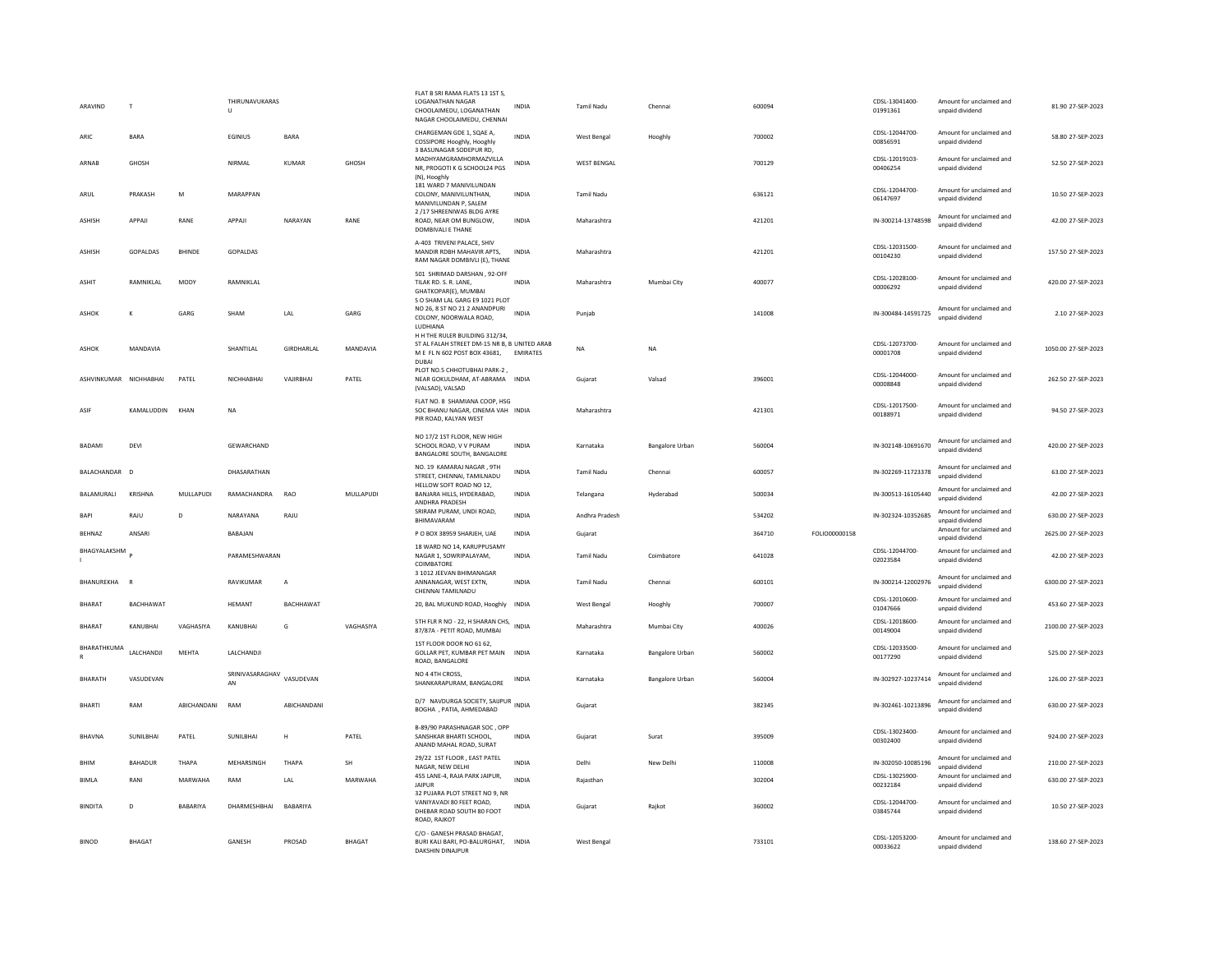| ARAVIND                     | T                      |               | THIRUNAVUKARAS<br>U             |                |               | FLAT B SRI RAMA FLATS 13 1ST S<br><b>LOGANATHAN NAGAR</b><br>CHOOLAIMEDU, LOGANATHAN<br>NAGAR CHOOLAIMEDU, CHENNAI      | <b>INDIA</b>    | <b>Tamil Nadu</b>  | Chennai         | 600094 |               | CDSL-13041400-<br>01991361 | Amount for unclaimed and<br>unpaid dividend | 81.90 27-SEP-2023   |
|-----------------------------|------------------------|---------------|---------------------------------|----------------|---------------|-------------------------------------------------------------------------------------------------------------------------|-----------------|--------------------|-----------------|--------|---------------|----------------------------|---------------------------------------------|---------------------|
| ARIC                        | <b>BARA</b>            |               | EGINIUS                         | <b>BARA</b>    |               | CHARGEMAN GDE 1, SQAE A,<br>COSSIPORE Hooghly, Hooghly                                                                  | <b>INDIA</b>    | West Bengal        | Hooghly         | 700002 |               | CDSL-12044700-<br>00856591 | Amount for unclaimed and<br>unpaid dividend | 58.80 27-SEP-2023   |
| ARNAR                       | <b>GHOSH</b>           |               | NIRMAL                          | KUMAR          | <b>GHOSH</b>  | 3 BASUNAGAR SODEPUR RD,<br>MADHYAMGRAMHORMAZVILLA<br>NR, PROGOTI K G SCHOOL24 PGS<br>(N), Hooghly                       | <b>INDIA</b>    | <b>WEST BENGAL</b> |                 | 700129 |               | CDSL-12019103-<br>00406254 | Amount for unclaimed and<br>unpaid dividend | 52.50 27-SEP-2023   |
| ARUL                        | PRAKASH                | M             | MARAPPAN                        |                |               | 181 WARD 7 MANIVILUNDAN<br>COLONY, MANIVILUNTHAN,<br>MANIVILUNDAN P. SALEM                                              | INDIA           | Tamil Nadu         |                 | 636121 |               | CDSL-12044700-<br>06147697 | Amount for unclaimed and<br>unpaid dividend | 10.50 27-SEP-2023   |
| <b>ASHISH</b>               | APPAJI                 | RANE          | APPAJI                          | NARAYAN        | RANE          | 2 /17 SHREENIWAS BLDG AYRE<br>ROAD, NEAR OM BUNGLOW,<br>DOMBIVALI E THANE                                               | <b>INDIA</b>    | Maharashtra        |                 | 421201 |               | IN-300214-13748598         | Amount for unclaimed and<br>unpaid dividend | 42.00 27-SEP-2023   |
| <b>ASHISH</b>               | GOPALDAS               | <b>BHINDE</b> | GOPALDAS                        |                |               | A-403 TRIVENI PALACE, SHIV<br>MANDIR RDBH MAHAVIR APTS.<br>RAM NAGAR DOMBIVLI (E), THANE                                | <b>INDIA</b>    | Maharashtra        |                 | 421201 |               | CDSL-12031500-<br>00104230 | Amount for unclaimed and<br>unpaid dividend | 157.50 27-SEP-2023  |
| <b>ASHIT</b>                | RAMNIKI AI             | <b>MODY</b>   | RAMNIKI AI                      |                |               | 501 SHRIMAD DARSHAN, 92-OFF<br>TILAK RD. S. R. LANE,<br>GHATKOPAR(E), MUMBAI                                            | <b>INDIA</b>    | Maharashtra        | Mumbai City     | 400077 |               | CDSL-12028100-<br>00006292 | Amount for unclaimed and<br>unpaid dividend | 420.00.27-SEP-2023  |
| <b>ASHOK</b>                | K                      | GARG          | SHAM                            | LAL            | GARG          | S O SHAM LAL GARG E9 1021 PLOT<br>NO 26, 8 ST NO 21 2 ANANDPURI<br>COLONY, NOORWALA ROAD,<br>LUDHIANA                   | <b>INDIA</b>    | Punjab             |                 | 141008 |               | IN-300484-14591725         | Amount for unclaimed and<br>unpaid dividend | 2.10 27-SEP-2023    |
| <b>ASHOK</b>                | MANDAVIA               |               | SHANTILAL                       | GIRDHARLAL     | MANDAVIA      | H H THE RULER BUILDING 312/34.<br>ST AL FALAH STREET DM-15 NR B, B UNITED ARAB<br>M E FL N 602 POST BOX 43681,<br>DUBAL | <b>EMIRATES</b> | NA                 | <b>NA</b>       |        |               | CDSL-12073700-<br>00001708 | Amount for unclaimed and<br>unpaid dividend | 1050.00 27-SEP-2023 |
|                             | ASHVINKUMAR NICHHARHAI | PATFI         | NICHHARHAI                      | VAIIRRHAI      | PATEL         | PLOT NO.5 CHHOTUBHAI PARK-2,<br>NEAR GOKULDHAM, AT-ABRAMA INDIA<br>(VALSAD), VALSAD                                     |                 | Guiarat            | Valsad          | 396001 |               | CDSL-12044000-<br>00008848 | Amount for unclaimed and<br>unpaid dividend | 262.50 27-SEP-2023  |
| ASIF                        | KAMALUDDIN             | KHAN          | <b>NA</b>                       |                |               | FLAT NO. 8 SHAMIANA COOP, HSG<br>SOC BHANU NAGAR, CINEMA VAH INDIA<br>PIR ROAD, KALYAN WEST                             |                 | Maharashtra        |                 | 421301 |               | CDSL-12017500-<br>00188971 | Amount for unclaimed and<br>unpaid dividend | 94.50 27-SEP-2023   |
| <b>BADAMI</b>               | DEVI                   |               | GEWARCHAND                      |                |               | NO 17/2 1ST FLOOR, NEW HIGH<br>SCHOOL ROAD, V V PURAM<br>BANGALORE SOUTH, BANGALORE                                     | <b>INDIA</b>    | Karnataka          | Bangalore Urban | 560004 |               | IN-302148-10691670         | Amount for unclaimed and<br>unpaid dividend | 420.00 27-SEP-2023  |
| BALACHANDAR D               |                        |               | DHASARATHAN                     |                |               | NO. 19 KAMARAJ NAGAR, 9TH<br>STREET, CHENNAI, TAMILNADU                                                                 | INDIA           | Tamil Nadu         | Chennai         | 600057 |               | IN-302269-11723378         | Amount for unclaimed and<br>unpaid dividend | 63.00 27-SEP-2023   |
| BALAMURALI                  | KRISHNA                | MULLAPUDI     | RAMACHANDRA                     | <b>RAO</b>     | MULLAPUDI     | HELLOW SOFT ROAD NO 12,<br>BANJARA HILLS, HYDERABAD,<br>ANDHRA PRADESH                                                  | <b>INDIA</b>    | Telangana          | Hyderabad       | 500034 |               | IN-300513-16105440         | Amount for unclaimed and<br>unpaid dividend | 42.00 27-SEP-2023   |
| BAPI                        | RAJU                   | D             | NARAYANA                        | RAJU           |               | SRIRAM PURAM, UNDI ROAD,<br>BHIMAVARAM                                                                                  | <b>INDIA</b>    | Andhra Pradesh     |                 | 534202 |               | IN-302324-10352685         | Amount for unclaimed and<br>unpaid dividend | 630.00 27-SEP-2023  |
| BEHNAZ                      | ANSARI                 |               | BABAJAN                         |                |               | P O BOX 38959 SHARJEH, UAE                                                                                              | INDIA           | Gujarat            |                 | 364710 | FOLIO00000158 |                            | Amount for unclaimed and<br>unpaid dividend | 2625.00 27-SEP-2023 |
| BHAGYALAKSHM                |                        |               | PARAMESHWARAN                   |                |               | 18 WARD NO 14, KARUPPUSAMY<br>NAGAR 1, SOWRIPALAYAM,<br>COIMBATORE                                                      | <b>INDIA</b>    | <b>Tamil Nadu</b>  | Coimbatore      | 641028 |               | CDSL-12044700-<br>02023584 | Amount for unclaimed and<br>unnaid dividend | 42.00 27-SEP-2023   |
| BHANUREKHA                  | $\overline{R}$         |               | RAVIKUMAR                       | $\overline{A}$ |               | 3 1012 JEEVAN BHIMANAGAR<br>ANNANAGAR, WEST EXTN,<br>CHENNAI TAMILNADU                                                  | INDIA           | Tamil Nadu         | Chennai         | 600101 |               | IN-300214-12002976         | Amount for unclaimed and<br>unpaid dividend | 6300.00 27-SEP-2023 |
| <b>BHARAT</b>               | BACHHAWAT              |               | <b>HEMANT</b>                   | BACHHAWAT      |               | 20, BAL MUKUND ROAD, Hooghly INDIA                                                                                      |                 | West Bengal        | Hooghly         | 700007 |               | CDSL-12010600-<br>01047666 | Amount for unclaimed and<br>unpaid dividend | 453.60 27-SEP-2023  |
| <b>BHARAT</b>               | KANUBHAI               | VAGHASIYA     | KANUBHAI                        | G              | VAGHASIYA     | 5TH FLR R NO - 22, H SHARAN CHS, INDIA<br>87/87A - PETIT ROAD, MUMBAI                                                   |                 | Maharashtra        | Mumbai City     | 400026 |               | CDSL-12018600-<br>00149004 | Amount for unclaimed and<br>unpaid dividend | 2100.00 27-SEP-2023 |
| BHARATHKUMA<br>$\mathbb{R}$ | LALCHANDJI             | MEHTA         | LALCHANDJI                      |                |               | 1ST FLOOR DOOR NO 61 62,<br>GOLLAR PET, KUMBAR PET MAIN INDIA<br>ROAD, BANGALORE                                        |                 | Karnataka          | Bangalore Urban | 560002 |               | CDSL-12033500-<br>00177290 | Amount for unclaimed and<br>unpaid dividend | 525.00 27-SEP-2023  |
| BHARATH                     | VASUDEVAN              |               | SRINIVASARAGHAV VASUDEVAN<br>AN |                |               | NO 4 4TH CROSS.<br>SHANKARAPURAM, BANGALORE                                                                             | INDIA           | Karnataka          | Bangalore Urban | 560004 |               | IN-302927-10237414         | Amount for unclaimed and<br>unpaid dividend | 126.00 27-SEP-2023  |
| <b>BHARTI</b>               | RAM                    | ABICHANDANI   | RAM                             | ABICHANDANI    |               | D/7 NAVDURGA SOCIETY, SAIJPUR<br>BOGHA , PATIA, AHMEDABAD                                                               | <b>INDIA</b>    | Gujarat            |                 | 382345 |               | IN-302461-10213896         | Amount for unclaimed and<br>unpaid dividend | 630.00 27-SEP-2023  |
| <b>BHAVNA</b>               | SUNILBHAI              | PATEL         | SUNILBHAI                       | н              | PATEL         | B-89/90 PARASHNAGAR SOC, OPP<br>SANSHKAR BHARTI SCHOOL.<br>ANAND MAHAL ROAD, SURAT                                      | <b>INDIA</b>    | Gujarat            | Surat           | 395009 |               | CDSL-13023400-<br>00302400 | Amount for unclaimed and<br>unpaid dividend | 924.00 27-SEP-2023  |
| BHIM                        | BAHADUR                | THAPA         | MEHARSINGH                      | THAPA          | SH            | 29/22 1ST FLOOR, EAST PATEL<br>NAGAR, NEW DELHI                                                                         | <b>INDIA</b>    | Delhi              | New Delhi       | 110008 |               | IN-302050-10085196         | Amount for unclaimed and<br>unpaid dividend | 210.00 27-SEP-2023  |
| BIMLA                       | RANI                   | MARWAHA       | RAM                             | LAL            | MARWAHA       | 455 LANE-4, RAJA PARK JAIPUR,<br>JAIPUR                                                                                 | <b>INDIA</b>    | Rajasthan          |                 | 302004 |               | CDSL-13025900-<br>00232184 | Amount for unclaimed and<br>unpaid dividend | 630.00 27-SEP-2023  |
| <b>BINDITA</b>              | D                      | BABARIYA      | DHARMESHBHAI                    | BABARIYA       |               | 32 PUJARA PLOT STREET NO 9, NR<br>VANIYAVADI 80 FEET ROAD.<br>DHEBAR ROAD SOUTH 80 FOOT<br>ROAD, RAJKOT                 | INDIA           | Gujarat            | Raikot          | 360002 |               | CDSL-12044700-<br>03845744 | Amount for unclaimed and<br>unpaid dividend | 10.50 27-SEP-2023   |
| <b>BINOD</b>                | <b>BHAGAT</b>          |               | GANESH                          | PROSAD         | <b>BHAGAT</b> | C/O - GANESH PRASAD BHAGAT,<br>BURI KALI BARI, PO-BALURGHAT,<br><b>DAKSHIN DINAIPUR</b>                                 | <b>INDIA</b>    | West Bengal        |                 | 733101 |               | CDSI-12053200-<br>00033622 | Amount for unclaimed and<br>unpaid dividend | 138.60 27-SEP-2023  |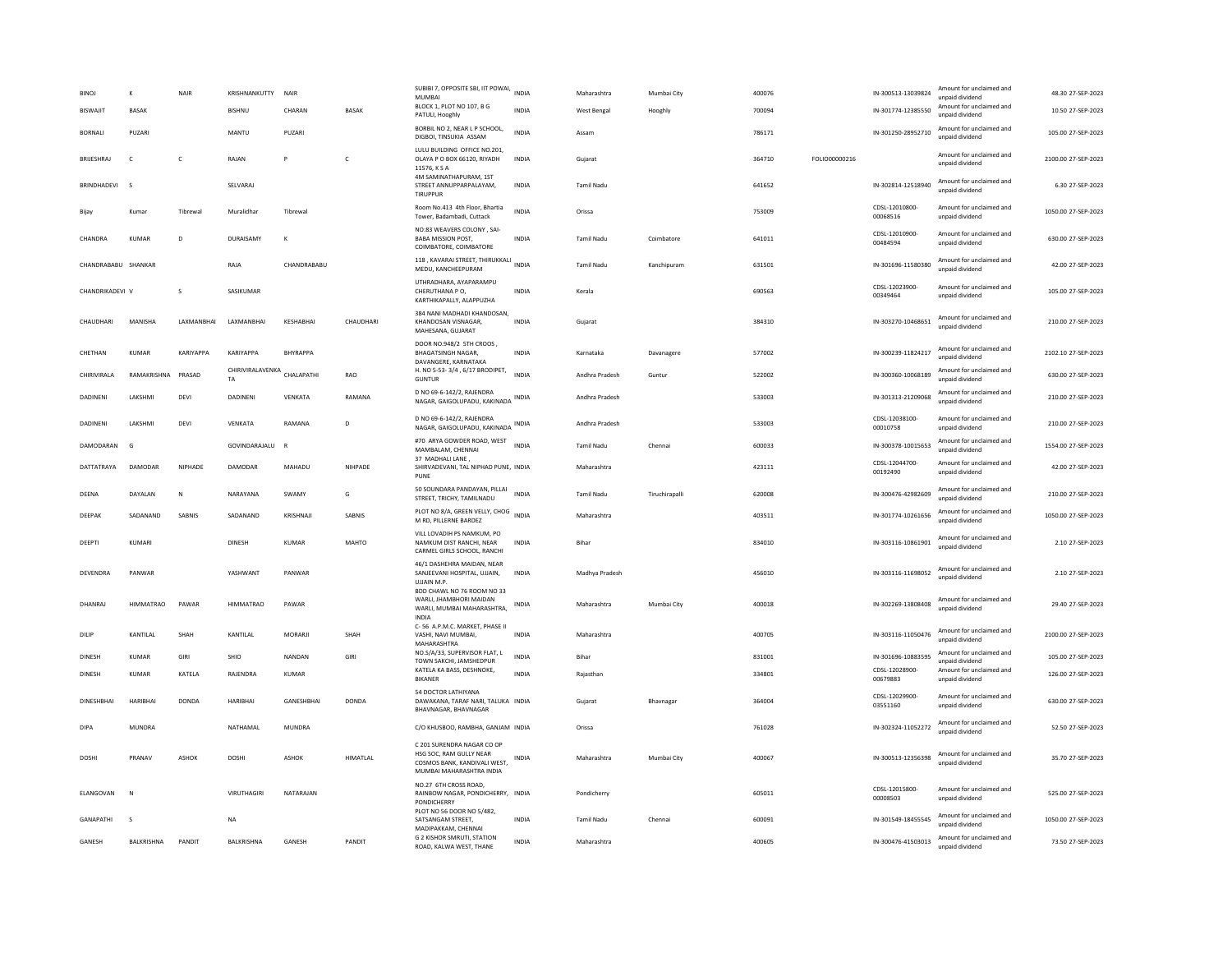| <b>BINO</b><br><b>BISWAJIT</b> | ĸ<br><b>BASAK</b> | NAIR          | KRISHNANKUTTY<br>BISHNU           | NAIR<br>CHARAN    | BASAK        | SUBIBI 7, OPPOSITE SBI, IIT POWAI, INDIA<br>MUMBAI<br>BLOCK 1, PLOT NO 107, B G                                   | <b>INDIA</b> | Maharashtra<br>West Bengal | Mumbai City<br>Hooghly | 400076<br>700094 |               | IN-300513-13039824<br>IN-301774-12385550 | Amount for unclaimed and<br>unnaid dividend<br>Amount for unclaimed and | 48.30 27-SEP-2023<br>10.50 27-SEP-2023 |
|--------------------------------|-------------------|---------------|-----------------------------------|-------------------|--------------|-------------------------------------------------------------------------------------------------------------------|--------------|----------------------------|------------------------|------------------|---------------|------------------------------------------|-------------------------------------------------------------------------|----------------------------------------|
| <b>BORNALL</b>                 | PUZARI            |               | MANTU                             | PLIZARI           |              | PATULI, Hooghly<br>BORBIL NO 2, NEAR L P SCHOOL,                                                                  | <b>INDIA</b> | Assam                      |                        | 786171           |               | IN-301250-28952710                       | unpaid dividend<br>Amount for unclaimed and                             | 105.00.27-SEP-2023                     |
| BRUESHRAJ                      | $\mathsf{C}$      | $\mathsf{C}$  | RAJAN                             | P                 | $\mathsf{C}$ | DIGBOI, TINSUKIA ASSAM<br>LULU BUILDING OFFICE NO.201,<br>OLAYA P O BOX 66120, RIYADH                             | <b>INDIA</b> | Gujarat                    |                        | 364710           | FOLIO00000216 |                                          | unpaid dividend<br>Amount for unclaimed and<br>unpaid dividend          | 2100.00 27-SEP-2023                    |
| <b>BRINDHADEVI</b>             | s                 |               | SELVARAJ                          |                   |              | 11576, K S A<br>4M SAMINATHAPURAM, 1ST<br>STREET ANNUPPARPALAYAM.<br>TIRUPPUR                                     | <b>INDIA</b> | <b>Tamil Nadu</b>          |                        | 641652           |               | IN-302814-12518940                       | Amount for unclaimed and<br>unpaid dividend                             | 6.30 27-SEP-2023                       |
| Bijav                          | Kumar             | Tibrewal      | Muralidhar                        | Tibrewal          |              | Room No.413 4th Floor, Bhartia<br>Tower, Badambadi, Cuttack                                                       | INDIA        | Orissa                     |                        | 753009           |               | CDSL-12010800-<br>00068516               | Amount for unclaimed and<br>unpaid dividend                             | 1050.00 27-SEP-2023                    |
| CHANDRA                        | <b>KUMAR</b>      | D             | DURAISAMY                         | K                 |              | NO:83 WEAVERS COLONY . SAI-<br><b>BABA MISSION POST.</b><br>COIMBATORE, COIMBATORE                                | <b>INDIA</b> | <b>Tamil Nadu</b>          | Coimbatore             | 641011           |               | CDSL-12010900-<br>00484594               | Amount for unclaimed and<br>unpaid dividend                             | 630.00 27-SEP-2023                     |
| CHANDRABABU SHANKAR            |                   |               | RAJA                              | CHANDRABABU       |              | 118, KAVARAI STREET, THIRUKKALI INDIA<br>MEDU, KANCHEEPURAM                                                       |              | <b>Tamil Nadu</b>          | Kanchipuram            | 631501           |               | IN-301696-11580380                       | Amount for unclaimed and<br>unpaid dividend                             | 42.00 27-SEP-2023                      |
| CHANDRIKADEVI V                |                   | s             | SASIKUMAR                         |                   |              | UTHRADHARA, AYAPARAMPU<br>CHERUTHANA PO.<br>KARTHIKAPALLY, ALAPPUZHA                                              | <b>INDIA</b> | Kerala                     |                        | 690563           |               | CDSL-12023900-<br>00349464               | Amount for unclaimed and<br>unpaid dividend                             | 105.00 27-SEP-2023                     |
| CHAUDHARI                      | MANISHA           | LAXMANBHAI    | LAXMANBHAI                        | KESHABHAI         | CHAUDHARI    | 384 NANI MADHADI KHANDOSAN.<br>KHANDOSAN VISNAGAR.<br>MAHESANA, GUJARAT                                           | <b>INDIA</b> | Gujarat                    |                        | 384310           |               | IN-303270-10468651                       | Amount for unclaimed and<br>unpaid dividend                             | 210.00 27-SEP-2023                     |
| CHFTHAN                        | KUMAR             | KARIYAPPA     | KARIYAPPA                         | <b>RHYRAPPA</b>   |              | DOOR NO.948/2 5TH CROOS,<br><b>BHAGATSINGH NAGAR.</b><br>DAVANGERE, KARNATAKA                                     | <b>INDIA</b> | Karnataka                  | Davanagere             | 577002           |               | IN-300239-11824217                       | Amount for unclaimed and<br>unpaid dividend                             | 2102.10 27-SEP-2023                    |
| CHIRIVIRALA                    | RAMAKRISHNA       | PRASAD        | CHIRIVIRALAVENKA CHALAPATHI<br>TA |                   | RAO          | H. NO 5-53-3/4, 6/17 BRODIPET,<br><b>GUNTUR</b>                                                                   | <b>INDIA</b> | Andhra Pradesh             | Guntur                 | 522002           |               | IN-300360-10068189                       | Amount for unclaimed and<br>unpaid dividend                             | 630.00 27-SEP-2023                     |
| DADINENI                       | LAKSHMI           | DEVI          | DADINENI                          | VENKATA           | RAMANA       | D NO 69-6-142/2, RAJENDRA<br>NAGAR, GAIGOLUPADU, KAKINADA INDIA                                                   |              | Andhra Pradesh             |                        | 533003           |               | IN-301313-21209068                       | Amount for unclaimed and<br>unpaid dividend                             | 210.00 27-SEP-2023                     |
| DADINENI                       | LAKSHMI           | DEVI          | VENKATA                           | RAMANA            | D            | D NO 69-6-142/2, RAJENDRA<br>NAGAR, GAIGOLUPADU, KAKINADA INDIA                                                   |              | Andhra Pradesh             |                        | 533003           |               | CDSL-12038100-<br>00010758               | Amount for unclaimed and<br>unpaid dividend                             | 210.00 27-SEP-2023                     |
| DAMODARAN                      | G                 |               | GOVINDARAJALU                     | $\mathbf R$       |              | #70 ARYA GOWDER ROAD, WEST<br>MAMBALAM, CHENNAI                                                                   | <b>INDIA</b> | Tamil Nadu                 | Chennai                | 600033           |               | IN-300378-10015653                       | Amount for unclaimed and<br>unpaid dividend                             | 1554.00 27-SEP-2023                    |
| DATTATRAYA                     | DAMODAR           | NIPHADE       | DAMODAR                           | MAHADU            | NIHPADE      | 37 MADHALI LANE,<br>SHIRVADEVANI, TAL NIPHAD PUNE, INDIA<br>PUNE                                                  |              | Maharashtra                |                        | 423111           |               | CDSL-12044700-<br>00192490               | Amount for unclaimed and<br>unpaid dividend                             | 42.00 27-SEP-2023                      |
| DEENA                          | DAYALAN           | Ν             | NARAYANA                          | SWAMY             | G            | 50 SOUNDARA PANDAYAN, PILLAI<br>STREET, TRICHY, TAMILNADU                                                         | <b>INDIA</b> | <b>Tamil Nadu</b>          | Tiruchirapall          | 620008           |               | IN-300476-42982609                       | Amount for unclaimed and<br>unpaid dividend                             | 210.00 27-SEP-2023                     |
| DEEPAK                         | SADANAND          | <b>SABNIS</b> | SADANAND                          | KRISHNAJI         | SABNIS       | PLOT NO 8/A, GREEN VELLY, CHOG<br>M RD, PILLERNE BARDEZ                                                           | <b>INDIA</b> | Maharashtra                |                        | 403511           |               | IN-301774-10261656                       | Amount for unclaimed and<br>unpaid dividend                             | 1050.00 27-SEP-2023                    |
| DEEPTI                         | <b>KUMARI</b>     |               | <b>DINESH</b>                     | <b>KUMAR</b>      | <b>MAHTO</b> | VILL LOVADIH PS NAMKUM, PO<br>NAMKUM DIST RANCHI, NEAR<br>CARMEL GIRLS SCHOOL, RANCHI                             | <b>INDIA</b> | <b>Bihar</b>               |                        | 834010           |               | IN-303116-10861901                       | Amount for unclaimed and<br>unpaid dividend                             | 2.10 27-SEP-2023                       |
| DEVENDRA                       | PANWAR            |               | YASHWANT                          | PANWAR            |              | 46/1 DASHEHRA MAIDAN, NEAR<br>SANJEEVANI HOSPITAL, UJJAIN,<br>UJJAIN M.P.                                         | <b>INDIA</b> | Madhya Pradesh             |                        | 456010           |               | IN-303116-11698052                       | Amount for unclaimed and<br>unpaid dividend                             | 2.10 27-SEP-2023                       |
| DHANRAJ                        | HIMMATRAO         | PAWAR         | <b>HIMMATRAO</b>                  | PAWAR             |              | BDD CHAWL NO 76 ROOM NO 33<br>WARLI, JHAMBHORI MAIDAN<br>WARLI, MUMBAI MAHARASHTRA,<br>INDIA                      | <b>INDIA</b> | Maharashtra                | Mumbai City            | 400018           |               | IN-302269-13808408                       | Amount for unclaimed and<br>unpaid dividend                             | 29.40 27-SEP-2023                      |
| DILIP                          | <b>KANTILAI</b>   | SHAH          | KANTILAL                          | <b>MORARII</b>    | SHAH         | C-56 A.P.M.C. MARKET, PHASE II<br>VASHI, NAVI MUMBAI,<br>MAHARASHTRA                                              | <b>INDIA</b> | Maharashtra                |                        | 400705           |               | IN-303116-11050476                       | Amount for unclaimed and<br>unnaid dividend                             | 2100.00 27-SEP-2023                    |
| <b>DINESH</b>                  | <b>KUMAR</b>      | GIRI          | SHIO                              | NANDAN            | GIRI         | NO.S/A/33, SUPERVISOR FLAT, L<br>TOWN SAKCHI, JAMSHEDPUR                                                          | <b>INDIA</b> | Bihar                      |                        | 831001           |               | IN-301696-10883595                       | Amount for unclaimed and<br>unpaid dividend                             | 105.00 27-SEP-2023                     |
| DINESH                         | <b>KUMAR</b>      | KATELA        | RAJENDRA                          | KUMAR             |              | KATELA KA BASS, DESHNOKE,<br><b>BIKANER</b>                                                                       | <b>INDIA</b> | Rajasthan                  |                        | 334801           |               | CDSL-12028900-<br>00679883               | Amount for unclaimed and<br>unpaid dividend                             | 126.00 27-SEP-2023                     |
| <b>DINESHRHAI</b>              | HARIBHAI          | DONDA         | <b>HARIBHAI</b>                   | <b>GANESHRHAI</b> | DONDA        | 54 DOCTOR LATHIYANA<br>DAWAKANA, TARAF NARI, TALUKA INDIA<br>BHAVNAGAR, BHAVNAGAR                                 |              | Gujarat                    | Bhavnagar              | 364004           |               | CDSL-12029900-<br>03551160               | Amount for unclaimed and<br>unpaid dividend                             | 630.00.27-SEP-2023                     |
| <b>DIPA</b>                    | MUNDRA            |               | NATHAMAL                          | MUNDRA            |              | C/O KHUSBOO, RAMBHA, GANJAM INDIA                                                                                 |              | Orissa                     |                        | 761028           |               | IN-302324-11052272                       | Amount for unclaimed and<br>unnaid dividend                             | 52.50 27-SEP-2023                      |
| <b>DOSHI</b>                   | PRANAV            | ASHOK         | <b>DOSHI</b>                      | ASHOK             | HIMATLAL     | C 201 SURENDRA NAGAR CO OP<br>HSG SOC. RAM GULLY NEAR<br>COSMOS BANK, KANDIVALI WEST,<br>MUMBAI MAHARASHTRA INDIA | INDIA        | Maharashtra                | Mumbai City            | 400067           |               | IN-300513-12356398                       | Amount for unclaimed and<br>unpaid dividend                             | 35.70 27-SEP-2023                      |
| ELANGOVAN                      | N                 |               | VIRUTHAGIRI                       | NATARAJAN         |              | NO.27 6TH CROSS ROAD.<br>RAINBOW NAGAR, PONDICHERRY, INDIA<br>PONDICHERRY                                         |              | Pondicherry                |                        | 605011           |               | CDSL-12015800-<br>00008503               | Amount for unclaimed and<br>unpaid dividend                             | 525.00 27-SEP-2023                     |
| <b>GANAPATHI</b>               | s                 |               | <b>NA</b>                         |                   |              | PLOT NO 56 DOOR NO 5/482,<br>SATSANGAM STREET.<br>MADIPAKKAM, CHENNAI                                             | <b>INDIA</b> | <b>Tamil Nadu</b>          | Chennai                | 600091           |               | IN-301549-18455545                       | Amount for unclaimed and<br>unpaid dividend                             | 1050.00 27-SEP-2023                    |
| GANESH                         | BALKRISHNA        | PANDIT        | BALKRISHNA                        | GANESH            | PANDIT       | G 2 KISHOR SMRUTI, STATION<br>ROAD, KAI WA WEST, THANE                                                            | <b>INDIA</b> | Maharashtra                |                        | 400605           |               | IN-300476-41503013                       | Amount for unclaimed and<br>unnaid dividend                             | 73.50 27-SEP-2023                      |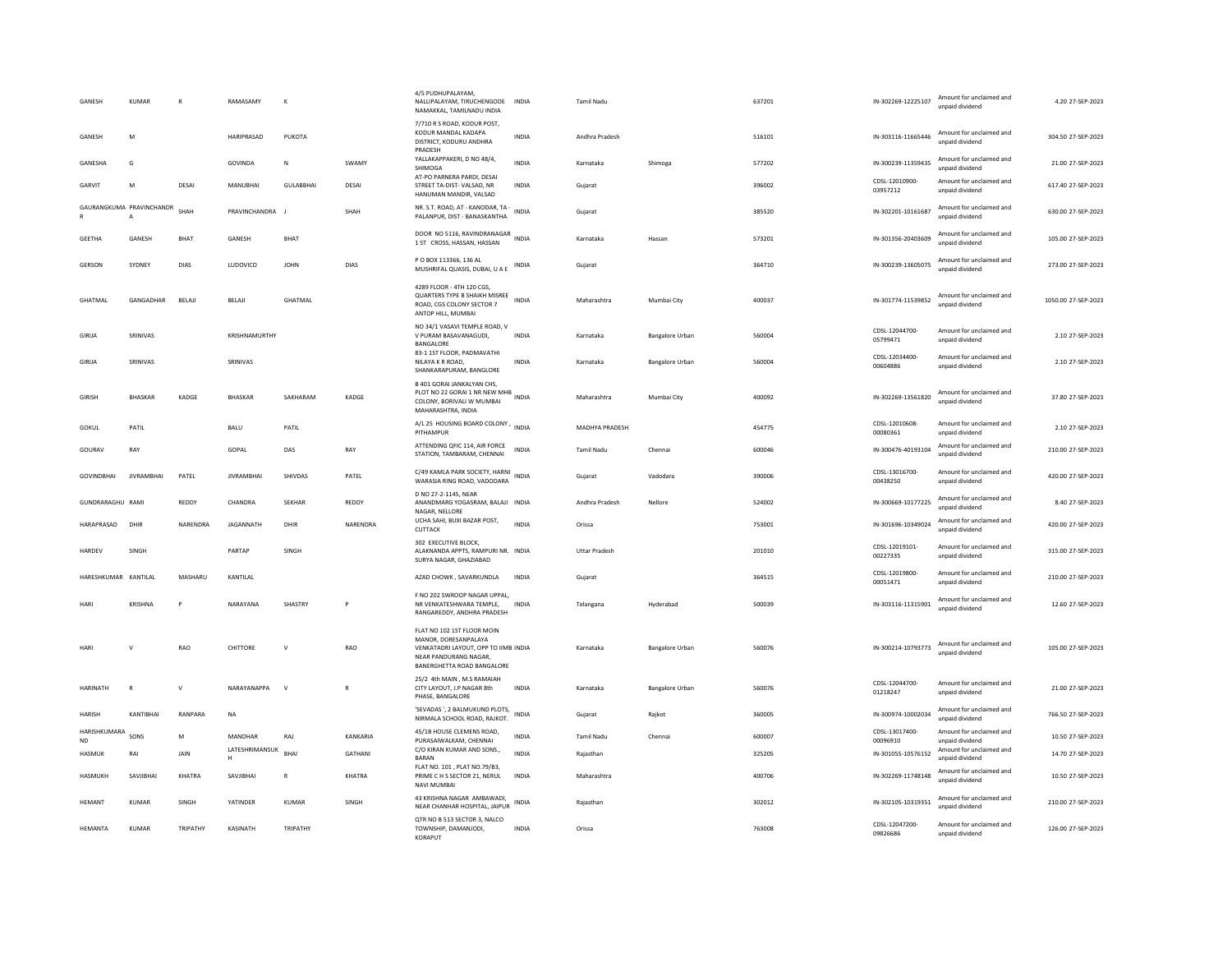| GANESH                    | <b>KUMAR</b>                             |              | RAMASAMY            | K                |                | 4/5 PUDHUPALAYAM.<br>NALLIPALAYAM, TIRUCHENGODE<br>NAMAKKAL, TAMILNADU INDIA                                                                      | <b>INDIA</b> | <b>Tamil Nadu</b>     |                 | 637201 | IN-302269-12225107         | Amount for unclaimed and<br>unpaid dividend | 4.20 27-SEP-2023    |
|---------------------------|------------------------------------------|--------------|---------------------|------------------|----------------|---------------------------------------------------------------------------------------------------------------------------------------------------|--------------|-----------------------|-----------------|--------|----------------------------|---------------------------------------------|---------------------|
| GANESH                    | M                                        |              | HARIPRASAD          | PUKOTA           |                | 7/710 R S ROAD, KODUR POST,<br>KODUR MANDAL KADAPA<br>DISTRICT, KODURU ANDHRA<br>PRADESH                                                          | INDIA        | Andhra Pradesh        |                 | 516101 | IN-303116-11665446         | Amount for unclaimed and<br>unpaid dividend | 304.50 27-SEP-2023  |
| GANESHA                   | G                                        |              | GOVINDA             | N                | SWAMY          | YALLAKAPPAKERI, D NO 48/4,<br>SHIMOGA                                                                                                             | <b>INDIA</b> | Karnataka             | Shimoga         | 577202 | IN-300239-11359435         | Amount for unclaimed and<br>unpaid dividend | 21.00 27-SEP-2023   |
| GARVIT                    | M                                        | DESAI        | MANUBHAI            | <b>GULABBHAI</b> | DESAI          | AT-PO PARNERA PARDI, DESAI<br>STREET TA-DIST-VALSAD, NR<br>HANUMAN MANDIR, VALSAD                                                                 | INDIA        | Guiarat               |                 | 396002 | CDSL-12010900-<br>03957212 | Amount for unclaimed and<br>unpaid dividend | 617.40 27-SEP-2023  |
| $\mathbb{R}$              | GAURANGKUMA PRAVINCHANDR<br>$\mathsf{A}$ | SHAH         | PRAVINCHANDRA       | $\blacksquare$   | SHAH           | NR. S.T. ROAD, AT - KANODAR, TA -<br>PALANPUR, DIST - BANASKANTHA                                                                                 | <b>INDIA</b> | Gujarat               |                 | 385520 | IN-302201-10161687         | Amount for unclaimed and<br>unpaid dividend | 630.00 27-SEP-2023  |
| <b>GEETHA</b>             | GANESH                                   | <b>BHAT</b>  | GANESH              | <b>BHAT</b>      |                | DOOR NO 5116, RAVINDRANAGAR<br>1 ST CROSS, HASSAN, HASSAN                                                                                         | <b>INDIA</b> | Karnataka             | Hassan          | 573201 | IN-301356-20403609         | Amount for unclaimed and<br>unpaid dividend | 105.00 27-SEP-2023  |
| GERSON                    | SYDNEY                                   | DIAS         | LUDOVICO            | <b>JOHN</b>      | DIAS           | P O BOX 113366, 136 AL<br>MUSHRIFAL QUASIS, DUBAI, U A E                                                                                          | INDIA        | Gujarat               |                 | 364710 | IN-300239-13605075         | Amount for unclaimed and<br>unpaid dividend | 273.00 27-SEP-2023  |
| GHATMAL                   | GANGADHAR                                | BELAJI       | BELAJI              | <b>GHATMAL</b>   |                | 4289 FLOOR - 4TH 120 CGS,<br>QUARTERS TYPE B SHAIKH MISREE INDIA<br>ROAD, CGS COLONY SECTOR 7<br>ANTOP HILL, MUMBAI                               |              | Maharashtra           | Mumbai City     | 400037 | IN-301774-11539852         | Amount for unclaimed and<br>unnaid dividend | 1050.00 27-SEP-2023 |
| GIRIJA                    | SRINIVAS                                 |              | KRISHNAMURTHY       |                  |                | NO 34/1 VASAVI TEMPLE ROAD, V<br>V PURAM BASAVANAGUDI,<br>BANGALORE                                                                               | <b>INDIA</b> | Karnataka             | Bangalore Urban | 560004 | CDSL-12044700-<br>05799471 | Amount for unclaimed and<br>unpaid dividend | 2.10 27-SEP-2023    |
| GIRIJA                    | SRINIVAS                                 |              | SRINIVAS            |                  |                | 83-1 1ST FLOOR, PADMAVATHI<br>NII AYA K R ROAD.<br>SHANKARAPURAM, BANGLORE                                                                        | <b>INDIA</b> | Karnataka             | Bangalore Urban | 560004 | CDSL-12034400-<br>00604886 | Amount for unclaimed and<br>unpaid dividend | 2.10 27-SEP-2023    |
| <b>GIRISH</b>             | <b>BHASKAR</b>                           | KADGE        | <b>BHASKAR</b>      | SAKHARAM         | KADGE          | <b>B 401 GORAI JANKALYAN CHS.</b><br>PLOT NO 22 GORAL 1 NR NEW MHB<br>COLONY, BORIVALI W MUMBAI<br>MAHARASHTRA, INDIA                             |              | Maharashtra           | Mumbai City     | 400092 | IN-302269-13561820         | Amount for unclaimed and<br>unpaid dividend | 37.80 27-SEP-2023   |
| <b>GOKUL</b>              | PATIL                                    |              | <b>BALU</b>         | PATIL            |                | A/L 25 HOUSING BOARD COLONY, INDIA<br>PITHAMPUR                                                                                                   |              | <b>MADHYA PRADESH</b> |                 | 454775 | CDSL-12010608-<br>00080361 | Amount for unclaimed and<br>unpaid dividend | 2.10 27-SEP-2023    |
| GOURAV                    | RAY                                      |              | GOPAI               | DAS              | RAY            | ATTENDING QFIC 114, AIR FORCE<br>STATION, TAMBARAM, CHENNAI                                                                                       | <b>INDIA</b> | <b>Tamil Nadu</b>     | Chennai         | 600046 | IN-300476-40193104         | Amount for unclaimed and<br>unnaid dividend | 210.00 27-SEP-2023  |
| <b>GOVINDBHAI</b>         | <b>JIVRAMBHAI</b>                        | PATEL        | <b>JIVRAMBHAI</b>   | SHIVDAS          | PATEL          | C/49 KAMLA PARK SOCIETY, HARNI INDIA<br>WARASIA RING ROAD, VADODARA                                                                               |              | Gujarat               | Vadodara        | 390006 | CDSI-13016700-<br>00438250 | Amount for unclaimed and<br>unpaid dividend | 420.00 27-SEP-2023  |
| GUNDRARAGHU RAMI          |                                          | REDDY        | CHANDRA             | <b>SEKHAR</b>    | REDDY          | D NO 27-2-1145, NEAR<br>ANANDMARG YOGASRAM, BALAJI INDIA<br>NAGAR, NELLORE                                                                        |              | Andhra Pradesh        | Nellore         | 524002 | IN-300669-10177225         | Amount for unclaimed and<br>unpaid dividend | 8.40 27-SEP-2023    |
| HARAPRASAD                | DHIR                                     | NARENDRA     | JAGANNATH           | DHIR             | NARENDRA       | UCHA SAHI, BUXI BAZAR POST,<br>CUTTACK                                                                                                            | <b>INDIA</b> | Orissa                |                 | 753001 | IN-301696-10349024         | Amount for unclaimed and<br>unpaid dividend | 420.00 27-SEP-2023  |
| HARDEV                    | SINGH                                    |              | PARTAP              | SINGH            |                | 302 EXECUTIVE BLOCK.<br>ALAKNANDA APPTS, RAMPURI NR. INDIA<br>SURYA NAGAR, GHAZIABAD                                                              |              | <b>Uttar Pradesh</b>  |                 | 201010 | CDSL-12019101-<br>00227335 | Amount for unclaimed and<br>unpaid dividend | 315.00 27-SEP-2023  |
| HARESHKUMAR KANTILAL      |                                          | MASHARU      | KANTILAL            |                  |                | AZAD CHOWK, SAVARKUNDLA                                                                                                                           | INDIA        | Gujarat               |                 | 364515 | CDSL-12019800-<br>00051471 | Amount for unclaimed and<br>unpaid dividend | 210.00 27-SEP-2023  |
| <b>HAR</b>                | <b>KRISHNA</b>                           | P            | NARAYANA            | SHASTRY          | P              | F NO 202 SWROOP NAGAR UPPAL<br>NR VENKATESHWARA TEMPLE,<br>RANGAREDDY, ANDHRA PRADESH                                                             | <b>INDIA</b> | Telangana             | Hyderabad       | 500039 | IN-303116-11315901         | Amount for unclaimed and<br>unpaid dividend | 12.60 27-SEP-2023   |
| HARI                      | $\mathbf{v}$                             | <b>RAO</b>   | CHITTORE            | $\mathbf{v}$     | RAO            | FLAT NO 102 1ST FLOOR MOIN<br>MANOR, DORESANPALAYA<br>VENKATADRI LAYOUT, OPP TO IIMB INDIA<br>NEAR PANDURANG NAGAR,<br>BANERGHETTA ROAD BANGALORE |              | Karnataka             | Bangalore Urban | 560076 | IN-300214-10793773         | Amount for unclaimed and<br>unpaid dividend | 105.00 27-SEP-2023  |
| <b>HARINATH</b>           | $\mathbb{R}$                             | $\mathbf{v}$ | NARAYANAPPA         | $\mathsf{v}$     | R              | 25/2 4th MAIN, M.S RAMAIAH<br>CITY LAYOUT. J.P NAGAR 8th<br>PHASE, BANGALORE                                                                      | <b>INDIA</b> | Karnataka             | Bangalore Urban | 560076 | CDSL-12044700-<br>01218247 | Amount for unclaimed and<br>unpaid dividend | 21.00.27-SEP-2023   |
| HARISH                    | KANTIBHAI                                | RANPARA      | NA                  |                  |                | 'SEVADAS ', 2 BALMUKUND PLOTS,<br>NIRMALA SCHOOL ROAD, RAJKOT.                                                                                    | INDIA        | Gujarat               | Rajkot          | 360005 | IN-300974-10002034         | Amount for unclaimed and<br>unpaid dividend | 766.50 27-SEP-2023  |
| HARISHKUMARA<br><b>ND</b> | SONS                                     | M            | <b>MANOHAR</b>      | RAJ              | KANKARIA       | 45/1B HOUSE CLEMENS ROAD,<br>PURASAIWALKAM, CHENNAI                                                                                               | <b>INDIA</b> | Tamil Nadu            | Chennai         | 600007 | CDSL-13017400-<br>00096910 | Amount for unclaimed and<br>unpaid dividend | 10.50 27-SEP-2023   |
| <b>HASMUK</b>             | RAI                                      | <b>JAIN</b>  | LATESHRIMANSUK<br>н | <b>BHAI</b>      | <b>GATHANI</b> | C/O KIRAN KUMAR AND SONS.,<br><b>BARAN</b>                                                                                                        | <b>INDIA</b> | Rajasthan             |                 | 325205 | IN-301055-10576152         | Amount for unclaimed and<br>unpaid dividend | 14.70 27-SEP-2023   |
| <b>HASMUKH</b>            | SAVJIBHAI                                | KHATRA       | SAVJIBHAI           | $\mathbb{R}$     | KHATRA         | FLAT NO. 101, PLAT NO.79/B3,<br>PRIME C H S SECTOR 21, NERUL<br>NAVI MUMBAI                                                                       | <b>INDIA</b> | Maharashtra           |                 | 400706 | IN-302269-11748148         | Amount for unclaimed and<br>unpaid dividend | 10.50 27-SEP-2023   |
| <b>HEMANT</b>             | <b>KUMAR</b>                             | SINGH        | YATINDER            | <b>KUMAR</b>     | SINGH          | 43 KRISHNA NAGAR AMRAWADI.<br>NEAR CHANHAR HOSPITAL, JAIPUR                                                                                       | INDIA        | Rajasthan             |                 | 302012 | IN-302105-10319351         | Amount for unclaimed and<br>unpaid dividend | 210.00 27-SEP-2023  |
| <b>HFMANTA</b>            | KUMAR                                    | TRIPATHY     | KASINATH            | TRIPATHY         |                | QTR NO B 513 SECTOR 3, NALCO<br>TOWNSHIP, DAMANJODI.<br>KORAPUT                                                                                   | <b>INDIA</b> | Orissa                |                 | 763008 | CDSL-12047200-<br>09826686 | Amount for unclaimed and<br>unpaid dividend | 126.00 27-SEP-2023  |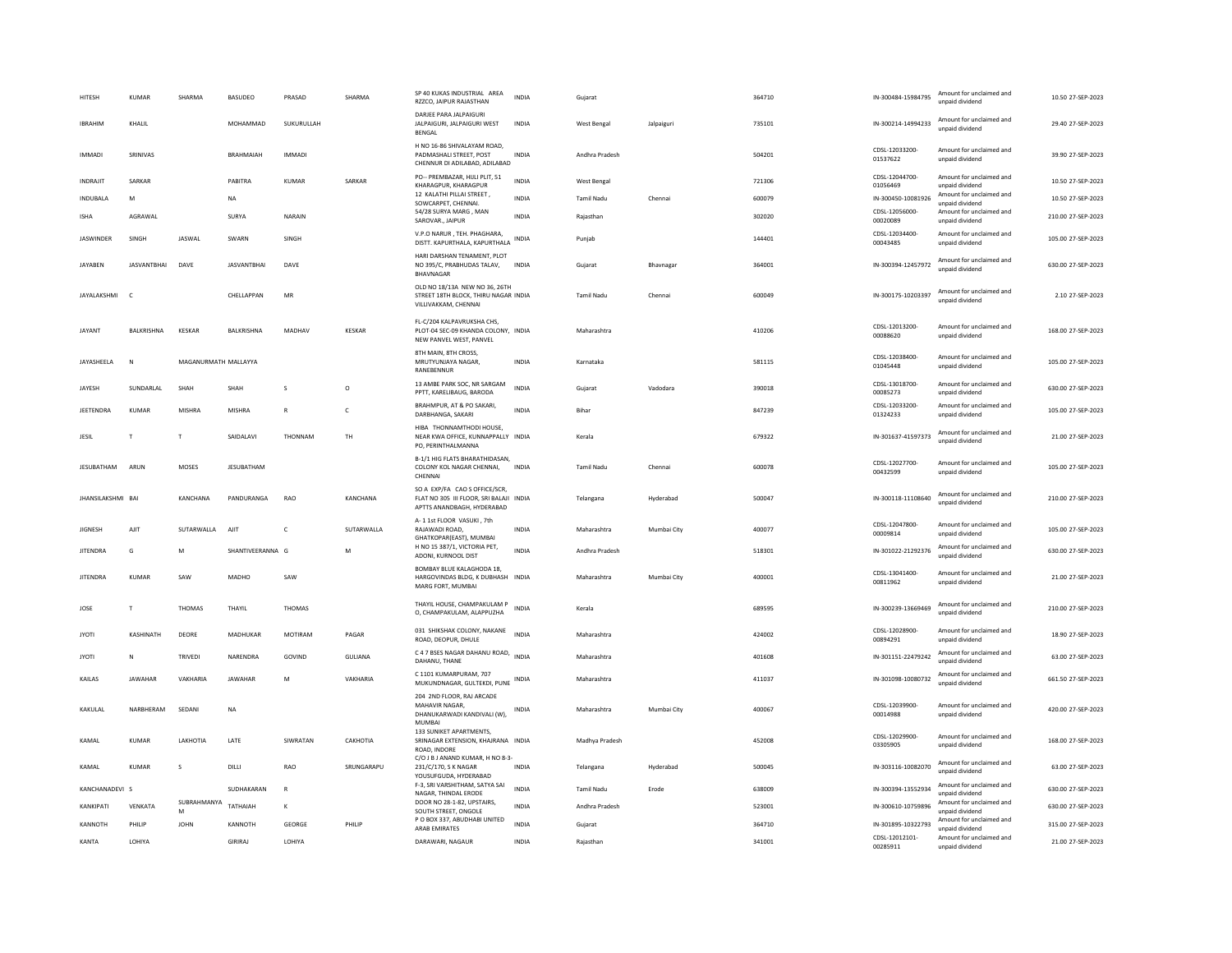| HITESH            | KUMAR              | SHARMA               | <b>BASUDEO</b>     | PRASAD         | SHARMA        | SP 40 KUKAS INDUSTRIAL AREA<br>RZZCO, JAIPUR RAJASTHAN                                                 | <b>INDIA</b> | Gujarat            |             | 364710 | IN-300484-15984795         | Amount for unclaimed and<br>unpaid dividend | 10.50 27-SEP-2023  |
|-------------------|--------------------|----------------------|--------------------|----------------|---------------|--------------------------------------------------------------------------------------------------------|--------------|--------------------|-------------|--------|----------------------------|---------------------------------------------|--------------------|
| <b>IBRAHIM</b>    | KHALIL             |                      | MOHAMMAD           | SUKURULLAH     |               | DARIEF PARA IAI PAIGURI<br>JALPAIGURI, JALPAIGURI WEST<br><b>BENGAL</b>                                | INDIA        | West Bengal        | Jalpaiguri  | 735101 | IN-300214-14994233         | Amount for unclaimed and<br>unpaid dividend | 29.40 27-SEP-2023  |
| <b>IMMADI</b>     | SRINIVAS           |                      | <b>BRAHMAIAH</b>   | <b>IMMADI</b>  |               | H NO 16-86 SHIVALAYAM ROAD,<br>PADMASHALI STREET. POST<br>CHENNUR DI ADILABAD, ADILABAD                | <b>INDIA</b> | Andhra Pradesh     |             | 504201 | CDSI-12033200-<br>01537622 | Amount for unclaimed and<br>unpaid dividend | 39.90 27-SEP-2023  |
| <b>INDRAJIT</b>   | SARKAR             |                      | PABITRA            | <b>KUMAR</b>   | SARKAR        | PO-- PREMBAZAR, HIJLI PLIT, 51<br>KHARAGPUR, KHARAGPUR                                                 | <b>INDIA</b> | <b>West Bengal</b> |             | 721306 | CDSL-12044700-<br>01056469 | Amount for unclaimed and<br>unpaid dividend | 10.50 27-SEP-2023  |
| <b>INDURALA</b>   | M                  |                      | <b>NA</b>          |                |               | 12 KALATHI PILLAI STREET,<br>SOWCARPET, CHENNAI.                                                       | <b>INDIA</b> | <b>Tamil Nadu</b>  | Chennai     | 600079 | IN-300450-10081926         | Amount for unclaimed and<br>unpaid dividend | 10.50 27-SEP-2023  |
| <b>ISHA</b>       | AGRAWAL            |                      | SURYA              | NARAIN         |               | 54/28 SURYA MARG, MAN<br>SAROVAR., JAIPUR                                                              | <b>INDIA</b> | Rajasthan          |             | 302020 | CDSL-12056000-<br>00020089 | Amount for unclaimed and<br>unpaid dividend | 210.00 27-SEP-2023 |
| <b>JASWINDER</b>  | SINGH              | JASWAL               | SWARN              | SINGH          |               | V.P.O NARUR, TEH. PHAGHARA,<br>DISTT. KAPURTHALA, KAPURTHALA                                           | INDIA        | Punjab             |             | 144401 | CDSL-12034400-<br>00043485 | Amount for unclaimed and<br>unpaid dividend | 105.00 27-SEP-2023 |
| <b>IAYAREN</b>    | <b>IASVANTRHAI</b> | DAVE                 | <b>IASVANTRHAI</b> | DAVE           |               | HARI DARSHAN TENAMENT. PLOT<br>NO 395/C, PRABHUDAS TALAV,<br>BHAVNAGAR                                 | <b>INDIA</b> | Gujarat            | Bhavnagar   | 364001 | IN-300394-12457972         | Amount for unclaimed and<br>unpaid dividend | 630.00.27-SEP-2023 |
| JAYALAKSHMI       | $\mathsf{C}$       |                      | CHELLAPPAN         | MR             |               | OLD NO 18/13A NEW NO 36, 26TH<br>STREET 18TH BLOCK, THIRU NAGAR INDIA<br>VILLIVAKKAM, CHENNAI          |              | <b>Tamil Nadu</b>  | Chennai     | 600049 | IN-300175-10203397         | Amount for unclaimed and<br>unpaid dividend | 2.10 27-SEP-2023   |
| JAYANT            | <b>BALKRISHNA</b>  | <b>KESKAR</b>        | BALKRISHNA         | MADHAV         | <b>KESKAR</b> | FL-C/204 KALPAVRUKSHA CHS.<br>PLOT-04 SEC-09 KHANDA COLONY, INDIA<br>NEW PANVEL WEST, PANVEL           |              | Maharashtra        |             | 410206 | CDSL-12013200-<br>00088620 | Amount for unclaimed and<br>unpaid dividend | 168.00 27-SEP-2023 |
| JAYASHEELA        | N                  | MAGANURMATH MALLAYYA |                    |                |               | 8TH MAIN, 8TH CROSS,<br>MRUTYUNJAYA NAGAR,<br>RANEBENNUR                                               | <b>INDIA</b> | Karnataka          |             | 581115 | CDSL-12038400-<br>01045448 | Amount for unclaimed and<br>unnaid dividend | 105.00 27-SEP-2023 |
| JAYESH            | SUNDARLAL          | SHAH                 | SHAH               | $\mathbf{s}$   | $\circ$       | 13 AMBE PARK SOC. NR SARGAM<br>PPTT, KARELIBAUG, BARODA                                                | <b>INDIA</b> | Gujarat            | Vadodara    | 390018 | CDSL-13018700-<br>00085273 | Amount for unclaimed and<br>unpaid dividend | 630.00 27-SEP-2023 |
| <b>JEETENDRA</b>  | <b>KUMAR</b>       | MISHRA               | <b>MISHRA</b>      | ${\sf R}$      | c             | BRAHMPUR, AT & PO SAKARI,<br>DARBHANGA, SAKARI                                                         | <b>INDIA</b> | Rihar              |             | 847239 | CDSL-12033200-<br>01324233 | Amount for unclaimed and<br>unpaid dividend | 105.00 27-SEP-2023 |
| JESIL             | T                  | T                    | SAIDALAVI          | THONNAM        | <b>TH</b>     | HIBA THONNAMTHODI HOUSE.<br>NEAR KWA OFFICE, KUNNAPPALLY INDIA<br>PO, PERINTHALMANNA                   |              | Kerala             |             | 679322 | IN-301637-41597373         | Amount for unclaimed and<br>unpaid dividend | 21.00 27-SEP-2023  |
| JESUBATHAM        | ARUN               | MOSES                | JESUBATHAM         |                |               | B-1/1 HIG FLATS BHARATHIDASAN,<br>COLONY KOL NAGAR CHENNAI,<br>CHENNAI                                 | <b>INDIA</b> | Tamil Nadu         | Chennai     | 600078 | CDSL-12027700-<br>00432599 | Amount for unclaimed and<br>unpaid dividend | 105.00 27-SEP-2023 |
| JHANSILAKSHMI BAI |                    | KANCHANA             | PANDURANGA         | RAO            | KANCHANA      | SO A EXP/FA CAO S OFFICE/SCR,<br>FLAT NO 305 III FLOOR, SRI BALAJI INDIA<br>APTTS ANANDBAGH, HYDERABAD |              | Telangana          | Hyderabad   | 500047 | IN-300118-11108640         | Amount for unclaimed and<br>unpaid dividend | 210.00 27-SEP-2023 |
| <b>JIGNESH</b>    | AIIT               | SUTARWALLA           | AIIT               | $\mathsf{C}$   | SUTARWALLA    | A- 1 1st FLOOR VASUKI, 7th<br>RAJAWADI ROAD.<br>GHATKOPAR(EAST), MUMBAI                                | <b>INDIA</b> | Maharashtra        | Mumbai City | 400077 | CDSL-12047800-<br>00009814 | Amount for unclaimed and<br>unpaid dividend | 105.00 27-SEP-2023 |
| <b>JITENDRA</b>   | G                  | M                    | SHANTIVEERANNA G   |                | M             | H NO 15 387/1, VICTORIA PET,<br>ADONI, KURNOOL DIST                                                    | <b>INDIA</b> | Andhra Pradesh     |             | 518301 | IN-301022-21292376         | Amount for unclaimed and<br>unpaid dividend | 630.00 27-SEP-2023 |
| <b>JITENDRA</b>   | <b>KUMAR</b>       | SAW                  | MADHO              | SAW            |               | BOMBAY BLUE KALAGHODA 18,<br>HARGOVINDAS BLDG, K DUBHASH INDIA<br>MARG FORT, MUMBAI                    |              | Maharashtra        | Mumbai City | 400001 | CDSL-13041400-<br>00811962 | Amount for unclaimed and<br>unnaid dividend | 21.00 27-SEP-2023  |
| JOSE              | T                  | <b>THOMAS</b>        | THAYIL             | <b>THOMAS</b>  |               | THAYIL HOUSE, CHAMPAKULAM P<br>O, CHAMPAKULAM, ALAPPUZHA                                               | <b>INDIA</b> | Kerala             |             | 689595 | IN-300239-13669469         | Amount for unclaimed and<br>unpaid dividend | 210.00 27-SEP-2023 |
| <b>JYOTI</b>      | KASHINATH          | DEORE                | MADHUKAR           | <b>MOTIRAM</b> | PAGAR         | 031 SHIKSHAK COLONY, NAKANE<br>ROAD, DEOPUR, DHULE                                                     | INDIA        | Maharashtra        |             | 424002 | CDSL-12028900-<br>00894291 | Amount for unclaimed and<br>unpaid dividend | 18.90 27-SEP-2023  |
| <b>JYOTI</b>      | ${\sf N}$          | TRIVEDI              | NARENDRA           | GOVIND         | GULIANA       | C 4 7 BSES NAGAR DAHANU ROAD, INDIA<br>DAHANU, THANE                                                   |              | Maharashtra        |             | 401608 | IN-301151-22479242         | Amount for unclaimed and<br>unpaid dividend | 63.00 27-SEP-2023  |
| KAILAS            | <b>JAWAHAR</b>     | VAKHARIA             | <b>IAWAHAR</b>     | M              | VAKHARIA      | C 1101 KUMARPURAM, 707<br>MUKUNDNAGAR, GULTEKDI, PUNE INDIA                                            |              | Maharashtra        |             | 411037 | IN-301098-10080732         | Amount for unclaimed and<br>unpaid dividend | 661.50 27-SEP-2023 |
| KAKULAL           | NARBHERAM          | SEDANI               | <b>NA</b>          |                |               | 204 2ND FLOOR, RAJ ARCADE<br>MAHAVIR NAGAR,<br>DHANUKARWADI KANDIVALI (W),<br><b>MUMBAI</b>            | INDIA        | Maharashtra        | Mumbai City | 400067 | CDSL-12039900-<br>00014988 | Amount for unclaimed and<br>unpaid dividend | 420.00 27-SEP-2023 |
| KAMAI             | KUMAR              | <b>I AKHOTIA</b>     | LATE               | SIWRATAN       | CAKHOTIA      | 133 SUNIKET APARTMENTS,<br>SRINAGAR EXTENSION, KHAJRANA INDIA<br>ROAD, INDORE                          |              | Madhya Pradesh     |             | 452008 | CDSL-12029900-<br>03305905 | Amount for unclaimed and<br>unpaid dividend | 168.00 27-SEP-2023 |
| KAMAL             | KUMAR              | s                    | DILLI              | RAO            | SRUNGARAPU    | C/O J B J ANAND KUMAR, H NO 8-3-<br>231/C/170, S K NAGAR<br>YOUSUFGUDA, HYDERABAD                      | <b>INDIA</b> | Telangana          | Hyderabad   | 500045 | IN-303116-10082070         | Amount for unclaimed and<br>unpaid dividend | 63.00 27-SEP-2023  |
| KANCHANADEVI S    |                    |                      | SUDHAKARAN         | $\mathsf{R}$   |               | F-3, SRI VARSHITHAM, SATYA SAI<br>NAGAR, THINDAL ERODE                                                 | <b>INDIA</b> | <b>Tamil Nadu</b>  | Erode       | 638009 | IN-300394-13552934         | Amount for unclaimed and<br>unpaid dividend | 630.00 27-SEP-2023 |
| KANKIPATI         | VENKATA            | SUBRAHMANYA<br>м     | TATHAIAH           | К              |               | DOOR NO 28-1-82, UPSTAIRS,<br>SOUTH STREET, ONGOLE                                                     | INDIA        | Andhra Pradesh     |             | 523001 | IN-300610-10759896         | Amount for unclaimed and<br>unnaid dividend | 630.00 27-SEP-2023 |
| KANNOTH           | PHILIP             | <b>JOHN</b>          | KANNOTH            | GEORGE         | PHILIP        | P O BOX 337, ABUDHABI UNITED<br>ARAB EMIRATES                                                          | <b>INDIA</b> | Gujarat            |             | 364710 | IN-301895-10322793         | Amount for unclaimed and<br>unpaid dividend | 315.00 27-SEP-2023 |
| KANTA             | LOHIYA             |                      | GIRIRAI            | LOHIYA         |               | DARAWARI, NAGAUR                                                                                       | <b>INDIA</b> | Rajasthan          |             | 341001 | CDSL-12012101-<br>00285911 | Amount for unclaimed and<br>unnaid dividend | 21.00 27-SEP-2023  |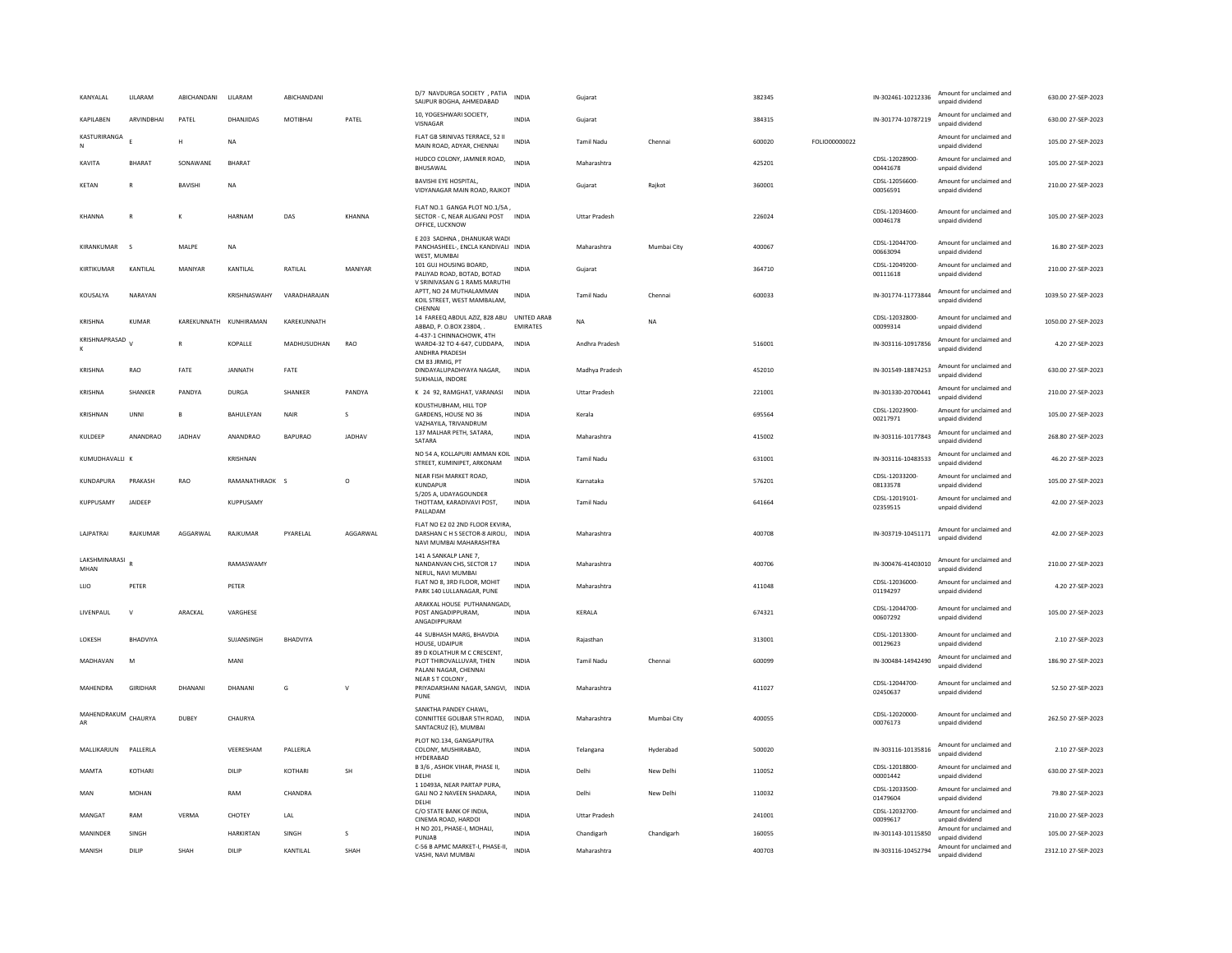| KANYALAL              | <b>I II ARAM</b> | ABICHANDANI    | <b>III ARAM</b>        | ARICHANDANI    |               | D/7 NAVDURGA SOCIETY , PATIA<br>SAIJPUR BOGHA, AHMEDABAD                                           | <b>INDIA</b>    | Gujarat              |             | 382345 |                      | IN-302461-10212336         | Amount for unclaimed and<br>unpaid dividend | 630.00 27-SEP-2023  |
|-----------------------|------------------|----------------|------------------------|----------------|---------------|----------------------------------------------------------------------------------------------------|-----------------|----------------------|-------------|--------|----------------------|----------------------------|---------------------------------------------|---------------------|
| KAPILABEN             | ARVINDBHAI       | PATEL          | DHANJIDAS              | MOTIBHAI       | PATEL         | 10. YOGESHWARI SOCIETY.<br>VISNAGAR                                                                | <b>INDIA</b>    | Gujarat              |             | 384315 |                      | IN-301774-10787219         | Amount for unclaimed and<br>unpaid dividend | 630.00 27-SEP-2023  |
| KASTURIRANGA<br>N     |                  | $\mathbf{H}$   | NA                     |                |               | FLAT GB SRINIVAS TERRACE, 52 II<br>MAIN ROAD, ADYAR, CHENNAI                                       | <b>INDIA</b>    | Tamil Nadu           | Chennai     | 600020 | <b>FOLIO00000022</b> |                            | Amount for unclaimed and<br>unpaid dividend | 105.00.27-SEP-2023  |
| KAVITA                | BHARAT           | SONAWANE       | <b>BHARAT</b>          |                |               | HUDCO COLONY, JAMNER ROAD,<br>BHUSAWAL                                                             | <b>INDIA</b>    | Maharashtra          |             | 425201 |                      | CDSL-12028900<br>00441678  | Amount for unclaimed and<br>unpaid dividend | 105.00 27-SEP-2023  |
| KETAN                 | $\mathbb{R}$     | <b>BAVISHI</b> | NA                     |                |               | <b>BAVISHI EYE HOSPITAL,</b><br>VIDYANAGAR MAIN ROAD, RAJKOT                                       | INDIA           | Gujarat              | Rajkot      | 360001 |                      | CDSL-12056600-<br>00056591 | Amount for unclaimed and<br>unpaid dividend | 210.00 27-SEP-2023  |
| KHANNA                | R                |                | HARNAM                 | DAS            | <b>KHANNA</b> | FLAT NO.1 GANGA PLOT NO.1/5A.<br>SECTOR - C, NEAR ALIGANJ POST INDIA<br>OFFICE, LUCKNOW            |                 | <b>Uttar Pradesh</b> |             | 226024 |                      | CDSL-12034600-<br>00046178 | Amount for unclaimed and<br>unnaid dividend | 105.00 27-SEP-2023  |
| KIRANKUMAR            | $\sim$           | MALPE          | <b>NA</b>              |                |               | E 203 SADHNA, DHANUKAR WADI<br>PANCHASHEEL-, ENCLA KANDIVALI INDIA<br>WEST, MUMBAI                 |                 | Maharashtra          | Mumbai City | 400067 |                      | CDSL-12044700-<br>00663094 | Amount for unclaimed and<br>unpaid dividend | 16.80 27-SEP-2023   |
| KIRTIKUMAR            | KANTILAL         | MANIYAR        | KANTILAL               | RATILAL        | MANIYAR       | 101 GUJ HOUSING BOARD.<br>PALIYAD ROAD, BOTAD, BOTAD<br>V SRINIVASAN G 1 RAMS MARUTHI              | <b>INDIA</b>    | Guiarat              |             | 364710 |                      | CDSI-12049200-<br>00111618 | Amount for unclaimed and<br>unpaid dividend | 210.00 27-SEP-2023  |
| KOUSAIYA              | NARAYAN          |                | <b>KRISHNASWAHY</b>    | VARADHARAIAN   |               | APTT, NO 24 MUTHALAMMAN<br>KOIL STREET, WEST MAMBALAM,<br>CHENNA                                   | INDIA           | Tamil Nadu           | Chennai     | 600033 |                      | IN-301774-11773844         | Amount for unclaimed and<br>unpaid dividend | 1039.50 27-SEP-2023 |
| KRISHNA               | <b>KUMAR</b>     |                | KAREKUNNATH KUNHIRAMAN | KAREKUNNATH    |               | 14 FAREEQ ABDUL AZIZ, 828 ABU UNITED ARAB<br>ABBAD, P. O.BOX 23804.                                | <b>FMIRATES</b> | <b>NA</b>            | <b>NA</b>   |        |                      | CDSL-12032800-<br>00099314 | Amount for unclaimed and<br>unnaid dividend | 1050.00 27-SEP-2023 |
| KRISHNAPRASAD         |                  | $\mathbf{R}$   | KOPALLE                | MADHUSUDHAN    | RAO           | 4-437-1 CHINNACHOWK, 4TH<br>WARD4-32 TO 4-647, CUDDAPA.<br>ANDHRA PRADESH                          | <b>INDIA</b>    | Andhra Pradesh       |             | 516001 |                      | IN-303116-10917856         | Amount for unclaimed and<br>unpaid dividend | 4.20 27-SEP-2023    |
| KRISHNA               | <b>RAO</b>       | FATF           | <b>IANNATH</b>         | FATE           |               | CM 83 JRMIG, PT<br>DINDAYALUPADHYAYA NAGAR.<br>SUKHALIA, INDORE                                    | <b>INDIA</b>    | Madhya Pradesh       |             | 452010 |                      | IN-301549-18874253         | Amount for unclaimed and<br>unpaid dividend | 630.00 27-SEP-2023  |
| KRISHNA               | SHANKER          | PANDYA         | <b>DURGA</b>           | SHANKER        | PANDYA        | K 24 92, RAMGHAT, VARANASI                                                                         | <b>INDIA</b>    | <b>Uttar Pradesh</b> |             | 221001 |                      | IN-301330-20700441         | Amount for unclaimed and<br>unpaid dividend | 210.00 27-SEP-2023  |
| KRISHNAN              | <b>UNNI</b>      | B              | BAHULEYAN              | NAIR           | s             | KOUSTHUBHAM, HILL TOP<br>GARDENS, HOUSE NO 36<br>VAZHAYILA, TRIVANDRUM                             | <b>INDIA</b>    | Kerala               |             | 695564 |                      | CDSL-12023900-<br>00217971 | Amount for unclaimed and<br>unpaid dividend | 105.00 27-SEP-2023  |
| KULDEEP               | ANANDRAO         | <b>JADHAV</b>  | ANANDRAO               | <b>BAPURAO</b> | <b>JADHAV</b> | 137 MALHAR PETH, SATARA,<br>SATARA                                                                 | <b>INDIA</b>    | Maharashtra          |             | 415002 |                      | IN-303116-10177843         | Amount for unclaimed and<br>unpaid dividend | 268.80 27-SEP-2023  |
| KUMUDHAVALLI K        |                  |                | KRISHNAN               |                |               | NO 54 A, KOLLAPURI AMMAN KOIL<br>STREET, KUMINIPET, ARKONAM                                        | <b>INDIA</b>    | <b>Tamil Nadu</b>    |             | 631001 |                      | IN-303116-10483533         | Amount for unclaimed and<br>unnaid dividend | 46.20 27-SEP-2023   |
| KUNDAPURA             | PRAKASH          | RAO            | RAMANATHRAOK S         |                | $\circ$       | NEAR FISH MARKET ROAD.<br>KUNDAPUF                                                                 | <b>INDIA</b>    | Karnataka            |             | 576201 |                      | CDSL-12033200-<br>08133578 | Amount for unclaimed and<br>unpaid dividend | 105.00 27-SEP-2023  |
| KUPPUSAMY             | JAIDEEP          |                | KUPPUSAMY              |                |               | 5/205 A, UDAYAGOUNDER<br>THOTTAM, KARADIVAVI POST,<br>PALLADAM                                     | <b>INDIA</b>    | <b>Tamil Nadu</b>    |             | 641664 |                      | CDSL-12019101-<br>02359515 | Amount for unclaimed and<br>unpaid dividend | 42.00 27-SEP-2023   |
| LAJPATRAI             | RAJKUMAR         | AGGARWAL       | RAJKUMAR               | PYARELAL       | AGGARWAL      | FLAT NO E2 02 2ND FLOOR EKVIRA,<br>DARSHAN C H S SECTOR-8 AIROLI, INDIA<br>NAVI MUMBAI MAHARASHTRA |                 | Maharashtra          |             | 400708 |                      | IN-303719-10451171         | Amount for unclaimed and<br>unpaid dividend | 42.00 27-SEP-2023   |
| LAKSHMINARASI<br>MHAN |                  |                | RAMASWAMY              |                |               | 141 A SANKALP LANE 7.<br>NANDANVAN CHS, SECTOR 17<br>NERUL, NAVI MUMBAI                            | <b>INDIA</b>    | Maharashtra          |             | 400706 |                      | IN-300476-41403010         | Amount for unclaimed and<br>unpaid dividend | 210.00 27-SEP-2023  |
| LUO                   | PETER            |                | PETER                  |                |               | FLAT NO 8, 3RD FLOOR, MOHIT<br>PARK 140 LULLANAGAR, PUNE                                           | INDIA           | Maharashtra          |             | 411048 |                      | CDSL-12036000<br>01194297  | Amount for unclaimed and<br>unpaid dividend | 4.20 27-SEP-2023    |
| LIVENPAUL             | $\mathsf{V}$     | ARACKAL        | VARGHESE               |                |               | ARAKKAL HOUSE PUTHANANGADI,<br>POST ANGADIPPURAM,<br>ANGADIPPURAM                                  | <b>INDIA</b>    | KERALA               |             | 674321 |                      | CDSL-12044700-<br>00607292 | Amount for unclaimed and<br>unpaid dividend | 105.00 27-SEP-2023  |
| LOKESH                | BHADVIYA         |                | SUJANSINGH             | BHADVIYA       |               | 44 SUBHASH MARG, BHAVDIA<br>HOUSE, UDAIPUR                                                         | <b>INDIA</b>    | Rajasthan            |             | 313001 |                      | CDSL-12013300-<br>00129623 | Amount for unclaimed and<br>unpaid dividend | 2.10 27-SEP-2023    |
| MADHAVAN              | M                |                | MANI                   |                |               | 89 D KOLATHUR M C CRESCENT,<br>PLOT THIROVALLUVAR, THEN<br>PALANI NAGAR, CHENNAI                   | <b>INDIA</b>    | <b>Tamil Nadu</b>    | Chennai     | 600099 |                      | IN-300484-14942490         | Amount for unclaimed and<br>unpaid dividend | 186.90 27-SEP-2023  |
| <b>MAHFNDRA</b>       | GIRIDHAR         | DHANANI        | DHANANI                | G              | $\mathsf{v}$  | NEAR S T COLONY.<br>PRIYADARSHANI NAGAR, SANGVI, INDIA<br>PUNE                                     |                 | Maharashtra          |             | 411027 |                      | CDSL-12044700-<br>02450637 | Amount for unclaimed and<br>unpaid dividend | 52.50 27-SEP-2023   |
| MAHENDRAKUM<br>AR     | CHAURYA          | DUBEY          | CHAURYA                |                |               | SANKTHA PANDEY CHAWL,<br>CONNITTEE GOLIBAR 5TH ROAD,<br>SANTACRUZ (E), MUMBAI                      | <b>INDIA</b>    | Maharashtra          | Mumbai City | 400055 |                      | CDSL-12020000-<br>00076173 | Amount for unclaimed and<br>unpaid dividend | 262.50 27-SEP-2023  |
| MALLIKARJUN           | PALLERLA         |                | VEERESHAM              | PALLERLA       |               | PLOT NO.134, GANGAPUTRA<br>COLONY, MUSHIRABAD,<br>HYDERABAD                                        | <b>INDIA</b>    | Telangana            | Hyderabad   | 500020 |                      | IN-303116-10135816         | Amount for unclaimed and<br>unpaid dividend | 2.10 27-SEP-2023    |
| MAMTA                 | KOTHARI          |                | DILIP                  | KOTHARI        | <b>SH</b>     | B 3/6, ASHOK VIHAR, PHASE II,<br>DELHI                                                             | <b>INDIA</b>    | Delhi                | New Delhi   | 110052 |                      | CDSL-12018800<br>00001442  | Amount for unclaimed and<br>unpaid dividend | 630.00 27-SEP-2023  |
| MAN                   | MOHAN            |                | RAM                    | CHANDRA        |               | 1 10493A, NEAR PARTAP PURA,<br>GALI NO 2 NAVEEN SHADARA,<br>DELHI                                  | <b>INDIA</b>    | Delhi                | New Delhi   | 110032 |                      | CDSL-12033500-<br>01479604 | Amount for unclaimed and<br>unpaid dividend | 79.80 27-SEP-2023   |
| MANGAT                | RAM              | VERMA          | CHOTEY                 | LAL            |               | C/O STATE BANK OF INDIA.<br>CINEMA ROAD, HARDOI                                                    | INDIA           | <b>Uttar Pradesh</b> |             | 241001 |                      | CDSL-12032700-<br>00099617 | Amount for unclaimed and<br>unpaid dividend | 210.00 27-SEP-2023  |
| MANINDER              | SINGH            |                | <b>HARKIRTAN</b>       | SINGH          | s             | H NO 201, PHASE-I, MOHALI,<br>PUNJAB                                                               | <b>INDIA</b>    | Chandigarh           | Chandigarh  | 160055 |                      | IN-301143-10115850         | Amount for unclaimed and<br>unpaid dividend | 105.00 27-SEP-2023  |
| MANISH                | DILIP            | SHAH           | DILIP                  | KANTILAL       | SHAH          | C-56 B APMC MARKET-I, PHASE-II,<br>VASHI, NAVI MUMBAI                                              | <b>INDIA</b>    | Maharashtra          |             | 400703 |                      | IN-303116-10452794         | Amount for unclaimed and<br>unpaid dividend | 2312.10 27-SEP-2023 |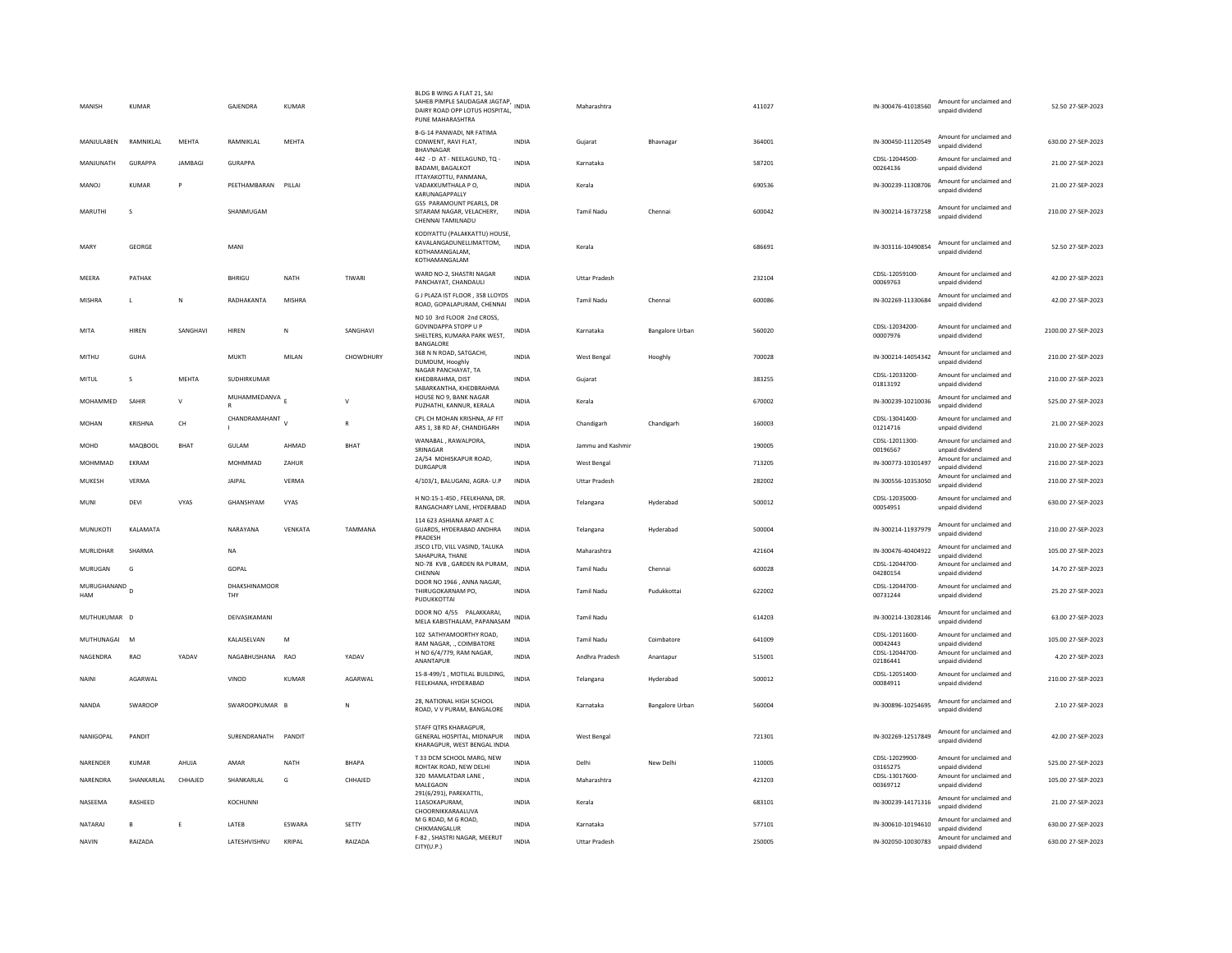| MANISH             | <b>KUMAR</b> |                | GAJENDRA             | <b>KUMAR</b> |             | BLDG B WING A FLAT 21, SAI<br>SAHEB PIMPLE SAUDAGAR JAGTAP, INDIA<br>DAIRY ROAD OPP LOTUS HOSPITAL,<br>PUNE MAHARASHTRA |              | Maharashtra          |                 | 411027 | IN-300476-41018560         | Amount for unclaimed and<br>unpaid dividend | 52.50 27-SEP-2023   |
|--------------------|--------------|----------------|----------------------|--------------|-------------|-------------------------------------------------------------------------------------------------------------------------|--------------|----------------------|-----------------|--------|----------------------------|---------------------------------------------|---------------------|
| MANJULABEN         | RAMNIKLAL    | MEHTA          | RAMNIKLAL            | MEHTA        |             | B-G-14 PANWADI, NR FATIMA<br>CONWENT, RAVI FLAT.<br>BHAVNAGAR                                                           | <b>INDIA</b> | Guiarat              | Bhavnagar       | 364001 | IN-300450-11120549         | Amount for unclaimed and<br>unpaid dividend | 630.00 27-SEP-2023  |
| MANJUNATH          | GURAPPA      | <b>IAMBAGI</b> | <b>GURAPPA</b>       |              |             | 442 - D AT - NEELAGUND, TQ -<br><b>BADAMI, BAGALKOT</b>                                                                 | <b>INDIA</b> | Karnataka            |                 | 587201 | CDSL-12044500-<br>00264136 | Amount for unclaimed and<br>unpaid dividend | 21.00 27-SEP-2023   |
| MANOJ              | <b>KUMAR</b> |                | PEETHAMBARAN PILLAI  |              |             | ITTAYAKOTTU, PANMANA,<br>VADAKKUMTHALA PO,<br>KARUNAGAPPALLY                                                            | <b>INDIA</b> | Kerala               |                 | 690536 | IN-300239-11308706         | Amount for unclaimed and<br>unpaid dividend | 21.00 27-SEP-2023   |
| <b>MARUTHI</b>     | -S           |                | SHANMUGAM            |              |             | GS5 PARAMOUNT PEARLS, DR<br>SITARAM NAGAR, VELACHERY,<br>CHENNAI TAMILNADU                                              | <b>INDIA</b> | <b>Tamil Nadu</b>    | Chennai         | 600042 | IN-300214-16737258         | Amount for unclaimed and<br>unpaid dividend | 210.00 27-SEP-2023  |
| MARY               | GEORGE       |                | MAN                  |              |             | KODIYATTU (PALAKKATTU) HOUSE,<br>KAVALANGADUNELLIMATTOM,<br>KOTHAMANGALAM.<br>KOTHAMANGALAM                             | <b>INDIA</b> | Kerala               |                 | 686691 | IN-303116-10490854         | Amount for unclaimed and<br>unpaid dividend | 52.50 27-SEP-2023   |
| MEERA              | PATHAK       |                | BHRIGU               | NATH         | TIWARI      | WARD NO-2, SHASTRI NAGAR<br>PANCHAYAT, CHANDAULI                                                                        | <b>INDIA</b> | <b>Uttar Pradesh</b> |                 | 232104 | CDSL-12059100-<br>00069763 | Amount for unclaimed and<br>unpaid dividend | 42.00 27-SEP-2023   |
| MISHRA             | л.           | N              | RADHAKANTA           | MISHRA       |             | G J PLAZA IST FLOOR, 358 LLOYDS<br>ROAD, GOPALAPURAM, CHENNAI                                                           | <b>INDIA</b> | <b>Tamil Nadu</b>    | Chennai         | 600086 | IN-302269-11330684         | Amount for unclaimed and<br>unpaid dividend | 42.00 27-SEP-2023   |
| <b>MITA</b>        | HIREN        | SANGHAVI       | HIREN                | N            | SANGHAVI    | NO 10 3rd FLOOR 2nd CROSS.<br>GOVINDAPPA STOPP U P<br>SHELTERS, KUMARA PARK WEST,<br>BANGALORE                          | <b>INDIA</b> | Karnataka            | Bangalore Urban | 560020 | CDSL-12034200-<br>00007976 | Amount for unclaimed and<br>unpaid dividend | 2100.00 27-SEP-2023 |
| MITHU              | GUHA         |                | <b>MUKTI</b>         | MILAN        | CHOWDHURY   | 368 N N ROAD, SATGACHI,<br>DUMDUM, Hooghly                                                                              | INDIA        | West Bengal          | Hooghly         | 700028 | IN-300214-14054342         | Amount for unclaimed and<br>unpaid dividend | 210.00 27-SEP-2023  |
| <b>MITUL</b>       | s            | MEHTA          | SUDHIRKUMAR          |              |             | NAGAR PANCHAYAT, TA<br>KHEDBRAHMA, DIST<br>SABARKANTHA, KHEDBRAHMA                                                      | <b>INDIA</b> | Gujarat              |                 | 383255 | CDSL-12033200-<br>01813192 | Amount for unclaimed and<br>unpaid dividend | 210.00 27-SEP-2023  |
| MOHAMMED           | SAHIR        | $\mathsf{v}$   | MUHAMMEDANVA<br>R    |              |             | HOUSE NO 9. BANK NAGAR<br>PUZHATHI, KANNUR, KERALA                                                                      | <b>INDIA</b> | Kerala               |                 | 670002 | IN-300239-10210036         | Amount for unclaimed and<br>unpaid dividend | 525.00 27-SEP-2023  |
| <b>MOHAN</b>       | KRISHNA      | CH             | CHANDRAMAHANT        | $\mathbf{v}$ | R           | CPL CH MOHAN KRISHNA, AF FIT<br>ARS 1, 3B RD AF, CHANDIGARH                                                             | <b>INDIA</b> | Chandigarh           | Chandigarh      | 160003 | CDSL-13041400-<br>01214716 | Amount for unclaimed and<br>unpaid dividend | 21.00 27-SEP-2023   |
| <b>MOHD</b>        | MAQBOOL      | BHAT           | <b>GULAM</b>         | AHMAD        | <b>BHAT</b> | WANABAL, RAWALPORA,<br>SRINAGAR                                                                                         | <b>INDIA</b> | Jammu and Kashmir    |                 | 190005 | CDSL-12011300-<br>00196567 | Amount for unclaimed and<br>unpaid dividend | 210.00 27-SEP-2023  |
| MOHMMAD            | EKRAM        |                | MOHMMAD              | ZAHUR        |             | 2A/54 MOHISKAPUR ROAD,<br>DURGAPUR                                                                                      | <b>INDIA</b> | West Bengal          |                 | 713205 | IN-300773-10301497         | Amount for unclaimed and<br>unpaid dividend | 210.00 27-SEP-2023  |
| MUKESH             | VERMA        |                | <b>JAIPAL</b>        | <b>VERMA</b> |             | 4/103/1, BALUGANJ, AGRA- U.P                                                                                            | <b>INDIA</b> | <b>Uttar Pradesh</b> |                 | 282002 | IN-300556-10353050         | Amount for unclaimed and<br>unpaid dividend | 210.00 27-SEP-2023  |
| MUNI               | DEVI         | VYAS           | GHANSHYAM            | VYAS         |             | H NO:15-1-450, FEELKHANA, DR.<br>RANGACHARY LANE, HYDERABAD                                                             | INDIA        | Telangana            | Hyderabad       | 500012 | CDSL-12035000-<br>00054951 | Amount for unclaimed and<br>unpaid dividend | 630.00 27-SEP-2023  |
| MUNUKOTI           | KALAMATA     |                | NARAYANA             | VENKATA      | TAMMANA     | 114 623 ASHIANA APART A C<br>GUARDS, HYDERABAD ANDHRA<br>PRADESH                                                        | <b>INDIA</b> | Telangana            | Hyderabad       | 500004 | IN-300214-11937979         | Amount for unclaimed and<br>unpaid dividend | 210.00 27-SEP-2023  |
| MURLIDHAR          | SHARMA       |                | NA                   |              |             | JISCO LTD, VILL VASIND, TALUKA<br>SAHAPURA, THANE                                                                       | <b>INDIA</b> | Maharashtra          |                 | 421604 | IN-300476-40404922         | Amount for unclaimed and<br>unpaid dividend | 105.00 27-SEP-2023  |
| MURUGAN            | G            |                | GOPAL                |              |             | NO-78 KVB, GARDEN RA PURAM,<br>CHENNAL                                                                                  | <b>INDIA</b> | <b>Tamil Nadu</b>    | Chennai         | 600028 | CDSL-12044700-<br>04280154 | Amount for unclaimed and<br>unpaid dividend | 14.70 27-SEP-2023   |
| MURUGHANAND<br>HAM |              |                | DHAKSHINAMOOR<br>THY |              |             | DOOR NO 1966, ANNA NAGAR,<br>THIRUGOKARNAM PO.<br>PUDUKKOTTAI                                                           | <b>INDIA</b> | <b>Tamil Nadu</b>    | Pudukkottai     | 622002 | CDSL-12044700-<br>00731244 | Amount for unclaimed and<br>unpaid dividend | 25.20 27-SEP-2023   |
| MUTHUKUMAR D       |              |                | DEIVASIKAMANI        |              |             | DOOR NO 4/55 PALAKKARAI,<br>MELA KABISTHALAM, PAPANASAM                                                                 | INDIA        | <b>Tamil Nadu</b>    |                 | 614203 | IN-300214-13028146         | Amount for unclaimed and<br>unpaid dividend | 63.00 27-SEP-2023   |
| MUTHUNAGAI         | M            |                | KALAISELVAN          | M            |             | 102 SATHYAMOORTHY ROAD.<br>RAM NAGAR, ., COIMBATORE                                                                     | <b>INDIA</b> | <b>Tamil Nadu</b>    | Coimbatore      | 641009 | CDSL-12011600-<br>00042443 | Amount for unclaimed and<br>unpaid dividend | 105.00 27-SEP-2023  |
| NAGENDRA           | RAO          | YADAV          | NAGABHUSHANA RAO     |              | YADAV       | H NO 6/4/779, RAM NAGAR.<br>ANANTAPUR                                                                                   | INDIA        | Andhra Pradesh       | Anantapur       | 515001 | CDSL-12044700-<br>02186441 | Amount for unclaimed and<br>unpaid dividend | 4.20 27-SEP-2023    |
| NAINI              | AGARWAL      |                | VINOD                | <b>KUMAR</b> | AGARWAL     | 15-8-499/1, MOTILAL BUILDING,<br>FEELKHANA, HYDERABAD                                                                   | <b>INDIA</b> | Telangana            | Hyderabad       | 500012 | CDSL-12051400-<br>00084911 | Amount for unclaimed and<br>unpaid dividend | 210.00 27-SEP-2023  |
| <b>NANDA</b>       | SWAROOP      |                | SWAROOPKUMAR B       |              | N           | 28. NATIONAL HIGH SCHOOL<br>ROAD, V V PURAM, BANGALORE                                                                  | INDIA        | Karnataka            | Bangalore Urban | 560004 | IN-300896-10254695         | Amount for unclaimed and<br>unpaid dividend | 2.10 27-SEP-2023    |
| NANIGOPAL          | PANDIT       |                | SURENDRANATH         | PANDIT       |             | STAFF QTRS KHARAGPUR,<br>GENERAL HOSPITAL, MIDNAPUR<br>KHARAGPUR, WEST BENGAL INDIA                                     | <b>INDIA</b> | West Bengal          |                 | 721301 | IN-302269-12517849         | Amount for unclaimed and<br>unpaid dividend | 42.00 27-SEP-2023   |
| NARENDER           | KUMAR        | AHUJA          | AMAR                 | <b>NATH</b>  | BHAPA       | T 33 DCM SCHOOL MARG, NEW<br>ROHTAK ROAD, NEW DELHI                                                                     | <b>INDIA</b> | Delhi                | New Delhi       | 110005 | CDSL-12029900-<br>03165275 | Amount for unclaimed and<br>unpaid dividend | 525.00 27-SEP-2023  |
| NARENDRA           | SHANKARLAL   | CHHAJED        | SHANKARLAL           | G            | CHHAJED     | 320 MAMLATDAR LANE,<br>MALEGAON                                                                                         | <b>INDIA</b> | Maharashtra          |                 | 423203 | CDSL-13017600-<br>00369712 | Amount for unclaimed and<br>unpaid dividend | 105.00 27-SEP-2023  |
| NASEEMA            | RASHEED      |                | KOCHUNNI             |              |             | 291(6/291), PAREKATTIL,<br>11ASOKAPURAM,<br>CHOORNIKKARAALUVA                                                           | INDIA        | Kerala               |                 | 683101 | IN-300239-14171316         | Amount for unclaimed and<br>unpaid dividend | 21.00 27-SEP-2023   |
| NATARAJ            | $\mathbf{B}$ |                | LATEB                | ESWARA       | SETTY       | M G ROAD. M G ROAD.<br>CHIKMANGALUR                                                                                     | <b>INDIA</b> | Karnataka            |                 | 577101 | IN-300610-10194610         | Amount for unclaimed and<br>unpaid dividend | 630.00 27-SEP-2023  |
| NAVIN              | RAIZADA      |                | LATESHVISHNU         | KRIPAL       | RAIZADA     | F-82, SHASTRI NAGAR, MEERUT<br>CITY(U.P.)                                                                               | <b>INDIA</b> | <b>Uttar Pradesh</b> |                 | 250005 | IN-302050-10030783         | Amount for unclaimed and<br>unpaid dividend | 630.00 27-SEP-2023  |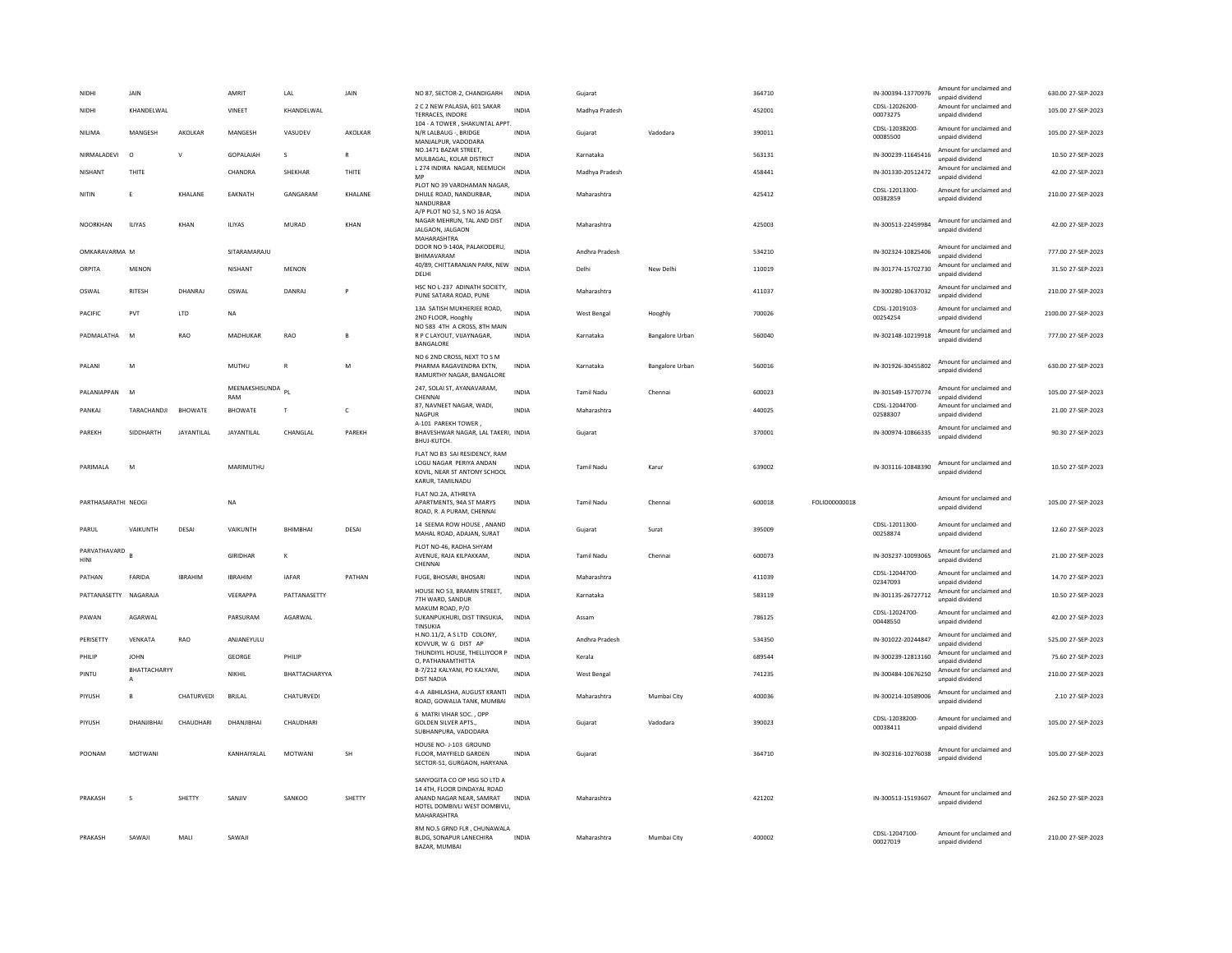| NIDHI                 | JAIN                         |                   | AMRIT                 | LAL             | JAIN         | NO 87, SECTOR-2, CHANDIGARH                                                                                                             | <b>INDIA</b> | Gujarat           |                        | 364710 |               | IN-300394-13770976         | Amount for unclaimed and<br>unpaid dividend | 630.00 27-SEP-2023  |
|-----------------------|------------------------------|-------------------|-----------------------|-----------------|--------------|-----------------------------------------------------------------------------------------------------------------------------------------|--------------|-------------------|------------------------|--------|---------------|----------------------------|---------------------------------------------|---------------------|
| NIDHI                 | KHANDELWAL                   |                   | VINEET                | KHANDELWAL      |              | 2 C 2 NEW PALASIA, 601 SAKAR<br><b>TERRACES, INDORE</b>                                                                                 | <b>INDIA</b> | Madhya Pradesh    |                        | 452001 |               | CDSL-12026200-<br>00073275 | Amount for unclaimed and<br>unpaid dividend | 105.00 27-SEP-2023  |
| NILIMA                | MANGESH                      | AKOLKAR           | MANGESH               | VASUDEV         | AKOLKAR      | 104 - A TOWER, SHAKUNTAL APPT.<br>N/R LALBAUG -, BRIDGE<br>MANIALPUR, VADODARA                                                          | <b>INDIA</b> | Gujarat           | Vadodara               | 390011 |               | CDSL-12038200-<br>00085500 | Amount for unclaimed and<br>unpaid dividend | 105.00 27-SEP-2023  |
| NIRMAI ADFVI          | $\Omega$                     | $\mathbf{v}$      | <b>GOPALAIAH</b>      | $\mathcal{S}$   | R            | NO.1471 BAZAR STREET,<br>MULBAGAL, KOLAR DISTRICT                                                                                       | <b>INDIA</b> | Karnataka         |                        | 563131 |               | IN-300239-11645416         | Amount for unclaimed and<br>unpaid dividend | 10.50 27-SEP-2023   |
| NISHANT               | THITE                        |                   | CHANDRA               | SHEKHAR         | THITE        | L 274 INDIRA NAGAR, NEEMUCH<br>MF                                                                                                       | <b>INDIA</b> | Madhya Pradesh    |                        | 458441 |               | IN-301330-20512472         | Amount for unclaimed and<br>unpaid dividend | 42.00 27-SEP-2023   |
| NITIN                 | E                            | KHALANE           | EAKNATH               | GANGARAM        | KHALANE      | PLOT NO 39 VARDHAMAN NAGAR,<br>DHULE ROAD, NANDURBAR,<br>NANDURBAR                                                                      | INDIA        | Maharashtra       |                        | 425412 |               | CDSL-12013300-<br>00382859 | Amount for unclaimed and<br>unpaid dividend | 210.00 27-SEP-2023  |
| <b>NOORKHAN</b>       | <b>ILIYAS</b>                | KHAN              | <b>ILIYAS</b>         | MURAD           | KHAN         | A/P PLOT NO 52, S NO 16 AQSA<br>NAGAR MEHRUN, TAL AND DIST<br>JALGAON, JALGAON<br>MAHARASHTRA                                           | <b>INDIA</b> | Maharashtra       |                        | 425003 |               | IN-300513-22459984         | Amount for unclaimed and<br>unpaid dividend | 42.00 27-SEP-2023   |
| OMKARAVARMA M         |                              |                   | SITARAMARAJU          |                 |              | DOOR NO 9-140A, PALAKODERU,<br>BHIMAVARAM                                                                                               | <b>INDIA</b> | Andhra Pradesh    |                        | 534210 |               | IN-302324-10825406         | Amount for unclaimed and<br>unpaid dividend | 777.00 27-SEP-2023  |
| ORPITA                | <b>MENON</b>                 |                   | NISHANT               | <b>MENON</b>    |              | 40/89, CHITTARANJAN PARK, NEW<br>DELHI                                                                                                  | <b>INDIA</b> | Delhi             | New Delhi              | 110019 |               | IN-301774-15702730         | Amount for unclaimed and<br>unpaid dividend | 31.50 27-SEP-2023   |
| OSWAL                 | <b>RITESH</b>                | DHANRAJ           | OSWAL                 | <b>DANRA</b>    |              | HSC NO L-237 ADINATH SOCIETY,<br>PUNE SATARA ROAD, PUNE                                                                                 | <b>INDIA</b> | Maharashtra       |                        | 411037 |               | IN-300280-10637032         | Amount for unclaimed and<br>unpaid dividend | 210.00 27-SEP-2023  |
| <b>PACIFIC</b>        | PVT                          | <b>ITD</b>        | <b>NA</b>             |                 |              | 13A SATISH MUKHERJEE ROAD,<br>2ND FLOOR, Hooghly                                                                                        | <b>INDIA</b> | West Bengal       | Hooghly                | 700026 |               | CDSL-12019103-<br>00254254 | Amount for unclaimed and<br>unpaid dividend | 2100.00 27-SEP-2023 |
| PADMALATHA            | M                            | RAO               | MADHUKAR              | RAO             |              | NO 583 4TH A CROSS, 8TH MAIN<br>R P C LAYOUT, VIJAYNAGAR,<br>BANGALORE                                                                  | <b>INDIA</b> | Karnataka         | <b>Bangalore Urban</b> | 560040 |               | IN-302148-10219918         | Amount for unclaimed and<br>unpaid dividend | 777.00 27-SEP-2023  |
| PALANI                | M                            |                   | MUTHU                 | $\mathbb{R}$    | M            | NO 6 2ND CROSS, NEXT TO S M<br>PHARMA RAGAVENDRA EXTN,<br>RAMURTHY NAGAR, BANGALORE                                                     | INDIA        | Karnataka         | <b>Bangalore Urban</b> | 560016 |               | IN-301926-30455802         | Amount for unclaimed and<br>unpaid dividend | 630.00 27-SEP-2023  |
| PAI ANIAPPAN M        |                              |                   | MEENAKSHISUNDA<br>RAM | PL              |              | 247, SOLAI ST, AYANAVARAM,<br>CHENNAI                                                                                                   | <b>INDIA</b> | Tamil Nadu        | Chennai                | 600023 |               | IN-301549-15770774         | Amount for unclaimed and<br>unpaid dividend | 105.00.27-SEP-2023  |
| PANKAJ                | TARACHANDJI                  | <b>BHOWATE</b>    | <b>BHOWATE</b>        | T               | $\mathsf{C}$ | 87, NAVNEET NAGAR, WADI,<br>NAGPUR                                                                                                      | <b>INDIA</b> | Maharashtra       |                        | 440025 |               | CDSL-12044700-<br>02588307 | Amount for unclaimed and<br>unpaid dividend | 21.00 27-SEP-2023   |
| PAREKH                | SIDDHARTH                    | <b>JAYANTILAL</b> | <b>JAYANTILAL</b>     | CHANGLAL        | PAREKH       | A-101 PAREKH TOWER.<br>BHAVESHWAR NAGAR, LAL TAKERI, INDIA<br>BHUJ-KUTCH.                                                               |              | Gujarat           |                        | 370001 |               | IN-300974-10866335         | Amount for unclaimed and<br>unpaid dividend | 90.30 27-SEP-2023   |
| PARIMAI A             | M                            |                   | MARIMUTHU             |                 |              | FLAT NO B3 SAI RESIDENCY, RAM<br>LOGU NAGAR PERIYA ANDAN<br>KOVIL. NEAR ST ANTONY SCHOOL<br>KARUR, TAMILNADU                            | INDIA        | <b>Tamil Nadu</b> | Karur                  | 639002 |               | IN-303116-10848390         | Amount for unclaimed and<br>unnaid dividend | 10.50 27-SEP-2023   |
| PARTHASARATHI NEOGI   |                              |                   | <b>NA</b>             |                 |              | FLAT NO.2A, ATHREYA<br>APARTMENTS, 94A ST MARYS<br>ROAD, R. A PURAM, CHENNAI                                                            | <b>INDIA</b> | Tamil Nadu        | Chennai                | 600018 | FOLIO00000018 |                            | Amount for unclaimed and<br>unpaid dividend | 105.00 27-SEP-2023  |
| PARUL                 | VAIKUNTH                     | DESAI             | VAIKUNTH              | <b>BHIMBHAI</b> | DESAI        | 14 SEEMA ROW HOUSE, ANAND<br>MAHAL ROAD, ADAJAN, SURAT                                                                                  | <b>INDIA</b> | Gujarat           | Surat                  | 395009 |               | CDSL-12011300-<br>00258874 | Amount for unclaimed and<br>unpaid dividend | 12.60 27-SEP-2023   |
| PARVATHAVARD<br>HINI  |                              |                   | GIRIDHAR              | K               |              | PLOT NO-46, RADHA SHYAM<br>AVENUE, RAJA KILPAKKAM,<br>CHENNAL                                                                           | <b>INDIA</b> | <b>Tamil Nadu</b> | Chennai                | 600073 |               | IN-303237-10093065         | Amount for unclaimed and<br>unpaid dividend | 21.00 27-SEP-2023   |
| PATHAN                | FARIDA                       | <b>IRRAHIM</b>    | <b>IBRAHIM</b>        | <b>IAFAR</b>    | PATHAN       | FUGE, BHOSARI, BHOSARI                                                                                                                  | <b>INDIA</b> | Maharashtra       |                        | 411039 |               | CDSL-12044700-<br>02347093 | Amount for unclaimed and<br>unpaid dividend | 14.70 27-SEP-2023   |
| PATTANASETTY NAGARAJA |                              |                   | VFFRAPPA              | PATTANASETTY    |              | HOUSE NO 53, BRAMIN STREET,<br>7TH WARD, SANDUR                                                                                         | <b>INDIA</b> | Karnataka         |                        | 583119 |               | IN-301135-26727712         | Amount for unclaimed and<br>unpaid dividend | 10.50 27-SEP-2023   |
| PAWAN                 | AGARWAL                      |                   | PARSURAM              | AGARWAL         |              | MAKUM ROAD, P/O<br>SUKANPUKHURI, DIST TINSUKIA,<br>TINSUKIA                                                                             | INDIA        | Assam             |                        | 786125 |               | CDSL-12024700-<br>00448550 | Amount for unclaimed and<br>unpaid dividend | 42.00 27-SEP-2023   |
| PERISETTY             | VENKATA                      | RAO               | ANJANEYULU            |                 |              | H.NO.11/2, A S LTD COLONY,<br>KOVVUR. W G DIST AP                                                                                       | <b>INDIA</b> | Andhra Pradesh    |                        | 534350 |               | IN-301022-20244847         | Amount for unclaimed and<br>unpaid dividend | 525.00 27-SEP-2023  |
| PHILIP                | <b>JOHN</b>                  |                   | GEORGE                | PHILIP          |              | THUNDIYIL HOUSE, THELLIYOOR P<br>O. PATHANAMTHITTA                                                                                      | <b>INDIA</b> | Kerala            |                        | 689544 |               | IN-300239-12813160         | Amount for unclaimed and<br>unnaid dividend | 75.60 27-SEP-2023   |
| PINTU                 | BHATTACHARYY<br>$\mathsf{A}$ |                   | NIKHII                | BHATTACHARYYA   |              | B-7/212 KALYANI, PO KALYANI,<br><b>DIST NADIA</b>                                                                                       | <b>INDIA</b> | West Bengal       |                        | 741235 |               | IN-300484-10676250         | Amount for unclaimed and<br>unpaid dividend | 210.00 27-SEP-2023  |
| PIYUSH                | B.                           | CHATURVEDI        | <b>BRJLAL</b>         | CHATURVEDI      |              | 4-A ABHILASHA, AUGUST KRANTI<br>ROAD, GOWALIA TANK, MUMBAI                                                                              | <b>INDIA</b> | Maharashtra       | Mumbai City            | 400036 |               | IN-300214-10589006         | Amount for unclaimed and<br>unpaid dividend | 2.10 27-SEP-2023    |
| PIYUSH                | DHANIIRHAI                   | CHAUDHARI         | DHANIIRHAI            | CHAUDHARI       |              | 6 MATRI VIHAR SOC., OPP<br><b>GOLDEN SILVER APTS</b><br>SUBHANPURA, VADODARA                                                            | <b>INDIA</b> | Guiarat           | Vadodara               | 390023 |               | CDSL-12038200-<br>00038411 | Amount for unclaimed and<br>unpaid dividend | 105.00.27-SEP-2023  |
| POONAM                | <b>MOTWANI</b>               |                   | KANHAIYALAL           | <b>MOTWANI</b>  | <b>SH</b>    | HOUSE NO- J-103 GROUND<br>FLOOR. MAYFIELD GARDEN<br>SECTOR-51, GURGAON, HARYANA                                                         | <b>INDIA</b> | Gujarat           |                        | 364710 |               | IN-302316-10276038         | Amount for unclaimed and<br>unpaid dividend | 105.00 27-SEP-2023  |
| PRAKASH               | s                            | SHETTY            | SANJIV                | SANKOO          | SHETTY       | SANYOGITA CO OP HSG SO LTD A<br>14 4TH, FLOOR DINDAYAL ROAD<br>ANAND NAGAR NEAR, SAMRAT<br>HOTEL DOMBIVLI WEST DOMBIVLI.<br>MAHARASHTRA | INDIA        | Maharashtra       |                        | 421202 |               | IN-300513-15193607         | Amount for unclaimed and<br>unpaid dividend | 262.50 27-SEP-2023  |
| PRAKASH               | SAWAJI                       | MALI              | SAWAJI                |                 |              | RM NO.5 GRND FLR, CHUNAWALA<br>BLDG, SONAPUR LANECHIRA<br>BAZAR, MUMBAI                                                                 | <b>INDIA</b> | Maharashtra       | Mumbai City            | 400002 |               | CDSL-12047100-<br>00027019 | Amount for unclaimed and<br>unpaid dividend | 210.00 27-SEP-2023  |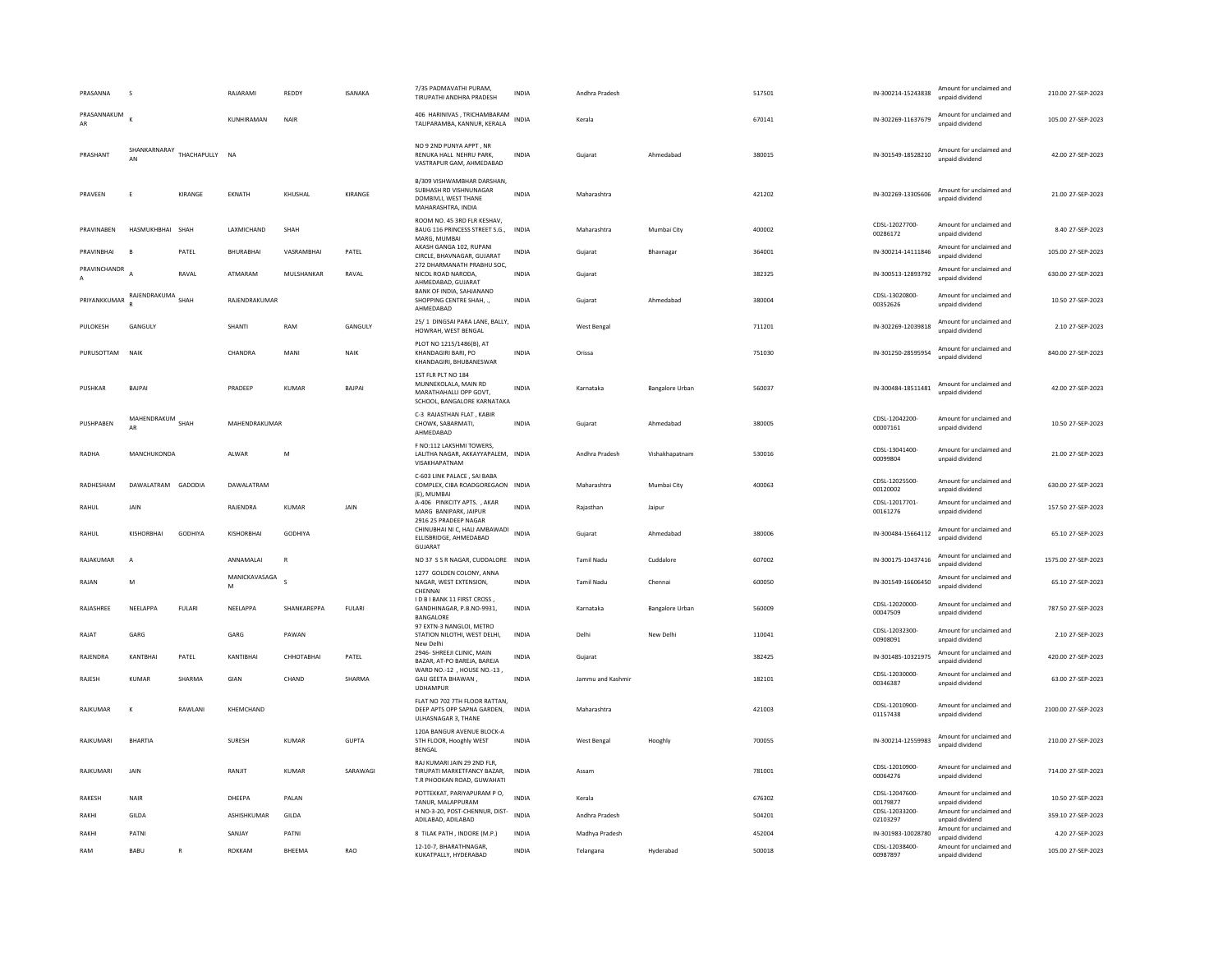| PRASANNA          |                                   |               | RAJARAMI           | REDDY        | <b>ISANAKA</b> | 7/35 PADMAVATHI PURAM.<br>TIRUPATHI ANDHRA PRADESH                                                  | INDIA        | Andhra Pradesh     |                 | 517501 | IN-300214-15243838                           | Amount for unclaimed and<br>unpaid dividend                             | 210.00 27-SEP-2023  |
|-------------------|-----------------------------------|---------------|--------------------|--------------|----------------|-----------------------------------------------------------------------------------------------------|--------------|--------------------|-----------------|--------|----------------------------------------------|-------------------------------------------------------------------------|---------------------|
| PRASANNAKUM<br>AR |                                   |               | KUNHIRAMAN         | <b>NAIR</b>  |                | 406 HARINIVAS, TRICHAMBARAM<br>TALIPARAMBA, KANNUR, KERALA                                          | INDIA        | Kerala             |                 | 670141 | IN-302269-11637679                           | Amount for unclaimed and<br>unpaid dividend                             | 105.00 27-SEP-2023  |
| PRASHANT          | SHANKARNARAY<br>AN                | THACHAPULLY   | <b>NA</b>          |              |                | NO 9 2ND PUNYA APPT. NR<br>RENUKA HALL NEHRU PARK,<br>VASTRAPUR GAM, AHMEDABAD                      | INDIA        | Gujarat            | Ahmedabad       | 380015 | IN-301549-18528210                           | Amount for unclaimed and<br>unnaid dividend                             | 42.00 27-SEP-2023   |
| PRAVEEN           |                                   | KIRANGE       | EKNATH             | KHUSHAL      | KIRANGE        | B/309 VISHWAMBHAR DARSHAN,<br>SUBHASH RD VISHNUNAGAR<br>DOMBIVLI, WEST THANE<br>MAHARASHTRA, INDIA  | INDIA        | Maharashtra        |                 | 421202 | IN-302269-13305606                           | Amount for unclaimed and<br>unpaid dividend                             | 21.00 27-SEP-2023   |
| PRAVINABEN        | HASMUKHBHAI                       | SHAH          | LAXMICHAND         | SHAH         |                | ROOM NO. 45 3RD FLR KESHAV.<br>BAUG 116 PRINCESS STREET S.G.,<br>MARG, MUMBA                        | <b>INDIA</b> | Maharashtra        | Mumbai City     | 400002 | CDSL-12027700-<br>00286172                   | Amount for unclaimed and<br>unpaid dividend                             | 8.40 27-SEP-2023    |
| PRAVINBHAI        |                                   | PATEL         | <b>BHURABHA</b>    | VASRAMBHAI   | PATEL          | AKASH GANGA 102, RUPANI<br>CIRCLE, BHAVNAGAR, GUJARAT                                               | <b>INDIA</b> | Gujarat            | Bhavnagar       | 364001 | IN-300214-14111846                           | Amount for unclaimed and<br>unpaid dividend                             | 105.00 27-SEP-2023  |
| PRAVINCHANDR      |                                   | RAVAI         | ATMARAM            | MULSHANKAR   | RAVAL          | 272 DHARMANATH PRABHU SOC,<br>NICOL ROAD NARODA.<br>AHMEDABAD, GUJARAT                              | <b>INDIA</b> | Gujarat            |                 | 382325 | IN-300513-12893792                           | Amount for unclaimed and<br>unpaid dividend                             | 630.00 27-SEP-2023  |
| PRIYANKKUMAR      | RAJENDRAKUMA SHAH                 |               | RAJENDRAKUMAR      |              |                | BANK OF INDIA, SAHJANAND<br>SHOPPING CENTRE SHAH, .,<br>AHMEDABAD                                   | <b>INDIA</b> | Gujarat            | Ahmedabad       | 380004 | CDSL-13020800-<br>00352626                   | Amount for unclaimed and<br>unpaid dividend                             | 10.50 27-SEP-2023   |
| PULOKESH          | GANGULY                           |               | SHANTI             | RAM          | GANGULY        | 25/1 DINGSAI PARA LANE, BALLY,<br>HOWRAH, WEST BENGAL                                               | <b>INDIA</b> | <b>West Bengal</b> |                 | 711201 | IN-302269-12039818                           | Amount for unclaimed and<br>unnaid dividend                             | 2.10 27-SEP-2023    |
| PURUSOTTAM        | NAIK                              |               | CHANDRA            | MANI         | NAIK           | PLOT NO 1215/1486(B), AT<br>KHANDAGIRI BARI, PO<br>KHANDAGIRI, BHUBANESWAR                          | <b>INDIA</b> | Orissa             |                 | 751030 | IN-301250-28595954                           | Amount for unclaimed and<br>unpaid dividend                             | 840.00 27-SEP-2023  |
| PUSHKAR           | BAIPAL                            |               | PRADEEP            | KUMAR        | <b>BAIPAI</b>  | 1ST FLR PLT NO 184<br>MUNNEKOLALA, MAIN RD<br>MARATHAHALLI OPP GOVT.<br>SCHOOL, BANGALORE KARNATAKA | <b>INDIA</b> | Karnataka          | Bangalore Urban | 560037 | IN-300484-18511481                           | Amount for unclaimed and<br>unpaid dividend                             | 42.00.27-SEP-2023   |
| PUSHPABEN         | MAHENDRAKUM SHAH<br>$\triangle$ R |               | MAHENDRAKUMAR      |              |                | C-3 RAJASTHAN FLAT, KABIR<br>CHOWK, SABARMATI,<br>AHMEDABAD                                         | INDIA        | Guiarat            | Ahmedabad       | 380005 | CDSL-12042200-<br>00007161                   | Amount for unclaimed and<br>unpaid dividend                             | 10.50 27-SEP-2023   |
| RADHA             | MANCHUKONDA                       |               | ALWAR              | M            |                | F NO:112 LAKSHMI TOWERS,<br>LALITHA NAGAR, AKKAYYAPALEM, INDIA<br>VISAKHAPATNAM                     |              | Andhra Pradesh     | Vishakhapatnam  | 530016 | CDSL-13041400-<br>00099804                   | Amount for unclaimed and<br>unpaid dividend                             | 21.00 27-SEP-2023   |
| RADHESHAM         | DAWALATRAM GADODIA                |               | DAWALATRAM         |              |                | C-603 LINK PALACE, SAI BABA<br>COMPLEX, CIBA ROADGOREGAON INDIA<br>(E), MUMBAI                      |              | Maharashtra        | Mumbai City     | 400063 | CDSL-12025500-<br>00120002                   | Amount for unclaimed and<br>unpaid dividend                             | 630.00 27-SEP-2023  |
| RAHUL             | JAIN                              |               | RAJENDRA           | <b>KUMAR</b> | JAIN           | A-406 PINKCITY APTS., AKAR<br>MARG BANIPARK, JAIPUR                                                 | <b>INDIA</b> | Raiasthan          | Jaipur          |        | CDSL-12017701-<br>00161276                   | Amount for unclaimed and<br>unpaid dividend                             | 157.50 27-SEP-2023  |
| RAHUL             | KISHORBHAI                        | GODHIYA       | <b>KISHORBHAI</b>  | GODHIYA      |                | 2916 25 PRADEEP NAGAR<br>CHINUBHAI NI C, HALI AMBAWADI<br>ELLISBRIDGE, AHMEDABAD<br>GUJARAT         | <b>INDIA</b> | Gujarat            | Ahmedabad       | 380006 | IN-300484-15664112                           | Amount for unclaimed and<br>unpaid dividend                             | 65.10 27-SEP-2023   |
| RAJAKUMAR         | $\mathsf{A}$                      |               | ANNAMALAI          | $\mathsf{R}$ |                | NO 37 S S R NAGAR, CUDDALORE                                                                        | <b>INDIA</b> | <b>Tamil Nadu</b>  | Cuddalore       | 607002 | IN-300175-10437416                           | Amount for unclaimed and<br>unpaid dividend                             | 1575.00 27-SEP-2023 |
| RAJAN             | M                                 |               | MANICKAVASAGA<br>M |              |                | 1277 GOLDEN COLONY, ANNA<br>NAGAR, WEST EXTENSION,<br>CHENNA                                        | <b>INDIA</b> | <b>Tamil Nadu</b>  | Chennai         | 600050 | IN-301549-16606450                           | Amount for unclaimed and<br>unpaid dividend                             | 65.10 27-SEP-2023   |
| RAJASHREE         | NEELAPPA                          | <b>FULARI</b> | NEELAPPA           | SHANKAREPPA  | <b>FULARI</b>  | I D B I BANK 11 FIRST CROSS,<br>GANDHINAGAR, P.B.NO-9931,<br>BANGALORE                              | <b>INDIA</b> | Karnataka          | Bangalore Urban | 560009 | CDSL-12020000-<br>00047509                   | Amount for unclaimed and<br>unpaid dividend                             | 787.50 27-SEP-2023  |
| RAJAT             | GARG                              |               | GARG               | PAWAN        |                | 97 EXTN-3 NANGLOI, METRO<br>STATION NILOTHI, WEST DELHI,<br>New Delh                                | <b>INDIA</b> | Delhi              | New Delhi       | 110041 | CDSL-12032300-<br>00908091                   | Amount for unclaimed and<br>unpaid dividend                             | 2.10 27-SEP-2023    |
| RAJENDRA          | KANTBHAI                          | PATEL         | KANTIBHAI          | СННОТАВНАІ   | PATEL          | 2946- SHREEJI CLINIC, MAIN<br>BAZAR, AT-PO BAREJA, BAREJA                                           | <b>INDIA</b> | Gujarat            |                 | 382425 | IN-301485-10321975                           | Amount for unclaimed and<br>unpaid dividend                             | 420.00 27-SEP-2023  |
| RAJESH            | KUMAR                             | SHARMA        | GIAN               | CHAND        | SHARMA         | WARD NO.-12, HOUSE NO.-13,<br>GALI GEETA BHAWAN,<br><b>UDHAMPUR</b>                                 | <b>INDIA</b> | Jammu and Kashmir  |                 | 182101 | CDSL-12030000-<br>00346387                   | Amount for unclaimed and<br>unpaid dividend                             | 63.00 27-SEP-2023   |
| RAIKUMAR          | к                                 | RAWI ANI      | KHEMCHAND          |              |                | FLAT NO 702 7TH FLOOR RATTAN,<br>DEEP APTS OPP SAPNA GARDEN.<br>ULHASNAGAR 3, THANE                 | <b>INDIA</b> | Maharashtra        |                 | 421003 | CDSL-12010900-<br>01157438                   | Amount for unclaimed and<br>unpaid dividend                             | 2100.00 27-SEP-2023 |
| RAJKUMARI         | <b>BHARTIA</b>                    |               | <b>SURESH</b>      | KUMAR        | GUPTA          | 120A BANGUR AVENUE BLOCK-A<br>5TH FLOOR, Hooghly WEST<br>BENGAL                                     | <b>INDIA</b> | West Bengal        | Hooghly         | 700055 | IN-300214-12559983                           | Amount for unclaimed and<br>unpaid dividend                             | 210.00 27-SEP-2023  |
| RAJKUMARI         | JAIN                              |               | RANJIT             | <b>KUMAR</b> | SARAWAGI       | RAJ KUMARI JAIN 29 2ND FLR,<br>TIRUPATI MARKETFANCY BAZAR,<br>T.R PHOOKAN ROAD, GUWAHATI            | <b>INDIA</b> | Assam              |                 | 781001 | CDSL-12010900-<br>00064276                   | Amount for unclaimed and<br>unpaid dividend                             | 714.00 27-SEP-2023  |
| RAKESH            | NAIR                              |               | DHEEPA             | PALAN        |                | POTTEKKAT, PARIYAPURAM PO,<br>TANUR, MALAPPURAM<br>H NO-3-20, POST-CHENNUR, DIST-                   | <b>INDIA</b> | Kerala             |                 | 676302 | CDSL-12047600-<br>00179877<br>CDSL-12033200- | Amount for unclaimed and<br>unpaid dividend<br>Amount for unclaimed and | 10.50 27-SEP-2023   |
| RAKHI             | GILDA                             |               | ASHISHKUMAR        | GILDA        |                | ADILABAD, ADILABAD                                                                                  | <b>INDIA</b> | Andhra Pradesh     |                 | 504201 | 02103297                                     | unpaid dividend                                                         | 359.10 27-SEP-2023  |
| RAKHI             | PATNI                             |               | SANJAY             | PATNI        |                | 8 TILAK PATH , INDORE (M.P.)                                                                        | INDIA        | Madhya Pradesh     |                 | 452004 | IN-301983-10028780                           | Amount for unclaimed and<br>unpaid dividend                             | 4.20 27-SEP-2023    |
| RAM               | <b>BABU</b>                       | $\mathbf R$   | ROKKAM             | BHEEMA       | RAO            | 12-10-7, BHARATHNAGAR,<br>KUKATPALLY, HYDERABAD                                                     | <b>INDIA</b> | Telangana          | Hyderabad       | 500018 | CDSL-12038400-<br>00987897                   | Amount for unclaimed and<br>unpaid dividend                             | 105.00 27-SEP-2023  |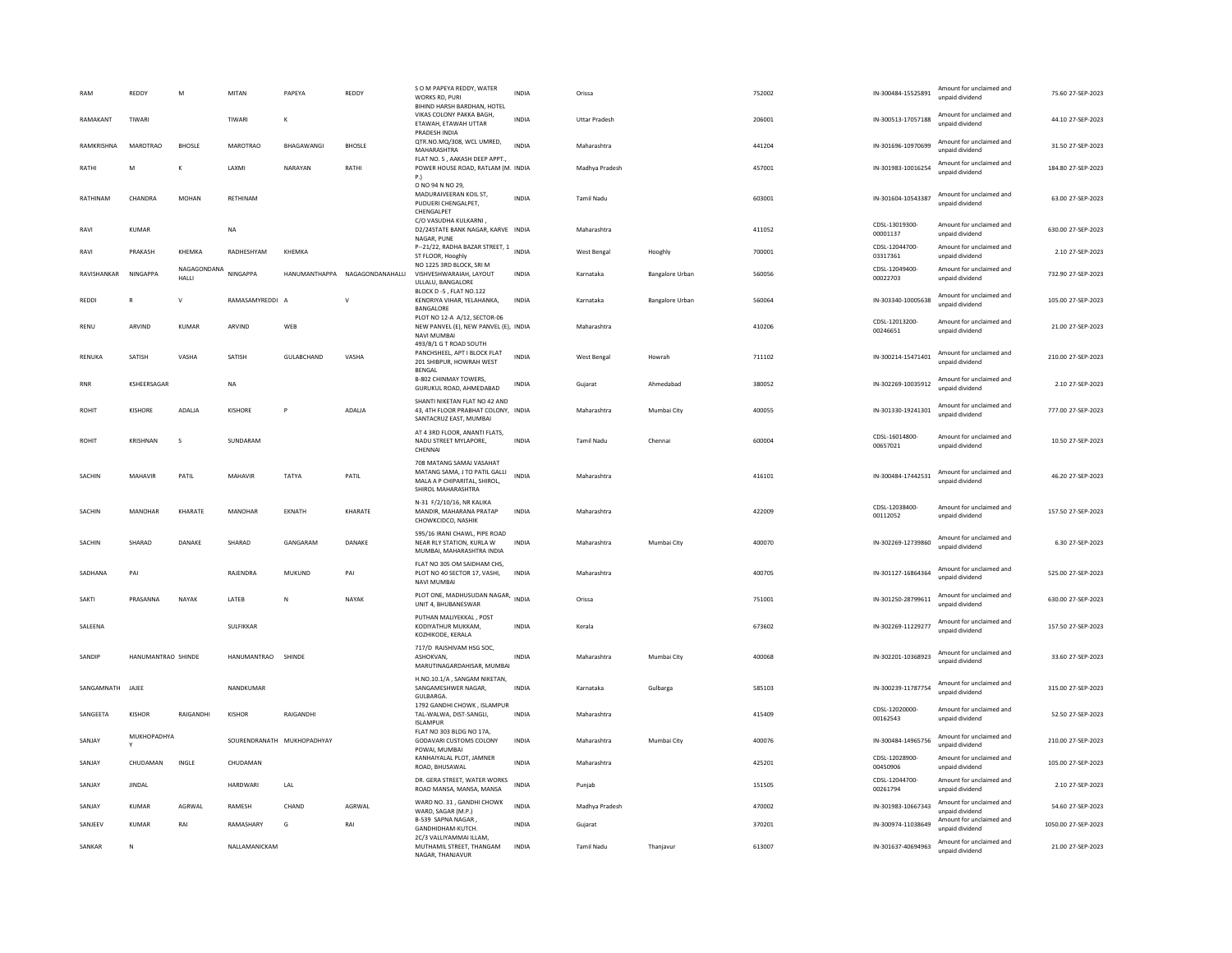|                  | REDDY              | M                    | MITAN                | PAPEYA                     | REDDY                          | S O M PAPEYA REDDY, WATER<br>WORKS RD, PURI<br>BIHIND HARSH BARDHAN, HOTEL                                            | <b>INDIA</b> | Orissa               |                        | 752002 | IN-300484-15525891         | Amount for unclaimed and<br>unpaid dividend | 75.60 27-SEP-2023   |
|------------------|--------------------|----------------------|----------------------|----------------------------|--------------------------------|-----------------------------------------------------------------------------------------------------------------------|--------------|----------------------|------------------------|--------|----------------------------|---------------------------------------------|---------------------|
| RAMAKANT         | TIWARI             |                      | TIWARI               | $\kappa$                   |                                | VIKAS COLONY PAKKA BAGH,<br>ETAWAH, ETAWAH UTTAR<br>PRADESH INDIA                                                     | <b>INDIA</b> | <b>Uttar Pradesh</b> |                        | 206001 | IN-300513-17057188         | Amount for unclaimed and<br>unpaid dividend | 44.10.27-SEP-2023   |
| RAMKRISHNA       | <b>MAROTRAO</b>    | <b>BHOSLE</b>        | MAROTRAO             | <b>BHAGAWANG</b>           | <b>BHOSLE</b>                  | QTR.NO.MQ/308, WCL UMRED,<br>MAHARASHTRA                                                                              | <b>INDIA</b> | Maharashtra          |                        | 441204 | IN-301696-10970699         | Amount for unclaimed and<br>unpaid dividend | 31.50 27-SEP-2023   |
| RATHI            | N                  |                      | LAXMI                | NARAYAN                    | RATHI                          | FLAT NO. 5, AAKASH DEEP APPT.,<br>POWER HOUSE ROAD, RATLAM (M. INDIA<br>P.                                            |              | Madhya Pradesh       |                        | 457001 | IN-301983-10016254         | Amount for unclaimed and<br>unpaid dividend | 184.80 27-SEP-2023  |
| RATHINAM         | CHANDRA            | <b>MOHAN</b>         | RETHINAM             |                            |                                | O NO 94 N NO 29,<br>MADURAIVEERAN KOIL ST,<br>PUDUERI CHENGALPET,<br>CHENGALPET                                       | <b>INDIA</b> | <b>Tamil Nadu</b>    |                        | 603001 | IN-301604-10543387         | Amount for unclaimed and<br>unpaid dividend | 63.00 27-SEP-2023   |
| RAVI             | <b>KUMAR</b>       |                      | <b>NA</b>            |                            |                                | C/O VASUDHA KULKARNI.<br>D2/24STATE BANK NAGAR, KARVE INDIA<br>NAGAR, PUNE                                            |              | Maharashtra          |                        | 411052 | CDSL-13019300-<br>00001137 | Amount for unclaimed and<br>unnaid dividend | 630.00 27-SEP-2023  |
| RAVI             | PRAKASH            | KHEMKA               | RADHESHYAM           | KHEMKA                     |                                | P-21/22, RADHA BAZAR STREET, 1 INDIA<br>ST FLOOR, Hooghly                                                             |              | <b>West Bengal</b>   | Hooghly                | 700001 | CDSL-12044700-<br>03317361 | Amount for unclaimed and<br>unpaid dividend | 2.10 27-SEP-2023    |
| RAVISHANKAR      | NINGAPPA           | NAGAGONDANA<br>HALLI | NINGAPPA             |                            | HANUMANTHAPPA NAGAGONDANAHALLI | NO 1225 3RD BLOCK, SRI M<br>VISHVESHWARAIAH, LAYOUT<br>ULLALU, BANGALORE<br>BLOCK D-5, FLAT NO.122                    | INDIA        | Karnataka            | <b>Bangalore Urban</b> | 560056 | CDSL-12049400-<br>00022703 | Amount for unclaimed and<br>unpaid dividend | 732.90 27-SEP-2023  |
| REDDI            | R                  | $\mathsf{V}$         | RAMASAMYREDDI A      |                            | $\vee$                         | KENDRIYA VIHAR, YELAHANKA,<br>BANGALORE                                                                               | INDIA        | Karnataka            | Bangalore Urban        | 560064 | IN-303340-10005638         | Amount for unclaimed and<br>unpaid dividend | 105.00 27-SEP-2023  |
| RENU             | ARVIND             | KUMAR                | ARVIND               | WEB                        |                                | PLOT NO 12-A A/12, SECTOR-06<br>NEW PANVEL (E), NEW PANVEL (E), INDIA<br><b>NAVI MUMBAI</b><br>493/B/1 G T ROAD SOUTH |              | Maharashtra          |                        | 410206 | CDSL-12013200-<br>00246651 | Amount for unclaimed and<br>unpaid dividend | 21.00 27-SEP-2023   |
| RENUKA           | SATISH             | VASHA                | SATISH               | GULABCHAND                 | VASHA                          | PANCHSHEEL, APT I BLOCK FLAT<br>201 SHIBPUR, HOWRAH WEST<br>BENGAL                                                    | INDIA        | West Bengal          | Howrah                 | 711102 | IN-300214-15471401         | Amount for unclaimed and<br>unpaid dividend | 210.00 27-SEP-2023  |
| <b>RNR</b>       | KSHEERSAGAR        |                      | <b>NA</b>            |                            |                                | B-802 CHINMAY TOWERS,<br>GURUKUL ROAD, AHMEDABAD                                                                      | <b>INDIA</b> | Guiarat              | Ahmedabad              | 380052 | IN-302269-10035912         | Amount for unclaimed and<br>unpaid dividend | 2.10 27-SEP-2023    |
| <b>ROHIT</b>     | KISHORE            | ADALIA               | <b>KISHORE</b>       | P                          | ADALIA                         | SHANTI NIKETAN FLAT NO 42 AND<br>43. 4TH FLOOR PRABHAT COLONY. INDIA<br>SANTACRUZ EAST, MUMBAI                        |              | Maharashtra          | Mumbai City            | 400055 | IN-301330-19241301         | Amount for unclaimed and<br>unpaid dividend | 777.00 27-SEP-2023  |
| <b>ROHIT</b>     | <b>KRISHNAN</b>    | s                    | SUNDARAM             |                            |                                | AT 4 3RD FLOOR, ANANTI FLATS,<br>NADU STREET MYLAPORE.<br>CHENNAI                                                     | <b>INDIA</b> | <b>Tamil Nadu</b>    | Chennai                | 600004 | CDSI-16014800-<br>00657021 | Amount for unclaimed and<br>unpaid dividend | 10.50 27-SEP-2023   |
| SACHIN           | MAHAVIR            | PATIL                | MAHAVIR              | TATYA                      | PATIL                          | 708 MATANG SAMAJ VASAHAT<br>MATANG SAMA, J TO PATIL GALLI<br>MALA A P CHIPARITAL, SHIROL,<br>SHIROL MAHARASHTRA       | <b>INDIA</b> | Maharashtra          |                        | 416101 | IN-300484-17442531         | Amount for unclaimed and<br>unnaid dividend | 46.20 27-SEP-2023   |
| <b>SACHIN</b>    | MANOHAR            | KHARATE              | MANOHAR              | <b>FKNATH</b>              | KHARATE                        | N-31 F/2/10/16, NR KALIKA<br>MANDIR, MAHARANA PRATAP<br>CHOWKCIDCO, NASHIK                                            | <b>INDIA</b> | Maharashtra          |                        | 422009 | CDSL-12038400-<br>00112052 | Amount for unclaimed and<br>unpaid dividend | 157.50 27-SEP-2023  |
| SACHIN           | SHARAD             | DANAKE               | SHARAD               | GANGARAM                   | DANAKE                         | 595/16 IRANI CHAWL, PIPE ROAD<br>NEAR RLY STATION. KURLA W<br>MUMBAI, MAHARASHTRA INDIA                               | <b>INDIA</b> | Maharashtra          | Mumbai City            | 400070 | IN-302269-12739860         | Amount for unclaimed and<br>unpaid dividend | 6.30 27-SEP-2023    |
| SADHANA          | PAI                |                      | RAJENDRA             | MUKUND                     | PAI                            | FLAT NO 305 OM SAIDHAM CHS,<br>PLOT NO 40 SECTOR 17, VASHI.<br>NAVI MUMBAI                                            | <b>INDIA</b> | Maharashtra          |                        | 400705 | IN-301127-16864364         | Amount for unclaimed and<br>unpaid dividend | 525.00 27-SEP-2023  |
| SAKTI            | PRASANNA           | NAYAK                | LATEB                | N                          | NAYAK                          | PLOT ONE, MADHUSUDAN NAGAR,<br>UNIT 4, BHUBANESWAR                                                                    | <b>INDIA</b> | Orissa               |                        | 751001 | IN-301250-28799611         | Amount for unclaimed and<br>unpaid dividend | 630.00 27-SEP-2023  |
| SALEENA          |                    |                      | SULFIKKAR            |                            |                                | PUTHAN MALIYEKKAL, POST<br>KODIYATHUR MUKKAM.<br>KOZHIKODE, KERALA                                                    | <b>INDIA</b> | Kerala               |                        | 673602 | IN-302269-11229277         | Amount for unclaimed and<br>unpaid dividend | 157.50 27-SEP-2023  |
| SANDIP           | HANUMANTRAO SHINDE |                      | HANUMANTRAO SHINDE   |                            |                                | 717/D RAJSHIVAM HSG SOC,<br>ASHOKVAN.<br>MARUTINAGARDAHISAR, MUMBAI                                                   | <b>INDIA</b> | Maharashtra          | Mumbai City            | 400068 | IN-302201-10368923         | Amount for unclaimed and<br>unpaid dividend | 33.60 27-SEP-2023   |
| SANGAMNATH JAJEE |                    |                      | NANDKUMAR            |                            |                                | H.NO.10.1/A, SANGAM NIKETAN,<br>SANGAMESHWER NAGAR.<br>GULBARGA                                                       | <b>INDIA</b> | Karnataka            | Gulbarga               | 585103 | IN-300239-11787754         | Amount for unclaimed and<br>unpaid dividend | 315.00 27-SEP-2023  |
| SANGFFTA         | KISHOR             | RAIGANDHI            | KISHOR               | RAIGANDHI                  |                                | 1792 GANDHI CHOWK, ISLAMPUR<br>TAL-WALWA, DIST-SANGLI,<br><b>ISLAMPUR</b>                                             | <b>INDIA</b> | Maharashtra          |                        | 415409 | CDSL-12020000-<br>00162543 | Amount for unclaimed and<br>unpaid dividend | 52.50 27-SEP-2023   |
| SANIAY           | MUKHOPADHYA        |                      |                      | SOURENDRANATH MUKHOPADHYAY |                                | FLAT NO 303 BLDG NO 17A,<br>GODAVARI CUSTOMS COLONY<br>POWAI, MUMBAI                                                  | <b>INDIA</b> | Maharashtra          | Mumbai City            | 400076 | IN-300484-14965756         | Amount for unclaimed and<br>unpaid dividend | 210.00 27-SEP-2023  |
| SANJAY           | CHUDAMAN           | INGLE                | CHUDAMAN             |                            |                                | KANHAIYALAL PLOT, JAMNER<br>ROAD, BHUSAWAL                                                                            | <b>INDIA</b> | Maharashtra          |                        | 425201 | CDSL-12028900-<br>00450906 | Amount for unclaimed and<br>unpaid dividend | 105.00 27-SEP-2023  |
| SANJAY           | <b>JINDAL</b>      |                      | HARDWARI             | LAL                        |                                | DR. GERA STREET, WATER WORKS<br>ROAD MANSA, MANSA, MANSA                                                              | <b>INDIA</b> | Punjab               |                        | 151505 | CDSL-12044700-<br>00261794 | Amount for unclaimed and<br>unpaid dividend | 2.10 27-SEP-2023    |
| SANJAY           | <b>KUMAR</b>       | AGRWAL               | RAMESH               | CHAND                      | AGRWAL                         | WARD NO. 31, GANDHI CHOWK<br>WARD, SAGAR (M.P.)                                                                       | <b>INDIA</b> | Madhya Pradesh       |                        | 470002 | IN-301983-10667343         | Amount for unclaimed and<br>unpaid dividend | 54.60 27-SEP-2023   |
| SANJEEV          | KUMAR              | RAI                  | RAMASHARY            | G                          | RAI                            | B-539 SAPNA NAGAR,<br>GANDHIDHAM-KUTCH.                                                                               | <b>INDIA</b> | Gujarat              |                        | 370201 | IN-300974-11038649         | Amount for unclaimed and<br>unpaid dividend | 1050.00 27-SEP-2023 |
| SANKAR           | $\mathbb{N}$       |                      | <b>NAILAMANICKAM</b> |                            |                                | 2C/3 VALLIYAMMAI ILLAM,<br>MUTHAMIL STREET. THANGAM<br>NAGAR, THANJAVUR                                               | <b>INDIA</b> | <b>Tamil Nadu</b>    | Thaniavur              | 613007 | IN-301637-40694963         | Amount for unclaimed and<br>unpaid dividend | 21.00.27-SEP-2023   |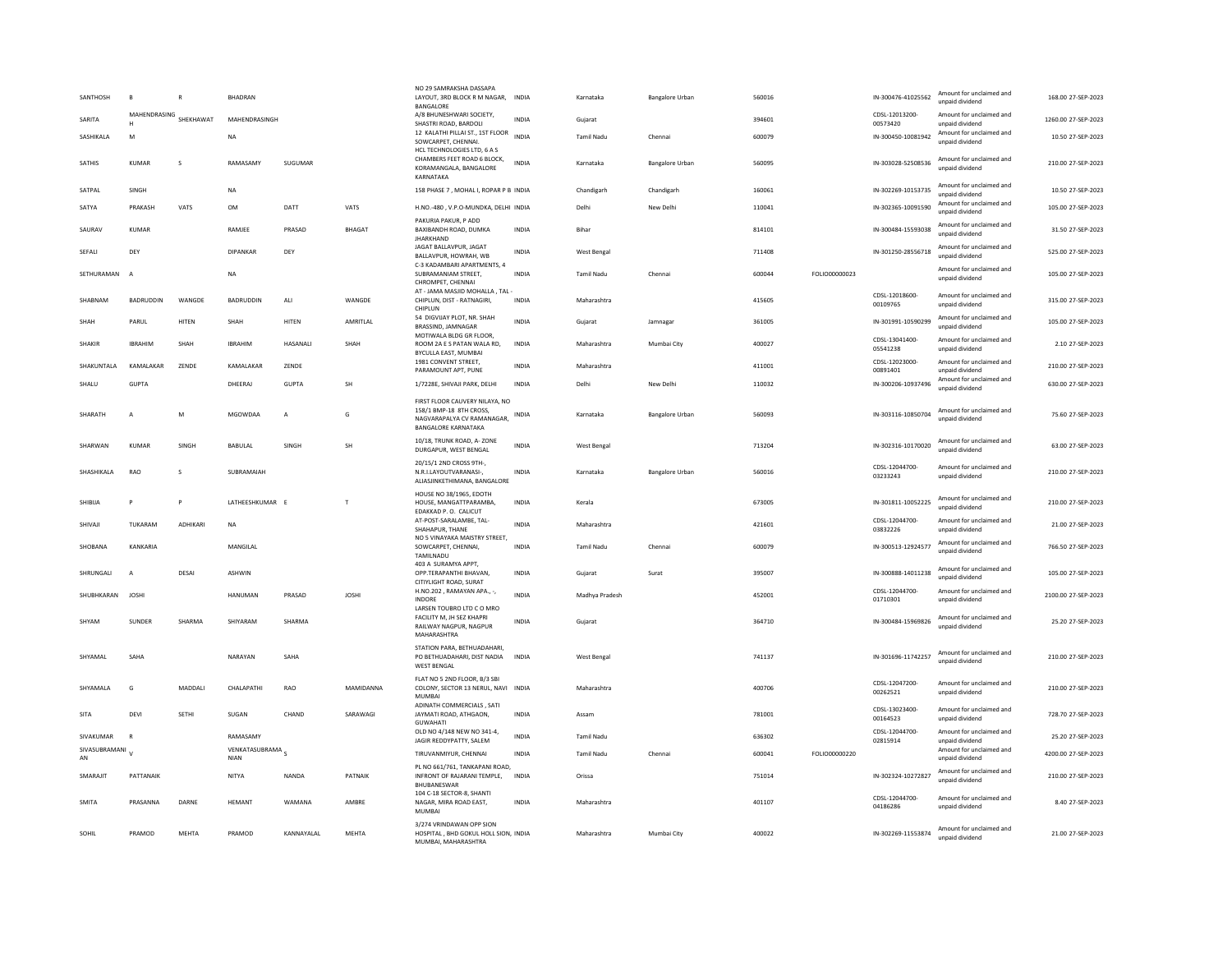| SANTHOSH            | B                | R               | <b>BHADRAN</b>                  |                |               | NO 29 SAMRAKSHA DASSAPA<br>LAYOUT, 3RD BLOCK R M NAGAR,<br>BANGALORE                            | INDIA        | Karnataka         | Bangalore Urban        | 560016 |               | IN-300476-41025562             | Amount for unclaimed and<br>unpaid dividend | 168.00 27-SEP-2023  |
|---------------------|------------------|-----------------|---------------------------------|----------------|---------------|-------------------------------------------------------------------------------------------------|--------------|-------------------|------------------------|--------|---------------|--------------------------------|---------------------------------------------|---------------------|
| SARITA              | MAHENDRASING     | SHEKHAWAT       | MAHENDRASINGH                   |                |               | A/8 BHUNESHWARI SOCIETY,                                                                        | <b>INDIA</b> | Gujarat           |                        | 394601 |               | CDSL-12013200-                 | Amount for unclaimed and                    | 1260.00 27-SEP-2023 |
| SASHIKALA           | M                |                 | <b>NA</b>                       |                |               | SHASTRI ROAD, BARDOLI<br>12 KALATHI PILLAI ST., 1ST FLOOR                                       | <b>INDIA</b> | <b>Tamil Nadu</b> | Chennai                | 600079 |               | 00573420<br>IN-300450-10081942 | unpaid dividend<br>Amount for unclaimed and | 10.50 27-SEP-2023   |
| SATHIS              | <b>KUMAR</b>     | s               | RAMASAMY                        | SUGUMAR        |               | SOWCARPET, CHENNAI.<br>HCL TECHNOLOGIES LTD, 6 A S<br>CHAMBERS FEET ROAD 6 BLOCK,               | <b>INDIA</b> | Karnataka         | Bangalore Urban        | 560095 |               | IN-303028-52508536             | unpaid dividend<br>Amount for unclaimed and | 210.00 27-SEP-2023  |
|                     |                  |                 |                                 |                |               | KORAMANGALA, BANGALORE<br>KARNATAKA                                                             |              |                   |                        |        |               |                                | unnaid dividend                             |                     |
| SATPAL              | SINGH            |                 | NA                              |                |               | 158 PHASE 7, MOHAL I, ROPAR P B INDIA                                                           |              | Chandigarh        | Chandigarh             | 160061 |               | IN-302269-10153735             | Amount for unclaimed and<br>unpaid dividend | 10.50 27-SEP-2023   |
| SATYA               | PRAKASH          | VATS            | <b>OM</b>                       | DATT           | VATS          | H.NO.-480, V.P.O-MUNDKA, DELHI INDIA                                                            |              | Delhi             | New Delhi              | 110041 |               | IN-302365-10091590             | Amount for unclaimed and<br>unpaid dividend | 105.00 27-SEP-2023  |
| SAURAV              | KUMAR            |                 | RAMJEE                          | PRASAD         | <b>BHAGAT</b> | PAKURIA PAKUR, P ADD<br>BAXIBANDH ROAD, DUMKA<br><b>JHARKHAND</b>                               | <b>INDIA</b> | Bihar             |                        | 814101 |               | IN-300484-15593038             | Amount for unclaimed and<br>unpaid dividend | 31.50 27-SEP-2023   |
| SEFALI              | DEY              |                 | <b>DIPANKAR</b>                 | DEY            |               | JAGAT BALLAVPUR, JAGAT<br>BALLAVPUR, HOWRAH, WB                                                 | <b>INDIA</b> | West Bengal       |                        | 711408 |               | IN-301250-28556718             | Amount for unclaimed and<br>unpaid dividend | 525.00 27-SEP-2023  |
| SETHURAMAN          | $\overline{A}$   |                 | <b>NA</b>                       |                |               | C-3 KADAMBARI APARTMENTS, 4<br>SUBRAMANIAM STREET.<br>CHROMPET, CHENNAL                         | <b>INDIA</b> | <b>Tamil Nadu</b> | Chennai                | 600044 | FOLIO00000023 |                                | Amount for unclaimed and<br>unpaid dividend | 105.00 27-SEP-2023  |
| SHABNAM             | <b>BADRUDDIN</b> | WANGDE          | <b>BADRUDDIN</b>                | ALI            | WANGDE        | AT - JAMA MASJID MOHALLA, TAL -<br>CHIPLUN, DIST - RATNAGIRI,<br>CHIPLUN                        | <b>INDIA</b> | Maharashtra       |                        | 415605 |               | CDSL-12018600-<br>00109765     | Amount for unclaimed and<br>unpaid dividend | 315.00 27-SEP-2023  |
| SHAH                | PARUL            | HITEN           | SHAH                            | <b>HITEN</b>   | AMRITLAL      | 54 DIGVIJAY PLOT, NR, SHAH<br>BRASSIND, JAMNAGAR                                                | <b>INDIA</b> | Gujarat           | Jamnagar               | 361005 |               | IN-301991-10590299             | Amount for unclaimed and<br>unpaid dividend | 105.00 27-SEP-2023  |
| <b>SHAKIR</b>       | <b>IBRAHIM</b>   | SHAH            | <b>IBRAHIM</b>                  | HASANALI       | SHAH          | MOTIWALA BLDG GR FLOOR<br>ROOM 2A E S PATAN WALA RD,<br>BYCULLA EAST, MUMBAI                    | <b>INDIA</b> | Maharashtra       | Mumbai City            | 400027 |               | CDSL-13041400-<br>05541238     | Amount for unclaimed and<br>unpaid dividend | 2.10 27-SEP-2023    |
| SHAKUNTALA          | KAMAI AKAR       | ZENDE           | KAMALAKAR                       | <b>7FNDF</b>   |               | 1981 CONVENT STREET,<br>PARAMOUNT APT, PUNE                                                     | <b>INDIA</b> | Maharashtra       |                        | 411001 |               | CDSL-12023000-<br>00891401     | Amount for unclaimed and<br>unpaid dividend | 210.00 27-SEP-2023  |
| SHALU               | <b>GUPTA</b>     |                 | DHEERAJ                         | <b>GUPTA</b>   | <b>SH</b>     | 1/7228E, SHIVAJI PARK, DELHI                                                                    | <b>INDIA</b> | Delhi             | New Delhi              | 110032 |               | IN-300206-10937496             | Amount for unclaimed and<br>unpaid dividend | 630.00 27-SEP-2023  |
| SHARATH             | $\overline{A}$   | M               | MGOWDAA                         | $\overline{A}$ | G             | FIRST FLOOR CAUVERY NILAYA, NO<br>158/1 BMP-18 8TH CROSS,<br>NAGVARAPALYA CV RAMANAGAR,         | <b>INDIA</b> | Karnataka         | Bangalore Urban        | 560093 |               | IN-303116-10850704             | Amount for unclaimed and<br>unpaid dividend | 75.60 27-SEP-2023   |
|                     |                  |                 |                                 |                |               | <b>BANGALORE KARNATAKA</b><br>10/18, TRUNK ROAD, A-ZONE                                         |              |                   |                        |        |               |                                | Amount for unclaimed and                    |                     |
| SHARWAN             | <b>KUMAR</b>     | SINGH           | BABULAL                         | SINGH          | <b>SH</b>     | DURGAPUR, WEST BENGAL                                                                           | <b>INDIA</b> | West Bengal       |                        | 713204 |               | IN-302316-10170020             | unpaid dividend                             | 63.00 27-SEP-2023   |
| SHASHIKALA          | RAO              | s               | SUBRAMAIAH                      |                |               | 20/15/1 2ND CROSS 9TH-<br>N.R.I.LAYOUTVARANASI-,<br>ALIASJINKETHIMANA, BANGALORE                | <b>INDIA</b> | Karnataka         | <b>Bangalore Urban</b> | 560016 |               | CDSL-12044700-<br>03233243     | Amount for unclaimed and<br>unpaid dividend | 210.00 27-SEP-2023  |
| SHIBIJA             | P                | P               | LATHEESHKUMAR                   |                | T             | HOUSE NO 38/1965, EDOTH<br>HOUSE, MANGATTPARAMBA.<br>EDAKKAD P. O. CALICUT                      | INDIA        | Kerala            |                        | 673005 |               | IN-301811-10052225             | Amount for unclaimed and<br>unpaid dividend | 210.00 27-SEP-2023  |
| SHIVAJI             | TUKARAM          | <b>ADHIKARI</b> | <b>NA</b>                       |                |               | AT-POST-SARALAMBE, TAL-<br>SHAHAPUR, THANE                                                      | <b>INDIA</b> | Maharashtra       |                        | 421601 |               | CDSL-12044700-<br>03832226     | Amount for unclaimed and<br>unpaid dividend | 21.00 27-SEP-2023   |
| SHOBANA             | <b>KANKARIA</b>  |                 | MANGILAL                        |                |               | NO 5 VINAYAKA MAISTRY STREET.<br>SOWCARPET, CHENNAI,<br>TAMILNADU                               | <b>INDIA</b> | <b>Tamil Nadu</b> | Chennai                | 600079 |               | IN-300513-12924577             | Amount for unclaimed and<br>unpaid dividend | 766.50 27-SEP-2023  |
| SHRUNGALI           | $\overline{A}$   | DESAI           | <b>ASHWIN</b>                   |                |               | 403 A SURAMYA APPT.<br>OPP.TERAPANTHI BHAVAN.<br>CITIYUGHT ROAD, SURAT                          | <b>INDIA</b> | Gujarat           | Surat                  | 395007 |               | IN-300888-14011238             | Amount for unclaimed and<br>unpaid dividend | 105.00 27-SEP-2023  |
| SHURHKARAN          | <b>IOSHI</b>     |                 | HANUMAN                         | PRASAD         | <b>IOSHI</b>  | H.NO.202, RAMAYAN APA., -,<br><b>INDORE</b>                                                     | <b>INDIA</b> | Madhya Pradesh    |                        | 452001 |               | CDSL-12044700-<br>01710301     | Amount for unclaimed and<br>unpaid dividend | 2100.00 27-SEP-2023 |
| SHYAM               | SUNDER           | SHARMA          | SHIYARAM                        | SHARMA         |               | LARSEN TOUBRO LTD C O MRO<br>FACILITY M, JH SEZ KHAPRI<br>RAILWAY NAGPUR, NAGPUR<br>MAHARASHTRA | <b>INDIA</b> | Gujarat           |                        | 364710 |               | IN-300484-15969826             | Amount for unclaimed and<br>unpaid dividend | 25.20 27-SEP-2023   |
| SHYAMAL             | SAHA             |                 | NARAYAN                         | SAHA           |               | STATION PARA, BETHUADAHARI,<br>PO BETHUADAHARI, DIST NADIA<br><b>WEST BENGAL</b>                | <b>INDIA</b> | West Bengal       |                        | 741137 |               | IN-301696-11742257             | Amount for unclaimed and<br>unpaid dividend | 210.00 27-SEP-2023  |
| SHYAMALA            | G                | MADDALI         | CHALAPATHI                      | <b>RAO</b>     | MAMIDANNA     | FLAT NO 5 2ND FLOOR, B/3 SBI<br>COLONY, SECTOR 13 NERUL, NAVI INDIA<br><b>MUMBAI</b>            |              | Maharashtra       |                        | 400706 |               | CDSL-12047200-<br>00262521     | Amount for unclaimed and<br>unpaid dividend | 210.00 27-SEP-2023  |
| <b>SITA</b>         | DEVI             | SETHI           | SUGAN                           | CHAND          | SARAWAGI      | ADINATH COMMERCIALS, SATI<br>JAYMATI ROAD, ATHGAON.<br><b>GUWAHATI</b>                          | <b>INDIA</b> | Assam             |                        | 781001 |               | CDSL-13023400-<br>00164523     | Amount for unclaimed and<br>unpaid dividend | 728.70 27-SEP-2023  |
| SIVAKUMAR           | $\mathbb{R}$     |                 | RAMASAMY                        |                |               | OLD NO 4/148 NEW NO 341-4,<br>JAGIR REDDYPATTY, SALEM                                           | <b>INDIA</b> | <b>Tamil Nadu</b> |                        | 636302 |               | CDSL-12044700-<br>02815914     | Amount for unclaimed and<br>unpaid dividend | 25.20 27-SEP-2023   |
| SIVASUBRAMANI<br>AN |                  |                 | VENKATASUBRAMA c<br><b>NIAN</b> |                |               | TIRUVANMIYUR, CHENNAI                                                                           | INDIA        | Tamil Nadu        | Chennai                | 600041 | FOLIO00000220 |                                | Amount for unclaimed and<br>unpaid dividend | 4200.00 27-SEP-2023 |
| SMARAJIT            | PATTANAIK        |                 | NITYA                           | <b>NANDA</b>   | PATNAIK       | PL NO 661/761, TANKAPANI ROAD,<br>INFRONT OF RAJARANI TEMPLE,<br>BHUBANESWAR                    | <b>INDIA</b> | Orissa            |                        | 751014 |               | IN-302324-10272827             | Amount for unclaimed and<br>unpaid dividend | 210.00 27-SEP-2023  |
| SMITA               | PRASANNA         | DARNE           | HEMANT                          | WAMANA         | AMBRE         | 104 C-18 SECTOR-8, SHANTI<br>NAGAR, MIRA ROAD EAST,<br><b>MUMBAI</b>                            | <b>INDIA</b> | Maharashtra       |                        | 401107 |               | CDSL-12044700-<br>04186286     | Amount for unclaimed and<br>unpaid dividend | 8.40 27-SEP-2023    |
| SOHIL               | PRAMOD           | MEHTA           | PRAMOD                          | KANNAYALAL     | <b>MEHTA</b>  | 3/274 VRINDAWAN OPP SION<br>HOSPITAL, BHD GOKUL HOLL SION, INDIA<br>MUMBAI, MAHARASHTRA         |              | Maharashtra       | Mumbai City            | 400022 |               | IN-302269-11553874             | Amount for unclaimed and<br>unpaid dividend | 21.00 27-SEP-2023   |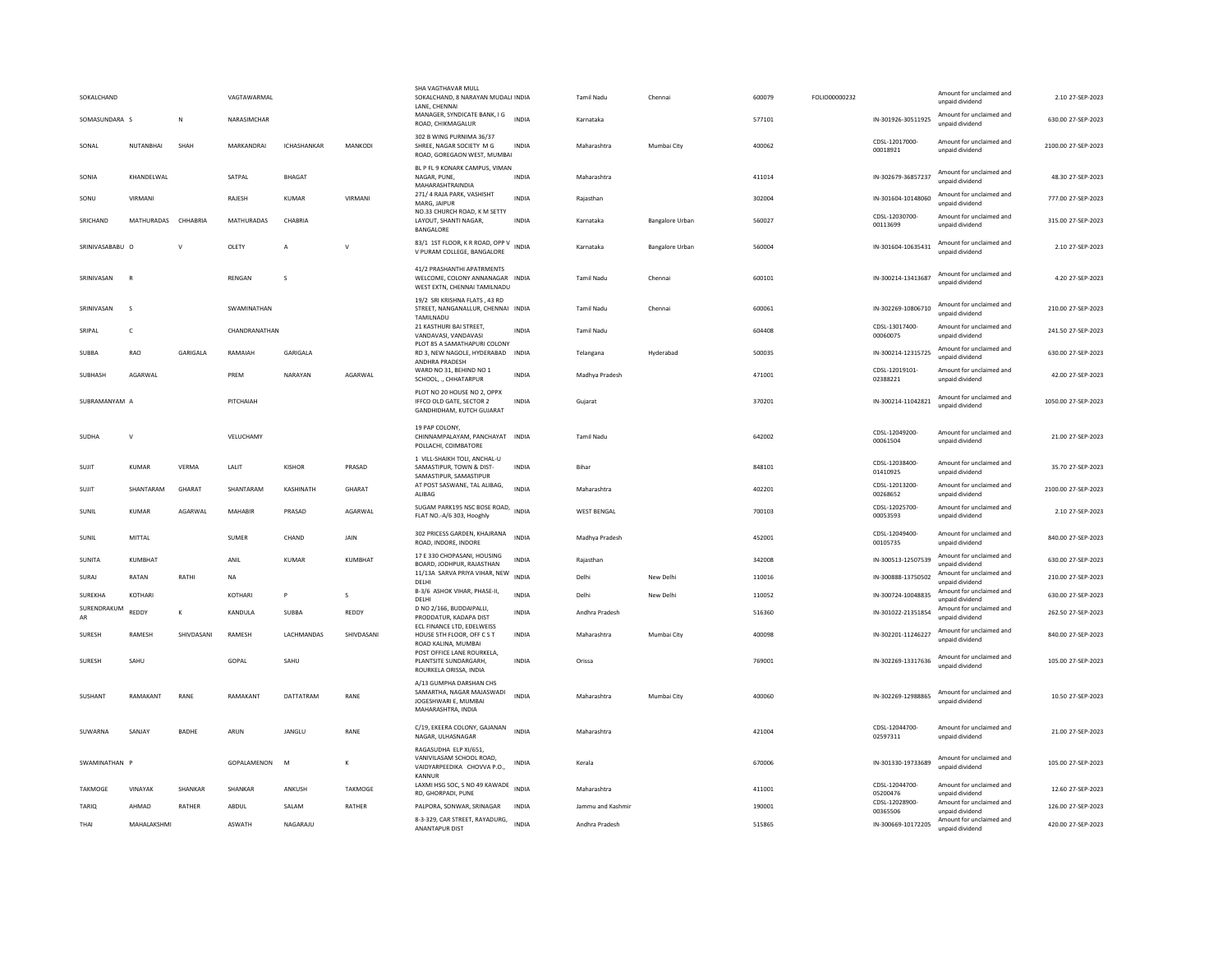| SOKALCHAND             |                     |                | VAGTAWARMAL    |                |                | SHA VAGTHAVAR MULL<br>SOKALCHAND, 8 NARAYAN MUDALI INDIA<br>LANE, CHENNAI                          |              | <b>Tamil Nadu</b>  | Chennai                | 600079 | FOLIO00000232 |                            | Amount for unclaimed and<br>unpaid dividend                             | 2.10 27-SEP-2023    |
|------------------------|---------------------|----------------|----------------|----------------|----------------|----------------------------------------------------------------------------------------------------|--------------|--------------------|------------------------|--------|---------------|----------------------------|-------------------------------------------------------------------------|---------------------|
| SOMASUNDARA S          |                     | N              | NARASIMCHAR    |                |                | MANAGER, SYNDICATE BANK, I G<br>ROAD, CHIKMAGALUR                                                  | <b>INDIA</b> | Karnataka          |                        | 577101 |               | IN-301926-30511925         | Amount for unclaimed and<br>unpaid dividend                             | 630.00 27-SEP-2023  |
| SONAL                  | NUTANRHAI           | SHAH           | MARKANDRAI     | ICHASHANKAR    | MANKODI        | 302 B WING PURNIMA 36/37<br>SHREE, NAGAR SOCIETY M G<br>ROAD, GOREGAON WEST, MUMBAI                | INDIA        | Maharashtra        | Mumbai City            | 400062 |               | CDSL-12017000<br>00018921  | Amount for unclaimed and<br>unnaid dividend                             | 2100.00 27-SEP-2023 |
| SONIA                  | KHANDELWAL          |                | SATPAL         | <b>BHAGAT</b>  |                | BL P FL 9 KONARK CAMPUS, VIMAN<br>NAGAR, PUNE,<br>MAHARASHTRAINDIA                                 | <b>INDIA</b> | Maharashtra        |                        | 411014 |               | IN-302679-36857237         | Amount for unclaimed and<br>unpaid dividend                             | 48.30 27-SEP-2023   |
| SONU                   | VIRMANI             |                | RAJESH         | KUMAR          | VIRMANI        | 271/4 RAJA PARK, VASHISHT<br>MARG, JAIPUR                                                          | <b>INDIA</b> | Rajasthan          |                        | 302004 |               | IN-301604-10148060         | Amount for unclaimed and<br>unpaid dividend                             | 777.00 27-SEP-2023  |
| SRICHAND               | MATHURADAS CHHABRIA |                | MATHURADAS     | CHABRIA        |                | NO.33 CHURCH ROAD, K M SETTY<br>LAYOUT, SHANTI NAGAR,<br>BANGALORE                                 | INDIA        | Karnataka          | <b>Bangalore Urban</b> | 560027 |               | CDSL-12030700-<br>00113699 | Amount for unclaimed and<br>unnaid dividend                             | 315.00 27-SEP-2023  |
| SRINIVASABABU O        |                     | $\mathsf{v}$   | OLETY          | $\overline{A}$ | V              | 83/1 1ST FLOOR, K R ROAD, OPP V<br>V PURAM COLLEGE, BANGALORE                                      | <b>INDIA</b> | Karnataka          | Bangalore Urban        | 560004 |               | IN-301604-10635431         | Amount for unclaimed and<br>unpaid dividend                             | 2.10 27-SEP-2023    |
| SRINIVASAN             | $\mathbb{R}$        |                | RENGAN         | s              |                | 41/2 PRASHANTHI APATRMENTS<br>WELCOME, COLONY ANNANAGAR INDIA<br>WEST EXTN, CHENNAI TAMILNADU      |              | Tamil Nadu         | Chennai                | 600101 |               | IN-300214-13413687         | Amount for unclaimed and<br>unnaid dividend                             | 4.20 27-SEP-2023    |
| SRINIVASAN             | $\mathbf{S}$        |                | SWAMINATHAN    |                |                | 19/2 SRI KRISHNA FLATS . 43 RD<br>STREET, NANGANALLUR, CHENNAI INDIA<br>TAMILNADU                  |              | Tamil Nadu         | Chennai                | 600061 |               | IN-302269-10806710         | Amount for unclaimed and<br>unpaid dividend                             | 210.00 27-SEP-2023  |
| SRIPAL                 | c                   |                | CHANDRANATHAN  |                |                | 21 KASTHURI BAI STREET.<br>VANDAVASI, VANDAVASI                                                    | INDIA        | Tamil Nadu         |                        | 604408 |               | CDSL-13017400-<br>00060075 | Amount for unclaimed and<br>unpaid dividend                             | 241.50 27-SEP-2023  |
| SUBBA                  | RAO                 | GARIGALA       | RAMAIAH        | GARIGALA       |                | PLOT 85 A SAMATHAPURI COLONY<br>RD 3, NEW NAGOLE, HYDERABAD INDIA<br>ANDHRA PRADESH                |              | Telangana          | Hyderabad              | 500035 |               | IN-300214-12315725         | Amount for unclaimed and<br>unpaid dividend                             | 630.00 27-SEP-2023  |
| SUBHASH                | AGARWAI             |                | PREM           | NARAYAN        | AGARWAI        | WARD NO 31, BEHIND NO 1<br>SCHOOL, ., CHHATARPUR                                                   | <b>INDIA</b> | Madhya Pradesh     |                        | 471001 |               | CDSL-12019101-<br>02388221 | Amount for unclaimed and<br>unpaid dividend                             | 42.00 27-SEP-2023   |
| SUBRAMANYAM A          |                     |                | PITCHAIAH      |                |                | PLOT NO 20 HOUSE NO 2, OPPX<br>IFFCO OLD GATE, SECTOR 2<br>GANDHIDHAM, KUTCH GUJARAT               | INDIA        | Gujarat            |                        | 370201 |               | IN-300214-11042821         | Amount for unclaimed and<br>unpaid dividend                             | 1050.00 27-SEP-2023 |
| SUDHA                  | $\mathsf{v}$        |                | VELUCHAMY      |                |                | 19 PAP COLONY.<br>CHINNAMPALAYAM, PANCHAYAT INDIA<br>POLLACHI, COIMBATORE                          |              | Tamil Nadu         |                        | 642002 |               | CDSL-12049200<br>00061504  | Amount for unclaimed and<br>unpaid dividend                             | 21.00 27-SEP-2023   |
| SUJIT                  | KUMAR               | VERMA          | LALIT          | KISHOR         | PRASAD         | 1 VILL-SHAIKH TOLI, ANCHAL-U<br>SAMASTIPUR, TOWN & DIST-<br>SAMASTIPUR, SAMASTIPUR                 | <b>INDIA</b> | <b>Bihar</b>       |                        | 848101 |               | CDSL-12038400<br>01410925  | Amount for unclaimed and<br>unpaid dividend                             | 35.70 27-SEP-2023   |
| SUIT                   | SHANTARAM           | <b>GHARAT</b>  | SHANTARAM      | KASHINATH      | <b>GHARAT</b>  | AT POST SASWANE, TAL ALIBAG,<br>ALIBAG                                                             | <b>INDIA</b> | Maharashtra        |                        | 402201 |               | CDSL-12013200-<br>00268652 | Amount for unclaimed and<br>unpaid dividend                             | 2100.00 27-SEP-2023 |
| SUNIL                  | <b>KUMAR</b>        | AGARWAL        | MAHABIR        | PRASAD         | AGARWAL        | SUGAM PARK195 NSC BOSE ROAD,<br>FLAT NO.-A/6 303, Hooghly                                          | <b>INDIA</b> | <b>WEST BENGAL</b> |                        | 700103 |               | CDSL-12025700-<br>00053593 | Amount for unclaimed and<br>unpaid dividend                             | 2.10 27-SEP-2023    |
| SUNIL                  | MITTAL              |                | SUMER          | CHAND          | JAIN           | 302 PRICESS GARDEN, KHAJRANA<br>ROAD, INDORE, INDORE                                               | <b>INDIA</b> | Madhya Pradesh     |                        | 452001 |               | CDSL-12049400-<br>00105735 | Amount for unclaimed and<br>unpaid dividend                             | 840.00 27-SEP-2023  |
| <b>SUNITA</b>          | KUMBHAT             |                | ANIL           | <b>KUMAR</b>   | KUMBHAT        | 17 E 330 CHOPASANI, HOUSING<br>BOARD, JODHPUR, RAJASTHAN                                           | INDIA        | Rajasthan          |                        | 342008 |               | IN-300513-12507539         | Amount for unclaimed and<br>unnaid dividend                             | 630.00 27-SEP-2023  |
| SURAJ                  | RATAN               | RATHI          | NA             |                |                | 11/13A SARVA PRIYA VIHAR, NEW<br>DELHI<br>B-3/6 ASHOK VIHAR, PHASE-II,                             | <b>INDIA</b> | Delhi              | New Delhi              | 110016 |               | IN-300888-13750502         | Amount for unclaimed and<br>unpaid dividend<br>Amount for unclaimed and | 210.00 27-SEP-2023  |
| SUREKHA<br>SURENDRAKUM | KOTHARI             |                | KOTHARI        | P              | s              | DELHI<br>D NO 2/166, BUDDAIPALLI.                                                                  | INDIA        | Delhi              | New Delhi              | 110052 |               | IN-300724-10048835         | unpaid dividend<br>Amount for unclaimed and                             | 630.00 27-SEP-2023  |
| AR                     | REDDY               | К              | KANDULA        | <b>SUBBA</b>   | REDDY          | PRODDATUR, KADAPA DIST<br>ECL FINANCE LTD, EDELWEISS                                               | INDIA        | Andhra Pradesh     |                        | 516360 |               | IN-301022-21351854         | unpaid dividend                                                         | 262.50 27-SEP-2023  |
| SURESH                 | RAMESH              | SHIVDASANI     | RAMESH         | LACHMANDAS     | SHIVDASANI     | HOUSE 5TH FLOOR, OFF C S T<br>ROAD KALINA, MUMBAI<br>POST OFFICE LANE ROURKELA,                    | <b>INDIA</b> | Maharashtra        | Mumbai City            | 400098 |               | IN-302201-11246227         | Amount for unclaimed and<br>unpaid dividend                             | 840.00 27-SEP-2023  |
| SURFSH                 | SAHU                |                | GOPAL          | SAHU           |                | PLANTSITE SUNDARGARH.<br>ROURKELA ORISSA, INDIA                                                    | <b>INDIA</b> | Orissa             |                        | 769001 |               | IN-302269-13317636         | Amount for unclaimed and<br>unpaid dividend                             | 105.00.27-SEP-2023  |
| SUSHANT                | RAMAKANT            | RANE           | RAMAKANT       | DATTATRAM      | RANE           | A/13 GUMPHA DARSHAN CHS<br>SAMARTHA, NAGAR MAJASWADI<br>JOGESHWARI E, MUMBAI<br>MAHARASHTRA, INDIA | <b>INDIA</b> | Maharashtra        | Mumbai City            | 400060 |               | IN-302269-12988865         | Amount for unclaimed and<br>unpaid dividend                             | 10.50 27-SEP-2023   |
| SUWARNA                | SANJAY              | <b>BADHE</b>   | ARUN           | JANGLU         | RANE           | C/19, EKEERA COLONY, GAJANAN<br>NAGAR, ULHASNAGAR                                                  | <b>INDIA</b> | Maharashtra        |                        | 421004 |               | CDSL-12044700-<br>02597311 | Amount for unclaimed and<br>unpaid dividend                             | 21.00 27-SEP-2023   |
| SWAMINATHAN            |                     |                | GOPALAMENON    | M              | K              | RAGASUDHA ELP XI/651,<br>VANIVILASAM SCHOOL ROAD.<br>VAIDYARPEEDIKA CHOVVA P.O.,<br>KANNUR         | <b>INDIA</b> | Kerala             |                        | 670006 |               | IN-301330-19733689         | Amount for unclaimed and<br>unpaid dividend                             | 105.00 27-SEP-2023  |
| <b>TAKMOGE</b>         | VINAYAK             | <b>SHANKAR</b> | <b>SHANKAR</b> | ANKUSH         | <b>TAKMOGE</b> | LAXMI HSG SOC, S NO 49 KAWADE<br><b>RD. GHORPADL PUNE</b>                                          | <b>INDIA</b> | Maharashtra        |                        | 411001 |               | CDSL-12044700-<br>05200476 | Amount for unclaimed and<br>unnaid dividend                             | 12.60 27-SEP-2023   |
| TARIO                  | AHMAD               | RATHER         | ABDUL          | SALAM          | RATHER         | PALPORA, SONWAR, SRINAGAR                                                                          | <b>INDIA</b> | Jammu and Kashmir  |                        | 190001 |               | CDSL-12028900-<br>00365506 | Amount for unclaimed and<br>unnaid dividend                             | 126.00 27-SEP-2023  |
| THAI                   | MAHALAKSHMI         |                | <b>ASWATH</b>  | NAGARAJU       |                | 8-3-329, CAR STREET, RAYADURG,<br><b>ANANTAPUR DIST</b>                                            | <b>INDIA</b> | Andhra Pradesh     |                        | 515865 |               | IN-300669-10172205         | Amount for unclaimed and<br>unnaid dividend                             | 420.00 27-SEP-2023  |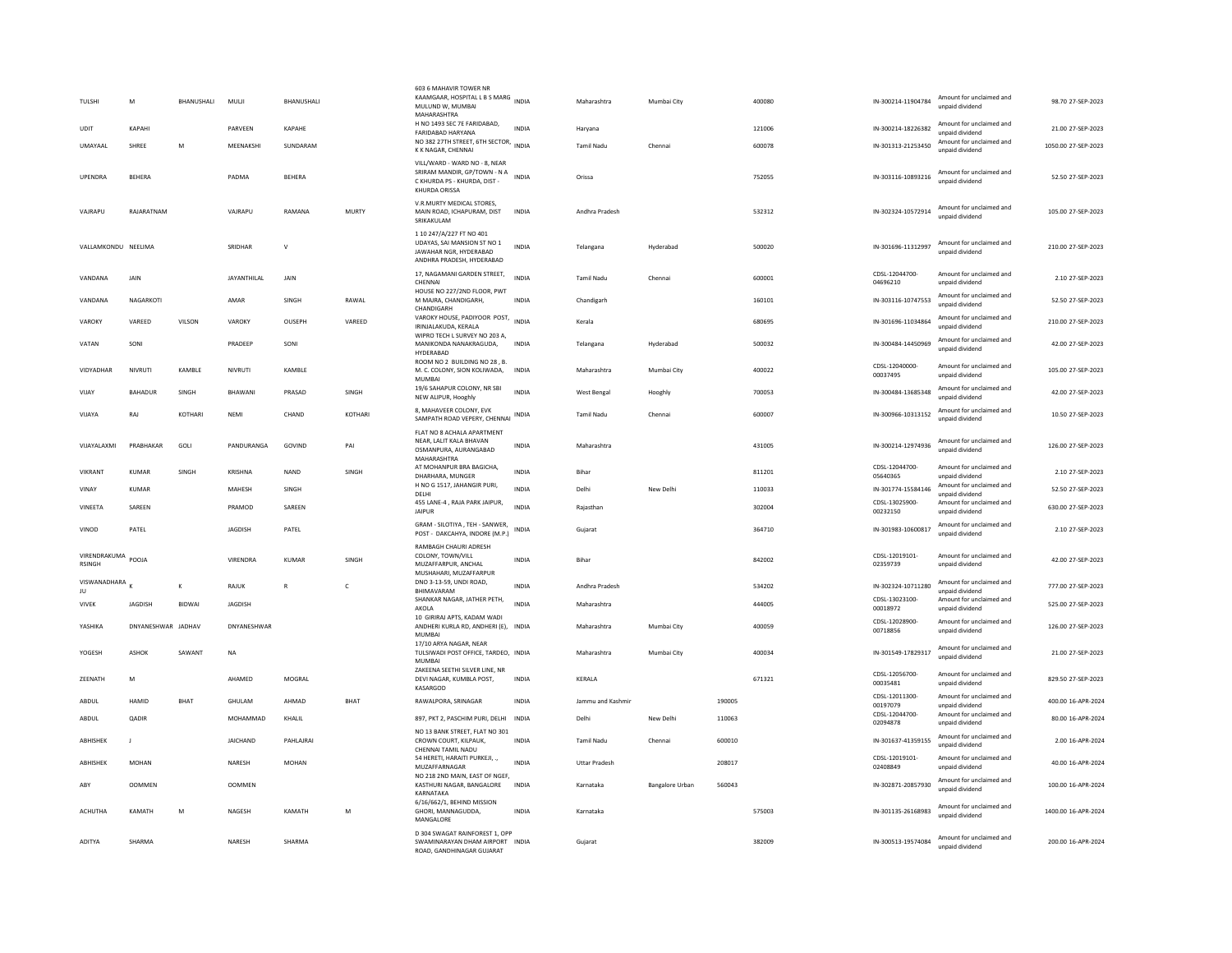| TULSHI<br>UDIT                | M<br>КАРАНІ        | <b>BHANUSHALL</b> | MULII<br><b>PARVEFN</b> | <b>BHANUSHALL</b><br><b>KAPAHF</b> |              | 603 6 MAHAVIR TOWER NR<br>KAAMGAAR, HOSPITAL L B S MARG<br>MULUND W, MUMBAI<br>MAHARASHTRA<br>H NO 1493 SEC 7E FARIDABAD, | <b>INDIA</b><br><b>INDIA</b> | Maharashtra<br>Haryana | Mumhai City            |        | 400080<br>121006 | IN-300214-11904784<br>IN-300214-18226382 | Amount for unclaimed and<br>unpaid dividend<br>Amount for unclaimed and | 98.70 27-SEP-2023<br>21.00.27-SEP-2023 |
|-------------------------------|--------------------|-------------------|-------------------------|------------------------------------|--------------|---------------------------------------------------------------------------------------------------------------------------|------------------------------|------------------------|------------------------|--------|------------------|------------------------------------------|-------------------------------------------------------------------------|----------------------------------------|
|                               |                    |                   |                         |                                    |              | <b>FARIDARAD HARYANA</b><br>NO 382 27TH STREET, 6TH SECTOR, INDIA                                                         |                              |                        |                        |        |                  |                                          | unnaid dividend<br>Amount for unclaimed and                             |                                        |
| <b>UMAYAAI</b>                | SHRFF              | M                 | MEENAKSH                | SUNDARAM                           |              | K K NAGAR, CHENNAI                                                                                                        |                              | Tamil Nadu             | Chennai                |        | 600078           | IN-301313-21253450                       | unpaid dividend                                                         | 1050.00 27-SEP-2023                    |
| UPENDRA                       | <b>BEHERA</b>      |                   | PADMA                   | <b>REHERA</b>                      |              | VILL/WARD - WARD NO - 8, NEAR<br>SRIRAM MANDIR, GP/TOWN - N A<br>C KHURDA PS - KHURDA, DIST -<br>KHURDA ORISSA            | <b>INDIA</b>                 | Orissa                 |                        |        | 752055           | IN-303116-10893216                       | Amount for unclaimed and<br>unnaid dividend                             | 52.50 27-SEP-2023                      |
| VAJRAPU                       | RAJARATNAM         |                   | VAJRAPU                 | RAMANA                             | <b>MURTY</b> | V.R.MURTY MEDICAL STORES,<br>MAIN ROAD, ICHAPURAM, DIST<br>SRIKAKULAM                                                     | <b>INDIA</b>                 | Andhra Pradesh         |                        |        | 532312           | IN-302324-10572914                       | Amount for unclaimed and<br>unpaid dividend                             | 105.00 27-SEP-2023                     |
| VALLAMKONDU NEELIMA           |                    |                   | SRIDHAR                 | $\vee$                             |              | 1 10 247/A/227 FT NO 401<br>UDAYAS, SAI MANSION ST NO 1<br>JAWAHAR NGR, HYDERABAD<br>ANDHRA PRADESH, HYDERABAD            | <b>INDIA</b>                 | Telangana              | Hyderabad              |        | 500020           | IN-301696-11312997                       | Amount for unclaimed and<br>unpaid dividend                             | 210.00 27-SEP-2023                     |
| VANDANA                       | JAIN               |                   | <b>JAYANTHILAL</b>      | JAIN                               |              | 17, NAGAMANI GARDEN STREET,<br>CHENNAI<br>HOUSE NO 227/2ND FLOOR. PWT                                                     | <b>INDIA</b>                 | Tamil Nadu             | Chennai                |        | 600001           | CDSL-12044700-<br>04696210               | Amount for unclaimed and<br>unpaid dividend                             | 2.10 27-SEP-2023                       |
| VANDANA                       | NAGARKOTI          |                   | AMAR                    | SINGH                              | RAWAL        | M MAJRA, CHANDIGARH,<br>CHANDIGARH                                                                                        | <b>INDIA</b>                 | Chandigarh             |                        |        | 160101           | IN-303116-10747553                       | Amount for unclaimed and<br>unnaid dividend                             | 52.50 27-SEP-2023                      |
| VAROKY                        | VAREED             | VILSON            | VAROKY                  | OUSEPH                             | VAREED       | VAROKY HOUSE, PADIYOOR POST, INDIA<br>IRINJALAKUDA, KERALA                                                                |                              | Kerala                 |                        |        | 680695           | IN-301696-11034864                       | Amount for unclaimed and<br>unpaid dividend                             | 210.00 27-SEP-2023                     |
| VATAN                         | SONI               |                   | PRADEEP                 | SONI                               |              | WIPRO TECH L SURVEY NO 203 A,<br>MANIKONDA NANAKRAGUDA,<br>HYDERABAD                                                      | INDIA                        | Telangana              | Hyderabad              |        | 500032           | IN-300484-14450969                       | Amount for unclaimed and<br>unpaid dividend                             | 42.00 27-SEP-2023                      |
| VIDYADHAR                     | NIVRUTI            | KAMBLE            | NIVRUTI                 | KAMBLE                             |              | ROOM NO 2 BUILDING NO 28, B.<br>M. C. COLONY, SION KOLIWADA,<br>MUMBAI                                                    | INDIA                        | Maharashtra            | Mumbai City            |        | 400022           | CDSL-12040000-<br>00037495               | Amount for unclaimed and<br>unpaid dividend                             | 105.00 27-SEP-2023                     |
| VIJAY                         | BAHADUR            | SINGH             | BHAWANI                 | PRASAD                             | SINGH        | 19/6 SAHAPUR COLONY, NR SBI<br>NEW ALIPUR, Hooghly                                                                        | <b>INDIA</b>                 | West Bengal            | Hooghly                |        | 700053           | IN-300484-13685348                       | Amount for unclaimed and<br>unpaid dividend                             | 42.00 27-SEP-2023                      |
| VIIAYA                        | RAI                | KOTHARI           | NFMI                    | CHAND                              | KOTHARI      | 8, MAHAVEER COLONY, EVK<br>SAMPATH ROAD VEPERY, CHENNAI                                                                   | INDIA                        | Tamil Nadu             | Chennai                |        | 600007           | IN-300966-10313152                       | Amount for unclaimed and<br>unpaid dividend                             | 10.50 27-SEP-2023                      |
| VIIAYAI AXMI                  | PRABHAKAR          | GOLL              | PANDURANGA              | GOVIND                             | PAI          | FLAT NO 8 ACHALA APARTMENT<br>NEAR, LALIT KALA BHAVAN<br>OSMANPURA, AURANGABAD<br>MAHARASHTRA                             | <b>INDIA</b>                 | Maharashtra            |                        |        | 431005           | IN-300214-12974936                       | Amount for unclaimed and<br>unpaid dividend                             | 126.00.27-SEP-2023                     |
| VIKRANT                       | <b>KUMAR</b>       | SINGH             | KRISHNA                 | <b>NAND</b>                        | SINGH        | AT MOHANPUR BRA BAGICHA,<br>DHARHARA, MUNGER                                                                              | <b>INDIA</b>                 | Bihar                  |                        |        | 811201           | CDSL-12044700<br>05640365                | Amount for unclaimed and<br>unpaid dividend                             | 2.10 27-SEP-2023                       |
| VINAY                         | <b>KUMAR</b>       |                   | MAHESH                  | SINGH                              |              | H NO G 1517, JAHANGIR PURI,<br>DELHI                                                                                      | <b>INDIA</b>                 | Delhi                  | New Delhi              |        | 110033           | IN-301774-15584146                       | Amount for unclaimed and<br>unpaid dividend                             | 52.50 27-SEP-2023                      |
| VINFFTA                       | SARFFN             |                   | PRAMOD                  | SARFFN                             |              | 455 LANE-4, RAJA PARK JAIPUR,<br><b>JAIPUR</b>                                                                            | <b>INDIA</b>                 | Raiasthan              |                        |        | 302004           | CDSL-13025900-<br>00232150               | Amount for unclaimed and<br>unpaid dividend                             | 630.00 27-SEP-2023                     |
| VINOD                         | PATEL              |                   | <b>JAGDISH</b>          | PATEL                              |              | GRAM - SILOTIYA , TEH - SANWER.<br>POST - DAKCAHYA, INDORE (M.P.)                                                         | <b>INDIA</b>                 | Gujarat                |                        |        | 364710           | IN-301983-10600817                       | Amount for unclaimed and<br>unpaid dividend                             | 2.10 27-SEP-2023                       |
| VIRENDRAKUMA<br><b>RSINGH</b> | POOJA              |                   | VIRENDRA                | <b>KUMAR</b>                       | SINGH        | RAMBAGH CHAURI ADRESH<br>COLONY, TOWN/VILL<br>MUZAFFARPUR, ANCHAL<br>MUSHAHARI, MUZAFFARPUR                               | INDIA                        | Bihar                  |                        |        | 842002           | CDSL-12019101-<br>02359739               | Amount for unclaimed and<br>unpaid dividend                             | 42.00 27-SEP-2023                      |
| VISWANADHARA<br>JU            |                    | К                 | RAJUK                   | $\mathsf{R}$                       | c            | DNO 3-13-59, UNDI ROAD,<br>BHIMAVARAM                                                                                     | <b>INDIA</b>                 | Andhra Pradesh         |                        |        | 534202           | IN-302324-10711280                       | Amount for unclaimed and<br>unpaid dividend                             | 777.00 27-SEP-2023                     |
| <b>VIVEK</b>                  | JAGDISH            | <b>BIDWAI</b>     | JAGDISH                 |                                    |              | SHANKAR NAGAR, JATHER PETH,<br>AKOLA                                                                                      | <b>INDIA</b>                 | Maharashtra            |                        |        | 444005           | CDSL-13023100-<br>00018972               | Amount for unclaimed and                                                | 525.00 27-SEP-2023                     |
| YASHIKA                       | DNYANESHWAR JADHAV |                   | DNYANESHWAR             |                                    |              | 10 GIRIRAJ APTS, KADAM WADI<br>ANDHERI KURLA RD, ANDHERI (E), INDIA<br><b>MUMBAI</b>                                      |                              | Maharashtra            | Mumbai City            |        | 400059           | CDSL-12028900-<br>00718856               | unpaid dividend<br>Amount for unclaimed and<br>unpaid dividend          | 126.00 27-SEP-2023                     |
| YOGESH                        | ASHOK              | SAWANT            | NA                      |                                    |              | 17/10 ARYA NAGAR, NEAR<br>TULSIWADI POST OFFICE, TARDEO, INDIA                                                            |                              | Maharashtra            | Mumbai City            |        | 400034           | IN-301549-17829317                       | Amount for unclaimed and<br>unpaid dividend                             | 21.00 27-SEP-2023                      |
| ZEENATH                       | M                  |                   | AHAMED                  | MOGRAL                             |              | MUMBAI<br>ZAKEENA SEETHI SILVER LINE, NR<br>DEVI NAGAR, KUMBLA POST,<br>KASARGOD                                          | INDIA                        | KERALA                 |                        |        | 671321           | CDSL-12056700-<br>00035481               | Amount for unclaimed and<br>unpaid dividend                             | 829.50 27-SEP-2023                     |
| ABDUL                         | HAMID              | <b>BHAT</b>       | GHULAM                  | AHMAD                              | BHAT         | RAWALPORA, SRINAGAR                                                                                                       | <b>INDIA</b>                 | Jammu and Kashmi       |                        | 190005 |                  | CDSL-12011300-<br>00197079               | Amount for unclaimed and<br>unpaid dividend                             | 400.00 16-APR-2024                     |
| ABDUL                         | <b>QADIR</b>       |                   | MOHAMMAD                | KHALIL                             |              | 897, PKT 2, PASCHIM PURI, DELHI                                                                                           | <b>INDIA</b>                 | Delhi                  | New Delhi              | 110063 |                  | CDSL-12044700-<br>02094878               | Amount for unclaimed and<br>unpaid dividend                             | 80.00 16-APR-2024                      |
| ABHISHEK                      | $\mathbf{I}$       |                   | <b>IAICHAND</b>         | PAHI AIRAI                         |              | NO 13 BANK STREET, FLAT NO 301<br>CROWN COURT, KILPAUK.<br>CHENNAI TAMIL NADU                                             | <b>INDIA</b>                 | Tamil Nadu             | Chennai                | 600010 |                  | IN-301637-41359155                       | Amount for unclaimed and<br>unpaid dividend                             | 2.00 16-APR-2024                       |
| ABHISHEK                      | MOHAN              |                   | NARESH                  | <b>MOHAN</b>                       |              | 54 HERETI, HARAITI PURKEJI, .,<br>MUZAFFARNAGAR                                                                           | <b>INDIA</b>                 | Uttar Pradesh          |                        | 208017 |                  | CDSL-12019101-<br>02408849               | Amount for unclaimed and<br>unpaid dividend                             | 40.00 16-APR-2024                      |
| ABY                           | <b>OOMMEN</b>      |                   | <b>OOMMEN</b>           |                                    |              | NO 218 2ND MAIN, EAST OF NGEF<br>KASTHURI NAGAR, BANGALORE<br>KARNATAKA                                                   | <b>INDIA</b>                 | Karnataka              | <b>Bangalore Urban</b> | 560043 |                  | IN-302871-20857930                       | Amount for unclaimed and<br>unpaid dividend                             | 100.00 16-APR-2024                     |
| <b>ACHUTHA</b>                | KAMATH             | M                 | NAGESH                  | KAMATH                             | M            | 6/16/662/1, BEHIND MISSION<br>GHORI, MANNAGUDDA,<br>MANGALORE                                                             | <b>INDIA</b>                 | Karnataka              |                        |        | 575003           | IN-301135-26168983                       | Amount for unclaimed and<br>unpaid dividend                             | 1400.00 16-APR-2024                    |
| ADITYA                        | SHARMA             |                   | NARESH                  | SHARMA                             |              | D 304 SWAGAT RAINFOREST 1, OPP<br>SWAMINARAYAN DHAM AIRPORT INDIA<br>ROAD, GANDHINAGAR GUIARAT                            |                              | Gujarat                |                        |        | 382009           | IN-300513-19574084                       | Amount for unclaimed and<br>unpaid dividend                             | 200.00 16-APR-2024                     |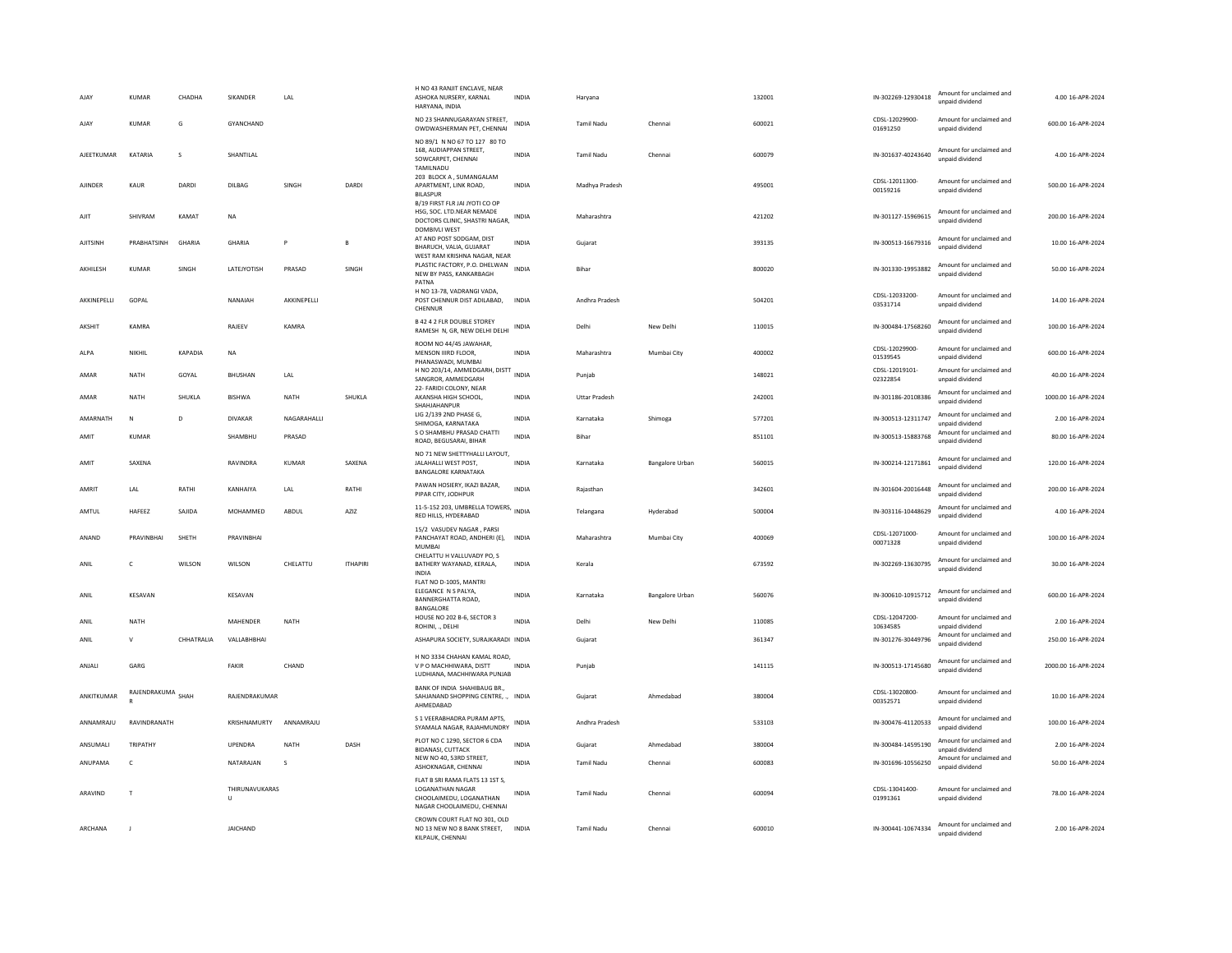| AJAY           | KUMAR             | CHADHA       | SIKANDER                       | LAL                |                 | H NO 43 RANJIT ENCLAVE, NEAR<br>ASHOKA NURSERY, KARNAL<br>HARYANA, INDIA                                     | INDIA        | Haryana              |                 | 132001 | IN-302269-12930418         | Amount for unclaimed and<br>unpaid dividend | 4.00 16-APR-2024    |
|----------------|-------------------|--------------|--------------------------------|--------------------|-----------------|--------------------------------------------------------------------------------------------------------------|--------------|----------------------|-----------------|--------|----------------------------|---------------------------------------------|---------------------|
| AJAY           | KUMAR             | G            | GYANCHAND                      |                    |                 | NO 23 SHANNUGARAYAN STREET,<br>OWDWASHERMAN PET, CHENNAI                                                     | <b>INDIA</b> | <b>Tamil Nadu</b>    | Chennai         | 600021 | CDSL-12029900-<br>01691250 | Amount for unclaimed and<br>unpaid dividend | 600.00 16-APR-2024  |
| AJEETKUMAR     | KATARIA           | s            | SHANTILAL                      |                    |                 | NO 89/1 N NO 67 TO 127 80 TO<br>168. AUDIAPPAN STREET.<br>SOWCARPET, CHENNAI<br>TAMILNADU                    | INDIA        | Tamil Nadu           | Chennai         | 600079 | IN-301637-40243640         | Amount for unclaimed and<br>unpaid dividend | 4.00 16-APR-2024    |
| <b>AJINDER</b> | KAUR              | DARDI        | DILBAG                         | SINGH              | DARDI           | 203 BLOCK A, SUMANGALAM<br>APARTMENT, LINK ROAD,<br><b>BILASPUR</b>                                          | <b>INDIA</b> | Madhya Pradesh       |                 | 495001 | CDSL-12011300-<br>00159216 | Amount for unclaimed and<br>unpaid dividend | 500.00 16-APR-2024  |
| AJIT           | SHIVRAM           | KAMAT        | <b>NA</b>                      |                    |                 | B/19 FIRST FLR JAI JYOTI CO OP<br>HSG. SOC. LTD.NEAR NEMADE<br>DOCTORS CLINIC, SHASTRI NAGAR,                | <b>INDIA</b> | Maharashtra          |                 | 421202 | IN-301127-15969615         | Amount for unclaimed and<br>unpaid dividend | 200.00 16-APR-2024  |
| AJITSINH       | PRABHATSINH       | GHARIA       | GHARIA                         | P                  | R               | <b>DOMBIVLI WEST</b><br>AT AND POST SODGAM, DIST<br>BHARUCH, VALIA, GUJARAT<br>WEST RAM KRISHNA NAGAR, NEAR  | <b>INDIA</b> | Gujarat              |                 | 393135 | IN-300513-16679316         | Amount for unclaimed and<br>unpaid dividend | 10.00 16-APR-2024   |
| AKHILESH       | <b>KUMAR</b>      | SINGH        | LATEJYOTISH                    | PRASAD             | SINGH           | PLASTIC FACTORY, P.O. DHELWAN<br>NEW BY PASS, KANKARBAGH<br>PATNA                                            | <b>INDIA</b> | Bihar                |                 | 800020 | IN-301330-19953882         | Amount for unclaimed and<br>unpaid dividend | 50.00 16-APR-2024   |
| AKKINEPELLI    | GOPAL             |              | NANAIAH                        | AKKINEPELLI        |                 | H NO 13-78, VADRANGI VADA,<br>POST CHENNUR DIST ADILABAD.<br>CHENNUE                                         | <b>INDIA</b> | Andhra Pradesh       |                 | 504201 | CDSL-12033200-<br>03531714 | Amount for unclaimed and<br>unpaid dividend | 14.00 16-APR-2024   |
| <b>AKSHIT</b>  | KAMRA             |              | RAJEEV                         | KAMRA              |                 | <b>B 42 4 2 FLR DOUBLE STOREY</b><br>RAMESH N, GR, NEW DELHI DELHI                                           | INDIA        | Delhi                | New Delhi       | 110015 | IN-300484-17568260         | Amount for unclaimed and<br>unpaid dividend | 100.00 16-APR-2024  |
| ALPA           | NIKHIL            | KAPADIA      | <b>NA</b>                      |                    |                 | ROOM NO 44/45 JAWAHAR,<br>MENSON IIIRD FLOOR.<br>PHANASWADI, MUMBAI                                          | <b>INDIA</b> | Maharashtra          | Mumbai City     | 400002 | CDSL-12029900-<br>01539545 | Amount for unclaimed and<br>unpaid dividend | 600.00 16-APR-2024  |
| AMAR           | NATH              | GOYAL        | BHUSHAN                        | LAL                |                 | H NO 203/14, AMMEDGARH, DISTT<br>SANGROR, AMMEDGARH                                                          | <b>INDIA</b> | Punjab               |                 | 148021 | CDSL-12019101-<br>02322854 | Amount for unclaimed and<br>unpaid dividend | 40.00 16-APR-2024   |
| AMAR           | NATH              | SHUKLA       | <b>BISHWA</b>                  | NATH               | SHUKLA          | 22- FARIDI COLONY, NEAR<br>AKANSHA HIGH SCHOOL,<br>SHAHJAHANPUR                                              | INDIA        | <b>Uttar Pradesh</b> |                 | 242001 | IN-301186-20108386         | Amount for unclaimed and<br>unnaid dividend | 1000.00 16-APR-2024 |
| AMARNATH       | $\mathbb N$       | <sup>D</sup> | <b>DIVAKAR</b>                 | <b>NAGARAHALLI</b> |                 | LIG 2/139 2ND PHASE G,<br>SHIMOGA, KARNATAKA                                                                 | <b>INDIA</b> | Karnataka            | Shimoga         | 577201 | IN-300513-12311747         | Amount for unclaimed and<br>unpaid dividend | 2.00 16-APR-2024    |
| AMIT           | <b>KUMAR</b>      |              | SHAMBHU                        | PRASAD             |                 | S O SHAMBHU PRASAD CHATTI<br>ROAD, BEGUSARAI, BIHAR                                                          | <b>INDIA</b> | Bihar                |                 | 851101 | IN-300513-15883768         | Amount for unclaimed and<br>unpaid dividend | 80.00 16-APR-2024   |
| AMIT           | SAXENA            |              | RAVINDRA                       | KUMAR              | SAXENA          | NO 71 NEW SHETTYHALLI LAYOUT,<br>JALAHALLI WEST POST.<br><b>BANGALORE KARNATAKA</b>                          | <b>INDIA</b> | Karnataka            | Bangalore Urban | 560015 | IN-300214-12171861         | Amount for unclaimed and<br>unpaid dividend | 120.00 16-APR-2024  |
| AMRIT          | LAL               | RATHI        | KANHAIYA                       | LAL                | RATHI           | PAWAN HOSIERY, IKAZI BAZAR,<br>PIPAR CITY, JODHPUR                                                           | <b>INDIA</b> | Raiasthan            |                 | 342601 | IN-301604-20016448         | Amount for unclaimed and<br>unpaid dividend | 200.00 16-APR-2024  |
| AMTUL          | HAFEEZ            | SAJIDA       | MOHAMMED                       | ABDUL              | AZIZ            | 11-5-152 203, UMBRELLA TOWERS,<br>RED HILLS, HYDERABAD                                                       | <b>INDIA</b> | Telangana            | Hyderabad       | 500004 | IN-303116-10448629         | Amount for unclaimed and<br>unpaid dividend | 4.00 16-APR-2024    |
| ANAND          | PRAVINBHAI        | SHETH        | PRAVINBHAI                     |                    |                 | 15/2 VASUDEV NAGAR, PARSI<br>PANCHAYAT ROAD, ANDHERI (E),<br><b>MUMBA</b><br>CHELATTU H VALLUVADY PO. S      | <b>INDIA</b> | Maharashtra          | Mumbai City     | 400069 | CDSL-12071000-<br>00071328 | Amount for unclaimed and<br>unpaid dividend | 100.00 16-APR-2024  |
| ANIL           | C                 | WILSON       | WILSON                         | CHELATTU           | <b>ITHAPIRI</b> | BATHERY WAYANAD, KERALA,<br><b>INDIA</b>                                                                     | INDIA        | Kerala               |                 | 673592 | IN-302269-13630795         | Amount for unclaimed and<br>unpaid dividend | 30.00 16-APR-2024   |
| ANIL           | KESAVAN           |              | KESAVAN                        |                    |                 | FLAT NO D-1005, MANTRI<br>ELEGANCE N S PALYA,<br>BANNERGHATTA ROAD.<br>BANGALORE                             | <b>INDIA</b> | Karnataka            | Bangalore Urban | 560076 | IN-300610-10915712         | Amount for unclaimed and<br>unpaid dividend | 600.00 16-APR-2024  |
| ANIL           | NATH              |              | MAHENDER                       | NATH               |                 | HOUSE NO 202 B-6, SECTOR 3<br>ROHINI, ., DELHI                                                               | <b>INDIA</b> | Delhi                | New Delhi       | 110085 | CDSL-12047200<br>10634585  | Amount for unclaimed and<br>unpaid dividend | 2.00 16-APR-2024    |
| ANIL           | $\mathsf{V}$      | CHHATRALIA   | VALLABHBHAI                    |                    |                 | ASHAPURA SOCIETY, SURAJKARADI INDIA                                                                          |              | Gujarat              |                 | 361347 | IN-301276-30449796         | Amount for unclaimed and<br>unpaid dividend | 250.00 16-APR-2024  |
| ANJALI         | GARG              |              | FAKIR                          | CHAND              |                 | H NO 3334 CHAHAN KAMAL ROAD,<br>V P O MACHHIWARA, DISTT<br>LUDHIANA, MACHHIWARA PUNJAB                       | <b>INDIA</b> | Punjab               |                 | 141115 | IN-300513-17145680         | Amount for unclaimed and<br>unpaid dividend | 2000.00 16-APR-2024 |
| ANKITKUMAR     | RAJENDRAKUMA SHAH |              | RAJENDRAKUMAR                  |                    |                 | BANK OF INDIA SHAHIBAUG BR.,<br>SAHJANAND SHOPPING CENTRE, ., INDIA<br>AHMEDABAD                             |              | Guiarat              | Ahmedabad       | 380004 | CDSL-13020800-<br>00352571 | Amount for unclaimed and<br>unpaid dividend | 10.00 16-APR-2024   |
| ANNAMRAJU      | RAVINDRANATH      |              | KRISHNAMURTY                   | ANNAMRAJU          |                 | S 1 VEERABHADRA PURAM APTS,<br>SYAMALA NAGAR, RAJAHMUNDRY                                                    | <b>INDIA</b> | Andhra Pradesh       |                 | 533103 | IN-300476-41120533         | Amount for unclaimed and<br>unpaid dividend | 100.00 16-APR-2024  |
| ANSUMALI       | TRIPATHY          |              | UPENDRA                        | <b>NATH</b>        | DASH            | PLOT NO C 1290, SECTOR 6 CDA<br><b>BIDANASI, CUTTACK</b>                                                     | <b>INDIA</b> | Gujarat              | Ahmedabad       | 380004 | IN-300484-14595190         | Amount for unclaimed and<br>unpaid dividend | 2.00 16-APR-2024    |
| ANUPAMA        | $\epsilon$        |              | NATARAIAN                      | $\sim$             |                 | NEW NO 40, 53RD STREET,<br>ASHOKNAGAR, CHENNAI                                                               | <b>INDIA</b> | Tamil Nadu           | Chennai         | 600083 | IN-301696-10556250         | Amount for unclaimed and<br>unpaid dividend | 50.00 16-APR-2024   |
| ARAVIND        | $\mathbf{I}$      |              | THIRUNAVUKARAS<br>$\mathbf{U}$ |                    |                 | FLAT B SRI RAMA FLATS 13 1ST S.<br>LOGANATHAN NAGAR<br>CHOOLAIMEDU, LOGANATHAN<br>NAGAR CHOOLAIMEDU, CHENNAI | INDIA        | <b>Tamil Nadu</b>    | Chennai         | 600094 | CDSL-13041400-<br>01991361 | Amount for unclaimed and<br>unpaid dividend | 78.00 16-APR-2024   |
| ARCHANA        |                   |              | <b>JAICHAND</b>                |                    |                 | CROWN COURT FLAT NO 301, OLD<br>NO 13 NEW NO 8 BANK STREET, INDIA<br>KILPAUK, CHENNAI                        |              | <b>Tamil Nadu</b>    | Chennai         | 600010 | IN-300441-10674334         | Amount for unclaimed and<br>unpaid dividend | 2.00 16-APR-2024    |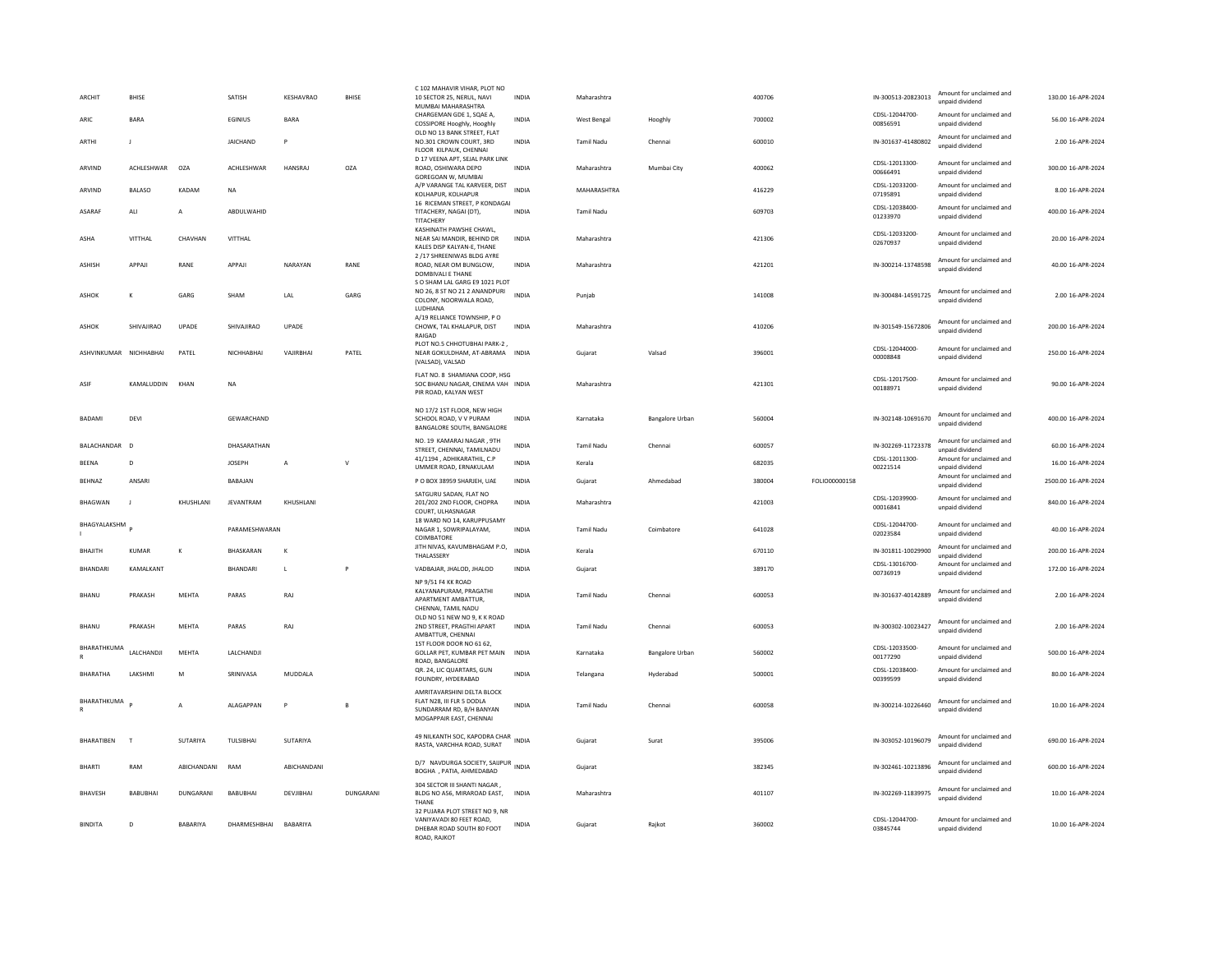| <b>ARCHIT</b>          | <b>BHISE</b>        |                  | SATISH           | KESHAVRAO      | <b>BHISE</b> | C 102 MAHAVIR VIHAR, PLOT NO<br>10 SECTOR 25, NERUL, NAVI<br>MUMBAI MAHARASHTRA                                | <b>INDIA</b> | Maharashtra       |                 | 400706 |               | IN-300513-20823013         | Amount for unclaimed and<br>unpaid dividend | 130.00 16-APR-2024  |
|------------------------|---------------------|------------------|------------------|----------------|--------------|----------------------------------------------------------------------------------------------------------------|--------------|-------------------|-----------------|--------|---------------|----------------------------|---------------------------------------------|---------------------|
| ARIC                   | <b>BARA</b>         |                  | <b>FGINIUS</b>   | <b>BARA</b>    |              | CHARGEMAN GDE 1, SQAE A,<br>COSSIPORE Hooghly, Hooghly                                                         | <b>INDIA</b> | West Bengal       | Hooghly         | 700002 |               | CDSL-12044700-<br>00856591 | Amount for unclaimed and<br>unpaid dividend | 56.00 16-APR-2024   |
| ARTHI                  | $\blacksquare$      |                  | JAICHAND         | P              |              | OLD NO 13 BANK STREET, FLAT<br>NO.301 CROWN COURT, 3RD<br>FLOOR KILPAUK, CHENNAI                               | <b>INDIA</b> | <b>Tamil Nadu</b> | Chennai         | 600010 |               | IN-301637-41480802         | Amount for unclaimed and<br>unpaid dividend | 2.00 16-APR-2024    |
| ARVIND                 | ACHLESHWAR          | OZA              | ACHLESHWAR       | HANSRAJ        | OZA          | D 17 VEENA APT. SEJAL PARK LINK<br>ROAD, OSHIWARA DEPO<br>GOREGOAN W, MUMBAI                                   | <b>INDIA</b> | Maharashtra       | Mumbai City     | 400062 |               | CDSL-12013300-<br>00666491 | Amount for unclaimed and<br>unpaid dividend | 300.00 16-APR-2024  |
| ARVIND                 | <b>BALASO</b>       | KADAM            | <b>NA</b>        |                |              | A/P VARANGE TAL KARVEER, DIST<br>KOLHAPUR, KOLHAPUR                                                            | <b>INDIA</b> | MAHARASHTRA       |                 | 416229 |               | CDSL-12033200-<br>07195891 | Amount for unclaimed and<br>unpaid dividend | 8.00 16-APR-2024    |
| ASARAF                 | ALI                 | A                | ABDULWAHID       |                |              | 16 RICEMAN STREET, P KONDAGAI<br>TITACHERY, NAGAI (DT),<br>TITACHERY                                           | <b>INDIA</b> | Tamil Nadu        |                 | 609703 |               | CDSI-12038400-<br>01233970 | Amount for unclaimed and<br>unpaid dividend | 400.00 16-APR-2024  |
| ASHA                   | VITTHAI             | CHAVHAN          | VITTHAL          |                |              | KASHINATH PAWSHE CHAWL,<br>NEAR SAI MANDIR, BEHIND DR<br>KALES DISP KALYAN-E, THANE                            | <b>INDIA</b> | Maharashtra       |                 | 421306 |               | CDSL-12033200-<br>02670937 | Amount for unclaimed and<br>unpaid dividend | 20.00 16-APR-2024   |
| <b>ASHISH</b>          | APPAJI              | RANE             | APPAJI           | NARAYAN        | RANE         | 2 /17 SHREENIWAS BLDG AYRE<br>ROAD, NEAR OM BUNGLOW,<br><b>DOMBIVALI E THANE</b>                               | <b>INDIA</b> | Maharashtra       |                 | 421201 |               | IN-300214-13748598         | Amount for unclaimed and<br>unpaid dividend | 40.00 16-APR-2024   |
| ASHOK                  | К                   | GARG             | SHAM             | LAL            | GARG         | S O SHAM LAL GARG E9 1021 PLOT<br>NO 26, 8 ST NO 21 2 ANANDPURI<br>COLONY, NOORWALA ROAD,<br>LUDHIANA          | <b>INDIA</b> | Punjab            |                 | 141008 |               | IN-300484-14591725         | Amount for unclaimed and<br>unpaid dividend | 2.00 16-APR-2024    |
| ASHOK                  | SHIVAIIRAO          | UPADE            | SHIVAJIRAO       | UPADE          |              | A/19 RELIANCE TOWNSHIP, PO<br>CHOWK, TAL KHALAPUR, DIST<br>RAIGAD                                              | <b>INDIA</b> | Maharashtra       |                 | 410206 |               | IN-301549-15672806         | Amount for unclaimed and<br>unpaid dividend | 200.00 16-APR-2024  |
| ASHVINKUMAR NICHHABHAI |                     | PATEL            | NICHHABHAI       | VAJIRBHAI      | PATEL        | PLOT NO.5 CHHOTUBHAI PARK-2<br>NEAR GOKULDHAM, AT-ABRAMA INDIA<br>(VALSAD), VALSAD                             |              | Gujarat           | Valsad          | 396001 |               | CDSL-12044000-<br>00008848 | Amount for unclaimed and<br>unpaid dividend | 250.00 16-APR-2024  |
| ASIF                   | KAMALUDDIN          | KHAN             | <b>NA</b>        |                |              | FLAT NO. 8 SHAMIANA COOP, HSG<br>SOC BHANU NAGAR, CINEMA VAH INDIA<br>PIR ROAD, KALYAN WEST                    |              | Maharashtra       |                 | 421301 |               | CDSI-12017500-<br>00188971 | Amount for unclaimed and<br>unpaid dividend | 90.00 16-APR-2024   |
| BADAMI                 | DEVI                |                  | GEWARCHAND       |                |              | NO 17/2 1ST FLOOR, NEW HIGH<br>SCHOOL ROAD, V V PURAM<br>BANGALORE SOUTH, BANGALORE                            | INDIA        | Karnataka         | Bangalore Urban | 560004 |               | IN-302148-10691670         | Amount for unclaimed and<br>unpaid dividend | 400.00 16-APR-2024  |
| BALACHANDAR            | $\overline{D}$      |                  | DHASARATHAN      |                |              | NO. 19 KAMARAJ NAGAR, 9TH<br>STREET. CHENNAL TAMILNADU                                                         | INDIA        | Tamil Nadu        | Chennai         | 600057 |               | IN-302269-11723378         | Amount for unclaimed and<br>unnaid dividend | 60.00 16-APR-2024   |
| BEENA                  | D                   |                  | <b>JOSEPH</b>    | $\overline{A}$ | $\vee$       | 41/1194, ADHIKARATHIL, C.P<br>UMMER ROAD, ERNAKULAM                                                            | <b>INDIA</b> | Kerala            |                 | 682035 |               | CDSL-12011300-<br>00221514 | Amount for unclaimed and<br>unpaid dividend | 16.00 16-APR-2024   |
| <b>BFHNA7</b>          | ANSARI              |                  | <b>BABAIAN</b>   |                |              | P O BOX 38959 SHARJEH, UAE                                                                                     | INDIA        | Gujarat           | Ahmedabad       | 380004 | FOLIO00000158 |                            | Amount for unclaimed and<br>unpaid dividend | 2500.00 16-APR-2024 |
| <b>BHAGWAN</b>         | $\blacksquare$      | KHUSHI ANI       | <b>IFVANTRAM</b> | KHUSHI ANI     |              | SATGURU SADAN, FLAT NO<br>201/202 2ND FLOOR, CHOPRA<br>COURT, ULHASNAGAR                                       | <b>INDIA</b> | Maharashtra       |                 | 421003 |               | CDSL-12039900<br>00016841  | Amount for unclaimed and<br>unpaid dividend | 840.00 16-APR-2024  |
| BHAGYALAKSHM           |                     |                  | PARAMESHWARAN    |                |              | 18 WARD NO 14, KARUPPUSAMY<br>NAGAR 1, SOWRIPALAYAM,<br>COIMBATORE                                             | <b>INDIA</b> | <b>Tamil Nadu</b> | Coimbatore      | 641028 |               | CDSL-12044700-<br>02023584 | Amount for unclaimed and<br>unpaid dividend | 40.00 16-APR-2024   |
| BHAJITH                | KUMAR               | К                | <b>BHASKARAN</b> | $\mathbf{K}$   |              | JITH NIVAS, KAVUMBHAGAM P.O,<br>THALASSERY                                                                     | <b>INDIA</b> | Kerala            |                 | 670110 |               | IN-301811-10029900         | Amount for unclaimed and<br>unpaid dividend | 200.00 16-APR-2024  |
| <b>BHANDARI</b>        | KAMALKANT           |                  | <b>BHANDARI</b>  | $\mathsf{L}$   | P            | VADBAJAR, JHALOD, JHALOD<br>NP 9/51 F4 KK ROAD                                                                 | INDIA        | Gujarat           |                 | 389170 |               | CDSL-13016700-<br>00736919 | Amount for unclaimed and<br>unpaid dividend | 172.00 16-APR-2024  |
| <b>BHANU</b>           | PRAKASH             | MEHTA            | PARAS            | RAJ            |              | KALYANAPURAM, PRAGATHI<br>APARTMENT AMBATTUR,<br>CHENNAI, TAMIL NADU                                           | <b>INDIA</b> | <b>Tamil Nadu</b> | Chennai         | 600053 |               | IN-301637-40142889         | Amount for unclaimed and<br>unpaid dividend | 2.00 16-APR-2024    |
| <b>BHANU</b>           | PRAKASH             | MEHTA            | PARAS            | RAJ            |              | OLD NO 51 NEW NO 9, K K ROAD<br>2ND STREET, PRAGTHI APART<br>AMBATTUR, CHENNAI                                 | <b>INDIA</b> | <b>Tamil Nadu</b> | Chennai         | 600053 |               | IN-300302-10023427         | Amount for unclaimed and<br>unpaid dividend | 2.00 16-APR-2024    |
| BHARATHKUMA            | <b>I AI CHANDII</b> | <b>MEHTA</b>     | LALCHANDJI       |                |              | 1ST FLOOR DOOR NO 61 62.<br>GOLLAR PET, KUMBAR PET MAIN<br>ROAD, BANGALORE                                     | <b>INDIA</b> | Karnataka         | Bangalore Urban | 560002 |               | CDSL-12033500-<br>00177290 | Amount for unclaimed and<br>unpaid dividend | 500.00 16-APR-2024  |
| <b>BHARATHA</b>        | <b>LAKSHMI</b>      | M                | SRINIVASA        | MUDDALA        |              | QR. 24, LIC QUARTARS, GUN<br>FOUNDRY, HYDERABAD                                                                | <b>INDIA</b> | Telangana         | Hyderabad       | 500001 |               | CDSL-12038400-<br>00399599 | Amount for unclaimed and<br>unpaid dividend | 80.00 16-APR-2024   |
| BHARATHKUMA            |                     | Α                | ALAGAPPAN        | P              | B            | AMRITAVARSHINI DELTA BLOCK<br>FLAT N28, III FLR 5 DODLA<br>SUNDARRAM RD, B/H BANYAN<br>MOGAPPAIR EAST, CHENNAI | <b>INDIA</b> | <b>Tamil Nadu</b> | Chennai         | 600058 |               | IN-300214-10226460         | Amount for unclaimed and<br>unpaid dividend | 10.00 16-APR-2024   |
| BHARATIBEN             | $\top$              | SUTARIYA         | TULSIBHAI        | SUTARIYA       |              | 49 NILKANTH SOC, KAPODRA CHAR INDIA<br>RASTA, VARCHHA ROAD, SURAT                                              |              | Gujarat           | Surat           | 395006 |               | IN-303052-10196079         | Amount for unclaimed and<br>unnaid dividend | 690.00 16-APR-2024  |
| <b>BHARTI</b>          | RAM                 | ABICHANDANI      | RAM              | ABICHANDANI    |              | D/7 NAVDURGA SOCIETY, SAIJPUR<br>INDIA<br>BOGHA , PATIA, AHMEDABAD                                             |              | Guiarat           |                 | 382345 |               | IN-302461-10213896         | Amount for unclaimed and<br>unpaid dividend | 600.00 16-APR-2024  |
|                        |                     |                  |                  |                |              |                                                                                                                |              |                   |                 |        |               |                            |                                             |                     |
| BHAVESH                | <b>BABUBHAI</b>     | <b>DUNGARANI</b> | <b>BABUBHAI</b>  | DEVJIBHAI      | DUNGARANI    | 304 SECTOR III SHANTI NAGAR,<br>BLDG NO A56, MIRAROAD EAST,<br>THANE<br>32 PUJARA PLOT STREET NO 9, NR         | INDIA        | Maharashtra       |                 | 401107 |               | IN-302269-11839975         | Amount for unclaimed and<br>unpaid dividend | 10.00 16-APR-2024   |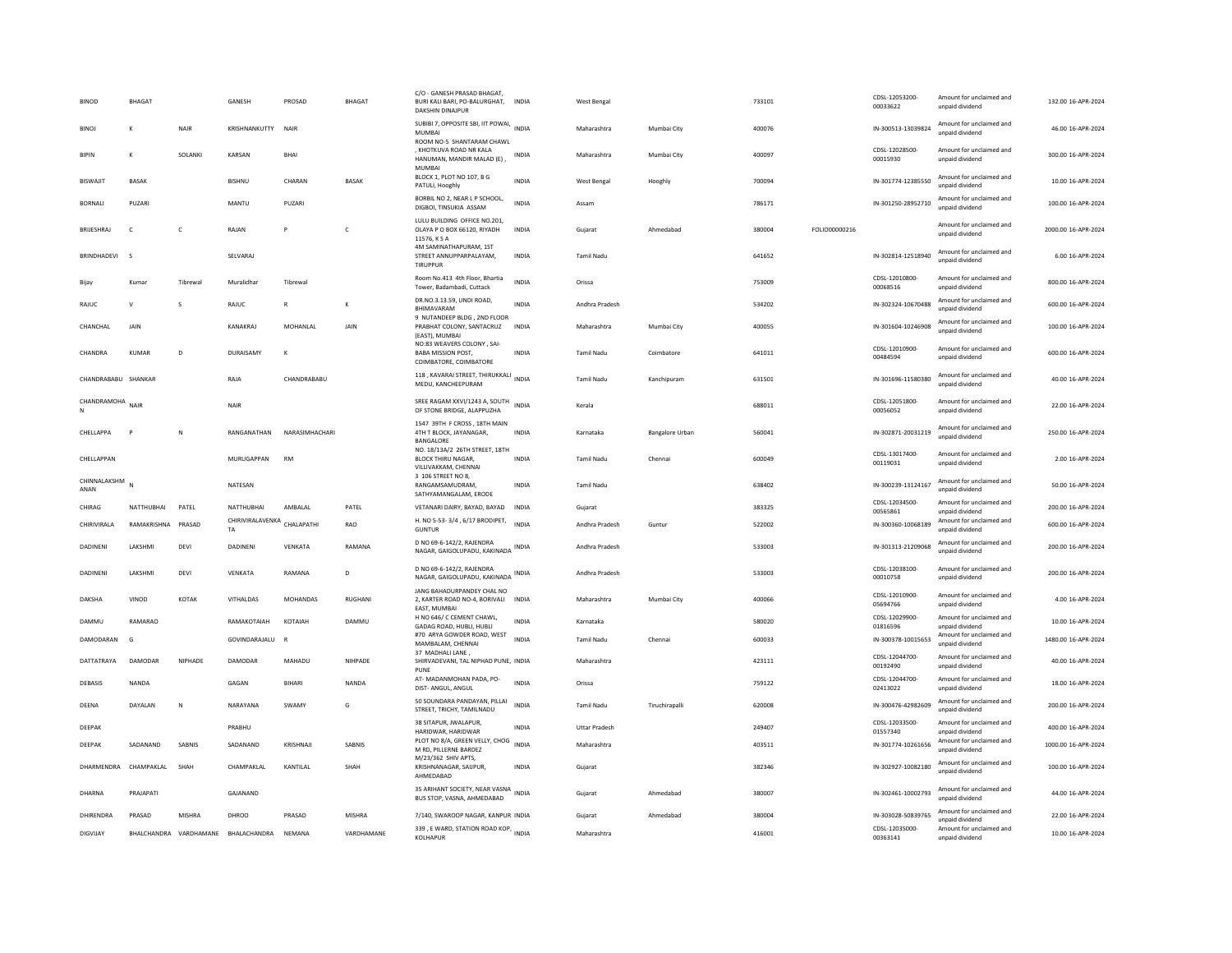| <b>BINOD</b>         | BHAGAT          |                        | GANESH                                   | PROSAD          | <b>BHAGAT</b>  | C/O - GANESH PRASAD BHAGAT<br>BURI KALI BARI, PO-BALURGHAT, INDIA<br><b>DAKSHIN DINAIPUR</b> |              | <b>West Bengal</b>   |                        | 733101 |               | CDSL-12053200-<br>00033622 | Amount for unclaimed and<br>unpaid dividend | 132.00 16-APR-2024  |
|----------------------|-----------------|------------------------|------------------------------------------|-----------------|----------------|----------------------------------------------------------------------------------------------|--------------|----------------------|------------------------|--------|---------------|----------------------------|---------------------------------------------|---------------------|
| <b>BINOI</b>         | К               | NAIR                   | KRISHNANKUTTY                            | <b>NAIR</b>     |                | SUBIBI 7, OPPOSITE SBI, IIT POWAI, INDIA<br><b>MUMBAI</b><br>ROOM NO-5 SHANTARAM CHAWL       |              | Maharashtra          | Mumbai City            | 400076 |               | IN-300513-13039824         | Amount for unclaimed and<br>unpaid dividend | 46.00 16-APR-2024   |
| BIPIN                | K               | SOLANKI                | KARSAN                                   | <b>BHAI</b>     |                | . KHOTKUVA ROAD NR KALA<br>HANUMAN, MANDIR MALAD (E),<br><b>MUMBAI</b>                       | INDIA        | Maharashtra          | Mumbai City            | 400097 |               | CDSL-12028500-<br>00015930 | Amount for unclaimed and<br>unpaid dividend | 300.00 16-APR-2024  |
| <b>BISWAJIT</b>      | <b>BASAK</b>    |                        | <b>BISHNU</b>                            | CHARAN          | <b>BASAK</b>   | BLOCK 1, PLOT NO 107, B G<br>PATULI, Hooghly                                                 | <b>INDIA</b> | <b>West Bengal</b>   | Hooghly                | 700094 |               | IN-301774-12385550         | Amount for unclaimed and<br>unpaid dividend | 10.00 16-APR-2024   |
| <b>BORNALI</b>       | PUZARI          |                        | MANTU                                    | PUZARI          |                | BORBIL NO 2, NEAR L P SCHOOL,<br>DIGBOI, TINSUKIA ASSAM                                      | <b>INDIA</b> | Assam                |                        | 786171 |               | IN-301250-28952710         | Amount for unclaimed and<br>unpaid dividend | 100.00 16-APR-2024  |
| BRIJESHRAJ           | $\mathsf{C}$    | $\mathsf{C}$           | RAJAN                                    | <b>P</b>        | c              | LULU BUILDING OFFICE NO.201.<br>OLAYA P O BOX 66120, RIYADH<br>11576, KSA                    | <b>INDIA</b> | Gujarat              | Ahmedabad              | 380004 | FOLIO00000216 |                            | Amount for unclaimed and<br>unnaid dividend | 2000.00 16-APR-2024 |
| BRINDHADEVI          | - S             |                        | SELVARAJ                                 |                 |                | 4M SAMINATHAPURAM, 1ST<br>STREET ANNUPPARPALAYAM,<br>TIRUPPUF                                | <b>INDIA</b> | <b>Tamil Nadu</b>    |                        | 641652 |               | IN-302814-12518940         | Amount for unclaimed and<br>unpaid dividend | 6.00 16-APR-2024    |
| Bijay                | Kumar           | Tibrewal               | Muralidhar                               | Tibrewa         |                | Room No.413 4th Floor, Bhartia<br>Tower, Badambadi, Cuttack                                  | <b>INDIA</b> | Orissa               |                        | 753009 |               | CDSL-12010800-<br>00068516 | Amount for unclaimed and<br>unpaid dividend | 800.00 16-APR-2024  |
| RAJUC                | $\mathsf{v}$    | $\mathbf{s}$           | RAJUC                                    | $\mathbb{R}$    | К              | DR.NO.3.13.59, UNDI ROAD.<br>BHIMAVARAM                                                      | <b>INDIA</b> | Andhra Pradesh       |                        | 534202 |               | IN-302324-10670488         | Amount for unclaimed and<br>unpaid dividend | 600.00 16-APR-2024  |
| CHANCHAL             | JAIN            |                        | KANAKRAJ                                 | MOHANLAL        | JAIN           | 9 NUTANDEEP BLDG, 2ND FLOOR<br>PRABHAT COLONY, SANTACRUZ<br>(EAST), MUMBA                    | <b>INDIA</b> | Maharashtra          | Mumbai City            | 400055 |               | IN-301604-10246908         | Amount for unclaimed and<br>unpaid dividend | 100.00 16-APR-2024  |
| CHANDRA              | KUMAR           | D                      | DURAISAMY                                |                 |                | NO:83 WEAVERS COLONY, SAI-<br><b>BABA MISSION POST,</b><br>COIMBATORE, COIMBATORE            | <b>INDIA</b> | <b>Tamil Nadu</b>    | Coimbatore             | 641011 |               | CDSL-12010900<br>00484594  | Amount for unclaimed and<br>unpaid dividend | 600.00 16-APR-2024  |
| CHANDRABABU SHANKAR  |                 |                        | RAJA                                     | CHANDRABABU     |                | 118, KAVARAI STREET, THIRUKKALI INDIA<br>MEDU, KANCHEEPURAM                                  |              | <b>Tamil Nadu</b>    | Kanchipuram            | 631501 |               | IN-301696-11580380         | Amount for unclaimed and<br>unpaid dividend | 40.00 16-APR-2024   |
| CHANDRAMOHA<br>N     | NAIR            |                        | NAIR                                     |                 |                | SREE RAGAM XXVI/1243 A, SOUTH<br>OF STONE BRIDGE, ALAPPUZHA                                  | <b>INDIA</b> | Kerala               |                        | 688011 |               | CDSL-12051800-<br>00056052 | Amount for unclaimed and<br>unpaid dividend | 22.00 16-APR-2024   |
| CHELLAPPA            |                 | N                      | RANGANATHAN                              | NARASIMHACHARI  |                | 1547 39TH F CROSS, 18TH MAIN<br>4TH T BLOCK, JAYANAGAR,<br>BANGALORE                         | <b>INDIA</b> | Karnataka            | <b>Bangalore Urban</b> | 560041 |               | IN-302871-20031219         | Amount for unclaimed and<br>unpaid dividend | 250.00 16-APR-2024  |
| CHELLAPPAN           |                 |                        | MURUGAPPAN                               | <b>RM</b>       |                | NO. 18/13A/2 26TH STREET, 18TH<br><b>BLOCK THIRU NAGAR,</b><br>VILLIVAKKAM, CHENNA           | <b>INDIA</b> | Tamil Nadu           | Chennai                | 600049 |               | CDSL-13017400-<br>00119031 | Amount for unclaimed and<br>unpaid dividend | 2.00 16-APR-2024    |
| CHINNALAKSHM<br>ANAN | N               |                        | NATESAN                                  |                 |                | 3 106 STREET NO 8<br>RANGAMSAMUDRAM.<br>SATHYAMANGALAM, ERODE                                | <b>INDIA</b> | Tamil Nadu           |                        | 638402 |               | IN-300239-13124167         | Amount for unclaimed and<br>unpaid dividend | 50.00 16-APR-2024   |
| CHIRAG               | NATTHUBHAI      | PATEL                  | NATTHUBHAI                               | AMBALAL         | PATEL          | VETANARI DAIRY, BAYAD, BAYAD                                                                 | <b>INDIA</b> | Gujarat              |                        | 383325 |               | CDSL-12034500<br>00565861  | Amount for unclaimed and<br>unpaid dividend | 200.00 16-APR-2024  |
| CHIRIVIRALA          | RAMAKRISHNA     | PRASAD                 | CHIRIVIRALAVENKA CHALAPATHI<br><b>TA</b> |                 | RAO            | H. NO 5-53-3/4, 6/17 BRODIPET,<br><b>GUNTUR</b>                                              | <b>INDIA</b> | Andhra Pradesh       | Guntur                 | 522002 |               | IN-300360-10068189         | Amount for unclaimed and<br>unpaid dividend | 600.00 16-APR-2024  |
| DADINENI             | LAKSHMI         | DEVI                   | DADINENI                                 | VENKATA         | RAMANA         | D NO 69-6-142/2, RAJENDRA<br>NAGAR, GAIGOLUPADU, KAKINADA                                    | <b>INDIA</b> | Andhra Pradesh       |                        | 533003 |               | IN-301313-21209068         | Amount for unclaimed and<br>unpaid dividend | 200.00 16-APR-2024  |
| <b>DADINEN</b>       | <b>I AKSHMI</b> | DEVI                   | VFNKATA                                  | RAMANA          | D.             | D NO 69-6-142/2, RAJENDRA<br>NAGAR, GAIGOLUPADU, KAKINADA                                    | <b>INDIA</b> | Andhra Pradesh       |                        | 533003 |               | CDSL-12038100-<br>00010758 | Amount for unclaimed and<br>unpaid dividend | 200.00 16-APR-2024  |
| DAKSHA               | VINOD           | KOTAK                  | VITHALDAS                                | <b>MOHANDAS</b> | <b>RUGHANI</b> | JANG BAHADURPANDEY CHAL NO<br>2, KARTER ROAD NO-4, BORIVALI INDIA<br><b>EAST, MUMBAI</b>     |              | Maharashtra          | Mumbai City            | 400066 |               | CDSL-12010900-<br>05694766 | Amount for unclaimed and<br>unpaid dividend | 4.00 16-APR-2024    |
| DAMMU                | RAMARAO         |                        | RAMAKOTAIAH                              | KOTAIAH         | DAMMU          | H NO 646/ C CEMENT CHAWL,<br>GADAG ROAD, HUBLI, HUBLI                                        | <b>INDIA</b> | Karnataka            |                        | 580020 |               | CDSL-12029900-<br>01816596 | Amount for unclaimed and<br>unpaid dividend | 10.00 16-APR-2024   |
| DAMODARAN            | G               |                        | GOVINDARAJALU                            |                 |                | #70 ARYA GOWDER ROAD, WEST<br>MAMBALAM, CHENNAI                                              | <b>INDIA</b> | Tamil Nadu           | Chennai                | 600033 |               | IN-300378-10015653         | Amount for unclaimed and<br>unpaid dividend | 1480.00 16-APR-2024 |
| DATTATRAYA           | DAMODAR         | NIPHADE                | DAMODAR                                  | MAHADU          | NIHPADE        | 37 MADHALI LANE,<br>SHIRVADEVANI, TAL NIPHAD PUNE, INDIA<br>PUNE                             |              | Maharashtra          |                        | 423111 |               | CDSL-12044700-<br>00192490 | Amount for unclaimed and<br>unpaid dividend | 40.00 16-APR-2024   |
| DEBASIS              | NANDA           |                        | GAGAN                                    | <b>BIHARI</b>   | NANDA          | AT-MADANMOHAN PADA, PO-<br>DIST- ANGUL, ANGUL                                                | <b>INDIA</b> | Orissa               |                        | 759122 |               | CDSL-12044700-<br>02413022 | Amount for unclaimed and<br>unpaid dividend | 18.00 16-APR-2024   |
| DEENA                | DAYALAN         | N                      | NARAYANA                                 | SWAMY           | G              | 50 SOUNDARA PANDAYAN, PILLAI<br>STREET, TRICHY, TAMILNADU                                    | <b>INDIA</b> | <b>Tamil Nadu</b>    | Tiruchirapalli         | 620008 |               | IN-300476-42982609         | Amount for unclaimed and<br>unpaid dividend | 200.00 16-APR-2024  |
| DEEPAK               |                 |                        | PRABHU                                   |                 |                | 38 SITAPUR, JWALAPUR,<br>HARIDWAR, HARIDWAR                                                  | INDIA        | <b>Uttar Pradesh</b> |                        | 249407 |               | CDSL-12033500<br>01557340  | Amount for unclaimed and<br>unpaid dividend | 400.00 16-APR-2024  |
| DEEPAK               | SADANAND        | <b>SABNIS</b>          | SADANAND                                 | KRISHNAJI       | <b>SABNIS</b>  | PLOT NO 8/A, GREEN VELLY, CHOG<br>M RD, PILLERNE BARDEZ                                      | <b>INDIA</b> | Maharashtra          |                        | 403511 |               | IN-301774-10261656         | Amount for unclaimed and<br>unpaid dividend | 1000.00 16-APR-2024 |
| DHARMENDRA           | CHAMPAKLAL      | SHAH                   | CHAMPAKLAL                               | KANTILAL        | SHAH           | M/23/362 SHIV APTS.<br>KRISHNANAGAR, SAIJPUR,<br>AHMEDABAD                                   | INDIA        | Gujarat              |                        | 382346 |               | IN-302927-10082180         | Amount for unclaimed and<br>unpaid dividend | 100.00 16-APR-2024  |
| DHARNA               | PRAJAPATI       |                        | GAJANAND                                 |                 |                | 35 ARIHANT SOCIETY. NEAR VASNA<br>BUS STOP, VASNA, AHMEDABAD                                 | <b>INDIA</b> | Gujarat              | Ahmedabad              | 380007 |               | IN-302461-10002793         | Amount for unclaimed and<br>unpaid dividend | 44.00 16-APR-2024   |
| DHIRENDRA            | PRASAD          | MISHRA                 | DHROO                                    | PRASAD          | <b>MISHRA</b>  | 7/140, SWAROOP NAGAR, KANPUR INDIA                                                           |              | Gujarat              | Ahmedabad              | 380004 |               | IN-303028-50839765         | Amount for unclaimed and<br>unnaid dividend | 22.00 16-APR-2024   |
| DIGVIJAY             |                 | BHALCHANDRA VARDHAMANE | BHALACHANDRA                             | NEMANA          | VARDHAMANE     | 339, E WARD, STATION ROAD KOP, INDIA<br>KOLHAPUR                                             |              | Maharashtra          |                        | 416001 |               | CDSL-12035000-<br>00363141 | Amount for unclaimed and<br>unpaid dividend | 10.00 16-APR-2024   |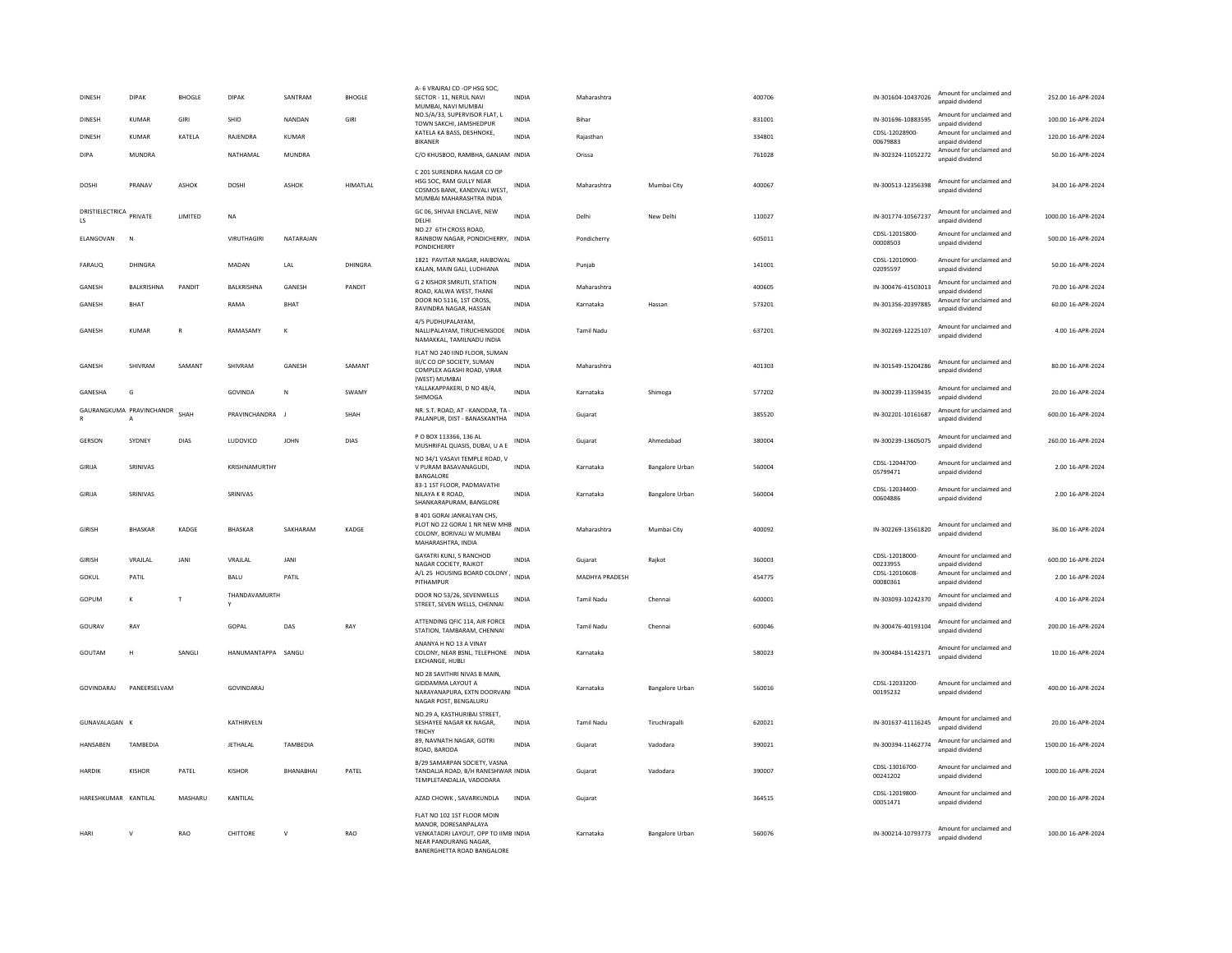| <b>DINESH</b>                            | <b>DIPAK</b>   | <b>BHOGLE</b> | DIPAK               | SANTRAM          | <b>BHOGLE</b> | A- 6 VRAJRAJ CO - OP HSG SOC,<br>SECTOR - 11. NERUL NAVI<br>MUMBAI, NAVI MUMBAI                                                                   | <b>INDIA</b> | Maharashtra       |                        | 400706 | IN-301604-10437026                   | Amount for unclaimed and<br>unpaid dividend                             | 252.00 16-APR-2024  |
|------------------------------------------|----------------|---------------|---------------------|------------------|---------------|---------------------------------------------------------------------------------------------------------------------------------------------------|--------------|-------------------|------------------------|--------|--------------------------------------|-------------------------------------------------------------------------|---------------------|
| DINESH                                   | <b>KUMAR</b>   | GIRI          | SHIO                | NANDAN           | GIRI          | NO.S/A/33, SUPERVISOR FLAT, L<br>TOWN SAKCHI, JAMSHEDPUR<br>KATELA KA BASS, DESHNOKE                                                              | <b>INDIA</b> | Bihar             |                        | 831001 | IN-301696-10883595<br>CDSL-12028900- | Amount for unclaimed and<br>unpaid dividend<br>Amount for unclaimed and | 100.00 16-APR-2024  |
| <b>DINESH</b>                            | KUMAR          | KATELA        | RAJENDRA            | KUMAR            |               | <b>BIKANER</b>                                                                                                                                    | INDIA        | Rajasthan         |                        | 334801 | 00679883                             | unpaid dividend                                                         | 120.00 16-APR-2024  |
| DIPA                                     | MUNDRA         |               | NATHAMAL            | MUNDRA           |               | C/O KHUSBOO, RAMBHA, GANJAM INDIA                                                                                                                 |              | Orissa            |                        | 761028 | IN-302324-11052272                   | Amount for unclaimed and<br>unpaid dividend                             | 50.00 16-APR-2024   |
| DOSHI                                    | PRANAV         | ASHOK         | <b>DOSH</b>         | ASHOK            | HIMATLAL      | C 201 SURENDRA NAGAR CO OP<br>HSG SOC. RAM GULLY NEAR<br>COSMOS BANK, KANDIVALI WEST,<br>MUMBAI MAHARASHTRA INDIA                                 | INDIA        | Maharashtra       | Mumbai City            | 400067 | IN-300513-12356398                   | Amount for unclaimed and<br>unpaid dividend                             | 34.00 16-APR-2024   |
| DRISTIELECTRICA<br>LS.                   | PRIVATE        | LIMITED       | $_{\sf NA}$         |                  |               | GC 06, SHIVAJI ENCLAVE, NEW<br>DELHI                                                                                                              | <b>INDIA</b> | Delhi             | New Delhi              | 110027 | IN-301774-10567237                   | Amount for unclaimed and<br>unnaid dividend                             | 1000.00 16-APR-2024 |
| <b>FI ANGOVAN</b>                        | - N            |               | VIRUTHAGIRI         | NATARAIAN        |               | NO.27 6TH CROSS ROAD,<br>RAINBOW NAGAR, PONDICHERRY, INDIA<br>PONDICHERRY                                                                         |              | Pondicherry       |                        | 605011 | CDSL-12015800-<br>00008503           | Amount for unclaimed and<br>unpaid dividend                             | 500.00 16-APR-2024  |
| FARAUQ                                   | DHINGRA        |               | MADAN               | LAL              | DHINGRA       | 1821 PAVITAR NAGAR, HAIBOWAL<br>KALAN, MAIN GALL LUDHIANA                                                                                         | <b>INDIA</b> | Punjab            |                        | 141001 | CDSL-12010900-<br>02095597           | Amount for unclaimed and<br>unnaid dividend                             | 50.00 16-APR-2024   |
| GANESH                                   | BALKRISHNA     | PANDIT        | BALKRISHNA          | GANESH           | PANDIT        | <b>G 2 KISHOR SMRUTI, STATION</b><br>ROAD, KALWA WEST, THANE                                                                                      | <b>INDIA</b> | Maharashtra       |                        | 400605 | IN-300476-41503013                   | Amount for unclaimed and<br>unpaid dividend                             | 70.00 16-APR-2024   |
| GANESH                                   | BHAT           |               | RAMA                | <b>BHAT</b>      |               | DOOR NO 5116, 1ST CROSS.<br>RAVINDRA NAGAR, HASSAN                                                                                                | INDIA        | Karnataka         | Hassan                 | 573201 | IN-301356-20397885                   | Amount for unclaimed and<br>unpaid dividend                             | 60.00 16-APR-2024   |
| GANESH                                   | <b>KUMAR</b>   | $\mathbf R$   | RAMASAMY            | к                |               | 4/5 PUDHUPALAYAM,<br>NALLIPALAYAM, TIRUCHENGODE<br>NAMAKKAL, TAMILNADU INDIA                                                                      | <b>INDIA</b> | <b>Tamil Nadu</b> |                        | 637201 | IN-302269-12225107                   | Amount for unclaimed and<br>unpaid dividend                             | 4.00 16-APR-2024    |
| GANESH                                   | SHIVRAM        | SAMANT        | SHIVRAM             | GANESH           | SAMANT        | FLAT NO 240 IIND FLOOR, SUMAN<br>III/C CO OP SOCIETY, SUMAN<br>COMPLEX AGASHI ROAD, VIRAR<br>(WEST) MUMBAI                                        | <b>INDIA</b> | Maharashtra       |                        | 401303 | IN-301549-15204286                   | Amount for unclaimed and<br>unpaid dividend                             | 80.00 16-APR-2024   |
| GANESHA                                  | G              |               | GOVINDA             | N                | SWAMY         | YALLAKAPPAKERI, D NO 48/4,<br>SHIMOGA                                                                                                             | <b>INDIA</b> | Karnataka         | Shimoga                | 577202 | IN-300239-11359435                   | Amount for unclaimed and<br>unpaid dividend                             | 20.00 16-APR-2024   |
| GAURANGKUMA PRAVINCHANDR<br>$\mathbb{R}$ | $\overline{A}$ | SHAH          | PRAVINCHANDRA J     |                  | SHAH          | NR. S.T. ROAD, AT - KANODAR, TA -<br>PALANPUR, DIST - BANASKANTHA                                                                                 | <b>INDIA</b> | Gujarat           |                        | 385520 | IN-302201-10161687                   | Amount for unclaimed and<br>unpaid dividend                             | 600.00 16-APR-2024  |
| GERSON                                   | SYDNEY         | DIAS          | LUDOVICO            | <b>JOHN</b>      | DIAS          | P O BOX 113366, 136 AL<br>MUSHRIFAL QUASIS, DUBAI, U A E                                                                                          | INDIA        | Gujarat           | Ahmedabad              | 380004 | IN-300239-13605075                   | Amount for unclaimed and<br>unpaid dividend                             | 260.00 16-APR-2024  |
| GIRIJA                                   | SRINIVAS       |               | KRISHNAMURTHY       |                  |               | NO 34/1 VASAVI TEMPLE ROAD. V<br>V PURAM BASAVANAGUDI.<br>BANGALORE                                                                               | <b>INDIA</b> | Karnataka         | <b>Bangalore Urban</b> | 560004 | CDSL-12044700-<br>05799471           | Amount for unclaimed and<br>unpaid dividend                             | 2.00 16-APR-2024    |
| GIRIJA                                   | SRINIVAS       |               | SRINIVAS            |                  |               | 83-1 1ST FLOOR, PADMAVATHI<br>NILAYA K R ROAD,<br>SHANKARAPURAM, BANGLORE                                                                         | INDIA        | Karnataka         | Bangalore Urban        | 560004 | CDSL-12034400-<br>00604886           | Amount for unclaimed and<br>unnaid dividend                             | 2.00 16-APR-2024    |
| GIRISH                                   | <b>BHASKAR</b> | KADGE         | <b>BHASKAR</b>      | SAKHARAM         | KADGE         | B 401 GORAI JANKALYAN CHS.<br>PLOT NO 22 GORAL 1 NR NEW MHB<br>COLONY, BORIVALI W MUMBAI<br>MAHARASHTRA, INDIA                                    |              | Maharashtra       | Mumhai City            | 400092 | IN-302269-13561820                   | Amount for unclaimed and<br>unpaid dividend                             | 36.00 16-APR-2024   |
| GIRISH                                   | VRAIL AL       | <b>JANI</b>   | <b>VRAILAL</b>      | <b>JANI</b>      |               | GAYATRI KUNJ, 5 RANCHOD<br>NAGAR COCIETY, RAJKOT                                                                                                  | <b>INDIA</b> | Guiarat           | Raikot                 | 360003 | CDSL-12018000-<br>00233955           | Amount for unclaimed and<br>unpaid dividend                             | 600.00 16-APR-2024  |
| GOKUL                                    | PATIL          |               | <b>BALU</b>         | PATIL            |               | A/L 25 HOUSING BOARD COLONY, INDIA<br>PITHAMPUR                                                                                                   |              | MADHYA PRADESH    |                        | 454775 | CDSL-12010608-<br>00080361           | Amount for unclaimed and<br>unpaid dividend                             | 2.00 16-APR-2024    |
| GOPUM                                    | K              | T             | THANDAVAMURTH<br>Y  |                  |               | DOOR NO 53/26, SEVENWELLS<br>STREET, SEVEN WELLS, CHENNAI                                                                                         | INDIA        | Tamil Nadu        | Chenna                 | 600001 | IN-303093-10242370                   | Amount for unclaimed and<br>unpaid dividend                             | 4.00 16-APR-2024    |
| GOURAV                                   | RAY            |               | GOPAL               | DAS              | RAY           | ATTENDING QFIC 114, AIR FORCE<br>STATION, TAMBARAM, CHENNAI                                                                                       | <b>INDIA</b> | Tamil Nadu        | Chennai                | 600046 | IN-300476-40193104                   | Amount for unclaimed and<br>unpaid dividend                             | 200.00 16-APR-2024  |
| GOUTAM                                   | $\mathbf{H}$   | SANGLI        | HANUMANTAPPA SANGLI |                  |               | ANANYA H NO 13 A VINAY<br>COLONY, NEAR BSNL, TELEPHONE INDIA<br><b>EXCHANGE, HUBLI</b>                                                            |              | Karnataka         |                        | 580023 | IN-300484-15142371                   | Amount for unclaimed and<br>unpaid dividend                             | 10.00 16-APR-2024   |
| GOVINDARAJ                               | PANEERSELVAM   |               | GOVINDARAJ          |                  |               | NO 28 SAVITHRI NIVAS B MAIN.<br>GIDDAMMA LAYOUT A<br>NARAYANAPURA, EXTN DOORVANI INDIA<br>NAGAR POST, BENGALURU                                   |              | Karnataka         | Bangalore Urban        | 560016 | CDSL-12033200-<br>00195232           | Amount for unclaimed and<br>unpaid dividend                             | 400.00 16-APR-2024  |
| GUNAVALAGAN K                            |                |               | KATHIRVELN          |                  |               | NO.29 A. KASTHURIBAI STREET.<br>SESHAYEE NAGAR KK NAGAR,<br>TRICHY                                                                                | <b>INDIA</b> | Tamil Nadu        | Tiruchirapalli         | 620021 | IN-301637-41116245                   | Amount for unclaimed and<br>unpaid dividend                             | 20.00 16-APR-2024   |
| HANSABEN                                 | TAMBEDIA       |               | <b>JETHALAL</b>     | TAMBEDIA         |               | 89, NAVNATH NAGAR, GOTRI<br>ROAD, BARODA                                                                                                          | <b>INDIA</b> | Gujarat           | Vadodara               | 390021 | IN-300394-11462774                   | Amount for unclaimed and<br>unpaid dividend                             | 1500.00 16-APR-2024 |
| HARDIK                                   | KISHOR         | PATEL         | <b>KISHOR</b>       | <b>BHANABHAI</b> | PATEL         | B/29 SAMARPAN SOCIETY, VASNA<br>TANDALJA ROAD, B/H RANESHWAR INDIA<br>TEMPLETANDALJA, VADODARA                                                    |              | Gujarat           | Vadodara               | 390007 | CDSL-13016700-<br>00241202           | Amount for unclaimed and<br>unnaid dividend                             | 1000.00 16-APR-2024 |
| HARESHKUMAR KANTILAL                     |                | MASHARU       | KANTILAL            |                  |               | AZAD CHOWK, SAVARKUNDLA                                                                                                                           | <b>INDIA</b> | Gujarat           |                        | 364515 | CDSL-12019800-<br>00051471           | Amount for unclaimed and<br>unpaid dividend                             | 200.00 16-APR-2024  |
| HARI                                     | $\mathsf{v}$   | RAO           | CHITTORE            | $\mathsf{v}$     | RAO           | FLAT NO 102 1ST FLOOR MOIN<br>MANOR, DORESANPALAYA<br>VENKATADRI LAYOUT, OPP TO IIMB INDIA<br>NEAR PANDURANG NAGAR,<br>BANERGHETTA ROAD BANGALORE |              | Karnataka         | Bangalore Urban        | 560076 | IN-300214-10793773                   | Amount for unclaimed and<br>unnaid dividend                             | 100.00 16-APR-2024  |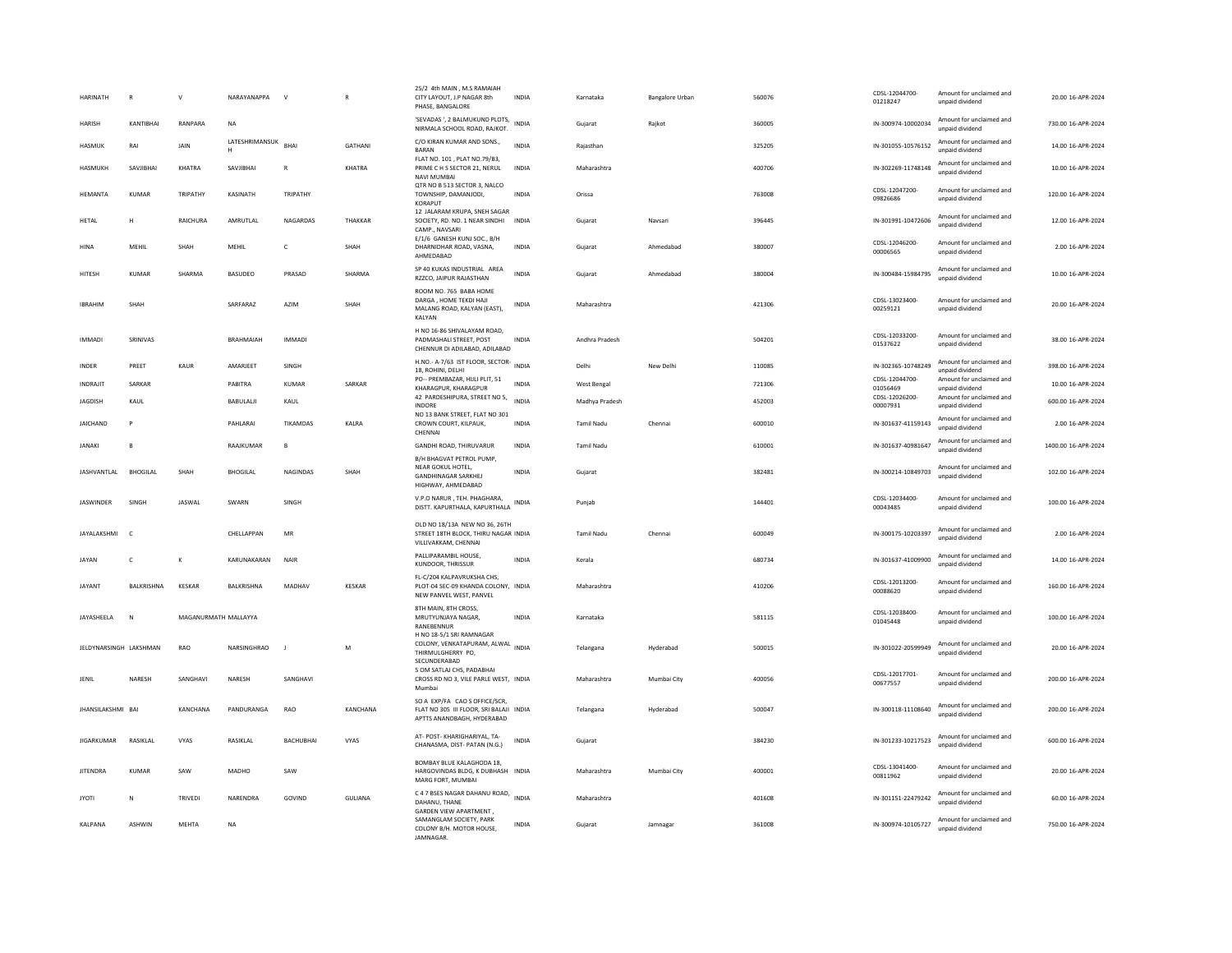| <b>HARINATH</b>        | $\mathsf{R}$ | $\mathsf{v}$         | NARAYANAPPA              | $\mathbf{v}$     |                | 25/2 4th MAIN . M.S RAMAIAH<br>CITY LAYOUT, J.P NAGAR 8th<br>PHASE, BANGALORE                          | <b>INDIA</b> | Karnataka      | Bangalore Urban | 560076 | CDSL-12044700-<br>01218247 | Amount for unclaimed and<br>unpaid dividend | 20.00 16-APR-2024   |
|------------------------|--------------|----------------------|--------------------------|------------------|----------------|--------------------------------------------------------------------------------------------------------|--------------|----------------|-----------------|--------|----------------------------|---------------------------------------------|---------------------|
| <b>HARISH</b>          | KANTIBHAI    | RANPARA              | <b>NA</b>                |                  |                | 'SEVADAS ', 2 BALMUKUND PLOTS,<br>NIRMALA SCHOOL ROAD, RAJKOT.                                         | <b>INDIA</b> | Gujarat        | Raikot          | 360005 | IN-300974-10002034         | Amount for unclaimed and<br>unpaid dividend | 730.00 16-APR-2024  |
| HASMUK                 | RAI          | JAIN                 | LATESHRIMANSUK BHAI<br>H |                  | GATHANI        | C/O KIRAN KUMAR AND SONS.<br>BARAN                                                                     | <b>INDIA</b> | Rajasthan      |                 | 325205 | IN-301055-10576152         | Amount for unclaimed and<br>unpaid dividend | 14.00 16-APR-2024   |
| HASMUKH                | SAVJIBHAI    | KHATRA               | SAVJIBHAI                | $\mathsf R$      | KHATRA         | FLAT NO. 101, PLAT NO.79/B3,<br>PRIME C H S SECTOR 21, NERUL<br><b>NAVI MUMBAI</b>                     | INDIA        | Maharashtra    |                 | 400706 | IN-302269-11748148         | Amount for unclaimed and<br>unpaid dividend | 10.00 16-APR-2024   |
| HEMANTA                | KUMAR        | TRIPATHY             | KASINATH                 | TRIPATHY         |                | QTR NO B 513 SECTOR 3, NALCO<br>TOWNSHIP, DAMANJODI.<br>KORAPUT                                        | <b>INDIA</b> | Orissa         |                 | 763008 | CDSL-12047200-<br>09826686 | Amount for unclaimed and<br>unpaid dividend | 120.00 16-APR-2024  |
| <b>HETAL</b>           | н            | RAICHURA             | AMRUTLAL                 | NAGARDAS         | THAKKAR        | 12 JALARAM KRUPA, SNEH SAGAR<br>SOCIETY, RD, NO, 1 NEAR SINDHI INDIA<br>CAMP., NAVSARI                 |              | Gujarat        | Navsari         | 396445 | IN-301991-10472606         | Amount for unclaimed and<br>unpaid dividend | 12.00 16-APR-2024   |
| <b>HINA</b>            | MEHIL        | SHAH                 | MEHIL                    | $\mathsf{C}$     | SHAH           | E/1/6 GANESH KUNJ SOC., B/H<br>DHARNIDHAR ROAD, VASNA,<br>AHMEDABAD                                    | <b>INDIA</b> | Guiarat        | Ahmedabad       | 380007 | CDSI-12046200-<br>00006565 | Amount for unclaimed and<br>unpaid dividend | 2.00 16-APR-2024    |
| HITESH                 | <b>KUMAR</b> | SHARMA               | BASUDEO                  | PRASAD           | SHARMA         | SP 40 KUKAS INDUSTRIAL AREA<br>RZZCO, JAIPUR RAJASTHAN                                                 | <b>INDIA</b> | Gujarat        | Ahmedabad       | 380004 | IN-300484-15984795         | Amount for unclaimed and<br>unpaid dividend | 10.00 16-APR-2024   |
| <b>IBRAHIM</b>         | SHAH         |                      | SARFARAZ                 | AZIM             | SHAH           | ROOM NO. 765 BABA HOME<br>DARGA, HOME TEKDI HAJI<br>MALANG ROAD, KALYAN (EAST),<br>KALYAN              | <b>INDIA</b> | Maharashtra    |                 | 421306 | CDSL-13023400-<br>00259121 | Amount for unclaimed and<br>unpaid dividend | 20.00 16-APR-2024   |
| <b>IMMADI</b>          | SRINIVAS     |                      | BRAHMAIAH                | <b>IMMADI</b>    |                | H NO 16-86 SHIVALAYAM ROAD.<br>PADMASHALI STREET, POST<br>CHENNUR DI ADILABAD, ADILABAD                | INDIA        | Andhra Pradesh |                 | 504201 | CDSL-12033200-<br>01537622 | Amount for unclaimed and<br>unpaid dividend | 38.00 16-APR-2024   |
| <b>INDER</b>           | PRFFT        | KAUR                 | AMARJEET                 | SINGH            |                | H.NO.- A-7/63 IST FLOOR, SECTOR-<br>18, ROHINI, DELHI                                                  | <b>INDIA</b> | Delhi          | New Delhi       | 110085 | IN-302365-10748249         | Amount for unclaimed and<br>unpaid dividend | 398.00 16-APR-2024  |
| <b>INDRAILT</b>        | SARKAR       |                      | PARITRA                  | KUMAR            | SARKAR         | PO-- PREMBAZAR, HIJLI PLIT, 51<br>KHARAGPUR, KHARAGPUR                                                 | <b>INDIA</b> | West Bengal    |                 | 721306 | CDSL-12044700-<br>01056469 | Amount for unclaimed and<br>unpaid dividend | 10.00 16-APR-2024   |
| <b>JAGDISH</b>         | KAUL         |                      | BABULALI                 | KAUL             |                | 42 PARDESHIPURA, STREET NO 5,<br><b>INDORE</b>                                                         | <b>INDIA</b> | Madhya Pradesh |                 | 452003 | CDSL-12026200-<br>00007931 | Amount for unclaimed and<br>unpaid dividend | 600.00 16-APR-2024  |
| <b>JAICHAND</b>        | P            |                      | PAHLARAI                 | TIKAMDAS         | KALRA          | NO 13 BANK STREET, FLAT NO 301<br>CROWN COURT, KILPAUK,<br>CHENNAI                                     | INDIA        | Tamil Nadu     | Chennai         | 600010 | IN-301637-41159143         | Amount for unclaimed and<br>unpaid dividend | 2.00 16-APR-2024    |
| <b>JANAKI</b>          | B            |                      | RAAJKUMAR                | B                |                | GANDHI ROAD, THIRUVARUR<br>B/H BHAGVAT PETROL PUMP.                                                    | INDIA        | Tamil Nadu     |                 | 610001 | IN-301637-40981647         | Amount for unclaimed and<br>unnaid dividend | 1400.00 16-APR-2024 |
| JASHVANTLAL BHOGILAL   |              | SHAH                 | <b>BHOGILAL</b>          | <b>NAGINDAS</b>  | SHAH           | NEAR GOKUL HOTEL<br><b>GANDHINAGAR SARKHEJ</b><br>HIGHWAY, AHMEDABAD                                   | <b>INDIA</b> | Gujarat        |                 | 382481 | IN-300214-10849703         | Amount for unclaimed and<br>unpaid dividend | 102.00 16-APR-2024  |
| <b>IASWINDER</b>       | SINGH        | JASWAL               | SWARN                    | SINGH            |                | V.P.O NARUR, TEH. PHAGHARA,<br>DISTT. KAPURTHALA, KAPURTHALA                                           | INDIA        | Punjab         |                 | 144401 | CDSL-12034400-<br>00043485 | Amount for unclaimed and<br>unpaid dividend | 100.00 16-APR-2024  |
| JAYALAKSHMI            | $\mathsf{C}$ |                      | CHELLAPPAN               | $\sf MR$         |                | OLD NO 18/13A NEW NO 36, 26TH<br>STREET 18TH BLOCK, THIRU NAGAR INDIA<br>VILLIVAKKAM, CHENNAI          |              | Tamil Nadu     | Chennai         | 600049 | IN-300175-10203397         | Amount for unclaimed and<br>unnaid dividend | 2.00 16-APR-2024    |
| JAYAN                  | c            | к                    | KARUNAKARAN              | NAIR             |                | PALLIPARAMBIL HOUSE.<br>KUNDOOR, THRISSUR                                                              | <b>INDIA</b> | Kerala         |                 | 680734 | IN-301637-41009900         | Amount for unclaimed and<br>unpaid dividend | 14.00 16-APR-2024   |
| <b>IAYANT</b>          | BALKRISHNA   | KESKAR               | BALKRISHNA               | MADHAV           | <b>KESKAR</b>  | FL-C/204 KALPAVRUKSHA CHS,<br>PLOT-04 SEC-09 KHANDA COLONY, INDIA<br>NEW PANVEL WEST, PANVEL           |              | Maharashtra    |                 | 410206 | CDSL-12013200-<br>00088620 | Amount for unclaimed and<br>unnaid dividend | 160.00 16-APR-2024  |
| JAYASHEELA             | N            | MAGANURMATH MALLAYYA |                          |                  |                | 8TH MAIN, 8TH CROSS.<br>MRUTYUNJAYA NAGAR,<br>RANEBENNUR<br>H NO 18-5/1 SRI RAMNAGAR                   | INDIA        | Karnataka      |                 | 581115 | CDSL-12038400-<br>01045448 | Amount for unclaimed and<br>unpaid dividend | 100.00 16-APR-2024  |
| JELDYNARSINGH LAKSHMAN |              | RAO                  | NARSINGHRAO              |                  | M              | COLONY, VENKATAPURAM, ALWAL INDIA<br>THIRMULGHERRY PO,<br>SECUNDERABAD                                 |              | Telangana      | Hyderabad       | 500015 | IN-301022-20599949         | Amount for unclaimed and<br>unpaid dividend | 20.00 16-APR-2024   |
| JENIL                  | NARESH       | SANGHAVI             | NARESH                   | SANGHAVI         |                | 5 OM SATLAJ CHS, PADABHAI<br>CROSS RD NO 3, VILE PARLE WEST, INDIA<br>Mumbai                           |              | Maharashtra    | Mumbai City     | 400056 | CDSL-12017701-<br>00677557 | Amount for unclaimed and<br>unpaid dividend | 200.00 16-APR-2024  |
| JHANSILAKSHMI BAI      |              | KANCHANA             | PANDURANGA               | RAO              | KANCHANA       | SO A EXP/FA CAO S OFFICE/SCR,<br>FLAT NO 305 III FLOOR, SRI BALAJI INDIA<br>APTTS ANANDBAGH, HYDERABAD |              | Telangana      | Hyderabad       | 500047 | IN-300118-11108640         | Amount for unclaimed and<br>unpaid dividend | 200.00 16-APR-2024  |
| <b>JIGARKUMAR</b>      | RASIKLAL     | VYAS                 | RASIKLAL                 | <b>BACHUBHAI</b> | VYAS           | AT- POST- KHARIGHARIYAL, TA-<br>CHANASMA, DIST- PATAN (N.G.)                                           | INDIA        | Gujarat        |                 | 384230 | IN-301233-10217523         | Amount for unclaimed and<br>unnaid dividend | 600.00 16-APR-2024  |
| <b>JITENDRA</b>        | <b>KUMAR</b> | SAW                  | MADHO                    | SAW              |                | BOMBAY BLUE KALAGHODA 18.<br>HARGOVINDAS BLDG, K DUBHASH INDIA<br>MARG FORT, MUMBAI                    |              | Maharashtra    | Mumbai City     | 400001 | CDSL-13041400-<br>00811962 | Amount for unclaimed and<br>unpaid dividend | 20.00 16-APR-2024   |
| <b>IYOTI</b>           | N            | <b>TRIVEDI</b>       | NARENDRA                 | GOVIND           | <b>GULIANA</b> | C 4 7 BSES NAGAR DAHANU ROAD,<br>DAHANU, THANE                                                         | <b>INDIA</b> | Maharashtra    |                 | 401608 | IN-301151-22479242         | Amount for unclaimed and<br>unpaid dividend | 60.00 16-APR-2024   |
| KALPANA                | ASHWIN       | MEHTA                | <b>NA</b>                |                  |                | <b>GARDEN VIEW APARTMENT</b><br>SAMANGLAM SOCIETY, PARK<br>COLONY B/H. MOTOR HOUSE,<br>JAMNAGAR.       | INDIA        | Gujarat        | Jamnagar        | 361008 | IN-300974-10105727         | Amount for unclaimed and<br>unpaid dividend | 750.00 16-APR-2024  |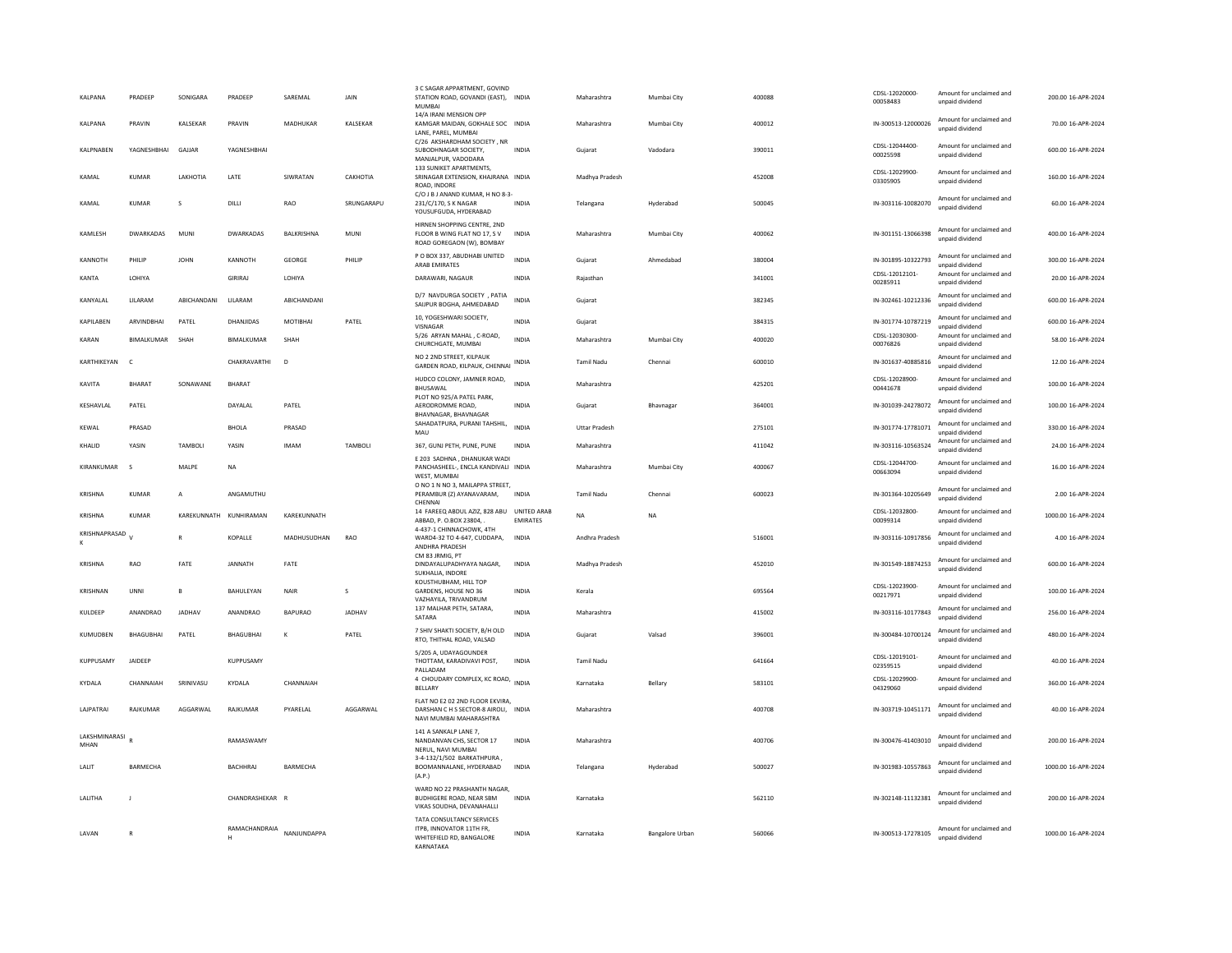| <b>KAI PANA</b>       | PRADEEP          | SONIGARA               | <b>PRADFFF</b>     | SARFMAL        | <b>JAIN</b>   | 3 C SAGAR APPARTMENT, GOVIND<br>STATION ROAD, GOVANDI (EAST), INDIA<br><b>MUMBAI</b>               |                                | Maharashtra          | Mumbai City     | 400088 | CDSL-12020000-<br>00058483 | Amount for unclaimed and<br>unpaid dividend | 200.00 16-APR-2024  |
|-----------------------|------------------|------------------------|--------------------|----------------|---------------|----------------------------------------------------------------------------------------------------|--------------------------------|----------------------|-----------------|--------|----------------------------|---------------------------------------------|---------------------|
| KALPANA               | PRAVIN           | KALSEKAR               | PRAVIN             | MADHUKAR       | KALSEKAR      | 14/A IRANI MENSION OPP<br>KAMGAR MAIDAN, GOKHALE SOC INDIA<br>LANE, PAREL, MUMBAI                  |                                | Maharashtra          | Mumbai City     | 400012 | IN-300513-12000026         | Amount for unclaimed and<br>unpaid dividend | 70.00 16-APR-2024   |
| KALPNABEN             | YAGNESHBHAI      | GAJJAR                 | YAGNESHBHAI        |                |               | C/26 AKSHARDHAM SOCIETY, NR<br>SUBODHNAGAR SOCIETY,<br>MANJALPUR, VADODARA                         | <b>INDIA</b>                   | Guiarat              | Vadodara        | 390011 | CDSL-12044400-<br>00025598 | Amount for unclaimed and<br>unpaid dividend | 600.00 16-APR-2024  |
| KAMAI                 | KUMAR            | <b>I AKHOTIA</b>       | <b>I ATF</b>       | SIWRATAN       | САКНОТІА      | 133 SUNIKET APARTMENTS,<br>SRINAGAR EXTENSION, KHAJRANA INDIA<br>ROAD, INDORE                      |                                | Madhya Pradesh       |                 | 452008 | CDSL-12029900-<br>03305905 | Amount for unclaimed and<br>unpaid dividend | 160.00 16-APR-2024  |
| KAMAI                 | KUMAR            | s                      | DILLI              | RAO            | SRUNGARAPU    | C/O J B J ANAND KUMAR, H NO 8-3-<br>231/C/170, S K NAGAR<br>YOUSUFGUDA, HYDERABAD                  | <b>INDIA</b>                   | Telangana            | Hyderabad       | 500045 | IN-303116-10082070         | Amount for unclaimed and<br>unnaid dividend | 60.00 16-APR-2024   |
| KAMLESH               | <b>DWARKADAS</b> | MUNI                   | <b>DWARKADAS</b>   | BALKRISHNA     | <b>MUNI</b>   | HIRNEN SHOPPING CENTRE, 2ND<br>FLOOR B WING FLAT NO 17, S V<br>ROAD GOREGAON (W), BOMBAY           | INDIA                          | Maharashtra          | Mumbai City     | 400062 | IN-301151-13066398         | Amount for unclaimed and<br>unnaid dividend | 400.00 16-APR-2024  |
| KANNOTH               | PHILIP           | <b>JOHN</b>            | KANNOTH            | GEORGE         | PHILIP        | P O BOX 337, ABUDHABI UNITED<br>ARAB EMIRATES                                                      | <b>INDIA</b>                   | Gujarat              | Ahmedabad       | 380004 | IN-301895-10322793         | Amount for unclaimed and<br>unpaid dividend | 300.00 16-APR-2024  |
| KANTA                 | LOHIYA           |                        | <b>GIRIRAJ</b>     | LOHIYA         |               | DARAWARI, NAGAUR                                                                                   | <b>INDIA</b>                   | Rajasthan            |                 | 341001 | CDSL-12012101-<br>00285911 | Amount for unclaimed and<br>unpaid dividend | 20.00 16-APR-2024   |
| KANYAI AI             | <b>I II ARAM</b> | ARICHANDANI            | <b>III ARAM</b>    | ARICHANDANI    |               | D/7 NAVDURGA SOCIETY, PATIA<br>SAIJPUR BOGHA, AHMEDABAD                                            | <b>INDIA</b>                   | Guiarat              |                 | 382345 | IN-302461-10212336         | Amount for unclaimed and<br>unpaid dividend | 600.00 16-APR-2024  |
| KAPILABEN             | ARVINDBHAI       | PATEL                  | DHANJIDAS          | MOTIBHAI       | PATEL         | 10. YOGESHWARI SOCIETY.<br>VISNAGAR                                                                | <b>INDIA</b>                   | Gujarat              |                 | 384315 | IN-301774-10787219         | Amount for unclaimed and<br>unpaid dividend | 600.00 16-APR-2024  |
| KARAN                 | BIMALKUMAR       | SHAH                   | BIMALKUMAR         | SHAH           |               | 5/26 ARYAN MAHAL, C-ROAD,<br>CHURCHGATE, MUMBAI                                                    | INDIA                          | Maharashtra          | Mumbai City     | 400020 | CDSL-12030300-<br>00076826 | Amount for unclaimed and<br>unpaid dividend | 58.00 16-APR-2024   |
| KARTHIKFYAN           | $\mathsf{C}$     |                        | CHAKRAVARTHI       | $\mathsf{D}$   |               | NO 2 2ND STREET, KILPAUK<br>GARDEN ROAD, KILPAUK, CHENNAI                                          | INDIA                          | Tamil Nadu           | Chennai         | 600010 | IN-301637-40885816         | Amount for unclaimed and<br>unpaid dividend | 12.00 16-APR-2024   |
| KAVITA                | BHARAT           | SONAWANE               | BHARAT             |                |               | HUDCO COLONY, JAMNER ROAD,<br>BHUSAWAL<br>PLOT NO 925/A PATEL PARK.                                | <b>INDIA</b>                   | Maharashtra          |                 | 425201 | CDSL-12028900-<br>00441678 | Amount for unclaimed and<br>unpaid dividend | 100.00 16-APR-2024  |
| KESHAVLAL             | PATEL            |                        | DAYALAL            | PATEL          |               | AERODROMME ROAD,<br>BHAVNAGAR, BHAVNAGAR                                                           | INDIA                          | Gujarat              | Bhavnagar       | 364001 | IN-301039-24278072         | Amount for unclaimed and<br>unnaid dividend | 100.00 16-APR-2024  |
| KEWAL                 | PRASAD           |                        | <b>BHOLA</b>       | PRASAD         |               | SAHADATPURA, PURANI TAHSHIL,<br>MAU                                                                | <b>INDIA</b>                   | <b>Uttar Pradesh</b> |                 | 275101 | IN-301774-17781071         | Amount for unclaimed and<br>unpaid dividend | 330.00 16-APR-2024  |
| KHALID                | YASIN            | TAMBOLI                | YASIN              | <b>IMAM</b>    | TAMBOLI       | 367, GUNJ PETH, PUNE, PUNE                                                                         | <b>INDIA</b>                   | Maharashtra          |                 | 411042 | IN-303116-10563524         | Amount for unclaimed and<br>unpaid dividend | 24.00 16-APR-2024   |
| KIRANKUMAR            | $\mathsf{s}$     | MALPE                  | <b>NA</b>          |                |               | E 203 SADHNA, DHANUKAR WADI<br>PANCHASHEEL-, ENCLA KANDIVALI INDIA<br>WEST, MUMBAI                 |                                | Maharashtra          | Mumbai City     | 400067 | CDSL-12044700-<br>00663094 | Amount for unclaimed and<br>unpaid dividend | 16.00 16-APR-2024   |
| <b>KRISHNA</b>        | <b>KUMAR</b>     | $\overline{A}$         | ANGAMUTHU          |                |               | O NO 1 N NO 3, MAILAPPA STREET,<br>PERAMBUR (Z) AYANAVARAM,<br>CHENNAI                             | INDIA                          | <b>Tamil Nadu</b>    | Chennai         | 600023 | IN-301364-10205649         | Amount for unclaimed and<br>unpaid dividend | 2.00 16-APR-2024    |
| KRISHNA               | KUMAR            | KAREKUNNATH KUNHIRAMAN |                    | KARFKUNNATH    |               | 14 FAREEQ ABDUL AZIZ, 828 ABU<br>ARBAD, P. O.BOX 23804.                                            | UNITED ARAB<br><b>FMIRATES</b> | <b>NA</b>            | <b>NA</b>       |        | CDSL-12032800<br>00099314  | Amount for unclaimed and<br>unnaid dividend | 1000.00 16-APR-2024 |
| KRISHNAPRASAD         |                  |                        | KOPALLE            | MADHUSUDHAN    | <b>RAO</b>    | 4-437-1 CHINNACHOWK, 4TH<br>WARD4-32 TO 4-647, CUDDAPA.<br>ANDHRA PRADESH                          | <b>INDIA</b>                   | Andhra Pradesh       |                 | 516001 | IN-303116-10917856         | Amount for unclaimed and<br>unpaid dividend | 4.00 16-APR-2024    |
| KRISHNA               | <b>RAO</b>       | FATE                   | <b>JANNATH</b>     | FATF           |               | CM 83 JRMIG. PT<br>DINDAYALUPADHYAYA NAGAR.<br>SUKHALIA, INDORE                                    | <b>INDIA</b>                   | Madhya Pradesh       |                 | 452010 | IN-301549-18874253         | Amount for unclaimed and<br>unpaid dividend | 600.00 16-APR-2024  |
| KRISHNAN              | UNNI             | B                      | BAHULEYAN          | NAIR           | s             | KOUSTHURHAM, HILL TOP<br>GARDENS, HOUSE NO 36<br>VAZHAYILA, TRIVANDRUM                             | <b>INDIA</b>                   | Kerala               |                 | 695564 | CDSL-12023900-<br>00217971 | Amount for unclaimed and<br>unpaid dividend | 100.00 16-APR-2024  |
| KULDEEP               | ANANDRAO         | <b>JADHAV</b>          | ANANDRAO           | <b>BAPURAO</b> | <b>JADHAV</b> | 137 MALHAR PETH, SATARA,<br>SATARA                                                                 | <b>INDIA</b>                   | Maharashtra          |                 | 415002 | IN-303116-10177843         | Amount for unclaimed and<br>unpaid dividend | 256.00 16-APR-2024  |
| KUMUDBEN              | <b>BHAGUBHAI</b> | PATEL                  | <b>BHAGUBHAI</b>   | K              | PATEL         | 7 SHIV SHAKTI SOCIETY, B/H OLD<br>RTO, THITHAL ROAD, VALSAD                                        | <b>INDIA</b>                   | Gujarat              | Valsad          | 396001 | IN-300484-10700124         | Amount for unclaimed and<br>unpaid dividend | 480.00 16-APR-2024  |
| KUPPUSAMY             | <b>IAIDEEP</b>   |                        | KUPPUSAMY          |                |               | 5/205 A, UDAYAGOUNDER<br>THOTTAM, KARADIVAVI POST,<br>PALLADAM                                     | <b>INDIA</b>                   | <b>Tamil Nadu</b>    |                 | 641664 | CDSL-12019101-<br>02359515 | Amount for unclaimed and<br>unpaid dividend | 40.00 16-APR-2024   |
| KYDALA                | CHANNAIAH        | SRINIVASU              | KYDALA             | CHANNAIAH      |               | 4 CHOUDARY COMPLEX, KC ROAD, INDIA<br>BELLARY                                                      |                                | Karnataka            | Bellary         | 583101 | CDSL-12029900-<br>04329060 | Amount for unclaimed and<br>unpaid dividend | 360.00 16-APR-2024  |
| LAJPATRAI             | RAJKUMAR         | AGGARWAL               | RAJKUMAR           | PYARELAL       | AGGARWAL      | FLAT NO E2 02 2ND FLOOR EKVIRA.<br>DARSHAN C H S SECTOR-8 AIROLI. INDIA<br>NAVI MUMBAI MAHARASHTRA |                                | Maharashtra          |                 | 400708 | IN-303719-10451171         | Amount for unclaimed and<br>unpaid dividend | 40.00 16-APR-2024   |
| LAKSHMINARASI<br>MHAN |                  |                        | RAMASWAMY          |                |               | 141 A SANKALP LANE 7,<br>NANDANVAN CHS, SECTOR 17<br>NERUL, NAVI MUMBAI                            | INDIA                          | Maharashtra          |                 | 400706 | IN-300476-41403010         | Amount for unclaimed and<br>unpaid dividend | 200.00 16-APR-2024  |
| LALIT                 | BARMECHA         |                        | <b>BACHHRAJ</b>    | BARMECHA       |               | 3-4-132/1/502 BARKATHPURA,<br>BOOMANNALANE, HYDERABAD<br>(A.P.)                                    | INDIA                          | Telangana            | Hyderabad       | 500027 | IN-301983-10557863         | Amount for unclaimed and<br>unpaid dividend | 1000.00 16-APR-2024 |
| LALITHA               | J                |                        | CHANDRASHEKAR      | - F            |               | WARD NO 22 PRASHANTH NAGAR,<br>BUDHIGERE ROAD, NEAR SBM<br>VIKAS SOUDHA, DEVANAHALLI               | INDIA                          | Karnataka            |                 | 562110 | IN-302148-11132381         | Amount for unclaimed and<br>unpaid dividend | 200.00 16-APR-2024  |
| LAVAN                 | $\mathbb{R}$     |                        | RAMACHANDRAIA<br>H | NANJUNDAPPA    |               | TATA CONSULTANCY SERVICES<br>ITPB. INNOVATOR 11TH FR.<br>WHITEFIELD RD, BANGALORE<br>KARNATAKA     | <b>INDIA</b>                   | Karnataka            | Bangalore Urban | 560066 | IN-300513-17278105         | Amount for unclaimed and<br>unpaid dividend | 1000.00 16-APR-2024 |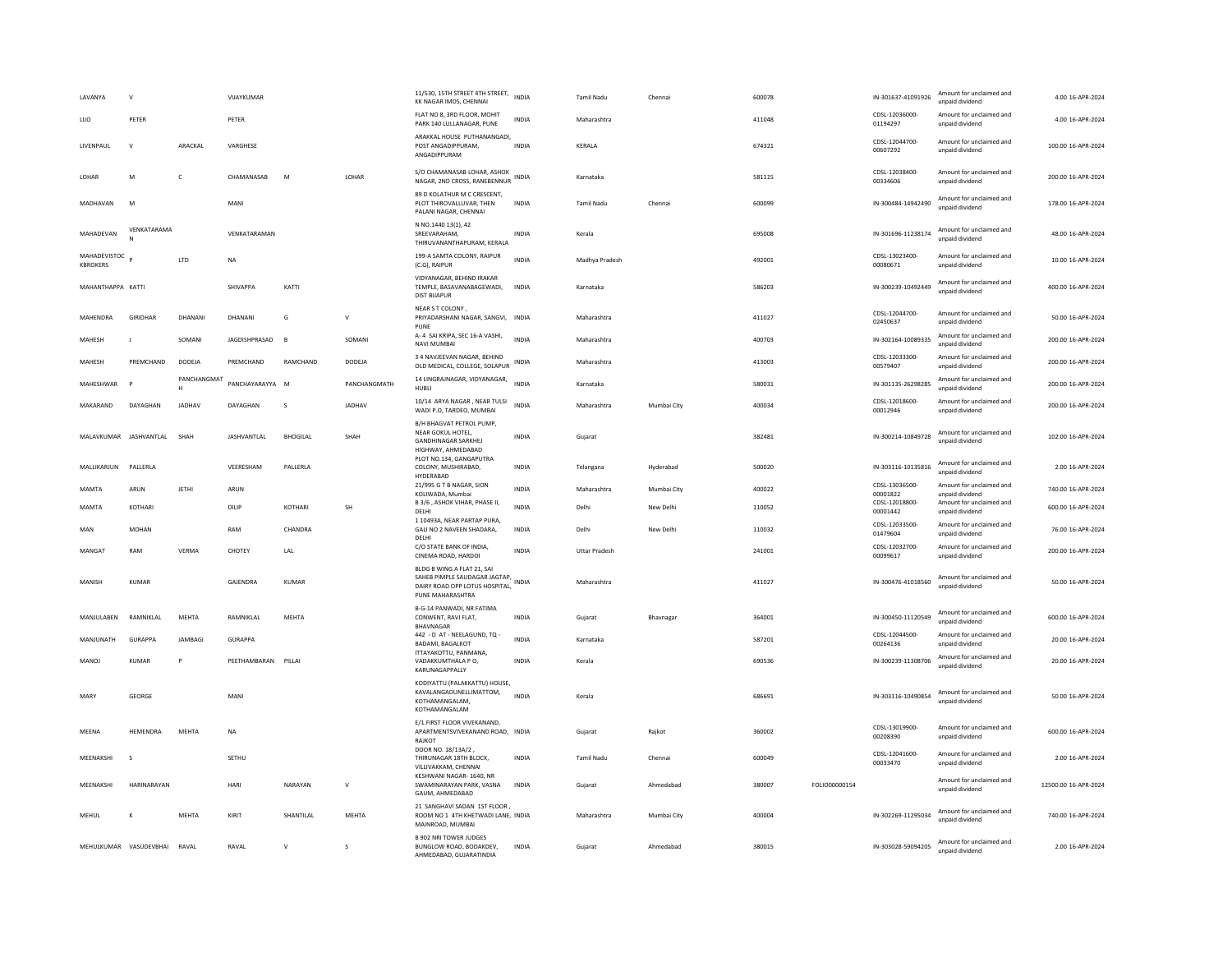| LAVANYA                                      | $\mathbf{v}$           |                  | VIJAYKUMAR          |                 |               | 11/530, 15TH STREET 4TH STREET,<br>KK NAGAR IMDS, CHENNAI                                                         | <b>INDIA</b> | <b>Tamil Nadu</b>    | Chennai     | 600078 |               | IN-301637-41091926         | Amount for unclaimed and<br>unpaid dividend | 4.00 16-APR-2024     |
|----------------------------------------------|------------------------|------------------|---------------------|-----------------|---------------|-------------------------------------------------------------------------------------------------------------------|--------------|----------------------|-------------|--------|---------------|----------------------------|---------------------------------------------|----------------------|
| LUO                                          | PETER                  |                  | PETER               |                 |               | FLAT NO 8, 3RD FLOOR, MOHIT<br>PARK 140 LULLANAGAR, PUNE                                                          | INDIA        | Maharashtra          |             | 411048 |               | CDSL-12036000-<br>01194297 | Amount for unclaimed and<br>unpaid dividend | 4.00 16-APR-2024     |
| LIVENPAUL                                    | $\mathbf{v}$           | ARACKAL          | VARGHESE            |                 |               | ARAKKAL HOUSE PUTHANANGADI,<br>POST ANGADIPPURAM,<br>ANGADIPPURAM                                                 | <b>INDIA</b> | KERALA               |             | 674321 |               | CDSL-12044700-<br>00607292 | Amount for unclaimed and<br>unpaid dividend | 100.00 16-APR-2024   |
| LOHAR                                        | M                      | c                | CHAMANASAB          | M               | LOHAR         | S/O CHAMANASAB LOHAR, ASHOK<br>NAGAR, 2ND CROSS, RANEBENNUR                                                       | <b>INDIA</b> | Karnataka            |             | 581115 |               | CDSL-12038400-<br>00334606 | Amount for unclaimed and<br>unpaid dividend | 200.00 16-APR-2024   |
| MADHAVAN                                     | M                      |                  | MANI                |                 |               | 89 D KOLATHUR M C CRESCENT,<br>PLOT THIROVALLUVAR, THEN<br>PALANI NAGAR, CHENNAI                                  | <b>INDIA</b> | <b>Tamil Nadu</b>    | Chennai     | 600099 |               | IN-300484-14942490         | Amount for unclaimed and<br>unpaid dividend | 178.00 16-APR-2024   |
| MAHADEVAN                                    | VENKATARAMA            |                  | VENKATARAMAN        |                 |               | N NO.1440 13(1), 42<br>SRFFVARAHAM.<br>THIRUVANANTHAPURAM, KERALA                                                 | <b>INDIA</b> | Kerala               |             | 695008 |               | IN-301696-11238174         | Amount for unclaimed and<br>unpaid dividend | 48.00.16-APR-2024    |
| MAHADEVISTOC <sub>p</sub><br><b>KBROKERS</b> |                        | LTD              | NA                  |                 |               | 199-A SAMTA COLONY, RAIPUR<br>(C.G), RAIPUR                                                                       | <b>INDIA</b> | Madhya Pradesh       |             | 492001 |               | CDSL-13023400-<br>00080671 | Amount for unclaimed and<br>unpaid dividend | 10.00 16-APR-2024    |
| MAHANTHAPPA KATTI                            |                        |                  | <b>SHIVAPPA</b>     | KATTI           |               | VIDYANAGAR, BEHIND IRAKAR<br>TEMPLE, BASAVANABAGEWADI,<br><b>DIST BIJAPUR</b>                                     | <b>INDIA</b> | Karnataka            |             | 586203 |               | IN-300239-10492449         | Amount for unclaimed and<br>unpaid dividend | 400.00 16-APR-2024   |
| MAHENDRA                                     | GIRIDHAR               | DHANANI          | DHANANI             | G               | v             | NEAR S T COLONY<br>PRIYADARSHANI NAGAR, SANGVI, INDIA<br>PUNE                                                     |              | Maharashtra          |             | 411027 |               | CDSL-12044700-<br>02450637 | Amount for unclaimed and<br>unpaid dividend | 50.00 16-APR-2024    |
| MAHESH                                       | $\blacksquare$         | SOMANI           | JAGDISHPRASAD       | $\overline{B}$  | SOMANI        | A- 4 SAI KRIPA, SEC 16-A VASHI,<br><b>NAVI MUMBAI</b>                                                             | <b>INDIA</b> | Maharashtra          |             | 400703 |               | IN-302164-10089335         | Amount for unclaimed and<br>unpaid dividend | 200.00 16-APR-2024   |
| MAHESH                                       | PREMCHAND              | DODEJA           | PREMCHAND           | RAMCHAND        | DODEJA        | 3 4 NAVJEEVAN NAGAR, BEHIND<br>OLD MEDICAL, COLLEGE, SOLAPUR                                                      | <b>INDIA</b> | Maharashtra          |             | 413003 |               | CDSL-12033300-<br>00579407 | Amount for unclaimed and<br>unpaid dividend | 200.00 16-APR-2024   |
| MAHESHWAR                                    |                        | PANCHANGMAT<br>H | PANCHAYARAYYA M     |                 | PANCHANGMATH  | 14 LINGRAJNAGAR, VIDYANAGAR,<br>HUBH                                                                              | <b>INDIA</b> | Karnataka            |             | 580031 |               | IN-301135-26298285         | Amount for unclaimed and<br>unpaid dividend | 200.00 16-APR-2024   |
| MAKARAND                                     | DAYAGHAN               | <b>IADHAV</b>    | DAYAGHAN            | $\mathcal{S}$   | <b>IADHAV</b> | 10/14 ARYA NAGAR , NEAR TULSI<br>WADI P.O, TARDEO, MUMBAI                                                         | <b>INDIA</b> | Maharashtra          | Mumbai City | 400034 |               | CDSL-12018600-<br>00012946 | Amount for unclaimed and<br>unpaid dividend | 200.00 16-APR-2024   |
| MALAVKUMAR JASHVANTLAL                       |                        | SHAH             | JASHVANTLAL         | <b>BHOGILAL</b> | SHAH          | B/H BHAGVAT PETROL PUMP.<br>NEAR GOKUL HOTEL,<br><b>GANDHINAGAR SARKHEJ</b><br>HIGHWAY, AHMEDABAD                 | <b>INDIA</b> | Gujarat              |             | 382481 |               | IN-300214-10849728         | Amount for unclaimed and<br>unpaid dividend | 102.00 16-APR-2024   |
| MALLIKARJUN                                  | PALLERLA               |                  | VEERESHAM           | PALLERLA        |               | PLOT NO.134, GANGAPUTRA<br>COLONY, MUSHIRABAD,<br>HYDERABAD                                                       | <b>INDIA</b> | Telangana            | Hyderabad   | 500020 |               | IN-303116-10135816         | Amount for unclaimed and<br>unpaid dividend | 2.00 16-APR-2024     |
| MAMTA                                        | ARUN                   | <b>JETHI</b>     | ARUN                |                 |               | 21/995 G T B NAGAR, SION<br>KOLIWADA, Mumbai                                                                      | <b>INDIA</b> | Maharashtra          | Mumbai City | 400022 |               | CDSL-13036500-<br>00001822 | Amount for unclaimed and<br>unpaid dividend | 740.00 16-APR-2024   |
| MAMTA                                        | KOTHARI                |                  | DILIP               | KOTHARI         | <b>SH</b>     | B 3/6, ASHOK VIHAR, PHASE II,<br>DELHI                                                                            | <b>INDIA</b> | Delhi                | New Delhi   | 110052 |               | CDSL-12018800-<br>00001442 | Amount for unclaimed and<br>unpaid dividend | 600.00 16-APR-2024   |
| MAN                                          | <b>MOHAN</b>           |                  | RAM                 | CHANDRA         |               | 1 10493A, NEAR PARTAP PURA,<br>GALI NO 2 NAVEEN SHADARA,<br>DELHI                                                 | <b>INDIA</b> | Delhi                | New Delhi   | 110032 |               | CDSL-12033500<br>01479604  | Amount for unclaimed and<br>unpaid dividend | 76.00 16-APR-2024    |
| MANGAT                                       | RAM                    | <b>VERMA</b>     | CHOTEY              | LAL             |               | C/O STATE BANK OF INDIA.<br>CINEMA ROAD, HARDOI                                                                   | <b>INDIA</b> | <b>Uttar Pradesh</b> |             | 241001 |               | CDSL-12032700-<br>00099617 | Amount for unclaimed and<br>unpaid dividend | 200.00 16-APR-2024   |
| MANISH                                       | <b>KUMAR</b>           |                  | GAJENDRA            | KUMAR           |               | BLDG B WING A FLAT 21, SAI<br>SAHEB PIMPLE SAUDAGAR JAGTAP.<br>DAIRY ROAD OPP LOTUS HOSPITAL,<br>PUNE MAHARASHTRA | <b>INDIA</b> | Maharashtra          |             | 411027 |               | IN-300476-41018560         | Amount for unclaimed and<br>unpaid dividend | 50.00 16-APR-2024    |
| MANJULABEN                                   | RAMNIKLAL              | MEHTA            | RAMNIKLAL           | MEHTA           |               | B-G-14 PANWADI, NR FATIMA<br>CONWENT, RAVI FLAT,<br>BHAVNAGAR                                                     | <b>INDIA</b> | Gujarat              | Bhavnagar   | 364001 |               | IN-300450-11120549         | Amount for unclaimed and<br>unpaid dividend | 600.00 16-APR-2024   |
| MANJUNATH                                    | GURAPPA                | <b>JAMBAGI</b>   | <b>GURAPPA</b>      |                 |               | 442 - D AT - NEELAGUND, TQ -<br><b>BADAMI, BAGALKOT</b>                                                           | <b>INDIA</b> | Karnataka            |             | 587201 |               | CDSL-12044500-<br>00264136 | Amount for unclaimed and<br>unpaid dividend | 20.00 16-APR-2024    |
| <b>MANOJ</b>                                 | <b>KUMAR</b>           | P                | PEETHAMBARAN PILLAI |                 |               | ITTAYAKOTTU, PANMANA,<br>VADAKKUMTHALA P O,<br>KARUNAGAPPALLY                                                     | <b>INDIA</b> | Kerala               |             | 690536 |               | IN-300239-11308706         | Amount for unclaimed and<br>unpaid dividend | 20.00 16-APR-2024    |
| <b>MARY</b>                                  | <b>GEORGE</b>          |                  | MANI                |                 |               | KODIYATTU (PALAKKATTU) HOUSE,<br>KAVALANGADUNELLIMATTOM,<br>KOTHAMANGALAM.<br>KOTHAMANGALAM                       | <b>INDIA</b> | Kerala               |             | 686691 |               | IN-303116-10490854         | Amount for unclaimed and<br>unpaid dividend | 50.00 16-APR-2024    |
| MEENA                                        | HEMENDRA               | MEHTA            | <b>NA</b>           |                 |               | E/1.FIRST FLOOR VIVEKANAND,<br>APARTMENTSVIVEKANAND ROAD, INDIA<br>RAJKOT                                         |              | Guiarat              | Raikot      | 360002 |               | CDSL-13019900-<br>00208390 | Amount for unclaimed and<br>unpaid dividend | 600.00 16-APR-2024   |
| MEENAKSHI                                    | s                      |                  | SETHU               |                 |               | DOOR NO. 18/13A/2,<br>THIRUNAGAR 18TH BLOCK,<br>VILLIVAKKAM, CHENNAI                                              | <b>INDIA</b> | Tamil Nadu           | Chennai     | 600049 |               | CDSL-12041600-<br>00033470 | Amount for unclaimed and<br>unpaid dividend | 2.00 16-APR-2024     |
| MEENAKSHI                                    | HARINARAYAN            |                  | <b>HAR</b>          | NARAYAN         | $\vee$        | KESHWANI NAGAR-1640, NR<br>SWAMINARAYAN PARK, VASNA<br>GAUM, AHMEDABAD                                            | <b>INDIA</b> | Gujarat              | Ahmedabad   | 380007 | FOLIO00000154 |                            | Amount for unclaimed and<br>unpaid dividend | 12500.00 16-APR-2024 |
| MEHUL                                        | K                      | MEHTA            | KIRIT               | SHANTILAL       | <b>MEHTA</b>  | 21 SANGHAVI SADAN 1ST FLOOR,<br>ROOM NO 1 4TH KHETWADI LANE, INDIA<br>MAINROAD, MUMBAI                            |              | Maharashtra          | Mumbai City | 400004 |               | IN-302269-11295034         | Amount for unclaimed and<br>unpaid dividend | 740.00 16-APR-2024   |
|                                              | MEHULKUMAR VASUDEVBHAI | RAVAL            | RAVAL               | $\vee$          | s             | <b>B 902 NRI TOWER JUDGES</b><br>BUNGLOW ROAD, BODAKDEV,<br>AHMEDARAD, GUIARATINDIA                               | <b>INDIA</b> | Gujarat              | Ahmedabad   | 380015 |               | IN-303028-59094205         | Amount for unclaimed and<br>unpaid dividend | 2.00 16-APR-2024     |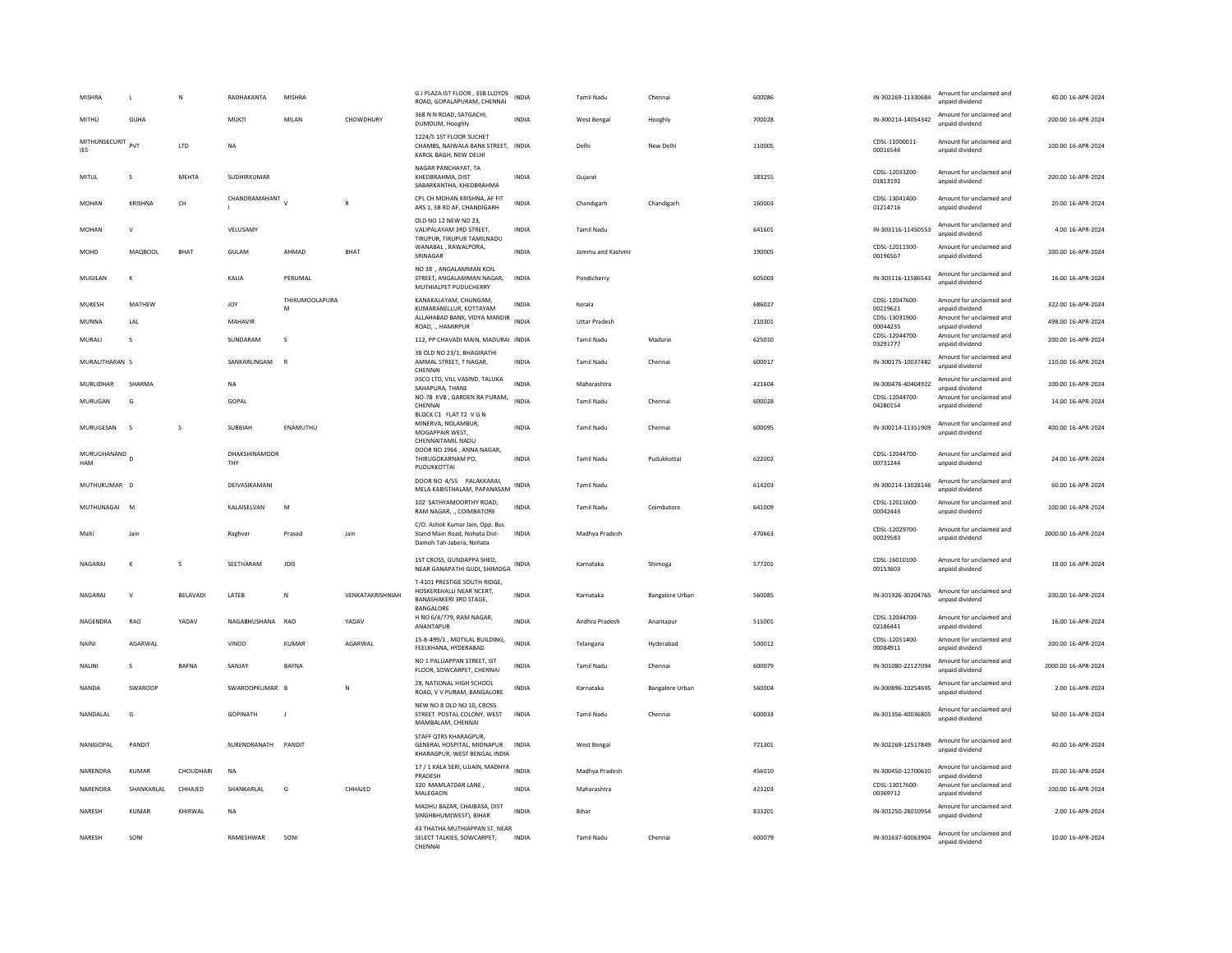| <b>MISHRA</b>                          | $\mathsf{L}$   | N            | RADHAKANTA           | MISHRA              |                  | G J PLAZA IST FLOOR, 358 LLOYDS<br>ROAD, GOPALAPURAM, CHENNAI                                          | INDIA        | Tamil Nadu           | Chennai                | 600086 | IN-302269-11330684         | Amount for unclaimed and<br>unpaid dividend | 40.00 16-APR-2024   |
|----------------------------------------|----------------|--------------|----------------------|---------------------|------------------|--------------------------------------------------------------------------------------------------------|--------------|----------------------|------------------------|--------|----------------------------|---------------------------------------------|---------------------|
| MITHU                                  | GUHA           |              | MUKTI                | MII AN              | CHOWDHURY        | 368 N N ROAD, SATGACHI,<br>DUMDUM, Hooghly                                                             | <b>INDIA</b> | West Bengal          | Hooghly                | 700028 | IN-300214-14054342         | Amount for unclaimed and<br>unpaid dividend | 200.00 16-APR-2024  |
| MITHUNSECURIT<br><b>IES</b>            | PVT            | LTD          | $_{\sf NA}$          |                     |                  | 1224/5 1ST FLOOR SUCHET<br>CHAMBS, NAIWALA BANK STREET, INDIA<br>KAROL BAGH, NEW DELHI                 |              | Delhi                | New Delhi              | 110005 | CDSL-11000011-<br>00016546 | Amount for unclaimed and<br>unpaid dividend | 100.00 16-APR-2024  |
| <b>MITUL</b>                           | s              | MEHTA        | SUDHIRKUMAR          |                     |                  | NAGAR PANCHAYAT, TA<br>KHEDBRAHMA, DIST<br>SABARKANTHA, KHEDBRAHMA                                     | INDIA        | Gujarat              |                        | 383255 | CDSL-12033200-<br>01813192 | Amount for unclaimed and<br>unpaid dividend | 200.00 16-APR-2024  |
| <b>MOHAN</b>                           | <b>KRISHNA</b> | CH           | CHANDRAMAHANT V      |                     | F                | CPL CH MOHAN KRISHNA, AF FIT<br>ARS 1, 3B RD AF, CHANDIGARH                                            | <b>INDIA</b> | Chandigarh           | Chandigarh             | 160003 | CDSL-13041400-<br>01214716 | Amount for unclaimed and<br>unpaid dividend | 20.00 16-APR-2024   |
| <b>MOHAN</b>                           | $\mathsf{v}$   |              | VELUSAMY             |                     |                  | OLD NO 12 NEW NO 23,<br>VALIPALAYAM 3RD STREET,<br>TIRUPUR. TIRUPUR TAMILNADU                          | INDIA        | Tamil Nadu           |                        | 641601 | IN-303116-11450553         | Amount for unclaimed and<br>unnaid dividend | 4.00 16-APR-2024    |
| MOHD                                   | <b>MAQBOOL</b> | <b>BHAT</b>  | GULAM                | AHMAD               | <b>BHAT</b>      | WANABAL, RAWALPORA,<br>SRINAGAR                                                                        | <b>INDIA</b> | Jammu and Kashmir    |                        | 190005 | CDSL-12011300-<br>00196567 | Amount for unclaimed and<br>unpaid dividend | 200.00 16-APR-2024  |
| MUGILAN                                | K              |              | KALIA                | PERUMAL             |                  | NO 38 . ANGALAMMAN KOIL<br>STREET, ANGALAMMAN NAGAR,<br>MUTHIALPET PUDUCHERRY                          | INDIA        | Pondicherry          |                        | 605003 | IN-303116-11586543         | Amount for unclaimed and<br>unpaid dividend | 16.00 16-APR-2024   |
| MUKESH                                 | MATHEW         |              | <b>JOY</b>           | THIRUMOOLAPURA<br>M |                  | KANAKALAYAM, CHUNGAM,<br>KUMARANELLUR, KOTTAYAM                                                        | <b>INDIA</b> | Kerala               |                        | 686027 | CDSL-12047600-<br>00219621 | Amount for unclaimed and<br>unpaid dividend | 322.00 16-APR-2024  |
| MUNNA                                  | LAL            |              | MAHAVIR              |                     |                  | ALLAHABAD BANK, VIDYA MANDIR<br>ROAD, ., HAMIRPUR                                                      | <b>INDIA</b> | <b>Uttar Pradesh</b> |                        | 210301 | CDSL-13031900<br>00044235  | Amount for unclaimed and<br>unpaid dividend | 498.00 16-APR-2024  |
| MURALI                                 | s              |              | SUNDARAM             | $\mathsf{s}$        |                  | 112, PP CHAVADI MAIN, MADURAI INDIA                                                                    |              | <b>Tamil Nadu</b>    | Madurai                | 625010 | CDSL-12044700-<br>03291777 | Amount for unclaimed and<br>unpaid dividend | 200.00 16-APR-2024  |
| MURALITHARAN S                         |                |              | SANKARLINGAM         | $\mathbb{R}$        |                  | 38 OLD NO 23/1, BHAGIRATHI<br>AMMAL STREET, T NAGAR,<br>CHENNAI                                        | <b>INDIA</b> | <b>Tamil Nadu</b>    | Chennai                | 600017 | IN-300175-10037482         | Amount for unclaimed and<br>unpaid dividend | 110.00 16-APR-2024  |
| <b>MURLIDHAR</b>                       | SHARMA         |              | <b>NA</b>            |                     |                  | JISCO LTD, VILL VASIND, TALUKA<br>SAHAPURA, THANE                                                      | <b>INDIA</b> | Maharashtra          |                        | 421604 | IN-300476-40404922         | Amount for unclaimed and<br>unpaid dividend | 100.00 16-APR-2024  |
| MURUGAN                                | G              |              | GOPAL                |                     |                  | NO-78 KVB, GARDEN RA PURAM,<br>CHENNAI<br>BLOCK C1 FLAT T2 V G N                                       | <b>INDIA</b> | <b>Tamil Nadu</b>    | Chennai                | 600028 | CDSL-12044700-<br>04280154 | Amount for unclaimed and<br>unpaid dividend | 14.00 16-APR-2024   |
| MURUGESAN                              | $\sim$         | s            | SUBBIAH              | ENAMUTHU            |                  | MINERVA, NOLAMBUR,<br>MOGAPPAIR WEST.<br>CHENNAITAMIL NADU                                             | <b>INDIA</b> | Tamil Nadu           | Chennai                | 600095 | IN-300214-11351909         | Amount for unclaimed and<br>unpaid dividend | 400.00 16-APR-2024  |
| MURUGHANAND <sub>D</sub><br><b>HAM</b> |                |              | DHAKSHINAMOOR<br>THY |                     |                  | DOOR NO 1966 , ANNA NAGAR.<br>THIRUGOKARNAM PO,<br>PUDUKKOTTAI                                         | INDIA        | Tamil Nadu           | Pudukkottai            | 622002 | CDSL-12044700-<br>00731244 | Amount for unclaimed and<br>unpaid dividend | 24.00 16-APR-2024   |
| MUTHUKUMAR D                           |                |              | DEIVASIKAMANI        |                     |                  | DOOR NO 4/55 PALAKKARAI,<br>MELA KABISTHALAM, PAPANASAM                                                | <b>INDIA</b> | <b>Tamil Nadu</b>    |                        | 614203 | IN-300214-13028146         | Amount for unclaimed and<br>unpaid dividend | 60.00 16-APR-2024   |
| MUTHUNAGAI                             | M              |              | KALAISELVAN          | M                   |                  | 102 SATHYAMOORTHY ROAD<br>RAM NAGAR, ., COIMBATORE                                                     | INDIA        | Tamil Nadu           | Coimbatore             | 641009 | CDSL-12011600<br>00042443  | Amount for unclaimed and<br>unpaid dividend | 100.00 16-APR-2024  |
| Malti                                  | lain           |              | Raghver              | Prasad              | lain             | C/O. Ashok Kumar Jain, Opp. Bus<br>Stand Main Road, Nohata Dist-<br>Damoh Tah-Jabera, Nohata           | <b>INDIA</b> | Madhya Pradesh       |                        | 470663 | CDSL-12029700-<br>00029583 | Amount for unclaimed and<br>unpaid dividend | 2000.00 16-APR-2024 |
| NAGARAJ                                | $\mathsf{K}$   | s            | SEETHARAM            | <b>JOIS</b>         |                  | 1ST CROSS, GUNDAPPA SHED,<br>NEAR GANAPATHI GUDI, SHIMOGA                                              | INDIA        | Karnataka            | Shimoga                | 577201 | CDSL-16010100-<br>00153603 | Amount for unclaimed and<br>unpaid dividend | 18.00 16-APR-2024   |
| NAGARAI                                | $\mathsf{v}$   | BELAVADI     | LATEB                | N                   | VENKATAKRISHNIAH | T-4101 PRESTIGE SOUTH RIDGE.<br>HOSKEREHALLI NEAR NCERT.<br><b>BANASHAKERI 3RD STAGE,</b><br>BANGALORE | <b>INDIA</b> | Karnataka            | <b>Bangalore Urban</b> | 560085 | IN-301926-30204765         | Amount for unclaimed and<br>unpaid dividend | 200.00 16-APR-2024  |
| NAGENDRA                               | RAO            | YADAV        | NAGABHUSHANA         | RAO                 | YADAV            | H NO 6/4/779, RAM NAGAR.<br>ANANTAPUR                                                                  | <b>INDIA</b> | Andhra Pradesh       | Anantapur              | 515001 | CDSL-12044700-<br>02186441 | Amount for unclaimed and<br>unpaid dividend | 16.00 16-APR-2024   |
| NAINI                                  | AGARWAL        |              | VINOD                | KUMAR               | AGARWAL          | 15-8-499/1, MOTILAL BUILDING,<br>FEELKHANA, HYDERABAD                                                  | <b>INDIA</b> | Telangana            | Hyderabad              | 500012 | CDSL-12051400-<br>00084911 | Amount for unclaimed and<br>unnaid dividend | 200.00 16-APR-2024  |
| <b>NALINI</b>                          | s              | <b>BAFNA</b> | SANJAY               | <b>BAFNA</b>        |                  | NO 1 PALLIAPPAN STREET, IST<br>FLOOR, SOWCARPET, CHENNAI                                               | <b>INDIA</b> | <b>Tamil Nadu</b>    | Chennai                | 600079 | IN-301080-22127094         | Amount for unclaimed and<br>unpaid dividend | 2000.00 16-APR-2024 |
| <b>NANDA</b>                           | SWAROOP        |              | SWAROOPKUMAR         |                     | N                | 28. NATIONAL HIGH SCHOOL<br>ROAD, V V PURAM, BANGALORE                                                 | INDIA        | Karnataka            | <b>Bangalore Urban</b> | 560004 | IN-300896-10254695         | Amount for unclaimed and<br>unpaid dividend | 2.00 16-APR-2024    |
| NANDALAL                               | G              |              | <b>GOPINATH</b>      | $\mathbf{J}$        |                  | NEW NO 8 OLD NO 10, CROSS<br>STREET POSTAL COLONY, WEST<br>MAMBALAM, CHENNAI                           | <b>INDIA</b> | <b>Tamil Nadu</b>    | Chennai                | 600033 | IN-301356-40036805         | Amount for unclaimed and<br>unpaid dividend | 50.00 16-APR-2024   |
| NANIGOPAL                              | PANDIT         |              | SURENDRANATH PANDIT  |                     |                  | STAFF QTRS KHARAGPUR,<br>GENERAL HOSPITAL, MIDNAPUR<br>KHARAGPUR, WEST BENGAL INDIA                    | <b>INDIA</b> | West Bengal          |                        | 721301 | IN-302269-12517849         | Amount for unclaimed and<br>unpaid dividend | 40.00 16-APR-2024   |
| NARENDRA                               | KUMAR          | CHOUDHARI    | $_{\sf NA}$          |                     |                  | 17 / 1 KALA SERI, UJJAIN, MADHYA<br>PRADESH                                                            | <b>INDIA</b> | Madhya Pradesh       |                        | 456010 | IN-300450-12700610         | Amount for unclaimed and<br>unpaid dividend | 20.00 16-APR-2024   |
| NARENDRA                               | SHANKARLAL     | CHHAJED      | SHANKARLAL           | G                   | CHHAJED          | 320 MAMLATDAR LANE,<br>MALEGAON                                                                        | <b>INDIA</b> | Maharashtra          |                        | 423203 | CDSL-13017600-<br>00369712 | Amount for unclaimed and<br>unpaid dividend | 100.00 16-APR-2024  |
| <b>NARFSH</b>                          | KUMAR          | KHIRWAI      | <b>NA</b>            |                     |                  | MADHU BAZAR, CHAIBASA, DIST<br>SINGHBHUM(WEST), BIHAR                                                  | <b>INDIA</b> | <b>Bihar</b>         |                        | 833201 | IN-301250-28010954         | Amount for unclaimed and<br>unpaid dividend | 2.00.16-APR-2024    |
| NARESH                                 | SONI           |              | RAMESHWAR            | SONI                |                  | 43 THATHA MUTHIAPPAN ST. NEAR<br>SELECT TALKIES, SOWCARPET,<br>CHENNAL                                 | <b>INDIA</b> | <b>Tamil Nadu</b>    | Chennai                | 600079 | IN-301637-60063904         | Amount for unclaimed and<br>unpaid dividend | 10.00 16-APR-2024   |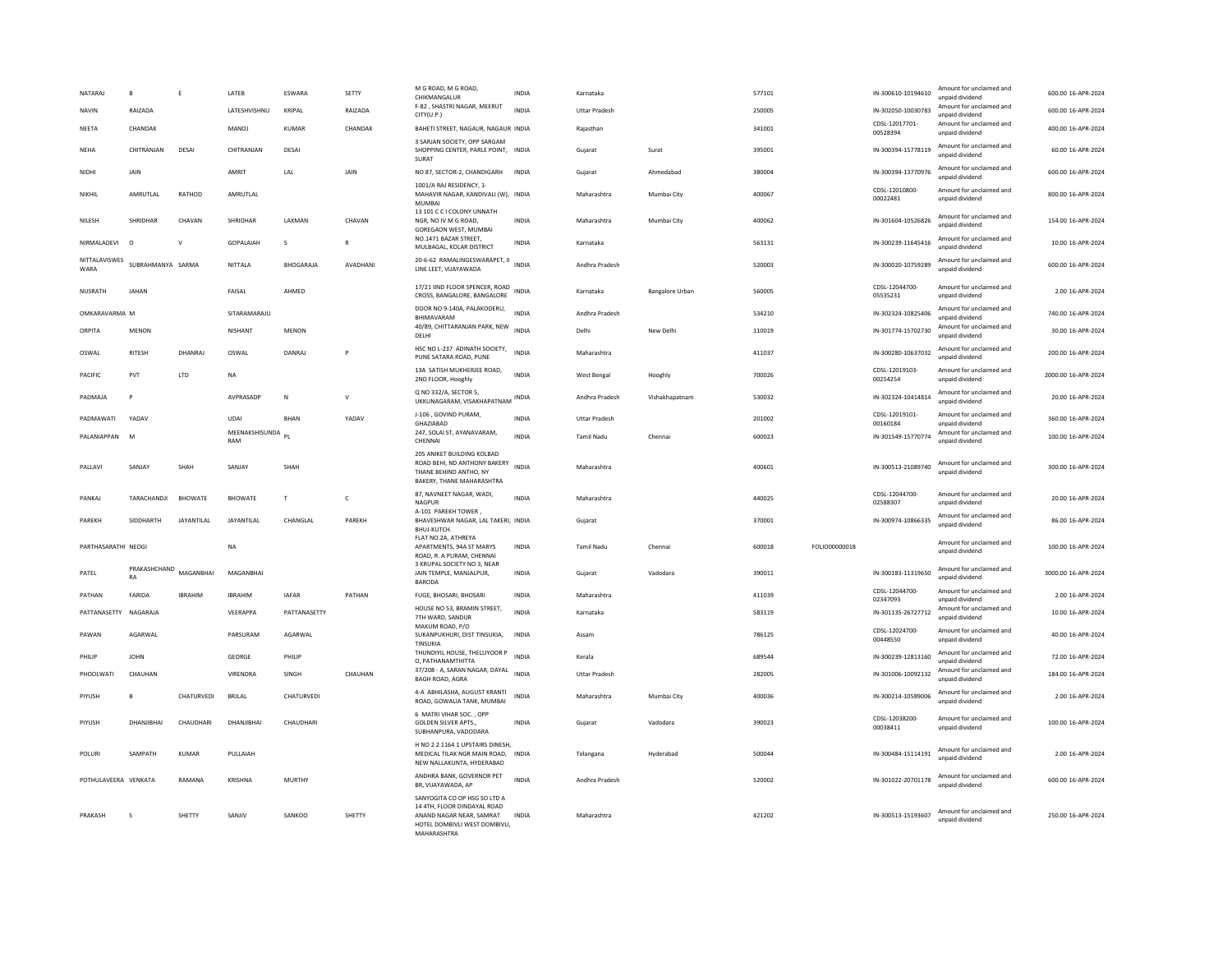| NATARAJ<br>NAVIN      | $\,$ B<br>RAIZADA  | $\mathsf E$       | LATEB<br>LATESHVISHNU | ESWARA<br>KRIPAL | SETTY<br>RAIZADA | M G ROAD. M G ROAD.<br>CHIKMANGALUR<br>F-82, SHASTRI NAGAR, MEERUT                                                                      | <b>INDIA</b><br><b>INDIA</b> | Karnataka<br><b>Uttar Pradesh</b> |                        | 577101<br>250005 |                      | IN-300610-10194610<br>IN-302050-10030783 | Amount for unclaimed and<br>unnaid dividend<br>Amount for unclaimed and | 600.00 16-APR-2024<br>600.00 16-APR-2024 |
|-----------------------|--------------------|-------------------|-----------------------|------------------|------------------|-----------------------------------------------------------------------------------------------------------------------------------------|------------------------------|-----------------------------------|------------------------|------------------|----------------------|------------------------------------------|-------------------------------------------------------------------------|------------------------------------------|
| <b>NEETA</b>          | CHANDAK            |                   | <b>MANOJ</b>          | KUMAR            | CHANDAK          | CITY(U.P.)<br>BAHETI STREET, NAGAUR, NAGAUR INDIA                                                                                       |                              | Rajasthan                         |                        | 341001           |                      | CDSL-12017701-                           | unpaid dividend<br>Amount for unclaimed and                             | 400.00 16-APR-2024                       |
|                       | CHITRANJAN         |                   |                       | DESAI            |                  | 3 SARJAN SOCIETY, OPP SARGAM                                                                                                            |                              |                                   |                        |                  |                      | 00528394                                 | unpaid dividend<br>Amount for unclaimed and                             |                                          |
| <b>NEHA</b>           |                    | DESAI             | CHITRANJAN            |                  |                  | SHOPPING CENTER, PARLE POINT, INDIA<br>SURAT                                                                                            |                              | Gujarat                           | Surat                  | 395001           |                      | IN-300394-15778119                       | unnaid dividend<br>Amount for unclaimed and                             | 60.00 16-APR-2024                        |
| NIDHI                 | JAIN               |                   | AMRIT                 | LAL              | JAIN             | NO 87, SECTOR-2, CHANDIGARH<br>1001/A RAJ RESIDENCY, 1-                                                                                 | <b>INDIA</b>                 | Gujarat                           | Ahmedabad              | 380004           |                      | IN-300394-13770976                       | unpaid dividend                                                         | 600.00 16-APR-2024                       |
| NIKHIL                | AMRUTLAL           | RATHOD            | AMRUTLAL              |                  |                  | MAHAVIR NAGAR, KANDIVALI (W), INDIA<br>MUMBAI<br>13 101 C C I COLONY UNNATH                                                             |                              | Maharashtra                       | Mumbai City            | 400067           |                      | CDSL-12010800-<br>00022481               | Amount for unclaimed and<br>unpaid dividend                             | 800.00 16-APR-2024                       |
| NILESH                | SHRIDHAR           | CHAVAN            | SHRIDHAR              | LAXMAN           | CHAVAN           | NGR, NO IV M G ROAD,<br><b>GOREGAON WEST, MUMBAI</b>                                                                                    | INDIA                        | Maharashtra                       | Mumbai City            | 400062           |                      | IN-301604-10526826                       | Amount for unclaimed and<br>unpaid dividend                             | 154.00 16-APR-2024                       |
| NIRMAI ADFVI          | $\Omega$           | $\mathsf{V}$      | <b>GOPALAIAH</b>      | $\mathbf{S}$     | $\mathbb{R}$     | NO.1471 BAZAR STREET,<br>MULBAGAL, KOLAR DISTRICT                                                                                       | <b>INDIA</b>                 | Karnataka                         |                        | 563131           |                      | IN-300239-11645416                       | Amount for unclaimed and<br>unpaid dividend                             | 10.00 16-APR-2024                        |
| NITTALAVISWES<br>WARA | SUBRAHMANYA SARMA  |                   | NITTALA               | <b>BHOGARAJA</b> | AVADHANI         | 20-6-62 RAMALINGESWARAPET, II<br>LINE LEET, VIJAYAWADA                                                                                  | <b>INDIA</b>                 | Andhra Pradesh                    |                        | 520003           |                      | IN-300020-10759289                       | Amount for unclaimed and<br>unpaid dividend                             | 600.00 16-APR-2024                       |
| NUSRATH               | <b>JAHAN</b>       |                   | FAISAL                | AHMED            |                  | 17/21 IIND FLOOR SPENCER, ROAD INDIA<br>CROSS, BANGALORE, BANGALORE                                                                     |                              | Karnataka                         | <b>Bangalore Urban</b> | 560005           |                      | CDSL-12044700-<br>05535231               | Amount for unclaimed and<br>unpaid dividend                             | 2.00 16-APR-2024                         |
| OMKARAVARMA M         |                    |                   | SITARAMARAILI         |                  |                  | DOOR NO 9-140A, PALAKODERU,<br><b>BHIMAVARAM</b>                                                                                        | <b>INDIA</b>                 | Andhra Pradesh                    |                        | 534210           |                      | IN-302324-10825406                       | Amount for unclaimed and<br>unnaid dividend                             | 740.00 16-APR-2024                       |
| ORPITA                | MENON              |                   | <b>NISHANT</b>        | MENON            |                  | 40/89, CHITTARANJAN PARK, NEW<br>DELHI                                                                                                  | <b>INDIA</b>                 | Delhi                             | New Delhi              | 110019           |                      | IN-301774-15702730                       | Amount for unclaimed and<br>unpaid dividend                             | 30.00 16-APR-2024                        |
| OSWAL                 | <b>RITESH</b>      | DHANRAJ           | OSWAL                 | DANRAJ           | P                | HSC NO L-237 ADINATH SOCIETY,<br>PUNE SATARA ROAD, PUNE                                                                                 | <b>INDIA</b>                 | Maharashtra                       |                        | 411037           |                      | IN-300280-10637032                       | Amount for unclaimed and<br>unpaid dividend                             | 200.00 16-APR-2024                       |
| PACIFIC               | PVT                | LTD               | NA                    |                  |                  | 13A SATISH MUKHERJEE ROAD,<br>2ND FLOOR, Hooghly                                                                                        | <b>INDIA</b>                 | West Bengal                       | Hooghly                | 700026           |                      | CDSL-12019103-<br>00254254               | Amount for unclaimed and<br>unpaid dividend                             | 2000.00 16-APR-2024                      |
| PADMAJA               | P                  |                   | AVPRASADP             | N                | $\mathsf{v}$     | Q NO 332/A, SECTOR 5,<br>UKKUNAGARAM, VISAKHAPATNAM INDIA                                                                               |                              | Andhra Pradesh                    | Vishakhapatnam         | 530032           |                      | IN-302324-10414814                       | Amount for unclaimed and<br>unpaid dividend                             | 20.00 16-APR-2024                        |
| PADMAWATI             | YADAV              |                   | <b>UDAI</b>           | <b>BHAN</b>      | YADAV            | J-106, GOVIND PURAM,<br><b>GHAZIABAD</b>                                                                                                | <b>INDIA</b>                 | <b>Uttar Pradesh</b>              |                        | 201002           |                      | CDSL-12019101-<br>00160184               | Amount for unclaimed and<br>unnaid dividend                             | 360.00 16-APR-2024                       |
| PAI ANIAPPAN          | <b>M</b>           |                   | MEENAKSHISUNDA<br>RAM | $\mathsf{p}_\ $  |                  | 247, SOLAI ST, AYANAVARAM,<br>CHENNAL                                                                                                   | <b>INDIA</b>                 | <b>Tamil Nadu</b>                 | Chennai                | 600023           |                      | IN-301549-15770774                       | Amount for unclaimed and<br>unnaid dividend                             | 100.00 16-APR-2024                       |
| PALLAVI               | SANJAY             | SHAH              | SANJAY                | SHAH             |                  | 205 ANIKET BUILDING KOLBAD<br>ROAD BEHI, ND ANTHONY BAKERY<br>THANE BEHIND ANTHO, NY<br>BAKERY, THANE MAHARASHTRA                       | <b>INDIA</b>                 | Maharashtra                       |                        | 400601           |                      | IN-300513-21089740                       | Amount for unclaimed and<br>unpaid dividend                             | 300.00 16-APR-2024                       |
| PANKAJ                | TARACHANDJI        | <b>BHOWATE</b>    | BHOWATE               | $\mathbf{r}$     | $\epsilon$       | 87, NAVNEET NAGAR, WADI,<br>NAGPUR                                                                                                      | <b>INDIA</b>                 | Maharashtra                       |                        | 440025           |                      | CDSL-12044700-<br>02588307               | Amount for unclaimed and<br>unpaid dividend                             | 20.00 16-APR-2024                        |
| PAREKH                | SIDDHARTH          | <b>JAYANTILAL</b> | JAYANTILAL            | CHANGLAL         | PAREKH           | A-101 PAREKH TOWER.<br>BHAVESHWAR NAGAR, LAL TAKERI, INDIA<br>BHUJ-KUTCH.                                                               |                              | Gujarat                           |                        | 370001           |                      | IN-300974-10866335                       | Amount for unclaimed and<br>unpaid dividend                             | 86.00 16-APR-2024                        |
| PARTHASARATHI NEOGI   |                    |                   | <b>NA</b>             |                  |                  | FLAT NO.2A, ATHREYA<br>APARTMENTS, 94A ST MARYS<br>ROAD, R. A PURAM, CHENNAI                                                            | <b>INDIA</b>                 | <b>Tamil Nadu</b>                 | Chennai                | 600018           | <b>EQLIO00000018</b> |                                          | Amount for unclaimed and<br>unpaid dividend                             | 100.00 16-APR-2024                       |
| PATEL                 | PRAKASHCHAND<br>RA | MAGANBHAI         | MAGANBHAI             |                  |                  | 3 KRUPAL SOCIETY NO 3, NEAR<br>JAIN TEMPLE, MANJALPUR,<br><b>BARODA</b>                                                                 | INDIA                        | Gujarat                           | Vadodara               | 390011           |                      | IN-300183-11319650                       | Amount for unclaimed and<br>unpaid dividend                             | 3000.00 16-APR-2024                      |
| PATHAN                | FARIDA             | <b>IRRAHIM</b>    | <b>IBRAHIM</b>        | <b>IAFAR</b>     | PATHAN           | FUGE, BHOSARI, BHOSARI                                                                                                                  | <b>INDIA</b>                 | Maharashtra                       |                        | 411039           |                      | CDSL-12044700-<br>02347093               | Amount for unclaimed and<br>unpaid dividend                             | 2.00 16-APR-2024                         |
| PATTANASETTY NAGARAJA |                    |                   | VEERAPPA              | PATTANASETTY     |                  | HOUSE NO 53, BRAMIN STREET,<br>7TH WARD, SANDUR                                                                                         | <b>INDIA</b>                 | Karnataka                         |                        | 583119           |                      | IN-301135-26727712                       | Amount for unclaimed and<br>unpaid dividend                             | 10.00 16-APR-2024                        |
| PAWAN                 | AGARWAI            |                   | PARSURAM              | AGARWAI          |                  | MAKUM ROAD, P/O<br>SUKANPUKHURI, DIST TINSUKIA,<br>TINSUKIA                                                                             | <b>INDIA</b>                 | Assam                             |                        | 786125           |                      | CDSL-12024700-<br>00448550               | Amount for unclaimed and<br>unpaid dividend                             | 40.00 16-APR-2024                        |
| PHILIP                | <b>JOHN</b>        |                   | <b>GEORGE</b>         | PHILIP           |                  | THUNDIYIL HOUSE, THELLIYOOR P<br>O, PATHANAMTHITTA                                                                                      | <b>INDIA</b>                 | Kerala                            |                        | 689544           |                      | IN-300239-12813160                       | Amount for unclaimed and<br>unpaid dividend                             | 72.00 16-APR-2024                        |
| PHOOLWATI             | CHAUHAN            |                   | VIRENDRA              | SINGH            | CHAUHAN          | 37/208 - A, SARAN NAGAR, DAYAL<br><b>BAGH ROAD, AGRA</b>                                                                                | <b>INDIA</b>                 | <b>Uttar Pradesh</b>              |                        | 282005           |                      | IN-301006-10092132                       | Amount for unclaimed and<br>unpaid dividend                             | 184.00 16-APR-2024                       |
| PIYUSH                | B                  | CHATURVEDI        | <b>BRJLAL</b>         | CHATURVEDI       |                  | 4-A ABHILASHA, AUGUST KRANTI<br>ROAD, GOWALIA TANK, MUMBAI                                                                              | <b>INDIA</b>                 | Maharashtra                       | Mumbai City            | 400036           |                      | IN-300214-10589006                       | Amount for unclaimed and<br>unpaid dividend                             | 2.00 16-APR-2024                         |
| PIYUSH                | DHANJIBHAI         | CHAUDHARI         | DHANIIRHAI            | CHAUDHARI        |                  | 6 MATRI VIHAR SOC., OPP<br><b>GOLDEN SILVER APTS.,</b><br>SUBHANPURA, VADODARA                                                          | <b>INDIA</b>                 | Gujarat                           | Vadodara               | 390023           |                      | CDSL-12038200-<br>00038411               | Amount for unclaimed and<br>unnaid dividend                             | 100.00 16-APR-2024                       |
| <b>POLUR</b>          | SAMPATH            | <b>KUMAR</b>      | PULLAIAH              |                  |                  | H NO 2 2 1164 1 UPSTAIRS DINESH.<br>MEDICAL TILAK NGR MAIN ROAD, INDIA<br>NEW NALLAKUNTA, HYDERABAD                                     |                              | Telangana                         | Hyderabad              | 500044           |                      | IN-300484-15114191                       | Amount for unclaimed and<br>unpaid dividend                             | 2.00 16-APR-2024                         |
| POTHULAVEERA VENKATA  |                    | RAMANA            | KRISHNA               | MURTHY           |                  | ANDHRA BANK, GOVERNOR PET<br>BR, VIJAYAWADA, AP                                                                                         | <b>INDIA</b>                 | Andhra Pradesh                    |                        | 520002           |                      | IN-301022-20701178                       | Amount for unclaimed and<br>unpaid dividend                             | 600.00 16-APR-2024                       |
| PRAKASH               | $\mathbf{S}$       | <b>SHETTY</b>     | SANIIV                | SANKOO           | SHETTY           | SANYOGITA CO OP HSG SO LTD A<br>14 4TH, FLOOR DINDAYAL ROAD<br>ANAND NAGAR NEAR. SAMRAT<br>HOTEL DOMBIVLI WEST DOMBIVLI,<br>MAHARASHTRA | <b>INDIA</b>                 | Maharashtra                       |                        | 421202           |                      | IN-300513-15193607                       | Amount for unclaimed and<br>unpaid dividend                             | 250.00 16-APR-2024                       |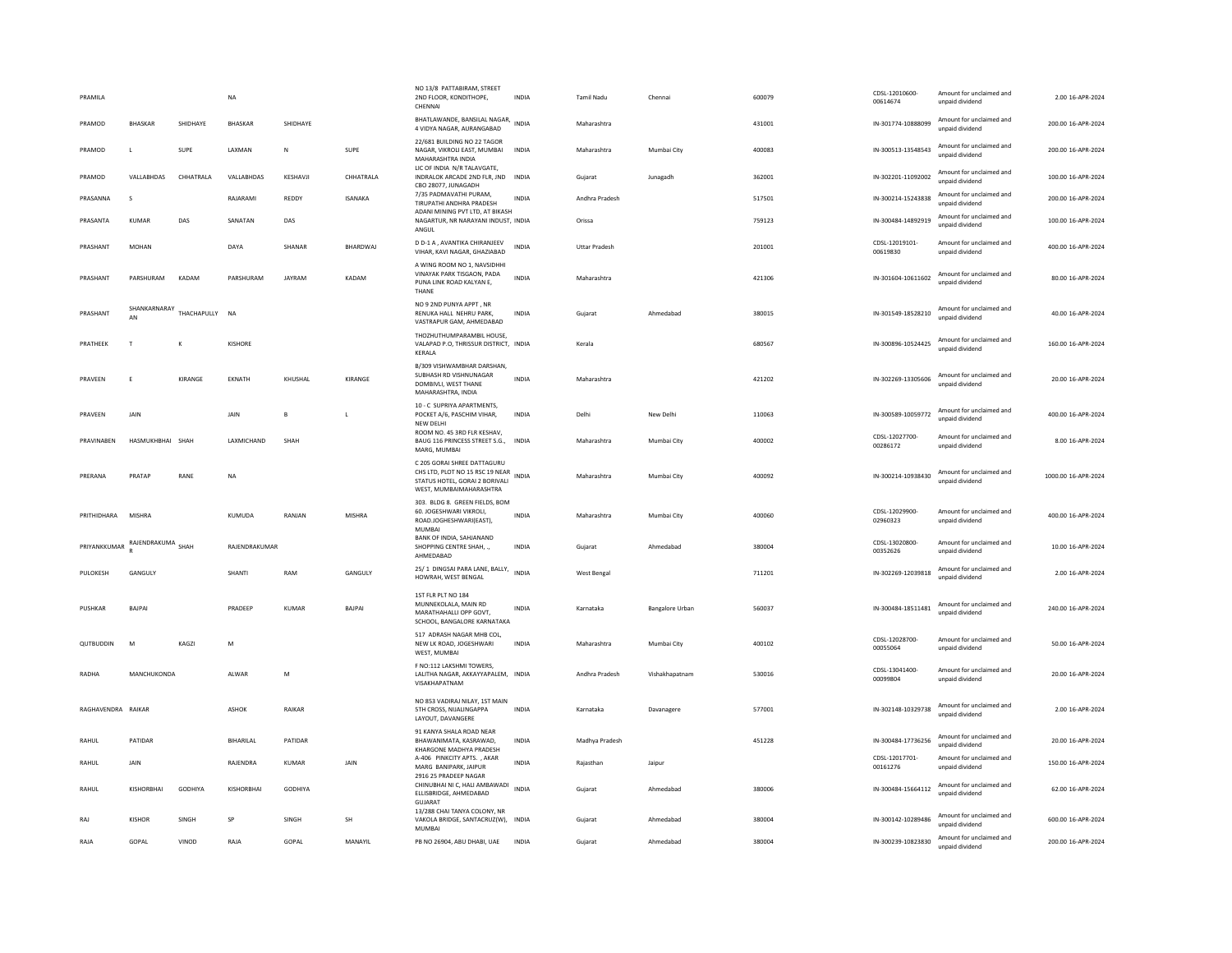| PRAMILA            |                    |             | <b>NA</b>        |               |                 | NO 13/8 PATTABIRAM, STREET<br>2ND FLOOR, KONDITHOPE,<br>CHENNAL                                                             | <b>INDIA</b> | Tamil Nadu           | Chennai         | 600079 | CDSL-12010600-<br>00614674 | Amount for unclaimed and<br>unpaid dividend | 2.00 16-APR-2024    |
|--------------------|--------------------|-------------|------------------|---------------|-----------------|-----------------------------------------------------------------------------------------------------------------------------|--------------|----------------------|-----------------|--------|----------------------------|---------------------------------------------|---------------------|
| PRAMOD             | <b>BHASKAR</b>     | SHIDHAYE    | <b>BHASKAR</b>   | SHIDHAYE      |                 | BHATLAWANDE, BANSILAL NAGAR,<br>4 VIDYA NAGAR, AURANGABAD                                                                   | <b>INDIA</b> | Maharashtra          |                 | 431001 | IN-301774-10888099         | Amount for unclaimed and<br>unpaid dividend | 200.00 16-APR-2024  |
| PRAMOD             | $\mathbf{L}$       | SUPE        | LAXMAN           | ${\sf N}$     | <b>SUPE</b>     | 22/681 BUILDING NO 22 TAGOR<br>NAGAR, VIKROLI EAST, MUMBAI<br>MAHARASHTRA INDIA                                             | <b>INDIA</b> | Maharashtra          | Mumbai City     | 400083 | IN-300513-13548543         | Amount for unclaimed and<br>unpaid dividend | 200.00 16-APR-2024  |
| PRAMOD             | VALLABHDAS         | CHHATRALA   | VALLABHDAS       | KESHAVJI      | CHHATRALA       | LIC OF INDIA N/R TALAVGATE,<br>INDRALOK ARCADE 2ND FLR, JND INDIA<br>CBO 28077, JUNAGADH                                    |              | Gujarat              | Junagadh        | 362001 | IN-302201-11092002         | Amount for unclaimed and<br>unpaid dividend | 100.00 16-APR-2024  |
| PRASANNA           | s                  |             | RAJARAMI         | REDDY         | <b>ISANAKA</b>  | 7/35 PADMAVATHI PURAM,<br>TIRUPATHI ANDHRA PRADESH                                                                          | INDIA        | Andhra Pradesh       |                 | 517501 | IN-300214-15243838         | Amount for unclaimed and<br>unpaid dividend | 200.00 16-APR-2024  |
| PRASANTA           | <b>KUMAR</b>       | DAS         | SANATAN          | DAS           |                 | ADANI MINING PVT LTD, AT BIKASH<br>NAGARTUR, NR NARAYANI INDUST, INDIA<br>ANGUL                                             |              | Orissa               |                 | 759123 | IN-300484-14892919         | Amount for unclaimed and<br>unpaid dividend | 100.00 16-APR-2024  |
| PRASHANT           | MOHAN              |             | DAYA             | SHANAR        | <b>BHARDWAI</b> | D D-1 A, AVANTIKA CHIRANJEEV<br>VIHAR, KAVI NAGAR, GHAZIABAD                                                                | <b>INDIA</b> | <b>Uttar Pradesh</b> |                 | 201001 | CDSL-12019101-<br>00619830 | Amount for unclaimed and<br>unpaid dividend | 400.00 16-APR-2024  |
| PRASHANT           | PARSHURAM          | KADAM       | PARSHURAM        | <b>JAYRAM</b> | KADAM           | A WING ROOM NO 1. NAVSIDHHI<br>VINAYAK PARK TISGAON, PADA<br>PUNA LINK ROAD KALYAN E,<br>THANE                              | <b>INDIA</b> | Maharashtra          |                 | 421306 | IN-301604-10611602         | Amount for unclaimed and<br>unpaid dividend | 80.00 16-APR-2024   |
| PRASHANT           | SHANKARNARAY<br>AN | THACHAPULLY | <b>NA</b>        |               |                 | NO 9 2ND PUNYA APPT, NR<br>RENUKA HALL NEHRU PARK.<br>VASTRAPUR GAM, AHMEDABAD                                              | <b>INDIA</b> | Guiarat              | Ahmedabad       | 380015 | IN-301549-18528210         | Amount for unclaimed and<br>unpaid dividend | 40.00 16-APR-2024   |
| PRATHEEK           | T                  | K           | KISHORE          |               |                 | THOZHUTHUMPARAMBIL HOUSE,<br>VALAPAD P.O, THRISSUR DISTRICT, INDIA<br>KERALA                                                |              | Kerala               |                 | 680567 | IN-300896-10524425         | Amount for unclaimed and<br>unpaid dividend | 160.00 16-APR-2024  |
| PRAVEEN            | E                  | KIRANGE     | EKNATH           | KHUSHAL       | KIRANGE         | B/309 VISHWAMBHAR DARSHAN,<br>SURHASH RD VISHNUNAGAR<br>DOMBIVLI, WEST THANE<br>MAHARASHTRA, INDIA                          | <b>INDIA</b> | Maharashtra          |                 | 421202 | IN-302269-13305606         | Amount for unclaimed and<br>unpaid dividend | 20.00 16-APR-2024   |
| PRAVEEN            | JAIN               |             | JAIN             | $\mathbf{B}$  |                 | 10 - C SUPRIYA APARTMENTS.<br>POCKET A/6, PASCHIM VIHAR,<br>NEW DELHI                                                       | <b>INDIA</b> | Delhi                | New Delhi       | 110063 | IN-300589-10059772         | Amount for unclaimed and<br>unnaid dividend | 400.00 16-APR-2024  |
| PRAVINABEN         | HASMUKHBHAI SHAH   |             | LAXMICHAND       | SHAH          |                 | ROOM NO. 45 3RD FLR KESHAV,<br>BAUG 116 PRINCESS STREET S.G., INDIA<br>MARG, MUMBAI                                         |              | Maharashtra          | Mumbai City     | 400002 | CDSL-12027700-<br>00286172 | Amount for unclaimed and<br>unpaid dividend | 8.00 16-APR-2024    |
| PRERANA            | PRATAP             | RANE        | $_{\sf NA}$      |               |                 | C 205 GORAI SHREE DATTAGURU<br>CHS LTD. PLOT NO 15 RSC 19 NEAR<br>STATUS HOTEL, GORAI 2 BORIVALI<br>WEST, MUMBAIMAHARASHTRA | <b>INDIA</b> | Maharashtra          | Mumbai City     | 400092 | IN-300214-10938430         | Amount for unclaimed and<br>unpaid dividend | 1000.00 16-APR-2024 |
| PRITHIDHARA        | MISHRA             |             | KUMUDA           | RANJAN        | <b>MISHRA</b>   | 303. BLDG 8. GREEN FIELDS, BOM<br>60. JOGESHWARI VIKROLI,<br>ROAD.JOGHESHWARI(EAST),<br>MUMBA                               | <b>INDIA</b> | Maharashtra          | Mumbai City     | 400060 | CDSL-12029900-<br>02960323 | Amount for unclaimed and<br>unpaid dividend | 400.00 16-APR-2024  |
| PRIYANKKUMAR       | RAJENDRAKUMA SHAH  |             | RAJENDRAKUMAR    |               |                 | BANK OF INDIA, SAHJANAND<br>SHOPPING CENTRE SHAH, .,<br>AHMEDABAD                                                           | <b>INDIA</b> | Gujarat              | Ahmedabad       | 380004 | CDSL-13020800-<br>00352626 | Amount for unclaimed and<br>unpaid dividend | 10.00 16-APR-2024   |
| PULOKESH           | GANGULY            |             | SHANTI           | RAM           | GANGULY         | 25/1 DINGSAI PARA LANE, BALLY,<br>HOWRAH, WEST BENGAL                                                                       | <b>INDIA</b> | <b>West Bengal</b>   |                 | 711201 | IN-302269-12039818         | Amount for unclaimed and<br>unnaid dividend | 2.00 16-APR-2024    |
| PUSHKAR            | BAIPAL             |             | PRADEEP          | KUMAR         | <b>BAIPAL</b>   | 1ST FLR PLT NO 184<br>MUNNEKOLALA, MAIN RD<br>MARATHAHALLI OPP GOVT,<br>SCHOOL, BANGALORE KARNATAKA                         | <b>INDIA</b> | Karnataka            | Bangalore Urban | 560037 | IN-300484-18511481         | Amount for unclaimed and<br>unpaid dividend | 240.00 16-APR-2024  |
| QUTBUDDIN          | M                  | KAGZI       | M                |               |                 | 517 ADRASH NAGAR MHB COL,<br>NEW LK ROAD, JOGESHWARI<br>WEST, MUMBAI                                                        | <b>INDIA</b> | Maharashtra          | Mumbai City     | 400102 | CDSL-12028700-<br>00055064 | Amount for unclaimed and<br>unpaid dividend | 50.00 16-APR-2024   |
| RADHA              | MANCHUKONDA        |             | ALWAR            | M             |                 | F NO:112 LAKSHMI TOWERS,<br>LALITHA NAGAR, AKKAYYAPALEM. INDIA<br>VISAKHAPATNAM                                             |              | Andhra Pradesh       | Vishakhapatnam  | 530016 | CDSL-13041400-<br>00099804 | Amount for unclaimed and<br>unpaid dividend | 20.00 16-APR-2024   |
| RAGHAVENDRA RAIKAR |                    |             | ASHOK            | RAIKAR        |                 | NO 853 VADIRAJ NILAY, 1ST MAIN<br>5TH CROSS, NUALINGAPPA<br>LAYOUT, DAVANGERE                                               | <b>INDIA</b> | Karnataka            | Davanagere      | 577001 | IN-302148-10329738         | Amount for unclaimed and<br>unpaid dividend | 2.00 16-APR-2024    |
| RAHUL              | PATIDAR            |             | <b>BIHARILAL</b> | PATIDAR       |                 | 91 KANYA SHALA ROAD NEAR<br>BHAWANIMATA, KASRAWAD,<br>KHARGONE MADHYA PRADESH                                               | <b>INDIA</b> | Madhya Pradesh       |                 | 451228 | IN-300484-17736256         | Amount for unclaimed and<br>unpaid dividend | 20.00 16-APR-2024   |
| RAHUL              | JAIN               |             | RAJENDRA         | KUMAR         | JAIN            | A-406 PINKCITY APTS., AKAR<br>MARG BANIPARK, JAIPUR<br>2916 25 PRADEEP NAGAR                                                | <b>INDIA</b> | Rajasthan            | Jaipur          |        | CDSL-12017701-<br>00161276 | Amount for unclaimed and<br>unpaid dividend | 150.00 16-APR-2024  |
| RAHUL              | KISHORBHAI         | GODHIYA     | KISHORBHAI       | GODHIYA       |                 | CHINUBHAI NI C, HALI AMBAWADI<br>ELLISBRIDGE, AHMEDABAD<br>GUJARAT                                                          | <b>INDIA</b> | Gujarat              | Ahmedabad       | 380006 | IN-300484-15664112         | Amount for unclaimed and<br>unpaid dividend | 62.00 16-APR-2024   |
| RAJ                | <b>KISHOR</b>      | SINGH       | SP               | SINGH         | SH              | 13/288 CHAI TANYA COLONY, NR<br>VAKOLA BRIDGE, SANTACRUZ(W), INDIA<br>MUMBAI                                                |              | Gujarat              | Ahmedabad       | 380004 | IN-300142-10289486         | Amount for unclaimed and<br>unpaid dividend | 600.00 16-APR-2024  |
| RAJA               | GOPAL              | VINOD       | RAJA             | GOPAL         | MANAYIL         | PB NO 26904, ABU DHABI, UAE                                                                                                 | <b>INDIA</b> | Gujarat              | Ahmedabad       | 380004 | IN-300239-10823830         | Amount for unclaimed and<br>unnaid dividend | 200.00 16-APR-2024  |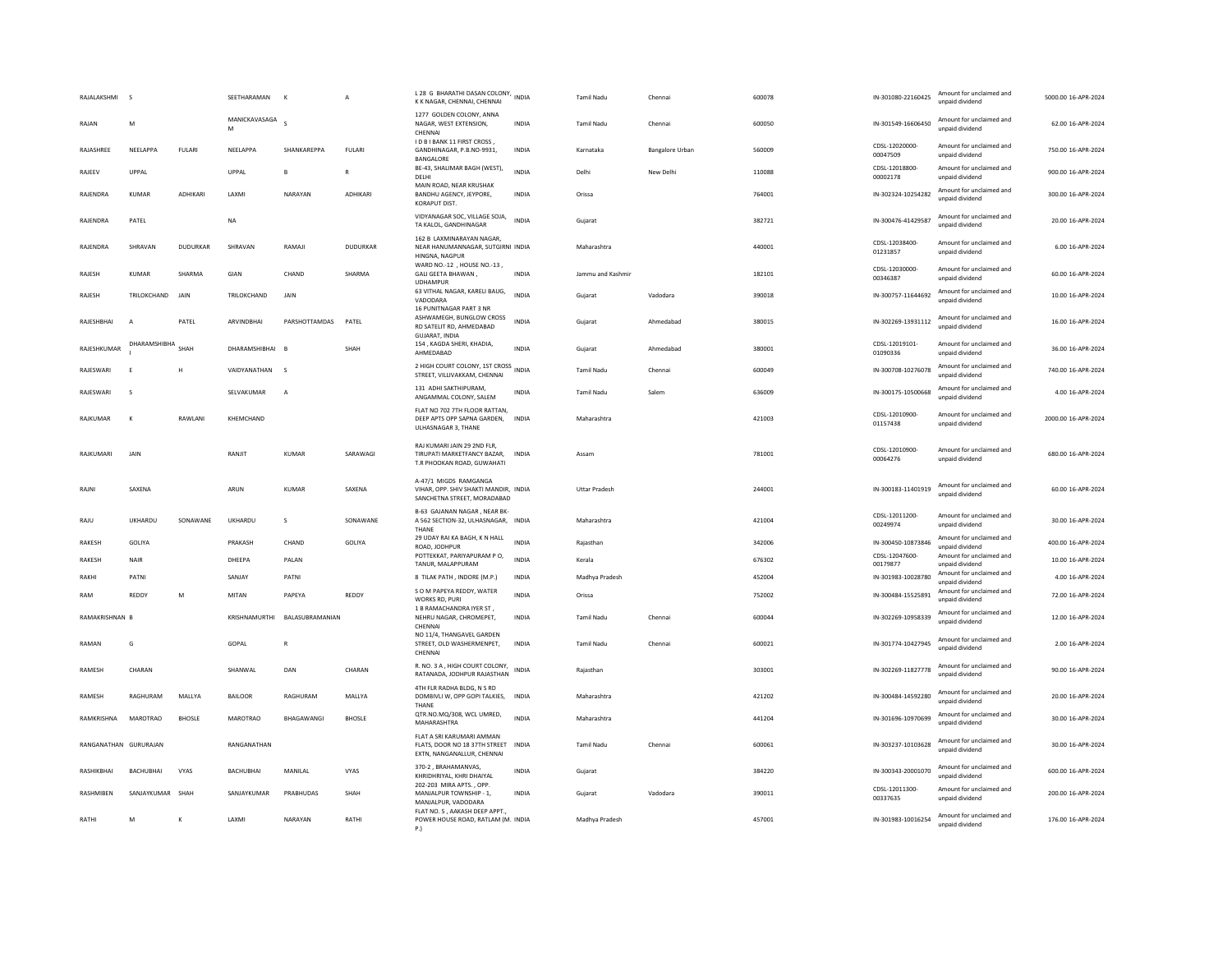| RAJALAKSHMI           | s                |                 | SEETHARAMAN        | K                             | A               | L 28 G BHARATHI DASAN COLONY, INDIA<br>K K NAGAR, CHENNAI, CHENNAI                                       |              | Tamil Nadu           | Chennai         | 600078 | IN-301080-22160425         | Amount for unclaimed and<br>unpaid dividend | 5000.00 16-APR-2024 |
|-----------------------|------------------|-----------------|--------------------|-------------------------------|-----------------|----------------------------------------------------------------------------------------------------------|--------------|----------------------|-----------------|--------|----------------------------|---------------------------------------------|---------------------|
| RAIAN                 | M                |                 | MANICKAVASAGA<br>M |                               |                 | 1277 GOLDEN COLONY, ANNA<br>NAGAR, WEST EXTENSION.<br>CHENNA                                             | <b>INDIA</b> | Tamil Nadu           | Chennai         | 600050 | IN-301549-16606450         | Amount for unclaimed and<br>unpaid dividend | 62.00 16-APR-2024   |
| RAJASHREE             | NEELAPPA         | FULARI          | NEELAPPA           | SHANKAREPPA                   | <b>FULARI</b>   | I D B I BANK 11 FIRST CROSS,<br>GANDHINAGAR, P.B.NO-9931,<br>BANGALORE                                   | INDIA        | Karnataka            | Bangalore Urban | 560009 | CDSL-12020000<br>00047509  | Amount for unclaimed and<br>unpaid dividend | 750.00 16-APR-2024  |
| RAJEEV                | UPPAL            |                 | UPPAL              |                               | $\overline{R}$  | BE-43, SHALIMAR BAGH (WEST),<br>DELHI                                                                    | <b>INDIA</b> | Delhi                | New Delhi       | 110088 | CDSL-12018800-<br>00002178 | Amount for unclaimed and<br>unpaid dividend | 900.00 16-APR-2024  |
| RAJENDRA              | <b>KUMAR</b>     | ADHIKARI        | LAXMI              | NARAYAN                       | ADHIKARI        | MAIN ROAD, NEAR KRUSHAK<br>BANDHU AGENCY, JEYPORE,<br>KORAPUT DIST.                                      | INDIA        | Orissa               |                 | 764001 | IN-302324-10254282         | Amount for unclaimed and<br>unpaid dividend | 300.00 16-APR-2024  |
| RAJENDRA              | PATEL            |                 | <b>NA</b>          |                               |                 | VIDYANAGAR SOC, VILLAGE SOJA,<br>TA KALOL, GANDHINAGAR                                                   | <b>INDIA</b> | Gujarat              |                 | 382721 | IN-300476-41429587         | Amount for unclaimed and<br>unpaid dividend | 20.00 16-APR-2024   |
| RAJENDRA              | SHRAVAN          | <b>DUDURKAR</b> | SHRAVAN            | RAMAJI                        | <b>DUDURKAR</b> | 162 B LAXMINARAYAN NAGAR,<br>NEAR HANUMANNAGAR, SUTGIRNI INDIA<br>HINGNA, NAGPUR                         |              | Maharashtra          |                 | 440001 | CDSL-12038400<br>01231857  | Amount for unclaimed and<br>unpaid dividend | 6.00 16-APR-2024    |
| RAJESH                | KUMAR            | SHARMA          | GIAN               | CHAND                         | SHARMA          | WARD NO.-12 , HOUSE NO.-13<br>GALI GEETA BHAWAN,<br><b>UDHAMPUR</b>                                      | <b>INDIA</b> | Jammu and Kashmir    |                 | 182101 | CDSL-12030000-<br>00346387 | Amount for unclaimed and<br>unpaid dividend | 60.00 16-APR-2024   |
| RAJESH                | TRILOKCHAND      | JAIN            | TRILOKCHAND        | JAIN                          |                 | 63 VITHAL NAGAR, KARELI BAUG,<br>VADODARA                                                                | <b>INDIA</b> | Gujarat              | Vadodara        | 390018 | IN-300757-11644692         | Amount for unclaimed and<br>unnaid dividend | 10.00 16-APR-2024   |
| RAJESHBHAI            | $\overline{A}$   | PATEL           | ARVINDBHAI         | PARSHOTTAMDAS                 | PATEL           | 16 PUNITNAGAR PART 3 NR<br>ASHWAMEGH, BUNGLOW CROSS<br>RD SATELIT RD, AHMEDABAD<br><b>GUJARAT, INDIA</b> | INDIA        | Gujarat              | Ahmedabad       | 380015 | IN-302269-13931112         | Amount for unclaimed and<br>unpaid dividend | 16.00 16-APR-2024   |
| RAJESHKUMAR           | DHARAMSHIBHA     | SHAH            | DHARAMSHIBHAI      |                               | SHAH            | 154, KAGDA SHERI, KHADIA,<br>AHMEDABAD                                                                   | <b>INDIA</b> | Gujarat              | Ahmedabad       | 380001 | CDSL-12019101-<br>01090336 | Amount for unclaimed and<br>unpaid dividend | 36.00 16-APR-2024   |
| RAJESWARI             | E                | H               | VAIDYANATHAN       | $\mathsf{s}$                  |                 | 2 HIGH COURT COLONY, 1ST CROSS INDIA<br>STREET, VILLIVAKKAM, CHENNAI                                     |              | Tamil Nadu           | Chennai         | 600049 | IN-300708-10276078         | Amount for unclaimed and<br>unpaid dividend | 740.00 16-APR-2024  |
| RAJESWARI             | s                |                 | SELVAKUMAR         | $\overline{A}$                |                 | 131 ADHI SAKTHIPURAM,<br>ANGAMMAL COLONY, SALEM                                                          | INDIA        | Tamil Nadu           | Salem           | 636009 | IN-300175-10500668         | Amount for unclaimed and<br>unpaid dividend | 4.00 16-APR-2024    |
| RAJKUMAR              | $\mathsf{K}$     | RAWLANI         | KHEMCHAND          |                               |                 | FLAT NO 702 7TH FLOOR RATTAN,<br>DEEP APTS OPP SAPNA GARDEN, INDIA<br>ULHASNAGAR 3, THANE                |              | Maharashtra          |                 | 421003 | CDSL-12010900-<br>01157438 | Amount for unclaimed and<br>unpaid dividend | 2000.00 16-APR-2024 |
| RAJKUMARI             | JAIN             |                 | RANJIT             | <b>KUMAR</b>                  | SARAWAGI        | RAJ KUMARI JAIN 29 2ND FLR.<br>TIRUPATI MARKETFANCY BAZAR,<br>T.R PHOOKAN ROAD, GUWAHATI                 | INDIA        | Assam                |                 | 781001 | CDSL-12010900-<br>00064276 | Amount for unclaimed and<br>unpaid dividend | 680.00 16-APR-2024  |
| RAJN                  | SAXENA           |                 | ARUN               | KUMAR                         | SAXENA          | A-47/1 MIGDS RAMGANGA<br>VIHAR, OPP. SHIV SHAKTI MANDIR, INDIA<br>SANCHETNA STREET, MORADABAD            |              | <b>Uttar Pradesh</b> |                 | 244001 | IN-300183-11401919         | Amount for unclaimed and<br>unpaid dividend | 60.00 16-APR-2024   |
| RAJU                  | UKHARDU          | SONAWANE        | UKHARDU            | $\mathsf{s}$                  | SONAWANE        | B-63 GAJANAN NAGAR , NEAR BK-<br>A 562 SECTION-32, ULHASNAGAR, INDIA<br>THANE                            |              | Maharashtra          |                 | 421004 | CDSI-12011200-<br>00249974 | Amount for unclaimed and<br>unpaid dividend | 30.00 16-APR-2024   |
| RAKESH                | GOLIYA           |                 | PRAKASH            | CHAND                         | GOLIYA          | 29 UDAY RAI KA BAGH, K N HALL<br>ROAD, JODHPUR                                                           | <b>INDIA</b> | Raiasthan            |                 | 342006 | IN-300450-10873846         | Amount for unclaimed and<br>unpaid dividend | 400.00 16-APR-2024  |
| <b>RAKESH</b>         | NAIR             |                 | DHEEPA             | PALAN                         |                 | POTTEKKAT, PARIYAPURAM PO,<br>TANUR, MALAPPURAM                                                          | INDIA        | Kerala               |                 | 676302 | CDSI-12047600-<br>00179877 | Amount for unclaimed and<br>unpaid dividend | 10.00 16-APR-2024   |
| RAKHI                 | PATNI            |                 | SANJAY             | PATNI                         |                 | 8 TILAK PATH , INDORE (M.P.)                                                                             | <b>INDIA</b> | Madhya Pradesh       |                 | 452004 | IN-301983-10028780         | Amount for unclaimed and<br>unpaid dividend | 4.00 16-APR-2024    |
| RAM                   | REDDY            | M               | MITAN              | PAPFYA                        | REDDY           | S O M PAPEYA REDDY, WATER<br>WORKS RD, PURI<br>1 B RAMACHANDRA IYER ST,                                  | <b>INDIA</b> | Orissa               |                 | 752002 | IN-300484-15525891         | Amount for unclaimed and<br>unpaid dividend | 72.00 16-APR-2024   |
| RAMAKRISHNAN B        |                  |                 |                    | KRISHNAMURTHI BALASUBRAMANIAN |                 | NEHRU NAGAR, CHROMEPET,<br>CHENNAI                                                                       | <b>INDIA</b> | <b>Tamil Nadu</b>    | Chennai         | 600044 | IN-302269-10958339         | Amount for unclaimed and<br>unpaid dividend | 12.00 16-APR-2024   |
| RAMAN                 | G                |                 | GOPAL              | $\mathsf{R}$                  |                 | NO 11/4, THANGAVEL GARDEN<br>STREET, OLD WASHERMENPET,<br>CHENNAL                                        | <b>INDIA</b> | <b>Tamil Nadu</b>    | Chenna          | 600021 | IN-301774-10427945         | Amount for unclaimed and<br>unpaid dividend | 2.00 16-APR-2024    |
| RAMESH                | CHARAN           |                 | SHANWAL            | DAN                           | CHARAN          | R. NO. 3 A, HIGH COURT COLONY,<br>RATANADA, JODHPUR RAJASTHAN                                            | <b>INDIA</b> | Rajasthan            |                 | 303001 | IN-302269-11827778         | Amount for unclaimed and<br>unpaid dividend | 90.00 16-APR-2024   |
| RAMESH                | RAGHURAM         | MALLYA          | <b>BAILOOR</b>     | RAGHURAM                      | MALLYA          | 4TH FLR RADHA BLDG, N S RD<br>DOMBIVLI W, OPP GOPI TALKIES, INDIA<br>THANE                               |              | Maharashtra          |                 | 421202 | IN-300484-14592280         | Amount for unclaimed and<br>unpaid dividend | 20.00 16-APR-2024   |
| RAMKRISHNA            | MAROTRAO         | <b>BHOSLE</b>   | <b>MAROTRAO</b>    | BHAGAWANGI                    | <b>BHOSLE</b>   | QTR.NO.MQ/308, WCL UMRED,<br>MAHARASHTRA                                                                 | <b>INDIA</b> | Maharashtra          |                 | 441204 | IN-301696-10970699         | Amount for unclaimed and<br>unpaid dividend | 30.00 16-APR-2024   |
| RANGANATHAN GURURAJAN |                  |                 | RANGANATHAN        |                               |                 | FLAT A SRI KARUMARI AMMAN<br>FLATS, DOOR NO 18 37TH STREET INDIA<br>EXTN, NANGANALLUR, CHENNAI           |              | Tamil Nadu           | Chennai         | 600061 | IN-303237-10103628         | Amount for unclaimed and<br>unpaid dividend | 30.00 16-APR-2024   |
| RASHIKRHAI            | <b>BACHURHAL</b> | <b>VYAS</b>     | <b>BACHURHAL</b>   | MANII AI                      | <b>VYAS</b>     | 370-2, BRAHAMANVAS,<br>KHRIDHRIYAL, KHRI DHAIYAL                                                         | <b>INDIA</b> | Gujarat              |                 | 384220 | IN-300343-20001070         | Amount for unclaimed and<br>unpaid dividend | 600.00 16-APR-2024  |
| RASHMIBEN             | SANJAYKUMAR SHAH |                 | SANJAYKUMAR        | PRABHUDAS                     | SHAH            | 202-203 MIRA APTS., OPP.<br>MANJALPUR TOWNSHIP - 1.<br>MANJALPUR, VADODARA                               | <b>INDIA</b> | Guiarat              | Vadodara        | 390011 | CDSL-12011300<br>00337635  | Amount for unclaimed and<br>unpaid dividend | 200.00 16-APR-2024  |
| RATHI                 | M                | K               | LAXM               | NARAYAN                       | RATHI           | FLAT NO. 5, AAKASH DEEP APPT.,<br>POWER HOUSE ROAD, RATLAM (M. INDIA<br>P.                               |              | Madhya Pradesh       |                 | 457001 | IN-301983-10016254         | Amount for unclaimed and<br>unpaid dividend | 176.00 16-APR-2024  |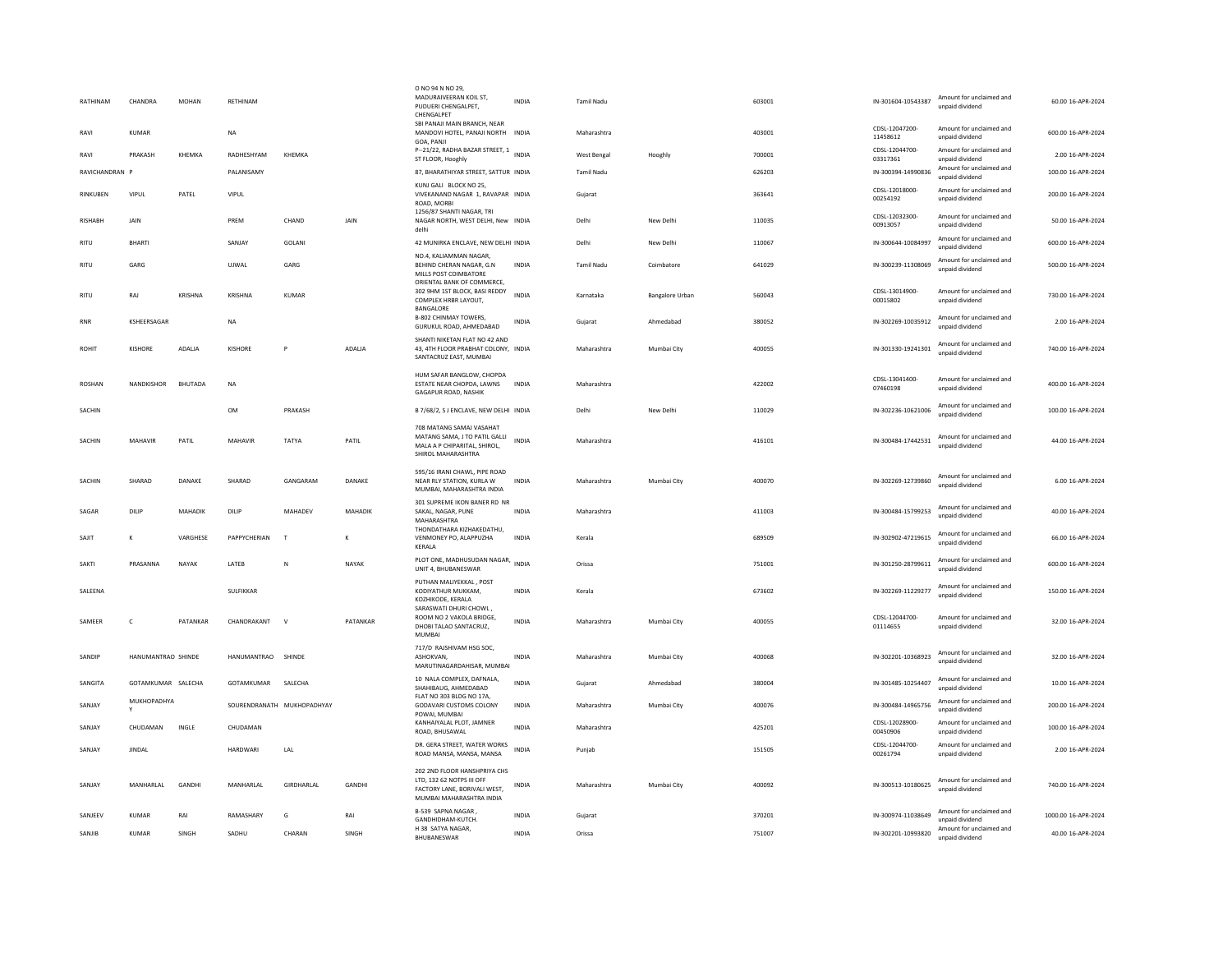| RATHINAM       | CHANDRA            | MOHAN          | RETHINAM           |                            |          | O NO 94 N NO 29,<br>MADURAIVEERAN KOIL ST,<br>PUDUERI CHENGALPET,<br>CHENGALPET                                       | <b>INDIA</b> | <b>Tamil Nadu</b> |                        | 603001 | IN-301604-10543387         | Amount for unclaimed and<br>unpaid dividend | 60.00 16-APR-2024   |
|----------------|--------------------|----------------|--------------------|----------------------------|----------|-----------------------------------------------------------------------------------------------------------------------|--------------|-------------------|------------------------|--------|----------------------------|---------------------------------------------|---------------------|
| RAVI           | KUMAR              |                | NA                 |                            |          | SBI PANAJI MAIN BRANCH, NEAR<br>MANDOVI HOTEL, PANAJI NORTH INDIA<br>GOA, PANJI                                       |              | Maharashtra       |                        | 403001 | CDSL-12047200-<br>11458612 | Amount for unclaimed and<br>unpaid dividend | 600.00 16-APR-2024  |
| RAVI           | PRAKASH            | KHEMKA         | RADHESHYAM         | KHEMKA                     |          | P--21/22, RADHA BAZAR STREET, 1 INDIA<br>ST FLOOR, Hooghly                                                            |              | West Bengal       | Hooghly                | 700001 | CDSL-12044700-<br>03317361 | Amount for unclaimed and<br>unpaid dividend | 2.00 16-APR-2024    |
| RAVICHANDRAN P |                    |                | <b>PAI ANISAMY</b> |                            |          | 87. BHARATHIYAR STREET, SATTUR INDIA                                                                                  |              | Tamil Nadu        |                        | 626203 | IN-300394-14990836         | Amount for unclaimed and<br>unpaid dividend | 100.00 16-APR-2024  |
| RINKUBEN       | VIPUL              | PATEL          | VIPUL              |                            |          | KUNJ GALI BLOCK NO 25,<br>VIVEKANAND NAGAR 1, RAVAPAR INDIA<br>ROAD, MORBI                                            |              | Guiarat           |                        | 363641 | CDSL-12018000-<br>00254192 | Amount for unclaimed and<br>unpaid dividend | 200.00 16-APR-2024  |
| <b>RISHABH</b> | JAIN               |                | PREM               | CHAND                      | JAIN     | 1256/87 SHANTI NAGAR, TRI<br>NAGAR NORTH, WEST DELHI, New INDIA<br>delhi                                              |              | Delhi             | New Delhi              | 110035 | CDSL-12032300-<br>00913057 | Amount for unclaimed and<br>unpaid dividend | 50.00 16-APR-2024   |
| RITU           | BHARTI             |                | SANJAY             | GOLANI                     |          | 42 MUNIRKA ENCLAVE, NEW DELHI INDIA                                                                                   |              | Delhi             | New Delhi              | 110067 | IN-300644-10084997         | Amount for unclaimed and<br>unpaid dividend | 600.00 16-APR-2024  |
| RITU           | GARG               |                | UJWAL              | GARG                       |          | NO.4. KALIAMMAN NAGAR.<br>BEHIND CHERAN NAGAR, G.N<br>MILLS POST COIMBATORE<br>ORIENTAL BANK OF COMMERCE,             | INDIA        | <b>Tamil Nadu</b> | Coimbatore             | 641029 | IN-300239-11308069         | Amount for unclaimed and<br>unpaid dividend | 500.00 16-APR-2024  |
| <b>RITU</b>    | RAJ                | KRISHNA        | KRISHNA            | <b>KUMAR</b>               |          | 302 9HM 1ST BLOCK, BASI REDDY<br>COMPLEX HRBR LAYOUT,<br>BANGALORE                                                    | <b>INDIA</b> | Karnataka         | <b>Bangalore Urban</b> | 560043 | CDSL-13014900-<br>00015802 | Amount for unclaimed and<br>unpaid dividend | 730.00 16-APR-2024  |
| <b>RNR</b>     | KSHEERSAGAR        |                | <b>NA</b>          |                            |          | B-802 CHINMAY TOWERS,<br>GURUKUL ROAD, AHMEDABAD                                                                      | <b>INDIA</b> | Gujarat           | Ahmedabad              | 380052 | IN-302269-10035912         | Amount for unclaimed and<br>unpaid dividend | 2.00 16-APR-2024    |
| <b>ROHIT</b>   | <b>KISHORE</b>     | ADALJA         | <b>KISHORE</b>     | Ð                          | ADALJA   | SHANTI NIKETAN FLAT NO 42 AND<br>43, 4TH FLOOR PRABHAT COLONY, INDIA<br>SANTACRUZ EAST, MUMBAI                        |              | Maharashtra       | Mumbai City            | 400055 | IN-301330-19241301         | Amount for unclaimed and<br>unnaid dividend | 740.00 16-APR-2024  |
| ROSHAN         | NANDKISHOR         | <b>BHUTADA</b> | NA                 |                            |          | HUM SAFAR BANGLOW, CHOPDA<br>ESTATE NEAR CHOPDA, LAWNS<br>GAGAPUR ROAD, NASHIK                                        | <b>INDIA</b> | Maharashtra       |                        | 422002 | CDSL-13041400-<br>07460198 | Amount for unclaimed and<br>unpaid dividend | 400.00 16-APR-2024  |
| SACHIN         |                    |                | OM                 | PRAKASH                    |          | B 7/68/2, S J ENCLAVE, NEW DELHI INDIA                                                                                |              | Delhi             | New Delhi              | 110029 | IN-302236-10621006         | Amount for unclaimed and<br>unpaid dividend | 100.00 16-APR-2024  |
| SACHIN         | MAHAVIR            | PATIL          | MAHAVIR            | TATYA                      | PATIL    | 708 MATANG SAMAJ VASAHAT<br>MATANG SAMA, J TO PATIL GALLI<br>MALA A P CHIPARITAL, SHIROL,<br>SHIROL MAHARASHTRA       | <b>INDIA</b> | Maharashtra       |                        | 416101 | IN-300484-17442531         | Amount for unclaimed and<br>unpaid dividend | 44.00 16-APR-2024   |
| SACHIN         | SHARAD             | DANAKE         | SHARAD             | GANGARAM                   | DANAKE   | 595/16 IRANI CHAWL, PIPE ROAD<br>NEAR RLY STATION, KURLA W<br>MUMBAI, MAHARASHTRA INDIA                               | <b>INDIA</b> | Maharashtra       | Mumbai City            | 400070 | IN-302269-12739860         | Amount for unclaimed and<br>unnaid dividend | 6.00 16-APR-2024    |
| SAGAR          | DILIP              | MAHADIK        | DILIP              | MAHADEV                    | MAHADIK  | 301 SUPREME IKON BANER RD NR<br>SAKAL, NAGAR, PUNE<br>MAHARASHTRA                                                     | <b>INDIA</b> | Maharashtra       |                        | 411003 | IN-300484-15799253         | Amount for unclaimed and<br>unpaid dividend | 40.00 16-APR-2024   |
| SAJIT          | $\mathbf{K}$       | VARGHESE       | PAPPYCHERIAN       | $\mathbf{I}$               | K        | THONDATHARA KIZHAKEDATHU,<br>VENMONEY PO, ALAPPUZHA<br>KERALA                                                         | <b>INDIA</b> | Kerala            |                        | 689509 | IN-302902-47219615         | Amount for unclaimed and<br>unpaid dividend | 66.00 16-APR-2024   |
| SAKTI          | PRASANNA           | NAYAK          | LATEB              | N                          | NAYAK    | PLOT ONE, MADHUSUDAN NAGAR, INDIA<br>UNIT 4. BHUBANESWAR                                                              |              | Orissa            |                        | 751001 | IN-301250-28799611         | Amount for unclaimed and<br>unpaid dividend | 600.00 16-APR-2024  |
| SALEENA        |                    |                | SULFIKKAR          |                            |          | PUTHAN MALIYEKKAL, POST<br>KODIYATHUR MUKKAM,<br>KOZHIKODE, KERALA                                                    | INDIA        | Kerala            |                        | 673602 | IN-302269-11229277         | Amount for unclaimed and<br>unpaid dividend | 150.00 16-APR-2024  |
| SAMEER         | $\mathsf{C}$       | PATANKAR       | CHANDRAKANT        | $\mathsf{v}$               | PATANKAR | SARASWATI DHURI CHOWL,<br>ROOM NO 2 VAKOLA BRIDGE.<br>DHOBI TALAO SANTACRUZ,<br>MUMBAI                                | <b>INDIA</b> | Maharashtra       | Mumbai City            | 400055 | CDSL-12044700-<br>01114655 | Amount for unclaimed and<br>unpaid dividend | 32.00 16-APR-2024   |
| SANDIP         | HANUMANTRAO SHINDE |                | HANUMANTRAO SHINDE |                            |          | 717/D RAJSHIVAM HSG SOC.<br>ASHOKVAN,<br>MARUTINAGARDAHISAR, MUMBAI                                                   | <b>INDIA</b> | Maharashtra       | Mumbai City            | 400068 | IN-302201-10368923         | Amount for unclaimed and<br>unpaid dividend | 32.00 16-APR-2024   |
| SANGITA        | GOTAMKUMAR SALECHA |                | GOTAMKUMAR         | SALECHA                    |          | 10 NALA COMPLEX, DAFNALA,<br>SHAHIBAUG, AHMEDABAD                                                                     | <b>INDIA</b> | Gujarat           | Ahmedabad              | 380004 | IN-301485-10254407         | Amount for unclaimed and<br>unpaid dividend | 10.00 16-APR-2024   |
| SANJAY         | MUKHOPADHYA        |                |                    | SOURENDRANATH MUKHOPADHYAY |          | FLAT NO 303 BLDG NO 17A.<br>GODAVARI CUSTOMS COLONY<br>POWAI, MUMBAI                                                  | INDIA        | Maharashtra       | Mumbai City            | 400076 | IN-300484-14965756         | Amount for unclaimed and<br>unpaid dividend | 200.00 16-APR-2024  |
| SANJAY         | CHUDAMAN           | INGLE          | CHUDAMAN           |                            |          | KANHAIYALAL PLOT, JAMNER<br>ROAD, BHUSAWAL                                                                            | <b>INDIA</b> | Maharashtra       |                        | 425201 | CDSL-12028900-<br>00450906 | Amount for unclaimed and<br>unpaid dividend | 100.00 16-APR-2024  |
| SANJAY         | JINDAL             |                | HARDWARI           | LAL                        |          | DR. GERA STREET, WATER WORKS<br>ROAD MANSA, MANSA, MANSA                                                              | <b>INDIA</b> | Puniab            |                        | 151505 | CDSL-12044700-<br>00261794 | Amount for unclaimed and<br>unpaid dividend | 2.00 16-APR-2024    |
| SANJAY         | MANHARLAL          | GANDHI         | MANHARLAL          | GIRDHARLAL                 | GANDHI   | 202 2ND FLOOR HANSHPRIYA CHS<br>LTD, 132 62 NOTPS III OFF<br>FACTORY LANE, BORIVALI WEST,<br>MUMBAI MAHARASHTRA INDIA | INDIA        | Maharashtra       | Mumbai City            | 400092 | IN-300513-10180625         | Amount for unclaimed and<br>unpaid dividend | 740.00 16-APR-2024  |
| SANJEEV        | KUMAR              | RAI            | RAMASHARY          | G                          | RAI      | B-539 SAPNA NAGAR<br>GANDHIDHAM-KUTCH.                                                                                | <b>INDIA</b> | Gujarat           |                        | 370201 | IN-300974-11038649         | Amount for unclaimed and<br>unnaid dividend | 1000.00 16-APR-2024 |
| SANJIB         | <b>KUMAR</b>       | SINGH          | SADHU              | CHARAN                     | SINGH    | H 38 SATYA NAGAR,<br><b>BHUBANESWAR</b>                                                                               | <b>INDIA</b> | Orissa            |                        | 751007 | IN-302201-10993820         | Amount for unclaimed and<br>unpaid dividend | 40.00 16-APR-2024   |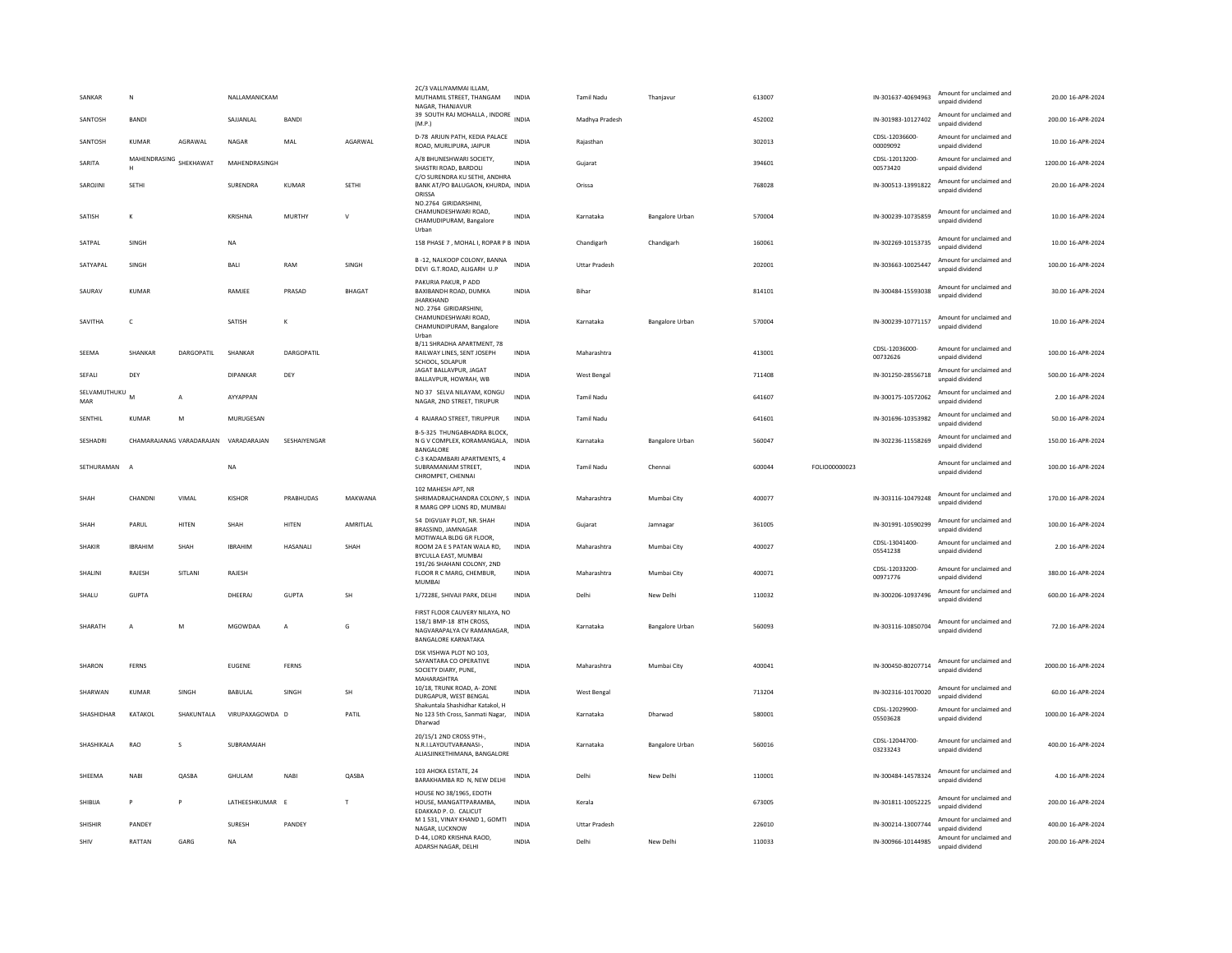| SANKAR                | N                 |                          | NALLAMANICKAM   |                   |               | 2C/3 VALLIYAMMAI ILLAM,<br>MUTHAMIL STREET, THANGAM<br>NAGAR, THANJAVUR                                               | <b>INDIA</b> | <b>Tamil Nadu</b>    | Thaniavur              | 613007 |               | IN-301637-40694963         | Amount for unclaimed and<br>unpaid dividend | 20.00 16-APR-2024   |
|-----------------------|-------------------|--------------------------|-----------------|-------------------|---------------|-----------------------------------------------------------------------------------------------------------------------|--------------|----------------------|------------------------|--------|---------------|----------------------------|---------------------------------------------|---------------------|
| SANTOSH               | BANDI             |                          | SAJJANLAL       | <b>BANDI</b>      |               | 39 SOUTH RAJ MOHALLA, INDORE<br>(M.P.)                                                                                | <b>INDIA</b> | Madhya Pradesh       |                        | 452002 |               | IN-301983-10127402         | Amount for unclaimed and<br>unpaid dividend | 200.00 16-APR-2024  |
| SANTOSH               | KUMAR             | AGRAWAL                  | NAGAR           | MAL               | AGARWAL       | D-78 ARJUN PATH, KEDIA PALACE<br>ROAD, MURLIPURA, JAIPUR                                                              | <b>INDIA</b> | Rajasthan            |                        | 302013 |               | CDSL-12036600-<br>00009092 | Amount for unclaimed and<br>unnaid dividend | 10.00 16-APR-2024   |
| SARITA                | MAHENDRASING<br>H | SHEKHAWAT                | MAHENDRASINGH   |                   |               | A/8 BHUNESHWARI SOCIETY,<br>SHASTRI ROAD, BARDOLI<br>C/O SURENDRA KU SETHI, ANDHRA                                    | <b>INDIA</b> | Gujarat              |                        | 394601 |               | CDSL-12013200-<br>00573420 | Amount for unclaimed and<br>unpaid dividend | 1200.00 16-APR-2024 |
| SAROJIN               | SETHI             |                          | SURENDRA        | KUMAR             | SETHI         | BANK AT/PO BALUGAON, KHURDA, INDIA<br>ORISSA                                                                          |              | Orissa               |                        | 768028 |               | IN-300513-13991822         | Amount for unclaimed and<br>unpaid dividend | 20.00 16-APR-2024   |
| SATISH                | $\kappa$          |                          | KRISHNA         | <b>MURTHY</b>     | v             | NO.2764 GIRIDARSHINI<br>CHAMUNDESHWARI ROAD.<br>CHAMUDIPURAM, Bangalore<br>Urban                                      | INDIA        | Karnataka            | <b>Bangalore Urban</b> | 570004 |               | IN-300239-10735859         | Amount for unclaimed and<br>unpaid dividend | 10.00 16-APR-2024   |
| SATPAL                | SINGH             |                          | <b>NA</b>       |                   |               | 158 PHASE 7, MOHAL I, ROPAR P B INDIA                                                                                 |              | Chandigarh           | Chandigarh             | 160061 |               | IN-302269-10153735         | Amount for unclaimed and<br>unpaid dividend | 10.00 16-APR-2024   |
| SATYAPAL              | SINGH             |                          | BALI            | RAM               | SINGH         | B-12, NALKOOP COLONY, BANNA<br>DEVI G.T.ROAD, ALIGARH U.P                                                             | <b>INDIA</b> | <b>Uttar Pradesh</b> |                        | 202001 |               | IN-303663-10025447         | Amount for unclaimed and<br>unpaid dividend | 100.00 16-APR-2024  |
| SAURAV                | KUMAR             |                          | RAMJEE          | PRASAD            | <b>BHAGAT</b> | PAKURIA PAKUR, P ADD<br>BAXIBANDH ROAD, DUMKA<br><b>JHARKHAND</b>                                                     | <b>INDIA</b> | Bihar                |                        | 814101 |               | IN-300484-15593038         | Amount for unclaimed and<br>unpaid dividend | 30.00 16-APR-2024   |
| SAVITHA               | $\mathsf{C}$      |                          | SATISH          | к                 |               | NO. 2764 GIRIDARSHINI.<br>CHAMUNDESHWARI ROAD,<br>CHAMUNDIPURAM, Bangalore<br>Urban                                   | <b>INDIA</b> | Karnataka            | <b>Bangalore Urban</b> | 570004 |               | IN-300239-10771157         | Amount for unclaimed and<br>unpaid dividend | 10.00 16-APR-2024   |
| SEEMA                 | SHANKAR           | <b>DARGOPATIL</b>        | SHANKAR         | <b>DARGOPATIL</b> |               | B/11 SHRADHA APARTMENT, 78<br>RAILWAY LINES, SENT JOSEPH<br>SCHOOL, SOLAPUR                                           | <b>INDIA</b> | Maharashtra          |                        | 413001 |               | CDSL-12036000<br>00732626  | Amount for unclaimed and<br>unpaid dividend | 100.00 16-APR-2024  |
| SEFALI                | DEY               |                          | DIPANKAR        | DEY               |               | JAGAT BALLAVPUR. JAGAT<br>BALLAVPUR, HOWRAH, WB                                                                       | <b>INDIA</b> | West Bengal          |                        | 711408 |               | IN-301250-28556718         | Amount for unclaimed and<br>unpaid dividend | 500.00 16-APR-2024  |
| SELVAMUTHUKU M<br>MAR |                   | A                        | AYYAPPAN        |                   |               | NO 37 SELVA NILAYAM, KONGU<br>NAGAR, 2ND STREET, TIRUPUR                                                              | INDIA        | Tamil Nadu           |                        | 641607 |               | IN-300175-10572062         | Amount for unclaimed and<br>unpaid dividend | 2.00 16-APR-2024    |
| <b>SENTHIL</b>        | KUMAR             | M                        | MURUGESAN       |                   |               | 4 RAJARAO STREET, TIRUPPUR                                                                                            | <b>INDIA</b> | <b>Tamil Nadu</b>    |                        | 641601 |               | IN-301696-10353982         | Amount for unclaimed and<br>unpaid dividend | 50.00 16-APR-2024   |
| SESHADRI              |                   | CHAMARAJANAG VARADARAJAN | VARADARAJAN     | SESHAIYENGAR      |               | B-5-325 THUNGABHADRA BLOCK.<br>N G V COMPLEX, KORAMANGALA, INDIA<br>BANGALORE                                         |              | Karnataka            | Bangalore Urban        | 560047 |               | IN-302236-11558269         | Amount for unclaimed and<br>unpaid dividend | 150.00 16-APR-2024  |
| SETHURAMAN            | $\overline{A}$    |                          | <b>NA</b>       |                   |               | C-3 KADAMBARI APARTMENTS, 4<br>SUBRAMANIAM STREET,<br>CHROMPET, CHENNAI                                               | <b>INDIA</b> | Tamil Nadu           | Chennai                | 600044 | FOLIO00000023 |                            | Amount for unclaimed and<br>unpaid dividend | 100.00 16-APR-2024  |
| SHAH                  | CHANDNI           | VIMAL                    | <b>KISHOR</b>   | PRABHUDAS         | MAKWANA       | 102 MAHESH APT, NR<br>SHRIMADRAJCHANDRA COLONY, S INDIA<br>R MARG OPP LIONS RD, MUMBAI                                |              | Maharashtra          | Mumbai City            | 400077 |               | IN-303116-10479248         | Amount for unclaimed and<br>unpaid dividend | 170.00 16-APR-2024  |
| SHAH                  | PARUL             | HITEN                    | SHAH            | HITEN             | AMRITI AI     | 54 DIGVIJAY PLOT, NR. SHAH<br>BRASSIND, JAMNAGAR                                                                      | <b>INDIA</b> | Gujarat              | Jamnagar               | 361005 |               | IN-301991-10590299         | Amount for unclaimed and<br>unpaid dividend | 100.00 16-APR-2024  |
| SHAKIR                | <b>IBRAHIM</b>    | SHAH                     | <b>IBRAHIM</b>  | HASANALI          | SHAH          | MOTIWALA BLDG GR FLOOR,<br>ROOM 2A E S PATAN WALA RD,<br>BYCULLA EAST, MUMBAI                                         | <b>INDIA</b> | Maharashtra          | Mumbai City            | 400027 |               | CDSL-13041400<br>05541238  | Amount for unclaimed and<br>unpaid dividend | 2.00 16-APR-2024    |
| SHALINI               | RAJESH            | SITLANI                  | RAJESH          |                   |               | 191/26 SHAHANI COLONY, 2ND<br>FLOOR R C MARG, CHEMBUR,<br>MUMBAI                                                      | <b>INDIA</b> | Maharashtra          | Mumbai City            | 400071 |               | CDSL-12033200-<br>00971776 | Amount for unclaimed and<br>unpaid dividend | 380.00 16-APR-2024  |
| SHALU                 | GUPTA             |                          | DHEERAJ         | GUPTA             | <b>SH</b>     | 1/7228E, SHIVAJI PARK, DELHI                                                                                          | INDIA        | Delhi                | New Delhi              | 110032 |               | IN-300206-10937496         | Amount for unclaimed and<br>unpaid dividend | 600.00 16-APR-2024  |
| SHARATH               | $\overline{A}$    | M                        | MGOWDAA         | $\mathsf{A}$      | G             | FIRST FLOOR CAUVERY NILAYA, NO<br>158/1 BMP-18 8TH CROSS,<br>NAGVARAPALYA CV RAMANAGAR,<br><b>BANGALORE KARNATAKA</b> | <b>INDIA</b> | Karnataka            | <b>Bangalore Urban</b> | 560093 |               | IN-303116-10850704         | Amount for unclaimed and<br>unpaid dividend | 72.00 16-APR-2024   |
| SHARON                | FERNS             |                          | <b>EUGENE</b>   | FERNS             |               | DSK VISHWA PLOT NO 103.<br>SAYANTARA CO OPERATIVE<br>SOCIETY DIARY, PUNE,                                             | <b>INDIA</b> | Maharashtra          | Mumbai City            | 400041 |               | IN-300450-80207714         | Amount for unclaimed and<br>unpaid dividend | 2000.00 16-APR-2024 |
| SHARWAN               | <b>KUMAR</b>      | SINGH                    | BABULAL         | SINGH             | <b>SH</b>     | MAHARASHTRA<br>10/18, TRUNK ROAD, A-ZONE<br>DURGAPUR, WEST BENGAL                                                     | <b>INDIA</b> | West Bengal          |                        | 713204 |               | IN-302316-10170020         | Amount for unclaimed and<br>unpaid dividend | 60.00 16-APR-2024   |
| SHASHIDHAR            | KATAKOL           | SHAKUNTALA               | VIRUPAXAGOWDA D |                   | PATIL         | Shakuntala Shashidhar Katakol, H<br>No 123 5th Cross, Sanmati Nagar,<br>Dharwad                                       | <b>INDIA</b> | Karnataka            | Dharwad                | 580001 |               | CDSL-12029900-<br>05503628 | Amount for unclaimed and<br>unpaid dividend | 1000.00 16-APR-2024 |
| SHASHIKALA            | RAO               | s                        | SUBRAMAIAH      |                   |               | 20/15/1 2ND CROSS 9TH-.<br>N.R.I.LAYOUTVARANASI-,<br>ALIASJINKETHIMANA, BANGALORE                                     | <b>INDIA</b> | Karnataka            | <b>Bangalore Urban</b> | 560016 |               | CDSL-12044700-<br>03233243 | Amount for unclaimed and<br>unpaid dividend | 400.00 16-APR-2024  |
| SHEEMA                | NABI              | QASBA                    | GHULAM          | <b>NABI</b>       | QASBA         | 103 AHOKA ESTATE, 24<br>BARAKHAMBA RD N, NEW DELHI                                                                    | INDIA        | Delhi                | New Delhi              | 110001 |               | IN-300484-14578324         | Amount for unclaimed and<br>unnaid dividend | 4.00 16-APR-2024    |
| SHIBIJA               |                   |                          | LATHEESHKUMAR E |                   | T             | HOUSE NO 38/1965, EDOTH<br>HOUSE, MANGATTPARAMBA,<br>EDAKKAD P. O. CALICUT                                            | INDIA        | Kerala               |                        | 673005 |               | IN-301811-10052225         | Amount for unclaimed and<br>unpaid dividend | 200.00 16-APR-2024  |
| SHISHIR               | PANDEY            |                          | SURESH          | PANDEY            |               | M 1 531, VINAY KHAND 1, GOMTI<br>NAGAR, LUCKNOW                                                                       | <b>INDIA</b> | <b>Uttar Pradesh</b> |                        | 226010 |               | IN-300214-13007744         | Amount for unclaimed and<br>unpaid dividend | 400.00 16-APR-2024  |
| SHIV                  | RATTAN            | GARG                     | <b>NA</b>       |                   |               | D-44, LORD KRISHNA RAOD,<br>ADARSH NAGAR. DELHI                                                                       | <b>INDIA</b> | Delhi                | New Delhi              | 110033 |               | IN-300966-10144985         | Amount for unclaimed and<br>unnaid dividend | 200.00 16-APR-2024  |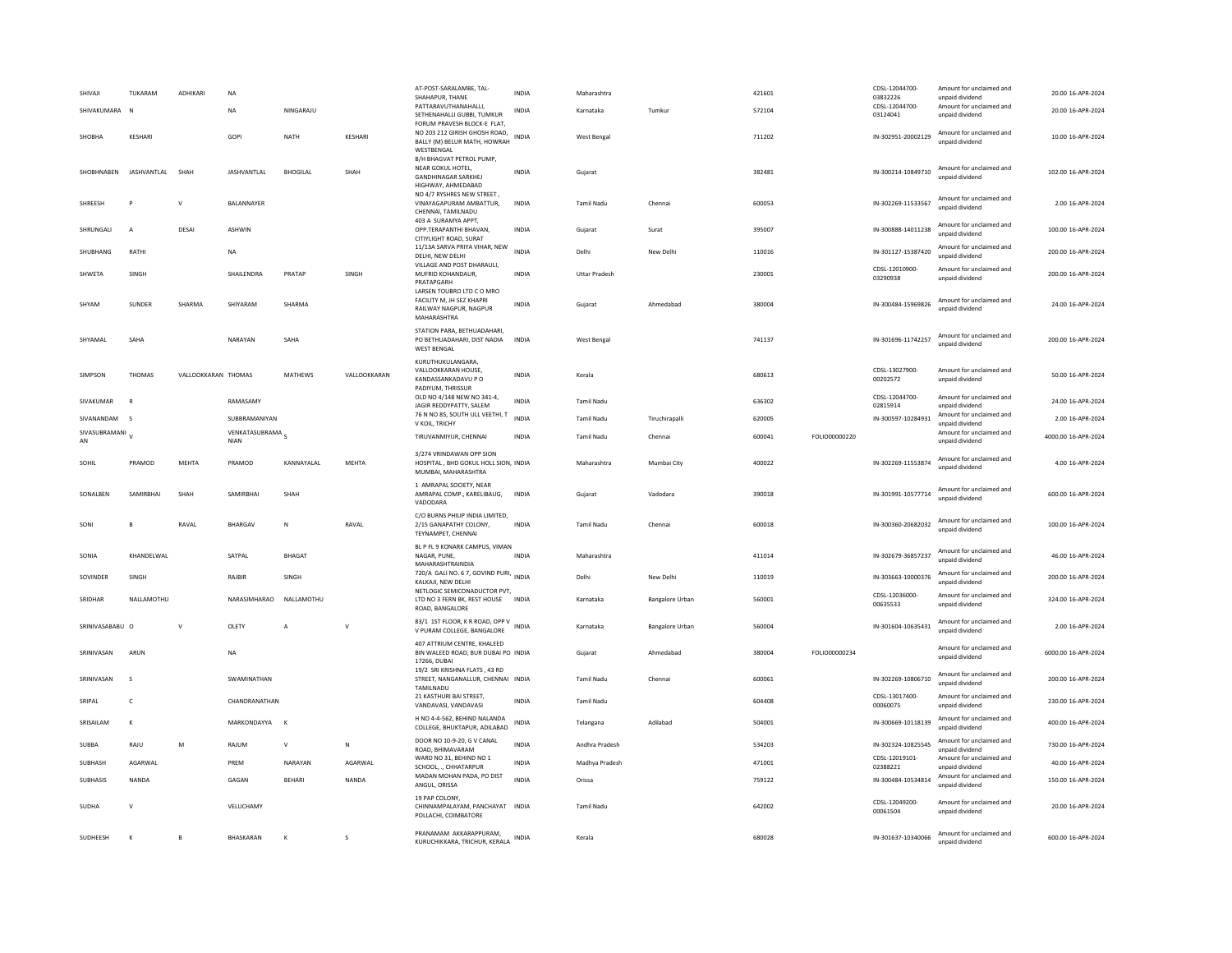| SHIVAII               | TUKARAM             | ADHIKARI            | <b>NA</b>                       |                 |              | AT-POST-SARALAMBE, TAL-<br>SHAHAPUR, THANE<br>PATTARAVUTHANAHALLI,                                | <b>INDIA</b> | Maharashtra          |                 | 421601 |               | CDSL-12044700-<br>03832226<br>CDSL-12044700- | Amount for unclaimed and<br>unpaid dividend<br>Amount for unclaimed and | 20.00 16-APR-2024   |
|-----------------------|---------------------|---------------------|---------------------------------|-----------------|--------------|---------------------------------------------------------------------------------------------------|--------------|----------------------|-----------------|--------|---------------|----------------------------------------------|-------------------------------------------------------------------------|---------------------|
| SHIVAKUMARA           | N                   |                     | <b>NA</b>                       | NINGARAILI      |              | SETHENAHALLI GUBBI, TUMKUR<br>FORUM PRAVESH BLOCK-E FLAT,                                         | <b>INDIA</b> | Karnataka            | Tumkur          | 572104 |               | 03124041                                     | unpaid dividend                                                         | 20.00 16-APR-2024   |
| SHOBHA                | <b>KESHARI</b>      |                     | GOPI                            | NATH            | KESHARI      | NO 203 212 GIRISH GHOSH ROAD.<br>BALLY (M) BELUR MATH, HOWRAH<br>WESTBENGAL                       | <b>INDIA</b> | West Bengal          |                 | 711202 |               | IN-302951-20002129                           | Amount for unclaimed and<br>unpaid dividend                             | 10.00 16-APR-2024   |
| SHOBHNABEN            | <b>IASHVANTI AI</b> | SHAH                | <b>JASHVANTLAL</b>              | <b>BHOGILAL</b> | SHAH         | B/H BHAGVAT PETROL PUMP,<br>NEAR GOKUL HOTEL,<br><b>GANDHINAGAR SARKHEJ</b><br>HIGHWAY, AHMEDABAD | <b>INDIA</b> | Gujarat              |                 | 382481 |               | IN-300214-10849710                           | Amount for unclaimed and<br>unpaid dividend                             | 102.00 16-APR-2024  |
| SHREESH               | $\overline{D}$      | $\vee$              | BALANNAYER                      |                 |              | NO 4/7 RYSHRES NEW STREET.<br>VINAYAGAPURAM AMBATTUR,<br>CHENNAI, TAMILNADU                       | <b>INDIA</b> | <b>Tamil Nadu</b>    | Chennai         | 600053 |               | IN-302269-11533567                           | Amount for unclaimed and<br>unnaid dividend                             | 2.00 16-APR-2024    |
| SHRUNGALI             | $\overline{A}$      | DESAI               | ASHWIN                          |                 |              | 403 A SURAMYA APPT,<br>OPP.TERAPANTHI BHAVAN,<br>CITIYLIGHT ROAD, SURAT                           | INDIA        | Gujarat              | Surat           | 395007 |               | IN-300888-14011238                           | Amount for unclaimed and<br>unpaid dividend                             | 100.00 16-APR-2024  |
| SHUBHANG              | RATHI               |                     | <b>NA</b>                       |                 |              | 11/13A SARVA PRIYA VIHAR, NEW<br>DELHI, NEW DELHI                                                 | <b>INDIA</b> | Delhi                | New Delhi       | 110016 |               | IN-301127-15387420                           | Amount for unclaimed and<br>hnebivib bisonu                             | 200.00 16-APR-2024  |
| SHWETA                | SINGH               |                     | SHAILENDRA                      | PRATAP          | SINGH        | VILLAGE AND POST DHARAULI,<br>MUFRID KOHANDAUR.<br>PRATAPGARH                                     | <b>INDIA</b> | <b>Uttar Pradesh</b> |                 | 230001 |               | CDSL-12010900-<br>03290938                   | Amount for unclaimed and<br>unpaid dividend                             | 200.00 16-APR-2024  |
| SHYAM                 | SUNDER              | SHARMA              | SHIYARAM                        | SHARMA          |              | LARSEN TOUBRO LTD C O MRO<br>FACILITY M, JH SEZ KHAPRI<br>RAILWAY NAGPUR, NAGPUR<br>MAHARASHTRA   | <b>INDIA</b> | Gujarat              | Ahmedahad       | 380004 |               | IN-300484-15969826                           | Amount for unclaimed and<br>unpaid dividend                             | 24.00.16-APR-2024   |
| SHYAMAL               | SAHA                |                     | NARAYAN                         | SAHA            |              | STATION PARA, BETHUADAHARI,<br>PO BETHUADAHARI, DIST NADIA<br><b>WEST BENGAL</b>                  | <b>INDIA</b> | West Bengal          |                 | 741137 |               | IN-301696-11742257                           | Amount for unclaimed and<br>unpaid dividend                             | 200.00 16-APR-2024  |
| SIMPSON               | <b>THOMAS</b>       | VALLOOKKARAN THOMAS |                                 | MATHEWS         | VALLOOKKARAN | KURUTHUKULANGARA,<br>VALLOOKKARAN HOUSE.<br>KANDASSANKADAVU P O                                   | <b>INDIA</b> | Kerala               |                 | 680613 |               | CDSL-13027900-<br>00202572                   | Amount for unclaimed and<br>unpaid dividend                             | 50.00 16-APR-2024   |
| SIVAKUMAR             | $\mathbf R$         |                     | RAMASAMY                        |                 |              | PADIYUM, THRISSUR<br>OLD NO 4/148 NEW NO 341-4,<br>JAGIR REDDYPATTY, SALEM                        | <b>INDIA</b> | <b>Tamil Nadu</b>    |                 | 636302 |               | CDSL-12044700-<br>02815914                   | Amount for unclaimed and<br>unpaid dividend                             | 24.00 16-APR-2024   |
| SIVANANDAM            | - S                 |                     | SUBBRAMANIYAN                   |                 |              | 76 N NO 85, SOUTH ULL VEETHI, T<br>V KOIL, TRICHY                                                 | <b>INDIA</b> | <b>Tamil Nadu</b>    | Tiruchirapalli  | 620005 |               | IN-300597-10284931                           | Amount for unclaimed and<br>unpaid dividend                             | 2.00 16-APR-2024    |
| SIVASUBRAMANI V<br>AN |                     |                     | VENKATASUBRAMA S<br><b>NIAN</b> |                 |              | TIRUVANMIYUR, CHENNAI                                                                             | INDIA        | <b>Tamil Nadu</b>    | Chennai         | 600041 | FOLIO00000220 |                                              | Amount for unclaimed and<br>unpaid dividend                             | 4000.00 16-APR-2024 |
| SOHIL                 | PRAMOD              | MEHTA               | PRAMOD                          | KANNAYALAL      | <b>MEHTA</b> | 3/274 VRINDAWAN OPP SION<br>HOSPITAL, BHD GOKUL HOLL SION, INDIA<br>MUMBAI, MAHARASHTRA           |              | Maharashtra          | Mumbai City     | 400022 |               | IN-302269-11553874                           | Amount for unclaimed and<br>unpaid dividend                             | 4.00 16-APR-2024    |
| SONALBEN              | SAMIRRHAI           | SHAH                | SAMIRBHAI                       | SHAH            |              | 1 AMRAPAL SOCIETY, NEAR<br>AMRAPAL COMP., KARELIBAUG,<br>VADODARA                                 | <b>INDIA</b> | Gujarat              | Vadodara        | 390018 |               | IN-301991-10577714                           | Amount for unclaimed and<br>unpaid dividend                             | 600.00 16-APR-2024  |
| SONI                  | B                   | RAVAL               | BHARGAV                         | ${\sf N}$       | RAVAL        | C/O BURNS PHILIP INDIA LIMITED.<br>2/15 GANAPATHY COLONY,<br>TEYNAMPET, CHENNAI                   | <b>INDIA</b> | <b>Tamil Nadu</b>    | Chennai         | 600018 |               | IN-300360-20682032                           | Amount for unclaimed and<br>unnaid dividend                             | 100.00 16-APR-2024  |
| SONIA                 | KHANDELWAL          |                     | SATPAL                          | <b>BHAGAT</b>   |              | BL P FL 9 KONARK CAMPUS, VIMAN<br>NAGAR, PUNE,<br>MAHARASHTRAINDIA                                | <b>INDIA</b> | Maharashtra          |                 | 411014 |               | IN-302679-36857237                           | Amount for unclaimed and<br>unpaid dividend                             | 46.00 16-APR-2024   |
| SOVINDER              | SINGH               |                     | RAIBIR                          | SINGH           |              | 720/A GALI NO. 6 7, GOVIND PURI, INDIA<br>KALKAJI. NEW DELHI                                      |              | Delhi                | New Delhi       | 110019 |               | IN-303663-10000376                           | Amount for unclaimed and<br>unpaid dividend                             | 200.00 16-APR-2024  |
| SRIDHAR               | NALLAMOTHU          |                     | NARASIMHARAO                    | NALLAMOTHU      |              | NETLOGIC SEMICONADUCTOR PVT,<br>LTD NO 3 FERN BK, REST HOUSE INDIA<br>ROAD, BANGALORE             |              | Karnataka            | Bangalore Urban | 560001 |               | CDSL-12036000-<br>00635533                   | Amount for unclaimed and<br>unpaid dividend                             | 324.00 16-APR-2024  |
| SRINIVASARARLI O      |                     | $\mathbf{v}$        | <b>OLETY</b>                    | $\overline{A}$  | $\mathsf{v}$ | 83/1 1ST FLOOR, K R ROAD, OPP V<br>V PURAM COLLEGE, BANGALORE                                     | <b>INDIA</b> | Karnataka            | Bangalore Urban | 560004 |               | IN-301604-10635431                           | Amount for unclaimed and<br>unpaid dividend                             | 2.00 16-APR-2024    |
| SRINIVASAN            | ARUN                |                     | <b>NA</b>                       |                 |              | 407 ATTRIUM CENTRE, KHALEED<br>BIN WALEED ROAD, BUR DUBAI PO INDIA<br>17266, DUBAI                |              | Gujarat              | Ahmedabad       | 380004 | FOLIO00000234 |                                              | Amount for unclaimed and<br>unpaid dividend                             | 6000.00 16-APR-2024 |
| SRINIVASAN            | $\mathbf{S}$        |                     | SWAMINATHAN                     |                 |              | 19/2 SRI KRISHNA FLATS, 43 RD<br>STREET, NANGANALLUR, CHENNAI INDIA<br>TAMILNADU                  |              | <b>Tamil Nadu</b>    | Chennai         | 600061 |               | IN-302269-10806710                           | Amount for unclaimed and<br>unpaid dividend                             | 200.00 16-APR-2024  |
| SRIPAL                | $\mathsf{C}$        |                     | CHANDRANATHAN                   |                 |              | 21 KASTHURI BAI STREET,<br>VANDAVASI, VANDAVASI                                                   | <b>INDIA</b> | <b>Tamil Nadu</b>    |                 | 604408 |               | CDSL-13017400-<br>00060075                   | Amount for unclaimed and<br>unpaid dividend                             | 230.00 16-APR-2024  |
| SRISAILAM             | $\kappa$            |                     | MARKONDAYYA K                   |                 |              | H NO 4-4-562, BEHIND NALANDA<br>COLLEGE, BHUKTAPUR, ADILABAD                                      | <b>INDIA</b> | Telangana            | Adilabad        | 504001 |               | IN-300669-10118139                           | Amount for unclaimed and<br>unpaid dividend                             | 400.00 16-APR-2024  |
| <b>SUBBA</b>          | RAJU                | M                   | RAJUM                           | $\mathsf{v}$    | N            | DOOR NO 10-9-20, G V CANAL<br>ROAD, BHIMAVARAM                                                    | <b>INDIA</b> | Andhra Pradesh       |                 | 534203 |               | IN-302324-10825545                           | Amount for unclaimed and<br>unpaid dividend                             | 730.00 16-APR-2024  |
| SUBHASH               | AGARWAL             |                     | PREM                            | NARAYAN         | AGARWAL      | WARD NO 31, BEHIND NO 1<br>SCHOOL, ., CHHATARPUR                                                  | INDIA        | Madhya Pradesh       |                 | 471001 |               | CDSL-12019101-<br>02388221                   | Amount for unclaimed and<br>unpaid dividend                             | 40.00 16-APR-2024   |
| SUBHASIS              | NANDA               |                     | GAGAN                           | <b>BEHARI</b>   | NANDA        | MADAN MOHAN PADA, PO DIST<br>ANGUL, ORISSA                                                        | <b>INDIA</b> | Orissa               |                 | 759122 |               | IN-300484-10534814                           | Amount for unclaimed and<br>unpaid dividend                             | 150.00 16-APR-2024  |
| SUDHA                 | $\mathbf{v}$        |                     | VELUCHAMY                       |                 |              | 19 PAP COLONY,<br>CHINNAMPALAYAM, PANCHAYAT INDIA<br>POLLACHI, COIMBATORE                         |              | <b>Tamil Nadu</b>    |                 | 642002 |               | CDSL-12049200-<br>00061504                   | Amount for unclaimed and<br>unpaid dividend                             | 20.00 16-APR-2024   |
| <b>SUDHEFSH</b>       | $\mathbf{K}$        | $\overline{B}$      | <b>BHASKARAN</b>                | K               | $\mathbf{s}$ | PRANAMAM AKKARAPPURAM,<br>KURUCHIKKARA, TRICHUR, KERALA                                           | <b>INDIA</b> | Kerala               |                 | 680028 |               | IN-301637-10340066                           | Amount for unclaimed and<br>unpaid dividend                             | 600.00 16-APR-2024  |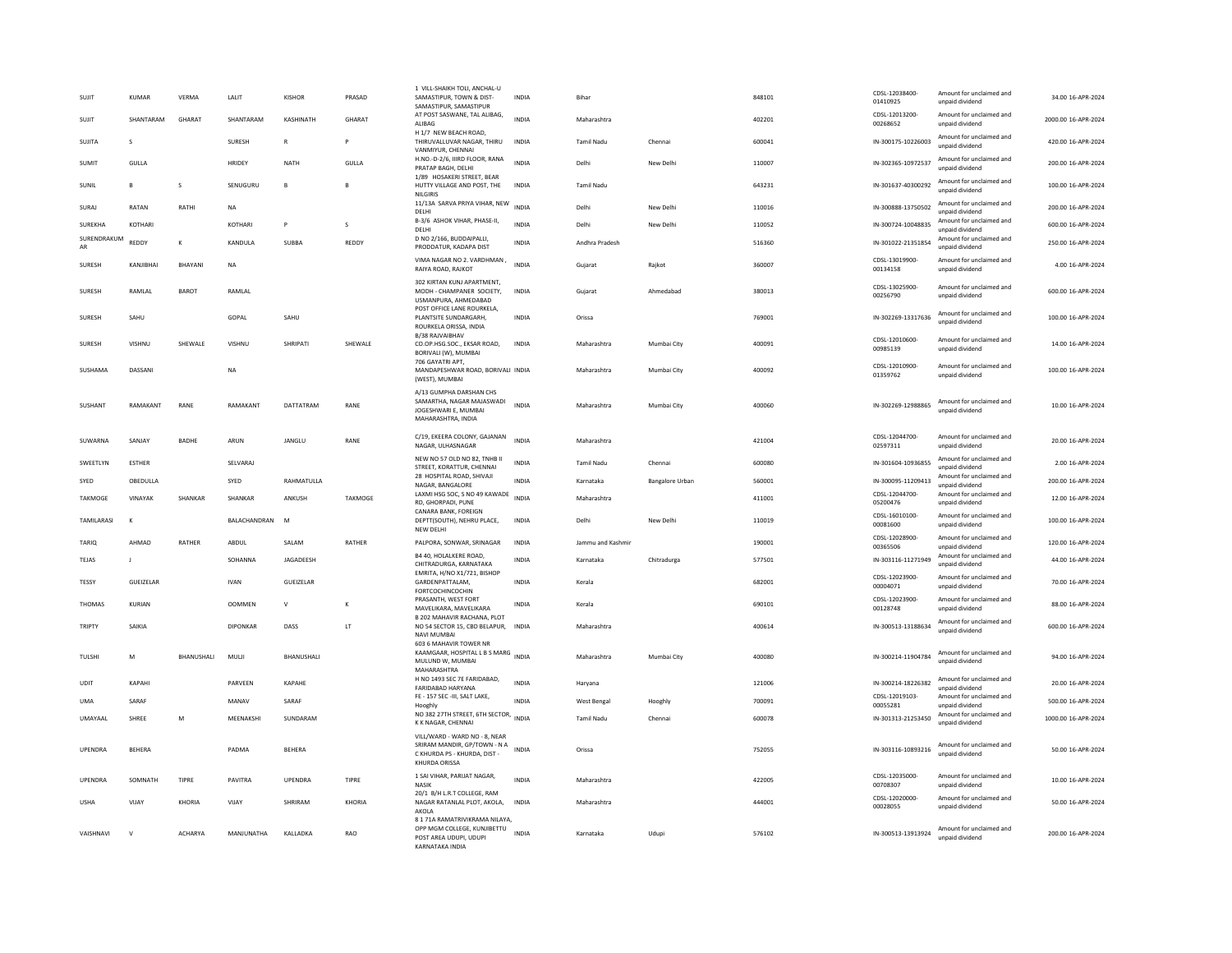| SUJIT             | KUMAR         | VERMA          | LALIT                | <b>KISHOR</b> | PRASAD       | 1 VILL-SHAIKH TOLI, ANCHAL-U<br>SAMASTIPUR, TOWN & DIST-<br>SAMASTIPUR, SAMASTIPUR                             | <b>INDIA</b> | Bihar             |                        | 848101 | CDSL-12038400<br>01410925  | Amount for unclaimed and<br>unpaid dividend | 34.00 16-APR-2024   |
|-------------------|---------------|----------------|----------------------|---------------|--------------|----------------------------------------------------------------------------------------------------------------|--------------|-------------------|------------------------|--------|----------------------------|---------------------------------------------|---------------------|
| SUJIT             | SHANTARAM     | GHARAT         | SHANTARAM            | KASHINATH     | GHARAT       | AT POST SASWANE, TAL ALIBAG,<br>ALIBAG                                                                         | <b>INDIA</b> | Maharashtra       |                        | 402201 | CDSL-12013200<br>00268652  | Amount for unclaimed and<br>unpaid dividend | 2000.00 16-APR-2024 |
| SUIITA            | $\mathcal{S}$ |                | <b>SURFSH</b>        | $\mathbb{R}$  | P            | H 1/7 NEW BEACH ROAD,<br>THIRUVALLUVAR NAGAR, THIRU<br>VANMIYUR, CHENNAI                                       | <b>INDIA</b> | Tamil Nadu        | Chennai                | 600041 | IN-300175-10226003         | Amount for unclaimed and<br>unpaid dividend | 420.00 16-APR-2024  |
| SUMIT             | GULLA         |                | HRIDEY               | <b>NATH</b>   | GULLA        | H.NO.-D-2/6, IIIRD FLOOR, RANA<br>PRATAP BAGH, DELHI                                                           | <b>INDIA</b> | Delhi             | New Delhi              | 110007 | IN-302365-10972537         | Amount for unclaimed and<br>unpaid dividend | 200.00 16-APR-2024  |
| SUNIL             | $\mathbf{B}$  | s              | SENUGURL             | B             | $\mathbf{B}$ | 1/89 HOSAKERI STREET, BEAR<br>HUTTY VILLAGE AND POST. THE<br><b>NILGIRIS</b>                                   | <b>INDIA</b> | <b>Tamil Nadu</b> |                        | 643231 | IN-301637-40300292         | Amount for unclaimed and<br>unpaid dividend | 100.00 16-APR-2024  |
| SURAJ             | RATAN         | RATHI          | <b>NA</b>            |               |              | 11/13A SARVA PRIYA VIHAR, NEW<br>DELHI                                                                         | <b>INDIA</b> | Delhi             | New Delhi              | 110016 | IN-300888-13750502         | Amount for unclaimed and<br>unpaid dividend | 200.00 16-APR-2024  |
| SUREKHA           | KOTHARI       |                | KOTHARI              | P             | s            | B-3/6 ASHOK VIHAR, PHASE-II.<br>DELHI                                                                          | <b>INDIA</b> | Delhi             | New Delhi              | 110052 | IN-300724-10048835         | Amount for unclaimed and<br>unpaid dividend | 600.00 16-APR-2024  |
| SURENDRAKUM<br>AR | REDDY         | К              | KANDULA              | SUBBA         | REDDY        | D NO 2/166, BUDDAIPALLI.<br>PRODDATUR, KADAPA DIST                                                             | <b>INDIA</b> | Andhra Pradesh    |                        | 516360 | IN-301022-21351854         | Amount for unclaimed and<br>unpaid dividend | 250.00 16-APR-2024  |
| <b>SURFSH</b>     | KANIIRHAI     | <b>BHAYANI</b> | <b>NA</b>            |               |              | VIMA NAGAR NO 2. VARDHMAN,<br>RAIYA ROAD, RAJKOT                                                               | <b>INDIA</b> | Gujarat           | Raikot                 | 360007 | CDSL-13019900-<br>00134158 | Amount for unclaimed and<br>unpaid dividend | 4.00 16-APR-2024    |
| SURESH            | RAMLAL        | <b>BAROT</b>   | RAMLAL               |               |              | 302 KIRTAN KUNI APARTMENT.<br>MODH - CHAMPANER SOCIETY,<br>USMANPURA, AHMEDABAD                                | INDIA        | Gujarat           | Ahmedabad              | 380013 | CDSL-13025900-<br>00256790 | Amount for unclaimed and<br>unpaid dividend | 600.00 16-APR-2024  |
| SURESH            | SAHU          |                | GOPAL                | SAHU          |              | POST OFFICE LANE ROURKELA,<br>PLANTSITE SUNDARGARH.<br>ROURKELA ORISSA, INDIA                                  | <b>INDIA</b> | Orissa            |                        | 769001 | IN-302269-13317636         | Amount for unclaimed and<br>unpaid dividend | 100.00 16-APR-2024  |
| SURESH            | VISHNU        | SHEWALE        | VISHNU               | SHRIPATI      | SHEWALE      | B/38 RAJVAIBHAV<br>CO.OP.HSG.SOC., EKSAR ROAD,<br>BORIVALI (W), MUMBAI                                         | <b>INDIA</b> | Maharashtra       | Mumbai City            | 400091 | CDSL-12010600-<br>00985139 | Amount for unclaimed and<br>unpaid dividend | 14.00 16-APR-2024   |
| SUSHAMA           | DASSANI       |                | NA                   |               |              | 706 GAYATRI APT.<br>MANDAPESHWAR ROAD, BORIVALI INDIA<br>(WEST), MUMBAI                                        |              | Maharashtra       | Mumbai City            | 400092 | CDSL-12010900-<br>01359762 | Amount for unclaimed and<br>unpaid dividend | 100.00 16-APR-2024  |
| SUSHANT           | RAMAKANT      | RANE           | RAMAKANT             | DATTATRAM     | RANE         | A/13 GUMPHA DARSHAN CHS<br>SAMARTHA, NAGAR MAJASWADI<br>JOGESHWARI E. MUMBAI<br>MAHARASHTRA, INDIA             | <b>INDIA</b> | Maharashtra       | Mumbai City            | 400060 | IN-302269-12988865         | Amount for unclaimed and<br>unpaid dividend | 10.00 16-APR-2024   |
| SUWARNA           | SANIAY        | <b>BADHE</b>   | ARUN                 | <b>JANGLU</b> | RANE         | C/19, EKEERA COLONY, GAJANAN<br>NAGAR, ULHASNAGAR                                                              | <b>INDIA</b> | Maharashtra       |                        | 421004 | CDSL-12044700-<br>02597311 | Amount for unclaimed and<br>unpaid dividend | 20.00 16-APR-2024   |
| SWEETLYN          | <b>ESTHER</b> |                | SELVARAJ             |               |              | NEW NO 57 OLD NO 82. TNHB II<br>STREET, KORATTUR, CHENNAI                                                      | <b>INDIA</b> | Tamil Nadu        | Chennai                | 600080 | IN-301604-10936855         | Amount for unclaimed and<br>unpaid dividend | 2.00 16-APR-2024    |
| SYED              | OBEDULLA      |                | SYED                 | RAHMATULLA    |              | 28 HOSPITAL ROAD, SHIVAJI                                                                                      | INDIA        | Karnataka         | <b>Bangalore Urban</b> | 560001 | IN-300095-11209413         | Amount for unclaimed and                    | 200.00 16-APR-2024  |
| TAKMOGE           | VINAYAK       | SHANKAR        | SHANKAR              | ANKUSH        | TAKMOGE      | NAGAR, BANGALORE<br>LAXMI HSG SOC. S NO 49 KAWADE                                                              | <b>INDIA</b> | Maharashtra       |                        | 411001 | CDSL-12044700-             | unpaid dividend<br>Amount for unclaimed and | 12.00 16-APR-2024   |
| <b>TAMILARASI</b> | $\kappa$      |                | <b>BAI ACHANDRAN</b> | M             |              | RD, GHORPADI, PUNE<br>CANARA BANK, FOREIGN<br>DEPTT(SOUTH), NEHRU PLACE,                                       | <b>INDIA</b> | Delhi             | New Delhi              | 110019 | 05200476<br>CDSL-16010100  | unpaid dividend<br>Amount for unclaimed and | 100.00 16-APR-2024  |
|                   |               |                |                      |               |              | NEW DELH                                                                                                       |              |                   |                        |        | 00081600<br>CDSL-12028900- | unpaid dividend<br>Amount for unclaimed and |                     |
| TARIQ             | AHMAD         | RATHER         | ABDUL                | SALAM         | RATHER       | PALPORA, SONWAR, SRINAGAR                                                                                      | INDIA        | Jammu and Kashmi  |                        | 190001 | 00365506                   | unpaid dividend                             | 120.00 16-APR-2024  |
| <b>TEJAS</b>      | $\mathbf{I}$  |                | SOHANNA              | JAGADEESH     |              | B4 40, HOLALKERE ROAD,<br>CHITRADURGA, KARNATAKA<br>EMRITA, H/NO X1/721, BISHOP                                | <b>INDIA</b> | Karnataka         | Chitradurga            | 577501 | IN-303116-11271949         | Amount for unclaimed and<br>unpaid dividend | 44.00 16-APR-2024   |
| TESSY             | GUEIZELAR     |                | <b>IVAN</b>          | GUEIZELAR     |              | GARDENPATTALAM,<br>FORTCOCHINCOCHIN                                                                            | <b>INDIA</b> | Kerala            |                        | 682001 | CDSL-12023900-<br>00004071 | Amount for unclaimed and<br>unpaid dividend | 70.00 16-APR-2024   |
| THOMAS            | KURIAN        |                | <b>OOMMEN</b>        | $\mathsf{V}$  | K            | PRASANTH, WEST FORT<br>MAVELIKARA, MAVELIKARA<br>B 202 MAHAVIR RACHANA, PLOT                                   | <b>INDIA</b> | Kerala            |                        | 690101 | CDSI-12023900<br>00128748  | Amount for unclaimed and<br>unpaid dividend | 88.00 16-APR-2024   |
| <b>TRIPTY</b>     | SAIKIA        |                | <b>DIPONKAR</b>      | DASS          | LT           | NO 54 SECTOR 15, CBD BELAPUR,<br>NAVI MUMBAI                                                                   | INDIA        | Maharashtra       |                        | 400614 | IN-300513-13188634         | Amount for unclaimed and<br>unpaid dividend | 600.00 16-APR-2024  |
| TULSHI            | M             | BHANUSHALI     | MULJI                | BHANUSHALI    |              | 603 6 MAHAVIR TOWER NR<br>KAAMGAAR, HOSPITAL L B S MARG INDIA<br>MULUND W. MUMBAI<br>MAHARASHTRA               |              | Maharashtra       | Mumbai City            | 400080 | IN-300214-11904784         | Amount for unclaimed and<br>unnaid dividend | 94.00 16-APR-2024   |
| UDIT              | KAPAHI        |                | PARVEEN              | KAPAHE        |              | H NO 1493 SEC 7E FARIDABAD,<br>FARIDABAD HARYANA                                                               | INDIA        | Haryana           |                        | 121006 | IN-300214-18226382         | Amount for unclaimed and<br>unpaid dividend | 20.00 16-APR-2024   |
| <b>UMA</b>        | SARAF         |                | MANAV                | SARAF         |              | FE - 157 SEC -III, SALT LAKE,<br>Hooghly                                                                       | INDIA        | West Bengal       | Hooghly                | 700091 | CDSL-12019103<br>00055281  | Amount for unclaimed and<br>unpaid dividend | 500.00 16-APR-2024  |
| UMAYAAL           | SHREE         | M              | MEENAKSHI            | SUNDARAM      |              | NO 382 27TH STREET, 6TH SECTOR,<br>K K NAGAR, CHENNAI                                                          | <b>INDIA</b> | <b>Tamil Nadu</b> | Chennai                | 600078 | IN-301313-21253450         | Amount for unclaimed and<br>unpaid dividend | 1000.00 16-APR-2024 |
| UPENDRA           | <b>BEHERA</b> |                | PADMA                | BEHERA        |              | VILL/WARD - WARD NO - 8, NEAR<br>SRIRAM MANDIR, GP/TOWN - N A<br>C KHURDA PS - KHURDA, DIST -<br>KHURDA ORISSA | <b>INDIA</b> | Orissa            |                        | 752055 | IN-303116-10893216         | Amount for unclaimed and<br>unpaid dividend | 50.00 16-APR-2024   |
| UPENDRA           | SOMNATH       | TIPRE          | PAVITRA              | UPENDRA       | TIPRE        | 1 SAI VIHAR, PARIJAT NAGAR,<br>NASIK<br>20/1 B/H L.R.T COLLEGE, RAM                                            | <b>INDIA</b> | Maharashtra       |                        | 422005 | CDSI-12035000<br>00708307  | Amount for unclaimed and<br>unpaid dividend | 10.00 16-APR-2024   |
| <b>USHA</b>       | VIJAY         | KHORIA         | VIIAY                | SHRIRAM       | KHORIA       | NAGAR RATANLAL PLOT, AKOLA,<br>AKOLA                                                                           | INDIA        | Maharashtra       |                        | 444001 | CDSL-12020000-<br>00028055 | Amount for unclaimed and<br>unnaid dividend | 50.00 16-APR-2024   |
| VAISHNAVI         | $\mathbf{v}$  | <b>ACHARYA</b> | MANJUNATHA           | KALLADKA      | RAO          | 8 1 71A RAMATRIVIKRAMA NILAYA<br>OPP MGM COLLEGE, KUNJIBETTU<br>POST AREA UDUPI, UDUPI<br>KARNATAKA INDIA      | <b>INDIA</b> | Karnataka         | Udupi                  | 576102 | IN-300513-13913924         | Amount for unclaimed and<br>unpaid dividend | 200.00 16-APR-2024  |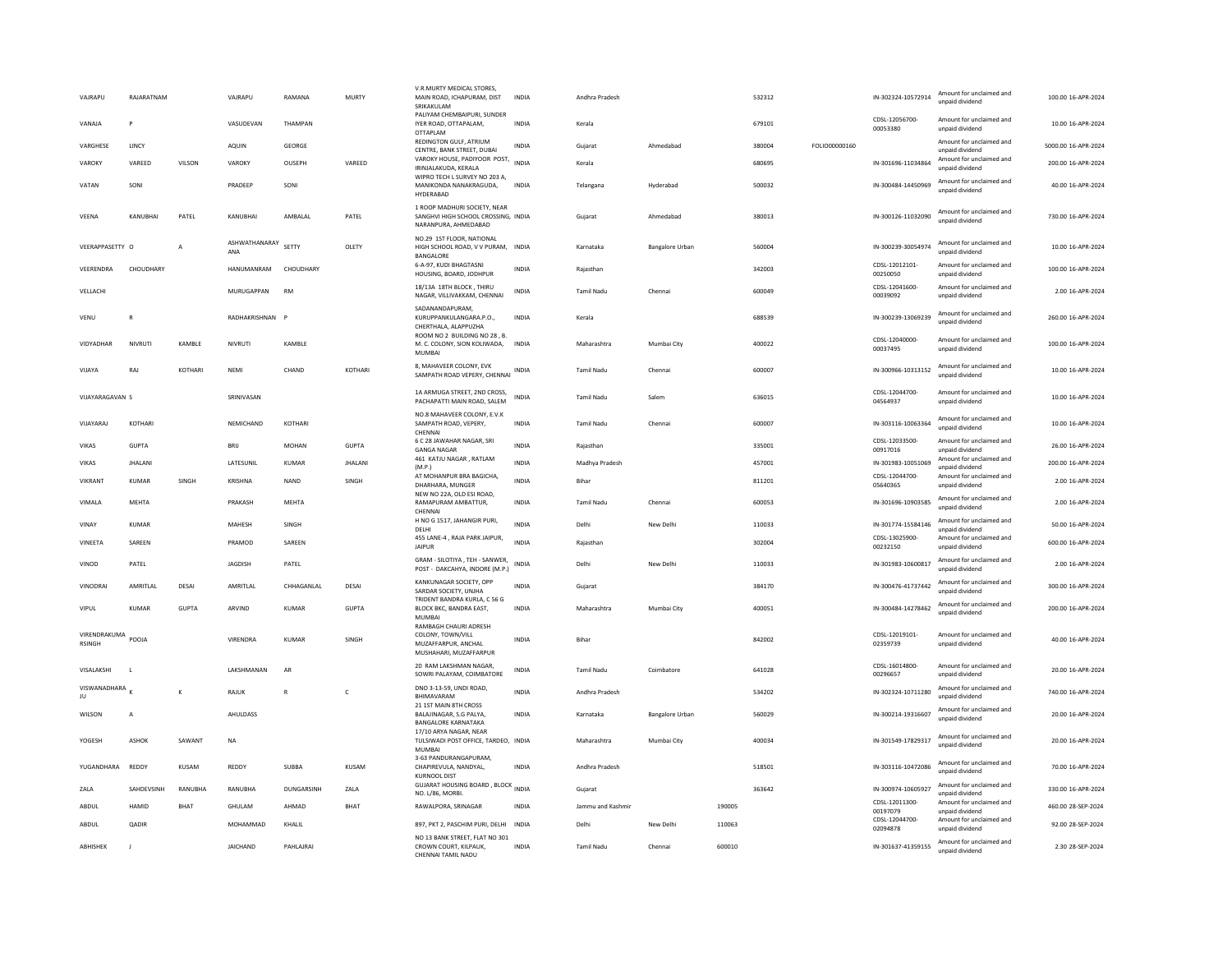| VAJRAPU                       | RAJARATNAM     |                | VAJRAPU              | RAMANA       | MURTY          | V.R.MURTY MEDICAL STORES<br>MAIN ROAD, ICHAPURAM, DIST<br>SRIKAKULAM                        | <b>INDIA</b> | Andhra Pradesh    |                 |        | 532312 |               | IN-302324-10572914         | Amount for unclaimed and<br>unpaid dividend | 100.00 16-APR-2024  |
|-------------------------------|----------------|----------------|----------------------|--------------|----------------|---------------------------------------------------------------------------------------------|--------------|-------------------|-----------------|--------|--------|---------------|----------------------------|---------------------------------------------|---------------------|
| VANAIA                        | P              |                | VASUDEVAN            | THAMPAN      |                | PALIYAM CHEMBAIPURI, SUNDER<br>IYER ROAD, OTTAPALAM,<br>OTTAPLAM                            | <b>INDIA</b> | Kerala            |                 |        | 679101 |               | CDSL-12056700-<br>00053380 | Amount for unclaimed and<br>unpaid dividend | 10.00 16-APR-2024   |
| VARGHESE                      | LINC)          |                | AQUIN                | GEORGE       |                | REDINGTON GULF, ATRIUM<br>CENTRE, BANK STREET, DUBAI                                        | <b>INDIA</b> | Gujarat           | Ahmedabad       |        | 380004 | FOLIO00000160 |                            | Amount for unclaimed and<br>unpaid dividend | 5000.00 16-APR-2024 |
| VAROKY                        | VAREED         | VILSON         | VAROKY               | OUSEPH       | VAREED         | VAROKY HOUSE, PADIYOOR POST, INDIA<br>IRINJALAKUDA, KERALA                                  |              | Kerala            |                 |        | 680695 |               | IN-301696-11034864         | Amount for unclaimed and<br>unpaid dividend | 200.00 16-APR-2024  |
| VATAN                         | SONI           |                | PRADEEP              | SONI         |                | WIPRO TECH L SURVEY NO 203 A,<br>MANIKONDA NANAKRAGUDA.<br>HYDERABAD                        | INDIA        | Telangana         | Hyderabad       |        | 500032 |               | IN-300484-14450969         | Amount for unclaimed and<br>unpaid dividend | 40.00 16-APR-2024   |
| VEENA                         | KANUBHAI       | PATEL          | KANUBHAI             | AMBALAL      | PATEL          | 1 ROOP MADHURI SOCIETY, NEAR<br>SANGHVI HIGH SCHOOL CROSSING. INDIA<br>NARANPURA, AHMEDABAD |              | Gujarat           | Ahmedabad       |        | 380013 |               | IN-300126-11032090         | Amount for unclaimed and<br>unpaid dividend | 730.00 16-APR-2024  |
| VEERAPPASETTY O               |                | $\overline{A}$ | ASHWATHANARAY<br>ANA | SETTY        | OLETY          | NO.29 1ST FLOOR, NATIONAL<br>HIGH SCHOOL ROAD, V V PURAM, INDIA<br>BANGALORI                |              | Karnataka         | Bangalore Urban |        | 560004 |               | IN-300239-30054974         | Amount for unclaimed and<br>unpaid dividend | 10.00 16-APR-2024   |
| VEERENDRA                     | CHOUDHARY      |                | HANUMANRAM           | CHOUDHARY    |                | 6-A-97, KUDI BHAGTASNI<br>HOUSING, BOARD, JODHPUR                                           | INDIA        | Rajasthar         |                 |        | 342003 |               | CDSL-12012101-<br>00250050 | Amount for unclaimed and<br>unpaid dividend | 100.00 16-APR-2024  |
| VELLACHI                      |                |                | MURUGAPPAN           | <b>RM</b>    |                | 18/13A 18TH BLOCK, THIRU<br>NAGAR, VILLIVAKKAM, CHENNAI                                     | <b>INDIA</b> | <b>Tamil Nadu</b> | Chennai         |        | 600049 |               | CDSL-12041600-<br>00039092 | Amount for unclaimed and<br>unpaid dividend | 2.00 16-APR-2024    |
| VENU                          | R              |                | RADHAKRISHNAN        | $\mathbf{P}$ |                | SADANANDAPURAM.<br>KURUPPANKULANGARA.P.O.,<br>CHERTHALA, ALAPPUZHA                          | <b>INDIA</b> | Kerala            |                 |        | 688539 |               | IN-300239-13069239         | Amount for unclaimed and<br>unpaid dividend | 260.00 16-APR-2024  |
| VIDYADHAR                     | NIVRUTI        | KAMBLE         | NIVRUTI              | KAMBLE       |                | ROOM NO 2 BUILDING NO 28 . B.<br>M. C. COLONY, SION KOLIWADA,<br><b>MUMBAI</b>              | <b>INDIA</b> | Maharashtra       | Mumbai City     |        | 400022 |               | CDSL-12040000<br>00037495  | Amount for unclaimed and<br>unpaid dividend | 100.00 16-APR-2024  |
| VIJAYA                        | RAJ            | KOTHARI        | NEMI                 | CHAND        | KOTHARI        | 8. MAHAVEER COLONY, EVK<br>SAMPATH ROAD VEPERY, CHENNAI                                     | INDIA        | <b>Tamil Nadu</b> | Chennai         |        | 600007 |               | IN-300966-10313152         | Amount for unclaimed and<br>unpaid dividend | 10.00 16-APR-2024   |
| VIJAYARAGAVAN S               |                |                | SRINIVASAN           |              |                | 1A ARMUGA STREET. 2ND CROSS.<br>PACHAPATTI MAIN ROAD, SALEM                                 | <b>INDIA</b> | <b>Tamil Nadu</b> | Salem           |        | 636015 |               | CDSL-12044700<br>04564937  | Amount for unclaimed and<br>unpaid dividend | 10.00 16-APR-2024   |
| VIIAYARAI                     | KOTHARI        |                | <b>NFMICHAND</b>     | KOTHARI      |                | NO.8 MAHAVEER COLONY, E.V.K<br>SAMPATH ROAD, VEPERY,<br>CHENNA                              | <b>INDIA</b> | Tamil Nadu        | Chennai         |        | 600007 |               | IN-303116-10063364         | Amount for unclaimed and<br>unpaid dividend | 10.00 16-APR-2024   |
| <b>VIKAS</b>                  | <b>GUPTA</b>   |                | BRIJ                 | <b>MOHAN</b> | <b>GUPTA</b>   | 6 C 28 JAWAHAR NAGAR, SRI<br><b>GANGA NAGAR</b>                                             | <b>INDIA</b> | Rajasthan         |                 |        | 335001 |               | CDSL-12033500-<br>00917016 | Amount for unclaimed and<br>unpaid dividend | 26.00 16-APR-2024   |
| VIKAS                         | <b>JHALANI</b> |                | LATESUNIL            | KUMAR        | <b>JHALANI</b> | 461 KATJU NAGAR, RATLAM<br>(M.P.)                                                           | <b>INDIA</b> | Madhya Pradesh    |                 |        | 457001 |               | IN-301983-10051069         | Amount for unclaimed and<br>unpaid dividend | 200.00 16-APR-2024  |
| VIKRANT                       | <b>KUMAR</b>   | SINGH          | <b>KRISHNA</b>       | <b>NAND</b>  | SINGH          | AT MOHANPUR BRA BAGICHA,<br>DHARHARA, MUNGER                                                | <b>INDIA</b> | Bihar             |                 |        | 811201 |               | CDSL-12044700-<br>05640365 | Amount for unclaimed and<br>unpaid dividend | 2.00 16-APR-2024    |
| VIMALA                        | MEHTA          |                | PRAKASH              | MEHTA        |                | NEW NO 22A, OLD ESI ROAD,<br>RAMAPURAM AMBATTUR,<br>CHENNAL                                 | INDIA        | Tamil Nadu        | Chennai         |        | 600053 |               | IN-301696-10903585         | Amount for unclaimed and<br>unpaid dividend | 2.00 16-APR-2024    |
| VINAY                         | KUMAR          |                | <b>MAHFSH</b>        | SINGH        |                | H NO G 1517, JAHANGIR PURI,<br>DELHI                                                        | <b>INDIA</b> | Delhi             | New Delhi       |        | 110033 |               | IN-301774-15584146         | Amount for unclaimed and<br>unpaid dividend | 50.00 16-APR-2024   |
| VINFFTA                       | SARFFN         |                | PRAMOD               | SARFFN       |                | 455 LANE-4, RAJA PARK JAIPUR,<br>JAIPUR                                                     | <b>INDIA</b> | Raiasthan         |                 |        | 302004 |               | CDSL-13025900<br>00232150  | Amount for unclaimed and<br>unpaid dividend | 600.00 16-APR-2024  |
| VINOD                         | PATEL          |                | JAGDISH              | PATEL        |                | GRAM - SILOTIYA, TEH - SANWER,<br>POST - DAKCAHYA, INDORE (M.P.)                            | <b>INDIA</b> | Delhi             | New Delhi       |        | 110033 |               | IN-301983-10600817         | Amount for unclaimed and<br>unpaid dividend | 2.00 16-APR-2024    |
| VINODRAI                      | AMRITI AI      | DESAI          | AMRITI AI            | CHHAGANI AI  | DESAI          | KANKUNAGAR SOCIETY, OPP<br>SARDAR SOCIETY, UNJHA<br>TRIDENT BANDRA KURLA, C 56 G            | <b>INDIA</b> | Gujarat           |                 |        | 384170 |               | IN-300476-41737442         | Amount for unclaimed and<br>unpaid dividend | 300.00 16-APR-2024  |
| VIPUL                         | <b>KUMAR</b>   | <b>GUPTA</b>   | ARVIND               | <b>KUMAR</b> | <b>GUPTA</b>   | BLOCK BKC, BANDRA EAST,<br><b>MUMBAI</b>                                                    | <b>INDIA</b> | Maharashtra       | Mumbai City     |        | 400051 |               | IN-300484-14278462         | Amount for unclaimed and<br>unpaid dividend | 200.00 16-APR-2024  |
| VIRENDRAKUMA<br><b>RSINGH</b> | POOJA          |                | VIRENDRA             | <b>KUMAR</b> | SINGH          | RAMBAGH CHAURI ADRESH<br>COLONY, TOWN/VILL<br>MUZAFFARPUR, ANCHAL<br>MUSHAHARI, MUZAFFARPUF | <b>INDIA</b> | Bihar             |                 |        | 842002 |               | CDSL-12019101-<br>02359739 | Amount for unclaimed and<br>unpaid dividend | 40.00 16-APR-2024   |
| VISALAKSHI                    |                |                | LAKSHMANAN           | AR           |                | 20 RAM LAKSHMAN NAGAR,<br>SOWRI PALAYAM, COIMBATORE                                         | INDIA        | <b>Tamil Nadu</b> | Coimbatore      |        | 641028 |               | CDSL-16014800-<br>00296657 | Amount for unclaimed and<br>unpaid dividend | 20.00 16-APR-2024   |
| VISWANADHARA<br>JU            |                | K              | RAJUK                | $\mathbb{R}$ | $\mathsf{C}$   | DNO 3-13-59, UNDI ROAD,<br>BHIMAVARAM                                                       | <b>INDIA</b> | Andhra Pradesh    |                 |        | 534202 |               | IN-302324-10711280         | Amount for unclaimed and<br>unpaid dividend | 740.00 16-APR-2024  |
| WILSON                        | A              |                | AHULDASS             |              |                | 21 1ST MAIN 8TH CROSS<br>BALAJINAGAR, S.G PALYA,<br><b>BANGALORE KARNATAKA</b>              | INDIA        | Karnataka         | Bangalore Urban |        | 560029 |               | IN-300214-19316607         | Amount for unclaimed and<br>unpaid dividend | 20.00 16-APR-2024   |
| YOGESH                        | <b>ASHOK</b>   | SAWANT         | $_{\sf NA}$          |              |                | 17/10 ARYA NAGAR, NEAR<br>TULSIWADI POST OFFICE, TARDEO, INDIA<br><b>MUMBAI</b>             |              | Maharashtra       | Mumbai City     |        | 400034 |               | IN-301549-17829317         | Amount for unclaimed and<br>unpaid dividend | 20.00 16-APR-2024   |
| YUGANDHARA                    | REDDY          | KUSAM          | <b>REDDY</b>         | SUBBA        | KUSAM          | 3-63 PANDURANGAPURAM,<br>CHAPIREVULA, NANDYAL,<br><b>KURNOOL DIST</b>                       | <b>INDIA</b> | Andhra Pradesh    |                 |        | 518501 |               | IN-303116-10472086         | Amount for unclaimed and<br>unpaid dividend | 70.00 16-APR-2024   |
| ZALA                          | SAHDEVSINH     | RANUBHA        | RANUBHA              | DUNGARSINH   | ZALA           | <b>GUJARAT HOUSING BOARD, BLOCK INDIA</b><br>NO. L/86, MORBI.                               |              | Gujarat           |                 |        | 363642 |               | IN-300974-10605927         | Amount for unclaimed and<br>unpaid dividend | 330.00 16-APR-2024  |
| ABDUL                         | HAMID          | <b>BHAT</b>    | GHULAM               | AHMAD        | BHAT           | RAWALPORA, SRINAGAR                                                                         | <b>INDIA</b> | Jammu and Kashmi  |                 | 190005 |        |               | CDSL-12011300<br>00197079  | Amount for unclaimed and<br>unpaid dividend | 460.00 28-SEP-2024  |
| ABDUL                         | <b>OADIR</b>   |                | MOHAMMAD             | KHAI II      |                | 897, PKT 2, PASCHIM PURI, DELHI                                                             | <b>INDIA</b> | Delhi             | New Delhi       | 110063 |        |               | CDSL-12044700-<br>02094878 | Amount for unclaimed and<br>unpaid dividend | 92.00 28-SEP-2024   |
| ABHISHEK                      | $\mathbf{J}$   |                | <b>JAICHAND</b>      | PAHLAJRAI    |                | NO 13 BANK STREET, FLAT NO 301<br>CROWN COURT, KILPAUK,<br>CHENNALTAMIL NADU                | <b>INDIA</b> | <b>Tamil Nadu</b> | Chennai         | 600010 |        |               | IN-301637-41359155         | Amount for unclaimed and<br>unpaid dividend | 2.30 28-SEP-2024    |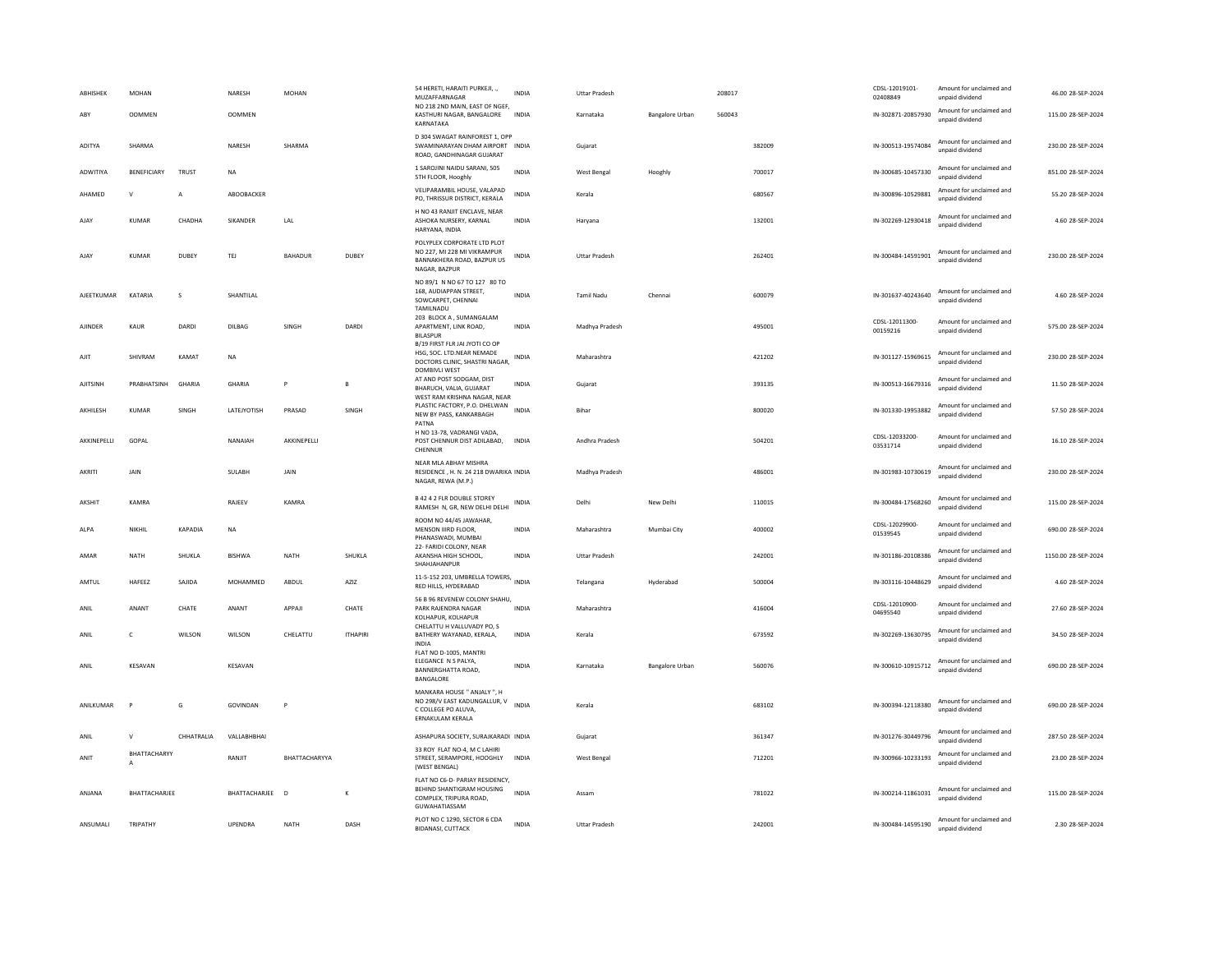| ABHISHEK        | MOHAN              |               | NARESH          | <b>MOHAN</b>   |                 | 54 HERETI, HARAITI PURKEJI, .,<br>MUZAFFARNAGAR                                                           | <b>INDIA</b> | <b>Uttar Pradesh</b> |                        | 208017 |        | CDSL-12019101-<br>02408849 | Amount for unclaimed and<br>unpaid dividend | 46.00 28-SEP-2024   |
|-----------------|--------------------|---------------|-----------------|----------------|-----------------|-----------------------------------------------------------------------------------------------------------|--------------|----------------------|------------------------|--------|--------|----------------------------|---------------------------------------------|---------------------|
| ABY             | <b>OOMMEN</b>      |               | <b>OOMMEN</b>   |                |                 | NO 218 2ND MAIN, EAST OF NGEF,<br>KASTHURI NAGAR, BANGALORE<br>KARNATAKA                                  | INDIA        | Karnataka            | <b>Bangalore Urban</b> | 560043 |        | IN-302871-20857930         | Amount for unclaimed and<br>unpaid dividend | 115.00 28-SEP-2024  |
| ADITYA          | SHARMA             |               | NARESH          | SHARMA         |                 | D 304 SWAGAT RAINFOREST 1, OPP<br>SWAMINARAYAN DHAM AIRPORT INDIA<br>ROAD, GANDHINAGAR GUJARAT            |              | Gujarat              |                        |        | 382009 | IN-300513-19574084         | Amount for unclaimed and<br>unpaid dividend | 230.00 28-SEP-2024  |
| <b>ADWITIYA</b> | <b>BENEFICIARY</b> | TRUST         | <b>NA</b>       |                |                 | 1 SAROJINI NAIDU SARANI, 505<br>5TH FLOOR, Hooghly                                                        | <b>INDIA</b> | West Bengal          | Hooghly                |        | 700017 | IN-300685-10457330         | Amount for unclaimed and<br>unpaid dividend | 851.00.28-SEP-2024  |
| AHAMED          | $\mathsf{V}$       | $\mathsf{A}$  | ABOOBACKER      |                |                 | VELIPARAMBIL HOUSE, VALAPAD<br>PO, THRISSUR DISTRICT, KERALA                                              | <b>INDIA</b> | Kerala               |                        |        | 680567 | IN-300896-10529881         | Amount for unclaimed and<br>unpaid dividend | 55.20 28-SEP-2024   |
| AJAY            | <b>KUMAR</b>       | CHADHA        | SIKANDER        | LAL            |                 | H NO 43 RANJIT ENCLAVE, NEAR<br>ASHOKA NURSERY, KARNAL<br>HARYANA, INDIA                                  | INDIA        | Haryana              |                        |        | 132001 | IN-302269-12930418         | Amount for unclaimed and<br>unpaid dividend | 4.60 28-SEP-2024    |
| AJAY            | KUMAR              | DUBEY         | TEJ             | <b>BAHADUR</b> | DUBEY           | POLYPLEX CORPORATE LTD PLOT<br>NO 227, MI 228 MI VIKRAMPUR<br>BANNAKHERA ROAD, BAZPUR US<br>NAGAR, BAZPUR | INDIA        | <b>Uttar Pradesh</b> |                        |        | 262401 | IN-300484-14591901         | Amount for unclaimed and<br>unpaid dividend | 230.00 28-SEP-2024  |
| AJEETKUMAR      | KATARIA            | $\mathsf S$   | SHANTILAL       |                |                 | NO 89/1 N NO 67 TO 127 80 TO<br>168, AUDIAPPAN STREET,<br>SOWCARPET, CHENNAL<br>TAMILNADU                 | <b>INDIA</b> | Tamil Nadu           | Chennai                |        | 600079 | IN-301637-40243640         | Amount for unclaimed and<br>unnaid dividend | 4.60 28-SEP-2024    |
| AJINDER         | KAUR               | DARDI         | DILBAG          | SINGH          | DARDI           | 203 BLOCK A, SUMANGALAM<br>APARTMENT, LINK ROAD,<br><b>BILASPUR</b><br>B/19 FIRST FLR JAI JYOTI CO OP     | INDIA        | Madhya Pradesh       |                        |        | 495001 | CDSL-12011300-<br>00159216 | Amount for unclaimed and<br>unpaid dividend | 575.00 28-SEP-2024  |
| AIIT            | SHIVRAM            | KAMAT         | <b>NA</b>       |                |                 | HSG, SOC. LTD.NEAR NEMADE<br>DOCTORS CLINIC, SHASTRI NAGAR,<br>DOMBIVLI WEST                              | INDIA        | Maharashtra          |                        |        | 421202 | IN-301127-15969615         | Amount for unclaimed and<br>unpaid dividend | 230.00 28-SEP-2024  |
| AJITSINH        | PRABHATSINH        | GHARIA        | GHARIA          | P              | $\mathbf{B}$    | AT AND POST SODGAM, DIST<br>BHARUCH, VALIA, GUJARAT<br>WEST RAM KRISHNA NAGAR, NEAR                       | <b>INDIA</b> | Gujarat              |                        |        | 393135 | IN-300513-16679316         | Amount for unclaimed and<br>unpaid dividend | 11.50 28-SEP-2024   |
| AKHILESH        | KUMAR              | SINGH         | LATEJYOTISH     | PRASAD         | SINGH           | PLASTIC FACTORY, P.O. DHELWAN<br>NEW BY PASS, KANKARBAGH<br>PATNA                                         | <b>INDIA</b> | <b>Bihar</b>         |                        |        | 800020 | IN-301330-19953882         | Amount for unclaimed and<br>unpaid dividend | 57.50 28-SEP-2024   |
| AKKINEPELLI     | GOPAL              |               | NANAIAH         | AKKINEPELLI    |                 | H NO 13-78, VADRANGI VADA.<br>POST CHENNUR DIST ADILABAD,<br>CHENNUR                                      | INDIA        | Andhra Pradesh       |                        |        | 504201 | CDSL-12033200-<br>03531714 | Amount for unclaimed and<br>unpaid dividend | 16.10 28-SEP-2024   |
| AKRITI          | JAIN               |               | SULABH          | JAIN           |                 | NEAR MLA ABHAY MISHRA<br>RESIDENCE, H. N. 24 218 DWARIKA INDIA<br>NAGAR, REWA (M.P.)                      |              | Madhya Pradesh       |                        |        | 486001 | IN-301983-10730619         | Amount for unclaimed and<br>unpaid dividend | 230.00 28-SEP-2024  |
| AKSHIT          | KAMRA              |               | RAIFFV          | KAMRA          |                 | <b>B 42 4 2 FLR DOUBLE STOREY</b><br>RAMESH N, GR, NEW DELHI DELHI                                        | INDIA        | Delhi                | New Delhi              |        | 110015 | IN-300484-17568260         | Amount for unclaimed and<br>unpaid dividend | 115.00 28-SEP-2024  |
| ALPA            | NIKHIL             | KAPADIA       | NA              |                |                 | ROOM NO 44/45 JAWAHAR,<br>MENSON IIIRD FLOOR,<br>PHANASWADI. MUMBAI                                       | INDIA        | Maharashtra          | Mumbai City            |        | 400002 | CDSL-12029900-<br>01539545 | Amount for unclaimed and<br>unpaid dividend | 690.00 28-SEP-2024  |
| AMAR            | NATH               | <b>SHUKLA</b> | <b>RISHWA</b>   | <b>NATH</b>    | SHUKLA          | 22- FARIDI COLONY, NEAR<br>AKANSHA HIGH SCHOOL.<br>SHAHJAHANPUR                                           | <b>INDIA</b> | <b>Uttar Pradesh</b> |                        |        | 242001 | IN-301186-20108386         | Amount for unclaimed and<br>unpaid dividend | 1150.00 28-SEP-2024 |
| AMTUL           | HAFEEZ             | SAJIDA        | MOHAMMED        | ABDUL          | AZIZ            | 11-5-152 203, UMBRELLA TOWERS, INDIA<br>RED HILLS, HYDERABAD                                              |              | Telangana            | Hyderabad              |        | 500004 | IN-303116-10448629         | Amount for unclaimed and<br>unpaid dividend | 4.60 28-SEP-2024    |
| ANIL            | ANANT              | CHATE         | ANANT           | APPAJI         | CHATE           | 56 B 96 REVENEW COLONY SHAHU,<br>PARK RAJENDRA NAGAR<br>KOLHAPUR, KOLHAPUR                                | INDIA        | Maharashtra          |                        |        | 416004 | CDSL-12010900-<br>04695540 | Amount for unclaimed and<br>unpaid dividend | 27.60 28-SEP-2024   |
| ANIL            | $\mathsf{C}$       | WILSON        | WILSON          | CHELATTU       | <b>ITHAPIRI</b> | CHELATTU H VALLUVADY PO, S<br>BATHERY WAYANAD, KERALA,<br><b>INDIA</b>                                    | INDIA        | Kerala               |                        |        | 673592 | IN-302269-13630795         | Amount for unclaimed and<br>unpaid dividend | 34.50 28-SEP-2024   |
| ANII            | KESAVAN            |               | KFSAVAN         |                |                 | FLAT NO D-1005, MANTRI<br>ELEGANCE N S PALYA,<br>BANNERGHATTA ROAD.<br>BANGALORE                          | <b>INDIA</b> | Karnataka            | <b>Bangalore Urban</b> |        | 560076 | IN-300610-10915712         | Amount for unclaimed and<br>unpaid dividend | 690.00 28-SEP-2024  |
| ANILKUMAR       | P                  | G             | GOVINDAN        | P              |                 | MANKARA HOUSE " ANJALY ", H<br>NO 298/V EAST KADUNGALLUR, V<br>C COLLEGE PO ALUVA.<br>ERNAKULAM KERALA    | <b>INDIA</b> | Kerala               |                        |        | 683102 | IN-300394-12118380         | Amount for unclaimed and<br>unpaid dividend | 690.00 28-SEP-2024  |
| ANIL            | ${\sf V}$          | CHHATRALIA    | VALLABHBHAI     |                |                 | ASHAPURA SOCIETY, SURAJKARADI INDIA                                                                       |              | Gujarat              |                        |        | 361347 | IN-301276-30449796         | Amount for unclaimed and<br>unpaid dividend | 287.50 28-SEP-2024  |
| ANIT            | BHATTACHARYY<br>Α  |               | RANIIT          | BHATTACHARYYA  |                 | 33 ROY FLAT NO-4, M C LAHIRI<br>STREET, SERAMPORE, HOOGHLY<br>(WEST BENGAL)                               | <b>INDIA</b> | West Bengal          |                        |        | 712201 | IN-300966-10233193         | Amount for unclaimed and<br>unpaid dividend | 23.00 28-SEP-2024   |
| ANIANA          | BHATTACHARJEE      |               | BHATTACHARJEE D |                | K               | FLAT NO C6-D- PARIAY RESIDENCY,<br>BEHIND SHANTIGRAM HOUSING<br>COMPLEX, TRIPURA ROAD.<br>GUWAHATIASSAM   | <b>INDIA</b> | Assam                |                        |        | 781022 | IN-300214-11861031         | Amount for unclaimed and<br>unpaid dividend | 115.00 28-SEP-2024  |
| ANSUMALI        | TRIPATHY           |               | UPENDRA         | <b>NATH</b>    | DASH            | PLOT NO C 1290, SECTOR 6 CDA<br><b>BIDANASL CUTTACK</b>                                                   | <b>INDIA</b> | <b>Uttar Pradesh</b> |                        |        | 242001 | IN-300484-14595190         | Amount for unclaimed and<br>unnaid dividend | 2.30 28-SEP-2024    |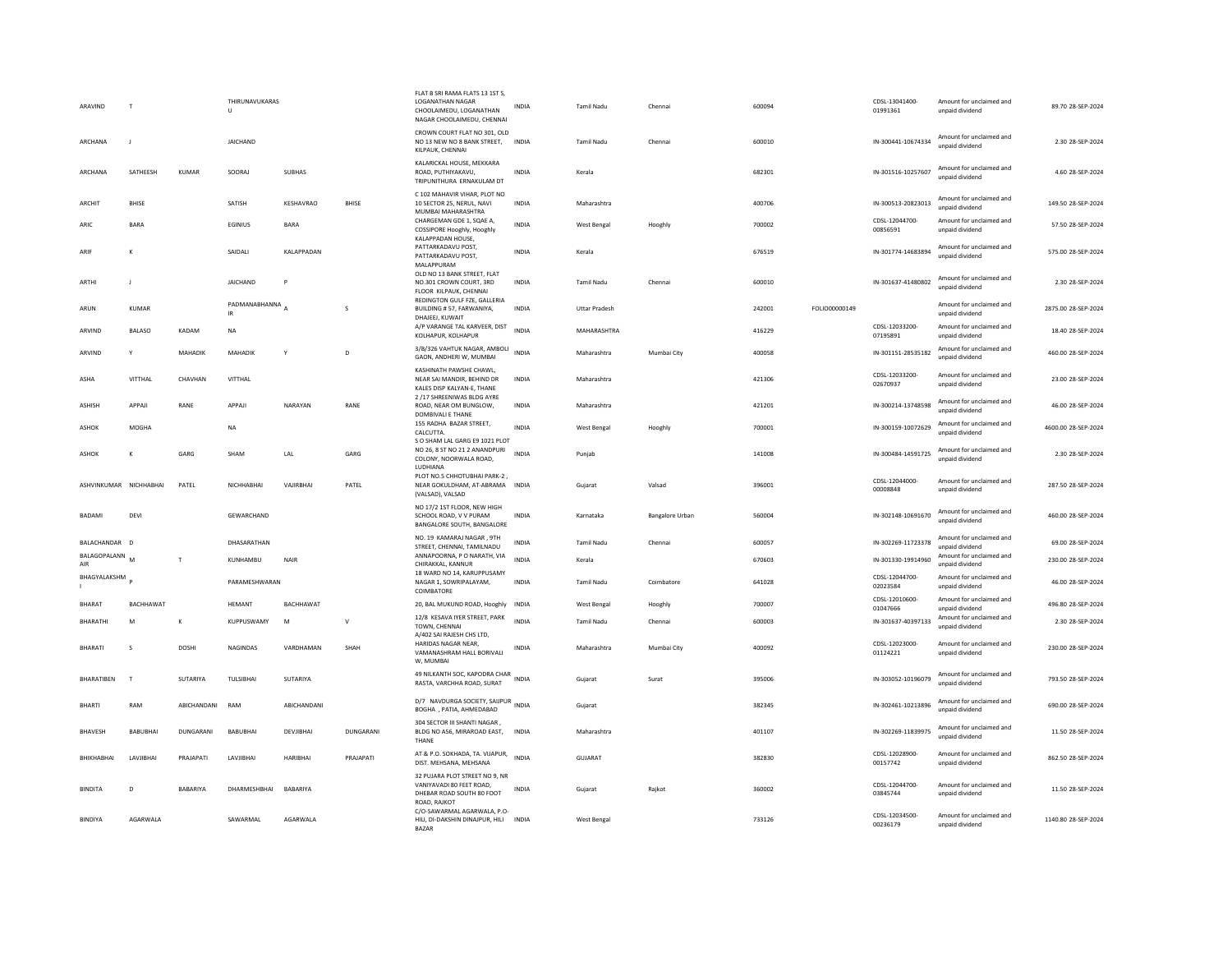| ARAVIND                | $\mathbf{L}$    |                 | THIRUNAVUKARAS<br>U |                  |              | FLAT B SRI RAMA FLATS 13 1ST S<br>LOGANATHAN NAGAR<br>CHOOLAIMEDU, LOGANATHAN<br>NAGAR CHOOLAIMEDU, CHENNAI  | <b>INDIA</b> | <b>Tamil Nadu</b>    | Chennai                | 600094 |               | CDSL-13041400-<br>01991361 | Amount for unclaimed and<br>unpaid dividend | 89.70.28-SEP-2024   |
|------------------------|-----------------|-----------------|---------------------|------------------|--------------|--------------------------------------------------------------------------------------------------------------|--------------|----------------------|------------------------|--------|---------------|----------------------------|---------------------------------------------|---------------------|
| ARCHANA                |                 |                 | JAICHAND            |                  |              | CROWN COURT FLAT NO 301, OLD<br>NO 13 NEW NO 8 BANK STREET, INDIA<br>KILPAUK, CHENNAI                        |              | Tamil Nadu           | Chennai                | 600010 |               | IN-300441-10674334         | Amount for unclaimed and<br>unpaid dividend | 2.30 28-SEP-2024    |
| ARCHANA                | SATHEESH        | <b>KUMAR</b>    | SOORAJ              | SUBHAS           |              | KALARICKAL HOUSE, MEKKARA<br>ROAD, PUTHIYAKAVU,<br>TRIPUNITHURA ERNAKULAM DT                                 | INDIA        | Kerala               |                        | 682301 |               | IN-301516-10257607         | Amount for unclaimed and<br>unpaid dividend | 4.60 28-SEP-2024    |
| ARCHIT                 | <b>BHISE</b>    |                 | SATISH              | KESHAVRAO        | <b>BHISE</b> | C 102 MAHAVIR VIHAR, PLOT NO<br>10 SECTOR 25, NERUL, NAVI<br>MUMBAI MAHARASHTRA                              | INDIA        | Maharashtra          |                        | 400706 |               | IN-300513-20823013         | Amount for unclaimed and<br>unpaid dividend | 149.50 28-SEP-2024  |
| ARIC                   | <b>BARA</b>     |                 | EGINIUS             | <b>BARA</b>      |              | CHARGEMAN GDE 1, SQAE A,<br>COSSIPORE Hooghly, Hooghly<br>KALAPPADAN HOUSE,                                  | <b>INDIA</b> | West Bengal          | Hooghly                | 700002 |               | CDSL-12044700-<br>00856591 | Amount for unclaimed and<br>unpaid dividend | 57.50 28-SEP-2024   |
| ARIF                   | K               |                 | SAIDALI             | KALAPPADAN       |              | PATTARKADAVU POST,<br>PATTARKADAVU POST,<br>MALAPPURAM                                                       | <b>INDIA</b> | Kerala               |                        | 676519 |               | IN-301774-14683894         | Amount for unclaimed and<br>unpaid dividend | 575.00 28-SEP-2024  |
| <b>ARTHI</b>           | $\mathbf{I}$    |                 | <b>JAICHAND</b>     | D.               |              | OLD NO 13 BANK STREET, FLAT<br>NO.301 CROWN COURT, 3RD<br>FLOOR KILPAUK, CHENNAI                             | <b>INDIA</b> | <b>Tamil Nadu</b>    | Chennai                | 600010 |               | IN-301637-41480802         | Amount for unclaimed and<br>unpaid dividend | 2.30 28-SEP-2024    |
| ARUN                   | <b>KUMAR</b>    |                 | PADMANABHANNA<br>IR |                  | s            | REDINGTON GULF FZE, GALLERIA<br>BUILDING #57, FARWANIYA.<br>DHAJEEJ, KUWAIT                                  | <b>INDIA</b> | <b>Uttar Pradesh</b> |                        | 242001 | FOLIO00000149 |                            | Amount for unclaimed and<br>unpaid dividend | 2875.00 28-SEP-2024 |
| ARVIND                 | <b>BALASO</b>   | KADAM           | <b>NA</b>           |                  |              | A/P VARANGE TAL KARVEER, DIST<br>KOLHAPUR, KOLHAPUR                                                          | <b>INDIA</b> | MAHARASHTRA          |                        | 416229 |               | CDSL-12033200-<br>07195891 | Amount for unclaimed and<br>unpaid dividend | 18.40 28-SEP-2024   |
| ARVIND                 | Y               | MAHADIK         | MAHADIK             | Y                | D            | 3/B/326 VAHTUK NAGAR, AMBOLI<br>GAON, ANDHERI W, MUMBAI                                                      | INDIA        | Maharashtra          | Mumbai City            | 400058 |               | IN-301151-28535182         | Amount for unclaimed and<br>unpaid dividend | 460.00 28-SEP-2024  |
| ASHA                   | VITTHAL         | CHAVHAN         | VITTHAL             |                  |              | KASHINATH PAWSHE CHAWL.<br>NEAR SAI MANDIR, BEHIND DR<br>KALES DISP KALYAN-E, THANE                          | INDIA        | Maharashtra          |                        | 421306 |               | CDSL-12033200-<br>02670937 | Amount for unclaimed and<br>unpaid dividend | 23.00 28-SEP-2024   |
| <b>ASHISH</b>          | APPAJI          | RANE            | APPAIL              | NARAYAN          | RANE         | 2 /17 SHREENIWAS BLDG AYRE<br>ROAD, NEAR OM BUNGLOW,<br>DOMBIVALI E THANE                                    | <b>INDIA</b> | Maharashtra          |                        | 421201 |               | IN-300214-13748598         | Amount for unclaimed and<br>unpaid dividend | 46.00 28-SEP-2024   |
| ASHOK                  | MOGHA           |                 | <b>NA</b>           |                  |              | 155 RADHA BAZAR STREET,<br>CALCUTTA.                                                                         | <b>INDIA</b> | <b>West Bengal</b>   | Hooghly                | 700001 |               | IN-300159-10072629         | Amount for unclaimed and<br>unpaid dividend | 4600.00 28-SEP-2024 |
| <b>ASHOK</b>           | к               | GARG            | SHAM                | LAL              | GARG         | S O SHAM LAL GARG E9 1021 PLOT<br>NO 26, 8 ST NO 21 2 ANANDPURI<br>COLONY, NOORWALA ROAD,<br><b>IUDHIANA</b> | <b>INDIA</b> | Punjab               |                        | 141008 |               | IN-300484-14591725         | Amount for unclaimed and<br>unpaid dividend | 2.30 28-SEP-2024    |
| ASHVINKUMAR NICHHABHAI |                 | PATEL           | NICHHABHAI          | VAJIRBHAI        | PATEL        | PLOT NO.5 CHHOTUBHAI PARK-2,<br>NEAR GOKULDHAM, AT-ABRAMA INDIA<br>(VALSAD), VALSAD                          |              | Gujarat              | Valsad                 | 396001 |               | CDSL-12044000-<br>00008848 | Amount for unclaimed and<br>unnaid dividend | 287.50 28-SEP-2024  |
| <b>BADAM</b>           | DEVI            |                 | GEWARCHAND          |                  |              | NO 17/2 1ST FLOOR. NEW HIGH<br>SCHOOL ROAD, V V PURAM<br>BANGALORE SOUTH, BANGALORE                          | <b>INDIA</b> | Karnataka            | <b>Bangalore Urban</b> | 560004 |               | IN-302148-10691670         | Amount for unclaimed and<br>unpaid dividend | 460.00 28-SEP-2024  |
| BALACHANDAR D          |                 |                 | DHASARATHAN         |                  |              | NO. 19 KAMARAJ NAGAR, 9TH<br>STREET, CHENNAI, TAMILNADU                                                      | INDIA        | Tamil Nadu           | Chennai                | 600057 |               | IN-302269-11723378         | Amount for unclaimed and<br>unpaid dividend | 69.00 28-SEP-2024   |
| BALAGOPALANN<br>AIR    |                 | T               | KUNHAMBU            | NAIR             |              | ANNAPOORNA, P O NARATH, VIA<br>CHIRAKKAL, KANNUR<br>18 WARD NO 14, KARUPPUSAMY                               | <b>INDIA</b> | Kerala               |                        | 670603 |               | IN-301330-19914960         | Amount for unclaimed and<br>unpaid dividend | 230.00 28-SEP-2024  |
| BHAGYALAKSHM           |                 |                 | PARAMESHWARAN       |                  |              | NAGAR 1, SOWRIPALAYAM,<br>COIMBATORE                                                                         | <b>INDIA</b> | <b>Tamil Nadu</b>    | Coimbatore             | 641028 |               | CDSL-12044700-<br>02023584 | Amount for unclaimed and<br>unpaid dividend | 46.00 28-SEP-2024   |
| <b>BHARAT</b>          | BACHHAWAT       |                 | HEMANT              | <b>BACHHAWAT</b> |              | 20, BAL MUKUND ROAD, Hooghly                                                                                 | INDIA        | West Bengal          | Hooghly                | 700007 |               | CDSL-12010600-<br>01047666 | Amount for unclaimed and<br>unpaid dividend | 496.80 28-SEP-2024  |
| BHARATHI               | M               | K               | KUPPUSWAMY          | M                | $\mathsf{V}$ | 12/8 KESAVA IYER STREET, PARK<br>TOWN, CHENNAI<br>A/402 SAI RAJESH CHS LTD,                                  | <b>INDIA</b> | <b>Tamil Nadu</b>    | Chennai                | 600003 |               | IN-301637-40397133         | Amount for unclaimed and<br>unpaid dividend | 2.30 28-SEP-2024    |
| <b>BHARATI</b>         | s               | <b>DOSHI</b>    | <b>NAGINDAS</b>     | VARDHAMAN        | SHAH         | <b>HARIDAS NAGAR NEAR.</b><br>VAMANASHRAM HALL BORIVALI<br>W, MUMBAI                                         | INDIA        | Maharashtra          | Mumbai City            | 400092 |               | CDSL-12023000-<br>01124221 | Amount for unclaimed and<br>unpaid dividend | 230.00 28-SEP-2024  |
| BHARATIBEN             | $\mathbf{I}$    | SUTARIYA        | TULSIBHAI           | SUTARIYA         |              | 49 NILKANTH SOC, KAPODRA CHAR<br>RASTA, VARCHHA ROAD, SURAT                                                  | <b>INDIA</b> | Gujarat              | Surat                  | 395006 |               | IN-303052-10196079         | Amount for unclaimed and<br>unpaid dividend | 793.50 28-SEP-2024  |
| <b>BHARTI</b>          | RAM             | ABICHANDANI     | RAM                 | ABICHANDANI      |              | D/7 NAVDURGA SOCIETY, SAIJPUR<br>BOGHA , PATIA, AHMEDABAD                                                    | <b>INDIA</b> | Gujarat              |                        | 382345 |               | IN-302461-10213896         | Amount for unclaimed and<br>unpaid dividend | 690.00 28-SEP-2024  |
| <b>BHAVESH</b>         | <b>BABUBHAI</b> | DUNGARANI       | BABUBHAI            | DEVJIBHAI        | DUNGARANI    | 304 SECTOR III SHANTI NAGAR<br>BLDG NO A56, MIRAROAD EAST,<br>THANE                                          | <b>INDIA</b> | Maharashtra          |                        | 401107 |               | IN-302269-11839975         | Amount for unclaimed and<br>unpaid dividend | 11.50 28-SEP-2024   |
| BHIKHABHAI             | LAVJIBHAI       | PRAJAPATI       | LAVJIBHAI           | <b>HARIBHAI</b>  | PRAJAPATI    | AT & P.O. SOKHADA, TA. VIJAPUR,<br>DIST. MEHSANA, MEHSANA                                                    | <b>INDIA</b> | GUJARAT              |                        | 382830 |               | CDSL-12028900-<br>00157742 | Amount for unclaimed and<br>unpaid dividend | 862.50 28-SEP-2024  |
| <b>BINDITA</b>         | $\overline{D}$  | <b>BABARIYA</b> | DHARMESHRHAI        | <b>BABARIYA</b>  |              | 32 PUJARA PLOT STREET NO 9, NR<br>VANIYAVADI 80 FEET ROAD,<br>DHEBAR ROAD SOUTH 80 FOOT<br>ROAD, RAJKOT      | INDIA        | Gujarat              | Rajkot                 | 360002 |               | CDSL-12044700-<br>03845744 | Amount for unclaimed and<br>unpaid dividend | 11.50 28-SEP-2024   |
| BINDIYA                | AGARWALA        |                 | SAWARMAL            | AGARWALA         |              | C/O-SAWARMAL AGARWALA, P.O-<br>HILI, DI-DAKSHIN DINAJPUR, HILI INDIA<br><b>BAZAR</b>                         |              | West Bengal          |                        | 733126 |               | CDSL-12034500-<br>00236179 | Amount for unclaimed and<br>unpaid dividend | 1140.80 28-SEP-2024 |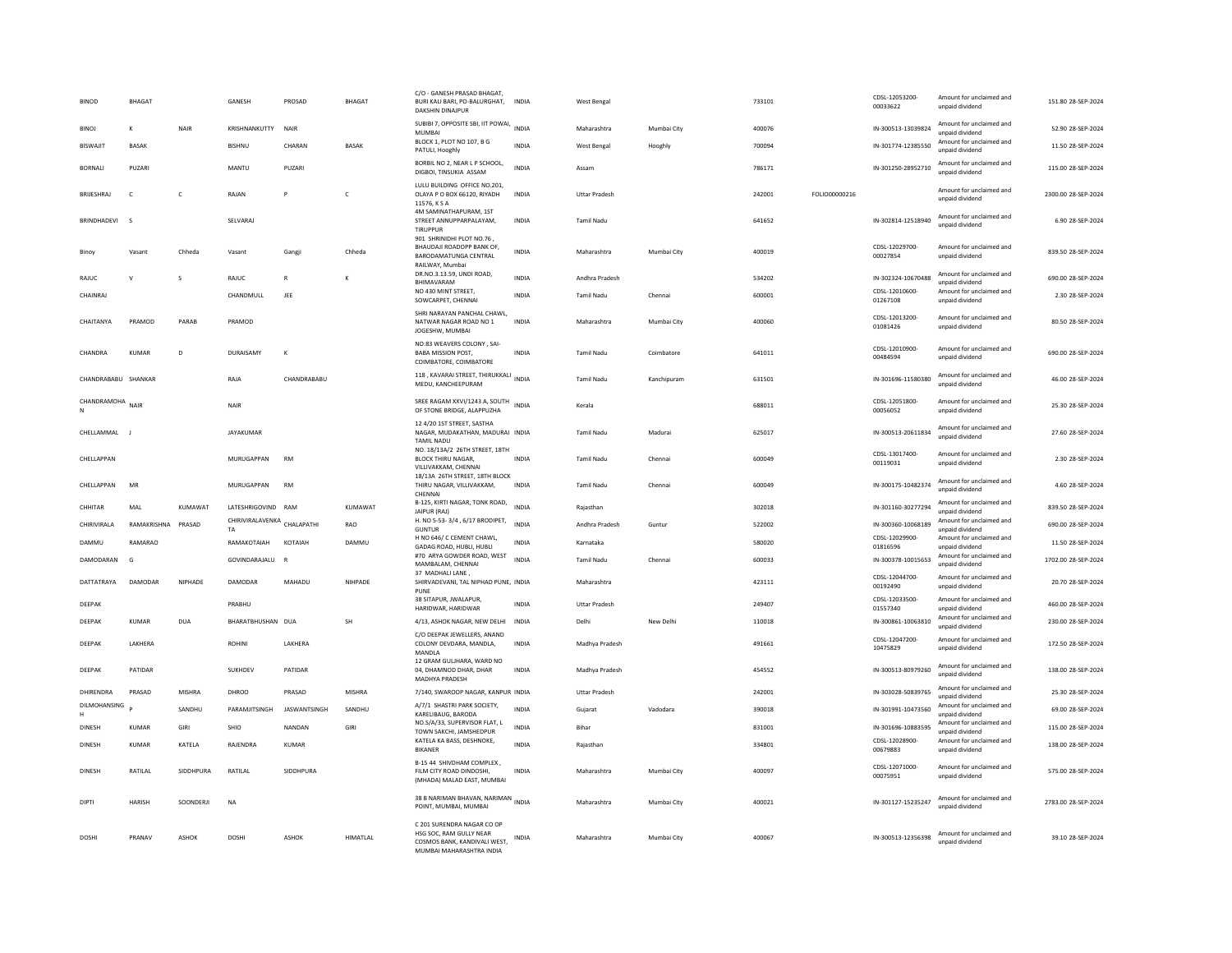| <b>BINOD</b>        | <b>BHAGAT</b>      |            | GANESH                                   | PROSAD       | <b>BHAGAT</b> | C/O - GANESH PRASAD BHAGAT<br>BURI KALI BARI, PO-BALURGHAT, INDIA<br>DAKSHIN DINAJPUR                             |              | West Bengal          |             | 733101 |               | CDSL-12053200-<br>00033622 | Amount for unclaimed and<br>unpaid dividend | 151.80 28-SEP-2024  |
|---------------------|--------------------|------------|------------------------------------------|--------------|---------------|-------------------------------------------------------------------------------------------------------------------|--------------|----------------------|-------------|--------|---------------|----------------------------|---------------------------------------------|---------------------|
| <b>BINOJ</b>        | к                  | NAIR       | KRISHNANKUTTY                            | <b>NAIR</b>  |               | SUBIBI 7, OPPOSITE SBI, IIT POWAI,<br>MUMBAI                                                                      | <b>INDIA</b> | Maharashtra          | Mumbai City | 400076 |               | IN-300513-13039824         | Amount for unclaimed and<br>unnaid dividend | 52.90 28-SEP-2024   |
| <b>BISWAIIT</b>     | <b>BASAK</b>       |            | <b>BISHNU</b>                            | CHARAN       | <b>RASAK</b>  | BLOCK 1, PLOT NO 107, B G<br>PATULI, Hooghly                                                                      | <b>INDIA</b> | West Bengal          | Hooghly     | 700094 |               | IN-301774-12385550         | Amount for unclaimed and<br>unpaid dividend | 11.50 28-SEP-2024   |
| <b>BORNALI</b>      | PUZARI             |            | MANTU                                    | PUZARI       |               | BORBIL NO 2, NEAR L P SCHOOL,<br>DIGBOI, TINSUKIA ASSAM                                                           | <b>INDIA</b> | Assam                |             | 786171 |               | IN-301250-28952710         | Amount for unclaimed and<br>unpaid dividend | 115.00 28-SEP-2024  |
| BRUESHRAJ           | C                  | C          | RAJAN                                    | P            | c             | LULU BUILDING OFFICE NO.201.<br>OLAYA P O BOX 66120, RIYADH<br>11576, K S A                                       | <b>INDIA</b> | <b>Uttar Pradesh</b> |             | 242001 | FOLIO00000216 |                            | Amount for unclaimed and<br>unpaid dividend | 2300.00 28-SEP-2024 |
| BRINDHADEVI         | $\sim$             |            | SELVARAJ                                 |              |               | 4M SAMINATHAPURAM, 1ST<br>STREET ANNUPPARPALAYAM,<br><b>TIRUPPUR</b>                                              | <b>INDIA</b> | Tamil Nadu           |             | 641652 |               | IN-302814-12518940         | Amount for unclaimed and<br>unnaid dividend | 6.90 28-SEP-2024    |
| Binov               | Vasant             | Chheda     | Vasant                                   | Gangji       | Chheda        | 901 SHRINIDHI PLOT NO.76,<br>BHAUDAJI ROADOPP BANK OF,<br>BARODAMATUNGA CENTRAL<br>RAILWAY, Mumbai                | <b>INDIA</b> | Maharashtra          | Mumbai City | 400019 |               | CDSL-12029700-<br>00027854 | Amount for unclaimed and<br>unpaid dividend | 839.50 28-SEP-2024  |
| RAJUC               | $\mathsf{v}$       | s          | RAJUC                                    | $\mathbb{R}$ | к             | DR.NO.3.13.59, UNDI ROAD,<br>BHIMAVARAM                                                                           | <b>INDIA</b> | Andhra Pradesh       |             | 534202 |               | IN-302324-10670488         | Amount for unclaimed and<br>unpaid dividend | 690.00 28-SEP-2024  |
| CHAINRAJ            |                    |            | CHANDMULL                                | JEE          |               | NO 430 MINT STREET.<br>SOWCARPET, CHENNAI                                                                         | <b>INDIA</b> | Tamil Nadu           | Chennai     | 600001 |               | CDSL-12010600<br>01267108  | Amount for unclaimed and<br>unpaid dividend | 2.30 28-SEP-2024    |
| CHAITANYA           | PRAMOD             | PARAB      | PRAMOD                                   |              |               | SHRI NARAYAN PANCHAL CHAWL,<br>NATWAR NAGAR ROAD NO 1<br>JOGESHW, MUMBAI                                          | <b>INDIA</b> | Maharashtra          | Mumbai City | 400060 |               | CDSL-12013200-<br>01081426 | Amount for unclaimed and<br>unpaid dividend | 80.50 28-SEP-2024   |
| CHANDRA             | KUMAR              | D.         | DURAISAMY                                | $\kappa$     |               | NO:83 WEAVERS COLONY, SAI-<br><b>BABA MISSION POST.</b><br>COIMBATORE, COIMBATORE                                 | <b>INDIA</b> | <b>Tamil Nadu</b>    | Coimbatore  | 641011 |               | CDSL-12010900<br>00484594  | Amount for unclaimed and<br>unpaid dividend | 690.00.28-SEP-2024  |
| CHANDRABABU SHANKAR |                    |            | RAJA                                     | CHANDRABABU  |               | 118, KAVARAI STREET, THIRUKKALI INDIA<br>MEDU, KANCHEEPURAM                                                       |              | <b>Tamil Nadu</b>    | Kanchipuram | 631501 |               | IN-301696-11580380         | Amount for unclaimed and<br>unpaid dividend | 46.00 28-SEP-2024   |
| CHANDRAMOHA         | NAIR               |            | NAIR                                     |              |               | SREE RAGAM XXVI/1243 A, SOUTH<br>OF STONE BRIDGE, ALAPPUZHA                                                       | <b>INDIA</b> | Kerala               |             | 688011 |               | CDSI-12051800-<br>00056052 | Amount for unclaimed and<br>unpaid dividend | 25.30 28-SEP-2024   |
| CHELLAMMAL J        |                    |            | JAYAKUMAR                                |              |               | 12 4/20 1ST STREET, SASTHA<br>NAGAR, MUDAKATHAN, MADURAI INDIA<br><b>TAMIL NADU</b>                               |              | <b>Tamil Nadu</b>    | Madurai     | 625017 |               | IN-300513-20611834         | Amount for unclaimed and<br>unpaid dividend | 27.60.28-SEP-2024   |
| CHELLAPPAN          |                    |            | MURUGAPPAN                               | <b>RM</b>    |               | NO. 18/13A/2 26TH STREET, 18TH<br><b>BLOCK THIRU NAGAR,</b><br>VILLIVAKKAM, CHENNAI                               | <b>INDIA</b> | Tamil Nadu           | Chennai     | 600049 |               | CDSL-13017400-<br>00119031 | Amount for unclaimed and<br>unpaid dividend | 2.30 28-SEP-2024    |
| CHELLAPPAN          | MR                 |            | MURUGAPPAN                               | <b>RM</b>    |               | 18/13A 26TH STREET, 18TH BLOCK<br>THIRU NAGAR, VILLIVAKKAM,<br>CHENNAI                                            | <b>INDIA</b> | <b>Tamil Nadu</b>    | Chennai     | 600049 |               | IN-300175-10482374         | Amount for unclaimed and<br>unpaid dividend | 4.60 28-SEP-2024    |
| CHHITAR             | MAL                | KUMAWAT    | LATESHRIGOVIND RAM                       |              | KUMAWAT       | B-125, KIRTI NAGAR, TONK ROAD,<br>JAIPUR (RAJ)                                                                    | <b>INDIA</b> | Rajasthan            |             | 302018 |               | IN-301160-30277294         | Amount for unclaimed and<br>unpaid dividend | 839.50 28-SEP-2024  |
| CHIRIVIRALA         | RAMAKRISHNA PRASAD |            | CHIRIVIRALAVENKA CHALAPATHI<br><b>TA</b> |              | RAO           | H. NO 5-53-3/4, 6/17 BRODIPET,<br>GUNTUR                                                                          | <b>INDIA</b> | Andhra Pradesh       | Guntur      | 522002 |               | IN-300360-10068189         | Amount for unclaimed and<br>unnaid dividend | 690.00 28-SEP-2024  |
| DAMMU               | RAMARAO            |            | RAMAKOTAIAH                              | KOTAIAH      | <b>DAMMU</b>  | H NO 646/C CEMENT CHAWL,<br>GADAG ROAD, HUBLI, HUBLI                                                              | <b>INDIA</b> | Karnataka            |             | 580020 |               | CDSL-12029900-<br>01816596 | Amount for unclaimed and<br>unpaid dividend | 11.50 28-SEP-2024   |
| DAMODARAN           | G                  |            | GOVINDARAJALU                            | <b>R</b>     |               | #70 ARYA GOWDER ROAD, WEST<br>MAMBALAM, CHENNAI                                                                   | <b>INDIA</b> | <b>Tamil Nadu</b>    | Chennai     | 600033 |               | IN-300378-10015653         | Amount for unclaimed and<br>unpaid dividend | 1702.00 28-SEP-2024 |
| DATTATRAYA          | DAMODAR            | NIPHADE    | DAMODAR                                  | MAHADU       | NIHPADE       | 37 MADHALI LANE,<br>SHIRVADEVANI, TAL NIPHAD PUNE, INDIA<br>PUNE                                                  |              | Maharashtra          |             | 423111 |               | CDSL-12044700<br>00192490  | Amount for unclaimed and<br>unpaid dividend | 20.70 28-SEP-2024   |
| DEEPAK              |                    |            | PRABHU                                   |              |               | 38 SITAPUR, JWALAPUR,<br>HARIDWAR, HARIDWAR                                                                       | INDIA        | <b>Uttar Pradesh</b> |             | 249407 |               | CDSL-12033500-<br>01557340 | Amount for unclaimed and<br>unpaid dividend | 460.00 28-SEP-2024  |
| DEEPAK              | <b>KUMAR</b>       | <b>DUA</b> | BHARATBHUSHAN DUA                        |              | <b>SH</b>     | 4/13, ASHOK NAGAR, NEW DELHI                                                                                      | <b>INDIA</b> | Delhi                | New Delhi   | 110018 |               | IN-300861-10063810         | Amount for unclaimed and<br>unpaid dividend | 230.00 28-SEP-2024  |
| DEEPAK              | LAKHERA            |            | <b>ROHINI</b>                            | LAKHERA      |               | C/O DEEPAK JEWELLERS, ANAND<br>COLONY DEVDARA, MANDLA,<br>MANDLA                                                  | <b>INDIA</b> | Madhya Pradesh       |             | 491661 |               | CDSL-12047200-<br>10475829 | Amount for unclaimed and<br>unpaid dividend | 172.50 28-SEP-2024  |
| DEEPAK              | PATIDAR            |            | SUKHDEV                                  | PATIDAR      |               | 12 GRAM GULJHARA, WARD NO<br>04. DHAMNOD DHAR, DHAR<br>MADHYA PRADESH                                             | <b>INDIA</b> | Madhya Pradesh       |             | 454552 |               | IN-300513-80979260         | Amount for unclaimed and<br>unpaid dividend | 138.00 28-SEP-2024  |
| DHIRENDRA           | PRASAD             | MISHRA     | DHROO                                    | PRASAD       | <b>MISHRA</b> | 7/140, SWAROOP NAGAR, KANPUR INDIA                                                                                |              | Uttar Pradesh        |             | 242001 |               | IN-303028-50839765         | Amount for unclaimed and<br>unpaid dividend | 25.30 28-SEP-2024   |
| DILMOHANSING        |                    | SANDHU     | PARAMJITSINGH                            | JASWANTSINGH | SANDHU        | A/7/1 SHASTRI PARK SOCIETY,<br>KARELIBAUG, BARODA                                                                 | <b>INDIA</b> | Guiarat              | Vadodara    | 390018 |               | IN-301991-10473560         | Amount for unclaimed and<br>unpaid dividend | 69.00 28-SEP-2024   |
| DINESH              | <b>KUMAR</b>       | GIRI       | SHIO                                     | NANDAN       | GIRI          | NO.S/A/33, SUPERVISOR FLAT, L<br>TOWN SAKCHI, JAMSHEDPUR                                                          | <b>INDIA</b> | Bihar                |             | 831001 |               | IN-301696-10883595         | Amount for unclaimed and<br>unpaid dividend | 115.00 28-SEP-2024  |
| <b>DINESH</b>       | KUMAR              | KATELA     | RAJENDRA                                 | KUMAR        |               | KATELA KA BASS, DESHNOKE,<br><b>BIKANER</b>                                                                       | INDIA        | Rajasthan            |             | 334801 |               | CDSL-12028900-<br>00679883 | Amount for unclaimed and<br>unpaid dividend | 138.00 28-SEP-2024  |
| DINESH              | RATILAL            | SIDDHPURA  | RATILAL                                  | SIDDHPURA    |               | B-15 44 SHIVDHAM COMPLEX,<br>FILM CITY ROAD DINDOSHI.<br>(MHADA) MALAD EAST, MUMBAI                               | INDIA        | Maharashtra          | Mumbai City | 400097 |               | CDSL-12071000-<br>00075951 | Amount for unclaimed and<br>unpaid dividend | 575.00 28-SEP-2024  |
| <b>DIPTI</b>        | HARISH             | SOONDERJI  | <b>NA</b>                                |              |               | 38 B NARIMAN BHAVAN, NARIMAN INDIA<br>POINT, MUMBAI, MUMBAI                                                       |              | Maharashtra          | Mumbai City | 400021 |               | IN-301127-15235247         | Amount for unclaimed and<br>unpaid dividend | 2783.00 28-SEP-2024 |
| DOSHI               | PRANAV             | ASHOK      | <b>DOSHI</b>                             | ASHOK        | HIMATLAL      | C 201 SURENDRA NAGAR CO OP<br>HSG SOC. RAM GULLY NEAR<br>COSMOS BANK, KANDIVALI WEST,<br>MUMBAI MAHARASHTRA INDIA | INDIA        | Maharashtra          | Mumbai City | 400067 |               | IN-300513-12356398         | Amount for unclaimed and<br>unpaid dividend | 39.10 28-SEP-2024   |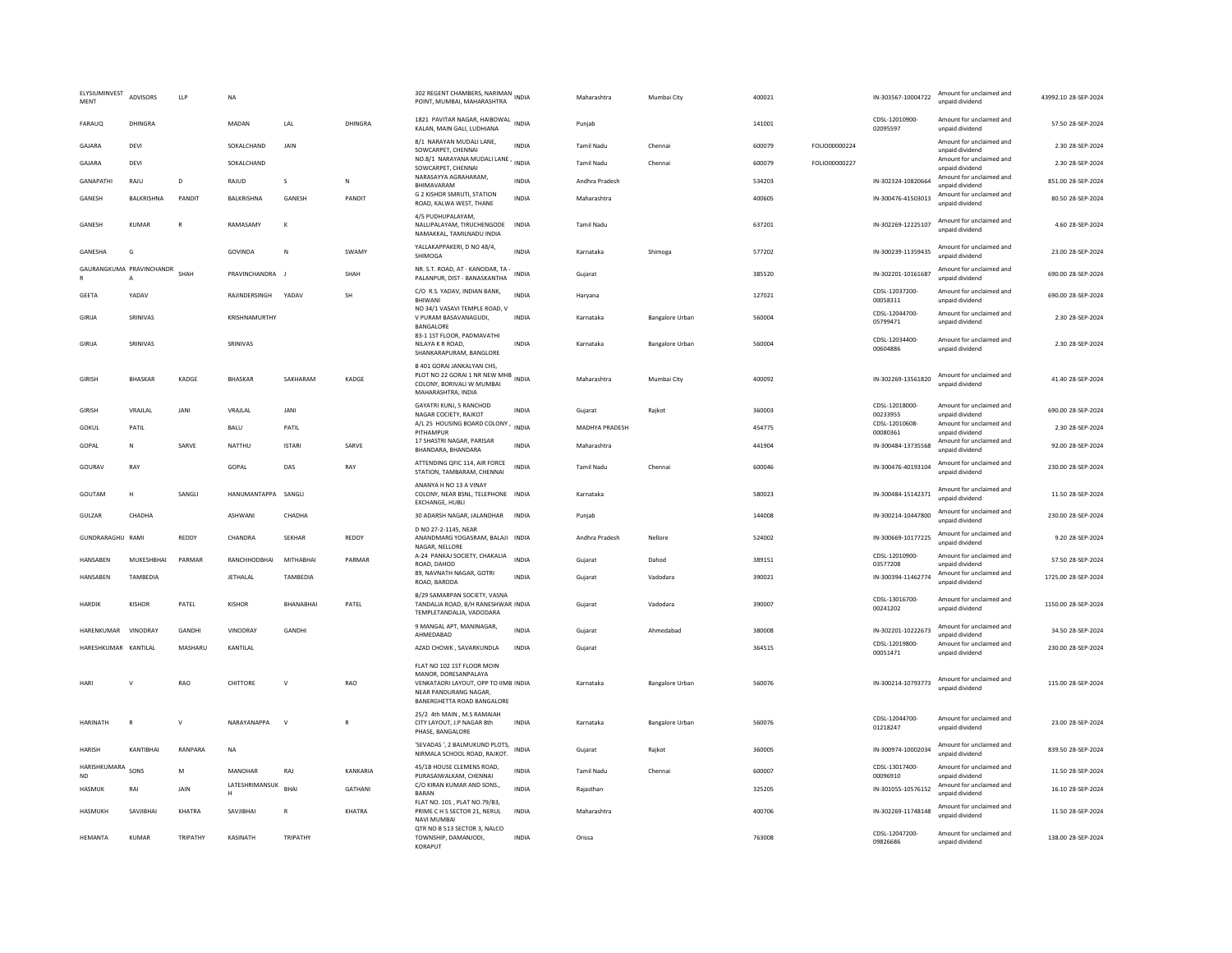| ELYSIUMINVEST<br><b>MENT</b> | ADVISORS                      | <b>LLP</b>     | NA                  |                  |                | 302 REGENT CHAMBERS, NARIMAN<br>POINT, MUMBAI, MAHARASHTRA                                                                                       | INDIA        | Maharashtra       | Mumbai City            | 400021 |               | IN-303567-10004722         | Amount for unclaimed and<br>unpaid dividend | 43992.10 28-SEP-2024 |
|------------------------------|-------------------------------|----------------|---------------------|------------------|----------------|--------------------------------------------------------------------------------------------------------------------------------------------------|--------------|-------------------|------------------------|--------|---------------|----------------------------|---------------------------------------------|----------------------|
| FARAUQ                       | DHINGRA                       |                | MADAN               | LAL              | DHINGRA        | 1821 PAVITAR NAGAR, HAIBOWAL INDIA<br>KALAN, MAIN GALI, LUDHIANA                                                                                 |              | Punjab            |                        | 141001 |               | CDSL-12010900-<br>02095597 | Amount for unclaimed and<br>unpaid dividend | 57.50 28-SEP-2024    |
| GAJARA                       | DEVI                          |                | SOKALCHAND          | JAIN             |                | 8/1 NARAYAN MUDALI LANE,<br>SOWCARPET, CHENNAI                                                                                                   | INDIA        | Tamil Nadu        | Chennai                | 600079 | FOLIO00000224 |                            | Amount for unclaimed and<br>unpaid dividend | 2.30 28-SEP-2024     |
| GAJARA                       | DEVI                          |                | SOKALCHAND          |                  |                | NO.8/1 NARAYANA MUDALI LANE, INDIA<br>SOWCARPET, CHENNAI                                                                                         |              | <b>Tamil Nadu</b> | Chennai                | 600079 | FOLIO00000227 |                            | Amount for unclaimed and<br>unpaid dividend | 2.30 28-SEP-2024     |
| <b>GANAPATHI</b>             | RAIU                          | $\overline{D}$ | RAJUD               | $\mathsf S$      | N              | NARASAYYA AGRAHARAM.<br><b>BHIMAVARAM</b>                                                                                                        | <b>INDIA</b> | Andhra Pradesh    |                        | 534203 |               | IN-302324-10820664         | Amount for unclaimed and<br>hnebivib bisonu | 851.00 28-SEP-2024   |
| GANESH                       | <b>BAIKRISHNA</b>             | PANDIT         | <b>BAI KRISHNA</b>  | GANESH           | PANDIT         | G 2 KISHOR SMRUTI, STATION<br>ROAD, KALWA WEST, THANE                                                                                            | <b>INDIA</b> | Maharashtra       |                        | 400605 |               | IN-300476-41503013         | Amount for unclaimed and<br>unpaid dividend | 80.50 28-SEP-2024    |
| GANESH                       | KUMAR                         | $\overline{R}$ | RAMASAMY            | K                |                | 4/5 PUDHUPALAYAM,<br>NALLIPALAYAM, TIRUCHENGODE<br>NAMAKKAL, TAMILNADU INDIA                                                                     | <b>INDIA</b> | Tamil Nadu        |                        | 637201 |               | IN-302269-12225107         | Amount for unclaimed and<br>unpaid dividend | 4.60 28-SEP-2024     |
| GANESHA                      | G                             |                | <b>GOVINDA</b>      | N                | SWAMY          | YALLAKAPPAKERI, D NO 48/4,<br>SHIMOGA                                                                                                            | <b>INDIA</b> | Karnataka         | Shimoga                | 577202 |               | IN-300239-11359435         | Amount for unclaimed and<br>unpaid dividend | 23.00 28-SEP-2024    |
| ${\sf R}$                    | GAURANGKUMA PRAVINCHANDR<br>A | SHAH           | PRAVINCHANDRA J     |                  | SHAH           | NR. S.T. ROAD, AT - KANODAR, TA<br>PALANPUR, DIST - BANASKANTHA                                                                                  | <b>INDIA</b> | Gujarat           |                        | 385520 |               | IN-302201-10161687         | Amount for unclaimed and<br>unpaid dividend | 690.00 28-SEP-2024   |
| GEETA                        | YADAV                         |                | RAJINDERSINGH       | YADAV            | SH             | C/O R.S. YADAV, INDIAN BANK,<br>BHIWANI                                                                                                          | <b>INDIA</b> | Haryana           |                        | 127021 |               | CDSL-12037200<br>00058311  | Amount for unclaimed and<br>unpaid dividend | 690.00 28-SEP-2024   |
| GIRIJA                       | SRINIVAS                      |                | KRISHNAMURTHY       |                  |                | NO 34/1 VASAVI TEMPLE ROAD, V<br>V PURAM BASAVANAGUDI,<br>BANGALORE                                                                              | <b>INDIA</b> | Karnataka         | <b>Bangalore Urban</b> | 560004 |               | CDSL-12044700-<br>05799471 | Amount for unclaimed and<br>unpaid dividend | 2.30 28-SEP-2024     |
| GIRIJA                       | SRINIVAS                      |                | SRINIVAS            |                  |                | 83-1 1ST FLOOR, PADMAVATHI<br>NILAYA K R ROAD,<br>SHANKARAPURAM, BANGLORE                                                                        | INDIA        | Karnataka         | <b>Bangalore Urban</b> | 560004 |               | CDSL-12034400-<br>00604886 | Amount for unclaimed and<br>unnaid dividend | 2.30 28-SEP-2024     |
| <b>GIRISH</b>                | BHASKAR                       | KADGE          | BHASKAR             | SAKHARAM         | KADGE          | <b>B 401 GORAI JANKALYAN CHS</b><br>PLOT NO 22 GORAI 1 NR NEW MHB INDIA<br>COLONY, BORIVALI W MUMBAI<br>MAHARASHTRA, INDIA                       |              | Maharashtra       | Mumbai City            | 400092 |               | IN-302269-13561820         | Amount for unclaimed and<br>unnaid dividend | 41.40 28-SEP-2024    |
| GIRISH                       | VRAJLAL                       | JANI           | VRAJLAL             | JANI             |                | GAYATRI KUNJ, 5 RANCHOD<br>NAGAR COCIETY, RAJKOT                                                                                                 | <b>INDIA</b> | Gujarat           | Rajkot                 | 360003 |               | CDSL-12018000-<br>00233955 | Amount for unclaimed and<br>unpaid dividend | 690.00 28-SEP-2024   |
| GOKUL                        | PATIL                         |                | BALU                | PATIL            |                | A/L 25 HOUSING BOARD COLONY<br>PITHAMPUR                                                                                                         | <b>INDIA</b> | MADHYA PRADESH    |                        | 454775 |               | CDSL-12010608-<br>00080361 | Amount for unclaimed and<br>unpaid dividend | 2.30 28-SEP-2024     |
| GOPAL                        | ${\sf N}$                     | SARVE          | NATTHU              | <b>ISTAR</b>     | SARVE          | 17 SHASTRI NAGAR, PARISAR<br>BHANDARA, BHANDARA                                                                                                  | <b>INDIA</b> | Maharashtra       |                        | 441904 |               | IN-300484-13735568         | Amount for unclaimed and<br>unpaid dividend | 92.00 28-SEP-2024    |
| GOURAV                       | RAY                           |                | GOPAL               | DAS              | RAY            | ATTENDING QFIC 114, AIR FORCE<br>STATION, TAMBARAM, CHENNAI                                                                                      | <b>INDIA</b> | <b>Tamil Nadu</b> | Chennai                | 600046 |               | IN-300476-40193104         | Amount for unclaimed and<br>unpaid dividend | 230.00 28-SEP-2024   |
| GOUTAM                       | H                             | SANGLI         | HANUMANTAPPA        | SANGLI           |                | ANANYA H NO 13 A VINAY<br>COLONY, NEAR BSNL, TELEPHONE INDIA<br>EXCHANGE, HUBLI                                                                  |              | Karnataka         |                        | 580023 |               | IN-300484-15142371         | Amount for unclaimed and<br>unnaid dividend | 11.50 28-SEP-2024    |
| GULZAR                       | CHADHA                        |                | ASHWANI             | CHADHA           |                | 30 ADARSH NAGAR, JALANDHAR                                                                                                                       | INDIA        | Puniab            |                        | 144008 |               | IN-300214-10447800         | Amount for unclaimed and<br>unpaid dividend | 230.00 28-SEP-2024   |
| GUNDRARAGHU RAMI             |                               | REDDY          | CHANDRA             | <b>SEKHAR</b>    | REDDY          | D NO 27-2-1145, NEAR<br>ANANDMARG YOGASRAM, BALAJI INDIA<br>NAGAR, NELLORE                                                                       |              | Andhra Pradesh    | Nellore                | 524002 |               | IN-300669-10177225         | Amount for unclaimed and<br>unpaid dividend | 9.20 28-SEP-2024     |
| HANSABEN                     | MUKESHBHAI                    | PARMAR         | RANCHHODBHAI        | MITHABHAI        | PARMAR         | A-24 PANKAJ SOCIETY, CHAKALIA<br>ROAD, DAHOD                                                                                                     | <b>INDIA</b> | Gujarat           | Dahod                  | 389151 |               | CDSL-12010900-<br>03577208 | Amount for unclaimed and<br>unpaid dividend | 57.50 28-SEP-2024    |
| HANSABEN                     | TAMBEDIA                      |                | JETHALAL            | TAMBEDIA         |                | 89, NAVNATH NAGAR, GOTRI<br>ROAD, BARODA                                                                                                         | <b>INDIA</b> | Gujarat           | Vadodara               | 390021 |               | IN-300394-11462774         | Amount for unclaimed and<br>unpaid dividend | 1725.00 28-SEP-2024  |
| <b>HARDIN</b>                | <b>KISHOR</b>                 | PATEL          | <b>KISHOR</b>       | <b>BHANABHAI</b> | PATEL          | B/29 SAMARPAN SOCIETY, VASNA<br>TANDALJA ROAD, B/H RANESHWAR INDIA<br>TEMPLETANDALJA, VADODARA                                                   |              | Gujarat           | Vadodara               | 390007 |               | CDSL-13016700-<br>00241202 | Amount for unclaimed and<br>unpaid dividend | 1150.00 28-SEP-2024  |
| HARENKUMAR VINODRAY          |                               | GANDHI         | VINODRAY            | GANDHI           |                | 9 MANGAL APT, MANINAGAR,<br>AHMEDABAD                                                                                                            | <b>INDIA</b> | Gujarat           | Ahmedabad              | 380008 |               | IN-302201-10222673         | Amount for unclaimed and<br>unpaid dividend | 34.50 28-SEP-2024    |
| HARFSHKUMAR KANTILAI         |                               | MASHARLI       | KANTII AI           |                  |                | AZAD CHOWK, SAVARKUNDLA                                                                                                                          | <b>INDIA</b> | Gujarat           |                        | 364515 |               | CDSL-12019800<br>00051471  | Amount for unclaimed and<br>unpaid dividend | 230.00.28-SEP-2024   |
| <b>HAR</b>                   | $\mathsf{V}$                  | RAO            | CHITTORE            | $\mathsf{V}$     | RAO            | FLAT NO 102 1ST FLOOR MOIN<br>MANOR, DORESANPALAYA<br>VENKATADRI LAYOUT, OPP TO IIMB INDIA<br>NEAR PANDURANG NAGAR<br>BANERGHETTA ROAD BANGALORE |              | Karnataka         | Bangalore Urban        | 560076 |               | IN-300214-10793773         | Amount for unclaimed and<br>unpaid dividend | 115.00 28-SEP-2024   |
| HARINATH                     | $\mathsf{R}$                  | $\vee$         | NARAYANAPPA         | $\mathsf{v}$     | $\overline{R}$ | 25/2 4th MAIN . M.S RAMAIAH<br>CITY LAYOUT, J.P NAGAR 8th<br>PHASE, BANGALORE                                                                    | INDIA        | Karnataka         | <b>Bangalore Urban</b> | 560076 |               | CDSL-12044700-<br>01218247 | Amount for unclaimed and<br>unpaid dividend | 23.00 28-SEP-2024    |
| <b>HARISH</b>                | KANTIBHAI                     | RANPARA        | <b>NA</b>           |                  |                | 'SEVADAS ', 2 BALMUKUND PLOTS,<br>NIRMALA SCHOOL ROAD, RAJKOT.                                                                                   | <b>INDIA</b> | Gujarat           | Raikot                 | 360005 |               | IN-300974-10002034         | Amount for unclaimed and<br>unpaid dividend | 839.50 28-SEP-2024   |
| HARISHKUMARA<br><b>ND</b>    | SONS                          | M              | MANOHAR             | RAJ              | KANKARIA       | 45/1B HOUSE CLEMENS ROAD.<br>PURASAIWALKAM, CHENNAI                                                                                              | INDIA        | <b>Tamil Nadu</b> | Chenna                 | 600007 |               | CDSL-13017400<br>00096910  | Amount for unclaimed and<br>unpaid dividend | 11.50 28-SEP-2024    |
| HASMUK                       | RAI                           | JAIN           | LATESHRIMANSUK<br>н | <b>BHAI</b>      | <b>GATHANI</b> | C/O KIRAN KUMAR AND SONS.,<br><b>BARAN</b>                                                                                                       | <b>INDIA</b> | Rajasthan         |                        | 325205 |               | IN-301055-10576152         | Amount for unclaimed and<br>unpaid dividend | 16.10 28-SEP-2024    |
| HASMUKH                      | SAVIIBHAI                     | KHATRA         | SAVIIBHAI           | $\mathbb{R}$     | KHATRA         | FLAT NO. 101, PLAT NO.79/B3,<br>PRIME C H S SECTOR 21. NERUL                                                                                     | <b>INDIA</b> | Maharashtra       |                        | 400706 |               | IN-302269-11748148         | Amount for unclaimed and<br>unpaid dividend | 11.50 28-SEP-2024    |
| HEMANTA                      | <b>KUMAR</b>                  | TRIPATHY       | KASINATH            | TRIPATHY         |                | NAVI MUMBA<br>OTR NO B 513 SECTOR 3, NALCO<br>TOWNSHIP, DAMANJODI,<br>KORAPLIT                                                                   | <b>INDIA</b> | Orissa            |                        | 763008 |               | CDSL-12047200-<br>09826686 | Amount for unclaimed and<br>unpaid dividend | 138.00 28-SEP-2024   |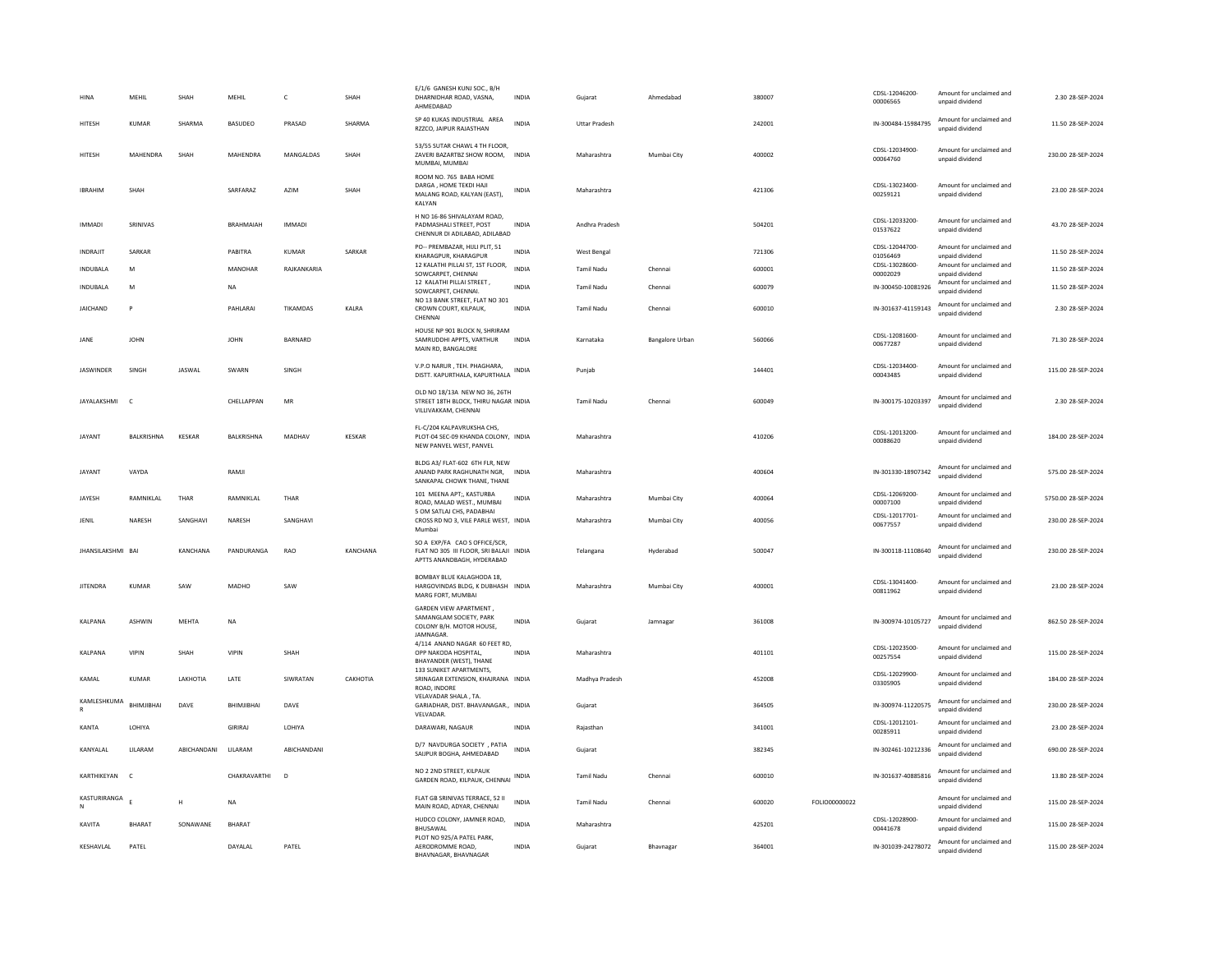| HINA                        | MEHIL             | SHAH             | MEHIL           | c             | SHAH     | E/1/6 GANESH KUNJ SOC., B/H<br>DHARNIDHAR ROAD, VASNA,<br>AHMEDABAD                                    | INDIA        | Gujarat              | Ahmedabad              | 380007 |               | CDSL-12046200-<br>00006565 | Amount for unclaimed and<br>unpaid dividend | 2.30 28-SEP-2024    |
|-----------------------------|-------------------|------------------|-----------------|---------------|----------|--------------------------------------------------------------------------------------------------------|--------------|----------------------|------------------------|--------|---------------|----------------------------|---------------------------------------------|---------------------|
| HITESH                      | <b>KUMAR</b>      | SHARMA           | BASUDEO         | PRASAD        | SHARMA   | SP 40 KUKAS INDUSTRIAL AREA<br>RZZCO, JAIPUR RAJASTHAN                                                 | <b>INDIA</b> | <b>Uttar Pradesh</b> |                        | 242001 |               | IN-300484-15984795         | Amount for unclaimed and<br>unpaid dividend | 11.50 28-SEP-2024   |
| <b>HITESH</b>               | MAHENDRA          | SHAH             | MAHENDRA        | MANGALDAS     | SHAH     | 53/55 SUTAR CHAWL 4 TH FLOOR.<br>ZAVERI BAZARTBZ SHOW ROOM.<br>MUMBAI, MUMBAI                          | <b>INDIA</b> | Maharashtra          | Mumbai City            | 400002 |               | CDSI-12034900-<br>00064760 | Amount for unclaimed and<br>unpaid dividend | 230.00 28-SEP-2024  |
| <b>IBRAHIM</b>              | SHAH              |                  | SARFARAZ        | AZIM          | SHAH     | ROOM NO. 765 BABA HOME<br>DARGA, HOME TEKDI HAJI<br>MALANG ROAD, KALYAN (EAST).<br>KALYAN              | INDIA        | Maharashtra          |                        | 421306 |               | CDSL-13023400-<br>00259121 | Amount for unclaimed and<br>unpaid dividend | 23.00 28-SEP-2024   |
| <b>IMMADI</b>               | SRINIVAS          |                  | BRAHMAIAH       | <b>IMMADI</b> |          | H NO 16-86 SHIVALAYAM ROAD,<br>PADMASHALI STREET, POST<br>CHENNUR DI ADILABAD, ADILABAD                | <b>INDIA</b> | Andhra Pradesh       |                        | 504201 |               | CDSL-12033200-<br>01537622 | Amount for unclaimed and<br>unpaid dividend | 43.70 28-SEP-2024   |
| <b>INDRAJIT</b>             | SARKAR            |                  | PABITRA         | <b>KUMAR</b>  | SARKAR   | PO-- PREMBAZAR, HIJLI PLIT, 51<br>KHARAGPUR, KHARAGPUR                                                 | <b>INDIA</b> | West Bengal          |                        | 721306 |               | CDSL-12044700-<br>01056469 | Amount for unclaimed and<br>unpaid dividend | 11.50 28-SEP-2024   |
| <b>INDUBALA</b>             | M                 |                  | MANOHAR         | RAJKANKARIA   |          | 12 KALATHI PILLAI ST, 1ST FLOOR,<br>SOWCARPET, CHENNAI                                                 | <b>INDIA</b> | <b>Tamil Nadu</b>    | Chennai                | 600001 |               | CDSL-13028600-<br>00002029 | Amount for unclaimed and<br>unpaid dividend | 11.50 28-SEP-2024   |
| <b>INDUBALA</b>             | M                 |                  | NA              |               |          | 12 KALATHI PILLAI STREET.<br>SOWCARPET, CHENNAI,                                                       | <b>INDIA</b> | Tamil Nadu           | Chennai                | 600079 |               | IN-300450-10081926         | Amount for unclaimed and<br>unpaid dividend | 11.50 28-SEP-2024   |
| JAICHAND                    | P                 |                  | <b>PAHI ARA</b> | TIKAMDAS      | KALRA    | NO 13 BANK STREET, FLAT NO 301<br>CROWN COURT, KILPAUK,<br>CHENNAI                                     | <b>INDIA</b> | <b>Tamil Nadu</b>    | Chennai                | 600010 |               | IN-301637-41159143         | Amount for unclaimed and<br>unpaid dividend | 2.30 28-SEP-2024    |
| JANE                        | <b>JOHN</b>       |                  | <b>JOHN</b>     | BARNARD       |          | HOUSE NP 901 BLOCK N, SHRIRAM<br>SAMRUDDHI APPTS, VARTHUR<br>MAIN RD, BANGALORE                        | <b>INDIA</b> | Karnataka            | <b>Bangalore Urban</b> | 560066 |               | CDSL-12081600-<br>00677287 | Amount for unclaimed and<br>unpaid dividend | 71.30 28-SEP-2024   |
| <b>JASWINDER</b>            | SINGH             | JASWAL           | SWARN           | SINGH         |          | V.P.O NARUR, TEH. PHAGHARA,<br>DISTT. KAPURTHALA, KAPURTHALA                                           | <b>INDIA</b> | Punjab               |                        | 144401 |               | CDSL-12034400-<br>00043485 | Amount for unclaimed and<br>unpaid dividend | 115.00 28-SEP-2024  |
| JAYALAKSHMI                 | $\mathfrak{c}$    |                  | CHELLAPPAN      | ${\sf MR}$    |          | OLD NO 18/13A NEW NO 36, 26TH<br>STREET 18TH BLOCK, THIRU NAGAR INDIA<br>VILLIVAKKAM, CHENNAI          |              | <b>Tamil Nadu</b>    | Chennai                | 600049 |               | IN-300175-10203397         | Amount for unclaimed and<br>unpaid dividend | 2.30 28-SEP-2024    |
| JAYANT                      | BALKRISHNA        | KESKAR           | BALKRISHNA      | MADHAV        | KESKAR   | FL-C/204 KALPAVRUKSHA CHS.<br>PLOT-04 SEC-09 KHANDA COLONY, INDIA<br>NEW PANVEL WEST, PANVEL           |              | Maharashtra          |                        | 410206 |               | CDSL-12013200-<br>00088620 | Amount for unclaimed and<br>unpaid dividend | 184.00 28-SEP-2024  |
| <b>JAYANT</b>               | VAYDA             |                  | RAMII           |               |          | BLDG A3/ FLAT-602 6TH FLR, NEW<br>ANAND PARK RAGHUNATH NGR. INDIA<br>SANKAPAL CHOWK THANE, THANE       |              | Maharashtra          |                        | 400604 |               | IN-301330-18907342         | Amount for unclaimed and<br>unpaid dividend | 575.00.28-SEP-2024  |
| JAYESH                      | RAMNIKLAL         | THAR             | RAMNIKLAL       | THAR          |          | 101 MEENA APT;, KASTURBA<br>ROAD, MALAD WEST., MUMBAI                                                  | INDIA        | Maharashtra          | Mumbai City            | 400064 |               | CDSL-12069200-<br>00007100 | Amount for unclaimed and<br>unnaid dividend | 5750.00 28-SEP-2024 |
| JENIL                       | NARESH            | SANGHAVI         | NARESH          | SANGHAVI      |          | 5 OM SATLAJ CHS, PADABHAI<br>CROSS RD NO 3, VILE PARLE WEST, INDIA<br>Mumbai                           |              | Maharashtra          | Mumbai City            | 400056 |               | CDSL-12017701-<br>00677557 | Amount for unclaimed and<br>unpaid dividend | 230.00 28-SEP-2024  |
| JHANSILAKSHMI BAI           |                   | KANCHANA         | PANDURANGA      | RAO           | KANCHANA | SO A EXP/FA CAO S OFFICE/SCR,<br>FLAT NO 305 III FLOOR, SRI BALAJI INDIA<br>APTTS ANANDBAGH, HYDERABAD |              | Telangana            | Hyderabad              | 500047 |               | IN-300118-11108640         | Amount for unclaimed and<br>unpaid dividend | 230.00 28-SEP-2024  |
| <b>JITENDRA</b>             | <b>KUMAR</b>      | SAW              | MADHO           | SAW           |          | BOMBAY BLUE KALAGHODA 18.<br>HARGOVINDAS BLDG, K DUBHASH INDIA<br>MARG FORT, MUMBAI                    |              | Maharashtra          | Mumbai City            | 400001 |               | CDSL-13041400-<br>00811962 | Amount for unclaimed and<br>unpaid dividend | 23.00 28-SEP-2024   |
| KALPANA                     | <b>ASHWIN</b>     | MEHTA            | <b>NA</b>       |               |          | <b>GARDEN VIEW APARTMENT.</b><br>SAMANGLAM SOCIETY, PARK<br>COLONY B/H. MOTOR HOUSE,<br>JAMNAGAR.      | <b>INDIA</b> | Gujarat              | Jamnagar               | 361008 |               | IN-300974-10105727         | Amount for unclaimed and<br>unpaid dividend | 862.50 28-SEP-2024  |
| KALPANA                     | <b>VIPIN</b>      | SHAH             | <b>VIPIN</b>    | SHAH          |          | 4/114 ANAND NAGAR 60 FEET RD,<br>OPP NAKODA HOSPITAL,<br>BHAYANDER (WEST), THANE                       | <b>INDIA</b> | Maharashtra          |                        | 401101 |               | CDSL-12023500-<br>00257554 | Amount for unclaimed and<br>unpaid dividend | 115.00 28-SEP-2024  |
| KAMAI                       | KUMAR             | <b>I AKHOTIA</b> | <b>I ATF</b>    | SIWRATAN      | САКНОТІА | 133 SUNIKET APARTMENTS,<br>SRINAGAR EXTENSION, KHAJRANA INDIA<br>ROAD, INDORE                          |              | Madhya Pradesh       |                        | 452008 |               | CDSL-12029900-<br>03305905 | Amount for unclaimed and<br>unpaid dividend | 184.00.28-SEP-2024  |
| KAMLESHKUMA<br>$\mathbb{R}$ | <b>BHIMIIBHAI</b> | DAVE             | BHIMJIBHAI      | DAVE          |          | VELAVADAR SHALA, TA.<br>GARIADHAR, DIST. BHAVANAGAR., INDIA<br>VELVADAR.                               |              | Gujarat              |                        | 364505 |               | IN-300974-11220575         | Amount for unclaimed and<br>unpaid dividend | 230.00 28-SEP-2024  |
| KANTA                       | LOHIYA            |                  | GIRIRAJ         | LOHIYA        |          | DARAWARI, NAGAUR                                                                                       | <b>INDIA</b> | Rajasthan            |                        | 341001 |               | CDSL-12012101-<br>00285911 | Amount for unclaimed and<br>unpaid dividend | 23.00 28-SEP-2024   |
| KANYALAL                    | LILARAM           | ABICHANDANI      | LILARAM         | ABICHANDANI   |          | D/7 NAVDURGA SOCIETY , PATIA<br>SAIJPUR BOGHA, AHMEDABAD                                               | <b>INDIA</b> | Gujarat              |                        | 382345 |               | IN-302461-10212336         | Amount for unclaimed and<br>unpaid dividend | 690.00 28-SEP-2024  |
| KARTHIKEYAN                 | $\mathsf{C}$      |                  | CHAKRAVARTHI    | D             |          | NO 2 2ND STREET, KILPAUK<br>GARDEN ROAD, KILPAUK, CHENNAI INDIA                                        |              | Tamil Nadu           | Chenna                 | 600010 |               | IN-301637-40885816         | Amount for unclaimed and<br>unnaid dividend | 13.80 28-SEP-2024   |
| KASTURIRANGA<br>N           |                   | H                | <b>NA</b>       |               |          | FLAT GB SRINIVAS TERRACE, 52 II<br>MAIN ROAD, ADYAR, CHENNAI                                           | <b>INDIA</b> | <b>Tamil Nadu</b>    | Chennai                | 600020 | FOLIO00000022 |                            | Amount for unclaimed and<br>unpaid dividend | 115.00 28-SEP-2024  |
| KAVITA                      | <b>BHARAT</b>     | SONAWANE         | <b>BHARAT</b>   |               |          | HUDCO COLONY, JAMNER ROAD,<br>BHUSAWAL                                                                 | <b>INDIA</b> | Maharashtra          |                        | 425201 |               | CDSL-12028900-<br>00441678 | Amount for unclaimed and<br>unpaid dividend | 115.00 28-SEP-2024  |
| KESHAVLAL                   | PATEL             |                  | DAYALAL         | PATEL         |          | PLOT NO 925/A PATEL PARK,<br>AERODROMME ROAD,<br><b>BHAVNAGAR BHAVNAGAR</b>                            | INDIA        | Gujarat              | Bhavnagar              | 364001 |               | IN-301039-24278072         | Amount for unclaimed and<br>unpaid dividend | 115.00 28-SEP-2024  |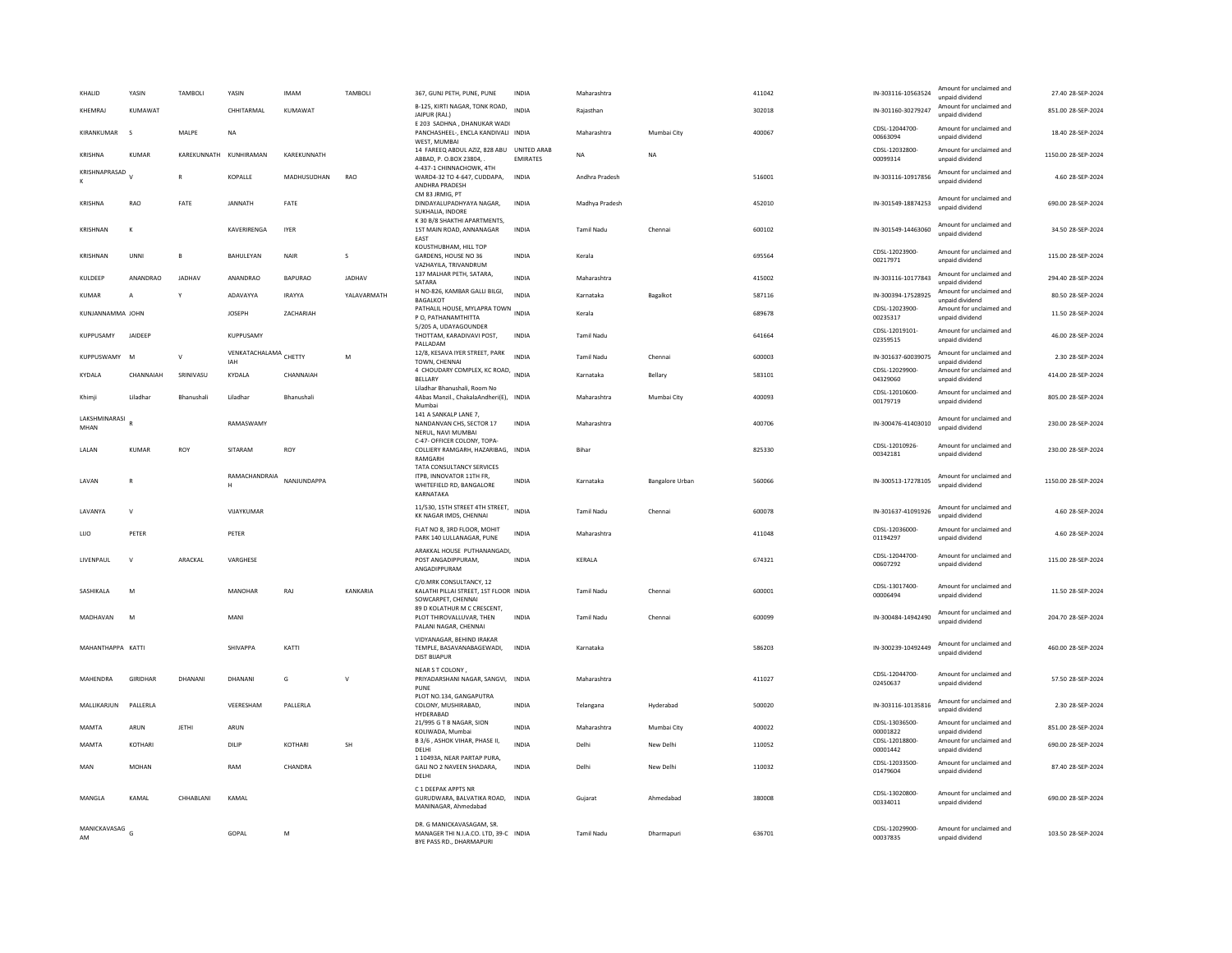| KHALID                | YASIN          | TAMBOLI                | YASIN                               | <b>IMAM</b>    | TAMBOLI     | 367, GUNJ PETH, PUNE, PUNE                                                                            | <b>INDIA</b>    | Maharashtra       |                 | 411042 | IN-303116-10563524         | Amount for unclaimed and<br>unpaid dividend                    | 27.40 28-SEP-2024   |
|-----------------------|----------------|------------------------|-------------------------------------|----------------|-------------|-------------------------------------------------------------------------------------------------------|-----------------|-------------------|-----------------|--------|----------------------------|----------------------------------------------------------------|---------------------|
| KHEMRAJ               | KUMAWAT        |                        | CHHITARMAL                          | KUMAWAT        |             | B-125, KIRTI NAGAR, TONK ROAD,<br>JAIPUR (RAJ.)                                                       | <b>INDIA</b>    | Rajasthan         |                 | 302018 | IN-301160-30279247         | Amount for unclaimed and<br>unpaid dividend                    | 851.00 28-SEP-2024  |
| KIRANKUMAR            | $\sim$         | MALPE                  | NA                                  |                |             | E 203 SADHNA, DHANUKAR WADI<br>PANCHASHEEL-, ENCLA KANDIVALI INDIA<br>WEST, MUMBA                     |                 | Maharashtra       | Mumbai City     | 400067 | CDSL-12044700-<br>00663094 | Amount for unclaimed and<br>unpaid dividend                    | 18.40 28-SEP-2024   |
| KRISHNA               | KUMAR          | KAREKUNNATH KUNHIRAMAN |                                     | KAREKUNNATH    |             | 14 FAREEQ ABDUL AZIZ, 828 ABU UNITED ARAB<br>ABBAD, P. O.BOX 23804,                                   | <b>EMIRATES</b> | <b>NA</b>         | <b>NA</b>       |        | CDSL-12032800-<br>00099314 | Amount for unclaimed and<br>unpaid dividend                    | 1150.00 28-SEP-2024 |
| KRISHNAPRASAD         |                | R                      | KOPALLE                             | MADHUSUDHAN    | RAO         | 4-437-1 CHINNACHOWK, 4TH<br>WARD4-32 TO 4-647, CUDDAPA,<br><b>ANDHRA PRADESH</b>                      | <b>INDIA</b>    | Andhra Pradesh    |                 | 516001 | IN-303116-10917856         | Amount for unclaimed and<br>unpaid dividend                    | 4.60 28-SEP-2024    |
| KRISHNA               | RAO            | FATE                   | JANNATH                             | FATE           |             | CM 83 JRMIG, PT<br>DINDAYALUPADHYAYA NAGAR.<br>SUKHALIA, INDORE                                       | <b>INDIA</b>    | Madhya Pradesh    |                 | 452010 | IN-301549-18874253         | Amount for unclaimed and<br>unpaid dividend                    | 690.00 28-SEP-2024  |
| <b>KRISHNAM</b>       | $\kappa$       |                        | KAVERIRENGA                         | <b>IYER</b>    |             | K 30 B/8 SHAKTHI APARTMENTS.<br>1ST MAIN ROAD, ANNANAGAR<br>EAST                                      | <b>INDIA</b>    | <b>Tamil Nadu</b> | Chenna          | 600102 | IN-301549-14463060         | Amount for unclaimed and<br>unpaid dividend                    | 34.50 28-SEP-2024   |
| KRISHNAN              | UNNI           | B                      | BAHULEYAN                           | NAIR           | s           | KOUSTHUBHAM, HILL TOP<br>GARDENS, HOUSE NO 36<br>VAZHAYILA, TRIVANDRUM                                | <b>INDIA</b>    | Kerala            |                 | 695564 | CDSL-12023900-<br>00217971 | Amount for unclaimed and<br>unpaid dividend                    | 115.00 28-SEP-2024  |
| KULDEEP               | ANANDRAO       | <b>JADHAV</b>          | ANANDRAO                            | <b>BAPURAO</b> | JADHAV      | 137 MALHAR PETH, SATARA,<br>SATARA                                                                    | <b>INDIA</b>    | Maharashtra       |                 | 415002 | IN-303116-10177843         | Amount for unclaimed and<br>unpaid dividend                    | 294.40 28-SEP-2024  |
| <b>KUMAR</b>          | $\overline{A}$ |                        | ADAVAYYA                            | <b>IRAYYA</b>  | YALAVARMATH | H NO-826, KAMBAR GALLI BILGI,<br>BAGALKOT                                                             | <b>INDIA</b>    | Karnataka         | Bagalkot        | 587116 | IN-300394-17528925         | Amount for unclaimed and<br>unpaid dividend                    | 80.50 28-SEP-2024   |
| KUNJANNAMMA JOHN      |                |                        | <b>JOSEPH</b>                       | ZACHARIAH      |             | PATHALIL HOUSE, MYLAPRA TOWN INDIA<br>P O. PATHANAMTHITTA                                             |                 | Kerala            |                 | 689678 | CDSL-12023900-<br>00235317 | Amount for unclaimed and<br>unpaid dividend                    | 11.50 28-SEP-2024   |
| KUPPUSAMY             | JAIDEEP        |                        | KUPPUSAMY                           |                |             | 5/205 A, UDAYAGOUNDER<br>THOTTAM, KARADIVAVI POST,<br>PALLADAM                                        | INDIA           | <b>Tamil Nadu</b> |                 | 641664 | CDSL-12019101-<br>02359515 | Amount for unclaimed and<br>unpaid dividend                    | 46.00 28-SEP-2024   |
| KUPPUSWAMY            | M              | $\vee$                 | <b>VENKATACHALAMA</b> CHETTY<br>IAH |                | M           | 12/8, KESAVA IYER STREET, PARK<br>TOWN, CHENNAI                                                       | <b>INDIA</b>    | <b>Tamil Nadu</b> | Chennai         | 600003 | IN-301637-60039075         | Amount for unclaimed and<br>unpaid dividend                    | 2.30 28-SEP-2024    |
| <b>KYDALA</b>         | CHANNAIAH      | SRINIVASU              | KYDALA                              | CHANNAIAH      |             | 4 CHOUDARY COMPLEX, KC ROAD, INDIA<br>BELLARY                                                         |                 | Karnataka         | Bellary         | 583101 | CDSL-12029900-<br>04329060 | Amount for unclaimed and<br>unpaid dividend                    | 414.00 28-SEP-2024  |
| Khimji                | Liladhar       | Bhanushali             | Liladhar                            | Bhanushali     |             | Liladhar Bhanushali, Room No<br>4Abas Manzil., ChakalaAndheri(E), INDIA<br>Mumhai                     |                 | Maharashtra       | Mumbai City     | 400093 | CDSL-12010600-<br>00179719 | Amount for unclaimed and<br>unpaid dividend                    | 805.00 28-SEP-2024  |
| LAKSHMINARASI<br>MHAN |                |                        | RAMASWAMY                           |                |             | 141 A SANKALP LANE 7.<br>NANDANVAN CHS, SECTOR 17<br>NERUL, NAVI MUMBAI                               | <b>INDIA</b>    | Maharashtra       |                 | 400706 | IN-300476-41403010         | Amount for unclaimed and<br>unpaid dividend                    | 230.00 28-SEP-2024  |
| LALAN                 | <b>KUMAR</b>   | ROY                    | SITARAM                             | ROY            |             | C-47- OFFICER COLONY, TOPA-<br>COLLIERY RAMGARH, HAZARIBAG, INDIA<br>RAMGARH                          |                 | <b>Bihar</b>      |                 | 825330 | CDSL-12010926-<br>00342181 | Amount for unclaimed and<br>unpaid dividend                    | 230.00 28-SEP-2024  |
| LAVAN                 | $\mathbb{R}$   |                        | RAMACHANDRAIA<br>H                  | NANJUNDAPPA    |             | TATA CONSULTANCY SERVICES<br>ITPB, INNOVATOR 11TH FR,<br>WHITEFIELD RD, BANGALORE<br>KARNATAKA        | <b>INDIA</b>    | Karnataka         | Bangalore Urban | 560066 | IN-300513-17278105         | Amount for unclaimed and<br>unpaid dividend                    | 1150.00 28-SEP-2024 |
| LAVANYA               | $\mathsf{v}$   |                        | VIJAYKUMAR                          |                |             | 11/530, 15TH STREET 4TH STREET,<br>KK NAGAR IMDS, CHENNAI                                             | <b>INDIA</b>    | Tamil Nadu        | Chennai         | 600078 | IN-301637-41091926         | Amount for unclaimed and<br>unpaid dividend                    | 4.60 28-SEP-2024    |
| LUO                   | PETER          |                        | PETER                               |                |             | FLAT NO 8, 3RD FLOOR, MOHIT<br>PARK 140 LULLANAGAR, PUNE                                              | INDIA           | Maharashtra       |                 | 411048 | CDSL-12036000<br>01194297  | Amount for unclaimed and<br>unpaid dividend                    | 4.60 28-SEP-2024    |
| LIVENPAUL             | $\mathsf{v}$   | ARACKAL                | VARGHESE                            |                |             | ARAKKAL HOUSE PUTHANANGADI,<br>POST ANGADIPPURAM,<br>ANGADIPPURAM                                     | <b>INDIA</b>    | KERALA            |                 | 674321 | CDSL-12044700-<br>00607292 | Amount for unclaimed and<br>unpaid dividend                    | 115.00 28-SEP-2024  |
| <b>SASHIKAI A</b>     | M              |                        | MANOHAR                             | RAI            | KANKARIA    | C/0.MRK CONSULTANCY, 12<br>KALATHI PILLAI STREET, 1ST FLOOR INDIA<br>SOWCARPET, CHENNAI               |                 | <b>Tamil Nadu</b> | Chennai         | 600001 | CDSL-13017400-<br>00006494 | Amount for unclaimed and<br>unpaid dividend                    | 11.50 28-SEP-2024   |
| MADHAVAN              | M              |                        | MANI                                |                |             | 89 D KOLATHUR M C CRESCENT.<br>PLOT THIROVALLUVAR, THEN<br>PALANI NAGAR, CHENNAI                      | <b>INDIA</b>    | Tamil Nadu        | Chennai         | 600099 | IN-300484-14942490         | Amount for unclaimed and<br>unpaid dividend                    | 204.70 28-SEP-2024  |
| MAHANTHAPPA KATTI     |                |                        | <b>SHIVAPPA</b>                     | KATTI          |             | VIDYANAGAR, BEHIND IRAKAR<br>TEMPLE, BASAVANABAGEWADI,<br><b>DIST BIJAPUR</b>                         | <b>INDIA</b>    | Karnataka         |                 | 586203 | IN-300239-10492449         | Amount for unclaimed and<br>unpaid dividend                    | 460.00 28-SEP-2024  |
| MAHENDRA              | GIRIDHAR       | DHANANI                | DHANANI                             | ${\mathsf G}$  | $\mathbf v$ | NEAR S T COLONY,<br>PRIYADARSHANI NAGAR, SANGVI, INDIA<br>PUNE                                        |                 | Maharashtra       |                 | 411027 | CDSL-12044700-<br>02450637 | Amount for unclaimed and<br>unpaid dividend                    | 57.50 28-SEP-2024   |
| MALLIKARJUN           | PALLERLA       |                        | VEFRESHAM                           | PALLERLA       |             | PLOT NO.134, GANGAPUTRA<br>COLONY, MUSHIRABAD,<br>HYDERABAD                                           | <b>INDIA</b>    | Telangana         | Hyderabad       | 500020 | IN-303116-10135816         | Amount for unclaimed and<br>unpaid dividend                    | 2.30 28-SEP-2024    |
| MAMTA                 | ARUN           | <b>JETHI</b>           | ARUN                                |                |             | 21/995 G T B NAGAR, SION<br>KOLIWADA, Mumbai                                                          | <b>INDIA</b>    | Maharashtra       | Mumbai City     | 400022 | CDSL-13036500<br>00001822  | Amount for unclaimed and                                       | 851.00 28-SEP-2024  |
| MAMTA                 | KOTHARI        |                        | DILIP                               | KOTHARI        | <b>SH</b>   | B 3/6, ASHOK VIHAR, PHASE II,<br>DELHI                                                                | <b>INDIA</b>    | Delhi             | New Delhi       | 110052 | CDSL-12018800-<br>00001442 | unpaid dividend<br>Amount for unclaimed and<br>unpaid dividend | 690.00 28-SEP-2024  |
| MAN                   | <b>MOHAN</b>   |                        | RAM                                 | CHANDRA        |             | 1 10493A, NEAR PARTAP PURA,<br>GALI NO 2 NAVEEN SHADARA,<br>DELHI                                     | <b>INDIA</b>    | Delhi             | New Delhi       | 110032 | CDSL-12033500-<br>01479604 | Amount for unclaimed and<br>unpaid dividend                    | 87.40 28-SEP-2024   |
| MANGLA                | KAMAL          | CHHABLANI              | KAMAL                               |                |             | C 1 DEEPAK APPTS NR<br>GURUDWARA, BALVATIKA ROAD. INDIA<br>MANINAGAR, Ahmedabad                       |                 | Guiarat           | Ahmedabad       | 380008 | CDSL-13020800<br>00334011  | Amount for unclaimed and<br>unpaid dividend                    | 690.00 28-SEP-2024  |
| MANICKAVASAG<br>AM    |                |                        | GOPAL                               | M              |             | DR. G MANICKAVASAGAM, SR.<br>MANAGER THI N.I.A.CO. LTD, 39-C INDIA<br><b>BYE PASS RD., DHARMAPURI</b> |                 | <b>Tamil Nadu</b> | Dharmapur       | 636701 | CDSL-12029900-<br>00037835 | Amount for unclaimed and<br>unpaid dividend                    | 103.50 28-SEP-2024  |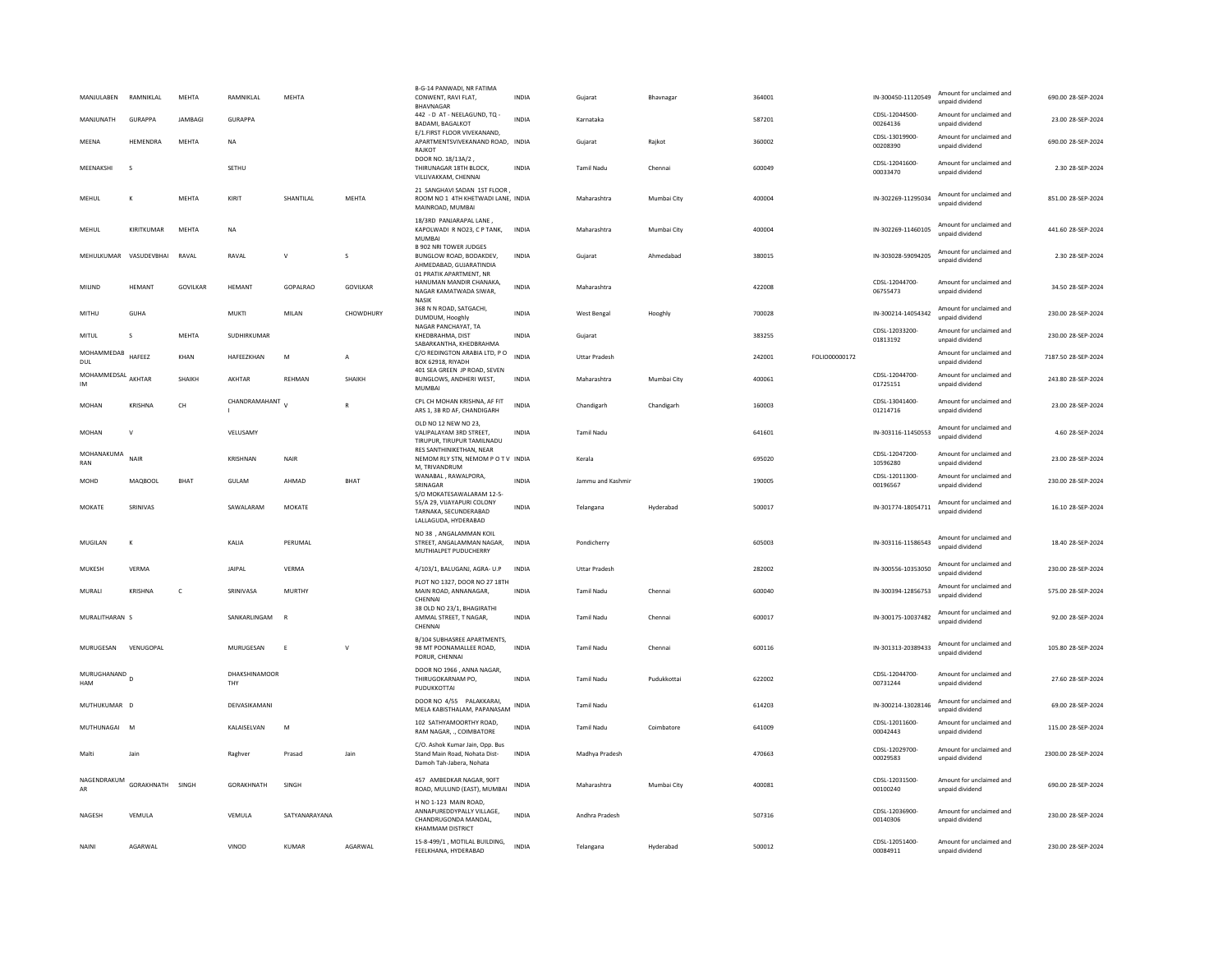| MANJULABEN                             | RAMNIKLAL              | MEHTA          | RAMNIKLAL            | MEHTA         |              | B-G-14 PANWADI, NR FATIMA<br>CONWENT, RAVI FLAT,<br><b>BHAVNAGAR</b>                         | <b>INDIA</b> | Gujarat              | Bhavnagar   | 364001 |                      | IN-300450-11120549         | Amount for unclaimed and<br>unpaid dividend | 690.00 28-SEP-2024  |
|----------------------------------------|------------------------|----------------|----------------------|---------------|--------------|----------------------------------------------------------------------------------------------|--------------|----------------------|-------------|--------|----------------------|----------------------------|---------------------------------------------|---------------------|
| MANJUNATH                              | <b>GURAPPA</b>         | <b>JAMBAGI</b> | <b>GURAPPA</b>       |               |              | 442 - D AT - NEELAGUND, TQ -<br><b>BADAMI, BAGALKOT</b>                                      | <b>INDIA</b> | Karnataka            |             | 587201 |                      | CDSL-12044500-<br>00264136 | Amount for unclaimed and<br>unpaid dividend | 23.00 28-SEP-2024   |
| MEENA                                  | HEMENDRA               | MEHTA          | <b>NA</b>            |               |              | E/1.FIRST FLOOR VIVEKANAND,<br>APARTMENTSVIVEKANAND ROAD. INDIA<br>RAJKOT                    |              | Guiarat              | Raikot      | 360002 |                      | CDSL-13019900-<br>00208390 | Amount for unclaimed and<br>unpaid dividend | 690.00 28-SEP-2024  |
| MFFNAKSHI                              | $\mathbf{S}$           |                | SETHU                |               |              | DOOR NO. 18/13A/2,<br>THIRUNAGAR 18TH BLOCK,<br>VILLIVAKKAM, CHENNA                          | <b>INDIA</b> | <b>Tamil Nadu</b>    | Chennai     | 600049 |                      | CDSL-12041600-<br>00033470 | Amount for unclaimed and<br>unpaid dividend | 2.30 28-SEP-2024    |
| MEHUL                                  | К                      | MEHTA          | KIRIT                | SHANTILAL     | <b>MFHTA</b> | 21 SANGHAVI SADAN 1ST FLOOR,<br>ROOM NO 1 4TH KHETWADI LANE, INDIA<br>MAINROAD, MUMBAI       |              | Maharashtra          | Mumbai City | 400004 |                      | IN-302269-11295034         | Amount for unclaimed and<br>unpaid dividend | 851.00 28-SEP-2024  |
| MEHUL                                  | KIRITKUMAR             | MEHTA          | <b>NA</b>            |               |              | 18/3RD PANJARAPAL LANE,<br>KAPOLWADI R NO23, C P TANK,<br><b>MUMBA</b>                       | INDIA        | Maharashtra          | Mumbai City | 400004 |                      | IN-302269-11460105         | Amount for unclaimed and<br>unpaid dividend | 441.60 28-SEP-2024  |
|                                        | MEHULKUMAR VASUDEVBHAI | RAVAL          | RAVAL                | $\mathsf{V}$  | s            | <b>B 902 NRI TOWER JUDGES</b><br>BUNGLOW ROAD, BODAKDEV,<br>AHMEDABAD, GUJARATINDIA          | <b>INDIA</b> | Gujarat              | Ahmedabad   | 380015 |                      | IN-303028-59094205         | Amount for unclaimed and<br>unnaid dividend | 2.30 28-SEP-2024    |
| MILIND                                 | HEMANT                 | GOVILKAR       | HEMANT               | GOPALRAO      | GOVILKAR     | 01 PRATIK APARTMENT. NR<br>HANUMAN MANDIR CHANAKA,<br>NAGAR KAMATWADA SIWAR.<br>NASIK        | <b>INDIA</b> | Maharashtra          |             | 422008 |                      | CDSL-12044700-<br>06755473 | Amount for unclaimed and<br>unpaid dividend | 34.50 28-SEP-2024   |
| MITHU                                  | GUHA                   |                | <b>MUKTI</b>         | MILAN         | CHOWDHURY    | 368 N N ROAD, SATGACHI,<br>DUMDUM, Hooghly                                                   | <b>INDIA</b> | West Bengal          | Hooghly     | 700028 |                      | IN-300214-14054342         | Amount for unclaimed and<br>unpaid dividend | 230.00 28-SEP-2024  |
| MITUL                                  | s                      | MEHTA          | SUDHIRKUMAR          |               |              | NAGAR PANCHAYAT, TA<br>KHEDBRAHMA, DIST<br>SABARKANTHA, KHEDBRAHMA                           | INDIA        | Gujarat              |             | 383255 |                      | CDSL-12033200-<br>01813192 | Amount for unclaimed and<br>unpaid dividend | 230.00 28-SEP-2024  |
| MOHAMMEDAB<br>DUL                      | HAFFF7                 | KHAN           | <b>HAFFF7KHAN</b>    | M             | A            | C/O REDINGTON ARABIA LTD, PO<br>BOX 62918, RIYADH                                            | <b>INDIA</b> | <b>Uttar Pradesh</b> |             | 242001 | <b>EOLIO00000172</b> |                            | Amount for unclaimed and<br>unpaid dividend | 7187.50 28-SEP-2024 |
| MOHAMMEDSAL AKHTAR<br><b>IM</b>        |                        | SHAIKH         | AKHTAR               | REHMAN        | SHAIKH       | 401 SEA GREEN IP ROAD, SEVEN<br>BUNGLOWS, ANDHERI WEST,<br><b>MUMBAI</b>                     | <b>INDIA</b> | Maharashtra          | Mumbai City | 400061 |                      | CDSL-12044700-<br>01725151 | Amount for unclaimed and<br>unpaid dividend | 243.80 28-SEP-2024  |
| <b>MOHAN</b>                           | <b>KRISHNA</b>         | CH             | CHANDRAMAHANT        |               | $\mathbb{R}$ | CPL CH MOHAN KRISHNA, AF FIT<br>ARS 1, 3B RD AF, CHANDIGARH                                  | INDIA        | Chandigarh           | Chandigarh  | 160003 |                      | CDSL-13041400-<br>01214716 | Amount for unclaimed and<br>unpaid dividend | 23.00 28-SEP-2024   |
| <b>MOHAN</b>                           | $\mathbf{v}$           |                | VELUSAMY             |               |              | OLD NO 12 NEW NO 23,<br>VALIPALAYAM 3RD STREET.<br>TIRUPUR, TIRUPUR TAMILNADU                | <b>INDIA</b> | <b>Tamil Nadu</b>    |             | 641601 |                      | IN-303116-11450553         | Amount for unclaimed and<br>unpaid dividend | 4.60 28-SEP-2024    |
| MOHANAKUMA<br>RAN                      | NAIR                   |                | KRISHNAN             | <b>NAIR</b>   |              | RES SANTHINIKETHAN, NEAR<br>NEMOM RLY STN, NEMOM P O T V INDIA<br>M, TRIVANDRUM              |              | Kerala               |             | 695020 |                      | CDSL-12047200-<br>10596280 | Amount for unclaimed and<br>unpaid dividend | 23.00 28-SEP-2024   |
| <b>MOHD</b>                            | <b>MAOBOOL</b>         | BHAT           | <b>GULAM</b>         | AHMAD         | <b>BHAT</b>  | WANABAL, RAWALPORA,<br>SRINAGAR<br>S/O MOKATESAWALARAM 12-5-                                 | <b>INDIA</b> | Jammu and Kashmir    |             | 190005 |                      | CDSL-12011300-<br>00196567 | Amount for unclaimed and<br>unpaid dividend | 230.00 28-SEP-2024  |
| MOKATE                                 | SRINIVAS               |                | SAWALARAM            | MOKATE        |              | 55/A 29, VIJAYAPURI COLONY<br>TARNAKA, SECUNDERARAD<br>LALLAGUDA, HYDERABAD                  | <b>INDIA</b> | Telangana            | Hyderabad   | 500017 |                      | IN-301774-18054711         | Amount for unclaimed and<br>unnaid dividend | 16.10 28-SEP-2024   |
| MUGILAN                                | $\mathbf{K}$           |                | KALIA                | PFRUMAL       |              | NO 38 , ANGALAMMAN KOIL<br>STREET. ANGALAMMAN NAGAR.<br>MUTHIALPET PUDUCHERRY                | <b>INDIA</b> | Pondicherry          |             | 605003 |                      | IN-303116-11586543         | Amount for unclaimed and<br>unpaid dividend | 18.40 28-SEP-2024   |
| MUKESH                                 | VFRMA                  |                | <b>IAIPAI</b>        | VERMA         |              | 4/103/1, BALUGANJ, AGRA- U.P                                                                 | <b>INDIA</b> | <b>Uttar Pradesh</b> |             | 282002 |                      | IN-300556-10353050         | Amount for unclaimed and<br>unnaid dividend | 230.00 28-SEP-2024  |
| MURALI                                 | <b>KRISHNA</b>         | $\mathsf{C}$   | SRINIVASA            | MURTHY        |              | PLOT NO 1327, DOOR NO 27 18TH<br>MAIN ROAD, ANNANAGAR,<br>CHENNAL                            | <b>INDIA</b> | <b>Tamil Nadu</b>    | Chennai     | 600040 |                      | IN-300394-12856753         | Amount for unclaimed and<br>unpaid dividend | 575.00 28-SEP-2024  |
| MURALITHARAN S                         |                        |                | SANKARLINGAM         | $\mathbf{R}$  |              | 38 OLD NO 23/1, BHAGIRATHI<br>AMMAL STREET, T NAGAR,<br>CHENNA                               | <b>INDIA</b> | <b>Tamil Nadu</b>    | Chennai     | 600017 |                      | IN-300175-10037482         | Amount for unclaimed and<br>unpaid dividend | 92.00 28-SEP-2024   |
| MURUGESAN                              | VENUGOPAL              |                | MURUGESAN            | E             | $\vee$       | B/104 SUBHASREE APARTMENTS,<br>98 MT POONAMALLEE ROAD,<br>PORUR, CHENNAI                     | <b>INDIA</b> | <b>Tamil Nadu</b>    | Chennai     | 600116 |                      | IN-301313-20389433         | Amount for unclaimed and<br>unpaid dividend | 105.80 28-SEP-2024  |
| MURUGHANAND <sub>D</sub><br><b>HAM</b> |                        |                | DHAKSHINAMOOR<br>THY |               |              | DOOR NO 1966 , ANNA NAGAR.<br>THIRUGOKARNAM PO,<br>PUDUKKOTTAI                               | <b>INDIA</b> | <b>Tamil Nadu</b>    | Pudukkottai | 622002 |                      | CDSL-12044700-<br>00731244 | Amount for unclaimed and<br>unpaid dividend | 27.60 28-SEP-2024   |
| MUTHUKUMAR D                           |                        |                | DEIVASIKAMANI        |               |              | DOOR NO 4/55 PALAKKARAI,<br>MELA KABISTHALAM, PAPANASAM                                      | INDIA        | <b>Tamil Nadu</b>    |             | 614203 |                      | IN-300214-13028146         | Amount for unclaimed and<br>unpaid dividend | 69.00 28-SEP-2024   |
| MUTHUNAGAI M                           |                        |                | KALAISELVAN          | M             |              | 102 SATHYAMOORTHY ROAD.<br>RAM NAGAR, ., COIMBATORE                                          | <b>INDIA</b> | <b>Tamil Nadu</b>    | Coimbatore  | 641009 |                      | CDSL-12011600-<br>00042443 | Amount for unclaimed and<br>unpaid dividend | 115.00 28-SEP-2024  |
| Malti                                  | lain                   |                | Raghver              | Prasad        | Jain         | C/O. Ashok Kumar Jain, Opp. Bus<br>Stand Main Road, Nohata Dist-<br>Damoh Tah-Jabera, Nohata | <b>INDIA</b> | Madhya Pradesh       |             | 470663 |                      | CDSL-12029700-<br>00029583 | Amount for unclaimed and<br>unpaid dividend | 2300.00 28-SEP-2024 |
| NAGENDRAKUM<br>AR                      | GORAKHNATH             | SINGH          | GORAKHNATH           | SINGH         |              | 457 AMBEDKAR NAGAR, 90FT<br>ROAD, MULUND (EAST), MUMBAI                                      | INDIA        | Maharashtra          | Mumbai City | 400081 |                      | CDSL-12031500<br>00100240  | Amount for unclaimed and<br>unpaid dividend | 690.00 28-SEP-2024  |
| NAGESH                                 | VEMULA                 |                | VEMULA               | SATYANARAYANA |              | H NO 1-123 MAIN ROAD<br>ANNAPUREDDYPALLY VILLAGE,<br>CHANDRUGONDA MANDAL<br>KHAMMAM DISTRICT | <b>INDIA</b> | Andhra Pradesh       |             | 507316 |                      | CDSL-12036900-<br>00140306 | Amount for unclaimed and<br>unnaid dividend | 230.00 28-SEP-2024  |
| NAINI                                  | AGARWAL                |                | VINOD                | <b>KUMAR</b>  | AGARWAL      | 15-8-499/1, MOTILAL BUILDING,<br>FFFI KHANA. HYDFRARAD                                       | <b>INDIA</b> | Telangana            | Hyderabad   | 500012 |                      | CDSL-12051400<br>00084911  | Amount for unclaimed and<br>unnaid dividend | 230.00 28-SEP-2024  |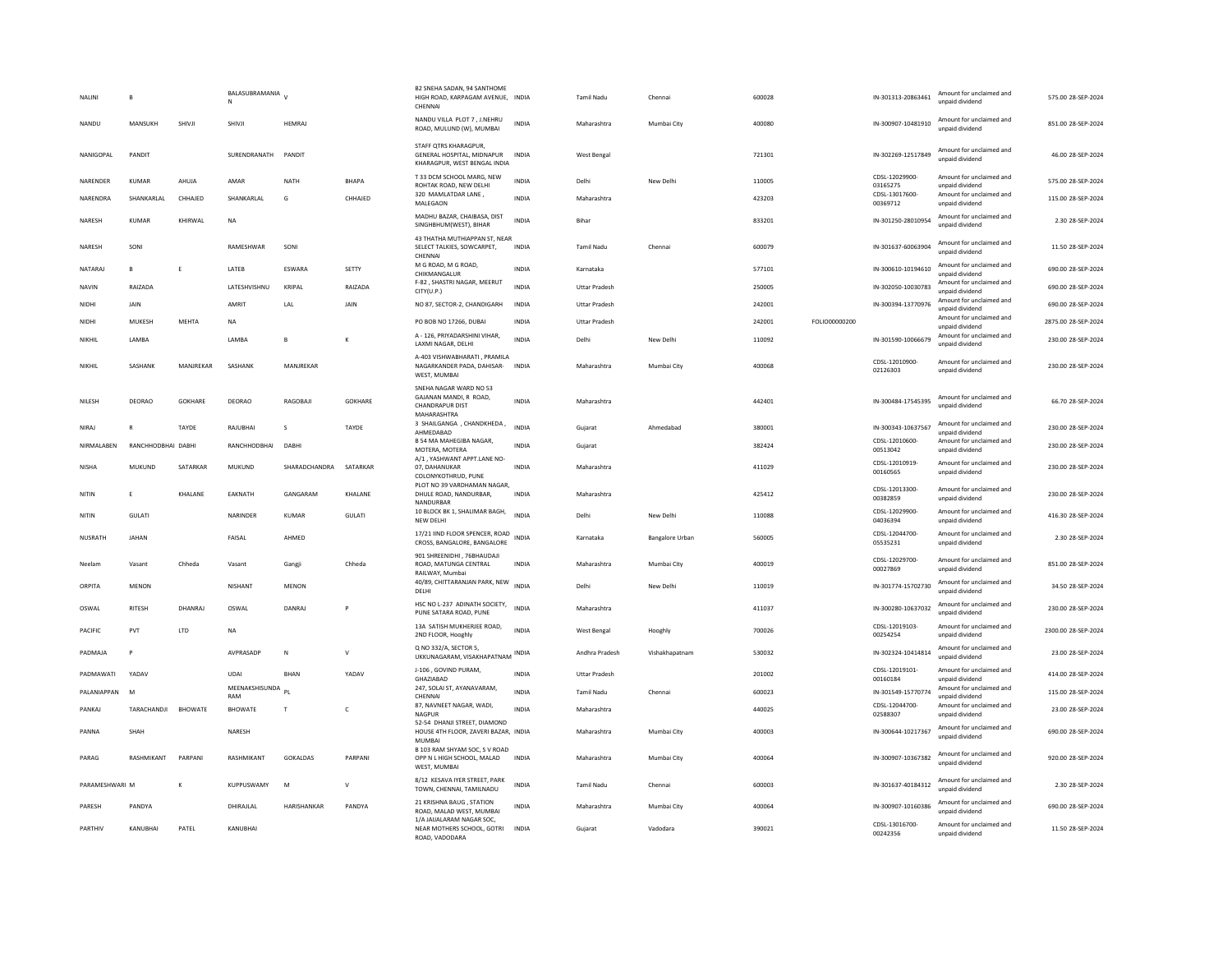| NALINI         | B                  |                | BALASUBRAMANIA<br>N   |                    |                | B2 SNEHA SADAN, 94 SANTHOME<br>HIGH ROAD, KARPAGAM AVENUE, INDIA<br>CHENNAI               |              | <b>Tamil Nadu</b>    | Chennai         | 600028 |               | IN-301313-20863461         | Amount for unclaimed and<br>unpaid dividend | 575.00 28-SEP-2024  |
|----------------|--------------------|----------------|-----------------------|--------------------|----------------|-------------------------------------------------------------------------------------------|--------------|----------------------|-----------------|--------|---------------|----------------------------|---------------------------------------------|---------------------|
| NANDU          | MANSUKH            | SHIVJI         | SHIVJ                 | <b>HEMRA</b>       |                | NANDU VILLA PLOT 7, J.NEHRU<br>ROAD, MULUND (W), MUMBAI                                   | <b>INDIA</b> | Maharashtra          | Mumbai City     | 400080 |               | IN-300907-10481910         | Amount for unclaimed and<br>unpaid dividend | 851.00 28-SEP-2024  |
| NANIGOPAL      | PANDIT             |                | SURENDRANATH          | PANDIT             |                | STAFF OTRS KHARAGPUR.<br>GENERAL HOSPITAL, MIDNAPUR<br>KHARAGPUR, WEST BENGAL INDIA       | <b>INDIA</b> | West Bengal          |                 | 721301 |               | IN-302269-12517849         | Amount for unclaimed and<br>unpaid dividend | 46.00 28-SEP-2024   |
| NARENDER       | <b>KUMAR</b>       | AHUJA          | AMAR                  | <b>NATH</b>        | <b>BHAPA</b>   | T 33 DCM SCHOOL MARG, NEW<br>ROHTAK ROAD, NEW DELHI                                       | <b>INDIA</b> | Delhi                | New Delhi       | 110005 |               | CDSL-12029900-<br>03165275 | Amount for unclaimed and<br>unpaid dividend | 575.00 28-SEP-2024  |
| NARENDRA       | <b>SHANKARIAI</b>  | CHHAJED        | SHANKARLAL            | G                  | CHHAJED        | 320 MAMLATDAR LANE,<br>MALEGAON                                                           | <b>INDIA</b> | Maharashtra          |                 | 423203 |               | CDSL-13017600-<br>00369712 | Amount for unclaimed and<br>unpaid dividend | 115.00 28-SEP-2024  |
| NARESH         | <b>KUMAR</b>       | KHIRWAL        | <b>NA</b>             |                    |                | MADHU BAZAR, CHAIBASA, DIST<br>SINGHBHUM(WEST), BIHAR                                     | <b>INDIA</b> | Bihar                |                 | 833201 |               | IN-301250-28010954         | Amount for unclaimed and<br>unpaid dividend | 2.30 28-SEP-2024    |
| NARESH         | SONI               |                | RAMESHWAR             | SONI               |                | 43 THATHA MUTHIAPPAN ST, NEAR<br>SELECT TALKIES, SOWCARPET,<br>CHENNAI                    | <b>INDIA</b> | <b>Tamil Nadu</b>    | Chennai         | 600079 |               | IN-301637-60063904         | Amount for unclaimed and<br>unpaid dividend | 11.50 28-SEP-2024   |
| NATARAI        | B.                 | F              | <b>I ATFR</b>         | <b>FSWARA</b>      | SETTY          | M G ROAD, M G ROAD,<br>CHIKMANGALUR                                                       | <b>INDIA</b> | Karnataka            |                 | 577101 |               | IN-300610-10194610         | Amount for unclaimed and<br>unpaid dividend | 690.00 28-SEP-2024  |
| NAVIN          | RAIZADA            |                | LATESHVISHNU          | KRIPAL             | RAIZADA        | F-82, SHASTRI NAGAR, MEERUT<br>CITY(U.P.)                                                 | <b>INDIA</b> | <b>Uttar Pradesh</b> |                 | 250005 |               | IN-302050-10030783         | Amount for unclaimed and<br>unpaid dividend | 690.00 28-SEP-2024  |
| NIDHI          | JAIN               |                | AMRIT                 | LAL                | JAIN           | NO 87, SECTOR-2, CHANDIGARH                                                               | <b>INDIA</b> | <b>Uttar Pradesh</b> |                 | 242001 |               | IN-300394-13770976         | Amount for unclaimed and<br>unpaid dividend | 690.00 28-SEP-2024  |
| NIDHI          | MUKESH             | MEHTA          | <b>NA</b>             |                    |                | PO BOB NO 17266, DUBAI                                                                    | <b>INDIA</b> | <b>Uttar Pradesh</b> |                 | 242001 | FOLIO00000200 |                            | Amount for unclaimed and<br>unpaid dividend | 2875.00 28-SEP-2024 |
| NIKHIL         | LAMBA              |                | LAMBA                 | R.                 | К              | A - 126, PRIYADARSHINI VIHAR,<br>LAXMI NAGAR, DELHI                                       | <b>INDIA</b> | Delhi                | New Delhi       | 110092 |               | IN-301590-10066679         | Amount for unclaimed and<br>unpaid dividend | 230.00 28-SEP-2024  |
| NIKHIL         | SASHANK            | MANJREKAR      | SASHANK               | MANJREKAR          |                | A-403 VISHWABHARATI, PRAMILA<br>NAGARKANDER PADA, DAHISAR-<br>WEST, MUMBAI                | INDIA        | Maharashtra          | Mumbai City     | 400068 |               | CDSL-12010900-<br>02126303 | Amount for unclaimed and<br>unpaid dividend | 230.00 28-SEP-2024  |
| NILESH         | <b>DEORAO</b>      | <b>GOKHARE</b> | DEORAO                | RAGOBAJI           | <b>GOKHARE</b> | SNEHA NAGAR WARD NO 53<br>GAJANAN MANDI, R ROAD,<br><b>CHANDRAPUR DIST</b><br>MAHARASHTRA | <b>INDIA</b> | Maharashtra          |                 | 442401 |               | IN-300484-17545395         | Amount for unclaimed and<br>unnaid dividend | 66.70 28-SEP-2024   |
| NIRAJ          | R                  | TAYDE          | RAJUBHAI              | $\mathbf{s}$       | TAYDE          | 3 SHAILGANGA, CHANDKHEDA,<br>AHMEDABAD                                                    | <b>INDIA</b> | Gujarat              | Ahmedabac       | 380001 |               | IN-300343-10637567         | Amount for unclaimed and<br>unpaid dividend | 230.00 28-SEP-2024  |
| NIRMALABEN     | RANCHHODBHAI DABHI |                | RANCHHODBHAI          | DABH               |                | B 54 MA MAHEGIBA NAGAR,<br>MOTERA, MOTERA                                                 | INDIA        | Gujarat              |                 | 382424 |               | CDSL-12010600-<br>00513042 | Amount for unclaimed and<br>unpaid dividend | 230.00 28-SEP-2024  |
| <b>NISHA</b>   | MUKUND             | SATARKAR       | MUKUND                | SHARADCHANDRA      | SATARKAR       | A/1. YASHWANT APPT.LANE NO-<br>07, DAHANUKAR<br>COLONYKOTHRUD, PUNE                       | <b>INDIA</b> | Maharashtra          |                 | 411029 |               | CDSL-12010919-<br>00160565 | Amount for unclaimed and<br>unpaid dividend | 230.00 28-SEP-2024  |
| NITIN          | E                  | KHALANE        | EAKNATH               | GANGARAM           | KHALANE        | PLOT NO 39 VARDHAMAN NAGAR,<br>DHULE ROAD, NANDURBAR,<br>NANDURBAR                        | <b>INDIA</b> | Maharashtra          |                 | 425412 |               | CDSL-12013300-<br>00382859 | Amount for unclaimed and<br>unpaid dividend | 230.00 28-SEP-2024  |
| NITIN          | GULATI             |                | NARINDER              | KUMAR              | GULATI         | 10 BLOCK BK 1, SHALIMAR BAGH,<br>NEW DELHI                                                | <b>INDIA</b> | Delhi                | New Delhi       | 110088 |               | CDSL-12029900-<br>04036394 | Amount for unclaimed and<br>unpaid dividend | 416.30 28-SEP-2024  |
| NUSRATH        | <b>JAHAN</b>       |                | FAISAL                | AHMED              |                | 17/21 IIND FLOOR SPENCER, ROAD<br>CROSS, BANGALORE, BANGALORE                             | <b>INDIA</b> | Karnataka            | Bangalore Urban | 560005 |               | CDSL-12044700-<br>05535231 | Amount for unclaimed and<br>unpaid dividend | 2.30 28-SEP-2024    |
| Neelam         | Vasant             | Chheda         | Vasant                | Gangji             | Chheda         | 901 SHREENIDHI, 76BHAUDAJI<br>ROAD, MATUNGA CENTRAL<br>RAILWAY, Mumba                     | <b>INDIA</b> | Maharashtra          | Mumbai City     | 400019 |               | CDSL-12029700-<br>00027869 | Amount for unclaimed and<br>unpaid dividend | 851.00 28-SEP-2024  |
| ORPITA         | <b>MENON</b>       |                | <b>NISHANT</b>        | <b>MENON</b>       |                | 40/89, CHITTARANJAN PARK, NEW<br>DELHI                                                    | <b>INDIA</b> | Delhi                | New Delhi       | 110019 |               | IN-301774-15702730         | Amount for unclaimed and<br>unpaid dividend | 34.50 28-SEP-2024   |
| OSWAL          | <b>RITESH</b>      | DHANRAI        | OSWAL                 | DANRAJ             | P              | HSC NO L-237 ADINATH SOCIETY,<br>PUNE SATARA ROAD, PUNE                                   | <b>INDIA</b> | Maharashtra          |                 | 411037 |               | IN-300280-10637032         | Amount for unclaimed and<br>unpaid dividend | 230.00 28-SEP-2024  |
| PACIFIC        | PVT                | LTD            | <b>NA</b>             |                    |                | 13A SATISH MUKHERJEE ROAD.<br>2ND FLOOR, Hooghly                                          | <b>INDIA</b> | <b>West Bengal</b>   | Hooghly         | 700026 |               | CDSL-12019103-<br>00254254 | Amount for unclaimed and<br>unpaid dividend | 2300.00 28-SEP-2024 |
| PADMAJA        | P                  |                | AVPRASADP             | N                  | $\mathsf{V}$   | Q NO 332/A, SECTOR 5.<br>UKKUNAGARAM, VISAKHAPATNAM                                       | <b>INDIA</b> | Andhra Pradesh       | Vishakhapatnam  | 530032 |               | IN-302324-10414814         | Amount for unclaimed and<br>unpaid dividend | 23.00 28-SEP-2024   |
| PADMAWATI      | YADAV              |                | UDAI                  | <b>BHAN</b>        | YADAV          | J-106, GOVIND PURAM,<br><b>GHAZIARAD</b>                                                  | <b>INDIA</b> | <b>Uttar Pradesh</b> |                 | 201002 |               | CDSL-12019101-<br>00160184 | Amount for unclaimed and<br>unpaid dividend | 414.00 28-SEP-2024  |
| PALANIAPPAN    | M                  |                | MEENAKSHISUNDA<br>RAM | P <sub>1</sub>     |                | 247, SOLAI ST, AYANAVARAM,<br>CHENNAI                                                     | <b>INDIA</b> | Tamil Nadu           | Chennai         | 600023 |               | IN-301549-15770774         | Amount for unclaimed and<br>unpaid dividend | 115.00 28-SEP-2024  |
| PANKAJ         | TARACHANDJI        | <b>BHOWATE</b> | <b>BHOWATE</b>        |                    | c              | 87, NAVNEET NAGAR, WADI,<br>NAGPUR                                                        | <b>INDIA</b> | Maharashtra          |                 | 440025 |               | CDSL-12044700-<br>02588307 | Amount for unclaimed and<br>unpaid dividend | 23.00 28-SEP-2024   |
| PANNA          | SHAH               |                | NARESH                |                    |                | 52-54 DHANJI STREET, DIAMOND<br>HOUSE 4TH FLOOR, ZAVERI BAZAR, INDIA<br>MUMBAI            |              | Maharashtra          | Mumbai City     | 400003 |               | IN-300644-10217367         | Amount for unclaimed and<br>unpaid dividend | 690.00 28-SEP-2024  |
| PARAG          | RASHMIKANT         | PARPANI        | RASHMIKANT            | GOKALDAS           | PARPANI        | B 103 RAM SHYAM SOC. S V ROAD<br>OPP N L HIGH SCHOOL, MALAD<br>WEST, MUMBA                | INDIA        | Maharashtra          | Mumbai City     | 400064 |               | IN-300907-10367382         | Amount for unclaimed and<br>unpaid dividend | 920.00 28-SEP-2024  |
| PARAMESHWARI M |                    | K              | KUPPUSWAMY            | M                  | $\mathsf{V}$   | 8/12 KESAVA IYER STREET, PARK<br>TOWN, CHENNAI, TAMILNADU                                 | <b>INDIA</b> | <b>Tamil Nadu</b>    | Chennai         | 600003 |               | IN-301637-40184312         | Amount for unclaimed and<br>unpaid dividend | 2.30 28-SEP-2024    |
| PARESH         | PANDYA             |                | DHIRAJLAL             | <b>HARISHANKAR</b> | PANDYA         | 21 KRISHNA BAUG, STATION<br>ROAD, MALAD WEST, MUMBAI                                      | <b>INDIA</b> | Maharashtra          | Mumbai City     | 400064 |               | IN-300907-10160386         | Amount for unclaimed and<br>unpaid dividend | 690.00 28-SEP-2024  |
| PARTHIV        | KANUBHAI           | PATEL          | KANUBHAI              |                    |                | 1/A JAIJALARAM NAGAR SOC,<br>NEAR MOTHERS SCHOOL, GOTRI<br>ROAD, VADODARA                 | <b>INDIA</b> | Gujarat              | Vadodara        | 390021 |               | CDSL-13016700-<br>00242356 | Amount for unclaimed and<br>unpaid dividend | 11.50 28-SEP-2024   |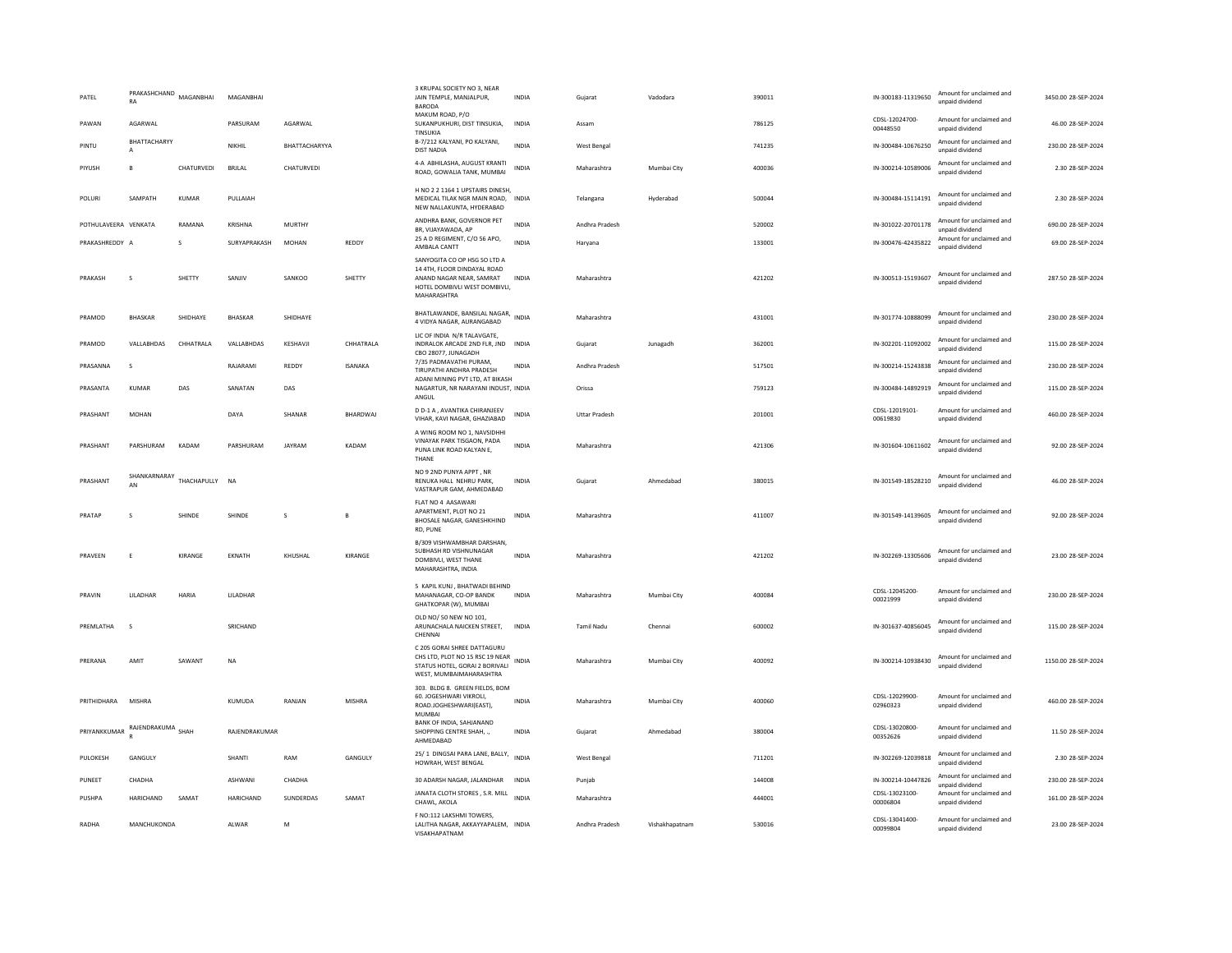| PATEL                | PRAKASHCHAND<br>RA | MAGANBHAI     | MAGANBHAI      |               |                 | 3 KRUPAL SOCIETY NO 3, NEAR<br>JAIN TEMPLE, MANJALPUR,<br>BARODA                                                                        | <b>INDIA</b> | Gujarat              | Vadodara    | 390011 | IN-300183-11319650         | Amount for unclaimed and<br>unpaid dividend | 3450.00 28-SEP-2024 |
|----------------------|--------------------|---------------|----------------|---------------|-----------------|-----------------------------------------------------------------------------------------------------------------------------------------|--------------|----------------------|-------------|--------|----------------------------|---------------------------------------------|---------------------|
| PAWAN                | AGARWAL            |               | PARSURAM       | AGARWAL       |                 | MAKUM ROAD, P/O<br>SUKANPUKHURI, DIST TINSUKIA,<br>TINSUKIA                                                                             | <b>INDIA</b> | Assam                |             | 786125 | CDSI-12024700-<br>00448550 | Amount for unclaimed and<br>unpaid dividend | 46.00 28-SEP-2024   |
| PINTU                | BHATTACHARYY<br>A  |               | NIKHIL         | BHATTACHARYYA |                 | B-7/212 KALYANI, PO KALYANI,<br><b>DIST NADIA</b>                                                                                       | <b>INDIA</b> | West Bengal          |             | 741235 | IN-300484-10676250         | Amount for unclaimed and<br>unpaid dividend | 230.00 28-SEP-2024  |
| PIYUSH               | B                  | CHATURVEDI    | BRJLAL         | CHATURVEDI    |                 | 4-A ABHILASHA, AUGUST KRANTI<br>ROAD, GOWALIA TANK, MUMBAI                                                                              | <b>INDIA</b> | Maharashtra          | Mumbai City | 400036 | IN-300214-10589006         | Amount for unclaimed and<br>unpaid dividend | 2.30 28-SEP-2024    |
| POLURI               | SAMPATH            | KUMAR         | PULLAIAH       |               |                 | H NO 2 2 1164 1 UPSTAIRS DINESH.<br>MEDICAL TILAK NGR MAIN ROAD. INDIA<br>NEW NALLAKUNTA, HYDERABAD                                     |              | Telangana            | Hyderabad   | 500044 | IN-300484-15114191         | Amount for unclaimed and<br>unpaid dividend | 2.30 28-SEP-2024    |
| POTHULAVEERA VENKATA |                    | RAMANA        | KRISHNA        | <b>MURTHY</b> |                 | ANDHRA BANK, GOVERNOR PET<br>BR, VIJAYAWADA, AP                                                                                         | <b>INDIA</b> | Andhra Pradesh       |             | 520002 | IN-301022-20701178         | Amount for unclaimed and<br>unpaid dividend | 690.00 28-SEP-2024  |
| PRAKASHREDDY A       |                    | s             | SURYAPRAKASH   | <b>MOHAN</b>  | REDDY           | 25 A D REGIMENT, C/O 56 APO,<br>AMBALA CANTT                                                                                            | <b>INDIA</b> | Harvana              |             | 133001 | IN-300476-42435822         | Amount for unclaimed and<br>unpaid dividend | 69.00 28-SEP-2024   |
| PRAKASH              | $\sim$             | <b>SHETTY</b> | SANIIV         | SANKOO        | SHETTY          | SANYOGITA CO OP HSG SO LTD A<br>14 4TH, FLOOR DINDAYAL ROAD<br>ANAND NAGAR NEAR. SAMRAT<br>HOTEL DOMBIVLI WEST DOMBIVLI,<br>MAHARASHTRA | <b>INDIA</b> | Maharashtra          |             | 421202 | IN-300513-15193607         | Amount for unclaimed and<br>unpaid dividend | 287.50.28-SEP-2024  |
| PRAMOD               | <b>BHASKAR</b>     | SHIDHAYE      | <b>BHASKAR</b> | SHIDHAYE      |                 | BHATLAWANDE, BANSILAL NAGAR,<br>4 VIDYA NAGAR, AURANGABAD                                                                               | <b>INDIA</b> | Maharashtra          |             | 431001 | IN-301774-10888099         | Amount for unclaimed and<br>unpaid dividend | 230.00 28-SEP-2024  |
| PRAMOD               | VALLABHDAS         | CHHATRALA     | VALLABHDAS     | KESHAVJI      | CHHATRALA       | LIC OF INDIA N/R TALAVGATE,<br>INDRALOK ARCADE 2ND FLR, JND INDIA<br>CBO 28077, JUNAGADH                                                |              | Gujarat              | Junagadh    | 362001 | IN-302201-11092002         | Amount for unclaimed and<br>unpaid dividend | 115.00 28-SEP-2024  |
| PRASANNA             | $\mathbf{S}$       |               | RAIARAMI       | REDDY         | <b>ISANAKA</b>  | 7/35 PADMAVATHI PURAM.<br>TIRUPATHI ANDHRA PRADESH                                                                                      | <b>INDIA</b> | Andhra Pradesh       |             | 517501 | IN-300214-15243838         | Amount for unclaimed and<br>unpaid dividend | 230.00.28-SEP-2024  |
| PRASANTA             | <b>KUMAR</b>       | DAS           | SANATAN        | DAS           |                 | ADANI MINING PVT LTD. AT BIKASH<br>NAGARTUR, NR NARAYANI INDUST, INDIA<br>ANGUL                                                         |              | Orissa               |             | 759123 | IN-300484-14892919         | Amount for unclaimed and<br>unpaid dividend | 115.00 28-SEP-2024  |
| PRASHANT             | <b>MOHAN</b>       |               | DAYA           | SHANAR        | <b>BHARDWAI</b> | D D-1 A, AVANTIKA CHIRANJEEV<br>VIHAR, KAVI NAGAR, GHAZIABAD                                                                            | <b>INDIA</b> | <b>Uttar Pradesh</b> |             | 201001 | CDSL-12019101-<br>00619830 | Amount for unclaimed and<br>unpaid dividend | 460.00 28-SEP-2024  |
| PRASHANT             | PARSHURAM          | KADAM         | PARSHURAM      | JAYRAM        | KADAM           | A WING ROOM NO 1, NAVSIDHHI<br>VINAYAK PARK TISGAON, PADA<br>PUNA LINK ROAD KALYAN E,<br>THANE                                          | <b>INDIA</b> | Maharashtra          |             | 421306 | IN-301604-10611602         | Amount for unclaimed and<br>unnaid dividend | 92.00 28-SEP-2024   |
| PRASHANT             | SHANKARNARAY<br>AN | THACHAPULLY   | <b>NA</b>      |               |                 | NO 9 2ND PUNYA APPT, NR<br>RENUKA HALL NEHRU PARK,<br>VASTRAPUR GAM, AHMEDABAD                                                          | <b>INDIA</b> | Gujarat              | Ahmedabad   | 380015 | IN-301549-18528210         | Amount for unclaimed and<br>unpaid dividend | 46.00 28-SEP-2024   |
| PRATAP               | s                  | SHINDE        | SHINDE         | s             | B               | FLAT NO 4 AASAWARI<br>APARTMENT, PLOT NO 21<br>BHOSALE NAGAR, GANESHKHIND<br>RD, PUNE                                                   | INDIA        | Maharashtra          |             | 411007 | IN-301549-14139605         | Amount for unclaimed and<br>unpaid dividend | 92.00 28-SEP-2024   |
| PRAVEEN              | F                  | KIRANGE       | <b>FKNATH</b>  | KHUSHAI       | KIRANGE         | B/309 VISHWAMBHAR DARSHAN.<br>SUBHASH RD VISHNUNAGAR<br>DOMBIVLI, WEST THANE<br>MAHARASHTRA, INDIA                                      | <b>INDIA</b> | Maharashtra          |             | 421202 | IN-302269-13305606         | Amount for unclaimed and<br>unpaid dividend | 23.00 28-SEP-2024   |
| PRAVIN               | LILADHAR           | HARIA         | LILADHAR       |               |                 | 5 KAPIL KUNJ, BHATWADI BEHIND<br>MAHANAGAR, CO-OP BANDK<br>GHATKOPAR (W), MUMBAI                                                        | <b>INDIA</b> | Maharashtra          | Mumbai City | 400084 | CDSL-12045200-<br>00021999 | Amount for unclaimed and<br>unpaid dividend | 230.00 28-SEP-2024  |
| PREMLATHA            | $\mathbf{S}$       |               | SRICHAND       |               |                 | OLD NO/ 50 NEW NO 101,<br>ARUNACHALA NAICKEN STREET,<br>CHENNAL                                                                         | <b>INDIA</b> | <b>Tamil Nadu</b>    | Chennai     | 600002 | IN-301637-40856045         | Amount for unclaimed and<br>unpaid dividend | 115.00 28-SEP-2024  |
| PRERANA              | AMIT               | SAWANT        | <b>NA</b>      |               |                 | C 205 GORAI SHREE DATTAGURU<br>CHS LTD, PLOT NO 15 RSC 19 NEAR<br>STATUS HOTEL, GORAI 2 BORIVALI<br>WEST, MUMBAIMAHARASHTRA             | <b>INDIA</b> | Maharashtra          | Mumbai City | 400092 | IN-300214-10938430         | Amount for unclaimed and<br>unpaid dividend | 1150.00 28-SEP-2024 |
| PRITHIDHARA          |                    |               |                |               |                 |                                                                                                                                         |              |                      |             |        |                            |                                             |                     |
|                      | <b>MISHRA</b>      |               | KUMUDA         | RANJAN        | MISHRA          | 303. BLDG 8. GREEN FIELDS, BOM<br>60. JOGESHWARI VIKROLI.<br>ROAD.JOGHESHWARI(EAST),<br>MUMBAI                                          | INDIA        | Maharashtra          | Mumbai City | 400060 | CDSL-12029900-<br>02960323 | Amount for unclaimed and<br>unpaid dividend | 460.00 28-SEP-2024  |
| PRIYANKKUMAR         | RAJENDRAKUMA SHAH  |               | RAJENDRAKUMAR  |               |                 | BANK OF INDIA, SAHJANAND<br>SHOPPING CENTRE SHAH, .,<br>AHMEDABAD                                                                       | <b>INDIA</b> | Guiarat              | Ahmedahad   | 380004 | CDSL-13020800-<br>00352626 | Amount for unclaimed and<br>unpaid dividend | 11.50 28-SEP-2024   |
| PULOKESH             | GANGULY            |               | SHANTI         | RAM           | GANGULY         | 25/1 DINGSAI PARA LANE, BALLY,<br>HOWRAH, WEST BENGAL                                                                                   | <b>INDIA</b> | West Bengal          |             | 711201 | IN-302269-12039818         | Amount for unclaimed and<br>unpaid dividend | 2.30 28-SEP-2024    |
| PUNEET               | CHADHA             |               | ASHWANI        | CHADHA        |                 | 30 ADARSH NAGAR, JALANDHAR INDIA                                                                                                        |              | Punjab               |             | 144008 | IN-300214-10447826         | Amount for unclaimed and<br>unpaid dividend | 230.00 28-SEP-2024  |
| PUSHPA               | HARICHAND          | SAMAT         | HARICHAND      | SUNDERDAS     | SAMAT           | JANATA CLOTH STORES, S.R. MILL<br>CHAWL, AKOLA                                                                                          | <b>INDIA</b> | Maharashtra          |             | 444001 | CDSL-13023100-<br>00006804 | Amount for unclaimed and<br>unpaid dividend | 161.00 28-SEP-2024  |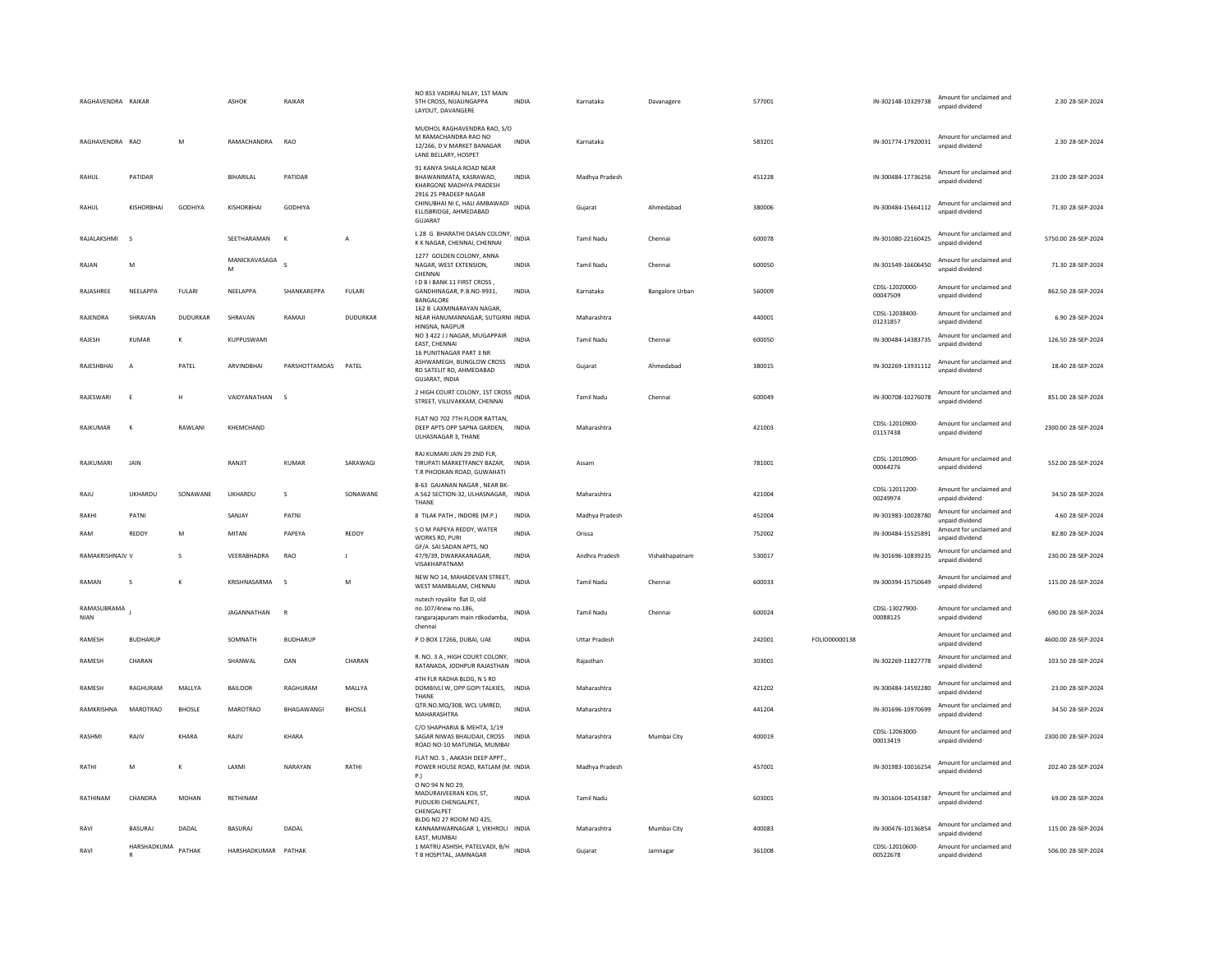| RAGHAVENDRA RAIKAR         |                 |               | <b>ASHOK</b>        | RAIKAR          |               | NO 853 VADIRAJ NILAY, 1ST MAIN<br>5TH CROSS, NIJALINGAPPA<br>LAYOUT, DAVANGERE                            | <b>INDIA</b> | Karnataka            | Davanagere      | 577001 |               | IN-302148-10329738         | Amount for unclaimed and<br>unpaid dividend | 2.30 28-SEP-2024    |
|----------------------------|-----------------|---------------|---------------------|-----------------|---------------|-----------------------------------------------------------------------------------------------------------|--------------|----------------------|-----------------|--------|---------------|----------------------------|---------------------------------------------|---------------------|
| RAGHAVENDRA RAO            |                 | M             | RAMACHANDRA         | RAO             |               | MUDHOL RAGHAVENDRA RAO, S/O<br>M RAMACHANDRA RAO NO<br>12/266, D V MARKET BANAGAR<br>LANE BELLARY, HOSPET | INDIA        | Karnataka            |                 | 583201 |               | IN-301774-17920031         | Amount for unclaimed and<br>unnaid dividend | 2.30 28-SEP-2024    |
| RAHUL                      | PATIDAR         |               | <b>BIHARILAL</b>    | PATIDAR         |               | 91 KANYA SHALA ROAD NEAR<br>BHAWANIMATA, KASRAWAD,<br>KHARGONE MADHYA PRADESH                             | <b>INDIA</b> | Madhya Pradesh       |                 | 451228 |               | IN-300484-17736256         | Amount for unclaimed and<br>unpaid dividend | 23.00 28-SEP-2024   |
| RAHUL                      | KISHORBHAI      | GODHIYA       | KISHORBHAI          | <b>GODHIYA</b>  |               | 2916 25 PRADEEP NAGAR<br>CHINUBHAI NI C, HALI AMBAWADI<br>ELLISBRIDGE, AHMEDABAD<br>GUJARAT               | <b>INDIA</b> | Gujarat              | Ahmedabad       | 380006 |               | IN-300484-15664112         | Amount for unclaimed and<br>unpaid dividend | 71.30 28-SEP-2024   |
| RAJALAKSHMI                | <b>s</b>        |               | SEETHARAMAN         | $\mathsf{K}$    | А             | L 28 G BHARATHI DASAN COLONY, INDIA<br>K K NAGAR, CHENNAI, CHENNAI                                        |              | Tamil Nadu           | Chenna          | 600078 |               | IN-301080-22160425         | Amount for unclaimed and<br>unnaid dividend | 5750.00 28-SEP-2024 |
| RAJAN                      | M               |               | MANICKAVASAGA<br>M  | $\mathbf{s}$    |               | 1277 GOLDEN COLONY, ANNA<br>NAGAR, WEST EXTENSION,<br>CHENNAL                                             | <b>INDIA</b> | <b>Tamil Nadu</b>    | Chennai         | 600050 |               | IN-301549-16606450         | Amount for unclaimed and<br>unpaid dividend | 71.30 28-SEP-2024   |
| RAJASHREE                  | NEELAPPA        | <b>FULARI</b> | NEELAPPA            | SHANKAREPPA     | <b>FULARI</b> | I D B I BANK 11 FIRST CROSS,<br>GANDHINAGAR, P.B.NO-9931,<br>BANGALORE                                    | <b>INDIA</b> | Karnataka            | Bangalore Urban | 560009 |               | CDSL-12020000-<br>00047509 | Amount for unclaimed and<br>unpaid dividend | 862.50 28-SEP-2024  |
| RAJENDRA                   | SHRAVAN         | DUDURKAR      | SHRAVAN             | RAMAJI          | DUDURKAR      | 162 B LAXMINARAYAN NAGAR.<br>NEAR HANUMANNAGAR, SUTGIRNI INDIA<br>HINGNA, NAGPUR                          |              | Maharashtra          |                 | 440001 |               | CDSL-12038400-<br>01231857 | Amount for unclaimed and<br>unpaid dividend | 6.90 28-SEP-2024    |
| RAJESH                     | <b>KUMAR</b>    | к             | KUPPUSWAMI          |                 |               | NO 3 422 J J NAGAR, MUGAPPAIR<br>EAST, CHENNAI<br>16 PUNITNAGAR PART 3 NR                                 | <b>INDIA</b> | <b>Tamil Nadu</b>    | Chennai         | 600050 |               | IN-300484-14383735         | Amount for unclaimed and<br>unpaid dividend | 126.50 28-SEP-2024  |
| RAJESHBHAI                 | $\overline{A}$  | PATEL         | ARVINDBHAI          | PARSHOTTAMDAS   | PATEL         | ASHWAMEGH, BUNGLOW CROSS<br>RD SATELIT RD, AHMEDABAD<br>GUJARAT, INDIA                                    | <b>INDIA</b> | Gujarat              | Ahmedabad       | 380015 |               | IN-302269-13931112         | Amount for unclaimed and<br>unpaid dividend | 18.40 28-SEP-2024   |
| RAJESWARI                  | E               | H             | VAIDYANATHAN        | $\mathsf{s}$    |               | 2 HIGH COURT COLONY, 1ST CROSS<br>STREET, VILLIVAKKAM, CHENNAI                                            |              | <b>Tamil Nadu</b>    | Chennai         | 600049 |               | IN-300708-10276078         | Amount for unclaimed and<br>unpaid dividend | 851.00 28-SEP-2024  |
| RAIKUMAR                   | К               | RAWI ANI      | KHFMCHAND           |                 |               | FLAT NO 702 7TH FLOOR RATTAN,<br>DEEP APTS OPP SAPNA GARDEN, INDIA<br>ULHASNAGAR 3, THANE                 |              | Maharashtra          |                 | 421003 |               | CDSL-12010900-<br>01157438 | Amount for unclaimed and<br>unpaid dividend | 2300.00 28-SEP-2024 |
| RAJKUMARI                  | JAIN            |               | RANJIT              | <b>KUMAR</b>    | SARAWAGI      | RAJ KUMARI JAIN 29 2ND FLR,<br>TIRUPATI MARKETFANCY BAZAR. INDIA<br>T.R PHOOKAN ROAD, GUWAHATI            |              | Assam                |                 | 781001 |               | CDSL-12010900<br>00064276  | Amount for unclaimed and<br>unpaid dividend | 552.00 28-SEP-2024  |
| RAILI                      | UKHARDU         | SONAWANE      | UKHARDU             | $\mathcal{S}$   | SONAWANE      | B-63 GAJANAN NAGAR, NEAR BK-<br>A 562 SECTION-32, ULHASNAGAR, INDIA<br>THANE                              |              | Maharashtra          |                 | 421004 |               | CDSL-12011200-<br>00249974 | Amount for unclaimed and<br>unpaid dividend | 34.50.28-SEP-2024   |
| RAKHI                      | PATNI           |               | SANJAY              | PATNI           |               | 8 TILAK PATH , INDORE (M.P.)                                                                              | <b>INDIA</b> | Madhya Pradesh       |                 | 452004 |               | IN-301983-10028780         | Amount for unclaimed and<br>unpaid dividend | 4.60 28-SEP-2024    |
| RAM                        | REDDY           | M             | MITAN               | PAPEYA          | REDDY         | S O M PAPEYA REDDY, WATER<br>WORKS RD, PURI                                                               | INDIA        | Orissa               |                 | 752002 |               | IN-300484-15525891         | Amount for unclaimed and<br>unpaid dividend | 82.80 28-SEP-2024   |
| RAMAKRISHNAJV V            |                 | s             | VEERABHADRA         | RAO             | -1            | GF/A SAI SADAN APTS, NO<br>47/9/39, DWARAKANAGAR,<br>VISAKHAPATNAM                                        | <b>INDIA</b> | Andhra Pradesh       | Vishakhapatnam  | 530017 |               | IN-301696-10839235         | Amount for unclaimed and<br>unpaid dividend | 230.00 28-SEP-2024  |
| RAMAN                      | s               | К             | KRISHNASARMA        | s.              | M             | NEW NO 14, MAHADEVAN STREET, INDIA<br>WEST MAMBALAM, CHENNAI                                              |              | Tamil Nadu           | Chennai         | 600033 |               | IN-300394-15750649         | Amount for unclaimed and<br>unpaid dividend | 115.00 28-SEP-2024  |
| RAMASUBRAMA<br><b>NIAN</b> |                 |               | JAGANNATHAN         | R               |               | nutech royalite flat D, old<br>no.107/4new no.186,<br>rangarajapuram main rdkodamba,<br>chennai           | INDIA        | <b>Tamil Nadu</b>    | Chennai         | 600024 |               | CDSL-13027900-<br>00088125 | Amount for unclaimed and<br>unnaid dividend | 690.00 28-SEP-2024  |
| RAMESH                     | <b>BUDHARUP</b> |               | SOMNATH             | <b>BUDHARUP</b> |               | P O BOX 17266, DUBAI, UAE                                                                                 | <b>INDIA</b> | <b>Uttar Pradesh</b> |                 | 242001 | FOLIO00000138 |                            | Amount for unclaimed and<br>unpaid dividend | 4600.00 28-SEP-2024 |
| RAMESH                     | CHARAN          |               | SHANWAL             | DAN             | CHARAN        | R. NO. 3 A, HIGH COURT COLONY,<br>RATANADA, JODHPUR RAJASTHAN                                             | <b>INDIA</b> | Rajasthan            |                 | 303001 |               | IN-302269-11827778         | Amount for unclaimed and<br>unpaid dividend | 103.50 28-SEP-2024  |
| RAMESH                     | RAGHURAM        | MALLYA        | <b>BAILOOR</b>      | RAGHURAM        | MALLYA        | 4TH FLR RADHA BLDG, N S RD<br>DOMBIVLI W, OPP GOPI TALKIES, INDIA<br>THANE                                |              | Maharashtra          |                 | 421202 |               | IN-300484-14592280         | Amount for unclaimed and<br>unpaid dividend | 23.00 28-SEP-2024   |
| RAMKRISHNA                 | <b>MAROTRAO</b> | <b>BHOSLE</b> | <b>MAROTRAO</b>     | BHAGAWANGI      | <b>BHOSLE</b> | QTR.NO.MQ/308, WCL UMRED,<br>MAHARASHTRA                                                                  | <b>INDIA</b> | Maharashtra          |                 | 441204 |               | IN-301696-10970699         | Amount for unclaimed and<br>unpaid dividend | 34.50 28-SEP-2024   |
| RASHMI                     | RAJIV           | KHARA         | RAJIV               | KHARA           |               | C/O SHAPHARIA & MEHTA, 1/19<br>SAGAR NIWAS BHAUDAJI, CROSS INDIA<br>ROAD NO-10 MATUNGA, MUMBAI            |              | Maharashtra          | Mumbai City     | 400019 |               | CDSL-12063000-<br>00013419 | Amount for unclaimed and<br>unnaid dividend | 2300.00 28-SEP-2024 |
| RATHI                      | M               | к             | LAXMI               | NARAYAN         | RATHI         | FLAT NO. 5, AAKASH DEEP APPT.,<br>POWER HOUSE ROAD, RATLAM (M. INDIA<br>P.)                               |              | Madhya Pradesh       |                 | 457001 |               | IN-301983-10016254         | Amount for unclaimed and<br>unnaid dividend | 202.40 28-SEP-2024  |
| RATHINAM                   | CHANDRA         | MOHAN         | RETHINAM            |                 |               | O NO 94 N NO 29,<br>MADURAIVEERAN KOIL ST,<br>PUDUERI CHENGALPET,<br>CHENGALPET                           | INDIA        | <b>Tamil Nadu</b>    |                 | 603001 |               | IN-301604-10543387         | Amount for unclaimed and<br>unpaid dividend | 69.00 28-SEP-2024   |
| RAVI                       | BASURAJ         | DADAL         | <b>BASURAJ</b>      | DADAL           |               | BLDG NO 27 ROOM NO 425.<br>KANNAMWARNAGAR 1, VIKHROLI INDIA<br>FAST. MUMBAL                               |              | Maharashtra          | Mumbai City     | 400083 |               | IN-300476-10136854         | Amount for unclaimed and<br>unpaid dividend | 115.00 28-SEP-2024  |
| RAVI                       | HARSHADKUMA     | PATHAK        | HARSHADKUMAR PATHAK |                 |               | 1 MATRU ASHISH, PATELVADI, B/H INDIA<br>T B HOSPITAL, JAMNAGAR                                            |              | Gujarat              | Jamnagar        | 361008 |               | CDSL-12010600-<br>00522678 | Amount for unclaimed and<br>unpaid dividend | 506.00.28-SEP-2024  |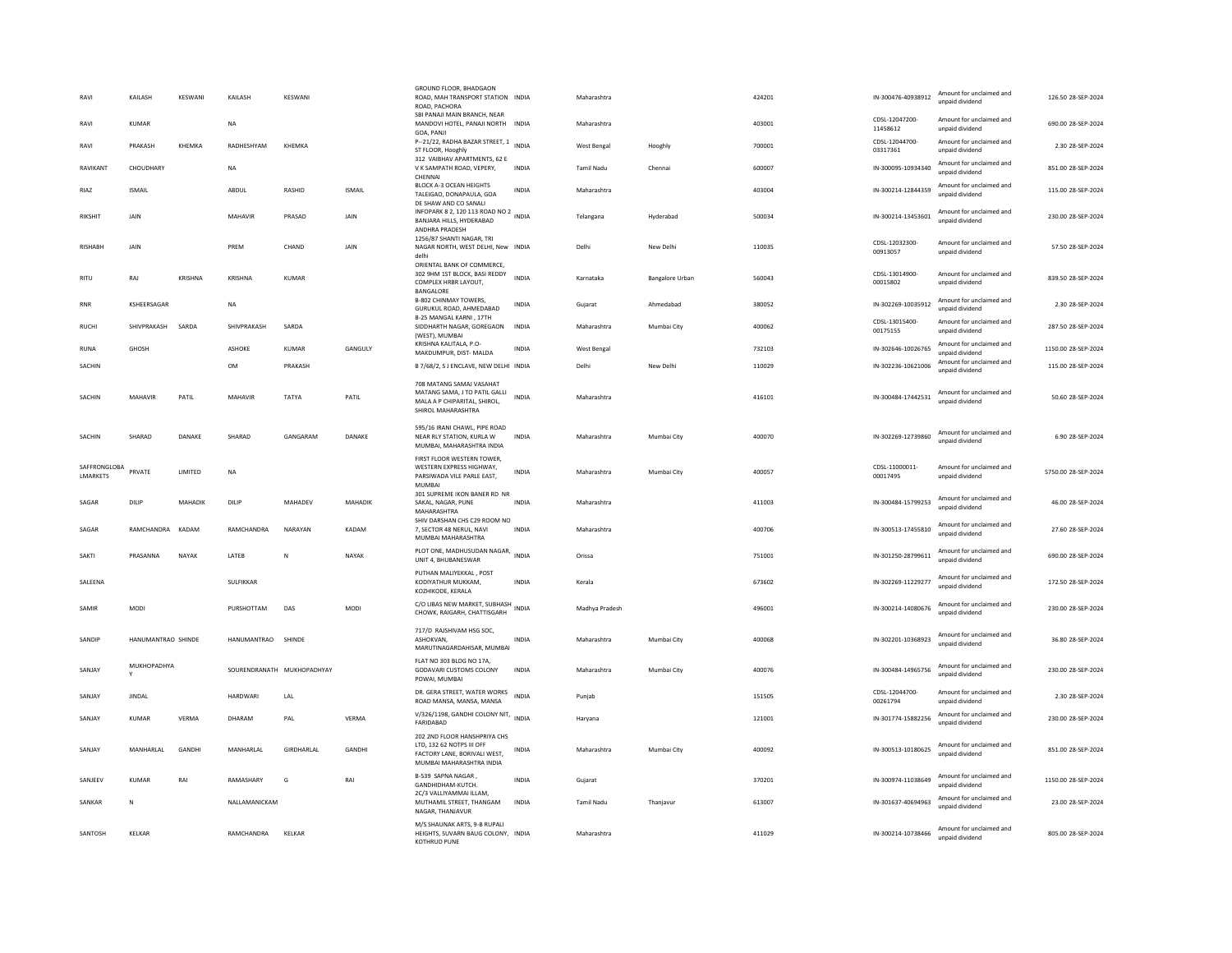| RAVI                            | KAILASH            | KESWANI        | KAILASH            | KESWANI                    |               | GROUND FLOOR, BHADGAON<br>ROAD, MAH TRANSPORT STATION INDIA<br>ROAD, PACHORA                                          |              | Maharashtra       |                 | 424201 | IN-300476-40938912         | Amount for unclaimed and<br>unpaid dividend | 126.50 28-SEP-2024  |
|---------------------------------|--------------------|----------------|--------------------|----------------------------|---------------|-----------------------------------------------------------------------------------------------------------------------|--------------|-------------------|-----------------|--------|----------------------------|---------------------------------------------|---------------------|
| RAVI                            | KUMAR              |                | <b>NA</b>          |                            |               | SBI PANAJI MAIN BRANCH, NEAR<br>MANDOVI HOTEL, PANAJI NORTH INDIA<br>GOA, PANJI                                       |              | Maharashtra       |                 | 403001 | CDSL-12047200-<br>11458612 | Amount for unclaimed and<br>unpaid dividend | 690.00.28-SEP-2024  |
| RAVI                            | PRAKASH            | KHEMKA         | RADHESHYAM         | KHEMKA                     |               | P-21/22, RADHA BAZAR STREET, 1 INDIA<br>ST FLOOR, Hooghly                                                             |              | West Bengal       | Hooghly         | 700001 | CDSL-12044700-<br>03317361 | Amount for unclaimed and<br>unpaid dividend | 2.30 28-SEP-2024    |
| RAVIKANT                        | CHOUDHARY          |                | <b>NA</b>          |                            |               | 312 VAIBHAV APARTMENTS, 62 E<br>V K SAMPATH ROAD, VEPERY,<br>CHENNAI                                                  | <b>INDIA</b> | <b>Tamil Nadu</b> | Chennai         | 600007 | IN-300095-10934340         | Amount for unclaimed and<br>unpaid dividend | 851.00 28-SEP-2024  |
| RIAZ                            | <b>ISMAIL</b>      |                | ABDUL              | RASHID                     | <b>ISMAIL</b> | BLOCK A-3 OCEAN HEIGHTS<br>TALEIGAO, DONAPAULA, GOA<br>DE SHAW AND CO SANALI                                          | INDIA        | Maharashtra       |                 | 403004 | IN-300214-12844359         | Amount for unclaimed and<br>unpaid dividend | 115.00 28-SEP-2024  |
| <b>RIKSHIT</b>                  | JAIN               |                | MAHAVIR            | PRASAD                     | JAIN          | INFOPARK 8 2, 120 113 ROAD NO 2 INDIA<br>BANJARA HILLS, HYDERABAD<br>ANDHRA PRADESH                                   |              | Telangana         | Hyderabad       | 500034 | IN-300214-13453601         | Amount for unclaimed and<br>unpaid dividend | 230.00 28-SEP-2024  |
| RISHABH                         | JAIN               |                | PREM               | CHAND                      | JAIN          | 1256/87 SHANTI NAGAR, TRI<br>NAGAR NORTH, WEST DELHI, New INDIA<br>delhi                                              |              | Delhi             | New Delhi       | 110035 | CDSL-12032300-<br>00913057 | Amount for unclaimed and<br>unpaid dividend | 57.50 28-SEP-2024   |
| RITU                            | RAJ                | <b>KRISHNA</b> | KRISHNA            | <b>KUMAR</b>               |               | ORIENTAL BANK OF COMMERCE,<br>302 9HM 1ST BLOCK, BASI REDDY<br>COMPLEX HRBR LAYOUT,<br>BANGALORE                      | <b>INDIA</b> | Karnataka         | Bangalore Urban | 560043 | CDSL-13014900<br>00015802  | Amount for unclaimed and<br>unpaid dividend | 839.50 28-SEP-2024  |
| <b>RNR</b>                      | KSHEERSAGAR        |                | NA                 |                            |               | B-802 CHINMAY TOWERS,<br>GURUKUL ROAD, AHMEDABAD                                                                      | <b>INDIA</b> | Gujarat           | Ahmedabad       | 380052 | IN-302269-10035912         | Amount for unclaimed and<br>unpaid dividend | 2.30 28-SEP-2024    |
| <b>RUCHI</b>                    | SHIVPRAKASH        | SARDA          | SHIVPRAKASH        | SARDA                      |               | B-25 MANGAL KARNI, 17TH<br>SIDDHARTH NAGAR, GOREGAON<br>(WEST), MUMBAI                                                | <b>INDIA</b> | Maharashtra       | Mumbai City     | 400062 | CDSL-13015400-<br>00175155 | Amount for unclaimed and<br>unpaid dividend | 287.50 28-SEP-2024  |
| RUNA                            | GHOSH              |                | ASHOKE             | KUMAR                      | GANGULY       | KRISHNA KALITALA, P.O-<br>MAKDUMPUR, DIST- MALDA                                                                      | <b>INDIA</b> | West Bengal       |                 | 732103 | IN-302646-10026765         | Amount for unclaimed and<br>unpaid dividend | 1150.00 28-SEP-2024 |
| SACHIN                          |                    |                | <b>OM</b>          | PRAKASH                    |               | B 7/68/2, S J ENCLAVE, NEW DELHI INDIA                                                                                |              | Delhi             | New Delhi       | 110029 | IN-302236-10621006         | Amount for unclaimed and<br>unpaid dividend | 115.00 28-SEP-2024  |
| SACHIN                          | MAHAVIR            | PATIL          | MAHAVIR            | TATYA                      | PATIL         | 708 MATANG SAMAJ VASAHAT<br>MATANG SAMA, J TO PATIL GALLI<br>MALA A P CHIPARITAL, SHIROL,<br>SHIROL MAHARASHTRA       | <b>INDIA</b> | Maharashtra       |                 | 416101 | IN-300484-17442531         | Amount for unclaimed and<br>unpaid dividend | 50.60 28-SEP-2024   |
| SACHIN                          | SHARAD             | DANAKE         | SHARAD             | GANGARAM                   | DANAKE        | 595/16 IRANI CHAWL, PIPE ROAD<br>NEAR RLY STATION, KURLA W<br>MUMBAI, MAHARASHTRA INDIA                               | <b>INDIA</b> | Maharashtra       | Mumbai City     | 400070 | IN-302269-12739860         | Amount for unclaimed and<br>unpaid dividend | 6.90 28-SEP-2024    |
| SAFFRONGLOBA<br><b>LMARKETS</b> | PRVATE             | LIMITED        | NA                 |                            |               | FIRST FLOOR WESTERN TOWER<br>WESTERN EXPRESS HIGHWAY,<br>PARSIWADA VILE PARLE EAST.<br><b>MUMBA</b>                   | <b>INDIA</b> | Maharashtra       | Mumbai City     | 400057 | CDSL-11000011-<br>00017495 | Amount for unclaimed and<br>unpaid dividend | 5750.00 28-SEP-2024 |
| SAGAR                           | DILIP              | MAHADIK        | DILIP              | MAHADEV                    | MAHADIK       | 301 SUPREME IKON BANER RD NR<br>SAKAL, NAGAR, PUNE<br>MAHARASHTRA                                                     | INDIA        | Maharashtra       |                 | 411003 | IN-300484-15799253         | Amount for unclaimed and<br>unpaid dividend | 46.00 28-SEP-2024   |
| SAGAR                           | RAMCHANDRA         | KADAM          | RAMCHANDRA         | NARAYAN                    | KADAM         | SHIV DARSHAN CHS C29 ROOM NO<br>7. SECTOR 48 NERUL. NAVI<br>MUMBAI MAHARASHTRA                                        | <b>INDIA</b> | Maharashtra       |                 | 400706 | IN-300513-17455810         | Amount for unclaimed and<br>unpaid dividend | 27.60 28-SEP-2024   |
| SAKTI                           | PRASANNA           | NAYAK          | LATEB              | N                          | NAYAK         | PLOT ONE, MADHUSUDAN NAGAR, INDIA<br>UNIT 4, BHUBANESWAR                                                              |              | Orissa            |                 | 751001 | IN-301250-28799611         | Amount for unclaimed and<br>unnaid dividend | 690.00 28-SEP-2024  |
| SALEENA                         |                    |                | SULFIKKAR          |                            |               | PUTHAN MALIYEKKAL, POST<br>KODIYATHUR MUKKAM,<br>KOZHIKODE, KERALA                                                    | <b>INDIA</b> | Kerala            |                 | 673602 | IN-302269-11229277         | Amount for unclaimed and<br>unpaid dividend | 172.50 28-SEP-2024  |
| SAMIR                           | MODI               |                | PURSHOTTAM         | DAS                        | <b>MODI</b>   | C/O LIBAS NEW MARKET, SUBHASH<br>CHOWK, RAIGARH, CHATTISGARH                                                          | <b>INDIA</b> | Madhya Pradesh    |                 | 496001 | IN-300214-14080676         | Amount for unclaimed and<br>unpaid dividend | 230.00 28-SEP-2024  |
| SANDIP                          | HANUMANTRAO SHINDE |                | HANUMANTRAO SHINDE |                            |               | 717/D RAJSHIVAM HSG SOC.<br>ASHOKVAN.<br>MARUTINAGARDAHISAR, MUMBAI                                                   | <b>INDIA</b> | Maharashtra       | Mumbai City     | 400068 | IN-302201-10368923         | Amount for unclaimed and<br>unpaid dividend | 36.80 28-SEP-2024   |
| SANJAY                          | MUKHOPADHYA<br>Y   |                |                    | SOURENDRANATH MUKHOPADHYAY |               | FLAT NO 303 BLDG NO 17A.<br>GODAVARI CUSTOMS COLONY<br>POWAI, MUMBAI                                                  | INDIA        | Maharashtra       | Mumbai City     | 400076 | IN-300484-14965756         | Amount for unclaimed and<br>unpaid dividend | 230.00 28-SEP-2024  |
| SANJAY                          | <b>JINDAL</b>      |                | <b>HARDWARI</b>    | LAL                        |               | DR. GERA STREET, WATER WORKS<br>ROAD MANSA, MANSA, MANSA                                                              | <b>INDIA</b> | Puniab            |                 | 151505 | CDSL-12044700-<br>00261794 | Amount for unclaimed and<br>unpaid dividend | 2.30 28-SEP-2024    |
| SANJAY                          | KUMAR              | VERMA          | DHARAM             | PAL                        | VERMA         | V/326/1198, GANDHI COLONY NIT, INDIA<br>FARIDABAD                                                                     |              | Haryana           |                 | 121001 | IN-301774-15882256         | Amount for unclaimed and<br>unpaid dividend | 230.00 28-SEP-2024  |
| SANJAY                          | MANHARLAL          | GANDHI         | MANHARLAL          | GIRDHARLAL                 | GANDHI        | 202 2ND FLOOR HANSHPRIYA CHS<br>LTD, 132 62 NOTPS III OFF<br>FACTORY LANE, BORIVALI WEST,<br>MUMBAI MAHARASHTRA INDIA | <b>INDIA</b> | Maharashtra       | Mumbai City     | 400092 | IN-300513-10180625         | Amount for unclaimed and<br>unpaid dividend | 851.00 28-SEP-2024  |
| SANJEEV                         | KUMAR              | RAI            | RAMASHARY          | G                          | RAI           | B-539 SAPNA NAGAR<br>GANDHIDHAM-KUTCH                                                                                 | <b>INDIA</b> | Gujarat           |                 | 370201 | IN-300974-11038649         | Amount for unclaimed and<br>unpaid dividend | 1150.00 28-SEP-2024 |
| SANKAR                          | N                  |                | NALLAMANICKAM      |                            |               | 2C/3 VALLIYAMMAI ILLAM.<br>MUTHAMIL STREET, THANGAM<br>NAGAR, THANJAVUR                                               | INDIA        | Tamil Nadu        | Thanjavur       | 613007 | IN-301637-40694963         | Amount for unclaimed and<br>unpaid dividend | 23.00 28-SEP-2024   |
| SANTOSH                         | <b>KELKAR</b>      |                | RAMCHANDRA         | KELKAR                     |               | M/S SHAUNAK ARTS, 9-B RUPALI<br>HEIGHTS, SUVARN BAUG COLONY, INDIA<br>KOTHRUD PUNE                                    |              | Maharashtra       |                 | 411029 | IN-300214-10738466         | Amount for unclaimed and<br>unpaid dividend | 805.00 28-SEP-2024  |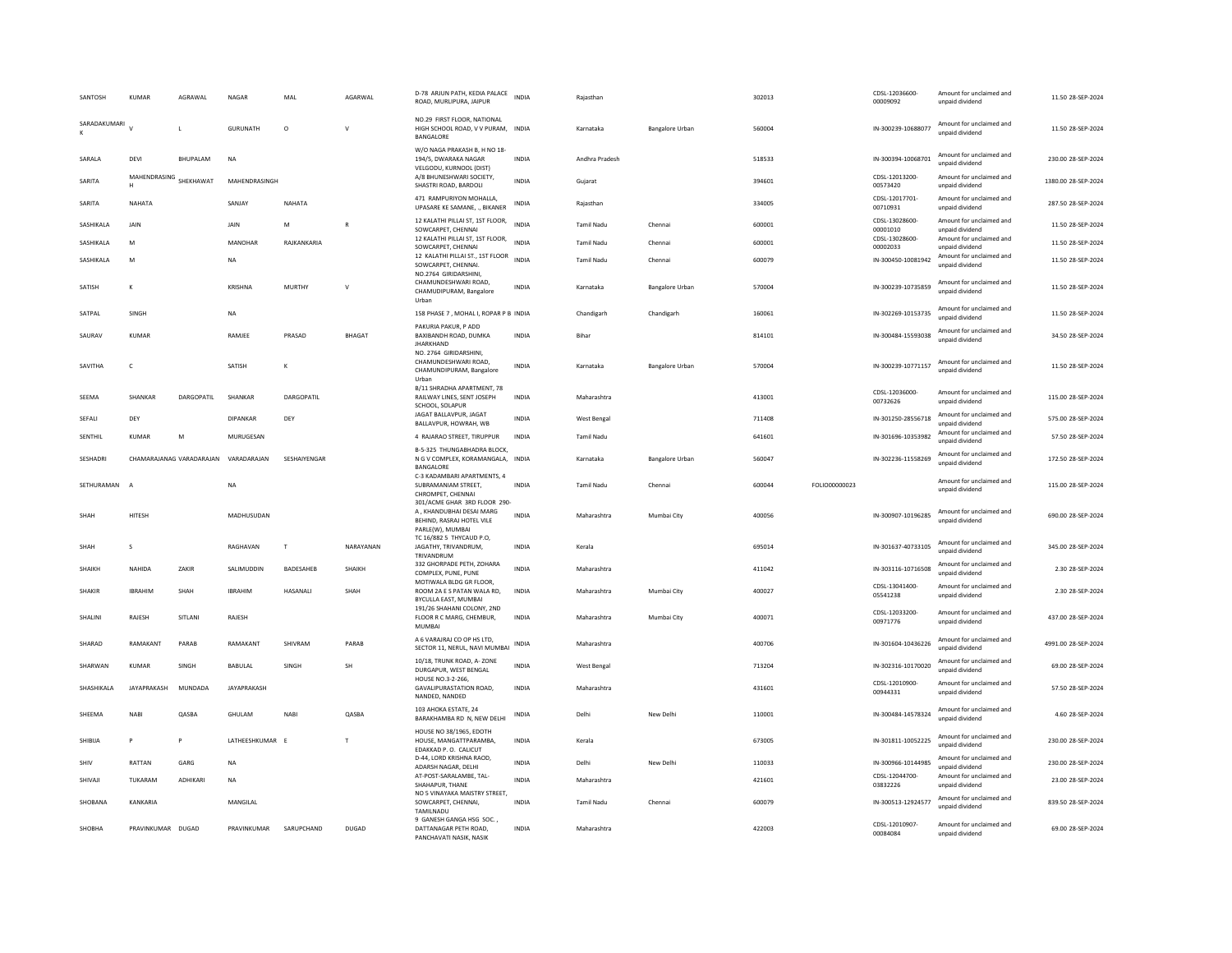| SANTOSH         | <b>KUMAR</b>      | AGRAWAL                              | <b>NAGAR</b>       | MAL          | AGARWAL      | D-78 ARJUN PATH, KEDIA PALACE<br>ROAD, MURLIPURA, JAIPUR                                                  | <b>INDIA</b> | Rajasthan         |                        | 302013 |               | CDSL-12036600-<br>00009092 | Amount for unclaimed and<br>unpaid dividend | 11.50 28-SEP-2024   |
|-----------------|-------------------|--------------------------------------|--------------------|--------------|--------------|-----------------------------------------------------------------------------------------------------------|--------------|-------------------|------------------------|--------|---------------|----------------------------|---------------------------------------------|---------------------|
| SARADAKUMARI    |                   | $\mathbf{I}$                         | GURUNATH           | $\circ$      | $\mathsf{v}$ | NO.29 FIRST FLOOR, NATIONAL<br>HIGH SCHOOL ROAD, V V PURAM, INDIA<br>BANGALORE                            |              | Karnataka         | Bangalore Urban        | 560004 |               | IN-300239-10688077         | Amount for unclaimed and<br>unpaid dividend | 11.50 28-SEP-2024   |
| SARALA          | DEVI              | <b>BHUPALAM</b>                      | <b>NA</b>          |              |              | W/O NAGA PRAKASH B, H NO 18-<br>194/5, DWARAKA NAGAR<br>VELGODU, KURNOOL (DIST)                           | <b>INDIA</b> | Andhra Pradesh    |                        | 518533 |               | IN-300394-10068701         | Amount for unclaimed and<br>unpaid dividend | 230.00 28-SEP-2024  |
| SARITA          | MAHENDRASING<br>H | SHEKHAWAT                            | MAHENDRASINGH      |              |              | A/8 BHUNESHWARI SOCIETY,<br>SHASTRI ROAD, BARDOLI                                                         | <b>INDIA</b> | Gujarat           |                        | 394601 |               | CDSL-12013200-<br>00573420 | Amount for unclaimed and<br>unpaid dividend | 1380.00 28-SEP-2024 |
| SARITA          | NAHATA            |                                      | SANJAY             | NAHATA       |              | 471 RAMPURIYON MOHALLA,<br>UPASARE KE SAMANE, ., BIKANER                                                  | <b>INDIA</b> | Rajasthan         |                        | 334005 |               | CDSL-12017701-<br>00710931 | Amount for unclaimed and<br>unpaid dividend | 287.50 28-SEP-2024  |
| SASHIKALA       | JAIN              |                                      | JAIN               | M            | $\mathsf{R}$ | 12 KALATHI PILLAI ST, 1ST FLOOR,<br>SOWCARPET, CHENNAI                                                    | <b>INDIA</b> | <b>Tamil Nadu</b> | Chennai                | 600001 |               | CDSL-13028600-<br>00001010 | Amount for unclaimed and<br>unpaid dividend | 11.50 28-SEP-2024   |
| SASHIKALA       | M                 |                                      | MANOHAR            | RAJKANKARIA  |              | 12 KALATHI PILLAI ST, 1ST FLOOR,<br>SOWCARPET, CHENNAI                                                    | <b>INDIA</b> | <b>Tamil Nadu</b> | Chennai                | 600001 |               | CDSL-13028600-<br>00002033 | Amount for unclaimed and<br>unpaid dividend | 11.50 28-SEP-2024   |
| SASHIKALA       | M                 |                                      | <b>NA</b>          |              |              | 12 KALATHI PILLAI ST., 1ST FLOOR<br>SOWCARPET, CHENNAI.<br>NO.2764 GIRIDARSHINI                           | <b>INDIA</b> | <b>Tamil Nadu</b> | Chennai                | 600079 |               | IN-300450-10081942         | Amount for unclaimed and<br>unpaid dividend | 11.50 28-SEP-2024   |
| SATISH          | $\kappa$          |                                      | KRISHNA            | MURTHY       | V            | CHAMUNDESHWARI ROAD,<br>CHAMUDIPURAM, Bangalore<br>Urban                                                  | <b>INDIA</b> | Karnataka         | Bangalore Urban        | 570004 |               | IN-300239-10735859         | Amount for unclaimed and<br>unpaid dividend | 11.50 28-SEP-2024   |
| SATPAI          | SINGH             |                                      | <b>NA</b>          |              |              | 158 PHASE 7, MOHAL I, ROPAR P B INDIA                                                                     |              | Chandigarh        | Chandigarh             | 160061 |               | IN-302269-10153735         | Amount for unclaimed and<br>unpaid dividend | 11.50 28-SEP-2024   |
| SAURAV          | KUMAR             |                                      | RAMJEE             | PRASAD       | BHAGAT       | PAKURIA PAKUR, P ADD<br>BAXIBANDH ROAD, DUMKA<br>JHARKHAND                                                | <b>INDIA</b> | Bihar             |                        | 814101 |               | IN-300484-15593038         | Amount for unclaimed and<br>unpaid dividend | 34.50 28-SEP-2024   |
| SAVITHA         | $\mathsf{C}$      |                                      | SATISH             | к            |              | NO. 2764 GIRIDARSHINI.<br>CHAMUNDESHWARI ROAD,<br>CHAMUNDIPURAM, Bangalore<br>Urbar                       | <b>INDIA</b> | Karnataka         | Bangalore Urban        | 570004 |               | IN-300239-10771157         | Amount for unclaimed and<br>unpaid dividend | 11.50 28-SEP-2024   |
| SEEMA           | SHANKAR           | DARGOPATIL                           | SHANKAR            | DARGOPATIL   |              | B/11 SHRADHA APARTMENT, 78<br>RAILWAY LINES, SENT JOSEPH<br>SCHOOL, SOLAPUR                               | <b>INDIA</b> | Maharashtra       |                        | 413001 |               | CDSL-12036000-<br>00732626 | Amount for unclaimed and<br>unpaid dividend | 115.00 28-SEP-2024  |
| SEFALI          | DEY               |                                      | <b>DIPANKAR</b>    | DEY          |              | JAGAT BALLAVPUR, JAGAT<br>BALLAVPUR, HOWRAH, WB                                                           | <b>INDIA</b> | West Bengal       |                        | 711408 |               | IN-301250-28556718         | Amount for unclaimed and<br>unnaid dividend | 575.00 28-SEP-2024  |
| SENTHIL         | KUMAR             | M                                    | MURUGESAN          |              |              | 4 RAJARAO STREET, TIRUPPUR                                                                                | <b>INDIA</b> | <b>Tamil Nadu</b> |                        | 641601 |               | IN-301696-10353982         | Amount for unclaimed and<br>unpaid dividend | 57.50 28-SEP-2024   |
| <b>SESHADRI</b> |                   | CHAMARAIANAG VARADARAIAN VARADARAIAN |                    | SESHAIYENGAR |              | B-5-325 THUNGABHADRA BLOCK<br>N G V COMPLEX, KORAMANGALA, INDIA<br>BANGALORE                              |              | Karnataka         | <b>Bangalore Urban</b> | 560047 |               | IN-302236-11558269         | Amount for unclaimed and<br>unpaid dividend | 172.50.28-SEP-2024  |
| SETHURAMAN      | $\overline{A}$    |                                      | NA                 |              |              | C-3 KADAMBARI APARTMENTS, 4<br>SUBRAMANIAM STREET,<br>CHROMPET, CHENNAI                                   | <b>INDIA</b> | Tamil Nadu        | Chennai                | 600044 | FOLIO00000023 |                            | Amount for unclaimed and<br>unpaid dividend | 115.00 28-SEP-2024  |
| SHAH            | HITESH            |                                      | MADHUSUDAN         |              |              | 301/ACME GHAR 3RD FLOOR 290-<br>A, KHANDUBHAI DESAI MARG<br>BEHIND, RASRAJ HOTEL VILE<br>PARLE(W), MUMBAI | INDIA        | Maharashtra       | Mumbai City            | 400056 |               | IN-300907-10196285         | Amount for unclaimed and<br>unpaid dividend | 690.00 28-SEP-2024  |
| SHAH            | $\mathbf{S}$      |                                      | RAGHAVAN           | $\mathbf{T}$ | NARAYANAN    | TC 16/882 5 THYCAUD P.O,<br>JAGATHY, TRIVANDRUM,<br>TRIVANDRUN                                            | <b>INDIA</b> | Kerala            |                        | 695014 |               | IN-301637-40733105         | Amount for unclaimed and<br>unnaid dividend | 345.00 28-SEP-2024  |
| SHAIKH          | NAHIDA            | ZAKIR                                | SALIMUDDIN         | BADESAHEB    | SHAIKH       | 332 GHORPADE PETH, ZOHARA<br>COMPLEX, PUNE, PUNE                                                          | <b>INDIA</b> | Maharashtra       |                        | 411042 |               | IN-303116-10716508         | Amount for unclaimed and<br>unpaid dividend | 2.30 28-SEP-2024    |
| SHAKIR          | <b>IBRAHIM</b>    | SHAH                                 | <b>IBRAHIM</b>     | HASANALI     | SHAH         | MOTIWALA BLDG GR FLOOR,<br>ROOM 2A E S PATAN WALA RD.<br>BYCULLA EAST, MUMBAI                             | <b>INDIA</b> | Maharashtra       | Mumbai City            | 400027 |               | CDSL-13041400-<br>05541238 | Amount for unclaimed and<br>unpaid dividend | 2.30 28-SEP-2024    |
| SHALINI         | RAJESH            | SITLANI                              | RAJESH             |              |              | 191/26 SHAHANI COLONY, 2ND<br>FLOOR R C MARG, CHEMBUR,<br><b>MUMBA</b>                                    | INDIA        | Maharashtra       | Mumbai City            | 400071 |               | CDSL-12033200-<br>00971776 | Amount for unclaimed and<br>unpaid dividend | 437.00 28-SEP-2024  |
| SHARAD          | RAMAKANT          | PARAB                                | RAMAKANT           | SHIVRAM      | PARAB        | A 6 VARAJRAJ CO OP HS LTD,<br>SECTOR 11, NERUL, NAVI MUMBAI                                               | <b>INDIA</b> | Maharashtra       |                        | 400706 |               | IN-301604-10436226         | Amount for unclaimed and<br>unpaid dividend | 4991.00 28-SEP-2024 |
| SHARWAN         | <b>KUMAR</b>      | SINGH                                | BABULAL            | SINGH        | <b>SH</b>    | 10/18, TRUNK ROAD, A-ZONE<br>DURGAPUR, WEST BENGAL                                                        | INDIA        | West Bengal       |                        | 713204 |               | IN-302316-10170020         | Amount for unclaimed and<br>unpaid dividend | 69.00 28-SEP-2024   |
| SHASHIKALA      | JAYAPRAKASH       | MUNDADA                              | <b>JAYAPRAKASH</b> |              |              | HOUSE NO.3-2-266.<br>GAVALIPURASTATION ROAD,<br>NANDED, NANDED                                            | INDIA        | Maharashtra       |                        | 431601 |               | CDSL-12010900-<br>00944331 | Amount for unclaimed and<br>unpaid dividend | 57.50 28-SEP-2024   |
| SHEEMA          | <b>NABI</b>       | QASBA                                | GHULAM             | <b>NABI</b>  | QASBA        | 103 AHOKA ESTATE, 24<br>BARAKHAMBA RD N, NEW DELHI                                                        | <b>INDIA</b> | Delhi             | New Delhi              | 110001 |               | IN-300484-14578324         | Amount for unclaimed and<br>unpaid dividend | 4.60 28-SEP-2024    |
| SHIBIJA         | $\mathsf{P}$      | P                                    | LATHEESHKUMAR      | E            | T            | HOUSE NO 38/1965, EDOTH<br>HOUSE, MANGATTPARAMBA,<br>EDAKKAD P. O. CALICUT                                | <b>INDIA</b> | Kerala            |                        | 673005 |               | IN-301811-10052225         | Amount for unclaimed and<br>unpaid dividend | 230.00 28-SEP-2024  |
| SHIV            | RATTAN            | GARG                                 | NA                 |              |              | D-44, LORD KRISHNA RAOD,<br>ADARSH NAGAR, DELHI                                                           | <b>INDIA</b> | Delhi             | New Delhi              | 110033 |               | IN-300966-10144985         | Amount for unclaimed and<br>unpaid dividend | 230.00 28-SEP-2024  |
| SHIVAJI         | TUKARAM           | ADHIKAR                              | NA                 |              |              | AT-POST-SARALAMBE, TAL-<br>SHAHAPUR, THANE                                                                | <b>INDIA</b> | Maharashtra       |                        | 421601 |               | CDSL-12044700-<br>03832226 | Amount for unclaimed and<br>unpaid dividend | 23.00 28-SEP-2024   |
| SHORANA         | KANKARIA          |                                      | MANGILAI           |              |              | NO 5 VINAYAKA MAISTRY STREET,<br>SOWCARPET, CHENNAI,<br>TAMILNADL                                         | <b>INDIA</b> | <b>Tamil Nadu</b> | Chennai                | 600079 |               | IN-300513-12924577         | Amount for unclaimed and<br>unpaid dividend | 839.50 28-SEP-2024  |
| SHOBHA          | PRAVINKUMAR DUGAD |                                      | PRAVINKUMAR        | SARUPCHAND   | DUGAD        | 9 GANESH GANGA HSG SOC.<br>DATTANAGAR PETH ROAD,<br>PANCHAVATI NASIK, NASIK                               | <b>INDIA</b> | Maharashtra       |                        | 422003 |               | CDSL-12010907-<br>00084084 | Amount for unclaimed and<br>unpaid dividend | 69.00 28-SEP-2024   |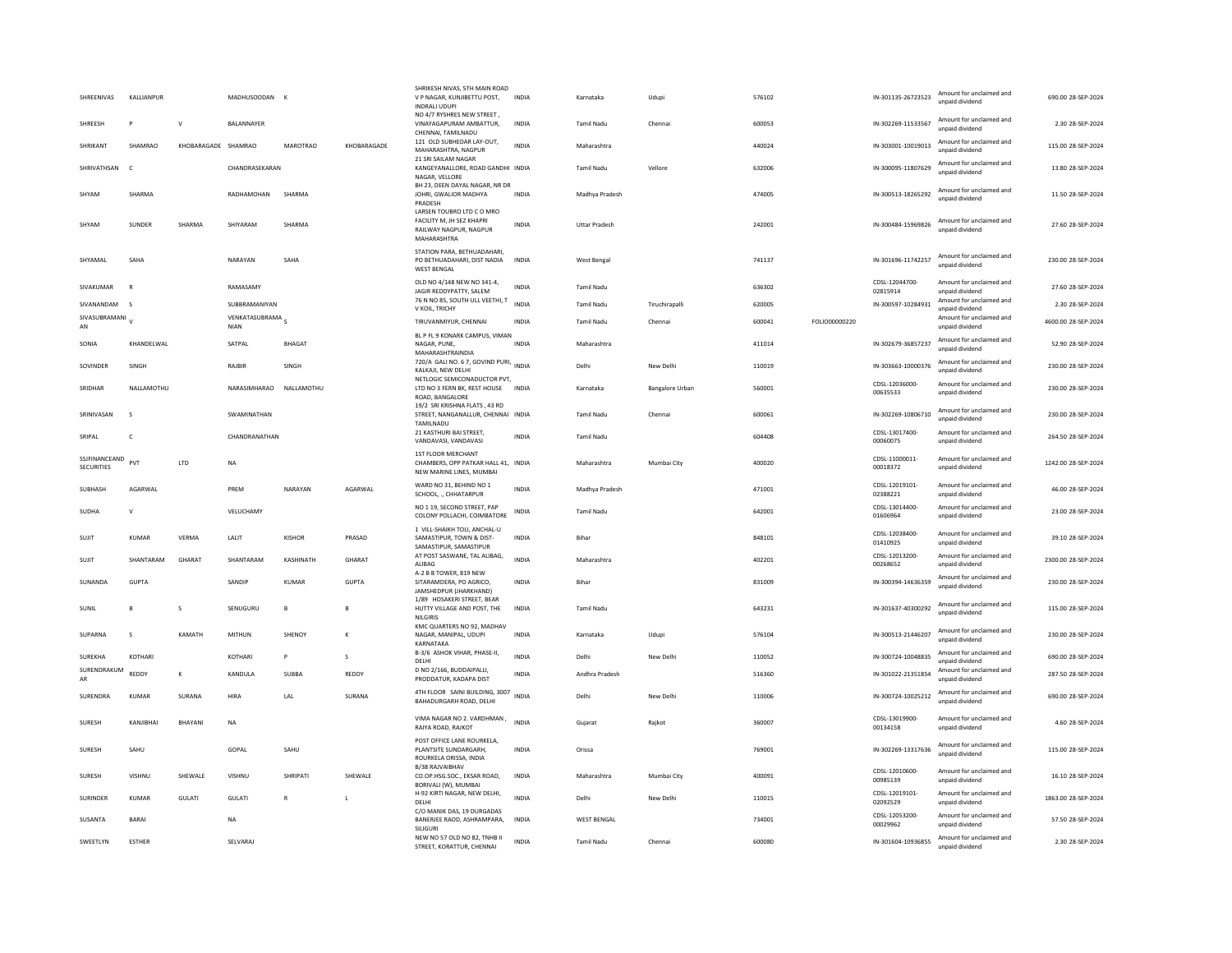| SHREENIVAS                         | KALLIANPUR   |                     | MADHUSOODAN K            |                 |              | SHRIKESH NIVAS, 5TH MAIN ROAD<br>V P NAGAR, KUNJIBETTU POST,<br>INDRALI UDUPI                   | INDIA        | Karnataka            | Udupi           | 576102 |               | IN-301135-26723523         | Amount for unclaimed and<br>unpaid dividend | 690.00 28-SEP-2024  |
|------------------------------------|--------------|---------------------|--------------------------|-----------------|--------------|-------------------------------------------------------------------------------------------------|--------------|----------------------|-----------------|--------|---------------|----------------------------|---------------------------------------------|---------------------|
| SHREESH                            | P            | $\mathbf{v}$        | BALANNAYER               |                 |              | NO 4/7 RYSHRES NEW STREET,<br>VINAYAGAPURAM AMBATTUR.<br>CHENNAI, TAMILNADU                     | <b>INDIA</b> | <b>Tamil Nadu</b>    | Chennai         | 600053 |               | IN-302269-11533567         | Amount for unclaimed and<br>unpaid dividend | 2.30 28-SEP-2024    |
| SHRIKANT                           | SHAMRAO      | KHOBARAGADE SHAMRAO |                          | <b>MAROTRAO</b> | KHOBARAGADE  | 121 OLD SUBHEDAR LAY-OUT,<br>MAHARASHTRA, NAGPUR                                                | <b>INDIA</b> | Maharashtra          |                 | 440024 |               | IN-303001-10019013         | Amount for unclaimed and<br>unpaid dividend | 115.00 28-SEP-2024  |
| SHRIVATHSAN                        | $\mathsf{C}$ |                     | CHANDRASEKARAN           |                 |              | 21 SRI SAILAM NAGAR<br>KANGEYANALLORE, ROAD GANDHI INDIA<br>NAGAR, VELLORE                      |              | <b>Tamil Nadu</b>    | Vellore         | 632006 |               | IN-300095-11807629         | Amount for unclaimed and<br>unpaid dividend | 13.80 28-SEP-2024   |
| SHYAM                              | SHARMA       |                     | RADHAMOHAN               | SHARMA          |              | BH 23, DEEN DAYAL NAGAR, NR DR<br>JOHRI, GWALIOR MADHYA<br>PRADESH                              | <b>INDIA</b> | Madhya Pradesh       |                 | 474005 |               | IN-300513-18265292         | Amount for unclaimed and<br>unpaid dividend | 11.50 28-SEP-2024   |
| SHYAM                              | SUNDER       | SHARMA              | SHIYARAM                 | SHARMA          |              | LARSEN TOUBRO LTD C O MRO<br>FACILITY M, JH SEZ KHAPRI<br>RAILWAY NAGPUR, NAGPUR<br>MAHARASHTRA | <b>INDIA</b> | <b>Uttar Pradesh</b> |                 | 242001 |               | IN-300484-15969826         | Amount for unclaimed and<br>unpaid dividend | 27.60 28-SEP-2024   |
| SHYAMAL                            | SAHA         |                     | NARAYAN                  | SAHA            |              | STATION PARA, BETHUADAHARI.<br>PO BETHUADAHARI, DIST NADIA<br><b>WEST BENGAL</b>                | <b>INDIA</b> | West Bengal          |                 | 741137 |               | IN-301696-11742257         | Amount for unclaimed and<br>unpaid dividend | 230.00 28-SEP-2024  |
| SIVAKUMAR                          | $\mathbb{R}$ |                     | RAMASAMY                 |                 |              | OLD NO 4/148 NEW NO 341-4,<br>JAGIR REDDYPATTY, SALEM                                           | <b>INDIA</b> | <b>Tamil Nadu</b>    |                 | 636302 |               | CDSL-12044700-<br>02815914 | Amount for unclaimed and<br>unpaid dividend | 27.60 28-SEP-2024   |
| SIVANANDAM                         | - 5          |                     | SUBBRAMANIYAN            |                 |              | 76 N NO 85, SOUTH ULL VEETHI, T<br>V KOIL, TRICHY                                               | <b>INDIA</b> | Tamil Nadu           | Tiruchirapalli  | 620005 |               | IN-300597-10284931         | Amount for unclaimed and<br>unpaid dividend | 2.30 28-SEP-2024    |
| SIVASUBRAMANI<br>AN                |              |                     | VENKATASUBRAMA S<br>NIAN |                 |              | TIRUVANMIYUR, CHENNAI                                                                           | <b>INDIA</b> | <b>Tamil Nadu</b>    | Chennai         | 600041 | FOLIO00000220 |                            | Amount for unclaimed and<br>unpaid dividend | 4600.00 28-SEP-2024 |
| SONIA                              | KHANDELWAL   |                     | SATPAL                   | <b>BHAGAT</b>   |              | BL P FL 9 KONARK CAMPUS, VIMAN<br>NAGAR, PUNE,<br>MAHARASHTRAINDIA                              | <b>INDIA</b> | Maharashtra          |                 | 411014 |               | IN-302679-36857237         | Amount for unclaimed and<br>unpaid dividend | 52.90 28-SEP-2024   |
| SOVINDER                           | SINGH        |                     | RAIRIR                   | <b>SINGH</b>    |              | 720/A GALI NO. 6 7, GOVIND PURI, INDIA<br>KALKAJI, NEW DELHI                                    |              | Delhi                | New Delhi       | 110019 |               | IN-303663-10000376         | Amount for unclaimed and<br>unpaid dividend | 230.00.28-SEP-2024  |
| SRIDHAR                            | NALLAMOTHU   |                     | NARASIMHARAO NALLAMOTHU  |                 |              | NETLOGIC SEMICONADUCTOR PVT.<br>LTD NO 3 FERN BK, REST HOUSE INDIA<br>ROAD, BANGALORE           |              | Karnataka            | Bangalore Urban | 560001 |               | CDSL-12036000-<br>00635533 | Amount for unclaimed and<br>unpaid dividend | 230.00 28-SEP-2024  |
| SRINIVASAN                         | -S           |                     | SWAMINATHAN              |                 |              | 19/2 SRI KRISHNA FLATS . 43 RD<br>STREET, NANGANALLUR, CHENNAI INDIA<br>TAMILNADU               |              | <b>Tamil Nadu</b>    | Chennai         | 600061 |               | IN-302269-10806710         | Amount for unclaimed and<br>unpaid dividend | 230.00 28-SEP-2024  |
| SRIPAL                             | c            |                     | CHANDRANATHAN            |                 |              | 21 KASTHURI BAI STREET,<br>VANDAVASI, VANDAVASI                                                 | INDIA        | Tamil Nadu           |                 | 604408 |               | CDSL-13017400-<br>00060075 | Amount for unclaimed and<br>unpaid dividend | 264.50 28-SEP-2024  |
| SSJFINANCEAND<br><b>SECURITIES</b> | PVT          | LTD                 | <b>NA</b>                |                 |              | 1ST FLOOR MERCHANT<br>CHAMBERS, OPP PATKAR HALL 41, INDIA<br>NEW MARINE LINES, MUMBAI           |              | Maharashtra          | Mumbai City     | 400020 |               | CDSL-11000011-<br>00018372 | Amount for unclaimed and<br>unpaid dividend | 1242.00 28-SEP-2024 |
| SUBHASH                            | AGARWAL      |                     | PREM                     | NARAYAN         | AGARWAL      | WARD NO 31, BEHIND NO 1<br>SCHOOL CHHATARPUR                                                    | <b>INDIA</b> | Madhya Pradesh       |                 | 471001 |               | CDSL-12019101-<br>02388221 | Amount for unclaimed and<br>unnaid dividend | 46.00 28-SEP-2024   |
| <b>SUDHA</b>                       | $\mathsf{V}$ |                     | VELUCHAMY                |                 |              | NO 1 19. SECOND STREET. PAP<br>COLONY POLLACHI, COIMBATORE                                      | <b>INDIA</b> | <b>Tamil Nadu</b>    |                 | 642001 |               | CDSI-13014400-<br>01606964 | Amount for unclaimed and<br>unpaid dividend | 23.00 28-SEP-2024   |
| SUJIT                              | KUMAR        | VERMA               | LALIT                    | <b>KISHOR</b>   | PRASAD       | 1 VILL-SHAIKH TOLI, ANCHAL-U<br>SAMASTIPUR, TOWN & DIST-<br>SAMASTIPUR, SAMASTIPUR              | <b>INDIA</b> | Bihar                |                 | 848101 |               | CDSL-12038400-<br>01410925 | Amount for unclaimed and<br>unnaid dividend | 39.10 28-SEP-2024   |
| SUJIT                              | SHANTARAM    | GHARAT              | SHANTARAM                | KASHINATH       | GHARAT       | AT POST SASWANE, TAL ALIBAG,<br>ALIBAG                                                          | <b>INDIA</b> | Maharashtra          |                 | 402201 |               | CDSI-12013200-<br>00268652 | Amount for unclaimed and<br>unpaid dividend | 2300.00 28-SEP-2024 |
| SUNANDA                            | <b>GUPTA</b> |                     | SANDIP                   | KUMAR           | <b>GUPTA</b> | A-2 B B TOWER, 819 NEW<br>SITARAMDERA, PO AGRICO,<br>JAMSHEDPUR (JHARKHAND)                     | <b>INDIA</b> | Bihar                |                 | 831009 |               | IN-300394-14636359         | Amount for unclaimed and<br>unpaid dividend | 230.00 28-SEP-2024  |
| SUNIL                              |              | s                   | SENUGURU                 | $\mathbf{B}$    | B            | 1/89 HOSAKERI STREET, BEAR<br>HUTTY VILLAGE AND POST, THE<br>NILGIRIS                           | <b>INDIA</b> | <b>Tamil Nadu</b>    |                 | 643231 |               | IN-301637-40300292         | Amount for unclaimed and<br>unpaid dividend | 115.00 28-SEP-2024  |
| SUPARNA                            | $\mathbf{S}$ | KAMATH              | MITHUN                   | <b>SHENOY</b>   | K            | KMC QUARTERS NO 92, MADHAV<br>NAGAR, MANIPAL, UDUPI<br>KARNATAKA                                | <b>INDIA</b> | Karnataka            | Udupi           | 576104 |               | IN-300513-21446207         | Amount for unclaimed and<br>unpaid dividend | 230.00 28-SEP-2024  |
| SUREKHA                            | KOTHARI      |                     | KOTHARI                  | P               | $\mathbf{S}$ | B-3/6 ASHOK VIHAR, PHASE-II.<br>DELHI                                                           | <b>INDIA</b> | Delhi                | New Delhi       | 110052 |               | IN-300724-10048835         | Amount for unclaimed and<br>unpaid dividend | 690.00 28-SEP-2024  |
| SURENDRAKUM<br>AR                  | REDDY        | $\kappa$            | KANDULA                  | SUBBA           | REDDY        | D NO 2/166, BUDDAIPALLI.<br>PRODDATUR, KADAPA DIST                                              | <b>INDIA</b> | Andhra Pradesh       |                 | 516360 |               | IN-301022-21351854         | Amount for unclaimed and<br>unpaid dividend | 287.50 28-SEP-2024  |
| SURENDRA                           | <b>KUMAR</b> | SURANA              | <b>HIRA</b>              | LAL             | SURANA       | 4TH FLOOR SAINI BUILDING, 3007<br>BAHADURGARH ROAD, DELHI                                       | <b>INDIA</b> | Delhi                | New Delhi       | 110006 |               | IN-300724-10025212         | Amount for unclaimed and<br>unpaid dividend | 690.00 28-SEP-2024  |
| SURESH                             | KANJIBHAI    | <b>BHAYANI</b>      | <b>NA</b>                |                 |              | VIMA NAGAR NO 2. VARDHMAN,<br>RAIYA ROAD, RAJKOT                                                | <b>INDIA</b> | Gujarat              | Rajkot          | 360007 |               | CDSI-13019900-<br>00134158 | Amount for unclaimed and<br>unpaid dividend | 4.60 28-SEP-2024    |
| <b>SURFSH</b>                      | SAHU         |                     | GOPAL                    | SAHU            |              | POST OFFICE LANE ROURKELA,<br>PLANTSITE SUNDARGARH,<br>ROURKELA ORISSA, INDIA                   | <b>INDIA</b> | Orissa               |                 | 769001 |               | IN-302269-13317636         | Amount for unclaimed and<br>unpaid dividend | 115.00.28-SEP-2024  |
| SURESH                             | VISHNU       | SHEWALE             | VISHNU                   | SHRIPATI        | SHEWALE      | <b>B/38 RAJVAIBHAV</b><br>CO.OP.HSG.SOC., EKSAR ROAD,<br>BORIVALI (W), MUMBAI                   | INDIA        | Maharashtra          | Mumbai City     | 400091 |               | CDSL-12010600-<br>00985139 | Amount for unclaimed and<br>unnaid dividend | 16.10 28-SEP-2024   |
| <b>SURINDER</b>                    | KUMAR        | <b>GULATI</b>       | <b>GULATI</b>            | $\mathbb{R}$    | $\mathbf{I}$ | H-92 KIRTI NAGAR, NEW DELHI,<br>DELHI                                                           | <b>INDIA</b> | Delhi                | New Delhi       | 110015 |               | CDSL-12019101-<br>02092529 | Amount for unclaimed and<br>unpaid dividend | 1863.00 28-SEP-2024 |
| SUSANTA                            |              |                     |                          |                 |              | C/O MANIK DAS, 19 DURGADAS                                                                      |              |                      |                 |        |               | CDSL-12053200-             | Amount for unclaimed and                    |                     |
|                                    | <b>BARAI</b> |                     | <b>NA</b>                |                 |              | BANERJEE RAOD, ASHRAMPARA,<br>SILIGURI                                                          | <b>INDIA</b> | <b>WEST BENGAL</b>   |                 | 734001 |               | 00029962                   | unpaid dividend                             | 57.50 28-SEP-2024   |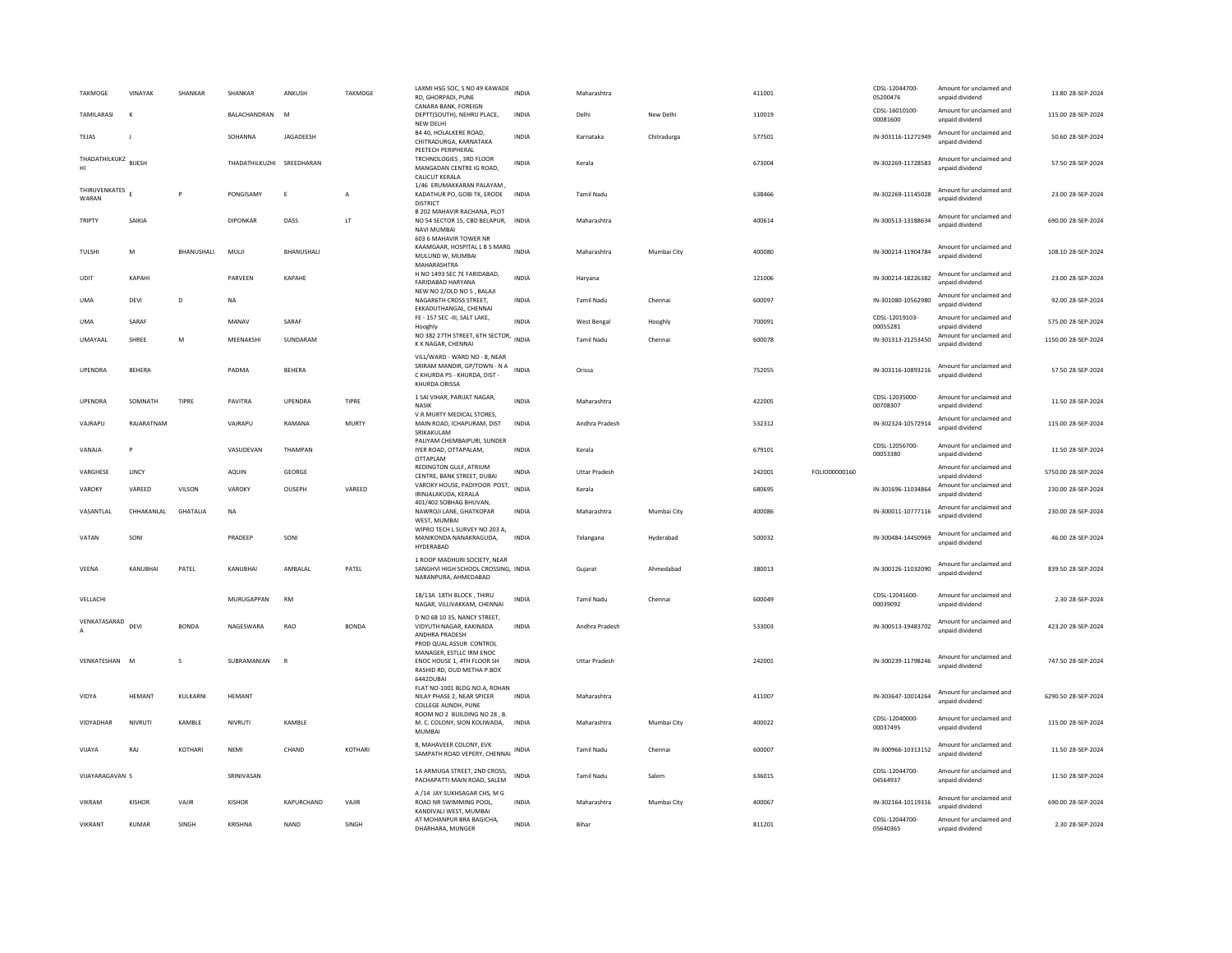| <b>TAKMOGE</b>                    | VINAYAK       | SHANKAR           | SHANKAR         | ANKUSH        | <b>TAKMOGE</b>       | LAXMI HSG SOC, S NO 49 KAWADE INDIA<br>RD, GHORPADI, PUNE                                                                    |              | Maharashtra          |             | 411001 |               | CDSL-12044700-<br>05200476 | Amount for unclaimed and<br>unpaid dividend | 13.80 28-SEP-2024   |
|-----------------------------------|---------------|-------------------|-----------------|---------------|----------------------|------------------------------------------------------------------------------------------------------------------------------|--------------|----------------------|-------------|--------|---------------|----------------------------|---------------------------------------------|---------------------|
| TAMILARASI                        |               |                   | BALACHANDRAN    | M             |                      | CANARA BANK, FOREIGN<br>DEPTT(SOUTH), NEHRU PLACE,<br>NEW DELHI                                                              | INDIA        | Delhi                | New Delhi   | 110019 |               | CDSL-16010100-<br>00081600 | Amount for unclaimed and<br>unpaid dividend | 115.00 28-SEP-2024  |
| TEJAS                             | J.            |                   | SOHANNA         | JAGADEESH     |                      | B4 40, HOLALKERE ROAD.<br>CHITRADURGA, KARNATAKA<br>PEETECH PERIPHERAL                                                       | <b>INDIA</b> | Karnataka            | Chitradurga | 577501 |               | IN-303116-11271949         | Amount for unclaimed and<br>unpaid dividend | 50.60 28-SEP-2024   |
| THADATHILKUKZ BUESH<br>HI         |               |                   | THADATHILKUZHI  | SREEDHARAN    |                      | TRCHNOLOGIES, 3RD FLOOR<br>MANGADAN CENTRE IG ROAD.<br>CALICUT KERALA                                                        | <b>INDIA</b> | Kerala               |             | 673004 |               | IN-302269-11728583         | Amount for unclaimed and<br>unpaid dividend | 57.50 28-SEP-2024   |
| THIRUVENKATES<br>WARAN            |               | P                 | PONGISAMY       | $\mathsf E$   | A                    | 1/46 ERUMAKKARAN PALAYAM.<br>KADATHUR PO, GOBI TK, ERODE INDIA<br><b>DISTRICT</b>                                            |              | Tamil Nadu           |             | 638466 |               | IN-302269-11145028         | Amount for unclaimed and<br>unpaid dividend | 23.00 28-SEP-2024   |
| TRIPTY                            | SAIKIA        |                   | <b>DIPONKAR</b> | DASS          | $\mathsf{LT}\xspace$ | B 202 MAHAVIR RACHANA, PLOT<br>NO 54 SECTOR 15, CBD BELAPUR, INDIA<br>NAVI MUMBAI                                            |              | Maharashtra          |             | 400614 |               | IN-300513-13188634         | Amount for unclaimed and<br>unpaid dividend | 690.00 28-SEP-2024  |
| TULSHI                            | M             | <b>BHANUSHALI</b> | MULJI           | BHANUSHALI    |                      | 603 6 MAHAVIR TOWER NR<br>KAAMGAAR, HOSPITAL L B S MARG INDIA<br>MULUND W, MUMBAI<br>MAHARASHTRA                             |              | Maharashtra          | Mumbai City | 400080 |               | IN-300214-11904784         | Amount for unclaimed and<br>unpaid dividend | 108.10 28-SEP-2024  |
| <b>UDIT</b>                       | КАРАНІ        |                   | <b>PARVEEN</b>  | KAPAHF        |                      | H NO 1493 SEC 7E FARIDABAD,<br>FARIDABAD HARYANA                                                                             | <b>INDIA</b> | Harvana              |             | 121006 |               | IN-300214-18226382         | Amount for unclaimed and<br>unpaid dividend | 23.00 28-SEP-2024   |
| <b>UMA</b>                        | DEVI          | D                 | NA              |               |                      | NEW NO 2/OLD NO 5, BALAJI<br>NAGAR6TH CROSS STREET,<br>EKKADUTHANGAL, CHENNAI                                                | INDIA        | Tamil Nadu           | Chennai     | 600097 |               | IN-301080-10562980         | Amount for unclaimed and<br>unpaid dividend | 92.00 28-SEP-2024   |
| <b>UMA</b>                        | SARAF         |                   | MANAV           | SARAF         |                      | FE - 157 SEC -III, SALT LAKE,<br>Hooghly                                                                                     | <b>INDIA</b> | West Bengal          | Hooghly     | 700091 |               | CDSL-12019103-<br>00055281 | Amount for unclaimed and<br>unpaid dividend | 575.00 28-SEP-2024  |
| UMAYAAL                           | SHREE         | M                 | MEENAKSHI       | SUNDARAM      |                      | NO 382 27TH STREET, 6TH SECTOR, INDIA<br>K K NAGAR, CHENNAI                                                                  |              | <b>Tamil Nadu</b>    | Chenna      | 600078 |               | IN-301313-21253450         | Amount for unclaimed and<br>unpaid dividend | 1150.00 28-SEP-2024 |
| UPENDRA                           | <b>BEHERA</b> |                   | PADMA           | <b>BEHERA</b> |                      | VILL/WARD - WARD NO - 8, NEAR<br>SRIRAM MANDIR, GP/TOWN - N A INDIA<br>C KHURDA PS - KHURDA, DIST -<br>KHURDA ORISSA         |              | Orissa               |             | 752055 |               | IN-303116-10893216         | Amount for unclaimed and<br>unpaid dividend | 57.50 28-SEP-2024   |
| UPENDRA                           | SOMNATH       | TIPRE             | PAVITRA         | UPENDRA       | TIPRE                | 1 SAI VIHAR, PARUAT NAGAR,<br><b>NASIK</b>                                                                                   | <b>INDIA</b> | Maharashtra          |             | 422005 |               | CDSL-12035000-<br>00708307 | Amount for unclaimed and<br>unpaid dividend | 11.50 28-SEP-2024   |
| VAJRAPU                           | RAJARATNAM    |                   | VAJRAPU         | RAMANA        | <b>MURTY</b>         | V.R.MURTY MEDICAL STORES,<br>MAIN ROAD, ICHAPURAM, DIST<br>SRIKAKULAM                                                        | <b>INDIA</b> | Andhra Pradesh       |             | 532312 |               | IN-302324-10572914         | Amount for unclaimed and<br>unpaid dividend | 115.00 28-SEP-2024  |
| VANAJA                            | P             |                   | VASUDEVAN       | THAMPAN       |                      | PALIYAM CHEMBAIPURI, SUNDER<br>IYER ROAD, OTTAPALAM,<br>OTTAPLAM                                                             | <b>INDIA</b> | Kerala               |             | 679101 |               | CDSL-12056700-<br>00053380 | Amount for unclaimed and<br>unpaid dividend | 11.50 28-SEP-2024   |
| VARGHESE                          | LINCY         |                   | AQUIN           | GEORGE        |                      | REDINGTON GULF, ATRIUM<br>CENTRE, BANK STREET, DUBAI                                                                         | <b>INDIA</b> | <b>Uttar Pradesh</b> |             | 242001 | FOLIO00000160 |                            | Amount for unclaimed and<br>unpaid dividend | 5750.00 28-SEP-2024 |
| VAROKY                            | VAREED        | VILSON            | VAROKY          | OUSEPH        | VAREED               | VAROKY HOUSE, PADIYOOR POST, INDIA<br>IRINJALAKUDA, KERALA                                                                   |              | Kerala               |             | 680695 |               | IN-301696-11034864         | Amount for unclaimed and<br>unpaid dividend | 230.00 28-SEP-2024  |
| VASANTLAL                         | CHHAKANLAL    | <b>GHATALIA</b>   | NA              |               |                      | 401/402 SOBHAG BHUVAN.<br>NAWROJI LANE, GHATKOPAR<br>WEST, MUMBAI                                                            | INDIA        | Maharashtra          | Mumbai City | 400086 |               | IN-300011-10777116         | Amount for unclaimed and<br>unnaid dividend | 230.00 28-SEP-2024  |
| VATAN                             | SONI          |                   | PRADEEP         | SONI          |                      | WIPRO TECH L SURVEY NO 203 A,<br>MANIKONDA NANAKRAGUDA.<br>HYDERABAD                                                         | <b>INDIA</b> | Telangana            | Hyderabad   | 500032 |               | IN-300484-14450969         | Amount for unclaimed and<br>unpaid dividend | 46.00 28-SEP-2024   |
| VEENA                             | KANUBHAI      | PATEL             | KANUBHAI        | AMBALAL       | PATEL                | 1 ROOP MADHURI SOCIETY, NEAR<br>SANGHVI HIGH SCHOOL CROSSING, INDIA<br>NARANPURA, AHMEDABAD                                  |              | Gujarat              | Ahmedabad   | 380013 |               | IN-300126-11032090         | Amount for unclaimed and<br>unpaid dividend | 839.50 28-SEP-2024  |
| VELLACHI                          |               |                   | MURUGAPPAN      | <b>RM</b>     |                      | 18/13A 18TH BLOCK, THIRU<br>NAGAR, VILLIVAKKAM, CHENNAI                                                                      | INDIA        | <b>Tamil Nadu</b>    | Chennai     | 600049 |               | CDSL-12041600-<br>00039092 | Amount for unclaimed and<br>unpaid dividend | 2.30 28-SEP-2024    |
| VENKATASARAD DEVI<br>$\mathsf{A}$ |               | <b>BONDA</b>      | NAGFSWARA       | <b>RAO</b>    | <b>BONDA</b>         | D NO 68 10 35, NANCY STREET,<br>VIDYUTH NAGAR, KAKINADA<br>ANDHRA PRADESH                                                    | <b>INDIA</b> | Andhra Pradesh       |             | 533003 |               | IN-300513-19483702         | Amount for unclaimed and<br>unpaid dividend | 423.20 28-SEP-2024  |
| VENKATESHAN                       | M             | s                 | SUBRAMANIAN     | $\mathbb{R}$  |                      | PROD QUAL ASSUR CONTROL<br>MANAGER, ESTLLC IRM ENOC<br>ENOC HOUSE 1, 4TH FLOOR SH<br>RASHID RD, OUD METHA P.BOX<br>6442DUBAI | <b>INDIA</b> | <b>Uttar Pradesh</b> |             | 242001 |               | IN-300239-11798246         | Amount for unclaimed and<br>unpaid dividend | 747.50 28-SEP-2024  |
| VIDYA                             | HEMANT        | KULKARNI          | <b>HEMANT</b>   |               |                      | FLAT NO-1001 BLDG.NO.A, ROHAN<br>NILAY PHASE 2, NEAR SPICER<br>COLLEGE AUNDH, PUNE                                           | <b>INDIA</b> | Maharashtra          |             | 411007 |               | IN-303647-10014264         | Amount for unclaimed and<br>unpaid dividend | 6290.50 28-SEP-2024 |
| VIDYADHAR                         | NIVRUTI       | KAMBLE            | NIVRUTI         | KAMBLE        |                      | ROOM NO 2 BUILDING NO 28, B.<br>M. C. COLONY. SION KOLIWADA.<br>MUMBAI                                                       | <b>INDIA</b> | Maharashtra          | Mumbai City | 400022 |               | CDSL-12040000-<br>00037495 | Amount for unclaimed and<br>unpaid dividend | 115.00 28-SEP-2024  |
| VIJAYA                            | RAJ           | KOTHARI           | NEMI            | CHAND         | KOTHARI              | 8, MAHAVEER COLONY, EVK<br>SAMPATH ROAD VEPERY, CHENNAI                                                                      | <b>INDIA</b> | <b>Tamil Nadu</b>    | Chennai     | 600007 |               | IN-300966-10313152         | Amount for unclaimed and<br>unpaid dividend | 11.50 28-SEP-2024   |
| VIIAYARAGAVAN S                   |               |                   | SRINIVASAN      |               |                      | 1A ARMUGA STREET, 2ND CROSS,<br>PACHAPATTI MAIN ROAD, SALEM                                                                  | <b>INDIA</b> | <b>Tamil Nadu</b>    | Salem       | 636015 |               | CDSL-12044700-<br>04564937 | Amount for unclaimed and<br>unpaid dividend | 11.50 28-SEP-2024   |
| VIKRAM                            | <b>KISHOR</b> | VAJIR             | <b>KISHOR</b>   | KAPURCHAND    | VAJIR                | A /14 JAY SUKHSAGAR CHS. M G<br>ROAD NR SWIMMING POOL.<br>KANDIVALI WEST, MUMBAI                                             | <b>INDIA</b> | Maharashtra          | Mumbai City | 400067 |               | IN-302164-10119316         | Amount for unclaimed and<br>unpaid dividend | 690.00 28-SEP-2024  |
| VIKRANT                           | <b>KUMAR</b>  | SINGH             | <b>KRISHNA</b>  | <b>NAND</b>   | SINGH                | AT MOHANPUR BRA BAGICHA.<br>DHARHARA, MUNGER                                                                                 | <b>INDIA</b> | Bihar                |             | 811201 |               | CDSL-12044700-<br>05640365 | Amount for unclaimed and<br>unnaid dividend | 2.30 28-SEP-2024    |